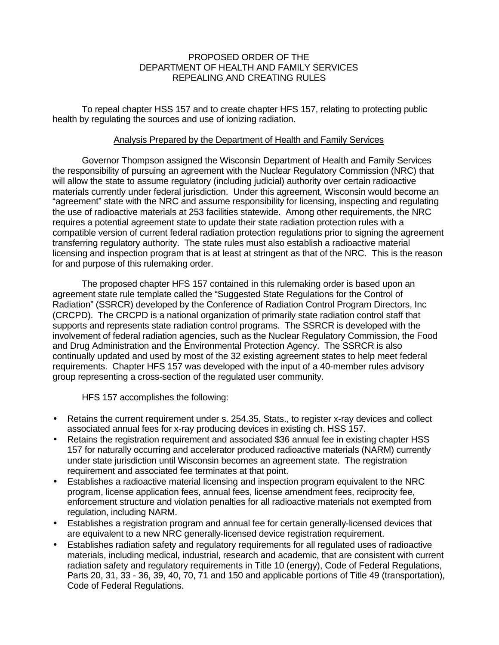## PROPOSED ORDER OF THE DEPARTMENT OF HEALTH AND FAMILY SERVICES REPEALING AND CREATING RULES

To repeal chapter HSS 157 and to create chapter HFS 157, relating to protecting public health by regulating the sources and use of ionizing radiation.

### Analysis Prepared by the Department of Health and Family Services

Governor Thompson assigned the Wisconsin Department of Health and Family Services the responsibility of pursuing an agreement with the Nuclear Regulatory Commission (NRC) that will allow the state to assume regulatory (including judicial) authority over certain radioactive materials currently under federal jurisdiction. Under this agreement, Wisconsin would become an "agreement" state with the NRC and assume responsibility for licensing, inspecting and regulating the use of radioactive materials at 253 facilities statewide. Among other requirements, the NRC requires a potential agreement state to update their state radiation protection rules with a compatible version of current federal radiation protection regulations prior to signing the agreement transferring regulatory authority. The state rules must also establish a radioactive material licensing and inspection program that is at least at stringent as that of the NRC. This is the reason for and purpose of this rulemaking order.

The proposed chapter HFS 157 contained in this rulemaking order is based upon an agreement state rule template called the "Suggested State Regulations for the Control of Radiation" (SSRCR) developed by the Conference of Radiation Control Program Directors, Inc (CRCPD). The CRCPD is a national organization of primarily state radiation control staff that supports and represents state radiation control programs. The SSRCR is developed with the involvement of federal radiation agencies, such as the Nuclear Regulatory Commission, the Food and Drug Administration and the Environmental Protection Agency. The SSRCR is also continually updated and used by most of the 32 existing agreement states to help meet federal requirements. Chapter HFS 157 was developed with the input of a 40-member rules advisory group representing a cross-section of the regulated user community.

HFS 157 accomplishes the following:

- Retains the current requirement under s. 254.35, Stats., to register x-ray devices and collect associated annual fees for x-ray producing devices in existing ch. HSS 157.
- Retains the registration requirement and associated \$36 annual fee in existing chapter HSS 157 for naturally occurring and accelerator produced radioactive materials (NARM) currently under state jurisdiction until Wisconsin becomes an agreement state. The registration requirement and associated fee terminates at that point.
- Establishes a radioactive material licensing and inspection program equivalent to the NRC program, license application fees, annual fees, license amendment fees, reciprocity fee, enforcement structure and violation penalties for all radioactive materials not exempted from regulation, including NARM.
- Establishes a registration program and annual fee for certain generally-licensed devices that are equivalent to a new NRC generally-licensed device registration requirement.
- Establishes radiation safety and regulatory requirements for all regulated uses of radioactive materials, including medical, industrial, research and academic, that are consistent with current radiation safety and regulatory requirements in Title 10 (energy), Code of Federal Regulations, Parts 20, 31, 33 - 36, 39, 40, 70, 71 and 150 and applicable portions of Title 49 (transportation), Code of Federal Regulations.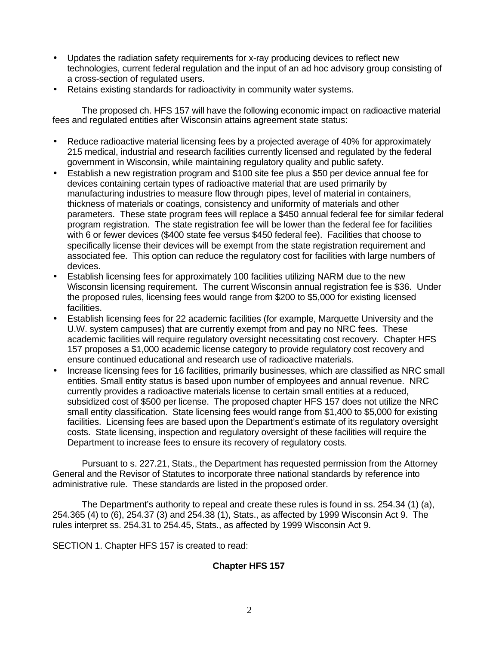- Updates the radiation safety requirements for x-ray producing devices to reflect new technologies, current federal regulation and the input of an ad hoc advisory group consisting of a cross-section of regulated users.
- Retains existing standards for radioactivity in community water systems.

The proposed ch. HFS 157 will have the following economic impact on radioactive material fees and regulated entities after Wisconsin attains agreement state status:

- Reduce radioactive material licensing fees by a projected average of 40% for approximately 215 medical, industrial and research facilities currently licensed and regulated by the federal government in Wisconsin, while maintaining regulatory quality and public safety.
- Establish a new registration program and \$100 site fee plus a \$50 per device annual fee for devices containing certain types of radioactive material that are used primarily by manufacturing industries to measure flow through pipes, level of material in containers, thickness of materials or coatings, consistency and uniformity of materials and other parameters. These state program fees will replace a \$450 annual federal fee for similar federal program registration. The state registration fee will be lower than the federal fee for facilities with 6 or fewer devices (\$400 state fee versus \$450 federal fee). Facilities that choose to specifically license their devices will be exempt from the state registration requirement and associated fee. This option can reduce the regulatory cost for facilities with large numbers of devices.
- Establish licensing fees for approximately 100 facilities utilizing NARM due to the new Wisconsin licensing requirement. The current Wisconsin annual registration fee is \$36. Under the proposed rules, licensing fees would range from \$200 to \$5,000 for existing licensed facilities.
- Establish licensing fees for 22 academic facilities (for example, Marquette University and the U.W. system campuses) that are currently exempt from and pay no NRC fees. These academic facilities will require regulatory oversight necessitating cost recovery. Chapter HFS 157 proposes a \$1,000 academic license category to provide regulatory cost recovery and ensure continued educational and research use of radioactive materials.
- Increase licensing fees for 16 facilities, primarily businesses, which are classified as NRC small entities. Small entity status is based upon number of employees and annual revenue. NRC currently provides a radioactive materials license to certain small entities at a reduced, subsidized cost of \$500 per license. The proposed chapter HFS 157 does not utilize the NRC small entity classification. State licensing fees would range from \$1,400 to \$5,000 for existing facilities. Licensing fees are based upon the Department's estimate of its regulatory oversight costs. State licensing, inspection and regulatory oversight of these facilities will require the Department to increase fees to ensure its recovery of regulatory costs.

Pursuant to s. 227.21, Stats., the Department has requested permission from the Attorney General and the Revisor of Statutes to incorporate three national standards by reference into administrative rule. These standards are listed in the proposed order.

The Department's authority to repeal and create these rules is found in ss. 254.34 (1) (a), 254.365 (4) to (6), 254.37 (3) and 254.38 (1), Stats., as affected by 1999 Wisconsin Act 9. The rules interpret ss. 254.31 to 254.45, Stats., as affected by 1999 Wisconsin Act 9.

SECTION 1. Chapter HFS 157 is created to read:

## **Chapter HFS 157**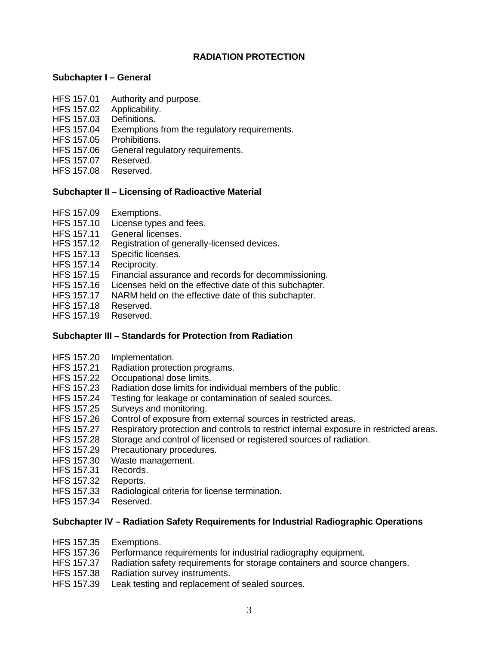# **RADIATION PROTECTION**

## **Subchapter I – General**

- HFS 157.01 Authority and purpose.
- HFS 157.02 Applicability.
- HFS 157.03 Definitions.
- HFS 157.04 Exemptions from the regulatory requirements.
- HFS 157.05 Prohibitions.
- HFS 157.06 General regulatory requirements.
- HFS 157.07 Reserved.
- HFS 157.08 Reserved.

## **Subchapter II – Licensing of Radioactive Material**

- HFS 157.09 Exemptions.
- HFS 157.10 License types and fees.
- HFS 157.11 General licenses.
- HFS 157.12 Registration of generally-licensed devices.
- HFS 157.13 Specific licenses.
- HFS 157.14 Reciprocity.
- HFS 157.15 Financial assurance and records for decommissioning.
- HFS 157.16 Licenses held on the effective date of this subchapter.
- HFS 157.17 NARM held on the effective date of this subchapter.
- HFS 157.18 Reserved.
- HFS 157.19 Reserved.

## **Subchapter III – Standards for Protection from Radiation**

- HFS 157.20 Implementation.
- HFS 157.21 Radiation protection programs.
- HFS 157.22 Occupational dose limits.<br>HFS 157.23 Radiation dose limits for in
- Radiation dose limits for individual members of the public.
- HFS 157.24 Testing for leakage or contamination of sealed sources.
- HFS 157.25 Surveys and monitoring.
- HFS 157.26 Control of exposure from external sources in restricted areas.
- HFS 157.27 Respiratory protection and controls to restrict internal exposure in restricted areas.
- HFS 157.28 Storage and control of licensed or registered sources of radiation.
- HFS 157.29 Precautionary procedures.
- HFS 157.30 Waste management.
- HFS 157.31 Records.
- HFS 157.32 Reports.
- HFS 157.33 Radiological criteria for license termination.
- HFS 157.34 Reserved.

### **Subchapter IV – Radiation Safety Requirements for Industrial Radiographic Operations**

- HFS 157.35 Exemptions.
- HFS 157.36 Performance requirements for industrial radiography equipment.
- HFS 157.37 Radiation safety requirements for storage containers and source changers.
- HFS 157.38 Radiation survey instruments.
- HFS 157.39 Leak testing and replacement of sealed sources.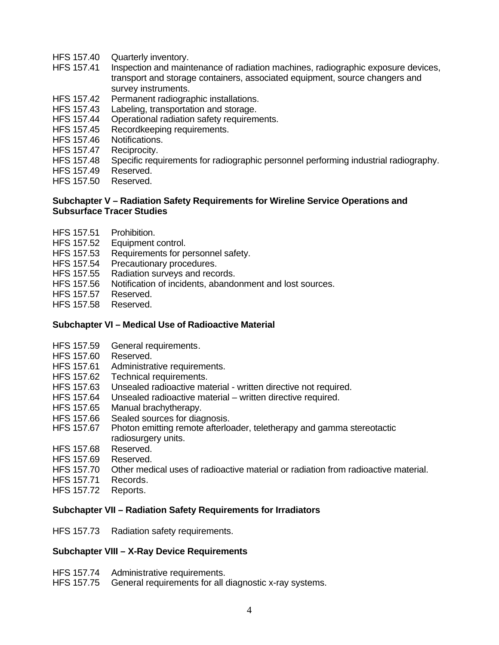- HFS 157.40 Quarterly inventory.
- HFS 157.41 Inspection and maintenance of radiation machines, radiographic exposure devices, transport and storage containers, associated equipment, source changers and survey instruments.
- HFS 157.42 Permanent radiographic installations.
- HFS 157.43 Labeling, transportation and storage.
- HFS 157.44 Operational radiation safety requirements.
- HFS 157.45 Recordkeeping requirements.
- HFS 157.46 Notifications.
- HFS 157.47 Reciprocity.
- HFS 157.48 Specific requirements for radiographic personnel performing industrial radiography.
- HFS 157.49 Reserved.
- HFS 157.50 Reserved.

### **Subchapter V – Radiation Safety Requirements for Wireline Service Operations and Subsurface Tracer Studies**

- HFS 157.51 Prohibition.
- HFS 157.52 Equipment control.
- HFS 157.53 Requirements for personnel safety.
- HFS 157.54 Precautionary procedures.
- HFS 157.55 Radiation surveys and records.
- HFS 157.56 Notification of incidents, abandonment and lost sources.
- HFS 157.57 Reserved.
- HFS 157.58 Reserved.

## **Subchapter VI – Medical Use of Radioactive Material**

- HFS 157.59 General requirements.
- HFS 157.60 Reserved.
- HFS 157.61 Administrative requirements.
- HFS 157.62 Technical requirements.
- HFS 157.63 Unsealed radioactive material written directive not required.
- HFS 157.64 Unsealed radioactive material written directive required.
- HFS 157.65 Manual brachytherapy.
- HFS 157.66 Sealed sources for diagnosis.
- HFS 157.67 Photon emitting remote afterloader, teletherapy and gamma stereotactic radiosurgery units.
- HFS 157.68 Reserved.
- HFS 157.69 Reserved.
- HFS 157.70 Other medical uses of radioactive material or radiation from radioactive material.
- HFS 157.71 Records.
- HFS 157.72 Reports.

## **Subchapter VII – Radiation Safety Requirements for Irradiators**

HFS 157.73 Radiation safety requirements.

## **Subchapter VIII – X-Ray Device Requirements**

- HFS 157.74 Administrative requirements.
- HFS 157.75 General requirements for all diagnostic x-ray systems.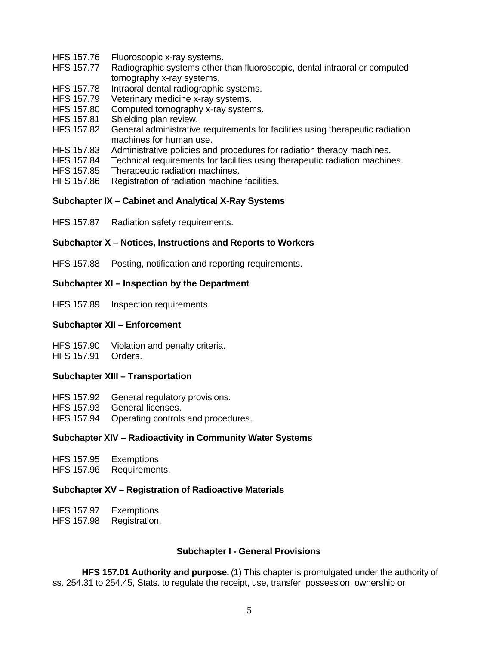- HFS 157.76 Fluoroscopic x-ray systems.
- HFS 157.77 Radiographic systems other than fluoroscopic, dental intraoral or computed tomography x-ray systems.
- HFS 157.78 Intraoral dental radiographic systems.
- HFS 157.79 Veterinary medicine x-ray systems.
- HFS 157.80 Computed tomography x-ray systems.
- HFS 157.81 Shielding plan review.
- HFS 157.82 General administrative requirements for facilities using therapeutic radiation machines for human use.
- HFS 157.83 Administrative policies and procedures for radiation therapy machines.
- HFS 157.84 Technical requirements for facilities using therapeutic radiation machines.
- HFS 157.85 Therapeutic radiation machines.
- HFS 157.86 Registration of radiation machine facilities.

#### **Subchapter IX – Cabinet and Analytical X-Ray Systems**

HFS 157.87 Radiation safety requirements.

#### **Subchapter X – Notices, Instructions and Reports to Workers**

HFS 157.88 Posting, notification and reporting requirements.

#### **Subchapter XI – Inspection by the Department**

HFS 157.89 Inspection requirements.

#### **Subchapter XII – Enforcement**

HFS 157.90 Violation and penalty criteria.

HFS 157.91 Orders.

## **Subchapter XIII – Transportation**

- HFS 157.92 General regulatory provisions.
- HFS 157.93 General licenses.
- HFS 157.94 Operating controls and procedures.

#### **Subchapter XIV – Radioactivity in Community Water Systems**

| <b>HFS 157.95</b> | Exemptions. |
|-------------------|-------------|
|                   |             |

HFS 157.96 Requirements.

## **Subchapter XV – Registration of Radioactive Materials**

| HFS 157.97        | Exemptions.   |
|-------------------|---------------|
| <b>HFS 157.98</b> | Registration. |

### **Subchapter I - General Provisions**

**HFS 157.01 Authority and purpose.** (1) This chapter is promulgated under the authority of ss. 254.31 to 254.45, Stats. to regulate the receipt, use, transfer, possession, ownership or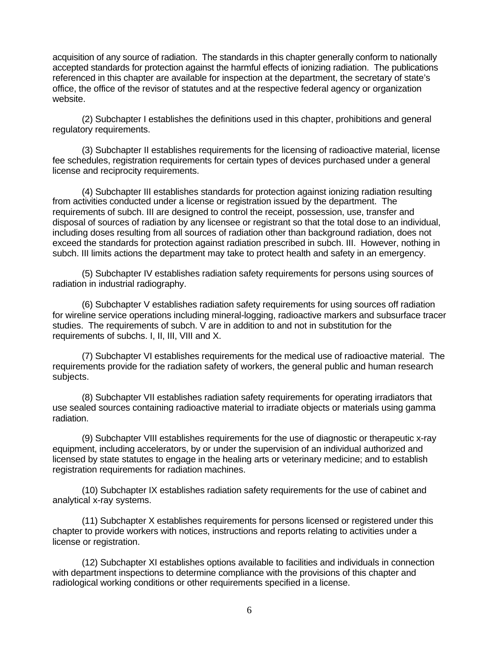acquisition of any source of radiation. The standards in this chapter generally conform to nationally accepted standards for protection against the harmful effects of ionizing radiation. The publications referenced in this chapter are available for inspection at the department, the secretary of state's office, the office of the revisor of statutes and at the respective federal agency or organization website.

(2) Subchapter I establishes the definitions used in this chapter, prohibitions and general regulatory requirements.

(3) Subchapter II establishes requirements for the licensing of radioactive material, license fee schedules, registration requirements for certain types of devices purchased under a general license and reciprocity requirements.

(4) Subchapter III establishes standards for protection against ionizing radiation resulting from activities conducted under a license or registration issued by the department. The requirements of subch. III are designed to control the receipt, possession, use, transfer and disposal of sources of radiation by any licensee or registrant so that the total dose to an individual, including doses resulting from all sources of radiation other than background radiation, does not exceed the standards for protection against radiation prescribed in subch. III. However, nothing in subch. III limits actions the department may take to protect health and safety in an emergency.

(5) Subchapter IV establishes radiation safety requirements for persons using sources of radiation in industrial radiography.

(6) Subchapter V establishes radiation safety requirements for using sources off radiation for wireline service operations including mineral-logging, radioactive markers and subsurface tracer studies. The requirements of subch. V are in addition to and not in substitution for the requirements of subchs. I, II, III, VIII and X.

(7) Subchapter VI establishes requirements for the medical use of radioactive material. The requirements provide for the radiation safety of workers, the general public and human research subjects.

(8) Subchapter VII establishes radiation safety requirements for operating irradiators that use sealed sources containing radioactive material to irradiate objects or materials using gamma radiation.

(9) Subchapter VIII establishes requirements for the use of diagnostic or therapeutic x-ray equipment, including accelerators, by or under the supervision of an individual authorized and licensed by state statutes to engage in the healing arts or veterinary medicine; and to establish registration requirements for radiation machines.

(10) Subchapter IX establishes radiation safety requirements for the use of cabinet and analytical x-ray systems.

(11) Subchapter X establishes requirements for persons licensed or registered under this chapter to provide workers with notices, instructions and reports relating to activities under a license or registration.

(12) Subchapter XI establishes options available to facilities and individuals in connection with department inspections to determine compliance with the provisions of this chapter and radiological working conditions or other requirements specified in a license.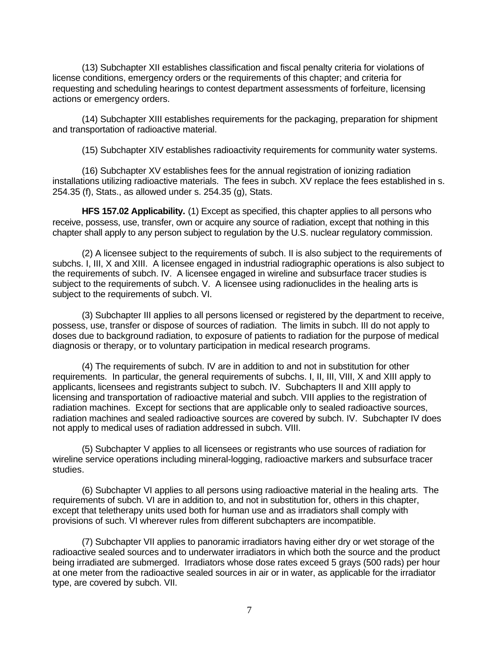(13) Subchapter XII establishes classification and fiscal penalty criteria for violations of license conditions, emergency orders or the requirements of this chapter; and criteria for requesting and scheduling hearings to contest department assessments of forfeiture, licensing actions or emergency orders.

(14) Subchapter XIII establishes requirements for the packaging, preparation for shipment and transportation of radioactive material.

(15) Subchapter XIV establishes radioactivity requirements for community water systems.

(16) Subchapter XV establishes fees for the annual registration of ionizing radiation installations utilizing radioactive materials. The fees in subch. XV replace the fees established in s. 254.35 (f), Stats., as allowed under s. 254.35 (g), Stats.

**HFS 157.02 Applicability.** (1) Except as specified, this chapter applies to all persons who receive, possess, use, transfer, own or acquire any source of radiation, except that nothing in this chapter shall apply to any person subject to regulation by the U.S. nuclear regulatory commission.

(2) A licensee subject to the requirements of subch. II is also subject to the requirements of subchs. I, III, X and XIII. A licensee engaged in industrial radiographic operations is also subject to the requirements of subch. IV. A licensee engaged in wireline and subsurface tracer studies is subject to the requirements of subch. V. A licensee using radionuclides in the healing arts is subject to the requirements of subch. VI.

(3) Subchapter III applies to all persons licensed or registered by the department to receive, possess, use, transfer or dispose of sources of radiation. The limits in subch. III do not apply to doses due to background radiation, to exposure of patients to radiation for the purpose of medical diagnosis or therapy, or to voluntary participation in medical research programs.

(4) The requirements of subch. IV are in addition to and not in substitution for other requirements. In particular, the general requirements of subchs. I, II, III, VIII, X and XIII apply to applicants, licensees and registrants subject to subch. IV. Subchapters II and XIII apply to licensing and transportation of radioactive material and subch. VIII applies to the registration of radiation machines. Except for sections that are applicable only to sealed radioactive sources, radiation machines and sealed radioactive sources are covered by subch. IV. Subchapter IV does not apply to medical uses of radiation addressed in subch. VIII.

(5) Subchapter V applies to all licensees or registrants who use sources of radiation for wireline service operations including mineral-logging, radioactive markers and subsurface tracer studies.

(6) Subchapter VI applies to all persons using radioactive material in the healing arts. The requirements of subch. VI are in addition to, and not in substitution for, others in this chapter, except that teletherapy units used both for human use and as irradiators shall comply with provisions of such. VI wherever rules from different subchapters are incompatible.

(7) Subchapter VII applies to panoramic irradiators having either dry or wet storage of the radioactive sealed sources and to underwater irradiators in which both the source and the product being irradiated are submerged. Irradiators whose dose rates exceed 5 grays (500 rads) per hour at one meter from the radioactive sealed sources in air or in water, as applicable for the irradiator type, are covered by subch. VII.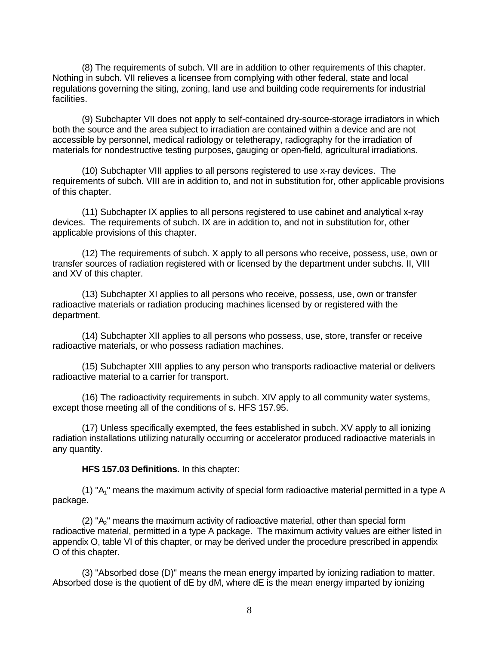(8) The requirements of subch. VII are in addition to other requirements of this chapter. Nothing in subch. VII relieves a licensee from complying with other federal, state and local regulations governing the siting, zoning, land use and building code requirements for industrial facilities.

(9) Subchapter VII does not apply to self-contained dry-source-storage irradiators in which both the source and the area subject to irradiation are contained within a device and are not accessible by personnel, medical radiology or teletherapy, radiography for the irradiation of materials for nondestructive testing purposes, gauging or open-field, agricultural irradiations.

(10) Subchapter VIII applies to all persons registered to use x-ray devices. The requirements of subch. VIII are in addition to, and not in substitution for, other applicable provisions of this chapter.

(11) Subchapter IX applies to all persons registered to use cabinet and analytical x-ray devices. The requirements of subch. IX are in addition to, and not in substitution for, other applicable provisions of this chapter.

(12) The requirements of subch. X apply to all persons who receive, possess, use, own or transfer sources of radiation registered with or licensed by the department under subchs. II, VIII and XV of this chapter.

(13) Subchapter XI applies to all persons who receive, possess, use, own or transfer radioactive materials or radiation producing machines licensed by or registered with the department.

(14) Subchapter XII applies to all persons who possess, use, store, transfer or receive radioactive materials, or who possess radiation machines.

(15) Subchapter XIII applies to any person who transports radioactive material or delivers radioactive material to a carrier for transport.

(16) The radioactivity requirements in subch. XIV apply to all community water systems, except those meeting all of the conditions of s. HFS 157.95.

(17) Unless specifically exempted, the fees established in subch. XV apply to all ionizing radiation installations utilizing naturally occurring or accelerator produced radioactive materials in any quantity.

**HFS 157.03 Definitions.** In this chapter:

(1) " $A_1$ " means the maximum activity of special form radioactive material permitted in a type A package.

 $(2)$  " $A<sub>o</sub>$ " means the maximum activity of radioactive material, other than special form radioactive material, permitted in a type A package. The maximum activity values are either listed in appendix O, table VI of this chapter, or may be derived under the procedure prescribed in appendix O of this chapter.

(3) "Absorbed dose (D)" means the mean energy imparted by ionizing radiation to matter. Absorbed dose is the quotient of dE by dM, where dE is the mean energy imparted by ionizing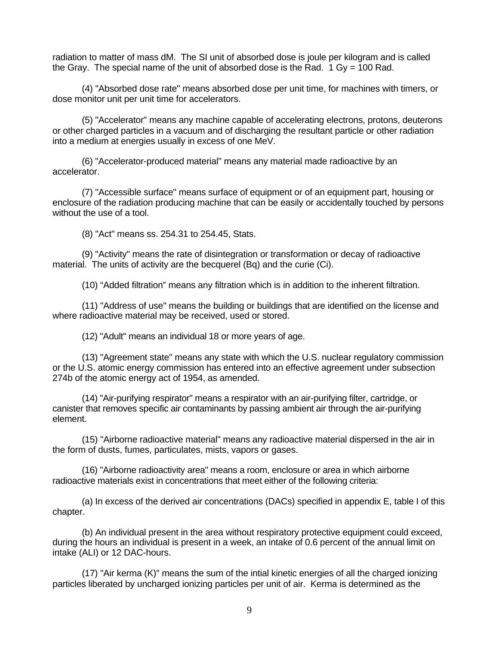radiation to matter of mass dM. The SI unit of absorbed dose is joule per kilogram and is called the Gray. The special name of the unit of absorbed dose is the Rad.  $1 \text{ Gy} = 100 \text{ Rad}$ .

(4) "Absorbed dose rate" means absorbed dose per unit time, for machines with timers, or dose monitor unit per unit time for accelerators.

(5) "Accelerator" means any machine capable of accelerating electrons, protons, deuterons or other charged particles in a vacuum and of discharging the resultant particle or other radiation into a medium at energies usually in excess of one MeV.

(6) "Accelerator-produced material" means any material made radioactive by an accelerator.

(7) "Accessible surface" means surface of equipment or of an equipment part, housing or enclosure of the radiation producing machine that can be easily or accidentally touched by persons without the use of a tool.

(8) "Act" means ss. 254.31 to 254.45, Stats.

(9) "Activity" means the rate of disintegration or transformation or decay of radioactive material. The units of activity are the becquerel (Bq) and the curie (Ci).

(10) "Added filtration" means any filtration which is in addition to the inherent filtration.

(11) "Address of use" means the building or buildings that are identified on the license and where radioactive material may be received, used or stored.

(12) "Adult" means an individual 18 or more years of age.

(13) "Agreement state" means any state with which the U.S. nuclear regulatory commission or the U.S. atomic energy commission has entered into an effective agreement under subsection 274b of the atomic energy act of 1954, as amended.

(14) "Air-purifying respirator" means a respirator with an air-purifying filter, cartridge, or canister that removes specific air contaminants by passing ambient air through the air-purifying element.

(15) "Airborne radioactive material" means any radioactive material dispersed in the air in the form of dusts, fumes, particulates, mists, vapors or gases.

(16) "Airborne radioactivity area" means a room, enclosure or area in which airborne radioactive materials exist in concentrations that meet either of the following criteria:

(a) In excess of the derived air concentrations (DACs) specified in appendix E, table I of this chapter.

(b) An individual present in the area without respiratory protective equipment could exceed, during the hours an individual is present in a week, an intake of 0.6 percent of the annual limit on intake (ALI) or 12 DAC-hours.

(17) "Air kerma (K)" means the sum of the intial kinetic energies of all the charged ionizing particles liberated by uncharged ionizing particles per unit of air. Kerma is determined as the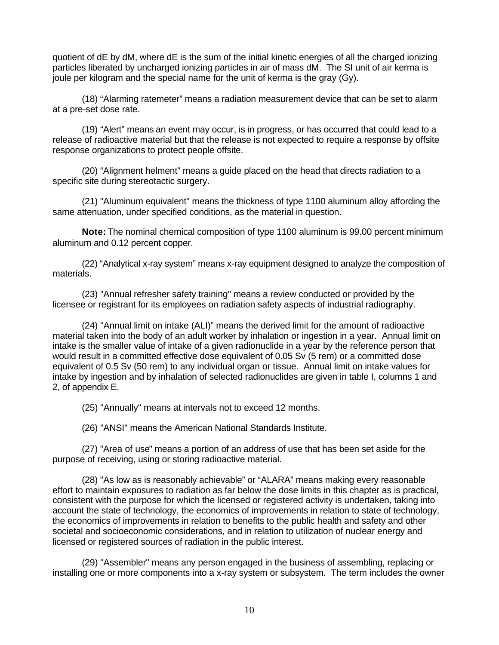quotient of dE by dM, where dE is the sum of the initial kinetic energies of all the charged ionizing particles liberated by uncharged ionizing particles in air of mass dM. The SI unit of air kerma is joule per kilogram and the special name for the unit of kerma is the gray (Gy).

(18) "Alarming ratemeter" means a radiation measurement device that can be set to alarm at a pre-set dose rate.

(19) "Alert" means an event may occur, is in progress, or has occurred that could lead to a release of radioactive material but that the release is not expected to require a response by offsite response organizations to protect people offsite.

(20) "Alignment helment" means a guide placed on the head that directs radiation to a specific site during stereotactic surgery.

(21) "Aluminum equivalent" means the thickness of type 1100 aluminum alloy affording the same attenuation, under specified conditions, as the material in question.

**Note:** The nominal chemical composition of type 1100 aluminum is 99.00 percent minimum aluminum and 0.12 percent copper.

(22) "Analytical x-ray system" means x-ray equipment designed to analyze the composition of materials.

(23) "Annual refresher safety training" means a review conducted or provided by the licensee or registrant for its employees on radiation safety aspects of industrial radiography.

(24) "Annual limit on intake (ALI)" means the derived limit for the amount of radioactive material taken into the body of an adult worker by inhalation or ingestion in a year. Annual limit on intake is the smaller value of intake of a given radionuclide in a year by the reference person that would result in a committed effective dose equivalent of 0.05 Sv (5 rem) or a committed dose equivalent of 0.5 Sv (50 rem) to any individual organ or tissue. Annual limit on intake values for intake by ingestion and by inhalation of selected radionuclides are given in table I, columns 1 and 2, of appendix E.

(25) "Annually" means at intervals not to exceed 12 months.

(26) "ANSI" means the American National Standards Institute.

(27) "Area of use" means a portion of an address of use that has been set aside for the purpose of receiving, using or storing radioactive material.

(28) "As low as is reasonably achievable" or "ALARA" means making every reasonable effort to maintain exposures to radiation as far below the dose limits in this chapter as is practical, consistent with the purpose for which the licensed or registered activity is undertaken, taking into account the state of technology, the economics of improvements in relation to state of technology, the economics of improvements in relation to benefits to the public health and safety and other societal and socioeconomic considerations, and in relation to utilization of nuclear energy and licensed or registered sources of radiation in the public interest.

(29) "Assembler" means any person engaged in the business of assembling, replacing or installing one or more components into a x-ray system or subsystem. The term includes the owner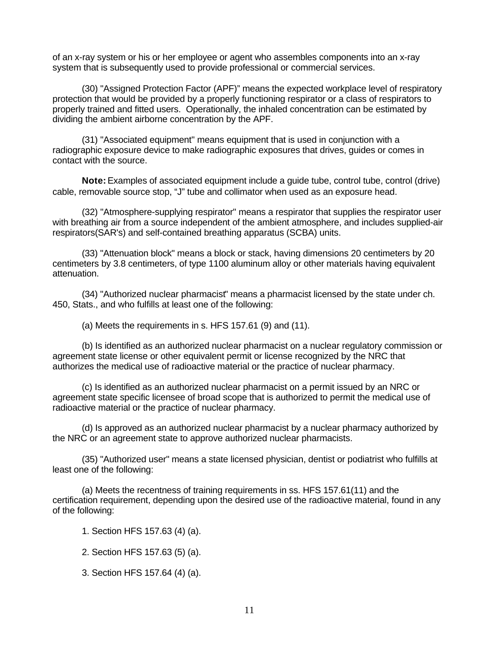of an x-ray system or his or her employee or agent who assembles components into an x-ray system that is subsequently used to provide professional or commercial services.

(30) "Assigned Protection Factor (APF)" means the expected workplace level of respiratory protection that would be provided by a properly functioning respirator or a class of respirators to properly trained and fitted users. Operationally, the inhaled concentration can be estimated by dividing the ambient airborne concentration by the APF.

(31) "Associated equipment" means equipment that is used in conjunction with a radiographic exposure device to make radiographic exposures that drives, guides or comes in contact with the source.

**Note:** Examples of associated equipment include a guide tube, control tube, control (drive) cable, removable source stop, "J" tube and collimator when used as an exposure head.

(32) "Atmosphere-supplying respirator" means a respirator that supplies the respirator user with breathing air from a source independent of the ambient atmosphere, and includes supplied-air respirators(SAR's) and self-contained breathing apparatus (SCBA) units.

(33) "Attenuation block" means a block or stack, having dimensions 20 centimeters by 20 centimeters by 3.8 centimeters, of type 1100 aluminum alloy or other materials having equivalent attenuation.

(34) "Authorized nuclear pharmacist" means a pharmacist licensed by the state under ch. 450, Stats., and who fulfills at least one of the following:

(a) Meets the requirements in s. HFS 157.61 (9) and (11).

(b) Is identified as an authorized nuclear pharmacist on a nuclear regulatory commission or agreement state license or other equivalent permit or license recognized by the NRC that authorizes the medical use of radioactive material or the practice of nuclear pharmacy.

(c) Is identified as an authorized nuclear pharmacist on a permit issued by an NRC or agreement state specific licensee of broad scope that is authorized to permit the medical use of radioactive material or the practice of nuclear pharmacy.

(d) Is approved as an authorized nuclear pharmacist by a nuclear pharmacy authorized by the NRC or an agreement state to approve authorized nuclear pharmacists.

(35) "Authorized user" means a state licensed physician, dentist or podiatrist who fulfills at least one of the following:

(a) Meets the recentness of training requirements in ss. HFS 157.61(11) and the certification requirement, depending upon the desired use of the radioactive material, found in any of the following:

- 1. Section HFS 157.63 (4) (a).
- 2. Section HFS 157.63 (5) (a).
- 3. Section HFS 157.64 (4) (a).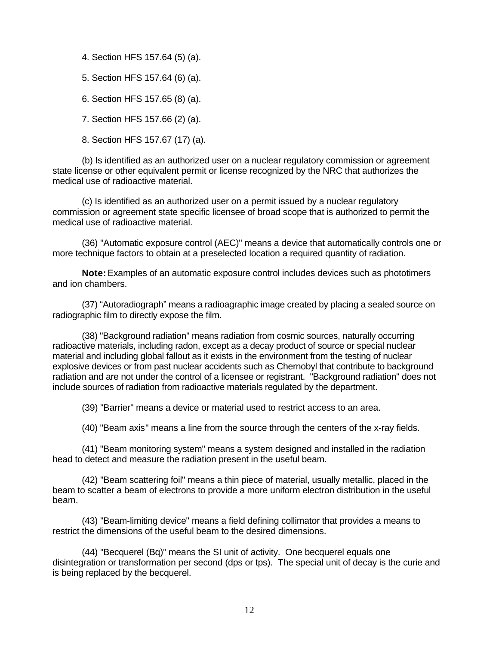- 4. Section HFS 157.64 (5) (a).
- 5. Section HFS 157.64 (6) (a).
- 6. Section HFS 157.65 (8) (a).
- 7. Section HFS 157.66 (2) (a).
- 8. Section HFS 157.67 (17) (a).

(b) Is identified as an authorized user on a nuclear regulatory commission or agreement state license or other equivalent permit or license recognized by the NRC that authorizes the medical use of radioactive material.

(c) Is identified as an authorized user on a permit issued by a nuclear regulatory commission or agreement state specific licensee of broad scope that is authorized to permit the medical use of radioactive material.

(36) "Automatic exposure control (AEC)" means a device that automatically controls one or more technique factors to obtain at a preselected location a required quantity of radiation.

**Note:** Examples of an automatic exposure control includes devices such as phototimers and ion chambers.

(37) "Autoradiograph" means a radioagraphic image created by placing a sealed source on radiographic film to directly expose the film.

(38) "Background radiation" means radiation from cosmic sources, naturally occurring radioactive materials, including radon, except as a decay product of source or special nuclear material and including global fallout as it exists in the environment from the testing of nuclear explosive devices or from past nuclear accidents such as Chernobyl that contribute to background radiation and are not under the control of a licensee or registrant. "Background radiation" does not include sources of radiation from radioactive materials regulated by the department.

(39) "Barrier" means a device or material used to restrict access to an area.

(40) "Beam axis" means a line from the source through the centers of the x-ray fields.

(41) "Beam monitoring system" means a system designed and installed in the radiation head to detect and measure the radiation present in the useful beam.

(42) "Beam scattering foil" means a thin piece of material, usually metallic, placed in the beam to scatter a beam of electrons to provide a more uniform electron distribution in the useful beam.

(43) "Beam-limiting device" means a field defining collimator that provides a means to restrict the dimensions of the useful beam to the desired dimensions.

(44) "Becquerel (Bq)" means the SI unit of activity. One becquerel equals one disintegration or transformation per second (dps or tps). The special unit of decay is the curie and is being replaced by the becquerel.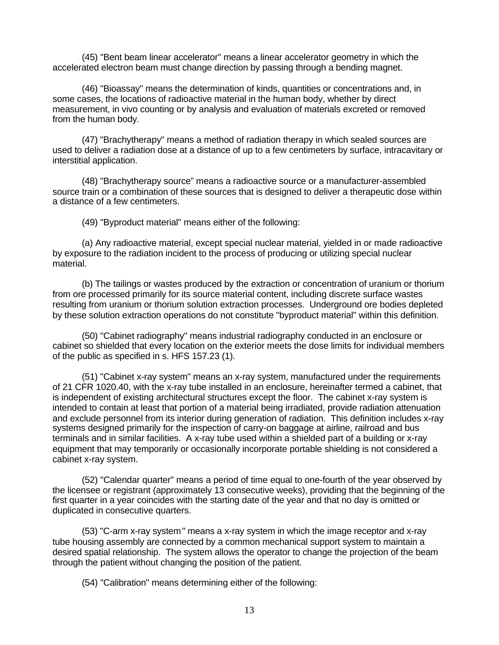(45) "Bent beam linear accelerator" means a linear accelerator geometry in which the accelerated electron beam must change direction by passing through a bending magnet.

(46) "Bioassay" means the determination of kinds, quantities or concentrations and, in some cases, the locations of radioactive material in the human body, whether by direct measurement, in vivo counting or by analysis and evaluation of materials excreted or removed from the human body.

(47) "Brachytherapy" means a method of radiation therapy in which sealed sources are used to deliver a radiation dose at a distance of up to a few centimeters by surface, intracavitary or interstitial application.

(48) "Brachytherapy source" means a radioactive source or a manufacturer-assembled source train or a combination of these sources that is designed to deliver a therapeutic dose within a distance of a few centimeters.

(49) "Byproduct material" means either of the following:

(a) Any radioactive material, except special nuclear material, yielded in or made radioactive by exposure to the radiation incident to the process of producing or utilizing special nuclear material.

(b) The tailings or wastes produced by the extraction or concentration of uranium or thorium from ore processed primarily for its source material content, including discrete surface wastes resulting from uranium or thorium solution extraction processes. Underground ore bodies depleted by these solution extraction operations do not constitute "byproduct material" within this definition.

(50) "Cabinet radiography" means industrial radiography conducted in an enclosure or cabinet so shielded that every location on the exterior meets the dose limits for individual members of the public as specified in s. HFS 157.23 (1).

(51) "Cabinet x-ray system" means an x-ray system, manufactured under the requirements of 21 CFR 1020.40, with the x-ray tube installed in an enclosure, hereinafter termed a cabinet, that is independent of existing architectural structures except the floor. The cabinet x-ray system is intended to contain at least that portion of a material being irradiated, provide radiation attenuation and exclude personnel from its interior during generation of radiation. This definition includes x-ray systems designed primarily for the inspection of carry-on baggage at airline, railroad and bus terminals and in similar facilities. A x-ray tube used within a shielded part of a building or x-ray equipment that may temporarily or occasionally incorporate portable shielding is not considered a cabinet x-ray system.

(52) "Calendar quarter" means a period of time equal to one-fourth of the year observed by the licensee or registrant (approximately 13 consecutive weeks), providing that the beginning of the first quarter in a year coincides with the starting date of the year and that no day is omitted or duplicated in consecutive quarters.

(53) "C-arm x-ray system" means a x-ray system in which the image receptor and x-ray tube housing assembly are connected by a common mechanical support system to maintain a desired spatial relationship. The system allows the operator to change the projection of the beam through the patient without changing the position of the patient.

(54) "Calibration" means determining either of the following: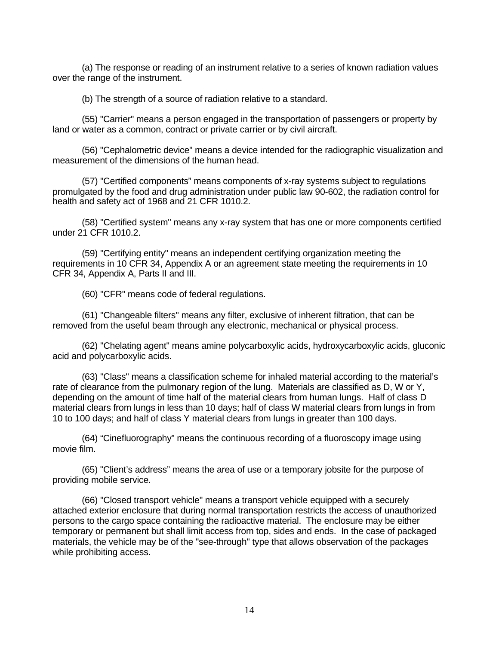(a) The response or reading of an instrument relative to a series of known radiation values over the range of the instrument.

(b) The strength of a source of radiation relative to a standard.

(55) "Carrier" means a person engaged in the transportation of passengers or property by land or water as a common, contract or private carrier or by civil aircraft.

(56) "Cephalometric device" means a device intended for the radiographic visualization and measurement of the dimensions of the human head.

(57) "Certified components" means components of x-ray systems subject to regulations promulgated by the food and drug administration under public law 90-602, the radiation control for health and safety act of 1968 and 21 CFR 1010.2.

(58) "Certified system" means any x-ray system that has one or more components certified under 21 CFR 1010.2.

(59) "Certifying entity" means an independent certifying organization meeting the requirements in 10 CFR 34, Appendix A or an agreement state meeting the requirements in 10 CFR 34, Appendix A, Parts II and III.

(60) "CFR" means code of federal regulations.

(61) "Changeable filters" means any filter, exclusive of inherent filtration, that can be removed from the useful beam through any electronic, mechanical or physical process.

(62) "Chelating agent" means amine polycarboxylic acids, hydroxycarboxylic acids, gluconic acid and polycarboxylic acids.

(63) "Class" means a classification scheme for inhaled material according to the material's rate of clearance from the pulmonary region of the lung. Materials are classified as D, W or Y, depending on the amount of time half of the material clears from human lungs. Half of class D material clears from lungs in less than 10 days; half of class W material clears from lungs in from 10 to 100 days; and half of class Y material clears from lungs in greater than 100 days.

(64) "Cinefluorography" means the continuous recording of a fluoroscopy image using movie film.

(65) "Client's address" means the area of use or a temporary jobsite for the purpose of providing mobile service.

(66) "Closed transport vehicle" means a transport vehicle equipped with a securely attached exterior enclosure that during normal transportation restricts the access of unauthorized persons to the cargo space containing the radioactive material. The enclosure may be either temporary or permanent but shall limit access from top, sides and ends. In the case of packaged materials, the vehicle may be of the "see-through" type that allows observation of the packages while prohibiting access.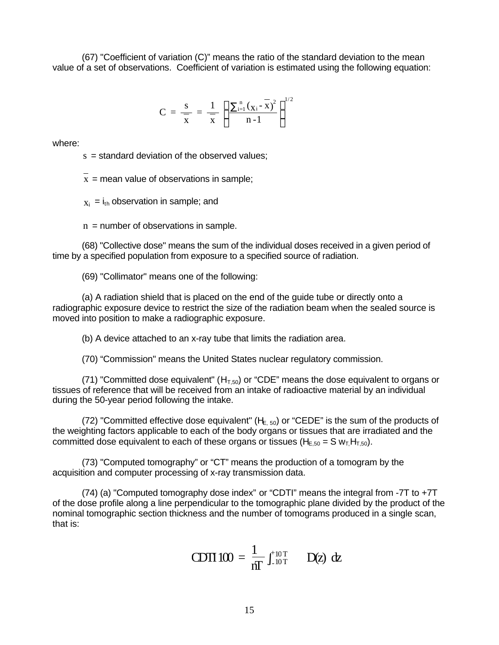(67) "Coefficient of variation (C)" means the ratio of the standard deviation to the mean value of a set of observations. Coefficient of variation is estimated using the following equation:

$$
C = \frac{s}{\overline{x}} = \frac{1}{\overline{x}} \left[ \frac{\sum_{i=1}^{n} (x_i - \overline{x})^2}{n-1} \right]^{1/2}
$$

where:

 $s =$  standard deviation of the observed values;

 $x =$  mean value of observations in sample;

 $x_i = i_{th}$  observation in sample; and

 $n =$  number of observations in sample.

(68) "Collective dose" means the sum of the individual doses received in a given period of time by a specified population from exposure to a specified source of radiation.

(69) "Collimator" means one of the following:

(a) A radiation shield that is placed on the end of the guide tube or directly onto a radiographic exposure device to restrict the size of the radiation beam when the sealed source is moved into position to make a radiographic exposure.

(b) A device attached to an x-ray tube that limits the radiation area.

(70) "Commission" means the United States nuclear regulatory commission.

(71) "Committed dose equivalent" ( $H<sub>T,50</sub>$ ) or "CDE" means the dose equivalent to organs or tissues of reference that will be received from an intake of radioactive material by an individual during the 50-year period following the intake.

(72) "Committed effective dose equivalent" ( $H_{E, 50}$ ) or "CEDE" is the sum of the products of the weighting factors applicable to each of the body organs or tissues that are irradiated and the committed dose equivalent to each of these organs or tissues ( $H_{E,50} = S w_T H_{T,50}$ ).

(73) "Computed tomography" or "CT" means the production of a tomogram by the acquisition and computer processing of x-ray transmission data.

(74) (a) "Computed tomography dose index" or "CDTI" means the integral from -7T to +7T of the dose profile along a line perpendicular to the tomographic plane divided by the product of the nominal tomographic section thickness and the number of tomograms produced in a single scan, that is:

CDII 
$$
100 = \frac{1}{nT} \int_{-10T}^{+10T} D(z) dz
$$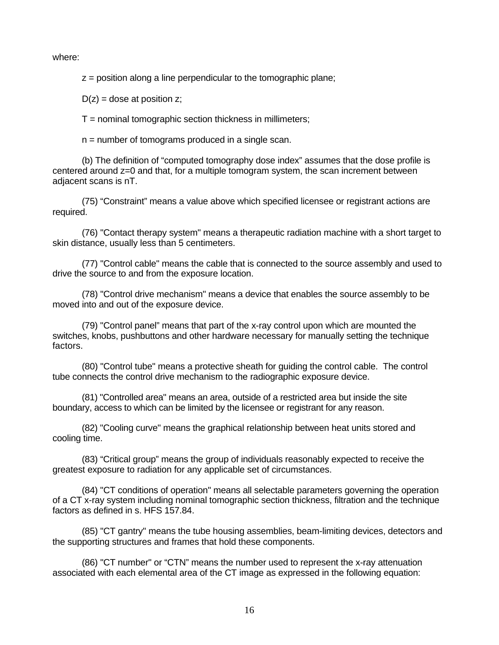where:

 $z =$  position along a line perpendicular to the tomographic plane;

 $D(z)$  = dose at position z;

 $T =$  nominal tomographic section thickness in millimeters;

 $n =$  number of tomograms produced in a single scan.

(b) The definition of "computed tomography dose index" assumes that the dose profile is centered around z=0 and that, for a multiple tomogram system, the scan increment between adjacent scans is nT.

(75) "Constraint" means a value above which specified licensee or registrant actions are required.

(76) "Contact therapy system" means a therapeutic radiation machine with a short target to skin distance, usually less than 5 centimeters.

(77) "Control cable" means the cable that is connected to the source assembly and used to drive the source to and from the exposure location.

(78) "Control drive mechanism" means a device that enables the source assembly to be moved into and out of the exposure device.

(79) "Control panel" means that part of the x-ray control upon which are mounted the switches, knobs, pushbuttons and other hardware necessary for manually setting the technique factors.

(80) "Control tube" means a protective sheath for guiding the control cable. The control tube connects the control drive mechanism to the radiographic exposure device.

(81) "Controlled area" means an area, outside of a restricted area but inside the site boundary, access to which can be limited by the licensee or registrant for any reason.

(82) "Cooling curve" means the graphical relationship between heat units stored and cooling time.

(83) "Critical group" means the group of individuals reasonably expected to receive the greatest exposure to radiation for any applicable set of circumstances.

(84) "CT conditions of operation" means all selectable parameters governing the operation of a CT x-ray system including nominal tomographic section thickness, filtration and the technique factors as defined in s. HFS 157.84.

(85) "CT gantry" means the tube housing assemblies, beam-limiting devices, detectors and the supporting structures and frames that hold these components.

(86) "CT number" or "CTN" means the number used to represent the x-ray attenuation associated with each elemental area of the CT image as expressed in the following equation: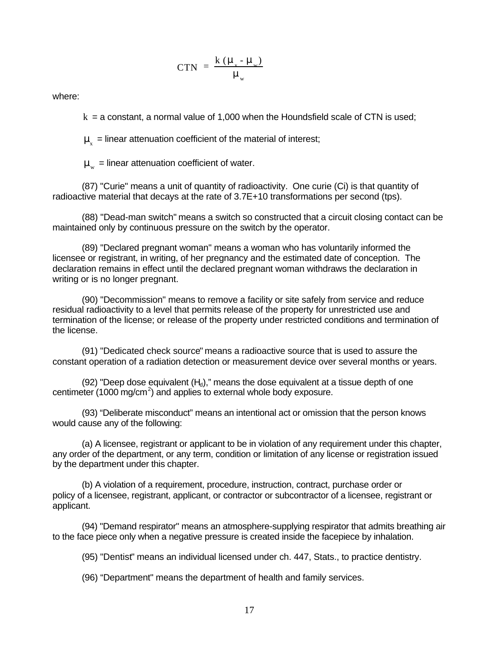$$
CTN = \frac{k (m - m_w)}{m_w}
$$

where:

 $k = a$  constant, a normal value of 1,000 when the Houndsfield scale of CTN is used;

 $\textbf{\emph{n}}_{\rm x}$  = linear attenuation coefficient of the material of interest;

 $\bm{m}_{_{\mathrm{w}}}$  = linear attenuation coefficient of water.

(87) "Curie" means a unit of quantity of radioactivity. One curie (Ci) is that quantity of radioactive material that decays at the rate of 3.7E+10 transformations per second (tps).

(88) "Dead-man switch" means a switch so constructed that a circuit closing contact can be maintained only by continuous pressure on the switch by the operator.

(89) "Declared pregnant woman" means a woman who has voluntarily informed the licensee or registrant, in writing, of her pregnancy and the estimated date of conception. The declaration remains in effect until the declared pregnant woman withdraws the declaration in writing or is no longer pregnant.

(90) "Decommission" means to remove a facility or site safely from service and reduce residual radioactivity to a level that permits release of the property for unrestricted use and termination of the license; or release of the property under restricted conditions and termination of the license.

(91) "Dedicated check source" means a radioactive source that is used to assure the constant operation of a radiation detection or measurement device over several months or years.

(92) "Deep dose equivalent  $(H_d)$ ," means the dose equivalent at a tissue depth of one centimeter (1000 mg/cm<sup>2</sup>) and applies to external whole body exposure.

(93) "Deliberate misconduct" means an intentional act or omission that the person knows would cause any of the following:

(a) A licensee, registrant or applicant to be in violation of any requirement under this chapter, any order of the department, or any term, condition or limitation of any license or registration issued by the department under this chapter.

(b) A violation of a requirement, procedure, instruction, contract, purchase order or policy of a licensee, registrant, applicant, or contractor or subcontractor of a licensee, registrant or applicant.

(94) "Demand respirator" means an atmosphere-supplying respirator that admits breathing air to the face piece only when a negative pressure is created inside the facepiece by inhalation.

(95) "Dentist" means an individual licensed under ch. 447, Stats., to practice dentistry.

(96) "Department" means the department of health and family services.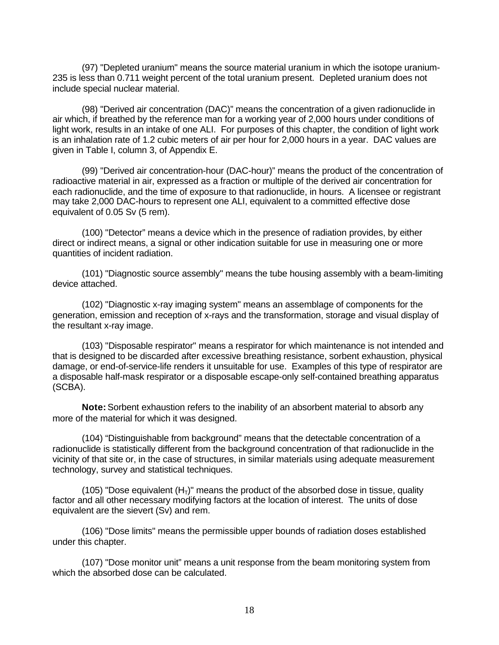(97) "Depleted uranium" means the source material uranium in which the isotope uranium-235 is less than 0.711 weight percent of the total uranium present. Depleted uranium does not include special nuclear material.

(98) "Derived air concentration (DAC)" means the concentration of a given radionuclide in air which, if breathed by the reference man for a working year of 2,000 hours under conditions of light work, results in an intake of one ALI. For purposes of this chapter, the condition of light work is an inhalation rate of 1.2 cubic meters of air per hour for 2,000 hours in a year. DAC values are given in Table I, column 3, of Appendix E.

(99) "Derived air concentration-hour (DAC-hour)" means the product of the concentration of radioactive material in air, expressed as a fraction or multiple of the derived air concentration for each radionuclide, and the time of exposure to that radionuclide, in hours. A licensee or registrant may take 2,000 DAC-hours to represent one ALI, equivalent to a committed effective dose equivalent of 0.05 Sv (5 rem).

(100) "Detector" means a device which in the presence of radiation provides, by either direct or indirect means, a signal or other indication suitable for use in measuring one or more quantities of incident radiation.

(101) "Diagnostic source assembly" means the tube housing assembly with a beam-limiting device attached.

(102) "Diagnostic x-ray imaging system" means an assemblage of components for the generation, emission and reception of x-rays and the transformation, storage and visual display of the resultant x-ray image.

(103) "Disposable respirator" means a respirator for which maintenance is not intended and that is designed to be discarded after excessive breathing resistance, sorbent exhaustion, physical damage, or end-of-service-life renders it unsuitable for use. Examples of this type of respirator are a disposable half-mask respirator or a disposable escape-only self-contained breathing apparatus (SCBA).

**Note:** Sorbent exhaustion refers to the inability of an absorbent material to absorb any more of the material for which it was designed.

(104) "Distinguishable from background" means that the detectable concentration of a radionuclide is statistically different from the background concentration of that radionuclide in the vicinity of that site or, in the case of structures, in similar materials using adequate measurement technology, survey and statistical techniques.

(105) "Dose equivalent  $(H<sub>T</sub>)$ " means the product of the absorbed dose in tissue, quality factor and all other necessary modifying factors at the location of interest. The units of dose equivalent are the sievert (Sv) and rem.

(106) "Dose limits" means the permissible upper bounds of radiation doses established under this chapter.

(107) "Dose monitor unit" means a unit response from the beam monitoring system from which the absorbed dose can be calculated.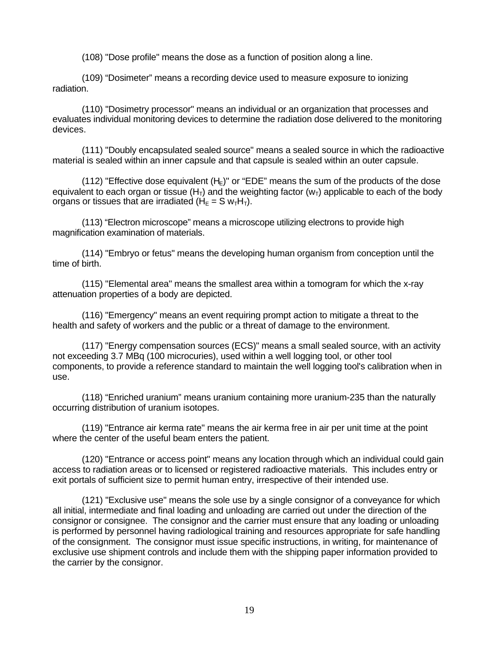(108) "Dose profile" means the dose as a function of position along a line.

(109) "Dosimeter" means a recording device used to measure exposure to ionizing radiation.

(110) "Dosimetry processor" means an individual or an organization that processes and evaluates individual monitoring devices to determine the radiation dose delivered to the monitoring devices.

(111) "Doubly encapsulated sealed source" means a sealed source in which the radioactive material is sealed within an inner capsule and that capsule is sealed within an outer capsule.

(112) "Effective dose equivalent  $(H_F)$ " or "EDE" means the sum of the products of the dose equivalent to each organ or tissue  $(H<sub>T</sub>)$  and the weighting factor  $(w<sub>T</sub>)$  applicable to each of the body organs or tissues that are irradiated ( $H<sub>E</sub> = S w<sub>T</sub>H<sub>T</sub>$ ).

(113) "Electron microscope" means a microscope utilizing electrons to provide high magnification examination of materials.

(114) "Embryo or fetus" means the developing human organism from conception until the time of birth.

(115) "Elemental area" means the smallest area within a tomogram for which the x-ray attenuation properties of a body are depicted.

(116) "Emergency" means an event requiring prompt action to mitigate a threat to the health and safety of workers and the public or a threat of damage to the environment.

(117) "Energy compensation sources (ECS)" means a small sealed source, with an activity not exceeding 3.7 MBq (100 microcuries), used within a well logging tool, or other tool components, to provide a reference standard to maintain the well logging tool's calibration when in use.

(118) "Enriched uranium" means uranium containing more uranium-235 than the naturally occurring distribution of uranium isotopes.

(119) "Entrance air kerma rate" means the air kerma free in air per unit time at the point where the center of the useful beam enters the patient.

(120) "Entrance or access point" means any location through which an individual could gain access to radiation areas or to licensed or registered radioactive materials. This includes entry or exit portals of sufficient size to permit human entry, irrespective of their intended use.

(121) "Exclusive use" means the sole use by a single consignor of a conveyance for which all initial, intermediate and final loading and unloading are carried out under the direction of the consignor or consignee. The consignor and the carrier must ensure that any loading or unloading is performed by personnel having radiological training and resources appropriate for safe handling of the consignment. The consignor must issue specific instructions, in writing, for maintenance of exclusive use shipment controls and include them with the shipping paper information provided to the carrier by the consignor.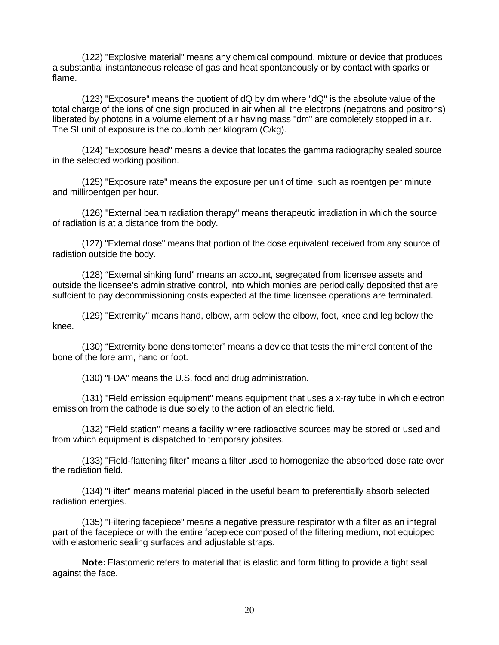(122) "Explosive material" means any chemical compound, mixture or device that produces a substantial instantaneous release of gas and heat spontaneously or by contact with sparks or flame.

(123) "Exposure" means the quotient of dQ by dm where "dQ" is the absolute value of the total charge of the ions of one sign produced in air when all the electrons (negatrons and positrons) liberated by photons in a volume element of air having mass "dm" are completely stopped in air. The SI unit of exposure is the coulomb per kilogram (C/kg).

(124) "Exposure head" means a device that locates the gamma radiography sealed source in the selected working position.

(125) "Exposure rate" means the exposure per unit of time, such as roentgen per minute and milliroentgen per hour.

(126) "External beam radiation therapy" means therapeutic irradiation in which the source of radiation is at a distance from the body.

(127) "External dose" means that portion of the dose equivalent received from any source of radiation outside the body.

(128) "External sinking fund" means an account, segregated from licensee assets and outside the licensee's administrative control, into which monies are periodically deposited that are suffcient to pay decommissioning costs expected at the time licensee operations are terminated.

(129) "Extremity" means hand, elbow, arm below the elbow, foot, knee and leg below the knee.

(130) "Extremity bone densitometer" means a device that tests the mineral content of the bone of the fore arm, hand or foot.

(130) "FDA" means the U.S. food and drug administration.

(131) "Field emission equipment" means equipment that uses a x-ray tube in which electron emission from the cathode is due solely to the action of an electric field.

(132) "Field station" means a facility where radioactive sources may be stored or used and from which equipment is dispatched to temporary jobsites.

(133) "Field-flattening filter" means a filter used to homogenize the absorbed dose rate over the radiation field.

(134) "Filter" means material placed in the useful beam to preferentially absorb selected radiation energies.

(135) "Filtering facepiece" means a negative pressure respirator with a filter as an integral part of the facepiece or with the entire facepiece composed of the filtering medium, not equipped with elastomeric sealing surfaces and adjustable straps.

**Note:** Elastomeric refers to material that is elastic and form fitting to provide a tight seal against the face.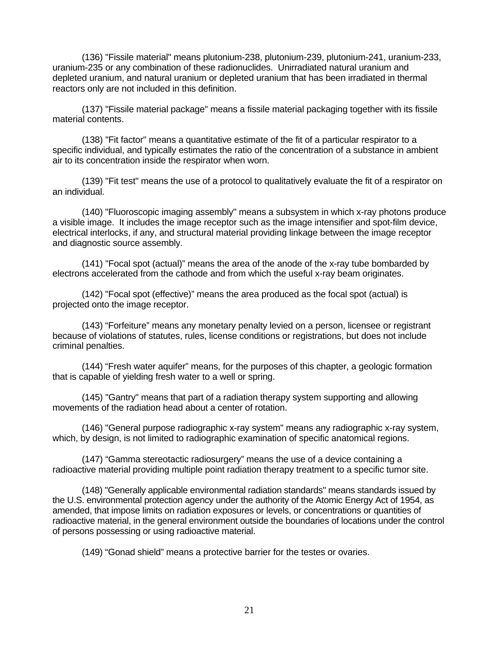(136) "Fissile material" means plutonium-238, plutonium-239, plutonium-241, uranium-233, uranium-235 or any combination of these radionuclides. Unirradiated natural uranium and depleted uranium, and natural uranium or depleted uranium that has been irradiated in thermal reactors only are not included in this definition.

(137) "Fissile material package" means a fissile material packaging together with its fissile material contents.

(138) "Fit factor" means a quantitative estimate of the fit of a particular respirator to a specific individual, and typically estimates the ratio of the concentration of a substance in ambient air to its concentration inside the respirator when worn.

(139) "Fit test" means the use of a protocol to qualitatively evaluate the fit of a respirator on an individual.

(140) "Fluoroscopic imaging assembly" means a subsystem in which x-ray photons produce a visible image. It includes the image receptor such as the image intensifier and spot-film device, electrical interlocks, if any, and structural material providing linkage between the image receptor and diagnostic source assembly.

(141) "Focal spot (actual)" means the area of the anode of the x-ray tube bombarded by electrons accelerated from the cathode and from which the useful x-ray beam originates.

(142) "Focal spot (effective)" means the area produced as the focal spot (actual) is projected onto the image receptor.

(143) "Forfeiture" means any monetary penalty levied on a person, licensee or registrant because of violations of statutes, rules, license conditions or registrations, but does not include criminal penalties.

(144) "Fresh water aquifer" means, for the purposes of this chapter, a geologic formation that is capable of yielding fresh water to a well or spring.

(145) "Gantry" means that part of a radiation therapy system supporting and allowing movements of the radiation head about a center of rotation.

(146) "General purpose radiographic x-ray system" means any radiographic x-ray system, which, by design, is not limited to radiographic examination of specific anatomical regions.

(147) "Gamma stereotactic radiosurgery" means the use of a device containing a radioactive material providing multiple point radiation therapy treatment to a specific tumor site.

(148) "Generally applicable environmental radiation standards" means standards issued by the U.S. environmental protection agency under the authority of the Atomic Energy Act of 1954, as amended, that impose limits on radiation exposures or levels, or concentrations or quantities of radioactive material, in the general environment outside the boundaries of locations under the control of persons possessing or using radioactive material.

(149) "Gonad shield" means a protective barrier for the testes or ovaries.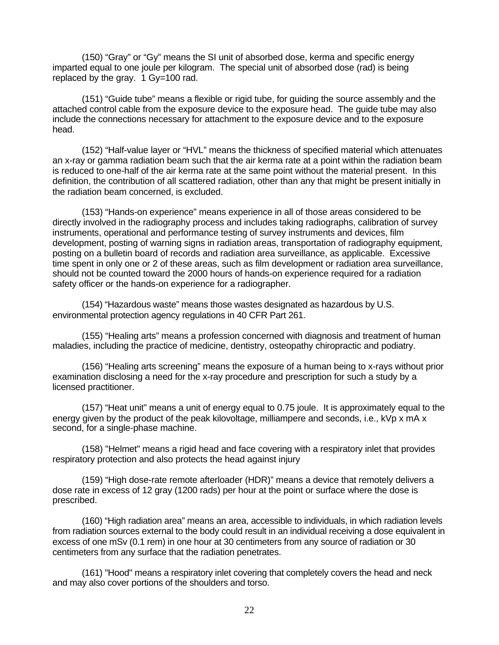(150) "Gray" or "Gy" means the SI unit of absorbed dose, kerma and specific energy imparted equal to one joule per kilogram. The special unit of absorbed dose (rad) is being replaced by the gray. 1 Gy=100 rad.

(151) "Guide tube" means a flexible or rigid tube, for guiding the source assembly and the attached control cable from the exposure device to the exposure head. The guide tube may also include the connections necessary for attachment to the exposure device and to the exposure head.

(152) "Half-value layer or "HVL" means the thickness of specified material which attenuates an x-ray or gamma radiation beam such that the air kerma rate at a point within the radiation beam is reduced to one-half of the air kerma rate at the same point without the material present. In this definition, the contribution of all scattered radiation, other than any that might be present initially in the radiation beam concerned, is excluded.

(153) "Hands-on experience" means experience in all of those areas considered to be directly involved in the radiography process and includes taking radiographs, calibration of survey instruments, operational and performance testing of survey instruments and devices, film development, posting of warning signs in radiation areas, transportation of radiography equipment, posting on a bulletin board of records and radiation area surveillance, as applicable. Excessive time spent in only one or 2 of these areas, such as film development or radiation area surveillance, should not be counted toward the 2000 hours of hands-on experience required for a radiation safety officer or the hands-on experience for a radiographer.

(154) "Hazardous waste" means those wastes designated as hazardous by U.S. environmental protection agency regulations in 40 CFR Part 261.

(155) "Healing arts" means a profession concerned with diagnosis and treatment of human maladies, including the practice of medicine, dentistry, osteopathy chiropractic and podiatry.

(156) "Healing arts screening" means the exposure of a human being to x-rays without prior examination disclosing a need for the x-ray procedure and prescription for such a study by a licensed practitioner.

(157) "Heat unit" means a unit of energy equal to 0.75 joule. It is approximately equal to the energy given by the product of the peak kilovoltage, milliampere and seconds, i.e., kVp x mA x second, for a single-phase machine.

(158) "Helmet" means a rigid head and face covering with a respiratory inlet that provides respiratory protection and also protects the head against injury

(159) "High dose-rate remote afterloader (HDR)" means a device that remotely delivers a dose rate in excess of 12 gray (1200 rads) per hour at the point or surface where the dose is prescribed.

(160) "High radiation area" means an area, accessible to individuals, in which radiation levels from radiation sources external to the body could result in an individual receiving a dose equivalent in excess of one mSv (0.1 rem) in one hour at 30 centimeters from any source of radiation or 30 centimeters from any surface that the radiation penetrates.

(161) "Hood" means a respiratory inlet covering that completely covers the head and neck and may also cover portions of the shoulders and torso.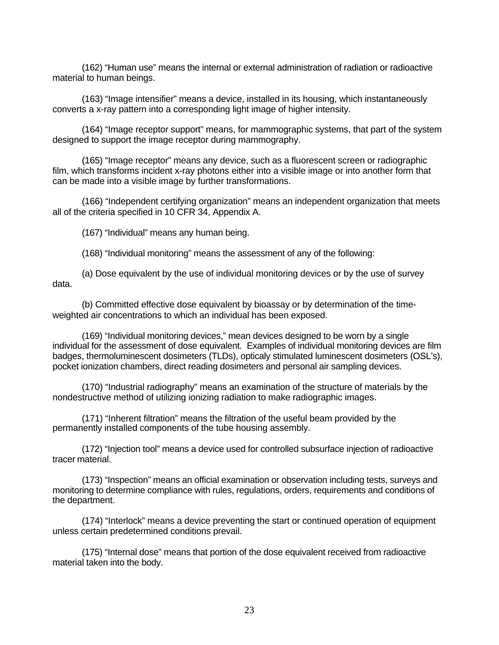(162) "Human use" means the internal or external administration of radiation or radioactive material to human beings.

(163) "Image intensifier" means a device, installed in its housing, which instantaneously converts a x-ray pattern into a corresponding light image of higher intensity.

(164) "Image receptor support" means, for mammographic systems, that part of the system designed to support the image receptor during mammography.

(165) "Image receptor" means any device, such as a fluorescent screen or radiographic film, which transforms incident x-ray photons either into a visible image or into another form that can be made into a visible image by further transformations.

(166) "Independent certifying organization" means an independent organization that meets all of the criteria specified in 10 CFR 34, Appendix A.

(167) "Individual" means any human being.

(168) "Individual monitoring" means the assessment of any of the following:

(a) Dose equivalent by the use of individual monitoring devices or by the use of survey data.

(b) Committed effective dose equivalent by bioassay or by determination of the timeweighted air concentrations to which an individual has been exposed.

(169) "Individual monitoring devices," mean devices designed to be worn by a single individual for the assessment of dose equivalent. Examples of individual monitoring devices are film badges, thermoluminescent dosimeters (TLDs), opticaly stimulated luminescent dosimeters (OSL's), pocket ionization chambers, direct reading dosimeters and personal air sampling devices.

(170) "Industrial radiography" means an examination of the structure of materials by the nondestructive method of utilizing ionizing radiation to make radiographic images.

(171) "Inherent filtration" means the filtration of the useful beam provided by the permanently installed components of the tube housing assembly.

(172) "Injection tool" means a device used for controlled subsurface injection of radioactive tracer material.

(173) "Inspection" means an official examination or observation including tests, surveys and monitoring to determine compliance with rules, regulations, orders, requirements and conditions of the department.

(174) "Interlock" means a device preventing the start or continued operation of equipment unless certain predetermined conditions prevail.

(175) "Internal dose" means that portion of the dose equivalent received from radioactive material taken into the body.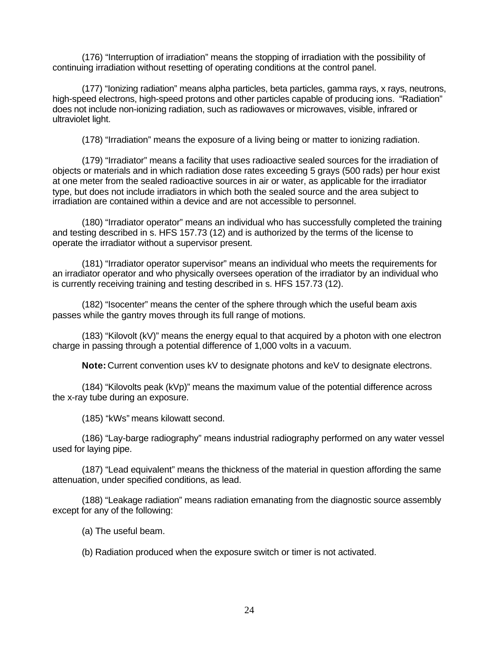(176) "Interruption of irradiation" means the stopping of irradiation with the possibility of continuing irradiation without resetting of operating conditions at the control panel.

(177) "Ionizing radiation" means alpha particles, beta particles, gamma rays, x rays, neutrons, high-speed electrons, high-speed protons and other particles capable of producing ions. "Radiation" does not include non-ionizing radiation, such as radiowaves or microwaves, visible, infrared or ultraviolet light.

(178) "Irradiation" means the exposure of a living being or matter to ionizing radiation.

(179) "Irradiator" means a facility that uses radioactive sealed sources for the irradiation of objects or materials and in which radiation dose rates exceeding 5 grays (500 rads) per hour exist at one meter from the sealed radioactive sources in air or water, as applicable for the irradiator type, but does not include irradiators in which both the sealed source and the area subject to irradiation are contained within a device and are not accessible to personnel.

(180) "Irradiator operator" means an individual who has successfully completed the training and testing described in s. HFS 157.73 (12) and is authorized by the terms of the license to operate the irradiator without a supervisor present.

(181) "Irradiator operator supervisor" means an individual who meets the requirements for an irradiator operator and who physically oversees operation of the irradiator by an individual who is currently receiving training and testing described in s. HFS 157.73 (12).

(182) "Isocenter" means the center of the sphere through which the useful beam axis passes while the gantry moves through its full range of motions.

(183) "Kilovolt (kV)" means the energy equal to that acquired by a photon with one electron charge in passing through a potential difference of 1,000 volts in a vacuum.

**Note:** Current convention uses kV to designate photons and keV to designate electrons.

(184) "Kilovolts peak (kVp)" means the maximum value of the potential difference across the x-ray tube during an exposure.

(185) "kWs" means kilowatt second.

(186) "Lay-barge radiography" means industrial radiography performed on any water vessel used for laying pipe.

(187) "Lead equivalent" means the thickness of the material in question affording the same attenuation, under specified conditions, as lead.

(188) "Leakage radiation" means radiation emanating from the diagnostic source assembly except for any of the following:

(a) The useful beam.

(b) Radiation produced when the exposure switch or timer is not activated.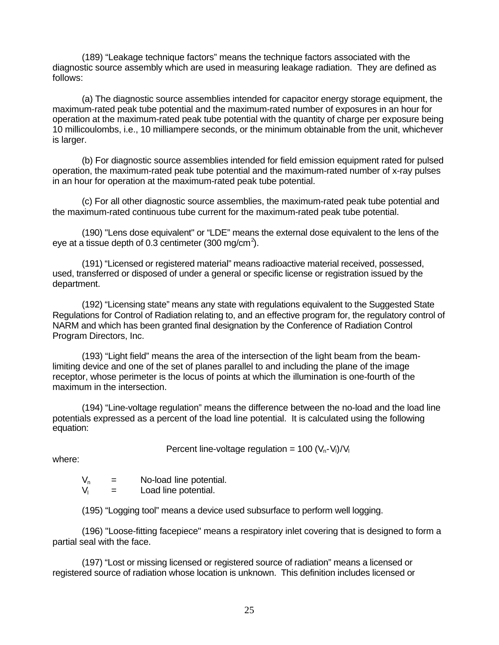(189) "Leakage technique factors" means the technique factors associated with the diagnostic source assembly which are used in measuring leakage radiation. They are defined as follows:

(a) The diagnostic source assemblies intended for capacitor energy storage equipment, the maximum-rated peak tube potential and the maximum-rated number of exposures in an hour for operation at the maximum-rated peak tube potential with the quantity of charge per exposure being 10 millicoulombs, i.e., 10 milliampere seconds, or the minimum obtainable from the unit, whichever is larger.

(b) For diagnostic source assemblies intended for field emission equipment rated for pulsed operation, the maximum-rated peak tube potential and the maximum-rated number of x-ray pulses in an hour for operation at the maximum-rated peak tube potential.

(c) For all other diagnostic source assemblies, the maximum-rated peak tube potential and the maximum-rated continuous tube current for the maximum-rated peak tube potential.

(190) "Lens dose equivalent" or "LDE" means the external dose equivalent to the lens of the eye at a tissue depth of 0.3 centimeter (300 mg/cm<sup>2</sup>).

(191) "Licensed or registered material" means radioactive material received, possessed, used, transferred or disposed of under a general or specific license or registration issued by the department.

(192) "Licensing state" means any state with regulations equivalent to the Suggested State Regulations for Control of Radiation relating to, and an effective program for, the regulatory control of NARM and which has been granted final designation by the Conference of Radiation Control Program Directors, Inc.

(193) "Light field" means the area of the intersection of the light beam from the beamlimiting device and one of the set of planes parallel to and including the plane of the image receptor, whose perimeter is the locus of points at which the illumination is one-fourth of the maximum in the intersection.

(194) "Line-voltage regulation" means the difference between the no-load and the load line potentials expressed as a percent of the load line potential. It is calculated using the following equation:

Percent line-voltage regulation =  $100 (V_n-V_l)/V_l$ 

where:

 $V_n$  = No-load line potential.<br> $V_i$  = Load line potential. Load line potential.

(195) "Logging tool" means a device used subsurface to perform well logging.

(196) "Loose-fitting facepiece" means a respiratory inlet covering that is designed to form a partial seal with the face.

(197) "Lost or missing licensed or registered source of radiation" means a licensed or registered source of radiation whose location is unknown. This definition includes licensed or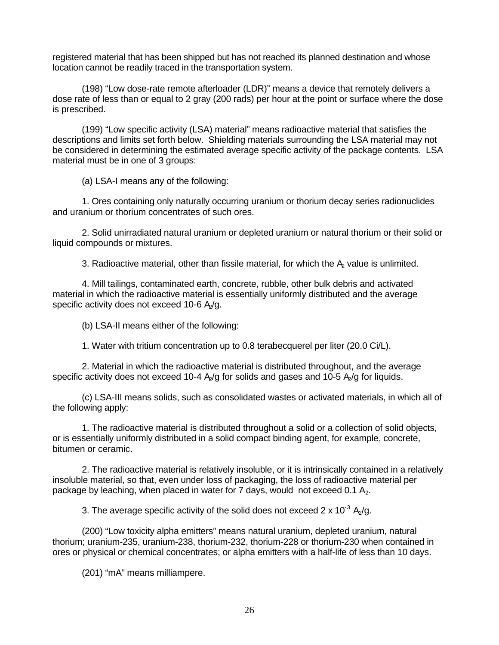registered material that has been shipped but has not reached its planned destination and whose location cannot be readily traced in the transportation system.

(198) "Low dose-rate remote afterloader (LDR)" means a device that remotely delivers a dose rate of less than or equal to 2 gray (200 rads) per hour at the point or surface where the dose is prescribed.

(199) "Low specific activity (LSA) material" means radioactive material that satisfies the descriptions and limits set forth below. Shielding materials surrounding the LSA material may not be considered in determining the estimated average specific activity of the package contents. LSA material must be in one of 3 groups:

(a) LSA-I means any of the following:

1. Ores containing only naturally occurring uranium or thorium decay series radionuclides and uranium or thorium concentrates of such ores.

2. Solid unirradiated natural uranium or depleted uranium or natural thorium or their solid or liquid compounds or mixtures.

3. Radioactive material, other than fissile material, for which the  $A<sub>e</sub>$  value is unlimited.

4. Mill tailings, contaminated earth, concrete, rubble, other bulk debris and activated material in which the radioactive material is essentially uniformly distributed and the average specific activity does not exceed 10-6  $A<sub>2</sub>/g$ .

(b) LSA-II means either of the following:

1. Water with tritium concentration up to 0.8 terabecquerel per liter (20.0 Ci/L).

2. Material in which the radioactive material is distributed throughout, and the average specific activity does not exceed 10-4  $A_2$ /g for solids and gases and 10-5  $A_2$ /g for liquids.

(c) LSA-III means solids, such as consolidated wastes or activated materials, in which all of the following apply:

1. The radioactive material is distributed throughout a solid or a collection of solid objects, or is essentially uniformly distributed in a solid compact binding agent, for example, concrete, bitumen or ceramic.

2. The radioactive material is relatively insoluble, or it is intrinsically contained in a relatively insoluble material, so that, even under loss of packaging, the loss of radioactive material per package by leaching, when placed in water for 7 days, would not exceed 0.1  $A_2$ .

3. The average specific activity of the solid does not exceed 2 x 10<sup>-3</sup> A<sub>2</sub>/g.

(200) "Low toxicity alpha emitters" means natural uranium, depleted uranium, natural thorium; uranium-235, uranium-238, thorium-232, thorium-228 or thorium-230 when contained in ores or physical or chemical concentrates; or alpha emitters with a half-life of less than 10 days.

(201) "mA" means milliampere.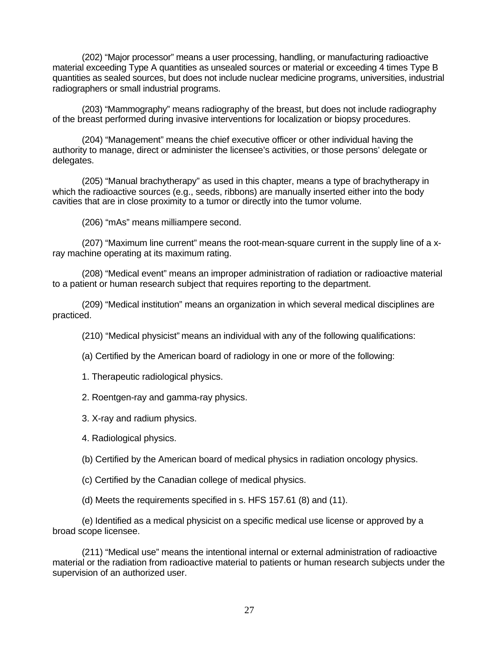(202) "Major processor" means a user processing, handling, or manufacturing radioactive material exceeding Type A quantities as unsealed sources or material or exceeding 4 times Type B quantities as sealed sources, but does not include nuclear medicine programs, universities, industrial radiographers or small industrial programs.

(203) "Mammography" means radiography of the breast, but does not include radiography of the breast performed during invasive interventions for localization or biopsy procedures.

(204) "Management" means the chief executive officer or other individual having the authority to manage, direct or administer the licensee's activities, or those persons' delegate or delegates.

(205) "Manual brachytherapy" as used in this chapter, means a type of brachytherapy in which the radioactive sources (e.g., seeds, ribbons) are manually inserted either into the body cavities that are in close proximity to a tumor or directly into the tumor volume.

(206) "mAs" means milliampere second.

(207) "Maximum line current" means the root-mean-square current in the supply line of a xray machine operating at its maximum rating.

(208) "Medical event" means an improper administration of radiation or radioactive material to a patient or human research subject that requires reporting to the department.

(209) "Medical institution" means an organization in which several medical disciplines are practiced.

(210) "Medical physicist" means an individual with any of the following qualifications:

(a) Certified by the American board of radiology in one or more of the following:

1. Therapeutic radiological physics.

2. Roentgen-ray and gamma-ray physics.

3. X-ray and radium physics.

4. Radiological physics.

(b) Certified by the American board of medical physics in radiation oncology physics.

(c) Certified by the Canadian college of medical physics.

(d) Meets the requirements specified in s. HFS 157.61 (8) and (11).

(e) Identified as a medical physicist on a specific medical use license or approved by a broad scope licensee.

(211) "Medical use" means the intentional internal or external administration of radioactive material or the radiation from radioactive material to patients or human research subjects under the supervision of an authorized user.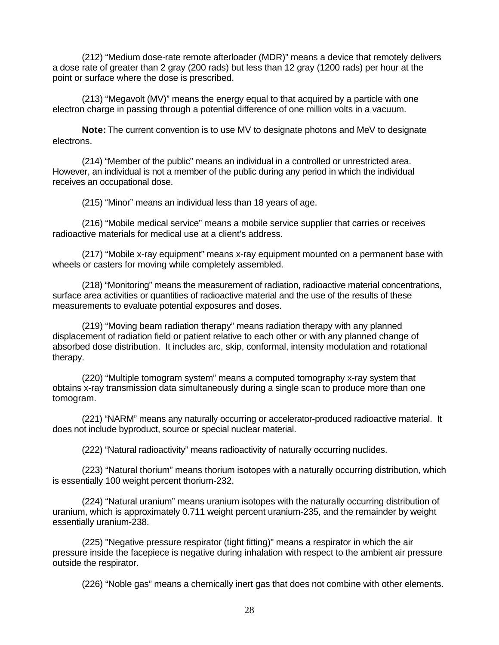(212) "Medium dose-rate remote afterloader (MDR)" means a device that remotely delivers a dose rate of greater than 2 gray (200 rads) but less than 12 gray (1200 rads) per hour at the point or surface where the dose is prescribed.

(213) "Megavolt (MV)" means the energy equal to that acquired by a particle with one electron charge in passing through a potential difference of one million volts in a vacuum.

**Note:** The current convention is to use MV to designate photons and MeV to designate electrons.

(214) "Member of the public" means an individual in a controlled or unrestricted area. However, an individual is not a member of the public during any period in which the individual receives an occupational dose.

(215) "Minor" means an individual less than 18 years of age.

(216) "Mobile medical service" means a mobile service supplier that carries or receives radioactive materials for medical use at a client's address.

(217) "Mobile x-ray equipment" means x-ray equipment mounted on a permanent base with wheels or casters for moving while completely assembled.

(218) "Monitoring" means the measurement of radiation, radioactive material concentrations, surface area activities or quantities of radioactive material and the use of the results of these measurements to evaluate potential exposures and doses.

(219) "Moving beam radiation therapy" means radiation therapy with any planned displacement of radiation field or patient relative to each other or with any planned change of absorbed dose distribution. It includes arc, skip, conformal, intensity modulation and rotational therapy.

(220) "Multiple tomogram system" means a computed tomography x-ray system that obtains x-ray transmission data simultaneously during a single scan to produce more than one tomogram.

(221) "NARM" means any naturally occurring or accelerator-produced radioactive material. It does not include byproduct, source or special nuclear material.

(222) "Natural radioactivity" means radioactivity of naturally occurring nuclides.

(223) "Natural thorium" means thorium isotopes with a naturally occurring distribution, which is essentially 100 weight percent thorium-232.

(224) "Natural uranium" means uranium isotopes with the naturally occurring distribution of uranium, which is approximately 0.711 weight percent uranium-235, and the remainder by weight essentially uranium-238.

(225) "Negative pressure respirator (tight fitting)" means a respirator in which the air pressure inside the facepiece is negative during inhalation with respect to the ambient air pressure outside the respirator.

(226) "Noble gas" means a chemically inert gas that does not combine with other elements.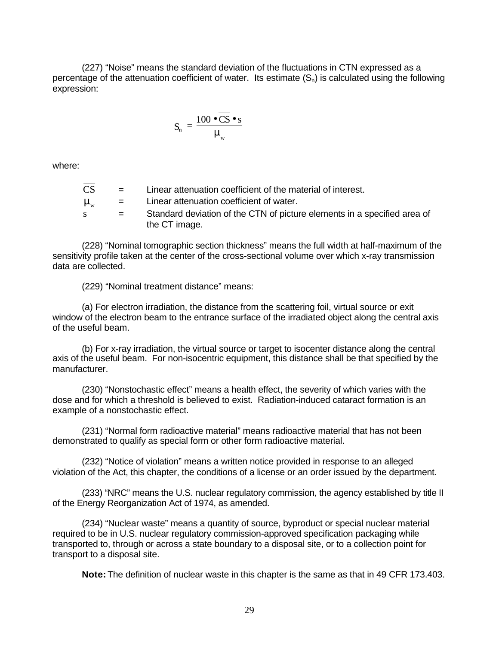(227) "Noise" means the standard deviation of the fluctuations in CTN expressed as a percentage of the attenuation coefficient of water. Its estimate  $(S_n)$  is calculated using the following expression:

$$
\mathbf{S}_{\mathrm{n}} = \frac{100 \bullet \overline{\mathbf{C}} \mathbf{S} \bullet \mathbf{s}}{\mathbf{m}_{\mathrm{w}}}
$$

where:

| CS                        | $\equiv$ | Linear attenuation coefficient of the material of interest.              |
|---------------------------|----------|--------------------------------------------------------------------------|
| $\mathbf{m}_{\mathrm{w}}$ | $\equiv$ | Linear attenuation coefficient of water.                                 |
|                           | $=$      | Standard deviation of the CTN of picture elements in a specified area of |
|                           |          | the CT image.                                                            |

(228) "Nominal tomographic section thickness" means the full width at half-maximum of the sensitivity profile taken at the center of the cross-sectional volume over which x-ray transmission data are collected.

(229) "Nominal treatment distance" means:

(a) For electron irradiation, the distance from the scattering foil, virtual source or exit window of the electron beam to the entrance surface of the irradiated object along the central axis of the useful beam.

(b) For x-ray irradiation, the virtual source or target to isocenter distance along the central axis of the useful beam. For non-isocentric equipment, this distance shall be that specified by the manufacturer.

(230) "Nonstochastic effect" means a health effect, the severity of which varies with the dose and for which a threshold is believed to exist. Radiation-induced cataract formation is an example of a nonstochastic effect.

(231) "Normal form radioactive material" means radioactive material that has not been demonstrated to qualify as special form or other form radioactive material.

(232) "Notice of violation" means a written notice provided in response to an alleged violation of the Act, this chapter, the conditions of a license or an order issued by the department.

(233) "NRC" means the U.S. nuclear regulatory commission, the agency established by title II of the Energy Reorganization Act of 1974, as amended.

(234) "Nuclear waste" means a quantity of source, byproduct or special nuclear material required to be in U.S. nuclear regulatory commission-approved specification packaging while transported to, through or across a state boundary to a disposal site, or to a collection point for transport to a disposal site.

**Note:** The definition of nuclear waste in this chapter is the same as that in 49 CFR 173.403.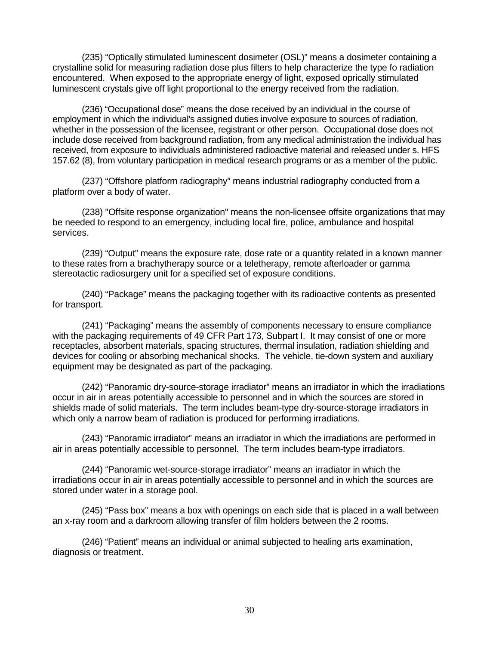(235) "Optically stimulated luminescent dosimeter (OSL)" means a dosimeter containing a crystalline solid for measuring radiation dose plus filters to help characterize the type fo radiation encountered. When exposed to the appropriate energy of light, exposed oprically stimulated luminescent crystals give off light proportional to the energy received from the radiation.

(236) "Occupational dose" means the dose received by an individual in the course of employment in which the individual's assigned duties involve exposure to sources of radiation, whether in the possession of the licensee, registrant or other person. Occupational dose does not include dose received from background radiation, from any medical administration the individual has received, from exposure to individuals administered radioactive material and released under s. HFS 157.62 (8), from voluntary participation in medical research programs or as a member of the public.

(237) "Offshore platform radiography" means industrial radiography conducted from a platform over a body of water.

(238) "Offsite response organization" means the non-licensee offsite organizations that may be needed to respond to an emergency, including local fire, police, ambulance and hospital services.

(239) "Output" means the exposure rate, dose rate or a quantity related in a known manner to these rates from a brachytherapy source or a teletherapy, remote afterloader or gamma stereotactic radiosurgery unit for a specified set of exposure conditions.

(240) "Package" means the packaging together with its radioactive contents as presented for transport.

(241) "Packaging" means the assembly of components necessary to ensure compliance with the packaging requirements of 49 CFR Part 173, Subpart I. It may consist of one or more receptacles, absorbent materials, spacing structures, thermal insulation, radiation shielding and devices for cooling or absorbing mechanical shocks. The vehicle, tie-down system and auxiliary equipment may be designated as part of the packaging.

(242) "Panoramic dry-source-storage irradiator" means an irradiator in which the irradiations occur in air in areas potentially accessible to personnel and in which the sources are stored in shields made of solid materials. The term includes beam-type dry-source-storage irradiators in which only a narrow beam of radiation is produced for performing irradiations.

(243) "Panoramic irradiator" means an irradiator in which the irradiations are performed in air in areas potentially accessible to personnel. The term includes beam-type irradiators.

(244) "Panoramic wet-source-storage irradiator" means an irradiator in which the irradiations occur in air in areas potentially accessible to personnel and in which the sources are stored under water in a storage pool.

(245) "Pass box" means a box with openings on each side that is placed in a wall between an x-ray room and a darkroom allowing transfer of film holders between the 2 rooms.

(246) "Patient" means an individual or animal subjected to healing arts examination, diagnosis or treatment.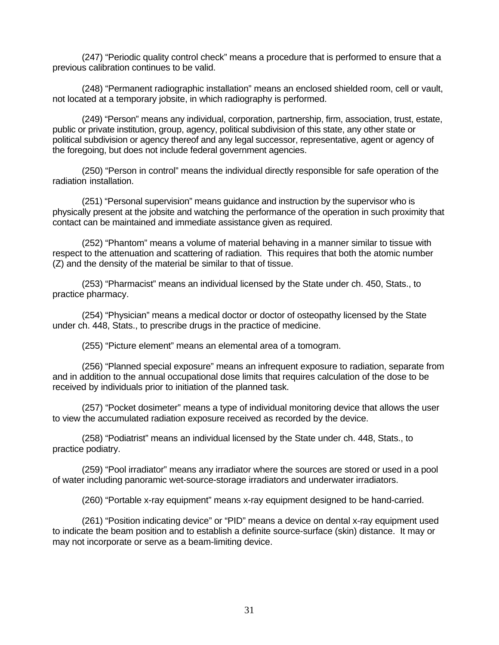(247) "Periodic quality control check" means a procedure that is performed to ensure that a previous calibration continues to be valid.

(248) "Permanent radiographic installation" means an enclosed shielded room, cell or vault, not located at a temporary jobsite, in which radiography is performed.

(249) "Person" means any individual, corporation, partnership, firm, association, trust, estate, public or private institution, group, agency, political subdivision of this state, any other state or political subdivision or agency thereof and any legal successor, representative, agent or agency of the foregoing, but does not include federal government agencies.

(250) "Person in control" means the individual directly responsible for safe operation of the radiation installation.

(251) "Personal supervision" means guidance and instruction by the supervisor who is physically present at the jobsite and watching the performance of the operation in such proximity that contact can be maintained and immediate assistance given as required.

(252) "Phantom" means a volume of material behaving in a manner similar to tissue with respect to the attenuation and scattering of radiation. This requires that both the atomic number (Z) and the density of the material be similar to that of tissue.

(253) "Pharmacist" means an individual licensed by the State under ch. 450, Stats., to practice pharmacy.

(254) "Physician" means a medical doctor or doctor of osteopathy licensed by the State under ch. 448, Stats., to prescribe drugs in the practice of medicine.

(255) "Picture element" means an elemental area of a tomogram.

(256) "Planned special exposure" means an infrequent exposure to radiation, separate from and in addition to the annual occupational dose limits that requires calculation of the dose to be received by individuals prior to initiation of the planned task.

(257) "Pocket dosimeter" means a type of individual monitoring device that allows the user to view the accumulated radiation exposure received as recorded by the device.

(258) "Podiatrist" means an individual licensed by the State under ch. 448, Stats., to practice podiatry.

(259) "Pool irradiator" means any irradiator where the sources are stored or used in a pool of water including panoramic wet-source-storage irradiators and underwater irradiators.

(260) "Portable x-ray equipment" means x-ray equipment designed to be hand-carried.

(261) "Position indicating device" or "PID" means a device on dental x-ray equipment used to indicate the beam position and to establish a definite source-surface (skin) distance. It may or may not incorporate or serve as a beam-limiting device.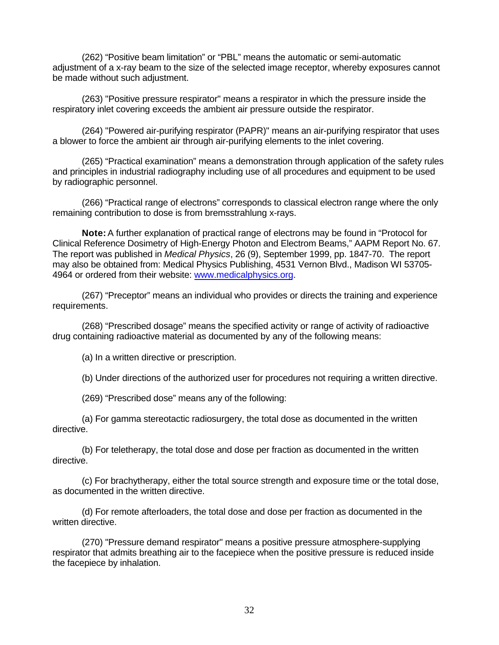(262) "Positive beam limitation" or "PBL" means the automatic or semi-automatic adjustment of a x-ray beam to the size of the selected image receptor, whereby exposures cannot be made without such adjustment.

(263) "Positive pressure respirator" means a respirator in which the pressure inside the respiratory inlet covering exceeds the ambient air pressure outside the respirator.

(264) "Powered air-purifying respirator (PAPR)" means an air-purifying respirator that uses a blower to force the ambient air through air-purifying elements to the inlet covering.

(265) "Practical examination" means a demonstration through application of the safety rules and principles in industrial radiography including use of all procedures and equipment to be used by radiographic personnel.

(266) "Practical range of electrons" corresponds to classical electron range where the only remaining contribution to dose is from bremsstrahlung x-rays.

**Note:** A further explanation of practical range of electrons may be found in "Protocol for Clinical Reference Dosimetry of High-Energy Photon and Electrom Beams," AAPM Report No. 67. The report was published in *Medical Physics*, 26 (9), September 1999, pp. 1847-70. The report may also be obtained from: Medical Physics Publishing, 4531 Vernon Blvd., Madison WI 53705- 4964 or ordered from their website: www.medicalphysics.org.

(267) "Preceptor" means an individual who provides or directs the training and experience requirements.

(268) "Prescribed dosage" means the specified activity or range of activity of radioactive drug containing radioactive material as documented by any of the following means:

(a) In a written directive or prescription.

(b) Under directions of the authorized user for procedures not requiring a written directive.

(269) "Prescribed dose" means any of the following:

(a) For gamma stereotactic radiosurgery, the total dose as documented in the written directive.

(b) For teletherapy, the total dose and dose per fraction as documented in the written directive.

(c) For brachytherapy, either the total source strength and exposure time or the total dose, as documented in the written directive.

(d) For remote afterloaders, the total dose and dose per fraction as documented in the written directive.

(270) "Pressure demand respirator" means a positive pressure atmosphere-supplying respirator that admits breathing air to the facepiece when the positive pressure is reduced inside the facepiece by inhalation.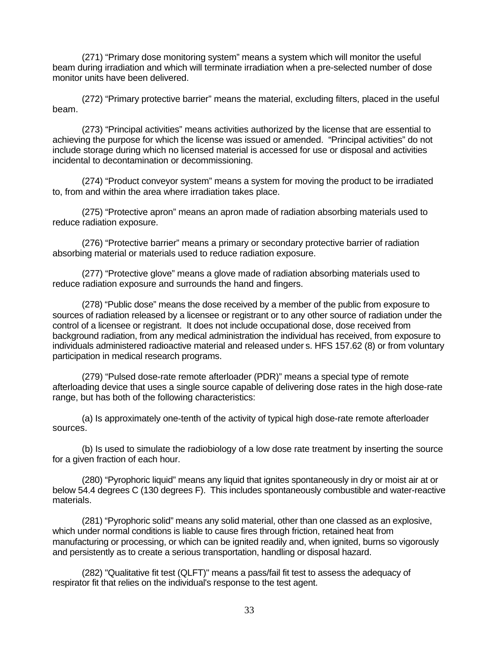(271) "Primary dose monitoring system" means a system which will monitor the useful beam during irradiation and which will terminate irradiation when a pre-selected number of dose monitor units have been delivered.

(272) "Primary protective barrier" means the material, excluding filters, placed in the useful beam.

(273) "Principal activities" means activities authorized by the license that are essential to achieving the purpose for which the license was issued or amended. "Principal activities" do not include storage during which no licensed material is accessed for use or disposal and activities incidental to decontamination or decommissioning.

(274) "Product conveyor system" means a system for moving the product to be irradiated to, from and within the area where irradiation takes place.

(275) "Protective apron" means an apron made of radiation absorbing materials used to reduce radiation exposure.

(276) "Protective barrier" means a primary or secondary protective barrier of radiation absorbing material or materials used to reduce radiation exposure.

(277) "Protective glove" means a glove made of radiation absorbing materials used to reduce radiation exposure and surrounds the hand and fingers.

(278) "Public dose" means the dose received by a member of the public from exposure to sources of radiation released by a licensee or registrant or to any other source of radiation under the control of a licensee or registrant. It does not include occupational dose, dose received from background radiation, from any medical administration the individual has received, from exposure to individuals administered radioactive material and released under s. HFS 157.62 (8) or from voluntary participation in medical research programs.

(279) "Pulsed dose-rate remote afterloader (PDR)" means a special type of remote afterloading device that uses a single source capable of delivering dose rates in the high dose-rate range, but has both of the following characteristics:

(a) Is approximately one-tenth of the activity of typical high dose-rate remote afterloader sources.

(b) Is used to simulate the radiobiology of a low dose rate treatment by inserting the source for a given fraction of each hour.

(280) "Pyrophoric liquid" means any liquid that ignites spontaneously in dry or moist air at or below 54.4 degrees C (130 degrees F). This includes spontaneously combustible and water-reactive materials.

(281) "Pyrophoric solid" means any solid material, other than one classed as an explosive, which under normal conditions is liable to cause fires through friction, retained heat from manufacturing or processing, or which can be ignited readily and, when ignited, burns so vigorously and persistently as to create a serious transportation, handling or disposal hazard.

(282) "Qualitative fit test (QLFT)" means a pass/fail fit test to assess the adequacy of respirator fit that relies on the individual's response to the test agent.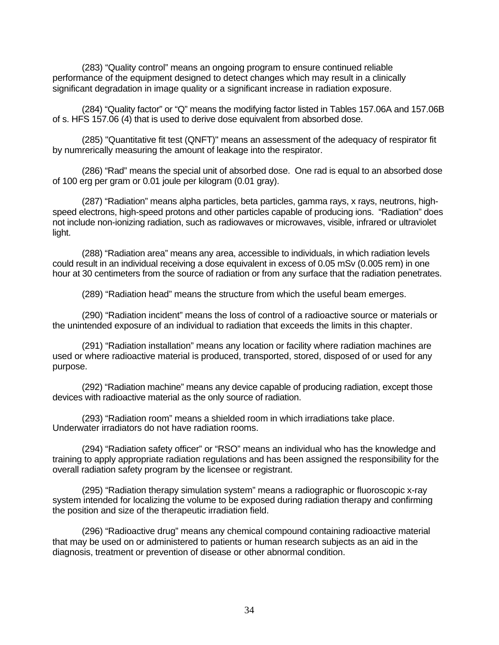(283) "Quality control" means an ongoing program to ensure continued reliable performance of the equipment designed to detect changes which may result in a clinically significant degradation in image quality or a significant increase in radiation exposure.

(284) "Quality factor" or "Q" means the modifying factor listed in Tables 157.06A and 157.06B of s. HFS 157.06 (4) that is used to derive dose equivalent from absorbed dose.

(285) "Quantitative fit test (QNFT)" means an assessment of the adequacy of respirator fit by numrerically measuring the amount of leakage into the respirator.

(286) "Rad" means the special unit of absorbed dose. One rad is equal to an absorbed dose of 100 erg per gram or 0.01 joule per kilogram (0.01 gray).

(287) "Radiation" means alpha particles, beta particles, gamma rays, x rays, neutrons, highspeed electrons, high-speed protons and other particles capable of producing ions. "Radiation" does not include non-ionizing radiation, such as radiowaves or microwaves, visible, infrared or ultraviolet light.

(288) "Radiation area" means any area, accessible to individuals, in which radiation levels could result in an individual receiving a dose equivalent in excess of 0.05 mSv (0.005 rem) in one hour at 30 centimeters from the source of radiation or from any surface that the radiation penetrates.

(289) "Radiation head" means the structure from which the useful beam emerges.

(290) "Radiation incident" means the loss of control of a radioactive source or materials or the unintended exposure of an individual to radiation that exceeds the limits in this chapter.

(291) "Radiation installation" means any location or facility where radiation machines are used or where radioactive material is produced, transported, stored, disposed of or used for any purpose.

(292) "Radiation machine" means any device capable of producing radiation, except those devices with radioactive material as the only source of radiation.

(293) "Radiation room" means a shielded room in which irradiations take place. Underwater irradiators do not have radiation rooms.

(294) "Radiation safety officer" or "RSO" means an individual who has the knowledge and training to apply appropriate radiation regulations and has been assigned the responsibility for the overall radiation safety program by the licensee or registrant.

(295) "Radiation therapy simulation system" means a radiographic or fluoroscopic x-ray system intended for localizing the volume to be exposed during radiation therapy and confirming the position and size of the therapeutic irradiation field.

(296) "Radioactive drug" means any chemical compound containing radioactive material that may be used on or administered to patients or human research subjects as an aid in the diagnosis, treatment or prevention of disease or other abnormal condition.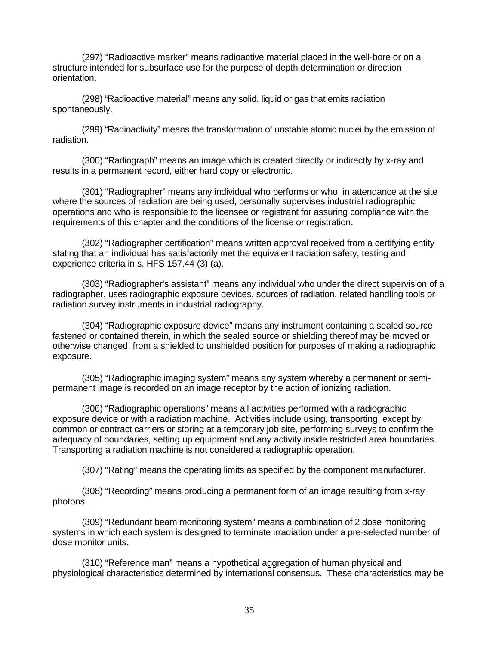(297) "Radioactive marker" means radioactive material placed in the well-bore or on a structure intended for subsurface use for the purpose of depth determination or direction orientation.

(298) "Radioactive material" means any solid, liquid or gas that emits radiation spontaneously.

(299) "Radioactivity" means the transformation of unstable atomic nuclei by the emission of radiation.

(300) "Radiograph" means an image which is created directly or indirectly by x-ray and results in a permanent record, either hard copy or electronic.

(301) "Radiographer" means any individual who performs or who, in attendance at the site where the sources of radiation are being used, personally supervises industrial radiographic operations and who is responsible to the licensee or registrant for assuring compliance with the requirements of this chapter and the conditions of the license or registration.

(302) "Radiographer certification" means written approval received from a certifying entity stating that an individual has satisfactorily met the equivalent radiation safety, testing and experience criteria in s. HFS 157.44 (3) (a).

(303) "Radiographer's assistant" means any individual who under the direct supervision of a radiographer, uses radiographic exposure devices, sources of radiation, related handling tools or radiation survey instruments in industrial radiography.

(304) "Radiographic exposure device" means any instrument containing a sealed source fastened or contained therein, in which the sealed source or shielding thereof may be moved or otherwise changed, from a shielded to unshielded position for purposes of making a radiographic exposure.

(305) "Radiographic imaging system" means any system whereby a permanent or semipermanent image is recorded on an image receptor by the action of ionizing radiation.

(306) "Radiographic operations" means all activities performed with a radiographic exposure device or with a radiation machine. Activities include using, transporting, except by common or contract carriers or storing at a temporary job site, performing surveys to confirm the adequacy of boundaries, setting up equipment and any activity inside restricted area boundaries. Transporting a radiation machine is not considered a radiographic operation.

(307) "Rating" means the operating limits as specified by the component manufacturer.

(308) "Recording" means producing a permanent form of an image resulting from x-ray photons.

(309) "Redundant beam monitoring system" means a combination of 2 dose monitoring systems in which each system is designed to terminate irradiation under a pre-selected number of dose monitor units.

(310) "Reference man" means a hypothetical aggregation of human physical and physiological characteristics determined by international consensus. These characteristics may be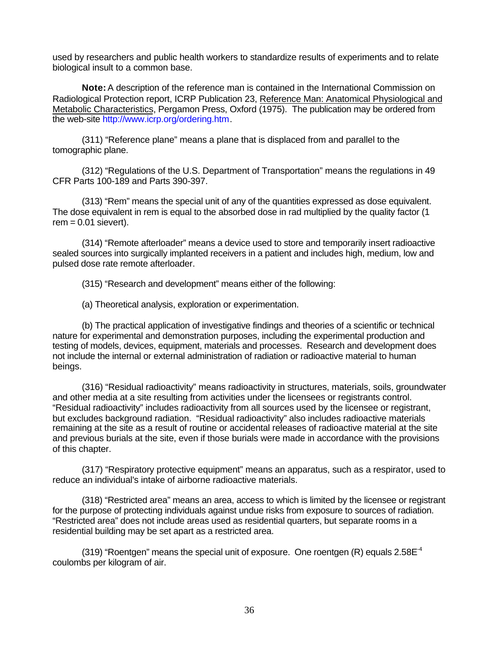used by researchers and public health workers to standardize results of experiments and to relate biological insult to a common base.

**Note:** A description of the reference man is contained in the International Commission on Radiological Protection report, ICRP Publication 23, Reference Man: Anatomical Physiological and Metabolic Characteristics, Pergamon Press, Oxford (1975). The publication may be ordered from the web-site http://www.icrp.org/ordering.htm.

(311) "Reference plane" means a plane that is displaced from and parallel to the tomographic plane.

(312) "Regulations of the U.S. Department of Transportation" means the regulations in 49 CFR Parts 100-189 and Parts 390-397.

(313) "Rem" means the special unit of any of the quantities expressed as dose equivalent. The dose equivalent in rem is equal to the absorbed dose in rad multiplied by the quality factor (1  $rem = 0.01$  sievert).

(314) "Remote afterloader" means a device used to store and temporarily insert radioactive sealed sources into surgically implanted receivers in a patient and includes high, medium, low and pulsed dose rate remote afterloader.

(315) "Research and development" means either of the following:

(a) Theoretical analysis, exploration or experimentation.

(b) The practical application of investigative findings and theories of a scientific or technical nature for experimental and demonstration purposes, including the experimental production and testing of models, devices, equipment, materials and processes. Research and development does not include the internal or external administration of radiation or radioactive material to human beings.

(316) "Residual radioactivity" means radioactivity in structures, materials, soils, groundwater and other media at a site resulting from activities under the licensees or registrants control. "Residual radioactivity" includes radioactivity from all sources used by the licensee or registrant, but excludes background radiation. "Residual radioactivity" also includes radioactive materials remaining at the site as a result of routine or accidental releases of radioactive material at the site and previous burials at the site, even if those burials were made in accordance with the provisions of this chapter.

(317) "Respiratory protective equipment" means an apparatus, such as a respirator, used to reduce an individual's intake of airborne radioactive materials.

(318) "Restricted area" means an area, access to which is limited by the licensee or registrant for the purpose of protecting individuals against undue risks from exposure to sources of radiation. "Restricted area" does not include areas used as residential quarters, but separate rooms in a residential building may be set apart as a restricted area.

(319) "Roentgen" means the special unit of exposure. One roentgen  $(R)$  equals 2.58 $E<sup>-4</sup>$ coulombs per kilogram of air.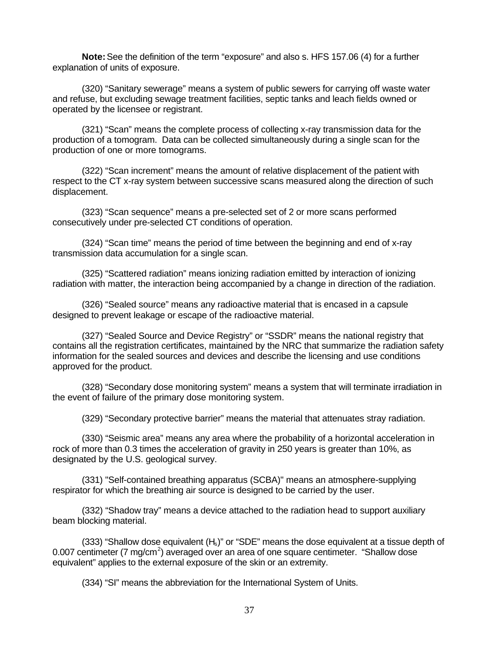**Note:** See the definition of the term "exposure" and also s. HFS 157.06 (4) for a further explanation of units of exposure.

(320) "Sanitary sewerage" means a system of public sewers for carrying off waste water and refuse, but excluding sewage treatment facilities, septic tanks and leach fields owned or operated by the licensee or registrant.

(321) "Scan" means the complete process of collecting x-ray transmission data for the production of a tomogram. Data can be collected simultaneously during a single scan for the production of one or more tomograms.

(322) "Scan increment" means the amount of relative displacement of the patient with respect to the CT x-ray system between successive scans measured along the direction of such displacement.

(323) "Scan sequence" means a pre-selected set of 2 or more scans performed consecutively under pre-selected CT conditions of operation.

(324) "Scan time" means the period of time between the beginning and end of x-ray transmission data accumulation for a single scan.

(325) "Scattered radiation" means ionizing radiation emitted by interaction of ionizing radiation with matter, the interaction being accompanied by a change in direction of the radiation.

(326) "Sealed source" means any radioactive material that is encased in a capsule designed to prevent leakage or escape of the radioactive material.

(327) "Sealed Source and Device Registry" or "SSDR" means the national registry that contains all the registration certificates, maintained by the NRC that summarize the radiation safety information for the sealed sources and devices and describe the licensing and use conditions approved for the product.

(328) "Secondary dose monitoring system" means a system that will terminate irradiation in the event of failure of the primary dose monitoring system.

(329) "Secondary protective barrier" means the material that attenuates stray radiation.

(330) "Seismic area" means any area where the probability of a horizontal acceleration in rock of more than 0.3 times the acceleration of gravity in 250 years is greater than 10%, as designated by the U.S. geological survey.

(331) "Self-contained breathing apparatus (SCBA)" means an atmosphere-supplying respirator for which the breathing air source is designed to be carried by the user.

(332) "Shadow tray" means a device attached to the radiation head to support auxiliary beam blocking material.

(333) "Shallow dose equivalent  $(H_s)$ " or "SDE" means the dose equivalent at a tissue depth of 0.007 centimeter (7 mg/cm<sup>2</sup>) averaged over an area of one square centimeter. "Shallow dose equivalent" applies to the external exposure of the skin or an extremity.

(334) "SI" means the abbreviation for the International System of Units.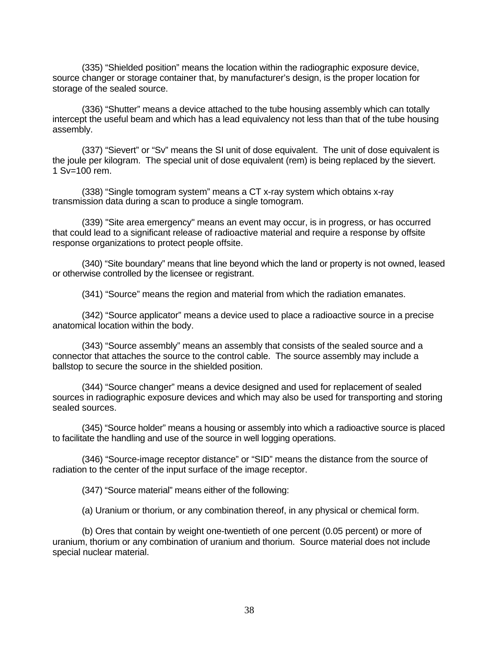(335) "Shielded position" means the location within the radiographic exposure device, source changer or storage container that, by manufacturer's design, is the proper location for storage of the sealed source.

(336) "Shutter" means a device attached to the tube housing assembly which can totally intercept the useful beam and which has a lead equivalency not less than that of the tube housing assembly.

(337) "Sievert" or "Sv" means the SI unit of dose equivalent. The unit of dose equivalent is the joule per kilogram. The special unit of dose equivalent (rem) is being replaced by the sievert. 1 Sv=100 rem.

(338) "Single tomogram system" means a CT x-ray system which obtains x-ray transmission data during a scan to produce a single tomogram.

(339) "Site area emergency" means an event may occur, is in progress, or has occurred that could lead to a significant release of radioactive material and require a response by offsite response organizations to protect people offsite.

(340) "Site boundary" means that line beyond which the land or property is not owned, leased or otherwise controlled by the licensee or registrant.

(341) "Source" means the region and material from which the radiation emanates.

(342) "Source applicator" means a device used to place a radioactive source in a precise anatomical location within the body.

(343) "Source assembly" means an assembly that consists of the sealed source and a connector that attaches the source to the control cable. The source assembly may include a ballstop to secure the source in the shielded position.

(344) "Source changer" means a device designed and used for replacement of sealed sources in radiographic exposure devices and which may also be used for transporting and storing sealed sources.

(345) "Source holder" means a housing or assembly into which a radioactive source is placed to facilitate the handling and use of the source in well logging operations.

(346) "Source-image receptor distance" or "SID" means the distance from the source of radiation to the center of the input surface of the image receptor.

(347) "Source material" means either of the following:

(a) Uranium or thorium, or any combination thereof, in any physical or chemical form.

(b) Ores that contain by weight one-twentieth of one percent (0.05 percent) or more of uranium, thorium or any combination of uranium and thorium. Source material does not include special nuclear material.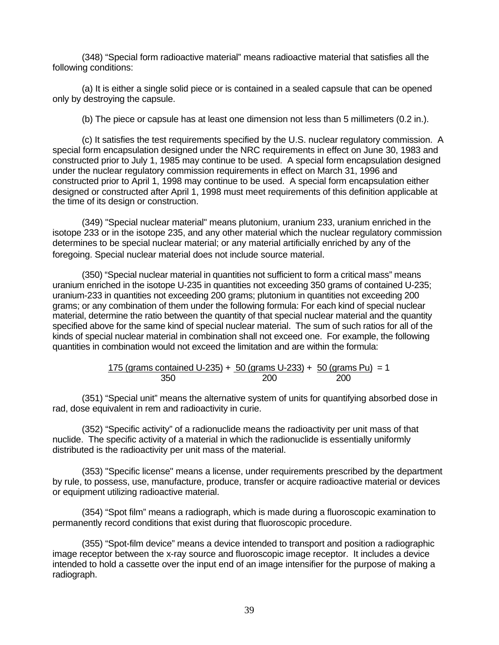(348) "Special form radioactive material" means radioactive material that satisfies all the following conditions:

(a) It is either a single solid piece or is contained in a sealed capsule that can be opened only by destroying the capsule.

(b) The piece or capsule has at least one dimension not less than 5 millimeters (0.2 in.).

(c) It satisfies the test requirements specified by the U.S. nuclear regulatory commission. A special form encapsulation designed under the NRC requirements in effect on June 30, 1983 and constructed prior to July 1, 1985 may continue to be used. A special form encapsulation designed under the nuclear regulatory commission requirements in effect on March 31, 1996 and constructed prior to April 1, 1998 may continue to be used. A special form encapsulation either designed or constructed after April 1, 1998 must meet requirements of this definition applicable at the time of its design or construction.

(349) "Special nuclear material" means plutonium, uranium 233, uranium enriched in the isotope 233 or in the isotope 235, and any other material which the nuclear regulatory commission determines to be special nuclear material; or any material artificially enriched by any of the foregoing. Special nuclear material does not include source material.

(350) "Special nuclear material in quantities not sufficient to form a critical mass" means uranium enriched in the isotope U-235 in quantities not exceeding 350 grams of contained U-235; uranium-233 in quantities not exceeding 200 grams; plutonium in quantities not exceeding 200 grams; or any combination of them under the following formula: For each kind of special nuclear material, determine the ratio between the quantity of that special nuclear material and the quantity specified above for the same kind of special nuclear material. The sum of such ratios for all of the kinds of special nuclear material in combination shall not exceed one. For example, the following quantities in combination would not exceed the limitation and are within the formula:

$$
\frac{175 \text{ (grams contained U-235)} + 50 \text{ (grams U-233)} + 50 \text{ (grams Pu)}}{350} = 1
$$

(351) "Special unit" means the alternative system of units for quantifying absorbed dose in rad, dose equivalent in rem and radioactivity in curie.

(352) "Specific activity" of a radionuclide means the radioactivity per unit mass of that nuclide. The specific activity of a material in which the radionuclide is essentially uniformly distributed is the radioactivity per unit mass of the material.

(353) "Specific license" means a license, under requirements prescribed by the department by rule, to possess, use, manufacture, produce, transfer or acquire radioactive material or devices or equipment utilizing radioactive material.

(354) "Spot film" means a radiograph, which is made during a fluoroscopic examination to permanently record conditions that exist during that fluoroscopic procedure.

(355) "Spot-film device" means a device intended to transport and position a radiographic image receptor between the x-ray source and fluoroscopic image receptor. It includes a device intended to hold a cassette over the input end of an image intensifier for the purpose of making a radiograph.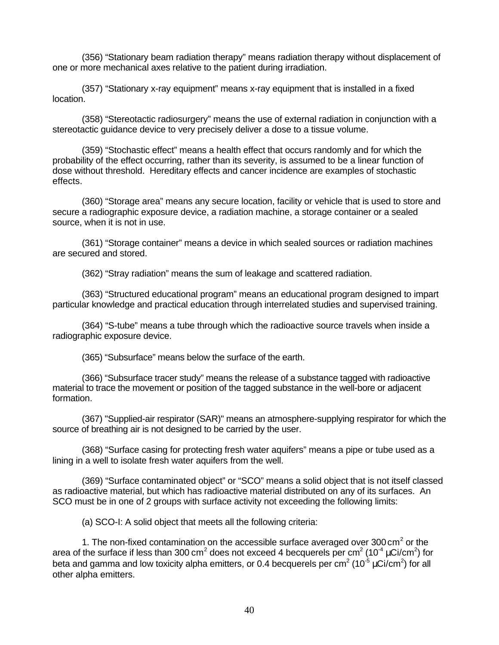(356) "Stationary beam radiation therapy" means radiation therapy without displacement of one or more mechanical axes relative to the patient during irradiation.

(357) "Stationary x-ray equipment" means x-ray equipment that is installed in a fixed location.

(358) "Stereotactic radiosurgery" means the use of external radiation in conjunction with a stereotactic guidance device to very precisely deliver a dose to a tissue volume.

(359) "Stochastic effect" means a health effect that occurs randomly and for which the probability of the effect occurring, rather than its severity, is assumed to be a linear function of dose without threshold. Hereditary effects and cancer incidence are examples of stochastic effects.

(360) "Storage area" means any secure location, facility or vehicle that is used to store and secure a radiographic exposure device, a radiation machine, a storage container or a sealed source, when it is not in use.

(361) "Storage container" means a device in which sealed sources or radiation machines are secured and stored.

(362) "Stray radiation" means the sum of leakage and scattered radiation.

(363) "Structured educational program" means an educational program designed to impart particular knowledge and practical education through interrelated studies and supervised training.

(364) "S-tube" means a tube through which the radioactive source travels when inside a radiographic exposure device.

(365) "Subsurface" means below the surface of the earth.

(366) "Subsurface tracer study" means the release of a substance tagged with radioactive material to trace the movement or position of the tagged substance in the well-bore or adjacent formation.

(367) "Supplied-air respirator (SAR)" means an atmosphere-supplying respirator for which the source of breathing air is not designed to be carried by the user.

(368) "Surface casing for protecting fresh water aquifers" means a pipe or tube used as a lining in a well to isolate fresh water aquifers from the well.

(369) "Surface contaminated object" or "SCO" means a solid object that is not itself classed as radioactive material, but which has radioactive material distributed on any of its surfaces. An SCO must be in one of 2 groups with surface activity not exceeding the following limits:

(a) SCO-I: A solid object that meets all the following criteria:

1. The non-fixed contamination on the accessible surface averaged over 300 cm<sup>2</sup> or the area of the surface if less than 300 cm<sup>2</sup> does not exceed 4 becquerels per cm<sup>2</sup> (10<sup>-4</sup> µCi/cm<sup>2</sup>) for beta and gamma and low toxicity alpha emitters, or 0.4 becquerels per cm $^2$  (10<sup>-5</sup>  $\mu$ Ci/cm $^2$ ) for all other alpha emitters.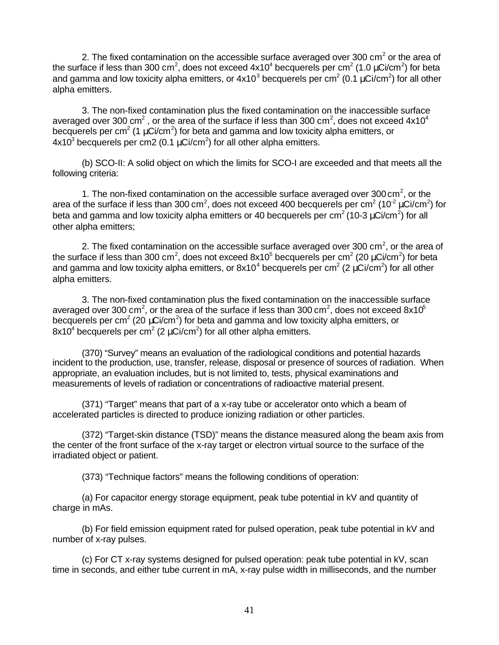2. The fixed contamination on the accessible surface averaged over 300 cm<sup>2</sup> or the area of the surface if less than 300 cm<sup>2</sup>, does not exceed 4x10<sup>4</sup> becquerels per cm<sup>2</sup> (1.0 μCi/cm<sup>2</sup>) for beta and gamma and low toxicity alpha emitters, or 4x10<sup>3</sup> becquerels per cm<sup>2</sup> (0.1  $\mu$ Ci/cm<sup>2</sup>) for all other alpha emitters.

3. The non-fixed contamination plus the fixed contamination on the inaccessible surface averaged over 300 cm<sup>2</sup>, or the area of the surface if less than 300 cm<sup>2</sup>, does not exceed 4x10<sup>4</sup> becquerels per cm<sup>2</sup> (1  $\mu$ Ci/cm<sup>2</sup>) for beta and gamma and low toxicity alpha emitters, or 4x10<sup>3</sup> becquerels per cm2 (0.1 μCi/cm<sup>2</sup>) for all other alpha emitters.

(b) SCO-II: A solid object on which the limits for SCO-I are exceeded and that meets all the following criteria:

1. The non-fixed contamination on the accessible surface averaged over 300 cm<sup>2</sup>, or the area of the surface if less than 300 cm<sup>2</sup>, does not exceed 400 becquerels per cm<sup>2</sup> (10<sup>-2</sup> µCi/cm<sup>2</sup>) for beta and gamma and low toxicity alpha emitters or 40 becquerels per cm<sup>2</sup> (10-3 μCi/cm<sup>2</sup>) for all other alpha emitters;

2. The fixed contamination on the accessible surface averaged over 300 cm<sup>2</sup>, or the area of the surface if less than 300 cm<sup>2</sup>, does not exceed 8x10<sup>5</sup> becquerels per cm<sup>2</sup> (20  $\mu$ Ci/cm<sup>2</sup>) for beta and gamma and low toxicity alpha emitters, or 8x10<sup>4</sup> becquerels per cm<sup>2</sup> (2 μCi/cm<sup>2</sup>) for all other alpha emitters.

3. The non-fixed contamination plus the fixed contamination on the inaccessible surface averaged over 300 cm<sup>2</sup>, or the area of the surface if less than 300 cm<sup>2</sup>, does not exceed 8x10<sup>5</sup> becquerels per cm<sup>2</sup> (20  $\mu$ Ci/cm<sup>2</sup>) for beta and gamma and low toxicity alpha emitters, or 8x10<sup>4</sup> becquerels per cm<sup>2</sup> (2 μCi/cm<sup>2</sup>) for all other alpha emitters.

(370) "Survey" means an evaluation of the radiological conditions and potential hazards incident to the production, use, transfer, release, disposal or presence of sources of radiation. When appropriate, an evaluation includes, but is not limited to, tests, physical examinations and measurements of levels of radiation or concentrations of radioactive material present.

(371) "Target" means that part of a x-ray tube or accelerator onto which a beam of accelerated particles is directed to produce ionizing radiation or other particles.

(372) "Target-skin distance (TSD)" means the distance measured along the beam axis from the center of the front surface of the x-ray target or electron virtual source to the surface of the irradiated object or patient.

(373) "Technique factors" means the following conditions of operation:

(a) For capacitor energy storage equipment, peak tube potential in kV and quantity of charge in mAs.

(b) For field emission equipment rated for pulsed operation, peak tube potential in kV and number of x-ray pulses.

(c) For CT x-ray systems designed for pulsed operation: peak tube potential in kV, scan time in seconds, and either tube current in mA, x-ray pulse width in milliseconds, and the number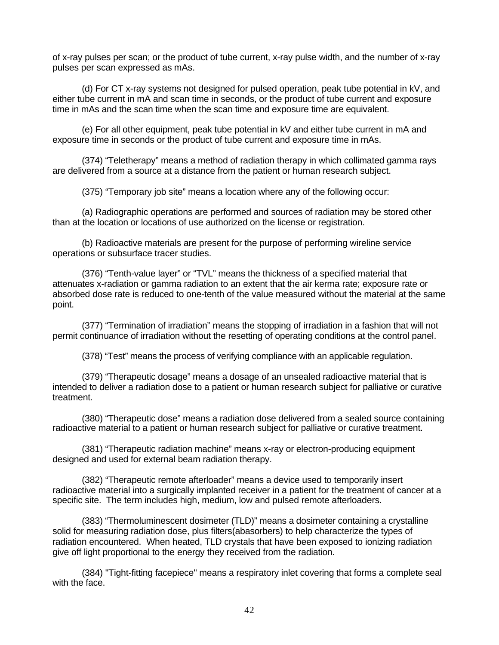of x-ray pulses per scan; or the product of tube current, x-ray pulse width, and the number of x-ray pulses per scan expressed as mAs.

(d) For CT x-ray systems not designed for pulsed operation, peak tube potential in kV, and either tube current in mA and scan time in seconds, or the product of tube current and exposure time in mAs and the scan time when the scan time and exposure time are equivalent.

(e) For all other equipment, peak tube potential in kV and either tube current in mA and exposure time in seconds or the product of tube current and exposure time in mAs.

(374) "Teletherapy" means a method of radiation therapy in which collimated gamma rays are delivered from a source at a distance from the patient or human research subject.

(375) "Temporary job site" means a location where any of the following occur:

(a) Radiographic operations are performed and sources of radiation may be stored other than at the location or locations of use authorized on the license or registration.

(b) Radioactive materials are present for the purpose of performing wireline service operations or subsurface tracer studies.

(376) "Tenth-value layer" or "TVL" means the thickness of a specified material that attenuates x-radiation or gamma radiation to an extent that the air kerma rate; exposure rate or absorbed dose rate is reduced to one-tenth of the value measured without the material at the same point.

(377) "Termination of irradiation" means the stopping of irradiation in a fashion that will not permit continuance of irradiation without the resetting of operating conditions at the control panel.

(378) "Test" means the process of verifying compliance with an applicable regulation.

(379) "Therapeutic dosage" means a dosage of an unsealed radioactive material that is intended to deliver a radiation dose to a patient or human research subject for palliative or curative treatment.

(380) "Therapeutic dose" means a radiation dose delivered from a sealed source containing radioactive material to a patient or human research subject for palliative or curative treatment.

(381) "Therapeutic radiation machine" means x-ray or electron-producing equipment designed and used for external beam radiation therapy.

(382) "Therapeutic remote afterloader" means a device used to temporarily insert radioactive material into a surgically implanted receiver in a patient for the treatment of cancer at a specific site. The term includes high, medium, low and pulsed remote afterloaders.

(383) "Thermoluminescent dosimeter (TLD)" means a dosimeter containing a crystalline solid for measuring radiation dose, plus filters(abasorbers) to help characterize the types of radiation encountered. When heated, TLD crystals that have been exposed to ionizing radiation give off light proportional to the energy they received from the radiation.

(384) "Tight-fitting facepiece" means a respiratory inlet covering that forms a complete seal with the face.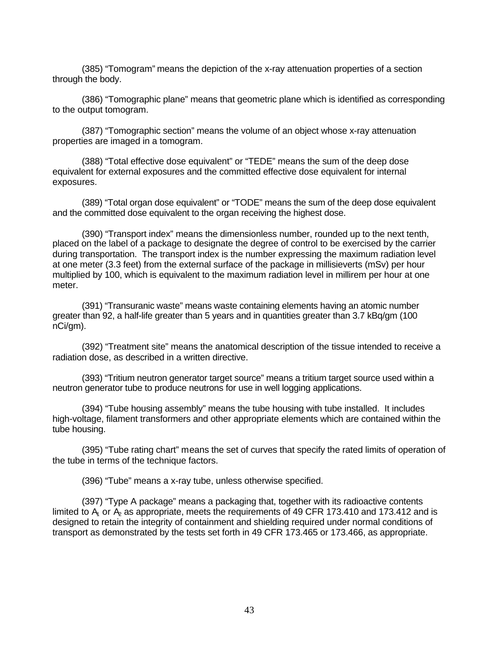(385) "Tomogram" means the depiction of the x-ray attenuation properties of a section through the body.

(386) "Tomographic plane" means that geometric plane which is identified as corresponding to the output tomogram.

(387) "Tomographic section" means the volume of an object whose x-ray attenuation properties are imaged in a tomogram.

(388) "Total effective dose equivalent" or "TEDE" means the sum of the deep dose equivalent for external exposures and the committed effective dose equivalent for internal exposures.

(389) "Total organ dose equivalent" or "TODE" means the sum of the deep dose equivalent and the committed dose equivalent to the organ receiving the highest dose.

(390) "Transport index" means the dimensionless number, rounded up to the next tenth, placed on the label of a package to designate the degree of control to be exercised by the carrier during transportation. The transport index is the number expressing the maximum radiation level at one meter (3.3 feet) from the external surface of the package in millisieverts (mSv) per hour multiplied by 100, which is equivalent to the maximum radiation level in millirem per hour at one meter.

(391) "Transuranic waste" means waste containing elements having an atomic number greater than 92, a half-life greater than 5 years and in quantities greater than 3.7 kBq/gm (100 nCi/gm).

(392) "Treatment site" means the anatomical description of the tissue intended to receive a radiation dose, as described in a written directive.

(393) "Tritium neutron generator target source" means a tritium target source used within a neutron generator tube to produce neutrons for use in well logging applications.

(394) "Tube housing assembly" means the tube housing with tube installed. It includes high-voltage, filament transformers and other appropriate elements which are contained within the tube housing.

(395) "Tube rating chart" means the set of curves that specify the rated limits of operation of the tube in terms of the technique factors.

(396) "Tube" means a x-ray tube, unless otherwise specified.

(397) "Type A package" means a packaging that, together with its radioactive contents limited to  $A<sub>1</sub>$  or  $A<sub>2</sub>$  as appropriate, meets the requirements of 49 CFR 173.410 and 173.412 and is designed to retain the integrity of containment and shielding required under normal conditions of transport as demonstrated by the tests set forth in 49 CFR 173.465 or 173.466, as appropriate.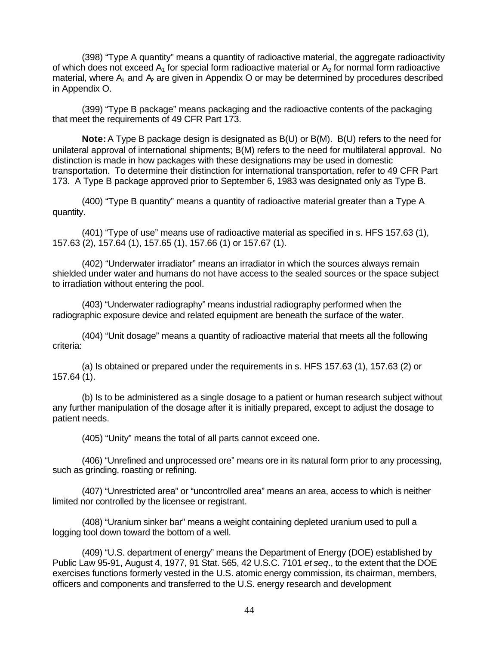(398) "Type A quantity" means a quantity of radioactive material, the aggregate radioactivity of which does not exceed  $A_1$  for special form radioactive material or  $A_2$  for normal form radioactive material, where  $A_1$  and  $A_2$  are given in Appendix O or may be determined by procedures described in Appendix O.

(399) "Type B package" means packaging and the radioactive contents of the packaging that meet the requirements of 49 CFR Part 173.

**Note:** A Type B package design is designated as B(U) or B(M). B(U) refers to the need for unilateral approval of international shipments; B(M) refers to the need for multilateral approval. No distinction is made in how packages with these designations may be used in domestic transportation. To determine their distinction for international transportation, refer to 49 CFR Part 173. A Type B package approved prior to September 6, 1983 was designated only as Type B.

(400) "Type B quantity" means a quantity of radioactive material greater than a Type A quantity.

(401) "Type of use" means use of radioactive material as specified in s. HFS 157.63 (1), 157.63 (2), 157.64 (1), 157.65 (1), 157.66 (1) or 157.67 (1).

(402) "Underwater irradiator" means an irradiator in which the sources always remain shielded under water and humans do not have access to the sealed sources or the space subject to irradiation without entering the pool.

(403) "Underwater radiography" means industrial radiography performed when the radiographic exposure device and related equipment are beneath the surface of the water.

(404) "Unit dosage" means a quantity of radioactive material that meets all the following criteria:

(a) Is obtained or prepared under the requirements in s. HFS 157.63 (1), 157.63 (2) or 157.64 (1).

(b) Is to be administered as a single dosage to a patient or human research subject without any further manipulation of the dosage after it is initially prepared, except to adjust the dosage to patient needs.

(405) "Unity" means the total of all parts cannot exceed one.

(406) "Unrefined and unprocessed ore" means ore in its natural form prior to any processing, such as grinding, roasting or refining.

(407) "Unrestricted area" or "uncontrolled area" means an area, access to which is neither limited nor controlled by the licensee or registrant.

(408) "Uranium sinker bar" means a weight containing depleted uranium used to pull a logging tool down toward the bottom of a well.

(409) "U.S. department of energy" means the Department of Energy (DOE) established by Public Law 95-91, August 4, 1977, 91 Stat. 565, 42 U.S.C. 7101 *et seq*., to the extent that the DOE exercises functions formerly vested in the U.S. atomic energy commission, its chairman, members, officers and components and transferred to the U.S. energy research and development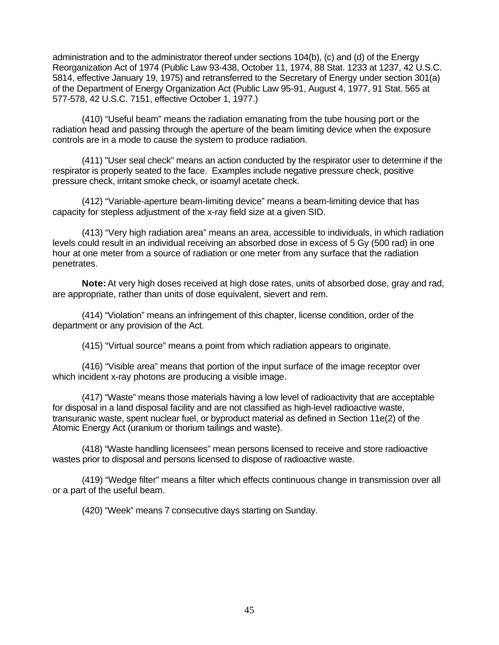administration and to the administrator thereof under sections 104(b), (c) and (d) of the Energy Reorganization Act of 1974 (Public Law 93-438, October 11, 1974, 88 Stat. 1233 at 1237, 42 U.S.C. 5814, effective January 19, 1975) and retransferred to the Secretary of Energy under section 301(a) of the Department of Energy Organization Act (Public Law 95-91, August 4, 1977, 91 Stat. 565 at 577-578, 42 U.S.C. 7151, effective October 1, 1977.)

(410) "Useful beam" means the radiation emanating from the tube housing port or the radiation head and passing through the aperture of the beam limiting device when the exposure controls are in a mode to cause the system to produce radiation.

(411) "User seal check" means an action conducted by the respirator user to determine if the respirator is properly seated to the face. Examples include negative pressure check, positive pressure check, irritant smoke check, or isoamyl acetate check.

(412) "Variable-aperture beam-limiting device" means a beam-limiting device that has capacity for stepless adjustment of the x-ray field size at a given SID.

(413) "Very high radiation area" means an area, accessible to individuals, in which radiation levels could result in an individual receiving an absorbed dose in excess of 5 Gy (500 rad) in one hour at one meter from a source of radiation or one meter from any surface that the radiation penetrates.

**Note:** At very high doses received at high dose rates, units of absorbed dose, gray and rad, are appropriate, rather than units of dose equivalent, sievert and rem.

(414) "Violation" means an infringement of this chapter, license condition, order of the department or any provision of the Act.

(415) "Virtual source" means a point from which radiation appears to originate.

(416) "Visible area" means that portion of the input surface of the image receptor over which incident x-ray photons are producing a visible image.

(417) "Waste" means those materials having a low level of radioactivity that are acceptable for disposal in a land disposal facility and are not classified as high-level radioactive waste, transuranic waste, spent nuclear fuel, or byproduct material as defined in Section 11e(2) of the Atomic Energy Act (uranium or thorium tailings and waste).

(418) "Waste handling licensees" mean persons licensed to receive and store radioactive wastes prior to disposal and persons licensed to dispose of radioactive waste.

(419) "Wedge filter" means a filter which effects continuous change in transmission over all or a part of the useful beam.

(420) "Week" means 7 consecutive days starting on Sunday.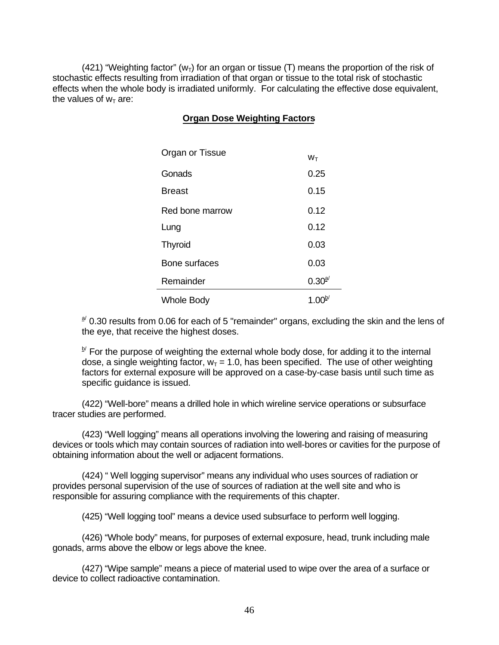(421) "Weighting factor" ( $w<sub>T</sub>$ ) for an organ or tissue (T) means the proportion of the risk of stochastic effects resulting from irradiation of that organ or tissue to the total risk of stochastic effects when the whole body is irradiated uniformly. For calculating the effective dose equivalent, the values of  $w_T$  are:

# **Organ Dose Weighting Factors**

| Organ or Tissue   | $W_T$       |  |
|-------------------|-------------|--|
| Gonads            | 0.25        |  |
| <b>Breast</b>     | 0.15        |  |
| Red bone marrow   | 0.12        |  |
| Lung              | 0.12        |  |
| <b>Thyroid</b>    | 0.03        |  |
| Bone surfaces     | 0.03        |  |
| Remainder         | $0.30^{a/}$ |  |
| <b>Whole Body</b> | $1.00^{6}$  |  |

 $a^{d}$  0.30 results from 0.06 for each of 5 "remainder" organs, excluding the skin and the lens of the eye, that receive the highest doses.

b' For the purpose of weighting the external whole body dose, for adding it to the internal dose, a single weighting factor,  $w_T = 1.0$ , has been specified. The use of other weighting factors for external exposure will be approved on a case-by-case basis until such time as specific guidance is issued.

(422) "Well-bore" means a drilled hole in which wireline service operations or subsurface tracer studies are performed.

(423) "Well logging" means all operations involving the lowering and raising of measuring devices or tools which may contain sources of radiation into well-bores or cavities for the purpose of obtaining information about the well or adjacent formations.

(424) " Well logging supervisor" means any individual who uses sources of radiation or provides personal supervision of the use of sources of radiation at the well site and who is responsible for assuring compliance with the requirements of this chapter.

(425) "Well logging tool" means a device used subsurface to perform well logging.

(426) "Whole body" means, for purposes of external exposure, head, trunk including male gonads, arms above the elbow or legs above the knee.

(427) "Wipe sample" means a piece of material used to wipe over the area of a surface or device to collect radioactive contamination.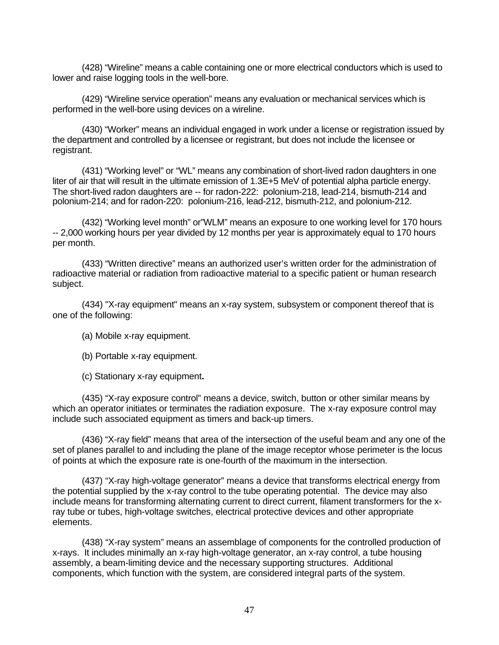(428) "Wireline" means a cable containing one or more electrical conductors which is used to lower and raise logging tools in the well-bore.

(429) "Wireline service operation" means any evaluation or mechanical services which is performed in the well-bore using devices on a wireline.

(430) "Worker" means an individual engaged in work under a license or registration issued by the department and controlled by a licensee or registrant, but does not include the licensee or registrant.

(431) "Working level" or "WL" means any combination of short-lived radon daughters in one liter of air that will result in the ultimate emission of 1.3E+5 MeV of potential alpha particle energy. The short-lived radon daughters are -- for radon-222: polonium-218, lead-214, bismuth-214 and polonium-214; and for radon-220: polonium-216, lead-212, bismuth-212, and polonium-212.

(432) "Working level month" or"WLM" means an exposure to one working level for 170 hours -- 2,000 working hours per year divided by 12 months per year is approximately equal to 170 hours per month.

(433) "Written directive" means an authorized user's written order for the administration of radioactive material or radiation from radioactive material to a specific patient or human research subject.

(434) "X-ray equipment" means an x-ray system, subsystem or component thereof that is one of the following:

(a) Mobile x-ray equipment.

(b) Portable x-ray equipment.

(c) Stationary x-ray equipment**.**

(435) "X-ray exposure control" means a device, switch, button or other similar means by which an operator initiates or terminates the radiation exposure. The x-ray exposure control may include such associated equipment as timers and back-up timers.

(436) "X-ray field" means that area of the intersection of the useful beam and any one of the set of planes parallel to and including the plane of the image receptor whose perimeter is the locus of points at which the exposure rate is one-fourth of the maximum in the intersection.

(437) "X-ray high-voltage generator" means a device that transforms electrical energy from the potential supplied by the x-ray control to the tube operating potential. The device may also include means for transforming alternating current to direct current, filament transformers for the xray tube or tubes, high-voltage switches, electrical protective devices and other appropriate elements.

(438) "X-ray system" means an assemblage of components for the controlled production of x-rays. It includes minimally an x-ray high-voltage generator, an x-ray control, a tube housing assembly, a beam-limiting device and the necessary supporting structures. Additional components, which function with the system, are considered integral parts of the system.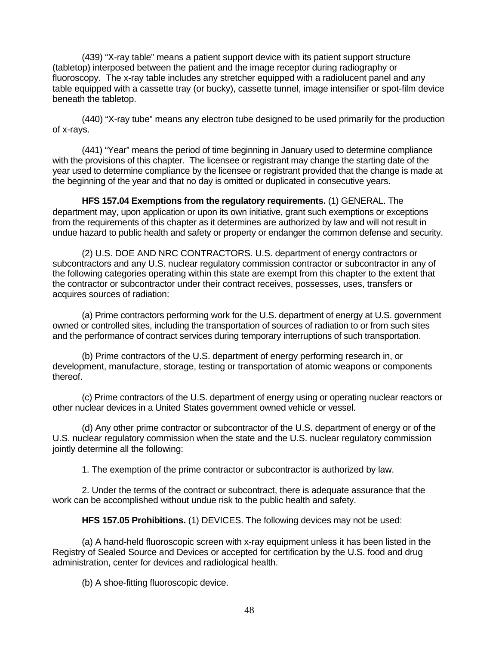(439) "X-ray table" means a patient support device with its patient support structure (tabletop) interposed between the patient and the image receptor during radiography or fluoroscopy. The x-ray table includes any stretcher equipped with a radiolucent panel and any table equipped with a cassette tray (or bucky), cassette tunnel, image intensifier or spot-film device beneath the tabletop.

(440) "X-ray tube" means any electron tube designed to be used primarily for the production of x-rays.

(441) "Year" means the period of time beginning in January used to determine compliance with the provisions of this chapter. The licensee or registrant may change the starting date of the year used to determine compliance by the licensee or registrant provided that the change is made at the beginning of the year and that no day is omitted or duplicated in consecutive years.

**HFS 157.04 Exemptions from the regulatory requirements.** (1) GENERAL. The department may, upon application or upon its own initiative, grant such exemptions or exceptions from the requirements of this chapter as it determines are authorized by law and will not result in undue hazard to public health and safety or property or endanger the common defense and security.

(2) U.S. DOE AND NRC CONTRACTORS. U.S. department of energy contractors or subcontractors and any U.S. nuclear regulatory commission contractor or subcontractor in any of the following categories operating within this state are exempt from this chapter to the extent that the contractor or subcontractor under their contract receives, possesses, uses, transfers or acquires sources of radiation:

(a) Prime contractors performing work for the U.S. department of energy at U.S. government owned or controlled sites, including the transportation of sources of radiation to or from such sites and the performance of contract services during temporary interruptions of such transportation.

(b) Prime contractors of the U.S. department of energy performing research in, or development, manufacture, storage, testing or transportation of atomic weapons or components thereof.

(c) Prime contractors of the U.S. department of energy using or operating nuclear reactors or other nuclear devices in a United States government owned vehicle or vessel.

(d) Any other prime contractor or subcontractor of the U.S. department of energy or of the U.S. nuclear regulatory commission when the state and the U.S. nuclear regulatory commission jointly determine all the following:

1. The exemption of the prime contractor or subcontractor is authorized by law.

2. Under the terms of the contract or subcontract, there is adequate assurance that the work can be accomplished without undue risk to the public health and safety.

**HFS 157.05 Prohibitions.** (1) DEVICES. The following devices may not be used:

(a) A hand-held fluoroscopic screen with x-ray equipment unless it has been listed in the Registry of Sealed Source and Devices or accepted for certification by the U.S. food and drug administration, center for devices and radiological health.

(b) A shoe-fitting fluoroscopic device.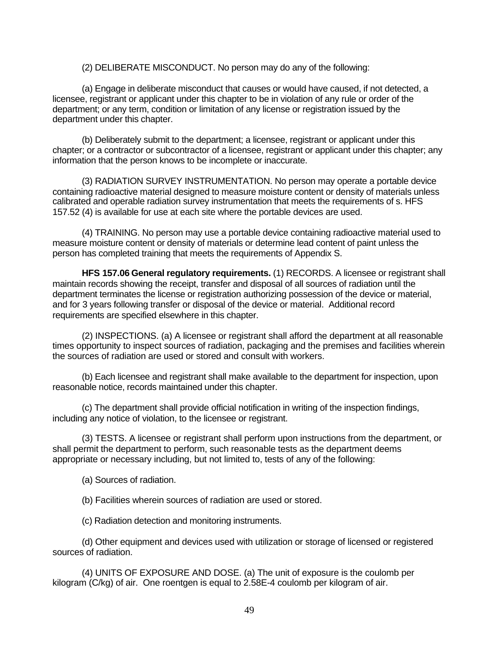(2) DELIBERATE MISCONDUCT. No person may do any of the following:

(a) Engage in deliberate misconduct that causes or would have caused, if not detected, a licensee, registrant or applicant under this chapter to be in violation of any rule or order of the department; or any term, condition or limitation of any license or registration issued by the department under this chapter.

(b) Deliberately submit to the department; a licensee, registrant or applicant under this chapter; or a contractor or subcontractor of a licensee, registrant or applicant under this chapter; any information that the person knows to be incomplete or inaccurate.

(3) RADIATION SURVEY INSTRUMENTATION. No person may operate a portable device containing radioactive material designed to measure moisture content or density of materials unless calibrated and operable radiation survey instrumentation that meets the requirements of s. HFS 157.52 (4) is available for use at each site where the portable devices are used.

(4) TRAINING. No person may use a portable device containing radioactive material used to measure moisture content or density of materials or determine lead content of paint unless the person has completed training that meets the requirements of Appendix S.

**HFS 157.06 General regulatory requirements.** (1) RECORDS. A licensee or registrant shall maintain records showing the receipt, transfer and disposal of all sources of radiation until the department terminates the license or registration authorizing possession of the device or material, and for 3 years following transfer or disposal of the device or material. Additional record requirements are specified elsewhere in this chapter.

(2) INSPECTIONS. (a) A licensee or registrant shall afford the department at all reasonable times opportunity to inspect sources of radiation, packaging and the premises and facilities wherein the sources of radiation are used or stored and consult with workers.

(b) Each licensee and registrant shall make available to the department for inspection, upon reasonable notice, records maintained under this chapter.

(c) The department shall provide official notification in writing of the inspection findings, including any notice of violation, to the licensee or registrant.

(3) TESTS. A licensee or registrant shall perform upon instructions from the department, or shall permit the department to perform, such reasonable tests as the department deems appropriate or necessary including, but not limited to, tests of any of the following:

(a) Sources of radiation.

(b) Facilities wherein sources of radiation are used or stored.

(c) Radiation detection and monitoring instruments.

(d) Other equipment and devices used with utilization or storage of licensed or registered sources of radiation.

(4) UNITS OF EXPOSURE AND DOSE. (a) The unit of exposure is the coulomb per kilogram (C/kg) of air. One roentgen is equal to 2.58E-4 coulomb per kilogram of air.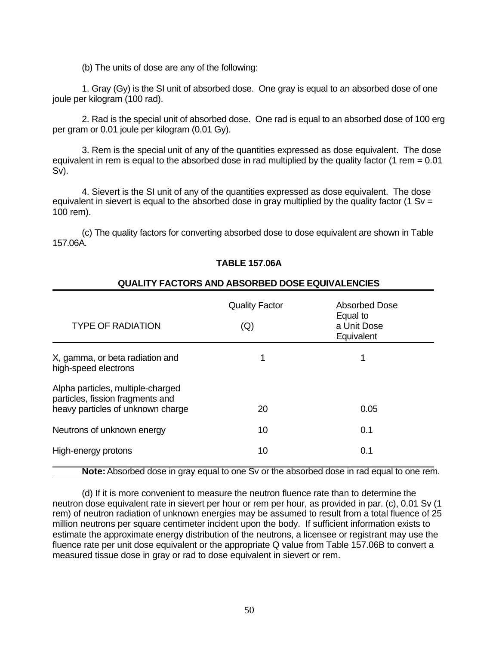(b) The units of dose are any of the following:

1. Gray (Gy) is the SI unit of absorbed dose. One gray is equal to an absorbed dose of one joule per kilogram (100 rad).

2. Rad is the special unit of absorbed dose. One rad is equal to an absorbed dose of 100 erg per gram or 0.01 joule per kilogram (0.01 Gy).

3. Rem is the special unit of any of the quantities expressed as dose equivalent. The dose equivalent in rem is equal to the absorbed dose in rad multiplied by the quality factor (1 rem  $= 0.01$ ) Sv).

4. Sievert is the SI unit of any of the quantities expressed as dose equivalent. The dose equivalent in sievert is equal to the absorbed dose in gray multiplied by the quality factor (1 Sv = 100 rem).

(c) The quality factors for converting absorbed dose to dose equivalent are shown in Table 157.06A.

# **TABLE 157.06A**

### **QUALITY FACTORS AND ABSORBED DOSE EQUIVALENCIES**

| <b>TYPE OF RADIATION</b>                                                                                   | <b>Quality Factor</b><br>(Q) | Absorbed Dose<br>Equal to<br>a Unit Dose<br>Equivalent |
|------------------------------------------------------------------------------------------------------------|------------------------------|--------------------------------------------------------|
| X, gamma, or beta radiation and<br>high-speed electrons                                                    |                              | 1                                                      |
| Alpha particles, multiple-charged<br>particles, fission fragments and<br>heavy particles of unknown charge | 20                           | 0.05                                                   |
| Neutrons of unknown energy                                                                                 | 10                           | 0.1                                                    |
| High-energy protons                                                                                        | 10                           | 0.1                                                    |

### **Note:** Absorbed dose in gray equal to one Sv or the absorbed dose in rad equal to one rem.

(d) If it is more convenient to measure the neutron fluence rate than to determine the neutron dose equivalent rate in sievert per hour or rem per hour, as provided in par. (c), 0.01 Sv (1 rem) of neutron radiation of unknown energies may be assumed to result from a total fluence of 25 million neutrons per square centimeter incident upon the body. If sufficient information exists to estimate the approximate energy distribution of the neutrons, a licensee or registrant may use the fluence rate per unit dose equivalent or the appropriate Q value from Table 157.06B to convert a measured tissue dose in gray or rad to dose equivalent in sievert or rem.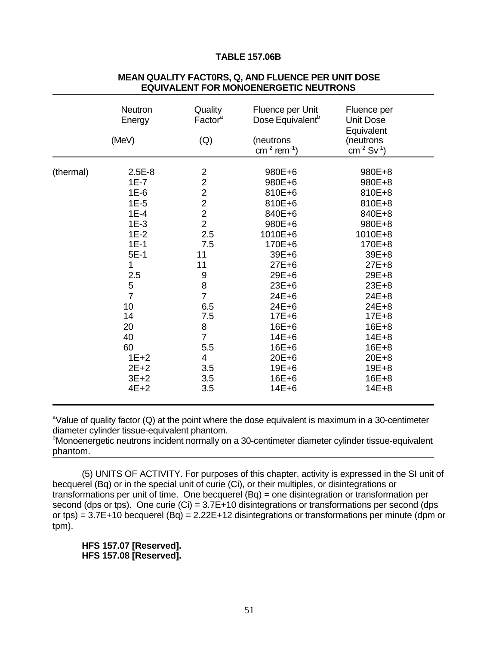#### **TABLE 157.06B**

|           | <b>Neutron</b><br>Energy<br>(MeV)                                                                                                                                                           | Quality<br>Factor <sup>a</sup><br>(Q)                                                                                                                                                                             | Fluence per Unit<br>Dose Equivalent <sup>b</sup><br>(neutrons<br>$cm^{-2}$ rem <sup>-1</sup> )                                                                                                                                                                  | Fluence per<br><b>Unit Dose</b><br>Equivalent<br>(neutrons<br>$cm^{-2}$ Sv <sup>-1</sup> )                                                                                                                                                      |
|-----------|---------------------------------------------------------------------------------------------------------------------------------------------------------------------------------------------|-------------------------------------------------------------------------------------------------------------------------------------------------------------------------------------------------------------------|-----------------------------------------------------------------------------------------------------------------------------------------------------------------------------------------------------------------------------------------------------------------|-------------------------------------------------------------------------------------------------------------------------------------------------------------------------------------------------------------------------------------------------|
| (thermal) | $2.5E-8$<br>$1E-7$<br>$1E-6$<br>$1E-5$<br>$1E-4$<br>$1E-3$<br>$1E-2$<br>$1E-1$<br>$5E-1$<br>1<br>2.5<br>$\frac{5}{7}$<br>10<br>14<br>20<br>40<br>60<br>$1E+2$<br>$2E+2$<br>$3E+2$<br>$4E+2$ | $\overline{c}$<br>$\overline{2}$<br>$\overline{c}$<br>$\overline{2}$<br>$\frac{2}{2}$<br>2.5<br>7.5<br>11<br>11<br>9<br>8<br>$\overline{7}$<br>6.5<br>7.5<br>8<br>$\overline{7}$<br>5.5<br>4<br>3.5<br>3.5<br>3.5 | 980E+6<br>980E+6<br>810E+6<br>810E+6<br>840E+6<br>980E+6<br>1010E+6<br>170E+6<br>39E+6<br>$27E + 6$<br>$29E + 6$<br>$23E + 6$<br>$24E + 6$<br>$24E + 6$<br>$17E + 6$<br>$16E + 6$<br>$14E + 6$<br>$16E + 6$<br>$20E + 6$<br>$19E + 6$<br>$16E + 6$<br>$14E + 6$ | 980E+8<br>980E+8<br>810E+8<br>810E+8<br>840E+8<br>980E+8<br>1010E+8<br>170E+8<br>39E+8<br>$27E + 8$<br>29E+8<br>23E+8<br>$24E + 8$<br>24E+8<br>$17E + 8$<br>$16E + 8$<br>$14E + 8$<br>$16E + 8$<br>$20E + 8$<br>19E+8<br>$16E + 8$<br>$14E + 8$ |

### **MEAN QUALITY FACT0RS, Q, AND FLUENCE PER UNIT DOSE EQUIVALENT FOR MONOENERGETIC NEUTRONS**

<sup>a</sup>Value of quality factor (Q) at the point where the dose equivalent is maximum in a 30-centimeter diameter cylinder tissue-equivalent phantom.

**Monoenergetic neutrons incident normally on a 30-centimeter diameter cylinder tissue-equivalent** phantom.

(5) UNITS OF ACTIVITY. For purposes of this chapter, activity is expressed in the SI unit of becquerel (Bq) or in the special unit of curie (Ci), or their multiples, or disintegrations or transformations per unit of time. One becquerel (Bq) = one disintegration or transformation per second (dps or tps). One curie (Ci) =  $3.7E+10$  disintegrations or transformations per second (dps or tps) =  $3.7E+10$  becquerel (Bq) =  $2.22E+12$  disintegrations or transformations per minute (dpm or tpm).

**HFS 157.07 [Reserved]. HFS 157.08 [Reserved].**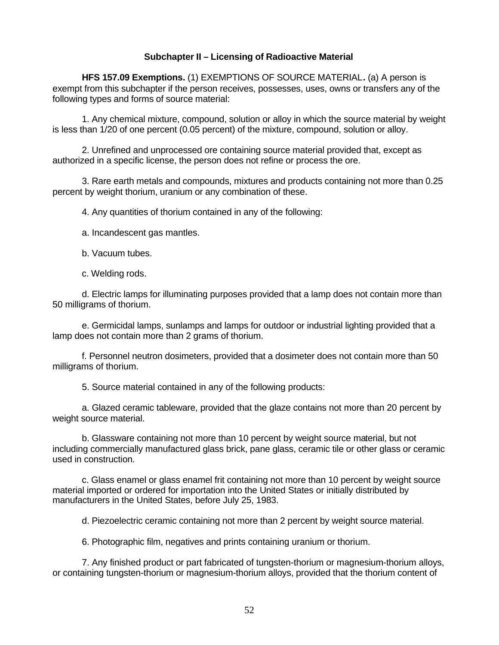# **Subchapter II – Licensing of Radioactive Material**

**HFS 157.09 Exemptions.** (1) EXEMPTIONS OF SOURCE MATERIAL**.** (a) A person is exempt from this subchapter if the person receives, possesses, uses, owns or transfers any of the following types and forms of source material:

1. Any chemical mixture, compound, solution or alloy in which the source material by weight is less than 1/20 of one percent (0.05 percent) of the mixture, compound, solution or alloy.

2. Unrefined and unprocessed ore containing source material provided that, except as authorized in a specific license, the person does not refine or process the ore.

3. Rare earth metals and compounds, mixtures and products containing not more than 0.25 percent by weight thorium, uranium or any combination of these.

4. Any quantities of thorium contained in any of the following:

- a. Incandescent gas mantles.
- b. Vacuum tubes.
- c. Welding rods.

d. Electric lamps for illuminating purposes provided that a lamp does not contain more than 50 milligrams of thorium.

e. Germicidal lamps, sunlamps and lamps for outdoor or industrial lighting provided that a lamp does not contain more than 2 grams of thorium.

f. Personnel neutron dosimeters, provided that a dosimeter does not contain more than 50 milligrams of thorium.

5. Source material contained in any of the following products:

a. Glazed ceramic tableware, provided that the glaze contains not more than 20 percent by weight source material.

b. Glassware containing not more than 10 percent by weight source material, but not including commercially manufactured glass brick, pane glass, ceramic tile or other glass or ceramic used in construction.

c. Glass enamel or glass enamel frit containing not more than 10 percent by weight source material imported or ordered for importation into the United States or initially distributed by manufacturers in the United States, before July 25, 1983.

d. Piezoelectric ceramic containing not more than 2 percent by weight source material.

6. Photographic film, negatives and prints containing uranium or thorium.

7. Any finished product or part fabricated of tungsten-thorium or magnesium-thorium alloys, or containing tungsten-thorium or magnesium-thorium alloys, provided that the thorium content of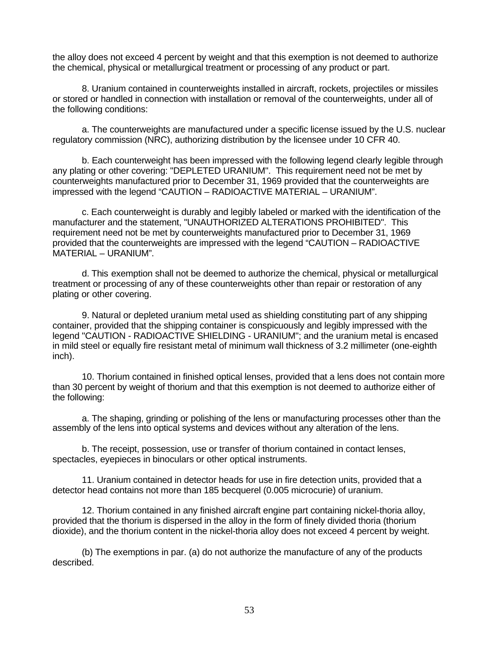the alloy does not exceed 4 percent by weight and that this exemption is not deemed to authorize the chemical, physical or metallurgical treatment or processing of any product or part.

8. Uranium contained in counterweights installed in aircraft, rockets, projectiles or missiles or stored or handled in connection with installation or removal of the counterweights, under all of the following conditions:

a. The counterweights are manufactured under a specific license issued by the U.S. nuclear regulatory commission (NRC), authorizing distribution by the licensee under 10 CFR 40.

b. Each counterweight has been impressed with the following legend clearly legible through any plating or other covering: "DEPLETED URANIUM". This requirement need not be met by counterweights manufactured prior to December 31, 1969 provided that the counterweights are impressed with the legend "CAUTION – RADIOACTIVE MATERIAL – URANIUM".

c. Each counterweight is durably and legibly labeled or marked with the identification of the manufacturer and the statement, "UNAUTHORIZED ALTERATIONS PROHIBITED". This requirement need not be met by counterweights manufactured prior to December 31, 1969 provided that the counterweights are impressed with the legend "CAUTION – RADIOACTIVE MATERIAL – URANIUM".

d. This exemption shall not be deemed to authorize the chemical, physical or metallurgical treatment or processing of any of these counterweights other than repair or restoration of any plating or other covering.

9. Natural or depleted uranium metal used as shielding constituting part of any shipping container, provided that the shipping container is conspicuously and legibly impressed with the legend "CAUTION - RADIOACTIVE SHIELDING - URANIUM"; and the uranium metal is encased in mild steel or equally fire resistant metal of minimum wall thickness of 3.2 millimeter (one-eighth inch).

10. Thorium contained in finished optical lenses, provided that a lens does not contain more than 30 percent by weight of thorium and that this exemption is not deemed to authorize either of the following:

a. The shaping, grinding or polishing of the lens or manufacturing processes other than the assembly of the lens into optical systems and devices without any alteration of the lens.

b. The receipt, possession, use or transfer of thorium contained in contact lenses, spectacles, eyepieces in binoculars or other optical instruments.

11. Uranium contained in detector heads for use in fire detection units, provided that a detector head contains not more than 185 becquerel (0.005 microcurie) of uranium.

12. Thorium contained in any finished aircraft engine part containing nickel-thoria alloy, provided that the thorium is dispersed in the alloy in the form of finely divided thoria (thorium dioxide), and the thorium content in the nickel-thoria alloy does not exceed 4 percent by weight.

(b) The exemptions in par. (a) do not authorize the manufacture of any of the products described.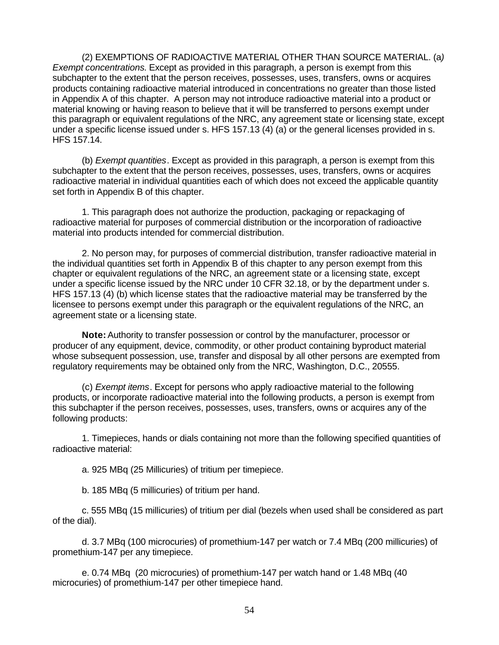(2) EXEMPTIONS OF RADIOACTIVE MATERIAL OTHER THAN SOURCE MATERIAL. (a*) Exempt concentrations.* Except as provided in this paragraph, a person is exempt from this subchapter to the extent that the person receives, possesses, uses, transfers, owns or acquires products containing radioactive material introduced in concentrations no greater than those listed in Appendix A of this chapter. A person may not introduce radioactive material into a product or material knowing or having reason to believe that it will be transferred to persons exempt under this paragraph or equivalent regulations of the NRC, any agreement state or licensing state, except under a specific license issued under s. HFS 157.13 (4) (a) or the general licenses provided in s. HFS 157.14.

(b) *Exempt quantities*. Except as provided in this paragraph, a person is exempt from this subchapter to the extent that the person receives, possesses, uses, transfers, owns or acquires radioactive material in individual quantities each of which does not exceed the applicable quantity set forth in Appendix B of this chapter.

1. This paragraph does not authorize the production, packaging or repackaging of radioactive material for purposes of commercial distribution or the incorporation of radioactive material into products intended for commercial distribution.

2. No person may, for purposes of commercial distribution, transfer radioactive material in the individual quantities set forth in Appendix B of this chapter to any person exempt from this chapter or equivalent regulations of the NRC, an agreement state or a licensing state, except under a specific license issued by the NRC under 10 CFR 32.18, or by the department under s. HFS 157.13 (4) (b) which license states that the radioactive material may be transferred by the licensee to persons exempt under this paragraph or the equivalent regulations of the NRC, an agreement state or a licensing state.

**Note:** Authority to transfer possession or control by the manufacturer, processor or producer of any equipment, device, commodity, or other product containing byproduct material whose subsequent possession, use, transfer and disposal by all other persons are exempted from regulatory requirements may be obtained only from the NRC, Washington, D.C., 20555.

(c) *Exempt items*. Except for persons who apply radioactive material to the following products, or incorporate radioactive material into the following products, a person is exempt from this subchapter if the person receives, possesses, uses, transfers, owns or acquires any of the following products:

1. Timepieces, hands or dials containing not more than the following specified quantities of radioactive material:

a. 925 MBq (25 Millicuries) of tritium per timepiece.

b. 185 MBq (5 millicuries) of tritium per hand.

c. 555 MBq (15 millicuries) of tritium per dial (bezels when used shall be considered as part of the dial).

d. 3.7 MBq (100 microcuries) of promethium-147 per watch or 7.4 MBq (200 millicuries) of promethium-147 per any timepiece.

e. 0.74 MBq (20 microcuries) of promethium-147 per watch hand or 1.48 MBq (40 microcuries) of promethium-147 per other timepiece hand.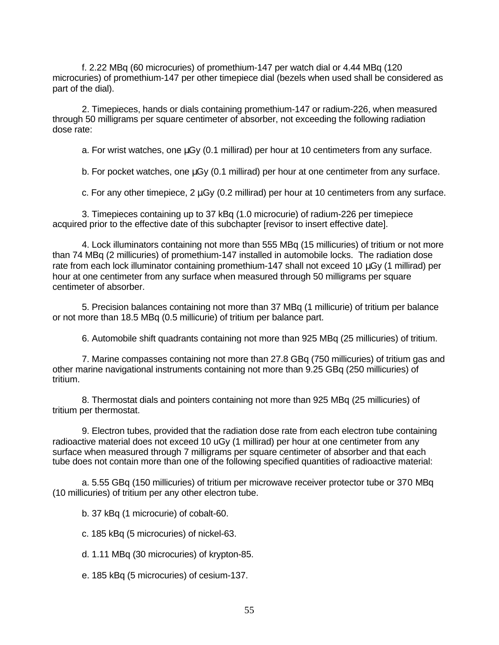f. 2.22 MBq (60 microcuries) of promethium-147 per watch dial or 4.44 MBq (120 microcuries) of promethium-147 per other timepiece dial (bezels when used shall be considered as part of the dial).

2. Timepieces, hands or dials containing promethium-147 or radium-226, when measured through 50 milligrams per square centimeter of absorber, not exceeding the following radiation dose rate:

a. For wrist watches, one μGy (0.1 millirad) per hour at 10 centimeters from any surface.

b. For pocket watches, one μGy (0.1 millirad) per hour at one centimeter from any surface.

c. For any other timepiece, 2 μGy (0.2 millirad) per hour at 10 centimeters from any surface.

3. Timepieces containing up to 37 kBq (1.0 microcurie) of radium-226 per timepiece acquired prior to the effective date of this subchapter [revisor to insert effective date].

4. Lock illuminators containing not more than 555 MBq (15 millicuries) of tritium or not more than 74 MBq (2 millicuries) of promethium-147 installed in automobile locks. The radiation dose rate from each lock illuminator containing promethium-147 shall not exceed 10 μGy (1 millirad) per hour at one centimeter from any surface when measured through 50 milligrams per square centimeter of absorber.

5. Precision balances containing not more than 37 MBq (1 millicurie) of tritium per balance or not more than 18.5 MBq (0.5 millicurie) of tritium per balance part.

6. Automobile shift quadrants containing not more than 925 MBq (25 millicuries) of tritium.

7. Marine compasses containing not more than 27.8 GBq (750 millicuries) of tritium gas and other marine navigational instruments containing not more than 9.25 GBq (250 millicuries) of tritium.

8. Thermostat dials and pointers containing not more than 925 MBq (25 millicuries) of tritium per thermostat.

9. Electron tubes, provided that the radiation dose rate from each electron tube containing radioactive material does not exceed 10 uGy (1 millirad) per hour at one centimeter from any surface when measured through 7 milligrams per square centimeter of absorber and that each tube does not contain more than one of the following specified quantities of radioactive material:

a. 5.55 GBq (150 millicuries) of tritium per microwave receiver protector tube or 370 MBq (10 millicuries) of tritium per any other electron tube.

b. 37 kBq (1 microcurie) of cobalt-60.

c. 185 kBq (5 microcuries) of nickel-63.

d. 1.11 MBq (30 microcuries) of krypton-85.

e. 185 kBq (5 microcuries) of cesium-137.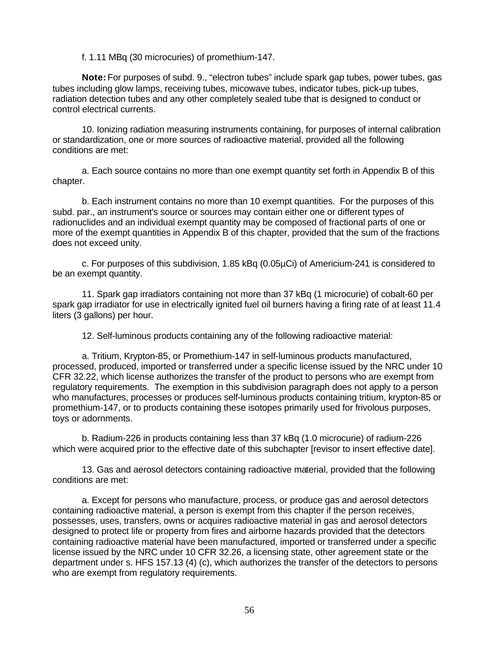f. 1.11 MBq (30 microcuries) of promethium-147.

**Note:** For purposes of subd. 9., "electron tubes" include spark gap tubes, power tubes, gas tubes including glow lamps, receiving tubes, micowave tubes, indicator tubes, pick-up tubes, radiation detection tubes and any other completely sealed tube that is designed to conduct or control electrical currents.

10. Ionizing radiation measuring instruments containing, for purposes of internal calibration or standardization, one or more sources of radioactive material, provided all the following conditions are met:

a. Each source contains no more than one exempt quantity set forth in Appendix B of this chapter.

b. Each instrument contains no more than 10 exempt quantities. For the purposes of this subd. par., an instrument's source or sources may contain either one or different types of radionuclides and an individual exempt quantity may be composed of fractional parts of one or more of the exempt quantities in Appendix B of this chapter, provided that the sum of the fractions does not exceed unity.

c. For purposes of this subdivision, 1.85 kBq (0.05µCi) of Americium-241 is considered to be an exempt quantity.

11. Spark gap irradiators containing not more than 37 kBq (1 microcurie) of cobalt-60 per spark gap irradiator for use in electrically ignited fuel oil burners having a firing rate of at least 11.4 liters (3 gallons) per hour.

12. Self-luminous products containing any of the following radioactive material:

a. Tritium, Krypton-85, or Promethium-147 in self-luminous products manufactured, processed, produced, imported or transferred under a specific license issued by the NRC under 10 CFR 32.22, which license authorizes the transfer of the product to persons who are exempt from regulatory requirements. The exemption in this subdivision paragraph does not apply to a person who manufactures, processes or produces self-luminous products containing tritium, krypton-85 or promethium-147, or to products containing these isotopes primarily used for frivolous purposes, toys or adornments.

b. Radium-226 in products containing less than 37 kBq (1.0 microcurie) of radium-226 which were acquired prior to the effective date of this subchapter [revisor to insert effective date].

13. Gas and aerosol detectors containing radioactive material, provided that the following conditions are met:

a. Except for persons who manufacture, process, or produce gas and aerosol detectors containing radioactive material, a person is exempt from this chapter if the person receives, possesses, uses, transfers, owns or acquires radioactive material in gas and aerosol detectors designed to protect life or property from fires and airborne hazards provided that the detectors containing radioactive material have been manufactured, imported or transferred under a specific license issued by the NRC under 10 CFR 32.26, a licensing state, other agreement state or the department under s. HFS 157.13 (4) (c), which authorizes the transfer of the detectors to persons who are exempt from regulatory requirements.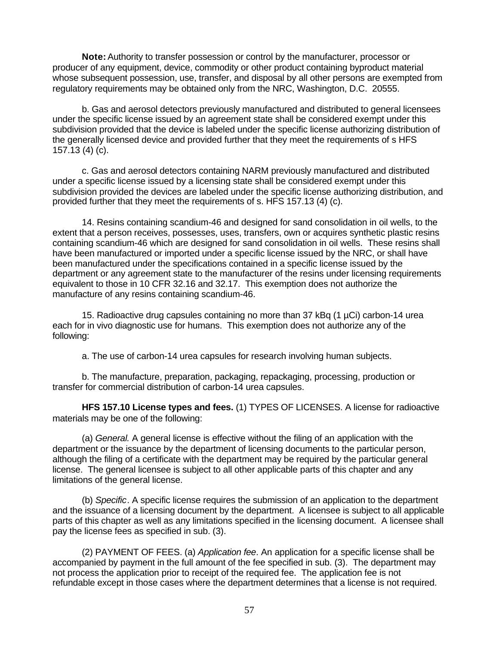**Note:** Authority to transfer possession or control by the manufacturer, processor or producer of any equipment, device, commodity or other product containing byproduct material whose subsequent possession, use, transfer, and disposal by all other persons are exempted from regulatory requirements may be obtained only from the NRC, Washington, D.C. 20555.

b. Gas and aerosol detectors previously manufactured and distributed to general licensees under the specific license issued by an agreement state shall be considered exempt under this subdivision provided that the device is labeled under the specific license authorizing distribution of the generally licensed device and provided further that they meet the requirements of s HFS 157.13 (4) (c).

c. Gas and aerosol detectors containing NARM previously manufactured and distributed under a specific license issued by a licensing state shall be considered exempt under this subdivision provided the devices are labeled under the specific license authorizing distribution, and provided further that they meet the requirements of s. HFS 157.13 (4) (c).

14. Resins containing scandium-46 and designed for sand consolidation in oil wells, to the extent that a person receives, possesses, uses, transfers, own or acquires synthetic plastic resins containing scandium-46 which are designed for sand consolidation in oil wells. These resins shall have been manufactured or imported under a specific license issued by the NRC, or shall have been manufactured under the specifications contained in a specific license issued by the department or any agreement state to the manufacturer of the resins under licensing requirements equivalent to those in 10 CFR 32.16 and 32.17. This exemption does not authorize the manufacture of any resins containing scandium-46.

15. Radioactive drug capsules containing no more than 37 kBq (1 µCi) carbon-14 urea each for in vivo diagnostic use for humans. This exemption does not authorize any of the following:

a. The use of carbon-14 urea capsules for research involving human subjects.

b. The manufacture, preparation, packaging, repackaging, processing, production or transfer for commercial distribution of carbon-14 urea capsules.

**HFS 157.10 License types and fees.** (1) TYPES OF LICENSES. A license for radioactive materials may be one of the following:

(a) *General.* A general license is effective without the filing of an application with the department or the issuance by the department of licensing documents to the particular person, although the filing of a certificate with the department may be required by the particular general license. The general licensee is subject to all other applicable parts of this chapter and any limitations of the general license.

(b) *Specific*. A specific license requires the submission of an application to the department and the issuance of a licensing document by the department. A licensee is subject to all applicable parts of this chapter as well as any limitations specified in the licensing document. A licensee shall pay the license fees as specified in sub. (3).

(2) PAYMENT OF FEES. (a) *Application fee*. An application for a specific license shall be accompanied by payment in the full amount of the fee specified in sub. (3). The department may not process the application prior to receipt of the required fee. The application fee is not refundable except in those cases where the department determines that a license is not required.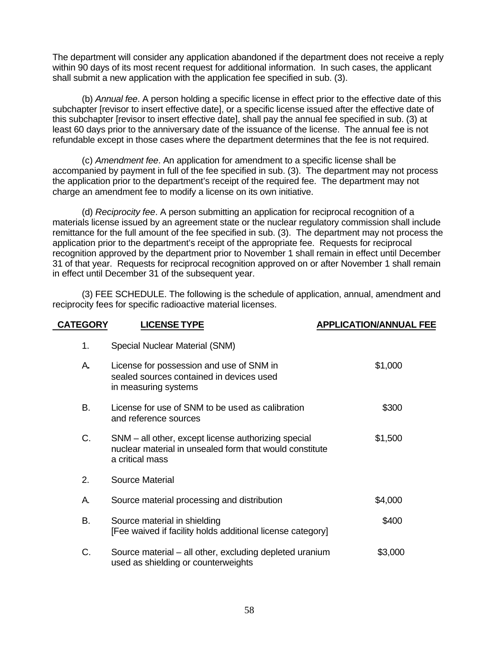The department will consider any application abandoned if the department does not receive a reply within 90 days of its most recent request for additional information. In such cases, the applicant shall submit a new application with the application fee specified in sub. (3).

(b) *Annual fee*. A person holding a specific license in effect prior to the effective date of this subchapter [revisor to insert effective date], or a specific license issued after the effective date of this subchapter [revisor to insert effective date], shall pay the annual fee specified in sub. (3) at least 60 days prior to the anniversary date of the issuance of the license. The annual fee is not refundable except in those cases where the department determines that the fee is not required.

(c) *Amendment fee*. An application for amendment to a specific license shall be accompanied by payment in full of the fee specified in sub. (3). The department may not process the application prior to the department's receipt of the required fee. The department may not charge an amendment fee to modify a license on its own initiative.

(d) *Reciprocity fee*. A person submitting an application for reciprocal recognition of a materials license issued by an agreement state or the nuclear regulatory commission shall include remittance for the full amount of the fee specified in sub. (3). The department may not process the application prior to the department's receipt of the appropriate fee. Requests for reciprocal recognition approved by the department prior to November 1 shall remain in effect until December 31 of that year. Requests for reciprocal recognition approved on or after November 1 shall remain in effect until December 31 of the subsequent year.

(3) FEE SCHEDULE. The following is the schedule of application, annual, amendment and reciprocity fees for specific radioactive material licenses.

| <b>CATEGORY</b> | <b>LICENSE TYPE</b>                                                                                                               | <b>APPLICATION/ANNUAL FEE</b> |
|-----------------|-----------------------------------------------------------------------------------------------------------------------------------|-------------------------------|
| 1.              | Special Nuclear Material (SNM)                                                                                                    |                               |
| Α.              | License for possession and use of SNM in<br>sealed sources contained in devices used<br>in measuring systems                      | \$1,000                       |
| В.              | License for use of SNM to be used as calibration<br>and reference sources                                                         | \$300                         |
| C.              | SNM – all other, except license authorizing special<br>nuclear material in unsealed form that would constitute<br>a critical mass | \$1,500                       |
| 2.              | <b>Source Material</b>                                                                                                            |                               |
| А.              | Source material processing and distribution                                                                                       | \$4,000                       |
| В.              | Source material in shielding<br>[Fee waived if facility holds additional license category]                                        | \$400                         |
| C.              | Source material – all other, excluding depleted uranium<br>used as shielding or counterweights                                    | \$3,000                       |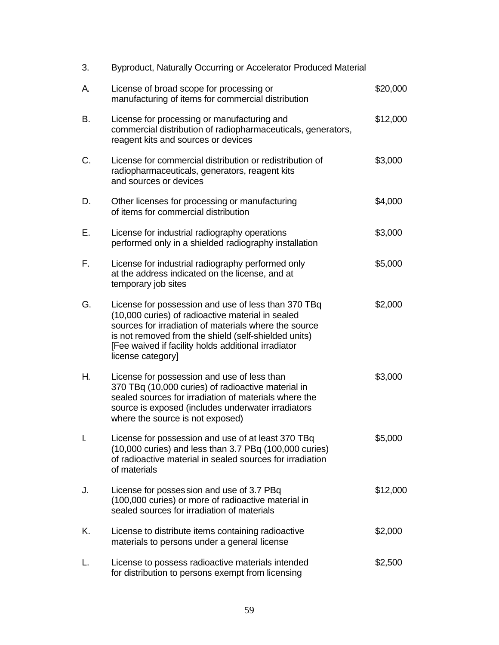| 3. | Byproduct, Naturally Occurring or Accelerator Produced Material                                                                                                                                                                                                                                       |          |
|----|-------------------------------------------------------------------------------------------------------------------------------------------------------------------------------------------------------------------------------------------------------------------------------------------------------|----------|
| А. | License of broad scope for processing or<br>manufacturing of items for commercial distribution                                                                                                                                                                                                        | \$20,000 |
| B. | License for processing or manufacturing and<br>commercial distribution of radiopharmaceuticals, generators,<br>reagent kits and sources or devices                                                                                                                                                    | \$12,000 |
| C. | License for commercial distribution or redistribution of<br>radiopharmaceuticals, generators, reagent kits<br>and sources or devices                                                                                                                                                                  | \$3,000  |
| D. | Other licenses for processing or manufacturing<br>of items for commercial distribution                                                                                                                                                                                                                | \$4,000  |
| Ε. | License for industrial radiography operations<br>performed only in a shielded radiography installation                                                                                                                                                                                                | \$3,000  |
| F. | License for industrial radiography performed only<br>at the address indicated on the license, and at<br>temporary job sites                                                                                                                                                                           | \$5,000  |
| G. | License for possession and use of less than 370 TBq<br>(10,000 curies) of radioactive material in sealed<br>sources for irradiation of materials where the source<br>is not removed from the shield (self-shielded units)<br>[Fee waived if facility holds additional irradiator<br>license category] | \$2,000  |
| Н. | License for possession and use of less than<br>370 TBq (10,000 curies) of radioactive material in<br>sealed sources for irradiation of materials where the<br>source is exposed (includes underwater irradiators<br>where the source is not exposed)                                                  | \$3,000  |
| I. | License for possession and use of at least 370 TBq<br>(10,000 curies) and less than 3.7 PBq (100,000 curies)<br>of radioactive material in sealed sources for irradiation<br>of materials                                                                                                             | \$5,000  |
| J. | License for posses sion and use of 3.7 PBq<br>(100,000 curies) or more of radioactive material in<br>sealed sources for irradiation of materials                                                                                                                                                      | \$12,000 |
| K. | License to distribute items containing radioactive<br>materials to persons under a general license                                                                                                                                                                                                    | \$2,000  |
| L. | License to possess radioactive materials intended<br>for distribution to persons exempt from licensing                                                                                                                                                                                                | \$2,500  |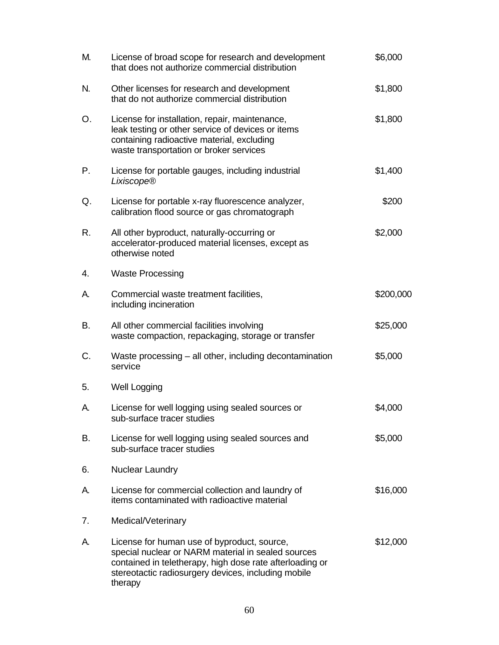| M. | License of broad scope for research and development<br>that does not authorize commercial distribution                                                                                                                          | \$6,000   |
|----|---------------------------------------------------------------------------------------------------------------------------------------------------------------------------------------------------------------------------------|-----------|
| N. | Other licenses for research and development<br>that do not authorize commercial distribution                                                                                                                                    | \$1,800   |
| Ο. | License for installation, repair, maintenance,<br>leak testing or other service of devices or items<br>containing radioactive material, excluding<br>waste transportation or broker services                                    | \$1,800   |
| Ρ. | License for portable gauges, including industrial<br>Lixiscope®                                                                                                                                                                 | \$1,400   |
| Q. | License for portable x-ray fluorescence analyzer,<br>calibration flood source or gas chromatograph                                                                                                                              | \$200     |
| R. | All other byproduct, naturally-occurring or<br>accelerator-produced material licenses, except as<br>otherwise noted                                                                                                             | \$2,000   |
| 4. | <b>Waste Processing</b>                                                                                                                                                                                                         |           |
| А. | Commercial waste treatment facilities,<br>including incineration                                                                                                                                                                | \$200,000 |
| В. | All other commercial facilities involving<br>waste compaction, repackaging, storage or transfer                                                                                                                                 | \$25,000  |
| C. | Waste processing – all other, including decontamination<br>service                                                                                                                                                              | \$5,000   |
| 5. | Well Logging                                                                                                                                                                                                                    |           |
| А. | License for well logging using sealed sources or<br>sub-surface tracer studies                                                                                                                                                  | \$4,000   |
| В. | License for well logging using sealed sources and<br>sub-surface tracer studies                                                                                                                                                 | \$5,000   |
| 6. | <b>Nuclear Laundry</b>                                                                                                                                                                                                          |           |
| А. | License for commercial collection and laundry of<br>items contaminated with radioactive material                                                                                                                                | \$16,000  |
| 7. | Medical/Veterinary                                                                                                                                                                                                              |           |
| А. | License for human use of byproduct, source,<br>special nuclear or NARM material in sealed sources<br>contained in teletherapy, high dose rate afterloading or<br>stereotactic radiosurgery devices, including mobile<br>therapy | \$12,000  |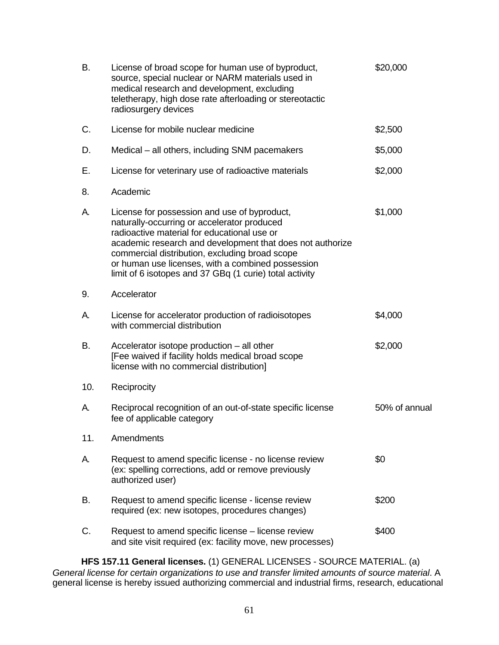| В.  | License of broad scope for human use of byproduct,<br>source, special nuclear or NARM materials used in<br>medical research and development, excluding<br>teletherapy, high dose rate afterloading or stereotactic<br>radiosurgery devices                                                                                                                                | \$20,000      |
|-----|---------------------------------------------------------------------------------------------------------------------------------------------------------------------------------------------------------------------------------------------------------------------------------------------------------------------------------------------------------------------------|---------------|
| C.  | License for mobile nuclear medicine                                                                                                                                                                                                                                                                                                                                       | \$2,500       |
| D.  | Medical – all others, including SNM pacemakers                                                                                                                                                                                                                                                                                                                            | \$5,000       |
| Е.  | License for veterinary use of radioactive materials                                                                                                                                                                                                                                                                                                                       | \$2,000       |
| 8.  | Academic                                                                                                                                                                                                                                                                                                                                                                  |               |
| А.  | License for possession and use of byproduct,<br>naturally-occurring or accelerator produced<br>radioactive material for educational use or<br>academic research and development that does not authorize<br>commercial distribution, excluding broad scope<br>or human use licenses, with a combined possession<br>limit of 6 isotopes and 37 GBq (1 curie) total activity | \$1,000       |
| 9.  | Accelerator                                                                                                                                                                                                                                                                                                                                                               |               |
| А.  | License for accelerator production of radioisotopes<br>with commercial distribution                                                                                                                                                                                                                                                                                       | \$4,000       |
| В.  | Accelerator isotope production - all other<br>[Fee waived if facility holds medical broad scope<br>license with no commercial distribution]                                                                                                                                                                                                                               | \$2,000       |
| 10. | Reciprocity                                                                                                                                                                                                                                                                                                                                                               |               |
| А.  | Reciprocal recognition of an out-of-state specific license<br>fee of applicable category                                                                                                                                                                                                                                                                                  | 50% of annual |
| 11. | Amendments                                                                                                                                                                                                                                                                                                                                                                |               |
| А.  | Request to amend specific license - no license review<br>(ex: spelling corrections, add or remove previously<br>authorized user)                                                                                                                                                                                                                                          | \$0           |
| В.  | Request to amend specific license - license review<br>required (ex: new isotopes, procedures changes)                                                                                                                                                                                                                                                                     | \$200         |
| C.  | Request to amend specific license – license review<br>and site visit required (ex: facility move, new processes)                                                                                                                                                                                                                                                          | \$400         |

**HFS 157.11 General licenses.** (1) GENERAL LICENSES - SOURCE MATERIAL. (a) *General license for certain organizations to use and transfer limited amounts of source material*. A general license is hereby issued authorizing commercial and industrial firms, research, educational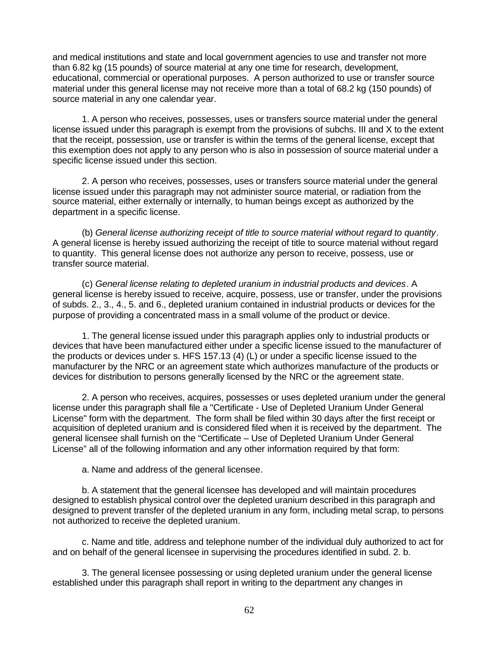and medical institutions and state and local government agencies to use and transfer not more than 6.82 kg (15 pounds) of source material at any one time for research, development, educational, commercial or operational purposes. A person authorized to use or transfer source material under this general license may not receive more than a total of 68.2 kg (150 pounds) of source material in any one calendar year.

1. A person who receives, possesses, uses or transfers source material under the general license issued under this paragraph is exempt from the provisions of subchs. III and X to the extent that the receipt, possession, use or transfer is within the terms of the general license, except that this exemption does not apply to any person who is also in possession of source material under a specific license issued under this section.

2. A person who receives, possesses, uses or transfers source material under the general license issued under this paragraph may not administer source material, or radiation from the source material, either externally or internally, to human beings except as authorized by the department in a specific license.

(b) *General license authorizing receipt of title to source material without regard to quantity*. A general license is hereby issued authorizing the receipt of title to source material without regard to quantity. This general license does not authorize any person to receive, possess, use or transfer source material.

(c) *General license relating to depleted uranium in industrial products and devices*. A general license is hereby issued to receive, acquire, possess, use or transfer, under the provisions of subds. 2., 3., 4., 5. and 6., depleted uranium contained in industrial products or devices for the purpose of providing a concentrated mass in a small volume of the product or device.

1. The general license issued under this paragraph applies only to industrial products or devices that have been manufactured either under a specific license issued to the manufacturer of the products or devices under s. HFS 157.13 (4) (L) or under a specific license issued to the manufacturer by the NRC or an agreement state which authorizes manufacture of the products or devices for distribution to persons generally licensed by the NRC or the agreement state.

2. A person who receives, acquires, possesses or uses depleted uranium under the general license under this paragraph shall file a "Certificate - Use of Depleted Uranium Under General License" form with the department. The form shall be filed within 30 days after the first receipt or acquisition of depleted uranium and is considered filed when it is received by the department. The general licensee shall furnish on the "Certificate – Use of Depleted Uranium Under General License" all of the following information and any other information required by that form:

a. Name and address of the general licensee.

b. A statement that the general licensee has developed and will maintain procedures designed to establish physical control over the depleted uranium described in this paragraph and designed to prevent transfer of the depleted uranium in any form, including metal scrap, to persons not authorized to receive the depleted uranium.

c. Name and title, address and telephone number of the individual duly authorized to act for and on behalf of the general licensee in supervising the procedures identified in subd. 2. b.

3. The general licensee possessing or using depleted uranium under the general license established under this paragraph shall report in writing to the department any changes in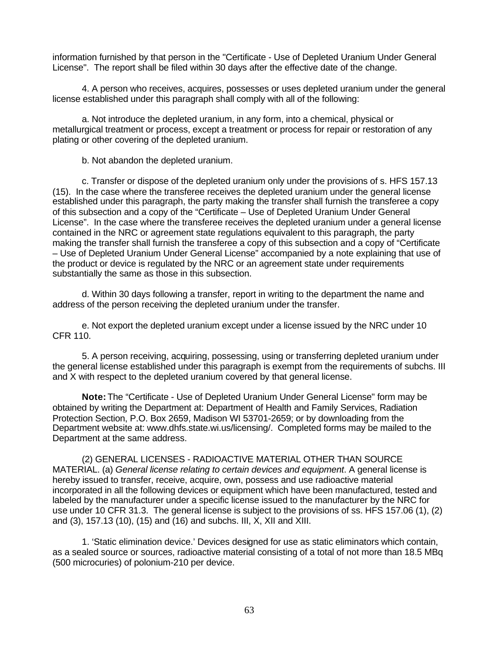information furnished by that person in the "Certificate - Use of Depleted Uranium Under General License". The report shall be filed within 30 days after the effective date of the change.

4. A person who receives, acquires, possesses or uses depleted uranium under the general license established under this paragraph shall comply with all of the following:

a. Not introduce the depleted uranium, in any form, into a chemical, physical or metallurgical treatment or process, except a treatment or process for repair or restoration of any plating or other covering of the depleted uranium.

b. Not abandon the depleted uranium.

c. Transfer or dispose of the depleted uranium only under the provisions of s. HFS 157.13 (15). In the case where the transferee receives the depleted uranium under the general license established under this paragraph, the party making the transfer shall furnish the transferee a copy of this subsection and a copy of the "Certificate – Use of Depleted Uranium Under General License". In the case where the transferee receives the depleted uranium under a general license contained in the NRC or agreement state regulations equivalent to this paragraph, the party making the transfer shall furnish the transferee a copy of this subsection and a copy of "Certificate – Use of Depleted Uranium Under General License" accompanied by a note explaining that use of the product or device is regulated by the NRC or an agreement state under requirements substantially the same as those in this subsection.

d. Within 30 days following a transfer, report in writing to the department the name and address of the person receiving the depleted uranium under the transfer.

e. Not export the depleted uranium except under a license issued by the NRC under 10 CFR 110.

5. A person receiving, acquiring, possessing, using or transferring depleted uranium under the general license established under this paragraph is exempt from the requirements of subchs. III and X with respect to the depleted uranium covered by that general license.

**Note:** The "Certificate - Use of Depleted Uranium Under General License" form may be obtained by writing the Department at: Department of Health and Family Services, Radiation Protection Section, P.O. Box 2659, Madison WI 53701-2659; or by downloading from the Department website at: www.dhfs.state.wi.us/licensing/. Completed forms may be mailed to the Department at the same address.

(2) GENERAL LICENSES - RADIOACTIVE MATERIAL OTHER THAN SOURCE MATERIAL. (a) *General license relating to certain devices and equipment*. A general license is hereby issued to transfer, receive, acquire, own, possess and use radioactive material incorporated in all the following devices or equipment which have been manufactured, tested and labeled by the manufacturer under a specific license issued to the manufacturer by the NRC for use under 10 CFR 31.3. The general license is subject to the provisions of ss. HFS 157.06 (1), (2) and (3), 157.13 (10), (15) and (16) and subchs. III, X, XII and XIII.

1. 'Static elimination device.' Devices designed for use as static eliminators which contain, as a sealed source or sources, radioactive material consisting of a total of not more than 18.5 MBq (500 microcuries) of polonium-210 per device.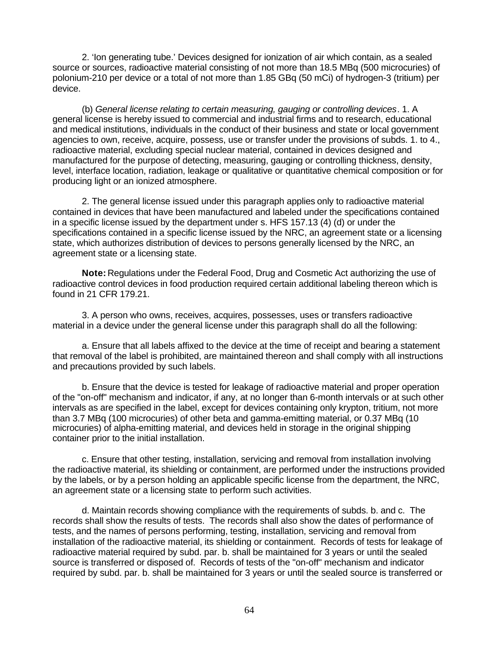2. 'Ion generating tube.' Devices designed for ionization of air which contain, as a sealed source or sources, radioactive material consisting of not more than 18.5 MBq (500 microcuries) of polonium-210 per device or a total of not more than 1.85 GBq (50 mCi) of hydrogen-3 (tritium) per device.

(b) *General license relating to certain measuring, gauging or controlling devices*. 1. A general license is hereby issued to commercial and industrial firms and to research, educational and medical institutions, individuals in the conduct of their business and state or local government agencies to own, receive, acquire, possess, use or transfer under the provisions of subds. 1. to 4., radioactive material, excluding special nuclear material, contained in devices designed and manufactured for the purpose of detecting, measuring, gauging or controlling thickness, density, level, interface location, radiation, leakage or qualitative or quantitative chemical composition or for producing light or an ionized atmosphere.

2. The general license issued under this paragraph applies only to radioactive material contained in devices that have been manufactured and labeled under the specifications contained in a specific license issued by the department under s. HFS 157.13 (4) (d) or under the specifications contained in a specific license issued by the NRC, an agreement state or a licensing state, which authorizes distribution of devices to persons generally licensed by the NRC, an agreement state or a licensing state.

**Note:** Regulations under the Federal Food, Drug and Cosmetic Act authorizing the use of radioactive control devices in food production required certain additional labeling thereon which is found in 21 CFR 179.21.

3. A person who owns, receives, acquires, possesses, uses or transfers radioactive material in a device under the general license under this paragraph shall do all the following:

a. Ensure that all labels affixed to the device at the time of receipt and bearing a statement that removal of the label is prohibited, are maintained thereon and shall comply with all instructions and precautions provided by such labels.

b. Ensure that the device is tested for leakage of radioactive material and proper operation of the "on-off" mechanism and indicator, if any, at no longer than 6-month intervals or at such other intervals as are specified in the label, except for devices containing only krypton, tritium, not more than 3.7 MBq (100 microcuries) of other beta and gamma-emitting material, or 0.37 MBq (10 microcuries) of alpha-emitting material, and devices held in storage in the original shipping container prior to the initial installation.

c. Ensure that other testing, installation, servicing and removal from installation involving the radioactive material, its shielding or containment, are performed under the instructions provided by the labels, or by a person holding an applicable specific license from the department, the NRC, an agreement state or a licensing state to perform such activities.

d. Maintain records showing compliance with the requirements of subds. b. and c. The records shall show the results of tests. The records shall also show the dates of performance of tests, and the names of persons performing, testing, installation, servicing and removal from installation of the radioactive material, its shielding or containment. Records of tests for leakage of radioactive material required by subd. par. b. shall be maintained for 3 years or until the sealed source is transferred or disposed of. Records of tests of the "on-off" mechanism and indicator required by subd. par. b. shall be maintained for 3 years or until the sealed source is transferred or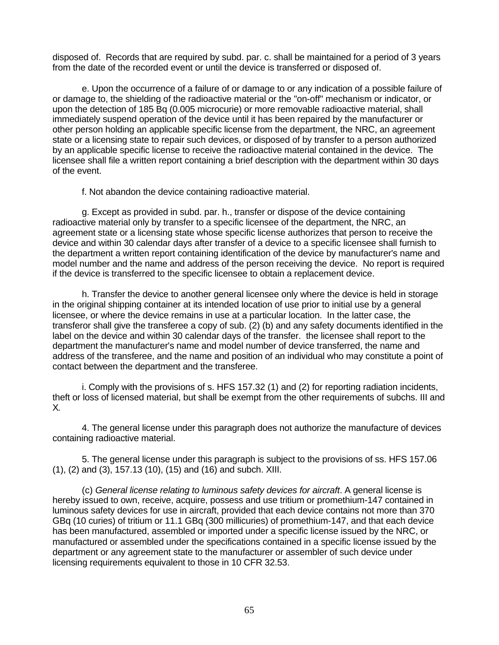disposed of. Records that are required by subd. par. c. shall be maintained for a period of 3 years from the date of the recorded event or until the device is transferred or disposed of.

e. Upon the occurrence of a failure of or damage to or any indication of a possible failure of or damage to, the shielding of the radioactive material or the "on-off" mechanism or indicator, or upon the detection of 185 Bq (0.005 microcurie) or more removable radioactive material, shall immediately suspend operation of the device until it has been repaired by the manufacturer or other person holding an applicable specific license from the department, the NRC, an agreement state or a licensing state to repair such devices, or disposed of by transfer to a person authorized by an applicable specific license to receive the radioactive material contained in the device. The licensee shall file a written report containing a brief description with the department within 30 days of the event.

f. Not abandon the device containing radioactive material.

g. Except as provided in subd. par. h., transfer or dispose of the device containing radioactive material only by transfer to a specific licensee of the department, the NRC, an agreement state or a licensing state whose specific license authorizes that person to receive the device and within 30 calendar days after transfer of a device to a specific licensee shall furnish to the department a written report containing identification of the device by manufacturer's name and model number and the name and address of the person receiving the device. No report is required if the device is transferred to the specific licensee to obtain a replacement device.

h. Transfer the device to another general licensee only where the device is held in storage in the original shipping container at its intended location of use prior to initial use by a general licensee, or where the device remains in use at a particular location. In the latter case, the transferor shall give the transferee a copy of sub. (2) (b) and any safety documents identified in the label on the device and within 30 calendar days of the transfer. the licensee shall report to the department the manufacturer's name and model number of device transferred, the name and address of the transferee, and the name and position of an individual who may constitute a point of contact between the department and the transferee.

i. Comply with the provisions of s. HFS 157.32 (1) and (2) for reporting radiation incidents, theft or loss of licensed material, but shall be exempt from the other requirements of subchs. III and X.

4. The general license under this paragraph does not authorize the manufacture of devices containing radioactive material.

5. The general license under this paragraph is subject to the provisions of ss. HFS 157.06 (1), (2) and (3), 157.13 (10), (15) and (16) and subch. XIII.

(c) *General license relating to luminous safety devices for aircraft*. A general license is hereby issued to own, receive, acquire, possess and use tritium or promethium-147 contained in luminous safety devices for use in aircraft, provided that each device contains not more than 370 GBq (10 curies) of tritium or 11.1 GBq (300 millicuries) of promethium-147, and that each device has been manufactured, assembled or imported under a specific license issued by the NRC, or manufactured or assembled under the specifications contained in a specific license issued by the department or any agreement state to the manufacturer or assembler of such device under licensing requirements equivalent to those in 10 CFR 32.53.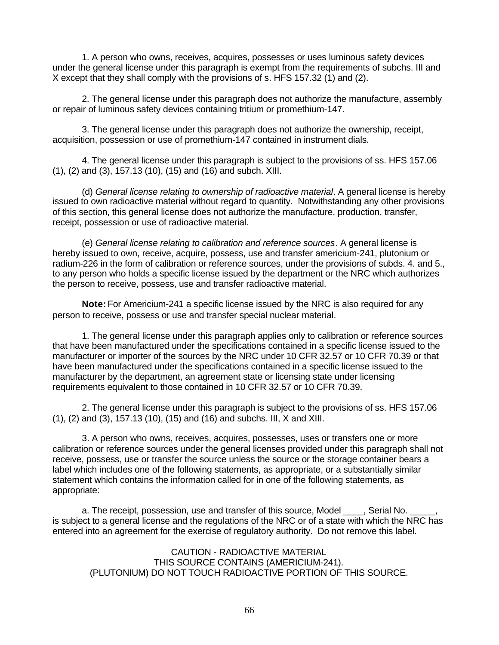1. A person who owns, receives, acquires, possesses or uses luminous safety devices under the general license under this paragraph is exempt from the requirements of subchs. III and X except that they shall comply with the provisions of s. HFS 157.32 (1) and (2).

2. The general license under this paragraph does not authorize the manufacture, assembly or repair of luminous safety devices containing tritium or promethium-147.

3. The general license under this paragraph does not authorize the ownership, receipt, acquisition, possession or use of promethium-147 contained in instrument dials.

4. The general license under this paragraph is subject to the provisions of ss. HFS 157.06 (1), (2) and (3), 157.13 (10), (15) and (16) and subch. XIII.

(d) *General license relating to ownership of radioactive material*. A general license is hereby issued to own radioactive material without regard to quantity. Notwithstanding any other provisions of this section, this general license does not authorize the manufacture, production, transfer, receipt, possession or use of radioactive material.

(e) *General license relating to calibration and reference sources*. A general license is hereby issued to own, receive, acquire, possess, use and transfer americium-241, plutonium or radium-226 in the form of calibration or reference sources, under the provisions of subds. 4. and 5., to any person who holds a specific license issued by the department or the NRC which authorizes the person to receive, possess, use and transfer radioactive material.

**Note:** For Americium-241 a specific license issued by the NRC is also required for any person to receive, possess or use and transfer special nuclear material.

1. The general license under this paragraph applies only to calibration or reference sources that have been manufactured under the specifications contained in a specific license issued to the manufacturer or importer of the sources by the NRC under 10 CFR 32.57 or 10 CFR 70.39 or that have been manufactured under the specifications contained in a specific license issued to the manufacturer by the department, an agreement state or licensing state under licensing requirements equivalent to those contained in 10 CFR 32.57 or 10 CFR 70.39.

2. The general license under this paragraph is subject to the provisions of ss. HFS 157.06 (1), (2) and (3), 157.13 (10), (15) and (16) and subchs. III, X and XIII.

3. A person who owns, receives, acquires, possesses, uses or transfers one or more calibration or reference sources under the general licenses provided under this paragraph shall not receive, possess, use or transfer the source unless the source or the storage container bears a label which includes one of the following statements, as appropriate, or a substantially similar statement which contains the information called for in one of the following statements, as appropriate:

a. The receipt, possession, use and transfer of this source, Model \_\_\_\_, Serial No. is subject to a general license and the regulations of the NRC or of a state with which the NRC has entered into an agreement for the exercise of regulatory authority. Do not remove this label.

CAUTION - RADIOACTIVE MATERIAL THIS SOURCE CONTAINS (AMERICIUM-241). (PLUTONIUM) DO NOT TOUCH RADIOACTIVE PORTION OF THIS SOURCE.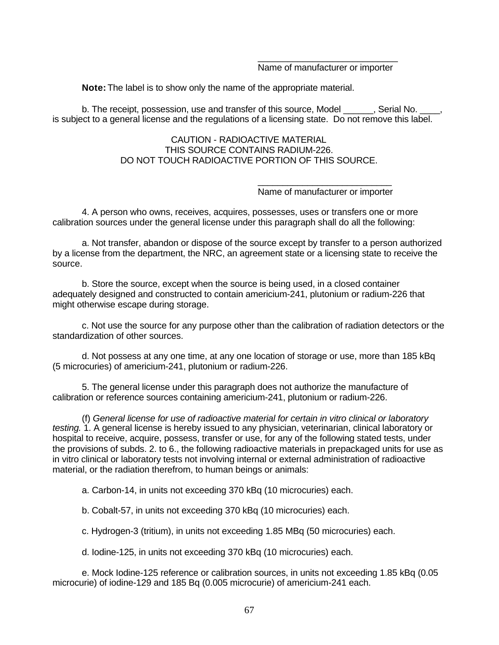### \_\_\_\_\_\_\_\_\_\_\_\_\_\_\_\_\_\_\_\_\_\_\_\_\_\_\_\_ Name of manufacturer or importer

**Note:** The label is to show only the name of the appropriate material.

b. The receipt, possession, use and transfer of this source, Model . . . . Serial No. is subject to a general license and the regulations of a licensing state. Do not remove this label.

## CAUTION - RADIOACTIVE MATERIAL THIS SOURCE CONTAINS RADIUM-226. DO NOT TOUCH RADIOACTIVE PORTION OF THIS SOURCE.

#### \_\_\_\_\_\_\_\_\_\_\_\_\_\_\_\_\_\_\_\_\_\_\_\_\_\_\_ Name of manufacturer or importer

4. A person who owns, receives, acquires, possesses, uses or transfers one or more calibration sources under the general license under this paragraph shall do all the following:

a. Not transfer, abandon or dispose of the source except by transfer to a person authorized by a license from the department, the NRC, an agreement state or a licensing state to receive the source.

b. Store the source, except when the source is being used, in a closed container adequately designed and constructed to contain americium-241, plutonium or radium-226 that might otherwise escape during storage.

c. Not use the source for any purpose other than the calibration of radiation detectors or the standardization of other sources.

d. Not possess at any one time, at any one location of storage or use, more than 185 kBq (5 microcuries) of americium-241, plutonium or radium-226.

5. The general license under this paragraph does not authorize the manufacture of calibration or reference sources containing americium-241, plutonium or radium-226.

(f) *General license for use of radioactive material for certain in vitro clinical or laboratory testing.* 1. A general license is hereby issued to any physician, veterinarian, clinical laboratory or hospital to receive, acquire, possess, transfer or use, for any of the following stated tests, under the provisions of subds. 2. to 6., the following radioactive materials in prepackaged units for use as in vitro clinical or laboratory tests not involving internal or external administration of radioactive material, or the radiation therefrom, to human beings or animals:

a. Carbon-14, in units not exceeding 370 kBq (10 microcuries) each.

b. Cobalt-57, in units not exceeding 370 kBq (10 microcuries) each.

c. Hydrogen-3 (tritium), in units not exceeding 1.85 MBq (50 microcuries) each.

d. Iodine-125, in units not exceeding 370 kBq (10 microcuries) each.

e. Mock Iodine-125 reference or calibration sources, in units not exceeding 1.85 kBq (0.05 microcurie) of iodine-129 and 185 Bq (0.005 microcurie) of americium-241 each.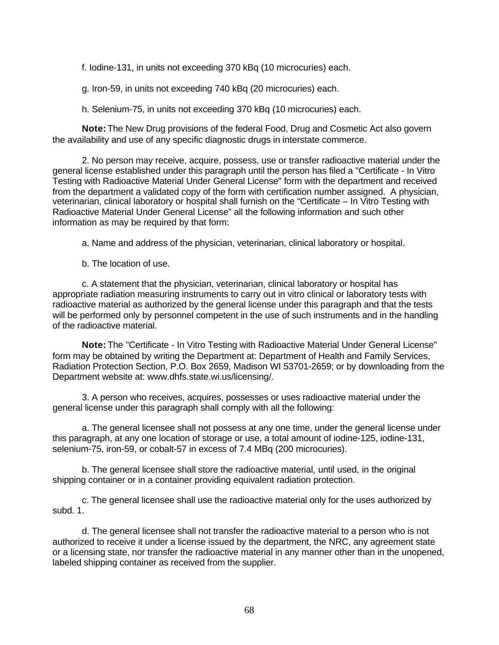f. Iodine-131, in units not exceeding 370 kBq (10 microcuries) each.

g. Iron-59, in units not exceeding 740 kBq (20 microcuries) each.

h. Selenium-75, in units not exceeding 370 kBq (10 microcuries) each.

**Note:** The New Drug provisions of the federal Food, Drug and Cosmetic Act also govern the availability and use of any specific diagnostic drugs in interstate commerce.

2. No person may receive, acquire, possess, use or transfer radioactive material under the general license established under this paragraph until the person has filed a "Certificate - In Vitro Testing with Radioactive Material Under General License" form with the department and received from the department a validated copy of the form with certification number assigned. A physician, veterinarian, clinical laboratory or hospital shall furnish on the "Certificate – In Vitro Testing with Radioactive Material Under General License" all the following information and such other information as may be required by that form:

a. Name and address of the physician, veterinarian, clinical laboratory or hospital.

b. The location of use.

c. A statement that the physician, veterinarian, clinical laboratory or hospital has appropriate radiation measuring instruments to carry out in vitro clinical or laboratory tests with radioactive material as authorized by the general license under this paragraph and that the tests will be performed only by personnel competent in the use of such instruments and in the handling of the radioactive material.

**Note:** The "Certificate - In Vitro Testing with Radioactive Material Under General License" form may be obtained by writing the Department at: Department of Health and Family Services, Radiation Protection Section, P.O. Box 2659, Madison WI 53701-2659; or by downloading from the Department website at: www.dhfs.state.wi.us/licensing/.

3. A person who receives, acquires, possesses or uses radioactive material under the general license under this paragraph shall comply with all the following:

a. The general licensee shall not possess at any one time, under the general license under this paragraph, at any one location of storage or use, a total amount of iodine-125, iodine-131, selenium-75, iron-59, or cobalt-57 in excess of 7.4 MBq (200 microcuries).

b. The general licensee shall store the radioactive material, until used, in the original shipping container or in a container providing equivalent radiation protection.

c. The general licensee shall use the radioactive material only for the uses authorized by subd. 1.

d. The general licensee shall not transfer the radioactive material to a person who is not authorized to receive it under a license issued by the department, the NRC, any agreement state or a licensing state, nor transfer the radioactive material in any manner other than in the unopened, labeled shipping container as received from the supplier.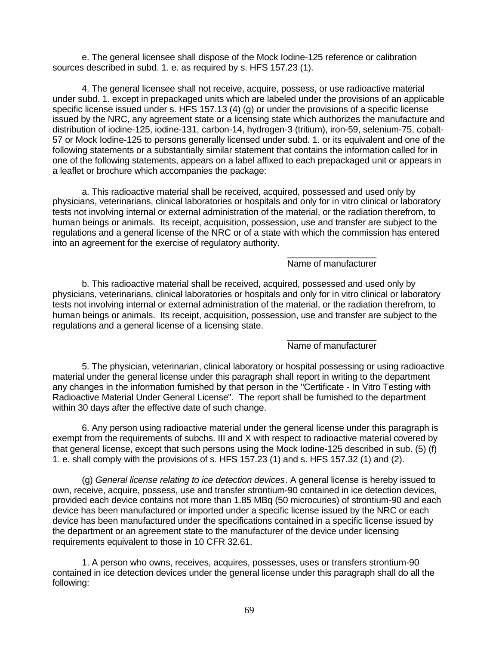e. The general licensee shall dispose of the Mock Iodine-125 reference or calibration sources described in subd. 1. e. as required by s. HFS 157.23 (1).

4. The general licensee shall not receive, acquire, possess, or use radioactive material under subd. 1. except in prepackaged units which are labeled under the provisions of an applicable specific license issued under s. HFS 157.13 (4) (g) or under the provisions of a specific license issued by the NRC, any agreement state or a licensing state which authorizes the manufacture and distribution of iodine-125, iodine-131, carbon-14, hydrogen-3 (tritium), iron-59, selenium-75, cobalt-57 or Mock Iodine-125 to persons generally licensed under subd. 1. or its equivalent and one of the following statements or a substantially similar statement that contains the information called for in one of the following statements, appears on a label affixed to each prepackaged unit or appears in a leaflet or brochure which accompanies the package:

a. This radioactive material shall be received, acquired, possessed and used only by physicians, veterinarians, clinical laboratories or hospitals and only for in vitro clinical or laboratory tests not involving internal or external administration of the material, or the radiation therefrom, to human beings or animals. Its receipt, acquisition, possession, use and transfer are subject to the regulations and a general license of the NRC or of a state with which the commission has entered into an agreement for the exercise of regulatory authority.

### $\_$ Name of manufacturer

b. This radioactive material shall be received, acquired, possessed and used only by physicians, veterinarians, clinical laboratories or hospitals and only for in vitro clinical or laboratory tests not involving internal or external administration of the material, or the radiation therefrom, to human beings or animals. Its receipt, acquisition, possession, use and transfer are subject to the regulations and a general license of a licensing state.

#### $\_$ Name of manufacturer

5. The physician, veterinarian, clinical laboratory or hospital possessing or using radioactive material under the general license under this paragraph shall report in writing to the department any changes in the information furnished by that person in the "Certificate - In Vitro Testing with Radioactive Material Under General License". The report shall be furnished to the department within 30 days after the effective date of such change.

6. Any person using radioactive material under the general license under this paragraph is exempt from the requirements of subchs. III and X with respect to radioactive material covered by that general license, except that such persons using the Mock Iodine-125 described in sub. (5) (f) 1. e. shall comply with the provisions of s. HFS 157.23 (1) and s. HFS 157.32 (1) and (2).

(g) *General license relating to ice detection devices*. A general license is hereby issued to own, receive, acquire, possess, use and transfer strontium-90 contained in ice detection devices, provided each device contains not more than 1.85 MBq (50 microcuries) of strontium-90 and each device has been manufactured or imported under a specific license issued by the NRC or each device has been manufactured under the specifications contained in a specific license issued by the department or an agreement state to the manufacturer of the device under licensing requirements equivalent to those in 10 CFR 32.61.

1. A person who owns, receives, acquires, possesses, uses or transfers strontium-90 contained in ice detection devices under the general license under this paragraph shall do all the following: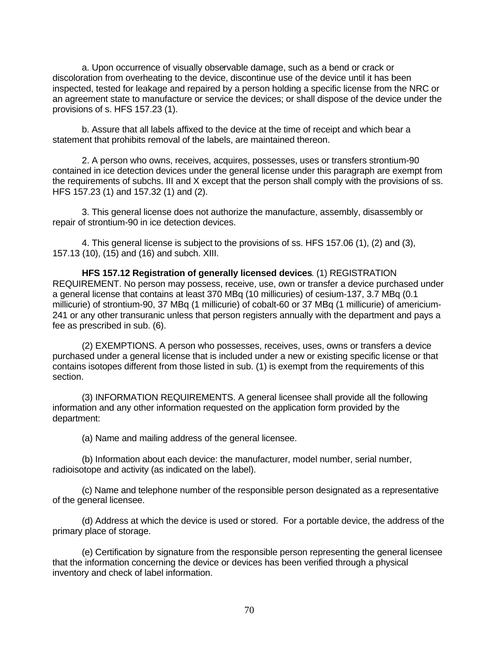a. Upon occurrence of visually observable damage, such as a bend or crack or discoloration from overheating to the device, discontinue use of the device until it has been inspected, tested for leakage and repaired by a person holding a specific license from the NRC or an agreement state to manufacture or service the devices; or shall dispose of the device under the provisions of s. HFS 157.23 (1).

b. Assure that all labels affixed to the device at the time of receipt and which bear a statement that prohibits removal of the labels, are maintained thereon.

2. A person who owns, receives, acquires, possesses, uses or transfers strontium-90 contained in ice detection devices under the general license under this paragraph are exempt from the requirements of subchs. III and X except that the person shall comply with the provisions of ss. HFS 157.23 (1) and 157.32 (1) and (2).

3. This general license does not authorize the manufacture, assembly, disassembly or repair of strontium-90 in ice detection devices.

4. This general license is subject to the provisions of ss. HFS 157.06 (1), (2) and (3), 157.13 (10), (15) and (16) and subch. XIII.

**HFS 157.12 Registration of generally licensed devices**. (1) REGISTRATION REQUIREMENT. No person may possess, receive, use, own or transfer a device purchased under a general license that contains at least 370 MBq (10 millicuries) of cesium-137, 3.7 MBq (0.1 millicurie) of strontium-90, 37 MBq (1 millicurie) of cobalt-60 or 37 MBq (1 millicurie) of americium-241 or any other transuranic unless that person registers annually with the department and pays a fee as prescribed in sub. (6).

(2) EXEMPTIONS. A person who possesses, receives, uses, owns or transfers a device purchased under a general license that is included under a new or existing specific license or that contains isotopes different from those listed in sub. (1) is exempt from the requirements of this section.

(3) INFORMATION REQUIREMENTS. A general licensee shall provide all the following information and any other information requested on the application form provided by the department:

(a) Name and mailing address of the general licensee.

(b) Information about each device: the manufacturer, model number, serial number, radioisotope and activity (as indicated on the label).

(c) Name and telephone number of the responsible person designated as a representative of the general licensee.

(d) Address at which the device is used or stored. For a portable device, the address of the primary place of storage.

(e) Certification by signature from the responsible person representing the general licensee that the information concerning the device or devices has been verified through a physical inventory and check of label information.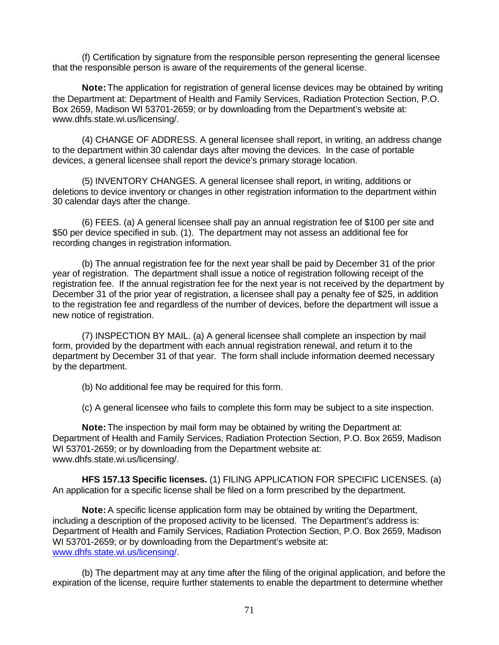(f) Certification by signature from the responsible person representing the general licensee that the responsible person is aware of the requirements of the general license.

**Note:** The application for registration of general license devices may be obtained by writing the Department at: Department of Health and Family Services, Radiation Protection Section, P.O. Box 2659, Madison WI 53701-2659; or by downloading from the Department's website at: www.dhfs.state.wi.us/licensing/.

(4) CHANGE OF ADDRESS. A general licensee shall report, in writing, an address change to the department within 30 calendar days after moving the devices. In the case of portable devices, a general licensee shall report the device's primary storage location.

(5) INVENTORY CHANGES. A general licensee shall report, in writing, additions or deletions to device inventory or changes in other registration information to the department within 30 calendar days after the change.

(6) FEES. (a) A general licensee shall pay an annual registration fee of \$100 per site and \$50 per device specified in sub. (1). The department may not assess an additional fee for recording changes in registration information.

(b) The annual registration fee for the next year shall be paid by December 31 of the prior year of registration. The department shall issue a notice of registration following receipt of the registration fee. If the annual registration fee for the next year is not received by the department by December 31 of the prior year of registration, a licensee shall pay a penalty fee of \$25, in addition to the registration fee and regardless of the number of devices, before the department will issue a new notice of registration.

(7) INSPECTION BY MAIL. (a) A general licensee shall complete an inspection by mail form, provided by the department with each annual registration renewal, and return it to the department by December 31 of that year. The form shall include information deemed necessary by the department.

(b) No additional fee may be required for this form.

(c) A general licensee who fails to complete this form may be subject to a site inspection.

**Note:** The inspection by mail form may be obtained by writing the Department at: Department of Health and Family Services, Radiation Protection Section, P.O. Box 2659, Madison WI 53701-2659; or by downloading from the Department website at: www.dhfs.state.wi.us/licensing/.

**HFS 157.13 Specific licenses.** (1) FILING APPLICATION FOR SPECIFIC LICENSES. (a) An application for a specific license shall be filed on a form prescribed by the department.

**Note:** A specific license application form may be obtained by writing the Department, including a description of the proposed activity to be licensed. The Department's address is: Department of Health and Family Services, Radiation Protection Section, P.O. Box 2659, Madison WI 53701-2659; or by downloading from the Department's website at: www.dhfs.state.wi.us/licensing/.

(b) The department may at any time after the filing of the original application, and before the expiration of the license, require further statements to enable the department to determine whether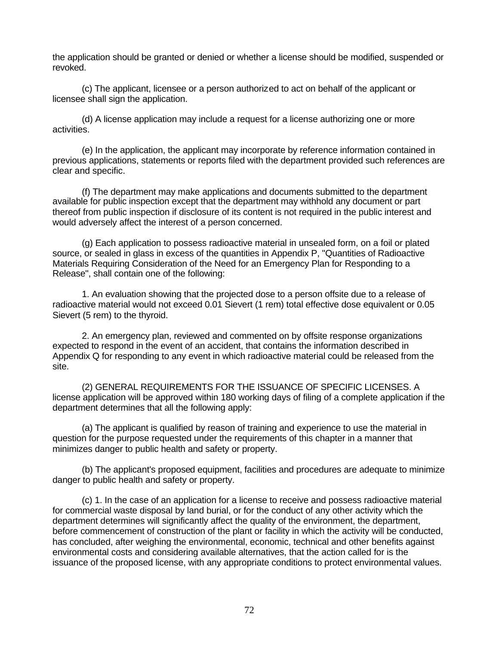the application should be granted or denied or whether a license should be modified, suspended or revoked.

(c) The applicant, licensee or a person authorized to act on behalf of the applicant or licensee shall sign the application.

(d) A license application may include a request for a license authorizing one or more activities.

(e) In the application, the applicant may incorporate by reference information contained in previous applications, statements or reports filed with the department provided such references are clear and specific.

(f) The department may make applications and documents submitted to the department available for public inspection except that the department may withhold any document or part thereof from public inspection if disclosure of its content is not required in the public interest and would adversely affect the interest of a person concerned.

(g) Each application to possess radioactive material in unsealed form, on a foil or plated source, or sealed in glass in excess of the quantities in Appendix P, "Quantities of Radioactive Materials Requiring Consideration of the Need for an Emergency Plan for Responding to a Release", shall contain one of the following:

1. An evaluation showing that the projected dose to a person offsite due to a release of radioactive material would not exceed 0.01 Sievert (1 rem) total effective dose equivalent or 0.05 Sievert (5 rem) to the thyroid.

2. An emergency plan, reviewed and commented on by offsite response organizations expected to respond in the event of an accident, that contains the information described in Appendix Q for responding to any event in which radioactive material could be released from the site.

(2) GENERAL REQUIREMENTS FOR THE ISSUANCE OF SPECIFIC LICENSES. A license application will be approved within 180 working days of filing of a complete application if the department determines that all the following apply:

(a) The applicant is qualified by reason of training and experience to use the material in question for the purpose requested under the requirements of this chapter in a manner that minimizes danger to public health and safety or property.

(b) The applicant's proposed equipment, facilities and procedures are adequate to minimize danger to public health and safety or property.

(c) 1. In the case of an application for a license to receive and possess radioactive material for commercial waste disposal by land burial, or for the conduct of any other activity which the department determines will significantly affect the quality of the environment, the department, before commencement of construction of the plant or facility in which the activity will be conducted, has concluded, after weighing the environmental, economic, technical and other benefits against environmental costs and considering available alternatives, that the action called for is the issuance of the proposed license, with any appropriate conditions to protect environmental values.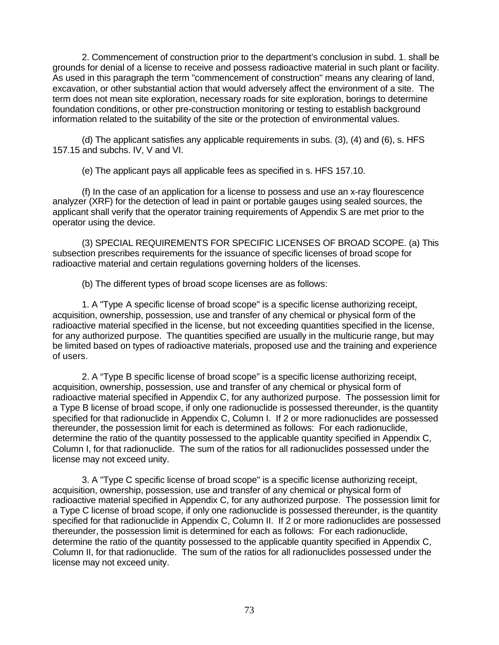2. Commencement of construction prior to the department's conclusion in subd. 1. shall be grounds for denial of a license to receive and possess radioactive material in such plant or facility. As used in this paragraph the term "commencement of construction" means any clearing of land, excavation, or other substantial action that would adversely affect the environment of a site. The term does not mean site exploration, necessary roads for site exploration, borings to determine foundation conditions, or other pre-construction monitoring or testing to establish background information related to the suitability of the site or the protection of environmental values.

(d) The applicant satisfies any applicable requirements in subs. (3), (4) and (6), s. HFS 157.15 and subchs. IV, V and VI.

(e) The applicant pays all applicable fees as specified in s. HFS 157.10.

(f) In the case of an application for a license to possess and use an x-ray flourescence analyzer (XRF) for the detection of lead in paint or portable gauges using sealed sources, the applicant shall verify that the operator training requirements of Appendix S are met prior to the operator using the device.

(3) SPECIAL REQUIREMENTS FOR SPECIFIC LICENSES OF BROAD SCOPE. (a) This subsection prescribes requirements for the issuance of specific licenses of broad scope for radioactive material and certain regulations governing holders of the licenses.

(b) The different types of broad scope licenses are as follows:

1. A "Type A specific license of broad scope" is a specific license authorizing receipt, acquisition, ownership, possession, use and transfer of any chemical or physical form of the radioactive material specified in the license, but not exceeding quantities specified in the license, for any authorized purpose. The quantities specified are usually in the multicurie range, but may be limited based on types of radioactive materials, proposed use and the training and experience of users.

2. A "Type B specific license of broad scope" is a specific license authorizing receipt, acquisition, ownership, possession, use and transfer of any chemical or physical form of radioactive material specified in Appendix C, for any authorized purpose. The possession limit for a Type B license of broad scope, if only one radionuclide is possessed thereunder, is the quantity specified for that radionuclide in Appendix C, Column I. If 2 or more radionuclides are possessed thereunder, the possession limit for each is determined as follows: For each radionuclide, determine the ratio of the quantity possessed to the applicable quantity specified in Appendix C, Column I, for that radionuclide. The sum of the ratios for all radionuclides possessed under the license may not exceed unity.

3. A "Type C specific license of broad scope" is a specific license authorizing receipt, acquisition, ownership, possession, use and transfer of any chemical or physical form of radioactive material specified in Appendix C, for any authorized purpose. The possession limit for a Type C license of broad scope, if only one radionuclide is possessed thereunder, is the quantity specified for that radionuclide in Appendix C, Column II. If 2 or more radionuclides are possessed thereunder, the possession limit is determined for each as follows: For each radionuclide, determine the ratio of the quantity possessed to the applicable quantity specified in Appendix C, Column II, for that radionuclide. The sum of the ratios for all radionuclides possessed under the license may not exceed unity.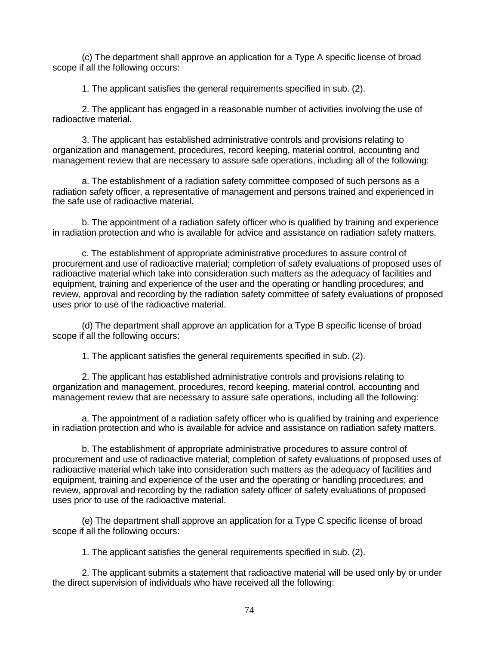(c) The department shall approve an application for a Type A specific license of broad scope if all the following occurs:

1. The applicant satisfies the general requirements specified in sub. (2).

2. The applicant has engaged in a reasonable number of activities involving the use of radioactive material.

3. The applicant has established administrative controls and provisions relating to organization and management, procedures, record keeping, material control, accounting and management review that are necessary to assure safe operations, including all of the following:

a. The establishment of a radiation safety committee composed of such persons as a radiation safety officer, a representative of management and persons trained and experienced in the safe use of radioactive material.

b. The appointment of a radiation safety officer who is qualified by training and experience in radiation protection and who is available for advice and assistance on radiation safety matters.

c. The establishment of appropriate administrative procedures to assure control of procurement and use of radioactive material; completion of safety evaluations of proposed uses of radioactive material which take into consideration such matters as the adequacy of facilities and equipment, training and experience of the user and the operating or handling procedures; and review, approval and recording by the radiation safety committee of safety evaluations of proposed uses prior to use of the radioactive material.

(d) The department shall approve an application for a Type B specific license of broad scope if all the following occurs:

1. The applicant satisfies the general requirements specified in sub. (2).

2. The applicant has established administrative controls and provisions relating to organization and management, procedures, record keeping, material control, accounting and management review that are necessary to assure safe operations, including all the following:

a. The appointment of a radiation safety officer who is qualified by training and experience in radiation protection and who is available for advice and assistance on radiation safety matters.

b. The establishment of appropriate administrative procedures to assure control of procurement and use of radioactive material; completion of safety evaluations of proposed uses of radioactive material which take into consideration such matters as the adequacy of facilities and equipment, training and experience of the user and the operating or handling procedures; and review, approval and recording by the radiation safety officer of safety evaluations of proposed uses prior to use of the radioactive material.

(e) The department shall approve an application for a Type C specific license of broad scope if all the following occurs:

1. The applicant satisfies the general requirements specified in sub. (2).

2. The applicant submits a statement that radioactive material will be used only by or under the direct supervision of individuals who have received all the following: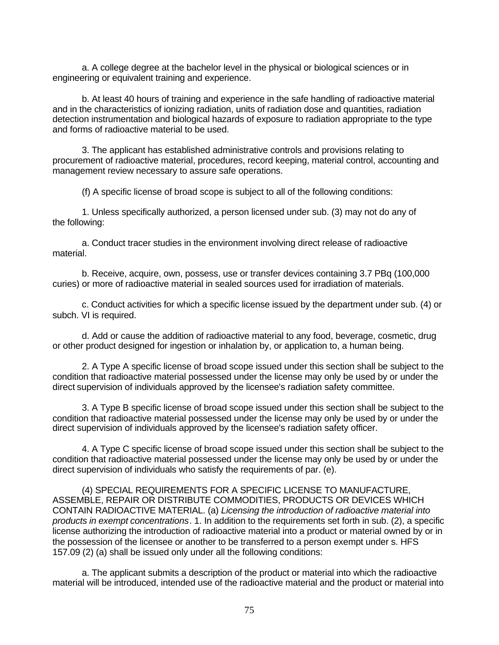a. A college degree at the bachelor level in the physical or biological sciences or in engineering or equivalent training and experience.

b. At least 40 hours of training and experience in the safe handling of radioactive material and in the characteristics of ionizing radiation, units of radiation dose and quantities, radiation detection instrumentation and biological hazards of exposure to radiation appropriate to the type and forms of radioactive material to be used.

3. The applicant has established administrative controls and provisions relating to procurement of radioactive material, procedures, record keeping, material control, accounting and management review necessary to assure safe operations.

(f) A specific license of broad scope is subject to all of the following conditions:

1. Unless specifically authorized, a person licensed under sub. (3) may not do any of the following:

a. Conduct tracer studies in the environment involving direct release of radioactive material.

b. Receive, acquire, own, possess, use or transfer devices containing 3.7 PBq (100,000 curies) or more of radioactive material in sealed sources used for irradiation of materials.

c. Conduct activities for which a specific license issued by the department under sub. (4) or subch. VI is required.

d. Add or cause the addition of radioactive material to any food, beverage, cosmetic, drug or other product designed for ingestion or inhalation by, or application to, a human being.

2. A Type A specific license of broad scope issued under this section shall be subject to the condition that radioactive material possessed under the license may only be used by or under the direct supervision of individuals approved by the licensee's radiation safety committee.

3. A Type B specific license of broad scope issued under this section shall be subject to the condition that radioactive material possessed under the license may only be used by or under the direct supervision of individuals approved by the licensee's radiation safety officer.

4. A Type C specific license of broad scope issued under this section shall be subject to the condition that radioactive material possessed under the license may only be used by or under the direct supervision of individuals who satisfy the requirements of par. (e).

(4) SPECIAL REQUIREMENTS FOR A SPECIFIC LICENSE TO MANUFACTURE, ASSEMBLE, REPAIR OR DISTRIBUTE COMMODITIES, PRODUCTS OR DEVICES WHICH CONTAIN RADIOACTIVE MATERIAL. (a) *Licensing the introduction of radioactive material into products in exempt concentrations*. 1. In addition to the requirements set forth in sub. (2), a specific license authorizing the introduction of radioactive material into a product or material owned by or in the possession of the licensee or another to be transferred to a person exempt under s. HFS 157.09 (2) (a) shall be issued only under all the following conditions:

a. The applicant submits a description of the product or material into which the radioactive material will be introduced, intended use of the radioactive material and the product or material into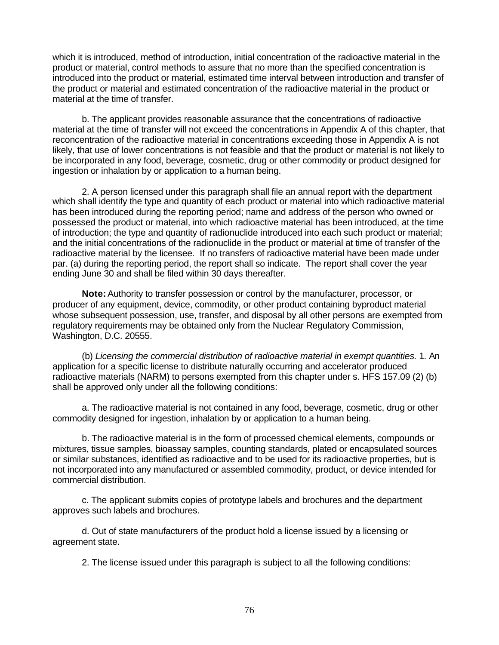which it is introduced, method of introduction, initial concentration of the radioactive material in the product or material, control methods to assure that no more than the specified concentration is introduced into the product or material, estimated time interval between introduction and transfer of the product or material and estimated concentration of the radioactive material in the product or material at the time of transfer.

b. The applicant provides reasonable assurance that the concentrations of radioactive material at the time of transfer will not exceed the concentrations in Appendix A of this chapter, that reconcentration of the radioactive material in concentrations exceeding those in Appendix A is not likely, that use of lower concentrations is not feasible and that the product or material is not likely to be incorporated in any food, beverage, cosmetic, drug or other commodity or product designed for ingestion or inhalation by or application to a human being.

2. A person licensed under this paragraph shall file an annual report with the department which shall identify the type and quantity of each product or material into which radioactive material has been introduced during the reporting period; name and address of the person who owned or possessed the product or material, into which radioactive material has been introduced, at the time of introduction; the type and quantity of radionuclide introduced into each such product or material; and the initial concentrations of the radionuclide in the product or material at time of transfer of the radioactive material by the licensee. If no transfers of radioactive material have been made under par. (a) during the reporting period, the report shall so indicate. The report shall cover the year ending June 30 and shall be filed within 30 days thereafter.

**Note:** Authority to transfer possession or control by the manufacturer, processor, or producer of any equipment, device, commodity, or other product containing byproduct material whose subsequent possession, use, transfer, and disposal by all other persons are exempted from regulatory requirements may be obtained only from the Nuclear Regulatory Commission, Washington, D.C. 20555.

(b) *Licensing the commercial distribution of radioactive material in exempt quantities.* 1. An application for a specific license to distribute naturally occurring and accelerator produced radioactive materials (NARM) to persons exempted from this chapter under s. HFS 157.09 (2) (b) shall be approved only under all the following conditions:

a. The radioactive material is not contained in any food, beverage, cosmetic, drug or other commodity designed for ingestion, inhalation by or application to a human being.

b. The radioactive material is in the form of processed chemical elements, compounds or mixtures, tissue samples, bioassay samples, counting standards, plated or encapsulated sources or similar substances, identified as radioactive and to be used for its radioactive properties, but is not incorporated into any manufactured or assembled commodity, product, or device intended for commercial distribution.

c. The applicant submits copies of prototype labels and brochures and the department approves such labels and brochures.

d. Out of state manufacturers of the product hold a license issued by a licensing or agreement state.

2. The license issued under this paragraph is subject to all the following conditions: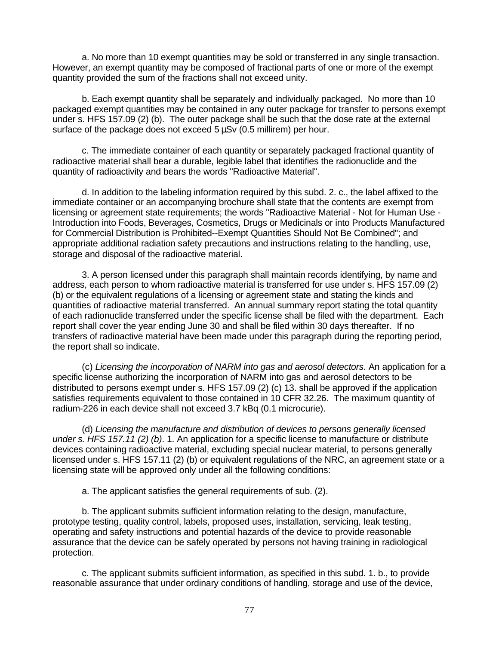a. No more than 10 exempt quantities may be sold or transferred in any single transaction. However, an exempt quantity may be composed of fractional parts of one or more of the exempt quantity provided the sum of the fractions shall not exceed unity.

b. Each exempt quantity shall be separately and individually packaged. No more than 10 packaged exempt quantities may be contained in any outer package for transfer to persons exempt under s. HFS 157.09 (2) (b). The outer package shall be such that the dose rate at the external surface of the package does not exceed  $5 \mu Sv$  (0.5 millirem) per hour.

c. The immediate container of each quantity or separately packaged fractional quantity of radioactive material shall bear a durable, legible label that identifies the radionuclide and the quantity of radioactivity and bears the words "Radioactive Material".

d. In addition to the labeling information required by this subd. 2. c., the label affixed to the immediate container or an accompanying brochure shall state that the contents are exempt from licensing or agreement state requirements; the words "Radioactive Material - Not for Human Use - Introduction into Foods, Beverages, Cosmetics, Drugs or Medicinals or into Products Manufactured for Commercial Distribution is Prohibited--Exempt Quantities Should Not Be Combined"; and appropriate additional radiation safety precautions and instructions relating to the handling, use, storage and disposal of the radioactive material.

3. A person licensed under this paragraph shall maintain records identifying, by name and address, each person to whom radioactive material is transferred for use under s. HFS 157.09 (2) (b) or the equivalent regulations of a licensing or agreement state and stating the kinds and quantities of radioactive material transferred. An annual summary report stating the total quantity of each radionuclide transferred under the specific license shall be filed with the department. Each report shall cover the year ending June 30 and shall be filed within 30 days thereafter. If no transfers of radioactive material have been made under this paragraph during the reporting period, the report shall so indicate.

(c) *Licensing the incorporation of NARM into gas and aerosol detectors*. An application for a specific license authorizing the incorporation of NARM into gas and aerosol detectors to be distributed to persons exempt under s. HFS 157.09 (2) (c) 13. shall be approved if the application satisfies requirements equivalent to those contained in 10 CFR 32.26. The maximum quantity of radium-226 in each device shall not exceed 3.7 kBq (0.1 microcurie).

(d) *Licensing the manufacture and distribution of devices to persons generally licensed under s. HFS 157.11 (2) (b)*. 1. An application for a specific license to manufacture or distribute devices containing radioactive material, excluding special nuclear material, to persons generally licensed under s. HFS 157.11 (2) (b) or equivalent regulations of the NRC, an agreement state or a licensing state will be approved only under all the following conditions:

a. The applicant satisfies the general requirements of sub. (2).

b. The applicant submits sufficient information relating to the design, manufacture, prototype testing, quality control, labels, proposed uses, installation, servicing, leak testing, operating and safety instructions and potential hazards of the device to provide reasonable assurance that the device can be safely operated by persons not having training in radiological protection.

c. The applicant submits sufficient information, as specified in this subd. 1. b., to provide reasonable assurance that under ordinary conditions of handling, storage and use of the device,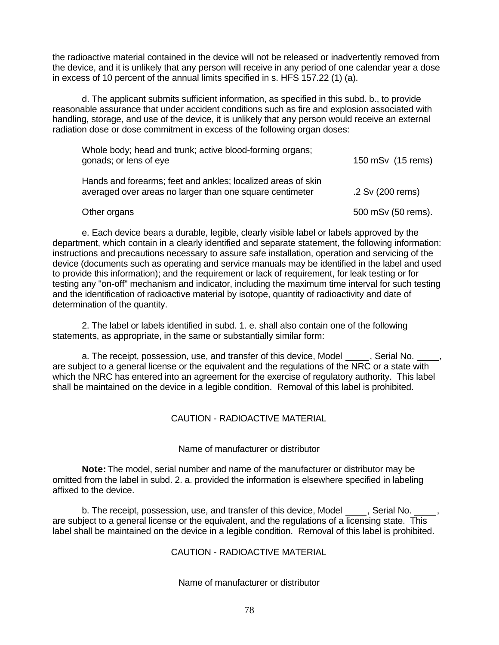the radioactive material contained in the device will not be released or inadvertently removed from the device, and it is unlikely that any person will receive in any period of one calendar year a dose in excess of 10 percent of the annual limits specified in s. HFS 157.22 (1) (a).

d. The applicant submits sufficient information, as specified in this subd. b., to provide reasonable assurance that under accident conditions such as fire and explosion associated with handling, storage, and use of the device, it is unlikely that any person would receive an external radiation dose or dose commitment in excess of the following organ doses:

| Whole body; head and trunk; active blood-forming organs;<br>gonads; or lens of eye                                       | 150 mSv (15 rems)  |
|--------------------------------------------------------------------------------------------------------------------------|--------------------|
| Hands and forearms; feet and ankles; localized areas of skin<br>averaged over areas no larger than one square centimeter | .2 Sv (200 rems)   |
| Other organs                                                                                                             | 500 mSv (50 rems). |

e. Each device bears a durable, legible, clearly visible label or labels approved by the department, which contain in a clearly identified and separate statement, the following information: instructions and precautions necessary to assure safe installation, operation and servicing of the device (documents such as operating and service manuals may be identified in the label and used to provide this information); and the requirement or lack of requirement, for leak testing or for testing any "on-off" mechanism and indicator, including the maximum time interval for such testing and the identification of radioactive material by isotope, quantity of radioactivity and date of determination of the quantity.

2. The label or labels identified in subd. 1. e. shall also contain one of the following statements, as appropriate, in the same or substantially similar form:

a. The receipt, possession, use, and transfer of this device, Model \_\_\_\_\_, Serial No. \_ are subject to a general license or the equivalent and the regulations of the NRC or a state with which the NRC has entered into an agreement for the exercise of regulatory authority. This label shall be maintained on the device in a legible condition. Removal of this label is prohibited.

## CAUTION - RADIOACTIVE MATERIAL

## Name of manufacturer or distributor

**Note:** The model, serial number and name of the manufacturer or distributor may be omitted from the label in subd. 2. a. provided the information is elsewhere specified in labeling affixed to the device.

b. The receipt, possession, use, and transfer of this device, Model , Serial No. are subject to a general license or the equivalent, and the regulations of a licensing state. This label shall be maintained on the device in a legible condition. Removal of this label is prohibited.

## CAUTION - RADIOACTIVE MATERIAL

#### Name of manufacturer or distributor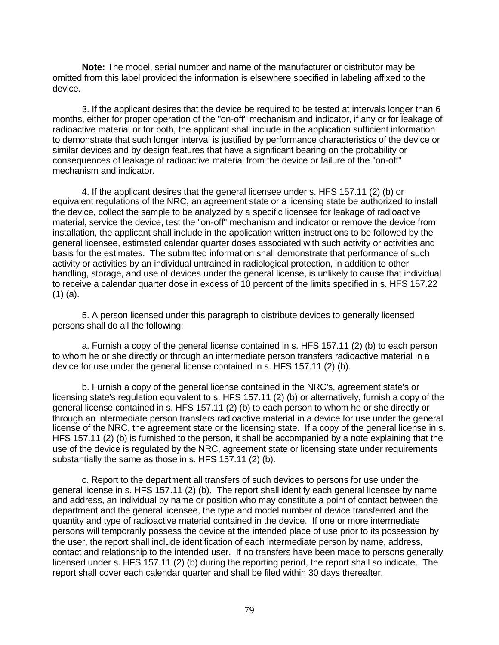**Note:** The model, serial number and name of the manufacturer or distributor may be omitted from this label provided the information is elsewhere specified in labeling affixed to the device.

3. If the applicant desires that the device be required to be tested at intervals longer than 6 months, either for proper operation of the "on-off" mechanism and indicator, if any or for leakage of radioactive material or for both, the applicant shall include in the application sufficient information to demonstrate that such longer interval is justified by performance characteristics of the device or similar devices and by design features that have a significant bearing on the probability or consequences of leakage of radioactive material from the device or failure of the "on-off" mechanism and indicator.

4. If the applicant desires that the general licensee under s. HFS 157.11 (2) (b) or equivalent regulations of the NRC, an agreement state or a licensing state be authorized to install the device, collect the sample to be analyzed by a specific licensee for leakage of radioactive material, service the device, test the "on-off" mechanism and indicator or remove the device from installation, the applicant shall include in the application written instructions to be followed by the general licensee, estimated calendar quarter doses associated with such activity or activities and basis for the estimates. The submitted information shall demonstrate that performance of such activity or activities by an individual untrained in radiological protection, in addition to other handling, storage, and use of devices under the general license, is unlikely to cause that individual to receive a calendar quarter dose in excess of 10 percent of the limits specified in s. HFS 157.22 (1) (a).

5. A person licensed under this paragraph to distribute devices to generally licensed persons shall do all the following:

a. Furnish a copy of the general license contained in s. HFS 157.11 (2) (b) to each person to whom he or she directly or through an intermediate person transfers radioactive material in a device for use under the general license contained in s. HFS 157.11 (2) (b).

b. Furnish a copy of the general license contained in the NRC's, agreement state's or licensing state's regulation equivalent to s. HFS 157.11 (2) (b) or alternatively, furnish a copy of the general license contained in s. HFS 157.11 (2) (b) to each person to whom he or she directly or through an intermediate person transfers radioactive material in a device for use under the general license of the NRC, the agreement state or the licensing state. If a copy of the general license in s. HFS 157.11 (2) (b) is furnished to the person, it shall be accompanied by a note explaining that the use of the device is regulated by the NRC, agreement state or licensing state under requirements substantially the same as those in s. HFS 157.11 (2) (b).

c. Report to the department all transfers of such devices to persons for use under the general license in s. HFS 157.11 (2) (b). The report shall identify each general licensee by name and address, an individual by name or position who may constitute a point of contact between the department and the general licensee, the type and model number of device transferred and the quantity and type of radioactive material contained in the device. If one or more intermediate persons will temporarily possess the device at the intended place of use prior to its possession by the user, the report shall include identification of each intermediate person by name, address, contact and relationship to the intended user. If no transfers have been made to persons generally licensed under s. HFS 157.11 (2) (b) during the reporting period, the report shall so indicate. The report shall cover each calendar quarter and shall be filed within 30 days thereafter.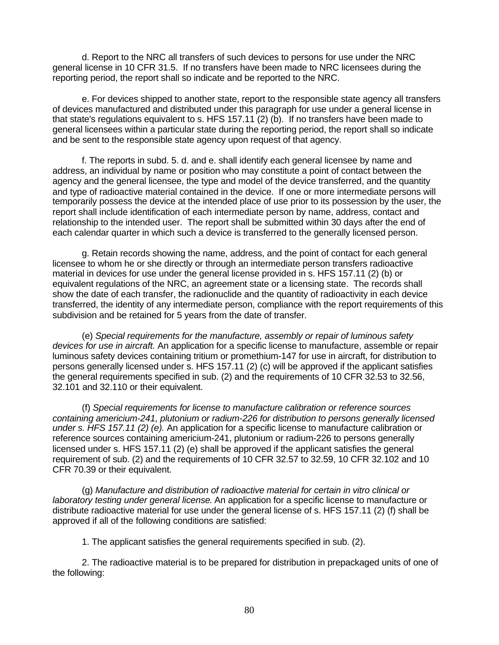d. Report to the NRC all transfers of such devices to persons for use under the NRC general license in 10 CFR 31.5. If no transfers have been made to NRC licensees during the reporting period, the report shall so indicate and be reported to the NRC.

e. For devices shipped to another state, report to the responsible state agency all transfers of devices manufactured and distributed under this paragraph for use under a general license in that state's regulations equivalent to s. HFS 157.11 (2) (b). If no transfers have been made to general licensees within a particular state during the reporting period, the report shall so indicate and be sent to the responsible state agency upon request of that agency.

f. The reports in subd. 5. d. and e. shall identify each general licensee by name and address, an individual by name or position who may constitute a point of contact between the agency and the general licensee, the type and model of the device transferred, and the quantity and type of radioactive material contained in the device. If one or more intermediate persons will temporarily possess the device at the intended place of use prior to its possession by the user, the report shall include identification of each intermediate person by name, address, contact and relationship to the intended user. The report shall be submitted within 30 days after the end of each calendar quarter in which such a device is transferred to the generally licensed person.

g. Retain records showing the name, address, and the point of contact for each general licensee to whom he or she directly or through an intermediate person transfers radioactive material in devices for use under the general license provided in s. HFS 157.11 (2) (b) or equivalent regulations of the NRC, an agreement state or a licensing state. The records shall show the date of each transfer, the radionuclide and the quantity of radioactivity in each device transferred, the identity of any intermediate person, compliance with the report requirements of this subdivision and be retained for 5 years from the date of transfer.

(e) *Special requirements for the manufacture, assembly or repair of luminous safety devices for use in aircraft.* An application for a specific license to manufacture, assemble or repair luminous safety devices containing tritium or promethium-147 for use in aircraft, for distribution to persons generally licensed under s. HFS 157.11 (2) (c) will be approved if the applicant satisfies the general requirements specified in sub. (2) and the requirements of 10 CFR 32.53 to 32.56, 32.101 and 32.110 or their equivalent.

(f) *Special requirements for license to manufacture calibration or reference sources containing americium-241, plutonium or radium-226 for distribution to persons generally licensed under s. HFS 157.11 (2) (e).* An application for a specific license to manufacture calibration or reference sources containing americium-241, plutonium or radium-226 to persons generally licensed under s. HFS 157.11 (2) (e) shall be approved if the applicant satisfies the general requirement of sub. (2) and the requirements of 10 CFR 32.57 to 32.59, 10 CFR 32.102 and 10 CFR 70.39 or their equivalent.

(g) *Manufacture and distribution of radioactive material for certain in vitro clinical or laboratory testing under general license*. An application for a specific license to manufacture or distribute radioactive material for use under the general license of s. HFS 157.11 (2) (f) shall be approved if all of the following conditions are satisfied:

1. The applicant satisfies the general requirements specified in sub. (2).

2. The radioactive material is to be prepared for distribution in prepackaged units of one of the following: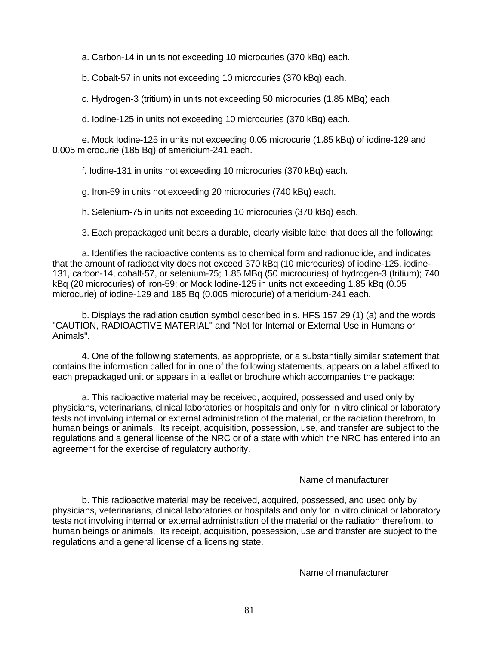a. Carbon-14 in units not exceeding 10 microcuries (370 kBq) each.

b. Cobalt-57 in units not exceeding 10 microcuries (370 kBq) each.

c*.* Hydrogen-3 (tritium) in units not exceeding 50 microcuries (1.85 MBq) each.

d. Iodine-125 in units not exceeding 10 microcuries (370 kBq) each.

e. Mock Iodine-125 in units not exceeding 0.05 microcurie (1.85 kBq) of iodine-129 and 0.005 microcurie (185 Bq) of americium-241 each.

f. Iodine-131 in units not exceeding 10 microcuries (370 kBq) each.

g. Iron-59 in units not exceeding 20 microcuries (740 kBq) each.

h. Selenium-75 in units not exceeding 10 microcuries (370 kBq) each.

3. Each prepackaged unit bears a durable, clearly visible label that does all the following:

a. Identifies the radioactive contents as to chemical form and radionuclide, and indicates that the amount of radioactivity does not exceed 370 kBq (10 microcuries) of iodine-125, iodine-131, carbon-14, cobalt-57, or selenium-75; 1.85 MBq (50 microcuries) of hydrogen-3 (tritium); 740 kBq (20 microcuries) of iron-59; or Mock Iodine-125 in units not exceeding 1.85 kBq (0.05 microcurie) of iodine-129 and 185 Bq (0.005 microcurie) of americium-241 each.

b. Displays the radiation caution symbol described in s. HFS 157.29 (1) (a) and the words "CAUTION, RADIOACTIVE MATERIAL" and "Not for Internal or External Use in Humans or Animals".

4. One of the following statements, as appropriate, or a substantially similar statement that contains the information called for in one of the following statements, appears on a label affixed to each prepackaged unit or appears in a leaflet or brochure which accompanies the package:

a. This radioactive material may be received, acquired, possessed and used only by physicians, veterinarians, clinical laboratories or hospitals and only for in vitro clinical or laboratory tests not involving internal or external administration of the material, or the radiation therefrom, to human beings or animals. Its receipt, acquisition, possession, use, and transfer are subject to the regulations and a general license of the NRC or of a state with which the NRC has entered into an agreement for the exercise of regulatory authority.

#### Name of manufacturer

b. This radioactive material may be received, acquired, possessed, and used only by physicians, veterinarians, clinical laboratories or hospitals and only for in vitro clinical or laboratory tests not involving internal or external administration of the material or the radiation therefrom, to human beings or animals. Its receipt, acquisition, possession, use and transfer are subject to the regulations and a general license of a licensing state.

Name of manufacturer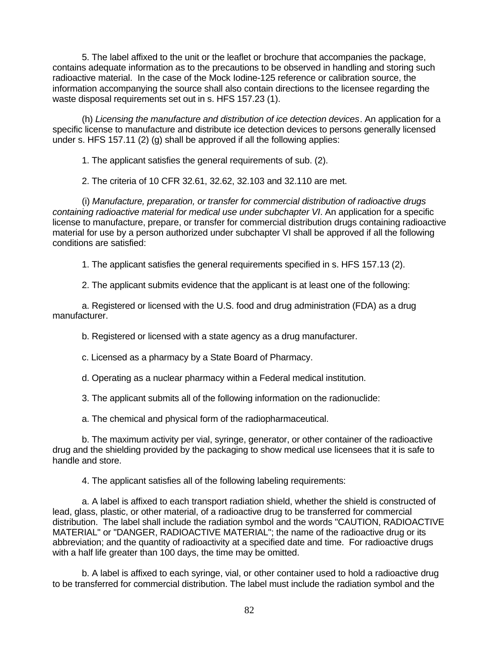5. The label affixed to the unit or the leaflet or brochure that accompanies the package, contains adequate information as to the precautions to be observed in handling and storing such radioactive material. In the case of the Mock Iodine-125 reference or calibration source, the information accompanying the source shall also contain directions to the licensee regarding the waste disposal requirements set out in s. HFS 157.23 (1).

(h) *Licensing the manufacture and distribution of ice detection devices*. An application for a specific license to manufacture and distribute ice detection devices to persons generally licensed under s. HFS 157.11 (2) (g) shall be approved if all the following applies:

1. The applicant satisfies the general requirements of sub. (2).

2. The criteria of 10 CFR 32.61, 32.62, 32.103 and 32.110 are met.

(i) *Manufacture, preparation, or transfer for commercial distribution of radioactive drugs containing radioactive material for medical use under subchapter VI*. An application for a specific license to manufacture, prepare, or transfer for commercial distribution drugs containing radioactive material for use by a person authorized under subchapter VI shall be approved if all the following conditions are satisfied:

1. The applicant satisfies the general requirements specified in s. HFS 157.13 (2).

2. The applicant submits evidence that the applicant is at least one of the following:

a. Registered or licensed with the U.S. food and drug administration (FDA) as a drug manufacturer.

b. Registered or licensed with a state agency as a drug manufacturer.

c. Licensed as a pharmacy by a State Board of Pharmacy.

d. Operating as a nuclear pharmacy within a Federal medical institution.

3. The applicant submits all of the following information on the radionuclide:

a. The chemical and physical form of the radiopharmaceutical.

b. The maximum activity per vial, syringe, generator, or other container of the radioactive drug and the shielding provided by the packaging to show medical use licensees that it is safe to handle and store.

4. The applicant satisfies all of the following labeling requirements:

a. A label is affixed to each transport radiation shield, whether the shield is constructed of lead, glass, plastic, or other material, of a radioactive drug to be transferred for commercial distribution. The label shall include the radiation symbol and the words "CAUTION, RADIOACTIVE MATERIAL" or "DANGER, RADIOACTIVE MATERIAL"; the name of the radioactive drug or its abbreviation; and the quantity of radioactivity at a specified date and time. For radioactive drugs with a half life greater than 100 days, the time may be omitted.

b. A label is affixed to each syringe, vial, or other container used to hold a radioactive drug to be transferred for commercial distribution. The label must include the radiation symbol and the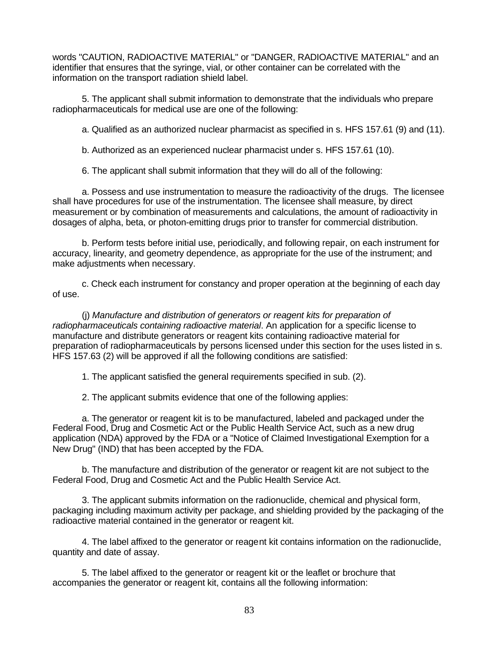words "CAUTION, RADIOACTIVE MATERIAL" or "DANGER, RADIOACTIVE MATERIAL" and an identifier that ensures that the syringe, vial, or other container can be correlated with the information on the transport radiation shield label.

5. The applicant shall submit information to demonstrate that the individuals who prepare radiopharmaceuticals for medical use are one of the following:

a. Qualified as an authorized nuclear pharmacist as specified in s. HFS 157.61 (9) and (11).

b. Authorized as an experienced nuclear pharmacist under s. HFS 157.61 (10).

6. The applicant shall submit information that they will do all of the following:

a. Possess and use instrumentation to measure the radioactivity of the drugs. The licensee shall have procedures for use of the instrumentation. The licensee shall measure, by direct measurement or by combination of measurements and calculations, the amount of radioactivity in dosages of alpha, beta, or photon-emitting drugs prior to transfer for commercial distribution.

b. Perform tests before initial use, periodically, and following repair, on each instrument for accuracy, linearity, and geometry dependence, as appropriate for the use of the instrument; and make adjustments when necessary.

c. Check each instrument for constancy and proper operation at the beginning of each day of use.

(j) *Manufacture and distribution of generators or reagent kits for preparation of radiopharmaceuticals containing radioactive material*. An application for a specific license to manufacture and distribute generators or reagent kits containing radioactive material for preparation of radiopharmaceuticals by persons licensed under this section for the uses listed in s. HFS 157.63 (2) will be approved if all the following conditions are satisfied:

1. The applicant satisfied the general requirements specified in sub. (2).

2. The applicant submits evidence that one of the following applies:

a. The generator or reagent kit is to be manufactured, labeled and packaged under the Federal Food, Drug and Cosmetic Act or the Public Health Service Act, such as a new drug application (NDA) approved by the FDA or a "Notice of Claimed Investigational Exemption for a New Drug" (IND) that has been accepted by the FDA.

b. The manufacture and distribution of the generator or reagent kit are not subject to the Federal Food, Drug and Cosmetic Act and the Public Health Service Act.

3. The applicant submits information on the radionuclide, chemical and physical form, packaging including maximum activity per package, and shielding provided by the packaging of the radioactive material contained in the generator or reagent kit.

4. The label affixed to the generator or reagent kit contains information on the radionuclide, quantity and date of assay.

5. The label affixed to the generator or reagent kit or the leaflet or brochure that accompanies the generator or reagent kit, contains all the following information: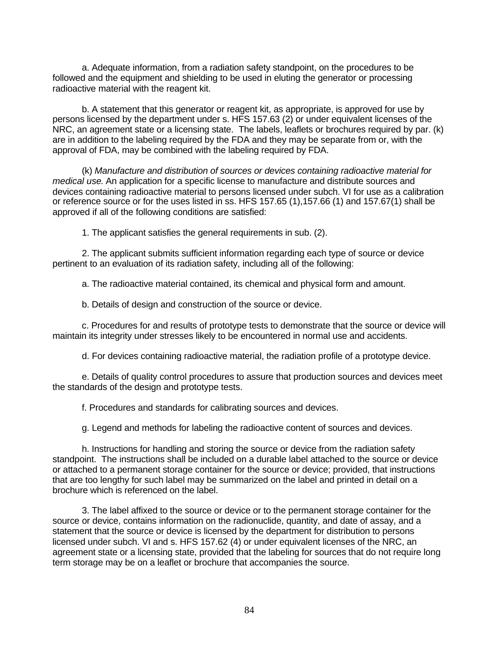a. Adequate information, from a radiation safety standpoint, on the procedures to be followed and the equipment and shielding to be used in eluting the generator or processing radioactive material with the reagent kit.

b. A statement that this generator or reagent kit, as appropriate, is approved for use by persons licensed by the department under s. HFS 157.63 (2) or under equivalent licenses of the NRC, an agreement state or a licensing state. The labels, leaflets or brochures required by par. (k) are in addition to the labeling required by the FDA and they may be separate from or, with the approval of FDA, may be combined with the labeling required by FDA.

(k) *Manufacture and distribution of sources or devices containing radioactive material for medical use*. An application for a specific license to manufacture and distribute sources and devices containing radioactive material to persons licensed under subch. VI for use as a calibration or reference source or for the uses listed in ss. HFS 157.65 (1),157.66 (1) and 157.67(1) shall be approved if all of the following conditions are satisfied:

1. The applicant satisfies the general requirements in sub. (2).

2. The applicant submits sufficient information regarding each type of source or device pertinent to an evaluation of its radiation safety, including all of the following:

a. The radioactive material contained, its chemical and physical form and amount.

b. Details of design and construction of the source or device.

c. Procedures for and results of prototype tests to demonstrate that the source or device will maintain its integrity under stresses likely to be encountered in normal use and accidents.

d. For devices containing radioactive material, the radiation profile of a prototype device.

e. Details of quality control procedures to assure that production sources and devices meet the standards of the design and prototype tests.

f. Procedures and standards for calibrating sources and devices.

g. Legend and methods for labeling the radioactive content of sources and devices.

h. Instructions for handling and storing the source or device from the radiation safety standpoint. The instructions shall be included on a durable label attached to the source or device or attached to a permanent storage container for the source or device; provided, that instructions that are too lengthy for such label may be summarized on the label and printed in detail on a brochure which is referenced on the label.

3. The label affixed to the source or device or to the permanent storage container for the source or device, contains information on the radionuclide, quantity, and date of assay, and a statement that the source or device is licensed by the department for distribution to persons licensed under subch. VI and s. HFS 157.62 (4) or under equivalent licenses of the NRC, an agreement state or a licensing state, provided that the labeling for sources that do not require long term storage may be on a leaflet or brochure that accompanies the source.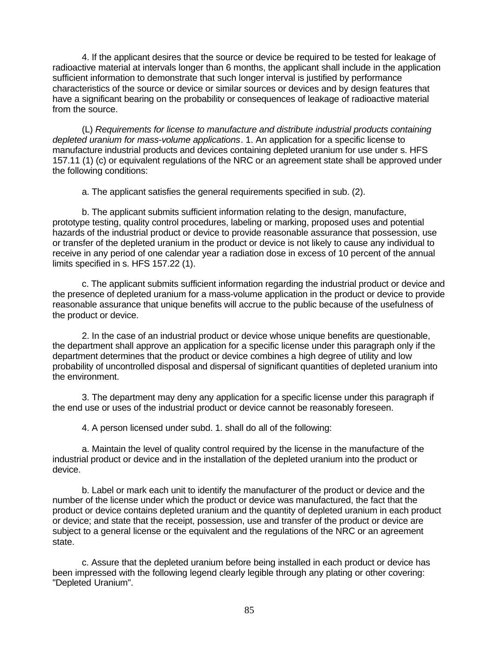4. If the applicant desires that the source or device be required to be tested for leakage of radioactive material at intervals longer than 6 months, the applicant shall include in the application sufficient information to demonstrate that such longer interval is justified by performance characteristics of the source or device or similar sources or devices and by design features that have a significant bearing on the probability or consequences of leakage of radioactive material from the source.

(L) *Requirements for license to manufacture and distribute industrial products containing depleted uranium for mass-volume applications*. 1. An application for a specific license to manufacture industrial products and devices containing depleted uranium for use under s. HFS 157.11 (1) (c) or equivalent regulations of the NRC or an agreement state shall be approved under the following conditions:

a. The applicant satisfies the general requirements specified in sub. (2).

b. The applicant submits sufficient information relating to the design, manufacture, prototype testing, quality control procedures, labeling or marking, proposed uses and potential hazards of the industrial product or device to provide reasonable assurance that possession, use or transfer of the depleted uranium in the product or device is not likely to cause any individual to receive in any period of one calendar year a radiation dose in excess of 10 percent of the annual limits specified in s. HFS 157.22 (1).

c. The applicant submits sufficient information regarding the industrial product or device and the presence of depleted uranium for a mass-volume application in the product or device to provide reasonable assurance that unique benefits will accrue to the public because of the usefulness of the product or device.

2. In the case of an industrial product or device whose unique benefits are questionable, the department shall approve an application for a specific license under this paragraph only if the department determines that the product or device combines a high degree of utility and low probability of uncontrolled disposal and dispersal of significant quantities of depleted uranium into the environment.

3. The department may deny any application for a specific license under this paragraph if the end use or uses of the industrial product or device cannot be reasonably foreseen.

4. A person licensed under subd. 1. shall do all of the following:

a. Maintain the level of quality control required by the license in the manufacture of the industrial product or device and in the installation of the depleted uranium into the product or device.

b. Label or mark each unit to identify the manufacturer of the product or device and the number of the license under which the product or device was manufactured, the fact that the product or device contains depleted uranium and the quantity of depleted uranium in each product or device; and state that the receipt, possession, use and transfer of the product or device are subject to a general license or the equivalent and the regulations of the NRC or an agreement state.

c. Assure that the depleted uranium before being installed in each product or device has been impressed with the following legend clearly legible through any plating or other covering: "Depleted Uranium".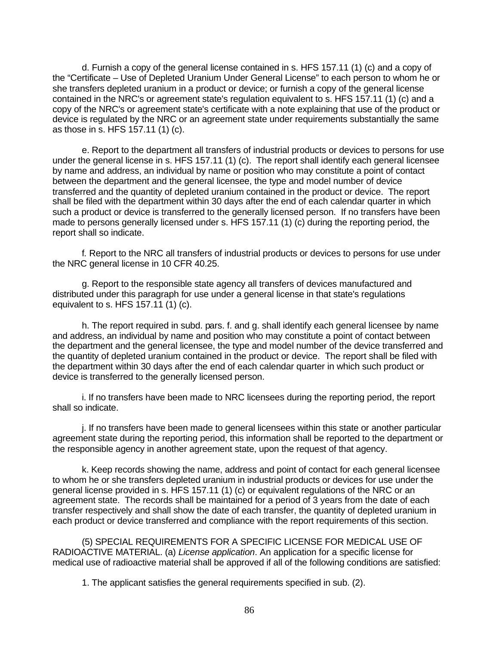d. Furnish a copy of the general license contained in s. HFS 157.11 (1) (c) and a copy of the "Certificate – Use of Depleted Uranium Under General License" to each person to whom he or she transfers depleted uranium in a product or device; or furnish a copy of the general license contained in the NRC's or agreement state's regulation equivalent to s. HFS 157.11 (1) (c) and a copy of the NRC's or agreement state's certificate with a note explaining that use of the product or device is regulated by the NRC or an agreement state under requirements substantially the same as those in s. HFS 157.11 (1) (c).

e. Report to the department all transfers of industrial products or devices to persons for use under the general license in s. HFS 157.11 (1) (c). The report shall identify each general licensee by name and address, an individual by name or position who may constitute a point of contact between the department and the general licensee, the type and model number of device transferred and the quantity of depleted uranium contained in the product or device. The report shall be filed with the department within 30 days after the end of each calendar quarter in which such a product or device is transferred to the generally licensed person. If no transfers have been made to persons generally licensed under s. HFS 157.11 (1) (c) during the reporting period, the report shall so indicate.

f*.* Report to the NRC all transfers of industrial products or devices to persons for use under the NRC general license in 10 CFR 40.25.

g. Report to the responsible state agency all transfers of devices manufactured and distributed under this paragraph for use under a general license in that state's regulations equivalent to s. HFS 157.11 (1) (c).

h. The report required in subd. pars. f. and g. shall identify each general licensee by name and address, an individual by name and position who may constitute a point of contact between the department and the general licensee, the type and model number of the device transferred and the quantity of depleted uranium contained in the product or device. The report shall be filed with the department within 30 days after the end of each calendar quarter in which such product or device is transferred to the generally licensed person.

i. If no transfers have been made to NRC licensees during the reporting period, the report shall so indicate.

j. If no transfers have been made to general licensees within this state or another particular agreement state during the reporting period, this information shall be reported to the department or the responsible agency in another agreement state, upon the request of that agency.

k. Keep records showing the name, address and point of contact for each general licensee to whom he or she transfers depleted uranium in industrial products or devices for use under the general license provided in s. HFS 157.11 (1) (c) or equivalent regulations of the NRC or an agreement state. The records shall be maintained for a period of 3 years from the date of each transfer respectively and shall show the date of each transfer, the quantity of depleted uranium in each product or device transferred and compliance with the report requirements of this section.

(5) SPECIAL REQUIREMENTS FOR A SPECIFIC LICENSE FOR MEDICAL USE OF RADIOACTIVE MATERIAL. (a) *License application*. An application for a specific license for medical use of radioactive material shall be approved if all of the following conditions are satisfied:

1. The applicant satisfies the general requirements specified in sub. (2).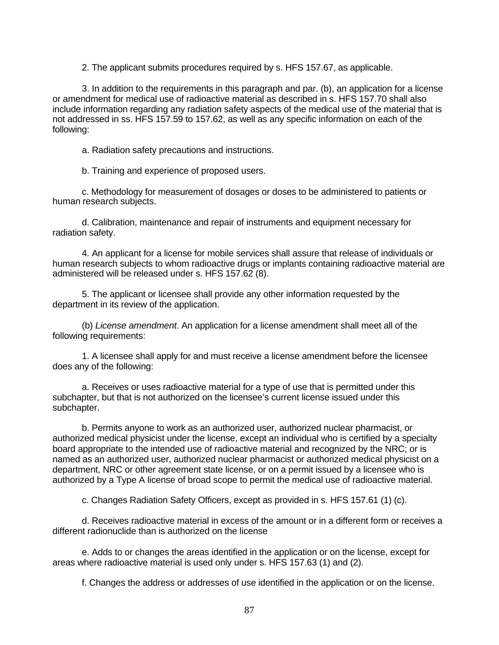2. The applicant submits procedures required by s. HFS 157.67, as applicable.

3. In addition to the requirements in this paragraph and par. (b), an application for a license or amendment for medical use of radioactive material as described in s. HFS 157.70 shall also include information regarding any radiation safety aspects of the medical use of the material that is not addressed in ss. HFS 157.59 to 157.62, as well as any specific information on each of the following:

a. Radiation safety precautions and instructions.

b. Training and experience of proposed users.

c. Methodology for measurement of dosages or doses to be administered to patients or human research subjects.

d. Calibration, maintenance and repair of instruments and equipment necessary for radiation safety.

4. An applicant for a license for mobile services shall assure that release of individuals or human research subjects to whom radioactive drugs or implants containing radioactive material are administered will be released under s. HFS 157.62 (8).

5. The applicant or licensee shall provide any other information requested by the department in its review of the application.

(b) *License amendment*. An application for a license amendment shall meet all of the following requirements:

1. A licensee shall apply for and must receive a license amendment before the licensee does any of the following:

a. Receives or uses radioactive material for a type of use that is permitted under this subchapter, but that is not authorized on the licensee's current license issued under this subchapter.

b. Permits anyone to work as an authorized user, authorized nuclear pharmacist, or authorized medical physicist under the license, except an individual who is certified by a specialty board appropriate to the intended use of radioactive material and recognized by the NRC; or is named as an authorized user, authorized nuclear pharmacist or authorized medical physicist on a department, NRC or other agreement state license, or on a permit issued by a licensee who is authorized by a Type A license of broad scope to permit the medical use of radioactive material.

c. Changes Radiation Safety Officers, except as provided in s. HFS 157.61 (1) (c).

d. Receives radioactive material in excess of the amount or in a different form or receives a different radionuclide than is authorized on the license

e. Adds to or changes the areas identified in the application or on the license, except for areas where radioactive material is used only under s. HFS 157.63 (1) and (2).

f. Changes the address or addresses of use identified in the application or on the license.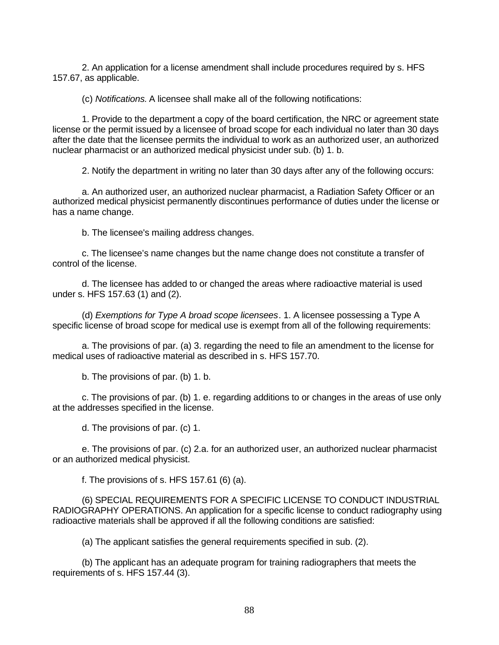2. An application for a license amendment shall include procedures required by s. HFS 157.67, as applicable.

(c) *Notifications.* A licensee shall make all of the following notifications:

1. Provide to the department a copy of the board certification, the NRC or agreement state license or the permit issued by a licensee of broad scope for each individual no later than 30 days after the date that the licensee permits the individual to work as an authorized user, an authorized nuclear pharmacist or an authorized medical physicist under sub. (b) 1. b.

2. Notify the department in writing no later than 30 days after any of the following occurs:

a. An authorized user, an authorized nuclear pharmacist, a Radiation Safety Officer or an authorized medical physicist permanently discontinues performance of duties under the license or has a name change.

b. The licensee's mailing address changes.

c. The licensee's name changes but the name change does not constitute a transfer of control of the license.

d. The licensee has added to or changed the areas where radioactive material is used under s. HFS 157.63 (1) and (2).

(d) *Exemptions for Type A broad scope licensees*. 1. A licensee possessing a Type A specific license of broad scope for medical use is exempt from all of the following requirements:

a. The provisions of par. (a) 3. regarding the need to file an amendment to the license for medical uses of radioactive material as described in s. HFS 157.70.

b. The provisions of par. (b) 1. b.

c. The provisions of par. (b) 1. e. regarding additions to or changes in the areas of use only at the addresses specified in the license.

d. The provisions of par. (c) 1.

e. The provisions of par. (c) 2.a. for an authorized user, an authorized nuclear pharmacist or an authorized medical physicist.

f. The provisions of s. HFS 157.61 (6) (a).

(6) SPECIAL REQUIREMENTS FOR A SPECIFIC LICENSE TO CONDUCT INDUSTRIAL RADIOGRAPHY OPERATIONS. An application for a specific license to conduct radiography using radioactive materials shall be approved if all the following conditions are satisfied:

(a) The applicant satisfies the general requirements specified in sub. (2).

(b) The applicant has an adequate program for training radiographers that meets the requirements of s. HFS 157.44 (3).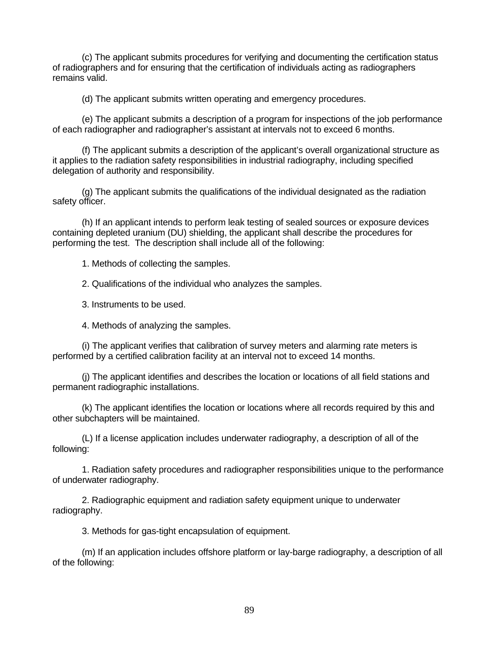(c) The applicant submits procedures for verifying and documenting the certification status of radiographers and for ensuring that the certification of individuals acting as radiographers remains valid.

(d) The applicant submits written operating and emergency procedures.

(e) The applicant submits a description of a program for inspections of the job performance of each radiographer and radiographer's assistant at intervals not to exceed 6 months.

(f) The applicant submits a description of the applicant's overall organizational structure as it applies to the radiation safety responsibilities in industrial radiography, including specified delegation of authority and responsibility.

(g) The applicant submits the qualifications of the individual designated as the radiation safety officer.

(h) If an applicant intends to perform leak testing of sealed sources or exposure devices containing depleted uranium (DU) shielding, the applicant shall describe the procedures for performing the test. The description shall include all of the following:

1. Methods of collecting the samples.

2. Qualifications of the individual who analyzes the samples.

3. Instruments to be used.

4. Methods of analyzing the samples.

(i) The applicant verifies that calibration of survey meters and alarming rate meters is performed by a certified calibration facility at an interval not to exceed 14 months.

(j) The applicant identifies and describes the location or locations of all field stations and permanent radiographic installations.

(k) The applicant identifies the location or locations where all records required by this and other subchapters will be maintained.

(L) If a license application includes underwater radiography, a description of all of the following:

1. Radiation safety procedures and radiographer responsibilities unique to the performance of underwater radiography.

2. Radiographic equipment and radiation safety equipment unique to underwater radiography.

3. Methods for gas-tight encapsulation of equipment.

(m) If an application includes offshore platform or lay-barge radiography, a description of all of the following: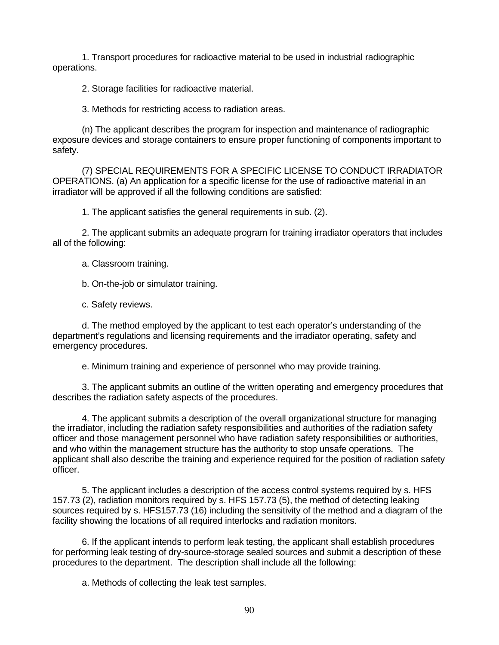1. Transport procedures for radioactive material to be used in industrial radiographic operations.

2. Storage facilities for radioactive material.

3. Methods for restricting access to radiation areas.

(n) The applicant describes the program for inspection and maintenance of radiographic exposure devices and storage containers to ensure proper functioning of components important to safety.

(7) SPECIAL REQUIREMENTS FOR A SPECIFIC LICENSE TO CONDUCT IRRADIATOR OPERATIONS. (a) An application for a specific license for the use of radioactive material in an irradiator will be approved if all the following conditions are satisfied:

1. The applicant satisfies the general requirements in sub. (2).

2. The applicant submits an adequate program for training irradiator operators that includes all of the following:

a. Classroom training.

b. On-the-job or simulator training.

c. Safety reviews.

d. The method employed by the applicant to test each operator's understanding of the department's regulations and licensing requirements and the irradiator operating, safety and emergency procedures.

e. Minimum training and experience of personnel who may provide training.

3. The applicant submits an outline of the written operating and emergency procedures that describes the radiation safety aspects of the procedures.

4. The applicant submits a description of the overall organizational structure for managing the irradiator, including the radiation safety responsibilities and authorities of the radiation safety officer and those management personnel who have radiation safety responsibilities or authorities, and who within the management structure has the authority to stop unsafe operations. The applicant shall also describe the training and experience required for the position of radiation safety officer.

5. The applicant includes a description of the access control systems required by s. HFS 157.73 (2), radiation monitors required by s. HFS 157.73 (5), the method of detecting leaking sources required by s. HFS157.73 (16) including the sensitivity of the method and a diagram of the facility showing the locations of all required interlocks and radiation monitors.

6. If the applicant intends to perform leak testing, the applicant shall establish procedures for performing leak testing of dry-source-storage sealed sources and submit a description of these procedures to the department. The description shall include all the following:

a. Methods of collecting the leak test samples.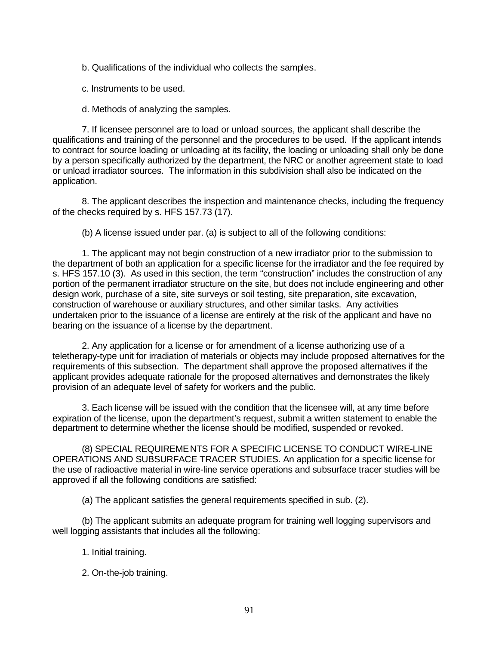b. Qualifications of the individual who collects the samples.

c. Instruments to be used.

d. Methods of analyzing the samples.

7. If licensee personnel are to load or unload sources, the applicant shall describe the qualifications and training of the personnel and the procedures to be used. If the applicant intends to contract for source loading or unloading at its facility, the loading or unloading shall only be done by a person specifically authorized by the department, the NRC or another agreement state to load or unload irradiator sources. The information in this subdivision shall also be indicated on the application.

8. The applicant describes the inspection and maintenance checks, including the frequency of the checks required by s. HFS 157.73 (17).

(b) A license issued under par. (a) is subject to all of the following conditions:

1. The applicant may not begin construction of a new irradiator prior to the submission to the department of both an application for a specific license for the irradiator and the fee required by s. HFS 157.10 (3). As used in this section, the term "construction" includes the construction of any portion of the permanent irradiator structure on the site, but does not include engineering and other design work, purchase of a site, site surveys or soil testing, site preparation, site excavation, construction of warehouse or auxiliary structures, and other similar tasks. Any activities undertaken prior to the issuance of a license are entirely at the risk of the applicant and have no bearing on the issuance of a license by the department.

2. Any application for a license or for amendment of a license authorizing use of a teletherapy-type unit for irradiation of materials or objects may include proposed alternatives for the requirements of this subsection. The department shall approve the proposed alternatives if the applicant provides adequate rationale for the proposed alternatives and demonstrates the likely provision of an adequate level of safety for workers and the public.

3. Each license will be issued with the condition that the licensee will, at any time before expiration of the license, upon the department's request, submit a written statement to enable the department to determine whether the license should be modified, suspended or revoked.

(8) SPECIAL REQUIREMENTS FOR A SPECIFIC LICENSE TO CONDUCT WIRE-LINE OPERATIONS AND SUBSURFACE TRACER STUDIES. An application for a specific license for the use of radioactive material in wire-line service operations and subsurface tracer studies will be approved if all the following conditions are satisfied:

(a) The applicant satisfies the general requirements specified in sub. (2).

(b) The applicant submits an adequate program for training well logging supervisors and well logging assistants that includes all the following:

- 1. Initial training.
- 2. On-the-job training.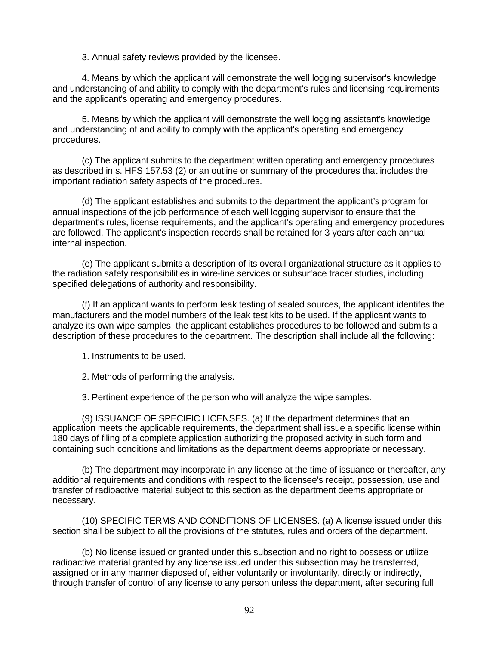3. Annual safety reviews provided by the licensee.

4. Means by which the applicant will demonstrate the well logging supervisor's knowledge and understanding of and ability to comply with the department's rules and licensing requirements and the applicant's operating and emergency procedures.

5. Means by which the applicant will demonstrate the well logging assistant's knowledge and understanding of and ability to comply with the applicant's operating and emergency procedures.

(c) The applicant submits to the department written operating and emergency procedures as described in s. HFS 157.53 (2) or an outline or summary of the procedures that includes the important radiation safety aspects of the procedures.

(d) The applicant establishes and submits to the department the applicant's program for annual inspections of the job performance of each well logging supervisor to ensure that the department's rules, license requirements, and the applicant's operating and emergency procedures are followed. The applicant's inspection records shall be retained for 3 years after each annual internal inspection.

(e) The applicant submits a description of its overall organizational structure as it applies to the radiation safety responsibilities in wire-line services or subsurface tracer studies, including specified delegations of authority and responsibility.

(f) If an applicant wants to perform leak testing of sealed sources, the applicant identifes the manufacturers and the model numbers of the leak test kits to be used. If the applicant wants to analyze its own wipe samples, the applicant establishes procedures to be followed and submits a description of these procedures to the department. The description shall include all the following:

1. Instruments to be used.

2. Methods of performing the analysis.

3. Pertinent experience of the person who will analyze the wipe samples.

(9) ISSUANCE OF SPECIFIC LICENSES. (a) If the department determines that an application meets the applicable requirements, the department shall issue a specific license within 180 days of filing of a complete application authorizing the proposed activity in such form and containing such conditions and limitations as the department deems appropriate or necessary.

(b) The department may incorporate in any license at the time of issuance or thereafter, any additional requirements and conditions with respect to the licensee's receipt, possession, use and transfer of radioactive material subject to this section as the department deems appropriate or necessary.

(10) SPECIFIC TERMS AND CONDITIONS OF LICENSES. (a) A license issued under this section shall be subject to all the provisions of the statutes, rules and orders of the department.

(b) No license issued or granted under this subsection and no right to possess or utilize radioactive material granted by any license issued under this subsection may be transferred, assigned or in any manner disposed of, either voluntarily or involuntarily, directly or indirectly, through transfer of control of any license to any person unless the department, after securing full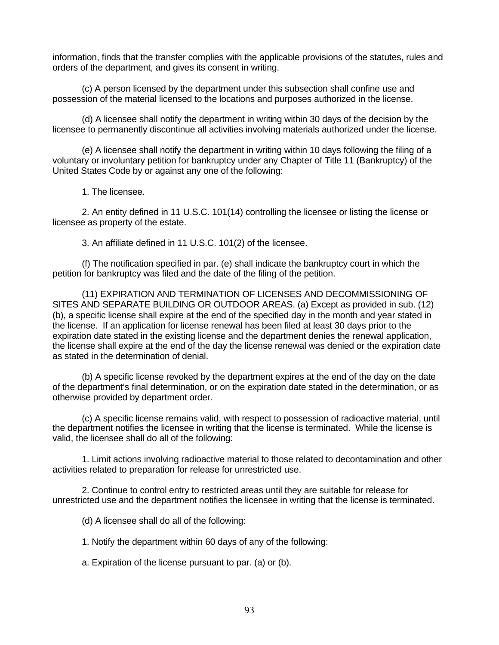information, finds that the transfer complies with the applicable provisions of the statutes, rules and orders of the department, and gives its consent in writing.

(c) A person licensed by the department under this subsection shall confine use and possession of the material licensed to the locations and purposes authorized in the license.

(d) A licensee shall notify the department in writing within 30 days of the decision by the licensee to permanently discontinue all activities involving materials authorized under the license.

(e) A licensee shall notify the department in writing within 10 days following the filing of a voluntary or involuntary petition for bankruptcy under any Chapter of Title 11 (Bankruptcy) of the United States Code by or against any one of the following:

1. The licensee.

2. An entity defined in 11 U.S.C. 101(14) controlling the licensee or listing the license or licensee as property of the estate.

3. An affiliate defined in 11 U.S.C. 101(2) of the licensee.

(f) The notification specified in par. (e) shall indicate the bankruptcy court in which the petition for bankruptcy was filed and the date of the filing of the petition.

(11) EXPIRATION AND TERMINATION OF LICENSES AND DECOMMISSIONING OF SITES AND SEPARATE BUILDING OR OUTDOOR AREAS. (a) Except as provided in sub. (12) (b), a specific license shall expire at the end of the specified day in the month and year stated in the license. If an application for license renewal has been filed at least 30 days prior to the expiration date stated in the existing license and the department denies the renewal application, the license shall expire at the end of the day the license renewal was denied or the expiration date as stated in the determination of denial.

(b) A specific license revoked by the department expires at the end of the day on the date of the department's final determination, or on the expiration date stated in the determination, or as otherwise provided by department order.

(c) A specific license remains valid, with respect to possession of radioactive material, until the department notifies the licensee in writing that the license is terminated. While the license is valid, the licensee shall do all of the following:

1. Limit actions involving radioactive material to those related to decontamination and other activities related to preparation for release for unrestricted use.

2. Continue to control entry to restricted areas until they are suitable for release for unrestricted use and the department notifies the licensee in writing that the license is terminated.

(d) A licensee shall do all of the following:

1. Notify the department within 60 days of any of the following:

a. Expiration of the license pursuant to par. (a) or (b).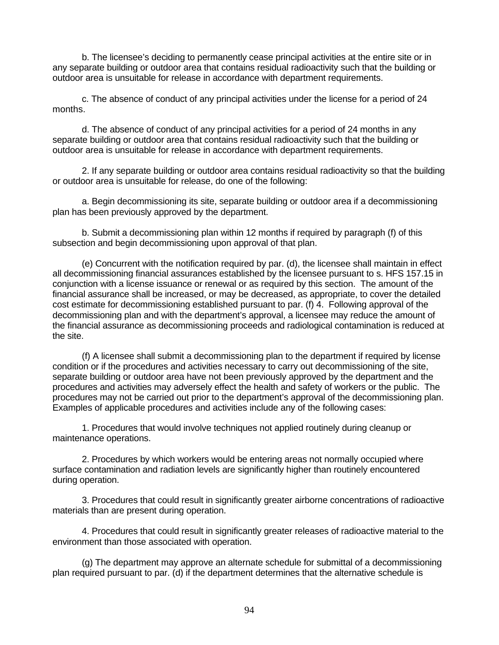b. The licensee's deciding to permanently cease principal activities at the entire site or in any separate building or outdoor area that contains residual radioactivity such that the building or outdoor area is unsuitable for release in accordance with department requirements.

c. The absence of conduct of any principal activities under the license for a period of 24 months.

d. The absence of conduct of any principal activities for a period of 24 months in any separate building or outdoor area that contains residual radioactivity such that the building or outdoor area is unsuitable for release in accordance with department requirements.

2. If any separate building or outdoor area contains residual radioactivity so that the building or outdoor area is unsuitable for release, do one of the following:

a. Begin decommissioning its site, separate building or outdoor area if a decommissioning plan has been previously approved by the department.

b. Submit a decommissioning plan within 12 months if required by paragraph (f) of this subsection and begin decommissioning upon approval of that plan.

(e) Concurrent with the notification required by par. (d), the licensee shall maintain in effect all decommissioning financial assurances established by the licensee pursuant to s. HFS 157.15 in conjunction with a license issuance or renewal or as required by this section. The amount of the financial assurance shall be increased, or may be decreased, as appropriate, to cover the detailed cost estimate for decommissioning established pursuant to par. (f) 4. Following approval of the decommissioning plan and with the department's approval, a licensee may reduce the amount of the financial assurance as decommissioning proceeds and radiological contamination is reduced at the site.

(f) A licensee shall submit a decommissioning plan to the department if required by license condition or if the procedures and activities necessary to carry out decommissioning of the site, separate building or outdoor area have not been previously approved by the department and the procedures and activities may adversely effect the health and safety of workers or the public. The procedures may not be carried out prior to the department's approval of the decommissioning plan. Examples of applicable procedures and activities include any of the following cases:

1. Procedures that would involve techniques not applied routinely during cleanup or maintenance operations.

2. Procedures by which workers would be entering areas not normally occupied where surface contamination and radiation levels are significantly higher than routinely encountered during operation.

3. Procedures that could result in significantly greater airborne concentrations of radioactive materials than are present during operation.

4. Procedures that could result in significantly greater releases of radioactive material to the environment than those associated with operation.

(g) The department may approve an alternate schedule for submittal of a decommissioning plan required pursuant to par. (d) if the department determines that the alternative schedule is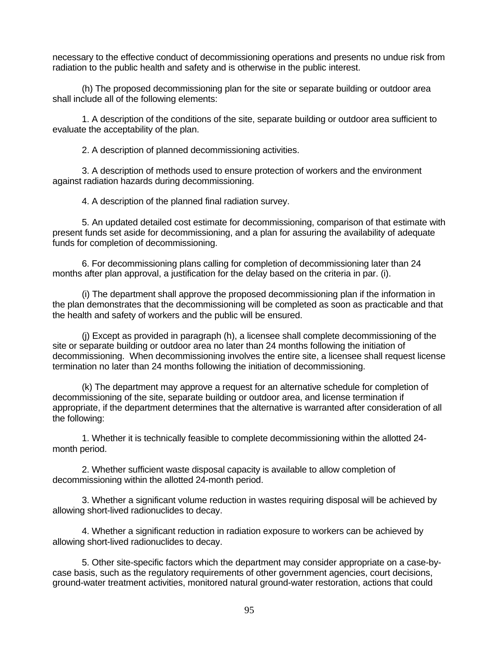necessary to the effective conduct of decommissioning operations and presents no undue risk from radiation to the public health and safety and is otherwise in the public interest.

(h) The proposed decommissioning plan for the site or separate building or outdoor area shall include all of the following elements:

1. A description of the conditions of the site, separate building or outdoor area sufficient to evaluate the acceptability of the plan.

2. A description of planned decommissioning activities.

3. A description of methods used to ensure protection of workers and the environment against radiation hazards during decommissioning.

4. A description of the planned final radiation survey.

5. An updated detailed cost estimate for decommissioning, comparison of that estimate with present funds set aside for decommissioning, and a plan for assuring the availability of adequate funds for completion of decommissioning.

6. For decommissioning plans calling for completion of decommissioning later than 24 months after plan approval, a justification for the delay based on the criteria in par. (i).

(i) The department shall approve the proposed decommissioning plan if the information in the plan demonstrates that the decommissioning will be completed as soon as practicable and that the health and safety of workers and the public will be ensured.

(j) Except as provided in paragraph (h), a licensee shall complete decommissioning of the site or separate building or outdoor area no later than 24 months following the initiation of decommissioning. When decommissioning involves the entire site, a licensee shall request license termination no later than 24 months following the initiation of decommissioning.

(k) The department may approve a request for an alternative schedule for completion of decommissioning of the site, separate building or outdoor area, and license termination if appropriate, if the department determines that the alternative is warranted after consideration of all the following:

1. Whether it is technically feasible to complete decommissioning within the allotted 24 month period.

2. Whether sufficient waste disposal capacity is available to allow completion of decommissioning within the allotted 24-month period.

3. Whether a significant volume reduction in wastes requiring disposal will be achieved by allowing short-lived radionuclides to decay.

4. Whether a significant reduction in radiation exposure to workers can be achieved by allowing short-lived radionuclides to decay.

5. Other site-specific factors which the department may consider appropriate on a case-bycase basis, such as the regulatory requirements of other government agencies, court decisions, ground-water treatment activities, monitored natural ground-water restoration, actions that could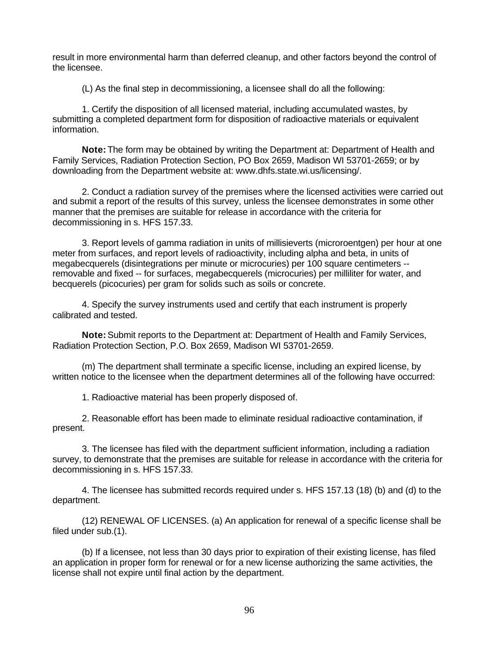result in more environmental harm than deferred cleanup, and other factors beyond the control of the licensee.

(L) As the final step in decommissioning, a licensee shall do all the following:

1. Certify the disposition of all licensed material, including accumulated wastes, by submitting a completed department form for disposition of radioactive materials or equivalent information.

**Note:** The form may be obtained by writing the Department at: Department of Health and Family Services, Radiation Protection Section, PO Box 2659, Madison WI 53701-2659; or by downloading from the Department website at: www.dhfs.state.wi.us/licensing/.

2. Conduct a radiation survey of the premises where the licensed activities were carried out and submit a report of the results of this survey, unless the licensee demonstrates in some other manner that the premises are suitable for release in accordance with the criteria for decommissioning in s. HFS 157.33.

3. Report levels of gamma radiation in units of millisieverts (microroentgen) per hour at one meter from surfaces, and report levels of radioactivity, including alpha and beta, in units of megabecquerels (disintegrations per minute or microcuries) per 100 square centimeters - removable and fixed -- for surfaces, megabecquerels (microcuries) per milliliter for water, and becquerels (picocuries) per gram for solids such as soils or concrete.

4. Specify the survey instruments used and certify that each instrument is properly calibrated and tested.

**Note:** Submit reports to the Department at: Department of Health and Family Services, Radiation Protection Section, P.O. Box 2659, Madison WI 53701-2659.

(m) The department shall terminate a specific license, including an expired license, by written notice to the licensee when the department determines all of the following have occurred:

1. Radioactive material has been properly disposed of.

2. Reasonable effort has been made to eliminate residual radioactive contamination, if present.

3. The licensee has filed with the department sufficient information, including a radiation survey, to demonstrate that the premises are suitable for release in accordance with the criteria for decommissioning in s. HFS 157.33.

4. The licensee has submitted records required under s. HFS 157.13 (18) (b) and (d) to the department.

(12) RENEWAL OF LICENSES. (a) An application for renewal of a specific license shall be filed under sub.(1).

(b) If a licensee, not less than 30 days prior to expiration of their existing license, has filed an application in proper form for renewal or for a new license authorizing the same activities, the license shall not expire until final action by the department.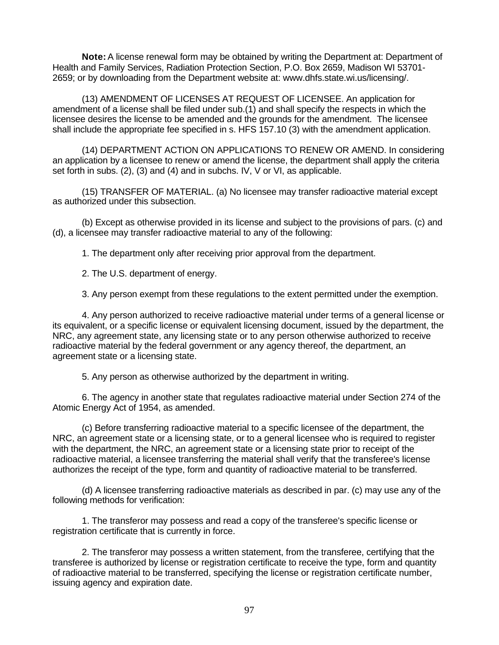**Note:** A license renewal form may be obtained by writing the Department at: Department of Health and Family Services, Radiation Protection Section, P.O. Box 2659, Madison WI 53701- 2659; or by downloading from the Department website at: www.dhfs.state.wi.us/licensing/.

(13) AMENDMENT OF LICENSES AT REQUEST OF LICENSEE. An application for amendment of a license shall be filed under sub.(1) and shall specify the respects in which the licensee desires the license to be amended and the grounds for the amendment. The licensee shall include the appropriate fee specified in s. HFS 157.10 (3) with the amendment application.

(14) DEPARTMENT ACTION ON APPLICATIONS TO RENEW OR AMEND. In considering an application by a licensee to renew or amend the license, the department shall apply the criteria set forth in subs. (2), (3) and (4) and in subchs. IV, V or VI, as applicable.

(15) TRANSFER OF MATERIAL. (a) No licensee may transfer radioactive material except as authorized under this subsection.

(b) Except as otherwise provided in its license and subject to the provisions of pars. (c) and (d), a licensee may transfer radioactive material to any of the following:

1. The department only after receiving prior approval from the department.

2. The U.S. department of energy.

3. Any person exempt from these regulations to the extent permitted under the exemption.

4. Any person authorized to receive radioactive material under terms of a general license or its equivalent, or a specific license or equivalent licensing document, issued by the department, the NRC, any agreement state, any licensing state or to any person otherwise authorized to receive radioactive material by the federal government or any agency thereof, the department, an agreement state or a licensing state.

5. Any person as otherwise authorized by the department in writing.

6. The agency in another state that regulates radioactive material under Section 274 of the Atomic Energy Act of 1954, as amended.

(c) Before transferring radioactive material to a specific licensee of the department, the NRC, an agreement state or a licensing state, or to a general licensee who is required to register with the department, the NRC, an agreement state or a licensing state prior to receipt of the radioactive material, a licensee transferring the material shall verify that the transferee's license authorizes the receipt of the type, form and quantity of radioactive material to be transferred.

(d) A licensee transferring radioactive materials as described in par. (c) may use any of the following methods for verification:

1. The transferor may possess and read a copy of the transferee's specific license or registration certificate that is currently in force.

2. The transferor may possess a written statement, from the transferee, certifying that the transferee is authorized by license or registration certificate to receive the type, form and quantity of radioactive material to be transferred, specifying the license or registration certificate number, issuing agency and expiration date.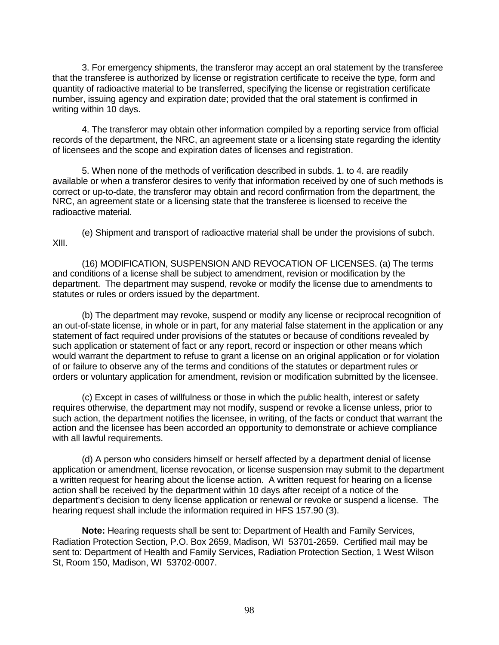3. For emergency shipments, the transferor may accept an oral statement by the transferee that the transferee is authorized by license or registration certificate to receive the type, form and quantity of radioactive material to be transferred, specifying the license or registration certificate number, issuing agency and expiration date; provided that the oral statement is confirmed in writing within 10 days.

4. The transferor may obtain other information compiled by a reporting service from official records of the department, the NRC, an agreement state or a licensing state regarding the identity of licensees and the scope and expiration dates of licenses and registration.

5. When none of the methods of verification described in subds. 1. to 4. are readily available or when a transferor desires to verify that information received by one of such methods is correct or up-to-date, the transferor may obtain and record confirmation from the department, the NRC, an agreement state or a licensing state that the transferee is licensed to receive the radioactive material.

(e) Shipment and transport of radioactive material shall be under the provisions of subch. XIII.

(16) MODIFICATION, SUSPENSION AND REVOCATION OF LICENSES. (a) The terms and conditions of a license shall be subject to amendment, revision or modification by the department. The department may suspend, revoke or modify the license due to amendments to statutes or rules or orders issued by the department.

(b) The department may revoke, suspend or modify any license or reciprocal recognition of an out-of-state license, in whole or in part, for any material false statement in the application or any statement of fact required under provisions of the statutes or because of conditions revealed by such application or statement of fact or any report, record or inspection or other means which would warrant the department to refuse to grant a license on an original application or for violation of or failure to observe any of the terms and conditions of the statutes or department rules or orders or voluntary application for amendment, revision or modification submitted by the licensee.

(c) Except in cases of willfulness or those in which the public health, interest or safety requires otherwise, the department may not modify, suspend or revoke a license unless, prior to such action, the department notifies the licensee, in writing, of the facts or conduct that warrant the action and the licensee has been accorded an opportunity to demonstrate or achieve compliance with all lawful requirements.

(d) A person who considers himself or herself affected by a department denial of license application or amendment, license revocation, or license suspension may submit to the department a written request for hearing about the license action. A written request for hearing on a license action shall be received by the department within 10 days after receipt of a notice of the department's decision to deny license application or renewal or revoke or suspend a license. The hearing request shall include the information required in HFS 157.90 (3).

**Note:** Hearing requests shall be sent to: Department of Health and Family Services, Radiation Protection Section, P.O. Box 2659, Madison, WI 53701-2659. Certified mail may be sent to: Department of Health and Family Services, Radiation Protection Section, 1 West Wilson St, Room 150, Madison, WI 53702-0007.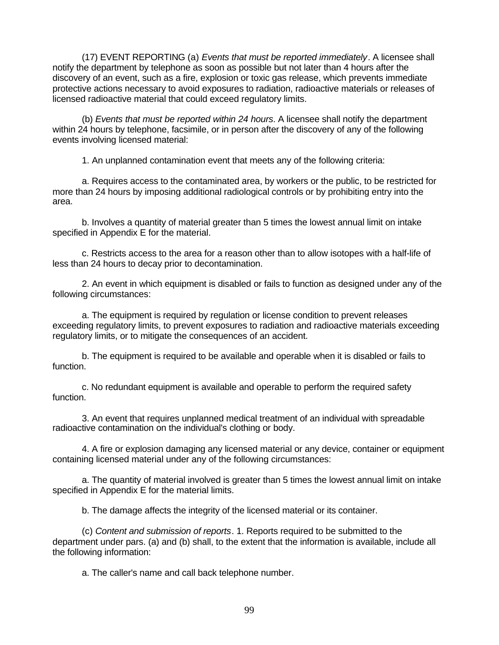(17) EVENT REPORTING (a) *Events that must be reported immediately*. A licensee shall notify the department by telephone as soon as possible but not later than 4 hours after the discovery of an event, such as a fire, explosion or toxic gas release, which prevents immediate protective actions necessary to avoid exposures to radiation, radioactive materials or releases of licensed radioactive material that could exceed regulatory limits.

(b) *Events that must be reported within 24 hours*. A licensee shall notify the department within 24 hours by telephone, facsimile, or in person after the discovery of any of the following events involving licensed material:

1. An unplanned contamination event that meets any of the following criteria:

a. Requires access to the contaminated area, by workers or the public, to be restricted for more than 24 hours by imposing additional radiological controls or by prohibiting entry into the area.

b. Involves a quantity of material greater than 5 times the lowest annual limit on intake specified in Appendix E for the material.

c. Restricts access to the area for a reason other than to allow isotopes with a half-life of less than 24 hours to decay prior to decontamination.

2. An event in which equipment is disabled or fails to function as designed under any of the following circumstances:

a. The equipment is required by regulation or license condition to prevent releases exceeding regulatory limits, to prevent exposures to radiation and radioactive materials exceeding regulatory limits, or to mitigate the consequences of an accident.

b. The equipment is required to be available and operable when it is disabled or fails to function.

c. No redundant equipment is available and operable to perform the required safety function.

3. An event that requires unplanned medical treatment of an individual with spreadable radioactive contamination on the individual's clothing or body.

4. A fire or explosion damaging any licensed material or any device, container or equipment containing licensed material under any of the following circumstances:

a. The quantity of material involved is greater than 5 times the lowest annual limit on intake specified in Appendix E for the material limits.

b. The damage affects the integrity of the licensed material or its container.

(c) *Content and submission of reports*. 1. Reports required to be submitted to the department under pars. (a) and (b) shall, to the extent that the information is available, include all the following information:

a. The caller's name and call back telephone number.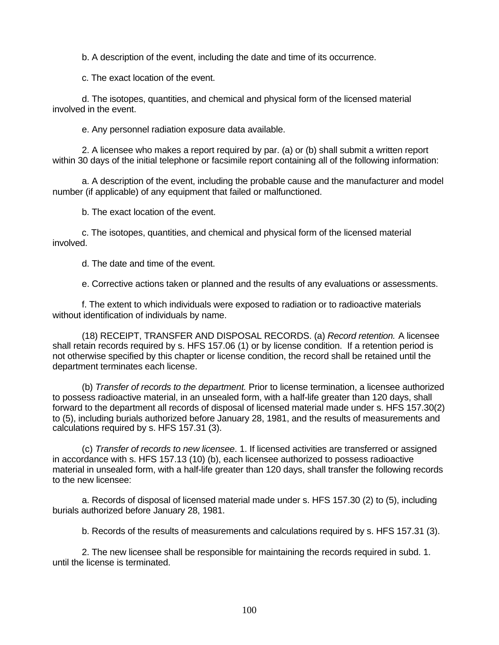b. A description of the event, including the date and time of its occurrence.

c. The exact location of the event.

d. The isotopes, quantities, and chemical and physical form of the licensed material involved in the event.

e. Any personnel radiation exposure data available.

2. A licensee who makes a report required by par. (a) or (b) shall submit a written report within 30 days of the initial telephone or facsimile report containing all of the following information:

a. A description of the event, including the probable cause and the manufacturer and model number (if applicable) of any equipment that failed or malfunctioned.

b. The exact location of the event.

c. The isotopes, quantities, and chemical and physical form of the licensed material involved.

d. The date and time of the event.

e. Corrective actions taken or planned and the results of any evaluations or assessments.

f. The extent to which individuals were exposed to radiation or to radioactive materials without identification of individuals by name.

(18) RECEIPT, TRANSFER AND DISPOSAL RECORDS. (a) *Record retention.* A licensee shall retain records required by s. HFS 157.06 (1) or by license condition. If a retention period is not otherwise specified by this chapter or license condition, the record shall be retained until the department terminates each license.

(b) *Transfer of records to the department.* Prior to license termination, a licensee authorized to possess radioactive material, in an unsealed form, with a half-life greater than 120 days, shall forward to the department all records of disposal of licensed material made under s. HFS 157.30(2) to (5), including burials authorized before January 28, 1981, and the results of measurements and calculations required by s. HFS 157.31 (3).

(c) *Transfer of records to new licensee*. 1. If licensed activities are transferred or assigned in accordance with s. HFS 157.13 (10) (b), each licensee authorized to possess radioactive material in unsealed form, with a half-life greater than 120 days, shall transfer the following records to the new licensee:

a. Records of disposal of licensed material made under s. HFS 157.30 (2) to (5), including burials authorized before January 28, 1981.

b. Records of the results of measurements and calculations required by s. HFS 157.31 (3).

2. The new licensee shall be responsible for maintaining the records required in subd. 1. until the license is terminated.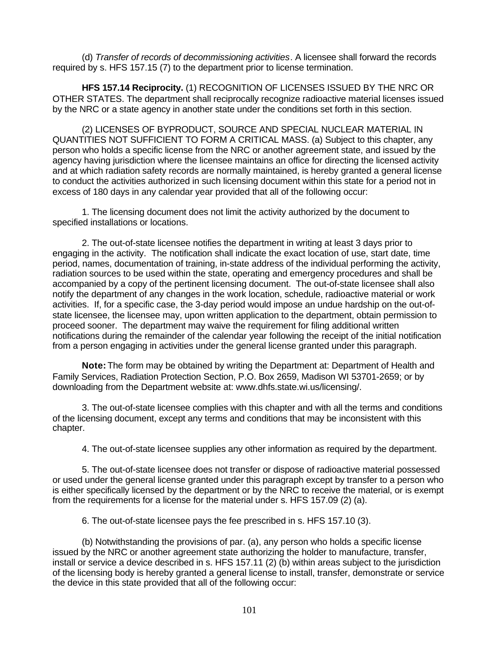(d) *Transfer of records of decommissioning activities*. A licensee shall forward the records required by s. HFS 157.15 (7) to the department prior to license termination.

**HFS 157.14 Reciprocity.** (1) RECOGNITION OF LICENSES ISSUED BY THE NRC OR OTHER STATES. The department shall reciprocally recognize radioactive material licenses issued by the NRC or a state agency in another state under the conditions set forth in this section.

(2) LICENSES OF BYPRODUCT, SOURCE AND SPECIAL NUCLEAR MATERIAL IN QUANTITIES NOT SUFFICIENT TO FORM A CRITICAL MASS. (a) Subject to this chapter, any person who holds a specific license from the NRC or another agreement state, and issued by the agency having jurisdiction where the licensee maintains an office for directing the licensed activity and at which radiation safety records are normally maintained, is hereby granted a general license to conduct the activities authorized in such licensing document within this state for a period not in excess of 180 days in any calendar year provided that all of the following occur:

1. The licensing document does not limit the activity authorized by the document to specified installations or locations.

2. The out-of-state licensee notifies the department in writing at least 3 days prior to engaging in the activity. The notification shall indicate the exact location of use, start date, time period, names, documentation of training, in-state address of the individual performing the activity, radiation sources to be used within the state, operating and emergency procedures and shall be accompanied by a copy of the pertinent licensing document. The out-of-state licensee shall also notify the department of any changes in the work location, schedule, radioactive material or work activities. If, for a specific case, the 3-day period would impose an undue hardship on the out-ofstate licensee, the licensee may, upon written application to the department, obtain permission to proceed sooner. The department may waive the requirement for filing additional written notifications during the remainder of the calendar year following the receipt of the initial notification from a person engaging in activities under the general license granted under this paragraph.

**Note:** The form may be obtained by writing the Department at: Department of Health and Family Services, Radiation Protection Section, P.O. Box 2659, Madison WI 53701-2659; or by downloading from the Department website at: www.dhfs.state.wi.us/licensing/.

3. The out-of-state licensee complies with this chapter and with all the terms and conditions of the licensing document, except any terms and conditions that may be inconsistent with this chapter.

4. The out-of-state licensee supplies any other information as required by the department.

5. The out-of-state licensee does not transfer or dispose of radioactive material possessed or used under the general license granted under this paragraph except by transfer to a person who is either specifically licensed by the department or by the NRC to receive the material, or is exempt from the requirements for a license for the material under s. HFS 157.09 (2) (a).

6. The out-of-state licensee pays the fee prescribed in s. HFS 157.10 (3).

(b) Notwithstanding the provisions of par. (a), any person who holds a specific license issued by the NRC or another agreement state authorizing the holder to manufacture, transfer, install or service a device described in s. HFS 157.11 (2) (b) within areas subject to the jurisdiction of the licensing body is hereby granted a general license to install, transfer, demonstrate or service the device in this state provided that all of the following occur: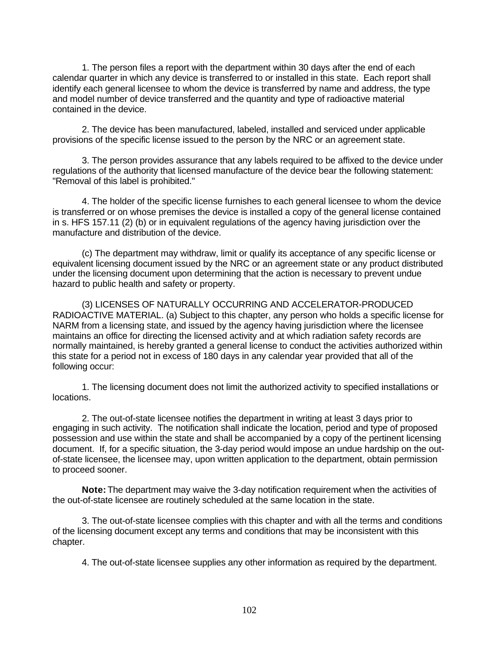1. The person files a report with the department within 30 days after the end of each calendar quarter in which any device is transferred to or installed in this state. Each report shall identify each general licensee to whom the device is transferred by name and address, the type and model number of device transferred and the quantity and type of radioactive material contained in the device.

2. The device has been manufactured, labeled, installed and serviced under applicable provisions of the specific license issued to the person by the NRC or an agreement state.

3. The person provides assurance that any labels required to be affixed to the device under regulations of the authority that licensed manufacture of the device bear the following statement: "Removal of this label is prohibited."

4. The holder of the specific license furnishes to each general licensee to whom the device is transferred or on whose premises the device is installed a copy of the general license contained in s. HFS 157.11 (2) (b) or in equivalent regulations of the agency having jurisdiction over the manufacture and distribution of the device.

(c) The department may withdraw, limit or qualify its acceptance of any specific license or equivalent licensing document issued by the NRC or an agreement state or any product distributed under the licensing document upon determining that the action is necessary to prevent undue hazard to public health and safety or property.

(3) LICENSES OF NATURALLY OCCURRING AND ACCELERATOR-PRODUCED RADIOACTIVE MATERIAL. (a) Subject to this chapter, any person who holds a specific license for NARM from a licensing state, and issued by the agency having jurisdiction where the licensee maintains an office for directing the licensed activity and at which radiation safety records are normally maintained, is hereby granted a general license to conduct the activities authorized within this state for a period not in excess of 180 days in any calendar year provided that all of the following occur:

1. The licensing document does not limit the authorized activity to specified installations or locations.

2. The out-of-state licensee notifies the department in writing at least 3 days prior to engaging in such activity. The notification shall indicate the location, period and type of proposed possession and use within the state and shall be accompanied by a copy of the pertinent licensing document. If, for a specific situation, the 3-day period would impose an undue hardship on the outof-state licensee, the licensee may, upon written application to the department, obtain permission to proceed sooner.

**Note:** The department may waive the 3-day notification requirement when the activities of the out-of-state licensee are routinely scheduled at the same location in the state.

3. The out-of-state licensee complies with this chapter and with all the terms and conditions of the licensing document except any terms and conditions that may be inconsistent with this chapter.

4. The out-of-state licensee supplies any other information as required by the department.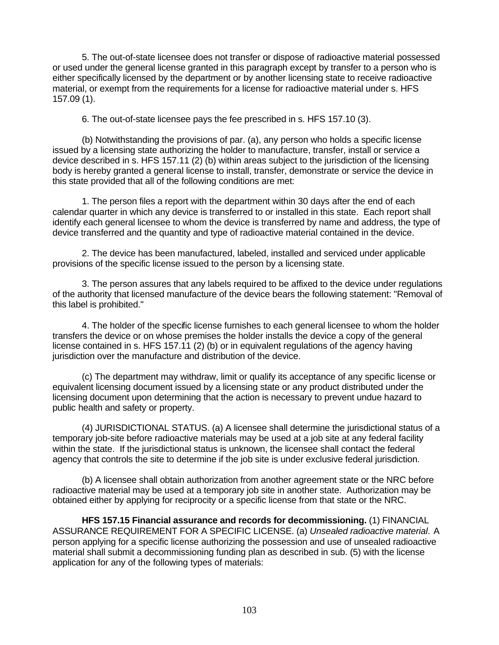5. The out-of-state licensee does not transfer or dispose of radioactive material possessed or used under the general license granted in this paragraph except by transfer to a person who is either specifically licensed by the department or by another licensing state to receive radioactive material, or exempt from the requirements for a license for radioactive material under s. HFS 157.09 (1).

6. The out-of-state licensee pays the fee prescribed in s. HFS 157.10 (3).

(b) Notwithstanding the provisions of par. (a), any person who holds a specific license issued by a licensing state authorizing the holder to manufacture, transfer, install or service a device described in s. HFS 157.11 (2) (b) within areas subject to the jurisdiction of the licensing body is hereby granted a general license to install, transfer, demonstrate or service the device in this state provided that all of the following conditions are met:

1. The person files a report with the department within 30 days after the end of each calendar quarter in which any device is transferred to or installed in this state. Each report shall identify each general licensee to whom the device is transferred by name and address, the type of device transferred and the quantity and type of radioactive material contained in the device.

2. The device has been manufactured, labeled, installed and serviced under applicable provisions of the specific license issued to the person by a licensing state.

3. The person assures that any labels required to be affixed to the device under regulations of the authority that licensed manufacture of the device bears the following statement: "Removal of this label is prohibited."

4. The holder of the specific license furnishes to each general licensee to whom the holder transfers the device or on whose premises the holder installs the device a copy of the general license contained in s. HFS 157.11 (2) (b) or in equivalent regulations of the agency having jurisdiction over the manufacture and distribution of the device.

(c) The department may withdraw, limit or qualify its acceptance of any specific license or equivalent licensing document issued by a licensing state or any product distributed under the licensing document upon determining that the action is necessary to prevent undue hazard to public health and safety or property.

(4) JURISDICTIONAL STATUS. (a) A licensee shall determine the jurisdictional status of a temporary job-site before radioactive materials may be used at a job site at any federal facility within the state. If the jurisdictional status is unknown, the licensee shall contact the federal agency that controls the site to determine if the job site is under exclusive federal jurisdiction.

(b) A licensee shall obtain authorization from another agreement state or the NRC before radioactive material may be used at a temporary job site in another state. Authorization may be obtained either by applying for reciprocity or a specific license from that state or the NRC.

**HFS 157.15 Financial assurance and records for decommissioning.** (1) FINANCIAL ASSURANCE REQUIREMENT FOR A SPECIFIC LICENSE. (a) *Unsealed radioactive material*. A person applying for a specific license authorizing the possession and use of unsealed radioactive material shall submit a decommissioning funding plan as described in sub. (5) with the license application for any of the following types of materials: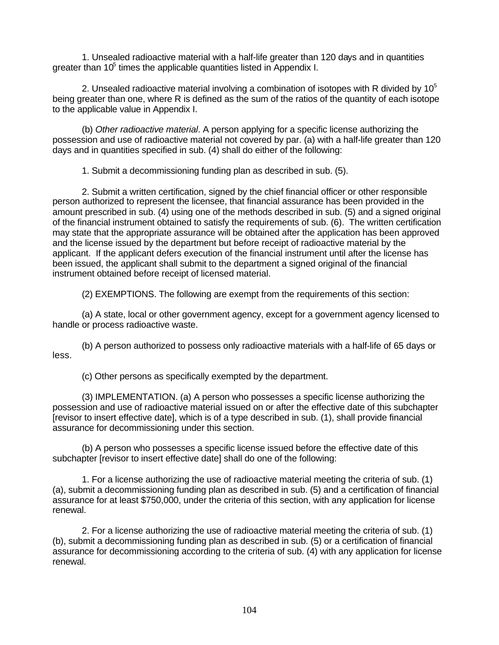1. Unsealed radioactive material with a half-life greater than 120 days and in quantities greater than  $10<sup>5</sup>$  times the applicable quantities listed in Appendix I.

2. Unsealed radioactive material involving a combination of isotopes with R divided by  $10^{\circ}$ being greater than one, where R is defined as the sum of the ratios of the quantity of each isotope to the applicable value in Appendix I.

(b) *Other radioactive material*. A person applying for a specific license authorizing the possession and use of radioactive material not covered by par. (a) with a half-life greater than 120 days and in quantities specified in sub. (4) shall do either of the following:

1. Submit a decommissioning funding plan as described in sub. (5).

2. Submit a written certification, signed by the chief financial officer or other responsible person authorized to represent the licensee, that financial assurance has been provided in the amount prescribed in sub. (4) using one of the methods described in sub. (5) and a signed original of the financial instrument obtained to satisfy the requirements of sub. (6). The written certification may state that the appropriate assurance will be obtained after the application has been approved and the license issued by the department but before receipt of radioactive material by the applicant. If the applicant defers execution of the financial instrument until after the license has been issued, the applicant shall submit to the department a signed original of the financial instrument obtained before receipt of licensed material.

(2) EXEMPTIONS. The following are exempt from the requirements of this section:

(a) A state, local or other government agency, except for a government agency licensed to handle or process radioactive waste.

(b) A person authorized to possess only radioactive materials with a half-life of 65 days or less.

(c) Other persons as specifically exempted by the department.

(3) IMPLEMENTATION. (a) A person who possesses a specific license authorizing the possession and use of radioactive material issued on or after the effective date of this subchapter [revisor to insert effective date], which is of a type described in sub. (1), shall provide financial assurance for decommissioning under this section.

(b) A person who possesses a specific license issued before the effective date of this subchapter [revisor to insert effective date] shall do one of the following:

1. For a license authorizing the use of radioactive material meeting the criteria of sub. (1) (a), submit a decommissioning funding plan as described in sub. (5) and a certification of financial assurance for at least \$750,000, under the criteria of this section, with any application for license renewal.

2. For a license authorizing the use of radioactive material meeting the criteria of sub. (1) (b), submit a decommissioning funding plan as described in sub. (5) or a certification of financial assurance for decommissioning according to the criteria of sub. (4) with any application for license renewal.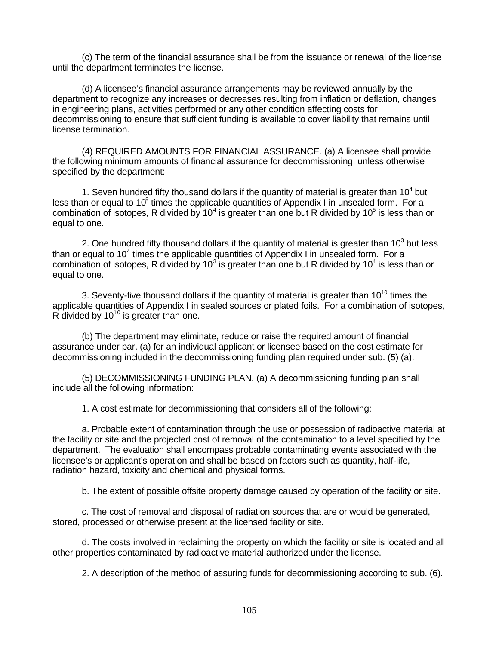(c) The term of the financial assurance shall be from the issuance or renewal of the license until the department terminates the license.

(d) A licensee's financial assurance arrangements may be reviewed annually by the department to recognize any increases or decreases resulting from inflation or deflation, changes in engineering plans, activities performed or any other condition affecting costs for decommissioning to ensure that sufficient funding is available to cover liability that remains until license termination.

(4) REQUIRED AMOUNTS FOR FINANCIAL ASSURANCE. (a) A licensee shall provide the following minimum amounts of financial assurance for decommissioning, unless otherwise specified by the department:

1. Seven hundred fifty thousand dollars if the quantity of material is greater than  $10^4$  but less than or equal to 10 $5$  times the applicable quantities of Appendix I in unsealed form. For a combination of isotopes, R divided by 10<sup>4</sup> is greater than one but R divided by 10<sup>5</sup> is less than or equal to one.

2. One hundred fifty thousand dollars if the quantity of material is greater than 10<sup>3</sup> but less than or equal to 10<sup>4</sup> times the applicable quantities of Appendix I in unsealed form. For a combination of isotopes, R divided by 10<sup>3</sup> is greater than one but R divided by 10<sup>4</sup> is less than or equal to one.

3. Seventy-five thousand dollars if the quantity of material is greater than  $10^{10}$  times the applicable quantities of Appendix I in sealed sources or plated foils. For a combination of isotopes, R divided by  $10^{10}$  is greater than one.

(b) The department may eliminate, reduce or raise the required amount of financial assurance under par. (a) for an individual applicant or licensee based on the cost estimate for decommissioning included in the decommissioning funding plan required under sub. (5) (a).

(5) DECOMMISSIONING FUNDING PLAN. (a) A decommissioning funding plan shall include all the following information:

1. A cost estimate for decommissioning that considers all of the following:

a. Probable extent of contamination through the use or possession of radioactive material at the facility or site and the projected cost of removal of the contamination to a level specified by the department. The evaluation shall encompass probable contaminating events associated with the licensee's or applicant's operation and shall be based on factors such as quantity, half-life, radiation hazard, toxicity and chemical and physical forms.

b. The extent of possible offsite property damage caused by operation of the facility or site.

c. The cost of removal and disposal of radiation sources that are or would be generated, stored, processed or otherwise present at the licensed facility or site.

d. The costs involved in reclaiming the property on which the facility or site is located and all other properties contaminated by radioactive material authorized under the license.

2. A description of the method of assuring funds for decommissioning according to sub. (6).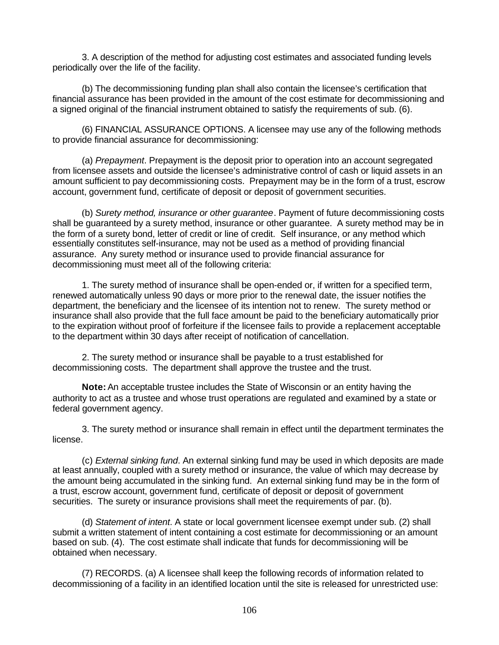3. A description of the method for adjusting cost estimates and associated funding levels periodically over the life of the facility.

(b) The decommissioning funding plan shall also contain the licensee's certification that financial assurance has been provided in the amount of the cost estimate for decommissioning and a signed original of the financial instrument obtained to satisfy the requirements of sub. (6).

(6) FINANCIAL ASSURANCE OPTIONS. A licensee may use any of the following methods to provide financial assurance for decommissioning:

(a) *Prepayment*. Prepayment is the deposit prior to operation into an account segregated from licensee assets and outside the licensee's administrative control of cash or liquid assets in an amount sufficient to pay decommissioning costs. Prepayment may be in the form of a trust, escrow account, government fund, certificate of deposit or deposit of government securities.

(b) *Surety method, insurance or other guarantee*. Payment of future decommissioning costs shall be guaranteed by a surety method, insurance or other guarantee. A surety method may be in the form of a surety bond, letter of credit or line of credit. Self insurance, or any method which essentially constitutes self-insurance, may not be used as a method of providing financial assurance. Any surety method or insurance used to provide financial assurance for decommissioning must meet all of the following criteria:

1. The surety method of insurance shall be open-ended or, if written for a specified term, renewed automatically unless 90 days or more prior to the renewal date, the issuer notifies the department, the beneficiary and the licensee of its intention not to renew. The surety method or insurance shall also provide that the full face amount be paid to the beneficiary automatically prior to the expiration without proof of forfeiture if the licensee fails to provide a replacement acceptable to the department within 30 days after receipt of notification of cancellation.

2. The surety method or insurance shall be payable to a trust established for decommissioning costs. The department shall approve the trustee and the trust.

**Note:** An acceptable trustee includes the State of Wisconsin or an entity having the authority to act as a trustee and whose trust operations are regulated and examined by a state or federal government agency.

3. The surety method or insurance shall remain in effect until the department terminates the license.

(c) *External sinking fund*. An external sinking fund may be used in which deposits are made at least annually, coupled with a surety method or insurance, the value of which may decrease by the amount being accumulated in the sinking fund. An external sinking fund may be in the form of a trust, escrow account, government fund, certificate of deposit or deposit of government securities. The surety or insurance provisions shall meet the requirements of par. (b).

(d) *Statement of intent*. A state or local government licensee exempt under sub. (2) shall submit a written statement of intent containing a cost estimate for decommissioning or an amount based on sub. (4). The cost estimate shall indicate that funds for decommissioning will be obtained when necessary.

(7) RECORDS. (a) A licensee shall keep the following records of information related to decommissioning of a facility in an identified location until the site is released for unrestricted use: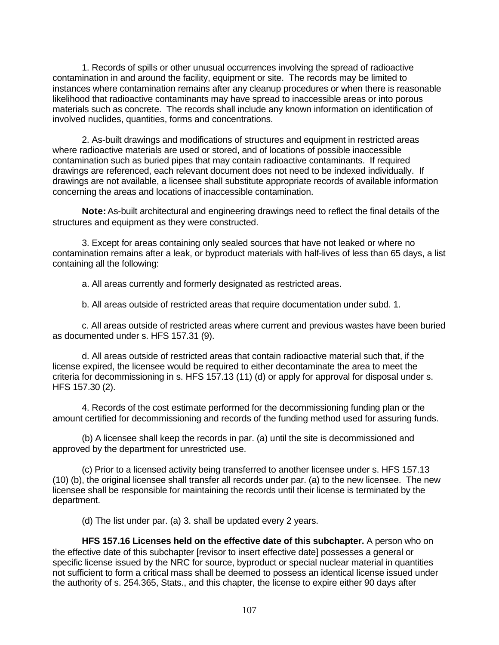1. Records of spills or other unusual occurrences involving the spread of radioactive contamination in and around the facility, equipment or site. The records may be limited to instances where contamination remains after any cleanup procedures or when there is reasonable likelihood that radioactive contaminants may have spread to inaccessible areas or into porous materials such as concrete. The records shall include any known information on identification of involved nuclides, quantities, forms and concentrations.

2. As-built drawings and modifications of structures and equipment in restricted areas where radioactive materials are used or stored, and of locations of possible inaccessible contamination such as buried pipes that may contain radioactive contaminants. If required drawings are referenced, each relevant document does not need to be indexed individually. If drawings are not available, a licensee shall substitute appropriate records of available information concerning the areas and locations of inaccessible contamination.

**Note:** As-built architectural and engineering drawings need to reflect the final details of the structures and equipment as they were constructed.

3. Except for areas containing only sealed sources that have not leaked or where no contamination remains after a leak, or byproduct materials with half-lives of less than 65 days, a list containing all the following:

a. All areas currently and formerly designated as restricted areas.

b. All areas outside of restricted areas that require documentation under subd. 1.

c. All areas outside of restricted areas where current and previous wastes have been buried as documented under s. HFS 157.31 (9).

d. All areas outside of restricted areas that contain radioactive material such that, if the license expired, the licensee would be required to either decontaminate the area to meet the criteria for decommissioning in s. HFS 157.13 (11) (d) or apply for approval for disposal under s. HFS 157.30 (2).

4. Records of the cost estimate performed for the decommissioning funding plan or the amount certified for decommissioning and records of the funding method used for assuring funds.

(b) A licensee shall keep the records in par. (a) until the site is decommissioned and approved by the department for unrestricted use.

(c) Prior to a licensed activity being transferred to another licensee under s. HFS 157.13 (10) (b), the original licensee shall transfer all records under par. (a) to the new licensee. The new licensee shall be responsible for maintaining the records until their license is terminated by the department.

(d) The list under par. (a) 3. shall be updated every 2 years.

**HFS 157.16 Licenses held on the effective date of this subchapter.** A person who on the effective date of this subchapter [revisor to insert effective date] possesses a general or specific license issued by the NRC for source, byproduct or special nuclear material in quantities not sufficient to form a critical mass shall be deemed to possess an identical license issued under the authority of s. 254.365, Stats., and this chapter, the license to expire either 90 days after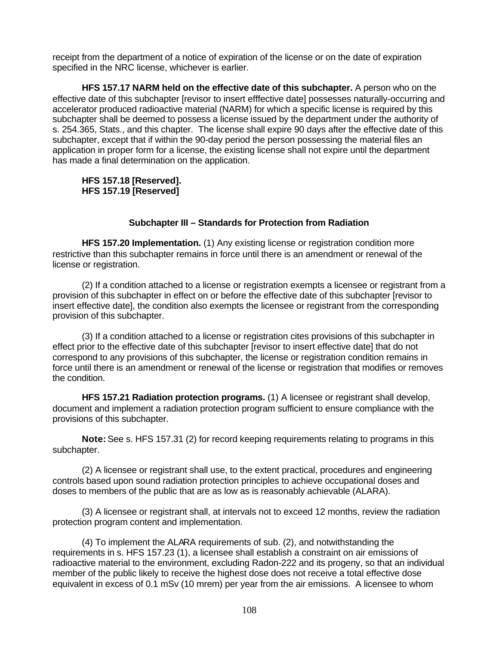receipt from the department of a notice of expiration of the license or on the date of expiration specified in the NRC license, whichever is earlier.

**HFS 157.17 NARM held on the effective date of this subchapter.** A person who on the effective date of this subchapter [revisor to insert efffective date] possesses naturally-occurring and accelerator produced radioactive material (NARM) for which a specific license is required by this subchapter shall be deemed to possess a license issued by the department under the authority of s. 254.365, Stats., and this chapter. The license shall expire 90 days after the effective date of this subchapter, except that if within the 90-day period the person possessing the material files an application in proper form for a license, the existing license shall not expire until the department has made a final determination on the application.

# **HFS 157.18 [Reserved]. HFS 157.19 [Reserved]**

# **Subchapter III – Standards for Protection from Radiation**

**HFS 157.20 Implementation.** (1) Any existing license or registration condition more restrictive than this subchapter remains in force until there is an amendment or renewal of the license or registration.

(2) If a condition attached to a license or registration exempts a licensee or registrant from a provision of this subchapter in effect on or before the effective date of this subchapter [revisor to insert effective date], the condition also exempts the licensee or registrant from the corresponding provision of this subchapter.

(3) If a condition attached to a license or registration cites provisions of this subchapter in effect prior to the effective date of this subchapter [revisor to insert effective date] that do not correspond to any provisions of this subchapter, the license or registration condition remains in force until there is an amendment or renewal of the license or registration that modifies or removes the condition.

**HFS 157.21 Radiation protection programs.** (1) A licensee or registrant shall develop, document and implement a radiation protection program sufficient to ensure compliance with the provisions of this subchapter.

**Note:** See s. HFS 157.31 (2) for record keeping requirements relating to programs in this subchapter.

(2) A licensee or registrant shall use, to the extent practical, procedures and engineering controls based upon sound radiation protection principles to achieve occupational doses and doses to members of the public that are as low as is reasonably achievable (ALARA).

(3) A licensee or registrant shall, at intervals not to exceed 12 months, review the radiation protection program content and implementation.

(4) To implement the ALARA requirements of sub. (2), and notwithstanding the requirements in s. HFS 157.23 (1), a licensee shall establish a constraint on air emissions of radioactive material to the environment, excluding Radon-222 and its progeny, so that an individual member of the public likely to receive the highest dose does not receive a total effective dose equivalent in excess of 0.1 mSv (10 mrem) per year from the air emissions. A licensee to whom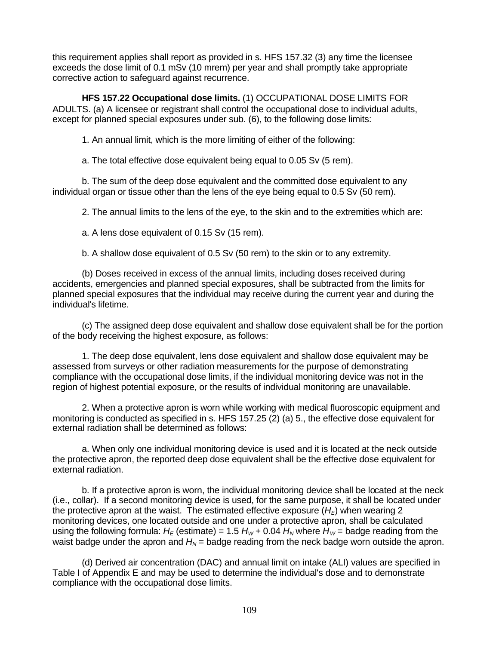this requirement applies shall report as provided in s. HFS 157.32 (3) any time the licensee exceeds the dose limit of 0.1 mSv (10 mrem) per year and shall promptly take appropriate corrective action to safeguard against recurrence.

**HFS 157.22 Occupational dose limits.** (1) OCCUPATIONAL DOSE LIMITS FOR ADULTS. (a) A licensee or registrant shall control the occupational dose to individual adults, except for planned special exposures under sub. (6), to the following dose limits:

1. An annual limit, which is the more limiting of either of the following:

a. The total effective dose equivalent being equal to 0.05 Sv (5 rem).

b. The sum of the deep dose equivalent and the committed dose equivalent to any individual organ or tissue other than the lens of the eye being equal to 0.5 Sv (50 rem).

2. The annual limits to the lens of the eye, to the skin and to the extremities which are:

a. A lens dose equivalent of 0.15 Sv (15 rem).

b. A shallow dose equivalent of 0.5 Sv (50 rem) to the skin or to any extremity.

(b) Doses received in excess of the annual limits, including doses received during accidents, emergencies and planned special exposures, shall be subtracted from the limits for planned special exposures that the individual may receive during the current year and during the individual's lifetime.

(c) The assigned deep dose equivalent and shallow dose equivalent shall be for the portion of the body receiving the highest exposure, as follows:

1. The deep dose equivalent, lens dose equivalent and shallow dose equivalent may be assessed from surveys or other radiation measurements for the purpose of demonstrating compliance with the occupational dose limits, if the individual monitoring device was not in the region of highest potential exposure, or the results of individual monitoring are unavailable.

2. When a protective apron is worn while working with medical fluoroscopic equipment and monitoring is conducted as specified in s. HFS 157.25 (2) (a) 5., the effective dose equivalent for external radiation shall be determined as follows:

a. When only one individual monitoring device is used and it is located at the neck outside the protective apron, the reported deep dose equivalent shall be the effective dose equivalent for external radiation.

b. If a protective apron is worn, the individual monitoring device shall be located at the neck (i.e., collar). If a second monitoring device is used, for the same purpose, it shall be located under the protective apron at the waist. The estimated effective exposure  $(H_F)$  when wearing 2 monitoring devices, one located outside and one under a protective apron, shall be calculated using the following formula:  $H_E$  (estimate) = 1.5  $H_W$  + 0.04  $H_N$  where  $H_W$  = badge reading from the waist badge under the apron and  $H_N$  = badge reading from the neck badge worn outside the apron.

(d) Derived air concentration (DAC) and annual limit on intake (ALI) values are specified in Table I of Appendix E and may be used to determine the individual's dose and to demonstrate compliance with the occupational dose limits.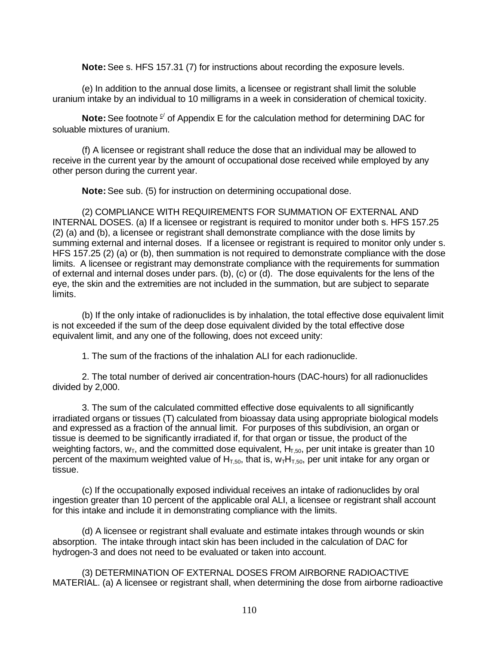**Note:** See s. HFS 157.31 (7) for instructions about recording the exposure levels.

(e) In addition to the annual dose limits, a licensee or registrant shall limit the soluble uranium intake by an individual to 10 milligrams in a week in consideration of chemical toxicity.

**Note:** See footnote <sup>c/</sup> of Appendix E for the calculation method for determining DAC for soluable mixtures of uranium.

(f) A licensee or registrant shall reduce the dose that an individual may be allowed to receive in the current year by the amount of occupational dose received while employed by any other person during the current year.

**Note:** See sub. (5) for instruction on determining occupational dose.

(2) COMPLIANCE WITH REQUIREMENTS FOR SUMMATION OF EXTERNAL AND INTERNAL DOSES. (a) If a licensee or registrant is required to monitor under both s. HFS 157.25 (2) (a) and (b), a licensee or registrant shall demonstrate compliance with the dose limits by summing external and internal doses. If a licensee or registrant is required to monitor only under s. HFS 157.25 (2) (a) or (b), then summation is not required to demonstrate compliance with the dose limits. A licensee or registrant may demonstrate compliance with the requirements for summation of external and internal doses under pars. (b), (c) or (d). The dose equivalents for the lens of the eye, the skin and the extremities are not included in the summation, but are subject to separate limits.

(b) If the only intake of radionuclides is by inhalation, the total effective dose equivalent limit is not exceeded if the sum of the deep dose equivalent divided by the total effective dose equivalent limit, and any one of the following, does not exceed unity:

1. The sum of the fractions of the inhalation ALI for each radionuclide.

2. The total number of derived air concentration-hours (DAC-hours) for all radionuclides divided by 2,000.

3. The sum of the calculated committed effective dose equivalents to all significantly irradiated organs or tissues (T) calculated from bioassay data using appropriate biological models and expressed as a fraction of the annual limit. For purposes of this subdivision, an organ or tissue is deemed to be significantly irradiated if, for that organ or tissue, the product of the weighting factors,  $W_T$ , and the committed dose equivalent,  $H_{T,50}$ , per unit intake is greater than 10 percent of the maximum weighted value of  $H<sub>T.50</sub>$ , that is,  $W<sub>T</sub>H<sub>T.50</sub>$ , per unit intake for any organ or tissue.

(c) If the occupationally exposed individual receives an intake of radionuclides by oral ingestion greater than 10 percent of the applicable oral ALI, a licensee or registrant shall account for this intake and include it in demonstrating compliance with the limits.

(d) A licensee or registrant shall evaluate and estimate intakes through wounds or skin absorption. The intake through intact skin has been included in the calculation of DAC for hydrogen-3 and does not need to be evaluated or taken into account.

(3) DETERMINATION OF EXTERNAL DOSES FROM AIRBORNE RADIOACTIVE MATERIAL. (a) A licensee or registrant shall, when determining the dose from airborne radioactive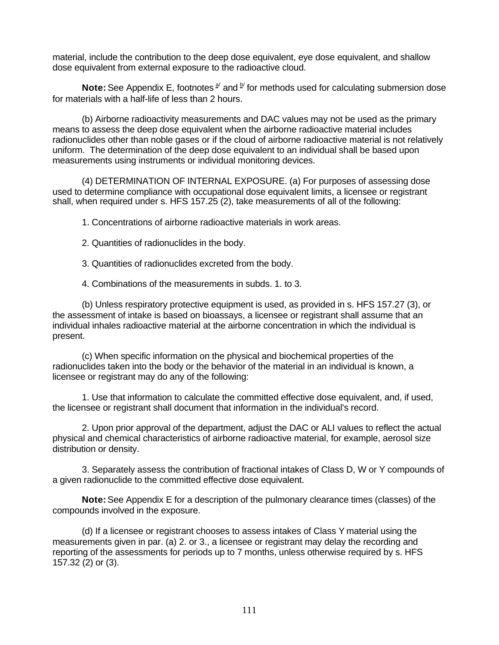material, include the contribution to the deep dose equivalent, eye dose equivalent, and shallow dose equivalent from external exposure to the radioactive cloud.

**Note:** See Appendix E, footnotes  $a^j$  and  $b^j$  for methods used for calculating submersion dose for materials with a half-life of less than 2 hours.

(b) Airborne radioactivity measurements and DAC values may not be used as the primary means to assess the deep dose equivalent when the airborne radioactive material includes radionuclides other than noble gases or if the cloud of airborne radioactive material is not relatively uniform. The determination of the deep dose equivalent to an individual shall be based upon measurements using instruments or individual monitoring devices.

(4) DETERMINATION OF INTERNAL EXPOSURE. (a) For purposes of assessing dose used to determine compliance with occupational dose equivalent limits, a licensee or registrant shall, when required under s. HFS 157.25 (2), take measurements of all of the following:

1. Concentrations of airborne radioactive materials in work areas.

2. Quantities of radionuclides in the body.

3. Quantities of radionuclides excreted from the body.

4. Combinations of the measurements in subds. 1. to 3.

(b) Unless respiratory protective equipment is used, as provided in s. HFS 157.27 (3), or the assessment of intake is based on bioassays, a licensee or registrant shall assume that an individual inhales radioactive material at the airborne concentration in which the individual is present.

(c) When specific information on the physical and biochemical properties of the radionuclides taken into the body or the behavior of the material in an individual is known, a licensee or registrant may do any of the following:

1. Use that information to calculate the committed effective dose equivalent, and, if used, the licensee or registrant shall document that information in the individual's record.

2. Upon prior approval of the department, adjust the DAC or ALI values to reflect the actual physical and chemical characteristics of airborne radioactive material, for example, aerosol size distribution or density.

3. Separately assess the contribution of fractional intakes of Class D, W or Y compounds of a given radionuclide to the committed effective dose equivalent.

**Note:** See Appendix E for a description of the pulmonary clearance times (classes) of the compounds involved in the exposure.

(d) If a licensee or registrant chooses to assess intakes of Class Y material using the measurements given in par. (a) 2. or 3., a licensee or registrant may delay the recording and reporting of the assessments for periods up to 7 months, unless otherwise required by s. HFS 157.32 (2) or (3).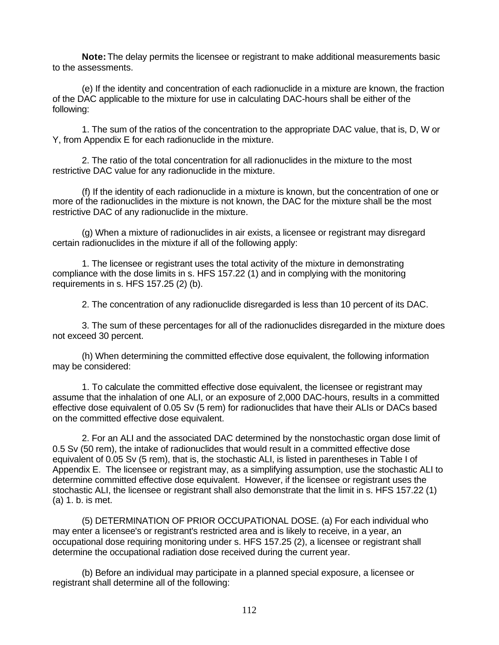**Note:** The delay permits the licensee or registrant to make additional measurements basic to the assessments.

(e) If the identity and concentration of each radionuclide in a mixture are known, the fraction of the DAC applicable to the mixture for use in calculating DAC-hours shall be either of the following:

1. The sum of the ratios of the concentration to the appropriate DAC value, that is, D, W or Y, from Appendix E for each radionuclide in the mixture.

2. The ratio of the total concentration for all radionuclides in the mixture to the most restrictive DAC value for any radionuclide in the mixture.

(f) If the identity of each radionuclide in a mixture is known, but the concentration of one or more of the radionuclides in the mixture is not known, the DAC for the mixture shall be the most restrictive DAC of any radionuclide in the mixture.

(g) When a mixture of radionuclides in air exists, a licensee or registrant may disregard certain radionuclides in the mixture if all of the following apply:

1. The licensee or registrant uses the total activity of the mixture in demonstrating compliance with the dose limits in s. HFS 157.22 (1) and in complying with the monitoring requirements in s. HFS 157.25 (2) (b).

2. The concentration of any radionuclide disregarded is less than 10 percent of its DAC.

3. The sum of these percentages for all of the radionuclides disregarded in the mixture does not exceed 30 percent.

(h) When determining the committed effective dose equivalent, the following information may be considered:

1. To calculate the committed effective dose equivalent, the licensee or registrant may assume that the inhalation of one ALI, or an exposure of 2,000 DAC-hours, results in a committed effective dose equivalent of 0.05 Sv (5 rem) for radionuclides that have their ALIs or DACs based on the committed effective dose equivalent.

2. For an ALI and the associated DAC determined by the nonstochastic organ dose limit of 0.5 Sv (50 rem), the intake of radionuclides that would result in a committed effective dose equivalent of 0.05 Sv (5 rem), that is, the stochastic ALI, is listed in parentheses in Table I of Appendix E. The licensee or registrant may, as a simplifying assumption, use the stochastic ALI to determine committed effective dose equivalent. However, if the licensee or registrant uses the stochastic ALI, the licensee or registrant shall also demonstrate that the limit in s. HFS 157.22 (1) (a) 1. b. is met.

(5) DETERMINATION OF PRIOR OCCUPATIONAL DOSE. (a) For each individual who may enter a licensee's or registrant's restricted area and is likely to receive, in a year, an occupational dose requiring monitoring under s. HFS 157.25 (2), a licensee or registrant shall determine the occupational radiation dose received during the current year.

(b) Before an individual may participate in a planned special exposure, a licensee or registrant shall determine all of the following: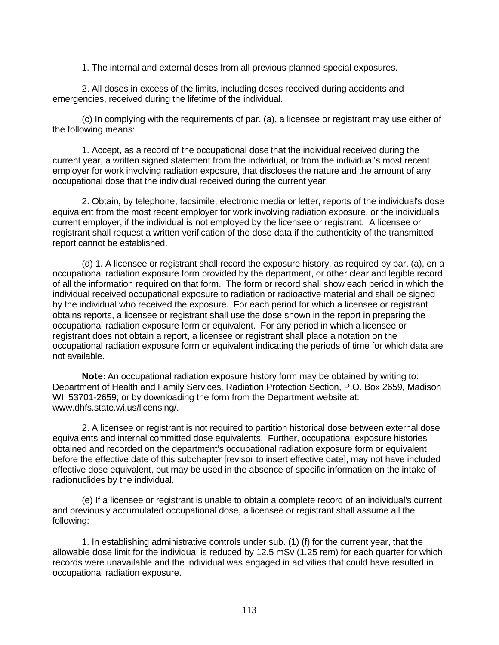1. The internal and external doses from all previous planned special exposures.

2. All doses in excess of the limits, including doses received during accidents and emergencies, received during the lifetime of the individual.

(c) In complying with the requirements of par. (a), a licensee or registrant may use either of the following means:

1. Accept, as a record of the occupational dose that the individual received during the current year, a written signed statement from the individual, or from the individual's most recent employer for work involving radiation exposure, that discloses the nature and the amount of any occupational dose that the individual received during the current year.

2. Obtain, by telephone, facsimile, electronic media or letter, reports of the individual's dose equivalent from the most recent employer for work involving radiation exposure, or the individual's current employer, if the individual is not employed by the licensee or registrant. A licensee or registrant shall request a written verification of the dose data if the authenticity of the transmitted report cannot be established.

(d) 1. A licensee or registrant shall record the exposure history, as required by par. (a), on a occupational radiation exposure form provided by the department, or other clear and legible record of all the information required on that form. The form or record shall show each period in which the individual received occupational exposure to radiation or radioactive material and shall be signed by the individual who received the exposure. For each period for which a licensee or registrant obtains reports, a licensee or registrant shall use the dose shown in the report in preparing the occupational radiation exposure form or equivalent. For any period in which a licensee or registrant does not obtain a report, a licensee or registrant shall place a notation on the occupational radiation exposure form or equivalent indicating the periods of time for which data are not available.

**Note:** An occupational radiation exposure history form may be obtained by writing to: Department of Health and Family Services, Radiation Protection Section, P.O. Box 2659, Madison WI 53701-2659; or by downloading the form from the Department website at: www.dhfs.state.wi.us/licensing/.

2. A licensee or registrant is not required to partition historical dose between external dose equivalents and internal committed dose equivalents. Further, occupational exposure histories obtained and recorded on the department's occupational radiation exposure form or equivalent before the effective date of this subchapter [revisor to insert effective date], may not have included effective dose equivalent, but may be used in the absence of specific information on the intake of radionuclides by the individual.

(e) If a licensee or registrant is unable to obtain a complete record of an individual's current and previously accumulated occupational dose, a licensee or registrant shall assume all the following:

1. In establishing administrative controls under sub. (1) (f) for the current year, that the allowable dose limit for the individual is reduced by 12.5 mSv (1.25 rem) for each quarter for which records were unavailable and the individual was engaged in activities that could have resulted in occupational radiation exposure.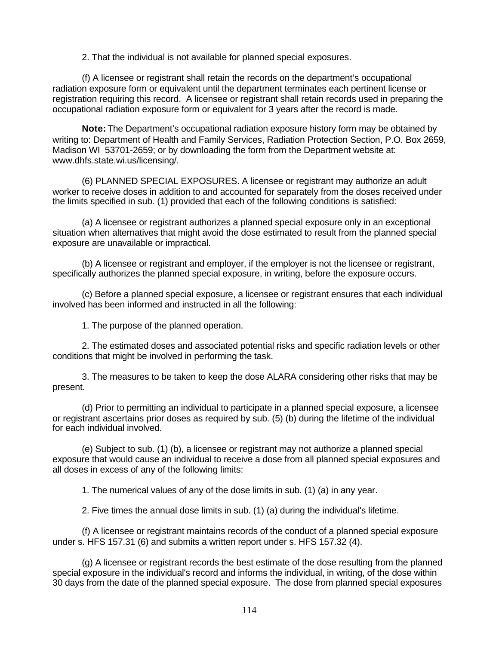2. That the individual is not available for planned special exposures.

(f) A licensee or registrant shall retain the records on the department's occupational radiation exposure form or equivalent until the department terminates each pertinent license or registration requiring this record. A licensee or registrant shall retain records used in preparing the occupational radiation exposure form or equivalent for 3 years after the record is made.

**Note:** The Department's occupational radiation exposure history form may be obtained by writing to: Department of Health and Family Services, Radiation Protection Section, P.O. Box 2659, Madison WI 53701-2659; or by downloading the form from the Department website at: www.dhfs.state.wi.us/licensing/.

(6) PLANNED SPECIAL EXPOSURES. A licensee or registrant may authorize an adult worker to receive doses in addition to and accounted for separately from the doses received under the limits specified in sub. (1) provided that each of the following conditions is satisfied:

(a) A licensee or registrant authorizes a planned special exposure only in an exceptional situation when alternatives that might avoid the dose estimated to result from the planned special exposure are unavailable or impractical.

(b) A licensee or registrant and employer, if the employer is not the licensee or registrant, specifically authorizes the planned special exposure, in writing, before the exposure occurs.

(c) Before a planned special exposure, a licensee or registrant ensures that each individual involved has been informed and instructed in all the following:

1. The purpose of the planned operation.

2. The estimated doses and associated potential risks and specific radiation levels or other conditions that might be involved in performing the task.

3. The measures to be taken to keep the dose ALARA considering other risks that may be present.

(d) Prior to permitting an individual to participate in a planned special exposure, a licensee or registrant ascertains prior doses as required by sub. (5) (b) during the lifetime of the individual for each individual involved.

(e) Subject to sub. (1) (b), a licensee or registrant may not authorize a planned special exposure that would cause an individual to receive a dose from all planned special exposures and all doses in excess of any of the following limits:

1. The numerical values of any of the dose limits in sub. (1) (a) in any year.

2. Five times the annual dose limits in sub. (1) (a) during the individual's lifetime.

(f) A licensee or registrant maintains records of the conduct of a planned special exposure under s. HFS 157.31 (6) and submits a written report under s. HFS 157.32 (4).

(g) A licensee or registrant records the best estimate of the dose resulting from the planned special exposure in the individual's record and informs the individual, in writing, of the dose within 30 days from the date of the planned special exposure. The dose from planned special exposures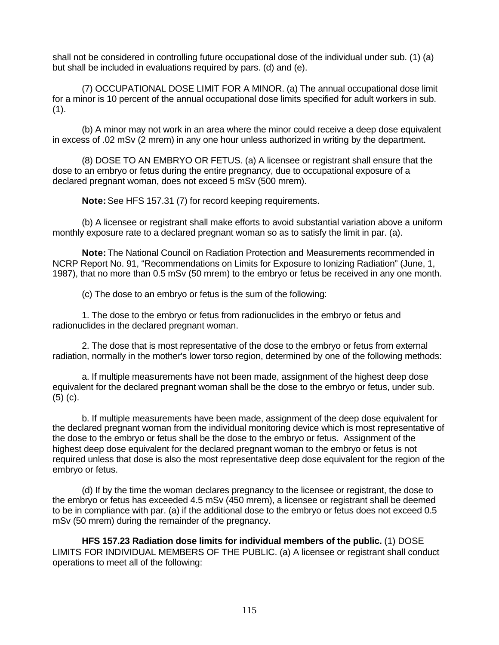shall not be considered in controlling future occupational dose of the individual under sub. (1) (a) but shall be included in evaluations required by pars. (d) and (e).

(7) OCCUPATIONAL DOSE LIMIT FOR A MINOR. (a) The annual occupational dose limit for a minor is 10 percent of the annual occupational dose limits specified for adult workers in sub.  $(1).$ 

(b) A minor may not work in an area where the minor could receive a deep dose equivalent in excess of .02 mSv (2 mrem) in any one hour unless authorized in writing by the department.

(8) DOSE TO AN EMBRYO OR FETUS. (a) A licensee or registrant shall ensure that the dose to an embryo or fetus during the entire pregnancy, due to occupational exposure of a declared pregnant woman, does not exceed 5 mSv (500 mrem).

**Note:** See HFS 157.31 (7) for record keeping requirements.

(b) A licensee or registrant shall make efforts to avoid substantial variation above a uniform monthly exposure rate to a declared pregnant woman so as to satisfy the limit in par. (a).

**Note:** The National Council on Radiation Protection and Measurements recommended in NCRP Report No. 91, "Recommendations on Limits for Exposure to Ionizing Radiation" (June, 1, 1987), that no more than 0.5 mSv (50 mrem) to the embryo or fetus be received in any one month.

(c) The dose to an embryo or fetus is the sum of the following:

1. The dose to the embryo or fetus from radionuclides in the embryo or fetus and radionuclides in the declared pregnant woman.

2. The dose that is most representative of the dose to the embryo or fetus from external radiation, normally in the mother's lower torso region, determined by one of the following methods:

a. If multiple measurements have not been made, assignment of the highest deep dose equivalent for the declared pregnant woman shall be the dose to the embryo or fetus, under sub. (5) (c).

b. If multiple measurements have been made, assignment of the deep dose equivalent for the declared pregnant woman from the individual monitoring device which is most representative of the dose to the embryo or fetus shall be the dose to the embryo or fetus. Assignment of the highest deep dose equivalent for the declared pregnant woman to the embryo or fetus is not required unless that dose is also the most representative deep dose equivalent for the region of the embryo or fetus.

(d) If by the time the woman declares pregnancy to the licensee or registrant, the dose to the embryo or fetus has exceeded 4.5 mSv (450 mrem), a licensee or registrant shall be deemed to be in compliance with par. (a) if the additional dose to the embryo or fetus does not exceed 0.5 mSv (50 mrem) during the remainder of the pregnancy.

**HFS 157.23 Radiation dose limits for individual members of the public.** (1) DOSE LIMITS FOR INDIVIDUAL MEMBERS OF THE PUBLIC. (a) A licensee or registrant shall conduct operations to meet all of the following: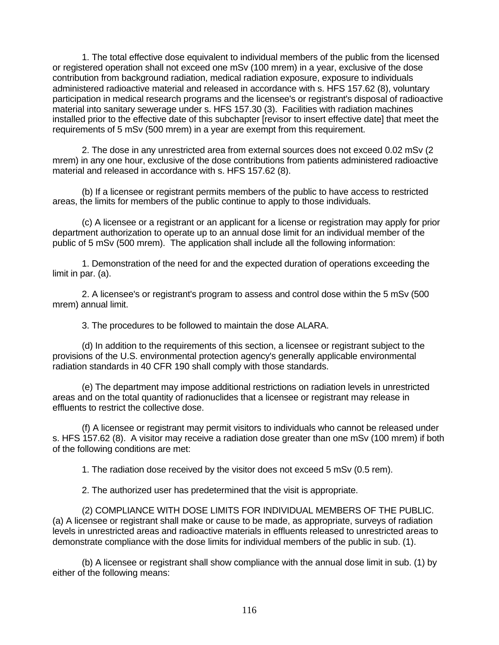1. The total effective dose equivalent to individual members of the public from the licensed or registered operation shall not exceed one mSv (100 mrem) in a year, exclusive of the dose contribution from background radiation, medical radiation exposure, exposure to individuals administered radioactive material and released in accordance with s. HFS 157.62 (8), voluntary participation in medical research programs and the licensee's or registrant's disposal of radioactive material into sanitary sewerage under s. HFS 157.30 (3). Facilities with radiation machines installed prior to the effective date of this subchapter [revisor to insert effective date] that meet the requirements of 5 mSv (500 mrem) in a year are exempt from this requirement.

2. The dose in any unrestricted area from external sources does not exceed 0.02 mSv (2 mrem) in any one hour, exclusive of the dose contributions from patients administered radioactive material and released in accordance with s. HFS 157.62 (8).

(b) If a licensee or registrant permits members of the public to have access to restricted areas, the limits for members of the public continue to apply to those individuals.

(c) A licensee or a registrant or an applicant for a license or registration may apply for prior department authorization to operate up to an annual dose limit for an individual member of the public of 5 mSv (500 mrem). The application shall include all the following information:

1. Demonstration of the need for and the expected duration of operations exceeding the limit in par. (a).

2. A licensee's or registrant's program to assess and control dose within the 5 mSv (500 mrem) annual limit.

3. The procedures to be followed to maintain the dose ALARA.

(d) In addition to the requirements of this section, a licensee or registrant subject to the provisions of the U.S. environmental protection agency's generally applicable environmental radiation standards in 40 CFR 190 shall comply with those standards.

(e) The department may impose additional restrictions on radiation levels in unrestricted areas and on the total quantity of radionuclides that a licensee or registrant may release in effluents to restrict the collective dose.

(f) A licensee or registrant may permit visitors to individuals who cannot be released under s. HFS 157.62 (8). A visitor may receive a radiation dose greater than one mSv (100 mrem) if both of the following conditions are met:

1. The radiation dose received by the visitor does not exceed 5 mSv (0.5 rem).

2. The authorized user has predetermined that the visit is appropriate.

(2) COMPLIANCE WITH DOSE LIMITS FOR INDIVIDUAL MEMBERS OF THE PUBLIC. (a) A licensee or registrant shall make or cause to be made, as appropriate, surveys of radiation levels in unrestricted areas and radioactive materials in effluents released to unrestricted areas to demonstrate compliance with the dose limits for individual members of the public in sub. (1).

(b) A licensee or registrant shall show compliance with the annual dose limit in sub. (1) by either of the following means: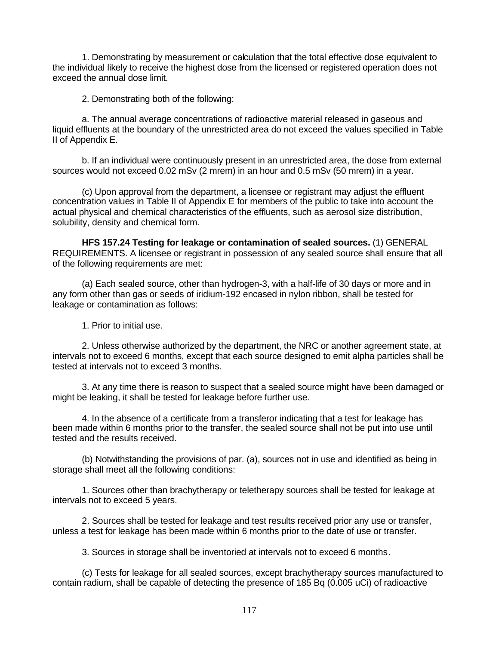1. Demonstrating by measurement or calculation that the total effective dose equivalent to the individual likely to receive the highest dose from the licensed or registered operation does not exceed the annual dose limit.

2. Demonstrating both of the following:

a. The annual average concentrations of radioactive material released in gaseous and liquid effluents at the boundary of the unrestricted area do not exceed the values specified in Table II of Appendix E.

b. If an individual were continuously present in an unrestricted area, the dose from external sources would not exceed 0.02 mSv (2 mrem) in an hour and 0.5 mSv (50 mrem) in a year.

(c) Upon approval from the department, a licensee or registrant may adjust the effluent concentration values in Table II of Appendix E for members of the public to take into account the actual physical and chemical characteristics of the effluents, such as aerosol size distribution, solubility, density and chemical form.

**HFS 157.24 Testing for leakage or contamination of sealed sources.** (1) GENERAL REQUIREMENTS. A licensee or registrant in possession of any sealed source shall ensure that all of the following requirements are met:

(a) Each sealed source, other than hydrogen-3, with a half-life of 30 days or more and in any form other than gas or seeds of iridium-192 encased in nylon ribbon, shall be tested for leakage or contamination as follows:

1. Prior to initial use.

2. Unless otherwise authorized by the department, the NRC or another agreement state, at intervals not to exceed 6 months, except that each source designed to emit alpha particles shall be tested at intervals not to exceed 3 months.

3. At any time there is reason to suspect that a sealed source might have been damaged or might be leaking, it shall be tested for leakage before further use.

4. In the absence of a certificate from a transferor indicating that a test for leakage has been made within 6 months prior to the transfer, the sealed source shall not be put into use until tested and the results received.

(b) Notwithstanding the provisions of par. (a), sources not in use and identified as being in storage shall meet all the following conditions:

1. Sources other than brachytherapy or teletherapy sources shall be tested for leakage at intervals not to exceed 5 years.

2. Sources shall be tested for leakage and test results received prior any use or transfer, unless a test for leakage has been made within 6 months prior to the date of use or transfer.

3. Sources in storage shall be inventoried at intervals not to exceed 6 months.

(c) Tests for leakage for all sealed sources, except brachytherapy sources manufactured to contain radium, shall be capable of detecting the presence of 185 Bq (0.005 uCi) of radioactive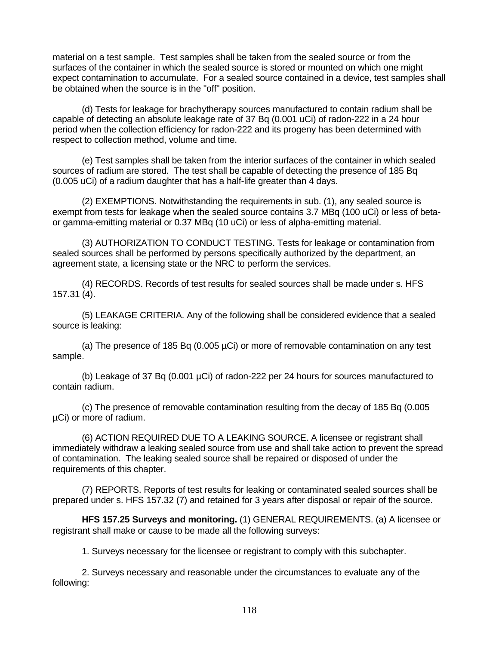material on a test sample. Test samples shall be taken from the sealed source or from the surfaces of the container in which the sealed source is stored or mounted on which one might expect contamination to accumulate. For a sealed source contained in a device, test samples shall be obtained when the source is in the "off" position.

(d) Tests for leakage for brachytherapy sources manufactured to contain radium shall be capable of detecting an absolute leakage rate of 37 Bq (0.001 uCi) of radon-222 in a 24 hour period when the collection efficiency for radon-222 and its progeny has been determined with respect to collection method, volume and time.

(e) Test samples shall be taken from the interior surfaces of the container in which sealed sources of radium are stored. The test shall be capable of detecting the presence of 185 Bq (0.005 uCi) of a radium daughter that has a half-life greater than 4 days.

(2) EXEMPTIONS. Notwithstanding the requirements in sub. (1), any sealed source is exempt from tests for leakage when the sealed source contains 3.7 MBq (100 uCi) or less of betaor gamma-emitting material or 0.37 MBq (10 uCi) or less of alpha-emitting material.

(3) AUTHORIZATION TO CONDUCT TESTING. Tests for leakage or contamination from sealed sources shall be performed by persons specifically authorized by the department, an agreement state, a licensing state or the NRC to perform the services.

(4) RECORDS. Records of test results for sealed sources shall be made under s. HFS 157.31 (4).

(5) LEAKAGE CRITERIA. Any of the following shall be considered evidence that a sealed source is leaking:

(a) The presence of 185 Bq (0.005 µCi) or more of removable contamination on any test sample.

(b) Leakage of 37 Bq (0.001 µCi) of radon-222 per 24 hours for sources manufactured to contain radium.

(c) The presence of removable contamination resulting from the decay of 185 Bq (0.005 µCi) or more of radium.

(6) ACTION REQUIRED DUE TO A LEAKING SOURCE. A licensee or registrant shall immediately withdraw a leaking sealed source from use and shall take action to prevent the spread of contamination. The leaking sealed source shall be repaired or disposed of under the requirements of this chapter.

(7) REPORTS. Reports of test results for leaking or contaminated sealed sources shall be prepared under s. HFS 157.32 (7) and retained for 3 years after disposal or repair of the source.

**HFS 157.25 Surveys and monitoring.** (1) GENERAL REQUIREMENTS. (a) A licensee or registrant shall make or cause to be made all the following surveys:

1. Surveys necessary for the licensee or registrant to comply with this subchapter.

2. Surveys necessary and reasonable under the circumstances to evaluate any of the following: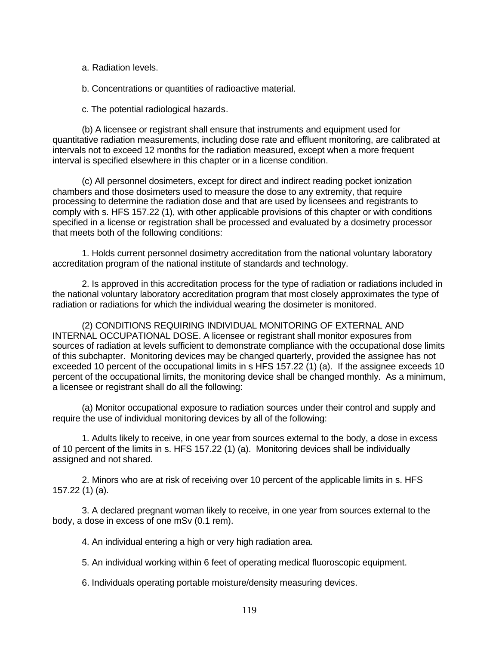a. Radiation levels.

b. Concentrations or quantities of radioactive material.

c. The potential radiological hazards.

(b) A licensee or registrant shall ensure that instruments and equipment used for quantitative radiation measurements, including dose rate and effluent monitoring, are calibrated at intervals not to exceed 12 months for the radiation measured, except when a more frequent interval is specified elsewhere in this chapter or in a license condition.

(c) All personnel dosimeters, except for direct and indirect reading pocket ionization chambers and those dosimeters used to measure the dose to any extremity, that require processing to determine the radiation dose and that are used by licensees and registrants to comply with s. HFS 157.22 (1), with other applicable provisions of this chapter or with conditions specified in a license or registration shall be processed and evaluated by a dosimetry processor that meets both of the following conditions:

1. Holds current personnel dosimetry accreditation from the national voluntary laboratory accreditation program of the national institute of standards and technology.

2. Is approved in this accreditation process for the type of radiation or radiations included in the national voluntary laboratory accreditation program that most closely approximates the type of radiation or radiations for which the individual wearing the dosimeter is monitored.

(2) CONDITIONS REQUIRING INDIVIDUAL MONITORING OF EXTERNAL AND INTERNAL OCCUPATIONAL DOSE. A licensee or registrant shall monitor exposures from sources of radiation at levels sufficient to demonstrate compliance with the occupational dose limits of this subchapter. Monitoring devices may be changed quarterly, provided the assignee has not exceeded 10 percent of the occupational limits in s HFS 157.22 (1) (a). If the assignee exceeds 10 percent of the occupational limits, the monitoring device shall be changed monthly. As a minimum, a licensee or registrant shall do all the following:

(a) Monitor occupational exposure to radiation sources under their control and supply and require the use of individual monitoring devices by all of the following:

1. Adults likely to receive, in one year from sources external to the body, a dose in excess of 10 percent of the limits in s. HFS 157.22 (1) (a). Monitoring devices shall be individually assigned and not shared.

2. Minors who are at risk of receiving over 10 percent of the applicable limits in s. HFS 157.22 (1) (a).

3. A declared pregnant woman likely to receive, in one year from sources external to the body, a dose in excess of one mSv (0.1 rem).

4. An individual entering a high or very high radiation area.

5. An individual working within 6 feet of operating medical fluoroscopic equipment.

6. Individuals operating portable moisture/density measuring devices.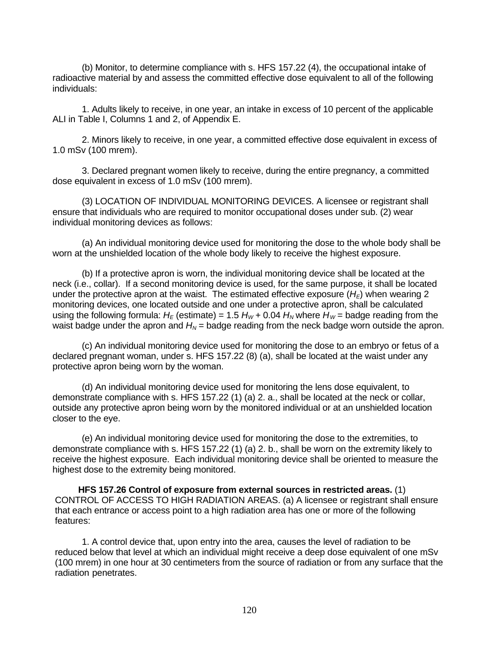(b) Monitor, to determine compliance with s. HFS 157.22 (4), the occupational intake of radioactive material by and assess the committed effective dose equivalent to all of the following individuals:

1. Adults likely to receive, in one year, an intake in excess of 10 percent of the applicable ALI in Table I, Columns 1 and 2, of Appendix E.

2. Minors likely to receive, in one year, a committed effective dose equivalent in excess of 1.0 mSv (100 mrem).

3. Declared pregnant women likely to receive, during the entire pregnancy, a committed dose equivalent in excess of 1.0 mSv (100 mrem).

(3) LOCATION OF INDIVIDUAL MONITORING DEVICES. A licensee or registrant shall ensure that individuals who are required to monitor occupational doses under sub. (2) wear individual monitoring devices as follows:

(a) An individual monitoring device used for monitoring the dose to the whole body shall be worn at the unshielded location of the whole body likely to receive the highest exposure.

(b) If a protective apron is worn, the individual monitoring device shall be located at the neck (i.e., collar). If a second monitoring device is used, for the same purpose, it shall be located under the protective apron at the waist. The estimated effective exposure  $(H_F)$  when wearing 2 monitoring devices, one located outside and one under a protective apron, shall be calculated using the following formula:  $H_F$  (estimate) = 1.5  $H_W$  + 0.04  $H_W$  where  $H_W$  = badge reading from the waist badge under the apron and  $H_N$  = badge reading from the neck badge worn outside the apron.

(c) An individual monitoring device used for monitoring the dose to an embryo or fetus of a declared pregnant woman, under s. HFS 157.22 (8) (a), shall be located at the waist under any protective apron being worn by the woman.

(d) An individual monitoring device used for monitoring the lens dose equivalent, to demonstrate compliance with s. HFS 157.22 (1) (a) 2. a., shall be located at the neck or collar, outside any protective apron being worn by the monitored individual or at an unshielded location closer to the eye.

(e) An individual monitoring device used for monitoring the dose to the extremities, to demonstrate compliance with s. HFS 157.22 (1) (a) 2. b., shall be worn on the extremity likely to receive the highest exposure. Each individual monitoring device shall be oriented to measure the highest dose to the extremity being monitored.

**HFS 157.26 Control of exposure from external sources in restricted areas.** (1) CONTROL OF ACCESS TO HIGH RADIATION AREAS. (a) A licensee or registrant shall ensure that each entrance or access point to a high radiation area has one or more of the following features:

1. A control device that, upon entry into the area, causes the level of radiation to be reduced below that level at which an individual might receive a deep dose equivalent of one mSv (100 mrem) in one hour at 30 centimeters from the source of radiation or from any surface that the radiation penetrates.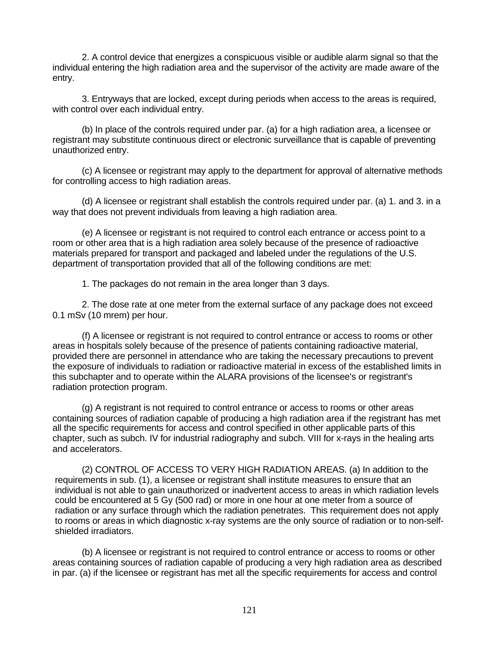2. A control device that energizes a conspicuous visible or audible alarm signal so that the individual entering the high radiation area and the supervisor of the activity are made aware of the entry.

3. Entryways that are locked, except during periods when access to the areas is required, with control over each individual entry.

(b) In place of the controls required under par. (a) for a high radiation area, a licensee or registrant may substitute continuous direct or electronic surveillance that is capable of preventing unauthorized entry.

(c) A licensee or registrant may apply to the department for approval of alternative methods for controlling access to high radiation areas.

(d) A licensee or registrant shall establish the controls required under par. (a) 1. and 3. in a way that does not prevent individuals from leaving a high radiation area.

(e) A licensee or registrant is not required to control each entrance or access point to a room or other area that is a high radiation area solely because of the presence of radioactive materials prepared for transport and packaged and labeled under the regulations of the U.S. department of transportation provided that all of the following conditions are met:

1. The packages do not remain in the area longer than 3 days.

2. The dose rate at one meter from the external surface of any package does not exceed 0.1 mSv (10 mrem) per hour.

(f) A licensee or registrant is not required to control entrance or access to rooms or other areas in hospitals solely because of the presence of patients containing radioactive material, provided there are personnel in attendance who are taking the necessary precautions to prevent the exposure of individuals to radiation or radioactive material in excess of the established limits in this subchapter and to operate within the ALARA provisions of the licensee's or registrant's radiation protection program.

(g) A registrant is not required to control entrance or access to rooms or other areas containing sources of radiation capable of producing a high radiation area if the registrant has met all the specific requirements for access and control specified in other applicable parts of this chapter, such as subch. IV for industrial radiography and subch. VIII for x-rays in the healing arts and accelerators.

(2) CONTROL OF ACCESS TO VERY HIGH RADIATION AREAS. (a) In addition to the requirements in sub. (1), a licensee or registrant shall institute measures to ensure that an individual is not able to gain unauthorized or inadvertent access to areas in which radiation levels could be encountered at 5 Gy (500 rad) or more in one hour at one meter from a source of radiation or any surface through which the radiation penetrates. This requirement does not apply to rooms or areas in which diagnostic x-ray systems are the only source of radiation or to non-selfshielded irradiators.

(b) A licensee or registrant is not required to control entrance or access to rooms or other areas containing sources of radiation capable of producing a very high radiation area as described in par. (a) if the licensee or registrant has met all the specific requirements for access and control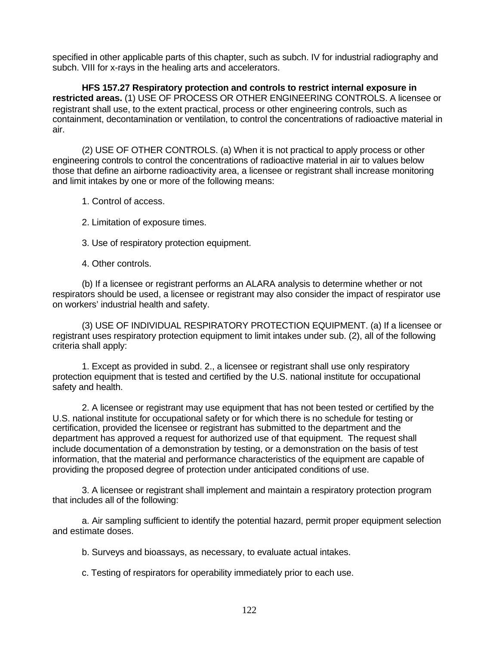specified in other applicable parts of this chapter, such as subch. IV for industrial radiography and subch. VIII for x-rays in the healing arts and accelerators.

**HFS 157.27 Respiratory protection and controls to restrict internal exposure in restricted areas.** (1) USE OF PROCESS OR OTHER ENGINEERING CONTROLS. A licensee or registrant shall use, to the extent practical, process or other engineering controls, such as containment, decontamination or ventilation, to control the concentrations of radioactive material in air.

(2) USE OF OTHER CONTROLS. (a) When it is not practical to apply process or other engineering controls to control the concentrations of radioactive material in air to values below those that define an airborne radioactivity area, a licensee or registrant shall increase monitoring and limit intakes by one or more of the following means:

1. Control of access.

2. Limitation of exposure times.

3. Use of respiratory protection equipment.

4. Other controls.

(b) If a licensee or registrant performs an ALARA analysis to determine whether or not respirators should be used, a licensee or registrant may also consider the impact of respirator use on workers' industrial health and safety.

(3) USE OF INDIVIDUAL RESPIRATORY PROTECTION EQUIPMENT. (a) If a licensee or registrant uses respiratory protection equipment to limit intakes under sub. (2), all of the following criteria shall apply:

1. Except as provided in subd. 2., a licensee or registrant shall use only respiratory protection equipment that is tested and certified by the U.S. national institute for occupational safety and health.

2. A licensee or registrant may use equipment that has not been tested or certified by the U.S. national institute for occupational safety or for which there is no schedule for testing or certification, provided the licensee or registrant has submitted to the department and the department has approved a request for authorized use of that equipment. The request shall include documentation of a demonstration by testing, or a demonstration on the basis of test information, that the material and performance characteristics of the equipment are capable of providing the proposed degree of protection under anticipated conditions of use.

3. A licensee or registrant shall implement and maintain a respiratory protection program that includes all of the following:

a. Air sampling sufficient to identify the potential hazard, permit proper equipment selection and estimate doses.

b. Surveys and bioassays, as necessary, to evaluate actual intakes.

c. Testing of respirators for operability immediately prior to each use.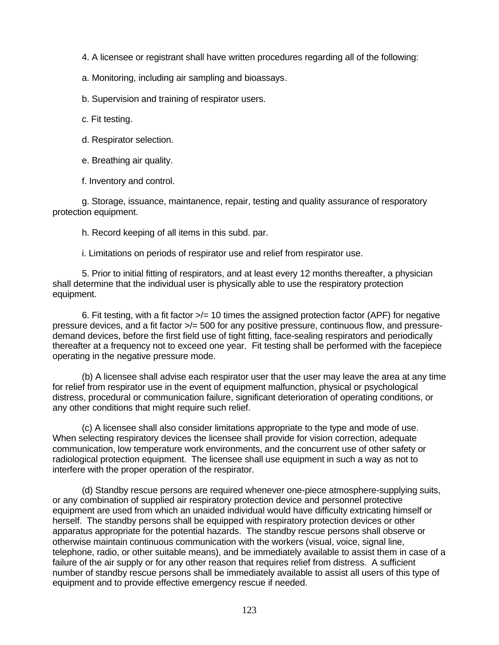4. A licensee or registrant shall have written procedures regarding all of the following:

a. Monitoring, including air sampling and bioassays.

b. Supervision and training of respirator users.

c. Fit testing.

d. Respirator selection.

e. Breathing air quality.

f. Inventory and control.

g. Storage, issuance, maintanence, repair, testing and quality assurance of resporatory protection equipment.

h. Record keeping of all items in this subd. par.

i. Limitations on periods of respirator use and relief from respirator use.

5. Prior to initial fitting of respirators, and at least every 12 months thereafter, a physician shall determine that the individual user is physically able to use the respiratory protection equipment.

6. Fit testing, with a fit factor >/= 10 times the assigned protection factor (APF) for negative pressure devices, and a fit factor >/= 500 for any positive pressure, continuous flow, and pressuredemand devices, before the first field use of tight fitting, face-sealing respirators and periodically thereafter at a frequency not to exceed one year. Fit testing shall be performed with the facepiece operating in the negative pressure mode.

(b) A licensee shall advise each respirator user that the user may leave the area at any time for relief from respirator use in the event of equipment malfunction, physical or psychological distress, procedural or communication failure, significant deterioration of operating conditions, or any other conditions that might require such relief.

(c) A licensee shall also consider limitations appropriate to the type and mode of use. When selecting respiratory devices the licensee shall provide for vision correction, adequate communication, low temperature work environments, and the concurrent use of other safety or radiological protection equipment. The licensee shall use equipment in such a way as not to interfere with the proper operation of the respirator.

(d) Standby rescue persons are required whenever one-piece atmosphere-supplying suits, or any combination of supplied air respiratory protection device and personnel protective equipment are used from which an unaided individual would have difficulty extricating himself or herself. The standby persons shall be equipped with respiratory protection devices or other apparatus appropriate for the potential hazards. The standby rescue persons shall observe or otherwise maintain continuous communication with the workers (visual, voice, signal line, telephone, radio, or other suitable means), and be immediately available to assist them in case of a failure of the air supply or for any other reason that requires relief from distress. A sufficient number of standby rescue persons shall be immediately available to assist all users of this type of equipment and to provide effective emergency rescue if needed.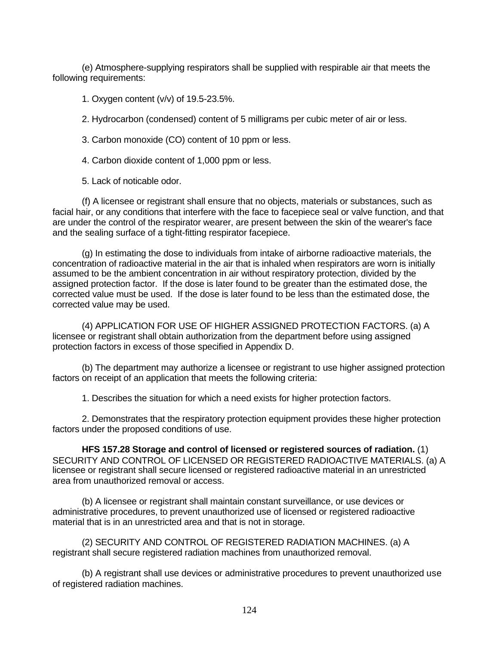(e) Atmosphere-supplying respirators shall be supplied with respirable air that meets the following requirements:

1. Oxygen content (v/v) of 19.5-23.5%.

2. Hydrocarbon (condensed) content of 5 milligrams per cubic meter of air or less.

3. Carbon monoxide (CO) content of 10 ppm or less.

4. Carbon dioxide content of 1,000 ppm or less.

5. Lack of noticable odor.

(f) A licensee or registrant shall ensure that no objects, materials or substances, such as facial hair, or any conditions that interfere with the face to facepiece seal or valve function, and that are under the control of the respirator wearer, are present between the skin of the wearer's face and the sealing surface of a tight-fitting respirator facepiece.

(g) In estimating the dose to individuals from intake of airborne radioactive materials, the concentration of radioactive material in the air that is inhaled when respirators are worn is initially assumed to be the ambient concentration in air without respiratory protection, divided by the assigned protection factor. If the dose is later found to be greater than the estimated dose, the corrected value must be used. If the dose is later found to be less than the estimated dose, the corrected value may be used.

(4) APPLICATION FOR USE OF HIGHER ASSIGNED PROTECTION FACTORS. (a) A licensee or registrant shall obtain authorization from the department before using assigned protection factors in excess of those specified in Appendix D.

(b) The department may authorize a licensee or registrant to use higher assigned protection factors on receipt of an application that meets the following criteria:

1. Describes the situation for which a need exists for higher protection factors.

2. Demonstrates that the respiratory protection equipment provides these higher protection factors under the proposed conditions of use.

**HFS 157.28 Storage and control of licensed or registered sources of radiation.** (1) SECURITY AND CONTROL OF LICENSED OR REGISTERED RADIOACTIVE MATERIALS. (a) A licensee or registrant shall secure licensed or registered radioactive material in an unrestricted area from unauthorized removal or access.

(b) A licensee or registrant shall maintain constant surveillance, or use devices or administrative procedures, to prevent unauthorized use of licensed or registered radioactive material that is in an unrestricted area and that is not in storage.

(2) SECURITY AND CONTROL OF REGISTERED RADIATION MACHINES. (a) A registrant shall secure registered radiation machines from unauthorized removal.

(b) A registrant shall use devices or administrative procedures to prevent unauthorized use of registered radiation machines.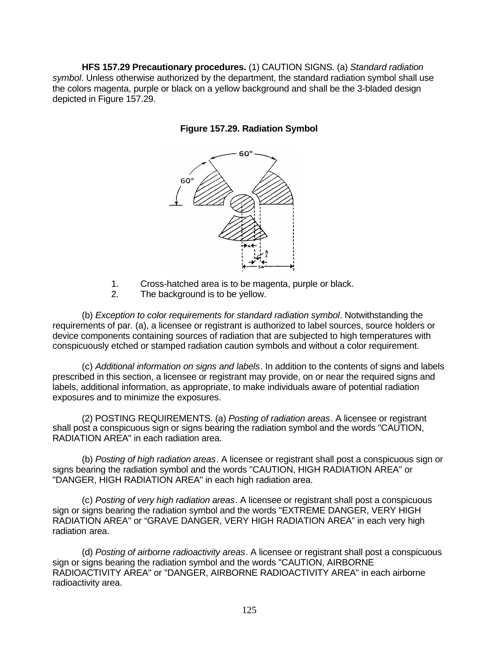**HFS 157.29 Precautionary procedures.** (1) CAUTION SIGNS. (a) *Standard radiation symbol*. Unless otherwise authorized by the department, the standard radiation symbol shall use the colors magenta, purple or black on a yellow background and shall be the 3-bladed design depicted in Figure 157.29.



**Figure 157.29. Radiation Symbol**

- 1. Cross-hatched area is to be magenta, purple or black.
- 2. The background is to be yellow.

(b) *Exception to color requirements for standard radiation symbol*. Notwithstanding the requirements of par. (a), a licensee or registrant is authorized to label sources, source holders or device components containing sources of radiation that are subjected to high temperatures with conspicuously etched or stamped radiation caution symbols and without a color requirement.

(c) *Additional information on signs and labels*. In addition to the contents of signs and labels prescribed in this section, a licensee or registrant may provide, on or near the required signs and labels, additional information, as appropriate, to make individuals aware of potential radiation exposures and to minimize the exposures.

(2) POSTING REQUIREMENTS. (a) *Posting of radiation areas*. A licensee or registrant shall post a conspicuous sign or signs bearing the radiation symbol and the words "CAUTION, RADIATION AREA" in each radiation area.

(b) *Posting of high radiation areas*. A licensee or registrant shall post a conspicuous sign or signs bearing the radiation symbol and the words "CAUTION, HIGH RADIATION AREA" or "DANGER, HIGH RADIATION AREA" in each high radiation area.

(c) *Posting of very high radiation areas*. A licensee or registrant shall post a conspicuous sign or signs bearing the radiation symbol and the words "EXTREME DANGER, VERY HIGH RADIATION AREA" or "GRAVE DANGER, VERY HIGH RADIATION AREA" in each very high radiation area.

(d) *Posting of airborne radioactivity areas*. A licensee or registrant shall post a conspicuous sign or signs bearing the radiation symbol and the words "CAUTION, AIRBORNE RADIOACTIVITY AREA" or "DANGER, AIRBORNE RADIOACTIVITY AREA" in each airborne radioactivity area.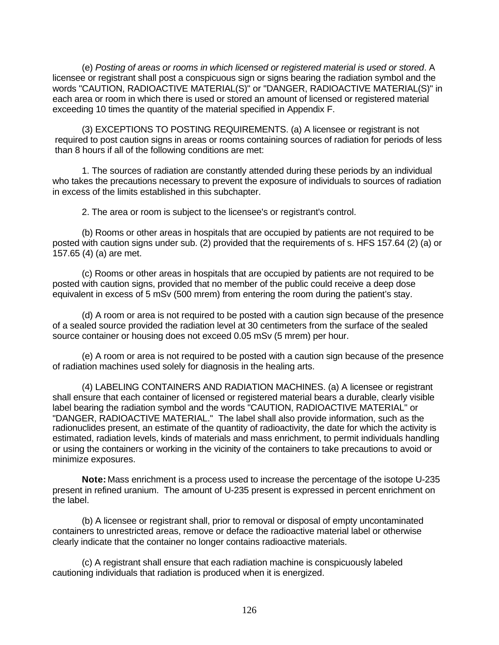(e) *Posting of areas or rooms in which licensed or registered material is used or stored*. A licensee or registrant shall post a conspicuous sign or signs bearing the radiation symbol and the words "CAUTION, RADIOACTIVE MATERIAL(S)" or "DANGER, RADIOACTIVE MATERIAL(S)" in each area or room in which there is used or stored an amount of licensed or registered material exceeding 10 times the quantity of the material specified in Appendix F.

(3) EXCEPTIONS TO POSTING REQUIREMENTS. (a) A licensee or registrant is not required to post caution signs in areas or rooms containing sources of radiation for periods of less than 8 hours if all of the following conditions are met:

1. The sources of radiation are constantly attended during these periods by an individual who takes the precautions necessary to prevent the exposure of individuals to sources of radiation in excess of the limits established in this subchapter.

2. The area or room is subject to the licensee's or registrant's control.

(b) Rooms or other areas in hospitals that are occupied by patients are not required to be posted with caution signs under sub. (2) provided that the requirements of s. HFS 157.64 (2) (a) or 157.65 (4) (a) are met.

(c) Rooms or other areas in hospitals that are occupied by patients are not required to be posted with caution signs, provided that no member of the public could receive a deep dose equivalent in excess of 5 mSv (500 mrem) from entering the room during the patient's stay.

(d) A room or area is not required to be posted with a caution sign because of the presence of a sealed source provided the radiation level at 30 centimeters from the surface of the sealed source container or housing does not exceed 0.05 mSv (5 mrem) per hour.

(e) A room or area is not required to be posted with a caution sign because of the presence of radiation machines used solely for diagnosis in the healing arts.

(4) LABELING CONTAINERS AND RADIATION MACHINES. (a) A licensee or registrant shall ensure that each container of licensed or registered material bears a durable, clearly visible label bearing the radiation symbol and the words "CAUTION, RADIOACTIVE MATERIAL" or "DANGER, RADIOACTIVE MATERIAL." The label shall also provide information, such as the radionuclides present, an estimate of the quantity of radioactivity, the date for which the activity is estimated, radiation levels, kinds of materials and mass enrichment, to permit individuals handling or using the containers or working in the vicinity of the containers to take precautions to avoid or minimize exposures.

**Note:** Mass enrichment is a process used to increase the percentage of the isotope U-235 present in refined uranium. The amount of U-235 present is expressed in percent enrichment on the label.

(b) A licensee or registrant shall, prior to removal or disposal of empty uncontaminated containers to unrestricted areas, remove or deface the radioactive material label or otherwise clearly indicate that the container no longer contains radioactive materials.

(c) A registrant shall ensure that each radiation machine is conspicuously labeled cautioning individuals that radiation is produced when it is energized.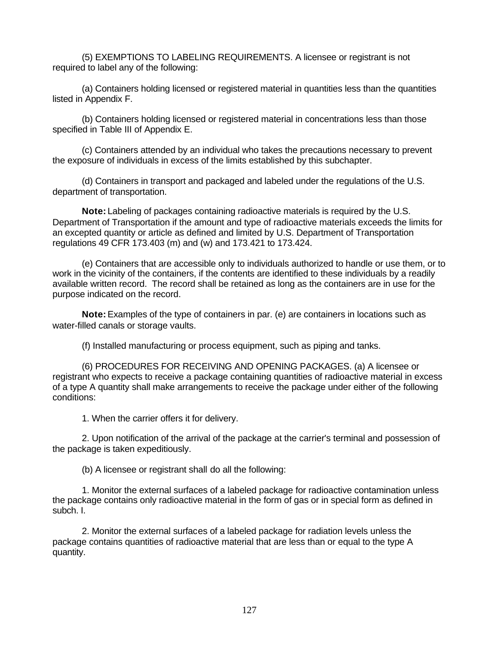(5) EXEMPTIONS TO LABELING REQUIREMENTS. A licensee or registrant is not required to label any of the following:

(a) Containers holding licensed or registered material in quantities less than the quantities listed in Appendix F.

(b) Containers holding licensed or registered material in concentrations less than those specified in Table III of Appendix E.

(c) Containers attended by an individual who takes the precautions necessary to prevent the exposure of individuals in excess of the limits established by this subchapter.

(d) Containers in transport and packaged and labeled under the regulations of the U.S. department of transportation.

**Note:** Labeling of packages containing radioactive materials is required by the U.S. Department of Transportation if the amount and type of radioactive materials exceeds the limits for an excepted quantity or article as defined and limited by U.S. Department of Transportation regulations 49 CFR 173.403 (m) and (w) and 173.421 to 173.424.

(e) Containers that are accessible only to individuals authorized to handle or use them, or to work in the vicinity of the containers, if the contents are identified to these individuals by a readily available written record. The record shall be retained as long as the containers are in use for the purpose indicated on the record.

**Note:** Examples of the type of containers in par. (e) are containers in locations such as water-filled canals or storage vaults.

(f) Installed manufacturing or process equipment, such as piping and tanks.

(6) PROCEDURES FOR RECEIVING AND OPENING PACKAGES. (a) A licensee or registrant who expects to receive a package containing quantities of radioactive material in excess of a type A quantity shall make arrangements to receive the package under either of the following conditions:

1. When the carrier offers it for delivery.

2. Upon notification of the arrival of the package at the carrier's terminal and possession of the package is taken expeditiously.

(b) A licensee or registrant shall do all the following:

1. Monitor the external surfaces of a labeled package for radioactive contamination unless the package contains only radioactive material in the form of gas or in special form as defined in subch. I.

2. Monitor the external surfaces of a labeled package for radiation levels unless the package contains quantities of radioactive material that are less than or equal to the type A quantity.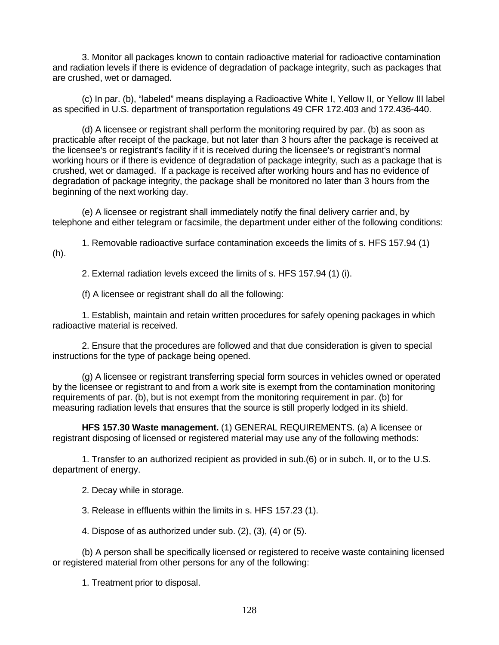3. Monitor all packages known to contain radioactive material for radioactive contamination and radiation levels if there is evidence of degradation of package integrity, such as packages that are crushed, wet or damaged.

(c) In par. (b), "labeled" means displaying a Radioactive White I, Yellow II, or Yellow III label as specified in U.S. department of transportation regulations 49 CFR 172.403 and 172.436-440.

(d) A licensee or registrant shall perform the monitoring required by par. (b) as soon as practicable after receipt of the package, but not later than 3 hours after the package is received at the licensee's or registrant's facility if it is received during the licensee's or registrant's normal working hours or if there is evidence of degradation of package integrity, such as a package that is crushed, wet or damaged. If a package is received after working hours and has no evidence of degradation of package integrity, the package shall be monitored no later than 3 hours from the beginning of the next working day.

(e) A licensee or registrant shall immediately notify the final delivery carrier and, by telephone and either telegram or facsimile, the department under either of the following conditions:

1. Removable radioactive surface contamination exceeds the limits of s. HFS 157.94 (1) (h).

2. External radiation levels exceed the limits of s. HFS 157.94 (1) (i).

(f) A licensee or registrant shall do all the following:

1. Establish, maintain and retain written procedures for safely opening packages in which radioactive material is received.

2. Ensure that the procedures are followed and that due consideration is given to special instructions for the type of package being opened.

(g) A licensee or registrant transferring special form sources in vehicles owned or operated by the licensee or registrant to and from a work site is exempt from the contamination monitoring requirements of par. (b), but is not exempt from the monitoring requirement in par. (b) for measuring radiation levels that ensures that the source is still properly lodged in its shield.

**HFS 157.30 Waste management.** (1) GENERAL REQUIREMENTS. (a) A licensee or registrant disposing of licensed or registered material may use any of the following methods:

1. Transfer to an authorized recipient as provided in sub.(6) or in subch. II, or to the U.S. department of energy.

2. Decay while in storage.

3. Release in effluents within the limits in s. HFS 157.23 (1).

4. Dispose of as authorized under sub. (2), (3), (4) or (5).

(b) A person shall be specifically licensed or registered to receive waste containing licensed or registered material from other persons for any of the following:

1. Treatment prior to disposal.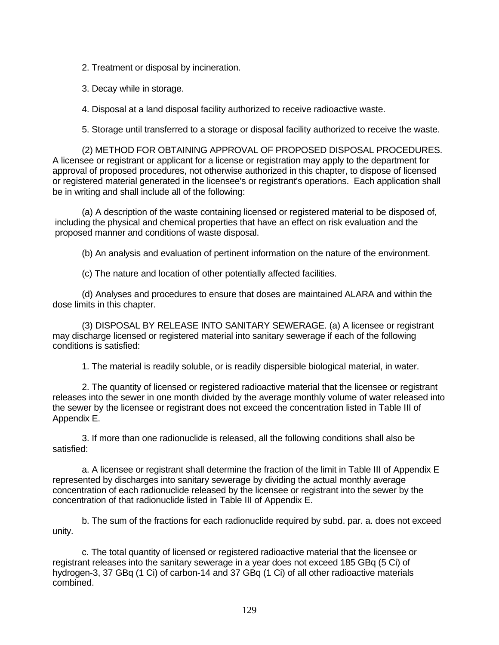2. Treatment or disposal by incineration.

3. Decay while in storage.

4. Disposal at a land disposal facility authorized to receive radioactive waste.

5. Storage until transferred to a storage or disposal facility authorized to receive the waste.

(2) METHOD FOR OBTAINING APPROVAL OF PROPOSED DISPOSAL PROCEDURES. A licensee or registrant or applicant for a license or registration may apply to the department for approval of proposed procedures, not otherwise authorized in this chapter, to dispose of licensed or registered material generated in the licensee's or registrant's operations. Each application shall be in writing and shall include all of the following:

(a) A description of the waste containing licensed or registered material to be disposed of, including the physical and chemical properties that have an effect on risk evaluation and the proposed manner and conditions of waste disposal.

(b) An analysis and evaluation of pertinent information on the nature of the environment.

(c) The nature and location of other potentially affected facilities.

(d) Analyses and procedures to ensure that doses are maintained ALARA and within the dose limits in this chapter.

(3) DISPOSAL BY RELEASE INTO SANITARY SEWERAGE. (a) A licensee or registrant may discharge licensed or registered material into sanitary sewerage if each of the following conditions is satisfied:

1. The material is readily soluble, or is readily dispersible biological material, in water.

2. The quantity of licensed or registered radioactive material that the licensee or registrant releases into the sewer in one month divided by the average monthly volume of water released into the sewer by the licensee or registrant does not exceed the concentration listed in Table III of Appendix E.

3. If more than one radionuclide is released, all the following conditions shall also be satisfied:

a. A licensee or registrant shall determine the fraction of the limit in Table III of Appendix E represented by discharges into sanitary sewerage by dividing the actual monthly average concentration of each radionuclide released by the licensee or registrant into the sewer by the concentration of that radionuclide listed in Table III of Appendix E.

b. The sum of the fractions for each radionuclide required by subd. par. a. does not exceed unity.

c. The total quantity of licensed or registered radioactive material that the licensee or registrant releases into the sanitary sewerage in a year does not exceed 185 GBq (5 Ci) of hydrogen-3, 37 GBq (1 Ci) of carbon-14 and 37 GBq (1 Ci) of all other radioactive materials combined.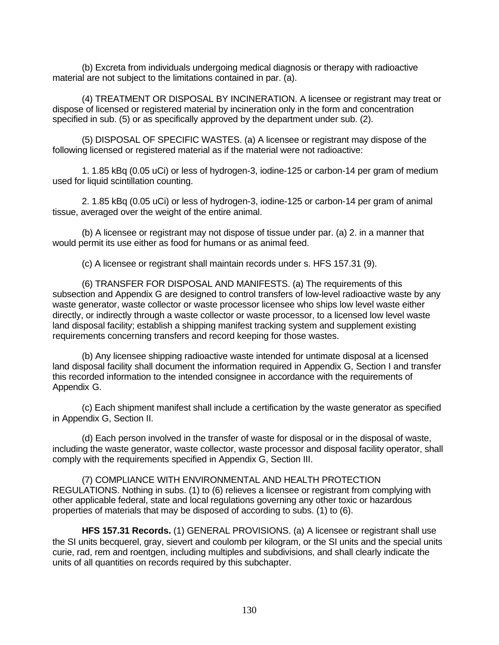(b) Excreta from individuals undergoing medical diagnosis or therapy with radioactive material are not subject to the limitations contained in par. (a).

(4) TREATMENT OR DISPOSAL BY INCINERATION. A licensee or registrant may treat or dispose of licensed or registered material by incineration only in the form and concentration specified in sub. (5) or as specifically approved by the department under sub. (2).

(5) DISPOSAL OF SPECIFIC WASTES. (a) A licensee or registrant may dispose of the following licensed or registered material as if the material were not radioactive:

1. 1.85 kBq (0.05 uCi) or less of hydrogen-3, iodine-125 or carbon-14 per gram of medium used for liquid scintillation counting.

2. 1.85 kBq (0.05 uCi) or less of hydrogen-3, iodine-125 or carbon-14 per gram of animal tissue, averaged over the weight of the entire animal.

(b) A licensee or registrant may not dispose of tissue under par. (a) 2. in a manner that would permit its use either as food for humans or as animal feed.

(c) A licensee or registrant shall maintain records under s. HFS 157.31 (9).

(6) TRANSFER FOR DISPOSAL AND MANIFESTS. (a) The requirements of this subsection and Appendix G are designed to control transfers of low-level radioactive waste by any waste generator, waste collector or waste processor licensee who ships low level waste either directly, or indirectly through a waste collector or waste processor, to a licensed low level waste land disposal facility; establish a shipping manifest tracking system and supplement existing requirements concerning transfers and record keeping for those wastes.

(b) Any licensee shipping radioactive waste intended for untimate disposal at a licensed land disposal facility shall document the information required in Appendix G, Section I and transfer this recorded information to the intended consignee in accordance with the requirements of Appendix G.

(c) Each shipment manifest shall include a certification by the waste generator as specified in Appendix G, Section II.

(d) Each person involved in the transfer of waste for disposal or in the disposal of waste, including the waste generator, waste collector, waste processor and disposal facility operator, shall comply with the requirements specified in Appendix G, Section III.

(7) COMPLIANCE WITH ENVIRONMENTAL AND HEALTH PROTECTION REGULATIONS. Nothing in subs. (1) to (6) relieves a licensee or registrant from complying with other applicable federal, state and local regulations governing any other toxic or hazardous properties of materials that may be disposed of according to subs. (1) to (6).

**HFS 157.31 Records.** (1) GENERAL PROVISIONS. (a) A licensee or registrant shall use the SI units becquerel, gray, sievert and coulomb per kilogram, or the SI units and the special units curie, rad, rem and roentgen, including multiples and subdivisions, and shall clearly indicate the units of all quantities on records required by this subchapter.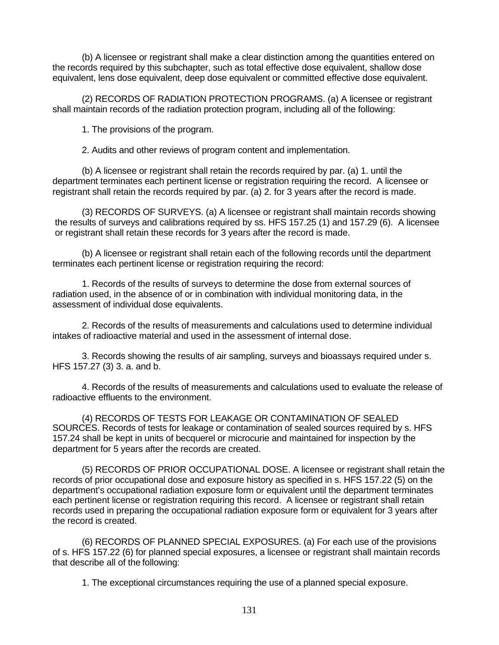(b) A licensee or registrant shall make a clear distinction among the quantities entered on the records required by this subchapter, such as total effective dose equivalent, shallow dose equivalent, lens dose equivalent, deep dose equivalent or committed effective dose equivalent.

(2) RECORDS OF RADIATION PROTECTION PROGRAMS. (a) A licensee or registrant shall maintain records of the radiation protection program, including all of the following:

1. The provisions of the program.

2. Audits and other reviews of program content and implementation.

(b) A licensee or registrant shall retain the records required by par. (a) 1. until the department terminates each pertinent license or registration requiring the record. A licensee or registrant shall retain the records required by par. (a) 2. for 3 years after the record is made.

(3) RECORDS OF SURVEYS. (a) A licensee or registrant shall maintain records showing the results of surveys and calibrations required by ss. HFS 157.25 (1) and 157.29 (6). A licensee or registrant shall retain these records for 3 years after the record is made.

(b) A licensee or registrant shall retain each of the following records until the department terminates each pertinent license or registration requiring the record:

1. Records of the results of surveys to determine the dose from external sources of radiation used, in the absence of or in combination with individual monitoring data, in the assessment of individual dose equivalents.

2. Records of the results of measurements and calculations used to determine individual intakes of radioactive material and used in the assessment of internal dose.

3. Records showing the results of air sampling, surveys and bioassays required under s. HFS 157.27 (3) 3. a. and b.

4. Records of the results of measurements and calculations used to evaluate the release of radioactive effluents to the environment.

(4) RECORDS OF TESTS FOR LEAKAGE OR CONTAMINATION OF SEALED SOURCES. Records of tests for leakage or contamination of sealed sources required by s. HFS 157.24 shall be kept in units of becquerel or microcurie and maintained for inspection by the department for 5 years after the records are created.

(5) RECORDS OF PRIOR OCCUPATIONAL DOSE. A licensee or registrant shall retain the records of prior occupational dose and exposure history as specified in s. HFS 157.22 (5) on the department's occupational radiation exposure form or equivalent until the department terminates each pertinent license or registration requiring this record. A licensee or registrant shall retain records used in preparing the occupational radiation exposure form or equivalent for 3 years after the record is created.

(6) RECORDS OF PLANNED SPECIAL EXPOSURES. (a) For each use of the provisions of s. HFS 157.22 (6) for planned special exposures, a licensee or registrant shall maintain records that describe all of the following:

1. The exceptional circumstances requiring the use of a planned special exposure.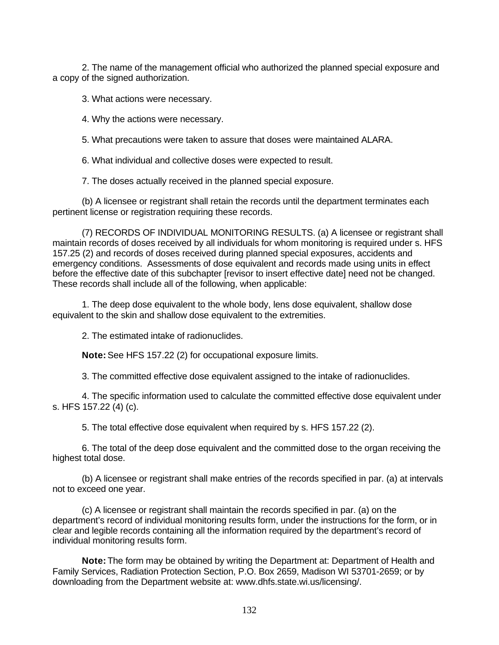2. The name of the management official who authorized the planned special exposure and a copy of the signed authorization.

3. What actions were necessary.

4. Why the actions were necessary.

5. What precautions were taken to assure that doses were maintained ALARA.

6. What individual and collective doses were expected to result.

7. The doses actually received in the planned special exposure.

(b) A licensee or registrant shall retain the records until the department terminates each pertinent license or registration requiring these records.

(7) RECORDS OF INDIVIDUAL MONITORING RESULTS. (a) A licensee or registrant shall maintain records of doses received by all individuals for whom monitoring is required under s. HFS 157.25 (2) and records of doses received during planned special exposures, accidents and emergency conditions. Assessments of dose equivalent and records made using units in effect before the effective date of this subchapter [revisor to insert effective date] need not be changed. These records shall include all of the following, when applicable:

1. The deep dose equivalent to the whole body, lens dose equivalent, shallow dose equivalent to the skin and shallow dose equivalent to the extremities.

2. The estimated intake of radionuclides.

**Note:** See HFS 157.22 (2) for occupational exposure limits.

3. The committed effective dose equivalent assigned to the intake of radionuclides.

4. The specific information used to calculate the committed effective dose equivalent under s. HFS 157.22 (4) (c).

5. The total effective dose equivalent when required by s. HFS 157.22 (2).

6. The total of the deep dose equivalent and the committed dose to the organ receiving the highest total dose.

(b) A licensee or registrant shall make entries of the records specified in par. (a) at intervals not to exceed one year.

(c) A licensee or registrant shall maintain the records specified in par. (a) on the department's record of individual monitoring results form, under the instructions for the form, or in clear and legible records containing all the information required by the department's record of individual monitoring results form.

**Note:** The form may be obtained by writing the Department at: Department of Health and Family Services, Radiation Protection Section, P.O. Box 2659, Madison WI 53701-2659; or by downloading from the Department website at: www.dhfs.state.wi.us/licensing/.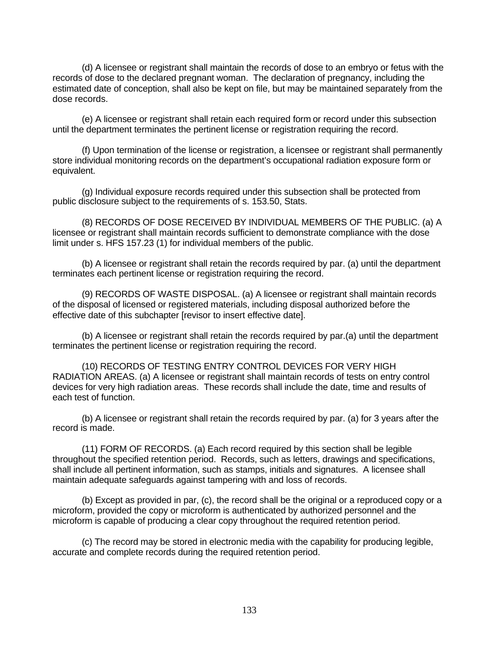(d) A licensee or registrant shall maintain the records of dose to an embryo or fetus with the records of dose to the declared pregnant woman. The declaration of pregnancy, including the estimated date of conception, shall also be kept on file, but may be maintained separately from the dose records.

(e) A licensee or registrant shall retain each required form or record under this subsection until the department terminates the pertinent license or registration requiring the record.

(f) Upon termination of the license or registration, a licensee or registrant shall permanently store individual monitoring records on the department's occupational radiation exposure form or equivalent.

(g) Individual exposure records required under this subsection shall be protected from public disclosure subject to the requirements of s. 153.50, Stats.

(8) RECORDS OF DOSE RECEIVED BY INDIVIDUAL MEMBERS OF THE PUBLIC. (a) A licensee or registrant shall maintain records sufficient to demonstrate compliance with the dose limit under s. HFS 157.23 (1) for individual members of the public.

(b) A licensee or registrant shall retain the records required by par. (a) until the department terminates each pertinent license or registration requiring the record.

(9) RECORDS OF WASTE DISPOSAL. (a) A licensee or registrant shall maintain records of the disposal of licensed or registered materials, including disposal authorized before the effective date of this subchapter [revisor to insert effective date].

(b) A licensee or registrant shall retain the records required by par.(a) until the department terminates the pertinent license or registration requiring the record.

(10) RECORDS OF TESTING ENTRY CONTROL DEVICES FOR VERY HIGH RADIATION AREAS. (a) A licensee or registrant shall maintain records of tests on entry control devices for very high radiation areas. These records shall include the date, time and results of each test of function.

(b) A licensee or registrant shall retain the records required by par. (a) for 3 years after the record is made.

(11) FORM OF RECORDS. (a) Each record required by this section shall be legible throughout the specified retention period. Records, such as letters, drawings and specifications, shall include all pertinent information, such as stamps, initials and signatures. A licensee shall maintain adequate safeguards against tampering with and loss of records.

(b) Except as provided in par, (c), the record shall be the original or a reproduced copy or a microform, provided the copy or microform is authenticated by authorized personnel and the microform is capable of producing a clear copy throughout the required retention period.

(c) The record may be stored in electronic media with the capability for producing legible, accurate and complete records during the required retention period.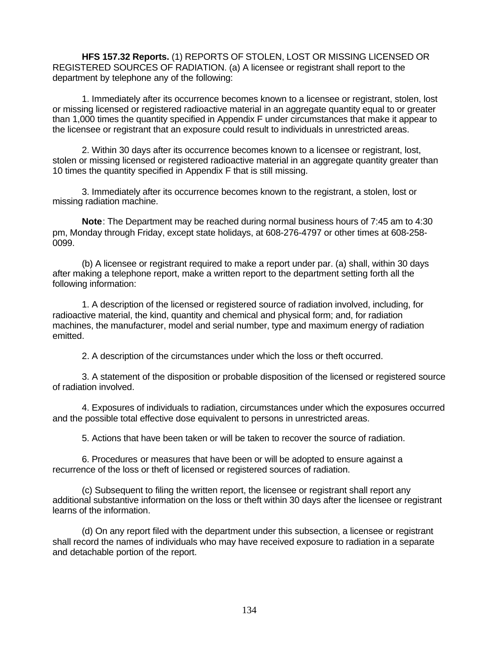**HFS 157.32 Reports.** (1) REPORTS OF STOLEN, LOST OR MISSING LICENSED OR REGISTERED SOURCES OF RADIATION. (a) A licensee or registrant shall report to the department by telephone any of the following:

1. Immediately after its occurrence becomes known to a licensee or registrant, stolen, lost or missing licensed or registered radioactive material in an aggregate quantity equal to or greater than 1,000 times the quantity specified in Appendix F under circumstances that make it appear to the licensee or registrant that an exposure could result to individuals in unrestricted areas.

2. Within 30 days after its occurrence becomes known to a licensee or registrant, lost, stolen or missing licensed or registered radioactive material in an aggregate quantity greater than 10 times the quantity specified in Appendix F that is still missing.

3. Immediately after its occurrence becomes known to the registrant, a stolen, lost or missing radiation machine.

**Note**: The Department may be reached during normal business hours of 7:45 am to 4:30 pm, Monday through Friday, except state holidays, at 608-276-4797 or other times at 608-258- 0099.

(b) A licensee or registrant required to make a report under par. (a) shall, within 30 days after making a telephone report, make a written report to the department setting forth all the following information:

1. A description of the licensed or registered source of radiation involved, including, for radioactive material, the kind, quantity and chemical and physical form; and, for radiation machines, the manufacturer, model and serial number, type and maximum energy of radiation emitted.

2. A description of the circumstances under which the loss or theft occurred.

3. A statement of the disposition or probable disposition of the licensed or registered source of radiation involved.

4. Exposures of individuals to radiation, circumstances under which the exposures occurred and the possible total effective dose equivalent to persons in unrestricted areas.

5. Actions that have been taken or will be taken to recover the source of radiation.

6. Procedures or measures that have been or will be adopted to ensure against a recurrence of the loss or theft of licensed or registered sources of radiation.

(c) Subsequent to filing the written report, the licensee or registrant shall report any additional substantive information on the loss or theft within 30 days after the licensee or registrant learns of the information.

(d) On any report filed with the department under this subsection, a licensee or registrant shall record the names of individuals who may have received exposure to radiation in a separate and detachable portion of the report.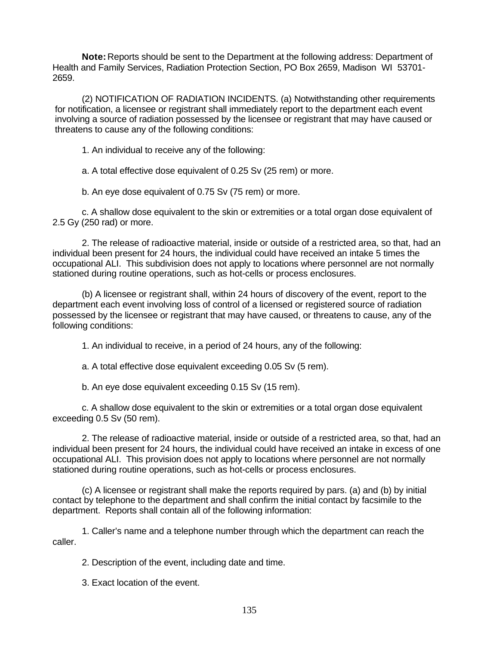**Note:** Reports should be sent to the Department at the following address: Department of Health and Family Services, Radiation Protection Section, PO Box 2659, Madison WI 53701- 2659.

(2) NOTIFICATION OF RADIATION INCIDENTS. (a) Notwithstanding other requirements for notification, a licensee or registrant shall immediately report to the department each event involving a source of radiation possessed by the licensee or registrant that may have caused or threatens to cause any of the following conditions:

1. An individual to receive any of the following:

a. A total effective dose equivalent of 0.25 Sv (25 rem) or more.

b. An eye dose equivalent of 0.75 Sv (75 rem) or more.

c. A shallow dose equivalent to the skin or extremities or a total organ dose equivalent of 2.5 Gy (250 rad) or more.

2. The release of radioactive material, inside or outside of a restricted area, so that, had an individual been present for 24 hours, the individual could have received an intake 5 times the occupational ALI. This subdivision does not apply to locations where personnel are not normally stationed during routine operations, such as hot-cells or process enclosures.

(b) A licensee or registrant shall, within 24 hours of discovery of the event, report to the department each event involving loss of control of a licensed or registered source of radiation possessed by the licensee or registrant that may have caused, or threatens to cause, any of the following conditions:

1. An individual to receive, in a period of 24 hours, any of the following:

a. A total effective dose equivalent exceeding 0.05 Sv (5 rem).

b. An eye dose equivalent exceeding 0.15 Sv (15 rem).

c. A shallow dose equivalent to the skin or extremities or a total organ dose equivalent exceeding 0.5 Sv (50 rem).

2. The release of radioactive material, inside or outside of a restricted area, so that, had an individual been present for 24 hours, the individual could have received an intake in excess of one occupational ALI. This provision does not apply to locations where personnel are not normally stationed during routine operations, such as hot-cells or process enclosures.

(c) A licensee or registrant shall make the reports required by pars. (a) and (b) by initial contact by telephone to the department and shall confirm the initial contact by facsimile to the department. Reports shall contain all of the following information:

1. Caller's name and a telephone number through which the department can reach the caller.

2. Description of the event, including date and time.

3. Exact location of the event.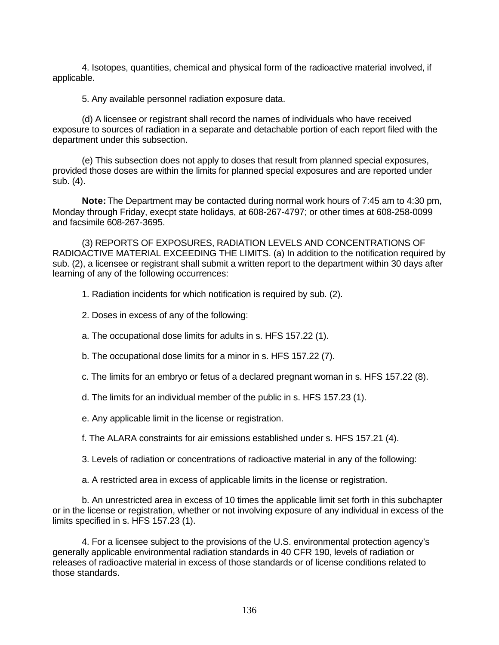4. Isotopes, quantities, chemical and physical form of the radioactive material involved, if applicable.

5. Any available personnel radiation exposure data.

(d) A licensee or registrant shall record the names of individuals who have received exposure to sources of radiation in a separate and detachable portion of each report filed with the department under this subsection.

(e) This subsection does not apply to doses that result from planned special exposures, provided those doses are within the limits for planned special exposures and are reported under sub. (4).

**Note:** The Department may be contacted during normal work hours of 7:45 am to 4:30 pm, Monday through Friday, execpt state holidays, at 608-267-4797; or other times at 608-258-0099 and facsimile 608-267-3695.

(3) REPORTS OF EXPOSURES, RADIATION LEVELS AND CONCENTRATIONS OF RADIOACTIVE MATERIAL EXCEEDING THE LIMITS. (a) In addition to the notification required by sub. (2), a licensee or registrant shall submit a written report to the department within 30 days after learning of any of the following occurrences:

1. Radiation incidents for which notification is required by sub. (2).

- 2. Doses in excess of any of the following:
- a. The occupational dose limits for adults in s. HFS 157.22 (1).
- b. The occupational dose limits for a minor in s. HFS 157.22 (7).
- c. The limits for an embryo or fetus of a declared pregnant woman in s. HFS 157.22 (8).
- d. The limits for an individual member of the public in s. HFS 157.23 (1).
- e. Any applicable limit in the license or registration.
- f. The ALARA constraints for air emissions established under s. HFS 157.21 (4).
- 3. Levels of radiation or concentrations of radioactive material in any of the following:

a. A restricted area in excess of applicable limits in the license or registration.

b. An unrestricted area in excess of 10 times the applicable limit set forth in this subchapter or in the license or registration, whether or not involving exposure of any individual in excess of the limits specified in s. HFS 157.23 (1).

4. For a licensee subject to the provisions of the U.S. environmental protection agency's generally applicable environmental radiation standards in 40 CFR 190, levels of radiation or releases of radioactive material in excess of those standards or of license conditions related to those standards.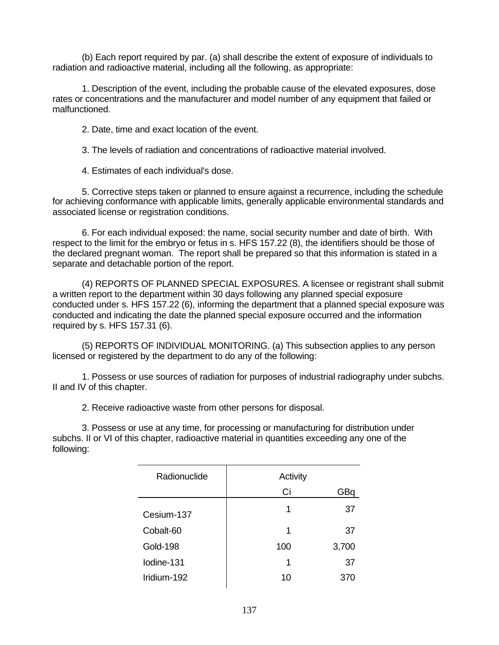(b) Each report required by par. (a) shall describe the extent of exposure of individuals to radiation and radioactive material, including all the following, as appropriate:

1. Description of the event, including the probable cause of the elevated exposures, dose rates or concentrations and the manufacturer and model number of any equipment that failed or malfunctioned.

2. Date, time and exact location of the event.

3. The levels of radiation and concentrations of radioactive material involved.

4. Estimates of each individual's dose.

5. Corrective steps taken or planned to ensure against a recurrence, including the schedule for achieving conformance with applicable limits, generally applicable environmental standards and associated license or registration conditions.

6. For each individual exposed: the name, social security number and date of birth. With respect to the limit for the embryo or fetus in s. HFS 157.22 (8), the identifiers should be those of the declared pregnant woman. The report shall be prepared so that this information is stated in a separate and detachable portion of the report.

(4) REPORTS OF PLANNED SPECIAL EXPOSURES. A licensee or registrant shall submit a written report to the department within 30 days following any planned special exposure conducted under s. HFS 157.22 (6), informing the department that a planned special exposure was conducted and indicating the date the planned special exposure occurred and the information required by s. HFS 157.31 (6).

(5) REPORTS OF INDIVIDUAL MONITORING. (a) This subsection applies to any person licensed or registered by the department to do any of the following:

1. Possess or use sources of radiation for purposes of industrial radiography under subchs. II and IV of this chapter.

2. Receive radioactive waste from other persons for disposal.

3. Possess or use at any time, for processing or manufacturing for distribution under subchs. II or VI of this chapter, radioactive material in quantities exceeding any one of the following:

| Radionuclide    | Activity |       |
|-----------------|----------|-------|
|                 | Ci       | GВ    |
| Cesium-137      | 1        | 37    |
| Cobalt-60       | 1        | 37    |
| <b>Gold-198</b> | 100      | 3,700 |
| lodine-131      | 1        | 37    |
| Iridium-192     | 10       |       |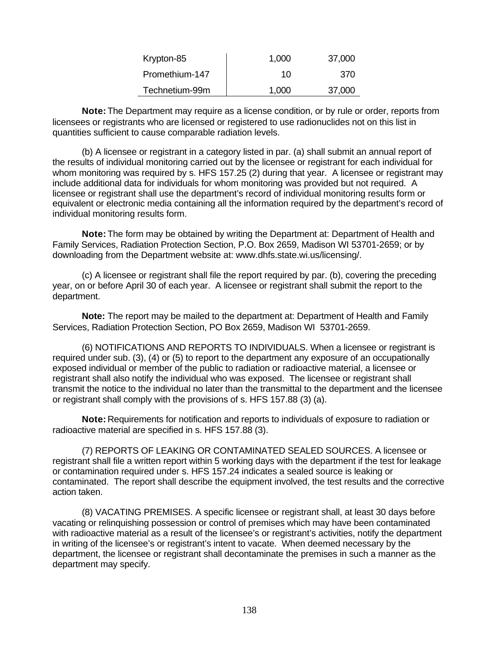| Krypton-85     | 1,000 | 37,000 |
|----------------|-------|--------|
| Promethium-147 | 10    | 370    |
| Technetium-99m | 1,000 | 37,000 |

**Note:** The Department may require as a license condition, or by rule or order, reports from licensees or registrants who are licensed or registered to use radionuclides not on this list in quantities sufficient to cause comparable radiation levels.

(b) A licensee or registrant in a category listed in par. (a) shall submit an annual report of the results of individual monitoring carried out by the licensee or registrant for each individual for whom monitoring was required by s. HFS 157.25 (2) during that year. A licensee or registrant may include additional data for individuals for whom monitoring was provided but not required. A licensee or registrant shall use the department's record of individual monitoring results form or equivalent or electronic media containing all the information required by the department's record of individual monitoring results form.

**Note:** The form may be obtained by writing the Department at: Department of Health and Family Services, Radiation Protection Section, P.O. Box 2659, Madison WI 53701-2659; or by downloading from the Department website at: www.dhfs.state.wi.us/licensing/.

(c) A licensee or registrant shall file the report required by par. (b), covering the preceding year, on or before April 30 of each year. A licensee or registrant shall submit the report to the department.

**Note:** The report may be mailed to the department at: Department of Health and Family Services, Radiation Protection Section, PO Box 2659, Madison WI 53701-2659.

(6) NOTIFICATIONS AND REPORTS TO INDIVIDUALS. When a licensee or registrant is required under sub. (3), (4) or (5) to report to the department any exposure of an occupationally exposed individual or member of the public to radiation or radioactive material, a licensee or registrant shall also notify the individual who was exposed. The licensee or registrant shall transmit the notice to the individual no later than the transmittal to the department and the licensee or registrant shall comply with the provisions of s. HFS 157.88 (3) (a).

**Note:** Requirements for notification and reports to individuals of exposure to radiation or radioactive material are specified in s. HFS 157.88 (3).

(7) REPORTS OF LEAKING OR CONTAMINATED SEALED SOURCES. A licensee or registrant shall file a written report within 5 working days with the department if the test for leakage or contamination required under s. HFS 157.24 indicates a sealed source is leaking or contaminated. The report shall describe the equipment involved, the test results and the corrective action taken.

(8) VACATING PREMISES. A specific licensee or registrant shall, at least 30 days before vacating or relinquishing possession or control of premises which may have been contaminated with radioactive material as a result of the licensee's or registrant's activities, notify the department in writing of the licensee's or registrant's intent to vacate. When deemed necessary by the department, the licensee or registrant shall decontaminate the premises in such a manner as the department may specify.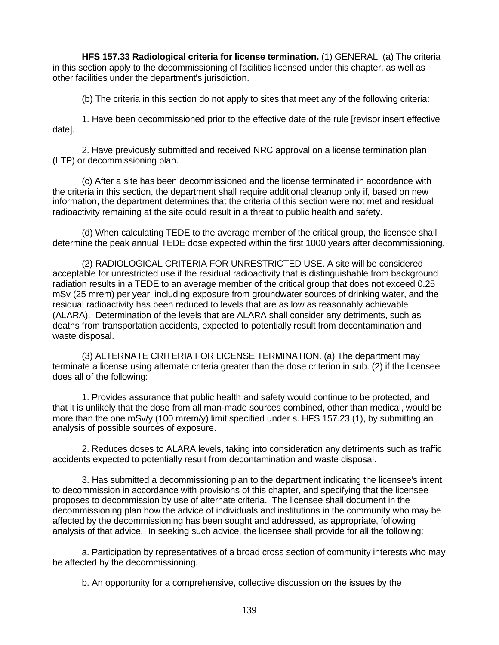**HFS 157.33 Radiological criteria for license termination.** (1) GENERAL. (a) The criteria in this section apply to the decommissioning of facilities licensed under this chapter, as well as other facilities under the department's jurisdiction.

(b) The criteria in this section do not apply to sites that meet any of the following criteria:

1. Have been decommissioned prior to the effective date of the rule [revisor insert effective date].

2. Have previously submitted and received NRC approval on a license termination plan (LTP) or decommissioning plan.

(c) After a site has been decommissioned and the license terminated in accordance with the criteria in this section, the department shall require additional cleanup only if, based on new information, the department determines that the criteria of this section were not met and residual radioactivity remaining at the site could result in a threat to public health and safety.

(d) When calculating TEDE to the average member of the critical group, the licensee shall determine the peak annual TEDE dose expected within the first 1000 years after decommissioning.

(2) RADIOLOGICAL CRITERIA FOR UNRESTRICTED USE. A site will be considered acceptable for unrestricted use if the residual radioactivity that is distinguishable from background radiation results in a TEDE to an average member of the critical group that does not exceed 0.25 mSv (25 mrem) per year, including exposure from groundwater sources of drinking water, and the residual radioactivity has been reduced to levels that are as low as reasonably achievable (ALARA). Determination of the levels that are ALARA shall consider any detriments, such as deaths from transportation accidents, expected to potentially result from decontamination and waste disposal.

(3) ALTERNATE CRITERIA FOR LICENSE TERMINATION. (a) The department may terminate a license using alternate criteria greater than the dose criterion in sub. (2) if the licensee does all of the following:

1. Provides assurance that public health and safety would continue to be protected, and that it is unlikely that the dose from all man-made sources combined, other than medical, would be more than the one mSv/y (100 mrem/y) limit specified under s. HFS 157.23 (1), by submitting an analysis of possible sources of exposure.

2. Reduces doses to ALARA levels, taking into consideration any detriments such as traffic accidents expected to potentially result from decontamination and waste disposal.

3. Has submitted a decommissioning plan to the department indicating the licensee's intent to decommission in accordance with provisions of this chapter, and specifying that the licensee proposes to decommission by use of alternate criteria. The licensee shall document in the decommissioning plan how the advice of individuals and institutions in the community who may be affected by the decommissioning has been sought and addressed, as appropriate, following analysis of that advice. In seeking such advice, the licensee shall provide for all the following:

a. Participation by representatives of a broad cross section of community interests who may be affected by the decommissioning.

b. An opportunity for a comprehensive, collective discussion on the issues by the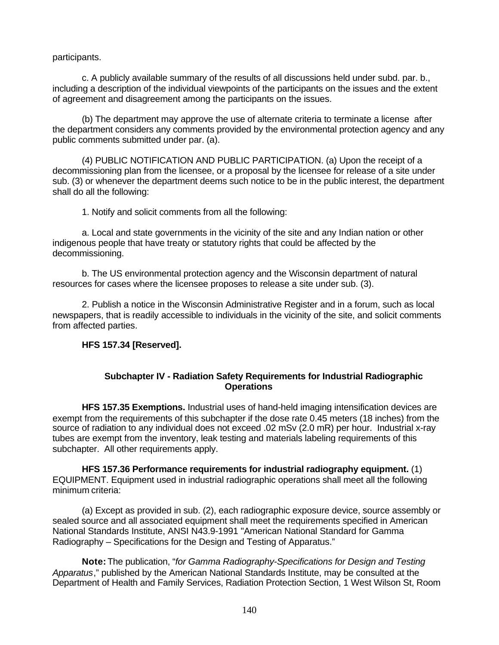## participants.

c. A publicly available summary of the results of all discussions held under subd. par. b., including a description of the individual viewpoints of the participants on the issues and the extent of agreement and disagreement among the participants on the issues.

(b) The department may approve the use of alternate criteria to terminate a license after the department considers any comments provided by the environmental protection agency and any public comments submitted under par. (a).

(4) PUBLIC NOTIFICATION AND PUBLIC PARTICIPATION. (a) Upon the receipt of a decommissioning plan from the licensee, or a proposal by the licensee for release of a site under sub. (3) or whenever the department deems such notice to be in the public interest, the department shall do all the following:

1. Notify and solicit comments from all the following:

a. Local and state governments in the vicinity of the site and any Indian nation or other indigenous people that have treaty or statutory rights that could be affected by the decommissioning.

b. The US environmental protection agency and the Wisconsin department of natural resources for cases where the licensee proposes to release a site under sub. (3).

2. Publish a notice in the Wisconsin Administrative Register and in a forum, such as local newspapers, that is readily accessible to individuals in the vicinity of the site, and solicit comments from affected parties.

## **HFS 157.34 [Reserved].**

## **Subchapter IV - Radiation Safety Requirements for Industrial Radiographic Operations**

**HFS 157.35 Exemptions.** Industrial uses of hand-held imaging intensification devices are exempt from the requirements of this subchapter if the dose rate 0.45 meters (18 inches) from the source of radiation to any individual does not exceed .02 mSv (2.0 mR) per hour. Industrial x-ray tubes are exempt from the inventory, leak testing and materials labeling requirements of this subchapter. All other requirements apply.

**HFS 157.36 Performance requirements for industrial radiography equipment.** (1) EQUIPMENT. Equipment used in industrial radiographic operations shall meet all the following minimum criteria:

(a) Except as provided in sub. (2), each radiographic exposure device, source assembly or sealed source and all associated equipment shall meet the requirements specified in American National Standards Institute, ANSI N43.9-1991 "American National Standard for Gamma Radiography – Specifications for the Design and Testing of Apparatus."

**Note:** The publication, "*for Gamma Radiography-Specifications for Design and Testing Apparatus*," published by the American National Standards Institute, may be consulted at the Department of Health and Family Services, Radiation Protection Section, 1 West Wilson St, Room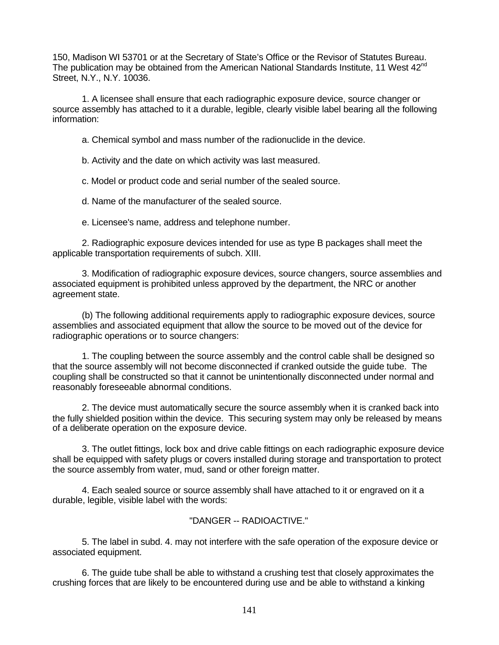150, Madison WI 53701 or at the Secretary of State's Office or the Revisor of Statutes Bureau. The publication may be obtained from the American National Standards Institute, 11 West 42<sup>nd</sup> Street, N.Y., N.Y. 10036.

1. A licensee shall ensure that each radiographic exposure device, source changer or source assembly has attached to it a durable, legible, clearly visible label bearing all the following information:

a. Chemical symbol and mass number of the radionuclide in the device.

b. Activity and the date on which activity was last measured.

c. Model or product code and serial number of the sealed source.

d. Name of the manufacturer of the sealed source.

e. Licensee's name, address and telephone number.

2. Radiographic exposure devices intended for use as type B packages shall meet the applicable transportation requirements of subch. XIII.

3. Modification of radiographic exposure devices, source changers, source assemblies and associated equipment is prohibited unless approved by the department, the NRC or another agreement state.

(b) The following additional requirements apply to radiographic exposure devices, source assemblies and associated equipment that allow the source to be moved out of the device for radiographic operations or to source changers:

1. The coupling between the source assembly and the control cable shall be designed so that the source assembly will not become disconnected if cranked outside the guide tube. The coupling shall be constructed so that it cannot be unintentionally disconnected under normal and reasonably foreseeable abnormal conditions.

2. The device must automatically secure the source assembly when it is cranked back into the fully shielded position within the device. This securing system may only be released by means of a deliberate operation on the exposure device.

3. The outlet fittings, lock box and drive cable fittings on each radiographic exposure device shall be equipped with safety plugs or covers installed during storage and transportation to protect the source assembly from water, mud, sand or other foreign matter.

4. Each sealed source or source assembly shall have attached to it or engraved on it a durable, legible, visible label with the words:

## "DANGER -- RADIOACTIVE."

5. The label in subd. 4. may not interfere with the safe operation of the exposure device or associated equipment.

6. The guide tube shall be able to withstand a crushing test that closely approximates the crushing forces that are likely to be encountered during use and be able to withstand a kinking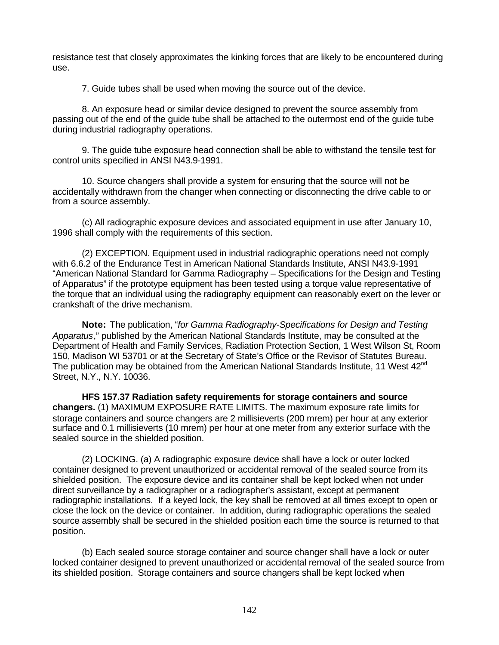resistance test that closely approximates the kinking forces that are likely to be encountered during use.

7. Guide tubes shall be used when moving the source out of the device.

8. An exposure head or similar device designed to prevent the source assembly from passing out of the end of the guide tube shall be attached to the outermost end of the guide tube during industrial radiography operations.

9. The guide tube exposure head connection shall be able to withstand the tensile test for control units specified in ANSI N43.9-1991.

10. Source changers shall provide a system for ensuring that the source will not be accidentally withdrawn from the changer when connecting or disconnecting the drive cable to or from a source assembly.

(c) All radiographic exposure devices and associated equipment in use after January 10, 1996 shall comply with the requirements of this section.

(2) EXCEPTION. Equipment used in industrial radiographic operations need not comply with 6.6.2 of the Endurance Test in American National Standards Institute, ANSI N43.9-1991 "American National Standard for Gamma Radiography – Specifications for the Design and Testing of Apparatus" if the prototype equipment has been tested using a torque value representative of the torque that an individual using the radiography equipment can reasonably exert on the lever or crankshaft of the drive mechanism.

**Note:** The publication, "*for Gamma Radiography-Specifications for Design and Testing Apparatus*," published by the American National Standards Institute, may be consulted at the Department of Health and Family Services, Radiation Protection Section, 1 West Wilson St, Room 150, Madison WI 53701 or at the Secretary of State's Office or the Revisor of Statutes Bureau. The publication may be obtained from the American National Standards Institute, 11 West 42<sup>nd</sup> Street, N.Y., N.Y. 10036.

**HFS 157.37 Radiation safety requirements for storage containers and source changers.** (1) MAXIMUM EXPOSURE RATE LIMITS. The maximum exposure rate limits for storage containers and source changers are 2 millisieverts (200 mrem) per hour at any exterior surface and 0.1 millisieverts (10 mrem) per hour at one meter from any exterior surface with the sealed source in the shielded position.

(2) LOCKING. (a) A radiographic exposure device shall have a lock or outer locked container designed to prevent unauthorized or accidental removal of the sealed source from its shielded position. The exposure device and its container shall be kept locked when not under direct surveillance by a radiographer or a radiographer's assistant, except at permanent radiographic installations. If a keyed lock, the key shall be removed at all times except to open or close the lock on the device or container. In addition, during radiographic operations the sealed source assembly shall be secured in the shielded position each time the source is returned to that position.

(b) Each sealed source storage container and source changer shall have a lock or outer locked container designed to prevent unauthorized or accidental removal of the sealed source from its shielded position. Storage containers and source changers shall be kept locked when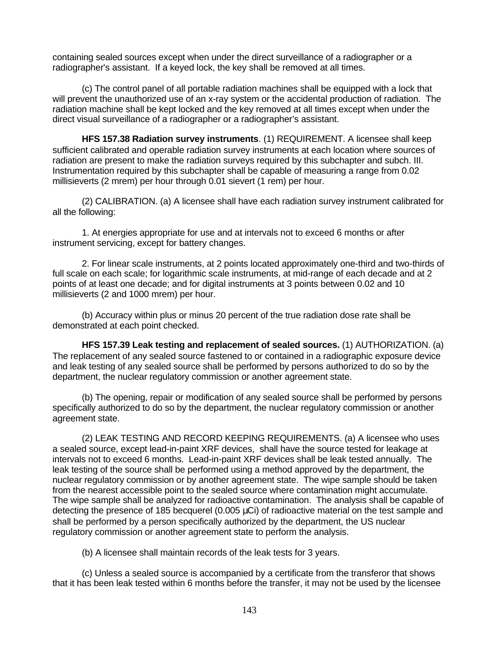containing sealed sources except when under the direct surveillance of a radiographer or a radiographer's assistant. If a keyed lock, the key shall be removed at all times.

(c) The control panel of all portable radiation machines shall be equipped with a lock that will prevent the unauthorized use of an x-ray system or the accidental production of radiation. The radiation machine shall be kept locked and the key removed at all times except when under the direct visual surveillance of a radiographer or a radiographer's assistant.

**HFS 157.38 Radiation survey instruments**. (1) REQUIREMENT. A licensee shall keep sufficient calibrated and operable radiation survey instruments at each location where sources of radiation are present to make the radiation surveys required by this subchapter and subch. III. Instrumentation required by this subchapter shall be capable of measuring a range from 0.02 millisieverts (2 mrem) per hour through 0.01 sievert (1 rem) per hour.

(2) CALIBRATION. (a) A licensee shall have each radiation survey instrument calibrated for all the following:

1. At energies appropriate for use and at intervals not to exceed 6 months or after instrument servicing, except for battery changes.

2. For linear scale instruments, at 2 points located approximately one-third and two-thirds of full scale on each scale; for logarithmic scale instruments, at mid-range of each decade and at 2 points of at least one decade; and for digital instruments at 3 points between 0.02 and 10 millisieverts (2 and 1000 mrem) per hour.

(b) Accuracy within plus or minus 20 percent of the true radiation dose rate shall be demonstrated at each point checked.

**HFS 157.39 Leak testing and replacement of sealed sources.** (1) AUTHORIZATION. (a) The replacement of any sealed source fastened to or contained in a radiographic exposure device and leak testing of any sealed source shall be performed by persons authorized to do so by the department, the nuclear regulatory commission or another agreement state.

(b) The opening, repair or modification of any sealed source shall be performed by persons specifically authorized to do so by the department, the nuclear regulatory commission or another agreement state.

(2) LEAK TESTING AND RECORD KEEPING REQUIREMENTS. (a) A licensee who uses a sealed source, except lead-in-paint XRF devices, shall have the source tested for leakage at intervals not to exceed 6 months. Lead-in-paint XRF devices shall be leak tested annually. The leak testing of the source shall be performed using a method approved by the department, the nuclear regulatory commission or by another agreement state. The wipe sample should be taken from the nearest accessible point to the sealed source where contamination might accumulate. The wipe sample shall be analyzed for radioactive contamination. The analysis shall be capable of detecting the presence of 185 becquerel (0.005 μCi) of radioactive material on the test sample and shall be performed by a person specifically authorized by the department, the US nuclear regulatory commission or another agreement state to perform the analysis.

(b) A licensee shall maintain records of the leak tests for 3 years.

(c) Unless a sealed source is accompanied by a certificate from the transferor that shows that it has been leak tested within 6 months before the transfer, it may not be used by the licensee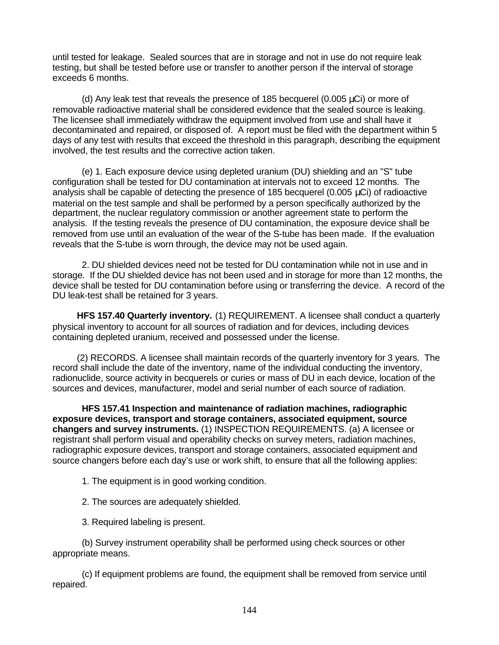until tested for leakage. Sealed sources that are in storage and not in use do not require leak testing, but shall be tested before use or transfer to another person if the interval of storage exceeds 6 months.

(d) Any leak test that reveals the presence of 185 becquerel (0.005 μCi) or more of removable radioactive material shall be considered evidence that the sealed source is leaking. The licensee shall immediately withdraw the equipment involved from use and shall have it decontaminated and repaired, or disposed of. A report must be filed with the department within 5 days of any test with results that exceed the threshold in this paragraph, describing the equipment involved, the test results and the corrective action taken.

(e) 1. Each exposure device using depleted uranium (DU) shielding and an "S" tube configuration shall be tested for DU contamination at intervals not to exceed 12 months. The analysis shall be capable of detecting the presence of 185 becquerel (0.005  $\mu$ Ci) of radioactive material on the test sample and shall be performed by a person specifically authorized by the department, the nuclear regulatory commission or another agreement state to perform the analysis. If the testing reveals the presence of DU contamination, the exposure device shall be removed from use until an evaluation of the wear of the S-tube has been made. If the evaluation reveals that the S-tube is worn through, the device may not be used again.

2. DU shielded devices need not be tested for DU contamination while not in use and in storage. If the DU shielded device has not been used and in storage for more than 12 months, the device shall be tested for DU contamination before using or transferring the device. A record of the DU leak-test shall be retained for 3 years.

**HFS 157.40 Quarterly inventory.** (1) REQUIREMENT. A licensee shall conduct a quarterly physical inventory to account for all sources of radiation and for devices, including devices containing depleted uranium, received and possessed under the license.

(2) RECORDS. A licensee shall maintain records of the quarterly inventory for 3 years. The record shall include the date of the inventory, name of the individual conducting the inventory, radionuclide, source activity in becquerels or curies or mass of DU in each device, location of the sources and devices, manufacturer, model and serial number of each source of radiation.

**HFS 157.41 Inspection and maintenance of radiation machines, radiographic exposure devices, transport and storage containers, associated equipment, source changers and survey instruments.** (1) INSPECTION REQUIREMENTS. (a) A licensee or registrant shall perform visual and operability checks on survey meters, radiation machines, radiographic exposure devices, transport and storage containers, associated equipment and source changers before each day's use or work shift, to ensure that all the following applies:

1. The equipment is in good working condition.

2. The sources are adequately shielded.

3. Required labeling is present.

(b) Survey instrument operability shall be performed using check sources or other appropriate means.

(c) If equipment problems are found, the equipment shall be removed from service until repaired.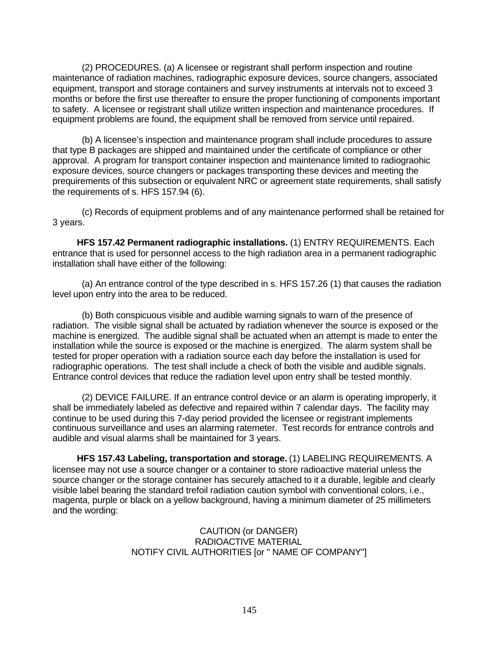(2) PROCEDURES. (a) A licensee or registrant shall perform inspection and routine maintenance of radiation machines, radiographic exposure devices, source changers, associated equipment, transport and storage containers and survey instruments at intervals not to exceed 3 months or before the first use thereafter to ensure the proper functioning of components important to safety. A licensee or registrant shall utilize written inspection and maintenance procedures. If equipment problems are found, the equipment shall be removed from service until repaired.

(b) A licensee's inspection and maintenance program shall include procedures to assure that type B packages are shipped and maintained under the certificate of compliance or other approval. A program for transport container inspection and maintenance limited to radiograohic exposure devices, source changers or packages transporting these devices and meeting the prequirements of this subsection or equivalent NRC or agreement state requirements, shall satisfy the requirements of s. HFS 157.94 (6).

(c) Records of equipment problems and of any maintenance performed shall be retained for 3 years.

**HFS 157.42 Permanent radiographic installations.** (1) ENTRY REQUIREMENTS. Each entrance that is used for personnel access to the high radiation area in a permanent radiographic installation shall have either of the following:

(a) An entrance control of the type described in s. HFS 157.26 (1) that causes the radiation level upon entry into the area to be reduced.

(b) Both conspicuous visible and audible warning signals to warn of the presence of radiation. The visible signal shall be actuated by radiation whenever the source is exposed or the machine is energized. The audible signal shall be actuated when an attempt is made to enter the installation while the source is exposed or the machine is energized. The alarm system shall be tested for proper operation with a radiation source each day before the installation is used for radiographic operations. The test shall include a check of both the visible and audible signals. Entrance control devices that reduce the radiation level upon entry shall be tested monthly.

(2) DEVICE FAILURE. If an entrance control device or an alarm is operating improperly, it shall be immediately labeled as defective and repaired within 7 calendar days. The facility may continue to be used during this 7-day period provided the licensee or registrant implements continuous surveillance and uses an alarming ratemeter. Test records for entrance controls and audible and visual alarms shall be maintained for 3 years.

**HFS 157.43 Labeling, transportation and storage.** (1) LABELING REQUIREMENTS. A licensee may not use a source changer or a container to store radioactive material unless the source changer or the storage container has securely attached to it a durable, legible and clearly visible label bearing the standard trefoil radiation caution symbol with conventional colors, i.e., magenta, purple or black on a yellow background, having a minimum diameter of 25 millimeters and the wording:

> CAUTION (or DANGER) RADIOACTIVE MATERIAL NOTIFY CIVIL AUTHORITIES [or " NAME OF COMPANY"]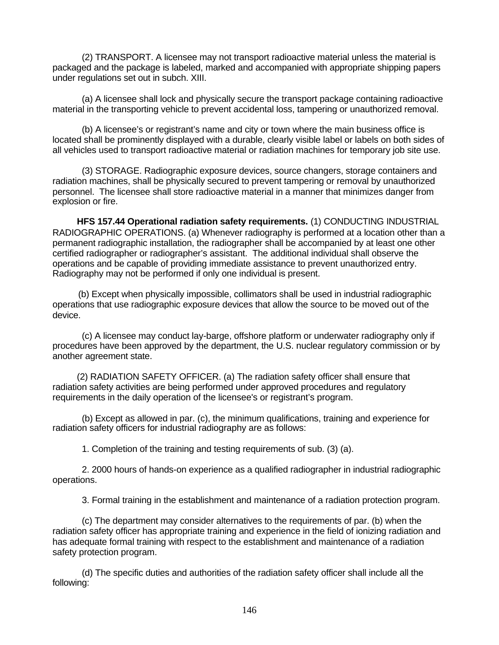(2) TRANSPORT. A licensee may not transport radioactive material unless the material is packaged and the package is labeled, marked and accompanied with appropriate shipping papers under regulations set out in subch. XIII.

(a) A licensee shall lock and physically secure the transport package containing radioactive material in the transporting vehicle to prevent accidental loss, tampering or unauthorized removal.

(b) A licensee's or registrant's name and city or town where the main business office is located shall be prominently displayed with a durable, clearly visible label or labels on both sides of all vehicles used to transport radioactive material or radiation machines for temporary job site use.

(3) STORAGE. Radiographic exposure devices, source changers, storage containers and radiation machines, shall be physically secured to prevent tampering or removal by unauthorized personnel. The licensee shall store radioactive material in a manner that minimizes danger from explosion or fire.

**HFS 157.44 Operational radiation safety requirements.** (1) CONDUCTING INDUSTRIAL RADIOGRAPHIC OPERATIONS. (a) Whenever radiography is performed at a location other than a permanent radiographic installation, the radiographer shall be accompanied by at least one other certified radiographer or radiographer's assistant. The additional individual shall observe the operations and be capable of providing immediate assistance to prevent unauthorized entry. Radiography may not be performed if only one individual is present.

(b) Except when physically impossible, collimators shall be used in industrial radiographic operations that use radiographic exposure devices that allow the source to be moved out of the device.

(c) A licensee may conduct lay-barge, offshore platform or underwater radiography only if procedures have been approved by the department, the U.S. nuclear regulatory commission or by another agreement state.

(2) RADIATION SAFETY OFFICER. (a) The radiation safety officer shall ensure that radiation safety activities are being performed under approved procedures and regulatory requirements in the daily operation of the licensee's or registrant's program.

(b) Except as allowed in par. (c), the minimum qualifications, training and experience for radiation safety officers for industrial radiography are as follows:

1. Completion of the training and testing requirements of sub. (3) (a).

2. 2000 hours of hands-on experience as a qualified radiographer in industrial radiographic operations.

3. Formal training in the establishment and maintenance of a radiation protection program.

(c) The department may consider alternatives to the requirements of par. (b) when the radiation safety officer has appropriate training and experience in the field of ionizing radiation and has adequate formal training with respect to the establishment and maintenance of a radiation safety protection program.

(d) The specific duties and authorities of the radiation safety officer shall include all the following: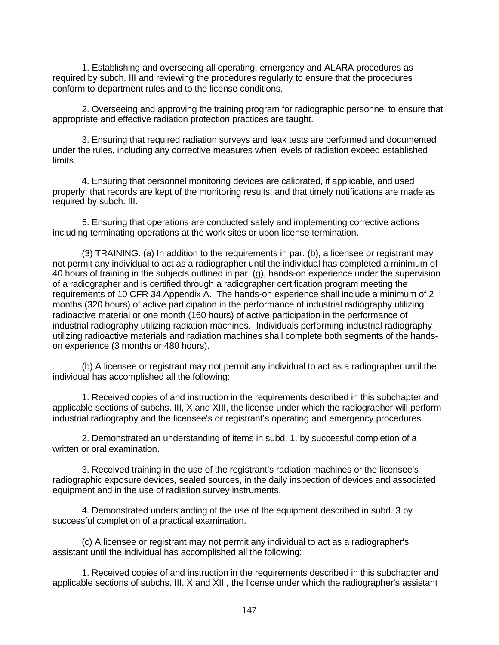1. Establishing and overseeing all operating, emergency and ALARA procedures as required by subch. III and reviewing the procedures regularly to ensure that the procedures conform to department rules and to the license conditions.

2. Overseeing and approving the training program for radiographic personnel to ensure that appropriate and effective radiation protection practices are taught.

3. Ensuring that required radiation surveys and leak tests are performed and documented under the rules, including any corrective measures when levels of radiation exceed established limits.

4. Ensuring that personnel monitoring devices are calibrated, if applicable, and used properly; that records are kept of the monitoring results; and that timely notifications are made as required by subch. III.

5. Ensuring that operations are conducted safely and implementing corrective actions including terminating operations at the work sites or upon license termination.

(3) TRAINING. (a) In addition to the requirements in par. (b), a licensee or registrant may not permit any individual to act as a radiographer until the individual has completed a minimum of 40 hours of training in the subjects outlined in par. (g), hands-on experience under the supervision of a radiographer and is certified through a radiographer certification program meeting the requirements of 10 CFR 34 Appendix A. The hands-on experience shall include a minimum of 2 months (320 hours) of active participation in the performance of industrial radiography utilizing radioactive material or one month (160 hours) of active participation in the performance of industrial radiography utilizing radiation machines. Individuals performing industrial radiography utilizing radioactive materials and radiation machines shall complete both segments of the handson experience (3 months or 480 hours).

(b) A licensee or registrant may not permit any individual to act as a radiographer until the individual has accomplished all the following:

1. Received copies of and instruction in the requirements described in this subchapter and applicable sections of subchs. III, X and XIII, the license under which the radiographer will perform industrial radiography and the licensee's or registrant's operating and emergency procedures.

2. Demonstrated an understanding of items in subd. 1. by successful completion of a written or oral examination.

3. Received training in the use of the registrant's radiation machines or the licensee's radiographic exposure devices, sealed sources, in the daily inspection of devices and associated equipment and in the use of radiation survey instruments.

4. Demonstrated understanding of the use of the equipment described in subd. 3 by successful completion of a practical examination.

(c) A licensee or registrant may not permit any individual to act as a radiographer's assistant until the individual has accomplished all the following:

1. Received copies of and instruction in the requirements described in this subchapter and applicable sections of subchs. III, X and XIII, the license under which the radiographer's assistant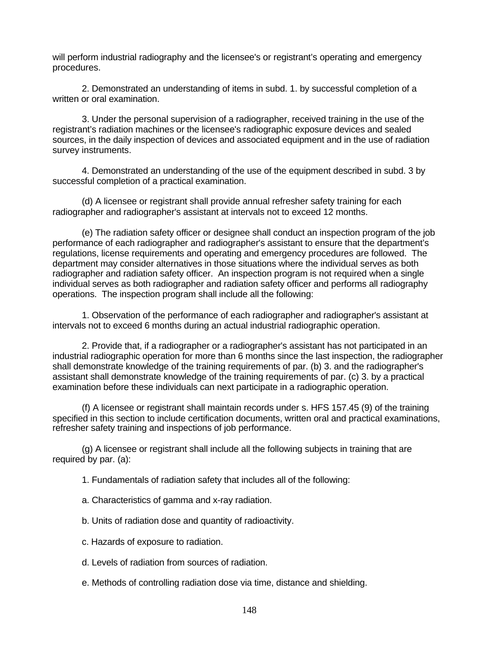will perform industrial radiography and the licensee's or registrant's operating and emergency procedures.

2. Demonstrated an understanding of items in subd. 1. by successful completion of a written or oral examination.

3. Under the personal supervision of a radiographer, received training in the use of the registrant's radiation machines or the licensee's radiographic exposure devices and sealed sources, in the daily inspection of devices and associated equipment and in the use of radiation survey instruments.

4. Demonstrated an understanding of the use of the equipment described in subd. 3 by successful completion of a practical examination.

(d) A licensee or registrant shall provide annual refresher safety training for each radiographer and radiographer's assistant at intervals not to exceed 12 months.

(e) The radiation safety officer or designee shall conduct an inspection program of the job performance of each radiographer and radiographer's assistant to ensure that the department's regulations, license requirements and operating and emergency procedures are followed. The department may consider alternatives in those situations where the individual serves as both radiographer and radiation safety officer. An inspection program is not required when a single individual serves as both radiographer and radiation safety officer and performs all radiography operations. The inspection program shall include all the following:

1. Observation of the performance of each radiographer and radiographer's assistant at intervals not to exceed 6 months during an actual industrial radiographic operation.

2. Provide that, if a radiographer or a radiographer's assistant has not participated in an industrial radiographic operation for more than 6 months since the last inspection, the radiographer shall demonstrate knowledge of the training requirements of par. (b) 3. and the radiographer's assistant shall demonstrate knowledge of the training requirements of par. (c) 3. by a practical examination before these individuals can next participate in a radiographic operation.

(f) A licensee or registrant shall maintain records under s. HFS 157.45 (9) of the training specified in this section to include certification documents, written oral and practical examinations, refresher safety training and inspections of job performance.

(g) A licensee or registrant shall include all the following subjects in training that are required by par. (a):

- 1. Fundamentals of radiation safety that includes all of the following:
- a. Characteristics of gamma and x-ray radiation.
- b. Units of radiation dose and quantity of radioactivity.
- c. Hazards of exposure to radiation.
- d. Levels of radiation from sources of radiation.
- e. Methods of controlling radiation dose via time, distance and shielding.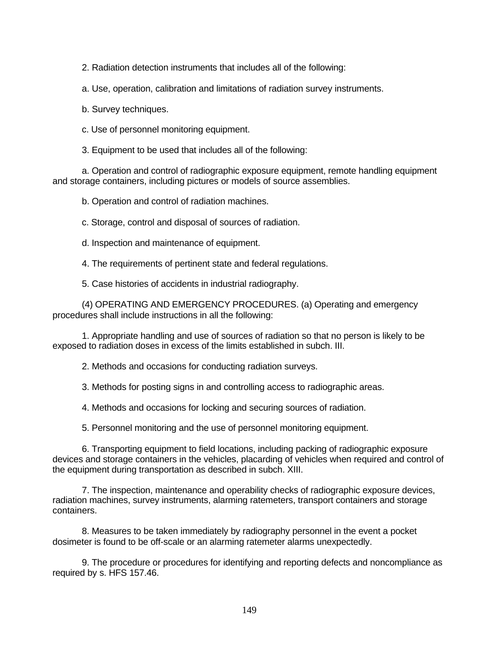2. Radiation detection instruments that includes all of the following:

a. Use, operation, calibration and limitations of radiation survey instruments.

b. Survey techniques.

c. Use of personnel monitoring equipment.

3. Equipment to be used that includes all of the following:

a. Operation and control of radiographic exposure equipment, remote handling equipment and storage containers, including pictures or models of source assemblies.

b. Operation and control of radiation machines.

c. Storage, control and disposal of sources of radiation.

d. Inspection and maintenance of equipment.

4. The requirements of pertinent state and federal regulations.

5. Case histories of accidents in industrial radiography.

(4) OPERATING AND EMERGENCY PROCEDURES. (a) Operating and emergency procedures shall include instructions in all the following:

1. Appropriate handling and use of sources of radiation so that no person is likely to be exposed to radiation doses in excess of the limits established in subch. III.

2. Methods and occasions for conducting radiation surveys.

3. Methods for posting signs in and controlling access to radiographic areas.

4. Methods and occasions for locking and securing sources of radiation.

5. Personnel monitoring and the use of personnel monitoring equipment.

6. Transporting equipment to field locations, including packing of radiographic exposure devices and storage containers in the vehicles, placarding of vehicles when required and control of the equipment during transportation as described in subch. XIII.

7. The inspection, maintenance and operability checks of radiographic exposure devices, radiation machines, survey instruments, alarming ratemeters, transport containers and storage containers.

8. Measures to be taken immediately by radiography personnel in the event a pocket dosimeter is found to be off-scale or an alarming ratemeter alarms unexpectedly.

9. The procedure or procedures for identifying and reporting defects and noncompliance as required by s. HFS 157.46.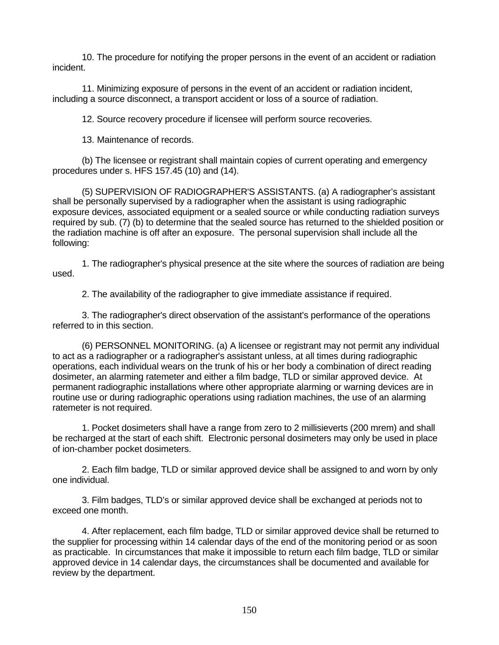10. The procedure for notifying the proper persons in the event of an accident or radiation incident.

11. Minimizing exposure of persons in the event of an accident or radiation incident, including a source disconnect, a transport accident or loss of a source of radiation.

12. Source recovery procedure if licensee will perform source recoveries.

13. Maintenance of records.

(b) The licensee or registrant shall maintain copies of current operating and emergency procedures under s. HFS 157.45 (10) and (14).

(5) SUPERVISION OF RADIOGRAPHER'S ASSISTANTS. (a) A radiographer's assistant shall be personally supervised by a radiographer when the assistant is using radiographic exposure devices, associated equipment or a sealed source or while conducting radiation surveys required by sub. (7) (b) to determine that the sealed source has returned to the shielded position or the radiation machine is off after an exposure. The personal supervision shall include all the following:

1. The radiographer's physical presence at the site where the sources of radiation are being used.

2. The availability of the radiographer to give immediate assistance if required.

3. The radiographer's direct observation of the assistant's performance of the operations referred to in this section.

(6) PERSONNEL MONITORING. (a) A licensee or registrant may not permit any individual to act as a radiographer or a radiographer's assistant unless, at all times during radiographic operations, each individual wears on the trunk of his or her body a combination of direct reading dosimeter, an alarming ratemeter and either a film badge, TLD or similar approved device. At permanent radiographic installations where other appropriate alarming or warning devices are in routine use or during radiographic operations using radiation machines, the use of an alarming ratemeter is not required.

1. Pocket dosimeters shall have a range from zero to 2 millisieverts (200 mrem) and shall be recharged at the start of each shift. Electronic personal dosimeters may only be used in place of ion-chamber pocket dosimeters.

2. Each film badge, TLD or similar approved device shall be assigned to and worn by only one individual.

3. Film badges, TLD's or similar approved device shall be exchanged at periods not to exceed one month.

4. After replacement, each film badge, TLD or similar approved device shall be returned to the supplier for processing within 14 calendar days of the end of the monitoring period or as soon as practicable. In circumstances that make it impossible to return each film badge, TLD or similar approved device in 14 calendar days, the circumstances shall be documented and available for review by the department.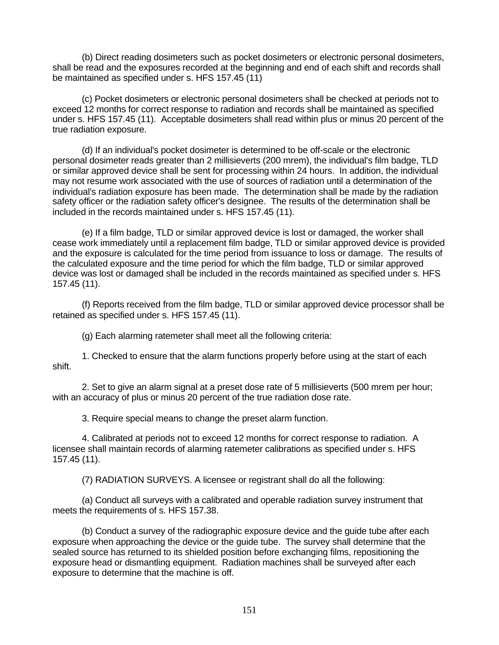(b) Direct reading dosimeters such as pocket dosimeters or electronic personal dosimeters, shall be read and the exposures recorded at the beginning and end of each shift and records shall be maintained as specified under s. HFS 157.45 (11)

(c) Pocket dosimeters or electronic personal dosimeters shall be checked at periods not to exceed 12 months for correct response to radiation and records shall be maintained as specified under s. HFS 157.45 (11). Acceptable dosimeters shall read within plus or minus 20 percent of the true radiation exposure.

(d) If an individual's pocket dosimeter is determined to be off-scale or the electronic personal dosimeter reads greater than 2 millisieverts (200 mrem), the individual's film badge, TLD or similar approved device shall be sent for processing within 24 hours. In addition, the individual may not resume work associated with the use of sources of radiation until a determination of the individual's radiation exposure has been made. The determination shall be made by the radiation safety officer or the radiation safety officer's designee. The results of the determination shall be included in the records maintained under s. HFS 157.45 (11).

(e) If a film badge, TLD or similar approved device is lost or damaged, the worker shall cease work immediately until a replacement film badge, TLD or similar approved device is provided and the exposure is calculated for the time period from issuance to loss or damage. The results of the calculated exposure and the time period for which the film badge, TLD or similar approved device was lost or damaged shall be included in the records maintained as specified under s. HFS 157.45 (11).

(f) Reports received from the film badge, TLD or similar approved device processor shall be retained as specified under s. HFS 157.45 (11).

(g) Each alarming ratemeter shall meet all the following criteria:

1. Checked to ensure that the alarm functions properly before using at the start of each shift.

2. Set to give an alarm signal at a preset dose rate of 5 millisieverts (500 mrem per hour; with an accuracy of plus or minus 20 percent of the true radiation dose rate.

3. Require special means to change the preset alarm function.

4. Calibrated at periods not to exceed 12 months for correct response to radiation. A licensee shall maintain records of alarming ratemeter calibrations as specified under s. HFS 157.45 (11).

(7) RADIATION SURVEYS. A licensee or registrant shall do all the following:

(a) Conduct all surveys with a calibrated and operable radiation survey instrument that meets the requirements of s. HFS 157.38.

(b) Conduct a survey of the radiographic exposure device and the guide tube after each exposure when approaching the device or the guide tube. The survey shall determine that the sealed source has returned to its shielded position before exchanging films, repositioning the exposure head or dismantling equipment. Radiation machines shall be surveyed after each exposure to determine that the machine is off.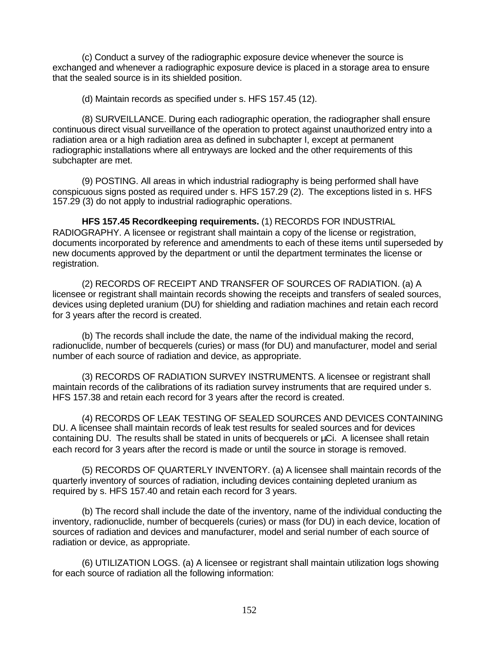(c) Conduct a survey of the radiographic exposure device whenever the source is exchanged and whenever a radiographic exposure device is placed in a storage area to ensure that the sealed source is in its shielded position.

(d) Maintain records as specified under s. HFS 157.45 (12).

(8) SURVEILLANCE. During each radiographic operation, the radiographer shall ensure continuous direct visual surveillance of the operation to protect against unauthorized entry into a radiation area or a high radiation area as defined in subchapter I, except at permanent radiographic installations where all entryways are locked and the other requirements of this subchapter are met.

(9) POSTING. All areas in which industrial radiography is being performed shall have conspicuous signs posted as required under s. HFS 157.29 (2). The exceptions listed in s. HFS 157.29 (3) do not apply to industrial radiographic operations.

**HFS 157.45 Recordkeeping requirements.** (1) RECORDS FOR INDUSTRIAL RADIOGRAPHY. A licensee or registrant shall maintain a copy of the license or registration, documents incorporated by reference and amendments to each of these items until superseded by new documents approved by the department or until the department terminates the license or registration.

(2) RECORDS OF RECEIPT AND TRANSFER OF SOURCES OF RADIATION. (a) A licensee or registrant shall maintain records showing the receipts and transfers of sealed sources, devices using depleted uranium (DU) for shielding and radiation machines and retain each record for 3 years after the record is created.

(b) The records shall include the date, the name of the individual making the record, radionuclide, number of becquerels (curies) or mass (for DU) and manufacturer, model and serial number of each source of radiation and device, as appropriate.

(3) RECORDS OF RADIATION SURVEY INSTRUMENTS. A licensee or registrant shall maintain records of the calibrations of its radiation survey instruments that are required under s. HFS 157.38 and retain each record for 3 years after the record is created.

(4) RECORDS OF LEAK TESTING OF SEALED SOURCES AND DEVICES CONTAINING DU. A licensee shall maintain records of leak test results for sealed sources and for devices containing DU. The results shall be stated in units of becquerels or μCi. A licensee shall retain each record for 3 years after the record is made or until the source in storage is removed.

(5) RECORDS OF QUARTERLY INVENTORY. (a) A licensee shall maintain records of the quarterly inventory of sources of radiation, including devices containing depleted uranium as required by s. HFS 157.40 and retain each record for 3 years.

(b) The record shall include the date of the inventory, name of the individual conducting the inventory, radionuclide, number of becquerels (curies) or mass (for DU) in each device, location of sources of radiation and devices and manufacturer, model and serial number of each source of radiation or device, as appropriate.

(6) UTILIZATION LOGS. (a) A licensee or registrant shall maintain utilization logs showing for each source of radiation all the following information: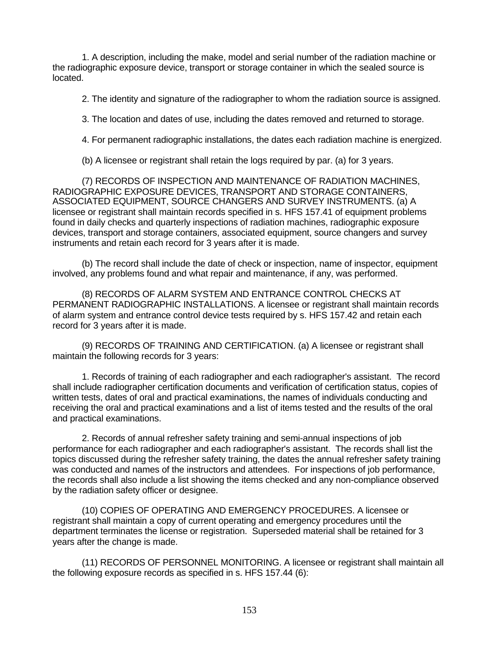1. A description, including the make, model and serial number of the radiation machine or the radiographic exposure device, transport or storage container in which the sealed source is located.

2. The identity and signature of the radiographer to whom the radiation source is assigned.

3. The location and dates of use, including the dates removed and returned to storage.

4. For permanent radiographic installations, the dates each radiation machine is energized.

(b) A licensee or registrant shall retain the logs required by par. (a) for 3 years.

(7) RECORDS OF INSPECTION AND MAINTENANCE OF RADIATION MACHINES, RADIOGRAPHIC EXPOSURE DEVICES, TRANSPORT AND STORAGE CONTAINERS, ASSOCIATED EQUIPMENT, SOURCE CHANGERS AND SURVEY INSTRUMENTS. (a) A licensee or registrant shall maintain records specified in s. HFS 157.41 of equipment problems found in daily checks and quarterly inspections of radiation machines, radiographic exposure devices, transport and storage containers, associated equipment, source changers and survey instruments and retain each record for 3 years after it is made.

(b) The record shall include the date of check or inspection, name of inspector, equipment involved, any problems found and what repair and maintenance, if any, was performed.

(8) RECORDS OF ALARM SYSTEM AND ENTRANCE CONTROL CHECKS AT PERMANENT RADIOGRAPHIC INSTALLATIONS. A licensee or registrant shall maintain records of alarm system and entrance control device tests required by s. HFS 157.42 and retain each record for 3 years after it is made.

(9) RECORDS OF TRAINING AND CERTIFICATION. (a) A licensee or registrant shall maintain the following records for 3 years:

1. Records of training of each radiographer and each radiographer's assistant. The record shall include radiographer certification documents and verification of certification status, copies of written tests, dates of oral and practical examinations, the names of individuals conducting and receiving the oral and practical examinations and a list of items tested and the results of the oral and practical examinations.

2. Records of annual refresher safety training and semi-annual inspections of job performance for each radiographer and each radiographer's assistant. The records shall list the topics discussed during the refresher safety training, the dates the annual refresher safety training was conducted and names of the instructors and attendees. For inspections of job performance, the records shall also include a list showing the items checked and any non-compliance observed by the radiation safety officer or designee.

(10) COPIES OF OPERATING AND EMERGENCY PROCEDURES. A licensee or registrant shall maintain a copy of current operating and emergency procedures until the department terminates the license or registration. Superseded material shall be retained for 3 years after the change is made.

(11) RECORDS OF PERSONNEL MONITORING. A licensee or registrant shall maintain all the following exposure records as specified in s. HFS 157.44 (6):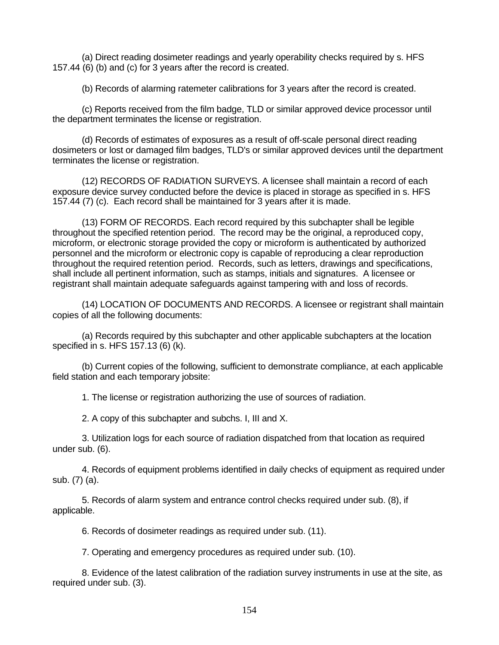(a) Direct reading dosimeter readings and yearly operability checks required by s. HFS 157.44 (6) (b) and (c) for 3 years after the record is created.

(b) Records of alarming ratemeter calibrations for 3 years after the record is created.

(c) Reports received from the film badge, TLD or similar approved device processor until the department terminates the license or registration.

(d) Records of estimates of exposures as a result of off-scale personal direct reading dosimeters or lost or damaged film badges, TLD's or similar approved devices until the department terminates the license or registration.

(12) RECORDS OF RADIATION SURVEYS. A licensee shall maintain a record of each exposure device survey conducted before the device is placed in storage as specified in s. HFS 157.44 (7) (c). Each record shall be maintained for 3 years after it is made.

(13) FORM OF RECORDS. Each record required by this subchapter shall be legible throughout the specified retention period. The record may be the original, a reproduced copy, microform, or electronic storage provided the copy or microform is authenticated by authorized personnel and the microform or electronic copy is capable of reproducing a clear reproduction throughout the required retention period. Records, such as letters, drawings and specifications, shall include all pertinent information, such as stamps, initials and signatures. A licensee or registrant shall maintain adequate safeguards against tampering with and loss of records.

(14) LOCATION OF DOCUMENTS AND RECORDS. A licensee or registrant shall maintain copies of all the following documents:

(a) Records required by this subchapter and other applicable subchapters at the location specified in s. HFS 157.13 (6) (k).

(b) Current copies of the following, sufficient to demonstrate compliance, at each applicable field station and each temporary jobsite:

1. The license or registration authorizing the use of sources of radiation.

2. A copy of this subchapter and subchs. I, III and X.

3. Utilization logs for each source of radiation dispatched from that location as required under sub. (6).

4. Records of equipment problems identified in daily checks of equipment as required under sub. (7) (a).

5. Records of alarm system and entrance control checks required under sub. (8), if applicable.

6. Records of dosimeter readings as required under sub. (11).

7. Operating and emergency procedures as required under sub. (10).

8. Evidence of the latest calibration of the radiation survey instruments in use at the site, as required under sub. (3).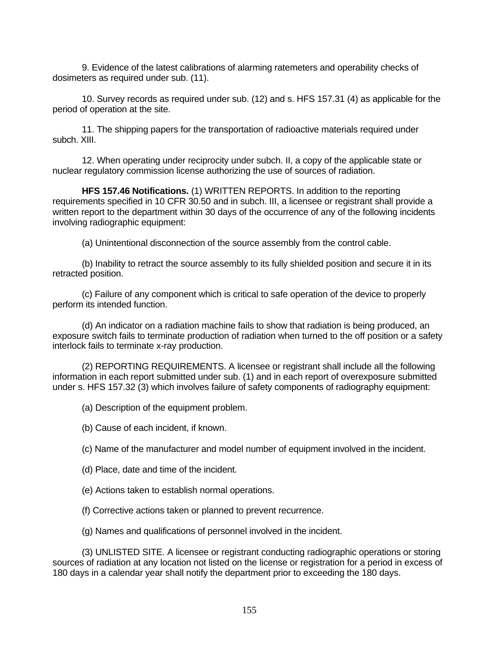9. Evidence of the latest calibrations of alarming ratemeters and operability checks of dosimeters as required under sub. (11).

10. Survey records as required under sub. (12) and s. HFS 157.31 (4) as applicable for the period of operation at the site.

11. The shipping papers for the transportation of radioactive materials required under subch. XIII.

12. When operating under reciprocity under subch. II, a copy of the applicable state or nuclear regulatory commission license authorizing the use of sources of radiation.

**HFS 157.46 Notifications.** (1) WRITTEN REPORTS. In addition to the reporting requirements specified in 10 CFR 30.50 and in subch. III, a licensee or registrant shall provide a written report to the department within 30 days of the occurrence of any of the following incidents involving radiographic equipment:

(a) Unintentional disconnection of the source assembly from the control cable.

(b) Inability to retract the source assembly to its fully shielded position and secure it in its retracted position.

(c) Failure of any component which is critical to safe operation of the device to properly perform its intended function.

(d) An indicator on a radiation machine fails to show that radiation is being produced, an exposure switch fails to terminate production of radiation when turned to the off position or a safety interlock fails to terminate x-ray production.

(2) REPORTING REQUIREMENTS. A licensee or registrant shall include all the following information in each report submitted under sub. (1) and in each report of overexposure submitted under s. HFS 157.32 (3) which involves failure of safety components of radiography equipment:

(a) Description of the equipment problem.

(b) Cause of each incident, if known.

(c) Name of the manufacturer and model number of equipment involved in the incident.

(d) Place, date and time of the incident.

(e) Actions taken to establish normal operations.

(f) Corrective actions taken or planned to prevent recurrence.

(g) Names and qualifications of personnel involved in the incident.

(3) UNLISTED SITE. A licensee or registrant conducting radiographic operations or storing sources of radiation at any location not listed on the license or registration for a period in excess of 180 days in a calendar year shall notify the department prior to exceeding the 180 days.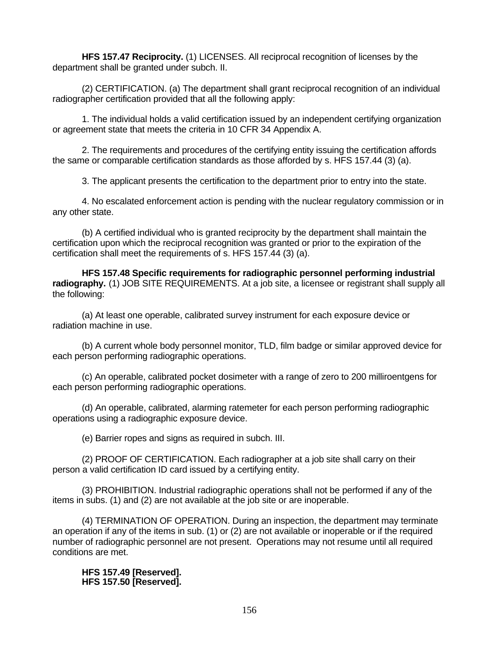**HFS 157.47 Reciprocity.** (1) LICENSES. All reciprocal recognition of licenses by the department shall be granted under subch. II.

(2) CERTIFICATION. (a) The department shall grant reciprocal recognition of an individual radiographer certification provided that all the following apply:

1. The individual holds a valid certification issued by an independent certifying organization or agreement state that meets the criteria in 10 CFR 34 Appendix A.

2. The requirements and procedures of the certifying entity issuing the certification affords the same or comparable certification standards as those afforded by s. HFS 157.44 (3) (a).

3. The applicant presents the certification to the department prior to entry into the state.

4. No escalated enforcement action is pending with the nuclear regulatory commission or in any other state.

(b) A certified individual who is granted reciprocity by the department shall maintain the certification upon which the reciprocal recognition was granted or prior to the expiration of the certification shall meet the requirements of s. HFS 157.44 (3) (a).

**HFS 157.48 Specific requirements for radiographic personnel performing industrial** radiography. (1) JOB SITE REQUIREMENTS. At a job site, a licensee or registrant shall supply all the following:

(a) At least one operable, calibrated survey instrument for each exposure device or radiation machine in use.

(b) A current whole body personnel monitor, TLD, film badge or similar approved device for each person performing radiographic operations.

(c) An operable, calibrated pocket dosimeter with a range of zero to 200 milliroentgens for each person performing radiographic operations.

(d) An operable, calibrated, alarming ratemeter for each person performing radiographic operations using a radiographic exposure device.

(e) Barrier ropes and signs as required in subch. III.

(2) PROOF OF CERTIFICATION. Each radiographer at a job site shall carry on their person a valid certification ID card issued by a certifying entity.

(3) PROHIBITION. Industrial radiographic operations shall not be performed if any of the items in subs. (1) and (2) are not available at the job site or are inoperable.

(4) TERMINATION OF OPERATION. During an inspection, the department may terminate an operation if any of the items in sub. (1) or (2) are not available or inoperable or if the required number of radiographic personnel are not present. Operations may not resume until all required conditions are met.

**HFS 157.49 [Reserved]. HFS 157.50 [Reserved].**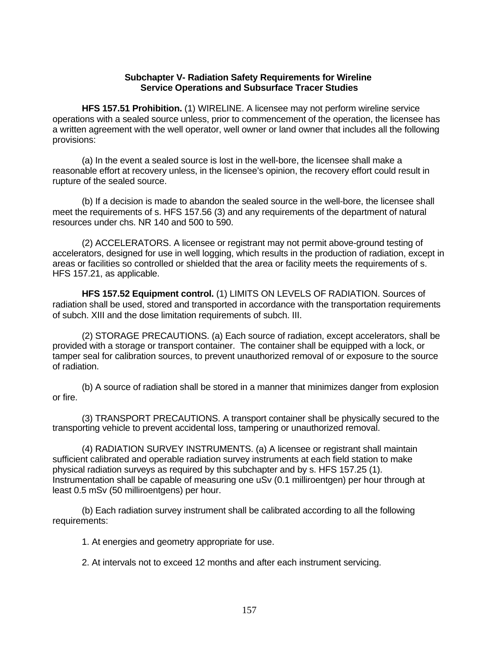### **Subchapter V- Radiation Safety Requirements for Wireline Service Operations and Subsurface Tracer Studies**

**HFS 157.51 Prohibition.** (1) WIRELINE. A licensee may not perform wireline service operations with a sealed source unless, prior to commencement of the operation, the licensee has a written agreement with the well operator, well owner or land owner that includes all the following provisions:

(a) In the event a sealed source is lost in the well-bore, the licensee shall make a reasonable effort at recovery unless, in the licensee's opinion, the recovery effort could result in rupture of the sealed source.

(b) If a decision is made to abandon the sealed source in the well-bore, the licensee shall meet the requirements of s. HFS 157.56 (3) and any requirements of the department of natural resources under chs. NR 140 and 500 to 590.

(2) ACCELERATORS. A licensee or registrant may not permit above-ground testing of accelerators, designed for use in well logging, which results in the production of radiation, except in areas or facilities so controlled or shielded that the area or facility meets the requirements of s. HFS 157.21, as applicable.

**HFS 157.52 Equipment control.** (1) LIMITS ON LEVELS OF RADIATION. Sources of radiation shall be used, stored and transported in accordance with the transportation requirements of subch. XIII and the dose limitation requirements of subch. III.

(2) STORAGE PRECAUTIONS. (a) Each source of radiation, except accelerators, shall be provided with a storage or transport container. The container shall be equipped with a lock, or tamper seal for calibration sources, to prevent unauthorized removal of or exposure to the source of radiation.

(b) A source of radiation shall be stored in a manner that minimizes danger from explosion or fire.

(3) TRANSPORT PRECAUTIONS. A transport container shall be physically secured to the transporting vehicle to prevent accidental loss, tampering or unauthorized removal.

(4) RADIATION SURVEY INSTRUMENTS. (a) A licensee or registrant shall maintain sufficient calibrated and operable radiation survey instruments at each field station to make physical radiation surveys as required by this subchapter and by s. HFS 157.25 (1). Instrumentation shall be capable of measuring one uSv (0.1 milliroentgen) per hour through at least 0.5 mSv (50 milliroentgens) per hour.

(b) Each radiation survey instrument shall be calibrated according to all the following requirements:

1. At energies and geometry appropriate for use.

2. At intervals not to exceed 12 months and after each instrument servicing.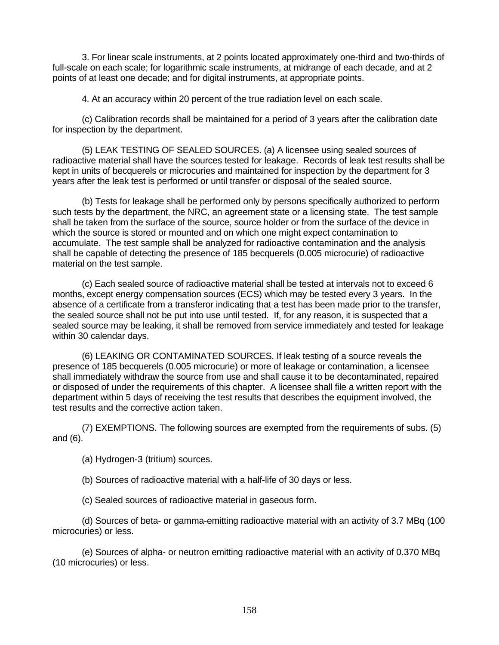3. For linear scale instruments, at 2 points located approximately one-third and two-thirds of full-scale on each scale; for logarithmic scale instruments, at midrange of each decade, and at 2 points of at least one decade; and for digital instruments, at appropriate points.

4. At an accuracy within 20 percent of the true radiation level on each scale.

(c) Calibration records shall be maintained for a period of 3 years after the calibration date for inspection by the department.

(5) LEAK TESTING OF SEALED SOURCES. (a) A licensee using sealed sources of radioactive material shall have the sources tested for leakage. Records of leak test results shall be kept in units of becquerels or microcuries and maintained for inspection by the department for 3 years after the leak test is performed or until transfer or disposal of the sealed source.

(b) Tests for leakage shall be performed only by persons specifically authorized to perform such tests by the department, the NRC, an agreement state or a licensing state. The test sample shall be taken from the surface of the source, source holder or from the surface of the device in which the source is stored or mounted and on which one might expect contamination to accumulate. The test sample shall be analyzed for radioactive contamination and the analysis shall be capable of detecting the presence of 185 becquerels (0.005 microcurie) of radioactive material on the test sample.

(c) Each sealed source of radioactive material shall be tested at intervals not to exceed 6 months, except energy compensation sources (ECS) which may be tested every 3 years. In the absence of a certificate from a transferor indicating that a test has been made prior to the transfer, the sealed source shall not be put into use until tested. If, for any reason, it is suspected that a sealed source may be leaking, it shall be removed from service immediately and tested for leakage within 30 calendar days.

(6) LEAKING OR CONTAMINATED SOURCES. If leak testing of a source reveals the presence of 185 becquerels (0.005 microcurie) or more of leakage or contamination, a licensee shall immediately withdraw the source from use and shall cause it to be decontaminated, repaired or disposed of under the requirements of this chapter. A licensee shall file a written report with the department within 5 days of receiving the test results that describes the equipment involved, the test results and the corrective action taken.

(7) EXEMPTIONS. The following sources are exempted from the requirements of subs. (5) and (6).

(a) Hydrogen-3 (tritium) sources.

(b) Sources of radioactive material with a half-life of 30 days or less.

(c) Sealed sources of radioactive material in gaseous form.

(d) Sources of beta- or gamma-emitting radioactive material with an activity of 3.7 MBq (100 microcuries) or less.

(e) Sources of alpha- or neutron emitting radioactive material with an activity of 0.370 MBq (10 microcuries) or less.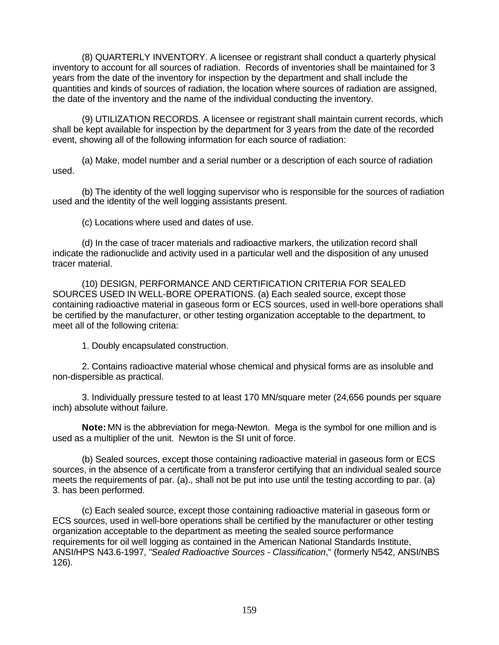(8) QUARTERLY INVENTORY. A licensee or registrant shall conduct a quarterly physical inventory to account for all sources of radiation. Records of inventories shall be maintained for 3 years from the date of the inventory for inspection by the department and shall include the quantities and kinds of sources of radiation, the location where sources of radiation are assigned, the date of the inventory and the name of the individual conducting the inventory.

(9) UTILIZATION RECORDS. A licensee or registrant shall maintain current records, which shall be kept available for inspection by the department for 3 years from the date of the recorded event, showing all of the following information for each source of radiation:

(a) Make, model number and a serial number or a description of each source of radiation used.

(b) The identity of the well logging supervisor who is responsible for the sources of radiation used and the identity of the well logging assistants present.

(c) Locations where used and dates of use.

(d) In the case of tracer materials and radioactive markers, the utilization record shall indicate the radionuclide and activity used in a particular well and the disposition of any unused tracer material.

(10) DESIGN, PERFORMANCE AND CERTIFICATION CRITERIA FOR SEALED SOURCES USED IN WELL-BORE OPERATIONS. (a) Each sealed source, except those containing radioactive material in gaseous form or ECS sources, used in well-bore operations shall be certified by the manufacturer, or other testing organization acceptable to the department, to meet all of the following criteria:

1. Doubly encapsulated construction.

2. Contains radioactive material whose chemical and physical forms are as insoluble and non-dispersible as practical.

3. Individually pressure tested to at least 170 MN/square meter (24,656 pounds per square inch) absolute without failure.

**Note:** MN is the abbreviation for mega-Newton. Mega is the symbol for one million and is used as a multiplier of the unit. Newton is the SI unit of force.

(b) Sealed sources, except those containing radioactive material in gaseous form or ECS sources, in the absence of a certificate from a transferor certifying that an individual sealed source meets the requirements of par. (a)., shall not be put into use until the testing according to par. (a) 3. has been performed.

(c) Each sealed source, except those containing radioactive material in gaseous form or ECS sources, used in well-bore operations shall be certified by the manufacturer or other testing organization acceptable to the department as meeting the sealed source performance requirements for oil well logging as contained in the American National Standards Institute, ANSI/HPS N43.6-1997, "*Sealed Radioactive Sources - Classification*," (formerly N542, ANSI/NBS 126).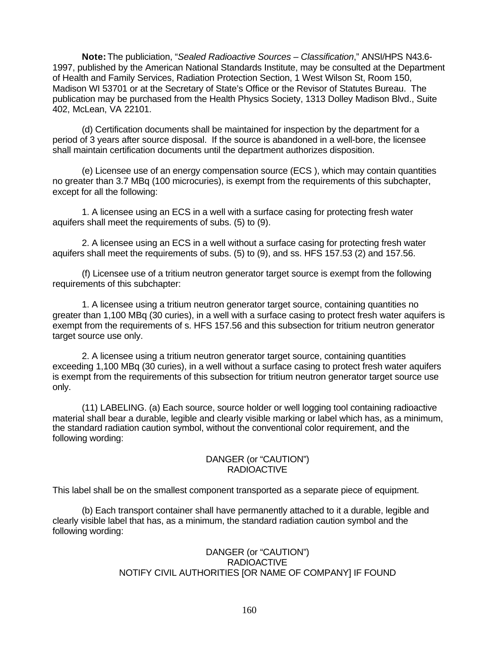**Note:** The publiciation, "*Sealed Radioactive Sources – Classification*," ANSI/HPS N43.6- 1997, published by the American National Standards Institute, may be consulted at the Department of Health and Family Services, Radiation Protection Section, 1 West Wilson St, Room 150, Madison WI 53701 or at the Secretary of State's Office or the Revisor of Statutes Bureau. The publication may be purchased from the Health Physics Society, 1313 Dolley Madison Blvd., Suite 402, McLean, VA 22101.

(d) Certification documents shall be maintained for inspection by the department for a period of 3 years after source disposal. If the source is abandoned in a well-bore, the licensee shall maintain certification documents until the department authorizes disposition.

(e) Licensee use of an energy compensation source (ECS ), which may contain quantities no greater than 3.7 MBq (100 microcuries), is exempt from the requirements of this subchapter, except for all the following:

1. A licensee using an ECS in a well with a surface casing for protecting fresh water aquifers shall meet the requirements of subs. (5) to (9).

2. A licensee using an ECS in a well without a surface casing for protecting fresh water aquifers shall meet the requirements of subs. (5) to (9), and ss. HFS 157.53 (2) and 157.56.

(f) Licensee use of a tritium neutron generator target source is exempt from the following requirements of this subchapter:

1. A licensee using a tritium neutron generator target source, containing quantities no greater than 1,100 MBq (30 curies), in a well with a surface casing to protect fresh water aquifers is exempt from the requirements of s. HFS 157.56 and this subsection for tritium neutron generator target source use only.

2. A licensee using a tritium neutron generator target source, containing quantities exceeding 1,100 MBq (30 curies), in a well without a surface casing to protect fresh water aquifers is exempt from the requirements of this subsection for tritium neutron generator target source use only.

(11) LABELING. (a) Each source, source holder or well logging tool containing radioactive material shall bear a durable, legible and clearly visible marking or label which has, as a minimum, the standard radiation caution symbol, without the conventional color requirement, and the following wording:

### DANGER (or "CAUTION") RADIOACTIVE

This label shall be on the smallest component transported as a separate piece of equipment.

(b) Each transport container shall have permanently attached to it a durable, legible and clearly visible label that has, as a minimum, the standard radiation caution symbol and the following wording:

## DANGER (or "CAUTION") RADIOACTIVE NOTIFY CIVIL AUTHORITIES [OR NAME OF COMPANY] IF FOUND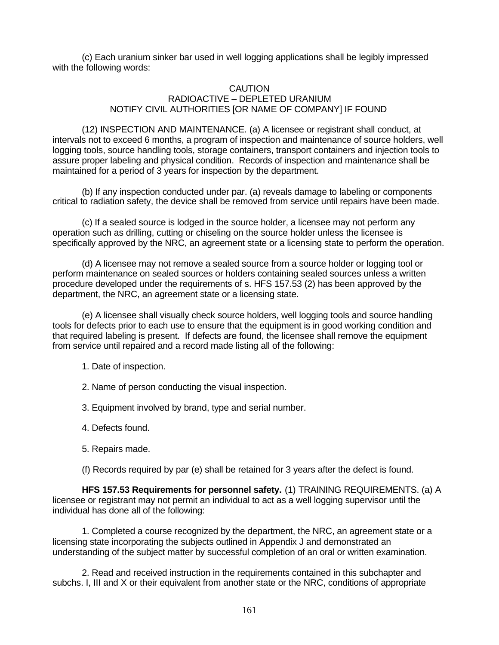(c) Each uranium sinker bar used in well logging applications shall be legibly impressed with the following words:

# CAUTION RADIOACTIVE – DEPLETED URANIUM NOTIFY CIVIL AUTHORITIES [OR NAME OF COMPANY] IF FOUND

(12) INSPECTION AND MAINTENANCE. (a) A licensee or registrant shall conduct, at intervals not to exceed 6 months, a program of inspection and maintenance of source holders, well logging tools, source handling tools, storage containers, transport containers and injection tools to assure proper labeling and physical condition. Records of inspection and maintenance shall be maintained for a period of 3 years for inspection by the department.

(b) If any inspection conducted under par. (a) reveals damage to labeling or components critical to radiation safety, the device shall be removed from service until repairs have been made.

(c) If a sealed source is lodged in the source holder, a licensee may not perform any operation such as drilling, cutting or chiseling on the source holder unless the licensee is specifically approved by the NRC, an agreement state or a licensing state to perform the operation.

(d) A licensee may not remove a sealed source from a source holder or logging tool or perform maintenance on sealed sources or holders containing sealed sources unless a written procedure developed under the requirements of s. HFS 157.53 (2) has been approved by the department, the NRC, an agreement state or a licensing state.

(e) A licensee shall visually check source holders, well logging tools and source handling tools for defects prior to each use to ensure that the equipment is in good working condition and that required labeling is present. If defects are found, the licensee shall remove the equipment from service until repaired and a record made listing all of the following:

- 1. Date of inspection.
- 2. Name of person conducting the visual inspection.
- 3. Equipment involved by brand, type and serial number.
- 4. Defects found.
- 5. Repairs made.

(f) Records required by par (e) shall be retained for 3 years after the defect is found.

**HFS 157.53 Requirements for personnel safety.** (1) TRAINING REQUIREMENTS. (a) A licensee or registrant may not permit an individual to act as a well logging supervisor until the individual has done all of the following:

1. Completed a course recognized by the department, the NRC, an agreement state or a licensing state incorporating the subjects outlined in Appendix J and demonstrated an understanding of the subject matter by successful completion of an oral or written examination.

2. Read and received instruction in the requirements contained in this subchapter and subchs. I, III and X or their equivalent from another state or the NRC, conditions of appropriate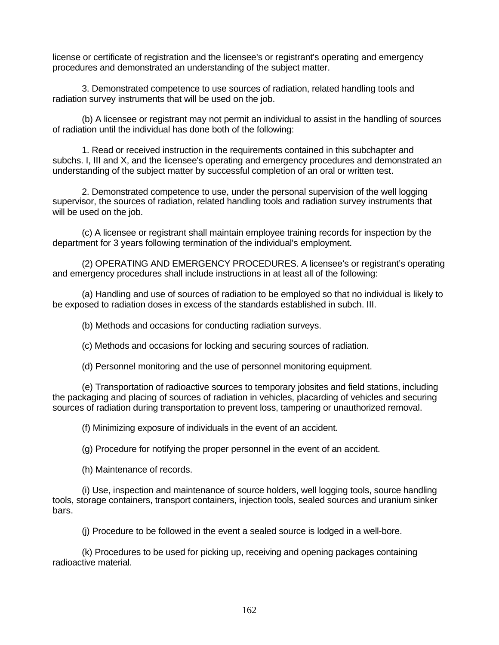license or certificate of registration and the licensee's or registrant's operating and emergency procedures and demonstrated an understanding of the subject matter.

3. Demonstrated competence to use sources of radiation, related handling tools and radiation survey instruments that will be used on the job.

(b) A licensee or registrant may not permit an individual to assist in the handling of sources of radiation until the individual has done both of the following:

1. Read or received instruction in the requirements contained in this subchapter and subchs. I, III and X, and the licensee's operating and emergency procedures and demonstrated an understanding of the subject matter by successful completion of an oral or written test.

2. Demonstrated competence to use, under the personal supervision of the well logging supervisor, the sources of radiation, related handling tools and radiation survey instruments that will be used on the job.

(c) A licensee or registrant shall maintain employee training records for inspection by the department for 3 years following termination of the individual's employment.

(2) OPERATING AND EMERGENCY PROCEDURES. A licensee's or registrant's operating and emergency procedures shall include instructions in at least all of the following:

(a) Handling and use of sources of radiation to be employed so that no individual is likely to be exposed to radiation doses in excess of the standards established in subch. III.

(b) Methods and occasions for conducting radiation surveys.

(c) Methods and occasions for locking and securing sources of radiation.

(d) Personnel monitoring and the use of personnel monitoring equipment.

(e) Transportation of radioactive sources to temporary jobsites and field stations, including the packaging and placing of sources of radiation in vehicles, placarding of vehicles and securing sources of radiation during transportation to prevent loss, tampering or unauthorized removal.

(f) Minimizing exposure of individuals in the event of an accident.

(g) Procedure for notifying the proper personnel in the event of an accident.

(h) Maintenance of records.

(i) Use, inspection and maintenance of source holders, well logging tools, source handling tools, storage containers, transport containers, injection tools, sealed sources and uranium sinker bars.

(j) Procedure to be followed in the event a sealed source is lodged in a well-bore.

(k) Procedures to be used for picking up, receiving and opening packages containing radioactive material.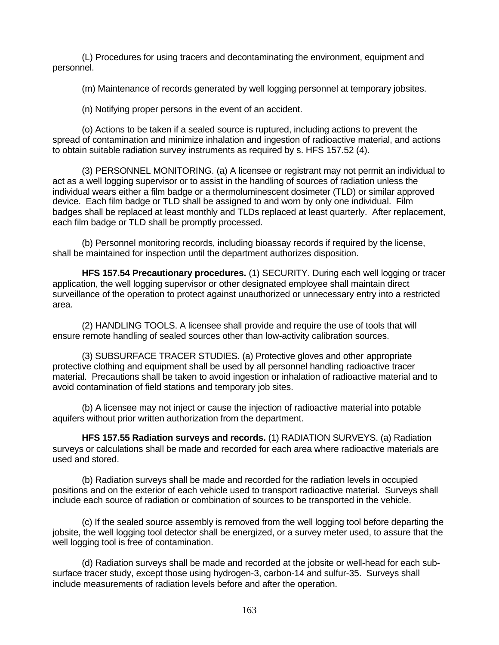(L) Procedures for using tracers and decontaminating the environment, equipment and personnel.

(m) Maintenance of records generated by well logging personnel at temporary jobsites.

(n) Notifying proper persons in the event of an accident.

(o) Actions to be taken if a sealed source is ruptured, including actions to prevent the spread of contamination and minimize inhalation and ingestion of radioactive material, and actions to obtain suitable radiation survey instruments as required by s. HFS 157.52 (4).

(3) PERSONNEL MONITORING. (a) A licensee or registrant may not permit an individual to act as a well logging supervisor or to assist in the handling of sources of radiation unless the individual wears either a film badge or a thermoluminescent dosimeter (TLD) or similar approved device. Each film badge or TLD shall be assigned to and worn by only one individual. Film badges shall be replaced at least monthly and TLDs replaced at least quarterly. After replacement, each film badge or TLD shall be promptly processed.

(b) Personnel monitoring records, including bioassay records if required by the license, shall be maintained for inspection until the department authorizes disposition.

**HFS 157.54 Precautionary procedures.** (1) SECURITY. During each well logging or tracer application, the well logging supervisor or other designated employee shall maintain direct surveillance of the operation to protect against unauthorized or unnecessary entry into a restricted area.

(2) HANDLING TOOLS. A licensee shall provide and require the use of tools that will ensure remote handling of sealed sources other than low-activity calibration sources.

(3) SUBSURFACE TRACER STUDIES. (a) Protective gloves and other appropriate protective clothing and equipment shall be used by all personnel handling radioactive tracer material. Precautions shall be taken to avoid ingestion or inhalation of radioactive material and to avoid contamination of field stations and temporary job sites.

(b) A licensee may not inject or cause the injection of radioactive material into potable aquifers without prior written authorization from the department.

**HFS 157.55 Radiation surveys and records.** (1) RADIATION SURVEYS. (a) Radiation surveys or calculations shall be made and recorded for each area where radioactive materials are used and stored.

(b) Radiation surveys shall be made and recorded for the radiation levels in occupied positions and on the exterior of each vehicle used to transport radioactive material. Surveys shall include each source of radiation or combination of sources to be transported in the vehicle.

(c) If the sealed source assembly is removed from the well logging tool before departing the jobsite, the well logging tool detector shall be energized, or a survey meter used, to assure that the well logging tool is free of contamination.

(d) Radiation surveys shall be made and recorded at the jobsite or well-head for each subsurface tracer study, except those using hydrogen-3, carbon-14 and sulfur-35. Surveys shall include measurements of radiation levels before and after the operation.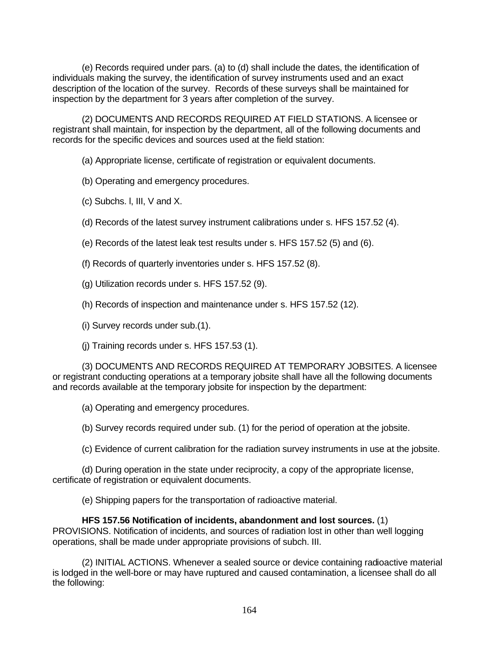(e) Records required under pars. (a) to (d) shall include the dates, the identification of individuals making the survey, the identification of survey instruments used and an exact description of the location of the survey. Records of these surveys shall be maintained for inspection by the department for 3 years after completion of the survey.

(2) DOCUMENTS AND RECORDS REQUIRED AT FIELD STATIONS. A licensee or registrant shall maintain, for inspection by the department, all of the following documents and records for the specific devices and sources used at the field station:

(a) Appropriate license, certificate of registration or equivalent documents.

(b) Operating and emergency procedures.

- (c) Subchs. l, III, V and X.
- (d) Records of the latest survey instrument calibrations under s. HFS 157.52 (4).
- (e) Records of the latest leak test results under s. HFS 157.52 (5) and (6).
- (f) Records of quarterly inventories under s. HFS 157.52 (8).
- (g) Utilization records under s. HFS 157.52 (9).
- (h) Records of inspection and maintenance under s. HFS 157.52 (12).
- (i) Survey records under sub.(1).
- (j) Training records under s. HFS 157.53 (1).

(3) DOCUMENTS AND RECORDS REQUIRED AT TEMPORARY JOBSITES. A licensee or registrant conducting operations at a temporary jobsite shall have all the following documents and records available at the temporary jobsite for inspection by the department:

(a) Operating and emergency procedures.

(b) Survey records required under sub. (1) for the period of operation at the jobsite.

(c) Evidence of current calibration for the radiation survey instruments in use at the jobsite.

(d) During operation in the state under reciprocity, a copy of the appropriate license, certificate of registration or equivalent documents.

(e) Shipping papers for the transportation of radioactive material.

**HFS 157.56 Notification of incidents, abandonment and lost sources.** (1) PROVISIONS. Notification of incidents, and sources of radiation lost in other than well logging operations, shall be made under appropriate provisions of subch. III.

(2) INITIAL ACTIONS. Whenever a sealed source or device containing radioactive material is lodged in the well-bore or may have ruptured and caused contamination, a licensee shall do all the following: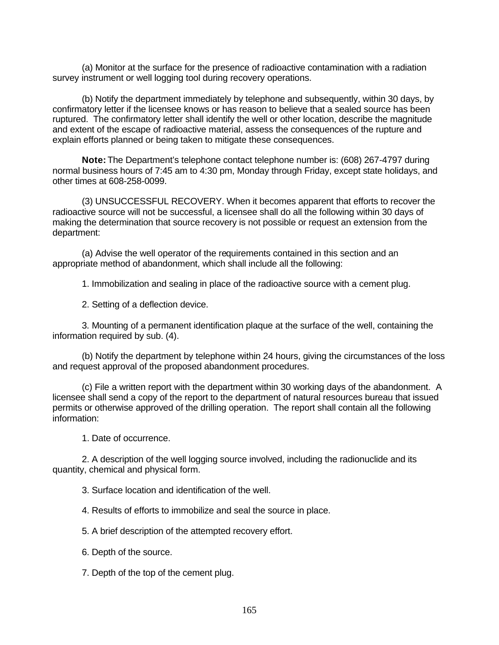(a) Monitor at the surface for the presence of radioactive contamination with a radiation survey instrument or well logging tool during recovery operations.

(b) Notify the department immediately by telephone and subsequently, within 30 days, by confirmatory letter if the licensee knows or has reason to believe that a sealed source has been ruptured. The confirmatory letter shall identify the well or other location, describe the magnitude and extent of the escape of radioactive material, assess the consequences of the rupture and explain efforts planned or being taken to mitigate these consequences.

**Note:** The Department's telephone contact telephone number is: (608) 267-4797 during normal business hours of 7:45 am to 4:30 pm, Monday through Friday, except state holidays, and other times at 608-258-0099.

(3) UNSUCCESSFUL RECOVERY. When it becomes apparent that efforts to recover the radioactive source will not be successful, a licensee shall do all the following within 30 days of making the determination that source recovery is not possible or request an extension from the department:

(a) Advise the well operator of the requirements contained in this section and an appropriate method of abandonment, which shall include all the following:

1. Immobilization and sealing in place of the radioactive source with a cement plug.

2. Setting of a deflection device.

3. Mounting of a permanent identification plaque at the surface of the well, containing the information required by sub. (4).

(b) Notify the department by telephone within 24 hours, giving the circumstances of the loss and request approval of the proposed abandonment procedures.

(c) File a written report with the department within 30 working days of the abandonment. A licensee shall send a copy of the report to the department of natural resources bureau that issued permits or otherwise approved of the drilling operation. The report shall contain all the following information:

1. Date of occurrence.

2. A description of the well logging source involved, including the radionuclide and its quantity, chemical and physical form.

3. Surface location and identification of the well.

4. Results of efforts to immobilize and seal the source in place.

5. A brief description of the attempted recovery effort.

6. Depth of the source.

7. Depth of the top of the cement plug.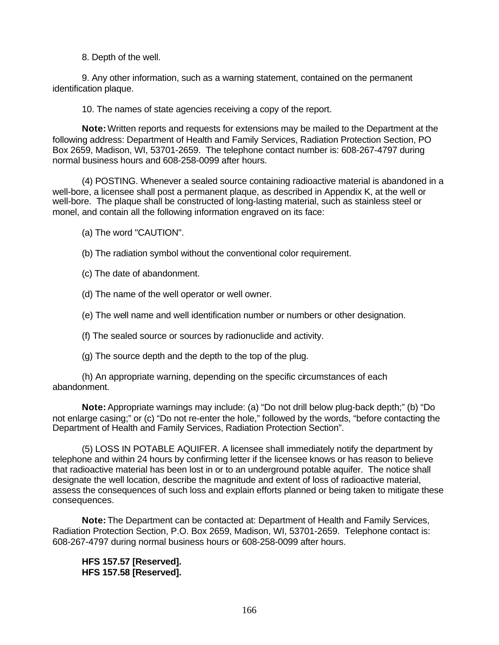8. Depth of the well.

9. Any other information, such as a warning statement, contained on the permanent identification plaque.

10. The names of state agencies receiving a copy of the report.

**Note:** Written reports and requests for extensions may be mailed to the Department at the following address: Department of Health and Family Services, Radiation Protection Section, PO Box 2659, Madison, WI, 53701-2659. The telephone contact number is: 608-267-4797 during normal business hours and 608-258-0099 after hours.

(4) POSTING. Whenever a sealed source containing radioactive material is abandoned in a well-bore, a licensee shall post a permanent plaque, as described in Appendix K, at the well or well-bore. The plaque shall be constructed of long-lasting material, such as stainless steel or monel, and contain all the following information engraved on its face:

(a) The word "CAUTION".

(b) The radiation symbol without the conventional color requirement.

(c) The date of abandonment.

(d) The name of the well operator or well owner.

(e) The well name and well identification number or numbers or other designation.

(f) The sealed source or sources by radionuclide and activity.

(g) The source depth and the depth to the top of the plug.

(h) An appropriate warning, depending on the specific circumstances of each abandonment.

**Note:** Appropriate warnings may include: (a) "Do not drill below plug-back depth;" (b) "Do not enlarge casing;" or (c) "Do not re-enter the hole," followed by the words, "before contacting the Department of Health and Family Services, Radiation Protection Section".

(5) LOSS IN POTABLE AQUIFER. A licensee shall immediately notify the department by telephone and within 24 hours by confirming letter if the licensee knows or has reason to believe that radioactive material has been lost in or to an underground potable aquifer. The notice shall designate the well location, describe the magnitude and extent of loss of radioactive material, assess the consequences of such loss and explain efforts planned or being taken to mitigate these consequences.

**Note:** The Department can be contacted at: Department of Health and Family Services, Radiation Protection Section, P.O. Box 2659, Madison, WI, 53701-2659. Telephone contact is: 608-267-4797 during normal business hours or 608-258-0099 after hours.

**HFS 157.57 [Reserved]. HFS 157.58 [Reserved].**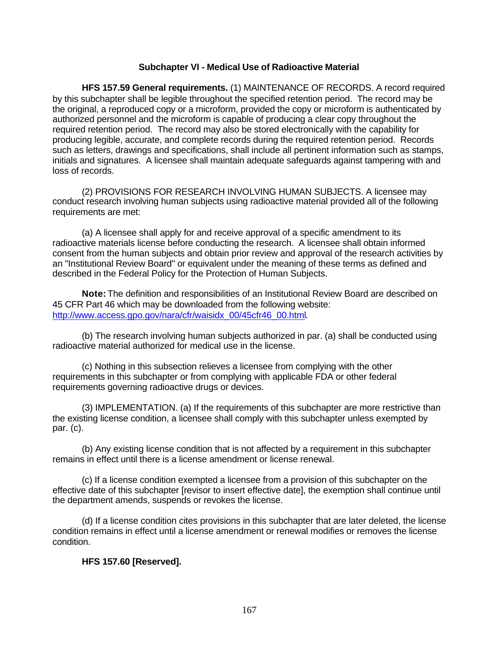### **Subchapter VI - Medical Use of Radioactive Material**

**HFS 157.59 General requirements.** (1) MAINTENANCE OF RECORDS. A record required by this subchapter shall be legible throughout the specified retention period. The record may be the original, a reproduced copy or a microform, provided the copy or microform is authenticated by authorized personnel and the microform is capable of producing a clear copy throughout the required retention period. The record may also be stored electronically with the capability for producing legible, accurate, and complete records during the required retention period. Records such as letters, drawings and specifications, shall include all pertinent information such as stamps, initials and signatures. A licensee shall maintain adequate safeguards against tampering with and loss of records.

(2) PROVISIONS FOR RESEARCH INVOLVING HUMAN SUBJECTS. A licensee may conduct research involving human subjects using radioactive material provided all of the following requirements are met:

(a) A licensee shall apply for and receive approval of a specific amendment to its radioactive materials license before conducting the research. A licensee shall obtain informed consent from the human subjects and obtain prior review and approval of the research activities by an "Institutional Review Board" or equivalent under the meaning of these terms as defined and described in the Federal Policy for the Protection of Human Subjects.

**Note:** The definition and responsibilities of an Institutional Review Board are described on 45 CFR Part 46 which may be downloaded from the following website: http://www.access.gpo.gov/nara/cfr/waisidx\_00/45cfr46\_00.html.

(b) The research involving human subjects authorized in par. (a) shall be conducted using radioactive material authorized for medical use in the license.

(c) Nothing in this subsection relieves a licensee from complying with the other requirements in this subchapter or from complying with applicable FDA or other federal requirements governing radioactive drugs or devices.

(3) IMPLEMENTATION. (a) If the requirements of this subchapter are more restrictive than the existing license condition, a licensee shall comply with this subchapter unless exempted by par. (c).

(b) Any existing license condition that is not affected by a requirement in this subchapter remains in effect until there is a license amendment or license renewal.

(c) If a license condition exempted a licensee from a provision of this subchapter on the effective date of this subchapter [revisor to insert effective date], the exemption shall continue until the department amends, suspends or revokes the license.

(d) If a license condition cites provisions in this subchapter that are later deleted, the license condition remains in effect until a license amendment or renewal modifies or removes the license condition.

# **HFS 157.60 [Reserved].**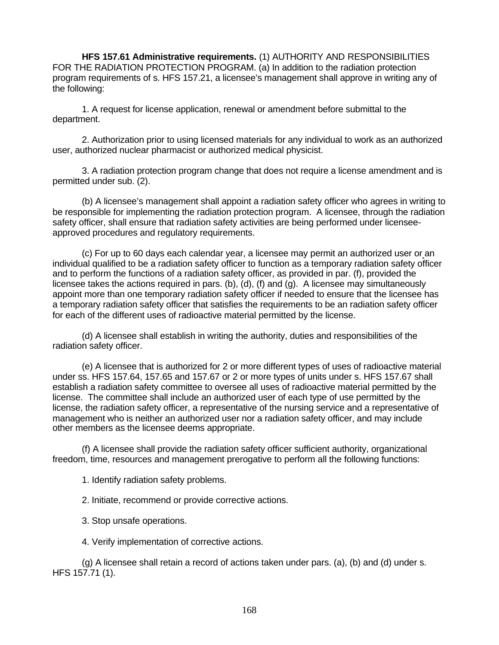**HFS 157.61 Administrative requirements.** (1) AUTHORITY AND RESPONSIBILITIES FOR THE RADIATION PROTECTION PROGRAM. (a) In addition to the radiation protection program requirements of s. HFS 157.21, a licensee's management shall approve in writing any of the following:

1. A request for license application, renewal or amendment before submittal to the department.

2. Authorization prior to using licensed materials for any individual to work as an authorized user, authorized nuclear pharmacist or authorized medical physicist.

3. A radiation protection program change that does not require a license amendment and is permitted under sub. (2).

(b) A licensee's management shall appoint a radiation safety officer who agrees in writing to be responsible for implementing the radiation protection program. A licensee, through the radiation safety officer, shall ensure that radiation safety activities are being performed under licenseeapproved procedures and regulatory requirements.

(c) For up to 60 days each calendar year, a licensee may permit an authorized user or an individual qualified to be a radiation safety officer to function as a temporary radiation safety officer and to perform the functions of a radiation safety officer, as provided in par. (f), provided the licensee takes the actions required in pars. (b), (d), (f) and (g). A licensee may simultaneously appoint more than one temporary radiation safety officer if needed to ensure that the licensee has a temporary radiation safety officer that satisfies the requirements to be an radiation safety officer for each of the different uses of radioactive material permitted by the license.

(d) A licensee shall establish in writing the authority, duties and responsibilities of the radiation safety officer.

(e) A licensee that is authorized for 2 or more different types of uses of radioactive material under ss. HFS 157.64, 157.65 and 157.67 or 2 or more types of units under s. HFS 157.67 shall establish a radiation safety committee to oversee all uses of radioactive material permitted by the license. The committee shall include an authorized user of each type of use permitted by the license, the radiation safety officer, a representative of the nursing service and a representative of management who is neither an authorized user nor a radiation safety officer, and may include other members as the licensee deems appropriate.

(f) A licensee shall provide the radiation safety officer sufficient authority, organizational freedom, time, resources and management prerogative to perform all the following functions:

1. Identify radiation safety problems.

2. Initiate, recommend or provide corrective actions.

3. Stop unsafe operations.

4. Verify implementation of corrective actions.

(g) A licensee shall retain a record of actions taken under pars. (a), (b) and (d) under s. HFS 157.71 (1).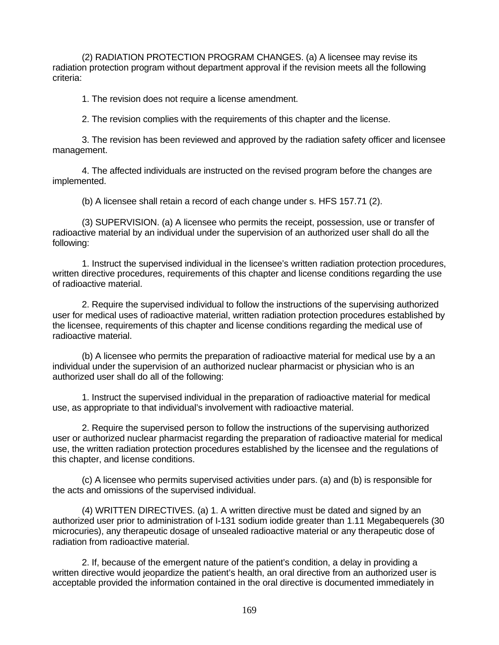(2) RADIATION PROTECTION PROGRAM CHANGES. (a) A licensee may revise its radiation protection program without department approval if the revision meets all the following criteria:

1. The revision does not require a license amendment.

2. The revision complies with the requirements of this chapter and the license.

3. The revision has been reviewed and approved by the radiation safety officer and licensee management.

4. The affected individuals are instructed on the revised program before the changes are implemented.

(b) A licensee shall retain a record of each change under s. HFS 157.71 (2).

(3) SUPERVISION. (a) A licensee who permits the receipt, possession, use or transfer of radioactive material by an individual under the supervision of an authorized user shall do all the following:

1. Instruct the supervised individual in the licensee's written radiation protection procedures, written directive procedures, requirements of this chapter and license conditions regarding the use of radioactive material.

2. Require the supervised individual to follow the instructions of the supervising authorized user for medical uses of radioactive material, written radiation protection procedures established by the licensee, requirements of this chapter and license conditions regarding the medical use of radioactive material.

(b) A licensee who permits the preparation of radioactive material for medical use by a an individual under the supervision of an authorized nuclear pharmacist or physician who is an authorized user shall do all of the following:

1. Instruct the supervised individual in the preparation of radioactive material for medical use, as appropriate to that individual's involvement with radioactive material.

2. Require the supervised person to follow the instructions of the supervising authorized user or authorized nuclear pharmacist regarding the preparation of radioactive material for medical use, the written radiation protection procedures established by the licensee and the regulations of this chapter, and license conditions.

(c) A licensee who permits supervised activities under pars. (a) and (b) is responsible for the acts and omissions of the supervised individual.

(4) WRITTEN DIRECTIVES. (a) 1. A written directive must be dated and signed by an authorized user prior to administration of I-131 sodium iodide greater than 1.11 Megabequerels (30 microcuries), any therapeutic dosage of unsealed radioactive material or any therapeutic dose of radiation from radioactive material.

2. If, because of the emergent nature of the patient's condition, a delay in providing a written directive would jeopardize the patient's health, an oral directive from an authorized user is acceptable provided the information contained in the oral directive is documented immediately in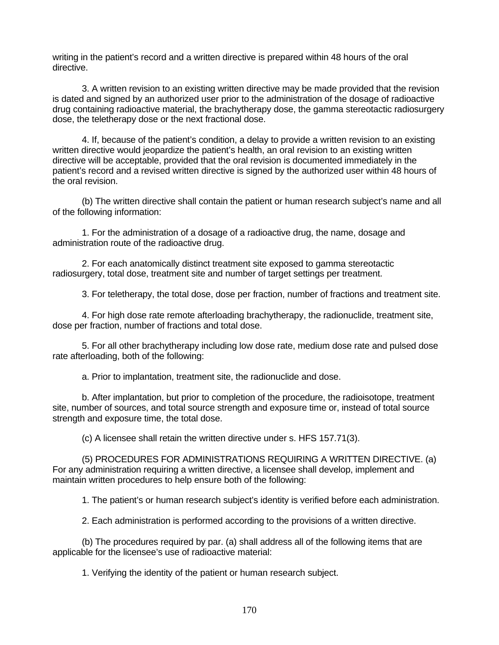writing in the patient's record and a written directive is prepared within 48 hours of the oral directive.

3. A written revision to an existing written directive may be made provided that the revision is dated and signed by an authorized user prior to the administration of the dosage of radioactive drug containing radioactive material, the brachytherapy dose, the gamma stereotactic radiosurgery dose, the teletherapy dose or the next fractional dose.

4. If, because of the patient's condition, a delay to provide a written revision to an existing written directive would jeopardize the patient's health, an oral revision to an existing written directive will be acceptable, provided that the oral revision is documented immediately in the patient's record and a revised written directive is signed by the authorized user within 48 hours of the oral revision.

(b) The written directive shall contain the patient or human research subject's name and all of the following information:

1. For the administration of a dosage of a radioactive drug, the name, dosage and administration route of the radioactive drug.

2. For each anatomically distinct treatment site exposed to gamma stereotactic radiosurgery, total dose, treatment site and number of target settings per treatment.

3. For teletherapy, the total dose, dose per fraction, number of fractions and treatment site.

4. For high dose rate remote afterloading brachytherapy, the radionuclide, treatment site, dose per fraction, number of fractions and total dose.

5. For all other brachytherapy including low dose rate, medium dose rate and pulsed dose rate afterloading, both of the following:

a. Prior to implantation, treatment site, the radionuclide and dose.

b. After implantation, but prior to completion of the procedure, the radioisotope, treatment site, number of sources, and total source strength and exposure time or, instead of total source strength and exposure time, the total dose.

(c) A licensee shall retain the written directive under s. HFS 157.71(3).

(5) PROCEDURES FOR ADMINISTRATIONS REQUIRING A WRITTEN DIRECTIVE. (a) For any administration requiring a written directive, a licensee shall develop, implement and maintain written procedures to help ensure both of the following:

1. The patient's or human research subject's identity is verified before each administration.

2. Each administration is performed according to the provisions of a written directive.

(b) The procedures required by par. (a) shall address all of the following items that are applicable for the licensee's use of radioactive material:

1. Verifying the identity of the patient or human research subject.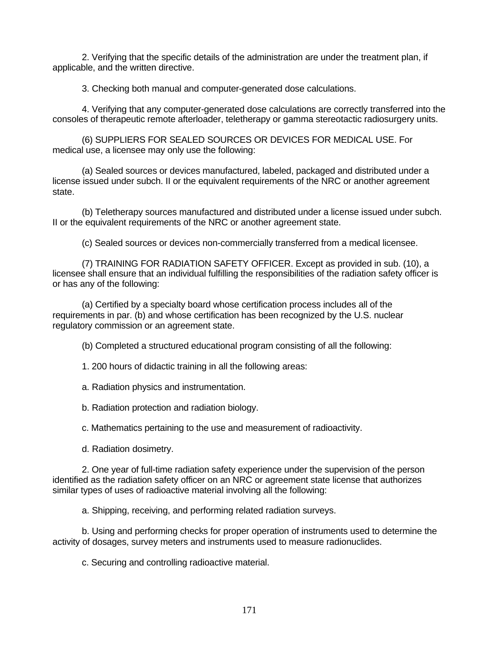2. Verifying that the specific details of the administration are under the treatment plan, if applicable, and the written directive.

3. Checking both manual and computer-generated dose calculations.

4. Verifying that any computer-generated dose calculations are correctly transferred into the consoles of therapeutic remote afterloader, teletherapy or gamma stereotactic radiosurgery units.

(6) SUPPLIERS FOR SEALED SOURCES OR DEVICES FOR MEDICAL USE. For medical use, a licensee may only use the following:

(a) Sealed sources or devices manufactured, labeled, packaged and distributed under a license issued under subch. II or the equivalent requirements of the NRC or another agreement state.

(b) Teletherapy sources manufactured and distributed under a license issued under subch. II or the equivalent requirements of the NRC or another agreement state.

(c) Sealed sources or devices non-commercially transferred from a medical licensee.

(7) TRAINING FOR RADIATION SAFETY OFFICER. Except as provided in sub. (10), a licensee shall ensure that an individual fulfilling the responsibilities of the radiation safety officer is or has any of the following:

(a) Certified by a specialty board whose certification process includes all of the requirements in par. (b) and whose certification has been recognized by the U.S. nuclear regulatory commission or an agreement state.

(b) Completed a structured educational program consisting of all the following:

1. 200 hours of didactic training in all the following areas:

a. Radiation physics and instrumentation.

b. Radiation protection and radiation biology.

c. Mathematics pertaining to the use and measurement of radioactivity.

d. Radiation dosimetry.

2. One year of full-time radiation safety experience under the supervision of the person identified as the radiation safety officer on an NRC or agreement state license that authorizes similar types of uses of radioactive material involving all the following:

a. Shipping, receiving, and performing related radiation surveys.

b. Using and performing checks for proper operation of instruments used to determine the activity of dosages, survey meters and instruments used to measure radionuclides.

c. Securing and controlling radioactive material.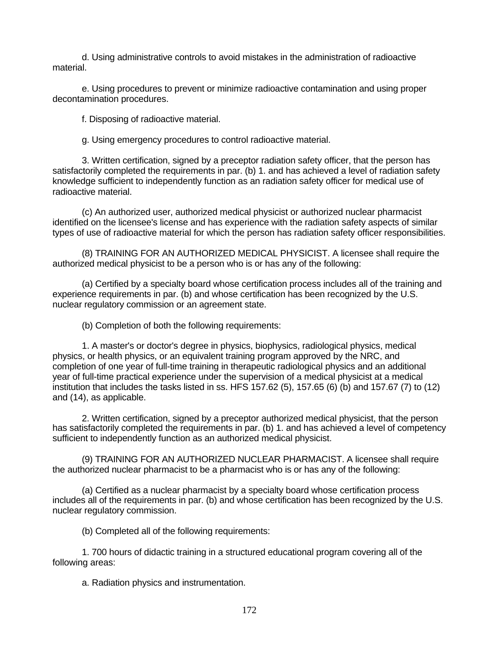d. Using administrative controls to avoid mistakes in the administration of radioactive material.

e. Using procedures to prevent or minimize radioactive contamination and using proper decontamination procedures.

f. Disposing of radioactive material.

g. Using emergency procedures to control radioactive material.

3. Written certification, signed by a preceptor radiation safety officer, that the person has satisfactorily completed the requirements in par. (b) 1. and has achieved a level of radiation safety knowledge sufficient to independently function as an radiation safety officer for medical use of radioactive material.

(c) An authorized user, authorized medical physicist or authorized nuclear pharmacist identified on the licensee's license and has experience with the radiation safety aspects of similar types of use of radioactive material for which the person has radiation safety officer responsibilities.

(8) TRAINING FOR AN AUTHORIZED MEDICAL PHYSICIST. A licensee shall require the authorized medical physicist to be a person who is or has any of the following:

(a) Certified by a specialty board whose certification process includes all of the training and experience requirements in par. (b) and whose certification has been recognized by the U.S. nuclear regulatory commission or an agreement state.

(b) Completion of both the following requirements:

1. A master's or doctor's degree in physics, biophysics, radiological physics, medical physics, or health physics, or an equivalent training program approved by the NRC, and completion of one year of full-time training in therapeutic radiological physics and an additional year of full-time practical experience under the supervision of a medical physicist at a medical institution that includes the tasks listed in ss. HFS 157.62 (5), 157.65 (6) (b) and 157.67 (7) to (12) and (14), as applicable.

2. Written certification, signed by a preceptor authorized medical physicist, that the person has satisfactorily completed the requirements in par. (b) 1. and has achieved a level of competency sufficient to independently function as an authorized medical physicist.

(9) TRAINING FOR AN AUTHORIZED NUCLEAR PHARMACIST. A licensee shall require the authorized nuclear pharmacist to be a pharmacist who is or has any of the following:

(a) Certified as a nuclear pharmacist by a specialty board whose certification process includes all of the requirements in par. (b) and whose certification has been recognized by the U.S. nuclear regulatory commission.

(b) Completed all of the following requirements:

1. 700 hours of didactic training in a structured educational program covering all of the following areas:

a. Radiation physics and instrumentation.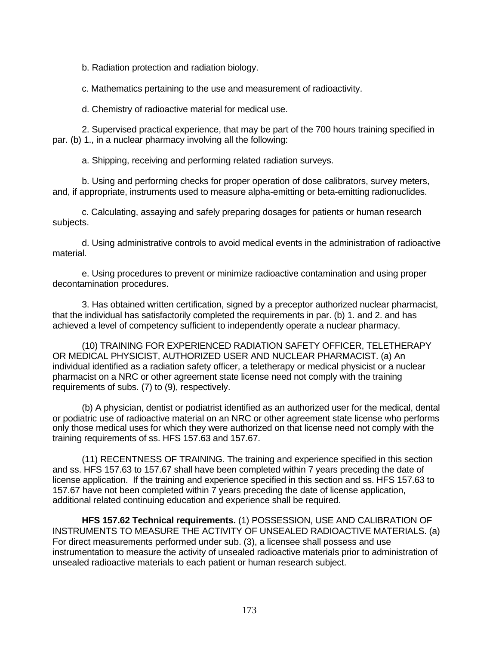b. Radiation protection and radiation biology.

c. Mathematics pertaining to the use and measurement of radioactivity.

d. Chemistry of radioactive material for medical use.

2. Supervised practical experience, that may be part of the 700 hours training specified in par. (b) 1., in a nuclear pharmacy involving all the following:

a. Shipping, receiving and performing related radiation surveys.

b. Using and performing checks for proper operation of dose calibrators, survey meters, and, if appropriate, instruments used to measure alpha-emitting or beta-emitting radionuclides.

c. Calculating, assaying and safely preparing dosages for patients or human research subjects.

d. Using administrative controls to avoid medical events in the administration of radioactive material.

e. Using procedures to prevent or minimize radioactive contamination and using proper decontamination procedures.

3. Has obtained written certification, signed by a preceptor authorized nuclear pharmacist, that the individual has satisfactorily completed the requirements in par. (b) 1. and 2. and has achieved a level of competency sufficient to independently operate a nuclear pharmacy.

(10) TRAINING FOR EXPERIENCED RADIATION SAFETY OFFICER, TELETHERAPY OR MEDICAL PHYSICIST, AUTHORIZED USER AND NUCLEAR PHARMACIST. (a) An individual identified as a radiation safety officer, a teletherapy or medical physicist or a nuclear pharmacist on a NRC or other agreement state license need not comply with the training requirements of subs. (7) to (9), respectively.

(b) A physician, dentist or podiatrist identified as an authorized user for the medical, dental or podiatric use of radioactive material on an NRC or other agreement state license who performs only those medical uses for which they were authorized on that license need not comply with the training requirements of ss. HFS 157.63 and 157.67.

(11) RECENTNESS OF TRAINING. The training and experience specified in this section and ss. HFS 157.63 to 157.67 shall have been completed within 7 years preceding the date of license application. If the training and experience specified in this section and ss. HFS 157.63 to 157.67 have not been completed within 7 years preceding the date of license application, additional related continuing education and experience shall be required.

**HFS 157.62 Technical requirements.** (1) POSSESSION, USE AND CALIBRATION OF INSTRUMENTS TO MEASURE THE ACTIVITY OF UNSEALED RADIOACTIVE MATERIALS. (a) For direct measurements performed under sub. (3), a licensee shall possess and use instrumentation to measure the activity of unsealed radioactive materials prior to administration of unsealed radioactive materials to each patient or human research subject.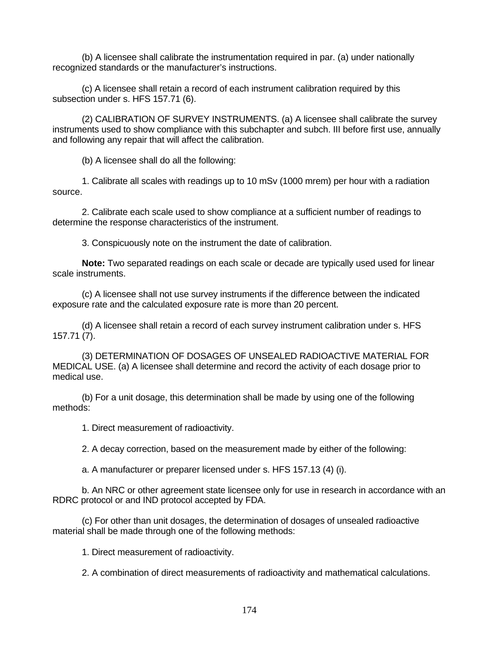(b) A licensee shall calibrate the instrumentation required in par. (a) under nationally recognized standards or the manufacturer's instructions.

(c) A licensee shall retain a record of each instrument calibration required by this subsection under s. HFS 157.71 (6).

(2) CALIBRATION OF SURVEY INSTRUMENTS. (a) A licensee shall calibrate the survey instruments used to show compliance with this subchapter and subch. III before first use, annually and following any repair that will affect the calibration.

(b) A licensee shall do all the following:

1. Calibrate all scales with readings up to 10 mSv (1000 mrem) per hour with a radiation source.

2. Calibrate each scale used to show compliance at a sufficient number of readings to determine the response characteristics of the instrument.

3. Conspicuously note on the instrument the date of calibration.

**Note:** Two separated readings on each scale or decade are typically used used for linear scale instruments.

(c) A licensee shall not use survey instruments if the difference between the indicated exposure rate and the calculated exposure rate is more than 20 percent.

(d) A licensee shall retain a record of each survey instrument calibration under s. HFS 157.71 (7).

(3) DETERMINATION OF DOSAGES OF UNSEALED RADIOACTIVE MATERIAL FOR MEDICAL USE. (a) A licensee shall determine and record the activity of each dosage prior to medical use.

(b) For a unit dosage, this determination shall be made by using one of the following methods:

1. Direct measurement of radioactivity.

2. A decay correction, based on the measurement made by either of the following:

a. A manufacturer or preparer licensed under s. HFS 157.13 (4) (i).

b. An NRC or other agreement state licensee only for use in research in accordance with an RDRC protocol or and IND protocol accepted by FDA.

(c) For other than unit dosages, the determination of dosages of unsealed radioactive material shall be made through one of the following methods:

1. Direct measurement of radioactivity.

2. A combination of direct measurements of radioactivity and mathematical calculations.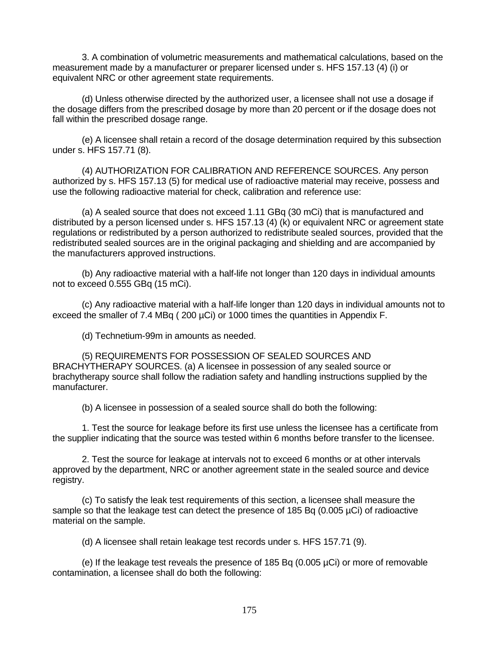3. A combination of volumetric measurements and mathematical calculations, based on the measurement made by a manufacturer or preparer licensed under s. HFS 157.13 (4) (i) or equivalent NRC or other agreement state requirements.

(d) Unless otherwise directed by the authorized user, a licensee shall not use a dosage if the dosage differs from the prescribed dosage by more than 20 percent or if the dosage does not fall within the prescribed dosage range.

(e) A licensee shall retain a record of the dosage determination required by this subsection under s. HFS 157.71 (8).

(4) AUTHORIZATION FOR CALIBRATION AND REFERENCE SOURCES. Any person authorized by s. HFS 157.13 (5) for medical use of radioactive material may receive, possess and use the following radioactive material for check, calibration and reference use:

(a) A sealed source that does not exceed 1.11 GBq (30 mCi) that is manufactured and distributed by a person licensed under s. HFS 157.13 (4) (k) or equivalent NRC or agreement state regulations or redistributed by a person authorized to redistribute sealed sources, provided that the redistributed sealed sources are in the original packaging and shielding and are accompanied by the manufacturers approved instructions.

(b) Any radioactive material with a half-life not longer than 120 days in individual amounts not to exceed 0.555 GBq (15 mCi).

(c) Any radioactive material with a half-life longer than 120 days in individual amounts not to exceed the smaller of 7.4 MBq (200 µCi) or 1000 times the quantities in Appendix F.

(d) Technetium-99m in amounts as needed.

(5) REQUIREMENTS FOR POSSESSION OF SEALED SOURCES AND BRACHYTHERAPY SOURCES. (a) A licensee in possession of any sealed source or brachytherapy source shall follow the radiation safety and handling instructions supplied by the manufacturer.

(b) A licensee in possession of a sealed source shall do both the following:

1. Test the source for leakage before its first use unless the licensee has a certificate from the supplier indicating that the source was tested within 6 months before transfer to the licensee.

2. Test the source for leakage at intervals not to exceed 6 months or at other intervals approved by the department, NRC or another agreement state in the sealed source and device registry.

(c) To satisfy the leak test requirements of this section, a licensee shall measure the sample so that the leakage test can detect the presence of 185 Bq (0.005 µCi) of radioactive material on the sample.

(d) A licensee shall retain leakage test records under s. HFS 157.71 (9).

(e) If the leakage test reveals the presence of 185 Bq (0.005 µCi) or more of removable contamination, a licensee shall do both the following: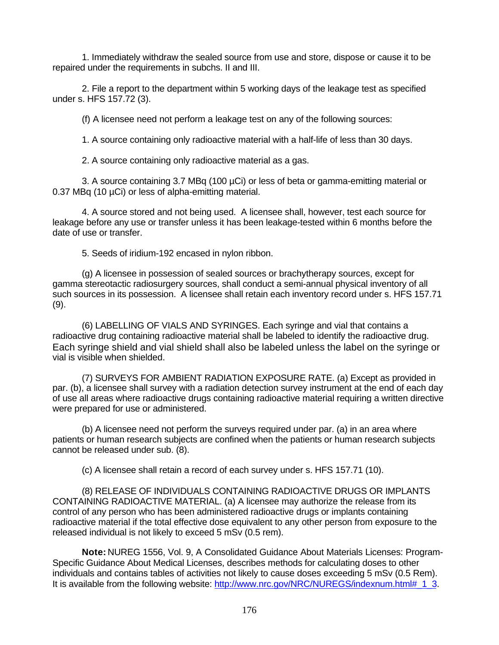1. Immediately withdraw the sealed source from use and store, dispose or cause it to be repaired under the requirements in subchs. II and III.

2. File a report to the department within 5 working days of the leakage test as specified under s. HFS 157.72 (3).

(f) A licensee need not perform a leakage test on any of the following sources:

1. A source containing only radioactive material with a half-life of less than 30 days.

2. A source containing only radioactive material as a gas.

3. A source containing 3.7 MBq (100 µCi) or less of beta or gamma-emitting material or 0.37 MBq (10 µCi) or less of alpha-emitting material.

4. A source stored and not being used. A licensee shall, however, test each source for leakage before any use or transfer unless it has been leakage-tested within 6 months before the date of use or transfer.

5. Seeds of iridium-192 encased in nylon ribbon.

(g) A licensee in possession of sealed sources or brachytherapy sources, except for gamma stereotactic radiosurgery sources, shall conduct a semi-annual physical inventory of all such sources in its possession. A licensee shall retain each inventory record under s. HFS 157.71 (9).

(6) LABELLING OF VIALS AND SYRINGES. Each syringe and vial that contains a radioactive drug containing radioactive material shall be labeled to identify the radioactive drug. Each syringe shield and vial shield shall also be labeled unless the label on the syringe or vial is visible when shielded.

(7) SURVEYS FOR AMBIENT RADIATION EXPOSURE RATE. (a) Except as provided in par. (b), a licensee shall survey with a radiation detection survey instrument at the end of each day of use all areas where radioactive drugs containing radioactive material requiring a written directive were prepared for use or administered.

(b) A licensee need not perform the surveys required under par. (a) in an area where patients or human research subjects are confined when the patients or human research subjects cannot be released under sub. (8).

(c) A licensee shall retain a record of each survey under s. HFS 157.71 (10).

(8) RELEASE OF INDIVIDUALS CONTAINING RADIOACTIVE DRUGS OR IMPLANTS CONTAINING RADIOACTIVE MATERIAL. (a) A licensee may authorize the release from its control of any person who has been administered radioactive drugs or implants containing radioactive material if the total effective dose equivalent to any other person from exposure to the released individual is not likely to exceed 5 mSv (0.5 rem).

**Note:** NUREG 1556, Vol. 9, A Consolidated Guidance About Materials Licenses: Program-Specific Guidance About Medical Licenses, describes methods for calculating doses to other individuals and contains tables of activities not likely to cause doses exceeding 5 mSv (0.5 Rem). It is available from the following website: http://www.nrc.gov/NRC/NUREGS/indexnum.html# 1\_3.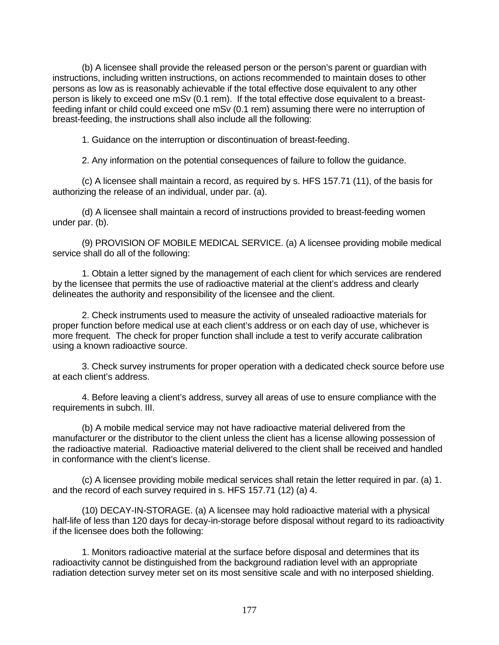(b) A licensee shall provide the released person or the person's parent or guardian with instructions, including written instructions, on actions recommended to maintain doses to other persons as low as is reasonably achievable if the total effective dose equivalent to any other person is likely to exceed one mSv (0.1 rem). If the total effective dose equivalent to a breastfeeding infant or child could exceed one mSv (0.1 rem) assuming there were no interruption of breast-feeding, the instructions shall also include all the following:

1. Guidance on the interruption or discontinuation of breast-feeding.

2. Any information on the potential consequences of failure to follow the guidance.

(c) A licensee shall maintain a record, as required by s. HFS 157.71 (11), of the basis for authorizing the release of an individual, under par. (a).

(d) A licensee shall maintain a record of instructions provided to breast-feeding women under par. (b).

(9) PROVISION OF MOBILE MEDICAL SERVICE. (a) A licensee providing mobile medical service shall do all of the following:

1. Obtain a letter signed by the management of each client for which services are rendered by the licensee that permits the use of radioactive material at the client's address and clearly delineates the authority and responsibility of the licensee and the client.

2. Check instruments used to measure the activity of unsealed radioactive materials for proper function before medical use at each client's address or on each day of use, whichever is more frequent. The check for proper function shall include a test to verify accurate calibration using a known radioactive source.

3. Check survey instruments for proper operation with a dedicated check source before use at each client's address.

4. Before leaving a client's address, survey all areas of use to ensure compliance with the requirements in subch. III.

(b) A mobile medical service may not have radioactive material delivered from the manufacturer or the distributor to the client unless the client has a license allowing possession of the radioactive material. Radioactive material delivered to the client shall be received and handled in conformance with the client's license.

(c) A licensee providing mobile medical services shall retain the letter required in par. (a) 1. and the record of each survey required in s. HFS 157.71 (12) (a) 4.

(10) DECAY-IN-STORAGE. (a) A licensee may hold radioactive material with a physical half-life of less than 120 days for decay-in-storage before disposal without regard to its radioactivity if the licensee does both the following:

1. Monitors radioactive material at the surface before disposal and determines that its radioactivity cannot be distinguished from the background radiation level with an appropriate radiation detection survey meter set on its most sensitive scale and with no interposed shielding.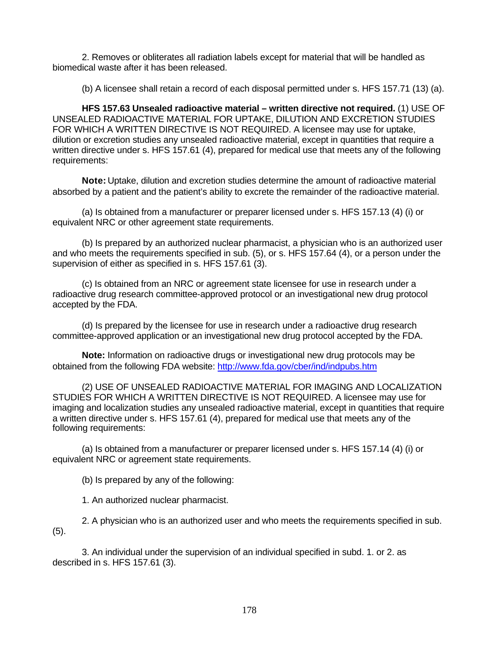2. Removes or obliterates all radiation labels except for material that will be handled as biomedical waste after it has been released.

(b) A licensee shall retain a record of each disposal permitted under s. HFS 157.71 (13) (a).

**HFS 157.63 Unsealed radioactive material – written directive not required.** (1) USE OF UNSEALED RADIOACTIVE MATERIAL FOR UPTAKE, DILUTION AND EXCRETION STUDIES FOR WHICH A WRITTEN DIRECTIVE IS NOT REQUIRED. A licensee may use for uptake, dilution or excretion studies any unsealed radioactive material, except in quantities that require a written directive under s. HFS 157.61 (4), prepared for medical use that meets any of the following requirements:

**Note:** Uptake, dilution and excretion studies determine the amount of radioactive material absorbed by a patient and the patient's ability to excrete the remainder of the radioactive material.

(a) Is obtained from a manufacturer or preparer licensed under s. HFS 157.13 (4) (i) or equivalent NRC or other agreement state requirements.

(b) Is prepared by an authorized nuclear pharmacist, a physician who is an authorized user and who meets the requirements specified in sub. (5), or s. HFS 157.64 (4), or a person under the supervision of either as specified in s. HFS 157.61 (3).

(c) Is obtained from an NRC or agreement state licensee for use in research under a radioactive drug research committee-approved protocol or an investigational new drug protocol accepted by the FDA.

(d) Is prepared by the licensee for use in research under a radioactive drug research committee-approved application or an investigational new drug protocol accepted by the FDA.

**Note:** Information on radioactive drugs or investigational new drug protocols may be obtained from the following FDA website: http://www.fda.gov/cber/ind/indpubs.htm

(2) USE OF UNSEALED RADIOACTIVE MATERIAL FOR IMAGING AND LOCALIZATION STUDIES FOR WHICH A WRITTEN DIRECTIVE IS NOT REQUIRED. A licensee may use for imaging and localization studies any unsealed radioactive material, except in quantities that require a written directive under s. HFS 157.61 (4), prepared for medical use that meets any of the following requirements:

(a) Is obtained from a manufacturer or preparer licensed under s. HFS 157.14 (4) (i) or equivalent NRC or agreement state requirements.

(b) Is prepared by any of the following:

1. An authorized nuclear pharmacist.

2. A physician who is an authorized user and who meets the requirements specified in sub. (5).

3. An individual under the supervision of an individual specified in subd. 1. or 2. as described in s. HFS 157.61 (3).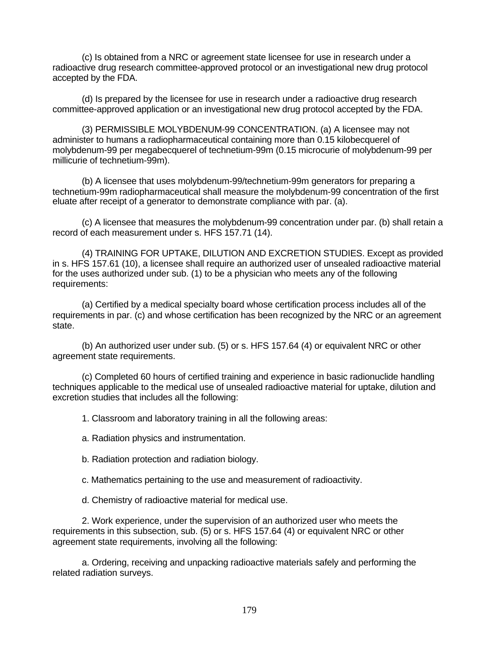(c) Is obtained from a NRC or agreement state licensee for use in research under a radioactive drug research committee-approved protocol or an investigational new drug protocol accepted by the FDA.

(d) Is prepared by the licensee for use in research under a radioactive drug research committee-approved application or an investigational new drug protocol accepted by the FDA.

(3) PERMISSIBLE MOLYBDENUM-99 CONCENTRATION. (a) A licensee may not administer to humans a radiopharmaceutical containing more than 0.15 kilobecquerel of molybdenum-99 per megabecquerel of technetium-99m (0.15 microcurie of molybdenum-99 per millicurie of technetium-99m).

(b) A licensee that uses molybdenum-99/technetium-99m generators for preparing a technetium-99m radiopharmaceutical shall measure the molybdenum-99 concentration of the first eluate after receipt of a generator to demonstrate compliance with par. (a).

(c) A licensee that measures the molybdenum-99 concentration under par. (b) shall retain a record of each measurement under s. HFS 157.71 (14).

(4) TRAINING FOR UPTAKE, DILUTION AND EXCRETION STUDIES. Except as provided in s. HFS 157.61 (10), a licensee shall require an authorized user of unsealed radioactive material for the uses authorized under sub. (1) to be a physician who meets any of the following requirements:

(a) Certified by a medical specialty board whose certification process includes all of the requirements in par. (c) and whose certification has been recognized by the NRC or an agreement state.

(b) An authorized user under sub. (5) or s. HFS 157.64 (4) or equivalent NRC or other agreement state requirements.

(c) Completed 60 hours of certified training and experience in basic radionuclide handling techniques applicable to the medical use of unsealed radioactive material for uptake, dilution and excretion studies that includes all the following:

1. Classroom and laboratory training in all the following areas:

a. Radiation physics and instrumentation.

b. Radiation protection and radiation biology.

c. Mathematics pertaining to the use and measurement of radioactivity.

d. Chemistry of radioactive material for medical use.

2. Work experience, under the supervision of an authorized user who meets the requirements in this subsection, sub. (5) or s. HFS 157.64 (4) or equivalent NRC or other agreement state requirements, involving all the following:

a. Ordering, receiving and unpacking radioactive materials safely and performing the related radiation surveys.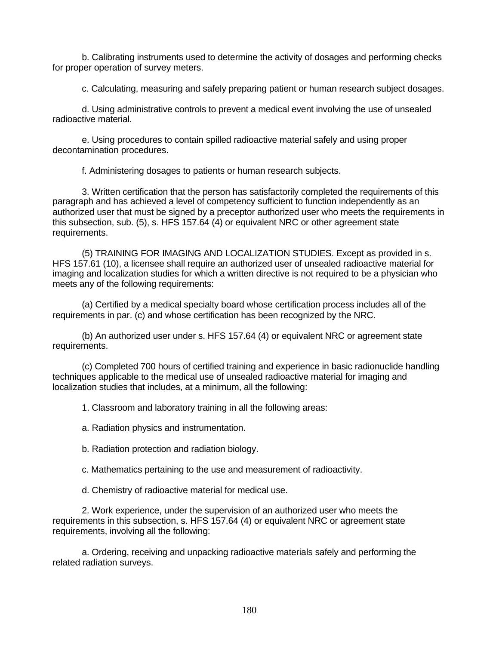b. Calibrating instruments used to determine the activity of dosages and performing checks for proper operation of survey meters.

c. Calculating, measuring and safely preparing patient or human research subject dosages.

d. Using administrative controls to prevent a medical event involving the use of unsealed radioactive material.

e. Using procedures to contain spilled radioactive material safely and using proper decontamination procedures.

f. Administering dosages to patients or human research subjects.

3. Written certification that the person has satisfactorily completed the requirements of this paragraph and has achieved a level of competency sufficient to function independently as an authorized user that must be signed by a preceptor authorized user who meets the requirements in this subsection, sub. (5), s. HFS 157.64 (4) or equivalent NRC or other agreement state requirements.

(5) TRAINING FOR IMAGING AND LOCALIZATION STUDIES. Except as provided in s. HFS 157.61 (10), a licensee shall require an authorized user of unsealed radioactive material for imaging and localization studies for which a written directive is not required to be a physician who meets any of the following requirements:

(a) Certified by a medical specialty board whose certification process includes all of the requirements in par. (c) and whose certification has been recognized by the NRC.

(b) An authorized user under s. HFS 157.64 (4) or equivalent NRC or agreement state requirements.

(c) Completed 700 hours of certified training and experience in basic radionuclide handling techniques applicable to the medical use of unsealed radioactive material for imaging and localization studies that includes, at a minimum, all the following:

1. Classroom and laboratory training in all the following areas:

a. Radiation physics and instrumentation.

b. Radiation protection and radiation biology.

c. Mathematics pertaining to the use and measurement of radioactivity.

d. Chemistry of radioactive material for medical use.

2. Work experience, under the supervision of an authorized user who meets the requirements in this subsection, s. HFS 157.64 (4) or equivalent NRC or agreement state requirements, involving all the following:

a. Ordering, receiving and unpacking radioactive materials safely and performing the related radiation surveys.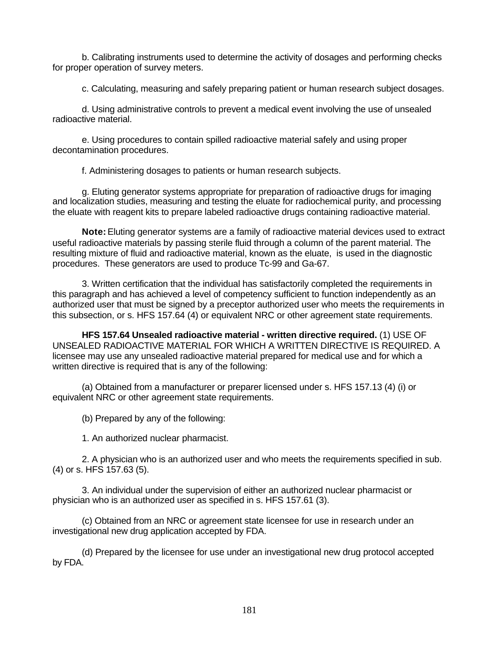b. Calibrating instruments used to determine the activity of dosages and performing checks for proper operation of survey meters.

c. Calculating, measuring and safely preparing patient or human research subject dosages.

d. Using administrative controls to prevent a medical event involving the use of unsealed radioactive material.

e. Using procedures to contain spilled radioactive material safely and using proper decontamination procedures.

f. Administering dosages to patients or human research subjects.

g. Eluting generator systems appropriate for preparation of radioactive drugs for imaging and localization studies, measuring and testing the eluate for radiochemical purity, and processing the eluate with reagent kits to prepare labeled radioactive drugs containing radioactive material.

**Note:** Eluting generator systems are a family of radioactive material devices used to extract useful radioactive materials by passing sterile fluid through a column of the parent material. The resulting mixture of fluid and radioactive material, known as the eluate, is used in the diagnostic procedures. These generators are used to produce Tc-99 and Ga-67.

3. Written certification that the individual has satisfactorily completed the requirements in this paragraph and has achieved a level of competency sufficient to function independently as an authorized user that must be signed by a preceptor authorized user who meets the requirements in this subsection, or s. HFS 157.64 (4) or equivalent NRC or other agreement state requirements.

**HFS 157.64 Unsealed radioactive material - written directive required.** (1) USE OF UNSEALED RADIOACTIVE MATERIAL FOR WHICH A WRITTEN DIRECTIVE IS REQUIRED. A licensee may use any unsealed radioactive material prepared for medical use and for which a written directive is required that is any of the following:

(a) Obtained from a manufacturer or preparer licensed under s. HFS 157.13 (4) (i) or equivalent NRC or other agreement state requirements.

(b) Prepared by any of the following:

1. An authorized nuclear pharmacist.

2. A physician who is an authorized user and who meets the requirements specified in sub. (4) or s. HFS 157.63 (5).

3. An individual under the supervision of either an authorized nuclear pharmacist or physician who is an authorized user as specified in s. HFS 157.61 (3).

(c) Obtained from an NRC or agreement state licensee for use in research under an investigational new drug application accepted by FDA.

(d) Prepared by the licensee for use under an investigational new drug protocol accepted by FDA.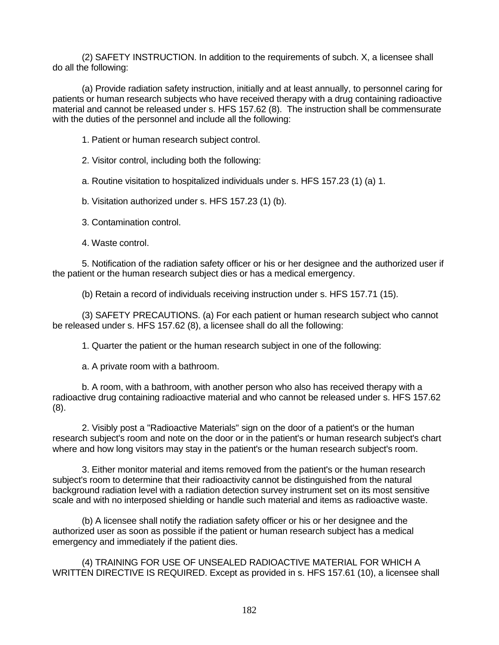(2) SAFETY INSTRUCTION. In addition to the requirements of subch. X, a licensee shall do all the following:

(a) Provide radiation safety instruction, initially and at least annually, to personnel caring for patients or human research subjects who have received therapy with a drug containing radioactive material and cannot be released under s. HFS 157.62 (8). The instruction shall be commensurate with the duties of the personnel and include all the following:

1. Patient or human research subject control.

2. Visitor control, including both the following:

a. Routine visitation to hospitalized individuals under s. HFS 157.23 (1) (a) 1.

b. Visitation authorized under s. HFS 157.23 (1) (b).

3. Contamination control.

4. Waste control.

5. Notification of the radiation safety officer or his or her designee and the authorized user if the patient or the human research subject dies or has a medical emergency.

(b) Retain a record of individuals receiving instruction under s. HFS 157.71 (15).

(3) SAFETY PRECAUTIONS. (a) For each patient or human research subject who cannot be released under s. HFS 157.62 (8), a licensee shall do all the following:

1. Quarter the patient or the human research subject in one of the following:

a. A private room with a bathroom.

b. A room, with a bathroom, with another person who also has received therapy with a radioactive drug containing radioactive material and who cannot be released under s. HFS 157.62 (8).

2. Visibly post a "Radioactive Materials" sign on the door of a patient's or the human research subject's room and note on the door or in the patient's or human research subject's chart where and how long visitors may stay in the patient's or the human research subject's room.

3. Either monitor material and items removed from the patient's or the human research subject's room to determine that their radioactivity cannot be distinguished from the natural background radiation level with a radiation detection survey instrument set on its most sensitive scale and with no interposed shielding or handle such material and items as radioactive waste.

(b) A licensee shall notify the radiation safety officer or his or her designee and the authorized user as soon as possible if the patient or human research subject has a medical emergency and immediately if the patient dies.

(4) TRAINING FOR USE OF UNSEALED RADIOACTIVE MATERIAL FOR WHICH A WRITTEN DIRECTIVE IS REQUIRED. Except as provided in s. HFS 157.61 (10), a licensee shall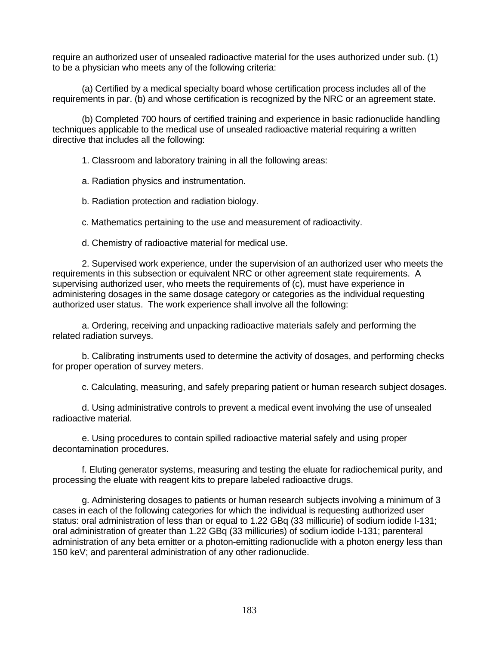require an authorized user of unsealed radioactive material for the uses authorized under sub. (1) to be a physician who meets any of the following criteria:

(a) Certified by a medical specialty board whose certification process includes all of the requirements in par. (b) and whose certification is recognized by the NRC or an agreement state.

(b) Completed 700 hours of certified training and experience in basic radionuclide handling techniques applicable to the medical use of unsealed radioactive material requiring a written directive that includes all the following:

1. Classroom and laboratory training in all the following areas:

a. Radiation physics and instrumentation.

b. Radiation protection and radiation biology.

c. Mathematics pertaining to the use and measurement of radioactivity.

d. Chemistry of radioactive material for medical use.

2. Supervised work experience, under the supervision of an authorized user who meets the requirements in this subsection or equivalent NRC or other agreement state requirements. A supervising authorized user, who meets the requirements of (c), must have experience in administering dosages in the same dosage category or categories as the individual requesting authorized user status. The work experience shall involve all the following:

a. Ordering, receiving and unpacking radioactive materials safely and performing the related radiation surveys.

b. Calibrating instruments used to determine the activity of dosages, and performing checks for proper operation of survey meters.

c. Calculating, measuring, and safely preparing patient or human research subject dosages.

d. Using administrative controls to prevent a medical event involving the use of unsealed radioactive material.

e. Using procedures to contain spilled radioactive material safely and using proper decontamination procedures.

f. Eluting generator systems, measuring and testing the eluate for radiochemical purity, and processing the eluate with reagent kits to prepare labeled radioactive drugs.

g. Administering dosages to patients or human research subjects involving a minimum of 3 cases in each of the following categories for which the individual is requesting authorized user status: oral administration of less than or equal to 1.22 GBq (33 millicurie) of sodium iodide I-131; oral administration of greater than 1.22 GBq (33 millicuries) of sodium iodide I-131; parenteral administration of any beta emitter or a photon-emitting radionuclide with a photon energy less than 150 keV; and parenteral administration of any other radionuclide.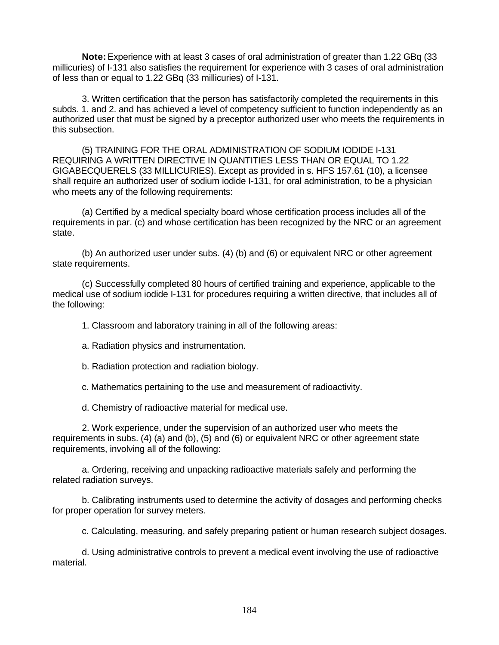**Note:** Experience with at least 3 cases of oral administration of greater than 1.22 GBq (33 millicuries) of I-131 also satisfies the requirement for experience with 3 cases of oral administration of less than or equal to 1.22 GBq (33 millicuries) of I-131.

3. Written certification that the person has satisfactorily completed the requirements in this subds. 1. and 2. and has achieved a level of competency sufficient to function independently as an authorized user that must be signed by a preceptor authorized user who meets the requirements in this subsection.

(5) TRAINING FOR THE ORAL ADMINISTRATION OF SODIUM IODIDE I-131 REQUIRING A WRITTEN DIRECTIVE IN QUANTITIES LESS THAN OR EQUAL TO 1.22 GIGABECQUERELS (33 MILLICURIES). Except as provided in s. HFS 157.61 (10), a licensee shall require an authorized user of sodium iodide I-131, for oral administration, to be a physician who meets any of the following requirements:

(a) Certified by a medical specialty board whose certification process includes all of the requirements in par. (c) and whose certification has been recognized by the NRC or an agreement state.

(b) An authorized user under subs. (4) (b) and (6) or equivalent NRC or other agreement state requirements.

(c) Successfully completed 80 hours of certified training and experience, applicable to the medical use of sodium iodide I-131 for procedures requiring a written directive, that includes all of the following:

1. Classroom and laboratory training in all of the following areas:

- a. Radiation physics and instrumentation.
- b. Radiation protection and radiation biology.

c. Mathematics pertaining to the use and measurement of radioactivity.

d. Chemistry of radioactive material for medical use.

2. Work experience, under the supervision of an authorized user who meets the requirements in subs. (4) (a) and (b), (5) and (6) or equivalent NRC or other agreement state requirements, involving all of the following:

a. Ordering, receiving and unpacking radioactive materials safely and performing the related radiation surveys.

b. Calibrating instruments used to determine the activity of dosages and performing checks for proper operation for survey meters.

c. Calculating, measuring, and safely preparing patient or human research subject dosages.

d. Using administrative controls to prevent a medical event involving the use of radioactive material.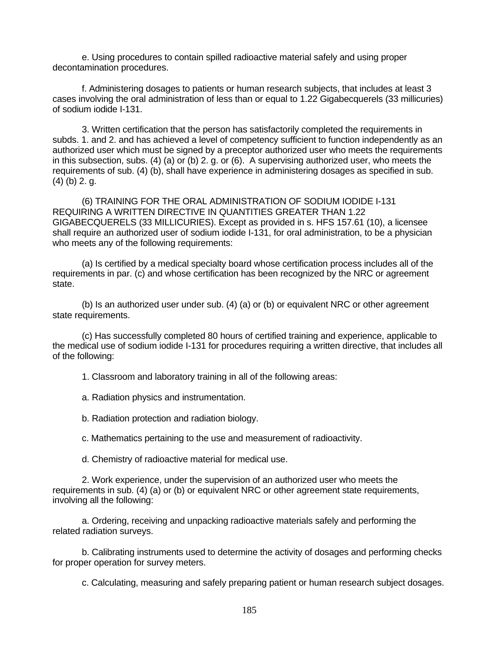e. Using procedures to contain spilled radioactive material safely and using proper decontamination procedures.

f. Administering dosages to patients or human research subjects, that includes at least 3 cases involving the oral administration of less than or equal to 1.22 Gigabecquerels (33 millicuries) of sodium iodide I-131.

3. Written certification that the person has satisfactorily completed the requirements in subds. 1. and 2. and has achieved a level of competency sufficient to function independently as an authorized user which must be signed by a preceptor authorized user who meets the requirements in this subsection, subs. (4) (a) or (b) 2. g. or (6). A supervising authorized user, who meets the requirements of sub. (4) (b), shall have experience in administering dosages as specified in sub. (4) (b) 2. g.

(6) TRAINING FOR THE ORAL ADMINISTRATION OF SODIUM IODIDE I-131 REQUIRING A WRITTEN DIRECTIVE IN QUANTITIES GREATER THAN 1.22 GIGABECQUERELS (33 MILLICURIES). Except as provided in s. HFS 157.61 (10), a licensee shall require an authorized user of sodium iodide I-131, for oral administration, to be a physician who meets any of the following requirements:

(a) Is certified by a medical specialty board whose certification process includes all of the requirements in par. (c) and whose certification has been recognized by the NRC or agreement state.

(b) Is an authorized user under sub. (4) (a) or (b) or equivalent NRC or other agreement state requirements.

(c) Has successfully completed 80 hours of certified training and experience, applicable to the medical use of sodium iodide I-131 for procedures requiring a written directive, that includes all of the following:

1. Classroom and laboratory training in all of the following areas:

a. Radiation physics and instrumentation.

b. Radiation protection and radiation biology.

c. Mathematics pertaining to the use and measurement of radioactivity.

d. Chemistry of radioactive material for medical use.

2. Work experience, under the supervision of an authorized user who meets the requirements in sub. (4) (a) or (b) or equivalent NRC or other agreement state requirements, involving all the following:

a. Ordering, receiving and unpacking radioactive materials safely and performing the related radiation surveys.

b. Calibrating instruments used to determine the activity of dosages and performing checks for proper operation for survey meters.

c. Calculating, measuring and safely preparing patient or human research subject dosages.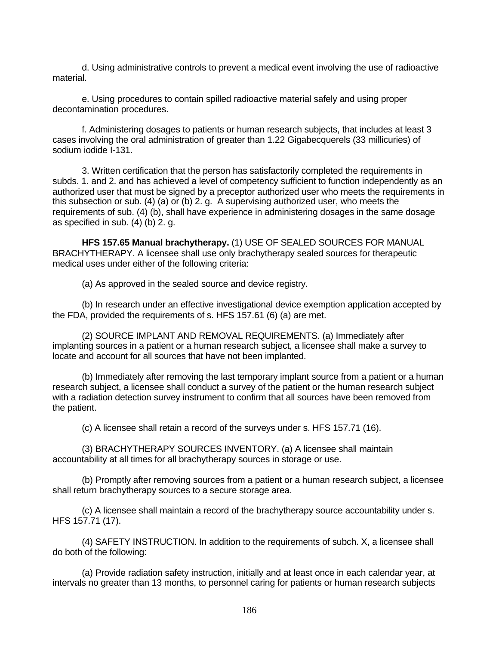d. Using administrative controls to prevent a medical event involving the use of radioactive material.

e. Using procedures to contain spilled radioactive material safely and using proper decontamination procedures.

f. Administering dosages to patients or human research subjects, that includes at least 3 cases involving the oral administration of greater than 1.22 Gigabecquerels (33 millicuries) of sodium iodide I-131.

3. Written certification that the person has satisfactorily completed the requirements in subds. 1. and 2. and has achieved a level of competency sufficient to function independently as an authorized user that must be signed by a preceptor authorized user who meets the requirements in this subsection or sub. (4) (a) or (b) 2. g. A supervising authorized user, who meets the requirements of sub. (4) (b), shall have experience in administering dosages in the same dosage as specified in sub. (4) (b) 2. g.

**HFS 157.65 Manual brachytherapy.** (1) USE OF SEALED SOURCES FOR MANUAL BRACHYTHERAPY. A licensee shall use only brachytherapy sealed sources for therapeutic medical uses under either of the following criteria:

(a) As approved in the sealed source and device registry.

(b) In research under an effective investigational device exemption application accepted by the FDA, provided the requirements of s. HFS 157.61 (6) (a) are met.

(2) SOURCE IMPLANT AND REMOVAL REQUIREMENTS. (a) Immediately after implanting sources in a patient or a human research subject, a licensee shall make a survey to locate and account for all sources that have not been implanted.

(b) Immediately after removing the last temporary implant source from a patient or a human research subject, a licensee shall conduct a survey of the patient or the human research subject with a radiation detection survey instrument to confirm that all sources have been removed from the patient.

(c) A licensee shall retain a record of the surveys under s. HFS 157.71 (16).

(3) BRACHYTHERAPY SOURCES INVENTORY. (a) A licensee shall maintain accountability at all times for all brachytherapy sources in storage or use.

(b) Promptly after removing sources from a patient or a human research subject, a licensee shall return brachytherapy sources to a secure storage area.

(c) A licensee shall maintain a record of the brachytherapy source accountability under s. HFS 157.71 (17).

(4) SAFETY INSTRUCTION. In addition to the requirements of subch. X, a licensee shall do both of the following:

(a) Provide radiation safety instruction, initially and at least once in each calendar year, at intervals no greater than 13 months, to personnel caring for patients or human research subjects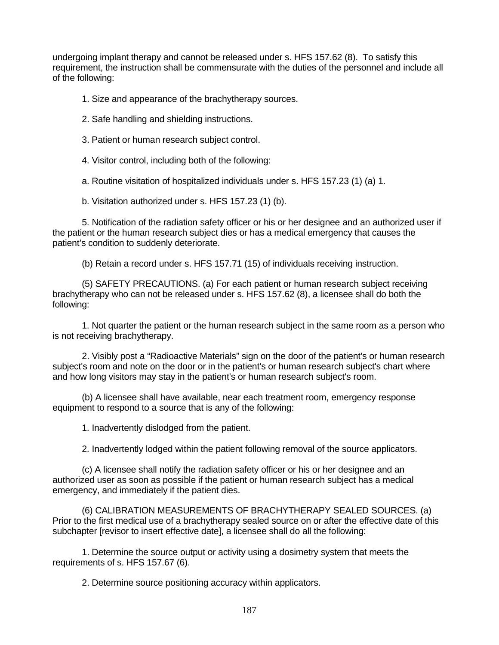undergoing implant therapy and cannot be released under s. HFS 157.62 (8). To satisfy this requirement, the instruction shall be commensurate with the duties of the personnel and include all of the following:

- 1. Size and appearance of the brachytherapy sources.
- 2. Safe handling and shielding instructions.
- 3. Patient or human research subject control.
- 4. Visitor control, including both of the following:

a. Routine visitation of hospitalized individuals under s. HFS 157.23 (1) (a) 1.

b. Visitation authorized under s. HFS 157.23 (1) (b).

5. Notification of the radiation safety officer or his or her designee and an authorized user if the patient or the human research subject dies or has a medical emergency that causes the patient's condition to suddenly deteriorate.

(b) Retain a record under s. HFS 157.71 (15) of individuals receiving instruction.

(5) SAFETY PRECAUTIONS. (a) For each patient or human research subject receiving brachytherapy who can not be released under s. HFS 157.62 (8), a licensee shall do both the following:

1. Not quarter the patient or the human research subject in the same room as a person who is not receiving brachytherapy.

2. Visibly post a "Radioactive Materials" sign on the door of the patient's or human research subject's room and note on the door or in the patient's or human research subject's chart where and how long visitors may stay in the patient's or human research subject's room.

(b) A licensee shall have available, near each treatment room, emergency response equipment to respond to a source that is any of the following:

1. Inadvertently dislodged from the patient.

2. Inadvertently lodged within the patient following removal of the source applicators.

(c) A licensee shall notify the radiation safety officer or his or her designee and an authorized user as soon as possible if the patient or human research subject has a medical emergency, and immediately if the patient dies.

(6) CALIBRATION MEASUREMENTS OF BRACHYTHERAPY SEALED SOURCES. (a) Prior to the first medical use of a brachytherapy sealed source on or after the effective date of this subchapter [revisor to insert effective date], a licensee shall do all the following:

1. Determine the source output or activity using a dosimetry system that meets the requirements of s. HFS 157.67 (6).

2. Determine source positioning accuracy within applicators.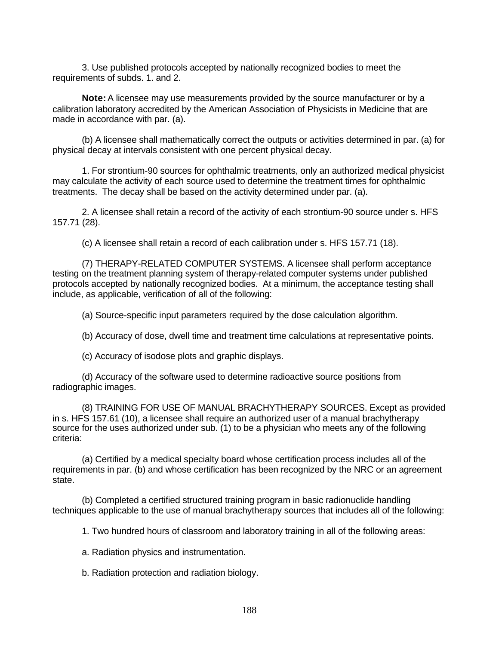3. Use published protocols accepted by nationally recognized bodies to meet the requirements of subds. 1. and 2.

**Note:** A licensee may use measurements provided by the source manufacturer or by a calibration laboratory accredited by the American Association of Physicists in Medicine that are made in accordance with par. (a).

(b) A licensee shall mathematically correct the outputs or activities determined in par. (a) for physical decay at intervals consistent with one percent physical decay.

1. For strontium-90 sources for ophthalmic treatments, only an authorized medical physicist may calculate the activity of each source used to determine the treatment times for ophthalmic treatments. The decay shall be based on the activity determined under par. (a).

2. A licensee shall retain a record of the activity of each strontium-90 source under s. HFS 157.71 (28).

(c) A licensee shall retain a record of each calibration under s. HFS 157.71 (18).

(7) THERAPY-RELATED COMPUTER SYSTEMS. A licensee shall perform acceptance testing on the treatment planning system of therapy-related computer systems under published protocols accepted by nationally recognized bodies. At a minimum, the acceptance testing shall include, as applicable, verification of all of the following:

(a) Source-specific input parameters required by the dose calculation algorithm.

(b) Accuracy of dose, dwell time and treatment time calculations at representative points.

(c) Accuracy of isodose plots and graphic displays.

(d) Accuracy of the software used to determine radioactive source positions from radiographic images.

(8) TRAINING FOR USE OF MANUAL BRACHYTHERAPY SOURCES. Except as provided in s. HFS 157.61 (10), a licensee shall require an authorized user of a manual brachytherapy source for the uses authorized under sub. (1) to be a physician who meets any of the following criteria:

(a) Certified by a medical specialty board whose certification process includes all of the requirements in par. (b) and whose certification has been recognized by the NRC or an agreement state.

(b) Completed a certified structured training program in basic radionuclide handling techniques applicable to the use of manual brachytherapy sources that includes all of the following:

1. Two hundred hours of classroom and laboratory training in all of the following areas:

a. Radiation physics and instrumentation.

b. Radiation protection and radiation biology.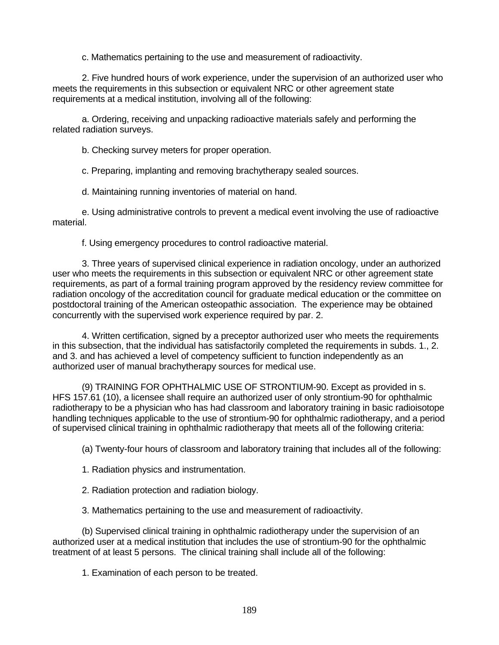c. Mathematics pertaining to the use and measurement of radioactivity.

2. Five hundred hours of work experience, under the supervision of an authorized user who meets the requirements in this subsection or equivalent NRC or other agreement state requirements at a medical institution, involving all of the following:

a. Ordering, receiving and unpacking radioactive materials safely and performing the related radiation surveys.

b. Checking survey meters for proper operation.

c. Preparing, implanting and removing brachytherapy sealed sources.

d. Maintaining running inventories of material on hand.

e. Using administrative controls to prevent a medical event involving the use of radioactive material.

f. Using emergency procedures to control radioactive material.

3. Three years of supervised clinical experience in radiation oncology, under an authorized user who meets the requirements in this subsection or equivalent NRC or other agreement state requirements, as part of a formal training program approved by the residency review committee for radiation oncology of the accreditation council for graduate medical education or the committee on postdoctoral training of the American osteopathic association. The experience may be obtained concurrently with the supervised work experience required by par. 2.

4. Written certification, signed by a preceptor authorized user who meets the requirements in this subsection, that the individual has satisfactorily completed the requirements in subds. 1., 2. and 3. and has achieved a level of competency sufficient to function independently as an authorized user of manual brachytherapy sources for medical use.

(9) TRAINING FOR OPHTHALMIC USE OF STRONTIUM-90. Except as provided in s. HFS 157.61 (10), a licensee shall require an authorized user of only strontium-90 for ophthalmic radiotherapy to be a physician who has had classroom and laboratory training in basic radioisotope handling techniques applicable to the use of strontium-90 for ophthalmic radiotherapy, and a period of supervised clinical training in ophthalmic radiotherapy that meets all of the following criteria:

(a) Twenty-four hours of classroom and laboratory training that includes all of the following:

1. Radiation physics and instrumentation.

2. Radiation protection and radiation biology.

3. Mathematics pertaining to the use and measurement of radioactivity.

(b) Supervised clinical training in ophthalmic radiotherapy under the supervision of an authorized user at a medical institution that includes the use of strontium-90 for the ophthalmic treatment of at least 5 persons. The clinical training shall include all of the following:

1. Examination of each person to be treated.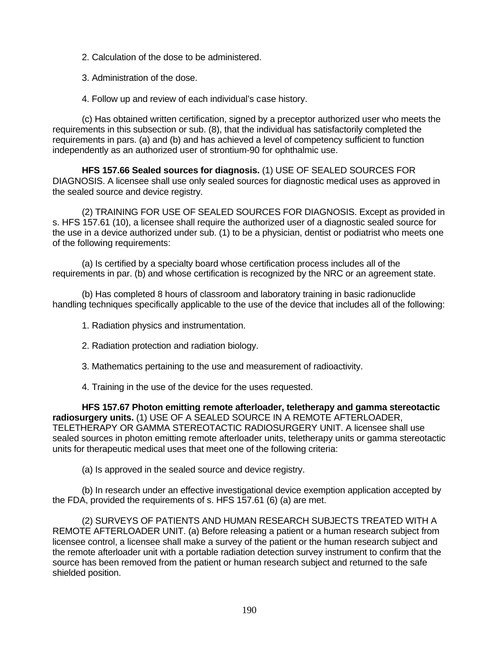- 2. Calculation of the dose to be administered.
- 3. Administration of the dose.
- 4. Follow up and review of each individual's case history.

(c) Has obtained written certification, signed by a preceptor authorized user who meets the requirements in this subsection or sub. (8), that the individual has satisfactorily completed the requirements in pars. (a) and (b) and has achieved a level of competency sufficient to function independently as an authorized user of strontium-90 for ophthalmic use.

**HFS 157.66 Sealed sources for diagnosis.** (1) USE OF SEALED SOURCES FOR DIAGNOSIS. A licensee shall use only sealed sources for diagnostic medical uses as approved in the sealed source and device registry.

(2) TRAINING FOR USE OF SEALED SOURCES FOR DIAGNOSIS. Except as provided in s. HFS 157.61 (10), a licensee shall require the authorized user of a diagnostic sealed source for the use in a device authorized under sub. (1) to be a physician, dentist or podiatrist who meets one of the following requirements:

(a) Is certified by a specialty board whose certification process includes all of the requirements in par. (b) and whose certification is recognized by the NRC or an agreement state.

(b) Has completed 8 hours of classroom and laboratory training in basic radionuclide handling techniques specifically applicable to the use of the device that includes all of the following:

- 1. Radiation physics and instrumentation.
- 2. Radiation protection and radiation biology.
- 3. Mathematics pertaining to the use and measurement of radioactivity.
- 4. Training in the use of the device for the uses requested.

**HFS 157.67 Photon emitting remote afterloader, teletherapy and gamma stereotactic radiosurgery units.** (1) USE OF A SEALED SOURCE IN A REMOTE AFTERLOADER, TELETHERAPY OR GAMMA STEREOTACTIC RADIOSURGERY UNIT. A licensee shall use sealed sources in photon emitting remote afterloader units, teletherapy units or gamma stereotactic units for therapeutic medical uses that meet one of the following criteria:

(a) Is approved in the sealed source and device registry.

(b) In research under an effective investigational device exemption application accepted by the FDA, provided the requirements of s. HFS 157.61 (6) (a) are met.

(2) SURVEYS OF PATIENTS AND HUMAN RESEARCH SUBJECTS TREATED WITH A REMOTE AFTERLOADER UNIT. (a) Before releasing a patient or a human research subject from licensee control, a licensee shall make a survey of the patient or the human research subject and the remote afterloader unit with a portable radiation detection survey instrument to confirm that the source has been removed from the patient or human research subject and returned to the safe shielded position.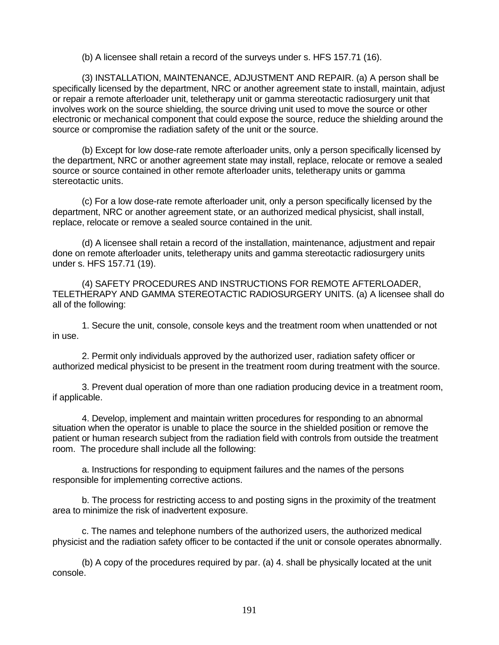(b) A licensee shall retain a record of the surveys under s. HFS 157.71 (16).

(3) INSTALLATION, MAINTENANCE, ADJUSTMENT AND REPAIR. (a) A person shall be specifically licensed by the department, NRC or another agreement state to install, maintain, adjust or repair a remote afterloader unit, teletherapy unit or gamma stereotactic radiosurgery unit that involves work on the source shielding, the source driving unit used to move the source or other electronic or mechanical component that could expose the source, reduce the shielding around the source or compromise the radiation safety of the unit or the source.

(b) Except for low dose-rate remote afterloader units, only a person specifically licensed by the department, NRC or another agreement state may install, replace, relocate or remove a sealed source or source contained in other remote afterloader units, teletherapy units or gamma stereotactic units.

(c) For a low dose-rate remote afterloader unit, only a person specifically licensed by the department, NRC or another agreement state, or an authorized medical physicist, shall install, replace, relocate or remove a sealed source contained in the unit.

(d) A licensee shall retain a record of the installation, maintenance, adjustment and repair done on remote afterloader units, teletherapy units and gamma stereotactic radiosurgery units under s. HFS 157.71 (19).

(4) SAFETY PROCEDURES AND INSTRUCTIONS FOR REMOTE AFTERLOADER, TELETHERAPY AND GAMMA STEREOTACTIC RADIOSURGERY UNITS. (a) A licensee shall do all of the following:

1. Secure the unit, console, console keys and the treatment room when unattended or not in use.

2. Permit only individuals approved by the authorized user, radiation safety officer or authorized medical physicist to be present in the treatment room during treatment with the source.

3. Prevent dual operation of more than one radiation producing device in a treatment room, if applicable.

4. Develop, implement and maintain written procedures for responding to an abnormal situation when the operator is unable to place the source in the shielded position or remove the patient or human research subject from the radiation field with controls from outside the treatment room. The procedure shall include all the following:

a. Instructions for responding to equipment failures and the names of the persons responsible for implementing corrective actions.

b. The process for restricting access to and posting signs in the proximity of the treatment area to minimize the risk of inadvertent exposure.

c. The names and telephone numbers of the authorized users, the authorized medical physicist and the radiation safety officer to be contacted if the unit or console operates abnormally.

(b) A copy of the procedures required by par. (a) 4. shall be physically located at the unit console.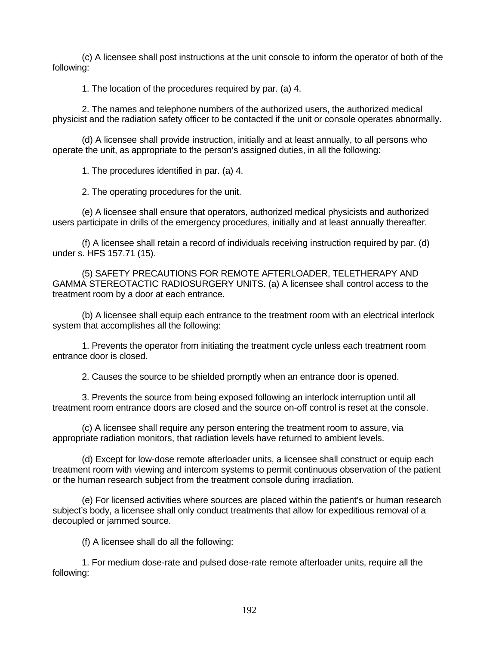(c) A licensee shall post instructions at the unit console to inform the operator of both of the following:

1. The location of the procedures required by par. (a) 4.

2. The names and telephone numbers of the authorized users, the authorized medical physicist and the radiation safety officer to be contacted if the unit or console operates abnormally.

(d) A licensee shall provide instruction, initially and at least annually, to all persons who operate the unit, as appropriate to the person's assigned duties, in all the following:

1. The procedures identified in par. (a) 4.

2. The operating procedures for the unit.

(e) A licensee shall ensure that operators, authorized medical physicists and authorized users participate in drills of the emergency procedures, initially and at least annually thereafter.

(f) A licensee shall retain a record of individuals receiving instruction required by par. (d) under s. HFS 157.71 (15).

(5) SAFETY PRECAUTIONS FOR REMOTE AFTERLOADER, TELETHERAPY AND GAMMA STEREOTACTIC RADIOSURGERY UNITS. (a) A licensee shall control access to the treatment room by a door at each entrance.

(b) A licensee shall equip each entrance to the treatment room with an electrical interlock system that accomplishes all the following:

1. Prevents the operator from initiating the treatment cycle unless each treatment room entrance door is closed.

2. Causes the source to be shielded promptly when an entrance door is opened.

3. Prevents the source from being exposed following an interlock interruption until all treatment room entrance doors are closed and the source on-off control is reset at the console.

(c) A licensee shall require any person entering the treatment room to assure, via appropriate radiation monitors, that radiation levels have returned to ambient levels.

(d) Except for low-dose remote afterloader units, a licensee shall construct or equip each treatment room with viewing and intercom systems to permit continuous observation of the patient or the human research subject from the treatment console during irradiation.

(e) For licensed activities where sources are placed within the patient's or human research subject's body, a licensee shall only conduct treatments that allow for expeditious removal of a decoupled or jammed source.

(f) A licensee shall do all the following:

1. For medium dose-rate and pulsed dose-rate remote afterloader units, require all the following: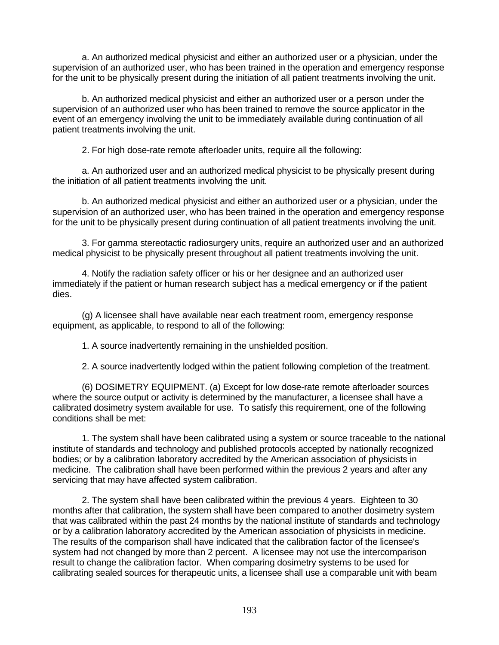a. An authorized medical physicist and either an authorized user or a physician, under the supervision of an authorized user, who has been trained in the operation and emergency response for the unit to be physically present during the initiation of all patient treatments involving the unit.

b. An authorized medical physicist and either an authorized user or a person under the supervision of an authorized user who has been trained to remove the source applicator in the event of an emergency involving the unit to be immediately available during continuation of all patient treatments involving the unit.

2. For high dose-rate remote afterloader units, require all the following:

a. An authorized user and an authorized medical physicist to be physically present during the initiation of all patient treatments involving the unit.

b. An authorized medical physicist and either an authorized user or a physician, under the supervision of an authorized user, who has been trained in the operation and emergency response for the unit to be physically present during continuation of all patient treatments involving the unit.

3. For gamma stereotactic radiosurgery units, require an authorized user and an authorized medical physicist to be physically present throughout all patient treatments involving the unit.

4. Notify the radiation safety officer or his or her designee and an authorized user immediately if the patient or human research subject has a medical emergency or if the patient dies.

(g) A licensee shall have available near each treatment room, emergency response equipment, as applicable, to respond to all of the following:

1. A source inadvertently remaining in the unshielded position.

2. A source inadvertently lodged within the patient following completion of the treatment.

(6) DOSIMETRY EQUIPMENT. (a) Except for low dose-rate remote afterloader sources where the source output or activity is determined by the manufacturer, a licensee shall have a calibrated dosimetry system available for use. To satisfy this requirement, one of the following conditions shall be met:

1. The system shall have been calibrated using a system or source traceable to the national institute of standards and technology and published protocols accepted by nationally recognized bodies; or by a calibration laboratory accredited by the American association of physicists in medicine. The calibration shall have been performed within the previous 2 years and after any servicing that may have affected system calibration.

2. The system shall have been calibrated within the previous 4 years. Eighteen to 30 months after that calibration, the system shall have been compared to another dosimetry system that was calibrated within the past 24 months by the national institute of standards and technology or by a calibration laboratory accredited by the American association of physicists in medicine. The results of the comparison shall have indicated that the calibration factor of the licensee's system had not changed by more than 2 percent. A licensee may not use the intercomparison result to change the calibration factor. When comparing dosimetry systems to be used for calibrating sealed sources for therapeutic units, a licensee shall use a comparable unit with beam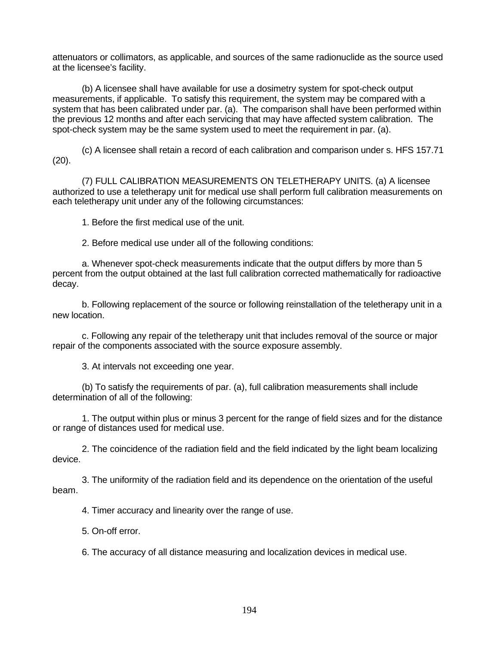attenuators or collimators, as applicable, and sources of the same radionuclide as the source used at the licensee's facility.

(b) A licensee shall have available for use a dosimetry system for spot-check output measurements, if applicable. To satisfy this requirement, the system may be compared with a system that has been calibrated under par. (a). The comparison shall have been performed within the previous 12 months and after each servicing that may have affected system calibration. The spot-check system may be the same system used to meet the requirement in par. (a).

(c) A licensee shall retain a record of each calibration and comparison under s. HFS 157.71 (20).

(7) FULL CALIBRATION MEASUREMENTS ON TELETHERAPY UNITS. (a) A licensee authorized to use a teletherapy unit for medical use shall perform full calibration measurements on each teletherapy unit under any of the following circumstances:

1. Before the first medical use of the unit.

2. Before medical use under all of the following conditions:

a. Whenever spot-check measurements indicate that the output differs by more than 5 percent from the output obtained at the last full calibration corrected mathematically for radioactive decay.

b. Following replacement of the source or following reinstallation of the teletherapy unit in a new location.

c. Following any repair of the teletherapy unit that includes removal of the source or major repair of the components associated with the source exposure assembly.

3. At intervals not exceeding one year.

(b) To satisfy the requirements of par. (a), full calibration measurements shall include determination of all of the following:

1. The output within plus or minus 3 percent for the range of field sizes and for the distance or range of distances used for medical use.

2. The coincidence of the radiation field and the field indicated by the light beam localizing device.

3. The uniformity of the radiation field and its dependence on the orientation of the useful beam.

4. Timer accuracy and linearity over the range of use.

5. On-off error.

6. The accuracy of all distance measuring and localization devices in medical use.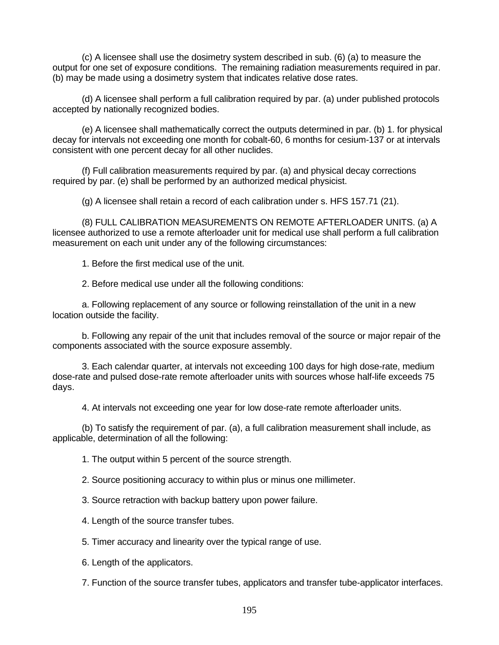(c) A licensee shall use the dosimetry system described in sub. (6) (a) to measure the output for one set of exposure conditions. The remaining radiation measurements required in par. (b) may be made using a dosimetry system that indicates relative dose rates.

(d) A licensee shall perform a full calibration required by par. (a) under published protocols accepted by nationally recognized bodies.

(e) A licensee shall mathematically correct the outputs determined in par. (b) 1. for physical decay for intervals not exceeding one month for cobalt-60, 6 months for cesium-137 or at intervals consistent with one percent decay for all other nuclides.

(f) Full calibration measurements required by par. (a) and physical decay corrections required by par. (e) shall be performed by an authorized medical physicist.

(g) A licensee shall retain a record of each calibration under s. HFS 157.71 (21).

(8) FULL CALIBRATION MEASUREMENTS ON REMOTE AFTERLOADER UNITS. (a) A licensee authorized to use a remote afterloader unit for medical use shall perform a full calibration measurement on each unit under any of the following circumstances:

1. Before the first medical use of the unit.

2. Before medical use under all the following conditions:

a. Following replacement of any source or following reinstallation of the unit in a new location outside the facility.

b. Following any repair of the unit that includes removal of the source or major repair of the components associated with the source exposure assembly.

3. Each calendar quarter, at intervals not exceeding 100 days for high dose-rate, medium dose-rate and pulsed dose-rate remote afterloader units with sources whose half-life exceeds 75 days.

4. At intervals not exceeding one year for low dose-rate remote afterloader units.

(b) To satisfy the requirement of par. (a), a full calibration measurement shall include, as applicable, determination of all the following:

1. The output within 5 percent of the source strength.

2. Source positioning accuracy to within plus or minus one millimeter.

3. Source retraction with backup battery upon power failure.

4. Length of the source transfer tubes.

5. Timer accuracy and linearity over the typical range of use.

6. Length of the applicators.

7. Function of the source transfer tubes, applicators and transfer tube-applicator interfaces.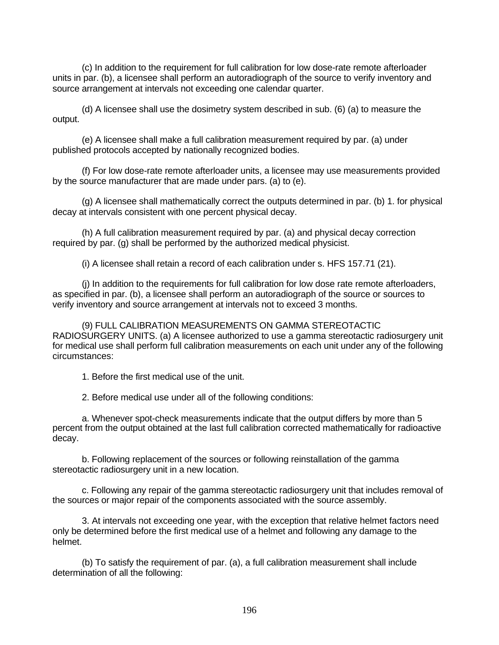(c) In addition to the requirement for full calibration for low dose-rate remote afterloader units in par. (b), a licensee shall perform an autoradiograph of the source to verify inventory and source arrangement at intervals not exceeding one calendar quarter.

(d) A licensee shall use the dosimetry system described in sub. (6) (a) to measure the output.

(e) A licensee shall make a full calibration measurement required by par. (a) under published protocols accepted by nationally recognized bodies.

(f) For low dose-rate remote afterloader units, a licensee may use measurements provided by the source manufacturer that are made under pars. (a) to (e).

(g) A licensee shall mathematically correct the outputs determined in par. (b) 1. for physical decay at intervals consistent with one percent physical decay.

(h) A full calibration measurement required by par. (a) and physical decay correction required by par. (g) shall be performed by the authorized medical physicist.

(i) A licensee shall retain a record of each calibration under s. HFS 157.71 (21).

(j) In addition to the requirements for full calibration for low dose rate remote afterloaders, as specified in par. (b), a licensee shall perform an autoradiograph of the source or sources to verify inventory and source arrangement at intervals not to exceed 3 months.

(9) FULL CALIBRATION MEASUREMENTS ON GAMMA STEREOTACTIC RADIOSURGERY UNITS. (a) A licensee authorized to use a gamma stereotactic radiosurgery unit for medical use shall perform full calibration measurements on each unit under any of the following circumstances:

1. Before the first medical use of the unit.

2. Before medical use under all of the following conditions:

a. Whenever spot-check measurements indicate that the output differs by more than 5 percent from the output obtained at the last full calibration corrected mathematically for radioactive decay.

b. Following replacement of the sources or following reinstallation of the gamma stereotactic radiosurgery unit in a new location.

c. Following any repair of the gamma stereotactic radiosurgery unit that includes removal of the sources or major repair of the components associated with the source assembly.

3. At intervals not exceeding one year, with the exception that relative helmet factors need only be determined before the first medical use of a helmet and following any damage to the helmet.

(b) To satisfy the requirement of par. (a), a full calibration measurement shall include determination of all the following: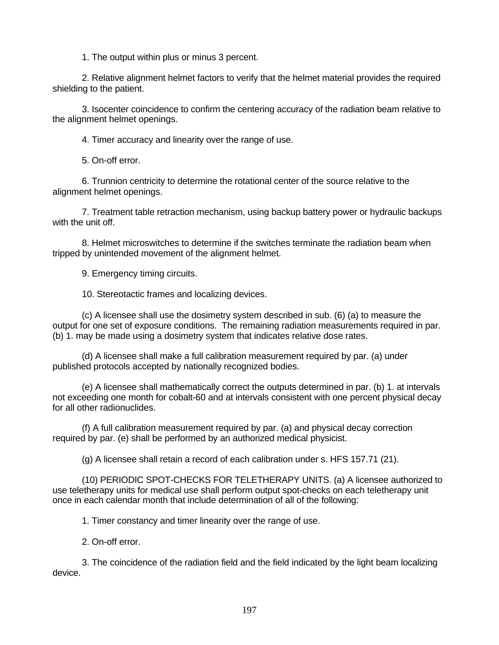1. The output within plus or minus 3 percent.

2. Relative alignment helmet factors to verify that the helmet material provides the required shielding to the patient.

3. Isocenter coincidence to confirm the centering accuracy of the radiation beam relative to the alignment helmet openings.

4. Timer accuracy and linearity over the range of use.

5. On-off error.

6. Trunnion centricity to determine the rotational center of the source relative to the alignment helmet openings.

7. Treatment table retraction mechanism, using backup battery power or hydraulic backups with the unit off.

8. Helmet microswitches to determine if the switches terminate the radiation beam when tripped by unintended movement of the alignment helmet.

9. Emergency timing circuits.

10. Stereotactic frames and localizing devices.

(c) A licensee shall use the dosimetry system described in sub. (6) (a) to measure the output for one set of exposure conditions. The remaining radiation measurements required in par. (b) 1. may be made using a dosimetry system that indicates relative dose rates.

(d) A licensee shall make a full calibration measurement required by par. (a) under published protocols accepted by nationally recognized bodies.

(e) A licensee shall mathematically correct the outputs determined in par. (b) 1. at intervals not exceeding one month for cobalt-60 and at intervals consistent with one percent physical decay for all other radionuclides.

(f) A full calibration measurement required by par. (a) and physical decay correction required by par. (e) shall be performed by an authorized medical physicist.

(g) A licensee shall retain a record of each calibration under s. HFS 157.71 (21).

(10) PERIODIC SPOT-CHECKS FOR TELETHERAPY UNITS. (a) A licensee authorized to use teletherapy units for medical use shall perform output spot-checks on each teletherapy unit once in each calendar month that include determination of all of the following:

1. Timer constancy and timer linearity over the range of use.

2. On-off error.

3. The coincidence of the radiation field and the field indicated by the light beam localizing device.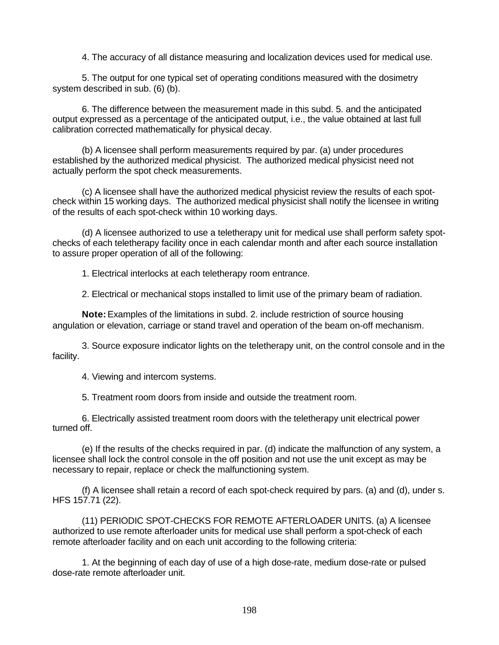4. The accuracy of all distance measuring and localization devices used for medical use.

5. The output for one typical set of operating conditions measured with the dosimetry system described in sub. (6) (b).

6. The difference between the measurement made in this subd. 5. and the anticipated output expressed as a percentage of the anticipated output, i.e., the value obtained at last full calibration corrected mathematically for physical decay.

(b) A licensee shall perform measurements required by par. (a) under procedures established by the authorized medical physicist. The authorized medical physicist need not actually perform the spot check measurements.

(c) A licensee shall have the authorized medical physicist review the results of each spotcheck within 15 working days. The authorized medical physicist shall notify the licensee in writing of the results of each spot-check within 10 working days.

(d) A licensee authorized to use a teletherapy unit for medical use shall perform safety spotchecks of each teletherapy facility once in each calendar month and after each source installation to assure proper operation of all of the following:

1. Electrical interlocks at each teletherapy room entrance.

2. Electrical or mechanical stops installed to limit use of the primary beam of radiation.

**Note:** Examples of the limitations in subd. 2. include restriction of source housing angulation or elevation, carriage or stand travel and operation of the beam on-off mechanism.

3. Source exposure indicator lights on the teletherapy unit, on the control console and in the facility.

4. Viewing and intercom systems.

5. Treatment room doors from inside and outside the treatment room.

6. Electrically assisted treatment room doors with the teletherapy unit electrical power turned off.

(e) If the results of the checks required in par. (d) indicate the malfunction of any system, a licensee shall lock the control console in the off position and not use the unit except as may be necessary to repair, replace or check the malfunctioning system.

(f) A licensee shall retain a record of each spot-check required by pars. (a) and (d), under s. HFS 157.71 (22).

(11) PERIODIC SPOT-CHECKS FOR REMOTE AFTERLOADER UNITS. (a) A licensee authorized to use remote afterloader units for medical use shall perform a spot-check of each remote afterloader facility and on each unit according to the following criteria:

1. At the beginning of each day of use of a high dose-rate, medium dose-rate or pulsed dose-rate remote afterloader unit.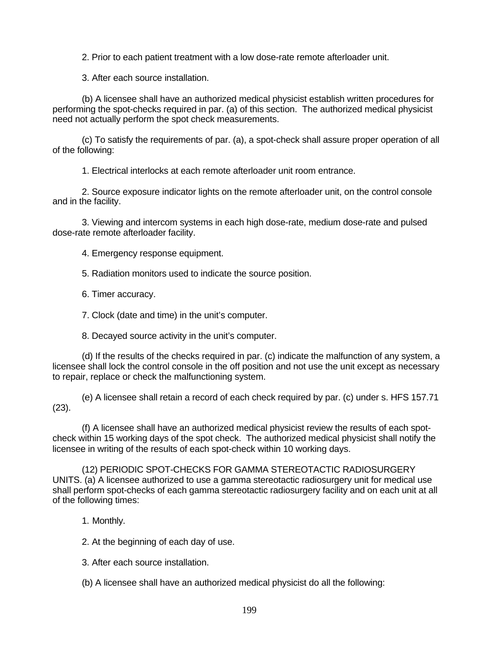2. Prior to each patient treatment with a low dose-rate remote afterloader unit.

3. After each source installation.

(b) A licensee shall have an authorized medical physicist establish written procedures for performing the spot-checks required in par. (a) of this section. The authorized medical physicist need not actually perform the spot check measurements.

(c) To satisfy the requirements of par. (a), a spot-check shall assure proper operation of all of the following:

1. Electrical interlocks at each remote afterloader unit room entrance.

2. Source exposure indicator lights on the remote afterloader unit, on the control console and in the facility.

3. Viewing and intercom systems in each high dose-rate, medium dose-rate and pulsed dose-rate remote afterloader facility.

4. Emergency response equipment.

5. Radiation monitors used to indicate the source position.

6. Timer accuracy.

7. Clock (date and time) in the unit's computer.

8. Decayed source activity in the unit's computer.

(d) If the results of the checks required in par. (c) indicate the malfunction of any system, a licensee shall lock the control console in the off position and not use the unit except as necessary to repair, replace or check the malfunctioning system.

(e) A licensee shall retain a record of each check required by par. (c) under s. HFS 157.71 (23).

(f) A licensee shall have an authorized medical physicist review the results of each spotcheck within 15 working days of the spot check. The authorized medical physicist shall notify the licensee in writing of the results of each spot-check within 10 working days.

(12) PERIODIC SPOT-CHECKS FOR GAMMA STEREOTACTIC RADIOSURGERY UNITS. (a) A licensee authorized to use a gamma stereotactic radiosurgery unit for medical use shall perform spot-checks of each gamma stereotactic radiosurgery facility and on each unit at all of the following times:

1. Monthly.

2. At the beginning of each day of use.

3. After each source installation.

(b) A licensee shall have an authorized medical physicist do all the following: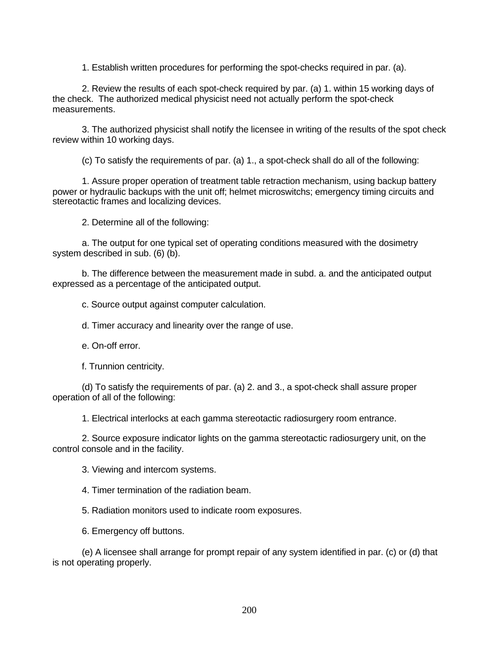1. Establish written procedures for performing the spot-checks required in par. (a).

2. Review the results of each spot-check required by par. (a) 1. within 15 working days of the check. The authorized medical physicist need not actually perform the spot-check measurements.

3. The authorized physicist shall notify the licensee in writing of the results of the spot check review within 10 working days.

(c) To satisfy the requirements of par. (a) 1., a spot-check shall do all of the following:

1. Assure proper operation of treatment table retraction mechanism, using backup battery power or hydraulic backups with the unit off; helmet microswitchs; emergency timing circuits and stereotactic frames and localizing devices.

2. Determine all of the following:

a. The output for one typical set of operating conditions measured with the dosimetry system described in sub. (6) (b).

b. The difference between the measurement made in subd. a. and the anticipated output expressed as a percentage of the anticipated output.

c. Source output against computer calculation.

d. Timer accuracy and linearity over the range of use.

e. On-off error.

f. Trunnion centricity.

(d) To satisfy the requirements of par. (a) 2. and 3., a spot-check shall assure proper operation of all of the following:

1. Electrical interlocks at each gamma stereotactic radiosurgery room entrance.

2. Source exposure indicator lights on the gamma stereotactic radiosurgery unit, on the control console and in the facility.

3. Viewing and intercom systems.

4. Timer termination of the radiation beam.

5. Radiation monitors used to indicate room exposures.

6. Emergency off buttons.

(e) A licensee shall arrange for prompt repair of any system identified in par. (c) or (d) that is not operating properly.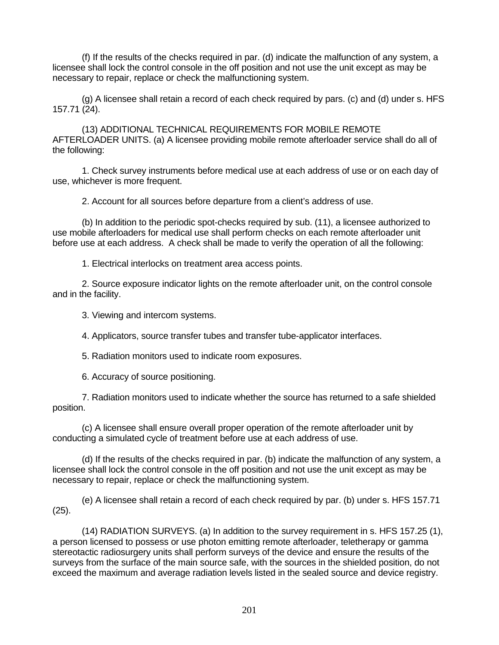(f) If the results of the checks required in par. (d) indicate the malfunction of any system, a licensee shall lock the control console in the off position and not use the unit except as may be necessary to repair, replace or check the malfunctioning system.

(g) A licensee shall retain a record of each check required by pars. (c) and (d) under s. HFS 157.71 (24).

(13) ADDITIONAL TECHNICAL REQUIREMENTS FOR MOBILE REMOTE AFTERLOADER UNITS. (a) A licensee providing mobile remote afterloader service shall do all of the following:

1. Check survey instruments before medical use at each address of use or on each day of use, whichever is more frequent.

2. Account for all sources before departure from a client's address of use.

(b) In addition to the periodic spot-checks required by sub. (11), a licensee authorized to use mobile afterloaders for medical use shall perform checks on each remote afterloader unit before use at each address. A check shall be made to verify the operation of all the following:

1. Electrical interlocks on treatment area access points.

2. Source exposure indicator lights on the remote afterloader unit, on the control console and in the facility.

3. Viewing and intercom systems.

4. Applicators, source transfer tubes and transfer tube-applicator interfaces.

5. Radiation monitors used to indicate room exposures.

6. Accuracy of source positioning.

7. Radiation monitors used to indicate whether the source has returned to a safe shielded position.

(c) A licensee shall ensure overall proper operation of the remote afterloader unit by conducting a simulated cycle of treatment before use at each address of use.

(d) If the results of the checks required in par. (b) indicate the malfunction of any system, a licensee shall lock the control console in the off position and not use the unit except as may be necessary to repair, replace or check the malfunctioning system.

(e) A licensee shall retain a record of each check required by par. (b) under s. HFS 157.71 (25).

(14) RADIATION SURVEYS. (a) In addition to the survey requirement in s. HFS 157.25 (1), a person licensed to possess or use photon emitting remote afterloader, teletherapy or gamma stereotactic radiosurgery units shall perform surveys of the device and ensure the results of the surveys from the surface of the main source safe, with the sources in the shielded position, do not exceed the maximum and average radiation levels listed in the sealed source and device registry.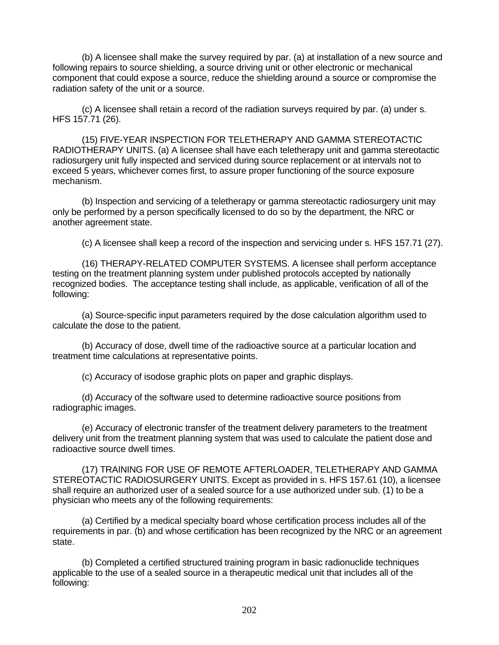(b) A licensee shall make the survey required by par. (a) at installation of a new source and following repairs to source shielding, a source driving unit or other electronic or mechanical component that could expose a source, reduce the shielding around a source or compromise the radiation safety of the unit or a source.

(c) A licensee shall retain a record of the radiation surveys required by par. (a) under s. HFS 157.71 (26).

(15) FIVE-YEAR INSPECTION FOR TELETHERAPY AND GAMMA STEREOTACTIC RADIOTHERAPY UNITS. (a) A licensee shall have each teletherapy unit and gamma stereotactic radiosurgery unit fully inspected and serviced during source replacement or at intervals not to exceed 5 years, whichever comes first, to assure proper functioning of the source exposure mechanism.

(b) Inspection and servicing of a teletherapy or gamma stereotactic radiosurgery unit may only be performed by a person specifically licensed to do so by the department, the NRC or another agreement state.

(c) A licensee shall keep a record of the inspection and servicing under s. HFS 157.71 (27).

(16) THERAPY-RELATED COMPUTER SYSTEMS. A licensee shall perform acceptance testing on the treatment planning system under published protocols accepted by nationally recognized bodies. The acceptance testing shall include, as applicable, verification of all of the following:

(a) Source-specific input parameters required by the dose calculation algorithm used to calculate the dose to the patient.

(b) Accuracy of dose, dwell time of the radioactive source at a particular location and treatment time calculations at representative points.

(c) Accuracy of isodose graphic plots on paper and graphic displays.

(d) Accuracy of the software used to determine radioactive source positions from radiographic images.

(e) Accuracy of electronic transfer of the treatment delivery parameters to the treatment delivery unit from the treatment planning system that was used to calculate the patient dose and radioactive source dwell times.

(17) TRAINING FOR USE OF REMOTE AFTERLOADER, TELETHERAPY AND GAMMA STEREOTACTIC RADIOSURGERY UNITS. Except as provided in s. HFS 157.61 (10), a licensee shall require an authorized user of a sealed source for a use authorized under sub. (1) to be a physician who meets any of the following requirements:

(a) Certified by a medical specialty board whose certification process includes all of the requirements in par. (b) and whose certification has been recognized by the NRC or an agreement state.

(b) Completed a certified structured training program in basic radionuclide techniques applicable to the use of a sealed source in a therapeutic medical unit that includes all of the following: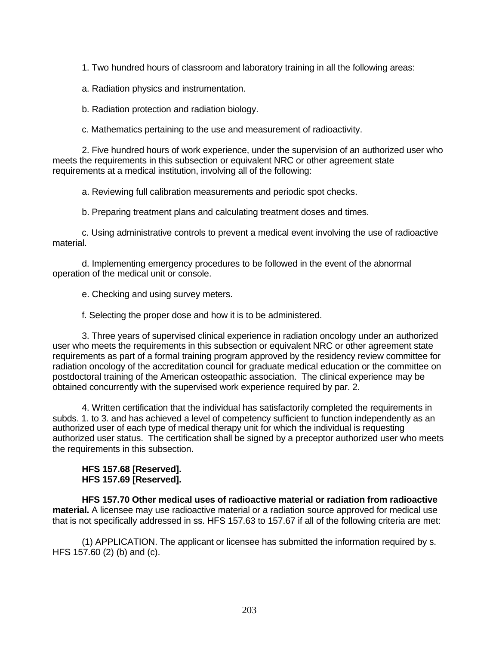1. Two hundred hours of classroom and laboratory training in all the following areas:

a. Radiation physics and instrumentation.

b. Radiation protection and radiation biology.

c. Mathematics pertaining to the use and measurement of radioactivity.

2. Five hundred hours of work experience, under the supervision of an authorized user who meets the requirements in this subsection or equivalent NRC or other agreement state requirements at a medical institution, involving all of the following:

a. Reviewing full calibration measurements and periodic spot checks.

b. Preparing treatment plans and calculating treatment doses and times.

c. Using administrative controls to prevent a medical event involving the use of radioactive material.

d. Implementing emergency procedures to be followed in the event of the abnormal operation of the medical unit or console.

e. Checking and using survey meters.

f. Selecting the proper dose and how it is to be administered.

3. Three years of supervised clinical experience in radiation oncology under an authorized user who meets the requirements in this subsection or equivalent NRC or other agreement state requirements as part of a formal training program approved by the residency review committee for radiation oncology of the accreditation council for graduate medical education or the committee on postdoctoral training of the American osteopathic association. The clinical experience may be obtained concurrently with the supervised work experience required by par. 2.

4. Written certification that the individual has satisfactorily completed the requirements in subds. 1. to 3. and has achieved a level of competency sufficient to function independently as an authorized user of each type of medical therapy unit for which the individual is requesting authorized user status. The certification shall be signed by a preceptor authorized user who meets the requirements in this subsection.

## **HFS 157.68 [Reserved]. HFS 157.69 [Reserved].**

**HFS 157.70 Other medical uses of radioactive material or radiation from radioactive material.** A licensee may use radioactive material or a radiation source approved for medical use that is not specifically addressed in ss. HFS 157.63 to 157.67 if all of the following criteria are met:

(1) APPLICATION. The applicant or licensee has submitted the information required by s. HFS 157.60 (2) (b) and (c).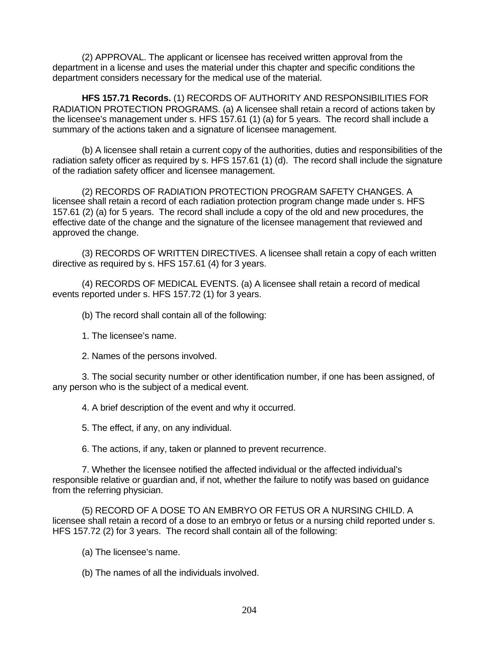(2) APPROVAL. The applicant or licensee has received written approval from the department in a license and uses the material under this chapter and specific conditions the department considers necessary for the medical use of the material.

**HFS 157.71 Records.** (1) RECORDS OF AUTHORITY AND RESPONSIBILITIES FOR RADIATION PROTECTION PROGRAMS. (a) A licensee shall retain a record of actions taken by the licensee's management under s. HFS 157.61 (1) (a) for 5 years. The record shall include a summary of the actions taken and a signature of licensee management.

(b) A licensee shall retain a current copy of the authorities, duties and responsibilities of the radiation safety officer as required by s. HFS 157.61 (1) (d). The record shall include the signature of the radiation safety officer and licensee management.

(2) RECORDS OF RADIATION PROTECTION PROGRAM SAFETY CHANGES. A licensee shall retain a record of each radiation protection program change made under s. HFS 157.61 (2) (a) for 5 years. The record shall include a copy of the old and new procedures, the effective date of the change and the signature of the licensee management that reviewed and approved the change.

(3) RECORDS OF WRITTEN DIRECTIVES. A licensee shall retain a copy of each written directive as required by s. HFS 157.61 (4) for 3 years.

(4) RECORDS OF MEDICAL EVENTS. (a) A licensee shall retain a record of medical events reported under s. HFS 157.72 (1) for 3 years.

(b) The record shall contain all of the following:

1. The licensee's name.

2. Names of the persons involved.

3. The social security number or other identification number, if one has been assigned, of any person who is the subject of a medical event.

4. A brief description of the event and why it occurred.

5. The effect, if any, on any individual.

6. The actions, if any, taken or planned to prevent recurrence.

7. Whether the licensee notified the affected individual or the affected individual's responsible relative or guardian and, if not, whether the failure to notify was based on guidance from the referring physician.

(5) RECORD OF A DOSE TO AN EMBRYO OR FETUS OR A NURSING CHILD. A licensee shall retain a record of a dose to an embryo or fetus or a nursing child reported under s. HFS 157.72 (2) for 3 years. The record shall contain all of the following:

(a) The licensee's name.

(b) The names of all the individuals involved.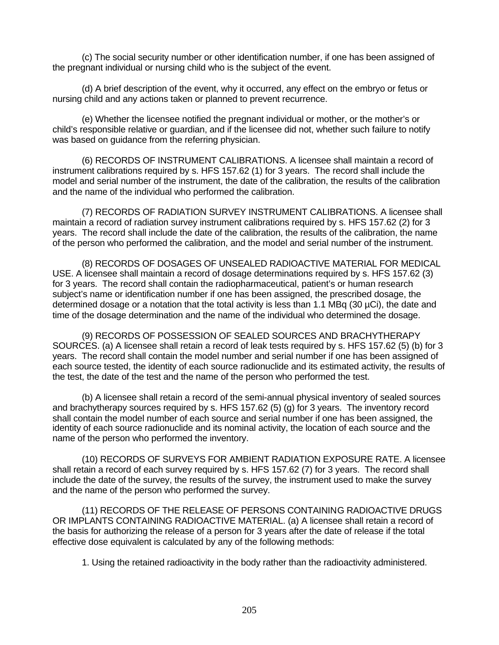(c) The social security number or other identification number, if one has been assigned of the pregnant individual or nursing child who is the subject of the event.

(d) A brief description of the event, why it occurred, any effect on the embryo or fetus or nursing child and any actions taken or planned to prevent recurrence.

(e) Whether the licensee notified the pregnant individual or mother, or the mother's or child's responsible relative or guardian, and if the licensee did not, whether such failure to notify was based on guidance from the referring physician.

(6) RECORDS OF INSTRUMENT CALIBRATIONS. A licensee shall maintain a record of instrument calibrations required by s. HFS 157.62 (1) for 3 years. The record shall include the model and serial number of the instrument, the date of the calibration, the results of the calibration and the name of the individual who performed the calibration.

(7) RECORDS OF RADIATION SURVEY INSTRUMENT CALIBRATIONS. A licensee shall maintain a record of radiation survey instrument calibrations required by s. HFS 157.62 (2) for 3 years. The record shall include the date of the calibration, the results of the calibration, the name of the person who performed the calibration, and the model and serial number of the instrument.

(8) RECORDS OF DOSAGES OF UNSEALED RADIOACTIVE MATERIAL FOR MEDICAL USE. A licensee shall maintain a record of dosage determinations required by s. HFS 157.62 (3) for 3 years. The record shall contain the radiopharmaceutical, patient's or human research subject's name or identification number if one has been assigned, the prescribed dosage, the determined dosage or a notation that the total activity is less than 1.1 MBq (30 µCi), the date and time of the dosage determination and the name of the individual who determined the dosage.

(9) RECORDS OF POSSESSION OF SEALED SOURCES AND BRACHYTHERAPY SOURCES. (a) A licensee shall retain a record of leak tests required by s. HFS 157.62 (5) (b) for 3 years. The record shall contain the model number and serial number if one has been assigned of each source tested, the identity of each source radionuclide and its estimated activity, the results of the test, the date of the test and the name of the person who performed the test.

(b) A licensee shall retain a record of the semi-annual physical inventory of sealed sources and brachytherapy sources required by s. HFS 157.62 (5) (g) for 3 years. The inventory record shall contain the model number of each source and serial number if one has been assigned, the identity of each source radionuclide and its nominal activity, the location of each source and the name of the person who performed the inventory.

(10) RECORDS OF SURVEYS FOR AMBIENT RADIATION EXPOSURE RATE. A licensee shall retain a record of each survey required by s. HFS 157.62 (7) for 3 years. The record shall include the date of the survey, the results of the survey, the instrument used to make the survey and the name of the person who performed the survey.

(11) RECORDS OF THE RELEASE OF PERSONS CONTAINING RADIOACTIVE DRUGS OR IMPLANTS CONTAINING RADIOACTIVE MATERIAL. (a) A licensee shall retain a record of the basis for authorizing the release of a person for 3 years after the date of release if the total effective dose equivalent is calculated by any of the following methods:

1. Using the retained radioactivity in the body rather than the radioactivity administered.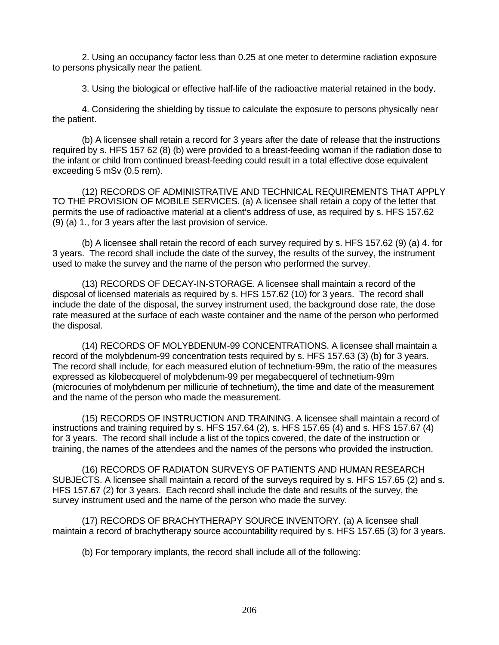2. Using an occupancy factor less than 0.25 at one meter to determine radiation exposure to persons physically near the patient.

3. Using the biological or effective half-life of the radioactive material retained in the body.

4. Considering the shielding by tissue to calculate the exposure to persons physically near the patient.

(b) A licensee shall retain a record for 3 years after the date of release that the instructions required by s. HFS 157 62 (8) (b) were provided to a breast-feeding woman if the radiation dose to the infant or child from continued breast-feeding could result in a total effective dose equivalent exceeding 5 mSv (0.5 rem).

(12) RECORDS OF ADMINISTRATIVE AND TECHNICAL REQUIREMENTS THAT APPLY TO THE PROVISION OF MOBILE SERVICES. (a) A licensee shall retain a copy of the letter that permits the use of radioactive material at a client's address of use, as required by s. HFS 157.62 (9) (a) 1., for 3 years after the last provision of service.

(b) A licensee shall retain the record of each survey required by s. HFS 157.62 (9) (a) 4. for 3 years. The record shall include the date of the survey, the results of the survey, the instrument used to make the survey and the name of the person who performed the survey.

(13) RECORDS OF DECAY-IN-STORAGE. A licensee shall maintain a record of the disposal of licensed materials as required by s. HFS 157.62 (10) for 3 years. The record shall include the date of the disposal, the survey instrument used, the background dose rate, the dose rate measured at the surface of each waste container and the name of the person who performed the disposal.

(14) RECORDS OF MOLYBDENUM-99 CONCENTRATIONS. A licensee shall maintain a record of the molybdenum-99 concentration tests required by s. HFS 157.63 (3) (b) for 3 years. The record shall include, for each measured elution of technetium-99m, the ratio of the measures expressed as kilobecquerel of molybdenum-99 per megabecquerel of technetium-99m (microcuries of molybdenum per millicurie of technetium), the time and date of the measurement and the name of the person who made the measurement.

(15) RECORDS OF INSTRUCTION AND TRAINING. A licensee shall maintain a record of instructions and training required by s. HFS 157.64 (2), s. HFS 157.65 (4) and s. HFS 157.67 (4) for 3 years. The record shall include a list of the topics covered, the date of the instruction or training, the names of the attendees and the names of the persons who provided the instruction.

(16) RECORDS OF RADIATON SURVEYS OF PATIENTS AND HUMAN RESEARCH SUBJECTS. A licensee shall maintain a record of the surveys required by s. HFS 157.65 (2) and s. HFS 157.67 (2) for 3 years. Each record shall include the date and results of the survey, the survey instrument used and the name of the person who made the survey.

(17) RECORDS OF BRACHYTHERAPY SOURCE INVENTORY. (a) A licensee shall maintain a record of brachytherapy source accountability required by s. HFS 157.65 (3) for 3 years.

(b) For temporary implants, the record shall include all of the following: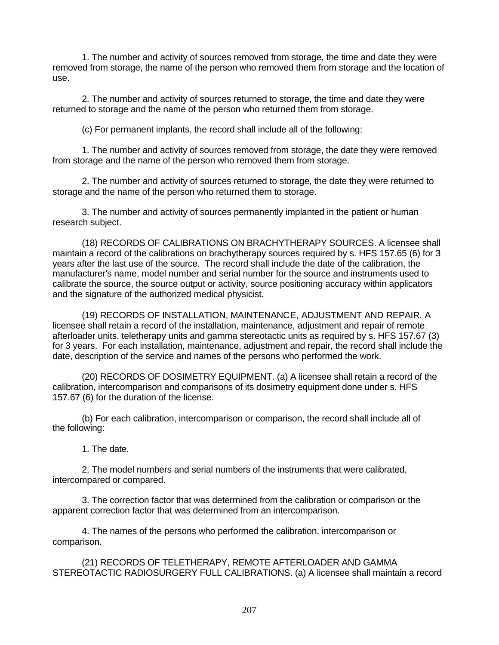1. The number and activity of sources removed from storage, the time and date they were removed from storage, the name of the person who removed them from storage and the location of use.

2. The number and activity of sources returned to storage, the time and date they were returned to storage and the name of the person who returned them from storage.

(c) For permanent implants, the record shall include all of the following:

1. The number and activity of sources removed from storage, the date they were removed from storage and the name of the person who removed them from storage.

2. The number and activity of sources returned to storage, the date they were returned to storage and the name of the person who returned them to storage.

3. The number and activity of sources permanently implanted in the patient or human research subject.

(18) RECORDS OF CALIBRATIONS ON BRACHYTHERAPY SOURCES. A licensee shall maintain a record of the calibrations on brachytherapy sources required by s. HFS 157.65 (6) for 3 years after the last use of the source. The record shall include the date of the calibration, the manufacturer's name, model number and serial number for the source and instruments used to calibrate the source, the source output or activity, source positioning accuracy within applicators and the signature of the authorized medical physicist.

(19) RECORDS OF INSTALLATION, MAINTENANCE, ADJUSTMENT AND REPAIR. A licensee shall retain a record of the installation, maintenance, adjustment and repair of remote afterloader units, teletherapy units and gamma stereotactic units as required by s. HFS 157.67 (3) for 3 years. For each installation, maintenance, adjustment and repair, the record shall include the date, description of the service and names of the persons who performed the work.

(20) RECORDS OF DOSIMETRY EQUIPMENT. (a) A licensee shall retain a record of the calibration, intercomparison and comparisons of its dosimetry equipment done under s. HFS 157.67 (6) for the duration of the license.

(b) For each calibration, intercomparison or comparison, the record shall include all of the following:

1. The date.

2. The model numbers and serial numbers of the instruments that were calibrated, intercompared or compared.

3. The correction factor that was determined from the calibration or comparison or the apparent correction factor that was determined from an intercomparison.

4. The names of the persons who performed the calibration, intercomparison or comparison.

(21) RECORDS OF TELETHERAPY, REMOTE AFTERLOADER AND GAMMA STEREOTACTIC RADIOSURGERY FULL CALIBRATIONS. (a) A licensee shall maintain a record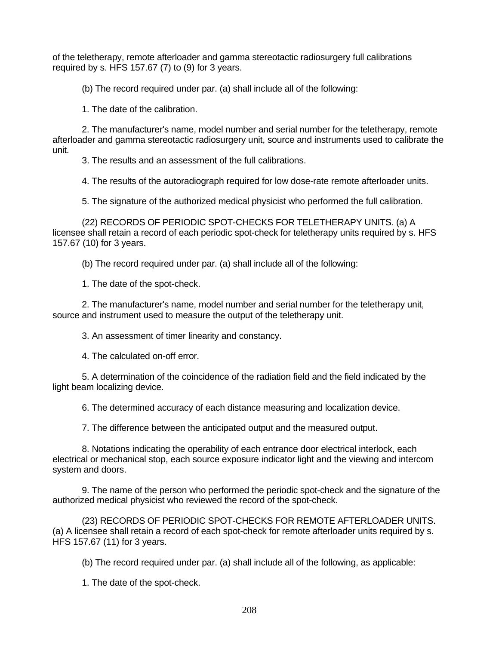of the teletherapy, remote afterloader and gamma stereotactic radiosurgery full calibrations required by s. HFS 157.67  $(7)$  to  $(9)$  for 3 years.

(b) The record required under par. (a) shall include all of the following:

1. The date of the calibration.

2. The manufacturer's name, model number and serial number for the teletherapy, remote afterloader and gamma stereotactic radiosurgery unit, source and instruments used to calibrate the unit.

3. The results and an assessment of the full calibrations.

4. The results of the autoradiograph required for low dose-rate remote afterloader units.

5. The signature of the authorized medical physicist who performed the full calibration.

(22) RECORDS OF PERIODIC SPOT-CHECKS FOR TELETHERAPY UNITS. (a) A licensee shall retain a record of each periodic spot-check for teletherapy units required by s. HFS 157.67 (10) for 3 years.

(b) The record required under par. (a) shall include all of the following:

1. The date of the spot-check.

2. The manufacturer's name, model number and serial number for the teletherapy unit, source and instrument used to measure the output of the teletherapy unit.

3. An assessment of timer linearity and constancy.

4. The calculated on-off error.

5. A determination of the coincidence of the radiation field and the field indicated by the light beam localizing device.

6. The determined accuracy of each distance measuring and localization device.

7. The difference between the anticipated output and the measured output.

8. Notations indicating the operability of each entrance door electrical interlock, each electrical or mechanical stop, each source exposure indicator light and the viewing and intercom system and doors.

9. The name of the person who performed the periodic spot-check and the signature of the authorized medical physicist who reviewed the record of the spot-check.

(23) RECORDS OF PERIODIC SPOT-CHECKS FOR REMOTE AFTERLOADER UNITS. (a) A licensee shall retain a record of each spot-check for remote afterloader units required by s. HFS 157.67 (11) for 3 years.

(b) The record required under par. (a) shall include all of the following, as applicable:

1. The date of the spot-check.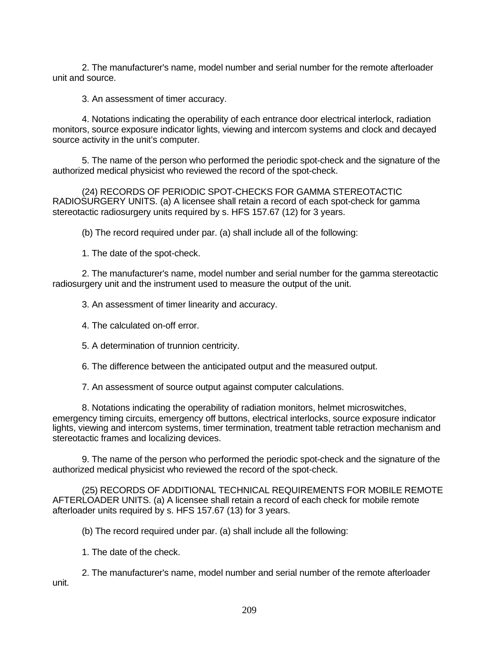2. The manufacturer's name, model number and serial number for the remote afterloader unit and source.

3. An assessment of timer accuracy.

4. Notations indicating the operability of each entrance door electrical interlock, radiation monitors, source exposure indicator lights, viewing and intercom systems and clock and decayed source activity in the unit's computer.

5. The name of the person who performed the periodic spot-check and the signature of the authorized medical physicist who reviewed the record of the spot-check.

(24) RECORDS OF PERIODIC SPOT-CHECKS FOR GAMMA STEREOTACTIC RADIOSURGERY UNITS. (a) A licensee shall retain a record of each spot-check for gamma stereotactic radiosurgery units required by s. HFS 157.67 (12) for 3 years.

(b) The record required under par. (a) shall include all of the following:

1. The date of the spot-check.

2. The manufacturer's name, model number and serial number for the gamma stereotactic radiosurgery unit and the instrument used to measure the output of the unit.

3. An assessment of timer linearity and accuracy.

4. The calculated on-off error.

5. A determination of trunnion centricity.

6. The difference between the anticipated output and the measured output.

7. An assessment of source output against computer calculations.

8. Notations indicating the operability of radiation monitors, helmet microswitches, emergency timing circuits, emergency off buttons, electrical interlocks, source exposure indicator lights, viewing and intercom systems, timer termination, treatment table retraction mechanism and stereotactic frames and localizing devices.

9. The name of the person who performed the periodic spot-check and the signature of the authorized medical physicist who reviewed the record of the spot-check.

(25) RECORDS OF ADDITIONAL TECHNICAL REQUIREMENTS FOR MOBILE REMOTE AFTERLOADER UNITS. (a) A licensee shall retain a record of each check for mobile remote afterloader units required by s. HFS 157.67 (13) for 3 years.

(b) The record required under par. (a) shall include all the following:

1. The date of the check.

2. The manufacturer's name, model number and serial number of the remote afterloader unit.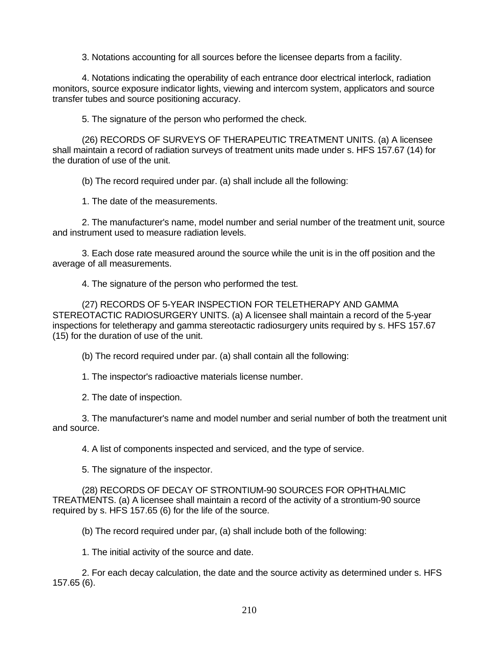3. Notations accounting for all sources before the licensee departs from a facility.

4. Notations indicating the operability of each entrance door electrical interlock, radiation monitors, source exposure indicator lights, viewing and intercom system, applicators and source transfer tubes and source positioning accuracy.

5. The signature of the person who performed the check.

(26) RECORDS OF SURVEYS OF THERAPEUTIC TREATMENT UNITS. (a) A licensee shall maintain a record of radiation surveys of treatment units made under s. HFS 157.67 (14) for the duration of use of the unit.

(b) The record required under par. (a) shall include all the following:

1. The date of the measurements.

2. The manufacturer's name, model number and serial number of the treatment unit, source and instrument used to measure radiation levels.

3. Each dose rate measured around the source while the unit is in the off position and the average of all measurements.

4. The signature of the person who performed the test.

(27) RECORDS OF 5-YEAR INSPECTION FOR TELETHERAPY AND GAMMA STEREOTACTIC RADIOSURGERY UNITS. (a) A licensee shall maintain a record of the 5-year inspections for teletherapy and gamma stereotactic radiosurgery units required by s. HFS 157.67 (15) for the duration of use of the unit.

(b) The record required under par. (a) shall contain all the following:

1. The inspector's radioactive materials license number.

2. The date of inspection.

3. The manufacturer's name and model number and serial number of both the treatment unit and source.

4. A list of components inspected and serviced, and the type of service.

5. The signature of the inspector.

(28) RECORDS OF DECAY OF STRONTIUM-90 SOURCES FOR OPHTHALMIC TREATMENTS. (a) A licensee shall maintain a record of the activity of a strontium-90 source required by s. HFS 157.65 (6) for the life of the source.

(b) The record required under par, (a) shall include both of the following:

1. The initial activity of the source and date.

2. For each decay calculation, the date and the source activity as determined under s. HFS 157.65 (6).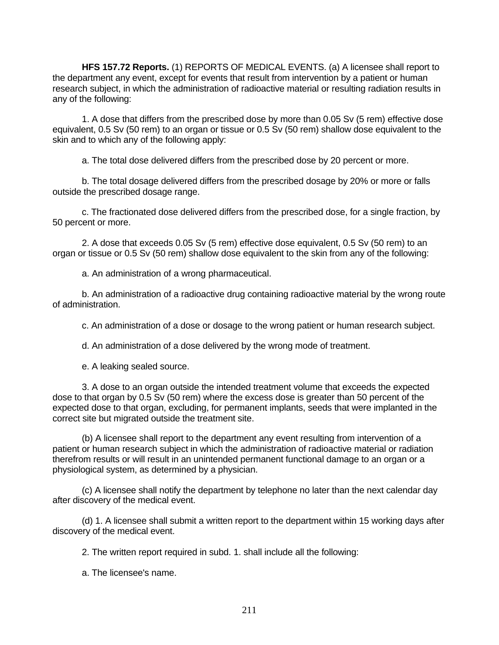**HFS 157.72 Reports.** (1) REPORTS OF MEDICAL EVENTS. (a) A licensee shall report to the department any event, except for events that result from intervention by a patient or human research subject, in which the administration of radioactive material or resulting radiation results in any of the following:

1. A dose that differs from the prescribed dose by more than 0.05 Sv (5 rem) effective dose equivalent, 0.5 Sv (50 rem) to an organ or tissue or 0.5 Sv (50 rem) shallow dose equivalent to the skin and to which any of the following apply:

a. The total dose delivered differs from the prescribed dose by 20 percent or more.

b. The total dosage delivered differs from the prescribed dosage by 20% or more or falls outside the prescribed dosage range.

c. The fractionated dose delivered differs from the prescribed dose, for a single fraction, by 50 percent or more.

2. A dose that exceeds 0.05 Sv (5 rem) effective dose equivalent, 0.5 Sv (50 rem) to an organ or tissue or 0.5 Sv (50 rem) shallow dose equivalent to the skin from any of the following:

a. An administration of a wrong pharmaceutical.

b. An administration of a radioactive drug containing radioactive material by the wrong route of administration.

c. An administration of a dose or dosage to the wrong patient or human research subject.

d. An administration of a dose delivered by the wrong mode of treatment.

e. A leaking sealed source.

3. A dose to an organ outside the intended treatment volume that exceeds the expected dose to that organ by 0.5 Sv (50 rem) where the excess dose is greater than 50 percent of the expected dose to that organ, excluding, for permanent implants, seeds that were implanted in the correct site but migrated outside the treatment site.

(b) A licensee shall report to the department any event resulting from intervention of a patient or human research subject in which the administration of radioactive material or radiation therefrom results or will result in an unintended permanent functional damage to an organ or a physiological system, as determined by a physician.

(c) A licensee shall notify the department by telephone no later than the next calendar day after discovery of the medical event.

(d) 1. A licensee shall submit a written report to the department within 15 working days after discovery of the medical event.

2. The written report required in subd. 1. shall include all the following:

a. The licensee's name.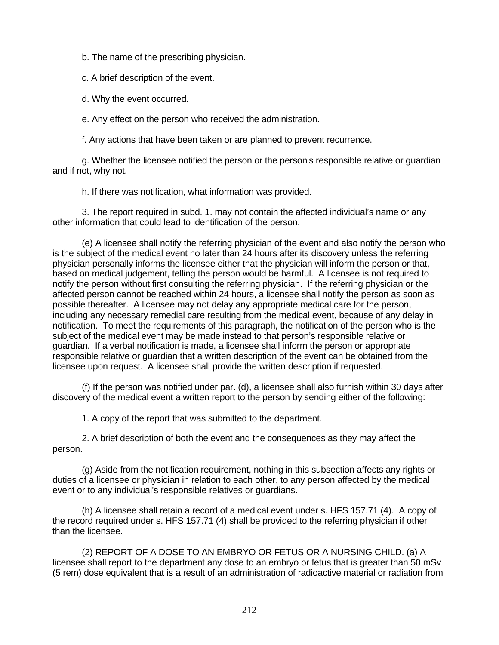b. The name of the prescribing physician.

c. A brief description of the event.

d. Why the event occurred.

e. Any effect on the person who received the administration.

f. Any actions that have been taken or are planned to prevent recurrence.

g. Whether the licensee notified the person or the person's responsible relative or guardian and if not, why not.

h. If there was notification, what information was provided.

3. The report required in subd. 1. may not contain the affected individual's name or any other information that could lead to identification of the person.

(e) A licensee shall notify the referring physician of the event and also notify the person who is the subject of the medical event no later than 24 hours after its discovery unless the referring physician personally informs the licensee either that the physician will inform the person or that, based on medical judgement, telling the person would be harmful. A licensee is not required to notify the person without first consulting the referring physician. If the referring physician or the affected person cannot be reached within 24 hours, a licensee shall notify the person as soon as possible thereafter. A licensee may not delay any appropriate medical care for the person, including any necessary remedial care resulting from the medical event, because of any delay in notification. To meet the requirements of this paragraph, the notification of the person who is the subject of the medical event may be made instead to that person's responsible relative or guardian. If a verbal notification is made, a licensee shall inform the person or appropriate responsible relative or guardian that a written description of the event can be obtained from the licensee upon request. A licensee shall provide the written description if requested.

(f) If the person was notified under par. (d), a licensee shall also furnish within 30 days after discovery of the medical event a written report to the person by sending either of the following:

1. A copy of the report that was submitted to the department.

2. A brief description of both the event and the consequences as they may affect the person.

(g) Aside from the notification requirement, nothing in this subsection affects any rights or duties of a licensee or physician in relation to each other, to any person affected by the medical event or to any individual's responsible relatives or guardians.

(h) A licensee shall retain a record of a medical event under s. HFS 157.71 (4). A copy of the record required under s. HFS 157.71 (4) shall be provided to the referring physician if other than the licensee.

(2) REPORT OF A DOSE TO AN EMBRYO OR FETUS OR A NURSING CHILD. (a) A licensee shall report to the department any dose to an embryo or fetus that is greater than 50 mSv (5 rem) dose equivalent that is a result of an administration of radioactive material or radiation from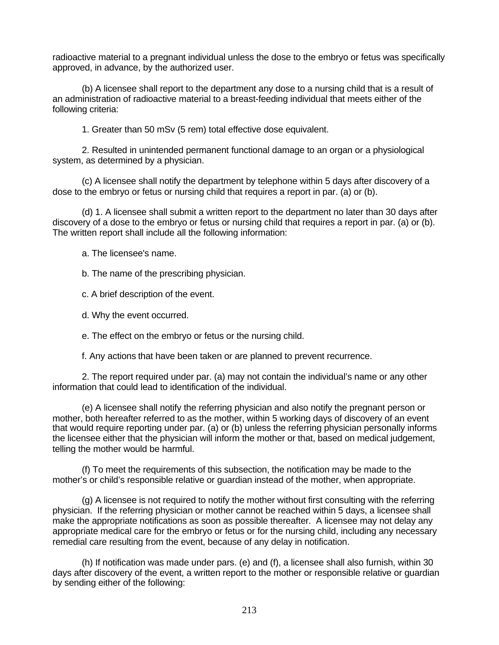radioactive material to a pregnant individual unless the dose to the embryo or fetus was specifically approved, in advance, by the authorized user.

(b) A licensee shall report to the department any dose to a nursing child that is a result of an administration of radioactive material to a breast-feeding individual that meets either of the following criteria:

1. Greater than 50 mSv (5 rem) total effective dose equivalent.

2. Resulted in unintended permanent functional damage to an organ or a physiological system, as determined by a physician.

(c) A licensee shall notify the department by telephone within 5 days after discovery of a dose to the embryo or fetus or nursing child that requires a report in par. (a) or (b).

(d) 1. A licensee shall submit a written report to the department no later than 30 days after discovery of a dose to the embryo or fetus or nursing child that requires a report in par. (a) or (b). The written report shall include all the following information:

a. The licensee's name.

b. The name of the prescribing physician.

c. A brief description of the event.

d. Why the event occurred.

e. The effect on the embryo or fetus or the nursing child.

f. Any actions that have been taken or are planned to prevent recurrence.

2. The report required under par. (a) may not contain the individual's name or any other information that could lead to identification of the individual.

(e) A licensee shall notify the referring physician and also notify the pregnant person or mother, both hereafter referred to as the mother, within 5 working days of discovery of an event that would require reporting under par. (a) or (b) unless the referring physician personally informs the licensee either that the physician will inform the mother or that, based on medical judgement, telling the mother would be harmful.

(f) To meet the requirements of this subsection, the notification may be made to the mother's or child's responsible relative or guardian instead of the mother, when appropriate.

(g) A licensee is not required to notify the mother without first consulting with the referring physician. If the referring physician or mother cannot be reached within 5 days, a licensee shall make the appropriate notifications as soon as possible thereafter. A licensee may not delay any appropriate medical care for the embryo or fetus or for the nursing child, including any necessary remedial care resulting from the event, because of any delay in notification.

(h) If notification was made under pars. (e) and (f), a licensee shall also furnish, within 30 days after discovery of the event, a written report to the mother or responsible relative or guardian by sending either of the following: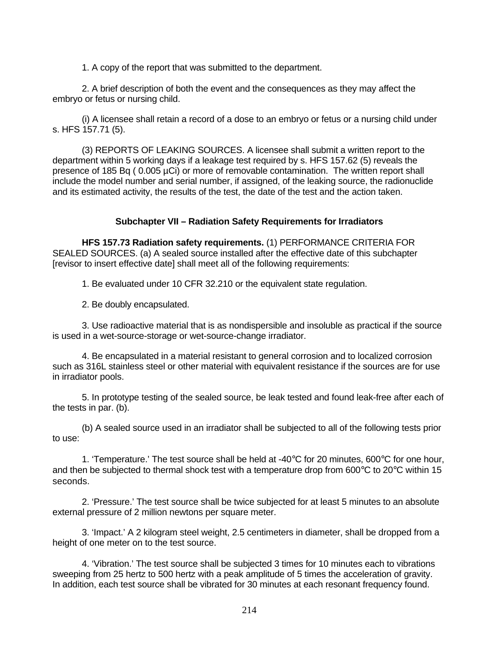1. A copy of the report that was submitted to the department.

2. A brief description of both the event and the consequences as they may affect the embryo or fetus or nursing child.

(i) A licensee shall retain a record of a dose to an embryo or fetus or a nursing child under s. HFS 157.71 (5).

(3) REPORTS OF LEAKING SOURCES. A licensee shall submit a written report to the department within 5 working days if a leakage test required by s. HFS 157.62 (5) reveals the presence of 185 Bq (0.005 µCi) or more of removable contamination. The written report shall include the model number and serial number, if assigned, of the leaking source, the radionuclide and its estimated activity, the results of the test, the date of the test and the action taken.

## **Subchapter VII – Radiation Safety Requirements for Irradiators**

**HFS 157.73 Radiation safety requirements.** (1) PERFORMANCE CRITERIA FOR SEALED SOURCES. (a) A sealed source installed after the effective date of this subchapter [revisor to insert effective date] shall meet all of the following requirements:

1. Be evaluated under 10 CFR 32.210 or the equivalent state regulation.

2. Be doubly encapsulated.

3. Use radioactive material that is as nondispersible and insoluble as practical if the source is used in a wet-source-storage or wet-source-change irradiator.

4. Be encapsulated in a material resistant to general corrosion and to localized corrosion such as 316L stainless steel or other material with equivalent resistance if the sources are for use in irradiator pools.

5. In prototype testing of the sealed source, be leak tested and found leak-free after each of the tests in par. (b).

(b) A sealed source used in an irradiator shall be subjected to all of the following tests prior to use:

1. 'Temperature.' The test source shall be held at -40 $\degree$ C for 20 minutes, 600 $\degree$ C for one hour, and then be subjected to thermal shock test with a temperature drop from 600°C to 20°C within 15 seconds.

2. 'Pressure.' The test source shall be twice subjected for at least 5 minutes to an absolute external pressure of 2 million newtons per square meter.

3. 'Impact.' A 2 kilogram steel weight, 2.5 centimeters in diameter, shall be dropped from a height of one meter on to the test source.

4. 'Vibration.' The test source shall be subjected 3 times for 10 minutes each to vibrations sweeping from 25 hertz to 500 hertz with a peak amplitude of 5 times the acceleration of gravity. In addition, each test source shall be vibrated for 30 minutes at each resonant frequency found.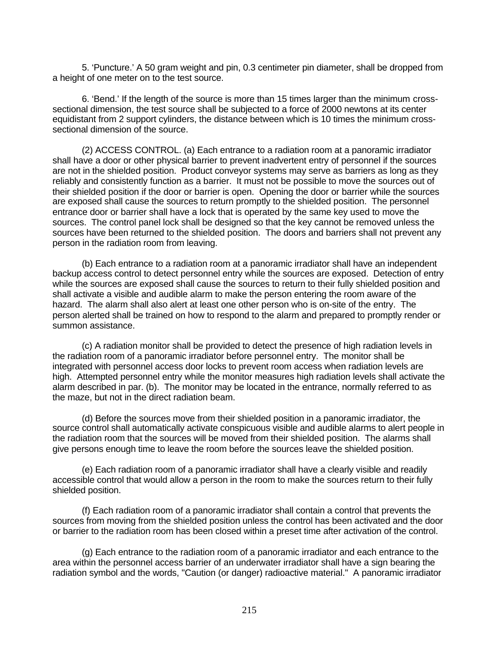5. 'Puncture.' A 50 gram weight and pin, 0.3 centimeter pin diameter, shall be dropped from a height of one meter on to the test source.

6. 'Bend.' If the length of the source is more than 15 times larger than the minimum crosssectional dimension, the test source shall be subjected to a force of 2000 newtons at its center equidistant from 2 support cylinders, the distance between which is 10 times the minimum crosssectional dimension of the source.

(2) ACCESS CONTROL. (a) Each entrance to a radiation room at a panoramic irradiator shall have a door or other physical barrier to prevent inadvertent entry of personnel if the sources are not in the shielded position. Product conveyor systems may serve as barriers as long as they reliably and consistently function as a barrier. It must not be possible to move the sources out of their shielded position if the door or barrier is open. Opening the door or barrier while the sources are exposed shall cause the sources to return promptly to the shielded position. The personnel entrance door or barrier shall have a lock that is operated by the same key used to move the sources. The control panel lock shall be designed so that the key cannot be removed unless the sources have been returned to the shielded position. The doors and barriers shall not prevent any person in the radiation room from leaving.

(b) Each entrance to a radiation room at a panoramic irradiator shall have an independent backup access control to detect personnel entry while the sources are exposed. Detection of entry while the sources are exposed shall cause the sources to return to their fully shielded position and shall activate a visible and audible alarm to make the person entering the room aware of the hazard. The alarm shall also alert at least one other person who is on-site of the entry. The person alerted shall be trained on how to respond to the alarm and prepared to promptly render or summon assistance.

(c) A radiation monitor shall be provided to detect the presence of high radiation levels in the radiation room of a panoramic irradiator before personnel entry. The monitor shall be integrated with personnel access door locks to prevent room access when radiation levels are high. Attempted personnel entry while the monitor measures high radiation levels shall activate the alarm described in par. (b). The monitor may be located in the entrance, normally referred to as the maze, but not in the direct radiation beam.

(d) Before the sources move from their shielded position in a panoramic irradiator, the source control shall automatically activate conspicuous visible and audible alarms to alert people in the radiation room that the sources will be moved from their shielded position. The alarms shall give persons enough time to leave the room before the sources leave the shielded position.

(e) Each radiation room of a panoramic irradiator shall have a clearly visible and readily accessible control that would allow a person in the room to make the sources return to their fully shielded position.

(f) Each radiation room of a panoramic irradiator shall contain a control that prevents the sources from moving from the shielded position unless the control has been activated and the door or barrier to the radiation room has been closed within a preset time after activation of the control.

(g) Each entrance to the radiation room of a panoramic irradiator and each entrance to the area within the personnel access barrier of an underwater irradiator shall have a sign bearing the radiation symbol and the words, "Caution (or danger) radioactive material." A panoramic irradiator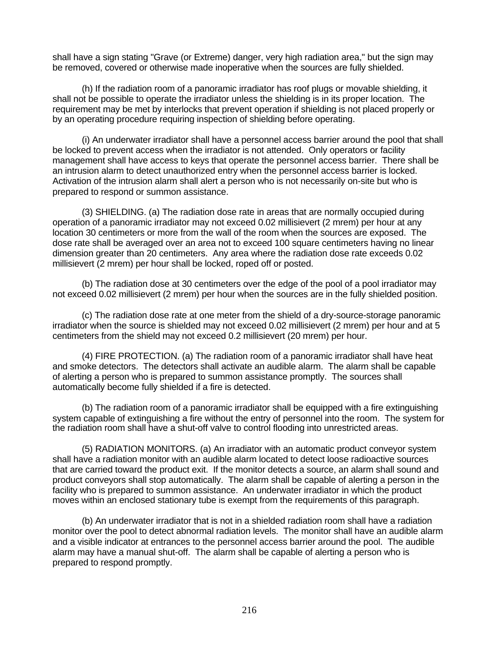shall have a sign stating "Grave (or Extreme) danger, very high radiation area," but the sign may be removed, covered or otherwise made inoperative when the sources are fully shielded.

(h) If the radiation room of a panoramic irradiator has roof plugs or movable shielding, it shall not be possible to operate the irradiator unless the shielding is in its proper location. The requirement may be met by interlocks that prevent operation if shielding is not placed properly or by an operating procedure requiring inspection of shielding before operating.

(i) An underwater irradiator shall have a personnel access barrier around the pool that shall be locked to prevent access when the irradiator is not attended. Only operators or facility management shall have access to keys that operate the personnel access barrier. There shall be an intrusion alarm to detect unauthorized entry when the personnel access barrier is locked. Activation of the intrusion alarm shall alert a person who is not necessarily on-site but who is prepared to respond or summon assistance.

(3) SHIELDING. (a) The radiation dose rate in areas that are normally occupied during operation of a panoramic irradiator may not exceed 0.02 millisievert (2 mrem) per hour at any location 30 centimeters or more from the wall of the room when the sources are exposed. The dose rate shall be averaged over an area not to exceed 100 square centimeters having no linear dimension greater than 20 centimeters. Any area where the radiation dose rate exceeds 0.02 millisievert (2 mrem) per hour shall be locked, roped off or posted.

(b) The radiation dose at 30 centimeters over the edge of the pool of a pool irradiator may not exceed 0.02 millisievert (2 mrem) per hour when the sources are in the fully shielded position.

(c) The radiation dose rate at one meter from the shield of a dry-source-storage panoramic irradiator when the source is shielded may not exceed 0.02 millisievert (2 mrem) per hour and at 5 centimeters from the shield may not exceed 0.2 millisievert (20 mrem) per hour.

(4) FIRE PROTECTION. (a) The radiation room of a panoramic irradiator shall have heat and smoke detectors. The detectors shall activate an audible alarm. The alarm shall be capable of alerting a person who is prepared to summon assistance promptly. The sources shall automatically become fully shielded if a fire is detected.

(b) The radiation room of a panoramic irradiator shall be equipped with a fire extinguishing system capable of extinguishing a fire without the entry of personnel into the room. The system for the radiation room shall have a shut-off valve to control flooding into unrestricted areas.

(5) RADIATION MONITORS. (a) An irradiator with an automatic product conveyor system shall have a radiation monitor with an audible alarm located to detect loose radioactive sources that are carried toward the product exit. If the monitor detects a source, an alarm shall sound and product conveyors shall stop automatically. The alarm shall be capable of alerting a person in the facility who is prepared to summon assistance. An underwater irradiator in which the product moves within an enclosed stationary tube is exempt from the requirements of this paragraph.

(b) An underwater irradiator that is not in a shielded radiation room shall have a radiation monitor over the pool to detect abnormal radiation levels. The monitor shall have an audible alarm and a visible indicator at entrances to the personnel access barrier around the pool. The audible alarm may have a manual shut-off. The alarm shall be capable of alerting a person who is prepared to respond promptly.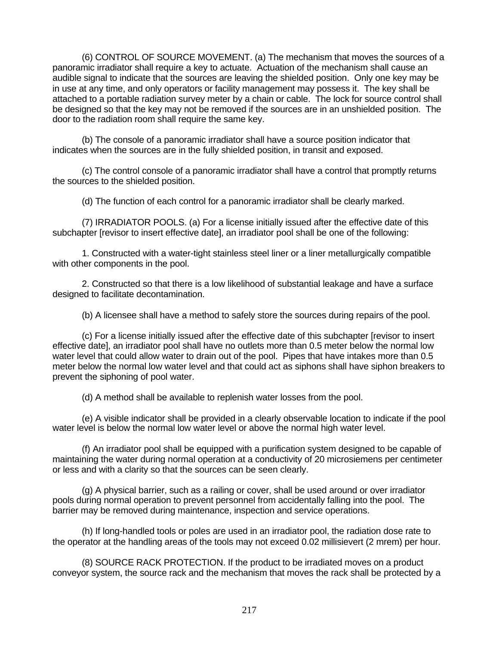(6) CONTROL OF SOURCE MOVEMENT. (a) The mechanism that moves the sources of a panoramic irradiator shall require a key to actuate. Actuation of the mechanism shall cause an audible signal to indicate that the sources are leaving the shielded position. Only one key may be in use at any time, and only operators or facility management may possess it. The key shall be attached to a portable radiation survey meter by a chain or cable. The lock for source control shall be designed so that the key may not be removed if the sources are in an unshielded position. The door to the radiation room shall require the same key.

(b) The console of a panoramic irradiator shall have a source position indicator that indicates when the sources are in the fully shielded position, in transit and exposed.

(c) The control console of a panoramic irradiator shall have a control that promptly returns the sources to the shielded position.

(d) The function of each control for a panoramic irradiator shall be clearly marked.

(7) IRRADIATOR POOLS. (a) For a license initially issued after the effective date of this subchapter [revisor to insert effective date], an irradiator pool shall be one of the following:

1. Constructed with a water-tight stainless steel liner or a liner metallurgically compatible with other components in the pool.

2. Constructed so that there is a low likelihood of substantial leakage and have a surface designed to facilitate decontamination.

(b) A licensee shall have a method to safely store the sources during repairs of the pool.

(c) For a license initially issued after the effective date of this subchapter [revisor to insert effective date], an irradiator pool shall have no outlets more than 0.5 meter below the normal low water level that could allow water to drain out of the pool. Pipes that have intakes more than 0.5 meter below the normal low water level and that could act as siphons shall have siphon breakers to prevent the siphoning of pool water.

(d) A method shall be available to replenish water losses from the pool.

(e) A visible indicator shall be provided in a clearly observable location to indicate if the pool water level is below the normal low water level or above the normal high water level.

(f) An irradiator pool shall be equipped with a purification system designed to be capable of maintaining the water during normal operation at a conductivity of 20 microsiemens per centimeter or less and with a clarity so that the sources can be seen clearly.

(g) A physical barrier, such as a railing or cover, shall be used around or over irradiator pools during normal operation to prevent personnel from accidentally falling into the pool. The barrier may be removed during maintenance, inspection and service operations.

(h) If long-handled tools or poles are used in an irradiator pool, the radiation dose rate to the operator at the handling areas of the tools may not exceed 0.02 millisievert (2 mrem) per hour.

(8) SOURCE RACK PROTECTION. If the product to be irradiated moves on a product conveyor system, the source rack and the mechanism that moves the rack shall be protected by a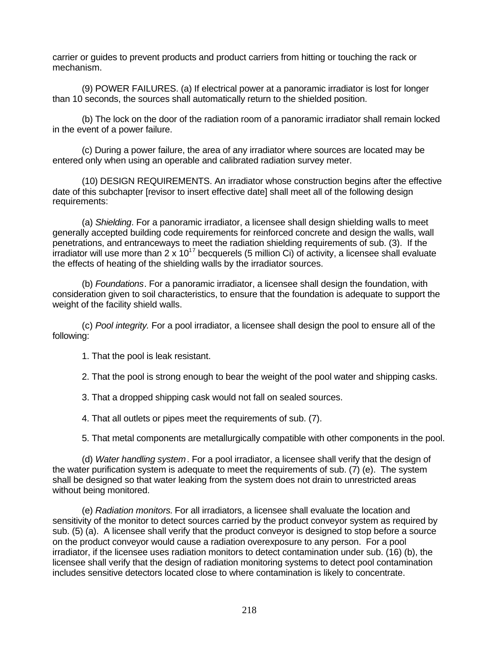carrier or guides to prevent products and product carriers from hitting or touching the rack or mechanism.

(9) POWER FAILURES. (a) If electrical power at a panoramic irradiator is lost for longer than 10 seconds, the sources shall automatically return to the shielded position.

(b) The lock on the door of the radiation room of a panoramic irradiator shall remain locked in the event of a power failure.

(c) During a power failure, the area of any irradiator where sources are located may be entered only when using an operable and calibrated radiation survey meter.

(10) DESIGN REQUIREMENTS. An irradiator whose construction begins after the effective date of this subchapter [revisor to insert effective date] shall meet all of the following design requirements:

(a) *Shielding*. For a panoramic irradiator, a licensee shall design shielding walls to meet generally accepted building code requirements for reinforced concrete and design the walls, wall penetrations, and entranceways to meet the radiation shielding requirements of sub. (3). If the  $\frac{1}{2}$  irradiator will use more than 2 x 10<sup>17</sup> becquerels (5 million Ci) of activity, a licensee shall evaluate the effects of heating of the shielding walls by the irradiator sources.

(b) *Foundations*. For a panoramic irradiator, a licensee shall design the foundation, with consideration given to soil characteristics, to ensure that the foundation is adequate to support the weight of the facility shield walls.

(c) *Pool integrity.* For a pool irradiator, a licensee shall design the pool to ensure all of the following:

1. That the pool is leak resistant.

2. That the pool is strong enough to bear the weight of the pool water and shipping casks.

3. That a dropped shipping cask would not fall on sealed sources.

4. That all outlets or pipes meet the requirements of sub. (7).

5. That metal components are metallurgically compatible with other components in the pool.

(d) *Water handling system*. For a pool irradiator, a licensee shall verify that the design of the water purification system is adequate to meet the requirements of sub. (7) (e). The system shall be designed so that water leaking from the system does not drain to unrestricted areas without being monitored.

(e) *Radiation monitors.* For all irradiators, a licensee shall evaluate the location and sensitivity of the monitor to detect sources carried by the product conveyor system as required by sub. (5) (a). A licensee shall verify that the product conveyor is designed to stop before a source on the product conveyor would cause a radiation overexposure to any person. For a pool irradiator, if the licensee uses radiation monitors to detect contamination under sub. (16) (b), the licensee shall verify that the design of radiation monitoring systems to detect pool contamination includes sensitive detectors located close to where contamination is likely to concentrate.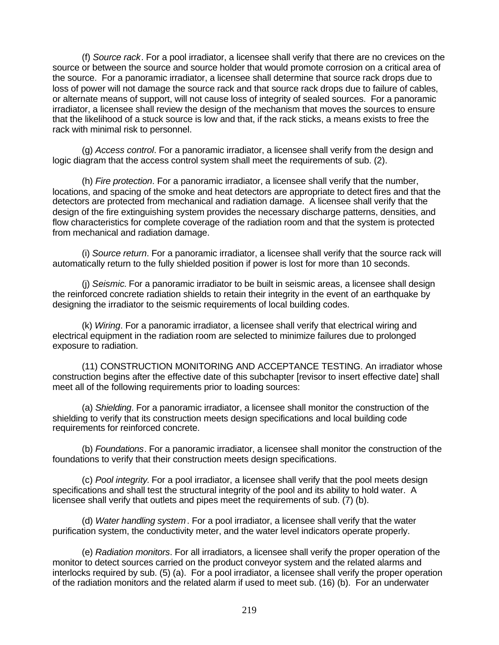(f) *Source rack*. For a pool irradiator, a licensee shall verify that there are no crevices on the source or between the source and source holder that would promote corrosion on a critical area of the source. For a panoramic irradiator, a licensee shall determine that source rack drops due to loss of power will not damage the source rack and that source rack drops due to failure of cables, or alternate means of support, will not cause loss of integrity of sealed sources. For a panoramic irradiator, a licensee shall review the design of the mechanism that moves the sources to ensure that the likelihood of a stuck source is low and that, if the rack sticks, a means exists to free the rack with minimal risk to personnel.

(g) *Access control*. For a panoramic irradiator, a licensee shall verify from the design and logic diagram that the access control system shall meet the requirements of sub. (2).

(h) *Fire protection*. For a panoramic irradiator, a licensee shall verify that the number, locations, and spacing of the smoke and heat detectors are appropriate to detect fires and that the detectors are protected from mechanical and radiation damage. A licensee shall verify that the design of the fire extinguishing system provides the necessary discharge patterns, densities, and flow characteristics for complete coverage of the radiation room and that the system is protected from mechanical and radiation damage.

(i) *Source return*. For a panoramic irradiator, a licensee shall verify that the source rack will automatically return to the fully shielded position if power is lost for more than 10 seconds.

(j) *Seismic.* For a panoramic irradiator to be built in seismic areas, a licensee shall design the reinforced concrete radiation shields to retain their integrity in the event of an earthquake by designing the irradiator to the seismic requirements of local building codes.

(k) *Wiring*. For a panoramic irradiator, a licensee shall verify that electrical wiring and electrical equipment in the radiation room are selected to minimize failures due to prolonged exposure to radiation.

(11) CONSTRUCTION MONITORING AND ACCEPTANCE TESTING. An irradiator whose construction begins after the effective date of this subchapter [revisor to insert effective date] shall meet all of the following requirements prior to loading sources:

(a) *Shielding*. For a panoramic irradiator, a licensee shall monitor the construction of the shielding to verify that its construction meets design specifications and local building code requirements for reinforced concrete.

(b) *Foundations*. For a panoramic irradiator, a licensee shall monitor the construction of the foundations to verify that their construction meets design specifications.

(c) *Pool integrity.* For a pool irradiator, a licensee shall verify that the pool meets design specifications and shall test the structural integrity of the pool and its ability to hold water. A licensee shall verify that outlets and pipes meet the requirements of sub. (7) (b).

(d) *Water handling system*. For a pool irradiator, a licensee shall verify that the water purification system, the conductivity meter, and the water level indicators operate properly.

(e) *Radiation monitors*. For all irradiators, a licensee shall verify the proper operation of the monitor to detect sources carried on the product conveyor system and the related alarms and interlocks required by sub. (5) (a). For a pool irradiator, a licensee shall verify the proper operation of the radiation monitors and the related alarm if used to meet sub. (16) (b). For an underwater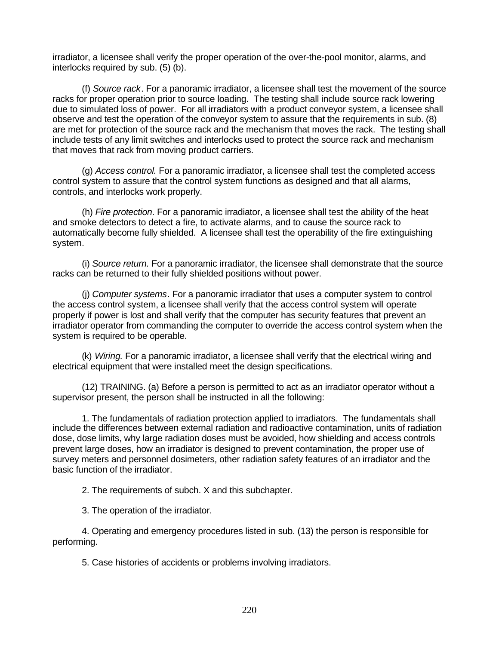irradiator, a licensee shall verify the proper operation of the over-the-pool monitor, alarms, and interlocks required by sub. (5) (b).

(f) *Source rack*. For a panoramic irradiator, a licensee shall test the movement of the source racks for proper operation prior to source loading. The testing shall include source rack lowering due to simulated loss of power. For all irradiators with a product conveyor system, a licensee shall observe and test the operation of the conveyor system to assure that the requirements in sub. (8) are met for protection of the source rack and the mechanism that moves the rack. The testing shall include tests of any limit switches and interlocks used to protect the source rack and mechanism that moves that rack from moving product carriers.

(g) *Access control.* For a panoramic irradiator, a licensee shall test the completed access control system to assure that the control system functions as designed and that all alarms, controls, and interlocks work properly.

(h) *Fire protection*. For a panoramic irradiator, a licensee shall test the ability of the heat and smoke detectors to detect a fire, to activate alarms, and to cause the source rack to automatically become fully shielded. A licensee shall test the operability of the fire extinguishing system.

(i) *Source return.* For a panoramic irradiator, the licensee shall demonstrate that the source racks can be returned to their fully shielded positions without power.

(j) *Computer systems*. For a panoramic irradiator that uses a computer system to control the access control system, a licensee shall verify that the access control system will operate properly if power is lost and shall verify that the computer has security features that prevent an irradiator operator from commanding the computer to override the access control system when the system is required to be operable.

(k) *Wiring.* For a panoramic irradiator, a licensee shall verify that the electrical wiring and electrical equipment that were installed meet the design specifications.

(12) TRAINING. (a) Before a person is permitted to act as an irradiator operator without a supervisor present, the person shall be instructed in all the following:

1. The fundamentals of radiation protection applied to irradiators. The fundamentals shall include the differences between external radiation and radioactive contamination, units of radiation dose, dose limits, why large radiation doses must be avoided, how shielding and access controls prevent large doses, how an irradiator is designed to prevent contamination, the proper use of survey meters and personnel dosimeters, other radiation safety features of an irradiator and the basic function of the irradiator.

2. The requirements of subch. X and this subchapter.

3. The operation of the irradiator.

4. Operating and emergency procedures listed in sub. (13) the person is responsible for performing.

5. Case histories of accidents or problems involving irradiators.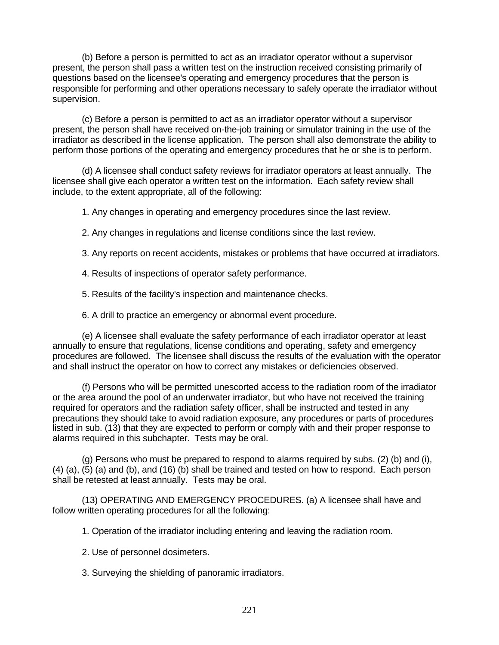(b) Before a person is permitted to act as an irradiator operator without a supervisor present, the person shall pass a written test on the instruction received consisting primarily of questions based on the licensee's operating and emergency procedures that the person is responsible for performing and other operations necessary to safely operate the irradiator without supervision.

(c) Before a person is permitted to act as an irradiator operator without a supervisor present, the person shall have received on-the-job training or simulator training in the use of the irradiator as described in the license application. The person shall also demonstrate the ability to perform those portions of the operating and emergency procedures that he or she is to perform.

(d) A licensee shall conduct safety reviews for irradiator operators at least annually. The licensee shall give each operator a written test on the information. Each safety review shall include, to the extent appropriate, all of the following:

1. Any changes in operating and emergency procedures since the last review.

2. Any changes in regulations and license conditions since the last review.

3. Any reports on recent accidents, mistakes or problems that have occurred at irradiators.

4. Results of inspections of operator safety performance.

5. Results of the facility's inspection and maintenance checks.

6. A drill to practice an emergency or abnormal event procedure.

(e) A licensee shall evaluate the safety performance of each irradiator operator at least annually to ensure that regulations, license conditions and operating, safety and emergency procedures are followed. The licensee shall discuss the results of the evaluation with the operator and shall instruct the operator on how to correct any mistakes or deficiencies observed.

(f) Persons who will be permitted unescorted access to the radiation room of the irradiator or the area around the pool of an underwater irradiator, but who have not received the training required for operators and the radiation safety officer, shall be instructed and tested in any precautions they should take to avoid radiation exposure, any procedures or parts of procedures listed in sub. (13) that they are expected to perform or comply with and their proper response to alarms required in this subchapter. Tests may be oral.

(g) Persons who must be prepared to respond to alarms required by subs. (2) (b) and (i), (4) (a), (5) (a) and (b), and (16) (b) shall be trained and tested on how to respond. Each person shall be retested at least annually. Tests may be oral.

(13) OPERATING AND EMERGENCY PROCEDURES. (a) A licensee shall have and follow written operating procedures for all the following:

1. Operation of the irradiator including entering and leaving the radiation room.

- 2. Use of personnel dosimeters.
- 3. Surveying the shielding of panoramic irradiators.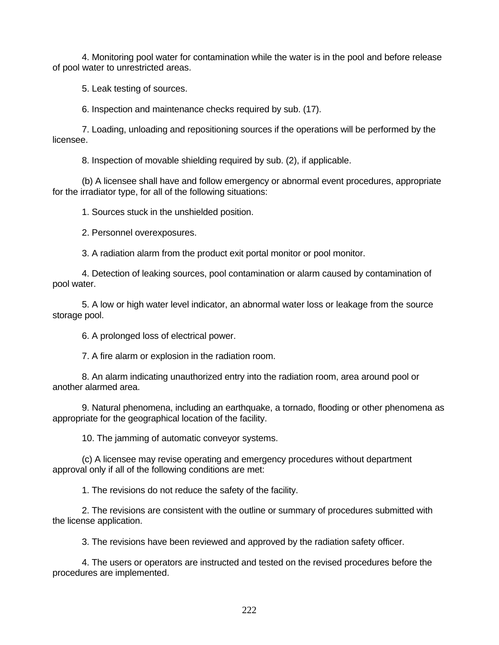4. Monitoring pool water for contamination while the water is in the pool and before release of pool water to unrestricted areas.

5. Leak testing of sources.

6. Inspection and maintenance checks required by sub. (17).

7. Loading, unloading and repositioning sources if the operations will be performed by the licensee.

8. Inspection of movable shielding required by sub. (2), if applicable.

(b) A licensee shall have and follow emergency or abnormal event procedures, appropriate for the irradiator type, for all of the following situations:

1. Sources stuck in the unshielded position.

2. Personnel overexposures.

3. A radiation alarm from the product exit portal monitor or pool monitor.

4. Detection of leaking sources, pool contamination or alarm caused by contamination of pool water.

5. A low or high water level indicator, an abnormal water loss or leakage from the source storage pool.

6. A prolonged loss of electrical power.

7. A fire alarm or explosion in the radiation room.

8. An alarm indicating unauthorized entry into the radiation room, area around pool or another alarmed area.

9. Natural phenomena, including an earthquake, a tornado, flooding or other phenomena as appropriate for the geographical location of the facility.

10. The jamming of automatic conveyor systems.

(c) A licensee may revise operating and emergency procedures without department approval only if all of the following conditions are met:

1. The revisions do not reduce the safety of the facility.

2. The revisions are consistent with the outline or summary of procedures submitted with the license application.

3. The revisions have been reviewed and approved by the radiation safety officer.

4. The users or operators are instructed and tested on the revised procedures before the procedures are implemented.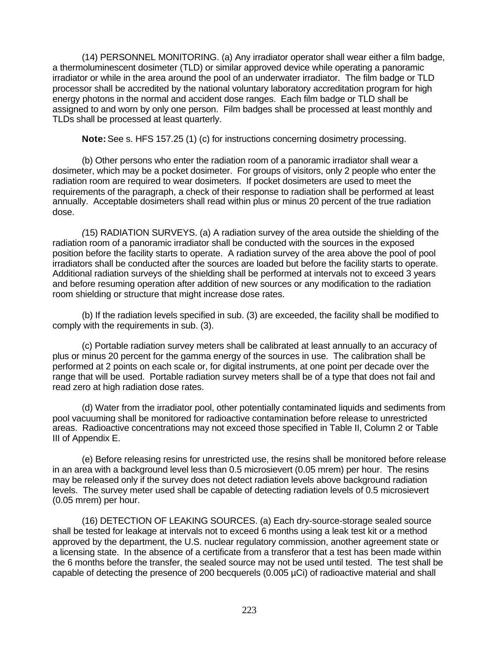(14) PERSONNEL MONITORING. (a) Any irradiator operator shall wear either a film badge, a thermoluminescent dosimeter (TLD) or similar approved device while operating a panoramic irradiator or while in the area around the pool of an underwater irradiator. The film badge or TLD processor shall be accredited by the national voluntary laboratory accreditation program for high energy photons in the normal and accident dose ranges. Each film badge or TLD shall be assigned to and worn by only one person. Film badges shall be processed at least monthly and TLDs shall be processed at least quarterly.

**Note:** See s. HFS 157.25 (1) (c) for instructions concerning dosimetry processing.

(b) Other persons who enter the radiation room of a panoramic irradiator shall wear a dosimeter, which may be a pocket dosimeter. For groups of visitors, only 2 people who enter the radiation room are required to wear dosimeters. If pocket dosimeters are used to meet the requirements of the paragraph, a check of their response to radiation shall be performed at least annually. Acceptable dosimeters shall read within plus or minus 20 percent of the true radiation dose.

*(*15) RADIATION SURVEYS. (a) A radiation survey of the area outside the shielding of the radiation room of a panoramic irradiator shall be conducted with the sources in the exposed position before the facility starts to operate. A radiation survey of the area above the pool of pool irradiators shall be conducted after the sources are loaded but before the facility starts to operate. Additional radiation surveys of the shielding shall be performed at intervals not to exceed 3 years and before resuming operation after addition of new sources or any modification to the radiation room shielding or structure that might increase dose rates.

(b) If the radiation levels specified in sub. (3) are exceeded, the facility shall be modified to comply with the requirements in sub. (3).

(c) Portable radiation survey meters shall be calibrated at least annually to an accuracy of plus or minus 20 percent for the gamma energy of the sources in use. The calibration shall be performed at 2 points on each scale or, for digital instruments, at one point per decade over the range that will be used. Portable radiation survey meters shall be of a type that does not fail and read zero at high radiation dose rates.

(d) Water from the irradiator pool, other potentially contaminated liquids and sediments from pool vacuuming shall be monitored for radioactive contamination before release to unrestricted areas. Radioactive concentrations may not exceed those specified in Table II, Column 2 or Table III of Appendix E.

(e) Before releasing resins for unrestricted use, the resins shall be monitored before release in an area with a background level less than 0.5 microsievert (0.05 mrem) per hour. The resins may be released only if the survey does not detect radiation levels above background radiation levels. The survey meter used shall be capable of detecting radiation levels of 0.5 microsievert (0.05 mrem) per hour.

(16) DETECTION OF LEAKING SOURCES. (a) Each dry-source-storage sealed source shall be tested for leakage at intervals not to exceed 6 months using a leak test kit or a method approved by the department, the U.S. nuclear regulatory commission, another agreement state or a licensing state. In the absence of a certificate from a transferor that a test has been made within the 6 months before the transfer, the sealed source may not be used until tested. The test shall be capable of detecting the presence of 200 becquerels (0.005 µCi) of radioactive material and shall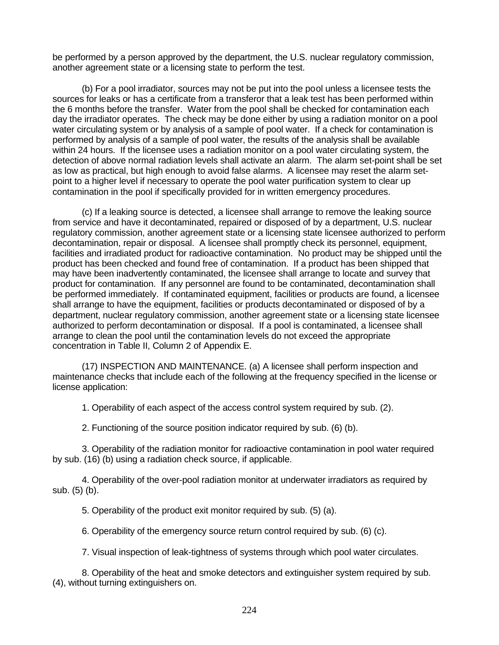be performed by a person approved by the department, the U.S. nuclear regulatory commission, another agreement state or a licensing state to perform the test.

(b) For a pool irradiator, sources may not be put into the pool unless a licensee tests the sources for leaks or has a certificate from a transferor that a leak test has been performed within the 6 months before the transfer. Water from the pool shall be checked for contamination each day the irradiator operates. The check may be done either by using a radiation monitor on a pool water circulating system or by analysis of a sample of pool water. If a check for contamination is performed by analysis of a sample of pool water, the results of the analysis shall be available within 24 hours. If the licensee uses a radiation monitor on a pool water circulating system, the detection of above normal radiation levels shall activate an alarm. The alarm set-point shall be set as low as practical, but high enough to avoid false alarms. A licensee may reset the alarm setpoint to a higher level if necessary to operate the pool water purification system to clear up contamination in the pool if specifically provided for in written emergency procedures.

(c) If a leaking source is detected, a licensee shall arrange to remove the leaking source from service and have it decontaminated, repaired or disposed of by a department, U.S. nuclear regulatory commission, another agreement state or a licensing state licensee authorized to perform decontamination, repair or disposal. A licensee shall promptly check its personnel, equipment, facilities and irradiated product for radioactive contamination. No product may be shipped until the product has been checked and found free of contamination. If a product has been shipped that may have been inadvertently contaminated, the licensee shall arrange to locate and survey that product for contamination. If any personnel are found to be contaminated, decontamination shall be performed immediately. If contaminated equipment, facilities or products are found, a licensee shall arrange to have the equipment, facilities or products decontaminated or disposed of by a department, nuclear regulatory commission, another agreement state or a licensing state licensee authorized to perform decontamination or disposal. If a pool is contaminated, a licensee shall arrange to clean the pool until the contamination levels do not exceed the appropriate concentration in Table II, Column 2 of Appendix E.

(17) INSPECTION AND MAINTENANCE. (a) A licensee shall perform inspection and maintenance checks that include each of the following at the frequency specified in the license or license application:

1. Operability of each aspect of the access control system required by sub. (2).

2. Functioning of the source position indicator required by sub. (6) (b).

3. Operability of the radiation monitor for radioactive contamination in pool water required by sub. (16) (b) using a radiation check source, if applicable.

4. Operability of the over-pool radiation monitor at underwater irradiators as required by sub. (5) (b).

5. Operability of the product exit monitor required by sub. (5) (a).

6. Operability of the emergency source return control required by sub. (6) (c).

7. Visual inspection of leak-tightness of systems through which pool water circulates.

8. Operability of the heat and smoke detectors and extinguisher system required by sub. (4), without turning extinguishers on.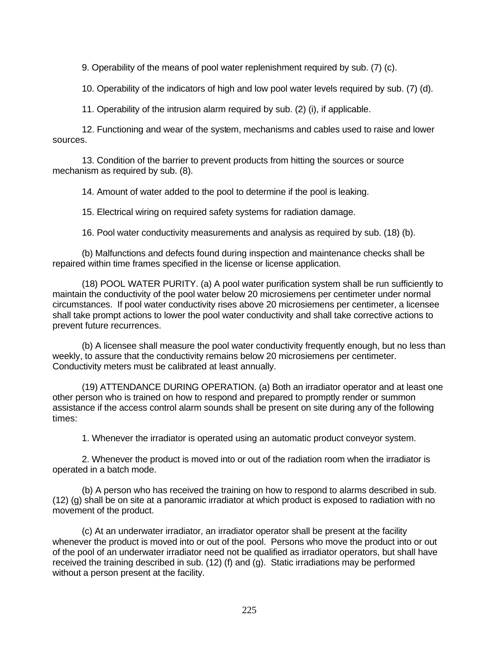9. Operability of the means of pool water replenishment required by sub. (7) (c).

10. Operability of the indicators of high and low pool water levels required by sub. (7) (d).

11. Operability of the intrusion alarm required by sub. (2) (i), if applicable.

12. Functioning and wear of the system, mechanisms and cables used to raise and lower sources.

13. Condition of the barrier to prevent products from hitting the sources or source mechanism as required by sub. (8).

14. Amount of water added to the pool to determine if the pool is leaking.

15. Electrical wiring on required safety systems for radiation damage.

16. Pool water conductivity measurements and analysis as required by sub. (18) (b).

(b) Malfunctions and defects found during inspection and maintenance checks shall be repaired within time frames specified in the license or license application.

(18) POOL WATER PURITY. (a) A pool water purification system shall be run sufficiently to maintain the conductivity of the pool water below 20 microsiemens per centimeter under normal circumstances. If pool water conductivity rises above 20 microsiemens per centimeter, a licensee shall take prompt actions to lower the pool water conductivity and shall take corrective actions to prevent future recurrences.

(b) A licensee shall measure the pool water conductivity frequently enough, but no less than weekly, to assure that the conductivity remains below 20 microsiemens per centimeter. Conductivity meters must be calibrated at least annually.

(19) ATTENDANCE DURING OPERATION. (a) Both an irradiator operator and at least one other person who is trained on how to respond and prepared to promptly render or summon assistance if the access control alarm sounds shall be present on site during any of the following times:

1. Whenever the irradiator is operated using an automatic product conveyor system.

2. Whenever the product is moved into or out of the radiation room when the irradiator is operated in a batch mode.

(b) A person who has received the training on how to respond to alarms described in sub. (12) (g) shall be on site at a panoramic irradiator at which product is exposed to radiation with no movement of the product.

(c) At an underwater irradiator, an irradiator operator shall be present at the facility whenever the product is moved into or out of the pool. Persons who move the product into or out of the pool of an underwater irradiator need not be qualified as irradiator operators, but shall have received the training described in sub. (12) (f) and (g). Static irradiations may be performed without a person present at the facility.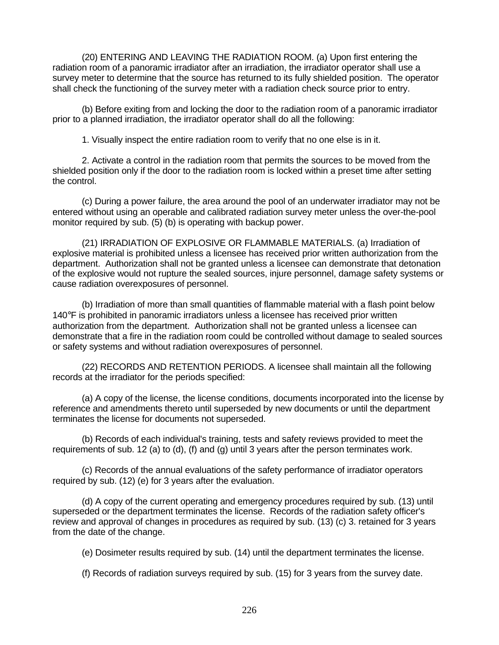(20) ENTERING AND LEAVING THE RADIATION ROOM. (a) Upon first entering the radiation room of a panoramic irradiator after an irradiation, the irradiator operator shall use a survey meter to determine that the source has returned to its fully shielded position. The operator shall check the functioning of the survey meter with a radiation check source prior to entry.

(b) Before exiting from and locking the door to the radiation room of a panoramic irradiator prior to a planned irradiation, the irradiator operator shall do all the following:

1. Visually inspect the entire radiation room to verify that no one else is in it.

2. Activate a control in the radiation room that permits the sources to be moved from the shielded position only if the door to the radiation room is locked within a preset time after setting the control.

(c) During a power failure, the area around the pool of an underwater irradiator may not be entered without using an operable and calibrated radiation survey meter unless the over-the-pool monitor required by sub. (5) (b) is operating with backup power.

(21) IRRADIATION OF EXPLOSIVE OR FLAMMABLE MATERIALS. (a) Irradiation of explosive material is prohibited unless a licensee has received prior written authorization from the department. Authorization shall not be granted unless a licensee can demonstrate that detonation of the explosive would not rupture the sealed sources, injure personnel, damage safety systems or cause radiation overexposures of personnel.

(b) Irradiation of more than small quantities of flammable material with a flash point below 140°F is prohibited in panoramic irradiators unless a licensee has received prior written authorization from the department. Authorization shall not be granted unless a licensee can demonstrate that a fire in the radiation room could be controlled without damage to sealed sources or safety systems and without radiation overexposures of personnel.

(22) RECORDS AND RETENTION PERIODS. A licensee shall maintain all the following records at the irradiator for the periods specified:

(a) A copy of the license, the license conditions, documents incorporated into the license by reference and amendments thereto until superseded by new documents or until the department terminates the license for documents not superseded.

(b) Records of each individual's training, tests and safety reviews provided to meet the requirements of sub. 12 (a) to (d), (f) and (g) until 3 years after the person terminates work.

(c) Records of the annual evaluations of the safety performance of irradiator operators required by sub. (12) (e) for 3 years after the evaluation.

(d) A copy of the current operating and emergency procedures required by sub. (13) until superseded or the department terminates the license. Records of the radiation safety officer's review and approval of changes in procedures as required by sub. (13) (c) 3. retained for 3 years from the date of the change.

(e) Dosimeter results required by sub. (14) until the department terminates the license.

(f) Records of radiation surveys required by sub. (15) for 3 years from the survey date.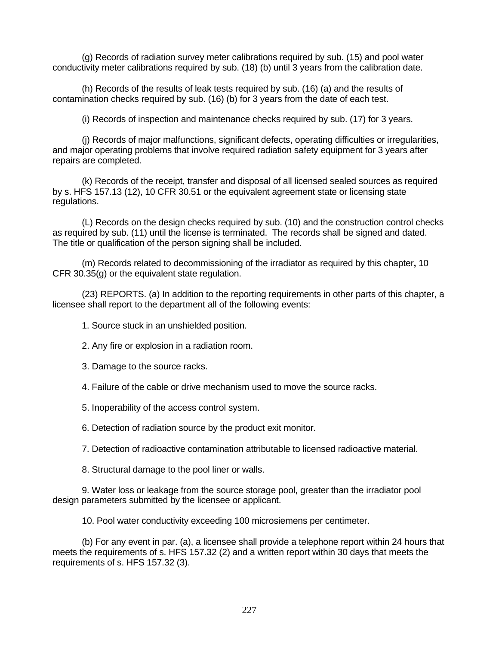(g) Records of radiation survey meter calibrations required by sub. (15) and pool water conductivity meter calibrations required by sub. (18) (b) until 3 years from the calibration date.

(h) Records of the results of leak tests required by sub. (16) (a) and the results of contamination checks required by sub. (16) (b) for 3 years from the date of each test.

(i) Records of inspection and maintenance checks required by sub. (17) for 3 years.

(j) Records of major malfunctions, significant defects, operating difficulties or irregularities, and major operating problems that involve required radiation safety equipment for 3 years after repairs are completed.

(k) Records of the receipt, transfer and disposal of all licensed sealed sources as required by s. HFS 157.13 (12), 10 CFR 30.51 or the equivalent agreement state or licensing state regulations.

(L) Records on the design checks required by sub. (10) and the construction control checks as required by sub. (11) until the license is terminated. The records shall be signed and dated. The title or qualification of the person signing shall be included.

(m) Records related to decommissioning of the irradiator as required by this chapter**,** 10 CFR 30.35(g) or the equivalent state regulation.

(23) REPORTS. (a) In addition to the reporting requirements in other parts of this chapter, a licensee shall report to the department all of the following events:

1. Source stuck in an unshielded position.

2. Any fire or explosion in a radiation room.

3. Damage to the source racks.

4. Failure of the cable or drive mechanism used to move the source racks.

5. Inoperability of the access control system.

6. Detection of radiation source by the product exit monitor.

7. Detection of radioactive contamination attributable to licensed radioactive material.

8. Structural damage to the pool liner or walls.

9. Water loss or leakage from the source storage pool, greater than the irradiator pool design parameters submitted by the licensee or applicant.

10. Pool water conductivity exceeding 100 microsiemens per centimeter.

(b) For any event in par. (a), a licensee shall provide a telephone report within 24 hours that meets the requirements of s. HFS 157.32 (2) and a written report within 30 days that meets the requirements of s. HFS 157.32 (3).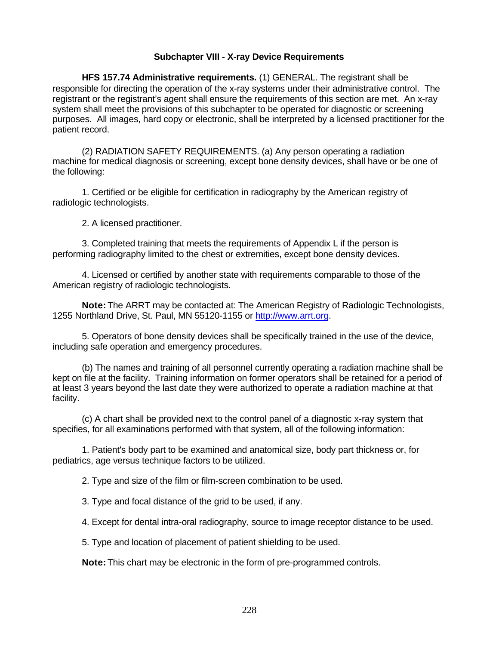## **Subchapter VIII - X-ray Device Requirements**

**HFS 157.74 Administrative requirements.** (1) GENERAL. The registrant shall be responsible for directing the operation of the x-ray systems under their administrative control. The registrant or the registrant's agent shall ensure the requirements of this section are met. An x-ray system shall meet the provisions of this subchapter to be operated for diagnostic or screening purposes. All images, hard copy or electronic, shall be interpreted by a licensed practitioner for the patient record.

(2) RADIATION SAFETY REQUIREMENTS. (a) Any person operating a radiation machine for medical diagnosis or screening, except bone density devices, shall have or be one of the following:

1. Certified or be eligible for certification in radiography by the American registry of radiologic technologists.

2. A licensed practitioner.

3. Completed training that meets the requirements of Appendix L if the person is performing radiography limited to the chest or extremities, except bone density devices.

4. Licensed or certified by another state with requirements comparable to those of the American registry of radiologic technologists.

**Note:** The ARRT may be contacted at: The American Registry of Radiologic Technologists, 1255 Northland Drive, St. Paul, MN 55120-1155 or http://www.arrt.org.

5. Operators of bone density devices shall be specifically trained in the use of the device, including safe operation and emergency procedures.

(b) The names and training of all personnel currently operating a radiation machine shall be kept on file at the facility. Training information on former operators shall be retained for a period of at least 3 years beyond the last date they were authorized to operate a radiation machine at that facility.

(c) A chart shall be provided next to the control panel of a diagnostic x-ray system that specifies, for all examinations performed with that system, all of the following information:

1. Patient's body part to be examined and anatomical size, body part thickness or, for pediatrics, age versus technique factors to be utilized.

2. Type and size of the film or film-screen combination to be used.

3. Type and focal distance of the grid to be used, if any.

4. Except for dental intra-oral radiography, source to image receptor distance to be used.

5. Type and location of placement of patient shielding to be used.

**Note:** This chart may be electronic in the form of pre-programmed controls.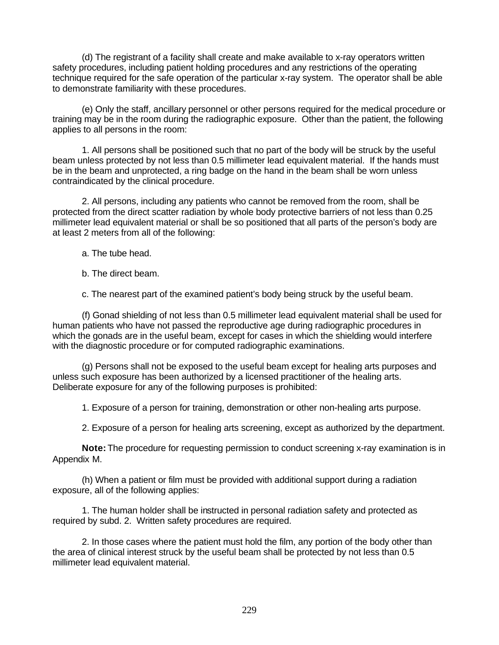(d) The registrant of a facility shall create and make available to x-ray operators written safety procedures, including patient holding procedures and any restrictions of the operating technique required for the safe operation of the particular x-ray system. The operator shall be able to demonstrate familiarity with these procedures.

(e) Only the staff, ancillary personnel or other persons required for the medical procedure or training may be in the room during the radiographic exposure. Other than the patient, the following applies to all persons in the room:

1. All persons shall be positioned such that no part of the body will be struck by the useful beam unless protected by not less than 0.5 millimeter lead equivalent material. If the hands must be in the beam and unprotected, a ring badge on the hand in the beam shall be worn unless contraindicated by the clinical procedure.

2. All persons, including any patients who cannot be removed from the room, shall be protected from the direct scatter radiation by whole body protective barriers of not less than 0.25 millimeter lead equivalent material or shall be so positioned that all parts of the person's body are at least 2 meters from all of the following:

- a. The tube head.
- b. The direct beam.

c. The nearest part of the examined patient's body being struck by the useful beam.

(f) Gonad shielding of not less than 0.5 millimeter lead equivalent material shall be used for human patients who have not passed the reproductive age during radiographic procedures in which the gonads are in the useful beam, except for cases in which the shielding would interfere with the diagnostic procedure or for computed radiographic examinations.

(g) Persons shall not be exposed to the useful beam except for healing arts purposes and unless such exposure has been authorized by a licensed practitioner of the healing arts. Deliberate exposure for any of the following purposes is prohibited:

1. Exposure of a person for training, demonstration or other non-healing arts purpose.

2. Exposure of a person for healing arts screening, except as authorized by the department.

**Note:** The procedure for requesting permission to conduct screening x-ray examination is in Appendix M.

(h) When a patient or film must be provided with additional support during a radiation exposure, all of the following applies:

1. The human holder shall be instructed in personal radiation safety and protected as required by subd. 2. Written safety procedures are required.

2. In those cases where the patient must hold the film, any portion of the body other than the area of clinical interest struck by the useful beam shall be protected by not less than 0.5 millimeter lead equivalent material.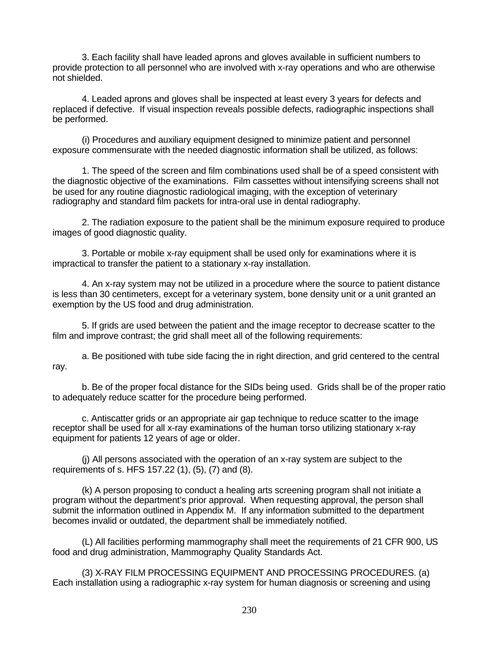3. Each facility shall have leaded aprons and gloves available in sufficient numbers to provide protection to all personnel who are involved with x-ray operations and who are otherwise not shielded.

4. Leaded aprons and gloves shall be inspected at least every 3 years for defects and replaced if defective. If visual inspection reveals possible defects, radiographic inspections shall be performed.

(i) Procedures and auxiliary equipment designed to minimize patient and personnel exposure commensurate with the needed diagnostic information shall be utilized, as follows:

1. The speed of the screen and film combinations used shall be of a speed consistent with the diagnostic objective of the examinations. Film cassettes without intensifying screens shall not be used for any routine diagnostic radiological imaging, with the exception of veterinary radiography and standard film packets for intra-oral use in dental radiography.

2. The radiation exposure to the patient shall be the minimum exposure required to produce images of good diagnostic quality.

3. Portable or mobile x-ray equipment shall be used only for examinations where it is impractical to transfer the patient to a stationary x-ray installation.

4. An x-ray system may not be utilized in a procedure where the source to patient distance is less than 30 centimeters, except for a veterinary system, bone density unit or a unit granted an exemption by the US food and drug administration.

5. If grids are used between the patient and the image receptor to decrease scatter to the film and improve contrast; the grid shall meet all of the following requirements:

a. Be positioned with tube side facing the in right direction, and grid centered to the central ray.

b. Be of the proper focal distance for the SIDs being used. Grids shall be of the proper ratio to adequately reduce scatter for the procedure being performed.

c. Antiscatter grids or an appropriate air gap technique to reduce scatter to the image receptor shall be used for all x-ray examinations of the human torso utilizing stationary x-ray equipment for patients 12 years of age or older.

(j) All persons associated with the operation of an x-ray system are subject to the requirements of s. HFS 157.22 (1), (5), (7) and (8).

(k) A person proposing to conduct a healing arts screening program shall not initiate a program without the department's prior approval. When requesting approval, the person shall submit the information outlined in Appendix M. If any information submitted to the department becomes invalid or outdated, the department shall be immediately notified.

(L) All facilities performing mammography shall meet the requirements of 21 CFR 900, US food and drug administration, Mammography Quality Standards Act.

(3) X-RAY FILM PROCESSING EQUIPMENT AND PROCESSING PROCEDURES. (a) Each installation using a radiographic x-ray system for human diagnosis or screening and using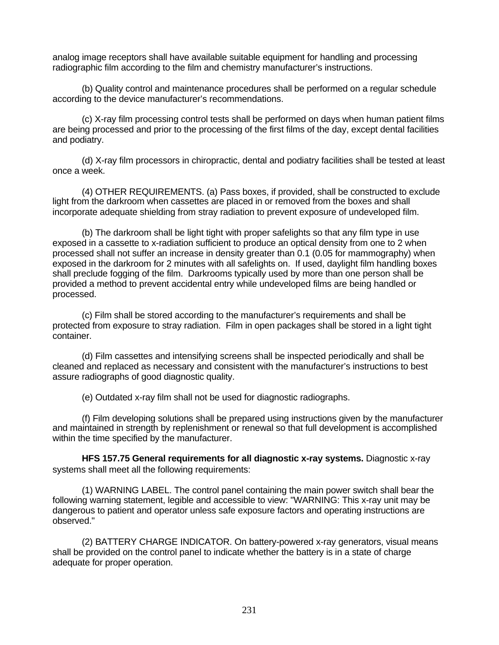analog image receptors shall have available suitable equipment for handling and processing radiographic film according to the film and chemistry manufacturer's instructions.

(b) Quality control and maintenance procedures shall be performed on a regular schedule according to the device manufacturer's recommendations.

(c) X-ray film processing control tests shall be performed on days when human patient films are being processed and prior to the processing of the first films of the day, except dental facilities and podiatry.

(d) X-ray film processors in chiropractic, dental and podiatry facilities shall be tested at least once a week.

(4) OTHER REQUIREMENTS. (a) Pass boxes, if provided, shall be constructed to exclude light from the darkroom when cassettes are placed in or removed from the boxes and shall incorporate adequate shielding from stray radiation to prevent exposure of undeveloped film.

(b) The darkroom shall be light tight with proper safelights so that any film type in use exposed in a cassette to x-radiation sufficient to produce an optical density from one to 2 when processed shall not suffer an increase in density greater than 0.1 (0.05 for mammography) when exposed in the darkroom for 2 minutes with all safelights on. If used, daylight film handling boxes shall preclude fogging of the film. Darkrooms typically used by more than one person shall be provided a method to prevent accidental entry while undeveloped films are being handled or processed.

(c) Film shall be stored according to the manufacturer's requirements and shall be protected from exposure to stray radiation. Film in open packages shall be stored in a light tight container.

(d) Film cassettes and intensifying screens shall be inspected periodically and shall be cleaned and replaced as necessary and consistent with the manufacturer's instructions to best assure radiographs of good diagnostic quality.

(e) Outdated x-ray film shall not be used for diagnostic radiographs.

(f) Film developing solutions shall be prepared using instructions given by the manufacturer and maintained in strength by replenishment or renewal so that full development is accomplished within the time specified by the manufacturer.

**HFS 157.75 General requirements for all diagnostic x-ray systems.** Diagnostic x-ray systems shall meet all the following requirements:

(1) WARNING LABEL. The control panel containing the main power switch shall bear the following warning statement, legible and accessible to view: "WARNING: This x-ray unit may be dangerous to patient and operator unless safe exposure factors and operating instructions are observed."

(2) BATTERY CHARGE INDICATOR. On battery-powered x-ray generators, visual means shall be provided on the control panel to indicate whether the battery is in a state of charge adequate for proper operation.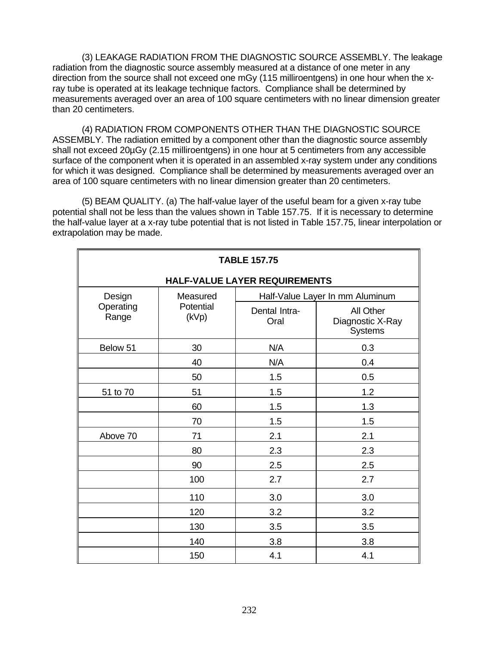(3) LEAKAGE RADIATION FROM THE DIAGNOSTIC SOURCE ASSEMBLY. The leakage radiation from the diagnostic source assembly measured at a distance of one meter in any direction from the source shall not exceed one mGy (115 milliroentgens) in one hour when the xray tube is operated at its leakage technique factors. Compliance shall be determined by measurements averaged over an area of 100 square centimeters with no linear dimension greater than 20 centimeters.

(4) RADIATION FROM COMPONENTS OTHER THAN THE DIAGNOSTIC SOURCE ASSEMBLY. The radiation emitted by a component other than the diagnostic source assembly shall not exceed 20µGy (2.15 milliroentgens) in one hour at 5 centimeters from any accessible surface of the component when it is operated in an assembled x-ray system under any conditions for which it was designed. Compliance shall be determined by measurements averaged over an area of 100 square centimeters with no linear dimension greater than 20 centimeters.

(5) BEAM QUALITY. (a) The half-value layer of the useful beam for a given x-ray tube potential shall not be less than the values shown in Table 157.75. If it is necessary to determine the half-value layer at a x-ray tube potential that is not listed in Table 157.75, linear interpolation or extrapolation may be made.

| <b>TABLE 157.75</b>           |                                |                                 |                                          |
|-------------------------------|--------------------------------|---------------------------------|------------------------------------------|
| HALF-VALUE LAYER REQUIREMENTS |                                |                                 |                                          |
| Design<br>Operating<br>Range  | Measured<br>Potential<br>(kVp) | Half-Value Layer In mm Aluminum |                                          |
|                               |                                | Dental Intra-<br>Oral           | All Other<br>Diagnostic X-Ray<br>Systems |
| Below 51                      | 30                             | N/A                             | 0.3                                      |
|                               | 40                             | N/A                             | 0.4                                      |
|                               | 50                             | 1.5                             | 0.5                                      |
| 51 to 70                      | 51                             | 1.5                             | 1.2                                      |
|                               | 60                             | 1.5                             | 1.3                                      |
|                               | 70                             | 1.5                             | 1.5                                      |
| Above 70                      | 71                             | 2.1                             | 2.1                                      |
|                               | 80                             | 2.3                             | 2.3                                      |
|                               | 90                             | 2.5                             | 2.5                                      |
|                               | 100                            | 2.7                             | 2.7                                      |
|                               | 110                            | 3.0                             | 3.0                                      |
|                               | 120                            | 3.2                             | 3.2                                      |
|                               | 130                            | 3.5                             | 3.5                                      |
|                               | 140                            | 3.8                             | 3.8                                      |
|                               | 150                            | 4.1                             | 4.1                                      |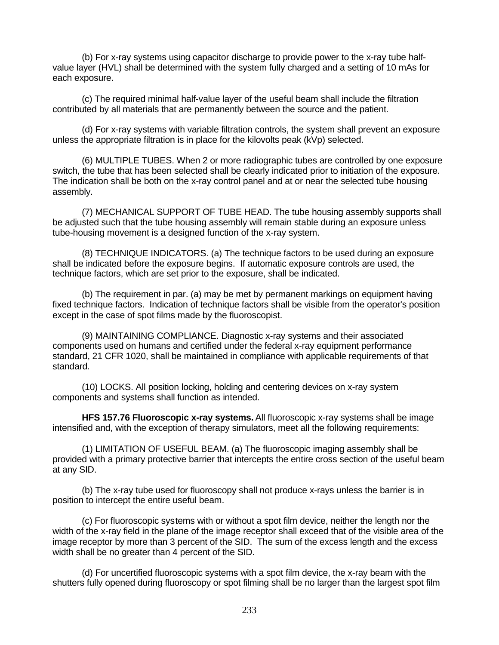(b) For x-ray systems using capacitor discharge to provide power to the x-ray tube halfvalue layer (HVL) shall be determined with the system fully charged and a setting of 10 mAs for each exposure.

(c) The required minimal half-value layer of the useful beam shall include the filtration contributed by all materials that are permanently between the source and the patient.

(d) For x-ray systems with variable filtration controls, the system shall prevent an exposure unless the appropriate filtration is in place for the kilovolts peak (kVp) selected.

(6) MULTIPLE TUBES. When 2 or more radiographic tubes are controlled by one exposure switch, the tube that has been selected shall be clearly indicated prior to initiation of the exposure. The indication shall be both on the x-ray control panel and at or near the selected tube housing assembly.

(7) MECHANICAL SUPPORT OF TUBE HEAD. The tube housing assembly supports shall be adjusted such that the tube housing assembly will remain stable during an exposure unless tube-housing movement is a designed function of the x-ray system.

(8) TECHNIQUE INDICATORS. (a) The technique factors to be used during an exposure shall be indicated before the exposure begins. If automatic exposure controls are used, the technique factors, which are set prior to the exposure, shall be indicated.

(b) The requirement in par. (a) may be met by permanent markings on equipment having fixed technique factors. Indication of technique factors shall be visible from the operator's position except in the case of spot films made by the fluoroscopist.

(9) MAINTAINING COMPLIANCE. Diagnostic x-ray systems and their associated components used on humans and certified under the federal x-ray equipment performance standard, 21 CFR 1020, shall be maintained in compliance with applicable requirements of that standard.

(10) LOCKS. All position locking, holding and centering devices on x-ray system components and systems shall function as intended.

**HFS 157.76 Fluoroscopic x-ray systems.** All fluoroscopic x-ray systems shall be image intensified and, with the exception of therapy simulators, meet all the following requirements:

(1) LIMITATION OF USEFUL BEAM. (a) The fluoroscopic imaging assembly shall be provided with a primary protective barrier that intercepts the entire cross section of the useful beam at any SID.

(b) The x-ray tube used for fluoroscopy shall not produce x-rays unless the barrier is in position to intercept the entire useful beam.

(c) For fluoroscopic systems with or without a spot film device, neither the length nor the width of the x-ray field in the plane of the image receptor shall exceed that of the visible area of the image receptor by more than 3 percent of the SID. The sum of the excess length and the excess width shall be no greater than 4 percent of the SID.

(d) For uncertified fluoroscopic systems with a spot film device, the x-ray beam with the shutters fully opened during fluoroscopy or spot filming shall be no larger than the largest spot film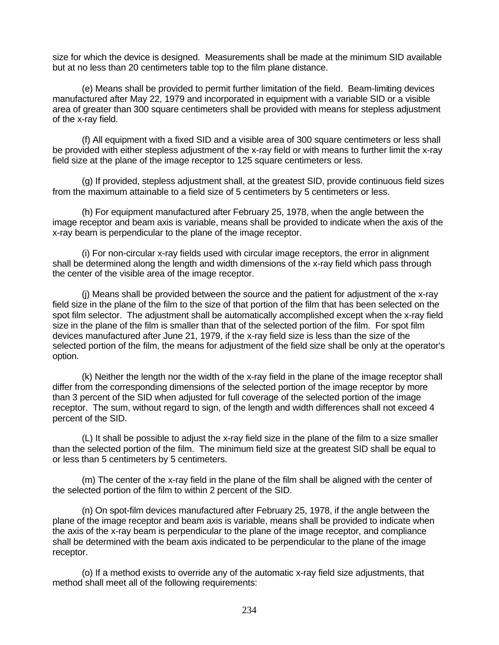size for which the device is designed. Measurements shall be made at the minimum SID available but at no less than 20 centimeters table top to the film plane distance.

(e) Means shall be provided to permit further limitation of the field. Beam-limiting devices manufactured after May 22, 1979 and incorporated in equipment with a variable SID or a visible area of greater than 300 square centimeters shall be provided with means for stepless adjustment of the x-ray field.

(f) All equipment with a fixed SID and a visible area of 300 square centimeters or less shall be provided with either stepless adjustment of the x-ray field or with means to further limit the x-ray field size at the plane of the image receptor to 125 square centimeters or less.

(g) If provided, stepless adjustment shall, at the greatest SID, provide continuous field sizes from the maximum attainable to a field size of 5 centimeters by 5 centimeters or less.

(h) For equipment manufactured after February 25, 1978, when the angle between the image receptor and beam axis is variable, means shall be provided to indicate when the axis of the x-ray beam is perpendicular to the plane of the image receptor.

(i) For non-circular x-ray fields used with circular image receptors, the error in alignment shall be determined along the length and width dimensions of the x-ray field which pass through the center of the visible area of the image receptor.

(j) Means shall be provided between the source and the patient for adjustment of the x-ray field size in the plane of the film to the size of that portion of the film that has been selected on the spot film selector. The adjustment shall be automatically accomplished except when the x-ray field size in the plane of the film is smaller than that of the selected portion of the film. For spot film devices manufactured after June 21, 1979, if the x-ray field size is less than the size of the selected portion of the film, the means for adjustment of the field size shall be only at the operator's option.

(k) Neither the length nor the width of the x-ray field in the plane of the image receptor shall differ from the corresponding dimensions of the selected portion of the image receptor by more than 3 percent of the SID when adjusted for full coverage of the selected portion of the image receptor. The sum, without regard to sign, of the length and width differences shall not exceed 4 percent of the SID.

(L) It shall be possible to adjust the x-ray field size in the plane of the film to a size smaller than the selected portion of the film. The minimum field size at the greatest SID shall be equal to or less than 5 centimeters by 5 centimeters.

(m) The center of the x-ray field in the plane of the film shall be aligned with the center of the selected portion of the film to within 2 percent of the SID.

(n) On spot-film devices manufactured after February 25, 1978, if the angle between the plane of the image receptor and beam axis is variable, means shall be provided to indicate when the axis of the x-ray beam is perpendicular to the plane of the image receptor, and compliance shall be determined with the beam axis indicated to be perpendicular to the plane of the image receptor.

(o) If a method exists to override any of the automatic x-ray field size adjustments, that method shall meet all of the following requirements: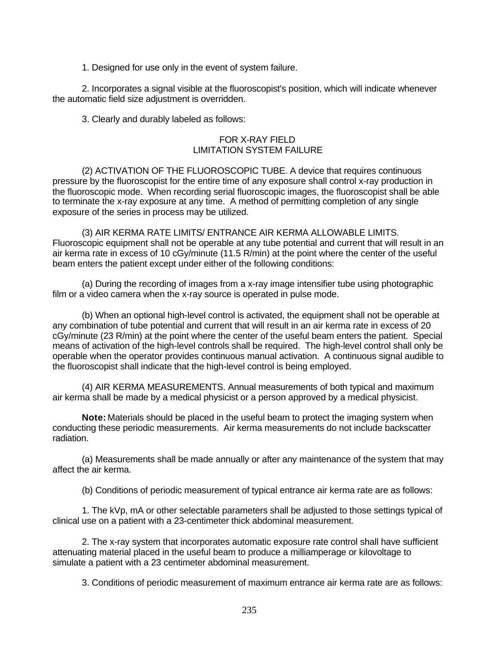1. Designed for use only in the event of system failure.

2. Incorporates a signal visible at the fluoroscopist's position, which will indicate whenever the automatic field size adjustment is overridden.

3. Clearly and durably labeled as follows:

## FOR X-RAY FIELD LIMITATION SYSTEM FAILURE

(2) ACTIVATION OF THE FLUOROSCOPIC TUBE. A device that requires continuous pressure by the fluoroscopist for the entire time of any exposure shall control x-ray production in the fluoroscopic mode. When recording serial fluoroscopic images, the fluoroscopist shall be able to terminate the x-ray exposure at any time. A method of permitting completion of any single exposure of the series in process may be utilized.

(3) AIR KERMA RATE LIMITS/ ENTRANCE AIR KERMA ALLOWABLE LIMITS. Fluoroscopic equipment shall not be operable at any tube potential and current that will result in an air kerma rate in excess of 10 cGy/minute (11.5 R/min) at the point where the center of the useful beam enters the patient except under either of the following conditions:

(a) During the recording of images from a x-ray image intensifier tube using photographic film or a video camera when the x-ray source is operated in pulse mode.

(b) When an optional high-level control is activated, the equipment shall not be operable at any combination of tube potential and current that will result in an air kerma rate in excess of 20 cGy/minute (23 R/min) at the point where the center of the useful beam enters the patient. Special means of activation of the high-level controls shall be required. The high-level control shall only be operable when the operator provides continuous manual activation. A continuous signal audible to the fluoroscopist shall indicate that the high-level control is being employed.

(4) AIR KERMA MEASUREMENTS. Annual measurements of both typical and maximum air kerma shall be made by a medical physicist or a person approved by a medical physicist.

**Note:** Materials should be placed in the useful beam to protect the imaging system when conducting these periodic measurements. Air kerma measurements do not include backscatter radiation.

(a) Measurements shall be made annually or after any maintenance of the system that may affect the air kerma.

(b) Conditions of periodic measurement of typical entrance air kerma rate are as follows:

1. The kVp, mA or other selectable parameters shall be adjusted to those settings typical of clinical use on a patient with a 23-centimeter thick abdominal measurement.

2. The x-ray system that incorporates automatic exposure rate control shall have sufficient attenuating material placed in the useful beam to produce a milliamperage or kilovoltage to simulate a patient with a 23 centimeter abdominal measurement.

3. Conditions of periodic measurement of maximum entrance air kerma rate are as follows: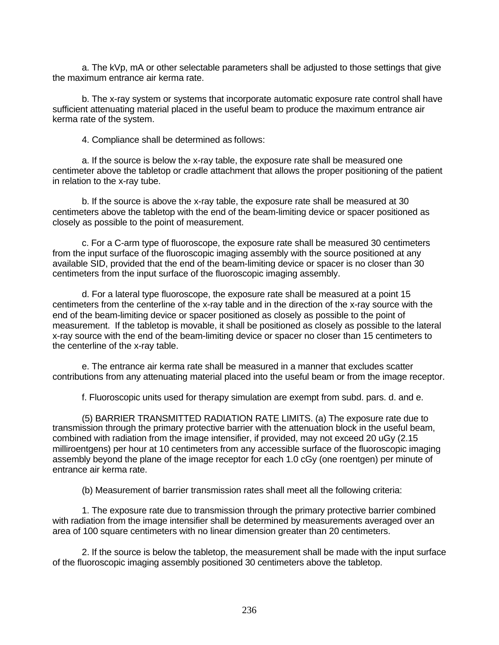a. The kVp, mA or other selectable parameters shall be adjusted to those settings that give the maximum entrance air kerma rate.

b. The x-ray system or systems that incorporate automatic exposure rate control shall have sufficient attenuating material placed in the useful beam to produce the maximum entrance air kerma rate of the system.

4. Compliance shall be determined as follows:

a. If the source is below the x-ray table, the exposure rate shall be measured one centimeter above the tabletop or cradle attachment that allows the proper positioning of the patient in relation to the x-ray tube.

b. If the source is above the x-ray table, the exposure rate shall be measured at 30 centimeters above the tabletop with the end of the beam-limiting device or spacer positioned as closely as possible to the point of measurement.

c. For a C-arm type of fluoroscope, the exposure rate shall be measured 30 centimeters from the input surface of the fluoroscopic imaging assembly with the source positioned at any available SID, provided that the end of the beam-limiting device or spacer is no closer than 30 centimeters from the input surface of the fluoroscopic imaging assembly.

d. For a lateral type fluoroscope, the exposure rate shall be measured at a point 15 centimeters from the centerline of the x-ray table and in the direction of the x-ray source with the end of the beam-limiting device or spacer positioned as closely as possible to the point of measurement. If the tabletop is movable, it shall be positioned as closely as possible to the lateral x-ray source with the end of the beam-limiting device or spacer no closer than 15 centimeters to the centerline of the x-ray table.

e. The entrance air kerma rate shall be measured in a manner that excludes scatter contributions from any attenuating material placed into the useful beam or from the image receptor.

f. Fluoroscopic units used for therapy simulation are exempt from subd. pars. d. and e.

(5) BARRIER TRANSMITTED RADIATION RATE LIMITS. (a) The exposure rate due to transmission through the primary protective barrier with the attenuation block in the useful beam, combined with radiation from the image intensifier, if provided, may not exceed 20 uGy (2.15 milliroentgens) per hour at 10 centimeters from any accessible surface of the fluoroscopic imaging assembly beyond the plane of the image receptor for each 1.0 cGy (one roentgen) per minute of entrance air kerma rate.

(b) Measurement of barrier transmission rates shall meet all the following criteria:

1. The exposure rate due to transmission through the primary protective barrier combined with radiation from the image intensifier shall be determined by measurements averaged over an area of 100 square centimeters with no linear dimension greater than 20 centimeters.

2. If the source is below the tabletop, the measurement shall be made with the input surface of the fluoroscopic imaging assembly positioned 30 centimeters above the tabletop.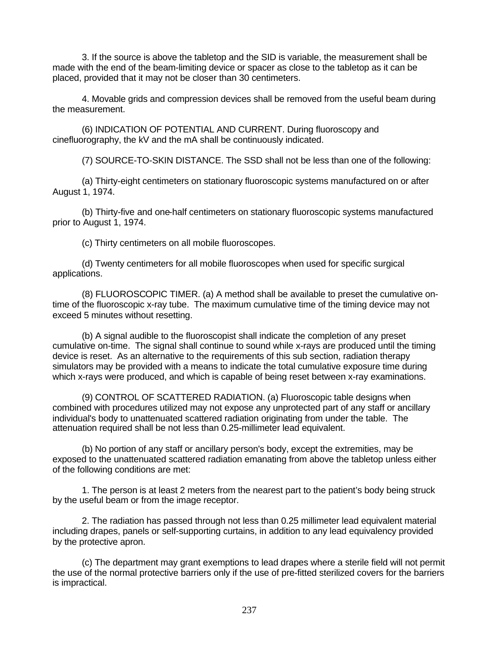3. If the source is above the tabletop and the SID is variable, the measurement shall be made with the end of the beam-limiting device or spacer as close to the tabletop as it can be placed, provided that it may not be closer than 30 centimeters.

4. Movable grids and compression devices shall be removed from the useful beam during the measurement.

(6) INDICATION OF POTENTIAL AND CURRENT. During fluoroscopy and cinefluorography, the kV and the mA shall be continuously indicated.

(7) SOURCE-TO-SKIN DISTANCE. The SSD shall not be less than one of the following:

(a) Thirty-eight centimeters on stationary fluoroscopic systems manufactured on or after August 1, 1974.

(b) Thirty-five and one-half centimeters on stationary fluoroscopic systems manufactured prior to August 1, 1974.

(c) Thirty centimeters on all mobile fluoroscopes.

(d) Twenty centimeters for all mobile fluoroscopes when used for specific surgical applications.

(8) FLUOROSCOPIC TIMER. (a) A method shall be available to preset the cumulative ontime of the fluoroscopic x-ray tube. The maximum cumulative time of the timing device may not exceed 5 minutes without resetting.

(b) A signal audible to the fluoroscopist shall indicate the completion of any preset cumulative on-time. The signal shall continue to sound while x-rays are produced until the timing device is reset. As an alternative to the requirements of this sub section, radiation therapy simulators may be provided with a means to indicate the total cumulative exposure time during which x-rays were produced, and which is capable of being reset between x-ray examinations.

(9) CONTROL OF SCATTERED RADIATION. (a) Fluoroscopic table designs when combined with procedures utilized may not expose any unprotected part of any staff or ancillary individual's body to unattenuated scattered radiation originating from under the table. The attenuation required shall be not less than 0.25-millimeter lead equivalent.

(b) No portion of any staff or ancillary person's body, except the extremities, may be exposed to the unattenuated scattered radiation emanating from above the tabletop unless either of the following conditions are met:

1. The person is at least 2 meters from the nearest part to the patient's body being struck by the useful beam or from the image receptor.

2. The radiation has passed through not less than 0.25 millimeter lead equivalent material including drapes, panels or self-supporting curtains, in addition to any lead equivalency provided by the protective apron.

(c) The department may grant exemptions to lead drapes where a sterile field will not permit the use of the normal protective barriers only if the use of pre-fitted sterilized covers for the barriers is impractical.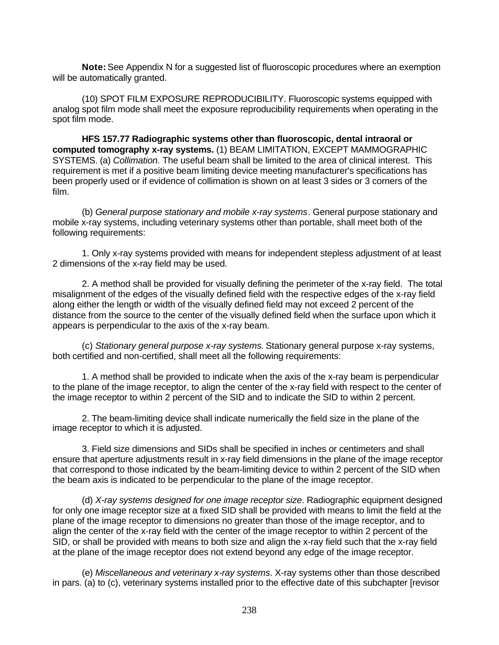**Note:** See Appendix N for a suggested list of fluoroscopic procedures where an exemption will be automatically granted.

(10) SPOT FILM EXPOSURE REPRODUCIBILITY. Fluoroscopic systems equipped with analog spot film mode shall meet the exposure reproducibility requirements when operating in the spot film mode.

**HFS 157.77 Radiographic systems other than fluoroscopic, dental intraoral or computed tomography x-ray systems.** (1) BEAM LIMITATION, EXCEPT MAMMOGRAPHIC SYSTEMS. (a) *Collimation.* The useful beam shall be limited to the area of clinical interest. This requirement is met if a positive beam limiting device meeting manufacturer's specifications has been properly used or if evidence of collimation is shown on at least 3 sides or 3 corners of the film.

(b) *General purpose stationary and mobile x-ray systems*. General purpose stationary and mobile x-ray systems, including veterinary systems other than portable, shall meet both of the following requirements:

1. Only x-ray systems provided with means for independent stepless adjustment of at least 2 dimensions of the x-ray field may be used.

2. A method shall be provided for visually defining the perimeter of the x-ray field. The total misalignment of the edges of the visually defined field with the respective edges of the x-ray field along either the length or width of the visually defined field may not exceed 2 percent of the distance from the source to the center of the visually defined field when the surface upon which it appears is perpendicular to the axis of the x-ray beam.

(c) *Stationary general purpose x-ray systems.* Stationary general purpose x-ray systems, both certified and non-certified, shall meet all the following requirements:

1. A method shall be provided to indicate when the axis of the x-ray beam is perpendicular to the plane of the image receptor, to align the center of the x-ray field with respect to the center of the image receptor to within 2 percent of the SID and to indicate the SID to within 2 percent.

2. The beam-limiting device shall indicate numerically the field size in the plane of the image receptor to which it is adjusted.

3. Field size dimensions and SIDs shall be specified in inches or centimeters and shall ensure that aperture adjustments result in x-ray field dimensions in the plane of the image receptor that correspond to those indicated by the beam-limiting device to within 2 percent of the SID when the beam axis is indicated to be perpendicular to the plane of the image receptor.

(d) *X-ray systems designed for one image receptor size*. Radiographic equipment designed for only one image receptor size at a fixed SID shall be provided with means to limit the field at the plane of the image receptor to dimensions no greater than those of the image receptor, and to align the center of the x-ray field with the center of the image receptor to within 2 percent of the SID, or shall be provided with means to both size and align the x-ray field such that the x-ray field at the plane of the image receptor does not extend beyond any edge of the image receptor.

(e) *Miscellaneous and veterinary x-ray systems*. X-ray systems other than those described in pars. (a) to (c), veterinary systems installed prior to the effective date of this subchapter [revisor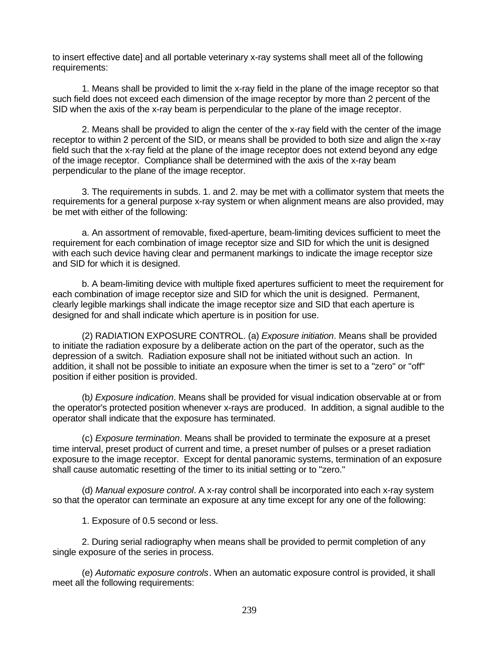to insert effective date] and all portable veterinary x-ray systems shall meet all of the following requirements:

1. Means shall be provided to limit the x-ray field in the plane of the image receptor so that such field does not exceed each dimension of the image receptor by more than 2 percent of the SID when the axis of the x-ray beam is perpendicular to the plane of the image receptor.

2. Means shall be provided to align the center of the x-ray field with the center of the image receptor to within 2 percent of the SID, or means shall be provided to both size and align the x-ray field such that the x-ray field at the plane of the image receptor does not extend beyond any edge of the image receptor. Compliance shall be determined with the axis of the x-ray beam perpendicular to the plane of the image receptor.

3. The requirements in subds. 1. and 2. may be met with a collimator system that meets the requirements for a general purpose x-ray system or when alignment means are also provided, may be met with either of the following:

a. An assortment of removable, fixed-aperture, beam-limiting devices sufficient to meet the requirement for each combination of image receptor size and SID for which the unit is designed with each such device having clear and permanent markings to indicate the image receptor size and SID for which it is designed.

b. A beam-limiting device with multiple fixed apertures sufficient to meet the requirement for each combination of image receptor size and SID for which the unit is designed. Permanent, clearly legible markings shall indicate the image receptor size and SID that each aperture is designed for and shall indicate which aperture is in position for use.

(2) RADIATION EXPOSURE CONTROL. (a) *Exposure initiation*. Means shall be provided to initiate the radiation exposure by a deliberate action on the part of the operator, such as the depression of a switch. Radiation exposure shall not be initiated without such an action. In addition, it shall not be possible to initiate an exposure when the timer is set to a "zero" or "off" position if either position is provided.

(b*) Exposure indication*. Means shall be provided for visual indication observable at or from the operator's protected position whenever x-rays are produced. In addition, a signal audible to the operator shall indicate that the exposure has terminated.

(c) *Exposure termination*. Means shall be provided to terminate the exposure at a preset time interval, preset product of current and time, a preset number of pulses or a preset radiation exposure to the image receptor. Except for dental panoramic systems, termination of an exposure shall cause automatic resetting of the timer to its initial setting or to "zero."

(d) *Manual exposure control*. A x-ray control shall be incorporated into each x-ray system so that the operator can terminate an exposure at any time except for any one of the following:

1. Exposure of 0.5 second or less.

2. During serial radiography when means shall be provided to permit completion of any single exposure of the series in process.

(e) *Automatic exposure controls*. When an automatic exposure control is provided, it shall meet all the following requirements: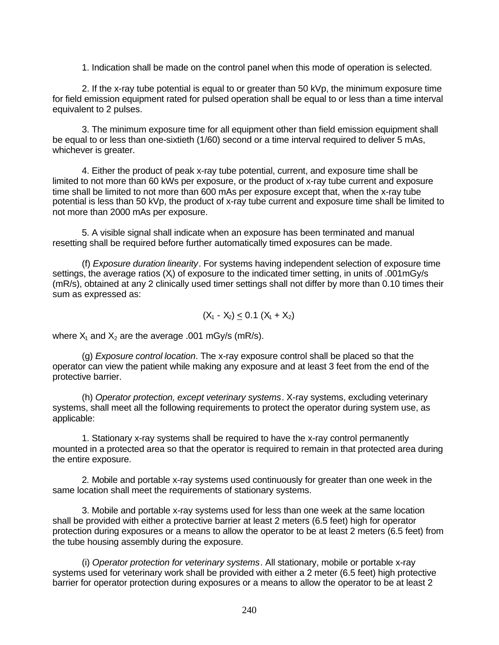1. Indication shall be made on the control panel when this mode of operation is selected.

2. If the x-ray tube potential is equal to or greater than 50 kVp, the minimum exposure time for field emission equipment rated for pulsed operation shall be equal to or less than a time interval equivalent to 2 pulses.

3. The minimum exposure time for all equipment other than field emission equipment shall be equal to or less than one-sixtieth (1/60) second or a time interval required to deliver 5 mAs, whichever is greater.

4. Either the product of peak x-ray tube potential, current, and exposure time shall be limited to not more than 60 kWs per exposure, or the product of x-ray tube current and exposure time shall be limited to not more than 600 mAs per exposure except that, when the x-ray tube potential is less than 50 kVp, the product of x-ray tube current and exposure time shall be limited to not more than 2000 mAs per exposure.

5. A visible signal shall indicate when an exposure has been terminated and manual resetting shall be required before further automatically timed exposures can be made.

(f) *Exposure duration linearity*. For systems having independent selection of exposure time settings, the average ratios  $(X<sub>i</sub>)$  of exposure to the indicated timer setting, in units of .001mGy/s (mR/s), obtained at any 2 clinically used timer settings shall not differ by more than 0.10 times their sum as expressed as:

$$
(X_1 - X_2) \leq 0.1 (X_1 + X_2)
$$

where  $X_1$  and  $X_2$  are the average .001 mGy/s (mR/s).

(g) *Exposure control location*. The x-ray exposure control shall be placed so that the operator can view the patient while making any exposure and at least 3 feet from the end of the protective barrier.

(h) *Operator protection, except veterinary systems*. X-ray systems, excluding veterinary systems, shall meet all the following requirements to protect the operator during system use, as applicable:

1. Stationary x-ray systems shall be required to have the x-ray control permanently mounted in a protected area so that the operator is required to remain in that protected area during the entire exposure.

2. Mobile and portable x-ray systems used continuously for greater than one week in the same location shall meet the requirements of stationary systems.

3. Mobile and portable x-ray systems used for less than one week at the same location shall be provided with either a protective barrier at least 2 meters (6.5 feet) high for operator protection during exposures or a means to allow the operator to be at least 2 meters (6.5 feet) from the tube housing assembly during the exposure.

(i) *Operator protection for veterinary systems*. All stationary, mobile or portable x-ray systems used for veterinary work shall be provided with either a 2 meter (6.5 feet) high protective barrier for operator protection during exposures or a means to allow the operator to be at least 2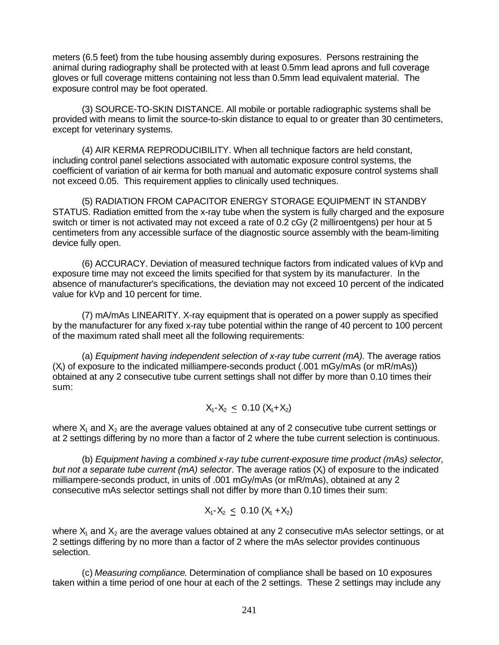meters (6.5 feet) from the tube housing assembly during exposures. Persons restraining the animal during radiography shall be protected with at least 0.5mm lead aprons and full coverage gloves or full coverage mittens containing not less than 0.5mm lead equivalent material. The exposure control may be foot operated.

(3) SOURCE-TO-SKIN DISTANCE. All mobile or portable radiographic systems shall be provided with means to limit the source-to-skin distance to equal to or greater than 30 centimeters, except for veterinary systems.

(4) AIR KERMA REPRODUCIBILITY. When all technique factors are held constant, including control panel selections associated with automatic exposure control systems, the coefficient of variation of air kerma for both manual and automatic exposure control systems shall not exceed 0.05. This requirement applies to clinically used techniques.

(5) RADIATION FROM CAPACITOR ENERGY STORAGE EQUIPMENT IN STANDBY STATUS. Radiation emitted from the x-ray tube when the system is fully charged and the exposure switch or timer is not activated may not exceed a rate of 0.2 cGy (2 milliroentgens) per hour at 5 centimeters from any accessible surface of the diagnostic source assembly with the beam-limiting device fully open.

(6) ACCURACY. Deviation of measured technique factors from indicated values of kVp and exposure time may not exceed the limits specified for that system by its manufacturer. In the absence of manufacturer's specifications, the deviation may not exceed 10 percent of the indicated value for kVp and 10 percent for time.

(7) mA/mAs LINEARITY. X-ray equipment that is operated on a power supply as specified by the manufacturer for any fixed x-ray tube potential within the range of 40 percent to 100 percent of the maximum rated shall meet all the following requirements:

(a) *Equipment having independent selection of x-ray tube current (mA).* The average ratios  $(X<sub>i</sub>)$  of exposure to the indicated milliampere-seconds product (.001 mGy/mAs (or mR/mAs)) obtained at any 2 consecutive tube current settings shall not differ by more than 0.10 times their sum:

$$
X_1 - X_2 \leq 0.10 (X_1 + X_2)
$$

where  $X_1$  and  $X_2$  are the average values obtained at any of 2 consecutive tube current settings or at 2 settings differing by no more than a factor of 2 where the tube current selection is continuous.

(b) *Equipment having a combined x-ray tube current-exposure time product (mAs) selector, but not a separate tube current (mA) selector.* The average ratios (X) of exposure to the indicated milliampere-seconds product, in units of .001 mGy/mAs (or mR/mAs), obtained at any 2 consecutive mAs selector settings shall not differ by more than 0.10 times their sum:

$$
X_1 - X_2 \leq 0.10 (X_1 + X_2)
$$

where  $X_1$  and  $X_2$  are the average values obtained at any 2 consecutive mAs selector settings, or at 2 settings differing by no more than a factor of 2 where the mAs selector provides continuous selection.

(c) *Measuring compliance*. Determination of compliance shall be based on 10 exposures taken within a time period of one hour at each of the 2 settings. These 2 settings may include any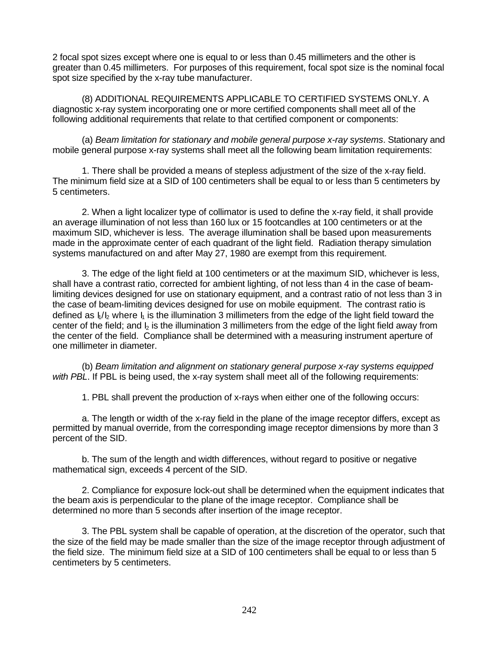2 focal spot sizes except where one is equal to or less than 0.45 millimeters and the other is greater than 0.45 millimeters. For purposes of this requirement, focal spot size is the nominal focal spot size specified by the x-ray tube manufacturer.

(8) ADDITIONAL REQUIREMENTS APPLICABLE TO CERTIFIED SYSTEMS ONLY. A diagnostic x-ray system incorporating one or more certified components shall meet all of the following additional requirements that relate to that certified component or components:

(a) *Beam limitation for stationary and mobile general purpose x-ray systems*. Stationary and mobile general purpose x-ray systems shall meet all the following beam limitation requirements:

1. There shall be provided a means of stepless adjustment of the size of the x-ray field. The minimum field size at a SID of 100 centimeters shall be equal to or less than 5 centimeters by 5 centimeters.

2. When a light localizer type of collimator is used to define the x-ray field, it shall provide an average illumination of not less than 160 lux or 15 footcandles at 100 centimeters or at the maximum SID, whichever is less. The average illumination shall be based upon measurements made in the approximate center of each quadrant of the light field. Radiation therapy simulation systems manufactured on and after May 27, 1980 are exempt from this requirement.

3. The edge of the light field at 100 centimeters or at the maximum SID, whichever is less, shall have a contrast ratio, corrected for ambient lighting, of not less than 4 in the case of beamlimiting devices designed for use on stationary equipment, and a contrast ratio of not less than 3 in the case of beam-limiting devices designed for use on mobile equipment. The contrast ratio is defined as  $I_1/I_2$  where  $I_1$  is the illumination 3 millimeters from the edge of the light field toward the center of the field; and  $\frac{1}{2}$  is the illumination 3 millimeters from the edge of the light field away from the center of the field. Compliance shall be determined with a measuring instrument aperture of one millimeter in diameter.

(b) *Beam limitation and alignment on stationary general purpose x-ray systems equipped with PBL*. If PBL is being used, the x-ray system shall meet all of the following requirements:

1. PBL shall prevent the production of x-rays when either one of the following occurs:

a. The length or width of the x-ray field in the plane of the image receptor differs, except as permitted by manual override, from the corresponding image receptor dimensions by more than 3 percent of the SID.

b. The sum of the length and width differences, without regard to positive or negative mathematical sign, exceeds 4 percent of the SID.

2. Compliance for exposure lock-out shall be determined when the equipment indicates that the beam axis is perpendicular to the plane of the image receptor. Compliance shall be determined no more than 5 seconds after insertion of the image receptor.

3. The PBL system shall be capable of operation, at the discretion of the operator, such that the size of the field may be made smaller than the size of the image receptor through adjustment of the field size. The minimum field size at a SID of 100 centimeters shall be equal to or less than 5 centimeters by 5 centimeters.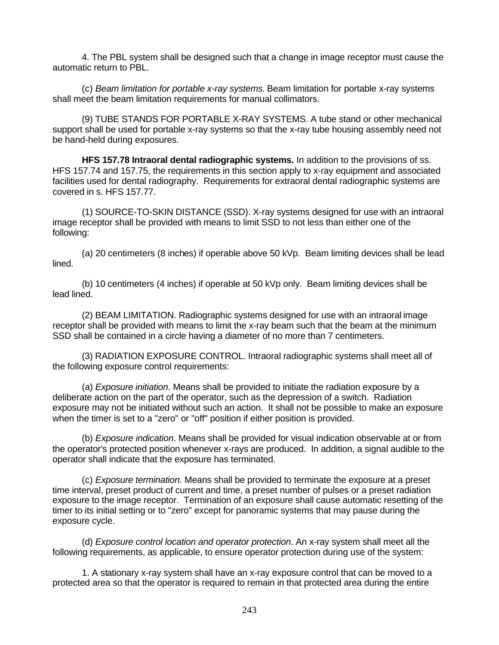4. The PBL system shall be designed such that a change in image receptor must cause the automatic return to PBL.

(c) *Beam limitation for portable x-ray systems.* Beam limitation for portable x-ray systems shall meet the beam limitation requirements for manual collimators.

(9) TUBE STANDS FOR PORTABLE X-RAY SYSTEMS. A tube stand or other mechanical support shall be used for portable x-ray systems so that the x-ray tube housing assembly need not be hand-held during exposures.

**HFS 157.78 Intraoral dental radiographic systems.** In addition to the provisions of ss. HFS 157.74 and 157.75, the requirements in this section apply to x-ray equipment and associated facilities used for dental radiography. Requirements for extraoral dental radiographic systems are covered in s. HFS 157.77.

(1) SOURCE-TO-SKIN DISTANCE (SSD). X-ray systems designed for use with an intraoral image receptor shall be provided with means to limit SSD to not less than either one of the following:

(a) 20 centimeters (8 inches) if operable above 50 kVp. Beam limiting devices shall be lead lined.

(b) 10 centimeters (4 inches) if operable at 50 kVp only. Beam limiting devices shall be lead lined.

(2) BEAM LIMITATION. Radiographic systems designed for use with an intraoral image receptor shall be provided with means to limit the x-ray beam such that the beam at the minimum SSD shall be contained in a circle having a diameter of no more than 7 centimeters.

(3) RADIATION EXPOSURE CONTROL. Intraoral radiographic systems shall meet all of the following exposure control requirements:

(a) *Exposure initiation*. Means shall be provided to initiate the radiation exposure by a deliberate action on the part of the operator, such as the depression of a switch. Radiation exposure may not be initiated without such an action. It shall not be possible to make an exposure when the timer is set to a "zero" or "off" position if either position is provided.

(b) *Exposure indication*. Means shall be provided for visual indication observable at or from the operator's protected position whenever x-rays are produced. In addition, a signal audible to the operator shall indicate that the exposure has terminated.

(c) *Exposure termination*. Means shall be provided to terminate the exposure at a preset time interval, preset product of current and time, a preset number of pulses or a preset radiation exposure to the image receptor. Termination of an exposure shall cause automatic resetting of the timer to its initial setting or to "zero" except for panoramic systems that may pause during the exposure cycle.

(d) *Exposure control location and operator protection*. An x-ray system shall meet all the following requirements, as applicable, to ensure operator protection during use of the system:

1. A stationary x-ray system shall have an x-ray exposure control that can be moved to a protected area so that the operator is required to remain in that protected area during the entire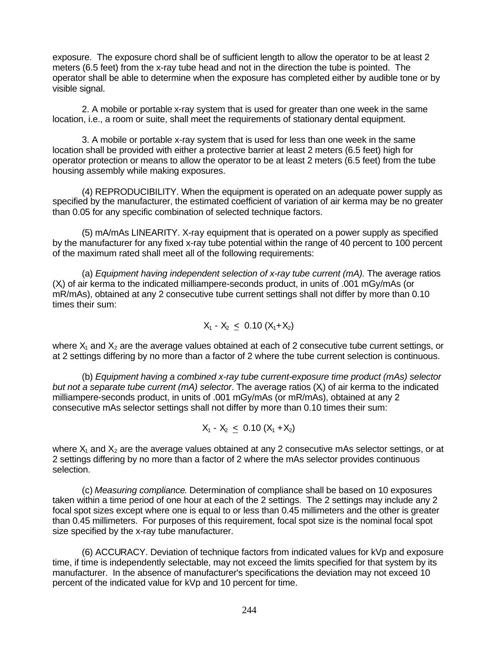exposure. The exposure chord shall be of sufficient length to allow the operator to be at least 2 meters (6.5 feet) from the x-ray tube head and not in the direction the tube is pointed. The operator shall be able to determine when the exposure has completed either by audible tone or by visible signal.

2. A mobile or portable x-ray system that is used for greater than one week in the same location, i.e., a room or suite, shall meet the requirements of stationary dental equipment.

3. A mobile or portable x-ray system that is used for less than one week in the same location shall be provided with either a protective barrier at least 2 meters (6.5 feet) high for operator protection or means to allow the operator to be at least 2 meters (6.5 feet) from the tube housing assembly while making exposures.

(4) REPRODUCIBILITY. When the equipment is operated on an adequate power supply as specified by the manufacturer, the estimated coefficient of variation of air kerma may be no greater than 0.05 for any specific combination of selected technique factors.

(5) mA/mAs LINEARITY. X-ray equipment that is operated on a power supply as specified by the manufacturer for any fixed x-ray tube potential within the range of 40 percent to 100 percent of the maximum rated shall meet all of the following requirements:

(a) *Equipment having independent selection of x-ray tube current (mA).* The average ratios  $(X<sub>i</sub>)$  of air kerma to the indicated milliampere-seconds product, in units of .001 mGy/mAs (or mR/mAs), obtained at any 2 consecutive tube current settings shall not differ by more than 0.10 times their sum:

$$
X_1 - X_2 \leq 0.10 (X_1 + X_2)
$$

where  $X_1$  and  $X_2$  are the average values obtained at each of 2 consecutive tube current settings, or at 2 settings differing by no more than a factor of 2 where the tube current selection is continuous.

(b) *Equipment having a combined x-ray tube current-exposure time product (mAs) selector but not a separate tube current (mA) selector*. The average ratios (Xi) of air kerma to the indicated milliampere-seconds product, in units of .001 mGy/mAs (or mR/mAs), obtained at any 2 consecutive mAs selector settings shall not differ by more than 0.10 times their sum:

$$
X_1 - X_2 \leq 0.10 (X_1 + X_2)
$$

where  $X_1$  and  $X_2$  are the average values obtained at any 2 consecutive mAs selector settings, or at 2 settings differing by no more than a factor of 2 where the mAs selector provides continuous selection.

(c) *Measuring compliance*. Determination of compliance shall be based on 10 exposures taken within a time period of one hour at each of the 2 settings. The 2 settings may include any 2 focal spot sizes except where one is equal to or less than 0.45 millimeters and the other is greater than 0.45 millimeters. For purposes of this requirement, focal spot size is the nominal focal spot size specified by the x-ray tube manufacturer.

(6) ACCURACY. Deviation of technique factors from indicated values for kVp and exposure time, if time is independently selectable, may not exceed the limits specified for that system by its manufacturer. In the absence of manufacturer's specifications the deviation may not exceed 10 percent of the indicated value for kVp and 10 percent for time.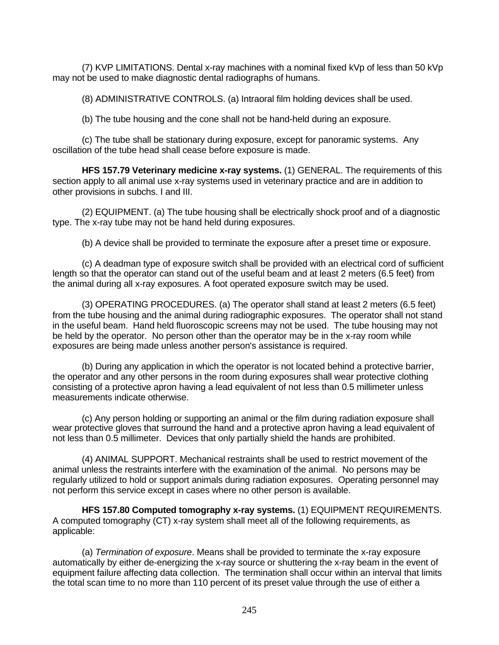(7) KVP LIMITATIONS. Dental x-ray machines with a nominal fixed kVp of less than 50 kVp may not be used to make diagnostic dental radiographs of humans.

(8) ADMINISTRATIVE CONTROLS. (a) Intraoral film holding devices shall be used.

(b) The tube housing and the cone shall not be hand-held during an exposure.

(c) The tube shall be stationary during exposure, except for panoramic systems. Any oscillation of the tube head shall cease before exposure is made.

**HFS 157.79 Veterinary medicine x-ray systems.** (1) GENERAL. The requirements of this section apply to all animal use x-ray systems used in veterinary practice and are in addition to other provisions in subchs. I and III.

(2) EQUIPMENT. (a) The tube housing shall be electrically shock proof and of a diagnostic type. The x-ray tube may not be hand held during exposures.

(b) A device shall be provided to terminate the exposure after a preset time or exposure.

(c) A deadman type of exposure switch shall be provided with an electrical cord of sufficient length so that the operator can stand out of the useful beam and at least 2 meters (6.5 feet) from the animal during all x-ray exposures. A foot operated exposure switch may be used.

(3) OPERATING PROCEDURES. (a) The operator shall stand at least 2 meters (6.5 feet) from the tube housing and the animal during radiographic exposures. The operator shall not stand in the useful beam. Hand held fluoroscopic screens may not be used. The tube housing may not be held by the operator. No person other than the operator may be in the x-ray room while exposures are being made unless another person's assistance is required.

(b) During any application in which the operator is not located behind a protective barrier, the operator and any other persons in the room during exposures shall wear protective clothing consisting of a protective apron having a lead equivalent of not less than 0.5 millimeter unless measurements indicate otherwise.

(c) Any person holding or supporting an animal or the film during radiation exposure shall wear protective gloves that surround the hand and a protective apron having a lead equivalent of not less than 0.5 millimeter. Devices that only partially shield the hands are prohibited.

(4) ANIMAL SUPPORT. Mechanical restraints shall be used to restrict movement of the animal unless the restraints interfere with the examination of the animal. No persons may be regularly utilized to hold or support animals during radiation exposures. Operating personnel may not perform this service except in cases where no other person is available.

**HFS 157.80 Computed tomography x-ray systems.** (1) EQUIPMENT REQUIREMENTS. A computed tomography (CT) x-ray system shall meet all of the following requirements, as applicable:

(a) *Termination of exposure*. Means shall be provided to terminate the x-ray exposure automatically by either de-energizing the x-ray source or shuttering the x-ray beam in the event of equipment failure affecting data collection. The termination shall occur within an interval that limits the total scan time to no more than 110 percent of its preset value through the use of either a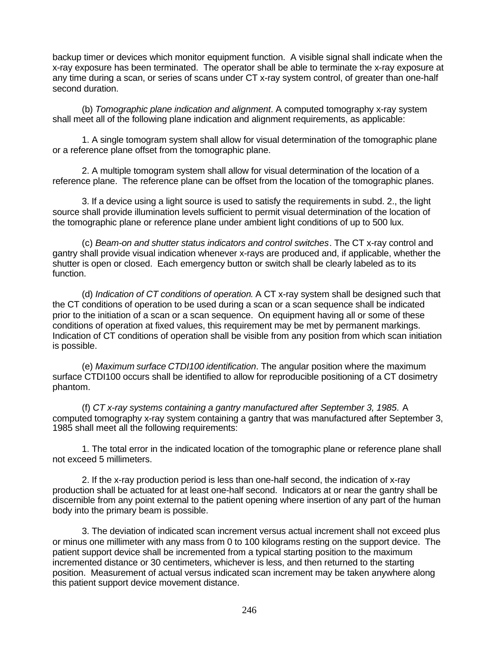backup timer or devices which monitor equipment function. A visible signal shall indicate when the x-ray exposure has been terminated. The operator shall be able to terminate the x-ray exposure at any time during a scan, or series of scans under CT x-ray system control, of greater than one-half second duration.

(b) *Tomographic plane indication and alignment*. A computed tomography x-ray system shall meet all of the following plane indication and alignment requirements, as applicable:

1. A single tomogram system shall allow for visual determination of the tomographic plane or a reference plane offset from the tomographic plane.

2. A multiple tomogram system shall allow for visual determination of the location of a reference plane. The reference plane can be offset from the location of the tomographic planes.

3. If a device using a light source is used to satisfy the requirements in subd. 2., the light source shall provide illumination levels sufficient to permit visual determination of the location of the tomographic plane or reference plane under ambient light conditions of up to 500 lux.

(c) *Beam-on and shutter status indicators and control switches*. The CT x-ray control and gantry shall provide visual indication whenever x-rays are produced and, if applicable, whether the shutter is open or closed. Each emergency button or switch shall be clearly labeled as to its function.

(d) *Indication of CT conditions of operation*. A CT x-ray system shall be designed such that the CT conditions of operation to be used during a scan or a scan sequence shall be indicated prior to the initiation of a scan or a scan sequence. On equipment having all or some of these conditions of operation at fixed values, this requirement may be met by permanent markings. Indication of CT conditions of operation shall be visible from any position from which scan initiation is possible.

(e) *Maximum surface CTDI100 identification*. The angular position where the maximum surface CTDI100 occurs shall be identified to allow for reproducible positioning of a CT dosimetry phantom.

(f) *CT x-ray systems containing a gantry manufactured after September 3, 1985*. A computed tomography x-ray system containing a gantry that was manufactured after September 3, 1985 shall meet all the following requirements:

1. The total error in the indicated location of the tomographic plane or reference plane shall not exceed 5 millimeters.

2. If the x-ray production period is less than one-half second, the indication of x-ray production shall be actuated for at least one-half second. Indicators at or near the gantry shall be discernible from any point external to the patient opening where insertion of any part of the human body into the primary beam is possible.

3. The deviation of indicated scan increment versus actual increment shall not exceed plus or minus one millimeter with any mass from 0 to 100 kilograms resting on the support device. The patient support device shall be incremented from a typical starting position to the maximum incremented distance or 30 centimeters, whichever is less, and then returned to the starting position. Measurement of actual versus indicated scan increment may be taken anywhere along this patient support device movement distance.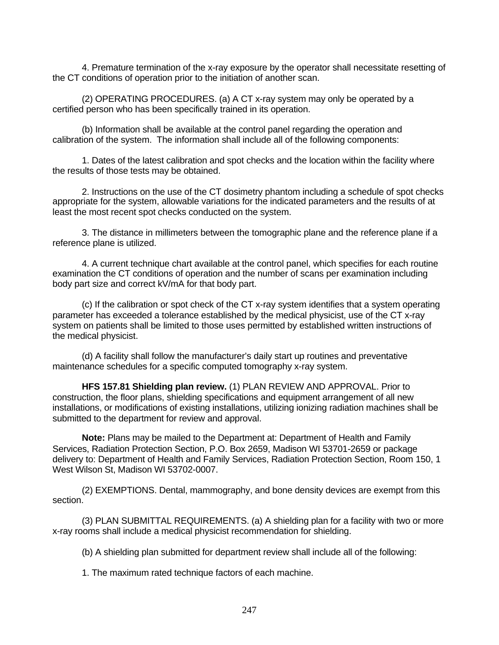4. Premature termination of the x-ray exposure by the operator shall necessitate resetting of the CT conditions of operation prior to the initiation of another scan.

(2) OPERATING PROCEDURES. (a) A CT x-ray system may only be operated by a certified person who has been specifically trained in its operation.

(b) Information shall be available at the control panel regarding the operation and calibration of the system. The information shall include all of the following components:

1. Dates of the latest calibration and spot checks and the location within the facility where the results of those tests may be obtained.

2. Instructions on the use of the CT dosimetry phantom including a schedule of spot checks appropriate for the system, allowable variations for the indicated parameters and the results of at least the most recent spot checks conducted on the system.

3. The distance in millimeters between the tomographic plane and the reference plane if a reference plane is utilized.

4. A current technique chart available at the control panel, which specifies for each routine examination the CT conditions of operation and the number of scans per examination including body part size and correct kV/mA for that body part.

(c) If the calibration or spot check of the CT x-ray system identifies that a system operating parameter has exceeded a tolerance established by the medical physicist, use of the CT x-ray system on patients shall be limited to those uses permitted by established written instructions of the medical physicist.

(d) A facility shall follow the manufacturer's daily start up routines and preventative maintenance schedules for a specific computed tomography x-ray system.

**HFS 157.81 Shielding plan review.** (1) PLAN REVIEW AND APPROVAL. Prior to construction, the floor plans, shielding specifications and equipment arrangement of all new installations, or modifications of existing installations, utilizing ionizing radiation machines shall be submitted to the department for review and approval.

**Note:** Plans may be mailed to the Department at: Department of Health and Family Services, Radiation Protection Section, P.O. Box 2659, Madison WI 53701-2659 or package delivery to: Department of Health and Family Services, Radiation Protection Section, Room 150, 1 West Wilson St, Madison WI 53702-0007.

(2) EXEMPTIONS. Dental, mammography, and bone density devices are exempt from this section.

(3) PLAN SUBMITTAL REQUIREMENTS. (a) A shielding plan for a facility with two or more x-ray rooms shall include a medical physicist recommendation for shielding.

(b) A shielding plan submitted for department review shall include all of the following:

1. The maximum rated technique factors of each machine.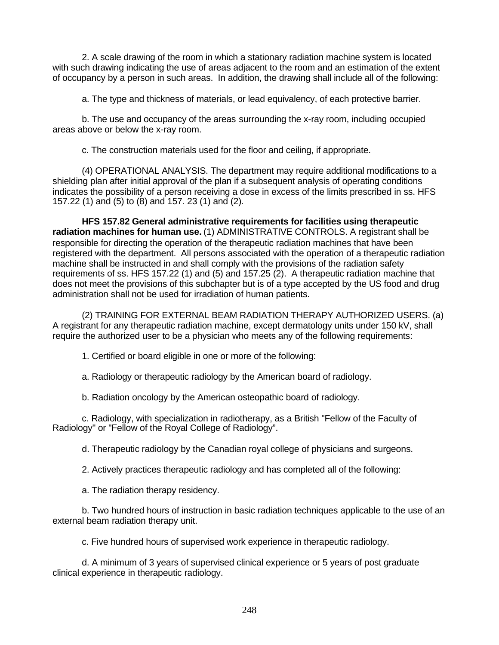2. A scale drawing of the room in which a stationary radiation machine system is located with such drawing indicating the use of areas adjacent to the room and an estimation of the extent of occupancy by a person in such areas. In addition, the drawing shall include all of the following:

a. The type and thickness of materials, or lead equivalency, of each protective barrier.

b. The use and occupancy of the areas surrounding the x-ray room, including occupied areas above or below the x-ray room.

c. The construction materials used for the floor and ceiling, if appropriate.

(4) OPERATIONAL ANALYSIS. The department may require additional modifications to a shielding plan after initial approval of the plan if a subsequent analysis of operating conditions indicates the possibility of a person receiving a dose in excess of the limits prescribed in ss. HFS 157.22 (1) and (5) to (8) and 157. 23 (1) and (2).

**HFS 157.82 General administrative requirements for facilities using therapeutic radiation machines for human use.** (1) ADMINISTRATIVE CONTROLS. A registrant shall be responsible for directing the operation of the therapeutic radiation machines that have been registered with the department. All persons associated with the operation of a therapeutic radiation machine shall be instructed in and shall comply with the provisions of the radiation safety requirements of ss. HFS 157.22 (1) and (5) and 157.25 (2). A therapeutic radiation machine that does not meet the provisions of this subchapter but is of a type accepted by the US food and drug administration shall not be used for irradiation of human patients.

(2) TRAINING FOR EXTERNAL BEAM RADIATION THERAPY AUTHORIZED USERS. (a) A registrant for any therapeutic radiation machine, except dermatology units under 150 kV, shall require the authorized user to be a physician who meets any of the following requirements:

- 1. Certified or board eligible in one or more of the following:
- a. Radiology or therapeutic radiology by the American board of radiology.
- b. Radiation oncology by the American osteopathic board of radiology.

c. Radiology, with specialization in radiotherapy, as a British "Fellow of the Faculty of Radiology" or "Fellow of the Royal College of Radiology".

d. Therapeutic radiology by the Canadian royal college of physicians and surgeons.

2. Actively practices therapeutic radiology and has completed all of the following:

a. The radiation therapy residency.

b. Two hundred hours of instruction in basic radiation techniques applicable to the use of an external beam radiation therapy unit.

c. Five hundred hours of supervised work experience in therapeutic radiology.

d. A minimum of 3 years of supervised clinical experience or 5 years of post graduate clinical experience in therapeutic radiology.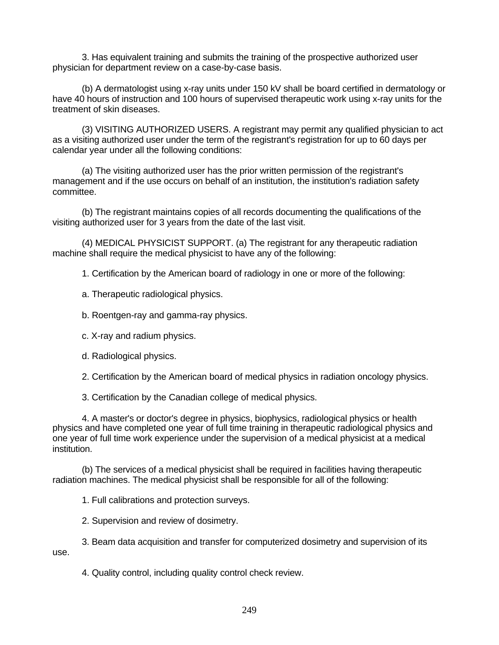3. Has equivalent training and submits the training of the prospective authorized user physician for department review on a case-by-case basis.

(b) A dermatologist using x-ray units under 150 kV shall be board certified in dermatology or have 40 hours of instruction and 100 hours of supervised therapeutic work using x-ray units for the treatment of skin diseases.

(3) VISITING AUTHORIZED USERS. A registrant may permit any qualified physician to act as a visiting authorized user under the term of the registrant's registration for up to 60 days per calendar year under all the following conditions:

(a) The visiting authorized user has the prior written permission of the registrant's management and if the use occurs on behalf of an institution, the institution's radiation safety committee.

(b) The registrant maintains copies of all records documenting the qualifications of the visiting authorized user for 3 years from the date of the last visit.

(4) MEDICAL PHYSICIST SUPPORT. (a) The registrant for any therapeutic radiation machine shall require the medical physicist to have any of the following:

1. Certification by the American board of radiology in one or more of the following:

a. Therapeutic radiological physics.

b. Roentgen-ray and gamma-ray physics.

- c. X-ray and radium physics.
- d. Radiological physics.

2. Certification by the American board of medical physics in radiation oncology physics.

3. Certification by the Canadian college of medical physics.

4. A master's or doctor's degree in physics, biophysics, radiological physics or health physics and have completed one year of full time training in therapeutic radiological physics and one year of full time work experience under the supervision of a medical physicist at a medical institution.

(b) The services of a medical physicist shall be required in facilities having therapeutic radiation machines. The medical physicist shall be responsible for all of the following:

1. Full calibrations and protection surveys.

2. Supervision and review of dosimetry.

3. Beam data acquisition and transfer for computerized dosimetry and supervision of its use.

4. Quality control, including quality control check review.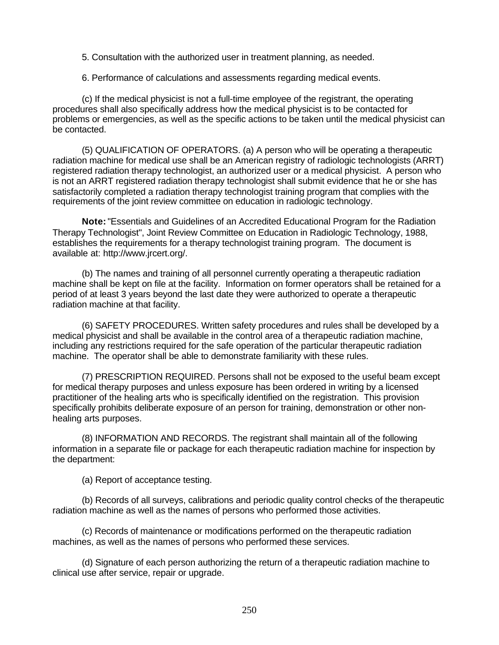5. Consultation with the authorized user in treatment planning, as needed.

6. Performance of calculations and assessments regarding medical events.

(c) If the medical physicist is not a full-time employee of the registrant, the operating procedures shall also specifically address how the medical physicist is to be contacted for problems or emergencies, as well as the specific actions to be taken until the medical physicist can be contacted.

(5) QUALIFICATION OF OPERATORS. (a) A person who will be operating a therapeutic radiation machine for medical use shall be an American registry of radiologic technologists (ARRT) registered radiation therapy technologist, an authorized user or a medical physicist. A person who is not an ARRT registered radiation therapy technologist shall submit evidence that he or she has satisfactorily completed a radiation therapy technologist training program that complies with the requirements of the joint review committee on education in radiologic technology.

**Note:** "Essentials and Guidelines of an Accredited Educational Program for the Radiation Therapy Technologist", Joint Review Committee on Education in Radiologic Technology, 1988, establishes the requirements for a therapy technologist training program. The document is available at: http://www.jrcert.org/.

(b) The names and training of all personnel currently operating a therapeutic radiation machine shall be kept on file at the facility. Information on former operators shall be retained for a period of at least 3 years beyond the last date they were authorized to operate a therapeutic radiation machine at that facility.

(6) SAFETY PROCEDURES. Written safety procedures and rules shall be developed by a medical physicist and shall be available in the control area of a therapeutic radiation machine, including any restrictions required for the safe operation of the particular therapeutic radiation machine. The operator shall be able to demonstrate familiarity with these rules.

(7) PRESCRIPTION REQUIRED. Persons shall not be exposed to the useful beam except for medical therapy purposes and unless exposure has been ordered in writing by a licensed practitioner of the healing arts who is specifically identified on the registration. This provision specifically prohibits deliberate exposure of an person for training, demonstration or other nonhealing arts purposes.

(8) INFORMATION AND RECORDS. The registrant shall maintain all of the following information in a separate file or package for each therapeutic radiation machine for inspection by the department:

(a) Report of acceptance testing.

(b) Records of all surveys, calibrations and periodic quality control checks of the therapeutic radiation machine as well as the names of persons who performed those activities.

(c) Records of maintenance or modifications performed on the therapeutic radiation machines, as well as the names of persons who performed these services.

(d) Signature of each person authorizing the return of a therapeutic radiation machine to clinical use after service, repair or upgrade.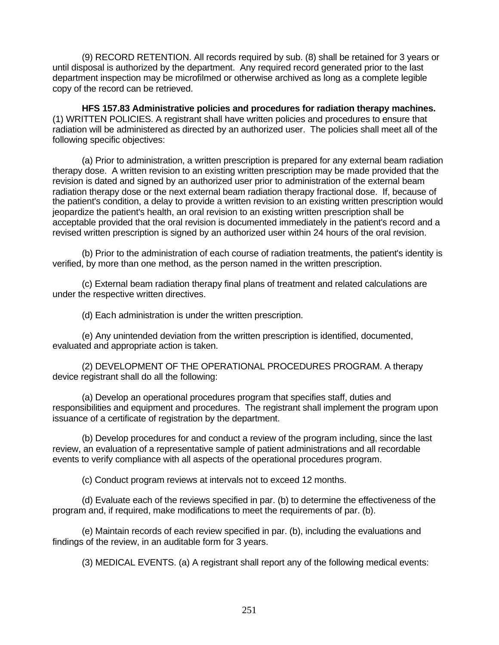(9) RECORD RETENTION. All records required by sub. (8) shall be retained for 3 years or until disposal is authorized by the department. Any required record generated prior to the last department inspection may be microfilmed or otherwise archived as long as a complete legible copy of the record can be retrieved.

**HFS 157.83 Administrative policies and procedures for radiation therapy machines.** (1) WRITTEN POLICIES. A registrant shall have written policies and procedures to ensure that radiation will be administered as directed by an authorized user. The policies shall meet all of the following specific objectives:

(a) Prior to administration, a written prescription is prepared for any external beam radiation therapy dose. A written revision to an existing written prescription may be made provided that the revision is dated and signed by an authorized user prior to administration of the external beam radiation therapy dose or the next external beam radiation therapy fractional dose. If, because of the patient's condition, a delay to provide a written revision to an existing written prescription would jeopardize the patient's health, an oral revision to an existing written prescription shall be acceptable provided that the oral revision is documented immediately in the patient's record and a revised written prescription is signed by an authorized user within 24 hours of the oral revision.

(b) Prior to the administration of each course of radiation treatments, the patient's identity is verified, by more than one method, as the person named in the written prescription.

(c) External beam radiation therapy final plans of treatment and related calculations are under the respective written directives.

(d) Each administration is under the written prescription.

(e) Any unintended deviation from the written prescription is identified, documented, evaluated and appropriate action is taken.

(2) DEVELOPMENT OF THE OPERATIONAL PROCEDURES PROGRAM. A therapy device registrant shall do all the following:

(a) Develop an operational procedures program that specifies staff, duties and responsibilities and equipment and procedures. The registrant shall implement the program upon issuance of a certificate of registration by the department.

(b) Develop procedures for and conduct a review of the program including, since the last review, an evaluation of a representative sample of patient administrations and all recordable events to verify compliance with all aspects of the operational procedures program.

(c) Conduct program reviews at intervals not to exceed 12 months.

(d) Evaluate each of the reviews specified in par. (b) to determine the effectiveness of the program and, if required, make modifications to meet the requirements of par. (b).

(e) Maintain records of each review specified in par. (b), including the evaluations and findings of the review, in an auditable form for 3 years.

(3) MEDICAL EVENTS. (a) A registrant shall report any of the following medical events: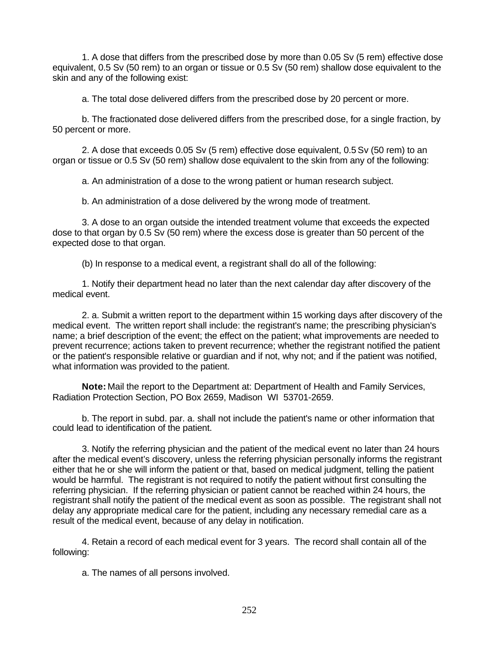1. A dose that differs from the prescribed dose by more than 0.05 Sv (5 rem) effective dose equivalent, 0.5 Sv (50 rem) to an organ or tissue or 0.5 Sv (50 rem) shallow dose equivalent to the skin and any of the following exist:

a. The total dose delivered differs from the prescribed dose by 20 percent or more.

b. The fractionated dose delivered differs from the prescribed dose, for a single fraction, by 50 percent or more.

2. A dose that exceeds 0.05 Sv (5 rem) effective dose equivalent, 0.5 Sv (50 rem) to an organ or tissue or 0.5 Sv (50 rem) shallow dose equivalent to the skin from any of the following:

a. An administration of a dose to the wrong patient or human research subject.

b. An administration of a dose delivered by the wrong mode of treatment.

3. A dose to an organ outside the intended treatment volume that exceeds the expected dose to that organ by 0.5 Sv (50 rem) where the excess dose is greater than 50 percent of the expected dose to that organ.

(b) In response to a medical event, a registrant shall do all of the following:

1. Notify their department head no later than the next calendar day after discovery of the medical event.

2. a. Submit a written report to the department within 15 working days after discovery of the medical event. The written report shall include: the registrant's name; the prescribing physician's name; a brief description of the event; the effect on the patient; what improvements are needed to prevent recurrence; actions taken to prevent recurrence; whether the registrant notified the patient or the patient's responsible relative or guardian and if not, why not; and if the patient was notified, what information was provided to the patient.

**Note:** Mail the report to the Department at: Department of Health and Family Services, Radiation Protection Section, PO Box 2659, Madison WI 53701-2659.

b. The report in subd. par. a. shall not include the patient's name or other information that could lead to identification of the patient.

3. Notify the referring physician and the patient of the medical event no later than 24 hours after the medical event's discovery, unless the referring physician personally informs the registrant either that he or she will inform the patient or that, based on medical judgment, telling the patient would be harmful. The registrant is not required to notify the patient without first consulting the referring physician. If the referring physician or patient cannot be reached within 24 hours, the registrant shall notify the patient of the medical event as soon as possible. The registrant shall not delay any appropriate medical care for the patient, including any necessary remedial care as a result of the medical event, because of any delay in notification.

4. Retain a record of each medical event for 3 years. The record shall contain all of the following:

a. The names of all persons involved.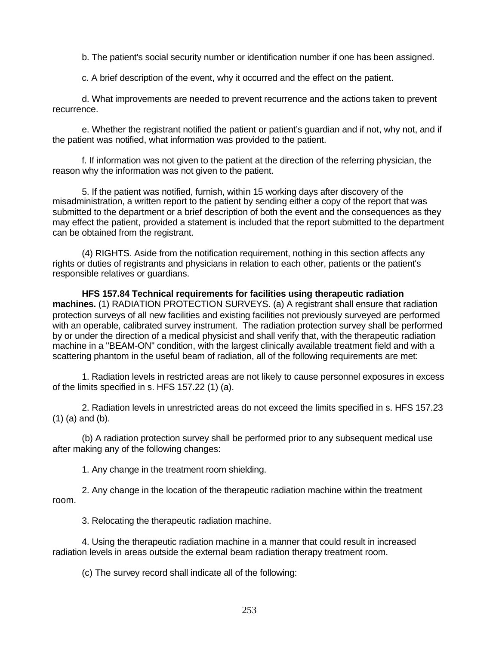b. The patient's social security number or identification number if one has been assigned.

c. A brief description of the event, why it occurred and the effect on the patient.

d. What improvements are needed to prevent recurrence and the actions taken to prevent recurrence.

e. Whether the registrant notified the patient or patient's guardian and if not, why not, and if the patient was notified, what information was provided to the patient.

f. If information was not given to the patient at the direction of the referring physician, the reason why the information was not given to the patient.

5. If the patient was notified, furnish, within 15 working days after discovery of the misadministration, a written report to the patient by sending either a copy of the report that was submitted to the department or a brief description of both the event and the consequences as they may effect the patient, provided a statement is included that the report submitted to the department can be obtained from the registrant.

(4) RIGHTS. Aside from the notification requirement, nothing in this section affects any rights or duties of registrants and physicians in relation to each other, patients or the patient's responsible relatives or guardians.

**HFS 157.84 Technical requirements for facilities using therapeutic radiation machines.** (1) RADIATION PROTECTION SURVEYS. (a) A registrant shall ensure that radiation protection surveys of all new facilities and existing facilities not previously surveyed are performed with an operable, calibrated survey instrument. The radiation protection survey shall be performed by or under the direction of a medical physicist and shall verify that, with the therapeutic radiation machine in a "BEAM-ON" condition, with the largest clinically available treatment field and with a scattering phantom in the useful beam of radiation, all of the following requirements are met:

1. Radiation levels in restricted areas are not likely to cause personnel exposures in excess of the limits specified in s. HFS 157.22 (1) (a).

2. Radiation levels in unrestricted areas do not exceed the limits specified in s. HFS 157.23 (1) (a) and (b).

(b) A radiation protection survey shall be performed prior to any subsequent medical use after making any of the following changes:

1. Any change in the treatment room shielding.

2. Any change in the location of the therapeutic radiation machine within the treatment room.

3. Relocating the therapeutic radiation machine.

4. Using the therapeutic radiation machine in a manner that could result in increased radiation levels in areas outside the external beam radiation therapy treatment room.

(c) The survey record shall indicate all of the following: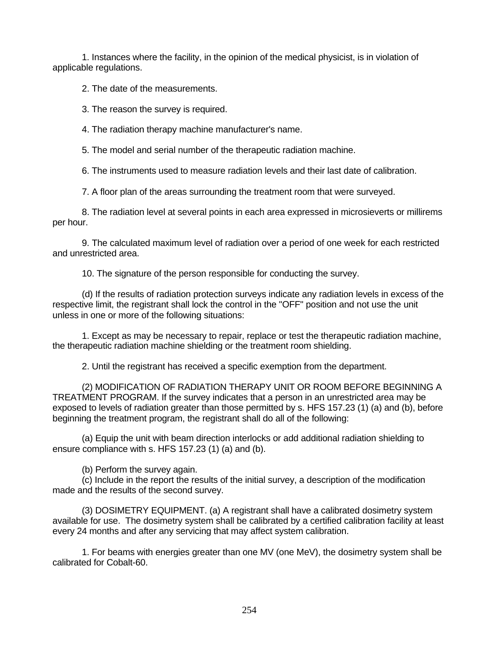1. Instances where the facility, in the opinion of the medical physicist, is in violation of applicable regulations.

2. The date of the measurements.

3. The reason the survey is required.

4. The radiation therapy machine manufacturer's name.

5. The model and serial number of the therapeutic radiation machine.

6. The instruments used to measure radiation levels and their last date of calibration.

7. A floor plan of the areas surrounding the treatment room that were surveyed.

8. The radiation level at several points in each area expressed in microsieverts or millirems per hour.

9. The calculated maximum level of radiation over a period of one week for each restricted and unrestricted area.

10. The signature of the person responsible for conducting the survey.

(d) If the results of radiation protection surveys indicate any radiation levels in excess of the respective limit, the registrant shall lock the control in the "OFF" position and not use the unit unless in one or more of the following situations:

1. Except as may be necessary to repair, replace or test the therapeutic radiation machine, the therapeutic radiation machine shielding or the treatment room shielding.

2. Until the registrant has received a specific exemption from the department.

(2) MODIFICATION OF RADIATION THERAPY UNIT OR ROOM BEFORE BEGINNING A TREATMENT PROGRAM. If the survey indicates that a person in an unrestricted area may be exposed to levels of radiation greater than those permitted by s. HFS 157.23 (1) (a) and (b), before beginning the treatment program, the registrant shall do all of the following:

(a) Equip the unit with beam direction interlocks or add additional radiation shielding to ensure compliance with s. HFS 157.23 (1) (a) and (b).

(b) Perform the survey again.

(c) Include in the report the results of the initial survey, a description of the modification made and the results of the second survey.

(3) DOSIMETRY EQUIPMENT. (a) A registrant shall have a calibrated dosimetry system available for use. The dosimetry system shall be calibrated by a certified calibration facility at least every 24 months and after any servicing that may affect system calibration.

1. For beams with energies greater than one MV (one MeV), the dosimetry system shall be calibrated for Cobalt-60.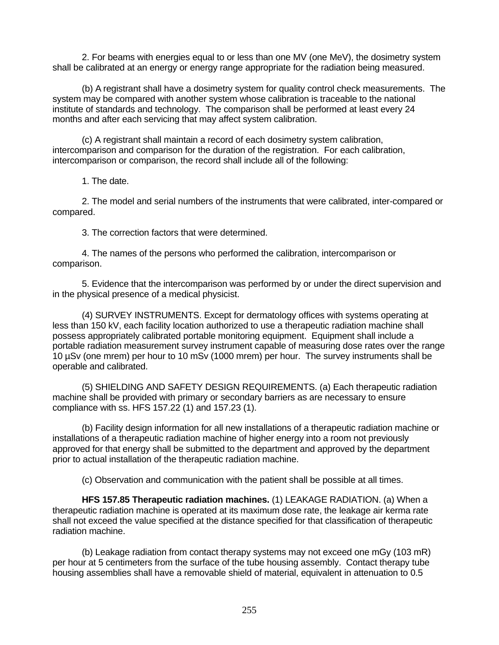2. For beams with energies equal to or less than one MV (one MeV), the dosimetry system shall be calibrated at an energy or energy range appropriate for the radiation being measured.

(b) A registrant shall have a dosimetry system for quality control check measurements. The system may be compared with another system whose calibration is traceable to the national institute of standards and technology. The comparison shall be performed at least every 24 months and after each servicing that may affect system calibration.

(c) A registrant shall maintain a record of each dosimetry system calibration, intercomparison and comparison for the duration of the registration. For each calibration, intercomparison or comparison, the record shall include all of the following:

1. The date.

2. The model and serial numbers of the instruments that were calibrated, inter-compared or compared.

3. The correction factors that were determined.

4. The names of the persons who performed the calibration, intercomparison or comparison.

5. Evidence that the intercomparison was performed by or under the direct supervision and in the physical presence of a medical physicist.

(4) SURVEY INSTRUMENTS. Except for dermatology offices with systems operating at less than 150 kV, each facility location authorized to use a therapeutic radiation machine shall possess appropriately calibrated portable monitoring equipment. Equipment shall include a portable radiation measurement survey instrument capable of measuring dose rates over the range 10 µSv (one mrem) per hour to 10 mSv (1000 mrem) per hour. The survey instruments shall be operable and calibrated.

(5) SHIELDING AND SAFETY DESIGN REQUIREMENTS. (a) Each therapeutic radiation machine shall be provided with primary or secondary barriers as are necessary to ensure compliance with ss. HFS 157.22 (1) and 157.23 (1).

(b) Facility design information for all new installations of a therapeutic radiation machine or installations of a therapeutic radiation machine of higher energy into a room not previously approved for that energy shall be submitted to the department and approved by the department prior to actual installation of the therapeutic radiation machine.

(c) Observation and communication with the patient shall be possible at all times.

**HFS 157.85 Therapeutic radiation machines.** (1) LEAKAGE RADIATION. (a) When a therapeutic radiation machine is operated at its maximum dose rate, the leakage air kerma rate shall not exceed the value specified at the distance specified for that classification of therapeutic radiation machine.

(b) Leakage radiation from contact therapy systems may not exceed one mGy (103 mR) per hour at 5 centimeters from the surface of the tube housing assembly. Contact therapy tube housing assemblies shall have a removable shield of material, equivalent in attenuation to 0.5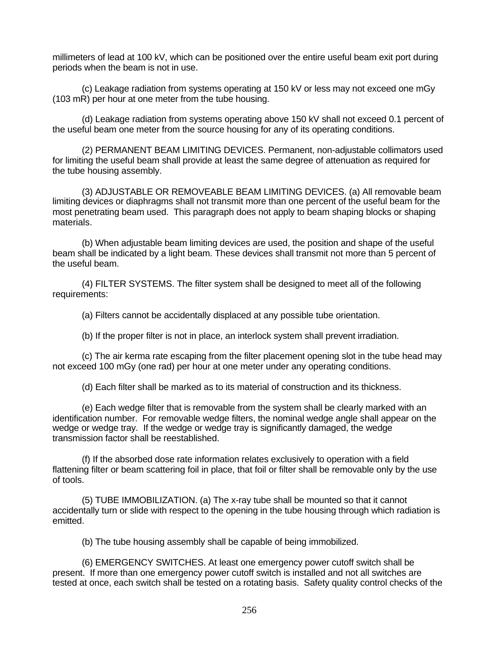millimeters of lead at 100 kV, which can be positioned over the entire useful beam exit port during periods when the beam is not in use.

(c) Leakage radiation from systems operating at 150 kV or less may not exceed one mGy (103 mR) per hour at one meter from the tube housing.

(d) Leakage radiation from systems operating above 150 kV shall not exceed 0.1 percent of the useful beam one meter from the source housing for any of its operating conditions.

(2) PERMANENT BEAM LIMITING DEVICES. Permanent, non-adjustable collimators used for limiting the useful beam shall provide at least the same degree of attenuation as required for the tube housing assembly.

(3) ADJUSTABLE OR REMOVEABLE BEAM LIMITING DEVICES. (a) All removable beam limiting devices or diaphragms shall not transmit more than one percent of the useful beam for the most penetrating beam used. This paragraph does not apply to beam shaping blocks or shaping materials.

(b) When adjustable beam limiting devices are used, the position and shape of the useful beam shall be indicated by a light beam. These devices shall transmit not more than 5 percent of the useful beam.

(4) FILTER SYSTEMS. The filter system shall be designed to meet all of the following requirements:

(a) Filters cannot be accidentally displaced at any possible tube orientation.

(b) If the proper filter is not in place, an interlock system shall prevent irradiation.

(c) The air kerma rate escaping from the filter placement opening slot in the tube head may not exceed 100 mGy (one rad) per hour at one meter under any operating conditions.

(d) Each filter shall be marked as to its material of construction and its thickness.

(e) Each wedge filter that is removable from the system shall be clearly marked with an identification number. For removable wedge filters, the nominal wedge angle shall appear on the wedge or wedge tray. If the wedge or wedge tray is significantly damaged, the wedge transmission factor shall be reestablished.

(f) If the absorbed dose rate information relates exclusively to operation with a field flattening filter or beam scattering foil in place, that foil or filter shall be removable only by the use of tools.

(5) TUBE IMMOBILIZATION. (a) The x-ray tube shall be mounted so that it cannot accidentally turn or slide with respect to the opening in the tube housing through which radiation is emitted.

(b) The tube housing assembly shall be capable of being immobilized.

(6) EMERGENCY SWITCHES. At least one emergency power cutoff switch shall be present. If more than one emergency power cutoff switch is installed and not all switches are tested at once, each switch shall be tested on a rotating basis. Safety quality control checks of the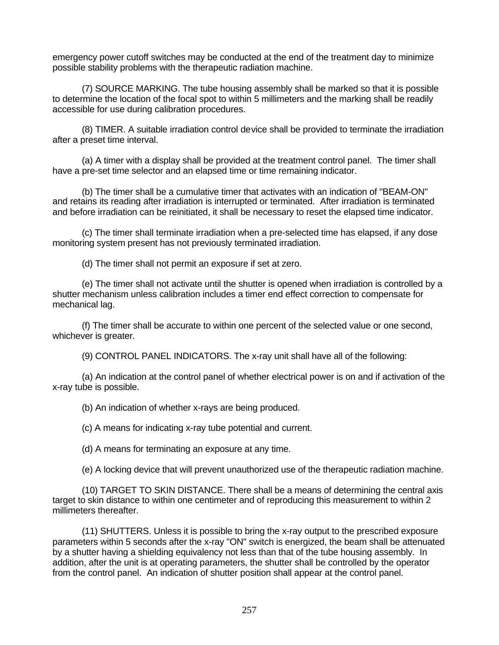emergency power cutoff switches may be conducted at the end of the treatment day to minimize possible stability problems with the therapeutic radiation machine.

(7) SOURCE MARKING. The tube housing assembly shall be marked so that it is possible to determine the location of the focal spot to within 5 millimeters and the marking shall be readily accessible for use during calibration procedures.

(8) TIMER. A suitable irradiation control device shall be provided to terminate the irradiation after a preset time interval.

(a) A timer with a display shall be provided at the treatment control panel. The timer shall have a pre-set time selector and an elapsed time or time remaining indicator.

(b) The timer shall be a cumulative timer that activates with an indication of "BEAM-ON" and retains its reading after irradiation is interrupted or terminated. After irradiation is terminated and before irradiation can be reinitiated, it shall be necessary to reset the elapsed time indicator.

(c) The timer shall terminate irradiation when a pre-selected time has elapsed, if any dose monitoring system present has not previously terminated irradiation.

(d) The timer shall not permit an exposure if set at zero.

(e) The timer shall not activate until the shutter is opened when irradiation is controlled by a shutter mechanism unless calibration includes a timer end effect correction to compensate for mechanical lag.

(f) The timer shall be accurate to within one percent of the selected value or one second, whichever is greater.

(9) CONTROL PANEL INDICATORS. The x-ray unit shall have all of the following:

(a) An indication at the control panel of whether electrical power is on and if activation of the x-ray tube is possible.

(b) An indication of whether x-rays are being produced.

(c) A means for indicating x-ray tube potential and current.

(d) A means for terminating an exposure at any time.

(e) A locking device that will prevent unauthorized use of the therapeutic radiation machine.

(10) TARGET TO SKIN DISTANCE. There shall be a means of determining the central axis target to skin distance to within one centimeter and of reproducing this measurement to within 2 millimeters thereafter.

(11) SHUTTERS. Unless it is possible to bring the x-ray output to the prescribed exposure parameters within 5 seconds after the x-ray "ON" switch is energized, the beam shall be attenuated by a shutter having a shielding equivalency not less than that of the tube housing assembly. In addition, after the unit is at operating parameters, the shutter shall be controlled by the operator from the control panel. An indication of shutter position shall appear at the control panel.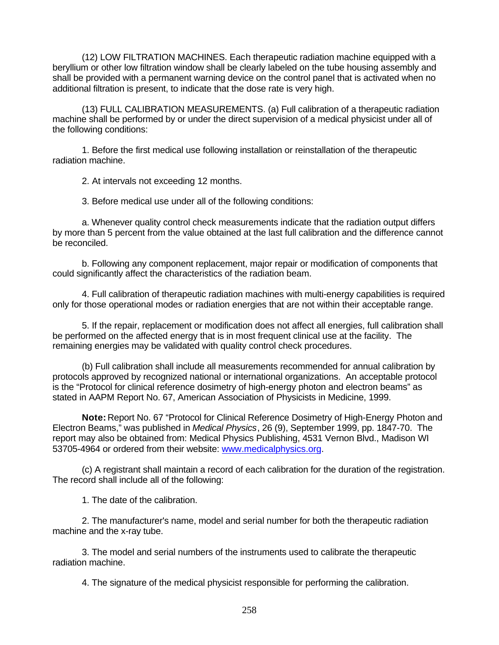(12) LOW FILTRATION MACHINES. Each therapeutic radiation machine equipped with a beryllium or other low filtration window shall be clearly labeled on the tube housing assembly and shall be provided with a permanent warning device on the control panel that is activated when no additional filtration is present, to indicate that the dose rate is very high.

(13) FULL CALIBRATION MEASUREMENTS. (a) Full calibration of a therapeutic radiation machine shall be performed by or under the direct supervision of a medical physicist under all of the following conditions:

1. Before the first medical use following installation or reinstallation of the therapeutic radiation machine.

2. At intervals not exceeding 12 months.

3. Before medical use under all of the following conditions:

a. Whenever quality control check measurements indicate that the radiation output differs by more than 5 percent from the value obtained at the last full calibration and the difference cannot be reconciled.

b. Following any component replacement, major repair or modification of components that could significantly affect the characteristics of the radiation beam.

4. Full calibration of therapeutic radiation machines with multi-energy capabilities is required only for those operational modes or radiation energies that are not within their acceptable range.

5. If the repair, replacement or modification does not affect all energies, full calibration shall be performed on the affected energy that is in most frequent clinical use at the facility. The remaining energies may be validated with quality control check procedures.

(b) Full calibration shall include all measurements recommended for annual calibration by protocols approved by recognized national or international organizations. An acceptable protocol is the "Protocol for clinical reference dosimetry of high-energy photon and electron beams" as stated in AAPM Report No. 67, American Association of Physicists in Medicine, 1999.

**Note:** Report No. 67 "Protocol for Clinical Reference Dosimetry of High-Energy Photon and Electron Beams," was published in *Medical Physics*, 26 (9), September 1999, pp. 1847-70. The report may also be obtained from: Medical Physics Publishing, 4531 Vernon Blvd., Madison WI 53705-4964 or ordered from their website: www.medicalphysics.org.

(c) A registrant shall maintain a record of each calibration for the duration of the registration. The record shall include all of the following:

1. The date of the calibration.

2. The manufacturer's name, model and serial number for both the therapeutic radiation machine and the x-ray tube.

3. The model and serial numbers of the instruments used to calibrate the therapeutic radiation machine.

4. The signature of the medical physicist responsible for performing the calibration.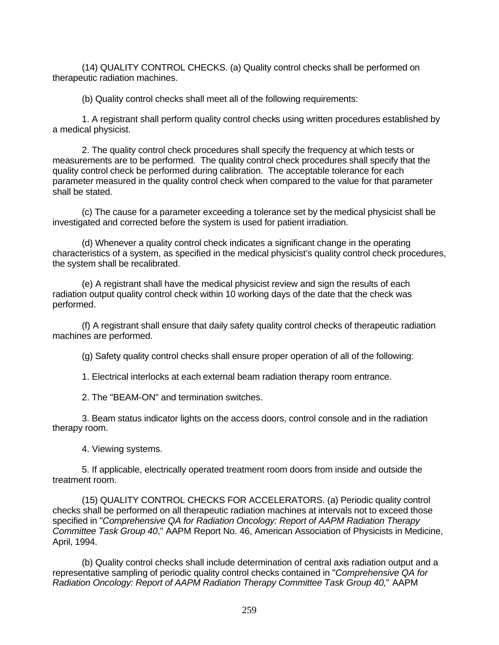(14) QUALITY CONTROL CHECKS. (a) Quality control checks shall be performed on therapeutic radiation machines.

(b) Quality control checks shall meet all of the following requirements:

1. A registrant shall perform quality control checks using written procedures established by a medical physicist.

2. The quality control check procedures shall specify the frequency at which tests or measurements are to be performed. The quality control check procedures shall specify that the quality control check be performed during calibration. The acceptable tolerance for each parameter measured in the quality control check when compared to the value for that parameter shall be stated.

(c) The cause for a parameter exceeding a tolerance set by the medical physicist shall be investigated and corrected before the system is used for patient irradiation.

(d) Whenever a quality control check indicates a significant change in the operating characteristics of a system, as specified in the medical physicist's quality control check procedures, the system shall be recalibrated.

(e) A registrant shall have the medical physicist review and sign the results of each radiation output quality control check within 10 working days of the date that the check was performed.

(f) A registrant shall ensure that daily safety quality control checks of therapeutic radiation machines are performed.

(g) Safety quality control checks shall ensure proper operation of all of the following:

1. Electrical interlocks at each external beam radiation therapy room entrance.

2. The "BEAM-ON" and termination switches.

3. Beam status indicator lights on the access doors, control console and in the radiation therapy room.

4. Viewing systems.

5. If applicable, electrically operated treatment room doors from inside and outside the treatment room.

(15) QUALITY CONTROL CHECKS FOR ACCELERATORS. (a) Periodic quality control checks shall be performed on all therapeutic radiation machines at intervals not to exceed those specified in "*Comprehensive QA for Radiation Oncology: Report of AAPM Radiation Therapy Committee Task Group 40*," AAPM Report No. 46, American Association of Physicists in Medicine, April, 1994.

(b) Quality control checks shall include determination of central axis radiation output and a representative sampling of periodic quality control checks contained in "*Comprehensive QA for Radiation Oncology: Report of AAPM Radiation Therapy Committee Task Group 40,*" AAPM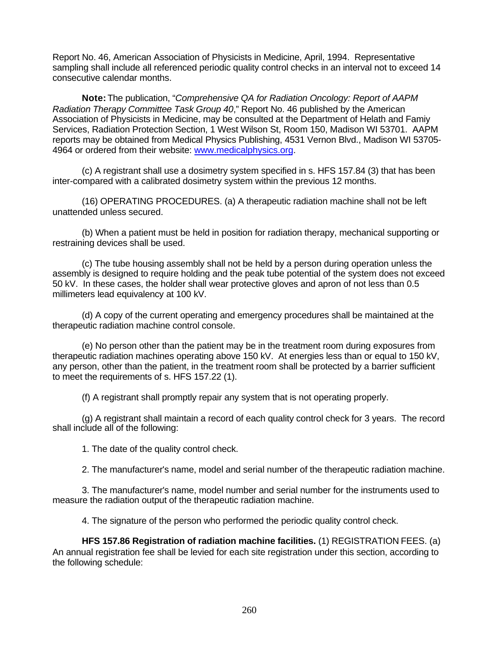Report No. 46, American Association of Physicists in Medicine, April, 1994. Representative sampling shall include all referenced periodic quality control checks in an interval not to exceed 14 consecutive calendar months.

**Note:** The publication, "*Comprehensive QA for Radiation Oncology: Report of AAPM Radiation Therapy Committee Task Group 40*," Report No. 46 published by the American Association of Physicists in Medicine, may be consulted at the Department of Helath and Famiy Services, Radiation Protection Section, 1 West Wilson St, Room 150, Madison WI 53701. AAPM reports may be obtained from Medical Physics Publishing, 4531 Vernon Blvd., Madison WI 53705- 4964 or ordered from their website: www.medicalphysics.org.

(c) A registrant shall use a dosimetry system specified in s. HFS 157.84 (3) that has been inter-compared with a calibrated dosimetry system within the previous 12 months.

(16) OPERATING PROCEDURES. (a) A therapeutic radiation machine shall not be left unattended unless secured.

(b) When a patient must be held in position for radiation therapy, mechanical supporting or restraining devices shall be used.

(c) The tube housing assembly shall not be held by a person during operation unless the assembly is designed to require holding and the peak tube potential of the system does not exceed 50 kV. In these cases, the holder shall wear protective gloves and apron of not less than 0.5 millimeters lead equivalency at 100 kV.

(d) A copy of the current operating and emergency procedures shall be maintained at the therapeutic radiation machine control console.

(e) No person other than the patient may be in the treatment room during exposures from therapeutic radiation machines operating above 150 kV. At energies less than or equal to 150 kV, any person, other than the patient, in the treatment room shall be protected by a barrier sufficient to meet the requirements of s. HFS 157.22 (1).

(f) A registrant shall promptly repair any system that is not operating properly.

(g) A registrant shall maintain a record of each quality control check for 3 years. The record shall include all of the following:

1. The date of the quality control check.

2. The manufacturer's name, model and serial number of the therapeutic radiation machine.

3. The manufacturer's name, model number and serial number for the instruments used to measure the radiation output of the therapeutic radiation machine.

4. The signature of the person who performed the periodic quality control check.

**HFS 157.86 Registration of radiation machine facilities.** (1) REGISTRATION FEES. (a) An annual registration fee shall be levied for each site registration under this section, according to the following schedule: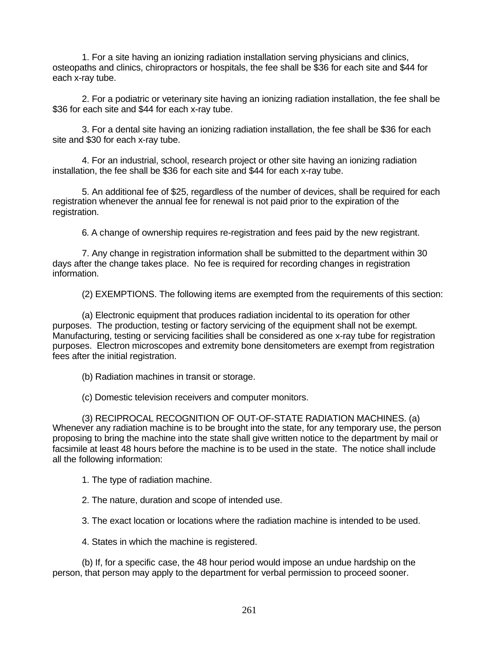1. For a site having an ionizing radiation installation serving physicians and clinics, osteopaths and clinics, chiropractors or hospitals, the fee shall be \$36 for each site and \$44 for each x-ray tube.

2. For a podiatric or veterinary site having an ionizing radiation installation, the fee shall be \$36 for each site and \$44 for each x-ray tube.

3. For a dental site having an ionizing radiation installation, the fee shall be \$36 for each site and \$30 for each x-ray tube.

4. For an industrial, school, research project or other site having an ionizing radiation installation, the fee shall be \$36 for each site and \$44 for each x-ray tube.

5. An additional fee of \$25, regardless of the number of devices, shall be required for each registration whenever the annual fee for renewal is not paid prior to the expiration of the registration.

6. A change of ownership requires re-registration and fees paid by the new registrant.

7. Any change in registration information shall be submitted to the department within 30 days after the change takes place. No fee is required for recording changes in registration information.

(2) EXEMPTIONS. The following items are exempted from the requirements of this section:

(a) Electronic equipment that produces radiation incidental to its operation for other purposes. The production, testing or factory servicing of the equipment shall not be exempt. Manufacturing, testing or servicing facilities shall be considered as one x-ray tube for registration purposes. Electron microscopes and extremity bone densitometers are exempt from registration fees after the initial registration.

(b) Radiation machines in transit or storage.

(c) Domestic television receivers and computer monitors.

(3) RECIPROCAL RECOGNITION OF OUT-OF-STATE RADIATION MACHINES. (a) Whenever any radiation machine is to be brought into the state, for any temporary use, the person proposing to bring the machine into the state shall give written notice to the department by mail or facsimile at least 48 hours before the machine is to be used in the state. The notice shall include all the following information:

1. The type of radiation machine.

2. The nature, duration and scope of intended use.

3. The exact location or locations where the radiation machine is intended to be used.

4. States in which the machine is registered.

(b) If, for a specific case, the 48 hour period would impose an undue hardship on the person, that person may apply to the department for verbal permission to proceed sooner.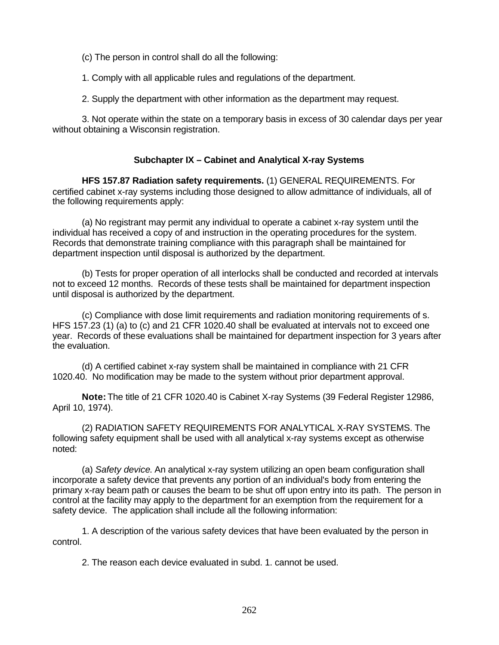(c) The person in control shall do all the following:

1. Comply with all applicable rules and regulations of the department.

2. Supply the department with other information as the department may request.

3. Not operate within the state on a temporary basis in excess of 30 calendar days per year without obtaining a Wisconsin registration.

### **Subchapter IX – Cabinet and Analytical X-ray Systems**

**HFS 157.87 Radiation safety requirements.** (1) GENERAL REQUIREMENTS. For certified cabinet x-ray systems including those designed to allow admittance of individuals, all of the following requirements apply:

(a) No registrant may permit any individual to operate a cabinet x-ray system until the individual has received a copy of and instruction in the operating procedures for the system. Records that demonstrate training compliance with this paragraph shall be maintained for department inspection until disposal is authorized by the department.

(b) Tests for proper operation of all interlocks shall be conducted and recorded at intervals not to exceed 12 months. Records of these tests shall be maintained for department inspection until disposal is authorized by the department.

(c) Compliance with dose limit requirements and radiation monitoring requirements of s. HFS 157.23 (1) (a) to (c) and 21 CFR 1020.40 shall be evaluated at intervals not to exceed one year. Records of these evaluations shall be maintained for department inspection for 3 years after the evaluation.

(d) A certified cabinet x-ray system shall be maintained in compliance with 21 CFR 1020.40. No modification may be made to the system without prior department approval.

**Note:** The title of 21 CFR 1020.40 is Cabinet X-ray Systems (39 Federal Register 12986, April 10, 1974).

(2) RADIATION SAFETY REQUIREMENTS FOR ANALYTICAL X-RAY SYSTEMS. The following safety equipment shall be used with all analytical x-ray systems except as otherwise noted:

(a) *Safety device*. An analytical x-ray system utilizing an open beam configuration shall incorporate a safety device that prevents any portion of an individual's body from entering the primary x-ray beam path or causes the beam to be shut off upon entry into its path. The person in control at the facility may apply to the department for an exemption from the requirement for a safety device. The application shall include all the following information:

1. A description of the various safety devices that have been evaluated by the person in control.

2. The reason each device evaluated in subd. 1. cannot be used.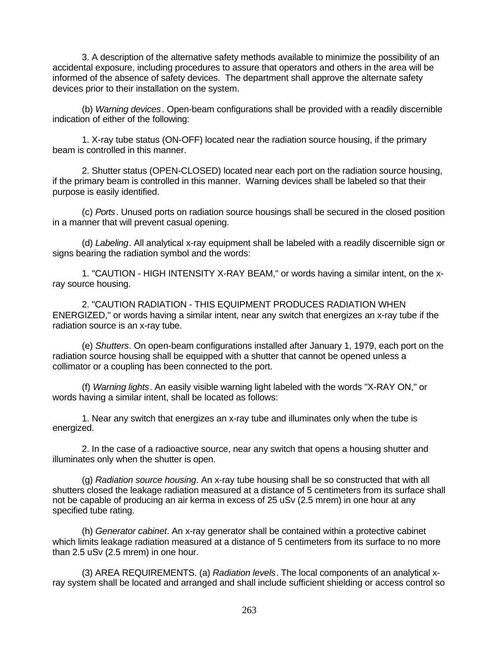3. A description of the alternative safety methods available to minimize the possibility of an accidental exposure, including procedures to assure that operators and others in the area will be informed of the absence of safety devices. The department shall approve the alternate safety devices prior to their installation on the system.

(b) *Warning devices*. Open-beam configurations shall be provided with a readily discernible indication of either of the following:

1. X-ray tube status (ON-OFF) located near the radiation source housing, if the primary beam is controlled in this manner.

2. Shutter status (OPEN-CLOSED) located near each port on the radiation source housing, if the primary beam is controlled in this manner. Warning devices shall be labeled so that their purpose is easily identified.

(c) *Ports*. Unused ports on radiation source housings shall be secured in the closed position in a manner that will prevent casual opening.

(d) *Labeling*. All analytical x-ray equipment shall be labeled with a readily discernible sign or signs bearing the radiation symbol and the words:

1. "CAUTION - HIGH INTENSITY X-RAY BEAM," or words having a similar intent, on the xray source housing.

2. "CAUTION RADIATION - THIS EQUIPMENT PRODUCES RADIATION WHEN ENERGIZED," or words having a similar intent, near any switch that energizes an x-ray tube if the radiation source is an x-ray tube.

(e) *Shutters*. On open-beam configurations installed after January 1, 1979, each port on the radiation source housing shall be equipped with a shutter that cannot be opened unless a collimator or a coupling has been connected to the port.

(f) *Warning lights*. An easily visible warning light labeled with the words "X-RAY ON," or words having a similar intent, shall be located as follows:

1. Near any switch that energizes an x-ray tube and illuminates only when the tube is energized.

2. In the case of a radioactive source, near any switch that opens a housing shutter and illuminates only when the shutter is open.

(g) *Radiation source housing*. An x-ray tube housing shall be so constructed that with all shutters closed the leakage radiation measured at a distance of 5 centimeters from its surface shall not be capable of producing an air kerma in excess of 25 uSv (2.5 mrem) in one hour at any specified tube rating.

(h) *Generator cabinet*. An x-ray generator shall be contained within a protective cabinet which limits leakage radiation measured at a distance of 5 centimeters from its surface to no more than 2.5 uSv (2.5 mrem) in one hour.

(3) AREA REQUIREMENTS. (a) *Radiation levels*. The local components of an analytical xray system shall be located and arranged and shall include sufficient shielding or access control so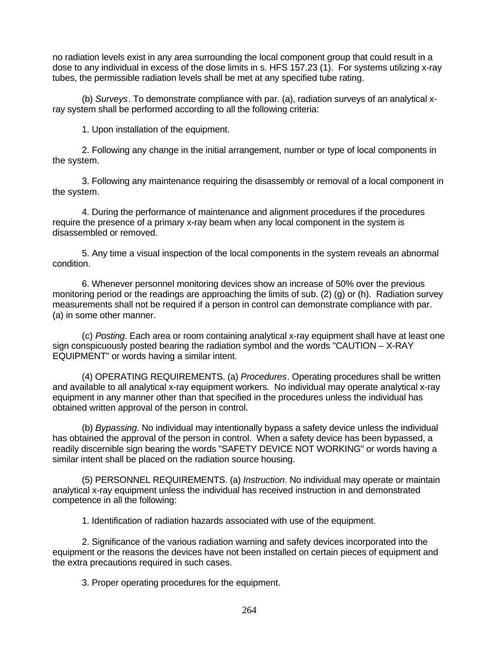no radiation levels exist in any area surrounding the local component group that could result in a dose to any individual in excess of the dose limits in s. HFS 157.23 (1). For systems utilizing x-ray tubes, the permissible radiation levels shall be met at any specified tube rating.

(b) *Surveys*. To demonstrate compliance with par. (a), radiation surveys of an analytical xray system shall be performed according to all the following criteria:

1. Upon installation of the equipment.

2. Following any change in the initial arrangement, number or type of local components in the system.

3. Following any maintenance requiring the disassembly or removal of a local component in the system.

4. During the performance of maintenance and alignment procedures if the procedures require the presence of a primary x-ray beam when any local component in the system is disassembled or removed.

5. Any time a visual inspection of the local components in the system reveals an abnormal condition.

6. Whenever personnel monitoring devices show an increase of 50% over the previous monitoring period or the readings are approaching the limits of sub. (2) (g) or (h). Radiation survey measurements shall not be required if a person in control can demonstrate compliance with par. (a) in some other manner.

(c) *Posting*. Each area or room containing analytical x-ray equipment shall have at least one sign conspicuously posted bearing the radiation symbol and the words "CAUTION – X-RAY EQUIPMENT" or words having a similar intent.

(4) OPERATING REQUIREMENTS. (a) *Procedures*. Operating procedures shall be written and available to all analytical x-ray equipment workers. No individual may operate analytical x-ray equipment in any manner other than that specified in the procedures unless the individual has obtained written approval of the person in control.

(b) *Bypassing*. No individual may intentionally bypass a safety device unless the individual has obtained the approval of the person in control. When a safety device has been bypassed, a readily discernible sign bearing the words "SAFETY DEVICE NOT WORKING" or words having a similar intent shall be placed on the radiation source housing.

(5) PERSONNEL REQUIREMENTS. (a) *Instruction*. No individual may operate or maintain analytical x-ray equipment unless the individual has received instruction in and demonstrated competence in all the following:

1. Identification of radiation hazards associated with use of the equipment.

2. Significance of the various radiation warning and safety devices incorporated into the equipment or the reasons the devices have not been installed on certain pieces of equipment and the extra precautions required in such cases.

3. Proper operating procedures for the equipment.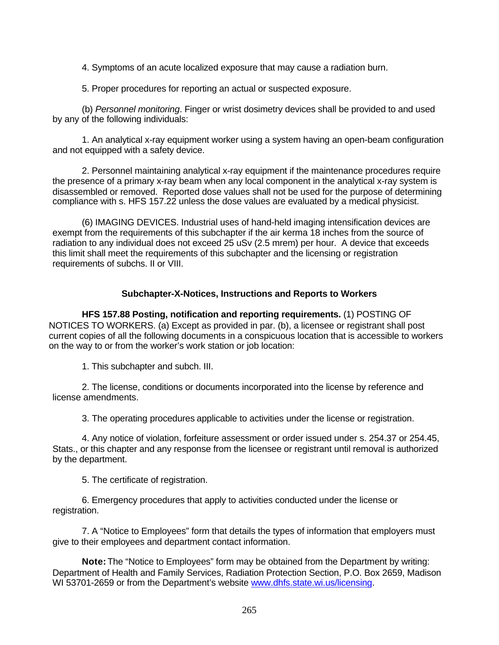4. Symptoms of an acute localized exposure that may cause a radiation burn.

5. Proper procedures for reporting an actual or suspected exposure.

(b) *Personnel monitoring*. Finger or wrist dosimetry devices shall be provided to and used by any of the following individuals:

1. An analytical x-ray equipment worker using a system having an open-beam configuration and not equipped with a safety device.

2. Personnel maintaining analytical x-ray equipment if the maintenance procedures require the presence of a primary x-ray beam when any local component in the analytical x-ray system is disassembled or removed. Reported dose values shall not be used for the purpose of determining compliance with s. HFS 157.22 unless the dose values are evaluated by a medical physicist.

(6) IMAGING DEVICES. Industrial uses of hand-held imaging intensification devices are exempt from the requirements of this subchapter if the air kerma 18 inches from the source of radiation to any individual does not exceed 25 uSv (2.5 mrem) per hour. A device that exceeds this limit shall meet the requirements of this subchapter and the licensing or registration requirements of subchs. II or VIII.

### **Subchapter-X-Notices, Instructions and Reports to Workers**

**HFS 157.88 Posting, notification and reporting requirements.** (1) POSTING OF NOTICES TO WORKERS. (a) Except as provided in par. (b), a licensee or registrant shall post current copies of all the following documents in a conspicuous location that is accessible to workers on the way to or from the worker's work station or job location:

1. This subchapter and subch. III.

2. The license, conditions or documents incorporated into the license by reference and license amendments.

3. The operating procedures applicable to activities under the license or registration.

4. Any notice of violation, forfeiture assessment or order issued under s. 254.37 or 254.45, Stats., or this chapter and any response from the licensee or registrant until removal is authorized by the department.

5. The certificate of registration.

6. Emergency procedures that apply to activities conducted under the license or registration.

7. A "Notice to Employees" form that details the types of information that employers must give to their employees and department contact information.

**Note:** The "Notice to Employees" form may be obtained from the Department by writing: Department of Health and Family Services, Radiation Protection Section, P.O. Box 2659, Madison WI 53701-2659 or from the Department's website www.dhfs.state.wi.us/licensing.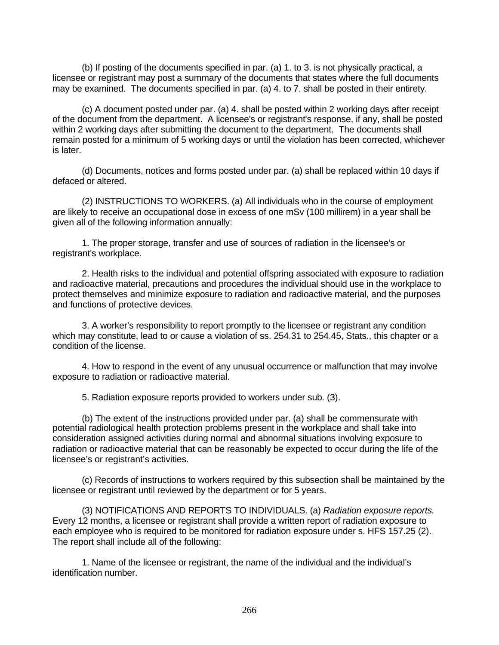(b) If posting of the documents specified in par. (a) 1. to 3. is not physically practical, a licensee or registrant may post a summary of the documents that states where the full documents may be examined. The documents specified in par. (a) 4. to 7. shall be posted in their entirety.

(c) A document posted under par. (a) 4. shall be posted within 2 working days after receipt of the document from the department. A licensee's or registrant's response, if any, shall be posted within 2 working days after submitting the document to the department. The documents shall remain posted for a minimum of 5 working days or until the violation has been corrected, whichever is later.

(d) Documents, notices and forms posted under par. (a) shall be replaced within 10 days if defaced or altered.

(2) INSTRUCTIONS TO WORKERS. (a) All individuals who in the course of employment are likely to receive an occupational dose in excess of one mSv (100 millirem) in a year shall be given all of the following information annually:

1. The proper storage, transfer and use of sources of radiation in the licensee's or registrant's workplace.

2. Health risks to the individual and potential offspring associated with exposure to radiation and radioactive material, precautions and procedures the individual should use in the workplace to protect themselves and minimize exposure to radiation and radioactive material, and the purposes and functions of protective devices.

3. A worker's responsibility to report promptly to the licensee or registrant any condition which may constitute, lead to or cause a violation of ss. 254.31 to 254.45, Stats., this chapter or a condition of the license.

4. How to respond in the event of any unusual occurrence or malfunction that may involve exposure to radiation or radioactive material.

5. Radiation exposure reports provided to workers under sub. (3).

(b) The extent of the instructions provided under par. (a) shall be commensurate with potential radiological health protection problems present in the workplace and shall take into consideration assigned activities during normal and abnormal situations involving exposure to radiation or radioactive material that can be reasonably be expected to occur during the life of the licensee's or registrant's activities.

(c) Records of instructions to workers required by this subsection shall be maintained by the licensee or registrant until reviewed by the department or for 5 years.

(3) NOTIFICATIONS AND REPORTS TO INDIVIDUALS. (a) *Radiation exposure reports.* Every 12 months, a licensee or registrant shall provide a written report of radiation exposure to each employee who is required to be monitored for radiation exposure under s. HFS 157.25 (2). The report shall include all of the following:

1. Name of the licensee or registrant, the name of the individual and the individual's identification number.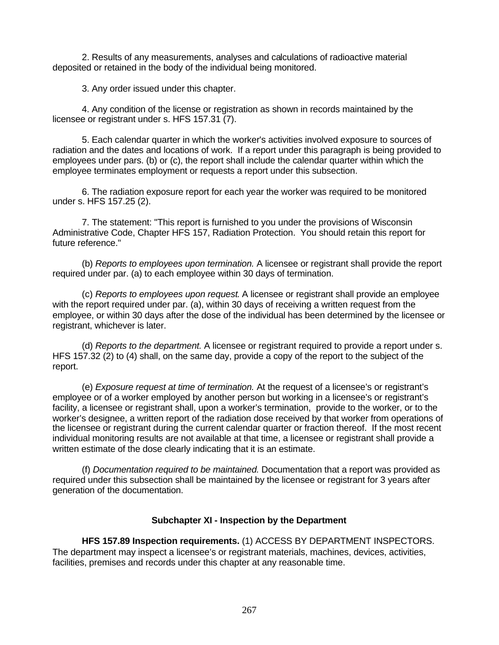2. Results of any measurements, analyses and calculations of radioactive material deposited or retained in the body of the individual being monitored.

3. Any order issued under this chapter.

4. Any condition of the license or registration as shown in records maintained by the licensee or registrant under s. HFS 157.31 (7).

5. Each calendar quarter in which the worker's activities involved exposure to sources of radiation and the dates and locations of work. If a report under this paragraph is being provided to employees under pars. (b) or (c), the report shall include the calendar quarter within which the employee terminates employment or requests a report under this subsection.

6. The radiation exposure report for each year the worker was required to be monitored under s. HFS 157.25 (2).

7. The statement: "This report is furnished to you under the provisions of Wisconsin Administrative Code, Chapter HFS 157, Radiation Protection. You should retain this report for future reference."

(b) *Reports to employees upon termination.* A licensee or registrant shall provide the report required under par. (a) to each employee within 30 days of termination.

(c) *Reports to employees upon request*. A licensee or registrant shall provide an employee with the report required under par. (a), within 30 days of receiving a written request from the employee, or within 30 days after the dose of the individual has been determined by the licensee or registrant, whichever is later.

(d) *Reports to the department.* A licensee or registrant required to provide a report under s. HFS 157.32 (2) to (4) shall, on the same day, provide a copy of the report to the subject of the report.

(e) *Exposure request at time of termination.* At the request of a licensee's or registrant's employee or of a worker employed by another person but working in a licensee's or registrant's facility, a licensee or registrant shall, upon a worker's termination, provide to the worker, or to the worker's designee, a written report of the radiation dose received by that worker from operations of the licensee or registrant during the current calendar quarter or fraction thereof. If the most recent individual monitoring results are not available at that time, a licensee or registrant shall provide a written estimate of the dose clearly indicating that it is an estimate.

(f) *Documentation required to be maintained.* Documentation that a report was provided as required under this subsection shall be maintained by the licensee or registrant for 3 years after generation of the documentation.

### **Subchapter XI - Inspection by the Department**

**HFS 157.89 Inspection requirements.** (1) ACCESS BY DEPARTMENT INSPECTORS. The department may inspect a licensee's or registrant materials, machines, devices, activities, facilities, premises and records under this chapter at any reasonable time.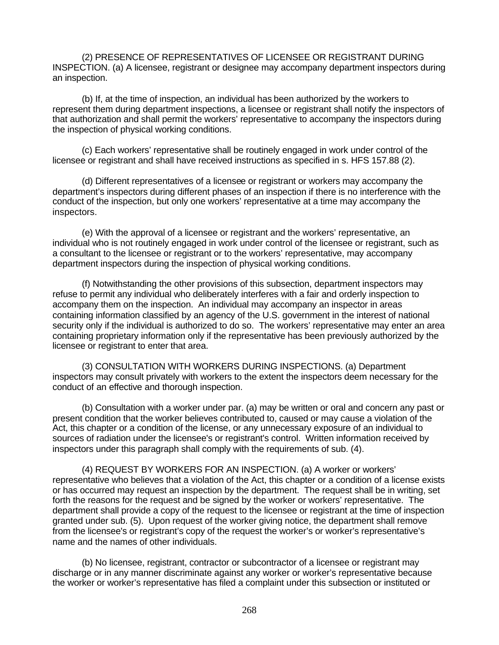(2) PRESENCE OF REPRESENTATIVES OF LICENSEE OR REGISTRANT DURING INSPECTION. (a) A licensee, registrant or designee may accompany department inspectors during an inspection.

(b) If, at the time of inspection, an individual has been authorized by the workers to represent them during department inspections, a licensee or registrant shall notify the inspectors of that authorization and shall permit the workers' representative to accompany the inspectors during the inspection of physical working conditions.

(c) Each workers' representative shall be routinely engaged in work under control of the licensee or registrant and shall have received instructions as specified in s. HFS 157.88 (2).

(d) Different representatives of a licensee or registrant or workers may accompany the department's inspectors during different phases of an inspection if there is no interference with the conduct of the inspection, but only one workers' representative at a time may accompany the inspectors.

(e) With the approval of a licensee or registrant and the workers' representative, an individual who is not routinely engaged in work under control of the licensee or registrant, such as a consultant to the licensee or registrant or to the workers' representative, may accompany department inspectors during the inspection of physical working conditions.

(f) Notwithstanding the other provisions of this subsection, department inspectors may refuse to permit any individual who deliberately interferes with a fair and orderly inspection to accompany them on the inspection. An individual may accompany an inspector in areas containing information classified by an agency of the U.S. government in the interest of national security only if the individual is authorized to do so. The workers' representative may enter an area containing proprietary information only if the representative has been previously authorized by the licensee or registrant to enter that area.

(3) CONSULTATION WITH WORKERS DURING INSPECTIONS. (a) Department inspectors may consult privately with workers to the extent the inspectors deem necessary for the conduct of an effective and thorough inspection.

(b) Consultation with a worker under par. (a) may be written or oral and concern any past or present condition that the worker believes contributed to, caused or may cause a violation of the Act, this chapter or a condition of the license, or any unnecessary exposure of an individual to sources of radiation under the licensee's or registrant's control. Written information received by inspectors under this paragraph shall comply with the requirements of sub. (4).

(4) REQUEST BY WORKERS FOR AN INSPECTION. (a) A worker or workers' representative who believes that a violation of the Act, this chapter or a condition of a license exists or has occurred may request an inspection by the department. The request shall be in writing, set forth the reasons for the request and be signed by the worker or workers' representative. The department shall provide a copy of the request to the licensee or registrant at the time of inspection granted under sub. (5). Upon request of the worker giving notice, the department shall remove from the licensee's or registrant's copy of the request the worker's or worker's representative's name and the names of other individuals.

(b) No licensee, registrant, contractor or subcontractor of a licensee or registrant may discharge or in any manner discriminate against any worker or worker's representative because the worker or worker's representative has filed a complaint under this subsection or instituted or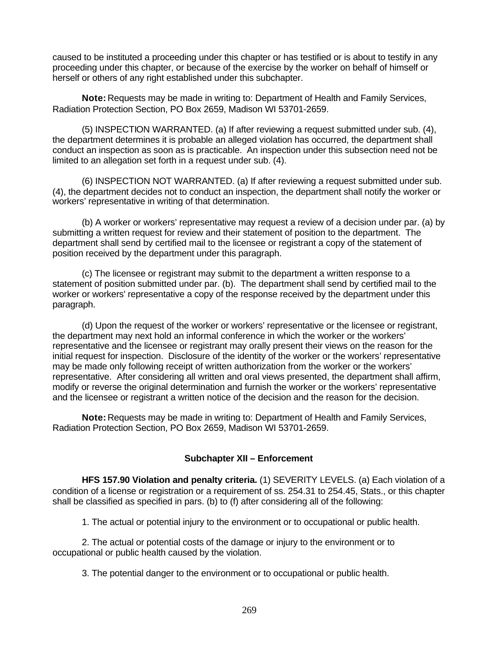caused to be instituted a proceeding under this chapter or has testified or is about to testify in any proceeding under this chapter, or because of the exercise by the worker on behalf of himself or herself or others of any right established under this subchapter.

**Note:** Requests may be made in writing to: Department of Health and Family Services, Radiation Protection Section, PO Box 2659, Madison WI 53701-2659.

(5) INSPECTION WARRANTED. (a) If after reviewing a request submitted under sub. (4), the department determines it is probable an alleged violation has occurred, the department shall conduct an inspection as soon as is practicable. An inspection under this subsection need not be limited to an allegation set forth in a request under sub. (4).

(6) INSPECTION NOT WARRANTED. (a) If after reviewing a request submitted under sub. (4), the department decides not to conduct an inspection, the department shall notify the worker or workers' representative in writing of that determination.

(b) A worker or workers' representative may request a review of a decision under par. (a) by submitting a written request for review and their statement of position to the department. The department shall send by certified mail to the licensee or registrant a copy of the statement of position received by the department under this paragraph.

(c) The licensee or registrant may submit to the department a written response to a statement of position submitted under par. (b). The department shall send by certified mail to the worker or workers' representative a copy of the response received by the department under this paragraph.

(d) Upon the request of the worker or workers' representative or the licensee or registrant, the department may next hold an informal conference in which the worker or the workers' representative and the licensee or registrant may orally present their views on the reason for the initial request for inspection. Disclosure of the identity of the worker or the workers' representative may be made only following receipt of written authorization from the worker or the workers' representative. After considering all written and oral views presented, the department shall affirm, modify or reverse the original determination and furnish the worker or the workers' representative and the licensee or registrant a written notice of the decision and the reason for the decision.

**Note:** Requests may be made in writing to: Department of Health and Family Services, Radiation Protection Section, PO Box 2659, Madison WI 53701-2659.

### **Subchapter XII – Enforcement**

**HFS 157.90 Violation and penalty criteria.** (1) SEVERITY LEVELS. (a) Each violation of a condition of a license or registration or a requirement of ss. 254.31 to 254.45, Stats., or this chapter shall be classified as specified in pars. (b) to (f) after considering all of the following:

1. The actual or potential injury to the environment or to occupational or public health.

2. The actual or potential costs of the damage or injury to the environment or to occupational or public health caused by the violation.

3. The potential danger to the environment or to occupational or public health.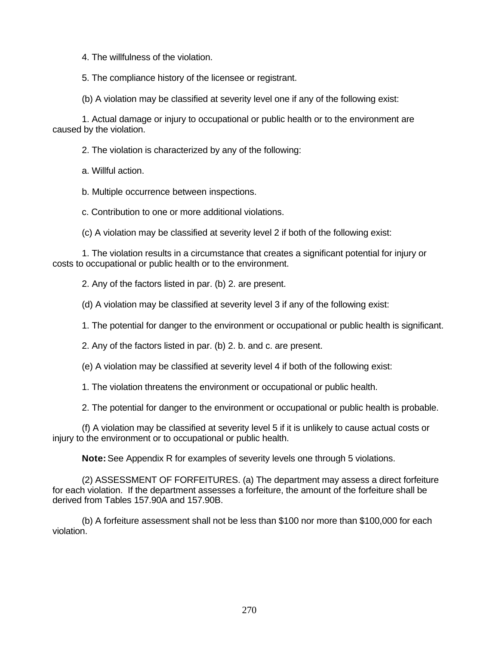4. The willfulness of the violation.

5. The compliance history of the licensee or registrant.

(b) A violation may be classified at severity level one if any of the following exist:

1. Actual damage or injury to occupational or public health or to the environment are caused by the violation.

2. The violation is characterized by any of the following:

a. Willful action.

b. Multiple occurrence between inspections.

c. Contribution to one or more additional violations.

(c) A violation may be classified at severity level 2 if both of the following exist:

1. The violation results in a circumstance that creates a significant potential for injury or costs to occupational or public health or to the environment.

2. Any of the factors listed in par. (b) 2. are present.

(d) A violation may be classified at severity level 3 if any of the following exist:

1. The potential for danger to the environment or occupational or public health is significant.

2. Any of the factors listed in par. (b) 2. b. and c. are present.

(e) A violation may be classified at severity level 4 if both of the following exist:

1. The violation threatens the environment or occupational or public health.

2. The potential for danger to the environment or occupational or public health is probable.

(f) A violation may be classified at severity level 5 if it is unlikely to cause actual costs or injury to the environment or to occupational or public health.

**Note:** See Appendix R for examples of severity levels one through 5 violations.

(2) ASSESSMENT OF FORFEITURES. (a) The department may assess a direct forfeiture for each violation. If the department assesses a forfeiture, the amount of the forfeiture shall be derived from Tables 157.90A and 157.90B.

(b) A forfeiture assessment shall not be less than \$100 nor more than \$100,000 for each violation.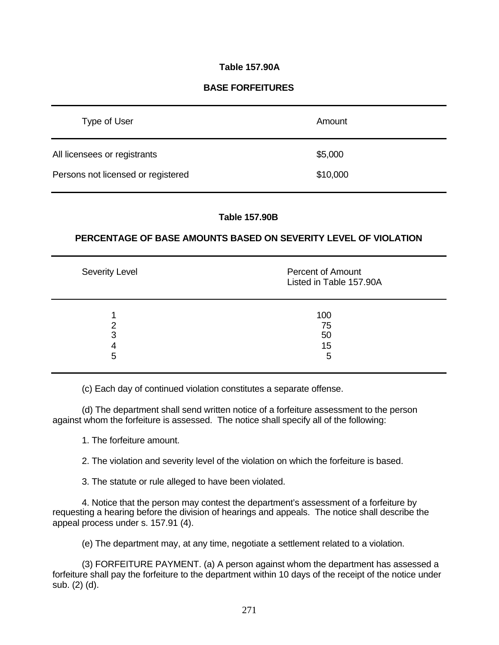## **Table 157.90A**

## **BASE FORFEITURES**

| Type of User                       | Amount   |
|------------------------------------|----------|
| All licensees or registrants       | \$5,000  |
| Persons not licensed or registered | \$10,000 |

#### **Table 157.90B**

### **PERCENTAGE OF BASE AMOUNTS BASED ON SEVERITY LEVEL OF VIOLATION**

| Severity Level | <b>Percent of Amount</b><br>Listed in Table 157.90A |
|----------------|-----------------------------------------------------|
| າ<br>3<br>5    | 100<br>75<br>50<br>15<br>5                          |

(c) Each day of continued violation constitutes a separate offense.

(d) The department shall send written notice of a forfeiture assessment to the person against whom the forfeiture is assessed. The notice shall specify all of the following:

1. The forfeiture amount.

2. The violation and severity level of the violation on which the forfeiture is based.

3. The statute or rule alleged to have been violated.

4. Notice that the person may contest the department's assessment of a forfeiture by requesting a hearing before the division of hearings and appeals. The notice shall describe the appeal process under s. 157.91 (4).

(e) The department may, at any time, negotiate a settlement related to a violation.

(3) FORFEITURE PAYMENT. (a) A person against whom the department has assessed a forfeiture shall pay the forfeiture to the department within 10 days of the receipt of the notice under sub. (2) (d).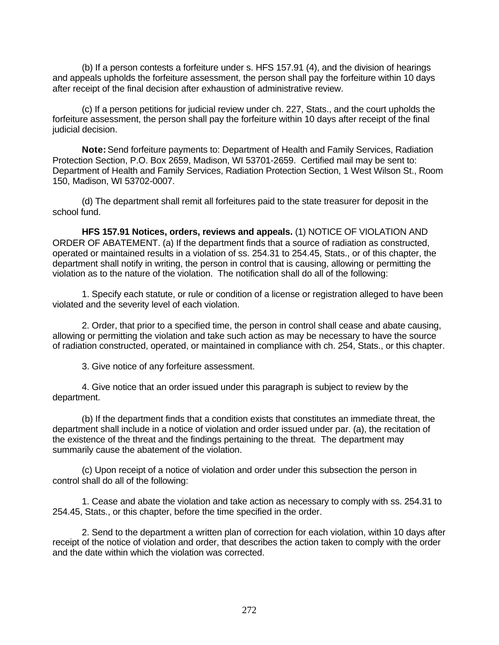(b) If a person contests a forfeiture under s. HFS 157.91 (4), and the division of hearings and appeals upholds the forfeiture assessment, the person shall pay the forfeiture within 10 days after receipt of the final decision after exhaustion of administrative review.

(c) If a person petitions for judicial review under ch. 227, Stats., and the court upholds the forfeiture assessment, the person shall pay the forfeiture within 10 days after receipt of the final judicial decision.

**Note:** Send forfeiture payments to: Department of Health and Family Services, Radiation Protection Section, P.O. Box 2659, Madison, WI 53701-2659. Certified mail may be sent to: Department of Health and Family Services, Radiation Protection Section, 1 West Wilson St., Room 150, Madison, WI 53702-0007.

(d) The department shall remit all forfeitures paid to the state treasurer for deposit in the school fund.

**HFS 157.91 Notices, orders, reviews and appeals.** (1) NOTICE OF VIOLATION AND ORDER OF ABATEMENT. (a) If the department finds that a source of radiation as constructed, operated or maintained results in a violation of ss. 254.31 to 254.45, Stats., or of this chapter, the department shall notify in writing, the person in control that is causing, allowing or permitting the violation as to the nature of the violation. The notification shall do all of the following:

1. Specify each statute, or rule or condition of a license or registration alleged to have been violated and the severity level of each violation.

2. Order, that prior to a specified time, the person in control shall cease and abate causing, allowing or permitting the violation and take such action as may be necessary to have the source of radiation constructed, operated, or maintained in compliance with ch. 254, Stats., or this chapter.

3. Give notice of any forfeiture assessment.

4. Give notice that an order issued under this paragraph is subject to review by the department.

(b) If the department finds that a condition exists that constitutes an immediate threat, the department shall include in a notice of violation and order issued under par. (a), the recitation of the existence of the threat and the findings pertaining to the threat. The department may summarily cause the abatement of the violation.

(c) Upon receipt of a notice of violation and order under this subsection the person in control shall do all of the following:

1. Cease and abate the violation and take action as necessary to comply with ss. 254.31 to 254.45, Stats., or this chapter, before the time specified in the order.

2. Send to the department a written plan of correction for each violation, within 10 days after receipt of the notice of violation and order, that describes the action taken to comply with the order and the date within which the violation was corrected.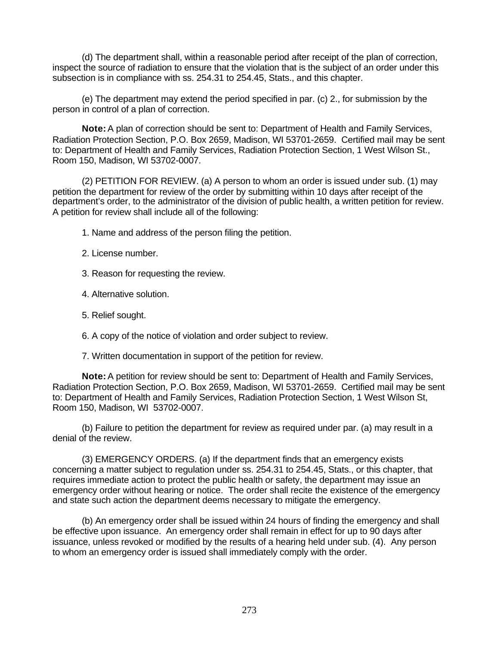(d) The department shall, within a reasonable period after receipt of the plan of correction, inspect the source of radiation to ensure that the violation that is the subject of an order under this subsection is in compliance with ss. 254.31 to 254.45, Stats., and this chapter.

(e) The department may extend the period specified in par. (c) 2., for submission by the person in control of a plan of correction.

**Note:** A plan of correction should be sent to: Department of Health and Family Services, Radiation Protection Section, P.O. Box 2659, Madison, WI 53701-2659. Certified mail may be sent to: Department of Health and Family Services, Radiation Protection Section, 1 West Wilson St., Room 150, Madison, WI 53702-0007.

(2) PETITION FOR REVIEW. (a) A person to whom an order is issued under sub. (1) may petition the department for review of the order by submitting within 10 days after receipt of the department's order, to the administrator of the division of public health, a written petition for review. A petition for review shall include all of the following:

- 1. Name and address of the person filing the petition.
- 2. License number.
- 3. Reason for requesting the review.
- 4. Alternative solution.
- 5. Relief sought.
- 6. A copy of the notice of violation and order subject to review.
- 7. Written documentation in support of the petition for review.

**Note:** A petition for review should be sent to: Department of Health and Family Services, Radiation Protection Section, P.O. Box 2659, Madison, WI 53701-2659. Certified mail may be sent to: Department of Health and Family Services, Radiation Protection Section, 1 West Wilson St, Room 150, Madison, WI 53702-0007.

(b) Failure to petition the department for review as required under par. (a) may result in a denial of the review.

(3) EMERGENCY ORDERS. (a) If the department finds that an emergency exists concerning a matter subject to regulation under ss. 254.31 to 254.45, Stats., or this chapter, that requires immediate action to protect the public health or safety, the department may issue an emergency order without hearing or notice. The order shall recite the existence of the emergency and state such action the department deems necessary to mitigate the emergency.

(b) An emergency order shall be issued within 24 hours of finding the emergency and shall be effective upon issuance. An emergency order shall remain in effect for up to 90 days after issuance, unless revoked or modified by the results of a hearing held under sub. (4). Any person to whom an emergency order is issued shall immediately comply with the order.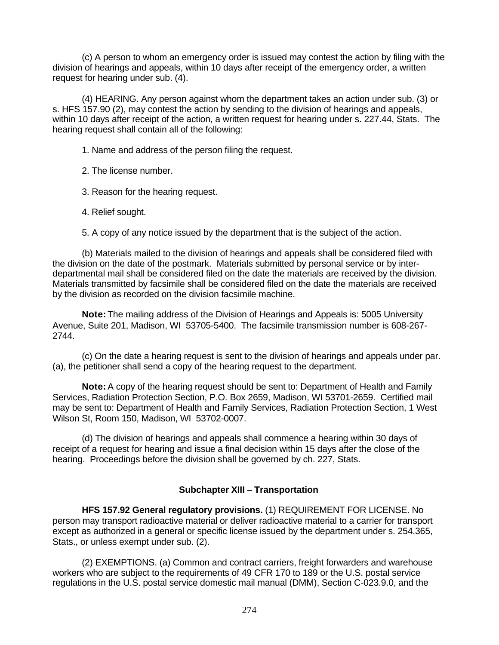(c) A person to whom an emergency order is issued may contest the action by filing with the division of hearings and appeals, within 10 days after receipt of the emergency order, a written request for hearing under sub. (4).

(4) HEARING. Any person against whom the department takes an action under sub. (3) or s. HFS 157.90 (2), may contest the action by sending to the division of hearings and appeals, within 10 days after receipt of the action, a written request for hearing under s. 227.44, Stats. The hearing request shall contain all of the following:

1. Name and address of the person filing the request.

2. The license number.

3. Reason for the hearing request.

4. Relief sought.

5. A copy of any notice issued by the department that is the subject of the action.

(b) Materials mailed to the division of hearings and appeals shall be considered filed with the division on the date of the postmark. Materials submitted by personal service or by interdepartmental mail shall be considered filed on the date the materials are received by the division. Materials transmitted by facsimile shall be considered filed on the date the materials are received by the division as recorded on the division facsimile machine.

**Note:** The mailing address of the Division of Hearings and Appeals is: 5005 University Avenue, Suite 201, Madison, WI 53705-5400. The facsimile transmission number is 608-267- 2744.

(c) On the date a hearing request is sent to the division of hearings and appeals under par. (a), the petitioner shall send a copy of the hearing request to the department.

**Note:** A copy of the hearing request should be sent to: Department of Health and Family Services, Radiation Protection Section, P.O. Box 2659, Madison, WI 53701-2659. Certified mail may be sent to: Department of Health and Family Services, Radiation Protection Section, 1 West Wilson St, Room 150, Madison, WI 53702-0007.

(d) The division of hearings and appeals shall commence a hearing within 30 days of receipt of a request for hearing and issue a final decision within 15 days after the close of the hearing. Proceedings before the division shall be governed by ch. 227, Stats.

# **Subchapter XIII – Transportation**

**HFS 157.92 General regulatory provisions.** (1) REQUIREMENT FOR LICENSE. No person may transport radioactive material or deliver radioactive material to a carrier for transport except as authorized in a general or specific license issued by the department under s. 254.365, Stats., or unless exempt under sub. (2).

(2) EXEMPTIONS. (a) Common and contract carriers, freight forwarders and warehouse workers who are subject to the requirements of 49 CFR 170 to 189 or the U.S. postal service regulations in the U.S. postal service domestic mail manual (DMM), Section C-023.9.0, and the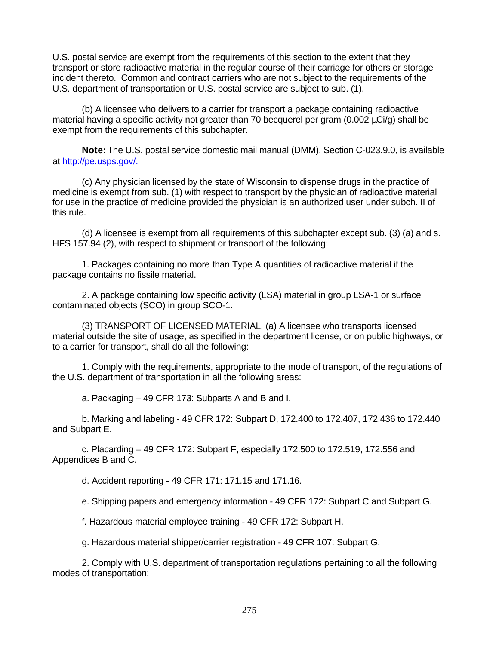U.S. postal service are exempt from the requirements of this section to the extent that they transport or store radioactive material in the regular course of their carriage for others or storage incident thereto. Common and contract carriers who are not subject to the requirements of the U.S. department of transportation or U.S. postal service are subject to sub. (1).

(b) A licensee who delivers to a carrier for transport a package containing radioactive material having a specific activity not greater than 70 becquerel per gram (0.002 μCi/g) shall be exempt from the requirements of this subchapter.

**Note:** The U.S. postal service domestic mail manual (DMM), Section C-023.9.0, is available at http://pe.usps.gov/.

(c) Any physician licensed by the state of Wisconsin to dispense drugs in the practice of medicine is exempt from sub. (1) with respect to transport by the physician of radioactive material for use in the practice of medicine provided the physician is an authorized user under subch. II of this rule.

(d) A licensee is exempt from all requirements of this subchapter except sub. (3) (a) and s. HFS 157.94 (2), with respect to shipment or transport of the following:

1. Packages containing no more than Type A quantities of radioactive material if the package contains no fissile material.

2. A package containing low specific activity (LSA) material in group LSA-1 or surface contaminated objects (SCO) in group SCO-1.

(3) TRANSPORT OF LICENSED MATERIAL. (a) A licensee who transports licensed material outside the site of usage, as specified in the department license, or on public highways, or to a carrier for transport, shall do all the following:

1. Comply with the requirements, appropriate to the mode of transport, of the regulations of the U.S. department of transportation in all the following areas:

a. Packaging – 49 CFR 173: Subparts A and B and I.

b. Marking and labeling - 49 CFR 172: Subpart D, 172.400 to 172.407, 172.436 to 172.440 and Subpart E.

c. Placarding – 49 CFR 172: Subpart F, especially 172.500 to 172.519, 172.556 and Appendices B and C.

d. Accident reporting - 49 CFR 171: 171.15 and 171.16.

e. Shipping papers and emergency information - 49 CFR 172: Subpart C and Subpart G.

f. Hazardous material employee training - 49 CFR 172: Subpart H.

g. Hazardous material shipper/carrier registration - 49 CFR 107: Subpart G.

2. Comply with U.S. department of transportation regulations pertaining to all the following modes of transportation: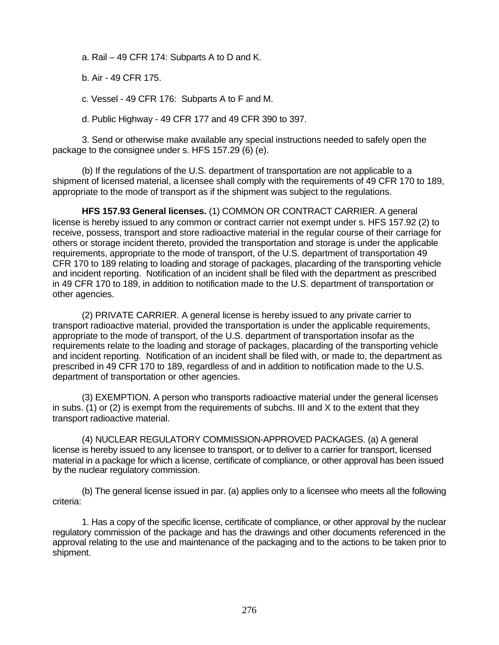a. Rail – 49 CFR 174: Subparts A to D and K.

b. Air - 49 CFR 175.

c. Vessel - 49 CFR 176: Subparts A to F and M.

d. Public Highway - 49 CFR 177 and 49 CFR 390 to 397.

3. Send or otherwise make available any special instructions needed to safely open the package to the consignee under s. HFS 157.29 (6) (e).

(b) If the regulations of the U.S. department of transportation are not applicable to a shipment of licensed material, a licensee shall comply with the requirements of 49 CFR 170 to 189, appropriate to the mode of transport as if the shipment was subject to the regulations.

**HFS 157.93 General licenses.** (1) COMMON OR CONTRACT CARRIER. A general license is hereby issued to any common or contract carrier not exempt under s. HFS 157.92 (2) to receive, possess, transport and store radioactive material in the regular course of their carriage for others or storage incident thereto, provided the transportation and storage is under the applicable requirements, appropriate to the mode of transport, of the U.S. department of transportation 49 CFR 170 to 189 relating to loading and storage of packages, placarding of the transporting vehicle and incident reporting. Notification of an incident shall be filed with the department as prescribed in 49 CFR 170 to 189, in addition to notification made to the U.S. department of transportation or other agencies.

(2) PRIVATE CARRIER. A general license is hereby issued to any private carrier to transport radioactive material, provided the transportation is under the applicable requirements, appropriate to the mode of transport, of the U.S. department of transportation insofar as the requirements relate to the loading and storage of packages, placarding of the transporting vehicle and incident reporting. Notification of an incident shall be filed with, or made to, the department as prescribed in 49 CFR 170 to 189, regardless of and in addition to notification made to the U.S. department of transportation or other agencies.

(3) EXEMPTION. A person who transports radioactive material under the general licenses in subs. (1) or (2) is exempt from the requirements of subchs. III and  $X$  to the extent that they transport radioactive material.

(4) NUCLEAR REGULATORY COMMISSION-APPROVED PACKAGES. (a) A general license is hereby issued to any licensee to transport, or to deliver to a carrier for transport, licensed material in a package for which a license, certificate of compliance, or other approval has been issued by the nuclear regulatory commission.

(b) The general license issued in par. (a) applies only to a licensee who meets all the following criteria:

1. Has a copy of the specific license, certificate of compliance, or other approval by the nuclear regulatory commission of the package and has the drawings and other documents referenced in the approval relating to the use and maintenance of the packaging and to the actions to be taken prior to shipment.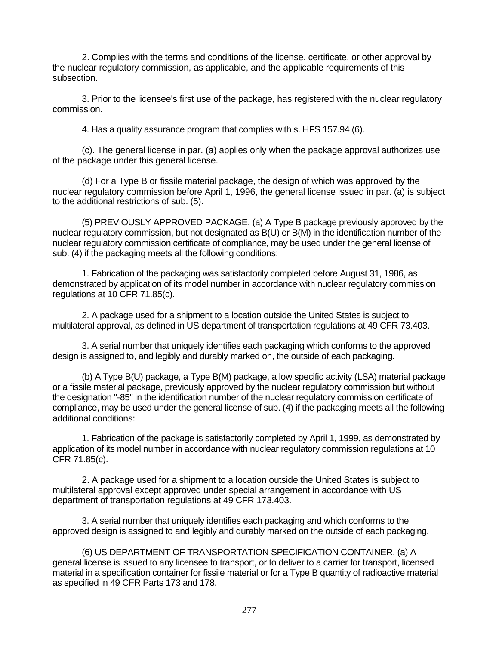2. Complies with the terms and conditions of the license, certificate, or other approval by the nuclear regulatory commission, as applicable, and the applicable requirements of this subsection.

3. Prior to the licensee's first use of the package, has registered with the nuclear regulatory commission.

4. Has a quality assurance program that complies with s. HFS 157.94 (6).

(c). The general license in par. (a) applies only when the package approval authorizes use of the package under this general license.

(d) For a Type B or fissile material package, the design of which was approved by the nuclear regulatory commission before April 1, 1996, the general license issued in par. (a) is subject to the additional restrictions of sub. (5).

(5) PREVIOUSLY APPROVED PACKAGE. (a) A Type B package previously approved by the nuclear regulatory commission, but not designated as B(U) or B(M) in the identification number of the nuclear regulatory commission certificate of compliance, may be used under the general license of sub. (4) if the packaging meets all the following conditions:

1. Fabrication of the packaging was satisfactorily completed before August 31, 1986, as demonstrated by application of its model number in accordance with nuclear regulatory commission regulations at 10 CFR 71.85(c).

2. A package used for a shipment to a location outside the United States is subject to multilateral approval, as defined in US department of transportation regulations at 49 CFR 73.403.

3. A serial number that uniquely identifies each packaging which conforms to the approved design is assigned to, and legibly and durably marked on, the outside of each packaging.

(b) A Type B(U) package, a Type B(M) package, a low specific activity (LSA) material package or a fissile material package, previously approved by the nuclear regulatory commission but without the designation "-85" in the identification number of the nuclear regulatory commission certificate of compliance, may be used under the general license of sub. (4) if the packaging meets all the following additional conditions:

1. Fabrication of the package is satisfactorily completed by April 1, 1999, as demonstrated by application of its model number in accordance with nuclear regulatory commission regulations at 10 CFR 71.85(c).

2. A package used for a shipment to a location outside the United States is subject to multilateral approval except approved under special arrangement in accordance with US department of transportation regulations at 49 CFR 173.403.

3. A serial number that uniquely identifies each packaging and which conforms to the approved design is assigned to and legibly and durably marked on the outside of each packaging.

(6) US DEPARTMENT OF TRANSPORTATION SPECIFICATION CONTAINER. (a) A general license is issued to any licensee to transport, or to deliver to a carrier for transport, licensed material in a specification container for fissile material or for a Type B quantity of radioactive material as specified in 49 CFR Parts 173 and 178.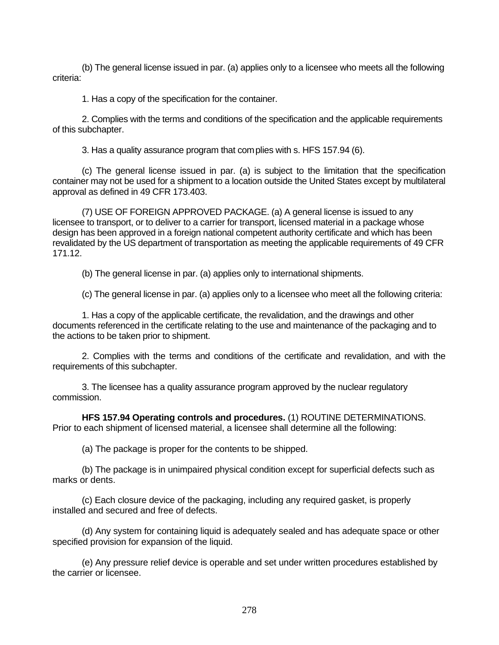(b) The general license issued in par. (a) applies only to a licensee who meets all the following criteria:

1. Has a copy of the specification for the container.

2. Complies with the terms and conditions of the specification and the applicable requirements of this subchapter.

3. Has a quality assurance program that complies with s. HFS 157.94 (6).

(c) The general license issued in par. (a) is subject to the limitation that the specification container may not be used for a shipment to a location outside the United States except by multilateral approval as defined in 49 CFR 173.403.

(7) USE OF FOREIGN APPROVED PACKAGE. (a) A general license is issued to any licensee to transport, or to deliver to a carrier for transport, licensed material in a package whose design has been approved in a foreign national competent authority certificate and which has been revalidated by the US department of transportation as meeting the applicable requirements of 49 CFR 171.12.

(b) The general license in par. (a) applies only to international shipments.

(c) The general license in par. (a) applies only to a licensee who meet all the following criteria:

1. Has a copy of the applicable certificate, the revalidation, and the drawings and other documents referenced in the certificate relating to the use and maintenance of the packaging and to the actions to be taken prior to shipment.

2. Complies with the terms and conditions of the certificate and revalidation, and with the requirements of this subchapter.

3. The licensee has a quality assurance program approved by the nuclear regulatory commission.

**HFS 157.94 Operating controls and procedures.** (1) ROUTINE DETERMINATIONS. Prior to each shipment of licensed material, a licensee shall determine all the following:

(a) The package is proper for the contents to be shipped.

(b) The package is in unimpaired physical condition except for superficial defects such as marks or dents.

(c) Each closure device of the packaging, including any required gasket, is properly installed and secured and free of defects.

(d) Any system for containing liquid is adequately sealed and has adequate space or other specified provision for expansion of the liquid.

(e) Any pressure relief device is operable and set under written procedures established by the carrier or licensee.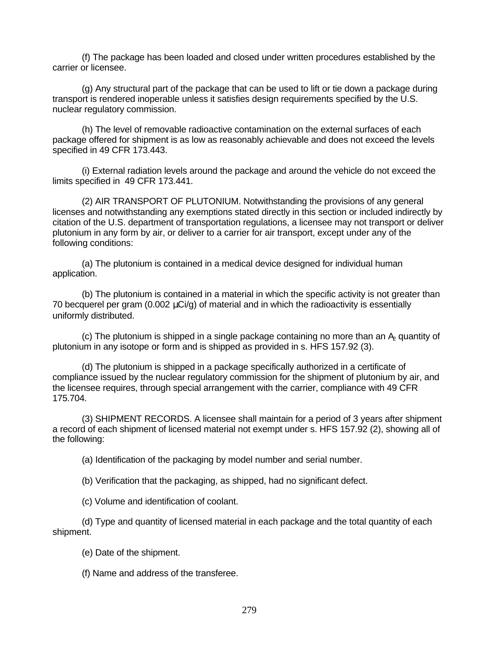(f) The package has been loaded and closed under written procedures established by the carrier or licensee.

(g) Any structural part of the package that can be used to lift or tie down a package during transport is rendered inoperable unless it satisfies design requirements specified by the U.S. nuclear regulatory commission.

(h) The level of removable radioactive contamination on the external surfaces of each package offered for shipment is as low as reasonably achievable and does not exceed the levels specified in 49 CFR 173.443.

(i) External radiation levels around the package and around the vehicle do not exceed the limits specified in 49 CFR 173.441.

(2) AIR TRANSPORT OF PLUTONIUM. Notwithstanding the provisions of any general licenses and notwithstanding any exemptions stated directly in this section or included indirectly by citation of the U.S. department of transportation regulations, a licensee may not transport or deliver plutonium in any form by air, or deliver to a carrier for air transport, except under any of the following conditions:

(a) The plutonium is contained in a medical device designed for individual human application.

(b) The plutonium is contained in a material in which the specific activity is not greater than 70 becquerel per gram  $(0.002 \mu\text{Ci/g})$  of material and in which the radioactivity is essentially uniformly distributed.

(c) The plutonium is shipped in a single package containing no more than an  $A<sub>2</sub>$  quantity of plutonium in any isotope or form and is shipped as provided in s. HFS 157.92 (3).

(d) The plutonium is shipped in a package specifically authorized in a certificate of compliance issued by the nuclear regulatory commission for the shipment of plutonium by air, and the licensee requires, through special arrangement with the carrier, compliance with 49 CFR 175.704.

(3) SHIPMENT RECORDS. A licensee shall maintain for a period of 3 years after shipment a record of each shipment of licensed material not exempt under s. HFS 157.92 (2), showing all of the following:

(a) Identification of the packaging by model number and serial number.

(b) Verification that the packaging, as shipped, had no significant defect.

(c) Volume and identification of coolant.

(d) Type and quantity of licensed material in each package and the total quantity of each shipment.

(e) Date of the shipment.

(f) Name and address of the transferee.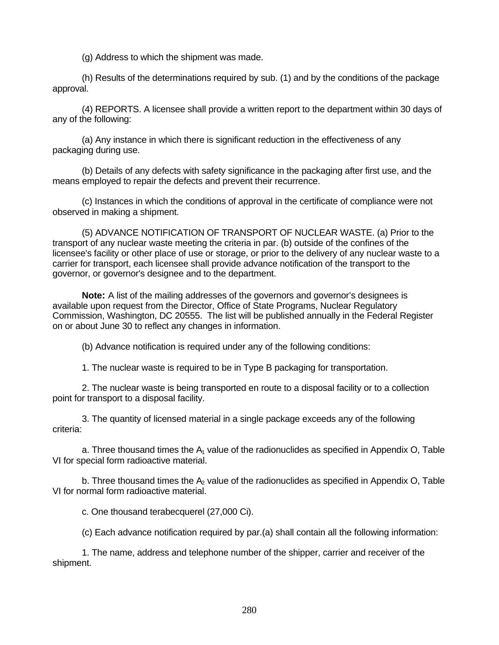(g) Address to which the shipment was made.

(h) Results of the determinations required by sub. (1) and by the conditions of the package approval.

(4) REPORTS. A licensee shall provide a written report to the department within 30 days of any of the following:

(a) Any instance in which there is significant reduction in the effectiveness of any packaging during use.

(b) Details of any defects with safety significance in the packaging after first use, and the means employed to repair the defects and prevent their recurrence.

(c) Instances in which the conditions of approval in the certificate of compliance were not observed in making a shipment.

(5) ADVANCE NOTIFICATION OF TRANSPORT OF NUCLEAR WASTE. (a) Prior to the transport of any nuclear waste meeting the criteria in par. (b) outside of the confines of the licensee's facility or other place of use or storage, or prior to the delivery of any nuclear waste to a carrier for transport, each licensee shall provide advance notification of the transport to the governor, or governor's designee and to the department.

**Note:** A list of the mailing addresses of the governors and governor's designees is available upon request from the Director, Office of State Programs, Nuclear Regulatory Commission, Washington, DC 20555. The list will be published annually in the Federal Register on or about June 30 to reflect any changes in information.

(b) Advance notification is required under any of the following conditions:

1. The nuclear waste is required to be in Type B packaging for transportation.

2. The nuclear waste is being transported en route to a disposal facility or to a collection point for transport to a disposal facility.

3. The quantity of licensed material in a single package exceeds any of the following criteria:

a. Three thousand times the  $A_1$  value of the radionuclides as specified in Appendix O, Table VI for special form radioactive material.

b. Three thousand times the  $A<sub>2</sub>$  value of the radionuclides as specified in Appendix O, Table VI for normal form radioactive material.

c. One thousand terabecquerel (27,000 Ci).

(c) Each advance notification required by par.(a) shall contain all the following information:

1. The name, address and telephone number of the shipper, carrier and receiver of the shipment.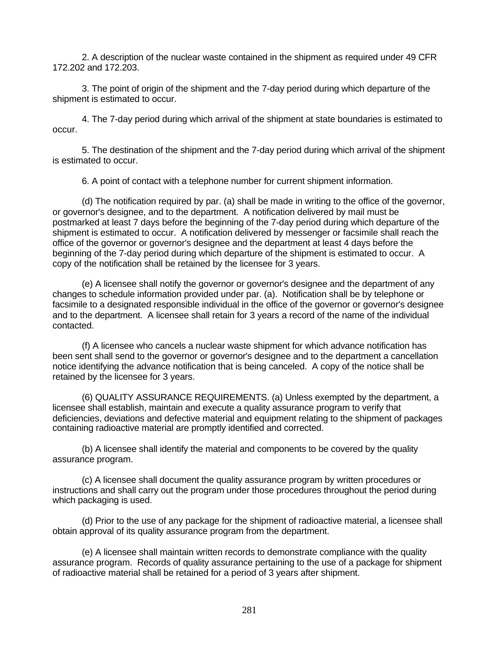2. A description of the nuclear waste contained in the shipment as required under 49 CFR 172.202 and 172.203.

3. The point of origin of the shipment and the 7-day period during which departure of the shipment is estimated to occur.

4. The 7-day period during which arrival of the shipment at state boundaries is estimated to occur.

5. The destination of the shipment and the 7-day period during which arrival of the shipment is estimated to occur.

6. A point of contact with a telephone number for current shipment information.

(d) The notification required by par. (a) shall be made in writing to the office of the governor, or governor's designee, and to the department. A notification delivered by mail must be postmarked at least 7 days before the beginning of the 7-day period during which departure of the shipment is estimated to occur. A notification delivered by messenger or facsimile shall reach the office of the governor or governor's designee and the department at least 4 days before the beginning of the 7-day period during which departure of the shipment is estimated to occur. A copy of the notification shall be retained by the licensee for 3 years.

(e) A licensee shall notify the governor or governor's designee and the department of any changes to schedule information provided under par. (a). Notification shall be by telephone or facsimile to a designated responsible individual in the office of the governor or governor's designee and to the department. A licensee shall retain for 3 years a record of the name of the individual contacted.

(f) A licensee who cancels a nuclear waste shipment for which advance notification has been sent shall send to the governor or governor's designee and to the department a cancellation notice identifying the advance notification that is being canceled. A copy of the notice shall be retained by the licensee for 3 years.

(6) QUALITY ASSURANCE REQUIREMENTS. (a) Unless exempted by the department, a licensee shall establish, maintain and execute a quality assurance program to verify that deficiencies, deviations and defective material and equipment relating to the shipment of packages containing radioactive material are promptly identified and corrected.

(b) A licensee shall identify the material and components to be covered by the quality assurance program.

(c) A licensee shall document the quality assurance program by written procedures or instructions and shall carry out the program under those procedures throughout the period during which packaging is used.

(d) Prior to the use of any package for the shipment of radioactive material, a licensee shall obtain approval of its quality assurance program from the department.

(e) A licensee shall maintain written records to demonstrate compliance with the quality assurance program. Records of quality assurance pertaining to the use of a package for shipment of radioactive material shall be retained for a period of 3 years after shipment.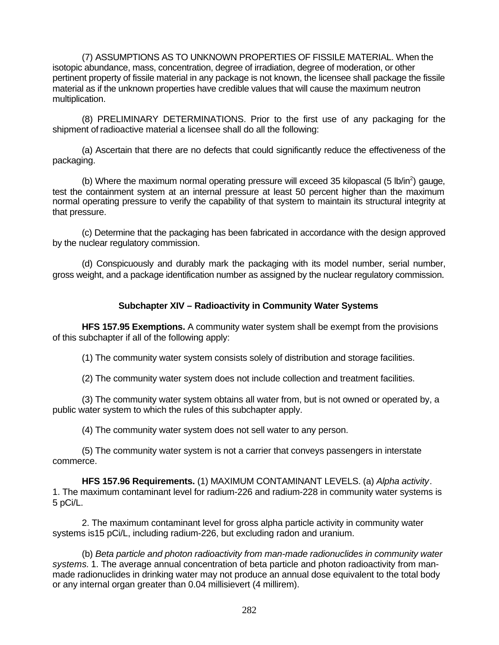(7) ASSUMPTIONS AS TO UNKNOWN PROPERTIES OF FISSILE MATERIAL. When the isotopic abundance, mass, concentration, degree of irradiation, degree of moderation, or other pertinent property of fissile material in any package is not known, the licensee shall package the fissile material as if the unknown properties have credible values that will cause the maximum neutron multiplication.

(8) PRELIMINARY DETERMINATIONS. Prior to the first use of any packaging for the shipment of radioactive material a licensee shall do all the following:

(a) Ascertain that there are no defects that could significantly reduce the effectiveness of the packaging.

(b) Where the maximum normal operating pressure will exceed 35 kilopascal (5 lb/in<sup>2</sup>) gauge, test the containment system at an internal pressure at least 50 percent higher than the maximum normal operating pressure to verify the capability of that system to maintain its structural integrity at that pressure.

(c) Determine that the packaging has been fabricated in accordance with the design approved by the nuclear regulatory commission.

(d) Conspicuously and durably mark the packaging with its model number, serial number, gross weight, and a package identification number as assigned by the nuclear regulatory commission.

#### **Subchapter XIV – Radioactivity in Community Water Systems**

**HFS 157.95 Exemptions.** A community water system shall be exempt from the provisions of this subchapter if all of the following apply:

(1) The community water system consists solely of distribution and storage facilities.

(2) The community water system does not include collection and treatment facilities.

(3) The community water system obtains all water from, but is not owned or operated by, a public water system to which the rules of this subchapter apply.

(4) The community water system does not sell water to any person.

(5) The community water system is not a carrier that conveys passengers in interstate commerce.

**HFS 157.96 Requirements.** (1) MAXIMUM CONTAMINANT LEVELS. (a) *Alpha activity*. 1. The maximum contaminant level for radium-226 and radium-228 in community water systems is 5 pCi/L.

2. The maximum contaminant level for gross alpha particle activity in community water systems is15 pCi/L, including radium-226, but excluding radon and uranium.

(b) *Beta particle and photon radioactivity from man-made radionuclides in community water systems.* 1. The average annual concentration of beta particle and photon radioactivity from manmade radionuclides in drinking water may not produce an annual dose equivalent to the total body or any internal organ greater than 0.04 millisievert (4 millirem).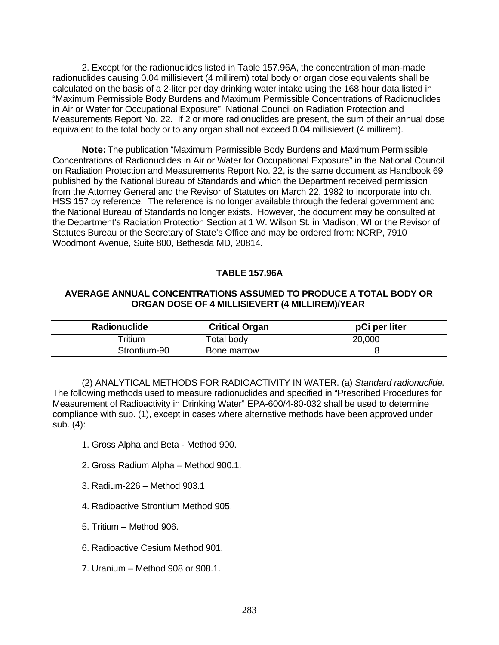2. Except for the radionuclides listed in Table 157.96A, the concentration of man-made radionuclides causing 0.04 millisievert (4 millirem) total body or organ dose equivalents shall be calculated on the basis of a 2-liter per day drinking water intake using the 168 hour data listed in "Maximum Permissible Body Burdens and Maximum Permissible Concentrations of Radionuclides in Air or Water for Occupational Exposure", National Council on Radiation Protection and Measurements Report No. 22. If 2 or more radionuclides are present, the sum of their annual dose equivalent to the total body or to any organ shall not exceed 0.04 millisievert (4 millirem).

**Note:** The publication "Maximum Permissible Body Burdens and Maximum Permissible Concentrations of Radionuclides in Air or Water for Occupational Exposure" in the National Council on Radiation Protection and Measurements Report No. 22, is the same document as Handbook 69 published by the National Bureau of Standards and which the Department received permission from the Attorney General and the Revisor of Statutes on March 22, 1982 to incorporate into ch. HSS 157 by reference. The reference is no longer available through the federal government and the National Bureau of Standards no longer exists. However, the document may be consulted at the Department's Radiation Protection Section at 1 W. Wilson St. in Madison, WI or the Revisor of Statutes Bureau or the Secretary of State's Office and may be ordered from: NCRP, 7910 Woodmont Avenue, Suite 800, Bethesda MD, 20814.

#### **TABLE 157.96A**

#### **AVERAGE ANNUAL CONCENTRATIONS ASSUMED TO PRODUCE A TOTAL BODY OR ORGAN DOSE OF 4 MILLISIEVERT (4 MILLIREM)/YEAR**

| <b>Radionuclide</b> | <b>Critical Organ</b> | pCi per liter |
|---------------------|-----------------------|---------------|
| $\mathsf{Tritium}$  | Total body            | 20,000        |
| Strontium-90        | Bone marrow           |               |

(2) ANALYTICAL METHODS FOR RADIOACTIVITY IN WATER. (a) *Standard radionuclide*. The following methods used to measure radionuclides and specified in "Prescribed Procedures for Measurement of Radioactivity in Drinking Water" EPA-600/4-80-032 shall be used to determine compliance with sub. (1), except in cases where alternative methods have been approved under sub. (4):

- 1. Gross Alpha and Beta Method 900.
- 2. Gross Radium Alpha Method 900.1.
- 3. Radium-226 Method 903.1
- 4. Radioactive Strontium Method 905.
- 5. Tritium Method 906.
- 6. Radioactive Cesium Method 901.
- 7. Uranium Method 908 or 908.1.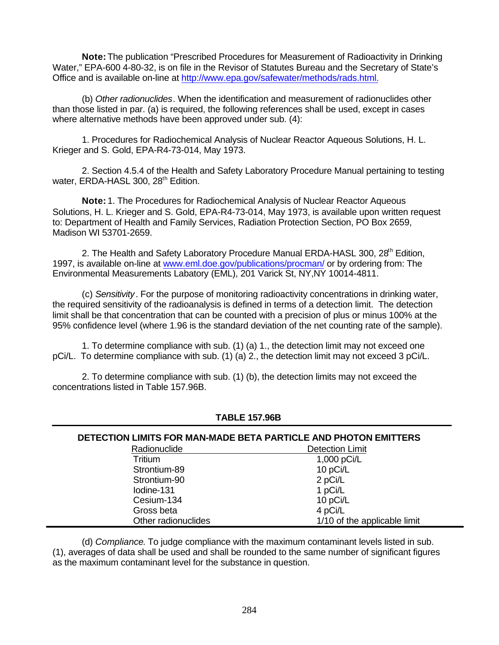**Note:** The publication "Prescribed Procedures for Measurement of Radioactivity in Drinking Water," EPA-600 4-80-32, is on file in the Revisor of Statutes Bureau and the Secretary of State's Office and is available on-line at http://www.epa.gov/safewater/methods/rads.html.

(b) *Other radionuclides*. When the identification and measurement of radionuclides other than those listed in par. (a) is required, the following references shall be used, except in cases where alternative methods have been approved under sub. (4):

1. Procedures for Radiochemical Analysis of Nuclear Reactor Aqueous Solutions, H. L. Krieger and S. Gold, EPA-R4-73-014, May 1973.

2. Section 4.5.4 of the Health and Safety Laboratory Procedure Manual pertaining to testing water, ERDA-HASL 300, 28<sup>th</sup> Edition.

**Note:** 1. The Procedures for Radiochemical Analysis of Nuclear Reactor Aqueous Solutions, H. L. Krieger and S. Gold, EPA-R4-73-014, May 1973, is available upon written request to: Department of Health and Family Services, Radiation Protection Section, PO Box 2659, Madison WI 53701-2659.

2. The Health and Safety Laboratory Procedure Manual ERDA-HASL 300, 28<sup>th</sup> Edition, 1997, is available on-line at www.eml.doe.gov/publications/procman/ or by ordering from: The Environmental Measurements Labatory (EML), 201 Varick St, NY,NY 10014-4811.

(c) *Sensitivity*. For the purpose of monitoring radioactivity concentrations in drinking water, the required sensitivity of the radioanalysis is defined in terms of a detection limit. The detection limit shall be that concentration that can be counted with a precision of plus or minus 100% at the 95% confidence level (where 1.96 is the standard deviation of the net counting rate of the sample).

1. To determine compliance with sub. (1) (a) 1., the detection limit may not exceed one pCi/L. To determine compliance with sub. (1) (a) 2., the detection limit may not exceed 3 pCi/L.

2. To determine compliance with sub. (1) (b), the detection limits may not exceed the concentrations listed in Table 157.96B.

| DETECTION LIMITS FOR MAN-MADE BETA PARTICLE AND PHOTON EMITTERS |                              |  |
|-----------------------------------------------------------------|------------------------------|--|
| Radionuclide                                                    | <b>Detection Limit</b>       |  |
| Tritium                                                         | 1,000 pCi/L                  |  |
| Strontium-89                                                    | 10 pCi/L                     |  |
| Strontium-90                                                    | 2 pCi/L                      |  |
| lodine-131                                                      | 1 pCi/L                      |  |
| Cesium-134                                                      | 10 pCi/L                     |  |
| Gross beta                                                      | 4 pCi/L                      |  |
| Other radionuclides                                             | 1/10 of the applicable limit |  |

**TABLE 157.96B**

(d) *Compliance*. To judge compliance with the maximum contaminant levels listed in sub. (1), averages of data shall be used and shall be rounded to the same number of significant figures as the maximum contaminant level for the substance in question.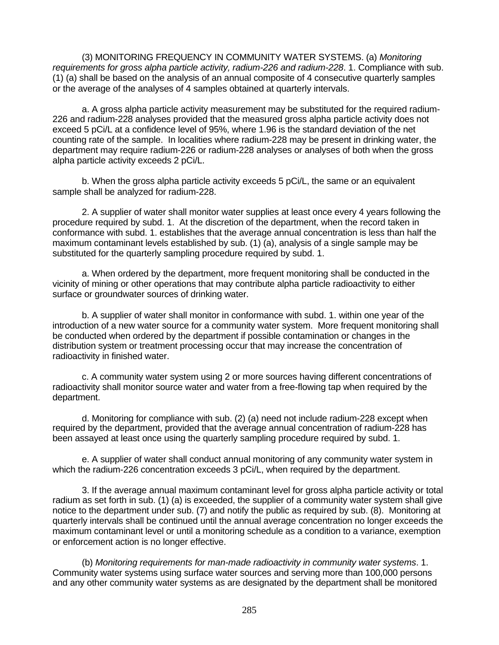(3) MONITORING FREQUENCY IN COMMUNITY WATER SYSTEMS. (a) *Monitoring requirements for gross alpha particle activity, radium-226 and radium-228*. 1. Compliance with sub. (1) (a) shall be based on the analysis of an annual composite of 4 consecutive quarterly samples or the average of the analyses of 4 samples obtained at quarterly intervals.

a. A gross alpha particle activity measurement may be substituted for the required radium-226 and radium-228 analyses provided that the measured gross alpha particle activity does not exceed 5 pCi/L at a confidence level of 95%, where 1.96 is the standard deviation of the net counting rate of the sample. In localities where radium-228 may be present in drinking water, the department may require radium-226 or radium-228 analyses or analyses of both when the gross alpha particle activity exceeds 2 pCi/L.

b. When the gross alpha particle activity exceeds 5 pCi/L, the same or an equivalent sample shall be analyzed for radium-228.

2. A supplier of water shall monitor water supplies at least once every 4 years following the procedure required by subd. 1. At the discretion of the department, when the record taken in conformance with subd. 1. establishes that the average annual concentration is less than half the maximum contaminant levels established by sub. (1) (a), analysis of a single sample may be substituted for the quarterly sampling procedure required by subd. 1.

a. When ordered by the department, more frequent monitoring shall be conducted in the vicinity of mining or other operations that may contribute alpha particle radioactivity to either surface or groundwater sources of drinking water.

b. A supplier of water shall monitor in conformance with subd. 1. within one year of the introduction of a new water source for a community water system. More frequent monitoring shall be conducted when ordered by the department if possible contamination or changes in the distribution system or treatment processing occur that may increase the concentration of radioactivity in finished water.

c. A community water system using 2 or more sources having different concentrations of radioactivity shall monitor source water and water from a free-flowing tap when required by the department.

d. Monitoring for compliance with sub. (2) (a) need not include radium-228 except when required by the department, provided that the average annual concentration of radium-228 has been assayed at least once using the quarterly sampling procedure required by subd. 1.

e. A supplier of water shall conduct annual monitoring of any community water system in which the radium-226 concentration exceeds 3 pCi/L, when required by the department.

3. If the average annual maximum contaminant level for gross alpha particle activity or total radium as set forth in sub. (1) (a) is exceeded, the supplier of a community water system shall give notice to the department under sub. (7) and notify the public as required by sub. (8). Monitoring at quarterly intervals shall be continued until the annual average concentration no longer exceeds the maximum contaminant level or until a monitoring schedule as a condition to a variance, exemption or enforcement action is no longer effective.

(b) *Monitoring requirements for man-made radioactivity in community water systems*. 1. Community water systems using surface water sources and serving more than 100,000 persons and any other community water systems as are designated by the department shall be monitored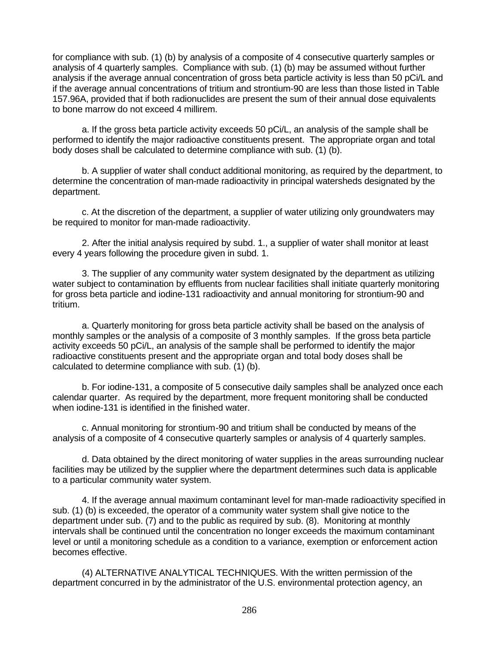for compliance with sub. (1) (b) by analysis of a composite of 4 consecutive quarterly samples or analysis of 4 quarterly samples. Compliance with sub. (1) (b) may be assumed without further analysis if the average annual concentration of gross beta particle activity is less than 50 pCi/L and if the average annual concentrations of tritium and strontium-90 are less than those listed in Table 157.96A, provided that if both radionuclides are present the sum of their annual dose equivalents to bone marrow do not exceed 4 millirem.

a. If the gross beta particle activity exceeds 50 pCi/L, an analysis of the sample shall be performed to identify the major radioactive constituents present. The appropriate organ and total body doses shall be calculated to determine compliance with sub. (1) (b).

b. A supplier of water shall conduct additional monitoring, as required by the department, to determine the concentration of man-made radioactivity in principal watersheds designated by the department.

c. At the discretion of the department, a supplier of water utilizing only groundwaters may be required to monitor for man-made radioactivity.

2. After the initial analysis required by subd. 1., a supplier of water shall monitor at least every 4 years following the procedure given in subd. 1.

3. The supplier of any community water system designated by the department as utilizing water subject to contamination by effluents from nuclear facilities shall initiate quarterly monitoring for gross beta particle and iodine-131 radioactivity and annual monitoring for strontium-90 and tritium.

a. Quarterly monitoring for gross beta particle activity shall be based on the analysis of monthly samples or the analysis of a composite of 3 monthly samples. If the gross beta particle activity exceeds 50 pCi/L, an analysis of the sample shall be performed to identify the major radioactive constituents present and the appropriate organ and total body doses shall be calculated to determine compliance with sub. (1) (b).

b. For iodine-131, a composite of 5 consecutive daily samples shall be analyzed once each calendar quarter. As required by the department, more frequent monitoring shall be conducted when iodine-131 is identified in the finished water.

c. Annual monitoring for strontium-90 and tritium shall be conducted by means of the analysis of a composite of 4 consecutive quarterly samples or analysis of 4 quarterly samples.

d. Data obtained by the direct monitoring of water supplies in the areas surrounding nuclear facilities may be utilized by the supplier where the department determines such data is applicable to a particular community water system.

4. If the average annual maximum contaminant level for man-made radioactivity specified in sub. (1) (b) is exceeded, the operator of a community water system shall give notice to the department under sub. (7) and to the public as required by sub. (8). Monitoring at monthly intervals shall be continued until the concentration no longer exceeds the maximum contaminant level or until a monitoring schedule as a condition to a variance, exemption or enforcement action becomes effective.

(4) ALTERNATIVE ANALYTICAL TECHNIQUES. With the written permission of the department concurred in by the administrator of the U.S. environmental protection agency, an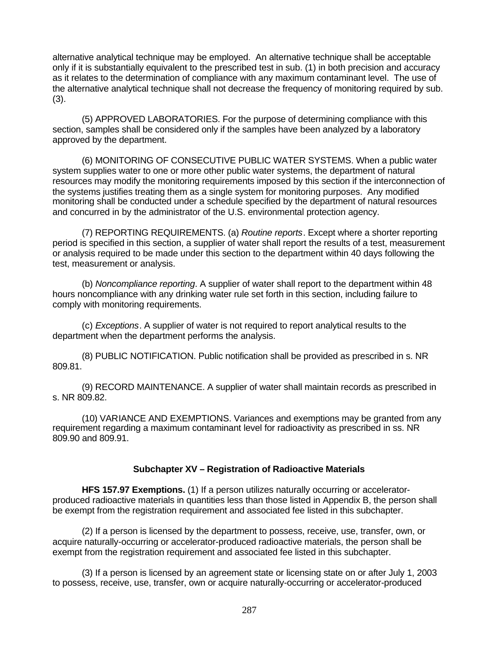alternative analytical technique may be employed. An alternative technique shall be acceptable only if it is substantially equivalent to the prescribed test in sub. (1) in both precision and accuracy as it relates to the determination of compliance with any maximum contaminant level. The use of the alternative analytical technique shall not decrease the frequency of monitoring required by sub. (3).

(5) APPROVED LABORATORIES. For the purpose of determining compliance with this section, samples shall be considered only if the samples have been analyzed by a laboratory approved by the department.

(6) MONITORING OF CONSECUTIVE PUBLIC WATER SYSTEMS. When a public water system supplies water to one or more other public water systems, the department of natural resources may modify the monitoring requirements imposed by this section if the interconnection of the systems justifies treating them as a single system for monitoring purposes. Any modified monitoring shall be conducted under a schedule specified by the department of natural resources and concurred in by the administrator of the U.S. environmental protection agency.

(7) REPORTING REQUIREMENTS. (a) *Routine reports*. Except where a shorter reporting period is specified in this section, a supplier of water shall report the results of a test, measurement or analysis required to be made under this section to the department within 40 days following the test, measurement or analysis.

(b) *Noncompliance reporting*. A supplier of water shall report to the department within 48 hours noncompliance with any drinking water rule set forth in this section, including failure to comply with monitoring requirements.

(c) *Exceptions*. A supplier of water is not required to report analytical results to the department when the department performs the analysis.

(8) PUBLIC NOTIFICATION. Public notification shall be provided as prescribed in s. NR 809.81.

(9) RECORD MAINTENANCE. A supplier of water shall maintain records as prescribed in s. NR 809.82.

(10) VARIANCE AND EXEMPTIONS. Variances and exemptions may be granted from any requirement regarding a maximum contaminant level for radioactivity as prescribed in ss. NR 809.90 and 809.91.

### **Subchapter XV – Registration of Radioactive Materials**

**HFS 157.97 Exemptions.** (1) If a person utilizes naturally occurring or acceleratorproduced radioactive materials in quantities less than those listed in Appendix B, the person shall be exempt from the registration requirement and associated fee listed in this subchapter.

(2) If a person is licensed by the department to possess, receive, use, transfer, own, or acquire naturally-occurring or accelerator-produced radioactive materials, the person shall be exempt from the registration requirement and associated fee listed in this subchapter.

(3) If a person is licensed by an agreement state or licensing state on or after July 1, 2003 to possess, receive, use, transfer, own or acquire naturally-occurring or accelerator-produced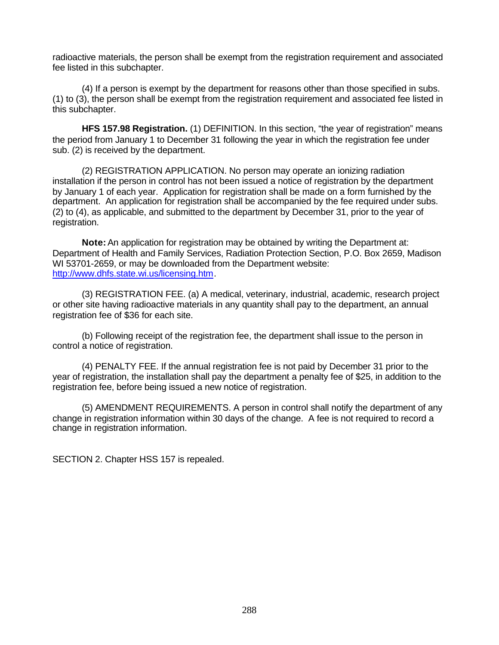radioactive materials, the person shall be exempt from the registration requirement and associated fee listed in this subchapter.

(4) If a person is exempt by the department for reasons other than those specified in subs. (1) to (3), the person shall be exempt from the registration requirement and associated fee listed in this subchapter.

**HFS 157.98 Registration.** (1) DEFINITION. In this section, "the year of registration" means the period from January 1 to December 31 following the year in which the registration fee under sub. (2) is received by the department.

(2) REGISTRATION APPLICATION. No person may operate an ionizing radiation installation if the person in control has not been issued a notice of registration by the department by January 1 of each year. Application for registration shall be made on a form furnished by the department. An application for registration shall be accompanied by the fee required under subs. (2) to (4), as applicable, and submitted to the department by December 31, prior to the year of registration.

**Note:** An application for registration may be obtained by writing the Department at: Department of Health and Family Services, Radiation Protection Section, P.O. Box 2659, Madison WI 53701-2659, or may be downloaded from the Department website: http://www.dhfs.state.wi.us/licensing.htm.

(3) REGISTRATION FEE. (a) A medical, veterinary, industrial, academic, research project or other site having radioactive materials in any quantity shall pay to the department, an annual registration fee of \$36 for each site.

(b) Following receipt of the registration fee, the department shall issue to the person in control a notice of registration.

(4) PENALTY FEE. If the annual registration fee is not paid by December 31 prior to the year of registration, the installation shall pay the department a penalty fee of \$25, in addition to the registration fee, before being issued a new notice of registration.

(5) AMENDMENT REQUIREMENTS. A person in control shall notify the department of any change in registration information within 30 days of the change. A fee is not required to record a change in registration information.

SECTION 2. Chapter HSS 157 is repealed.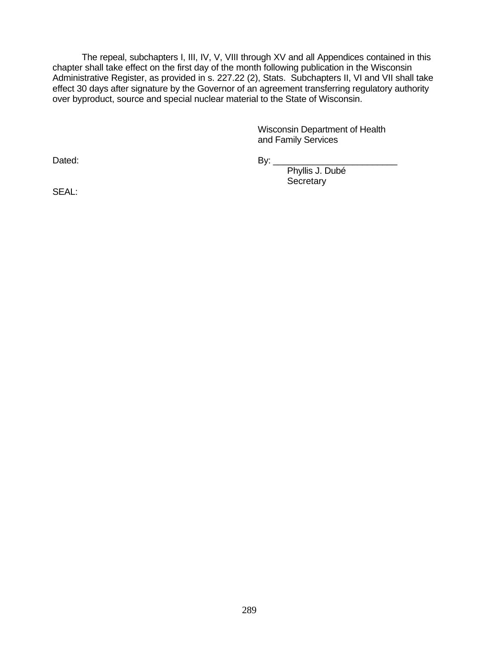The repeal, subchapters I, III, IV, V, VIII through XV and all Appendices contained in this chapter shall take effect on the first day of the month following publication in the Wisconsin Administrative Register, as provided in s. 227.22 (2), Stats. Subchapters II, VI and VII shall take effect 30 days after signature by the Governor of an agreement transferring regulatory authority over byproduct, source and special nuclear material to the State of Wisconsin.

> Wisconsin Department of Health and Family Services

Dated: 2008. The set of the set of the By: 2008. By: 2008. The set of the set of the set of the set of the set

Phyllis J. Dubé **Secretary** 

SEAL: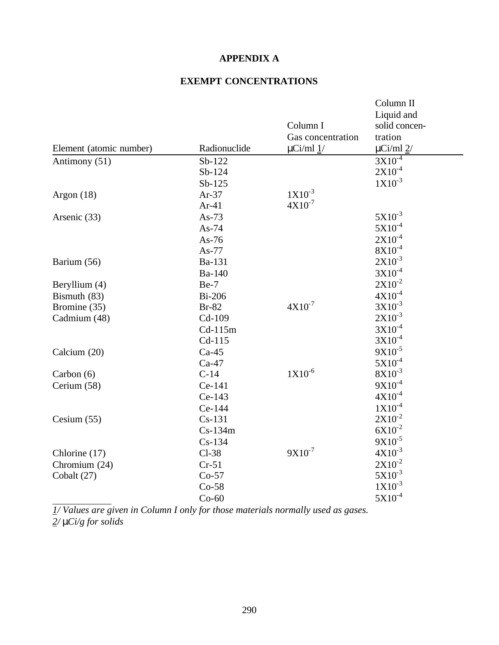## **APPENDIX A**

## **EXEMPT CONCENTRATIONS**

|                         |               |                   | Column II                   |
|-------------------------|---------------|-------------------|-----------------------------|
|                         |               |                   | Liquid and                  |
|                         |               | Column I          | solid concen-               |
|                         |               | Gas concentration | tration                     |
| Element (atomic number) | Radionuclide  | $\mu$ Ci/ml $1/$  | $\mu$ Ci/ml $2$ /           |
| Antimony (51)           | Sb-122        |                   | $3X10^{-4}$                 |
|                         | Sb-124        |                   | $2X10^{-4}$                 |
|                         | $Sb-125$      |                   | $1X10^{-3}$                 |
| Argon $(18)$            | $Ar-37$       | $1X10^{-3}$       |                             |
|                         | $Ar-41$       | $4X10^{-7}$       |                             |
| Arsenic (33)            | As- $73$      |                   | $5X10^{-3}$                 |
|                         | $As-74$       |                   | $5X10^{-4}$                 |
|                         | As- $76$      |                   | $2X10^{-4}$                 |
|                         | As-77         |                   | $8\mathrm{X}10^{\text{-}4}$ |
| Barium (56)             | Ba-131        |                   | $2X10^{-3}$                 |
|                         | Ba-140        |                   | $3X10^{-4}$                 |
| Beryllium (4)           | $Be-7$        |                   | $2X10^{-2}$                 |
| Bismuth (83)            | <b>Bi-206</b> |                   | $4X10^{-4}$                 |
| Bromine (35)            | <b>Br-82</b>  | $4X10^{-7}$       | $3X10^{-3}$                 |
| Cadmium (48)            | Cd-109        |                   | $2X10^{-3}$                 |
|                         | $Cd-115m$     |                   | $3X10^{-4}$                 |
|                         | $Cd-115$      |                   | $3X10^{-4}$                 |
| Calcium (20)            | $Ca-45$       |                   | $9X10^{-5}$                 |
|                         | $Ca-47$       |                   | $5X10^{-4}$                 |
| Carbon $(6)$            | $C-14$        | $1X10^{-6}$       | $8X10^{-3}$                 |
| Cerium (58)             | Ce-141        |                   | $9X10^{-4}$                 |
|                         | Ce-143        |                   | $4X10^{-4}$                 |
|                         | Ce-144        |                   | $1X10^{-4}$                 |
| Cesium $(55)$           | $Cs-131$      |                   | $2X10^{-2}$                 |
|                         | $Cs-134m$     |                   | $6X10^{-2}$                 |
|                         | $Cs-134$      |                   | $9X10^{-5}$                 |
| Chlorine (17)           | $Cl-38$       | $9X10^{-7}$       | $4X10^{-3}$                 |
| Chromium (24)           | $Cr-51$       |                   | $2X10^{-2}$                 |
| Cobalt (27)             | $Co-57$       |                   | $5X10^{-3}$                 |
|                         | $Co-58$       |                   | $1X10^{-3}$                 |
|                         | $Co-60$       |                   | $5X10^{-4}$                 |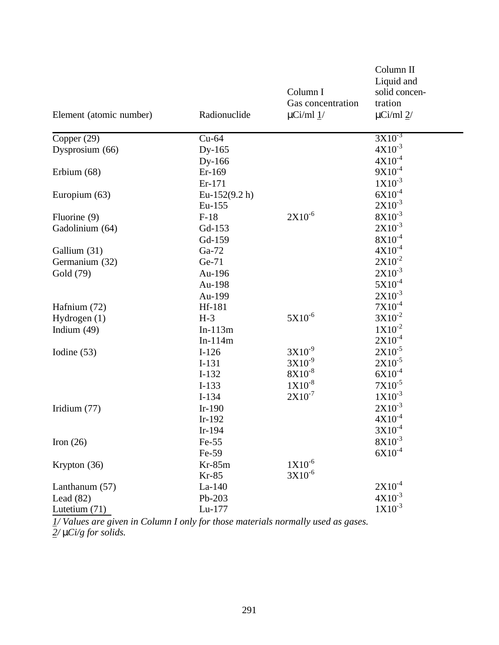| Element (atomic number) | Radionuclide     | Column I<br>Gas concentration<br>$\mu$ Ci/ml $1/$ | Column II<br>Liquid and<br>solid concen-<br>tration<br>$\mu$ Ci/ml $2$ / |
|-------------------------|------------------|---------------------------------------------------|--------------------------------------------------------------------------|
| Copper (29)             | $Cu-64$          |                                                   | $3X10^{-3}$                                                              |
| Dysprosium (66)         | $Dy-165$         |                                                   | $4X10^{-3}$                                                              |
|                         | Dy-166           |                                                   | $4X10^{-4}$                                                              |
| Erbium (68)             | Er-169           |                                                   | $9X10^{-4}$                                                              |
|                         | Er-171           |                                                   | $1X10^{-3}$                                                              |
| Europium (63)           | Eu-152 $(9.2 h)$ |                                                   | $6X10^{-4}$                                                              |
|                         | Eu-155           |                                                   | $2X10^{-3}$                                                              |
| Fluorine (9)            | $F-18$           | $2X10^{-6}$                                       | $8X10^{-3}$                                                              |
| Gadolinium (64)         | Gd-153           |                                                   | $2X10^{-3}$                                                              |
|                         | Gd-159           |                                                   | $8X10^{-4}$                                                              |
| Gallium (31)            | Ga-72            |                                                   | $4X10^{-4}$                                                              |
| Germanium (32)          | Ge-71            |                                                   | $2X10^{-2}$                                                              |
| Gold (79)               | Au-196           |                                                   | $2X10^{-3}$                                                              |
|                         | Au-198           |                                                   | $5X10^{-4}$                                                              |
|                         | Au-199           |                                                   | $2X10^{-3}$<br>$7X10^{-4}$                                               |
| Hafnium (72)            | Hf-181<br>$H-3$  | $5X10^{-6}$                                       | $3X10^{-2}$                                                              |
| Hydrogen $(1)$          | $In-113m$        |                                                   | $1X10^{-2}$                                                              |
| Indium $(49)$           | $In-114m$        |                                                   | $2X10^{-4}$                                                              |
|                         | $I-126$          | $3X10^{-9}$                                       | $2X10^{-5}$                                                              |
| Iodine $(53)$           | $I-131$          | $3X10^{-9}$                                       | $2X10^{-5}$                                                              |
|                         | $I-132$          | $8X10^{-8}$                                       | $6X10^{-4}$                                                              |
|                         | $I-133$          | $1X10^{-8}$                                       | $7X10^{-5}$                                                              |
|                         | $I-134$          | $2X10^{-7}$                                       | $1X10^{-3}$                                                              |
| Iridium $(77)$          | $Ir-190$         |                                                   | $2X10^{-3}$                                                              |
|                         | $Ir-192$         |                                                   | $4X10^{-4}$                                                              |
|                         | $Ir-194$         |                                                   | $3X10^{-4}$                                                              |
| Iron $(26)$             | $Fe-55$          |                                                   | $8X10^{-3}$                                                              |
|                         | Fe-59            |                                                   | $6X10^{-4}$                                                              |
| Krypton (36)            | $Kr-85m$         | $1X10^{-6}$                                       |                                                                          |
|                         | $Kr-85$          | $3X10^{-6}$                                       |                                                                          |
| Lanthanum (57)          | $La-140$         |                                                   | $2X10^{-4}$                                                              |
| Lead $(82)$             | Pb-203           |                                                   | $4X10^{-3}$                                                              |
| Lutetium $(71)$         | Lu-177           |                                                   | $1X10^{-3}$                                                              |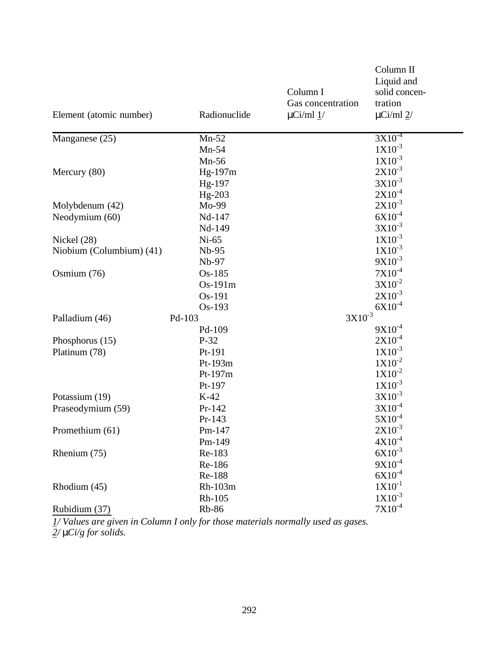|                          |              |                   | Column II              |  |
|--------------------------|--------------|-------------------|------------------------|--|
|                          |              |                   | Liquid and             |  |
|                          |              | Column I          | solid concen-          |  |
|                          |              | Gas concentration | tration                |  |
| Element (atomic number)  | Radionuclide | $\mu$ Ci/ml $1/$  | $\mu$ Ci/ml $2$ /      |  |
| Manganese (25)           | $Mn-52$      |                   | $3X10^{-4}$            |  |
|                          | $Mn-54$      |                   | $1X10^{-3}$            |  |
|                          | $Mn-56$      |                   | $1X10^{-3}$            |  |
| Mercury (80)             | Hg-197m      |                   | $2X10^{-3}$            |  |
|                          | Hg-197       |                   | $3X10^{-3}$            |  |
|                          | $Hg-203$     |                   | $2X10^{-4}$            |  |
| Molybdenum (42)          | Mo-99        |                   | $2X10^{-3}$            |  |
| Neodymium (60)           | Nd-147       |                   | $6X10^{-4}$            |  |
|                          | Nd-149       |                   | $3X10^{-3}$            |  |
| Nickel (28)              | $Ni-65$      |                   | $1X10^{-3}$            |  |
| Niobium (Columbium) (41) | Nb-95        |                   | $1X10^{-3}$            |  |
|                          | Nb-97        |                   | $9X10^{-3}$            |  |
| Osmium (76)              | Os-185       |                   | $7X10^{-4}$            |  |
|                          | Os-191m      |                   | $3X10^{-2}$            |  |
|                          | Os-191       |                   | $2X10^{-3}$            |  |
|                          | Os-193       |                   | $6X10^{-4}$            |  |
| Palladium (46)           | Pd-103       | $3X10^{-3}$       |                        |  |
|                          | Pd-109       |                   | $9X10^{-4}$            |  |
| Phosphorus $(15)$        | $P-32$       |                   | $2X10^{-4}$            |  |
| Platinum (78)            | Pt-191       |                   | $1X10^{-3}$            |  |
|                          | Pt-193m      |                   | $1X10^{-2}$            |  |
|                          | Pt-197m      |                   | $1X10^{-2}$            |  |
|                          | Pt-197       |                   | $1X10^{-3}$            |  |
| Potassium (19)           | $K-42$       |                   | $3X10^{-3}$            |  |
| Praseodymium (59)        | Pr-142       |                   | $3X10^{-4}$            |  |
|                          | Pr-143       |                   | $5X10^{-4}$            |  |
| Promethium (61)          | Pm-147       |                   | $2X10^{-3}$            |  |
|                          | Pm-149       |                   | $4X10^{-4}$            |  |
| Rhenium (75)             | Re-183       |                   | $6X10^{-3}$            |  |
|                          | Re-186       |                   | $9X10^{-4}$            |  |
|                          | Re-188       |                   | $6X10^{-4}$            |  |
| Rhodium (45)             | Rh-103m      |                   | $1X10^{-1}$            |  |
|                          | Rh-105       |                   | $1X10^{-3}$            |  |
| Rubidium (37)            | <b>Rb-86</b> |                   | $7 \mathrm{X} 10^{-4}$ |  |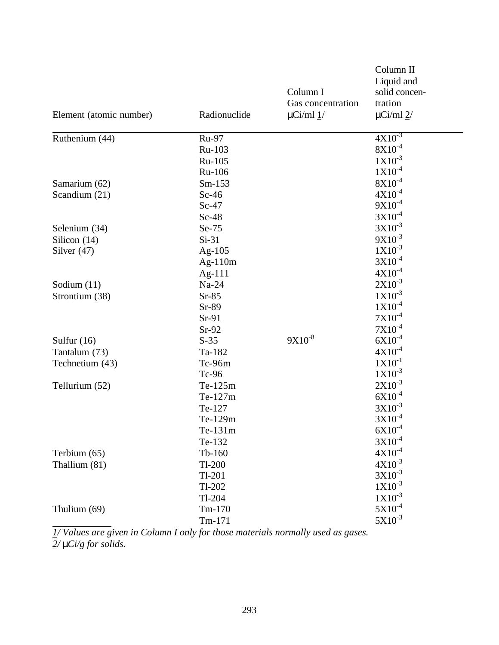|                         |              |                   | Column II                     |
|-------------------------|--------------|-------------------|-------------------------------|
|                         |              |                   | Liquid and                    |
|                         |              | Column I          | solid concen-                 |
|                         |              | Gas concentration | tration                       |
| Element (atomic number) | Radionuclide | $\mu$ Ci/ml $1/$  | $\mu$ Ci/ml $2$ /             |
| Ruthenium (44)          | Ru-97        |                   | $4X10^{-3}$                   |
|                         | Ru-103       |                   | $8X10^{-4}$                   |
|                         | Ru-105       |                   | $1X10^{-3}$                   |
|                         | Ru-106       |                   | $1X10^{-4}$                   |
| Samarium (62)           | $Sm-153$     |                   | $8X10^{-4}$                   |
| Scandium (21)           | $Sc-46$      |                   | $4X10^{-4}$                   |
|                         | $Sc-47$      |                   | $9X10^{-4}$                   |
|                         | $Sc-48$      |                   | $3X10^{-4}$                   |
| Selenium (34)           | Se-75        |                   | $3X10^{-3}$                   |
| Silicon (14)            | $Si-31$      |                   | $9X10^{-3}$                   |
| Silver $(47)$           | Ag- $105$    |                   | $1X10^{-3}$                   |
|                         | $Ag-110m$    |                   | $3X10^{-4}$                   |
|                         | Ag- $111$    |                   | $4X10^{-4}$                   |
| Sodium $(11)$           | Na-24        |                   | $2X10^{-3}$                   |
| Strontium (38)          | $Sr-85$      |                   | $1X10^{-3}$                   |
|                         | $Sr-89$      |                   | $1X10^{-4}$                   |
|                         | $Sr-91$      |                   | $7X10^{-4}$                   |
|                         | $Sr-92$      |                   | $7X10^{-4}$                   |
| Sulfur $(16)$           | $S-35$       | $9X10^{-8}$       | $6X10^{-4}$                   |
| Tantalum (73)           | Ta-182       |                   | $4X10^{-4}$                   |
| Technetium (43)         | Tc-96m       |                   | $1X10^{-1}$                   |
|                         | Tc-96        |                   | $1X10^{-3}$                   |
| Tellurium (52)          | Te-125m      |                   | $2X10^{-3}$                   |
|                         | Te-127m      |                   | $6X10^{-4}$                   |
|                         | Te-127       |                   | $3X10^{-3}$                   |
|                         | Te-129m      |                   | $3X10^{-4}$                   |
|                         | Te-131m      |                   | $6X10^{-4}$                   |
|                         | Te-132       |                   | $3X10^{-4}$                   |
| Terbium (65)            | $Tb-160$     |                   | $4X10^{-4}$                   |
| Thallium (81)           | $Tl-200$     |                   | $4X10^{-3}$                   |
|                         | $Tl-201$     |                   | $3X10^{-3}$                   |
|                         | $Tl-202$     |                   | $1X10^{-3}$                   |
|                         | $Tl-204$     |                   | $1X10^{-3}$                   |
| Thulium (69)            | $Tm-170$     |                   | $5 \mathrm{X} 10^{\text{-}4}$ |
|                         | $Tm-171$     |                   | $5X10^{-3}$                   |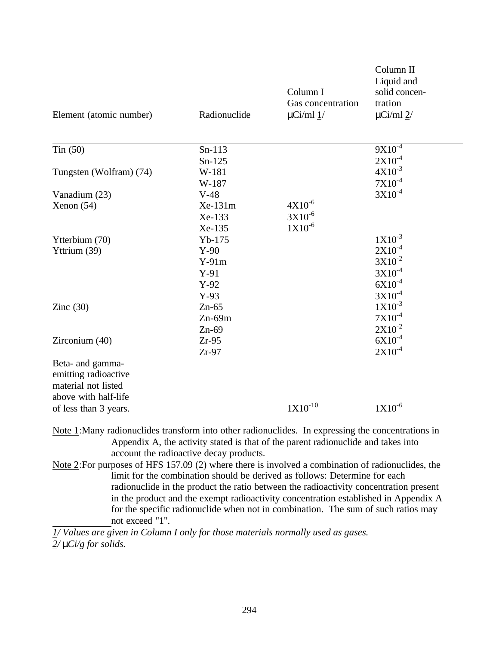| Element (atomic number)                                                                                          | Radionuclide | Column I<br>Gas concentration<br>$\mu$ Ci/ml $1/$ | Column II<br>Liquid and<br>solid concen-<br>tration<br>$\mu$ Ci/ml $2$ / |
|------------------------------------------------------------------------------------------------------------------|--------------|---------------------------------------------------|--------------------------------------------------------------------------|
| Tin $(50)$                                                                                                       | $Sn-113$     |                                                   | $9X10^{-4}$                                                              |
|                                                                                                                  | $Sn-125$     |                                                   | $2X10^{-4}$                                                              |
| Tungsten (Wolfram) (74)                                                                                          | W-181        |                                                   | $4X10^{-3}$                                                              |
|                                                                                                                  | W-187        |                                                   | $7X10^{-4}$                                                              |
| Vanadium (23)                                                                                                    | $V-48$       |                                                   | $3X10^{-4}$                                                              |
| Xenon (54)                                                                                                       | Xe-131m      | $4X10^{-6}$                                       |                                                                          |
|                                                                                                                  | Xe-133       | $3X10^{-6}$                                       |                                                                          |
|                                                                                                                  | Xe-135       | $1X10^{-6}$                                       |                                                                          |
| Ytterbium (70)                                                                                                   | $Yb-175$     |                                                   | $1X10^{-3}$                                                              |
| Yttrium (39)                                                                                                     | $Y-90$       |                                                   | $2X10^{-4}$                                                              |
|                                                                                                                  | $Y-91m$      |                                                   | $3X10^{-2}$                                                              |
|                                                                                                                  | $Y-91$       |                                                   | $3X10^{-4}$                                                              |
|                                                                                                                  | $Y-92$       |                                                   | $6X10^{-4}$                                                              |
|                                                                                                                  | $Y-93$       |                                                   | $3X10^{-4}$                                                              |
| Zinc $(30)$                                                                                                      | $Zn-65$      |                                                   | $1X10^{-3}$                                                              |
|                                                                                                                  | $Zn-69m$     |                                                   | $7X10^{-4}$                                                              |
|                                                                                                                  | $Zn-69$      |                                                   | $2X10^{-2}$                                                              |
| Zirconium (40)                                                                                                   | $Zr-95$      |                                                   | $6X10^{-4}$                                                              |
|                                                                                                                  | $Zr-97$      |                                                   | $2X10^{-4}$                                                              |
| Beta- and gamma-<br>emitting radioactive<br>material not listed<br>above with half-life<br>of less than 3 years. |              | $1X10^{-10}$                                      | $1X10^{-6}$                                                              |
|                                                                                                                  |              |                                                   |                                                                          |

Note 1:Many radionuclides transform into other radionuclides. In expressing the concentrations in Appendix A, the activity stated is that of the parent radionuclide and takes into account the radioactive decay products.

Note 2:For purposes of HFS 157.09 (2) where there is involved a combination of radionuclides, the limit for the combination should be derived as follows: Determine for each radionuclide in the product the ratio between the radioactivity concentration present in the product and the exempt radioactivity concentration established in Appendix A for the specific radionuclide when not in combination. The sum of such ratios may not exceed "1".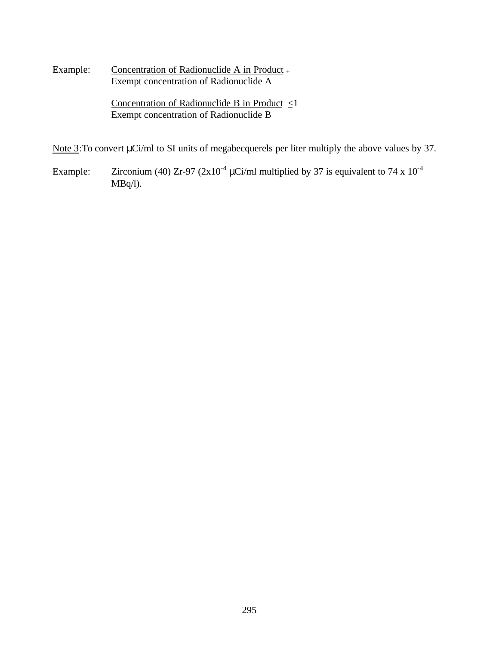Example: Concentration of Radionuclide A in Product + Exempt concentration of Radionuclide A

> Concentration of Radionuclide B in Product <1 Exempt concentration of Radionuclide B

Note 3:To convert μCi/ml to SI units of megabecquerels per liter multiply the above values by 37.

Example: Zirconium (40) Zr-97 ( $2x10^{-4}$   $\mu$ Ci/ml multiplied by 37 is equivalent to 74 x  $10^{-4}$ MBq/l).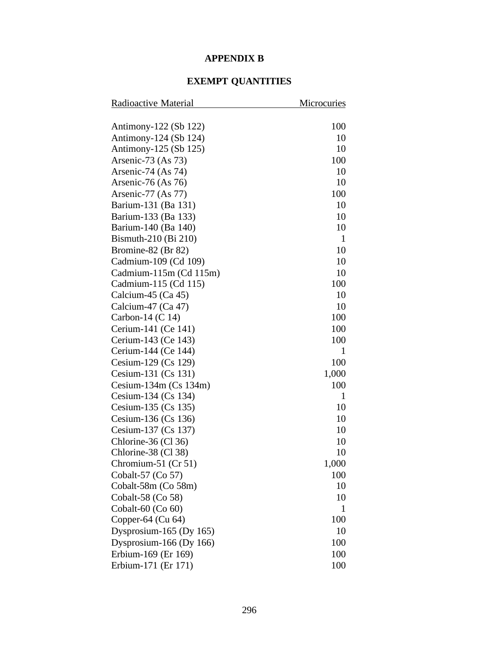## **APPENDIX B**

## **EXEMPT QUANTITIES**

| Radioactive Material    | Microcuries  |
|-------------------------|--------------|
|                         |              |
| Antimony-122 (Sb 122)   | 100          |
| Antimony-124 (Sb 124)   | 10           |
| Antimony-125 (Sb 125)   | 10           |
| Arsenic-73 (As 73)      | 100          |
| Arsenic-74 (As 74)      | 10           |
| Arsenic-76 (As $76$ )   | 10           |
| Arsenic-77 $(As 77)$    | 100          |
| Barium-131 (Ba 131)     | 10           |
| Barium-133 (Ba 133)     | 10           |
| Barium-140 (Ba 140)     | 10           |
| Bismuth-210 (Bi 210)    | $\mathbf{1}$ |
| Bromine-82 (Br 82)      | 10           |
| Cadmium-109 (Cd 109)    | 10           |
| Cadmium-115m (Cd 115m)  | 10           |
| Cadmium-115 (Cd 115)    | 100          |
| Calcium-45 $(Ca 45)$    | 10           |
| Calcium-47 (Ca 47)      | 10           |
| Carbon-14 $(C 14)$      | 100          |
| Cerium-141 (Ce 141)     | 100          |
| Cerium-143 (Ce 143)     | 100          |
| Cerium-144 (Ce 144)     | 1            |
| Cesium-129 (Cs 129)     | 100          |
| Cesium-131 (Cs 131)     | 1,000        |
| Cesium-134m $(Cs 134m)$ | 100          |
| Cesium-134 (Cs 134)     | 1            |
| Cesium-135 (Cs 135)     | 10           |
| Cesium-136 (Cs 136)     | 10           |
| Cesium-137 (Cs 137)     | 10           |
| Chlorine-36 (Cl 36)     | 10           |
| Chlorine-38 (Cl 38)     | 10           |
| Chromium-51 $(Cr 51)$   | 1,000        |
| Cobalt-57 (Co 57)       | 100          |
| Cobalt-58m (Co 58m)     | 10           |
| Cobalt-58 (Co 58)       | 10           |
| Cobalt-60 (Co 60)       | 1            |
| Copper-64 (Cu 64)       | 100          |
| Dysprosium-165 (Dy 165) | 10           |
| Dysprosium-166 (Dy 166) | 100          |
| Erbium-169 (Er 169)     | 100          |
| Erbium-171 (Er 171)     | 100          |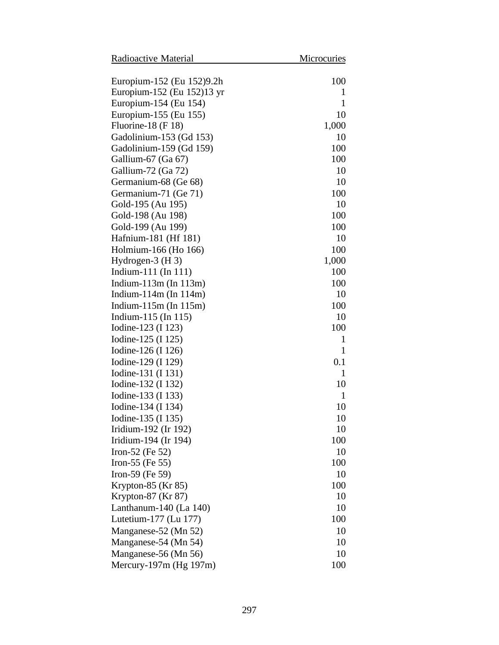| Radioactive Material        | Microcuries |
|-----------------------------|-------------|
| Europium-152 (Eu 152)9.2h   | 100         |
| Europium-152 (Eu 152)13 yr  | 1           |
| Europium-154 (Eu 154)       | 1           |
| Europium-155 (Eu 155)       | 10          |
| Fluorine-18 $(F 18)$        | 1,000       |
| Gadolinium-153 (Gd 153)     | 10          |
| Gadolinium-159 (Gd 159)     | 100         |
| Gallium-67 (Ga 67)          | 100         |
| Gallium-72 (Ga 72)          | 10          |
| Germanium-68 (Ge 68)        | 10          |
| Germanium-71 (Ge 71)        | 100         |
| Gold-195 (Au 195)           | 10          |
| Gold-198 (Au 198)           | 100         |
| Gold-199 (Au 199)           | 100         |
| Hafnium-181 (Hf 181)        | 10          |
| Holmium-166 (Ho 166)        | 100         |
| Hydrogen- $3$ (H 3)         | 1,000       |
| Indium-111 (In 111)         | 100         |
| Indium- $113m$ (In $113m$ ) | 100         |
| Indium- $114m$ (In $114m$ ) | 10          |
| Indium- $115m$ (In $115m$ ) | 100         |
| Indium-115 (In 115)         | 10          |
| Iodine-123 (I 123)          | 100         |
| Iodine-125 (I 125)          | 1           |
| Iodine-126 (I 126)          | 1           |
| Iodine-129 (I 129)          | 0.1         |
| Iodine-131 (I 131)          | 1           |
| Iodine-132 (I 132)          | 10          |
| Iodine-133 (I 133)          | 1           |
| Iodine-134 (I 134)          | 10          |
| Iodine-135 (I 135)          | 10          |
| Iridium-192 (Ir 192)        | 10          |
| Iridium-194 (Ir 194)        | 100         |
| Iron-52 (Fe $52$ )          | 10          |
| Iron-55 (Fe $55$ )          | 100         |
| Iron-59 (Fe $59$ )          | 10          |
| Krypton-85 $(Kr 85)$        | 100         |
| Krypton-87 (Kr 87)          | 10          |
| Lanthanum-140 (La 140)      | 10          |
| Lutetium-177 (Lu 177)       | 100         |
| Manganese-52 (Mn 52)        | 10          |
| Manganese-54 (Mn 54)        | 10          |
| Manganese-56 (Mn 56)        | 10          |
| Mercury-197m (Hg 197m)      | 100         |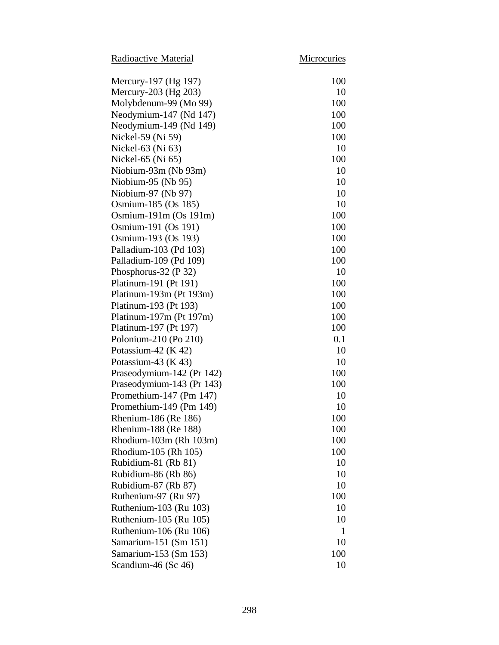Radioactive Material Microcuries

| Mercury-197 (Hg 197)      | 100 |
|---------------------------|-----|
| Mercury-203 (Hg 203)      | 10  |
| Molybdenum-99 (Mo 99)     | 100 |
| Neodymium-147 (Nd 147)    | 100 |
| Neodymium-149 (Nd 149)    | 100 |
| Nickel-59 (Ni 59)         | 100 |
| Nickel-63 (Ni 63)         | 10  |
| Nickel-65 (Ni 65)         | 100 |
| Niobium-93m (Nb 93m)      | 10  |
| Niobium-95 (Nb 95)        | 10  |
| Niobium-97 (Nb 97)        | 10  |
| Osmium-185 (Os 185)       | 10  |
| Osmium-191m $(Os 191m)$   | 100 |
| Osmium-191 (Os 191)       | 100 |
| Osmium-193 (Os 193)       | 100 |
| Palladium-103 (Pd 103)    | 100 |
| Palladium-109 (Pd 109)    | 100 |
| Phosphorus-32 (P 32)      | 10  |
| Platinum-191 (Pt 191)     | 100 |
| Platinum-193m (Pt 193m)   | 100 |
| Platinum-193 (Pt 193)     | 100 |
| Platinum-197m (Pt 197m)   | 100 |
| Platinum-197 (Pt 197)     | 100 |
| Polonium-210 (Po 210)     | 0.1 |
| Potassium-42 $(K 42)$     | 10  |
| Potassium-43 $(K 43)$     | 10  |
| Praseodymium-142 (Pr 142) | 100 |
| Praseodymium-143 (Pr 143) | 100 |
| Promethium-147 (Pm 147)   | 10  |
| Promethium-149 (Pm 149)   | 10  |
| Rhenium-186 (Re 186)      | 100 |
| Rhenium-188 (Re 188)      | 100 |
| Rhodium-103m (Rh 103m)    | 100 |
| Rhodium-105 (Rh 105)      | 100 |
| Rubidium-81 (Rb 81)       | 10  |
| Rubidium-86 (Rb 86)       | 10  |
| Rubidium-87 (Rb 87)       | 10  |
| Ruthenium-97 (Ru 97)      | 100 |
| Ruthenium-103 (Ru 103)    | 10  |
| Ruthenium-105 (Ru 105)    | 10  |
| Ruthenium-106 (Ru 106)    | 1   |
| Samarium-151 (Sm 151)     | 10  |
| Samarium-153 (Sm 153)     | 100 |
| Scandium-46 (Sc 46)       | 10  |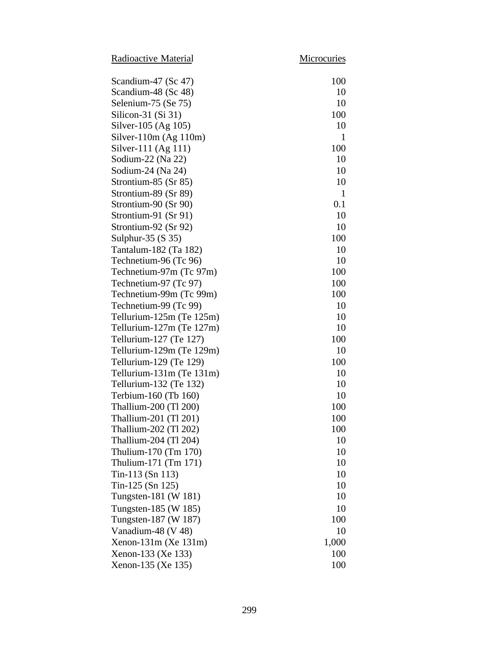Radioactive Material Microcuries

| Scandium-47 (Sc 47)      | 100          |
|--------------------------|--------------|
| Scandium-48 (Sc 48)      | 10           |
| Selenium-75 (Se 75)      | 10           |
| Silicon-31 $(Si 31)$     | 100          |
| Silver-105 (Ag 105)      | 10           |
| Silver-110m $(Ag 110m)$  | 1            |
| Silver-111 (Ag 111)      | 100          |
| Sodium-22 (Na 22)        | 10           |
| Sodium-24 (Na 24)        | 10           |
| Strontium-85 (Sr 85)     | 10           |
| Strontium-89 (Sr 89)     | $\mathbf{1}$ |
| Strontium-90 (Sr 90)     | 0.1          |
| Strontium-91 (Sr 91)     | 10           |
| Strontium-92 (Sr 92)     | 10           |
| Sulphur-35 $(S 35)$      | 100          |
| Tantalum-182 (Ta 182)    | 10           |
| Technetium-96 (Tc 96)    | 10           |
| Technetium-97m (Tc 97m)  | 100          |
| Technetium-97 (Tc 97)    | 100          |
| Technetium-99m (Tc 99m)  | 100          |
| Technetium-99 (Tc 99)    | 10           |
| Tellurium-125m (Te 125m) | 10           |
| Tellurium-127m (Te 127m) | 10           |
| Tellurium-127 (Te 127)   | 100          |
| Tellurium-129m (Te 129m) | 10           |
| Tellurium-129 (Te 129)   | 100          |
| Tellurium-131m (Te 131m) | 10           |
| Tellurium-132 (Te 132)   | 10           |
| Terbium-160 (Tb 160)     | 10           |
| Thallium-200 (Tl 200)    | 100          |
| Thallium-201 (Tl 201)    | 100          |
| Thallium-202 (Tl 202)    | 100          |
| Thallium-204 (Tl 204)    | 10           |
| Thulium-170 (Tm 170)     | 10           |
| Thulium-171 (Tm 171)     | 10           |
| Tin-113 (Sn 113)         | 10           |
| Tin-125 $(Sn 125)$       | 10           |
| Tungsten-181 (W 181)     | 10           |
| Tungsten-185 (W 185)     | 10           |
| Tungsten-187 (W 187)     | 100          |
| Vanadium-48 (V 48)       | 10           |
| Xenon-131m (Xe 131m)     | 1,000        |
| Xenon-133 (Xe 133)       | 100          |
| Xenon-135 (Xe 135)       | 100          |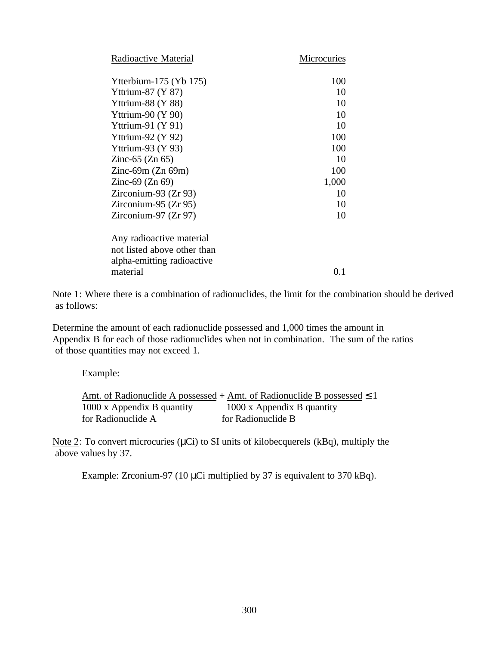| Radioactive Material        | Microcuries |
|-----------------------------|-------------|
| Ytterbium-175 (Yb 175)      | 100         |
| Yttrium-87 $(Y 87)$         | 10          |
| Yttrium-88 $(Y 88)$         | 10          |
| Yttrium-90 $(Y 90)$         | 10          |
| Yttrium-91 $(Y 91)$         | 10          |
| Yttrium-92 $(Y 92)$         | 100         |
| Yttrium-93 $(Y 93)$         | 100         |
| Zinc-65 $(Zn 65)$           | 10          |
| Zinc-69m $(Zn 69m)$         | 100         |
| Zinc-69 $(Zn 69)$           | 1,000       |
| Zirconium-93 $(Zr 93)$      | 10          |
| $Zirconium-95 (Zr 95)$      | 10          |
| Zirconium-97 $(Zr 97)$      | 10          |
| Any radioactive material    |             |
| not listed above other than |             |
| alpha-emitting radioactive  |             |
| material                    | 0.1         |

Note 1: Where there is a combination of radionuclides, the limit for the combination should be derived as follows:

Determine the amount of each radionuclide possessed and 1,000 times the amount in Appendix B for each of those radionuclides when not in combination. The sum of the ratios of those quantities may not exceed 1.

Example:

|                            | Amt. of Radionuclide A possessed + Amt. of Radionuclide B possessed $\leq 1$ |
|----------------------------|------------------------------------------------------------------------------|
| 1000 x Appendix B quantity | 1000 x Appendix B quantity                                                   |
| for Radionuclide A         | for Radionuclide B                                                           |

Note 2: To convert microcuries (μCi) to SI units of kilobecquerels (kBq), multiply the above values by 37.

Example: Zrconium-97 (10 μCi multiplied by 37 is equivalent to 370 kBq).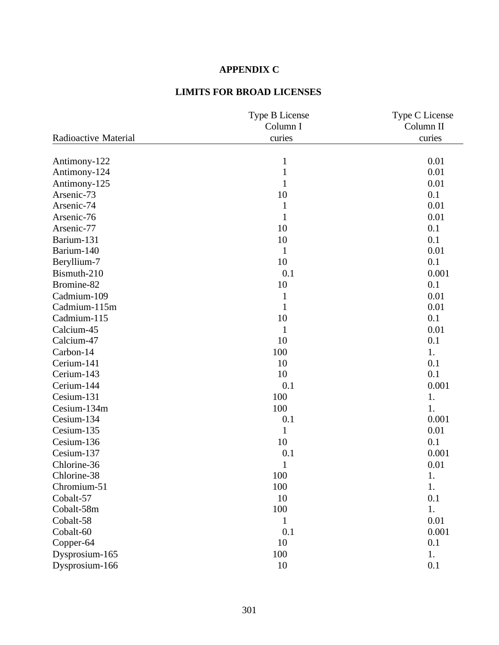# **APPENDIX C**

# **LIMITS FOR BROAD LICENSES**

|                      | Type B License<br>Column I | Type C License<br>Column II |
|----------------------|----------------------------|-----------------------------|
| Radioactive Material | curies                     | curies                      |
|                      |                            |                             |
| Antimony-122         | $\mathbf{1}$               | 0.01                        |
| Antimony-124         | $\mathbf{1}$               | 0.01                        |
| Antimony-125         | $\mathbf{1}$               | 0.01                        |
| Arsenic-73           | 10                         | 0.1                         |
| Arsenic-74           | $\mathbf{1}$               | 0.01                        |
| Arsenic-76           | $\mathbf{1}$               | 0.01                        |
| Arsenic-77           | 10                         | 0.1                         |
| Barium-131           | 10                         | 0.1                         |
| Barium-140           | 1                          | 0.01                        |
| Beryllium-7          | 10                         | 0.1                         |
| Bismuth-210          | 0.1                        | 0.001                       |
| Bromine-82           | 10                         | 0.1                         |
| Cadmium-109          | $\mathbf{1}$               | 0.01                        |
| Cadmium-115m         | $\mathbf{1}$               | 0.01                        |
| Cadmium-115          | 10                         | 0.1                         |
| Calcium-45           | $\mathbf{1}$               | 0.01                        |
| Calcium-47           | 10                         | 0.1                         |
| Carbon-14            | 100                        | 1.                          |
| Cerium-141           | 10                         | 0.1                         |
| Cerium-143           | 10                         | 0.1                         |
| Cerium-144           | 0.1                        | 0.001                       |
| Cesium-131           | 100                        | 1.                          |
| Cesium-134m          | 100                        | 1.                          |
| Cesium-134           | 0.1                        | 0.001                       |
| Cesium-135           | $\mathbf{1}$               | 0.01                        |
| Cesium-136           | 10                         | 0.1                         |
| Cesium-137           | 0.1                        | 0.001                       |
| Chlorine-36          | $\mathbf{1}$               | 0.01                        |
| Chlorine-38          | 100                        | 1.                          |
| Chromium-51          | 100                        | 1.                          |
| Cobalt-57            | 10                         | 0.1                         |
| Cobalt-58m           | 100                        | 1.                          |
| Cobalt-58            | 1                          | 0.01                        |
| Cobalt-60            | 0.1                        | 0.001                       |
| Copper-64            | 10                         | 0.1                         |
| Dysprosium-165       | 100                        | 1.                          |
| Dysprosium-166       | 10                         | 0.1                         |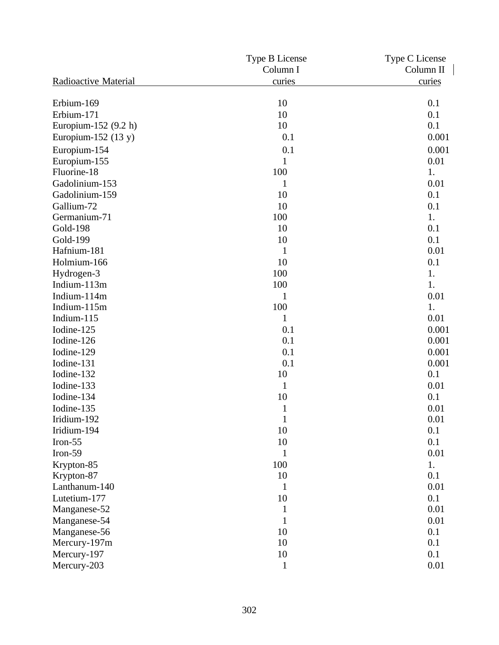|                             | Type B License | Type C License |
|-----------------------------|----------------|----------------|
|                             | Column I       | Column II      |
| Radioactive Material        | curies         | curies         |
|                             | 10             | 0.1            |
| Erbium-169<br>Erbium-171    |                | 0.1            |
|                             | 10<br>10       | 0.1            |
| Europium-152 (9.2 h)        |                |                |
| Europium-152 $(13 y)$       | 0.1            | 0.001          |
| Europium-154                | 0.1            | 0.001          |
| Europium-155                | 1              | 0.01           |
| Fluorine-18                 | 100            | 1.             |
| Gadolinium-153              | $\mathbf 1$    | 0.01           |
| Gadolinium-159              | 10             | 0.1            |
| Gallium-72                  | 10             | 0.1            |
| Germanium-71                | 100            | 1.             |
| <b>Gold-198</b>             | 10             | 0.1            |
| Gold-199                    | 10             | 0.1            |
| Hafnium-181                 | 1              | 0.01           |
| Holmium-166                 | 10             | 0.1            |
| Hydrogen-3                  | 100            | 1.             |
| Indium-113m                 | 100            | 1.             |
| Indium-114m                 | 1              | 0.01           |
| Indium-115m                 | 100            | 1.             |
| Indium-115                  | $\mathbf{1}$   | 0.01           |
| Iodine-125                  | 0.1            | 0.001          |
| Iodine-126                  | 0.1            | 0.001          |
| Iodine-129                  | 0.1            | 0.001          |
| Iodine-131                  | 0.1            | 0.001          |
| Iodine-132                  | 10             | 0.1            |
| Iodine-133                  | $\mathbf{1}$   | 0.01           |
| Iodine-134                  | 10             | 0.1            |
| Iodine-135                  | 1              | 0.01           |
| Iridium-192                 | $\mathbf{1}$   | 0.01           |
| Iridium-194                 | 10             | 0.1            |
| Iron- $55$                  | 10             | 0.1            |
| Iron-59                     | 1              | 0.01           |
| Krypton-85                  | 100            | 1.             |
|                             | 10             | 0.1            |
| Krypton-87<br>Lanthanum-140 | 1              | 0.01           |
|                             |                |                |
| Lutetium-177                | 10             | 0.1            |
| Manganese-52                | 1              | 0.01           |
| Manganese-54                | 1              | 0.01           |
| Manganese-56                | 10             | 0.1            |
| Mercury-197m                | 10             | 0.1            |
| Mercury-197                 | 10             | 0.1            |
| Mercury-203                 | $\mathbf{1}$   | 0.01           |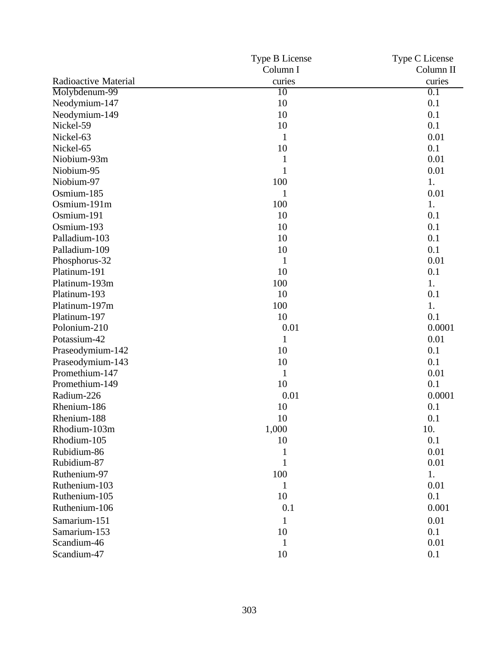|                      | Type B License | Type C License |
|----------------------|----------------|----------------|
|                      | Column I       | Column II      |
| Radioactive Material | curies         | curies         |
| Molybdenum-99        | 10             | 0.1            |
| Neodymium-147        | 10             | 0.1            |
| Neodymium-149        | 10             | 0.1            |
| Nickel-59            | 10             | 0.1            |
| Nickel-63            | $\mathbf{1}$   | 0.01           |
| Nickel-65            | 10             | 0.1            |
| Niobium-93m          | $\mathbf{1}$   | 0.01           |
| Niobium-95           | $\mathbf{1}$   | 0.01           |
| Niobium-97           | 100            | 1.             |
| Osmium-185           | $\mathbf{1}$   | 0.01           |
| Osmium-191m          | 100            | 1.             |
| Osmium-191           | 10             | 0.1            |
| Osmium-193           | 10             | 0.1            |
| Palladium-103        | 10             | 0.1            |
| Palladium-109        | 10             | 0.1            |
| Phosphorus-32        | $\mathbf{1}$   | 0.01           |
| Platinum-191         | 10             | 0.1            |
| Platinum-193m        | 100            | 1.             |
| Platinum-193         | 10             | 0.1            |
| Platinum-197m        | 100            | 1.             |
| Platinum-197         | 10             | 0.1            |
| Polonium-210         | 0.01           | 0.0001         |
| Potassium-42         | $\mathbf{1}$   | 0.01           |
| Praseodymium-142     | 10             | 0.1            |
| Praseodymium-143     | 10             | 0.1            |
| Promethium-147       | $\mathbf{1}$   | 0.01           |
| Promethium-149       | 10             | 0.1            |
| Radium-226           | 0.01           | 0.0001         |
| Rhenium-186          | 10             | 0.1            |
| Rhenium-188          | 10             | 0.1            |
| Rhodium-103m         | 1,000          | 10.            |
| Rhodium-105          | 10             | 0.1            |
| Rubidium-86          | $\mathbf{1}$   | 0.01           |
| Rubidium-87          | 1              | 0.01           |
| Ruthenium-97         | 100            | 1.             |
| Ruthenium-103        | 1              | 0.01           |
| Ruthenium-105        | 10             | 0.1            |
| Ruthenium-106        | 0.1            | 0.001          |
| Samarium-151         | 1              | 0.01           |
| Samarium-153         | 10             | 0.1            |
| Scandium-46          | $\mathbf{1}$   | 0.01           |
| Scandium-47          | 10             | 0.1            |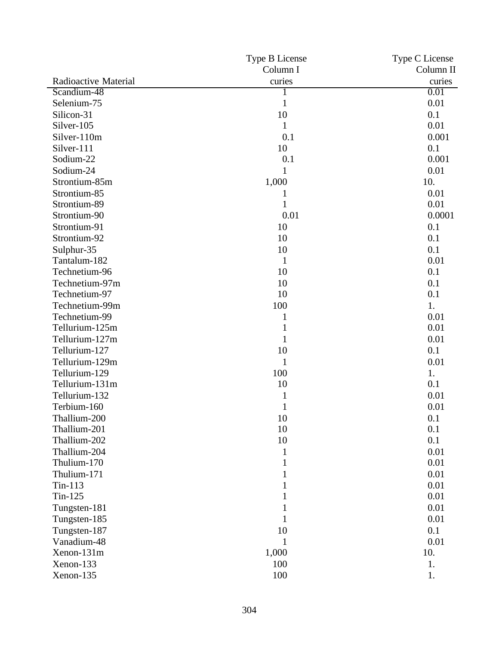|                      | Type B License | Type C License |
|----------------------|----------------|----------------|
|                      | Column I       | Column II      |
| Radioactive Material | curies         | curies         |
| Scandium-48          |                | 0.01           |
| Selenium-75          | $\mathbf{1}$   | 0.01           |
| Silicon-31           | 10             | 0.1            |
| Silver-105           |                | 0.01           |
| Silver-110m          | 0.1            | 0.001          |
| Silver-111           | 10             | 0.1            |
| Sodium-22            | 0.1            | 0.001          |
| Sodium-24            | 1              | 0.01           |
| Strontium-85m        | 1,000          | 10.            |
| Strontium-85         | 1              | 0.01           |
| Strontium-89         |                | 0.01           |
| Strontium-90         | 0.01           | 0.0001         |
| Strontium-91         | 10             | 0.1            |
| Strontium-92         | 10             | 0.1            |
| Sulphur-35           | 10             | 0.1            |
| Tantalum-182         | 1              | 0.01           |
| Technetium-96        | 10             | 0.1            |
| Technetium-97m       | 10             | 0.1            |
| Technetium-97        | 10             | 0.1            |
| Technetium-99m       | 100            | 1.             |
| Technetium-99        | 1              | 0.01           |
| Tellurium-125m       |                | 0.01           |
| Tellurium-127m       |                | 0.01           |
| Tellurium-127        | 10             | 0.1            |
| Tellurium-129m       | 1              | 0.01           |
| Tellurium-129        | 100            | 1.             |
| Tellurium-131m       | 10             | 0.1            |
| Tellurium-132        | 1              | 0.01           |
| Terbium-160          |                | 0.01           |
| Thallium-200         | 10             | 0.1            |
| Thallium-201         | 10             | 0.1            |
| Thallium-202         | 10             | 0.1            |
| Thallium-204         | 1              | 0.01           |
| Thulium-170          |                | 0.01           |
| Thulium-171          |                | 0.01           |
| $Tin-113$            |                | 0.01           |
| $Tin-125$            |                | 0.01           |
| Tungsten-181         |                | 0.01           |
| Tungsten-185         |                | 0.01           |
| Tungsten-187         | 10             | 0.1            |
| Vanadium-48          | 1              | 0.01           |
| Xenon-131m           | 1,000          | 10.            |
| Xenon-133            | 100            | 1.             |
| Xenon-135            | 100            | 1.             |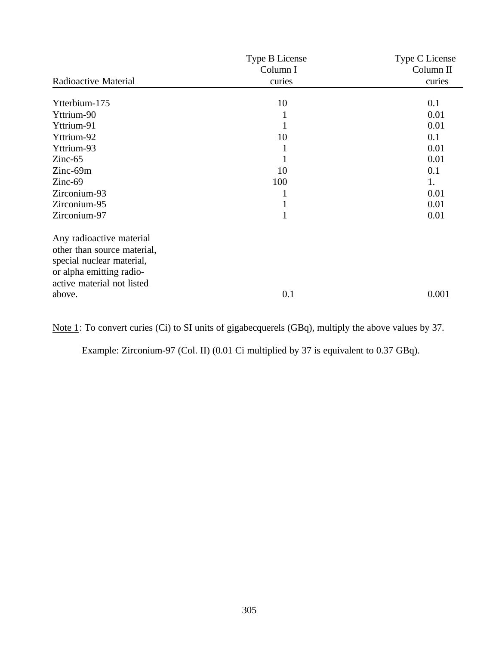|                             | Type B License | Type C License |
|-----------------------------|----------------|----------------|
|                             | Column I       | Column II      |
| Radioactive Material        | curies         | curies         |
| Ytterbium-175               | 10             | 0.1            |
| Yttrium-90                  | 1              | 0.01           |
| Yttrium-91                  | 1              | 0.01           |
| Yttrium-92                  | 10             | 0.1            |
| Yttrium-93                  | 1              | 0.01           |
| $Zinc-65$                   | 1              | 0.01           |
| Zinc-69m                    | 10             | 0.1            |
| $Zinc-69$                   | 100            | 1.             |
| Zirconium-93                | 1              | 0.01           |
| Zirconium-95                | 1              | 0.01           |
| Zirconium-97                | $\mathbf{1}$   | 0.01           |
| Any radioactive material    |                |                |
| other than source material, |                |                |
| special nuclear material,   |                |                |
| or alpha emitting radio-    |                |                |
| active material not listed  |                |                |
| above.                      | 0.1            | 0.001          |

Note 1: To convert curies (Ci) to SI units of gigabecquerels (GBq), multiply the above values by 37.

Example: Zirconium-97 (Col. II) (0.01 Ci multiplied by 37 is equivalent to 0.37 GBq).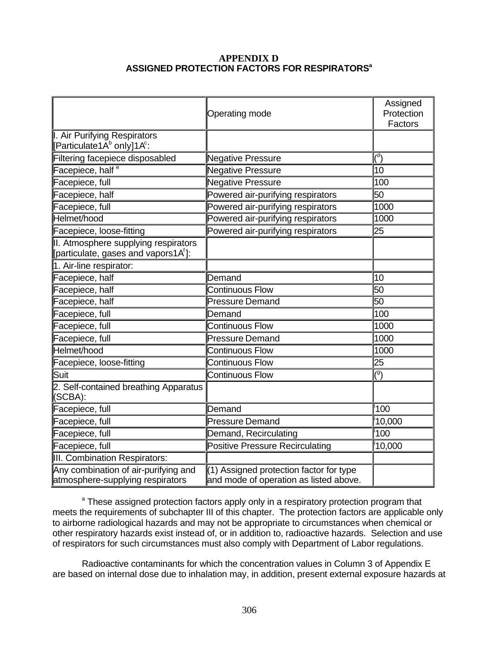### **APPENDIX D ASSIGNED PROTECTION FACTORS FOR RESPIRATORS<sup>a</sup>**

|                                                                                          | Operating mode                                                                    | Assigned<br>Protection<br>Factors |
|------------------------------------------------------------------------------------------|-----------------------------------------------------------------------------------|-----------------------------------|
| I. Air Purifying Respirators<br>[Particulate1A <sup>b</sup> only]1A <sup>c</sup> :       |                                                                                   |                                   |
| Filtering facepiece disposabled                                                          | <b>Negative Pressure</b>                                                          | $\binom{d}{ }$                    |
| Facepiece, half <sup>e</sup>                                                             | <b>Negative Pressure</b>                                                          | 10                                |
| Facepiece, full                                                                          | <b>Negative Pressure</b>                                                          | 100                               |
| Facepiece, half                                                                          | Powered air-purifying respirators                                                 | 50                                |
| Facepiece, full                                                                          | Powered air-purifying respirators                                                 | 1000                              |
| Helmet/hood                                                                              | Powered air-purifying respirators                                                 | 1000                              |
| Facepiece, loose-fitting                                                                 | Powered air-purifying respirators                                                 | 25                                |
| II. Atmosphere supplying respirators<br>[particulate, gases and vapors1A <sup>f</sup> ]: |                                                                                   |                                   |
| 1. Air-line respirator:                                                                  |                                                                                   |                                   |
| Facepiece, half                                                                          | Demand                                                                            | 10                                |
| Facepiece, half                                                                          | <b>Continuous Flow</b>                                                            | $\overline{50}$                   |
| Facepiece, half                                                                          | <b>Pressure Demand</b>                                                            | $\overline{50}$                   |
| Facepiece, full                                                                          | Demand                                                                            | 100                               |
| Facepiece, full                                                                          | <b>Continuous Flow</b>                                                            | 1000                              |
| Facepiece, full                                                                          | <b>Pressure Demand</b>                                                            | 1000                              |
| Helmet/hood                                                                              | <b>Continuous Flow</b>                                                            | 1000                              |
| Facepiece, loose-fitting                                                                 | <b>Continuous Flow</b>                                                            | 25                                |
| Suit                                                                                     | <b>Continuous Flow</b>                                                            | $\overline{(^9)}$                 |
| 2. Self-contained breathing Apparatus<br>(SCBA):                                         |                                                                                   |                                   |
| Facepiece, full                                                                          | Demand                                                                            | 100                               |
| Facepiece, full                                                                          | <b>Pressure Demand</b>                                                            | 10,000                            |
| Facepiece, full                                                                          | Demand, Recirculating                                                             | 100                               |
| Facepiece, full                                                                          | <b>Positive Pressure Recirculating</b>                                            | 10,000                            |
| III. Combination Respirators:                                                            |                                                                                   |                                   |
| Any combination of air-purifying and<br>atmosphere-supplying respirators                 | (1) Assigned protection factor for type<br>and mode of operation as listed above. |                                   |

<sup>a</sup> These assigned protection factors apply only in a respiratory protection program that meets the requirements of subchapter III of this chapter. The protection factors are applicable only to airborne radiological hazards and may not be appropriate to circumstances when chemical or other respiratory hazards exist instead of, or in addition to, radioactive hazards. Selection and use of respirators for such circumstances must also comply with Department of Labor regulations.

Radioactive contaminants for which the concentration values in Column 3 of Appendix E are based on internal dose due to inhalation may, in addition, present external exposure hazards at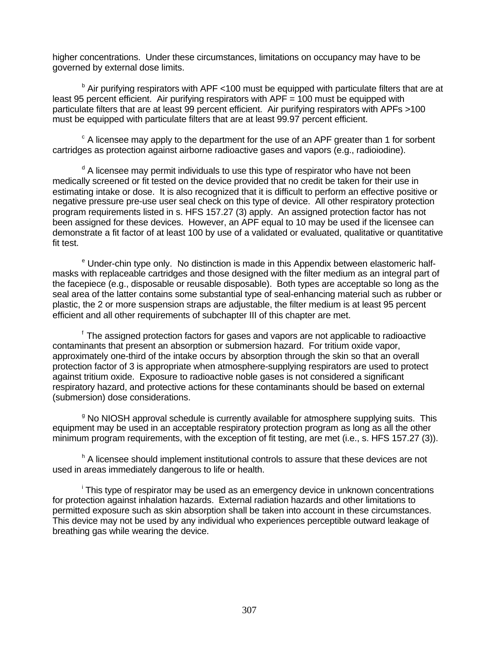higher concentrations. Under these circumstances, limitations on occupancy may have to be governed by external dose limits.

<sup>b</sup> Air purifying respirators with APF <100 must be equipped with particulate filters that are at least 95 percent efficient. Air purifying respirators with  $APF = 100$  must be equipped with particulate filters that are at least 99 percent efficient. Air purifying respirators with APFs >100 must be equipped with particulate filters that are at least 99.97 percent efficient.

 $\textdegree$  A licensee may apply to the department for the use of an APF greater than 1 for sorbent cartridges as protection against airborne radioactive gases and vapors (e.g., radioiodine).

<sup>d</sup> A licensee may permit individuals to use this type of respirator who have not been medically screened or fit tested on the device provided that no credit be taken for their use in estimating intake or dose. It is also recognized that it is difficult to perform an effective positive or negative pressure pre-use user seal check on this type of device. All other respiratory protection program requirements listed in s. HFS 157.27 (3) apply. An assigned protection factor has not been assigned for these devices. However, an APF equal to 10 may be used if the licensee can demonstrate a fit factor of at least 100 by use of a validated or evaluated, qualitative or quantitative fit test.

<sup>e</sup> Under-chin type only. No distinction is made in this Appendix between elastomeric halfmasks with replaceable cartridges and those designed with the filter medium as an integral part of the facepiece (e.g., disposable or reusable disposable). Both types are acceptable so long as the seal area of the latter contains some substantial type of seal-enhancing material such as rubber or plastic, the 2 or more suspension straps are adjustable, the filter medium is at least 95 percent efficient and all other requirements of subchapter III of this chapter are met.

<sup>f</sup> The assigned protection factors for gases and vapors are not applicable to radioactive contaminants that present an absorption or submersion hazard. For tritium oxide vapor, approximately one-third of the intake occurs by absorption through the skin so that an overall protection factor of 3 is appropriate when atmosphere-supplying respirators are used to protect against tritium oxide. Exposure to radioactive noble gases is not considered a significant respiratory hazard, and protective actions for these contaminants should be based on external (submersion) dose considerations.

<sup>g</sup> No NIOSH approval schedule is currently available for atmosphere supplying suits. This equipment may be used in an acceptable respiratory protection program as long as all the other minimum program requirements, with the exception of fit testing, are met (i.e., s. HFS 157.27 (3)).

<sup>h</sup> A licensee should implement institutional controls to assure that these devices are not used in areas immediately dangerous to life or health.

<sup>i</sup> This type of respirator may be used as an emergency device in unknown concentrations for protection against inhalation hazards. External radiation hazards and other limitations to permitted exposure such as skin absorption shall be taken into account in these circumstances. This device may not be used by any individual who experiences perceptible outward leakage of breathing gas while wearing the device.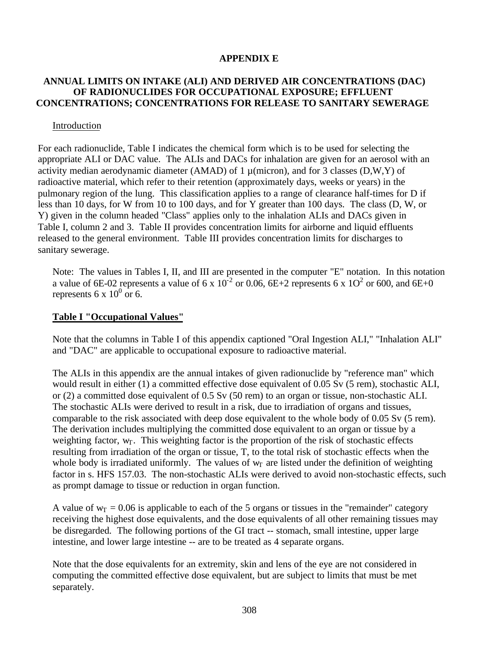### **APPENDIX E**

### **ANNUAL LIMITS ON INTAKE (ALI) AND DERIVED AIR CONCENTRATIONS (DAC) OF RADIONUCLIDES FOR OCCUPATIONAL EXPOSURE; EFFLUENT CONCENTRATIONS; CONCENTRATIONS FOR RELEASE TO SANITARY SEWERAGE**

### Introduction

For each radionuclide, Table I indicates the chemical form which is to be used for selecting the appropriate ALI or DAC value. The ALIs and DACs for inhalation are given for an aerosol with an activity median aerodynamic diameter (AMAD) of 1  $\mu$ (micron), and for 3 classes (D,W,Y) of radioactive material, which refer to their retention (approximately days, weeks or years) in the pulmonary region of the lung. This classification applies to a range of clearance half-times for D if less than 10 days, for W from 10 to 100 days, and for Y greater than 100 days. The class (D, W, or Y) given in the column headed "Class" applies only to the inhalation ALIs and DACs given in Table I, column 2 and 3. Table II provides concentration limits for airborne and liquid effluents released to the general environment. Table III provides concentration limits for discharges to sanitary sewerage.

Note: The values in Tables I, II, and III are presented in the computer "E" notation. In this notation a value of 6E-02 represents a value of 6 x  $10^{-2}$  or 0.06, 6E+2 represents 6 x  $10^{2}$  or 600, and 6E+0 represents 6 x  $10^0$  or 6.

### **Table I "Occupational Values"**

Note that the columns in Table I of this appendix captioned "Oral Ingestion ALI," "Inhalation ALI" and "DAC" are applicable to occupational exposure to radioactive material.

The ALIs in this appendix are the annual intakes of given radionuclide by "reference man" which would result in either (1) a committed effective dose equivalent of 0.05 Sv (5 rem), stochastic ALI, or (2) a committed dose equivalent of 0.5 Sv (50 rem) to an organ or tissue, non-stochastic ALI. The stochastic ALIs were derived to result in a risk, due to irradiation of organs and tissues, comparable to the risk associated with deep dose equivalent to the whole body of 0.05 Sv (5 rem). The derivation includes multiplying the committed dose equivalent to an organ or tissue by a weighting factor,  $w_T$ . This weighting factor is the proportion of the risk of stochastic effects resulting from irradiation of the organ or tissue, T, to the total risk of stochastic effects when the whole body is irradiated uniformly. The values of  $w<sub>T</sub>$  are listed under the definition of weighting factor in s. HFS 157.03. The non-stochastic ALIs were derived to avoid non-stochastic effects, such as prompt damage to tissue or reduction in organ function.

A value of  $w_T = 0.06$  is applicable to each of the 5 organs or tissues in the "remainder" category receiving the highest dose equivalents, and the dose equivalents of all other remaining tissues may be disregarded. The following portions of the GI tract -- stomach, small intestine, upper large intestine, and lower large intestine -- are to be treated as 4 separate organs.

Note that the dose equivalents for an extremity, skin and lens of the eye are not considered in computing the committed effective dose equivalent, but are subject to limits that must be met separately.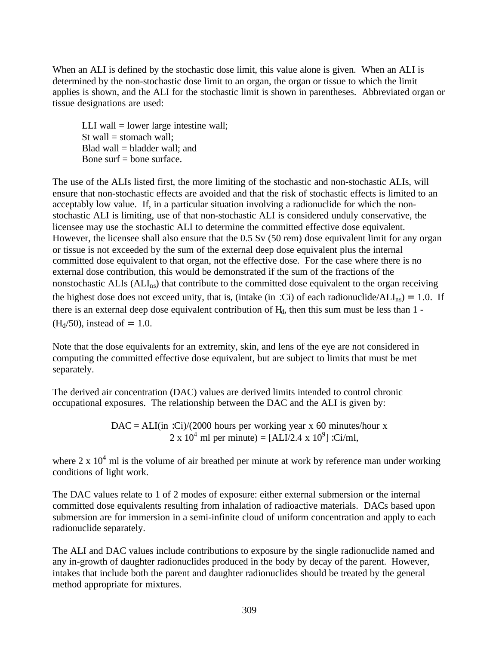When an ALI is defined by the stochastic dose limit, this value alone is given. When an ALI is determined by the non-stochastic dose limit to an organ, the organ or tissue to which the limit applies is shown, and the ALI for the stochastic limit is shown in parentheses. Abbreviated organ or tissue designations are used:

LLI wall  $=$  lower large intestine wall; St wall  $=$  stomach wall: Blad wall = bladder wall; and Bone surf  $=$  bone surface.

The use of the ALIs listed first, the more limiting of the stochastic and non-stochastic ALIs, will ensure that non-stochastic effects are avoided and that the risk of stochastic effects is limited to an acceptably low value. If, in a particular situation involving a radionuclide for which the nonstochastic ALI is limiting, use of that non-stochastic ALI is considered unduly conservative, the licensee may use the stochastic ALI to determine the committed effective dose equivalent. However, the licensee shall also ensure that the 0.5 Sv (50 rem) dose equivalent limit for any organ or tissue is not exceeded by the sum of the external deep dose equivalent plus the internal committed dose equivalent to that organ, not the effective dose. For the case where there is no external dose contribution, this would be demonstrated if the sum of the fractions of the nonstochastic ALIs  $(ALI_{ns})$  that contribute to the committed dose equivalent to the organ receiving the highest dose does not exceed unity, that is, (intake (in :Ci) of each radionuclide/ $ALI_{ns}$ ) = 1.0. If there is an external deep dose equivalent contribution of  $H_d$ , then this sum must be less than  $1$  - $(H<sub>d</sub>/50)$ , instead of = 1.0.

Note that the dose equivalents for an extremity, skin, and lens of the eye are not considered in computing the committed effective dose equivalent, but are subject to limits that must be met separately.

The derived air concentration (DAC) values are derived limits intended to control chronic occupational exposures. The relationship between the DAC and the ALI is given by:

> $DAC = ALL(in :Ci)/(2000 hours per working year x 60 minutes/hour x)$ 2 x 10<sup>4</sup> ml per minute) = [ALI/2.4 x 10<sup>9</sup>] :Ci/ml,

where  $2 \times 10^4$  ml is the volume of air breathed per minute at work by reference man under working conditions of light work.

The DAC values relate to 1 of 2 modes of exposure: either external submersion or the internal committed dose equivalents resulting from inhalation of radioactive materials. DACs based upon submersion are for immersion in a semi-infinite cloud of uniform concentration and apply to each radionuclide separately.

The ALI and DAC values include contributions to exposure by the single radionuclide named and any in-growth of daughter radionuclides produced in the body by decay of the parent. However, intakes that include both the parent and daughter radionuclides should be treated by the general method appropriate for mixtures.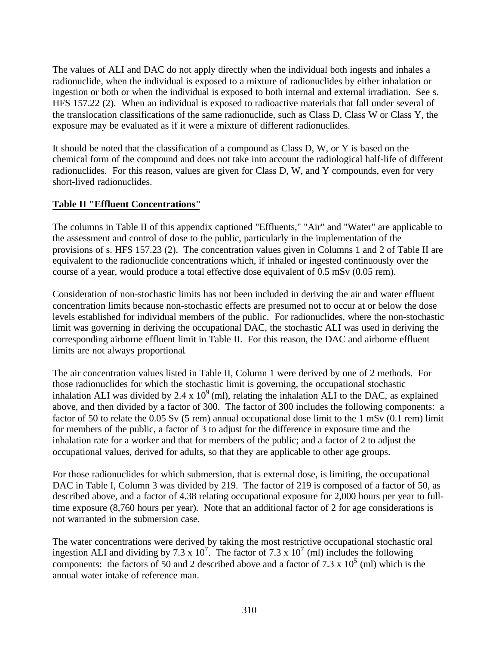The values of ALI and DAC do not apply directly when the individual both ingests and inhales a radionuclide, when the individual is exposed to a mixture of radionuclides by either inhalation or ingestion or both or when the individual is exposed to both internal and external irradiation. See s. HFS 157.22 (2). When an individual is exposed to radioactive materials that fall under several of the translocation classifications of the same radionuclide, such as Class D, Class W or Class Y, the exposure may be evaluated as if it were a mixture of different radionuclides.

It should be noted that the classification of a compound as Class D, W, or Y is based on the chemical form of the compound and does not take into account the radiological half-life of different radionuclides. For this reason, values are given for Class D, W, and Y compounds, even for very short-lived radionuclides.

## **Table II "Effluent Concentrations"**

The columns in Table II of this appendix captioned "Effluents," "Air" and "Water" are applicable to the assessment and control of dose to the public, particularly in the implementation of the provisions of s. HFS 157.23 (2). The concentration values given in Columns 1 and 2 of Table II are equivalent to the radionuclide concentrations which, if inhaled or ingested continuously over the course of a year, would produce a total effective dose equivalent of 0.5 mSv (0.05 rem).

Consideration of non-stochastic limits has not been included in deriving the air and water effluent concentration limits because non-stochastic effects are presumed not to occur at or below the dose levels established for individual members of the public. For radionuclides, where the non-stochastic limit was governing in deriving the occupational DAC, the stochastic ALI was used in deriving the corresponding airborne effluent limit in Table II. For this reason, the DAC and airborne effluent limits are not always proportional*.*

The air concentration values listed in Table II, Column 1 were derived by one of 2 methods. For those radionuclides for which the stochastic limit is governing, the occupational stochastic inhalation ALI was divided by 2.4 x  $10^9$  (ml), relating the inhalation ALI to the DAC, as explained above, and then divided by a factor of 300. The factor of 300 includes the following components: a factor of 50 to relate the 0.05 Sv (5 rem) annual occupational dose limit to the 1 mSv (0.1 rem) limit for members of the public, a factor of 3 to adjust for the difference in exposure time and the inhalation rate for a worker and that for members of the public; and a factor of 2 to adjust the occupational values, derived for adults, so that they are applicable to other age groups.

For those radionuclides for which submersion, that is external dose, is limiting, the occupational DAC in Table I, Column 3 was divided by 219. The factor of 219 is composed of a factor of 50, as described above, and a factor of 4.38 relating occupational exposure for 2,000 hours per year to fulltime exposure (8,760 hours per year). Note that an additional factor of 2 for age considerations is not warranted in the submersion case.

The water concentrations were derived by taking the most restrictive occupational stochastic oral ingestion ALI and dividing by 7.3 x  $10^7$ . The factor of 7.3 x  $10^7$  (ml) includes the following components: the factors of 50 and 2 described above and a factor of 7.3 x  $10^5$  (ml) which is the annual water intake of reference man.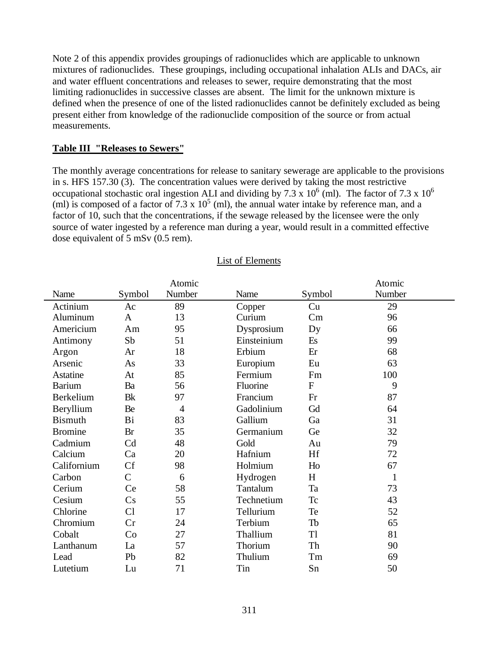Note 2 of this appendix provides groupings of radionuclides which are applicable to unknown mixtures of radionuclides. These groupings, including occupational inhalation ALIs and DACs, air and water effluent concentrations and releases to sewer, require demonstrating that the most limiting radionuclides in successive classes are absent. The limit for the unknown mixture is defined when the presence of one of the listed radionuclides cannot be definitely excluded as being present either from knowledge of the radionuclide composition of the source or from actual measurements.

## **Table III "Releases to Sewers"**

The monthly average concentrations for release to sanitary sewerage are applicable to the provisions in s. HFS 157.30 (3). The concentration values were derived by taking the most restrictive occupational stochastic oral ingestion ALI and dividing by 7.3 x  $10^6$  (ml). The factor of 7.3 x  $10^6$ (ml) is composed of a factor of 7.3 x  $10^5$  (ml), the annual water intake by reference man, and a factor of 10, such that the concentrations, if the sewage released by the licensee were the only source of water ingested by a reference man during a year, would result in a committed effective dose equivalent of 5 mSv (0.5 rem).

|                |              | Atomic         |             |                  | Atomic |
|----------------|--------------|----------------|-------------|------------------|--------|
| Name           | Symbol       | Number         | Name        | Symbol           | Number |
| Actinium       | Ac           | 89             | Copper      | Cu               | 29     |
| Aluminum       | $\mathbf{A}$ | 13             | Curium      | Cm               | 96     |
| Americium      | Am           | 95             | Dysprosium  | Dy               | 66     |
| Antimony       | Sb           | 51             | Einsteinium | Es               | 99     |
| Argon          | Ar           | 18             | Erbium      | Er               | 68     |
| Arsenic        | As           | 33             | Europium    | Eu               | 63     |
| Astatine       | At           | 85             | Fermium     | Fm               | 100    |
| <b>Barium</b>  | Ba           | 56             | Fluorine    | $\boldsymbol{F}$ | 9      |
| Berkelium      | <b>B</b> k   | 97             | Francium    | Fr               | 87     |
| Beryllium      | Be           | $\overline{4}$ | Gadolinium  | Gd               | 64     |
| <b>Bismuth</b> | <b>Bi</b>    | 83             | Gallium     | Ga               | 31     |
| <b>Bromine</b> | <b>Br</b>    | 35             | Germanium   | Ge               | 32     |
| Cadmium        | Cd           | 48             | Gold        | Au               | 79     |
| Calcium        | Ca           | 20             | Hafnium     | Hf               | 72     |
| Californium    | Cf           | 98             | Holmium     | Ho               | 67     |
| Carbon         | $\mathbf C$  | 6              | Hydrogen    | H                | 1      |
| Cerium         | Ce           | 58             | Tantalum    | Ta               | 73     |
| Cesium         | Cs           | 55             | Technetium  | <b>Tc</b>        | 43     |
| Chlorine       | Cl           | 17             | Tellurium   | Te               | 52     |
| Chromium       | Cr           | 24             | Terbium     | Tb               | 65     |
| Cobalt         | Co           | 27             | Thallium    | T <sub>1</sub>   | 81     |
| Lanthanum      | La           | 57             | Thorium     | Th               | 90     |
| Lead           | Pb           | 82             | Thulium     | Tm               | 69     |
| Lutetium       | Lu           | 71             | Tin         | Sn               | 50     |

### List of Elements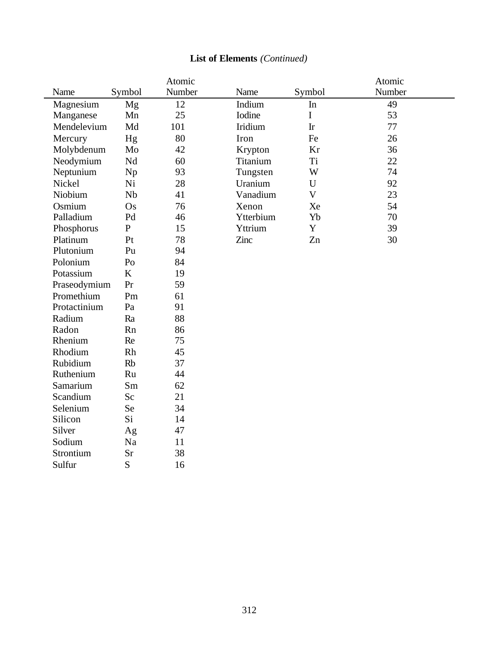|              |                | Atomic |           |             | Atomic |
|--------------|----------------|--------|-----------|-------------|--------|
| Name         | Symbol         | Number | Name      | Symbol      | Number |
| Magnesium    | Mg             | 12     | Indium    | In          | 49     |
| Manganese    | Mn             | 25     | Iodine    | $\mathbf I$ | 53     |
| Mendelevium  | Md             | 101    | Iridium   | Ir          | 77     |
| Mercury      | Hg             | 80     | Iron      | Fe          | 26     |
| Molybdenum   | Mo             | 42     | Krypton   | Kr          | 36     |
| Neodymium    | $\rm Nd$       | 60     | Titanium  | Ti          | 22     |
| Neptunium    | Np             | 93     | Tungsten  | W           | 74     |
| Nickel       | Ni             | 28     | Uranium   | $\mathbf U$ | 92     |
| Niobium      | Nb             | 41     | Vanadium  | $\mathbf V$ | 23     |
| Osmium       | Os             | 76     | Xenon     | Xe          | 54     |
| Palladium    | Pd             | 46     | Ytterbium | Yb          | 70     |
| Phosphorus   | ${\bf P}$      | 15     | Yttrium   | Y           | 39     |
| Platinum     | Pt             | 78     | Zinc      | Zn          | 30     |
| Plutonium    | Pu             | 94     |           |             |        |
| Polonium     | P <sub>0</sub> | 84     |           |             |        |
| Potassium    | K              | 19     |           |             |        |
| Praseodymium | Pr             | 59     |           |             |        |
| Promethium   | Pm             | 61     |           |             |        |
| Protactinium | Pa             | 91     |           |             |        |
| Radium       | Ra             | 88     |           |             |        |
| Radon        | Rn             | 86     |           |             |        |
| Rhenium      | Re             | 75     |           |             |        |
| Rhodium      | Rh             | 45     |           |             |        |
| Rubidium     | <b>Rb</b>      | 37     |           |             |        |
| Ruthenium    | Ru             | 44     |           |             |        |
| Samarium     | Sm             | 62     |           |             |        |
| Scandium     | Sc             | 21     |           |             |        |
| Selenium     | Se             | 34     |           |             |        |
| Silicon      | Si             | 14     |           |             |        |
| Silver       | Ag             | 47     |           |             |        |
| Sodium       | Na             | 11     |           |             |        |
| Strontium    | Sr             | 38     |           |             |        |
| Sulfur       | S              | 16     |           |             |        |
|              |                |        |           |             |        |

# **List of Elements** *(Continued)*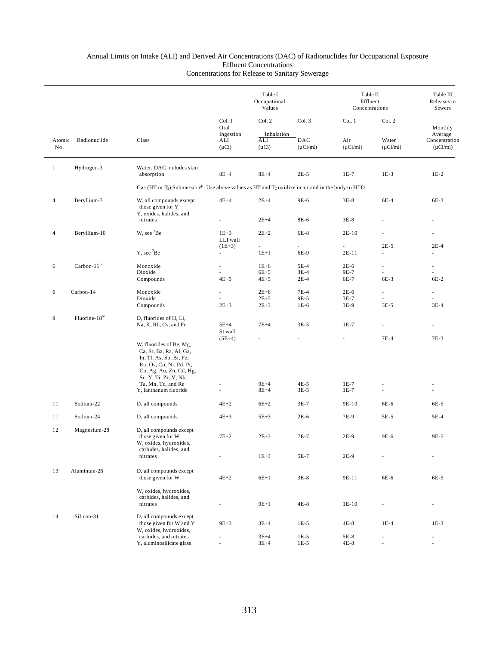|                |                     |                                                                                                                                         |                          | Table I<br>Occupational<br>Values |               |               | Table II<br>Effluent<br>Concentrations |                          |  |
|----------------|---------------------|-----------------------------------------------------------------------------------------------------------------------------------------|--------------------------|-----------------------------------|---------------|---------------|----------------------------------------|--------------------------|--|
|                |                     |                                                                                                                                         | Col. 1<br>Oral           | Col. 2                            | Col. 3        | Col. 1        | Col. 2                                 | Monthly                  |  |
|                |                     |                                                                                                                                         | Ingestion                | Inhalation                        |               |               |                                        | Average                  |  |
| Atomic         | Radionuclide        | Class                                                                                                                                   | ALI                      | $\mathbf{ALI}$                    | DAC           | Air           | Water                                  | Concentration            |  |
| No.            |                     |                                                                                                                                         | $(\mu Ci)$               | $(\mu Ci)$                        | $(\mu$ Ci/ml) | $(\mu Ci/ml)$ | $(\mu$ Ci/ml)                          | $(\mu Ci/ml)$            |  |
| $\mathbf{1}$   | Hydrogen-3          | Water, DAC includes skin                                                                                                                |                          |                                   |               |               |                                        |                          |  |
|                |                     | absorption                                                                                                                              | $8E+4$                   | $8E+4$                            | $2E-5$        | $1E-7$        | $1E-3$                                 | $1E-2$                   |  |
|                |                     | Gas (HT or T <sub>2</sub> ) Submersion <sup>2</sup> ': Use above values as HT and T <sub>2</sub> oxidize in air and in the body to HTO. |                          |                                   |               |               |                                        |                          |  |
| $\overline{4}$ | Beryllium-7         | W, all compounds except<br>those given for Y<br>Y, oxides, halides, and                                                                 | $4E+4$                   | $2E+4$                            | 9E-6          | $3E-8$        | 6E-4                                   | $6E-3$                   |  |
|                |                     | nitrates                                                                                                                                |                          | $2E+4$                            | 8E-6          | $3E-8$        |                                        |                          |  |
| $\overline{4}$ | Beryllium-10        | W, see <sup>7</sup> Be                                                                                                                  | $1E+3$                   | $2E+2$                            | 6E-8          | $2E-10$       |                                        |                          |  |
|                |                     |                                                                                                                                         | LLI wall                 |                                   |               |               |                                        |                          |  |
|                |                     | $Y$ , see ${}^{7}Be$                                                                                                                    | $(1E+3)$                 | $\sim$<br>$1E+1$                  | 6E-9          | ä,<br>$2E-11$ | $2E-5$<br>ä,                           | $2E-4$                   |  |
|                |                     |                                                                                                                                         | $\overline{\phantom{a}}$ |                                   |               |               |                                        |                          |  |
| 6              | Carbon-11 $^{b}$    | Monoxide                                                                                                                                | ä,                       | $1E+6$                            | $5E-4$        | $2E-6$        | $\overline{\phantom{a}}$               | $\overline{\phantom{a}}$ |  |
|                |                     | Dioxide                                                                                                                                 |                          | $6E+5$                            | $3E-4$        | 9E-7          |                                        |                          |  |
|                |                     | Compounds                                                                                                                               | $4E+5$                   | $4E+5$                            | $2E-4$        | 6E-7          | 6E-3                                   | $6E-2$                   |  |
| 6              | Carbon-14           | Monoxide                                                                                                                                | ×.                       | $2E+6$                            | $7E-4$        | $2E-6$        | ä,                                     | $\overline{\phantom{a}}$ |  |
|                |                     | Dioxide                                                                                                                                 |                          | $2E + 5$                          | 9E-5          | $3E-7$        |                                        |                          |  |
|                |                     | Compounds                                                                                                                               | $2E+3$                   | $2E+3$                            | $1E-6$        | 3E-9          | $3E-5$                                 | $3E-4$                   |  |
| 9              | Fluorine- $18^{b/}$ | D, fluorides of H, Li,                                                                                                                  |                          |                                   |               |               |                                        |                          |  |
|                |                     | Na, K, Rb, Cs, and Fr                                                                                                                   | $5E+4$<br>St wall        | $7E+4$                            | $3E-5$        | $1E-7$        | ٠                                      |                          |  |
|                |                     |                                                                                                                                         | $(5E+4)$                 |                                   |               |               | $7E-4$                                 | $7E-3$                   |  |
|                |                     | W, fluorides of Be, Mg,<br>Ca, Sr, Ba, Ra, Al, Ga,<br>In, Tl, As, Sb, Bi, Fe,<br>Ru, Os, Co, Ni, Pd, Pt,<br>Cu, Ag, Au, Zn, Cd, Hg,     |                          |                                   |               |               |                                        |                          |  |
|                |                     | Sc, Y, Ti, Zr, V, Nb,                                                                                                                   |                          |                                   |               |               |                                        |                          |  |
|                |                     | Ta, Mn, Tc, and Re                                                                                                                      |                          | $9E+4$                            | $4E-5$        | $1E-7$        |                                        |                          |  |
|                |                     | Y, lanthanum fluoride                                                                                                                   |                          | $8E+4$                            | $3E-5$        | $1E-7$        |                                        |                          |  |
| 11             | Sodium-22           | D, all compounds                                                                                                                        | $4E+2$                   | $6E+2$                            | $3E-7$        | 9E-10         | 6E-6                                   | 6E-5                     |  |
| 11             | Sodium-24           | D, all compounds                                                                                                                        | $4E+3$                   | $5E+3$                            | $2E-6$        | 7E-9          | 5E-5                                   | $5E-4$                   |  |
| 12             | Magnesium-28        | D, all compounds except                                                                                                                 |                          |                                   |               |               |                                        |                          |  |
|                |                     | those given for W<br>W, oxides, hydroxides,                                                                                             | $7E+2$                   | $2E+3$                            | 7E-7          | $2E-9$        | 9E-6                                   | 9E-5                     |  |
|                |                     | carbides, halides, and                                                                                                                  |                          |                                   |               |               |                                        |                          |  |
|                |                     | nitrates                                                                                                                                |                          | $1E+3$                            | 5E-7          | 2E-9          |                                        |                          |  |
| 13             | Aluminum-26         | D, all compounds except                                                                                                                 |                          |                                   |               |               |                                        |                          |  |
|                |                     | those given for W                                                                                                                       | $4E+2$                   | $6E+1$                            | $3E-8$        | 9E-11         | 6E-6                                   | 6E-5                     |  |
|                |                     | W, oxides, hydroxides,                                                                                                                  |                          |                                   |               |               |                                        |                          |  |
|                |                     | carbides, halides, and<br>nitrates                                                                                                      |                          | $9E+1$                            | 4E-8          | 1E-10         |                                        |                          |  |
|                |                     |                                                                                                                                         |                          |                                   |               |               |                                        |                          |  |
| 14             | Silicon-31          | D, all compounds except<br>those given for W and Y                                                                                      | $9E + 3$                 | $3E+4$                            | $1E-5$        | $4E-8$        | $1E-4$                                 | $1E-3$                   |  |
|                |                     | W, oxides, hydroxides,                                                                                                                  |                          |                                   |               |               |                                        |                          |  |
|                |                     | carbides, and nitrates                                                                                                                  |                          | $3E+4$                            | $1E-5$        | 5E-8          |                                        |                          |  |
|                |                     | Y, aluminosilicate glass                                                                                                                |                          | $3E+4$                            | $1E-5$        | 4E-8          |                                        |                          |  |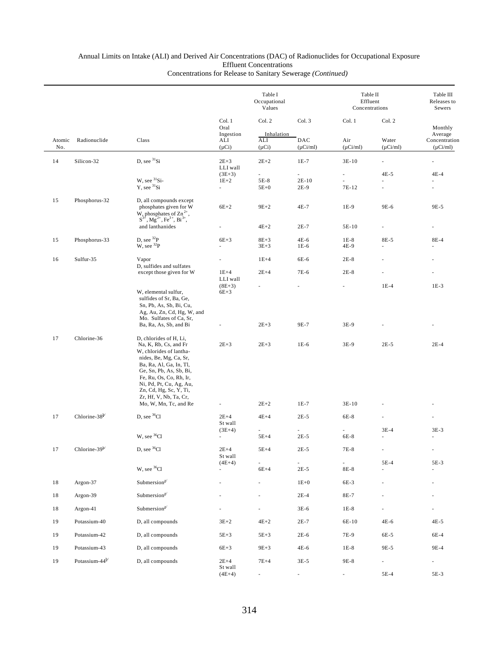|               |                            |                                                                                                                                                                                                                                                                      |                                                | Table I<br>Occupational<br>Values |                         |                      | Table II<br>Effluent<br>Concentrations |                                           |         |
|---------------|----------------------------|----------------------------------------------------------------------------------------------------------------------------------------------------------------------------------------------------------------------------------------------------------------------|------------------------------------------------|-----------------------------------|-------------------------|----------------------|----------------------------------------|-------------------------------------------|---------|
|               |                            |                                                                                                                                                                                                                                                                      |                                                |                                   | Col. 2                  | Col. 3               | Col. 1                                 | Col. 2                                    | Monthly |
| Atomic<br>No. | Radionuclide               | Class                                                                                                                                                                                                                                                                | Ingestion<br>ALI<br>$(\mu Ci)$                 | Inhalation<br>ALI<br>$(\mu Ci)$   | DAC<br>$(\mu Ci/ml)$    | Air<br>$(\mu Ci/ml)$ | Water<br>$(\mu Ci/ml)$                 | Average<br>Concentration<br>$(\mu$ Ci/ml) |         |
| 14            | Silicon-32                 | $D$ , see ${}^{31}Si$                                                                                                                                                                                                                                                | $2E + 3$<br>LLI wall                           | $2E+2$                            | $1E-7$                  | $3E-10$              |                                        |                                           |         |
|               |                            | W, see 31Si-<br>$Y$ , see ${}^{31}Si$                                                                                                                                                                                                                                | $(3E+3)$<br>$1E+2$<br>$\overline{\phantom{a}}$ | ÷.<br>5E-8<br>$5E+0$              | ä,<br>$2E-10$<br>$2E-9$ | ä,<br>7E-12          | $4E-5$<br>$\overline{\phantom{m}}$     | $4E-4$                                    |         |
| 15            | Phosphorus-32              | D, all compounds except<br>phosphates given for W                                                                                                                                                                                                                    | $6E+2$                                         | $9E+2$                            | 4E-7                    | 1E-9                 | 9E-6                                   | 9E-5                                      |         |
|               |                            | W, phosphates of $\text{Zn}^{2+}$ ,<br>$S^{3+}$ , Mg <sup>2+</sup> , Fe <sup>3+</sup> , Bi <sup>3+</sup> ,<br>and lanthanides                                                                                                                                        |                                                | $4E+2$                            | $2E-7$                  | 5E-10                | $\overline{\phantom{a}}$               |                                           |         |
| 15            | Phosphorus-33              | D, see $^{32}P$                                                                                                                                                                                                                                                      | $6E+3$                                         | $8E+3$                            | 4E-6                    | $1E-8$               | 8E-5                                   | 8E-4                                      |         |
|               |                            | W, see $^{32}P$                                                                                                                                                                                                                                                      | $\sim$                                         | $3E + 3$                          | $1E-6$                  | 4E-9                 | $\overline{\phantom{m}}$               |                                           |         |
| 16            | Sulfur-35                  | Vapor<br>D, sulfides and sulfates                                                                                                                                                                                                                                    |                                                | $1E+4$                            | 6E-6                    | $2E-8$               |                                        |                                           |         |
|               |                            | except those given for W                                                                                                                                                                                                                                             | $1E+4$<br>LLI wall                             | $2E+4$                            | 7E-6                    | $2E-8$               |                                        |                                           |         |
|               |                            | W, elemental sulfur,<br>sulfides of Sr, Ba, Ge,<br>Sn, Pb, As, Sb, Bi, Cu,<br>Ag, Au, Zn, Cd, Hg, W, and<br>Mo. Sulfates of Ca, Sr,                                                                                                                                  | $(8E+3)$<br>$6E+3$                             |                                   |                         |                      | $1E-4$                                 | $1E-3$                                    |         |
|               |                            | Ba, Ra, As, Sb, and Bi                                                                                                                                                                                                                                               |                                                | $2E+3$                            | 9E-7                    | $3E-9$               |                                        |                                           |         |
| 17            | Chlorine-36                | D, chlorides of H, Li,<br>Na, K, Rb, Cs, and Fr<br>W, chlorides of lantha-<br>nides, Be, Mg, Ca, Sr,<br>Ba, Ra, Al, Ga, In, Tl,<br>Ge, Sn, Pb, As, Sb, Bi,<br>Fe, Ru, Os, Co, Rh, Ir,<br>Ni, Pd, Pt, Cu, Ag, Au,<br>Zn, Cd, Hg, Sc, Y, Ti,<br>Zr, Hf, V, Nb, Ta, Cr, | $2E + 3$                                       | $2E + 3$                          | $1E-6$                  | 3E-9                 | $2E-5$                                 | $2E-4$                                    |         |
|               |                            | Mo, W, Mn, Tc, and Re                                                                                                                                                                                                                                                |                                                | $2E+2$                            | $1E-7$                  | $3E-10$              |                                        |                                           |         |
| 17            | Chlorine-38 <sup>b/</sup>  | D, see ${}^{36}Cl$                                                                                                                                                                                                                                                   | $2E+4$<br>St wall<br>$(3E+4)$                  | $4E+4$                            | $2E-5$                  | 6E-8                 | $3E-4$                                 | $3E-3$                                    |         |
|               |                            | W, see <sup>36</sup> Cl                                                                                                                                                                                                                                              | $\overline{\phantom{a}}$                       | $5E+4$                            | $2E-5$                  | 6E-8                 | ä,                                     | $\overline{\phantom{a}}$                  |         |
| 17            | Chlorine-39 $b$            | D, see ${}^{36}$ Cl                                                                                                                                                                                                                                                  | $2E+4$<br>St wall                              | $5E+4$                            | $2E-5$                  | 7E-8                 |                                        | $\blacksquare$                            |         |
|               |                            | W, see <sup>36</sup> Cl                                                                                                                                                                                                                                              | $(4E+4)$                                       | $6E+4$                            | $2E-5$                  | $8E-8$               | 5E-4                                   | 5E-3                                      |         |
| 18            | Argon-37                   | Submersion <sup>a/</sup>                                                                                                                                                                                                                                             |                                                |                                   | $1E+0$                  | 6E-3                 |                                        |                                           |         |
| 18            | Argon-39                   | Submersion <sup>a/</sup>                                                                                                                                                                                                                                             |                                                |                                   | $2E-4$                  | 8E-7                 |                                        |                                           |         |
| 18            | Argon-41                   | Submersion <sup>a/</sup>                                                                                                                                                                                                                                             |                                                | ä,                                | $3E-6$                  | $1E-8$               |                                        |                                           |         |
| 19            | Potassium-40               | D, all compounds                                                                                                                                                                                                                                                     | $3E+2$                                         | $4E+2$                            | $2E-7$                  | 6E-10                | 4E-6                                   | $4E-5$                                    |         |
| 19            | Potassium-42               | D, all compounds                                                                                                                                                                                                                                                     | $5E+3$                                         | $5E+3$                            | $2E-6$                  | 7E-9                 | 6E-5                                   | 6E-4                                      |         |
| 19            | Potassium-43               | D, all compounds                                                                                                                                                                                                                                                     | $6E+3$                                         | $9E+3$                            | 4E-6                    | $1E-8$               | 9E-5                                   | 9E-4                                      |         |
| 19            | Potassium-44 <sup>b/</sup> | D, all compounds                                                                                                                                                                                                                                                     | $2E+4$<br>St wall<br>$(4E+4)$                  | $7E+4$                            | $3E-5$                  | 9E-8                 | ä,<br>5E-4                             | $\overline{\phantom{a}}$<br>5E-3          |         |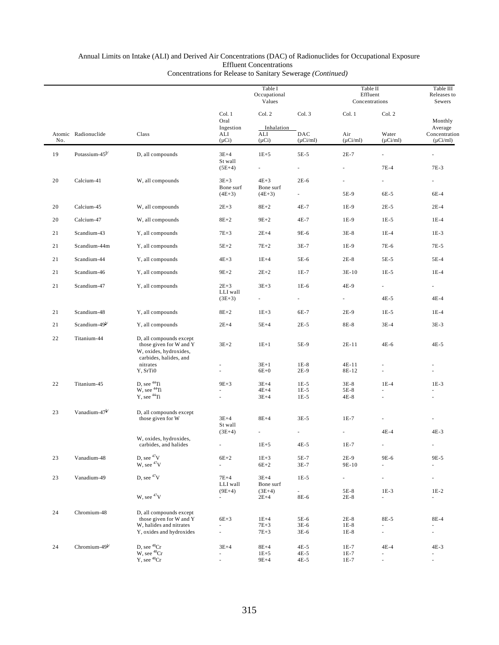|     |                            |                                                                                                                       |                                      | Table I<br>Occupational<br>Values  |                                  |                            | Table II<br>Effluent<br>Concentrations                         |                                           |  |
|-----|----------------------------|-----------------------------------------------------------------------------------------------------------------------|--------------------------------------|------------------------------------|----------------------------------|----------------------------|----------------------------------------------------------------|-------------------------------------------|--|
|     |                            |                                                                                                                       | Col. 1<br>Oral                       | Col. 2                             | Col. 3                           | Col. 1                     | Col. 2                                                         | Monthly                                   |  |
| No. | Atomic Radionuclide        | Class                                                                                                                 | Ingestion<br>ALI<br>$(\mu Ci)$       | Inhalation<br>ALI<br>$(\mu Ci)$    | DAC<br>$(\mu$ Ci/ml)             | Air<br>$(\mu Ci/ml)$       | Water<br>$(\mu Ci/ml)$                                         | Average<br>Concentration<br>$(\mu$ Ci/ml) |  |
| 19  | Potassium-45 <sup>b/</sup> | D, all compounds                                                                                                      | $3E+4$                               | $1E+5$                             | 5E-5                             | $2E-7$                     | ÷.                                                             |                                           |  |
|     |                            |                                                                                                                       | St wall<br>$(5E+4)$                  | $\sim$                             | $\omega$                         | ä,                         | $7E-4$                                                         | 7E-3                                      |  |
| 20  | Calcium-41                 | W, all compounds                                                                                                      | $3E+3$<br>Bone surf                  | $4E+3$<br>Bone surf                | $2E-6$                           |                            | ÷.                                                             |                                           |  |
|     |                            |                                                                                                                       | $(4E+3)$                             | $(4E+3)$                           |                                  | 5E-9                       | 6E-5                                                           | 6E-4                                      |  |
| 20  | Calcium-45                 | W, all compounds                                                                                                      | $2E + 3$                             | $8E + 2$                           | 4E-7                             | 1E-9                       | $2E-5$                                                         | $2E-4$                                    |  |
| 20  | Calcium-47                 | W, all compounds                                                                                                      | $8E+2$                               | $9E + 2$                           | 4E-7                             | 1E-9                       | $1E-5$                                                         | $1E-4$                                    |  |
| 21  | Scandium-43                | Y, all compounds                                                                                                      | $7E+3$                               | $2E+4$                             | 9E-6                             | $3E-8$                     | $1E-4$                                                         | $1E-3$                                    |  |
| 21  | Scandium-44m               | Y, all compounds                                                                                                      | $5E+2$                               | $7E+2$                             | $3E-7$                           | $1E-9$                     | 7E-6                                                           | 7E-5                                      |  |
| 21  | Scandium-44                | Y, all compounds                                                                                                      | $4E+3$                               | $1E+4$                             | 5E-6                             | $2E-8$                     | 5E-5                                                           | 5E-4                                      |  |
| 21  | Scandium-46                | Y, all compounds                                                                                                      | $9E+2$                               | $2E+2$                             | $1E-7$                           | $3E-10$                    | $1E-5$                                                         | $1E-4$                                    |  |
| 21  | Scandium-47                | Y, all compounds                                                                                                      | $2E+3$                               | $3E+3$                             | $1E-6$                           | 4E-9                       | ÷.                                                             | $\overline{\phantom{a}}$                  |  |
|     |                            |                                                                                                                       | LLI wall<br>$(3E+3)$                 |                                    |                                  | $\frac{1}{2}$              | $4E-5$                                                         | $4E-4$                                    |  |
| 21  | Scandium-48                | Y, all compounds                                                                                                      | $8E+2$                               | $1E + 3$                           | 6E-7                             | 2E-9                       | $1E-5$                                                         | $1E-4$                                    |  |
| 21  | Scandium-49 <sup>b/</sup>  | Y, all compounds                                                                                                      | $2E+4$                               | $5E+4$                             | $2E-5$                           | 8E-8                       | $3E-4$                                                         | $3E-3$                                    |  |
| 22  | Titanium-44                | D, all compounds except<br>those given for W and Y<br>W, oxides, hydroxides,<br>carbides, halides, and                | $3E+2$                               | $1E+1$                             | 5E-9                             | 2E-11                      | $4E-6$                                                         | 4E-5                                      |  |
|     |                            | nitrates<br>Y, SrTi0                                                                                                  | ä,                                   | $3E+1$<br>$6E+0$                   | $1E-8$<br>$2E-9$                 | $4E-11$<br>8E-12           |                                                                |                                           |  |
| 22  | Titanium-45                | $\begin{array}{c} \mbox{D, see } ^{44}\!\mbox{Ti}\\ \mbox{W, see } ^{44}\!\mbox{Ti} \end{array}$<br>$Y$ , see $44$ Ti | $9E+3$                               | $3E+4$<br>$4E+4$<br>$3E+4$         | $1E-5$<br>$1E-5$<br>$1E-5$       | $3E-8$<br>5E-8<br>$4E-8$   | $1E-4$                                                         | $1E-3$                                    |  |
| 23  | Vanadium-47 <sup>b/</sup>  | D, all compounds except<br>those given for W                                                                          | $3E+4$<br>St wall                    | $8E+4$                             | $3E-5$                           | $1E-7$<br>÷.               |                                                                |                                           |  |
|     |                            | W, oxides, hydroxides,<br>carbides, and halides                                                                       | $(3E+4)$                             | $\overline{\phantom{a}}$<br>$1E+5$ | $4E-5$                           | $1E-7$                     | $4E-4$                                                         | 4E-3                                      |  |
| 23  | Vanadium-48                | D, see $47V$<br>W, see <sup>47</sup> V                                                                                | $6E+2$<br>L.                         | $1E+3$<br>$6E+2$                   | 5E-7<br>$3E-7$                   | 2E-9<br>9E-10              | 9E-6                                                           | 9E-5                                      |  |
| 23  | Vanadium-49                | D, see $47V$                                                                                                          | $7E+4$<br>LLI wall                   | $3E+4$<br>Bone surf                | $1E-5$                           | ä,                         | ÷,                                                             | ä,                                        |  |
|     |                            | W, see <sup>47</sup> V                                                                                                | $(9E+4)$<br>$\overline{\phantom{a}}$ | $(3E+4)$<br>$2E+4$                 | $\overline{\phantom{a}}$<br>8E-6 | 5E-8<br>$2E-8$             | $1E-3$<br>$\overline{\phantom{a}}$                             | $1E-2$<br>$\overline{\phantom{a}}$        |  |
| 24  | Chromium-48                | D, all compounds except<br>those given for W and Y<br>W, halides and nitrates<br>Y, oxides and hydroxides             | $6E+3$<br>ä,<br>ä,                   | $1E+4$<br>$7E+3$<br>$7E+3$         | 5E-6<br>$3E-6$<br>$3E-6$         | $2E-8$<br>$1E-8$<br>$1E-8$ | 8E-5<br>ä,<br>$\overline{\phantom{a}}$                         | 8E-4<br>ä,<br>٠                           |  |
| 24  | Chromium- $49^{b/}$        | D, see ${}^{48}Cr$<br>$W$ , see $^{48}Cr$<br>Y, see $^{48}Cr$                                                         | $3E+4$<br>ä,                         | $8E+4$<br>$1E + 5$<br>$9E+4$       | $4E-5$<br>4E-5<br>$4E-5$         | $1E-7$<br>$1E-7$<br>$1E-7$ | $4E-4$<br>$\overline{\phantom{m}}$<br>$\overline{\phantom{a}}$ | 4E-3<br>$\overline{\phantom{a}}$<br>ä,    |  |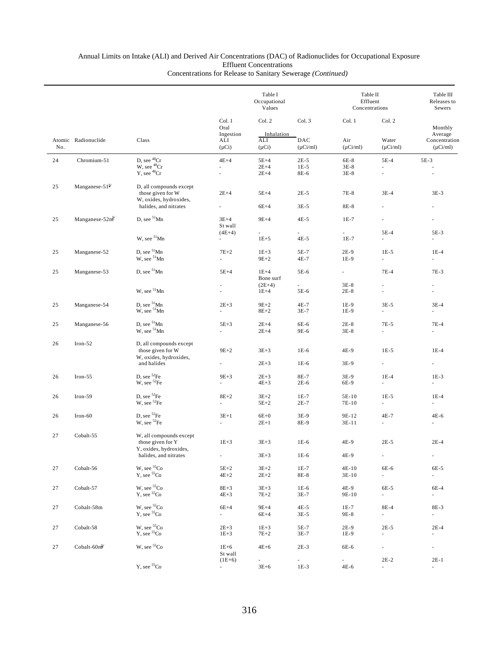|     |                         | Class                                                                  |                                                  | Table I<br>Occupational<br>Values         |                                | Table II<br>Effluent<br>Concentrations | Table III<br>Releases to<br>Sewers  |                                                      |
|-----|-------------------------|------------------------------------------------------------------------|--------------------------------------------------|-------------------------------------------|--------------------------------|----------------------------------------|-------------------------------------|------------------------------------------------------|
| No. | Atomic Radionuclide     |                                                                        | Col. 1<br>Oral<br>Ingestion<br>ALI<br>$(\mu Ci)$ | Col. 2<br>Inhalation<br>ALI<br>$(\mu Ci)$ | Col. 3<br>DAC<br>$(\mu$ Ci/ml) | Col. 1<br>Air<br>$(\mu Ci/ml)$         | Col. 2<br>Water<br>$(\mu$ Ci/ml)    | Monthly<br>Average<br>Concentration<br>$(\mu$ Ci/ml) |
| 24  | Chromium-51             | D, see $^{48}\mathrm{Cr}$<br>W, see <sup>48</sup> Cr                   | $4E+4$<br>ä,                                     | $5E+4$<br>$2E+4$                          | $2E-5$<br>$1E-5$               | 6E-8<br>$3E-8$                         | $5E-4$<br>٠                         | $5E-3$                                               |
|     |                         | Y, see <sup>48</sup> Cr                                                | $\mathcal{L}$                                    | $2E+4$                                    | 8E-6                           | $3E-8$                                 | ÷.                                  | $\sim$                                               |
| 25  | Manganese- $51^{b/}$    | D, all compounds except<br>those given for W<br>W, oxides, hydroxides, | $2E+4$                                           | $5E+4$                                    | $2E-5$                         | $7E-8$                                 | $3E-4$                              | $3E-3$                                               |
|     |                         | halides, and nitrates                                                  | ÷.                                               | $6E+4$                                    | $3E-5$                         | 8E-8                                   |                                     |                                                      |
| 25  | Manganese- $52m^2$      | D, see $51$ Mn                                                         | $3E+4$<br>St wall                                | $9E+4$                                    | $4E-5$                         | $1E-7$                                 | $\overline{\phantom{a}}$            |                                                      |
|     |                         | W, see <sup>51</sup> Mn                                                | $(4E+4)$<br>$\overline{\phantom{a}}$             | $\overline{a}$<br>$1E + 5$                | ä,<br>$4E-5$                   | ÷.<br>$1E-7$                           | $5E-4$<br>$\overline{\phantom{a}}$  | 5E-3<br>$\overline{\phantom{a}}$                     |
|     |                         |                                                                        |                                                  |                                           |                                |                                        |                                     |                                                      |
| 25  | Manganese-52            | D, see $51$ Mn<br>W, see <sup>51</sup> Mn                              | $7E+2$<br>L,                                     | $1E+3$<br>$9E+2$                          | 5E-7<br>4E-7                   | $2E-9$<br>1E-9                         | $1E-5$<br>$\overline{\phantom{a}}$  | $1E-4$<br>$\overline{\phantom{a}}$                   |
| 25  | Manganese-53            | D, see $51$ Mn                                                         | $5E+4$                                           | $1E+4$<br>Bone surf                       | 5E-6                           | $\sim$                                 | $7E-4$                              | $7E-3$                                               |
|     |                         | W, see <sup>51</sup> Mn                                                | ä,                                               | $(2E+4)$<br>$1E+4$                        | 5E-6                           | $3E-8$<br>$2E-8$                       |                                     | ÷,                                                   |
|     |                         |                                                                        |                                                  |                                           |                                |                                        |                                     |                                                      |
| 25  | Manganese-54            | D, see ${}^{51}$ Mn<br>W, see ${}^{51}$ Mn                             | $2E+3$<br>ä,                                     | $9E+2$<br>$8E+2$                          | $4E-7$<br>$3E-7$               | 1E-9<br>$1E-9$                         | $3E-5$<br>÷.                        | $3E-4$<br>×.                                         |
| 25  | Manganese-56            | $D$ , see $51$ Mn<br>W, see <sup>51</sup> Mn                           | $5E+3$<br>ä,                                     | $2E+4$<br>$2E+4$                          | 6E-6<br>9E-6                   | $2E-8$<br>$3E-8$                       | $7E-5$<br>ä,                        | $7E-4$<br>ä,                                         |
| 26  | $Iron-52$               | D, all compounds except<br>those given for W<br>W, oxides, hydroxides, | $9E+2$                                           | $3E+3$                                    | $1E-6$                         | 4E-9                                   | $1E-5$                              | $1E-4$                                               |
|     |                         | and halides                                                            |                                                  | $2E+3$                                    | 1E-6                           | 3E-9                                   | $\omega$                            |                                                      |
| 26  | $Iron-55$               | D, see ${}^{52}Fe$<br>W, see ${}^{52}Fe$                               | $9E+3$                                           | $2E + 3$<br>$4E+3$                        | 8E-7<br>2E-6                   | 3E-9<br>6E-9                           | $1E-4$<br>÷.                        | $1E-3$                                               |
| 26  | $Iron-59$               | D, see ${}^{52}Fe$                                                     | $8E+2$                                           | $3E+2$                                    | $1E-7$                         | 5E-10                                  | $1E-5$                              | $1E-4$                                               |
|     |                         | W, see <sup>52</sup> Fe                                                | ÷.                                               | $5E+2$                                    | $2E-7$                         | 7E-10                                  | $\sim$                              | ÷                                                    |
| 26  | Iron-60                 | $D,$ see ${}^{52}Fe$<br>W, see ${}^{52}Fe$                             | $3E+1$<br>÷.                                     | $6E+0$<br>$2E+1$                          | $3E-9$<br>8E-9                 | 9E-12<br>3E-11                         | 4E-7<br>٠                           | $4E-6$<br>÷                                          |
|     |                         |                                                                        |                                                  |                                           |                                |                                        |                                     |                                                      |
| 27  | Cobalt-55               | W, all compounds except<br>those given for Y<br>Y, oxides, hydroxides, | $1E + 3$                                         | $3E+3$                                    | $1E-6$                         | 4E-9                                   | $2E-5$                              | $2E-4$                                               |
|     |                         | halides, and nitrates                                                  | ÷,                                               | $3E + 3$                                  | $1E-6$                         | 4E-9                                   | $\overline{\phantom{a}}$            | $\overline{\phantom{a}}$                             |
| 27  | Cobalt-56               | $\rm W,$ see $^{55}\rm Co$<br>Y, see <sup>55</sup> Co                  | $5E+2$<br>$4E+2$                                 | $3E+2$<br>$2E + 2$                        | $1E-7$<br>8E-8                 | $4E-10$<br>3E-10                       | 6E-6<br>$\overline{\phantom{a}}$    | 6E-5<br>$\overline{\phantom{a}}$                     |
| 27  | Cobalt-57               | $\rm W,$ see $^{55}\rm Co$<br>$Y$ , see ${}^{55}Co$                    | $8E + 3$<br>$4E+3$                               | $3E + 3$<br>$7E+2$                        | $1E-6$<br>$3E-7$               | 4E-9<br>9E-10                          | 6E-5<br>$\mathcal{L}_{\mathcal{A}}$ | 6E-4<br>$\mathcal{L}_{\mathcal{A}}$                  |
|     |                         |                                                                        |                                                  |                                           |                                |                                        |                                     |                                                      |
| 27  | Cobalt-58m              | $\rm W,$ see $^{55}\rm Co$<br>$Y$ , see ${}^{55}Co$                    | $6E+4$<br>÷.                                     | $9E+4$<br>$6E+4$                          | $4E-5$<br>$3E-5$               | $1E-7$<br>9E-8                         | 8E-4<br>$\mathcal{L}_{\mathcal{A}}$ | 8E-3<br>$\mathcal{L}_{\mathcal{A}}$                  |
| 27  | Cobalt-58               | W, see ${}^{55}\mathrm{Co}$ Y, see ${}^{55}\mathrm{Co}$                | $2E + 3$<br>$1E + 3$                             | $1E + 3$<br>$7E+2$                        | 5E-7<br>$3E-7$                 | $2E-9$<br>1E-9                         | $2E-5$                              | $2E-4$                                               |
| 27  | Cobalt-60m <sup>b</sup> | W, see <sup>55</sup> Co                                                | $1E+6$<br>St wall                                | $4E+6$                                    | $2E-3$                         | 6E-6                                   | $\overline{\phantom{a}}$            | $\overline{\phantom{a}}$                             |
|     |                         |                                                                        | $(1E+6)$                                         | $\omega$                                  | ä,                             | ÷.                                     | $2E-2$                              | $2E-1$                                               |
|     |                         | $Y$ , see ${}^{55}Co$                                                  | $\sim$                                           | $3E + 6$                                  | $1E-3$                         | $4E-6$                                 | ä,                                  | $\overline{\phantom{a}}$                             |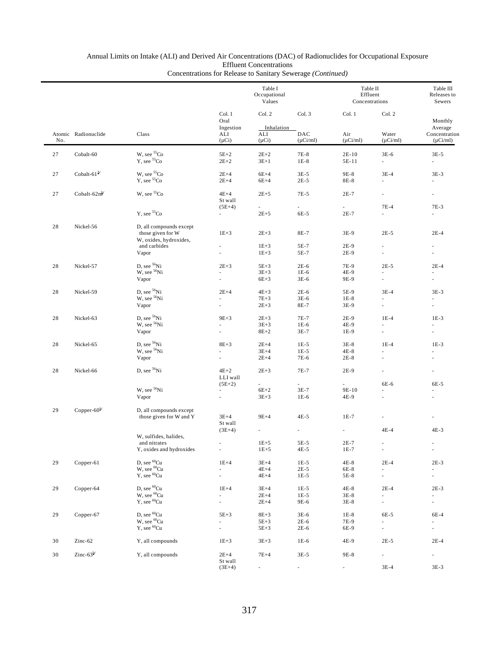### Annual Limits on Intake (ALI) and Derived Air Concentrations (DAC) of Radionuclides for Occupational Exposure Effluent Concentrations

|     |                                                   |                                                    | Table I<br>Occupational<br>Values    |                                    |                                  |                                    | Table II<br>Effluent<br>Concentrations |                                                         |  |
|-----|---------------------------------------------------|----------------------------------------------------|--------------------------------------|------------------------------------|----------------------------------|------------------------------------|----------------------------------------|---------------------------------------------------------|--|
|     |                                                   |                                                    | Col. 1<br>Oral                       | Col. 2                             | Col. 3                           | Col. 1                             | Col. 2                                 | Monthly                                                 |  |
| No. | Atomic Radionuclide                               | Class                                              | Ingestion<br>ALI<br>$(\mu Ci)$       | Inhalation<br>ALI<br>$(\mu Ci)$    | DAC<br>$(\mu$ Ci/ml)             | Air<br>$(\mu Ci/ml)$               | Water<br>$(\mu$ Ci/ml)                 | Average<br>Concentration<br>$(\mu$ Ci/ml)               |  |
|     |                                                   |                                                    |                                      |                                    |                                  |                                    |                                        |                                                         |  |
| 27  | Cobalt-60                                         | W, see 55Co<br>Y, see <sup>55</sup> Co             | $5E+2$<br>$2E+2$                     | $2E+2$<br>$3E+1$                   | 7E-8<br>$1E-8$                   | $2E-10$<br>5E-11                   | $3E-6$<br>$\sim$                       | $3E-5$<br>$\overline{\phantom{a}}$                      |  |
| 27  | Cobalt-61 $b$                                     | W, see 55Co<br>Y, see <sup>55</sup> Co             | $2E+4$<br>$2E+4$                     | $6E+4$<br>$6E+4$                   | $3E-5$<br>$2E-5$                 | 9E-8<br>8E-8                       | $3E-4$<br>÷.                           | $3E-3$<br>٠                                             |  |
| 27  | Cobalt- $62m$ <sup><math>\frac{b}{c}</math></sup> | W, see ${}^{55}Co$                                 | $4E+4$<br>St wall                    | $2E + 5$                           | 7E-5                             | $2E-7$                             | $\overline{\phantom{a}}$               | ٠                                                       |  |
|     |                                                   | $Y$ , see $55$ Co                                  | $(5E+4)$<br>$\overline{\phantom{a}}$ | $\sim$<br>$2E + 5$                 | $\overline{\phantom{a}}$<br>6E-5 | $\overline{\phantom{a}}$<br>$2E-7$ | $7E-4$<br>ä,                           | 7E-3<br>÷                                               |  |
| 28  | Nickel-56                                         | D, all compounds except<br>those given for W       | $1E + 3$                             | $2E + 3$                           | 8E-7                             | 3E-9                               | $2E-5$                                 | $2E-4$                                                  |  |
|     |                                                   | W, oxides, hydroxides,                             |                                      |                                    |                                  |                                    |                                        |                                                         |  |
|     |                                                   | and carbides<br>Vapor                              | ä,<br>$\overline{\phantom{a}}$       | $1E + 3$<br>$1E + 3$               | 5E-7<br>5E-7                     | 2E-9<br>$2E-9$                     | ä,<br>$\overline{\phantom{a}}$         | $\overline{\phantom{a}}$<br>$\sim$                      |  |
|     |                                                   |                                                    |                                      |                                    |                                  |                                    |                                        |                                                         |  |
| 28  | Nickel-57                                         | D, see 56Ni<br>W, see <sup>56</sup> Ni             | $2E + 3$<br>×.                       | $5E+3$<br>$3E + 3$                 | $2E-6$                           | 7E-9<br>4E-9                       | $2E-5$<br>÷.                           | $2E-4$                                                  |  |
|     |                                                   | Vapor                                              | ä,                                   | $6E+3$                             | $1E-6$<br>$3E-6$                 | 9E-9                               | ä,                                     | $\overline{\phantom{a}}$                                |  |
| 28  | Nickel-59                                         | D, see <sup>56</sup> Ni                            | $2E+4$                               | $4E + 3$                           | $2E-6$                           | 5E-9                               | $3E-4$                                 | $3E-3$                                                  |  |
|     |                                                   | W, see <sup>56</sup> Ni                            | ×.                                   | $7E+3$                             | $3E-6$                           | $1E-8$                             |                                        | ä,                                                      |  |
|     |                                                   | Vapor                                              | $\overline{\phantom{a}}$             | $2E + 3$                           | 8E-7                             | 3E-9                               | $\overline{\phantom{a}}$               | $\sim$                                                  |  |
| 28  | Nickel-63                                         | D, see <sup>56</sup> Ni                            | $9E + 3$                             | $2E + 3$                           | 7E-7                             | $2E-9$                             | $1E-4$                                 | $1E-3$                                                  |  |
|     |                                                   | W, see <sup>56</sup> Ni                            | $\overline{\phantom{a}}$             | $3E + 3$                           | $1E-6$                           | 4E-9                               | ٠                                      | ×                                                       |  |
|     |                                                   | Vapor                                              | ÷.                                   | $8E+2$                             | $3E-7$                           | $1E-9$                             | ä,                                     | ä,                                                      |  |
| 28  | Nickel-65                                         | D, see 56Ni                                        | $8E+3$                               | $2E+4$                             | $1E-5$                           | $3E-8$                             | $1E-4$                                 | $1E-3$                                                  |  |
|     |                                                   | W, see <sup>56</sup> Ni                            | ä,                                   | $3E+4$                             | $1E-5$                           | $4E-8$                             |                                        |                                                         |  |
|     |                                                   | Vapor                                              | $\overline{\phantom{a}}$             | $2E+4$                             | 7E-6                             | $2E-8$                             | ä,                                     | $\sim$                                                  |  |
| 28  | Nickel-66                                         | D, see <sup>56</sup> Ni                            | $4E+2$<br>LLI wall                   | $2E + 3$                           | 7E-7                             | 2E-9                               |                                        |                                                         |  |
|     |                                                   | W, see <sup>56</sup> Ni                            | $(5E+2)$<br>$\overline{\phantom{a}}$ | $\overline{\phantom{a}}$<br>$6E+2$ | $\sim$<br>$3E-7$                 | ä,<br>9E-10                        | $6E-6$                                 | 6E-5                                                    |  |
|     |                                                   | Vapor                                              | $\overline{\phantom{a}}$             | $3E + 3$                           | $1E-6$                           | 4E-9                               | ÷,                                     | $\overline{\phantom{a}}$                                |  |
| 29  | Copper- $60^b$                                    | D, all compounds except<br>those given for W and Y | $3E+4$                               | $9E+4$                             | $4E-5$                           | $1E-7$                             | ä,                                     |                                                         |  |
|     |                                                   |                                                    | St wall<br>$(3E+4)$                  |                                    |                                  |                                    | $4E-4$                                 | $4E-3$                                                  |  |
|     |                                                   | W, sulfides, halides,                              |                                      |                                    |                                  |                                    |                                        |                                                         |  |
|     |                                                   | and nitrates<br>Y, oxides and hydroxides           | ÷,                                   | $1E + 5$<br>$1E+5$                 | $5E-5$                           | $2E-7$<br>$1E-7$                   | $\sim$<br>÷,                           | $\sim$<br>$\overline{\phantom{a}}$                      |  |
|     |                                                   |                                                    |                                      |                                    | $4E-5$                           |                                    |                                        |                                                         |  |
| 29  | Copper-61                                         | D, see <sup>60</sup> Cu<br>$W$ , see ${}^{60}Cu$   | $1E+4$                               | $3E+4$                             | $1E-5$                           | $4E-8$                             | $2E-4$                                 | $2E-3$                                                  |  |
|     |                                                   | Y, see ${}^{60}Cu$                                 | ÷.<br>$\overline{\phantom{0}}$       | $4E+4$<br>$4E+4$                   | $2E-5$<br>$1E-5$                 | 6E-8<br>5E-8                       | a.<br>$\overline{\phantom{a}}$         | $\overline{\phantom{a}}$<br>$\mathcal{L}_{\mathcal{A}}$ |  |
|     |                                                   | D, see <sup>60</sup> Cu                            |                                      |                                    |                                  |                                    |                                        |                                                         |  |
| 29  | Copper-64                                         | W, see ${}^{60}Cu$                                 | $1E+4$<br>L.                         | $3E+4$<br>$2E+4$                   | $1E-5$<br>$1E-5$                 | $4E-8$<br>$3E-8$                   | $2E-4$<br>à.                           | $2E-3$<br>$\overline{\phantom{a}}$                      |  |
|     |                                                   | Y, see <sup>60</sup> Cu                            | $\overline{\phantom{a}}$             | $2E+4$                             | 9E-6                             | $3E-8$                             | $\overline{\phantom{a}}$               | $\overline{\phantom{a}}$                                |  |
| 29  | Copper-67                                         | D, see $^{60}\mathrm{Cu}$                          | $5E+3$                               | $8E+3$                             | $3E-6$                           | $1E-8$                             | 6E-5                                   | 6E-4                                                    |  |
|     |                                                   | W, see <sup>60</sup> Cu                            | ä,                                   | $5E+3$                             | $2E-6$                           | 7E-9                               | L.                                     | $\overline{\phantom{a}}$                                |  |
|     |                                                   | $Y$ , see ${}^{60}Cu$                              | ä,                                   | $5E+3$                             | $2E-6$                           | 6E-9                               |                                        | ä,                                                      |  |
| 30  | Zinc-62                                           | Y, all compounds                                   | $1E + 3$                             | $3E + 3$                           | $1E-6$                           | 4E-9                               | $2E-5$                                 | $2E-4$                                                  |  |
| 30  | Zinc- $63^b$                                      | Y, all compounds                                   | $2E+4$                               | $7E+4$                             | $3E-5$                           | 9E-8                               | $\overline{\phantom{a}}$               | $\overline{\phantom{a}}$                                |  |
|     |                                                   |                                                    | St wall<br>$(3E+4)$                  |                                    | ÷,                               | ä,                                 | $3E-4$                                 | $3E-3$                                                  |  |
|     |                                                   |                                                    |                                      |                                    |                                  |                                    |                                        |                                                         |  |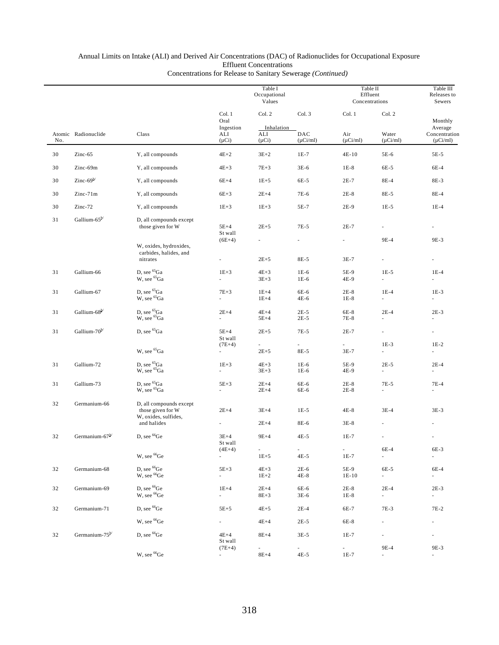|     |                            |                                                                      |                                      | Table I<br>Occupational<br>Values |                                       | Table II<br>Effluent<br>Concentrations |                                    | Table III<br>Releases to<br>Sewers |
|-----|----------------------------|----------------------------------------------------------------------|--------------------------------------|-----------------------------------|---------------------------------------|----------------------------------------|------------------------------------|------------------------------------|
|     |                            |                                                                      | Col. 1<br>Oral<br>Ingestion          | Col. 2<br>Inhalation              | Col. 3                                | Col. 1                                 | Col. 2                             | Monthly<br>Average                 |
| No. | Atomic Radionuclide        | Class                                                                | ALI<br>$(\mu Ci)$                    | ALI<br>$(\mu Ci)$                 | DAC<br>$(\mu Ci/ml)$                  | Air<br>$(\mu$ Ci/ml)                   | Water<br>$(\mu$ Ci/ml)             | Concentration<br>$(\mu Ci/ml)$     |
| 30  | $Zinc-65$                  | Y, all compounds                                                     | $4E+2$                               | $3E+2$                            | $1E-7$                                | $4E-10$                                | 5E-6                               | 5E-5                               |
| 30  | Zinc-69m                   | Y, all compounds                                                     | $4E+3$                               | $7E + 3$                          | $3E-6$                                | $1E-8$                                 | 6E-5                               | 6E-4                               |
| 30  | Zinc- $69^{\rm b}$         | Y, all compounds                                                     | $6E+4$                               | $1E+5$                            | 6E-5                                  | $2E-7$                                 | 8E-4                               | 8E-3                               |
| 30  | Zinc-71m                   | Y, all compounds                                                     | $6E+3$                               | $2E+4$                            | 7E-6                                  | $2E-8$                                 | 8E-5                               | 8E-4                               |
| 30  | Zinc-72                    | Y, all compounds                                                     | $1E+3$                               | $1E + 3$                          | 5E-7                                  | 2E-9                                   | $1E-5$                             | $1E-4$                             |
| 31  | Gallium-65 <sup>b/</sup>   | D, all compounds except<br>those given for W                         | $5E+4$<br>St wall                    | $2E+5$                            | 7E-5                                  | $2E-7$                                 |                                    |                                    |
|     |                            | W, oxides, hydroxides,<br>carbides, halides, and                     | $(6E+4)$                             | $\sim$                            | $\overline{\phantom{a}}$              | $\overline{\phantom{a}}$               | 9E-4                               | 9E-3                               |
|     |                            | nitrates                                                             | $\overline{\phantom{a}}$             | $2E + 5$                          | 8E-5                                  | $3E-7$                                 | $\overline{\phantom{a}}$           |                                    |
| 31  | Gallium-66                 | D, see <sup>65</sup> Ga<br>W, see <sup>65</sup> Ga                   | $1E+3$<br>ä,                         | $4E+3$<br>$3E + 3$                | $1E-6$<br>$1E-6$                      | 5E-9<br>4E-9                           | $1E-5$<br>$\overline{\phantom{a}}$ | $1E-4$<br>$\overline{\phantom{a}}$ |
| 31  | Gallium-67                 | D, see <sup>65</sup> Ga<br>W, see <sup>65</sup> Ga                   | $7E+3$<br>$\overline{\phantom{a}}$   | $1E+4$<br>$1E+4$                  | 6E-6<br>4E-6                          | $2E-8$<br>$1E-8$                       | $1E-4$<br>$\overline{\phantom{a}}$ | $1E-3$<br>$\overline{\phantom{a}}$ |
| 31  | Gallium-68 <sup>b/</sup>   | D, see ${}^{65}Ga$<br>W, see ${}^{65}Ga$                             | $2E+4$<br>×.                         | $4E+4$<br>$5E+4$                  | $2E-5$<br>$2E-5$                      | 6E-8<br>7E-8                           | $2E-4$                             | $2E-3$<br>$\overline{\phantom{a}}$ |
| 31  | Gallium-70 <sup>b/</sup>   | D, see <sup>65</sup> Ga                                              | $5E+4$<br>St wall                    | $2E+5$                            | $7E-5$                                | $2E-7$                                 | $\overline{\phantom{a}}$           | $\overline{\phantom{a}}$           |
|     |                            | W, see <sup>65</sup> Ga                                              | $(7E+4)$<br>$\overline{\phantom{a}}$ | $\sim$<br>$2E + 5$                | ×.<br>8E-5                            | ä,<br>$3E-7$                           | $1E-3$<br>$\overline{\phantom{a}}$ | $1E-2$<br>$\overline{\phantom{a}}$ |
| 31  | Gallium-72                 | D, see ${}^{65}\mathrm{Ga}$<br>W, see <sup>65</sup> Ga               | $1E+3$<br>$\overline{\phantom{a}}$   | $4E+3$<br>$3E + 3$                | $1E-6$<br>$1E-6$                      | 5E-9<br>4E-9                           | $2E-5$<br>$\overline{\phantom{a}}$ | $2E-4$<br>$\overline{\phantom{a}}$ |
| 31  | Gallium-73                 | D, see <sup>65</sup> Ga<br>W, see <sup>65</sup> Ga                   | $5E+3$<br>$\omega$                   | $2E+4$<br>$2E+4$                  | 6E-6<br>6E-6                          | $2E-8$<br>$2E-8$                       | 7E-5<br>$\overline{\phantom{a}}$   | $7E-4$<br>$\overline{\phantom{a}}$ |
| 32  | Germanium-66               | D, all compounds except<br>those given for W<br>W, oxides, sulfides, | $2E+4$                               | $3E+4$                            | $1E-5$                                | $4E-8$                                 | $3E-4$                             | $3E-3$                             |
|     |                            | and halides                                                          |                                      | $2E+4$                            | 8E-6                                  | $3E-8$                                 |                                    |                                    |
| 32  | Germanium-67 <sup>b/</sup> | D, see <sup>66</sup> Ge                                              | $3E+4$<br>St wall                    | $9E+4$                            | $4E-5$                                | $1E-7$                                 |                                    |                                    |
|     |                            | W, see <sup>66</sup> Ge                                              | $(4E+4)$                             | $\sim$<br>$1E + 5$                | $\mathcal{L}_{\mathcal{A}}$<br>$4E-5$ | $\overline{\phantom{a}}$<br>$1E-7$     | 6E-4<br>$\sim$                     | 6E-3<br>$\sim$                     |
| 32  | Germanium-68               | D, see <sup>66</sup> Ge<br>W, see <sup>66</sup> Ge                   | $5E+3$<br>$\sim$                     | $4E + 3$<br>$1E+2$                | $2E-6$<br>$4E-8$                      | 5E-9<br>$1E-10$                        | 6E-5<br>$\sim$                     | 6E-4<br>$\sim$                     |
| 32  | Germanium-69               | D, see <sup>66</sup> Ge<br>W, see <sup>66</sup> Ge                   | $1E+4$<br>÷.                         | $2E+4$<br>$8E + 3$                | 6E-6<br>$3E-6$                        | $2E-8$<br>$1E-8$                       | $2E-4$<br>$\sim$                   | $2E-3$<br>$\sim$                   |
| 32  | Germanium-71               | D, see <sup>66</sup> Ge                                              | $5E+5$                               | $4E + 5$                          | $2E-4$                                | 6E-7                                   | 7E-3                               | 7E-2                               |
|     |                            | W, see <sup>66</sup> Ge                                              | $\sim$                               | $4E+4$                            | $2E-5$                                | 6E-8                                   | $\overline{\phantom{a}}$           | $\overline{\phantom{a}}$           |
| 32  | Germanium-75 <sup>b/</sup> | D, see <sup>66</sup> Ge                                              | $4E+4$<br>St wall                    | $8E+4$                            | $3E-5$                                | $1E-7$                                 | $\overline{\phantom{a}}$           | ×.                                 |
|     |                            | W, see <sup>66</sup> Ge                                              | $(7E+4)$                             | $\sim 100$<br>$8E+4$              | $\sim$<br>$4E-5$                      | ÷.<br>$1E-7$                           | 9E-4<br>$\sim$                     | 9E-3<br>$\overline{\phantom{a}}$   |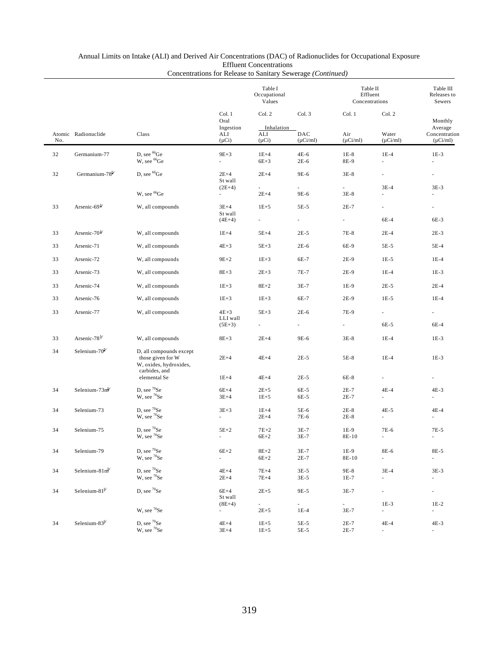### Annual Limits on Intake (ALI) and Derived Air Concentrations (DAC) of Radionuclides for Occupational Exposure Effluent Concentrations

|     |                            |                                                                                         |                                       | Table I<br>Occupational<br>Values |                      | Table II<br>Effluent<br>Concentrations |                                       | Table III<br>Releases to<br>Sewers  |
|-----|----------------------------|-----------------------------------------------------------------------------------------|---------------------------------------|-----------------------------------|----------------------|----------------------------------------|---------------------------------------|-------------------------------------|
|     |                            |                                                                                         | Col. 1<br>Oral<br>Ingestion           | Col. 2<br>Inhalation              | Col. 3               | Col. 1                                 | Col. 2                                | Monthly<br>Average                  |
| No. | Atomic Radionuclide        | Class                                                                                   | ALI<br>$(\mu Ci)$                     | ALI<br>$(\mu Ci)$                 | DAC<br>$(\mu Ci/ml)$ | Air<br>$(\mu$ Ci/ml)                   | Water<br>$(\mu$ Ci/ml)                | Concentration<br>$(\mu Ci/ml)$      |
| 32  | Germanium-77               | D, see <sup>66</sup> Ge<br>W, see <sup>66</sup> Ge                                      | $9E+3$<br>$\mathcal{L}_{\mathcal{A}}$ | $1E+4$<br>$6E+3$                  | 4E-6<br>$2E-6$       | $1E-8$<br>8E-9                         | $1E-4$<br>à.                          | $1E-3$<br>$\overline{\phantom{a}}$  |
| 32  | Germanium-78 <sup>b/</sup> | D, see <sup>66</sup> Ge                                                                 | $2E+4$<br>St wall                     | $2E+4$                            | 9E-6                 | $3E-8$                                 | ٠                                     | ٠                                   |
|     |                            | W, see <sup>66</sup> Ge                                                                 | $(2E+4)$<br>$\overline{\phantom{a}}$  | $2E+4$                            | 9E-6                 | $3E-8$                                 | $3E-4$<br>×.                          | $3E-3$<br>٠                         |
| 33  | Arsenic-69 $\frac{b}{ }$   | W, all compounds                                                                        | $3E+4$<br>St wall                     | $1E + 5$                          | 5E-5                 | $2E-7$                                 | ٠                                     | $\sim$                              |
|     |                            |                                                                                         | $(4E+4)$                              | $\sim$                            | ä,                   | $\overline{\phantom{a}}$               | 6E-4                                  | 6E-3                                |
| 33  | Arsenic- $70^{\rm b}$      | W, all compounds                                                                        | $1E+4$                                | $5E+4$                            | $2E-5$               | $7E-8$                                 | $2E-4$                                | $2E-3$                              |
| 33  | Arsenic-71                 | W, all compounds                                                                        | $4E+3$                                | $5E+3$                            | $2E-6$               | 6E-9                                   | 5E-5                                  | 5E-4                                |
| 33  | Arsenic-72                 | W, all compounds                                                                        | $9E + 2$                              | $1E + 3$                          | 6E-7                 | 2E-9                                   | $1E-5$                                | $1E-4$                              |
| 33  | Arsenic-73                 | W, all compounds                                                                        | $8E+3$                                | $2E + 3$                          | 7E-7                 | 2E-9                                   | $1E-4$                                | $1E-3$                              |
| 33  | Arsenic-74                 | W, all compounds                                                                        | $1E+3$                                | $8E+2$                            | $3E-7$               | $1E-9$                                 | $2E-5$                                | $2E-4$                              |
| 33  | Arsenic-76                 | W, all compounds                                                                        | $1E + 3$                              | $1E + 3$                          | 6E-7                 | $2E-9$                                 | $1E-5$                                | $1E-4$                              |
| 33  | Arsenic-77                 | W, all compounds                                                                        | $4E+3$<br>LLI wall                    | $5E+3$                            | $2E-6$               | 7E-9                                   | $\overline{\phantom{a}}$              | $\mathcal{L}_{\mathcal{A}}$         |
|     |                            |                                                                                         | $(5E+3)$                              |                                   |                      | ä,                                     | 6E-5                                  | 6E-4                                |
| 33  | Arsenic-78 <sup>b/</sup>   | W, all compounds                                                                        | $8E+3$                                | $2E+4$                            | 9E-6                 | $3E-8$                                 | $1E-4$                                | $1E-3$                              |
| 34  | Selenium-70 <sup>b/</sup>  | D, all compounds except<br>those given for W<br>W, oxides, hydroxides,<br>carbides, and | $2E+4$                                | $4E+4$                            | $2E-5$               | 5E-8                                   | $1E-4$                                | $1E-3$                              |
|     |                            | elemental Se                                                                            | $1E+4$                                | $4E+4$                            | $2E-5$               | 6E-8                                   | $\overline{\phantom{a}}$              | $\overline{\phantom{a}}$            |
| 34  | Selenium- $73mb$           | D, see <sup>70</sup> Se<br>W, see <sup>70</sup> Se                                      | $6E+4$<br>$3E+4$                      | $2E + 5$<br>$1E+5$                | 6E-5<br>6E-5         | $2E-7$<br>$2E-7$                       | $4E-4$                                | $4E-3$                              |
| 34  | Selenium-73                | D, see ${}^{70}Se$<br>W, see ${}^{70}$ Se                                               | $3E+3$                                | $1E+4$<br>$2E+4$                  | 5E-6<br>7E-6         | $2E-8$<br>$2E-8$                       | $4E-5$                                | $4E-4$                              |
| 34  | Selenium-75                | D, see <sup>70</sup> Se<br>W, see $^{70}\mathrm{Se}$                                    | $5E+2$                                | $7E+2$<br>$6E+2$                  | $3E-7$<br>$3E-7$     | $1E-9$<br>8E-10                        | 7E-6                                  | 7E-5                                |
| 34  | Selenium-79                | D, see 70Se<br>W, see <sup>70</sup> Se                                                  | $6E+2$<br>$\overline{\phantom{a}}$    | $8E+2$<br>$6E+2$                  | $3E-7$<br>$2E-7$     | $1E-9$<br>8E-10                        | 8E-6<br>$\mathcal{L}_{\mathcal{A}}$   | 8E-5<br>$\mathcal{L}_{\mathcal{A}}$ |
| 34  | Selenium- $81m^{b}$        | D, see ${}^{70}Se$<br>W, see <sup>70</sup> Se                                           | $4E+4$<br>$2E+4$                      | $7E+4$<br>$7E+4$                  | $3E-5$<br>$3E-5$     | 9E-8<br>$1E-7$                         | $3E-4$<br>$\overline{\phantom{a}}$    | $3E-3$<br>$\blacksquare$            |
| 34  | Selenium-81 <sup>b/</sup>  | D, see 70Se                                                                             | $6E+4$<br>St wall                     | $2E + 5$                          | 9E-5                 | $3E-7$                                 | $\overline{\phantom{a}}$              | $\sim$                              |
|     |                            | W, see $^{70}\mathrm{Se}$                                                               | $(8E+4)$<br>$\sim$                    | $\sim$<br>$2E + 5$                | $1E-4$               | $\overline{\phantom{a}}$<br>$3E-7$     | $1E-3$<br>$\mathcal{L}_{\mathcal{A}}$ | $1E-2$<br>$\sim$                    |
| 34  | Selenium-83b/              | D, see ${}^{70}Se$<br>W, see <sup>70</sup> Se                                           | $4E+4$<br>$3E+4$                      | $1E + 5$<br>$1E + 5$              | 5E-5<br>5E-5         | $2E-7$<br>$2E-7$                       | $4E-4$<br>$\overline{\phantom{a}}$    | $4E-3$<br>$\overline{\phantom{a}}$  |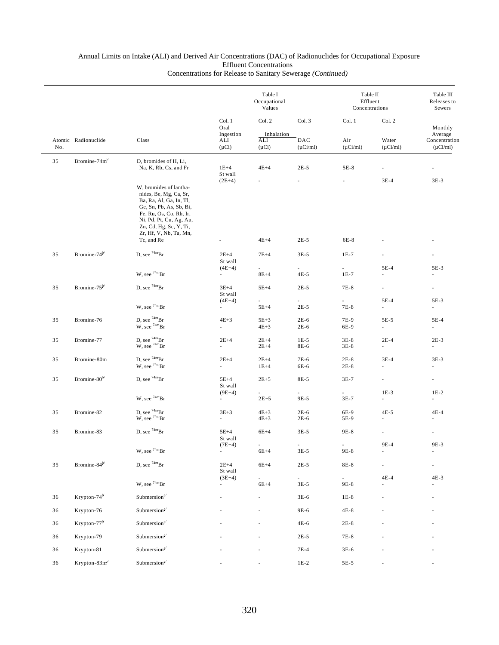|     |                           |                                                                                                                                                                                                                  | Table I<br>Occupational<br>Values                |                                           |                                    | Table II<br>Effluent<br>Concentrations |                                    | Table III<br>Releases to<br>Sewers                   |  |
|-----|---------------------------|------------------------------------------------------------------------------------------------------------------------------------------------------------------------------------------------------------------|--------------------------------------------------|-------------------------------------------|------------------------------------|----------------------------------------|------------------------------------|------------------------------------------------------|--|
| No. | Atomic Radionuclide       | Class                                                                                                                                                                                                            | Col. 1<br>Oral<br>Ingestion<br>ALI<br>$(\mu Ci)$ | Col. 2<br>Inhalation<br>ALI<br>$(\mu Ci)$ | Col. 3<br>DAC<br>$(\mu$ Ci/ml)     | Col. 1<br>Air<br>$(\mu Ci/ml)$         | Col. 2<br>Water<br>$(\mu Ci/ml)$   | Monthly<br>Average<br>Concentration<br>$(\mu Ci/ml)$ |  |
| 35  | Bromine-74m <sup>b</sup>  | D, bromides of H, Li,                                                                                                                                                                                            |                                                  |                                           |                                    |                                        |                                    |                                                      |  |
|     |                           | Na, K, Rb, Cs, and Fr                                                                                                                                                                                            | $1E+4$<br>St wall                                | $4E+4$                                    | $2E-5$                             | 5E-8                                   | ä,                                 |                                                      |  |
|     |                           | W, bromides of lantha-<br>nides, Be, Mg, Ca, Sr,<br>Ba, Ra, Al, Ga, In, Tl,<br>Ge, Sn, Pb, As, Sb, Bi,<br>Fe, Ru, Os, Co, Rh, Ir,<br>Ni, Pd, Pt, Cu, Ag, Au,<br>Zn, Cd, Hg, Sc, Y, Ti,<br>Zr, Hf, V, Nb, Ta, Mn, | $(2E+4)$                                         | $4E+4$                                    |                                    |                                        | $3E-4$                             | $3E-3$                                               |  |
|     |                           | Tc, and Re                                                                                                                                                                                                       |                                                  |                                           | $2E-5$                             | 6E-8                                   |                                    |                                                      |  |
| 35  | Bromine-74 <sup>b/</sup>  | D, see $74mBr$                                                                                                                                                                                                   | $2E+4$<br>St wall                                | $7E+4$                                    | $3E-5$                             | $1E-7$                                 |                                    |                                                      |  |
|     |                           | W, see $74mBr$                                                                                                                                                                                                   | $(4E+4)$<br>$\overline{\phantom{a}}$             | $8E+4$                                    | $4E-5$                             | ×.<br>$1E-7$                           | 5E-4<br>×.                         | 5E-3<br>ä,                                           |  |
| 35  | Bromine- $75^{b/}$        | D, see $74mBr$                                                                                                                                                                                                   | $3E+4$<br>St wall                                | $5E+4$                                    | $2E-5$                             | 7E-8                                   | ä,                                 | ä,                                                   |  |
|     |                           | W, see $74mBr$                                                                                                                                                                                                   | $(4E+4)$<br>$\overline{\phantom{a}}$             | $\overline{\phantom{0}}$<br>$5E+4$        | $\overline{\phantom{a}}$<br>$2E-5$ | $\overline{\phantom{a}}$<br>7E-8       | $5E-4$<br>$\overline{\phantom{a}}$ | 5E-3<br>ä,                                           |  |
| 35  | Bromine-76                | D, see $74mBr$<br>W, see $74mBr$                                                                                                                                                                                 | $4E+3$<br>÷.                                     | $5E+3$<br>$4E + 3$                        | $2E-6$<br>$2E-6$                   | 7E-9<br>6E-9                           | 5E-5<br>$\overline{\phantom{a}}$   | 5E-4<br>ä,                                           |  |
| 35  | Bromine-77                | D, see $^{74m}Br$<br>W, see <sup>74m</sup> Br                                                                                                                                                                    | $2E+4$<br>×.                                     | $2E+4$<br>$2E+4$                          | $1E-5$<br>8E-6                     | $3E-8$<br>$3E-8$                       | $2E-4$<br>a.                       | $2E-3$<br>$\overline{\phantom{a}}$                   |  |
| 35  | Bromine-80m               | D, see $74mBr$<br>W, see $74mBr$                                                                                                                                                                                 | $2E+4$<br>$\overline{\phantom{a}}$               | $2E+4$<br>$1E+4$                          | 7E-6<br>6E-6                       | $2E-8$<br>$2E-8$                       | $3E-4$<br>ä,                       | $3E-3$<br>$\overline{\phantom{a}}$                   |  |
| 35  | Bromine-80 <sup>b/</sup>  | D, see $74mBr$                                                                                                                                                                                                   | $5E+4$<br>St wall                                | $2E+5$                                    | 8E-5                               | $3E-7$                                 | $\overline{\phantom{a}}$           | $\overline{\phantom{a}}$                             |  |
|     |                           | W, see $74mBr$                                                                                                                                                                                                   | $(9E+4)$<br>$\overline{\phantom{a}}$             | ÷.<br>$2E + 5$                            | a.<br>9E-5                         | ÷.<br>$3E-7$                           | $1E-3$<br>$\overline{\phantom{a}}$ | $1E-2$<br>$\overline{\phantom{a}}$                   |  |
| 35  | Bromine-82                | D, see $^{74m}\text{Br}$ W, see $^{74m}\text{Br}$                                                                                                                                                                | $3E + 3$<br>$\omega$                             | $4E+3$<br>$4E+3$                          | $2E-6$<br>$2E-6$                   | 6E-9<br>5E-9                           | $4E-5$                             | $4E-4$                                               |  |
| 35  | Bromine-83                | D, see $74mBr$                                                                                                                                                                                                   | $5E+4$<br>St wall                                | $6E+4$                                    | $3E-5$                             | 9E-8                                   | ÷,                                 | $\overline{\phantom{a}}$                             |  |
|     |                           | W, see $^{74\mathrm{m}}\mathrm{Br}$                                                                                                                                                                              | $(7E+4)$<br>$\overline{\phantom{a}}$             | ٠<br>$6E+4$                               | $\overline{\phantom{a}}$<br>$3E-5$ | $\overline{\phantom{a}}$<br>9E-8       | 9E-4<br>$\overline{\phantom{a}}$   | 9E-3                                                 |  |
| 35  | Bromine-84 <sup>b/</sup>  | D, see $^{74\mathrm{m}}\mathrm{Br}$                                                                                                                                                                              | $2E+4$<br>St wall                                | $6E+4$                                    | $2E-5$                             | $8E-8$                                 |                                    |                                                      |  |
|     |                           | W, see $^{74\mathrm{m}}\mathrm{Br}$                                                                                                                                                                              | $(3E+4)$                                         | $6E+4$                                    | $3E-5$                             | $9E-8$                                 | $4E-4$                             | $4E-3$                                               |  |
| 36  | Krypton-74 <sup>b</sup>   | Submersion <sup>a/</sup>                                                                                                                                                                                         |                                                  |                                           | 3E-6                               | $1E-8$                                 |                                    |                                                      |  |
| 36  | Krypton-76                | Submersion <sup>a/</sup>                                                                                                                                                                                         |                                                  |                                           | 9E-6                               | $4E-8$                                 |                                    |                                                      |  |
| 36  | Krypton-77 <sup>b</sup>   | Submersion <sup>a/</sup>                                                                                                                                                                                         |                                                  |                                           | $4E-6$                             | $2E-8$                                 |                                    |                                                      |  |
| 36  | Krypton-79                | Submersion <sup>a/</sup>                                                                                                                                                                                         |                                                  |                                           | $2E-5$                             | $7E-8$                                 |                                    |                                                      |  |
| 36  | Krypton-81                | Submersion <sup>a/</sup>                                                                                                                                                                                         |                                                  |                                           | $7E-4$                             | $3E-6$                                 |                                    |                                                      |  |
| 36  | Krypton-83m <sup>b/</sup> | $\ensuremath{\mathsf{Submersion}}^{\ensuremath{\mathsf{a}}\xspace\prime}$                                                                                                                                        |                                                  |                                           | $1E-2$                             | $5E-5$                                 |                                    |                                                      |  |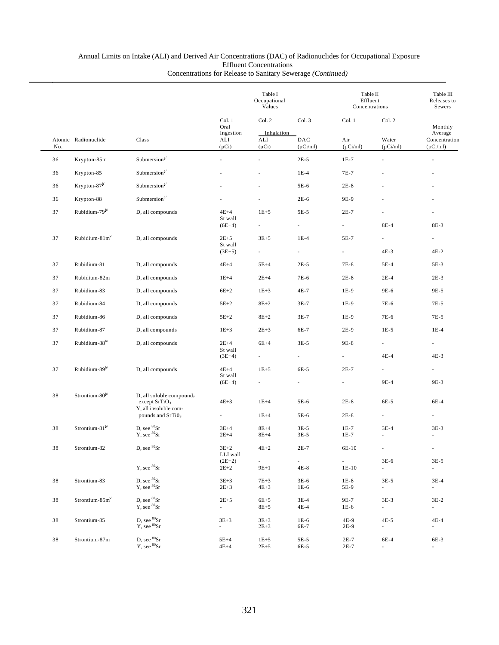### Annual Limits on Intake (ALI) and Derived Air Concentrations (DAC) of Radionuclides for Occupational Exposure Effluent Concentrations

|     |                            |                                                                      |                             | Table I<br>Occupational<br>Values |                                    |                                     | Table II<br>Effluent<br>Concentrations |                                |
|-----|----------------------------|----------------------------------------------------------------------|-----------------------------|-----------------------------------|------------------------------------|-------------------------------------|----------------------------------------|--------------------------------|
|     |                            |                                                                      | Col. 1<br>Oral<br>Ingestion | Col. 2<br>Col. 3<br>Inhalation    |                                    | Col. 1<br>Col. 2                    |                                        | Monthly<br>Average             |
| No. | Atomic Radionuclide        | Class                                                                | ALI<br>$(\mu Ci)$           | ALI<br>$(\mu Ci)$                 | DAC<br>$(\mu$ Ci/ml)               | Air<br>$(\mu Ci/ml)$                | Water<br>$(\mu$ Ci/ml)                 | Concentration<br>$(\mu$ Ci/ml) |
| 36  | Krypton-85m                | Submersion <sup>a/</sup>                                             |                             |                                   | $2E-5$                             | $1E-7$                              |                                        | ÷,                             |
| 36  | Krypton-85                 | Submersion <sup>a/</sup>                                             |                             |                                   | $1E-4$                             | 7E-7                                |                                        |                                |
| 36  | Krypton-87 <sup>b</sup>    | Submersion $a$                                                       |                             |                                   | 5E-6                               | $2E-8$                              |                                        |                                |
| 36  | Krypton-88                 | Submersion $a$ <sup><math>4</math></sup>                             |                             |                                   | $2E-6$                             | 9E-9                                |                                        |                                |
| 37  | Rubidium-79 <sup>b/</sup>  | D, all compounds                                                     | $4E+4$                      | $1E+5$                            | $5E-5$                             | $2E-7$                              |                                        |                                |
|     |                            |                                                                      | St wall<br>$(6E+4)$         |                                   | $\overline{\phantom{a}}$           | $\overline{\phantom{a}}$            | $8E-4$                                 | 8E-3                           |
| 37  | Rubidium- $81m^3$          | D, all compounds                                                     | $2E + 5$                    | $3E + 5$                          | $1E-4$                             | 5E-7                                | $\overline{\phantom{a}}$               |                                |
|     |                            |                                                                      | St wall<br>$(3E+5)$         |                                   | $\overline{\phantom{a}}$           | $\overline{\phantom{a}}$            | $4E-3$                                 | $4E-2$                         |
| 37  | Rubidium-81                | D, all compounds                                                     | $4E+4$                      | $5E+4$                            | $2E-5$                             | 7E-8                                | 5E-4                                   | 5E-3                           |
| 37  | Rubidium-82m               | D, all compounds                                                     | $1E+4$                      | $2E+4$                            | 7E-6                               | $2E-8$                              | $2E-4$                                 | $2E-3$                         |
| 37  | Rubidium-83                | D, all compounds                                                     | $6E+2$                      | $1E + 3$                          | 4E-7                               | 1E-9                                | 9E-6                                   | 9E-5                           |
| 37  | Rubidium-84                | D, all compounds                                                     | $5E+2$                      | $8E+2$                            | $3E-7$                             | $1E-9$                              | 7E-6                                   | 7E-5                           |
| 37  | Rubidium-86                | D, all compounds                                                     | $5E+2$                      | $8E+2$                            | $3E-7$                             | 1E-9                                | 7E-6                                   | 7E-5                           |
| 37  | Rubidium-87                | D, all compounds                                                     | $1E + 3$                    | $2E+3$                            | 6E-7                               | $2E-9$                              | $1E-5$                                 | $1E-4$                         |
| 37  | Rubidium-88 <sup>b/</sup>  | D, all compounds                                                     | $2E+4$                      | $6E+4$                            | $3E-5$                             | 9E-8                                |                                        | $\overline{\phantom{a}}$       |
|     |                            |                                                                      | St wall<br>$(3E+4)$         |                                   | $\overline{\phantom{a}}$           |                                     | 4E-4                                   | $4E-3$                         |
| 37  | Rubidium-89 <sup>b/</sup>  | D, all compounds                                                     | $4E+4$                      | $1E+5$                            | 6E-5                               | $2E-7$                              | $\overline{\phantom{a}}$               | ۰                              |
|     |                            |                                                                      | St wall<br>$(6E+4)$         |                                   |                                    |                                     | 9E-4                                   | 9E-3                           |
|     |                            |                                                                      |                             |                                   |                                    |                                     |                                        |                                |
| 38  | Strontium-80 <sup>b/</sup> | D, all soluble compounds<br>except $SrTiO3$<br>Y, all insoluble com- | $4E+3$                      | $1E+4$                            | 5E-6                               | $2E-8$                              | 6E-5                                   | 6E-4                           |
|     |                            | pounds and SrTiO <sub>3</sub>                                        |                             | $1E+4$                            | 5E-6                               | $2E-8$                              |                                        |                                |
| 38  | Strontium-81 <sup>b/</sup> | D, see <sup>80</sup> Sr                                              | $3E+4$                      | $8E+4$                            | $3E-5$                             | $1E-7$                              | $3E-4$                                 | $3E-3$                         |
|     |                            | Y, see <sup>80</sup> Sr                                              | $2E+4$                      | $8E+4$                            | $3E-5$                             | $1E-7$                              |                                        |                                |
| 38  | Strontium-82               | D, see ${}^{80}\text{Sr}$                                            | $3E+2$<br>LLI wall          | $4E+2$                            | $2E-7$                             | 6E-10                               |                                        |                                |
|     |                            | $Y$ , see ${}^{80}Sr$                                                | $(2E+2)$<br>$2E + 2$        | $\sim$<br>$9E+1$                  | $\overline{\phantom{a}}$<br>$4E-8$ | $\overline{\phantom{a}}$<br>$1E-10$ | $3E-6$<br>$\sim$                       | $3E-5$<br>$\sim$               |
|     |                            |                                                                      |                             |                                   |                                    |                                     |                                        |                                |
| 38  | Strontium-83               | D, see <sup>80</sup> Sr<br>Y, see <sup>80</sup> Sr                   | $3E + 3$<br>$2E + 3$        | $7E+3$<br>$4E+3$                  | $3E-6$<br>$1E-6$                   | $1E-8$<br>5E-9                      | $3E-5$<br>$\sim$                       | $3E-4$<br>$\sim 10$            |
| 38  | Strontium-85m <sup>b</sup> | D, see ${}^{80}\text{Sr}$                                            | $2E + 5$                    | $6E+5$                            | $3E-4$                             | 9E-7                                | $3E-3$                                 | $3E-2$                         |
|     |                            | Y, see <sup>80</sup> Sr                                              | $\sim$ 10 $\pm$             | $8E + 5$                          | 4E-4                               | 1E-6                                | $\sim$                                 | $\sim 10^{-1}$                 |
| 38  | Strontium-85               | D, see ${}^{80}\text{Sr}$                                            | $3E + 3$                    | $3E + 3$                          | $1E-6$                             | 4E-9                                | $4E-5$                                 | $4E-4$                         |
|     |                            | $Y$ , see ${}^{80}Sr$                                                | $\sim$                      | $2E + 3$                          | 6E-7                               | 2E-9                                | $\sim$                                 | $\sim$                         |
| 38  | Strontium-87m              | D, see ${}^{80}\mathrm{Sr}$                                          | $5E+4$                      | $1E + 5$                          | 5E-5                               | $2E-7$                              | 6E-4                                   | 6E-3                           |
|     |                            | Y, see 80Sr                                                          | $4E+4$                      | $2E + 5$                          | 6E-5                               | $2E-7$                              | $\overline{\phantom{a}}$               | $\overline{\phantom{a}}$       |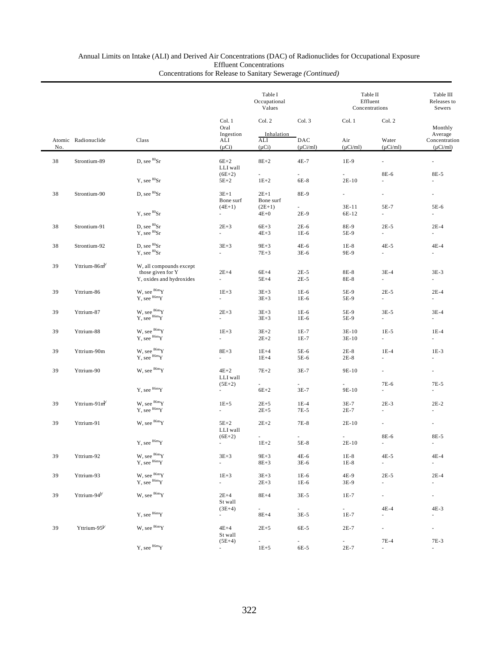|                                                                                                                                                                                                                                                               |                             |                                                                          | Table I<br>Occupational<br>Values         |                                |                                    | Table II<br>Effluent<br>Concentrations | Table III<br>Releases to<br>Sewers                   |                                       |
|---------------------------------------------------------------------------------------------------------------------------------------------------------------------------------------------------------------------------------------------------------------|-----------------------------|--------------------------------------------------------------------------|-------------------------------------------|--------------------------------|------------------------------------|----------------------------------------|------------------------------------------------------|---------------------------------------|
| Atomic Radionuclide<br>No.<br>38<br>Strontium-89<br>38<br>Strontium-90<br>Strontium-91<br>38<br>Strontium-92<br>38<br>$Y$ ttrium-86m <sup>b/</sup><br>39<br>39<br>Yttrium-86<br>39<br>Yttrium-87<br>39<br>Yttrium-88<br>39<br>Yttrium-90m<br>39<br>Yttrium-90 | Class                       | Col. 1<br>Oral<br>Ingestion<br>ALI<br>$(\mu Ci)$                         | Col. 2<br>Inhalation<br>ALI<br>$(\mu Ci)$ | Col. 3<br>DAC<br>$(\mu Ci/ml)$ | Col. 1<br>Air<br>$(\mu Ci/ml)$     | Col. 2<br>Water<br>$(\mu$ Ci/ml)       | Monthly<br>Average<br>Concentration<br>$(\mu Ci/ml)$ |                                       |
|                                                                                                                                                                                                                                                               |                             | D, see <sup>80</sup> Sr                                                  | $6E+2$<br>LLI wall                        | $8E+2$                         | $4E-7$                             | $1E-9$                                 | $\mathcal{L}_{\mathcal{A}}$                          | $\omega$                              |
|                                                                                                                                                                                                                                                               |                             | $Y$ , see ${}^{80}Sr$                                                    | $(6E+2)$<br>$5E+2$                        | ä,<br>$1E+2$                   | L.<br>$6E-8$                       | $\mathcal{L}$<br>$2E-10$               | 8E-6<br>$\overline{\phantom{a}}$                     | 8E-5<br>$\overline{\phantom{a}}$      |
|                                                                                                                                                                                                                                                               |                             | D, see <sup>80</sup> Sr                                                  | $3E+1$<br>Bone surf                       | $2E+1$<br>Bone surf            | 8E-9                               | $\sim$                                 | $\overline{\phantom{a}}$                             | $\overline{\phantom{a}}$              |
|                                                                                                                                                                                                                                                               |                             | Y, see <sup>80</sup> Sr                                                  | $(4E+1)$<br>$\sim$                        | $(2E+1)$<br>$4E+0$             | $\overline{\phantom{0}}$<br>$2E-9$ | 3E-11<br>6E-12                         | 5E-7<br>$\sim$                                       | 5E-6<br>$\sim$                        |
|                                                                                                                                                                                                                                                               |                             | D, see <sup>80</sup> Sr<br>Y, see ${}^{80}Sr$                            | $2E + 3$<br>$\overline{a}$                | $6E+3$<br>$4E+3$               | $2E-6$<br>$1E-6$                   | 8E-9<br>5E-9                           | $2E-5$<br>$\sim$                                     | $2E-4$<br>$\sim$                      |
|                                                                                                                                                                                                                                                               |                             | D, see <sup>80</sup> Sr<br>$Y.$ see ${}^{80}Sr$                          | $3E+3$<br>$\mathcal{L}_{\mathcal{A}}$     | $9E+3$<br>$7E+3$               | 4E-6<br>$3E-6$                     | $1E-8$<br>9E-9                         | $4E-5$<br>$\sim$                                     | $4E-4$<br>$\sim$                      |
|                                                                                                                                                                                                                                                               |                             | W, all compounds except<br>those given for Y<br>Y, oxides and hydroxides | $2E+4$<br>$\mathcal{L}_{\mathcal{A}}$     | $6E+4$<br>$5E+4$               | $2E-5$<br>$2E-5$                   | 8E-8<br>8E-8                           | $3E-4$<br>÷.                                         | $3E-3$<br>$\sim$                      |
|                                                                                                                                                                                                                                                               |                             | W, see $86m$ Y<br>Y, see ${}^{86m}Y$                                     | $1E+3$<br>÷.                              | $3E+3$<br>$3E + 3$             | $1E-6$<br>$1E-6$                   | 5E-9<br>5E-9                           | $2E-5$<br>$\mathcal{L}_{\mathcal{A}}$                | $2E-4$<br>$\mathcal{L}_{\mathcal{A}}$ |
|                                                                                                                                                                                                                                                               |                             | W, see $86mY$<br>$Y$ , see $86mY$                                        | $2E+3$<br>÷.                              | $3E+3$<br>$3E+3$               | $1E-6$<br>$1E-6$                   | 5E-9<br>5E-9                           | $3E-5$<br>$\sim$                                     | $3E-4$<br>$\sim$                      |
|                                                                                                                                                                                                                                                               |                             | W, see $86m$ Y<br>Y, see ${}^{86m}Y$                                     | $1E+3$<br>$\mathcal{L}_{\mathcal{A}}$     | $3E+2$<br>$2E + 2$             | $1E-7$<br>$1E-7$                   | $3E-10$<br>$3E-10$                     | $1E-5$<br>$\sim$                                     | $1E-4$<br>$\sim$                      |
|                                                                                                                                                                                                                                                               |                             | W, see $86m$ Y<br>$Y$ , see ${}^{86m}Y$                                  | $8E+3$<br>$\sim$                          | $1E+4$<br>$1E+4$               | 5E-6<br>5E-6                       | $2E-8$<br>$2E-8$                       | $1E-4$<br>$\mathcal{L}_{\mathcal{A}}$                | $1E-3$<br>$\sim$                      |
|                                                                                                                                                                                                                                                               |                             | W. see $86m$ Y                                                           | $4E+2$<br>LLI wall                        | $7E+2$                         | $3E-7$                             | 9E-10                                  | $\omega$                                             | $\overline{\phantom{a}}$              |
|                                                                                                                                                                                                                                                               |                             | Y, see ${}^{86\mathrm{m}}\mathrm{Y}$                                     | $(5E+2)$<br>$\sim$                        | $6E+2$                         | L.<br>$3E-7$                       | 9E-10                                  | 7E-6<br>÷.                                           | $7E-5$<br>$\omega$                    |
| 39                                                                                                                                                                                                                                                            | $Y$ ttrium-91m <sup>b</sup> | W, see ${}^{86m}Y$<br>$Y$ , see $86mY$                                   | $1E+5$<br>$\overline{\phantom{a}}$        | $2E + 5$<br>$2E+5$             | $1E-4$<br>7E-5                     | $3E-7$<br>$2E-7$                       | $2E-3$<br>$\overline{\phantom{a}}$                   | $2E-2$<br>$\overline{\phantom{a}}$    |
| 39                                                                                                                                                                                                                                                            | Yttrium-91                  | W, see ${}^{86m}Y$                                                       | $5E+2$<br>LLI wall                        | $2E + 2$                       | 7E-8                               | $2E-10$                                |                                                      |                                       |
|                                                                                                                                                                                                                                                               |                             | $Y$ , see ${}^{86m}Y$                                                    | $(6E+2)$<br>$\overline{\phantom{a}}$      | a.<br>$1E+2$                   | ÷.<br>5E-8                         | $2E-10$                                | 8E-6<br>٠                                            | 8E-5<br>$\sim$                        |
| 39                                                                                                                                                                                                                                                            | Yttrium-92                  | W, see $^{86\mathrm{m}}\mathrm{Y}$<br>Y, see ${}^{86m}Y$                 | $3E + 3$<br>÷.                            | $9E+3$<br>$8E + 3$             | 4E-6<br>$3E-6$                     | $1E-8$<br>$1E-8$                       | $4E-5$<br>$\mathcal{L}_{\mathcal{A}}$                | $4E-4$<br>$\overline{\phantom{a}}$    |
| 39                                                                                                                                                                                                                                                            | Yttrium-93                  | W, see $86m$ Y<br>Y, see $^{86m}Y$                                       | $1E + 3$<br>$\sim$                        | $3E + 3$<br>$2E + 3$           | $1E-6$<br>$1E-6$                   | 4E-9<br>3E-9                           | $2E-5$<br>$\mathcal{L}_{\mathcal{A}}$                | $2E-4$<br>$\overline{\phantom{a}}$    |
| 39                                                                                                                                                                                                                                                            | Yttrium-94 <sup>b/</sup>    | W, see ${}^{86m}Y$                                                       | $2E+4$<br>St wall                         | $8E+4$                         | $3E-5$                             | $1E-7$                                 | $\overline{\phantom{a}}$                             | $\overline{\phantom{a}}$              |
|                                                                                                                                                                                                                                                               |                             | Y, see ${}^{86m}Y$                                                       | $(3E+4)$<br>÷.                            | $\sim$<br>$8E+4$               | $\sim$<br>$3E-5$                   | $\sim$<br>$1E-7$                       | $4E-4$<br>$\omega$                                   | 4E-3<br>$\overline{\phantom{a}}$      |
| 39                                                                                                                                                                                                                                                            | Yttrium-95 $^{b/}$          | W, see ${}^{86m}Y$                                                       | $4E+4$<br>St wall                         | $2E + 5$                       | 6E-5                               | $2E-7$                                 | $\mathcal{L}_{\mathcal{A}}$                          | $\overline{\phantom{a}}$              |
|                                                                                                                                                                                                                                                               |                             | Y, see ${}^{86\mathrm{m}}\mathrm{Y}$                                     | $(5E+4)$<br>$\sim$                        | $\sim$<br>$1E + 5$             | ÷.<br>6E-5                         | $\mathcal{L}_{\mathcal{A}}$<br>$2E-7$  | $7E-4$<br>ä,                                         | 7E-3<br>$\overline{\phantom{a}}$      |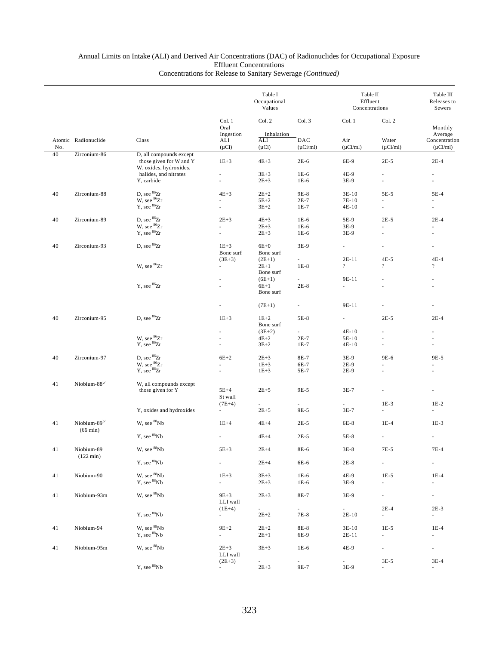|     |                                   |                                                   | Table I<br>Occupational<br>Values |                     |                      | Table II<br>Effluent<br>Concentrations | Table III<br>Releases to<br>Sewers |                                |
|-----|-----------------------------------|---------------------------------------------------|-----------------------------------|---------------------|----------------------|----------------------------------------|------------------------------------|--------------------------------|
|     |                                   |                                                   | Col. 1<br>Oral                    | Col. 2              | Col. 3               | Col. 1                                 | Col. 2                             | Monthly                        |
|     |                                   |                                                   | Ingestion                         | Inhalation          |                      |                                        |                                    | Average                        |
| No. | Atomic Radionuclide               | Class                                             | ALI<br>$(\mu Ci)$                 | ALI<br>$(\mu Ci)$   | DAC<br>$(\mu Ci/ml)$ | Air<br>$(\mu Ci/ml)$                   | Water<br>$(\mu$ Ci/ml)             | Concentration<br>$(\mu$ Ci/ml) |
| 40  | Zirconium-86                      | D, all compounds except                           |                                   |                     |                      |                                        |                                    |                                |
|     |                                   | those given for W and Y<br>W, oxides, hydroxides, | $1E + 3$                          | $4E+3$              | $2E-6$               | 6E-9                                   | $2E-5$                             | $2E-4$                         |
|     |                                   | halides, and nitrates                             | $\overline{\phantom{m}}$          | $3E + 3$            | $1E-6$               | 4E-9                                   | $\overline{\phantom{a}}$           | $\overline{\phantom{a}}$       |
|     |                                   | Y, carbide                                        |                                   | $2E + 3$            | $1E-6$               | 3E-9                                   | ä,                                 | à.                             |
| 40  | Zirconium-88                      | D, see $^{86}\rm{Zr}$                             | $4E+3$                            | $2E+2$              | 9E-8                 | $3E-10$                                | 5E-5                               | 5E-4                           |
|     |                                   | W, see <sup>86</sup> Zr                           |                                   | $5E+2$              | $2E-7$               | 7E-10                                  |                                    |                                |
|     |                                   | $Y,$ see ${}^{86}Zr$                              |                                   | $3E + 2$            | $1E-7$               | $4E-10$                                | $\overline{\phantom{a}}$           |                                |
| 40  | Zirconium-89                      | D, see ${}^{86}Zr$                                | $2E+3$                            | $4E + 3$            | $1E-6$               | 5E-9                                   | $2E-5$                             | $2E-4$                         |
|     |                                   | W, see <sup>86</sup> Zr                           |                                   | $2E + 3$            | $1E-6$               | 3E-9                                   |                                    | ×.                             |
|     |                                   | Y, see ${}^{86}Zr$                                |                                   | $2E + 3$            | $1E-6$               | 3E-9                                   | ٠                                  |                                |
| 40  | Zirconium-93                      | D, see <sup>86</sup> Zr                           | $1E+3$                            | $6E+0$              | 3E-9                 | $\overline{\phantom{a}}$               | ٠                                  | $\overline{\phantom{a}}$       |
|     |                                   |                                                   | Bone surf                         | Bone surf           |                      |                                        |                                    |                                |
|     |                                   |                                                   | $(3E+3)$                          | $(2E+1)$            |                      | $2E-11$                                | $4E-5$                             | $4E-4$                         |
|     |                                   | W, see <sup>86</sup> Zr                           |                                   | $2E+1$<br>Bone surf | $1E-8$               | $\overline{?}$                         | $\overline{?}$                     | $\overline{?}$                 |
|     |                                   |                                                   |                                   | $(6E+1)$            |                      | 9E-11                                  |                                    |                                |
|     |                                   | Y, see $^{86}\!\mathrm{Zr}$                       |                                   | $6E+1$              | $2E-8$               | ÷.                                     |                                    |                                |
|     |                                   |                                                   | Bone surf                         |                     |                      |                                        |                                    |                                |
|     |                                   |                                                   |                                   | $(7E+1)$            |                      | 9E-11                                  |                                    |                                |
| 40  | Zirconium-95                      | D, see ${}^{86}Zr$                                | $1E+3$                            | $1E+2$              | 5E-8                 | $\overline{\phantom{a}}$               | $2E-5$                             | $2E-4$                         |
|     |                                   |                                                   |                                   | Bone surf           |                      |                                        |                                    |                                |
|     |                                   |                                                   |                                   | $(3E+2)$            | $\sim$               | $4E-10$                                | ٠                                  |                                |
|     |                                   | W, see <sup>86</sup> Zr<br>$Y$ , see ${}^{86}Zr$  |                                   | $4E+2$<br>$3E+2$    | $2E-7$<br>$1E-7$     | 5E-10<br>$4E-10$                       | ٠                                  | ٠                              |
|     |                                   |                                                   |                                   |                     |                      |                                        |                                    |                                |
| 40  | Zirconium-97                      | D, see ${}^{86}Zr$<br>W, see <sup>86</sup> Zr     | $6E+2$                            | $2E + 3$            | 8E-7                 | 3E-9                                   | 9E-6                               | 9E-5                           |
|     |                                   | $Y$ , see ${}^{86}Zr$                             | ÷                                 | $1E+3$<br>$1E + 3$  | 6E-7<br>5E-7         | 2E-9<br>$2E-9$                         |                                    |                                |
|     |                                   |                                                   |                                   |                     |                      |                                        |                                    |                                |
| 41  | Niobium-88 <sup>b/</sup>          | W, all compounds except<br>those given for Y      | $5E+4$                            | $2E+5$              | 9E-5                 | $3E-7$                                 |                                    |                                |
|     |                                   |                                                   | St wall                           |                     |                      |                                        |                                    |                                |
|     |                                   |                                                   | $(7E+4)$                          |                     |                      | $\overline{\phantom{a}}$               | $1E-3$                             | $1E-2$                         |
|     |                                   | Y, oxides and hydroxides                          | a.                                | $2E + 5$            | 9E-5                 | $3E-7$                                 | $\omega$                           | $\omega$                       |
| 41  | Niobium-89 <sup>b/</sup>          | W, see <sup>88</sup> Nb                           | $1E+4$                            | $4E+4$              | $2E-5$               | 6E-8                                   | $1E-4$                             | $1E-3$                         |
|     | $(66 \text{ min})$                |                                                   |                                   |                     |                      |                                        |                                    |                                |
|     |                                   | Y, see <sup>88</sup> Nb                           |                                   | $4E+4$              | $2E-5$               | 5E-8                                   |                                    |                                |
| 41  | Niobium-89<br>$(122 \text{ min})$ | $\mbox{W, see}\ ^{88}\mbox{Nb}$                   | $5E+3$                            | $2E+4$              | 8E-6                 | $3\mathrm{E-}8$                        | 7E-5                               | 7E-4                           |
|     |                                   | Y, see <sup>88</sup> Nb                           | a.                                | $2E+4$              | 6E-6                 | $2E-8$                                 | $\overline{\phantom{a}}$           | $\overline{\phantom{a}}$       |
|     | Niobium-90                        | W, see <sup>88</sup> Nb                           | $1E+3$                            | $3E + 3$            | $1E-6$               | 4E-9                                   | $1E-5$                             | $1E-4$                         |
| 41  |                                   | Y, see ${}^{88}Nb$                                | $\mathcal{L}_{\mathcal{A}}$       | $2E + 3$            | $1E-6$               | 3E-9                                   | $\omega$                           | $\overline{\phantom{a}}$       |
|     |                                   |                                                   |                                   |                     |                      |                                        |                                    |                                |
| 41  | Niobium-93m                       | W, see <sup>88</sup> Nb                           | $9E+3$<br>LLI wall                | $2E + 3$            | 8E-7                 | 3E-9                                   | $\overline{\phantom{a}}$           | $\overline{\phantom{a}}$       |
|     |                                   |                                                   | $(1E+4)$                          |                     |                      | $\overline{\phantom{0}}$               | $2E-4$                             | $2E-3$                         |
|     |                                   | Y, see ${}^{88}Nb$                                | $\sim$                            | $2E+2$              | 7E-8                 | $2E-10$                                | $\sim$                             | $\sim$                         |
| 41  | Niobium-94                        | W, see <sup>88</sup> Nb                           | $9E+2$                            | $2E+2$              | 8E-8                 | $3E-10$                                | $1E-5$                             | $1E-4$                         |
|     |                                   | Y, see <sup>88</sup> Nb                           | $\sim$                            | $2E+1$              | 6E-9                 | 2E-11                                  |                                    | ÷.                             |
|     |                                   |                                                   |                                   |                     |                      |                                        |                                    |                                |
| 41  | Niobium-95m                       | W, see ${}^{88}Nb$                                | $2E + 3$                          | $3E+3$              | $1E-6$               | 4E-9                                   |                                    |                                |
|     |                                   |                                                   | LLI wall<br>$(2E+3)$              | $\sim$              | $\sim$               | $\sim$                                 | $3E-5$                             | $3E-4$                         |
|     |                                   | Y, see <sup>88</sup> Nb                           |                                   | $2E + 3$            | 9E-7                 | 3E-9                                   |                                    | $\overline{\phantom{a}}$       |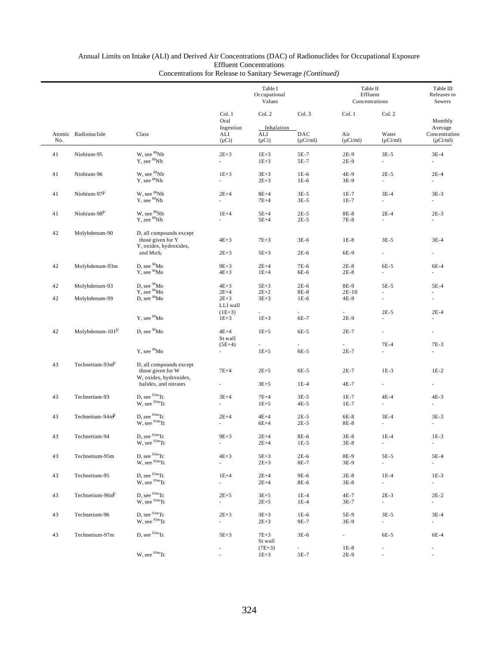|     |                              |                                                                                                               |                                      | Table I<br>Occupational<br>Values |                      |                                    | Table II<br>Effluent<br>Concentrations | Table III<br>Releases to<br>Sewers        |
|-----|------------------------------|---------------------------------------------------------------------------------------------------------------|--------------------------------------|-----------------------------------|----------------------|------------------------------------|----------------------------------------|-------------------------------------------|
|     | Col. 1<br>Oral<br>Ingestion  |                                                                                                               | Col. 2<br>Inhalation                 | Col. 3                            | Col. 1               | Col. 2                             | Monthly                                |                                           |
| No. | Atomic Radionuclide          | Class                                                                                                         | ALI<br>$(\mu Ci)$                    | ALI<br>$(\mu Ci)$                 | DAC<br>$(\mu$ Ci/ml) | Air<br>$(\mu$ Ci/ml)               | Water<br>$(\mu$ Ci/ml)                 | Average<br>Concentration<br>$(\mu$ Ci/ml) |
| 41  | Niobium-95                   | W, see <sup>88</sup> Nb<br>Y, see ${}^{88}Nb$                                                                 | $2E + 3$<br>$\overline{\phantom{a}}$ | $1E + 3$<br>$1E + 3$              | 5E-7<br>5E-7         | $2E-9$<br>$2E-9$                   | $3E-5$<br>$\overline{\phantom{a}}$     | $3E-4$<br>×                               |
| 41  | Niobium-96                   | W. see <sup>88</sup> Nb<br>Y, see ${}^{88}Nb$                                                                 | $1E + 3$<br>$\overline{\phantom{a}}$ | $3E + 3$<br>$2E+3$                | $1E-6$<br>$1E-6$     | 4E-9<br>3E-9                       | $2E-5$<br>×.                           | $2E-4$<br>×                               |
| 41  | Niobium-97 $b$               | W, see ${}^{88}Nb$<br>$Y$ , see $88Nb$                                                                        | $2E+4$<br>$\overline{\phantom{a}}$   | $8E+4$<br>$7E+4$                  | $3E-5$<br>$3E-5$     | $1E-7$<br>$1E-7$                   | $3E-4$<br>$\overline{\phantom{a}}$     | $3E-3$<br>$\overline{\phantom{a}}$        |
| 41  | Niobium-98 $b$               | W, see ${}^{88}Nb$<br>Y, see <sup>88</sup> Nb                                                                 | $1E+4$<br>a.                         | $5E+4$<br>$5E+4$                  | $2E-5$<br>$2E-5$     | 8E-8<br>7E-8                       | $2E-4$<br>$\overline{a}$               | $2E-3$<br>٠                               |
| 42  | Molybdenum-90                | D, all compounds except<br>those given for Y<br>Y, oxides, hydroxides,                                        | $4E+3$                               | $7E + 3$                          | $3E-6$               | $1E-8$                             | $3E-5$                                 | $3E-4$                                    |
|     |                              | and $MoS2$                                                                                                    | $2E + 3$                             | $5E+3$                            | $2E-6$               | 6E-9                               | ×.                                     |                                           |
| 42  | Molybdenum-93m               | D, see <sup>90</sup> Mo<br>Y, see <sup>90</sup> Mo                                                            | $9E + 3$<br>$4E+3$                   | $2E+4$<br>$1E+4$                  | 7E-6<br>6E-6         | $2E-8$<br>$2E-8$                   | 6E-5                                   | 6E-4                                      |
| 42  | Molybdenum-93                | D, see $^{90}\text{Mo}$ Y, see $^{90}\text{Mo}$                                                               | $4E+3$                               | $5E+3$                            | $2E-6$               | 8E-9                               | $5E-5$                                 | 5E-4                                      |
| 42  | Molybdenum-99                | D, see <sup>90</sup> Mo                                                                                       | $2E+4$<br>$2E + 3$<br>LLI wall       | $2E+2$<br>$3E + 3$                | 8E-8<br>$1E-6$       | $2E-10$<br>4E-9                    | ä,                                     | ×.                                        |
|     |                              | Y, see <sup>90</sup> Mo                                                                                       | $(1E+3)$<br>$1E + 3$                 | $1E + 3$                          | 6E-7                 | 2E-9                               | $2E-5$<br>٠                            | $2E-4$<br>×.                              |
| 42  | Molybdenum-101 <sup>b/</sup> | D, see <sup>90</sup> Mo                                                                                       | $4E+4$<br>St wall                    | $1E + 5$                          | 6E-5                 | $2E-7$                             | L.                                     |                                           |
|     |                              | Y, see <sup>90</sup> Mo                                                                                       | $(5E+4)$<br>$\overline{\phantom{a}}$ | ۰.<br>$1E + 5$                    | ۰.<br>6E-5           | $\overline{\phantom{a}}$<br>$2E-7$ | 7E-4                                   | 7E-3                                      |
| 43  | Technetium-93 $mb$           | D, all compounds except<br>those given for W                                                                  | $7E+4$                               | $2E + 5$                          | 6E-5                 | $2E-7$                             | $1E-3$                                 | $1E-2$                                    |
|     |                              | W, oxides, hydroxides,<br>halides, and nitrates                                                               | $\overline{\phantom{a}}$             | $3E + 5$                          | $1E-4$               | 4E-7                               | $\sim$                                 | $\sim$                                    |
| 43  | Technetium-93                | D, see $93m$ Tc<br>W, see <sup>93m</sup> Tc                                                                   | $3E+4$<br>$\overline{\phantom{a}}$   | $7E+4$<br>$1E + 5$                | $3E-5$<br>$4E-5$     | $1E-7$<br>$1E-7$                   | $4E-4$<br>$\overline{\phantom{a}}$     | $4E-3$<br>$\overline{\phantom{a}}$        |
| 43  | Technetium-94 $mb$           | D, see $93m$ Tc<br>W, see <sup>93m</sup> Tc                                                                   | $2E+4$<br>$\overline{\phantom{a}}$   | $4E+4$<br>$6E+4$                  | $2E-5$<br>$2E-5$     | 6E-8<br>8E-8                       | $3E-4$<br>$\overline{\phantom{a}}$     | $3E-3$<br>$\overline{\phantom{a}}$        |
| 43  | Technetium-94                | D, see <sup>93m</sup> Tc<br>$W$ , see $93m$ Tc                                                                | $9E + 3$                             | $2E+4$<br>$2E+4$                  | 8E-6<br>$1E-5$       | $3E-8$<br>$3E-8$                   | $1E-4$                                 | $1E-3$                                    |
| 43  | Technetium-95m               | $\begin{array}{c} \mbox{D, see } ^{93\text{m}}\mbox{Tc} \\ \mbox{W, see } ^{93\text{m}}\mbox{Tc} \end{array}$ | $4E+3$<br>÷.                         | $5E+3$<br>$2E + 3$                | $2E-6$<br>8E-7       | 8E-9<br>3E-9                       | $5E-5$<br>$\mathcal{L}_{\mathcal{A}}$  | 5E-4<br>$\overline{\phantom{a}}$          |
| 43  | Technetium-95                | D, see $^{93m}\text{Tc}$<br>W, see <sup>93m</sup> Tc                                                          | $1E+4$<br>÷.                         | $2E+4$<br>$2E+4$                  | 9E-6<br>8E-6         | $3E-8$<br>$3E-8$                   | $1E-4$<br>$\sim$                       | $1E-3$<br>$\sim$                          |
| 43  | Technetium-96m <sup>b/</sup> | $\begin{array}{c} \mbox{D, see } ^{93\text{m}}\mbox{Tc} \\ \mbox{W, see } ^{93\text{m}}\mbox{Tc} \end{array}$ | $2E + 5$<br>÷.                       | $3E + 5$<br>$2E + 5$              | $1E-4$<br>$1E-4$     | 4E-7<br>3E-7                       | $2E-3$<br>$\sim$                       | $2E-2$<br>$\sim$                          |
| 43  | Technetium-96                | D, see $^{93\rm m}\!$ Tc<br>W, see <sup>93m</sup> Tc                                                          | $2E + 3$<br>$\overline{\phantom{a}}$ | $3E + 3$<br>$2E + 3$              | $1E-6$<br>9E-7       | 5E-9<br>3E-9                       | $3E-5$<br>$\sim$                       | $3E-4$<br>$\sim$                          |
| 43  | Technetium-97m               | D, see $93m$ Tc                                                                                               | $5E+3$                               | $7E+3$<br>St wall                 | $3E-6$               | $\sim$                             | 6E-5                                   | 6E-4                                      |
|     |                              | W, see $93m$ Tc                                                                                               |                                      | $(7E+3)$<br>$1E + 3$              | $\sim$<br>5E-7       | $1E-8$<br>2E-9                     | $\overline{\phantom{a}}$               |                                           |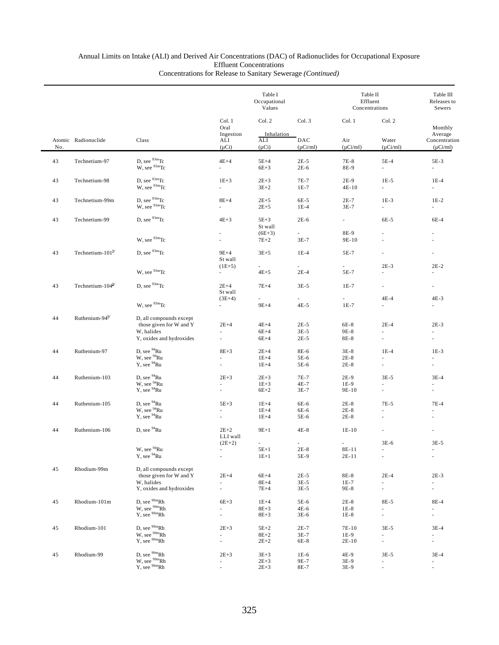|     |                                 |                                                                                  |                                      | Table I<br>Occupational<br>Values |                          | Table II<br>Effluent<br>Concentrations |                                                      | Table III<br>Releases to<br>Sewers                   |
|-----|---------------------------------|----------------------------------------------------------------------------------|--------------------------------------|-----------------------------------|--------------------------|----------------------------------------|------------------------------------------------------|------------------------------------------------------|
|     |                                 |                                                                                  | Col. 1<br>Oral                       | Col. 2                            | Col. 3                   | Col. 1                                 | Col. 2                                               | Monthly                                              |
| No. | Atomic Radionuclide             | Class                                                                            | Ingestion<br>ALI<br>$(\mu Ci)$       | Inhalation<br>ALI<br>$(\mu Ci)$   | DAC<br>$(\mu Ci/ml)$     | Air<br>$(\mu Ci/ml)$                   | Water<br>$(\mu$ Ci/ml)                               | Average<br>Concentration<br>$(\mu Ci/ml)$            |
| 43  | Technetium-97                   |                                                                                  | $4E+4$                               | $5E+4$                            | $2E-5$                   | 7E-8                                   | $5E-4$                                               | 5E-3                                                 |
|     |                                 | D, see $^{93m}$ Tc<br>W, see $^{93m}$ Tc                                         | ä,                                   | $6E+3$                            | $2E-6$                   | 8E-9                                   | $\sim$                                               | $\mathcal{L}_{\mathcal{A}}$                          |
| 43  | Technetium-98                   | D, see $93m$ Tc<br>$W$ , see $93m$ Tc                                            | $1E+3$<br>a.                         | $2E+3$<br>$3E+2$                  | 7E-7<br>$1E-7$           | $2E-9$<br>$4E-10$                      | $1E-5$<br>$\mathcal{L}_{\mathcal{A}}$                | $1E-4$<br>$\sim$                                     |
| 43  | Technetium-99m                  | D, see $93m$ Tc<br>$W$ , see $93m$ Tc                                            | $8E+4$<br>÷.                         | $2E+5$<br>$2E+5$                  | 6E-5<br>$1E-4$           | $2E-7$<br>$3E-7$                       | $1E-3$<br>$\sim$                                     | $1E-2$<br>$\sim$                                     |
| 43  | Technetium-99                   | D, see $93m$ Tc                                                                  | $4E+3$                               | $5E+3$<br>St wall                 | $2E-6$                   | $\omega_{\rm{max}}$                    | 6E-5                                                 | 6E-4                                                 |
|     |                                 | W, see <sup>93m</sup> Tc                                                         |                                      | $(6E+3)$<br>$7E+2$                | $3E-7$                   | 8E-9<br>9E-10                          |                                                      |                                                      |
| 43  | Technetium- $101^{b'}$          | D. see $93m$ Tc                                                                  | $9E+4$<br>St wall                    | $3E+5$                            | $1E-4$                   | 5E-7                                   |                                                      |                                                      |
|     |                                 | W, see <sup>93m</sup> Tc                                                         | $(1E+5)$                             | $\sim$<br>$4E+5$                  | $\overline{a}$<br>$2E-4$ | $\sim$<br>5E-7                         | $2E-3$                                               | $2E-2$                                               |
| 43  | Technetium- $104^{\frac{b}{c}}$ | D, see $93m$ Tc                                                                  | $2E+4$<br>St wall                    | $7E+4$                            | $3E-5$                   | $1E-7$                                 | $\overline{\phantom{a}}$                             |                                                      |
|     |                                 | W, see <sup>93m</sup> Tc                                                         | $(3E+4)$<br>$\sim$                   | $9E+4$                            | $4E-5$                   | $1E-7$                                 | $4E-4$<br>$\sim$                                     | $4E-3$<br>a.                                         |
| 44  | Ruthenium-94 <sup>b/</sup>      | D, all compounds except<br>those given for W and Y                               | $2E+4$                               | $4E+4$                            | $2E-5$                   | $6E-8$                                 | $2E-4$                                               | $2E-3$                                               |
|     |                                 | W, halides<br>Y, oxides and hydroxides                                           | ٠                                    | $6E+4$<br>$6E+4$                  | $3E-5$<br>$2E-5$         | 9E-8<br>8E-8                           | $\overline{\phantom{a}}$                             |                                                      |
| 44  | Ruthenium-97                    | D, see <sup>94</sup> Ru                                                          | $8E+3$                               | $2E+4$                            | 8E-6                     | $3E-8$                                 | $1E-4$                                               | $1E-3$                                               |
|     |                                 | W, see <sup>94</sup> Ru<br>Y, see <sup>94</sup> Ru                               | à.<br>ä,                             | $1E+4$<br>$1E+4$                  | 5E-6<br>5E-6             | $2E-8$<br>$2E-8$                       | ä,<br>$\omega$                                       | ×.                                                   |
| 44  | Ruthenium-103                   | D, see $94$ Ru                                                                   | $2E+3$                               | $2E+3$                            | 7E-7                     | $2E-9$                                 | $3E-5$                                               | $3E-4$                                               |
|     |                                 | W, see <sup>94</sup> Ru<br>Y, see <sup>94</sup> Ru                               | ×.                                   | $1E + 3$<br>$6E+2$                | 4E-7<br>$3E-7$           | $1E-9$<br>9E-10                        |                                                      |                                                      |
| 44  | Ruthenium-105                   | D, see <sup>94</sup> Ru                                                          | $5E+3$                               | $1E+4$                            | 6E-6                     | $2E-8$                                 | 7E-5                                                 | 7E-4                                                 |
|     |                                 | W, see <sup>94</sup> Ru                                                          |                                      | $1E+4$                            | 6E-6                     | $2E-8$                                 |                                                      | ÷                                                    |
|     |                                 | $Y$ , see $94$ Ru                                                                |                                      | $1E+4$                            | 5E-6                     | $2E-8$                                 |                                                      |                                                      |
| 44  | Ruthenium-106                   | D, see $94$ Ru                                                                   | $2E+2$<br>LLI wall                   | $9E+1$                            | $4E-8$                   | $1E-10$                                |                                                      | ×,                                                   |
|     |                                 | W, see $^{94}\mathrm{Ru}$                                                        | $(2E+2)$<br>$\overline{\phantom{a}}$ | $5E+1$                            | $2E-8$                   | $8E-11$                                | $3E-6$                                               | $3E-5$                                               |
|     |                                 | Y, see <sup>94</sup> Ru                                                          | $\bar{z}$                            | $1E+1$                            | 5E-9                     | $2E-11$                                | $\sim$                                               | $\overline{\phantom{a}}$                             |
| 45  | Rhodium-99m                     | D, all compounds except<br>those given for W and Y                               | $2E+4$                               | $6E+4$                            | $2E-5$                   | 8E-8                                   | $2E-4$                                               | $2E-3$                                               |
|     |                                 | W. halides<br>Y, oxides and hydroxides                                           | à.                                   | $8E+4$<br>$7E+4$                  | $3E-5$<br>$3E-5$         | $1E-7$<br>9E-8                         | $\overline{\phantom{a}}$<br>$\overline{\phantom{a}}$ | $\overline{\phantom{a}}$                             |
| 45  | Rhodium-101m                    |                                                                                  | $6E+3$                               | $1E+4$                            | 5E-6                     | $2E-8$                                 | 8E-5                                                 | 8E-4                                                 |
|     |                                 | D, see $\frac{99m}{1}Rh$<br>W, see $\frac{99m}{1}Rh$<br>Y, see $\frac{99m}{1}Rh$ | à.<br>L.                             | $8E+3$<br>$8E + 3$                | 4E-6<br>$3E-6$           | $1E-8$<br>$1E-8$                       | ×.<br>$\overline{\phantom{a}}$                       | $\omega$<br>$\overline{\phantom{a}}$                 |
| 45  | Rhodium-101                     |                                                                                  | $2E+3$                               | $5E+2$                            | $2E-7$                   | 7E-10                                  | $3E-5$                                               | $3E-4$                                               |
|     |                                 | D, see $\frac{99m}{1}Rh$<br>W, see $\frac{99m}{1}Rh$<br>Y, see $\frac{99m}{1}Rh$ | $\overline{\phantom{a}}$<br>÷,       | $8E+2$<br>$2E+2$                  | $3E-7$<br>6E-8           | $1E-9$<br>$2E-10$                      | $\sim$<br>$\overline{\phantom{a}}$                   | $\overline{\phantom{a}}$<br>$\overline{\phantom{a}}$ |
| 45  | Rhodium-99                      | D, see <sup>99m</sup> Rh                                                         | $2E + 3$                             | $3E+3$                            | $1E-6$                   | 4E-9                                   | $3E-5$                                               | $3E-4$                                               |
|     |                                 | $W$ , see $^{99m}$ Rh<br>Y, see $^{99m}$ Rh                                      | ×.                                   | $2E + 3$<br>$2E + 3$              | 9E-7<br>8E-7             | 3E-9<br>3E-9                           | a.                                                   | $\sim$                                               |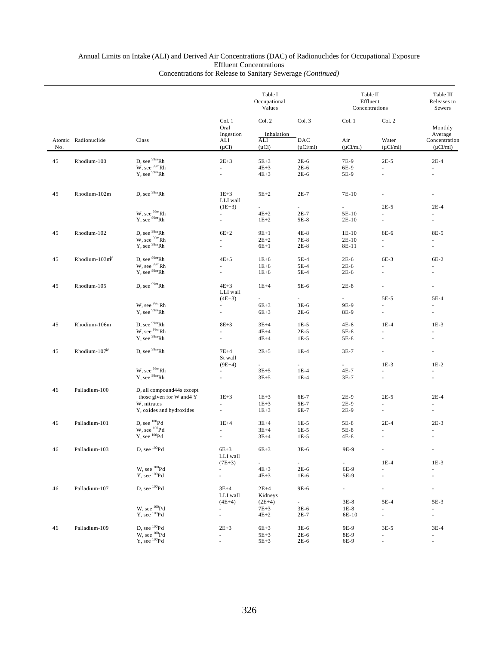|     |                           |                                                                                  |                                    | Table I<br>Occupational<br>Values |                          | Table II<br>Effluent<br>Concentrations |                          | Table III<br>Releases to<br>Sewers                   |
|-----|---------------------------|----------------------------------------------------------------------------------|------------------------------------|-----------------------------------|--------------------------|----------------------------------------|--------------------------|------------------------------------------------------|
|     | Atomic Radionuclide       | Class                                                                            | Col. 1<br>Oral<br>Ingestion<br>ALI | Col. 2<br>Inhalation<br>ALI       | Col. 3<br>DAC            | Col. 1<br>Air                          | Col. 2<br>Water          | Monthly<br>Average<br>Concentration                  |
| No. |                           |                                                                                  | $(\mu Ci)$                         | $(\mu Ci)$                        | $(\mu Ci/ml)$            | $(\mu$ Ci/ml)                          | $(\mu Ci/ml)$            | $(\mu$ Ci/ml)                                        |
| 45  | Rhodium-100               | D, see <sup>99m</sup> Rh                                                         | $2E+3$                             | $5E+3$                            | $2E-6$                   | 7E-9                                   | $2E-5$                   | $2E-4$                                               |
|     |                           | $W$ , see $\frac{99m}{P}Rh$<br>Y, see $\frac{99m}{P}Rh$                          |                                    | $4E+3$                            | $2E-6$                   | 6E-9                                   | ä,                       |                                                      |
|     |                           |                                                                                  | L.                                 | $4E+3$                            | $2E-6$                   | 5E-9                                   | L.                       |                                                      |
| 45  | Rhodium-102m              | D. see <sup>99m</sup> Rh                                                         | $1E+3$                             | $5E+2$                            | $2E-7$                   | 7E-10                                  |                          |                                                      |
|     |                           |                                                                                  | LLI wall                           |                                   |                          |                                        |                          |                                                      |
|     |                           |                                                                                  | $(1E+3)$<br>÷.                     | $\overline{\phantom{a}}$          | $\overline{\phantom{a}}$ | $\overline{\phantom{a}}$               | $2E-5$                   | $2E-4$                                               |
|     |                           | W, see $\frac{99m}{P}Rh$<br>Y, see $\frac{99m}{P}Rh$                             |                                    | $4E+2$<br>$1E+2$                  | 2E-7<br>5E-8             | 5E-10<br>2E-10                         | L.                       |                                                      |
|     |                           |                                                                                  |                                    |                                   |                          |                                        |                          |                                                      |
| 45  | Rhodium-102               | D, see $^{99\mathrm{m}}\mathrm{Rh}$                                              | $6E+2$                             | $9E+1$                            | $4E-8$                   | $1E-10$                                | 8E-6                     | 8E-5                                                 |
|     |                           | W, see <sup>99m</sup> Rh                                                         |                                    | $2E+2$                            | 7E-8                     | $2E-10$                                | L.                       |                                                      |
|     |                           | $Y$ , see $^{99m}Rh$                                                             | ÷,                                 | $6E+1$                            | $2E-8$                   | 8E-11                                  | $\overline{\phantom{a}}$ | ä,                                                   |
| 45  | Rhodium- $103m^b$         | D, see $\frac{99m}{1}Rh$<br>W, see $\frac{99m}{1}Rh$<br>Y, see $\frac{99m}{1}Rh$ | $4E+5$                             | $1E+6$                            | $5E-4$                   | $2E-6$                                 | 6E-3                     | $6E-2$                                               |
|     |                           |                                                                                  |                                    | $1E+6$                            | 5E-4                     | $2E-6$                                 | L.                       |                                                      |
|     |                           |                                                                                  |                                    | $1E+6$                            | 5E-4                     | $2E-6$                                 |                          |                                                      |
| 45  | Rhodium-105               | D, see <sup>99m</sup> Rh                                                         | $4E+3$                             | $1E+4$                            | 5E-6                     | $2E-8$                                 | ä,                       |                                                      |
|     |                           |                                                                                  | LLI wall                           |                                   |                          |                                        |                          |                                                      |
|     |                           |                                                                                  | $(4E+3)$                           | $\sim$                            | $\overline{\phantom{0}}$ |                                        | 5E-5                     | $5E-4$                                               |
|     |                           | W, see <sup>99m</sup> Rh                                                         | ÷.                                 | $6E+3$                            | 3E-6                     | 9E-9                                   | ä,                       |                                                      |
|     |                           | Y, see <sup>99m</sup> Rh                                                         | ä,                                 | $6E+3$                            | $2E-6$                   | 8E-9                                   | ä,                       |                                                      |
| 45  | Rhodium-106m              | D, see <sup>99m</sup> Rh                                                         | $8E+3$                             | $3E+4$                            | $1E-5$                   | 4E-8                                   | $1E-4$                   | $1E-3$                                               |
|     |                           | W, see <sup>99m</sup> Rh                                                         |                                    | $4E+4$                            | $2E-5$                   | $5E-8$                                 | ÷                        |                                                      |
|     |                           | $Y$ , see $99m$ Rh                                                               |                                    | $4E+4$                            | $1E-5$                   | 5E-8                                   |                          |                                                      |
| 45  | Rhodium-107 <sup>b/</sup> | D, see <sup>99m</sup> Rh                                                         | $7E+4$                             | $2E+5$                            | $1E-4$                   | $3E-7$                                 | ä,                       | $\overline{\phantom{m}}$                             |
|     |                           |                                                                                  | St wall                            |                                   |                          |                                        |                          |                                                      |
|     |                           |                                                                                  | $(9E+4)$                           |                                   |                          |                                        | $1E-3$                   | $1E-2$                                               |
|     |                           | W, see <sup>99m</sup> Rh                                                         | $\sim$                             | $3E + 5$                          | $1E-4$                   | 4E-7                                   | ÷                        |                                                      |
|     |                           | Y, see <sup>99m</sup> Rh                                                         | ä,                                 | $3E + 5$                          | $1E-4$                   | 3E-7                                   | ä,                       |                                                      |
| 46  | Palladium-100             | D, all compound 44s except                                                       |                                    |                                   |                          |                                        |                          |                                                      |
|     |                           | those given for W and 4Y                                                         | $1E + 3$                           | $1E + 3$                          | 6E-7                     | 2E-9                                   | $2E-5$                   | $2E-4$                                               |
|     |                           | W, nitrates                                                                      |                                    | $1E+3$                            | 5E-7                     | $2E-9$                                 | ä,                       |                                                      |
|     |                           | Y, oxides and hydroxides                                                         | L.                                 | $1E + 3$                          | 6E-7                     | 2E-9                                   | ä,                       | ä,                                                   |
| 46  | Palladium-101             | D, see ${}^{100}Pd$                                                              | $1E+4$                             | $3E+4$                            | $1E-5$                   | 5E-8                                   | $2E-4$                   | $2E-3$                                               |
|     |                           | W, see <sup>100</sup> Pd                                                         |                                    | $3E+4$                            | $1E-5$                   | 5E-8                                   |                          |                                                      |
|     |                           | $Y$ , see $^{100}Pd$                                                             |                                    | $3E+4$                            | $1E-5$                   | 4E-8                                   |                          |                                                      |
| 46  | Palladium-103             | D, see $^{100}\mathrm{Pd}$                                                       | $6E+3$                             | $6E+3$                            | $3E-6$                   | 9E-9                                   | $\overline{\phantom{a}}$ | $\overline{\phantom{a}}$                             |
|     |                           |                                                                                  | LLI wall                           |                                   |                          |                                        |                          |                                                      |
|     |                           | W, see <sup>100</sup> Pd                                                         | $(7E+3)$                           | $\overline{a}$<br>$4E+3$          | $\overline{a}$<br>$2E-6$ | ÷.<br>6E-9                             | $1E-4$<br>ä,             | $1E-3$                                               |
|     |                           | $Y$ , see $^{100}Pd$                                                             | $\overline{\phantom{a}}$<br>ä,     | $4E + 3$                          | $1E-6$                   | 5E-9                                   | ÷,                       | ä,                                                   |
|     |                           |                                                                                  |                                    |                                   |                          |                                        |                          |                                                      |
| 46  | Palladium-107             | D, see <sup>100</sup> Pd                                                         | $3E+4$                             | $2E+4$                            | 9E-6                     | ÷.                                     | ä,                       | ä,                                                   |
|     |                           |                                                                                  | LLI wall<br>$(4E+4)$               | Kidneys<br>$(2E+4)$               | $\sim$                   | $3E-8$                                 | 5E-4                     | 5E-3                                                 |
|     |                           |                                                                                  | $\overline{\phantom{a}}$           | $7E+3$                            | 3E-6                     | $1E-8$                                 | ä,                       | $\overline{\phantom{a}}$                             |
|     |                           | W, see $^{100}Pd$<br>Y, see $^{100}Pd$                                           | $\overline{\phantom{a}}$           | $4E+2$                            | $2E-7$                   | 6E-10                                  | ÷.                       | ä,                                                   |
|     |                           |                                                                                  |                                    |                                   |                          |                                        |                          |                                                      |
| 46  | Palladium-109             | D, see <sup>100</sup> Pd                                                         | $2E+3$<br>$\omega$                 | $6E+3$                            | 3E-6                     | 9E-9                                   | $3E-5$                   | $3E-4$                                               |
|     |                           | W, see ${}^{100}\text{Pd}$<br>Y, see ${}^{100}\text{Pd}$                         | ×.                                 | $5E+3$<br>$5E + 3$                | 2E-6<br>2E-6             | 8E-9<br>6E-9                           | ä,<br>ä,                 | $\overline{\phantom{a}}$<br>$\overline{\phantom{a}}$ |
|     |                           |                                                                                  |                                    |                                   |                          |                                        |                          |                                                      |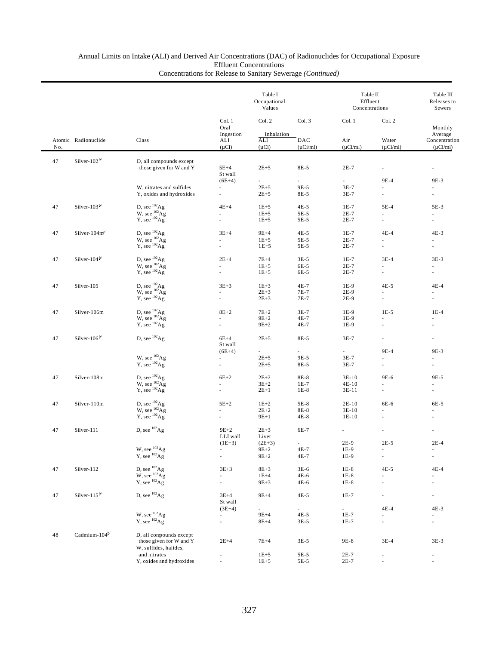|        |                                   |                                                                                        |                                                      | Table I<br>Occupational<br>Values |                      | Table II<br>Effluent<br>Concentrations |                                            | Table III<br>Releases to<br>Sewers        |  |
|--------|-----------------------------------|----------------------------------------------------------------------------------------|------------------------------------------------------|-----------------------------------|----------------------|----------------------------------------|--------------------------------------------|-------------------------------------------|--|
|        |                                   |                                                                                        | Col. 1<br>Oral                                       | Col. 2                            | Col. 3               | Col. 1                                 | Col. 2                                     | Monthly                                   |  |
| No.    | Atomic Radionuclide               | Class                                                                                  | Ingestion<br>ALI<br>$(\mu Ci)$                       | Inhalation<br>ALI<br>$(\mu Ci)$   | DAC<br>$(\mu$ Ci/ml) | Air<br>$(\mu$ Ci/ml)                   | Water<br>$(\mu$ Ci/ml)                     | Average<br>Concentration<br>$(\mu$ Ci/ml) |  |
| 47     | Silver-102 $\frac{b}{ }$          | D, all compounds except                                                                |                                                      |                                   |                      |                                        |                                            |                                           |  |
|        |                                   | those given for W and Y                                                                | $5E+4$<br>St wall                                    | $2E+5$                            | 8E-5                 | $2E-7$                                 | $\overline{\phantom{a}}$                   | $\overline{\phantom{a}}$                  |  |
|        |                                   |                                                                                        | $(6E+4)$                                             | $\sim$                            | a.                   | ÷.                                     | 9E-4                                       | 9E-3                                      |  |
|        |                                   | W, nitrates and sulfides<br>Y, oxides and hydroxides                                   | $\overline{\phantom{a}}$<br>ä,                       | $2E + 5$<br>$2E + 5$              | 9E-5<br>8E-5         | $3E-7$<br>$3E-7$                       | $\omega$                                   | $\overline{\phantom{a}}$<br>٠             |  |
| 47     | Silver-103 $\frac{b}{c}$          | D, see $^{102}$ Ag                                                                     | $4E+4$                                               | $1E + 5$                          | 4E-5                 | $1E-7$                                 | $5E-4$                                     | 5E-3                                      |  |
|        |                                   |                                                                                        | ä,                                                   | $1E + 5$                          | 5E-5                 | $2E-7$                                 | ٠                                          | ä,                                        |  |
|        |                                   | W, see $^{102}$ Ag<br>Y, see $^{102}$ Ag                                               |                                                      | $1E + 5$                          | 5E-5                 | $2E-7$                                 | à.                                         |                                           |  |
| 47     | Silver-104 $m^{b}$                | D, see ${}^{102}\text{Ag}$<br>W, see ${}^{102}\text{Ag}$<br>Y, see ${}^{102}\text{Ag}$ | $3E+4$                                               | $9E+4$                            | $4E-5$               | $1E-7$                                 | $4E-4$                                     | $4E-3$                                    |  |
|        |                                   |                                                                                        |                                                      | $1E + 5$                          | 5E-5                 | $2E-7$                                 | ×,                                         |                                           |  |
|        |                                   |                                                                                        | ä,                                                   | $1E+5$                            | 5E-5                 | $2E-7$                                 | $\overline{\phantom{a}}$                   | $\blacksquare$                            |  |
| 47     | Silver-104 $\frac{b}{ }$          | D, see ${}^{102}\text{Ag}$<br>W, see ${}^{102}\text{Ag}$<br>Y, see ${}^{102}\text{Ag}$ | $2E+4$                                               | $7E+4$                            | $3E-5$               | $1E-7$                                 | $3E-4$                                     | $3E-3$                                    |  |
|        |                                   |                                                                                        | ÷                                                    | $1E + 5$                          | 6E-5                 | $2E-7$                                 | ×.                                         | ٠                                         |  |
|        |                                   |                                                                                        |                                                      | $1E + 5$                          | 6E-5                 | $2E-7$                                 |                                            | $\sim$                                    |  |
| 47     | Silver-105                        | D, see $^{102}$ Ag<br>W, see $^{102}$ Ag                                               | $3E + 3$                                             | $1E+3$                            | 4E-7                 | 1E-9                                   | $4E-5$                                     | $4E-4$                                    |  |
|        |                                   |                                                                                        |                                                      | $2E + 3$                          | 7E-7                 | $2E-9$                                 |                                            |                                           |  |
|        |                                   | $Y$ , see ${}^{102}Ag$                                                                 |                                                      | $2E + 3$                          | 7E-7                 | $2E-9$                                 | $\overline{\phantom{a}}$                   |                                           |  |
| 47     | Silver-106m                       | D, see ${}^{102}_{102}$ Ag<br>W, see ${}^{102}_{102}$ Ag                               | $8E+2$                                               | $7E+2$                            | $3E-7$               | $1E-9$                                 | $1E-5$                                     | $1E-4$                                    |  |
|        |                                   |                                                                                        |                                                      | $9E+2$                            | 4E-7                 | 1E-9                                   | $\sim$                                     |                                           |  |
|        |                                   | $Y$ , see $^{102}Ag$                                                                   | ä,                                                   | $9E + 2$                          | 4E-7                 | 1E-9                                   | à.                                         | $\overline{\phantom{a}}$                  |  |
| 47     | Silver- $106^{\frac{b}{c}}$       | D, see $^{102}$ Ag                                                                     | $6E+4$<br>St wall                                    | $2E + 5$                          | 8E-5                 | $3E-7$                                 | ٠                                          | $\sim$                                    |  |
|        |                                   |                                                                                        | $(6E+4)$                                             | ٠                                 | ٠                    | ÷.                                     | 9E-4                                       | 9E-3                                      |  |
|        |                                   | W, see $^{102}$ Ag                                                                     | $\overline{\phantom{a}}$                             | $2E + 5$                          | 9E-5                 | $3E-7$                                 | ٠                                          | ٠                                         |  |
|        |                                   | $Y$ , see $^{102}Ag$                                                                   | ä,                                                   | $2E + 5$                          | 8E-5                 | $3E-7$                                 | $\overline{\phantom{a}}$                   |                                           |  |
| 47     | Silver-108m                       | D, see $^{102}$ Ag                                                                     | $6E+2$                                               | $2E+2$                            | 8E-8                 | $3E-10$                                | 9E-6                                       | 9E-5                                      |  |
|        |                                   | W, see $^{102}$ Ag<br>Y, see $^{102}$ Ag                                               |                                                      | $3E+2$                            | $1E-7$               | $4E-10$                                |                                            |                                           |  |
|        |                                   |                                                                                        | ä,                                                   | $2E+1$                            | $1E-8$               | $3E-11$                                | $\overline{\phantom{a}}$                   | $\overline{\phantom{a}}$                  |  |
| 47     | Silver-110m                       | D, see ${}^{102}\text{Ag}$<br>W, see ${}^{102}\text{Ag}$<br>Y, see ${}^{102}\text{Ag}$ | $5E+2$                                               | $1E+2$                            | 5E-8                 | $2E-10$                                | 6E-6                                       | 6E-5                                      |  |
|        |                                   |                                                                                        |                                                      | $2E+2$                            | 8E-8                 | $3E-10$                                |                                            |                                           |  |
|        |                                   |                                                                                        |                                                      | $9E+1$                            | 4E-8                 | $1E-10$                                |                                            |                                           |  |
| 47     | Silver-111                        | D, see $^{102}$ Ag                                                                     | $9E+2$                                               | $2E + 3$                          | 6E-7                 | $\overline{\phantom{a}}$               |                                            | ×,                                        |  |
|        |                                   |                                                                                        | LLI wall                                             | Liver                             |                      |                                        |                                            |                                           |  |
|        |                                   | W, see $^{102}$ Ag                                                                     | $(1E+3)$                                             | $(2E+3)$                          |                      | 2E-9                                   | $2E-5$                                     | $2E-4$                                    |  |
|        |                                   | $Y$ , see $^{102}Ag$                                                                   | $\overline{\phantom{a}}$<br>$\overline{\phantom{a}}$ | $9E + 2$<br>$9E + 2$              | 4E-7<br>4E-7         | 1E-9<br>1E-9                           | $\overline{\phantom{a}}$<br>$\blacksquare$ | $\overline{\phantom{a}}$<br>÷,            |  |
|        |                                   |                                                                                        |                                                      |                                   |                      |                                        |                                            |                                           |  |
| 47     | Silver-112                        | D, see $^{102}$ Ag<br>W, see $^{102}$ Ag                                               | $3E + 3$                                             | $8E + 3$                          | 3E-6                 | $1E-8$                                 | $4E-5$                                     | $4E-4$                                    |  |
|        |                                   | $Y$ , see $^{102}Ag$                                                                   | $\blacksquare$<br>ä,                                 | $1E+4$                            | 4E-6<br>4E-6         | $1E-8$                                 | $\overline{\phantom{a}}$                   | ٠                                         |  |
|        |                                   |                                                                                        |                                                      | $9E + 3$                          |                      | $1E-8$                                 |                                            |                                           |  |
| $47\,$ | Silver-115 $\frac{b}{c}$          | D, see $^{102}$ Ag                                                                     | $3E+4$<br>St wall                                    | $9E+4$                            | 4E-5                 | $1E-7$                                 | $\overline{\phantom{a}}$                   |                                           |  |
|        |                                   | W, see $^{102}$ Ag                                                                     | $(3E+4)$                                             | $\sim$                            | $\sim$               | $\sim$                                 | $4E-4$                                     | 4E-3                                      |  |
|        |                                   | $Y$ , see $^{102}Ag$                                                                   | $\overline{\phantom{a}}$<br>÷,                       | $9E+4$<br>$8E+4$                  | 4E-5<br>$3E-5$       | 1E-7<br>1E-7                           | $\overline{\phantom{a}}$                   | $\overline{\phantom{a}}$<br>٠             |  |
|        | Cadmium- $104^{\mathsf{b}\prime}$ |                                                                                        |                                                      |                                   |                      |                                        |                                            |                                           |  |
| 48     |                                   | D, all compounds except<br>those given for W and Y<br>W, sulfides, halides,            | $2E+4$                                               | $7E+4$                            | $3E-5$               | 9E-8                                   | $3E-4$                                     | $3E-3$                                    |  |
|        |                                   | and nitrates                                                                           |                                                      | $1E + 5$                          | 5E-5                 | 2E-7                                   |                                            | $\overline{\phantom{a}}$                  |  |
|        |                                   | Y, oxides and hydroxides                                                               |                                                      | $1E + 5$                          | 5E-5                 | $2E-7$                                 |                                            |                                           |  |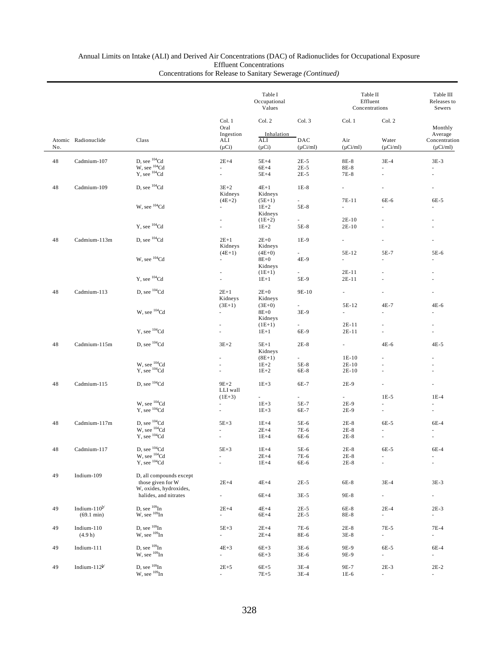|     |                      |                                              |                          | Table I<br>Occupational<br>Values |                     | Table II<br>Effluent<br>Concentrations |                             | Table III<br>Releases to<br>Sewers |  |
|-----|----------------------|----------------------------------------------|--------------------------|-----------------------------------|---------------------|----------------------------------------|-----------------------------|------------------------------------|--|
|     |                      |                                              | Col. 1<br>Oral           | Col. 2                            | Col. 3              | Col. 1                                 | Col. 2                      | Monthly                            |  |
|     | Atomic Radionuclide  | Class                                        | Ingestion<br>ALI         | Inhalation<br>ALI                 | DAC                 | Air                                    | Water                       | Average<br>Concentration           |  |
| No. |                      |                                              | $(\mu Ci)$               | $(\mu Ci)$                        | $(\mu$ Ci/ml)       | $(\mu$ Ci/ml)                          | $(\mu Ci/ml)$               | $(\mu$ Ci/ml)                      |  |
| 48  | Cadmium-107          | D, see $^{104}$ Cd                           | $2E+4$                   | $5E+4$                            | $2E-5$              | 8E-8                                   | $3E-4$                      | $3E-3$                             |  |
|     |                      | W, see $^{104}$ Cd<br>Y, see $^{104}$ Cd     | ×.                       | $6E+4$                            | $2E-5$              | 8E-8                                   | ä,                          | $\sim$                             |  |
|     |                      |                                              | $\omega$                 | $5E+4$                            | $2E-5$              | 7E-8                                   | ä,                          | ÷                                  |  |
| 48  | Cadmium-109          | D, see <sup>104</sup> Cd                     | $3E+2$                   | $4E+1$                            | $1E-8$              | $\sim$                                 | ä,                          | ×.                                 |  |
|     |                      |                                              | Kidneys                  | Kidneys                           |                     |                                        |                             |                                    |  |
|     |                      |                                              | $(4E+2)$                 | $(5E+1)$                          | $\sim$              | 7E-11                                  | 6E-6                        | 6E-5                               |  |
|     |                      | W, see $^{104}$ Cd                           | $\overline{\phantom{a}}$ | $1E+2$                            | 5E-8                | $\mathcal{L}_{\mathcal{A}}$            | ä,                          |                                    |  |
|     |                      |                                              |                          | Kidneys                           | $\sim$              | $2E-10$                                |                             |                                    |  |
|     |                      | Y, see ${}^{104}$ Cd                         | $\overline{\phantom{a}}$ | $(1E+2)$<br>$1E+2$                | 5E-8                | $2E-10$                                | ä,                          | $\sim$                             |  |
|     |                      |                                              |                          |                                   |                     |                                        |                             |                                    |  |
| 48  | Cadmium-113m         | D, see <sup>104</sup> Cd                     | $2E+1$                   | $2E+0$                            | 1E-9                | $\overline{\phantom{a}}$               |                             |                                    |  |
|     |                      |                                              | Kidneys                  | Kidneys                           |                     |                                        |                             |                                    |  |
|     |                      |                                              | $(4E+1)$                 | $(4E+0)$                          | $\sim$              | 5E-12                                  | 5E-7                        | 5E-6                               |  |
|     |                      | W, see ${}^{104}$ Cd                         | $\overline{\phantom{a}}$ | $8E+0$                            | 4E-9                | $\overline{\phantom{a}}$               | ä,                          |                                    |  |
|     |                      |                                              |                          | Kidneys<br>$(1E+1)$               | $\sim$              | 2E-11                                  |                             |                                    |  |
|     |                      | Y, see <sup>104</sup> Cd                     | $\overline{\phantom{a}}$ | $1E+1$                            | 5E-9                | 2E-11                                  | ä,                          | ÷                                  |  |
|     |                      |                                              |                          |                                   |                     |                                        |                             |                                    |  |
| 48  | Cadmium-113          | D, see $^{104}$ Cd                           | $2E+1$                   | $2E+0$                            | 9E-10               | ÷.                                     |                             |                                    |  |
|     |                      |                                              | Kidneys                  | Kidneys                           |                     |                                        |                             |                                    |  |
|     |                      | W, see $^{104}$ Cd                           | $(3E+1)$<br>$\sim$       | $(3E+0)$<br>$8E+0$                | 3E-9                | 5E-12<br>ä,                            | 4E-7<br>÷                   | 4E-6<br>÷                          |  |
|     |                      |                                              |                          | Kidneys                           |                     |                                        |                             |                                    |  |
|     |                      |                                              |                          | $(1E+1)$                          | $\sim$              | 2E-11                                  | ÷                           |                                    |  |
|     |                      | Y, see $^{104}$ Cd                           | ٠                        | $1E+1$                            | 6E-9                | 2E-11                                  |                             |                                    |  |
|     |                      |                                              |                          |                                   |                     |                                        |                             |                                    |  |
| 48  | Cadmium-115m         | D, see $^{104}$ Cd                           | $3E+2$                   | $5E+1$                            | $2E-8$              | 4.000                                  | $4E-6$                      | $4E-5$                             |  |
|     |                      |                                              |                          | Kidneys<br>$(8E+1)$               | $\omega_{\rm{max}}$ | $1E-10$                                | ä,                          |                                    |  |
|     |                      |                                              |                          | $1E+2$                            | 5E-8                | $2E-10$                                | ä,                          |                                    |  |
|     |                      | W, see $^{104}$ Cd<br>Y, see $^{104}$ Cd     | $\omega$                 | $1E+2$                            | 6E-8                | $2E-10$                                | ä,                          |                                    |  |
|     |                      |                                              |                          |                                   |                     |                                        |                             |                                    |  |
| 48  | Cadmium-115          | D, see <sup>104</sup> Cd                     | $9E+2$                   | $1E+3$                            | 6E-7                | 2E-9                                   | ä,                          |                                    |  |
|     |                      |                                              | LLI wall<br>$(1E+3)$     | $\sim 10^{-11}$                   | $\sim$              | $\sim$                                 | $1E-5$                      | $1E-4$                             |  |
|     |                      | W, see $^{104}$ Cd                           | $\mathcal{L}^{\pm}$      | $1E + 3$                          | 5E-7                | 2E-9                                   | ÷.                          |                                    |  |
|     |                      | $Y$ , see $104$ Cd                           | $\omega$                 | $1E + 3$                          | 6E-7                | $2E-9$                                 | $\overline{\phantom{a}}$    | $\overline{\phantom{a}}$           |  |
|     |                      |                                              |                          |                                   |                     |                                        |                             |                                    |  |
| 48  | Cadmium-117m         | D, see $^{104}$ Cd                           | $5E+3$                   | $1E+4$                            | 5E-6                | $2E-8$                                 | 6E-5                        | $6E-4$                             |  |
|     |                      | $W$ , see $104$ Cd<br>$Y$ , see $104$ Cd     |                          | $2E+4$                            | 7E-6                | $2E-8$                                 |                             |                                    |  |
|     |                      |                                              | $\sim$                   | $1E+4$                            | 6E-6                | $2E-8$                                 | ä,                          | $\sim$                             |  |
| 48  | Cadmium-117          | D, see $^{104}\mathrm{Cd}$                   | $5E+3$                   | $1E+4$                            | 5E-6                | $2E-8$                                 | 6E-5                        | 6E-4                               |  |
|     |                      | W, see $^{104}$ Cd<br>Y, see $^{104}$ Cd     | $\blacksquare$           | $2E+4$                            | 7E-6                | $2E-8$                                 | ÷,                          | $\overline{\phantom{a}}$           |  |
|     |                      |                                              |                          | $1E+4$                            | 6E-6                | $2E-8$                                 | ÷,                          |                                    |  |
|     |                      |                                              |                          |                                   |                     |                                        |                             |                                    |  |
| 49  | Indium-109           | D, all compounds except<br>those given for W | $2E+4$                   | $4E+4$                            | $2E-5$              | 6E-8                                   | $3E-4$                      | $3E-3$                             |  |
|     |                      | W, oxides, hydroxides,                       |                          |                                   |                     |                                        |                             |                                    |  |
|     |                      | halides, and nitrates                        | $\sim$                   | $6E+4$                            | $3E-5$              | 9E-8                                   | $\sim$                      | $\sim$                             |  |
|     |                      |                                              |                          |                                   |                     |                                        |                             |                                    |  |
| 49  | Indium- $110^{b}$    | D, see $^{109}$ In<br>W, see $^{109}$ In     | $2E+4$                   | $4E+4$                            | $2E-5$              | 6E-8                                   | $2E-4$                      | $2E-3$                             |  |
|     | $(69.1 \text{ min})$ |                                              | $\overline{\phantom{a}}$ | $6E+4$                            | $2E-5$              | 8E-8                                   | ÷.                          | ÷.                                 |  |
| 49  | Indium-110           | D, see $^{109}$ In                           | $5E+3$                   | $2E+4$                            | 7E-6                | $2E-8$                                 | 7E-5                        | $7E-4$                             |  |
|     | (4.9 h)              | $W$ , see $^{109}$ In                        | ÷.                       | $2E+4$                            | 8E-6                | $3E-8$                                 | ÷.                          | ÷.                                 |  |
|     |                      |                                              |                          |                                   |                     |                                        |                             |                                    |  |
| 49  | Indium-111           | D, see $^{109}$ In                           | $4E+3$                   | $6E+3$                            | $3E-6$              | 9E-9                                   | 6E-5                        | 6E-4                               |  |
|     |                      | $W$ , see $^{109}$ In                        | $\overline{\phantom{a}}$ | $6E+3$                            | $3E-6$              | 9E-9                                   | $\mathcal{L}_{\mathcal{A}}$ | $\overline{\phantom{a}}$           |  |
| 49  | Indium- $112^{b'}$   | D, see $^{109}$ In                           | $2E + 5$                 | $6E+5$                            | $3E-4$              | 9E-7                                   | $2E-3$                      | $2E-2$                             |  |
|     |                      | $W$ , see $^{109}$ In                        | ÷.                       | $7E+5$                            | $3E-4$              | $1E-6$                                 | $\overline{\phantom{a}}$    | $\overline{\phantom{a}}$           |  |
|     |                      |                                              |                          |                                   |                     |                                        |                             |                                    |  |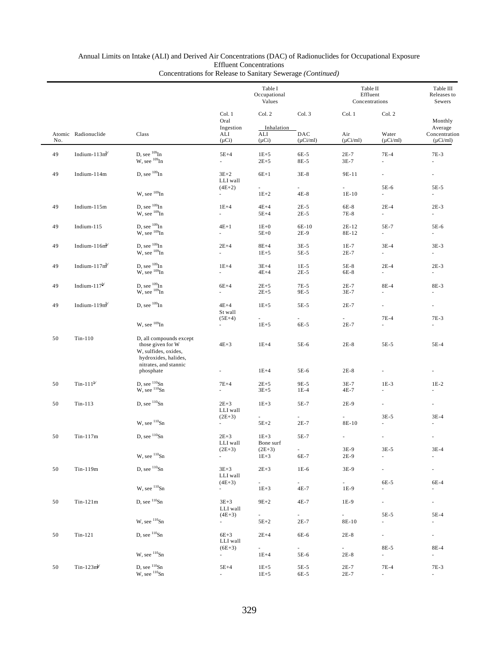|     |                               |                                                                                                                       |                                       | Table I<br>Occupational<br>Values     |                                  | Table II<br>Effluent<br>Concentrations |                                    | Table III<br>Releases to<br>Sewers |
|-----|-------------------------------|-----------------------------------------------------------------------------------------------------------------------|---------------------------------------|---------------------------------------|----------------------------------|----------------------------------------|------------------------------------|------------------------------------|
|     |                               |                                                                                                                       | Col. 1<br>Oral<br>Ingestion           | Col. 2<br>Inhalation                  | Col. 3                           | Col. 1                                 | Col. 2                             | Monthly<br>Average                 |
| No. | Atomic Radionuclide           | Class                                                                                                                 | ALI<br>$(\mu Ci)$                     | ALI<br>$(\mu Ci)$                     | DAC<br>$(\mu$ Ci/ml)             | Air<br>$(\mu$ Ci/ml)                   | Water<br>$(\mu$ Ci/ml)             | Concentration<br>$(\mu$ Ci/ml)     |
| 49  | Indium- $113m^{b}$            | D, see $^{109}\mathrm{In}$<br>W, see <sup>109</sup> In                                                                | $5E+4$<br>$\mathcal{L}_{\mathcal{A}}$ | $1E+5$<br>$2E + 5$                    | 6E-5<br>8E-5                     | $2E-7$<br>$3E-7$                       | $7E-4$<br>ä,                       | 7E-3<br>÷,                         |
| 49  | Indium-114m                   | D, see $^{109}$ In                                                                                                    | $3E+2$<br>LLI wall                    | $6E+1$                                | $3E-8$                           | 9E-11                                  | $\overline{\phantom{a}}$           | ۰                                  |
|     |                               | W, see $^{109}$ In                                                                                                    | $(4E+2)$<br>$\sim$                    | $\sim$<br>$1E+2$                      | a.<br>$4E-8$                     | $\sim$<br>$1E-10$                      | 5E-6<br>$\overline{\phantom{a}}$   | $5E-5$<br>$\overline{\phantom{a}}$ |
| 49  | Indium-115m                   | D, see $^{109}$ In<br>$W$ , see $^{109}$ In                                                                           | $1E+4$<br>$\sim$                      | $4E+4$<br>$5E+4$                      | $2E-5$<br>$2E-5$                 | $6E-8$<br>7E-8                         | $2E-4$<br>÷.                       | $2E-3$<br>$\sim$                   |
| 49  | Indium- $115$                 | D, see $^{109}$ In<br>$W$ , see $^{109}$ In                                                                           | $4E+1$<br>$\sim$                      | $1E+0$<br>$5E+0$                      | 6E-10<br>$2E-9$                  | 2E-12<br>8E-12                         | 5E-7<br>$\sim$                     | 5E-6<br>$\sim$                     |
| 49  | Indium- $116mb$               | D, see $^{109}$ In<br>$W$ , see $^{109}$ In                                                                           | $2E+4$<br>$\sim$                      | $8E+4$<br>$1E + 5$                    | $3E-5$<br>$5E-5$                 | $1E-7$<br>$2E-7$                       | $3E-4$<br>÷.                       | $3E-3$<br>÷.                       |
| 49  | Indium- $117m^{b}$            | D, see $^{109}$ In<br>W, see $^{109}$ In                                                                              | $1E+4$<br>$\sim$                      | $3E+4$<br>$4E+4$                      | $1E-5$<br>$2E-5$                 | 5E-8<br>6E-8                           | $2E-4$<br>$\overline{\phantom{a}}$ | $2E-3$<br>÷.                       |
| 49  | Indium-117 $b^{\prime\prime}$ | D, see $^{109}$ In<br>W, see $^{109}$ In                                                                              | $6E+4$<br>$\sim$                      | $2E + 5$<br>$2E + 5$                  | 7E-5<br>9E-5                     | $2E-7$<br>3E-7                         | 8E-4<br>$\overline{\phantom{a}}$   | 8E-3<br>۰.                         |
| 49  | Indium- $119m^b$              | D, see $^{109}\mathrm{In}$                                                                                            | $4E+4$<br>St wall                     | $1E+5$                                | 5E-5                             | $2E-7$                                 | $\overline{\phantom{a}}$           | ä,                                 |
|     |                               | W, see $^{109}$ In                                                                                                    | $(5E+4)$<br>$\sim$                    | $\mathcal{L}_{\mathcal{A}}$<br>$1E+5$ | ä,<br>6E-5                       | L.<br>$2E-7$                           | $7E-4$<br>$\overline{\phantom{a}}$ | $7E-3$<br>ä,                       |
| 50  | $Tin-110$                     | D, all compounds except<br>those given for W<br>W, sulfides, oxides,<br>hydroxides, halides,<br>nitrates, and stannic | $4E+3$                                | $1E+4$                                | 5E-6                             | $2E-8$                                 | 5E-5                               | 5E-4                               |
|     |                               | phosphate                                                                                                             | $\overline{\phantom{a}}$              | $1E+4$                                | 5E-6                             | $2E-8$                                 | $\overline{\phantom{a}}$           | $\overline{\phantom{a}}$           |
| 50  | Tin-111 $^{b'}$               | D, see $\frac{110}{10}$ Sn<br>W, see $\frac{110}{10}$ Sn                                                              | $7E+4$<br>$\overline{\phantom{a}}$    | $2E+5$<br>$3E + 5$                    | 9E-5<br>$1E-4$                   | $3E-7$<br>4E-7                         | $1E-3$<br>$\overline{\phantom{a}}$ | $1E-2$<br>$\overline{\phantom{a}}$ |
| 50  | $Tin-113$                     | D, see $110$ Sn                                                                                                       | $2E+3$<br>LLI wall<br>$(2E+3)$        | $1E+3$<br>$\sim$                      | 5E-7<br>÷.                       | 2E-9<br>ä,                             | $\overline{\phantom{a}}$<br>$3E-5$ | $\overline{\phantom{a}}$<br>$3E-4$ |
|     |                               | W, see 110Sn                                                                                                          | $\sim$                                | $5E+2$                                | $2E-7$                           | 8E-10                                  | ä,                                 |                                    |
| 50  | $Tin-117m$                    | D, see $^{110}Sn$                                                                                                     | $2E + 3$<br>LLI wall<br>$(2E+3)$      | $1E + 3$<br>Bone surf<br>$(2E+3)$     | 5E-7<br>$\overline{\phantom{a}}$ | ä,<br>3E-9                             | ÷,<br>$3E-5$                       | ÷,<br>$3E-4$                       |
|     |                               | W, see 110Sn                                                                                                          | $\sim$                                | $1E + 3$                              | 6E-7                             | 2E-9                                   | $\overline{\phantom{a}}$           | $\overline{\phantom{a}}$           |
| 50  | Tin-119m                      | D, see 110Sn                                                                                                          | $3E + 3$<br>LLI wall                  | $2E + 3$                              | $1E-6$                           | 3E-9                                   | ÷.                                 | ۰                                  |
|     |                               | W, see ${}^{110}Sn$                                                                                                   | $(4E+3)$                              | $\sim 10^{-1}$<br>$1E + 3$            | $\sim$<br>4E-7                   | $\sim$<br>1E-9                         | 6E-5                               | 6E-4<br>$\overline{\phantom{a}}$   |
| 50  | $Tin-121m$                    | D, see $^{110}Sn$                                                                                                     | $3E+3$<br>LLI wall                    | $9E+2$                                | 4E-7                             | 1E-9<br>$\sim$                         | $\sim$<br>5E-5                     | ÷.<br>5E-4                         |
|     |                               | W, see ${}^{110}Sn$                                                                                                   | $(4E+3)$<br>$\sim$                    | $5E+2$                                | $2E-7$                           | 8E-10                                  | $\overline{\phantom{a}}$           | $\overline{\phantom{a}}$           |
| 50  | $Tin-121$                     | D, see $^{110}Sn$                                                                                                     | $6E+3$<br>LLI wall                    | $2E+4$                                | 6E-6                             | $2E-8$                                 | $\overline{\phantom{a}}$           | $\sim 10$                          |
|     |                               | W, see 110Sn                                                                                                          | $(6E+3)$<br>÷.                        | $\sim 100$<br>$1E+4$                  | $\sim$<br>5E-6                   | $\sim$<br>$2E-8$                       | 8E-5<br>$\sim$                     | 8E-4<br>÷.                         |
| 50  | $T$ in-123m <sup>b/</sup>     | D, see 110Sn<br>W, see 110Sn                                                                                          | $5E+4$<br>÷.                          | $1E + 5$<br>$1E + 5$                  | 5E-5<br>6E-5                     | $2E-7$<br>$2E-7$                       | $7E-4$<br>$\overline{\phantom{a}}$ | 7E-3<br>$\sim$                     |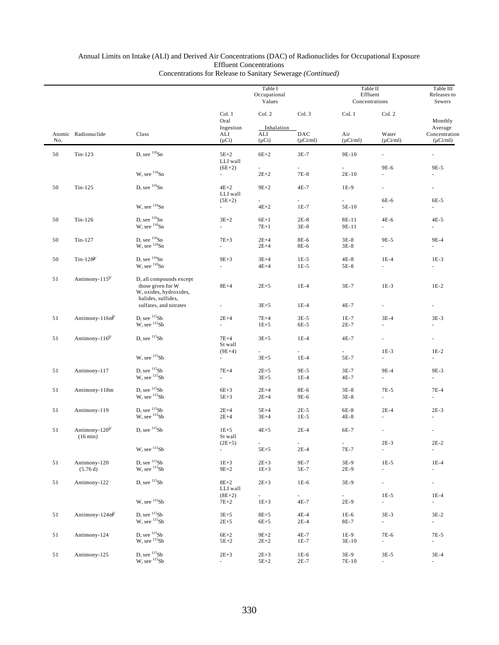|     |                                           |                                                                                                |                                                  | Table I<br>Occupational<br>Values         |                                    | Table II<br>Effluent<br>Concentrations |                                    | Table III<br>Releases to<br>Sewers                   |
|-----|-------------------------------------------|------------------------------------------------------------------------------------------------|--------------------------------------------------|-------------------------------------------|------------------------------------|----------------------------------------|------------------------------------|------------------------------------------------------|
| No. | Atomic Radionuclide                       | Class                                                                                          | Col. 1<br>Oral<br>Ingestion<br>ALI<br>$(\mu Ci)$ | Col. 2<br>Inhalation<br>ALI<br>$(\mu Ci)$ | Col. 3<br>DAC<br>$(\mu Ci/ml)$     | Col. 1<br>Air<br>$(\mu$ Ci/ml)         | Col. 2<br>Water<br>$(\mu Ci/ml)$   | Monthly<br>Average<br>Concentration<br>$(\mu Ci/ml)$ |
| 50  | $Tin-123$                                 | D, see $110$ Sn                                                                                | $5E+2$<br>LLI wall                               | $6E+2$                                    | $3E-7$                             | 9E-10                                  |                                    | ä,                                                   |
|     |                                           | W, see $^{110}Sn$                                                                              | $(6E+2)$<br>$\sim$                               | $2E + 2$                                  | 7E-8                               | $2E-10$                                | 9E-6                               | 9E-5                                                 |
| 50  | $Tin-125$                                 | D, see 110Sn                                                                                   | $4E+2$<br>LLI wall                               | $9E + 2$                                  | 4E-7                               | 1E-9                                   | ÷.<br>6E-6                         | ×.                                                   |
|     |                                           | W, see $^{110}$ Sn                                                                             | $(5E+2)$<br>ä,                                   | $\overline{\phantom{a}}$<br>$4E+2$        | $\overline{\phantom{a}}$<br>$1E-7$ | $\overline{\phantom{a}}$<br>5E-10      | ÷.                                 | 6E-5<br>ä,                                           |
| 50  | Tin-126                                   | D, see $110$ Sn<br>W, see <sup>110</sup> Sn                                                    | $3E+2$<br>a.                                     | $6E+1$<br>$7E+1$                          | $2E-8$<br>$3E-8$                   | 8E-11<br>9E-11                         | 4E-6<br>$\overline{\phantom{a}}$   | 4E-5<br>ä,                                           |
| 50  | $Tin-127$                                 | D, see $^{110}$ Sn<br>W, see $^{110}$ Sn                                                       | $7E+3$                                           | $2E+4$<br>$2E+4$                          | 8E-6<br>8E-6                       | $3E-8$<br>$3E-8$                       | 9E-5<br>÷.                         | 9E-4<br>ä,                                           |
| 50  | Tin-128 $^{b/}$                           | D, see $^{110}Sn$<br>W, see <sup>110</sup> Sn                                                  | $9E+3$<br>ä,                                     | $3E+4$<br>$4E+4$                          | $1E-5$<br>$1E-5$                   | $4E-8$<br>5E-8                         | $1E-4$<br>ä,                       | $1E-3$                                               |
| 51  | Antimony- $115^{b/}$                      | D, all compounds except<br>those given for W<br>W, oxides, hydroxides,<br>halides, sulfides,   | $8E+4$                                           | $2E+5$                                    | $1E-4$                             | $3E-7$                                 | $1E-3$                             | $1E-2$                                               |
|     |                                           | sulfates, and nitrates                                                                         | $\overline{\phantom{a}}$                         | $3E + 5$                                  | $1E-4$                             | 4E-7                                   | ä,                                 |                                                      |
| 51  | Antimony-116m <sup>b</sup>                | D, see $^{115}Sb$<br>W, see 115Sb                                                              | $2E+4$<br>÷,                                     | $7E+4$<br>$1E+5$                          | $3E-5$<br>6E-5                     | $1E-7$<br>$2E-7$                       | $3E-4$<br>ä,                       | $3E-3$                                               |
| 51  | Antimony- $116^{\frac{b}{c}}$             | D, see $\frac{115}{15}$ Sb                                                                     | $7E+4$<br>St wall                                | $3E + 5$                                  | $1E-4$                             | 4E-7<br>L.                             | $\overline{\phantom{a}}$<br>$1E-3$ | $\overline{\phantom{a}}$<br>$1E-2$                   |
|     |                                           | W, see 115Sb                                                                                   | $(9E+4)$<br>$\sim$                               | $3E + 5$                                  | $1E-4$                             | 5E-7                                   | ÷.                                 | $\overline{\phantom{a}}$                             |
| 51  | Antimony-117                              | D, see $^{115}Sb$<br>$W$ , see $^{115}Sb$                                                      | $7E+4$<br>÷.                                     | $2E + 5$<br>$3E + 5$                      | 9E-5<br>$1E-4$                     | $3E-7$<br>4E-7                         | 9E-4<br>ä,                         | 9E-3<br>ä,                                           |
| 51  | Antimony-118m                             | D, see $^{115}Sb$<br>$W$ , see $^{115}Sb$                                                      | $6E+3$<br>$5E+3$                                 | $2E+4$<br>$2E+4$                          | 8E-6<br>9E-6                       | $3E-8$<br>$3E-8$                       | 7E-5<br>ä,                         | 7E-4<br>ä,                                           |
| 51  | Antimony-119                              | $\begin{array}{c} \mbox{D, see}\ ^{115}\mbox{Sb}\\ \mbox{W, see}\ ^{115}\mbox{Sb} \end{array}$ | $2E+4$<br>$2E+4$                                 | $5E+4$<br>$3E+4$                          | $2E-5$<br>$1E-5$                   | 6E-8<br>4E-8                           | $2E-4$<br>$\overline{\phantom{m}}$ | $2E-3$<br>$\overline{\phantom{a}}$                   |
| 51  | Antimony- $120^{b}$<br>$(16 \text{ min})$ | D, see $^{115}Sb$                                                                              | $1E+5$<br>St wall                                | $4E+5$                                    | $2E-4$                             | 6E-7                                   | ä,                                 | $\overline{\phantom{a}}$                             |
|     |                                           | $\rm W,$ see $^{115}\rm Sb$                                                                    | $(2E+5)$<br>$\mathbb{Z}^2$                       | $\overline{\phantom{a}}$<br>$5E+5$        | $2E-4$                             | ٠<br>$7E-7$                            | $2E-3$<br>$\blacksquare$           | $2E-2$<br>$\overline{\phantom{a}}$                   |
| 51  | Antimony-120<br>(5.76d)                   | D, see $^{115}Sb$<br>$W$ , see $115Sb$                                                         | $1E+3$<br>$9E+2$                                 | $2E+3$<br>$1E+3$                          | 9E-7<br>5E-7                       | 3E-9<br>$2E-9$                         | $1E-5$<br>$\overline{\phantom{a}}$ | $1E-4$<br>$\overline{\phantom{a}}$                   |
| 51  | Antimony-122                              | D, see $^{115}Sb$<br>W, see 115Sb                                                              | $8E+2$<br>LLI wall<br>$(8E+2)$                   | $2E + 3$<br>$\overline{\phantom{a}}$      | $1E-6$<br>$\overline{\phantom{a}}$ | $3E-9$<br>$\overline{\phantom{a}}$     | ä,<br>$1E-5$                       | $\overline{\phantom{a}}$<br>$1E-4$                   |
|     |                                           |                                                                                                | $7E + 2$                                         | $1E+3$                                    | 4E-7                               | $2E-9$                                 | ÷.                                 | ÷.                                                   |
| 51  | Antimony- $124m^b$                        | D, see $\frac{115}{15}$ Sb<br>W, see 115Sb                                                     | $3E + 5$<br>$2E + 5$                             | $8E + 5$<br>$6E+5$                        | 4E-4<br>$2E-4$                     | $1E-6$<br>8E-7                         | $3E-3$<br>÷                        | $3E-2$<br>÷                                          |
| 51  | Antimony-124                              | $\begin{array}{c} \mbox{D, see}\ ^{115}\mbox{Sb}\\ \mbox{W, see}\ ^{115}\mbox{Sb} \end{array}$ | $6E+2$<br>$5E+2$                                 | $9E + 2$<br>$2E+2$                        | 4E-7<br>1E-7                       | 1E-9<br>$3E-10$                        | 7E-6<br>$\overline{\phantom{a}}$   | 7E-5<br>۰                                            |
| 51  | Antimony-125                              | D, see $^{115}Sb$<br>$W$ , see $115Sb$                                                         | $2E+3$                                           | $2E + 3$<br>$5E+2$                        | 1E-6<br>$2E-7$                     | $3E-9$<br>7E-10                        | $3E-5$<br>÷,                       | $3E-4$                                               |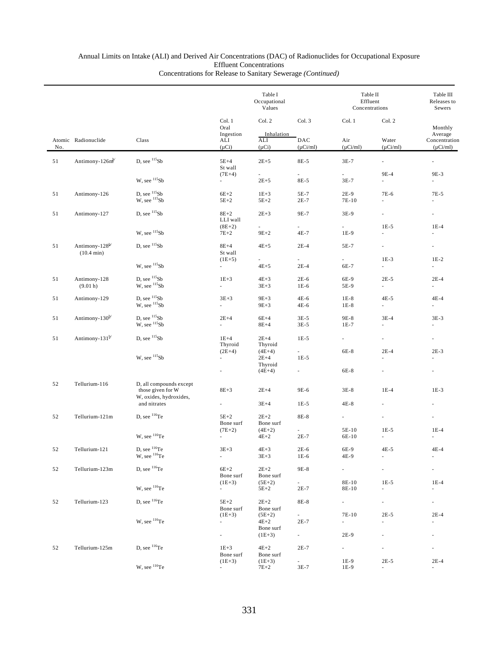|     |                                                       |                                                                                                |                                      | Table I<br>Occupational<br>Values    |                  | Table II<br>Effluent<br>Concentrations |                                    | Table III<br>Releases to<br>Sewers |
|-----|-------------------------------------------------------|------------------------------------------------------------------------------------------------|--------------------------------------|--------------------------------------|------------------|----------------------------------------|------------------------------------|------------------------------------|
|     | Atomic Radionuclide                                   | Class                                                                                          | Col. 1<br>Oral<br>Ingestion          | Col. 2<br>Inhalation<br>ALI          | Col. 3<br>DAC    | Col. 1<br>Col. 2                       |                                    | Monthly<br>Average                 |
| No. |                                                       |                                                                                                | ALI<br>$(\mu Ci)$                    | $(\mu Ci)$                           | $(\mu$ Ci/ml)    | Air<br>$(\mu$ Ci/ml)                   | Water<br>$(\mu$ Ci/ml)             | Concentration<br>$(\mu$ Ci/ml)     |
| 51  | Antimony-126m <sup>y</sup>                            | D, see 115Sb                                                                                   | $5E+4$<br>St wall                    | $2E + 5$                             | 8E-5             | $3E-7$                                 | $\sim$                             | $\omega$                           |
|     |                                                       | W. see $^{115}Sb$                                                                              | $(7E+4)$<br>a con                    | $\sim$<br>$2E + 5$                   | ä,<br>8E-5       | L.<br>$3E-7$                           | 9E-4<br>÷.                         | 9E-3<br>$\overline{\phantom{a}}$   |
| 51  | Antimony-126                                          | $\begin{array}{c} \mbox{D, see}\ ^{115}\mbox{Sb}\\ \mbox{W, see}\ ^{115}\mbox{Sb} \end{array}$ | $6E+2$<br>$5E+2$                     | $1E+3$<br>$5E+2$                     | 5E-7<br>$2E-7$   | 2E-9<br>7E-10                          | 7E-6<br>$\overline{\phantom{a}}$   | 7E-5<br>$\overline{\phantom{a}}$   |
| 51  | Antimony-127                                          | D, see $^{115}Sb$                                                                              | $8E+2$<br>LLI wall                   | $2E+3$                               | 9E-7             | 3E-9                                   | ä,                                 | $\overline{\phantom{a}}$           |
|     |                                                       | W, see $^{115}Sb$                                                                              | $(8E+2)$<br>$7E+2$                   | ä,<br>$9E+2$                         | ä,<br>4E-7       | ä,<br>$1E-9$                           | $1E-5$<br>ä,                       | $1E-4$                             |
| 51  | Antimony- $128^{\frac{b}{2}}$<br>$(10.4 \text{ min})$ | D, see $^{115}Sb$                                                                              | $8E+4$<br>St wall                    | $4E+5$                               | $2E-4$           | 5E-7                                   | $\overline{\phantom{a}}$           |                                    |
|     |                                                       | W, see $^{115}Sb$                                                                              | $(1E+5)$<br>$\sim$                   | $\mathcal{L}^{\text{max}}$<br>$4E+5$ | $\sim$<br>$2E-4$ | $\mathcal{L}^{\pm}$<br>6E-7            | $1E-3$<br>$\sim$                   | $1E-2$<br>$\sim$                   |
| 51  | Antimony-128                                          | D, see $^{115}Sb$                                                                              | $1E+3$                               | $4E+3$                               | $2E-6$           | 6E-9                                   | $2E-5$                             | $2E-4$                             |
|     | (9.01 h)                                              | $W$ , see $115Sb$                                                                              | $\sim$                               | $3E + 3$                             | $1E-6$           | 5E-9                                   | $\sim$                             | $\sim$                             |
| 51  | Antimony-129                                          | D, see $^{115}Sb$<br>$W$ , see $115Sb$                                                         | $3E+3$<br>a.                         | $9E+3$<br>$9E+3$                     | $4E-6$<br>4E-6   | $1E-8$<br>$1E-8$                       | $4E-5$<br>$\sim$                   | $4E-4$<br>×.                       |
| 51  | Antimony-130 <sup>b/</sup>                            | D, see $^{115}Sb$<br>$W$ , see $115Sb$                                                         | $2E+4$<br>÷.                         | $6E+4$<br>$8E+4$                     | $3E-5$<br>$3E-5$ | 9E-8<br>$1E-7$                         | $3E-4$<br>$\omega$                 | $3E-3$<br>×.                       |
| 51  | Antimony-131 $^{b/}$                                  | D, see $^{115}Sb$                                                                              | $1E+4$<br>Thyroid                    | $2E+4$<br>Thyroid                    | $1E-5$           | $\sim 10$                              | $\overline{\phantom{a}}$           | $\overline{\phantom{a}}$           |
|     |                                                       | W, see $^{115}Sb$                                                                              | $(2E+4)$<br>$\overline{\phantom{a}}$ | $(4E+4)$<br>$2E+4$<br>Thyroid        | $\sim$<br>$1E-5$ | 6E-8                                   | $2E-4$                             | $2E-3$<br>$\overline{\phantom{a}}$ |
|     |                                                       |                                                                                                | $\overline{\phantom{a}}$             | $(4E+4)$                             | $\sim$           | 6E-8                                   | $\overline{\phantom{a}}$           | $\overline{\phantom{a}}$           |
| 52  | Tellurium-116                                         | D, all compounds except<br>those given for W<br>W, oxides, hydroxides,                         | $8E+3$                               | $2E+4$                               | 9E-6             | $3E-8$                                 | $1E-4$                             | $1E-3$                             |
|     |                                                       | and nitrates                                                                                   |                                      | $3E+4$                               | $1E-5$           | 4E-8                                   |                                    |                                    |
| 52  | Tellurium-121m                                        | $D.$ see $^{116}Te$                                                                            | $5E+2$<br>Bone surf                  | $2E+2$<br>Bone surf                  | 8E-8             | $\mathcal{L}_{\mathcal{A}}$            |                                    |                                    |
|     |                                                       | W, see $^{116}$ Te                                                                             | $(7E+2)$                             | $(4E+2)$<br>$4E+2$                   | ÷.<br>$2E-7$     | 5E-10<br>6E-10                         | $1E-5$<br>٠                        | $1E-4$                             |
| 52  | Tellurium-121                                         | D, see $^{116}$ Te<br>W, see $^{116}$ Te                                                       | $3E + 3$<br>$\sim$                   | $4E + 3$<br>$3E + 3$                 | $2E-6$<br>$1E-6$ | 6E-9<br>4E-9                           | 4E-5<br>ä,                         | $4E-4$<br>$\overline{\phantom{a}}$ |
| 52  | Tellurium-123m                                        | D, see 116Te                                                                                   | $6E+2$<br>Bone surf                  | $2E+2$<br>Bone surf                  | 9E-8             | $\sim 10^{-1}$                         | ÷                                  | ÷                                  |
|     |                                                       | W, see <sup>116</sup> Te                                                                       | $(1E+3)$<br>$\sim$                   | $(5E+2)$<br>$5E+2$                   | $\sim$<br>$2E-7$ | 8E-10<br>8E-10                         | $1E-5$<br>$\overline{\phantom{a}}$ | $1E-4$<br>٠                        |
| 52  | Tellurium-123                                         | D, see <sup>116</sup> Te                                                                       | $5E+2$<br>Bone surf                  | $2E + 2$<br>Bone surf                | 8E-8             | $\omega_{\rm{eff}}$                    | $\overline{\phantom{a}}$           | $\sim$                             |
|     |                                                       | W, see <sup>116</sup> Te                                                                       | $(1E+3)$<br>۰                        | $(5E+2)$<br>$4E+2$<br>Bone surf      | ÷.<br>$2E-7$     | 7E-10<br>÷.                            | $2E-5$<br>$\overline{\phantom{a}}$ | $2E-4$                             |
|     |                                                       |                                                                                                | ÷                                    | $(1E+3)$                             | $\sim 10^{-11}$  | 2E-9                                   |                                    | $\overline{\phantom{a}}$           |
| 52  | Tellurium-125m                                        | D, see <sup>116</sup> Te                                                                       | $1E + 3$<br>Bone surf<br>$(1E+3)$    | $4E+2$<br>Bone surf<br>$(1E+3)$      | $2E-7$<br>$\sim$ | $\sim$<br>1E-9                         | $\overline{\phantom{a}}$<br>$2E-5$ | $\overline{\phantom{a}}$<br>$2E-4$ |
|     |                                                       | W, see <sup>116</sup> Te                                                                       | $\sim$                               | $7E+2$                               | $3E-7$           | 1E-9                                   |                                    |                                    |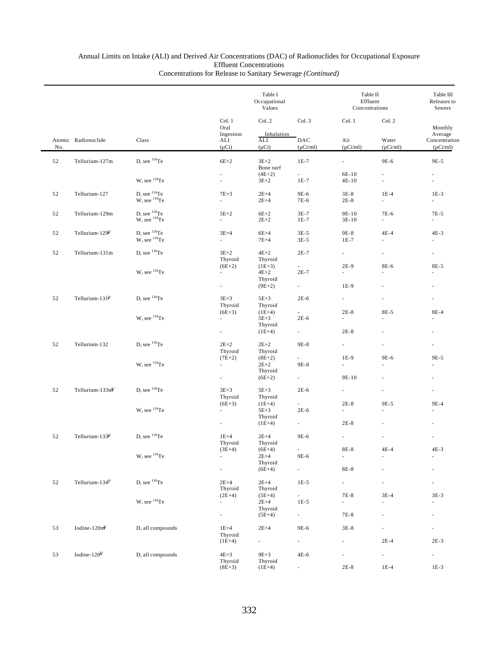|        |                             |                                                                                                |                                      | Table I<br>Occupational<br>Values         |                                  | Table II<br>Effluent<br>Concentrations |                                | Table III<br>Releases to<br>Sewers        |
|--------|-----------------------------|------------------------------------------------------------------------------------------------|--------------------------------------|-------------------------------------------|----------------------------------|----------------------------------------|--------------------------------|-------------------------------------------|
|        |                             |                                                                                                | Col. 1<br>Oral                       | Col. 2                                    | Col. 3                           | Col. 1                                 | Col. 2                         | Monthly                                   |
| No.    | Atomic Radionuclide         | Class                                                                                          | Ingestion<br>ALI<br>$(\mu Ci)$       | Inhalation<br>ALI<br>$(\mu Ci)$           | DAC<br>$(\mu$ Ci/ml)             | Air<br>$(\mu Ci/ml)$                   | Water<br>$(\mu$ Ci/ml)         | Average<br>Concentration<br>$(\mu$ Ci/ml) |
| 52     | Tellurium-127m              | D, see <sup>116</sup> Te                                                                       | $6E+2$                               | $3E+2$<br>Bone surf                       | $1E-7$                           | ä,                                     | 9E-6                           | 9E-5                                      |
|        |                             | W, see $^{116}$ Te                                                                             | $\overline{\phantom{a}}$<br>$\omega$ | $(4E+2)$<br>$3E+2$                        | $\sim$<br>$1E-7$                 | 6E-10<br>$4E-10$                       | $\overline{\phantom{a}}$<br>ä, | $\overline{\phantom{a}}$<br>$\omega$      |
| 52     | Tellurium-127               | $\begin{array}{c} \mbox{D, see}\ ^{116}\mbox{Te}\\ \mbox{W, see}\ ^{116}\mbox{Te} \end{array}$ | $7E + 3$<br>$\sim$                   | $2E+4$<br>$2E+4$                          | 9E-6<br>7E-6                     | $3E-8$<br>$2E-8$                       | $1E-4$<br>$\sim$               | $1E-3$<br>$\sim$                          |
| 52     | Tellurium-129m              | $\begin{array}{c} \mbox{D, see}\ ^{116}\mbox{Te}\\ \mbox{W, see}\ ^{116}\mbox{Te} \end{array}$ | $5E+2$<br>$\sim$                     | $6E+2$<br>$2E+2$                          | $3E-7$<br>$1E-7$                 | 9E-10<br>$3E-10$                       | 7E-6<br>$\sim$                 | 7E-5<br>$\overline{a}$                    |
| 52     | Tellurium-129 <sup>b/</sup> | D, see ${}^{116}\text{Te}$<br>W, see <sup>116</sup> Te                                         | $3E+4$<br>$\sim 10^{-1}$             | $6E+4$<br>$7E+4$                          | $3E-5$<br>$3E-5$                 | 9E-8<br>$1E-7$                         | $4E-4$<br>$\sim$               | $4E-3$<br>$\sim$                          |
| 52     | Tellurium-131m              | D, see ${}^{116}Te$                                                                            | $3E+2$<br>Thyroid                    | $4E+2$<br>Thyroid                         | $2E-7$                           | $\mathcal{L}^{\text{max}}$             | $\mathcal{L}_{\mathcal{A}}$    | $\sim$                                    |
|        |                             | W, see <sup>116</sup> Te                                                                       | $(6E+2)$<br>$\sim$<br>$\sim$         | $(1E+3)$<br>$4E+2$<br>Thyroid<br>$(9E+2)$ | $\sim$<br>$2E-7$<br>$\sim$       | $2E-9$<br>÷.<br>$1E-9$                 | 8E-6                           | 8E-5<br>×.                                |
| 52     | Tellurium-131 $\mathbb{N}$  | D, see $^{116}$ Te                                                                             | $3E+3$<br>Thyroid                    | $5E+3$<br>Thyroid                         | $2E-6$                           | $\overline{a}$                         |                                |                                           |
|        |                             | W, see <sup>116</sup> Te                                                                       | $(6E+3)$<br>$\sim$                   | $(1E+4)$<br>$5E+3$<br>Thyroid             | $2E-6$                           | $2E-8$<br>a.                           | 8E-5<br>ä,                     | 8E-4<br>$\mathbf{r}$                      |
|        |                             |                                                                                                | $\overline{\phantom{a}}$             | $(1E+4)$                                  | $\sim$                           | $2E-8$                                 |                                |                                           |
| 52     | Tellurium-132               | D, see ${}^{116}Te$                                                                            | $2E+2$<br>Thyroid<br>$(7E+2)$        | $2E + 2$<br>Thyroid<br>$(8E+2)$           | 9E-8<br>$\sim$                   | $\mathcal{L}_{\mathcal{A}}$<br>1E-9    | ä,<br>9E-6                     | 9E-5                                      |
|        |                             | W, see $^{116}$ Te                                                                             | $\sim$<br>$\overline{\phantom{a}}$   | $2E+2$<br>Thyroid<br>$(6E+2)$             | 9E-8<br>$\sim$                   | ä,<br>9E-10                            | $\sim$                         | ٠                                         |
| 52     | Tellurium-133 $mb$          | D, see $^{116}$ Te                                                                             | $3E+3$<br>Thyroid                    | $5E+3$<br>Thyroid                         | $2E-6$                           | $\overline{\phantom{a}}$               |                                |                                           |
|        |                             | W, see <sup>116</sup> Te                                                                       | $(6E+3)$<br>$\sim$                   | $(1E+4)$<br>$5E+3$<br>Thyroid             | $\sim$<br>$2E-6$                 | $2E-8$<br>÷.                           | 9E-5                           | 9E-4                                      |
|        |                             |                                                                                                | $\overline{\phantom{a}}$             | $(1E+4)$                                  | $\sim 10^{-11}$                  | $2E-8$                                 |                                |                                           |
| 52     | Tellurium-133 <sup>b/</sup> | D, see $^{116}$ Te                                                                             | $1E+4$<br>Thyroid<br>$(3E+4)$        | $2E+4$<br>Thyroid<br>$(6E+4)$             | 9E-6                             | $8\mathrm{E-}8$                        | $4E-4$                         | $4E-3$                                    |
|        |                             | W, see $^{116}Te$                                                                              | $\overline{\phantom{a}}$             | $2E+4$<br>Thyroid<br>$(6E+4)$             | 9E-6<br>$\sim$                   | $\overline{\phantom{a}}$<br>8E-8       |                                |                                           |
| $52\,$ | Tellurium-134 <sup>b/</sup> | D, see <sup>116</sup> Te                                                                       | $2E+4$<br>Thyroid                    | $2E+4$<br>Thyroid                         | $1E-5$                           | ÷.                                     |                                |                                           |
|        |                             | W, see <sup>116</sup> Te                                                                       | $(2E+4)$<br>÷.                       | $(5E+4)$<br>$2E+4$                        | - 1<br>$1E-5$                    | 7E-8<br>L.                             | $3E-4$                         | $3E-3$<br>ä,                              |
|        |                             |                                                                                                | $\overline{\phantom{a}}$             | Thyroid<br>$(5E+4)$                       | $\sim$                           | 7E-8                                   |                                |                                           |
| 53     | Iodine-120m <sup>b</sup>    | D, all compounds                                                                               | $1E+4$<br>Thyroid                    | $2E+4$<br>$\sim$                          | 9E-6<br>$\overline{\phantom{a}}$ | $3E-8$<br>ä,                           | $2E-4$                         | $2E-3$                                    |
| 53     | Iodine- $120^{b}$           | D, all compounds                                                                               | $(1E+4)$<br>$4E+3$                   | $9E + 3$                                  | 4E-6                             | $\overline{\phantom{a}}$               | $\sim$                         | $\sim$                                    |
|        |                             |                                                                                                | Thyroid<br>$(8E+3)$                  | Thyroid<br>$(1E+4)$                       | $\overline{\phantom{a}}$         | $2E-8$                                 | $1E-4$                         | $1E-3$                                    |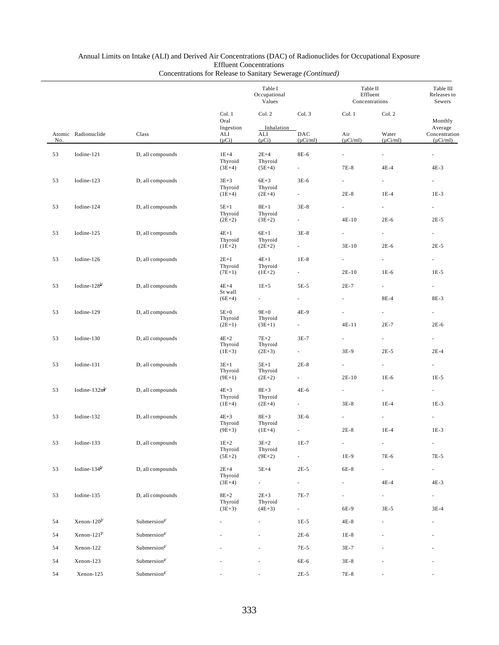|     |                                               |                                          |                                 | Table I<br>Occupational<br>Values |                                    | Table II<br>Effluent<br>Concentrations |                            | Table III<br>Releases to<br>Sewers |
|-----|-----------------------------------------------|------------------------------------------|---------------------------------|-----------------------------------|------------------------------------|----------------------------------------|----------------------------|------------------------------------|
|     |                                               |                                          | Col. 1<br>Oral<br>Ingestion     | Col.2<br>Inhalation               | Col. 3                             | Col. 1                                 | Col. 2                     | Monthly<br>Average                 |
| No. | Atomic Radionuclide                           | Class                                    | ALI<br>$(\mu Ci)$               | ALI<br>$(\mu Ci)$                 | DAC<br>$(\mu$ Ci/ml)               | Air<br>$(\mu Ci/ml)$                   | Water<br>$(\mu Ci/ml)$     | Concentration<br>$(\mu$ Ci/ml)     |
| 53  | Iodine-121                                    | D, all compounds                         | $1E+4$<br>Thyroid               | $2E+4$<br>Thyroid                 | 8E-6                               | $\overline{\phantom{a}}$               | ÷.                         | $\overline{\phantom{a}}$           |
|     |                                               |                                          | $(3E+4)$                        | $(5E+4)$                          | $\sim 10^{-1}$                     | 7E-8                                   | $4E-4$                     | $4E-3$                             |
| 53  | Iodine-123                                    | D, all compounds                         | $3E + 3$<br>Thyroid<br>$(1E+4)$ | $6E+3$<br>Thyroid<br>$(2E+4)$     | $3E-6$<br>$\sim 10^{-11}$          | $\sim$<br>$2E-8$                       | $\sim$<br>$1E-4$           | $\sim$<br>$1E-3$                   |
|     |                                               |                                          |                                 |                                   |                                    |                                        |                            |                                    |
| 53  | Iodine-124                                    | D, all compounds                         | $5E+1$<br>Thyroid<br>$(2E+2)$   | $8E+1$<br>Thyroid<br>$(3E+2)$     | $3E-8$<br>$\sim 10^{-11}$          | ÷.<br>$4E-10$                          | $\sim$<br>$2E-6$           | $\sim 10^{-11}$<br>$2E-5$          |
| 53  | Iodine-125                                    | D, all compounds                         | $4E+1$<br>Thyroid               | $6E+1$<br>Thyroid                 | $3E-8$                             | $\sim$                                 | $\sim$                     | $\sim$                             |
|     |                                               |                                          | $(1E+2)$                        | $(2E+2)$                          | $\sim 10^{-11}$                    | $3E-10$                                | $2E-6$                     | $2E-5$                             |
| 53  | Iodine-126                                    | D, all compounds                         | $2E+1$                          | $4E+1$                            | $1E-8$                             | $\sim$                                 | $\sim$                     | $\sim 10$                          |
|     |                                               |                                          | Thyroid<br>$(7E+1)$             | Thyroid<br>$(1E+2)$               | $\sim 10^{-11}$                    | $2E-10$                                | $1E-6$                     | $1E-5$                             |
| 53  | Iodine- $128^{b/}$                            | D, all compounds                         | $4E+4$<br>St wall               | $1E + 5$                          | 5E-5                               | $2E-7$                                 | $\sim$ 10 $\pm$            | $\sim 10^{-11}$                    |
|     |                                               |                                          | $(6E+4)$                        | $\sim 100$                        | ÷.                                 |                                        | 8E-4                       | 8E-3                               |
| 53  | Iodine-129                                    | D, all compounds                         | $5E+0$<br>Thyroid               | $9E+0$<br>Thyroid                 | 4E-9                               |                                        | a i                        | $\sim$                             |
|     |                                               |                                          | $(2E+1)$                        | $(3E+1)$                          | $\sim 100$                         | 4E-11                                  | $2E-7$                     | $2E-6$                             |
| 53  | Iodine-130                                    | D, all compounds                         | $4E+2$<br>Thyroid<br>$(1E+3)$   | $7E+2$<br>Thyroid<br>$(2E+3)$     | $3E-7$<br>$\sim 100$               | $\sim$<br>3E-9                         | $\sim$<br>$2E-5$           | $\sim$<br>$2E-4$                   |
|     |                                               |                                          |                                 |                                   |                                    |                                        |                            |                                    |
| 53  | Iodine-131                                    | D, all compounds                         | $3E+1$<br>Thyroid<br>$(9E+1)$   | $5E+1$<br>Thyroid<br>$(2E+2)$     | $2E-8$<br>$\sim 10^{-11}$          | $\overline{\phantom{a}}$<br>$2E-10$    | $\sim$<br>$1E-6$           | $\sim$<br>$1E-5$                   |
| 53  | Iodine- $132mb$                               | D, all compounds                         | $4E+3$<br>Thyroid               | $8E+3$<br>Thyroid                 | 4E-6                               | $\sim$                                 | $\mathcal{L}_{\text{max}}$ |                                    |
|     |                                               |                                          | $(1E+4)$                        | $(2E+4)$                          | $\sim 10^{-11}$                    | $3E-8$                                 | $1E-4$                     | $1E-3$                             |
| 53  | Iodine-132                                    | D, all compounds                         | $4E+3$<br>Thyroid               | $8E+3$<br>Thyroid                 | $3E-6$                             | $\sim$                                 | $\sim$                     | $\sim$                             |
|     |                                               |                                          | $(9E+3)$                        | $(1E+4)$                          |                                    | $2E-8$                                 | $1E-4$                     | $1E-3$                             |
| 53  | Iodine-133                                    | D, all compounds                         | $1E+2$<br>Thyroid               | $3E+2$<br>Thyroid                 | $1E-7$<br>$\overline{\phantom{a}}$ | 1E-9                                   | 7E-6                       | $7E-5$                             |
|     |                                               |                                          | $(5E+2)$                        | $(9E+2)$                          |                                    |                                        |                            |                                    |
| 53  | Iodine-134 $b$ <sup><math>\prime</math></sup> | D, all compounds                         | $2E+4$<br>Thyroid               | $5E+4$                            | $2E-5$                             | 6E-8                                   | $\sim$                     | $\sim 10^{-11}$                    |
|     |                                               |                                          | $(3E+4)$                        | $\overline{\phantom{a}}$          | $\sim$                             |                                        | $4E-4$                     | $4E-3$                             |
| 53  | Iodine-135                                    | D, all compounds                         | $8E+2$<br>Thyroid<br>$(3E+3)$   | $2E + 3$<br>Thyroid<br>$(4E+3)$   | 7E-7<br>$\sim$                     | $\overline{\phantom{a}}$<br>6E-9       | $\sim$<br>$3E-5$           | $\sim 10$<br>$3E-4$                |
| 54  | Xenon- $120^{b}$                              | Submersion <sup>a/</sup>                 |                                 |                                   | $1E-5$                             | $4E-8$                                 |                            |                                    |
| 54  | Xenon-121 $\mathbb{N}$                        | Submersion $a$ <sup><math>4</math></sup> |                                 |                                   | $2E-6$                             | $1E-8$                                 |                            |                                    |
| 54  | Xenon-122                                     | Submersion <sup>a/</sup>                 |                                 |                                   | 7E-5                               | $3E-7$                                 |                            |                                    |
| 54  | Xenon-123                                     | Submersion <sup>a/</sup>                 |                                 |                                   | 6E-6                               | $3E-8$                                 |                            |                                    |
| 54  | Xenon-125                                     | Submersion <sup>a/</sup>                 |                                 |                                   | $2E-5$                             | 7E-8                                   |                            |                                    |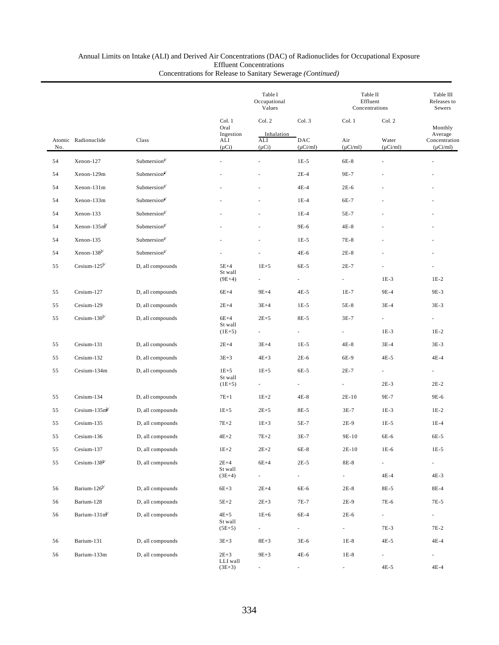|     |                          |                                          |                                                  | Table I<br>Occupational<br>Values         |                                | Table II<br>Effluent<br>Concentrations |                                  | Table III<br>Releases to<br>Sewers                   |
|-----|--------------------------|------------------------------------------|--------------------------------------------------|-------------------------------------------|--------------------------------|----------------------------------------|----------------------------------|------------------------------------------------------|
| No. | Atomic Radionuclide      | Class                                    | Col. 1<br>Oral<br>Ingestion<br>ALI<br>$(\mu Ci)$ | Col. 2<br>Inhalation<br>ALI<br>$(\mu Ci)$ | Col. 3<br>DAC<br>$(\mu$ Ci/ml) | Col. 1<br>Air<br>$(\mu Ci/ml)$         | Col. 2<br>Water<br>$(\mu Ci/ml)$ | Monthly<br>Average<br>Concentration<br>$(\mu$ Ci/ml) |
| 54  | Xenon-127                | Submersion <sup>a/</sup>                 |                                                  |                                           | $1E-5$                         | 6E-8                                   |                                  |                                                      |
| 54  | Xenon-129m               | Submersion <sup>a/</sup>                 |                                                  |                                           | $2E-4$                         | 9E-7                                   |                                  |                                                      |
| 54  | Xenon-131m               | Submersion <sup>a/</sup>                 |                                                  |                                           | $4E-4$                         | $2E-6$                                 |                                  |                                                      |
| 54  | Xenon-133m               | Submersion <sup>a/</sup>                 |                                                  |                                           | $1E-4$                         | 6E-7                                   |                                  |                                                      |
| 54  | Xenon-133                | Submersion $a$                           |                                                  |                                           | $1E-4$                         | 5E-7                                   |                                  |                                                      |
| 54  | $Xenon-135mb$            | Submersion <sup>a/</sup>                 |                                                  |                                           | 9E-6                           | $4E-8$                                 |                                  |                                                      |
| 54  | Xenon-135                | Submersion <sup>a/</sup>                 |                                                  |                                           | $1E-5$                         | 7E-8                                   |                                  |                                                      |
| 54  | Xenon-138 $b$            | Submersion $a$ <sup><math>4</math></sup> |                                                  |                                           | 4E-6                           | $2E-8$                                 |                                  |                                                      |
| 55  | Cesium-125 $^{b}$        | D, all compounds                         | $5E+4$<br>St wall                                | $1E+5$                                    | 6E-5                           | $2E-7$                                 |                                  |                                                      |
|     |                          |                                          | $(9E+4)$                                         |                                           | $\overline{\phantom{a}}$       | $\overline{\phantom{a}}$               | $1E-3$                           | $1E-2$                                               |
| 55  | Cesium-127               | D, all compounds                         | $6E+4$                                           | $9E+4$                                    | $4E-5$                         | $1E-7$                                 | 9E-4                             | 9E-3                                                 |
| 55  | Cesium-129               | D, all compounds                         | $2E+4$                                           | $3E+4$                                    | $1E-5$                         | 5E-8                                   | $3E-4$                           | $3E-3$                                               |
| 55  | Cesium-130 $b$           | D, all compounds                         | $6E+4$<br>St wall                                | $2E + 5$                                  | 8E-5                           | $3E-7$                                 | $\overline{\phantom{a}}$         | $\overline{\phantom{a}}$                             |
|     |                          |                                          | $(1E+5)$                                         |                                           |                                | $\overline{\phantom{a}}$               | $1E-3$                           | $1E-2$                                               |
| 55  | Cesium-131               | D, all compounds                         | $2E+4$                                           | $3E+4$                                    | $1E-5$                         | $4E-8$                                 | $3E-4$                           | $3E-3$                                               |
| 55  | Cesium-132               | D, all compounds                         | $3E + 3$                                         | $4E + 3$                                  | $2E-6$                         | 6E-9                                   | $4E-5$                           | $4E-4$                                               |
| 55  | Cesium-134m              | D, all compounds                         | $1E + 5$<br>St wall                              | $1E + 5$                                  | 6E-5                           | $2E-7$                                 | $\overline{\phantom{a}}$         |                                                      |
|     |                          |                                          | $(1E+5)$                                         | $\overline{\phantom{a}}$                  | $\overline{\phantom{a}}$       | $\overline{\phantom{a}}$               | $2E-3$                           | $2E-2$                                               |
| 55  | Cesium-134               | D, all compounds                         | $7E+1$                                           | $1E+2$                                    | $4E-8$                         | $2E-10$                                | 9E-7                             | 9E-6                                                 |
| 55  | Cesium-135 $mb$          | D, all compounds                         | $1E + 5$                                         | $2E + 5$                                  | 8E-5                           | $3E-7$                                 | $1E-3$                           | $1E-2$                                               |
| 55  | Cesium-135               | D, all compounds                         | $7E+2$                                           | $1E + 3$                                  | 5E-7                           | $2E-9$                                 | $1E-5$                           | $1E-4$                                               |
| 55  | Cesium-136               | D, all compounds                         | $4E+2$                                           | $7E+2$                                    | $3E-7$                         | 9E-10                                  | 6E-6                             | 6E-5                                                 |
| 55  | Cesium-137               | D, all compounds                         | $1E+2$                                           | $2\mathrm{E}{+2}$                         | 6E-8                           | $2E-10$                                | $1E-6$                           | $1E-5$                                               |
| 55  | Cesium-138 $b$           | D, all compounds                         | $2E+4$<br>St wall                                | $6E+4$                                    | $2E-5$                         | $8E-8$                                 | $\overline{\phantom{a}}$         | $\sim 10$                                            |
|     |                          |                                          | $(3E+4)$                                         | $\sim$                                    | $\sim$                         | $\mathcal{L}_{\mathcal{A}}$            | $4E-4$                           | $4E-3$                                               |
| 56  | Barium-126 <sup>b/</sup> | D, all compounds                         | $6E+3$                                           | $2E+4$                                    | 6E-6                           | $2E-8$                                 | 8E-5                             | 8E-4                                                 |
| 56  | Barium-128               | D, all compounds                         | $5E+2$                                           | $2E + 3$                                  | 7E-7                           | $2E-9$                                 | 7E-6                             | 7E-5                                                 |
| 56  | Barium-131 $mb$          | D, all compounds                         | $4E+5$<br>St wall                                | $1E+6$                                    | 6E-4                           | $2E-6$                                 | $\mathcal{L}_{\mathcal{A}}$      | $\sim 10$                                            |
|     |                          |                                          | $(5E+5)$                                         | $\overline{\phantom{a}}$                  | $\sim$                         | $\sim$                                 | 7E-3                             | 7E-2                                                 |
| 56  | Barium-131               | D, all compounds                         | $3E + 3$                                         | $8E + 3$                                  | $3E-6$                         | $1E-8$                                 | $4E-5$                           | $4E-4$                                               |
| 56  | Barium-133m              | D, all compounds                         | $2E + 3$<br>LLI wall                             | $9E+3$                                    | $4E-6$                         | $1E-8$                                 | $\sim$                           | $\sim$                                               |
|     |                          |                                          | $(3E+3)$                                         |                                           | ÷,                             | $\overline{\phantom{a}}$               | $4E-5$                           | $4E-4$                                               |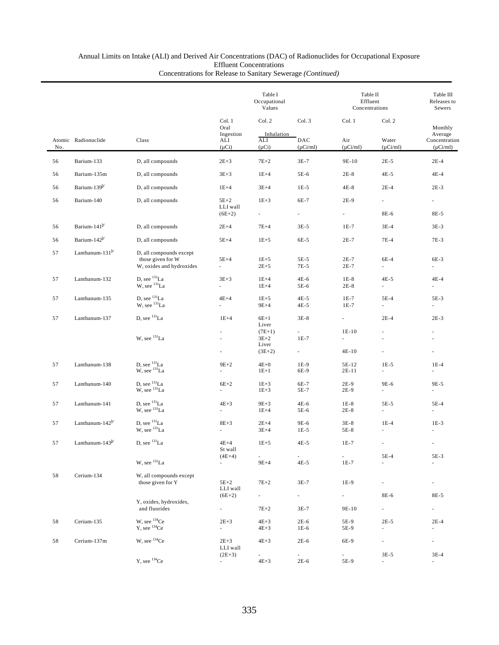# Annual Limits on Intake (ALI) and Derived Air Concentrations (DAC) of Radionuclides for Occupational Exposure Effluent Concentrations

| Concentrations for Release to Sanitary Sewerage (Continued) |  |
|-------------------------------------------------------------|--|
|-------------------------------------------------------------|--|

|     |                             |                                                                          |                                         | Table I<br>Occupational<br>Values    |                                    | Table II<br>Effluent<br>Concentrations |                                    | Table III<br>Releases to<br>Sewers        |  |
|-----|-----------------------------|--------------------------------------------------------------------------|-----------------------------------------|--------------------------------------|------------------------------------|----------------------------------------|------------------------------------|-------------------------------------------|--|
|     |                             |                                                                          | Col. 1<br>Oral                          | Col. 2                               | Col. 3                             | Col. 1                                 | Col. 2                             | Monthly                                   |  |
| No. | Atomic Radionuclide         | Class                                                                    | Ingestion<br>ALI<br>$(\mu Ci)$          | Inhalation<br>ALI<br>$(\mu Ci)$      | DAC<br>$(\mu Ci/ml)$               | Air<br>$(\mu Ci/ml)$                   | Water<br>$(\mu$ Ci/ml)             | Average<br>Concentration<br>$(\mu$ Ci/ml) |  |
| 56  | Barium-133                  | D, all compounds                                                         | $2E + 3$                                | $7E+2$                               | $3E-7$                             | 9E-10                                  | $2E-5$                             | $2E-4$                                    |  |
| 56  | Barium-135m                 | D, all compounds                                                         | $3E + 3$                                | $1E+4$                               | 5E-6                               | $2E-8$                                 | $4E-5$                             | 4E-4                                      |  |
| 56  | Barium-139 <sup>b/</sup>    | D, all compounds                                                         | $1E+4$                                  | $3E+4$                               | $1E-5$                             | $4E-8$                                 | $2E-4$                             | $2E-3$                                    |  |
| 56  | Barium-140                  | D, all compounds                                                         | $5E+2$<br>LLI wall<br>$(6E+2)$          | $1E + 3$<br>$\overline{\phantom{a}}$ | 6E-7                               | 2E-9<br>$\overline{\phantom{a}}$       | ÷.<br>8E-6                         | ä,<br>8E-5                                |  |
| 56  | Barium-141 <sup>b/</sup>    | D, all compounds                                                         | $2E+4$                                  | $7E+4$                               | $3E-5$                             | $1E-7$                                 | $3E-4$                             | $3E-3$                                    |  |
| 56  | Barium-142 <sup>b/</sup>    | D, all compounds                                                         | $5E+4$                                  | $1E+5$                               | 6E-5                               | $2E-7$                                 | $7E-4$                             | $7E-3$                                    |  |
| 57  | Lanthanum-131 <sup>b/</sup> | D, all compounds except<br>those given for W<br>W, oxides and hydroxides | $5E+4$<br>L,                            | $1E + 5$<br>$2E + 5$                 | $5E-5$<br>7E-5                     | 2E-7<br>2E-7                           | $6E-4$<br>÷.                       | 6E-3<br>ä,                                |  |
| 57  | Lanthanum-132               | D, see <sup>131</sup> La<br>W, see <sup>131</sup> La                     | $3E+3$<br>L.                            | $1E+4$<br>$1E+4$                     | $4E-6$<br>5E-6                     | $1E-8$<br>$2E-8$                       | $4E-5$<br>ä,                       | $4E-4$<br>÷.                              |  |
| 57  | Lanthanum-135               | D, see <sup>131</sup> La<br>$W$ , see $^{131}$ La                        | $4E+4$<br>L.                            | $1E + 5$<br>$9E+4$                   | $4E-5$<br>$4E-5$                   | $1E-7$<br>$1E-7$                       | $5E-4$<br>$\omega$                 | $5E-3$<br>$\frac{1}{2}$                   |  |
| 57  | Lanthanum-137               | D, see <sup>131</sup> La                                                 | $1E+4$                                  | $6E+1$<br>Liver<br>$(7E+1)$          | $3E-8$                             | $\overline{\phantom{a}}$<br>$1E-10$    | $2E-4$                             | $2E-3$                                    |  |
|     |                             | W, see <sup>131</sup> La                                                 | ×,<br>٠                                 | $3E+2$<br>Liver<br>$(3E+2)$          | $1E-7$<br>$\overline{\phantom{a}}$ | L,<br>$4E-10$                          | ×.<br>$\overline{\phantom{a}}$     | ä,<br>ä,                                  |  |
| 57  | Lanthanum-138               | D, see $^{131}\text{La}$ W, see $^{131}\text{La}$                        | $9E+2$                                  | $4E+0$<br>$1E+1$                     | 1E-9<br>6E-9                       | 5E-12<br>$2E-11$                       | $1E-5$                             | $1E-4$                                    |  |
| 57  | Lanthanum-140               | D, see <sup>131</sup> La<br>$W$ , see $131$ La                           | $6E+2$                                  | $1E+3$<br>$1E + 3$                   | 6E-7<br>5E-7                       | $2E-9$<br>$2E-9$                       | 9E-6                               | 9E-5                                      |  |
| 57  | Lanthanum-141               | D, see <sup>131</sup> La<br>W, see <sup>131</sup> La                     | $4E+3$                                  | $9E+3$<br>$1E+4$                     | $4E-6$<br>5E-6                     | $1E-8$<br>$2E-8$                       | 5E-5<br>×.                         | $5E-4$<br>÷.                              |  |
| 57  | Lanthanum- $142^{b}$        | D, see <sup>131</sup> La<br>W, see <sup>131</sup> La                     | $8E+3$                                  | $2E+4$<br>$3E+4$                     | 9E-6<br>$1E-5$                     | $3E-8$<br>5E-8                         | $1E-4$                             | $1E-3$<br>ä,                              |  |
| 57  | Lanthanum-143 $^{b/}$       | D, see <sup>131</sup> La                                                 | $4E+4$<br>St wall<br>$(4E+4)$           | $1E+5$<br>$\overline{\phantom{a}}$   | $4E-5$<br>$\overline{\phantom{a}}$ | $1E-7$<br>$\overline{\phantom{a}}$     | $\overline{\phantom{a}}$<br>5E-4   | $\overline{\phantom{m}}$<br>5E-3          |  |
|     |                             | W, see <sup>131</sup> La                                                 | $\sim$                                  | $9E+4$                               | $4E-5$                             | $1E-7$                                 | ÷.                                 | L.                                        |  |
| 58  | Cerium-134                  | W, all compounds except<br>those given for Y                             | $5E+2$<br>LLI wall<br>$(6E+2)$          | $7E+2$<br>$\sim$                     | $3E-7$<br>$\sim$                   | 1E-9<br>$\sim$                         | $\overline{\phantom{a}}$<br>8E-6   | ä,<br>8E-5                                |  |
|     |                             | Y, oxides, hydroxides,<br>and fluorides                                  | $\sim$                                  | $7E+2$                               | 3E-7                               | 9E-10                                  | $\sim$                             | ÷.                                        |  |
| 58  | Cerium-135                  | W, see <sup>134</sup> Ce<br>$Y$ , see $134$ Ce                           | $2E + 3$<br>$\mathcal{L}_{\mathcal{A}}$ | $4E+3$<br>$4E+3$                     | $2E-6$<br>$1E-6$                   | 5E-9<br>5E-9                           | $2E-5$<br>$\overline{\phantom{a}}$ | $2E-4$<br>÷.                              |  |
| 58  | Cerium-137m                 | W, see <sup>134</sup> Ce                                                 | $2E + 3$<br>LLI wall                    | $4E+3$                               | $2E-6$                             | 6E-9                                   | $\overline{\phantom{a}}$           | $\overline{\phantom{a}}$                  |  |
|     |                             | $Y$ , see $134$ Ce                                                       | $(2E+3)$                                | $\sim$<br>$4E+3$                     | $\overline{\phantom{a}}$<br>$2E-6$ | $\sim$<br>5E-9                         | $3E-5$                             | $3E-4$                                    |  |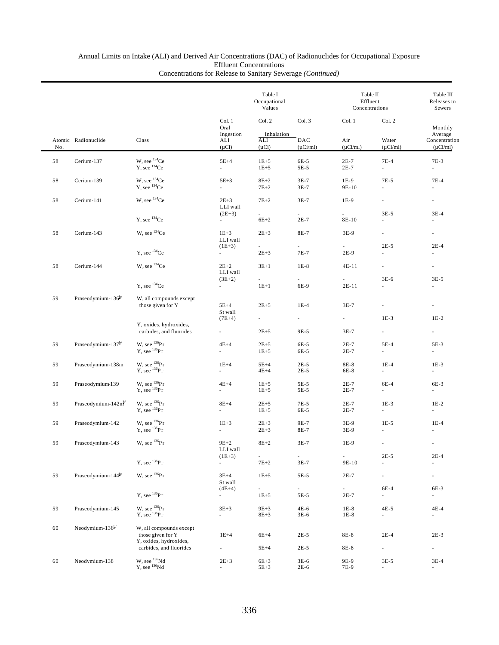## Annual Limits on Intake (ALI) and Derived Air Concentrations (DAC) of Radionuclides for Occupational Exposure Effluent Concentrations

|  | Concentrations for Release to Sanitary Sewerage (Continued) |  |
|--|-------------------------------------------------------------|--|
|  |                                                             |  |

|     |                                |                                                                        |                                  | Table I<br>Occupational<br>Values    |                                  | Table II<br>Effluent<br>Concentrations |                                    | Table III<br>Releases to<br>Sewers        |  |
|-----|--------------------------------|------------------------------------------------------------------------|----------------------------------|--------------------------------------|----------------------------------|----------------------------------------|------------------------------------|-------------------------------------------|--|
|     |                                |                                                                        | Col. 1<br>Oral                   | Col. 2                               | Col. 3                           | Col. 1                                 | Col. 2                             | Monthly                                   |  |
| No. | Atomic Radionuclide            | Class                                                                  | Ingestion<br>ALI<br>$(\mu Ci)$   | Inhalation<br>ALI<br>$(\mu Ci)$      | DAC<br>$(\mu$ Ci/ml)             | Air<br>$(\mu$ Ci/ml)                   | Water<br>$(\mu Ci/ml)$             | Average<br>Concentration<br>$(\mu Ci/ml)$ |  |
| 58  | Cerium-137                     | W, see <sup>134</sup> Ce<br>$Y$ , see $134$ Ce                         | $5E+4$<br>$\sim$                 | $1E+5$<br>$1E + 5$                   | 6E-5<br>5E-5                     | $2E-7$<br>$2E-7$                       | $7E-4$<br>ä,                       | 7E-3<br>ä,                                |  |
| 58  | Cerium-139                     | W, see <sup>134</sup> Ce<br>$Y$ , see $134$ Ce                         | $5E+3$<br>ä,                     | $8E+2$<br>$7E+2$                     | $3E-7$<br>3E-7                   | $1E-9$<br>9E-10                        | $7E-5$<br>ä,                       | $7E-4$<br>ä,                              |  |
| 58  | Cerium-141                     | W, see ${}^{134}Ce$                                                    | $2E+3$<br>LLI wall               | $7E+2$                               | $3E-7$                           | $1E-9$                                 | $\overline{\phantom{a}}$           | $\overline{\phantom{0}}$                  |  |
|     |                                | $Y$ , see $134$ Ce                                                     | $(2E+3)$<br>$\sim$               | a.<br>$6E+2$                         | ÷.<br>$2E-7$                     | L.<br>8E-10                            | $3E-5$<br>$\overline{\phantom{a}}$ | $3E-4$<br>$\overline{\phantom{0}}$        |  |
| 58  | Cerium-143                     | W, see ${}^{134}Ce$                                                    | $1E + 3$<br>LLI wall             | $2E+3$                               | 8E-7                             | $3E-9$                                 | ä,                                 | $\overline{\phantom{0}}$                  |  |
|     |                                | $Y.$ see $134$ Ce                                                      | $(1E+3)$<br>$\frac{1}{2}$        | $\sim$<br>$2E + 3$                   | $\sim$<br>7E-7                   | $\sim$<br>2E-9                         | $2E-5$                             | $2E-4$                                    |  |
| 58  | Cerium-144                     | W, see ${}^{134}Ce$                                                    | $2E+2$<br>LLI wall               | $3E+1$                               | $1E-8$                           | $4E-11$                                | $\overline{\phantom{a}}$           | $\frac{1}{2}$                             |  |
|     |                                | $Y$ , see $134$ Ce                                                     | $(3E+2)$<br>a.                   | $\overline{a}$<br>$1E+1$             | ä,<br>6E-9                       | $\overline{\phantom{a}}$<br>$2E-11$    | $3E-6$<br>ä,                       | $3E-5$<br>ä,                              |  |
| 59  | Praseodymium-136 <sup>b/</sup> | W, all compounds except<br>those given for Y                           | $5E+4$<br>St wall                | $2E+5$                               | $1E-4$                           | $3E-7$                                 | $\overline{\phantom{a}}$           | ä,                                        |  |
|     |                                | Y, oxides, hydroxides,                                                 | $(7E+4)$                         |                                      | $\overline{\phantom{0}}$         |                                        | $1E-3$                             | $1E-2$                                    |  |
|     |                                | carbides, and fluorides                                                | ä,                               | $2E + 5$                             | 9E-5                             | $3E-7$                                 | ä,                                 | ä,                                        |  |
| 59  | Praseodymium-137 <sup>b/</sup> | W, see $^{136}Pr$<br>$Y$ , see $^{136}Pr$                              | $4E+4$<br>ä,                     | $2E + 5$<br>$1E + 5$                 | 6E-5<br>6E-5                     | $2E-7$<br>$2E-7$                       | $5E-4$<br>ä,                       | 5E-3<br>ä,                                |  |
| 59  | Praseodymium-138m              | W, see $^{136}Pr$<br>$Y$ , see $^{136}Pr$                              | $1E+4$<br>a.                     | $5E+4$<br>$4E+4$                     | $2E-5$<br>$2E-5$                 | 8E-8<br>6E-8                           | $1E-4$<br>×.                       | $1E-3$<br>a.                              |  |
| 59  | Praseodymium 139               | W, see ${}^{136}Pr$<br>$Y$ , see $^{136}Pr$                            | $4E+4$<br>a.                     | $1E + 5$<br>$1E + 5$                 | 5E-5<br>5E-5                     | $2E-7$<br>$2E-7$                       | $6E-4$<br>×.                       | 6E-3<br>÷.                                |  |
| 59  | Praseodymium- $142m^2$         | W, see $^{136}Pr$<br>$Y$ , see $^{136}Pr$                              | $8E+4$<br>÷.                     | $2E + 5$<br>$1E + 5$                 | 7E-5<br>6E-5                     | $2E-7$<br>$2E-7$                       | $1E-3$<br>$\overline{\phantom{a}}$ | $1E-2$<br>$\frac{1}{2}$                   |  |
| 59  | Praseodymium-142               | W, see $^{136}Pr$                                                      | $1E+3$                           | $2E + 3$                             | 9E-7                             | 3E-9                                   | $1E-5$                             | $1E-4$                                    |  |
|     |                                | $Y$ , see $^{136}Pr$                                                   | a.                               | $2E + 3$                             | 8E-7                             | 3E-9                                   | $\overline{\phantom{a}}$           | ä,                                        |  |
| 59  | Praseodymium-143               | W, see $^{136}Pr$                                                      | $9E + 2$<br>LLI wall<br>$(1E+3)$ | $8E+2$<br>÷.                         | 3E-7<br>$\overline{\phantom{a}}$ | 1E-9<br>$\overline{\phantom{a}}$       | $\blacksquare$<br>$2E-5$           | ×.<br>$2E-4$                              |  |
|     |                                | $Y$ , see ${}^{136}Pr$                                                 | $\overline{\phantom{0}}$         | $7E+2$                               | $3E-7$                           | 9E-10                                  |                                    |                                           |  |
| 59  | Praseodymium-144 <sup>b/</sup> | W, see ${}^{136}\text{Pr}$                                             | $3E+4$<br>St wall                | $1E+5$                               | 5E-5                             | $2E-7$                                 | $\overline{\phantom{a}}$           | ä,                                        |  |
|     |                                | $Y$ , see $^{136}Pr$                                                   | $(4E+4)$<br>÷.                   | $\overline{\phantom{a}}$<br>$1E + 5$ | ÷.<br>5E-5                       | ÷.<br>$2E-7$                           | 6E-4<br>ä,                         | 6E-3<br>ä,                                |  |
| 59  | Praseodymium-145               | W, see $^{136}Pr$<br>$Y$ , see $^{136}Pr$                              | $3E + 3$<br>÷.                   | $9E + 3$<br>$8E+3$                   | 4E-6<br>$3E-6$                   | $1E-8$<br>$1E-8$                       | 4E-5<br>÷.                         | $4E-4$<br>ä,                              |  |
| 60  | Neodymium- $136^b$             | W, all compounds except                                                |                                  |                                      |                                  |                                        |                                    |                                           |  |
|     |                                | those given for Y<br>Y, oxides, hydroxides,<br>carbides, and fluorides | $1E+4$                           | $6E+4$<br>$5E+4$                     | $2E-5$<br>$2E-5$                 | 8E-8<br>8E-8                           | $2E-4$<br>$\overline{\phantom{a}}$ | $2E-3$<br>÷,                              |  |
| 60  | Neodymium-138                  | W, see $^{136}Nd$<br>Y, see $^{136}Nd$                                 | $2E + 3$                         | $6E+3$<br>$5E+3$                     | 3E-6<br>2E-6                     | 9E-9<br>7E-9                           | $3E-5$                             | $3E-4$<br>ä,                              |  |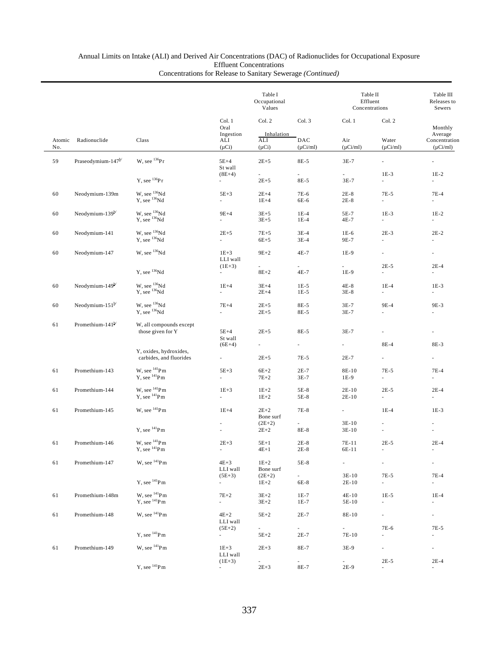|        |                                | Class                                                |                                      | Table I<br>Occupational<br>Values    |                                      | Table II<br>Effluent<br>Concentrations |                                       | Table III<br>Releases to<br>Sewers<br>Monthly<br>Average<br>Concentration |
|--------|--------------------------------|------------------------------------------------------|--------------------------------------|--------------------------------------|--------------------------------------|----------------------------------------|---------------------------------------|---------------------------------------------------------------------------|
| Atomic | Radionuclide                   |                                                      | Col. 1<br>Oral<br>Ingestion<br>ALI   | Col. 2<br>Inhalation<br>ALI          | Col. 3<br>DAC                        | Col. 1<br>Air                          | Col. 2<br>Water                       |                                                                           |
| No.    |                                |                                                      | $(\mu Ci)$                           | $(\mu Ci)$                           | $(\mu$ Ci/ml)                        | $(\mu$ Ci/ml)                          | $(\mu Ci/ml)$                         | $(\mu$ Ci/ml)                                                             |
| 59     | Praseodymium-147 <sup>b/</sup> | W, see $^{136}Pr$                                    | $5E+4$<br>St wall<br>$(8E+4)$        | $2E + 5$<br>$\overline{\phantom{a}}$ | 8E-5<br>$\overline{\phantom{a}}$     | $3E-7$<br>÷.                           | $\overline{\phantom{a}}$<br>$1E-3$    | $\overline{\phantom{a}}$<br>$1E-2$                                        |
|        |                                | $Y$ , see $^{136}Pr$                                 | $\overline{\phantom{a}}$             | $2E + 5$                             | 8E-5                                 | 3E-7                                   | $\sim$                                | $\sim$                                                                    |
| 60     | Neodymium-139m                 | W, see $^{136}\text{Nd}$ Y, see $^{136}\text{Nd}$    | $5E+3$<br>$\overline{\phantom{a}}$   | $2E+4$<br>$1E+4$                     | 7E-6<br>6E-6                         | $2E-8$<br>$2E-8$                       | 7E-5<br>$\overline{\phantom{a}}$      | $7E-4$<br>$\sim$                                                          |
| 60     | Neodymium- $139^{\frac{b}{c}}$ | W, see $^{136}\text{Nd}$ Y, see $^{136}\text{Nd}$    | $9E+4$<br>$\overline{\phantom{a}}$   | $3E + 5$<br>$3E + 5$                 | $1E-4$<br>$1E-4$                     | 5E-7<br>4E-7                           | $1E-3$<br>$\overline{\phantom{a}}$    | $1E-2$<br>$\sim$                                                          |
| 60     | Neodymium-141                  | W, see <sup>136</sup> Nd<br>$Y$ , see $^{136}Nd$     | $2E + 5$<br>$\sim$                   | $7E + 5$<br>$6E+5$                   | $3E-4$<br>$3E-4$                     | $1E-6$<br>9E-7                         | $2E-3$<br>÷.                          | $2E-2$<br>$\overline{\phantom{a}}$                                        |
| 60     | Neodymium-147                  | W, see <sup>136</sup> Nd                             | $1E+3$<br>LLI wall                   | $9E+2$                               | 4E-7                                 | 1E-9                                   | $\sim$                                | $\overline{\phantom{a}}$                                                  |
|        |                                | Y, see <sup>136</sup> Nd                             | $(1E+3)$<br>$\overline{\phantom{a}}$ | $\sim$<br>$8E+2$                     | $\sim$<br>4E-7                       | $\sim$<br>1E-9                         | $2E-5$<br>$\overline{\phantom{a}}$    | $2E-4$<br>$\overline{\phantom{a}}$                                        |
| 60     | Neodymium-149 <sup>b/</sup>    | W, see <sup>136</sup> Nd<br>Y, see <sup>136</sup> Nd | $1E+4$<br>$\omega$                   | $3E+4$<br>$2E+4$                     | $1E-5$<br>$1E-5$                     | $4E-8$<br>$3E-8$                       | $1E-4$<br>$\omega$                    | $1E-3$<br>$\overline{\phantom{a}}$                                        |
| 60     | Neodymium-151 <sup>b/</sup>    | W, see <sup>136</sup> Nd<br>Y, see <sup>136</sup> Nd | $7E+4$<br>$\overline{\phantom{a}}$   | $2E + 5$<br>$2E + 5$                 | 8E-5<br>8E-5                         | $3E-7$<br>$3E-7$                       | 9E-4<br>L.                            | 9E-3<br>ä,                                                                |
| 61     | Promethium-141b/               | W, all compounds except<br>those given for Y         | $5E+4$<br>St wall                    | $2E + 5$                             | 8E-5                                 | $3E-7$                                 | $\omega$                              | ä,                                                                        |
|        |                                | Y, oxides, hydroxides,                               | $(6E+4)$                             | $\overline{\phantom{a}}$             | $\sim$                               | $\sim$                                 | 8E-4                                  | 8E-3                                                                      |
|        |                                | carbides, and fluorides                              | $\overline{\phantom{a}}$             | $2E + 5$                             | 7E-5                                 | $2E-7$                                 | $\omega$                              | $\omega$                                                                  |
| 61     | Promethium-143                 | W, see $^{141}\mathrm{Pm}$<br>$Y$ , see $^{141}Pm$   | $5E+3$<br>$\overline{\phantom{a}}$   | $6E+2$<br>$7E+2$                     | $2E-7$<br>$3E-7$                     | 8E-10<br>1E-9                          | $7E-5$<br>$\mathcal{L}_{\mathcal{A}}$ | $7E-4$<br>$\overline{\phantom{a}}$                                        |
| 61     | Promethium-144                 | W, see $^{141}$ Pm<br>$Y$ , see $^{141}Pm$           | $1E+3$<br>$\overline{\phantom{a}}$   | $1E+2$<br>$1E+2$                     | $5E-8$<br>5E-8                       | $2E-10$<br>$2E-10$                     | $2E-5$<br>$\overline{\phantom{a}}$    | $2E-4$<br>$\overline{\phantom{a}}$                                        |
| 61     | Promethium-145                 | W, see $^{141}$ Pm                                   | $1E+4$                               | $2E+2$<br>Bone surf                  | 7E-8                                 | $\overline{\phantom{a}}$               | $1E-4$                                | $1E-3$                                                                    |
|        |                                | $Y$ , see $^{141}$ Pm                                | $\overline{\phantom{a}}$             | $(2E+2)$<br>$2E + 2$                 | $\sim$<br>8E-8                       | $3E-10$<br>$3E-10$                     | ٠                                     |                                                                           |
| 61     | Promethium-146                 | W, see $^{141}\mathrm{Pm}$                           | $2E + 3$                             | $5E+1$                               | $2E-8$                               | 7E-11                                  | $2E-5$                                | $2E-4$                                                                    |
|        |                                | $Y$ , see $^{141}$ Pm                                | $\sim$                               | $4E+1$                               | $2E-8$                               | 6E-11                                  | $\overline{\phantom{a}}$              | $\sim$                                                                    |
| 61     | Promethium-147                 | W, see <sup>141</sup> Pm                             | $4E+3$<br>LLI wall<br>$(5E+3)$       | $1E+2$<br>Bone surf<br>$(2E+2)$      | 5E-8<br>$\omega_{\rm{max}}$          | $\omega_{\rm{max}}$<br>3E-10           | $\overline{\phantom{a}}$<br>7E-5      | $7E-4$                                                                    |
|        |                                | $Y$ , see $^{141}Pm$                                 | $\sim$                               | $1E + 2$                             | 6E-8                                 | $2E-10$                                | $\mathcal{L}_{\mathcal{A}}$           | $\sim$                                                                    |
| 61     | Promethium-148m                | W, see $^{141}\mathrm{Pm}$<br>$Y$ , see $^{141}Pm$   | $7E+2$<br>$\sim$                     | $3E+2$<br>$3E + 2$                   | $1E-7$<br>$1E-7$                     | 4E-10<br>5E-10                         | $1E-5$<br>÷.                          | $1E-4$<br>$\overline{\phantom{a}}$                                        |
| 61     | Promethium-148                 | W, see <sup>141</sup> Pm                             | $4E+2$<br>LLI wall                   | $5E+2$                               | $2E-7$                               | 8E-10                                  | $\sim$                                | $\sim 10$                                                                 |
|        |                                | Y, see $^{141}$ Pm                                   | $(5E+2)$<br>$\omega_{\rm{max}}$      | $\sim$<br>$5E+2$                     | $\mathcal{L}^{\text{max}}$<br>$2E-7$ | a.<br>7E-10                            | 7E-6<br>÷.                            | 7E-5<br>$\overline{\phantom{a}}$                                          |
| 61     | Promethium-149                 | W, see <sup>141</sup> Pm                             | $1E + 3$<br>LLI wall                 | $2E + 3$                             | 8E-7                                 | 3E-9                                   |                                       | $\sim$                                                                    |
|        |                                | Y, see $^{141}$ Pm                                   | $(1E+3)$<br>$\sim$                   | $2E + 3$                             | $\mathcal{L}^{\pm}$<br>8E-7          | $2E-9$                                 | $2E-5$<br>$\overline{\phantom{a}}$    | $2E-4$<br>$\sim$                                                          |
|        |                                |                                                      |                                      |                                      |                                      |                                        |                                       |                                                                           |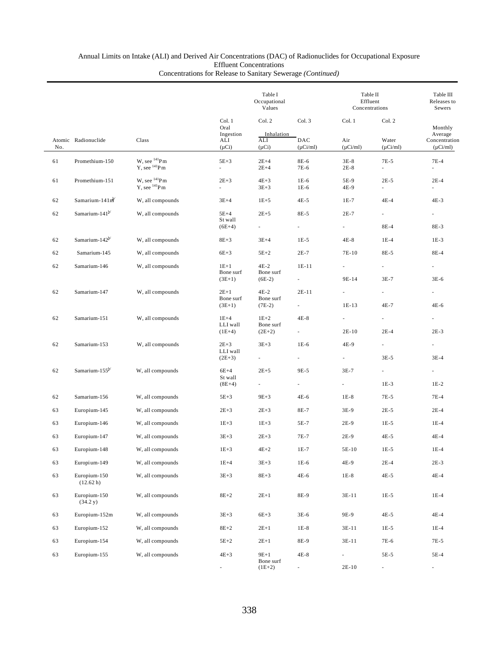|     |                            |                                            |                               | Table I<br>Occupational<br>Values |                                     |                          | Table II<br>Effluent<br>Concentrations |                                    |  |
|-----|----------------------------|--------------------------------------------|-------------------------------|-----------------------------------|-------------------------------------|--------------------------|----------------------------------------|------------------------------------|--|
|     |                            | Class                                      | Col. 1<br>Oral<br>Ingestion   | Col. 2<br>Inhalation              | Col. 3                              | Col. 1                   | Col. 2                                 | Monthly<br>Average                 |  |
| No. | Atomic Radionuclide        |                                            | ALI<br>$(\mu Ci)$             | ALI<br>$(\mu Ci)$                 | DAC<br>$(\mu$ Ci/ml)                | Air<br>$(\mu$ Ci/ml)     | Water<br>$(\mu Ci/ml)$                 | Concentration<br>$(\mu$ Ci/ml)     |  |
| 61  | Promethium-150             | W, see $^{141}$ Pm<br>$Y$ , see $^{141}Pm$ | $5E+3$<br>$\mathcal{L}^{\pm}$ | $2E+4$<br>$2E+4$                  | 8E-6<br>7E-6                        | $3E-8$<br>$2E-8$         | 7E-5<br>÷.                             | $7E-4$<br>$\mathbf{r}$             |  |
| 61  | Promethium-151             | W, see $^{141}$ Pm<br>$Y$ , see $^{141}Pm$ | $2E+3$<br>$\mathcal{L}^{\pm}$ | $4E+3$<br>$3E + 3$                | $1E-6$<br>$1E-6$                    | 5E-9<br>4E-9             | $2E-5$<br>$\overline{\phantom{a}}$     | $2E-4$<br>$\overline{\phantom{a}}$ |  |
| 62  | Samarium-141m              | W, all compounds                           | $3E+4$                        | $1E + 5$                          | 4E-5                                | 1E-7                     | $4E-4$                                 | $4E-3$                             |  |
| 62  | Samarium-141 $b$           | W, all compounds                           | $5E+4$<br>St wall<br>$(6E+4)$ | $2E + 5$<br>$\sim 10^{-11}$       | 8E-5<br>$\mathcal{L}_{\mathcal{A}}$ | $2E-7$<br>÷.             | ä,<br>8E-4                             | $\sim$<br>8E-3                     |  |
| 62  | Samarium-142 <sup>b/</sup> | W, all compounds                           | $8E + 3$                      | $3E+4$                            | $1E-5$                              | $4E-8$                   | $1E-4$                                 | $1E-3$                             |  |
| 62  | Samarium-145               | W, all compounds                           | $6E+3$                        | $5E+2$                            | $2E-7$                              | 7E-10                    | 8E-5                                   | 8E-4                               |  |
| 62  | Samarium-146               | W, all compounds                           | $1E+1$                        | $4E-2$                            | $1E-11$                             | $\overline{\phantom{0}}$ | $\overline{\phantom{a}}$               | $\overline{\phantom{a}}$           |  |
|     |                            |                                            | Bone surf<br>$(3E+1)$         | Bone surf<br>$(6E-2)$             |                                     | 9E-14                    | $3E-7$                                 | $3E-6$                             |  |
| 62  | Samarium-147               | W, all compounds                           | $2E+1$                        | $4E-2$                            | $2E-11$                             | ä,                       |                                        |                                    |  |
|     |                            |                                            | Bone surf<br>$(3E+1)$         | Bone surf<br>$(7E-2)$             | $\sim$                              | $1E-13$                  | 4E-7                                   | 4E-6                               |  |
| 62  | Samarium-151               | W, all compounds                           | $1E+4$                        | $1E+2$                            | $4E-8$                              | ä,                       | $\overline{\phantom{a}}$               |                                    |  |
|     |                            |                                            | LLI wall<br>$(1E+4)$          | Bone surf<br>$(2E+2)$             |                                     | 2E-10                    | $2E-4$                                 | $2E-3$                             |  |
| 62  | Samarium-153               | W, all compounds                           | $2E + 3$                      | $3E + 3$                          | $1E-6$                              | 4E-9                     | $\overline{\phantom{a}}$               | $\sim$                             |  |
|     |                            |                                            | LLI wall<br>$(2E+3)$          |                                   |                                     | $\overline{\phantom{0}}$ | $3E-5$                                 | $3E-4$                             |  |
| 62  | Samarium-155 <sup>b/</sup> | W, all compounds                           | $6E+4$                        | $2E+5$                            | 9E-5                                | $3E-7$                   | $\overline{\phantom{a}}$               | $\overline{\phantom{a}}$           |  |
|     |                            |                                            | St wall<br>$(8E+4)$           | $\sim$                            | $\sim$                              | $\sim$                   | $1E-3$                                 | $1E-2$                             |  |
| 62  | Samarium-156               | W, all compounds                           | $5E+3$                        | $9E + 3$                          | 4E-6                                | $1E-8$                   | 7E-5                                   | $7E-4$                             |  |
| 63  | Europium-145               | W, all compounds                           | $2E + 3$                      | $2E + 3$                          | 8E-7                                | 3E-9                     | $2E-5$                                 | $2E-4$                             |  |
| 63  | Europium-146               | W, all compounds                           | $1E+3$                        | $1E + 3$                          | 5E-7                                | $2E-9$                   | $1E-5$                                 | $1E-4$                             |  |
| 63  | Europium-147               | W, all compounds                           | $3E+3$                        | $2E+3$                            | 7E-7                                | $2E-9$                   | $4E-5$                                 | $4E-4$                             |  |
| 63  | Europium-148               | W, all compounds                           | $1E+3$                        | $4E+2$                            | $1E-7$                              | $5E-10$                  | $1E-5$                                 | $1E-4$                             |  |
| 63  | Europi um-149              | W, all compounds                           | $1E+4$                        | $3E + 3$                          | 1E-6                                | 4E-9                     | $2E-4$                                 | $2E-3$                             |  |
| 63  | Europium-150<br>(12.62 h)  | W, all compounds                           | $3E+3$                        | $8E+3$                            | $4E-6$                              | $1E-8$                   | $4E-5$                                 | $4E-4$                             |  |
| 63  | Europium-150<br>(34.2 y)   | W, all compounds                           | $8E+2$                        | $2E+1$                            | 8E-9                                | $3E-11$                  | $1E-5$                                 | $1E-4$                             |  |
| 63  | Europium-152m              | W, all compounds                           | $3E + 3$                      | $6E+3$                            | $3E-6$                              | 9E-9                     | 4E-5                                   | $4E-4$                             |  |
| 63  | Europium-152               | W, all compounds                           | $8E+2$                        | $2E+1$                            | $1E-8$                              | 3E-11                    | $1E-5$                                 | $1E-4$                             |  |
| 63  | Europium-154               | W, all compounds                           | $5E+2$                        | $2E+1$                            | 8E-9                                | 3E-11                    | 7E-6                                   | 7E-5                               |  |
| 63  | Europium-155               | W, all compounds                           | $4E + 3$                      | $9E+1$                            | $4E-8$                              | L,                       | 5E-5                                   | 5E-4                               |  |
|     |                            |                                            |                               | Bone surf<br>$(1E+2)$             |                                     | $2E-10$                  |                                        |                                    |  |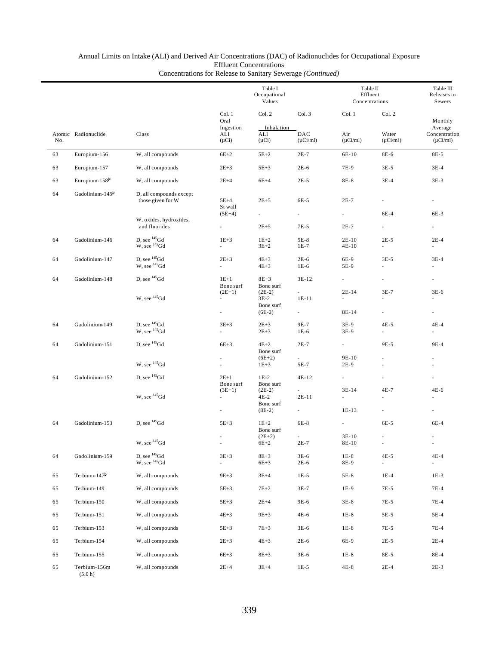|     |                              |                                                                                                |                                                                  | Table I<br>Occupational<br>Values           |                      |                                              | Table II<br>Effluent<br>Concentrations | Table III<br>Releases to<br>Sewers        |
|-----|------------------------------|------------------------------------------------------------------------------------------------|------------------------------------------------------------------|---------------------------------------------|----------------------|----------------------------------------------|----------------------------------------|-------------------------------------------|
|     |                              |                                                                                                | Col. 1<br>Oral                                                   | Col. 2                                      | Col. 3               | Col. 1                                       | Col. 2                                 | Monthly                                   |
| No. | Atomic Radionuclide          | Class                                                                                          | Ingestion<br>ALI<br>$(\mu Ci)$                                   | Inhalation<br>ALI<br>$(\mu Ci)$             | DAC<br>$(\mu$ Ci/ml) | Air<br>$(\mu$ Ci/ml)                         | Water<br>$(\mu$ Ci/ml)                 | Average<br>Concentration<br>$(\mu$ Ci/ml) |
| 63  | Europium-156                 | W, all compounds                                                                               | $6E+2$                                                           | $5E+2$                                      | $2E-7$               | 6E-10                                        | 8E-6                                   | 8E-5                                      |
| 63  | Europium-157                 | W, all compounds                                                                               | $2E + 3$                                                         | $5E+3$                                      | $2E-6$               | 7E-9                                         | $3E-5$                                 | $3E-4$                                    |
| 63  | Europium-158 <sup>b/</sup>   | W, all compounds                                                                               | $2E+4$                                                           | $6E+4$                                      | $2E-5$               | 8E-8                                         | $3E-4$                                 | $3E-3$                                    |
| 64  | Gadolinium-145 <sup>b/</sup> | D, all compounds except<br>those given for W                                                   | $5E+4$<br>St wall                                                | $2E+5$                                      | 6E-5                 | $2E-7$                                       |                                        | a.                                        |
|     |                              | W, oxides, hydroxides,<br>and fluorides                                                        | $(5E+4)$<br>$\overline{\phantom{a}}$                             | $\sim$<br>$2E + 5$                          | $\sim$<br>7E-5       | $\sim$<br>$2E-7$                             | 6E-4<br>$\overline{\phantom{a}}$       | 6E-3                                      |
| 64  | Gadolinium-146               | D, see $^{145}$ Gd<br>$W$ , see $^{145}$ Gd                                                    | $1E+3$<br>$\overline{\phantom{a}}$                               | $1E+2$<br>$3E + 2$                          | $5E-8$<br>$1E-7$     | $2E-10$<br>$4E-10$                           | $2E-5$<br>$\overline{\phantom{a}}$     | $2E-4$<br>$\overline{\phantom{a}}$        |
| 64  | Gadolinium-147               | D, see $^{145}$ Gd<br>W, see <sup>145</sup> Gd                                                 | $2E + 3$<br>ä,                                                   | $4E+3$<br>$4E + 3$                          | $2E-6$<br>$1E-6$     | 6E-9<br>5E-9                                 | $3E-5$<br>$\omega$                     | $3E-4$<br>ä,                              |
| 64  | Gadolinium-148               | D, see $^{145}$ Gd                                                                             | $1E+1$<br>Bone surf                                              | $8E+3$<br>Bone surf                         | $3E-12$              | $\sim$                                       |                                        | $\overline{\phantom{a}}$                  |
|     |                              | W, see <sup>145</sup> Gd                                                                       | $(2E+1)$<br>$\overline{\phantom{a}}$                             | $(2E-2)$<br>$3E-2$<br>Bone surf             | $1E-11$              | $2E-14$<br>÷.                                | $3E-7$                                 | $3E-6$<br>÷.                              |
|     |                              |                                                                                                | $\overline{\phantom{a}}$                                         | $(6E-2)$                                    |                      | 8E-14                                        |                                        | $\overline{\phantom{a}}$                  |
| 64  | Gadolinium 149               | D, see $^{145}$ Gd<br>W, see <sup>145</sup> Gd                                                 | $3E+3$<br>ä,                                                     | $2E+3$<br>$2E + 3$                          | 9E-7<br>$1E-6$       | 3E-9<br>3E-9                                 | $4E-5$<br>$\omega$                     | $4E-4$<br>×.                              |
| 64  | Gadolinium-151               | D, see $^{145}$ Gd                                                                             | $6E+3$                                                           | $4E+2$<br>Bone surf                         | $2E-7$               | $\sim$                                       | 9E-5                                   | 9E-4                                      |
|     |                              | W, see <sup>145</sup> Gd                                                                       |                                                                  | $(6E+2)$<br>$1E+3$                          | 5E-7                 | 9E-10<br>$2E-9$                              |                                        | ٠                                         |
| 64  | Gadolinium-152               | D, see $^{145}$ Gd                                                                             | $2E+1$<br>Bone surf                                              | $1E-2$<br>Bone surf                         | 4E-12                | $\mathcal{L}_{\mathcal{A}}$                  |                                        | ä,                                        |
|     |                              | W, see $^{145}$ Gd                                                                             | $(3E+1)$<br>$\overline{\phantom{a}}$<br>$\overline{\phantom{a}}$ | $(2E-2)$<br>$4E-2$<br>Bone surf<br>$(8E-2)$ | 2E-11                | 3E-14<br>$\overline{\phantom{0}}$<br>$1E-13$ | $4E-7$                                 | 4E-6                                      |
| 64  | Gadolinium-153               | D, see $^{145}$ Gd                                                                             | $5E+3$                                                           | $1E+2$<br>Bone surf                         | 6E-8                 | $\overline{\phantom{a}}$                     | 6E-5                                   | 6E-4                                      |
|     |                              | W, see $^{145}$ Gd                                                                             |                                                                  | $(2E+2)$<br>$6E+2$                          | $2E-7$               | 3E-10<br>8E-10                               |                                        | $\overline{\phantom{a}}$                  |
| 64  | Gadolinium-159               | $\begin{array}{c} \mbox{D, see}\ ^{145}\mbox{Gd}\\ \mbox{W, see}\ ^{145}\mbox{Gd} \end{array}$ | $3E+3$<br>ä,                                                     | $8E+3$<br>$6E+3$                            | 3E-6<br>$2E-6$       | $1E-8$<br>8E-9                               | $4E-5$<br>$\blacksquare$               | $4E-4$                                    |
| 65  | Terbium-147 <sup>b/</sup>    | W, all compounds                                                                               | $9E + 3$                                                         | $3E+4$                                      | $1E-5$               | 5E-8                                         | $1E-4$                                 | $1E-3$                                    |
| 65  | Terbium-149                  | W, all compounds                                                                               | $5E+3$                                                           | $7E+2$                                      | 3E-7                 | 1E-9                                         | 7E-5                                   | $7E-4$                                    |
| 65  | Terbium-150                  | W, all compounds                                                                               | $5E+3$                                                           | $2E+4$                                      | 9E-6                 | $3E-8$                                       | 7E-5                                   | 7E-4                                      |
| 65  | Terbium-151                  | W, all compounds                                                                               | $4E+3$                                                           | $9E+3$                                      | 4E-6                 | $1E-8$                                       | 5E-5                                   | 5E-4                                      |
| 65  | Terbium-153                  | W, all compounds                                                                               | $5E+3$                                                           | $7E+3$                                      | $3E-6$               | $1E-8$                                       | 7E-5                                   | $7E-4$                                    |
| 65  | Terbium-154                  | W, all compounds                                                                               | $2E + 3$                                                         | $4E + 3$                                    | $2E-6$               | 6E-9                                         | $2E-5$                                 | $2E-4$                                    |
| 65  | Terbium-155                  | W, all compounds                                                                               | $6E+3$                                                           | $8E+3$                                      | $3E-6$               | $1E-8$                                       | 8E-5                                   | 8E-4                                      |
| 65  | Terbium-156m<br>(5.0 h)      | W, all compounds                                                                               | $2E+4$                                                           | $3E+4$                                      | $1E-5$               | $4E-8$                                       | $2E-4$                                 | $2E-3$                                    |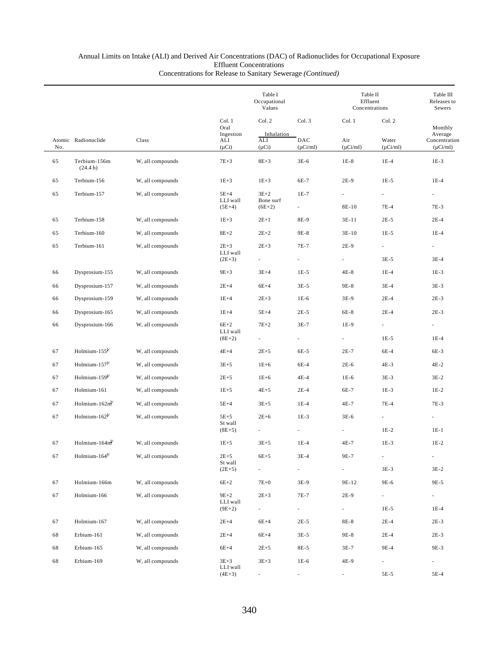|     |                             |                  |                                | Table I<br>Occupational<br>Values |                                    |                             | Table II<br>Effluent<br>Concentrations |                                           |  |
|-----|-----------------------------|------------------|--------------------------------|-----------------------------------|------------------------------------|-----------------------------|----------------------------------------|-------------------------------------------|--|
|     |                             |                  | Col. 1<br>Oral                 | Col. 2                            | Col. 3                             | Col. 1                      | Col. 2                                 | Monthly                                   |  |
| No. | Atomic Radionuclide         | Class            | Ingestion<br>ALI<br>$(\mu Ci)$ | Inhalation<br>ALI<br>$(\mu Ci)$   | DAC<br>$(\mu$ Ci/ml)               | Air<br>$(\mu Ci/ml)$        | Water<br>$(\mu Ci/ml)$                 | Average<br>Concentration<br>$(\mu$ Ci/ml) |  |
| 65  | Terbium-156m<br>(24.4 h)    | W, all compounds | $7E+3$                         | $8E + 3$                          | $3E-6$                             | $1E-8$                      | $1E-4$                                 | $1E-3$                                    |  |
| 65  | Terbium-156                 | W, all compounds | $1E + 3$                       | $1E+3$                            | 6E-7                               | $2E-9$                      | $1E-5$                                 | $1E-4$                                    |  |
| 65  | Terbium-157                 | W, all compounds | $5E+4$<br>LLI wall<br>$(5E+4)$ | $3E+2$<br>Bone surf<br>$(6E+2)$   | $1E-7$<br>$\overline{\phantom{a}}$ | 8E-10                       | ÷.<br>$7E-4$                           | ÷.<br>7E-3                                |  |
| 65  | Terbium-158                 | W, all compounds | $1E + 3$                       | $2E+1$                            | 8E-9                               | $3E-11$                     | $2E-5$                                 | $2E-4$                                    |  |
| 65  | Terbium-160                 | W, all compounds | $8E+2$                         | $2E + 2$                          | 9E-8                               | $3E-10$                     | $1E-5$                                 | $1E-4$                                    |  |
| 65  | Terbium-161                 | W, all compounds | $2E+3$<br>LLI wall             | $2E + 3$                          | 7E-7                               | $2E-9$                      | $\overline{\phantom{a}}$               | $\overline{\phantom{a}}$                  |  |
|     |                             |                  | $(2E+3)$                       |                                   |                                    |                             | $3E-5$                                 | $3E-4$                                    |  |
| 66  | Dysprosium-155              | W, all compounds | $9E + 3$                       | $3E+4$                            | $1E-5$                             | $4E-8$                      | $1E-4$                                 | $1E-3$                                    |  |
| 66  | Dysprosium-157              | W, all compounds | $2E+4$                         | $6E+4$                            | $3E-5$                             | 9E-8                        | $3E-4$                                 | $3E-3$                                    |  |
| 66  | Dysprosium-159              | W, all compounds | $1E+4$                         | $2E + 3$                          | $1E-6$                             | $3E-9$                      | $2E-4$                                 | $2E-3$                                    |  |
| 66  | Dysprosium-165              | W, all compounds | $1E+4$                         | $5E+4$                            | $2E-5$                             | 6E-8                        | $2E-4$                                 | $2E-3$                                    |  |
| 66  | Dysprosium-166              | W, all compounds | $6E+2$<br>LLI wall<br>$(8E+2)$ | $7E+2$                            | $3E-7$                             | 1E-9                        | $\overline{\phantom{a}}$<br>$1E-5$     | $\overline{\phantom{a}}$<br>$1E-4$        |  |
| 67  | Holmium- $155^{b/}$         | W, all compounds | $4E+4$                         | $2E+5$                            | 6E-5                               | $2E-7$                      | 6E-4                                   | 6E-3                                      |  |
| 67  | Holmium- $157^{\frac{b}{}}$ | W, all compounds | $3E+5$                         | $1E+6$                            | 6E-4                               | $2E-6$                      | 4E-3                                   | $4E-2$                                    |  |
| 67  | Holmium-159b/               | W, all compounds | $2E + 5$                       | $1E+6$                            | 4E-4                               | $1E-6$                      | $3E-3$                                 | $3E-2$                                    |  |
| 67  | Holmium-161                 | W, all compounds | $1E + 5$                       | $4E+5$                            | $2E-4$                             | 6E-7                        | $1E-3$                                 | $1E-2$                                    |  |
| 67  | Holmium- $162m^{1/2}$       | W, all compounds | $5E+4$                         | $3E+5$                            | $1E-4$                             | 4E-7                        | $7E-4$                                 | 7E-3                                      |  |
| 67  | Holmium-162 <sup>b/</sup>   | W, all compounds | $5E+5$                         | $2E + 6$                          | $1E-3$                             | $3E-6$                      |                                        |                                           |  |
|     |                             |                  | St wall<br>$(8E+5)$            | $\overline{\phantom{a}}$          |                                    |                             | $1E-2$                                 | $1E-1$                                    |  |
| 67  | Holmium-164 $mb$            | W, all compounds | $1E + 5$                       | $3E + 5$                          | $1E-4$                             | 4E-7                        | $1E-3$                                 | $1E-2$                                    |  |
| 67  | Holmium- $164^{b}$          | W, all compounds | $2E+5$                         | $6E+5$                            | $3E-4$                             | 9E-7                        |                                        | $\blacksquare$                            |  |
|     |                             |                  | St wall<br>$(2E+5)$            | $\overline{\phantom{a}}$          | $\overline{\phantom{a}}$           | $\mathcal{L}_{\mathcal{A}}$ | $3E-3$                                 | $3E-2$                                    |  |
| 67  | Holmium-166m                | W, all compounds | $6E+2$                         | $7E+0$                            | 3E-9                               | 9E-12                       | 9E-6                                   | 9E-5                                      |  |
| 67  | Holmium-166                 | W, all compounds | $9E+2$                         | $2E + 3$                          | 7E-7                               | $2E-9$                      | $\overline{\phantom{a}}$               | $\sim$                                    |  |
|     |                             |                  | LLI wall<br>$(9E+2)$           | $\overline{\phantom{a}}$          | $\overline{\phantom{a}}$           | $\overline{\phantom{a}}$    | $1E-5$                                 | $1E-4$                                    |  |
| 67  | Holmium-167                 | W, all compounds | $2E+4$                         | $6E+4$                            | $2E-5$                             | 8E-8                        | $2E-4$                                 | $2E-3$                                    |  |
| 68  | Erbium-161                  | W, all compounds | $2E+4$                         | $6E+4$                            | $3E-5$                             | 9E-8                        | $2E-4$                                 | $2E-3$                                    |  |
| 68  | Erbium-165                  | W, all compounds | $6E+4$                         | $2E + 5$                          | 8E-5                               | $3E-7$                      | 9E-4                                   | 9E-3                                      |  |
| 68  | Erbium-169                  | W, all compounds | $3E+3$<br>LLI wall             | $3E + 3$                          | $1E-6$                             | 4E-9                        | $\overline{\phantom{a}}$               | $\overline{\phantom{a}}$                  |  |
|     |                             |                  | $(4E+3)$                       | ۰.                                | $\overline{\phantom{a}}$           | $\sim$                      | 5E-5                                   | 5E-4                                      |  |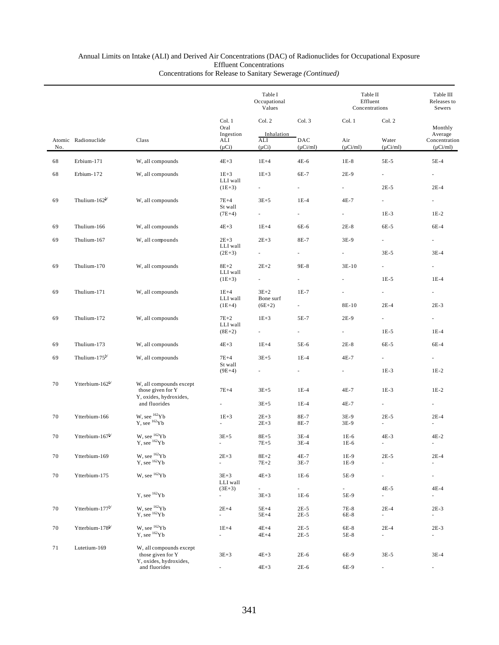|     |                             |                                                                        |                                           | Table I<br>Occupational<br>Values  |                                    |                                   | Table II<br>Effluent<br>Concentrations | Table III<br>Releases to<br>Sewers    |
|-----|-----------------------------|------------------------------------------------------------------------|-------------------------------------------|------------------------------------|------------------------------------|-----------------------------------|----------------------------------------|---------------------------------------|
|     | Atomic Radionuclide         | Class                                                                  | Col. 1<br>Oral<br>Ingestion<br>ALI        | Col. 2<br>Inhalation<br>ALI        | Col. 3<br>DAC                      | Col. 1<br>Air                     | Col. 2<br>Water                        | Monthly<br>Average<br>Concentration   |
| No. |                             |                                                                        | $(\mu Ci)$                                | $(\mu Ci)$                         | $(\mu$ Ci/ml)                      | $(\mu Ci/ml)$                     | $(\mu$ Ci/ml)                          | $(\mu$ Ci/ml)                         |
| 68  | Erbium-171                  | W, all compounds                                                       | $4E+3$                                    | $1E+4$                             | 4E-6                               | $1E-8$                            | 5E-5                                   | 5E-4                                  |
| 68  | Erbium-172                  | W, all compounds                                                       | $1E+3$<br>LLI wall                        | $1E+3$<br>$\overline{\phantom{0}}$ | 6E-7<br>$\overline{\phantom{a}}$   | $2E-9$<br>$\sim$                  | $\mathcal{L}_{\mathcal{A}}$<br>$2E-5$  | $\overline{\phantom{a}}$<br>$2E-4$    |
| 69  | Thulium-162 <sup>b/</sup>   | W, all compounds                                                       | $(1E+3)$<br>$7E+4$<br>St wall<br>$(7E+4)$ | $3E+5$<br>$\sim 10^{-1}$           | $1E-4$<br>$\overline{\phantom{a}}$ | $4E-7$<br>÷.                      | $\sim$<br>$1E-3$                       | $\sim$<br>$1E-2$                      |
|     |                             |                                                                        |                                           |                                    |                                    |                                   |                                        |                                       |
| 69  | Thulium-166                 | W, all compounds                                                       | $4E+3$                                    | $1E+4$                             | 6E-6                               | $2E-8$                            | 6E-5                                   | 6E-4                                  |
| 69  | Thulium-167                 | W, all compounds                                                       | $2E+3$<br>LLI wall                        | $2E+3$                             | 8E-7                               | 3E-9                              | $\sim$                                 | $\sim$                                |
|     |                             |                                                                        | $(2E+3)$                                  | $\sim 100$                         | $\overline{\phantom{a}}$           | ÷.                                | $3E-5$                                 | $3E-4$                                |
| 69  | Thulium-170                 | W, all compounds                                                       | $8E+2$<br>LLI wall<br>$(1E+3)$            | $2E+2$<br>$\sim$                   | 9E-8<br>$\overline{\phantom{a}}$   | 3E-10<br>a.                       | a.<br>$1E-5$                           | $1E-4$                                |
|     |                             |                                                                        |                                           |                                    |                                    |                                   |                                        |                                       |
| 69  | Thulium-171                 | W, all compounds                                                       | $1E+4$<br>LLI wall<br>$(1E+4)$            | $3E+2$<br>Bone surf<br>$(6E+2)$    | $1E-7$                             | $\overline{\phantom{a}}$<br>8E-10 | $\overline{\phantom{a}}$<br>$2E-4$     | $\overline{\phantom{a}}$<br>$2E-3$    |
| 69  | Thulium-172                 | W, all compounds                                                       | $7E+2$                                    | $1E + 3$                           | 5E-7                               | $2E-9$                            | $\sim$                                 | $\sim$                                |
|     |                             |                                                                        | LLI wall<br>$(8E+2)$                      | $\mathcal{L}_{\rm{max}}$           | $\sim$                             | $\sim$                            | $1E-5$                                 | $1E-4$                                |
| 69  | Thulium-173                 | W, all compounds                                                       | $4E+3$                                    | $1E+4$                             | 5E-6                               | $2E-8$                            | 6E-5                                   | 6E-4                                  |
| 69  | Thulium-175 <sup>b/</sup>   | W, all compounds                                                       | $7E+4$                                    | $3E+5$                             | $1E-4$                             | $4E-7$                            | $\sim$                                 | $\mathcal{L}_{\mathcal{A}}$           |
|     |                             |                                                                        | St wall<br>$(9E+4)$                       | $\overline{\phantom{0}}$           | $\overline{\phantom{a}}$           | $\sim$                            | $1E-3$                                 | $1E-2$                                |
| 70  | Ytterbium-162 <sup>b/</sup> | W, all compounds except<br>those given for Y<br>Y, oxides, hydroxides, | $7E+4$                                    | $3E+5$                             | $1E-4$                             | $4E-7$                            | $1E-3$                                 | $1E-2$                                |
|     |                             | and fluorides                                                          |                                           | $3E + 5$                           | $1E-4$                             | 4E-7                              | $\mathcal{L}_{\mathcal{A}}$            |                                       |
| 70  | Ytterbium-166               | W, see <sup>162</sup> Yb<br>$Y$ , see $162Yb$                          | $1E+3$<br>×.                              | $2E + 3$<br>$2E + 3$               | 8E-7<br>8E-7                       | 3E-9<br>3E-9                      | $2E-5$<br>$\mathcal{L}_{\mathcal{A}}$  | $2E-4$                                |
| 70  | Ytterbium-167 $b$           | W, see $^{162}\mathrm{Yb}$ Y, see $^{162}\mathrm{Yb}$                  | $3E+5$                                    | $8E+5$<br>$7E + 5$                 | $3E-4$<br>$3E-4$                   | $1E-6$<br>$1E-6$                  | $4E-3$                                 | $4E-2$                                |
| 70  | Ytterbium-169               | W, see ${}^{162}\mathrm{Yb}$<br>$Y$ , see $162Yb$                      | $2E+3$<br>ä,                              | $8E+2$<br>$7E+2$                   | 4E-7<br>$3E-7$                     | 1E-9<br>1E-9                      | $2E-5$<br>$\mathcal{L}$                | $2E-4$<br>$\mathcal{L}$               |
| 70  | Ytterbium-175               | W, see <sup>162</sup> Yb                                               | $3E + 3$<br>LLI wall                      | $4E+3$                             | $1E-6$                             | 5E-9                              | $\overline{\phantom{a}}$               | $\overline{\phantom{a}}$              |
|     |                             | $Y$ , see ${}^{162}Yb$                                                 | $(3E+3)$<br>$\overline{\phantom{a}}$      | $\sim$<br>$3E + 3$                 | $\sim$<br>$1E-6$                   | $\sim$<br>5E-9                    | $4E-5$<br>$\mathcal{L}_{\mathcal{A}}$  | $4E-4$<br>$\overline{\phantom{a}}$    |
| 70  | Ytterbium-177 <sup>b/</sup> | $\rm W,$ see $^{162}\rm Yb$ Y, see $^{162}\rm Yb$                      | $2E+4$<br>$\overline{\phantom{a}}$        | $5E+4$<br>$5E + 4$                 | $2E-5$<br>$2E-5$                   | 7E-8<br>6E-8                      | $2E-4$<br>$\sim$                       | $2E-3$<br>$\sim$                      |
| 70  | Ytterbium-178 <sup>b/</sup> | W, see ${}^{162}Yb$<br>$Y$ , see $162Yb$                               | $1E+4$<br>ä,                              | $4E+4$<br>$4E+4$                   | $2E-5$<br>$2E-5$                   | 6E-8<br>5E-8                      | $2E-4$<br>÷.                           | $2E-3$<br>$\mathcal{L}_{\mathcal{A}}$ |
| 71  | Lutetium-169                | W, all compounds except<br>those given for Y                           | $3E + 3$                                  | $4E + 3$                           | $2E-6$                             | 6E-9                              | $3E-5$                                 | $3E-4$                                |
|     |                             | Y, oxides, hydroxides,<br>and fluorides                                | ÷.                                        | $4E+3$                             | $2E-6$                             | 6E-9                              | $\overline{\phantom{a}}$               | $\overline{\phantom{a}}$              |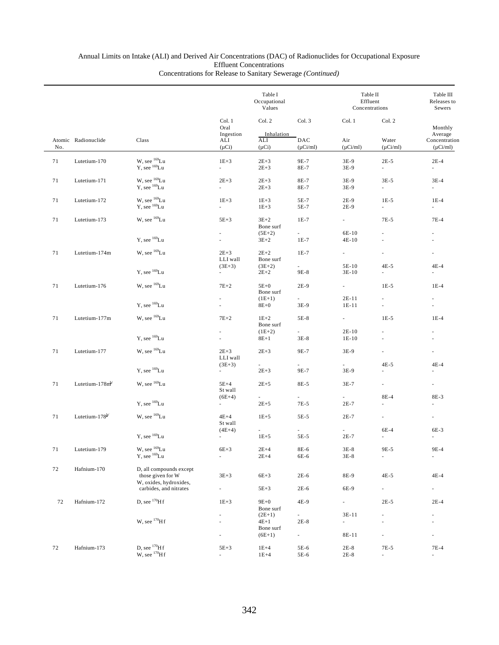|     |                            |                                                                        |                                         | Table I<br>Occupational<br>Values |                      |                                     | Table II<br>Effluent<br>Concentrations |                                                      |  |
|-----|----------------------------|------------------------------------------------------------------------|-----------------------------------------|-----------------------------------|----------------------|-------------------------------------|----------------------------------------|------------------------------------------------------|--|
|     |                            |                                                                        | Col. 1<br>Oral<br>Ingestion             | Col. 2<br>Inhalation              | Col. 3               | Col. 1                              | Col. 2<br>Water<br>$(\mu Ci/ml)$       | Monthly<br>Average<br>Concentration<br>$(\mu$ Ci/ml) |  |
| No. | Atomic Radionuclide        | Class                                                                  | ALI<br>$(\mu Ci)$                       | ALI<br>$(\mu Ci)$                 | DAC<br>$(\mu$ Ci/ml) | Air<br>$(\mu Ci/ml)$                |                                        |                                                      |  |
| 71  | Lutetium-170               | W, see $^{169}$ Lu<br>Y, see <sup>169</sup> Lu                         | $1E+3$<br>$\mathcal{L}^{\text{max}}$    | $2E+3$<br>$2E+3$                  | 9E-7<br>8E-7         | $3E-9$<br>$3E-9$                    | $2E-5$<br>$\mathcal{L}_{\mathcal{A}}$  | $2E-4$<br>$\sim$                                     |  |
| 71  | Lutetium-171               | W, see <sup>169</sup> Lu<br>$Y$ , see $^{169}$ Lu                      | $2E + 3$<br>$\mathcal{L}_{\mathcal{A}}$ | $2E + 3$<br>$2E+3$                | 8E-7<br>8E-7         | $3E-9$<br>$3E-9$                    | $3E-5$<br>÷.                           | $3E-4$<br>$\sim$                                     |  |
| 71  | Lutetium-172               | W, see $^{169}$ Lu<br>Y, see <sup>169</sup> Lu                         | $1E+3$<br>$\mathcal{L}_{\mathcal{A}}$   | $1E+3$<br>$1E+3$                  | 5E-7<br>5E-7         | $2E-9$<br>$2E-9$                    | $1E-5$<br>$\overline{\phantom{a}}$     | $1E-4$<br>$\sim$                                     |  |
| 71  | Lutetium-173               | W, see <sup>169</sup> Lu                                               | $5E+3$                                  | $3E+2$<br>Bone surf               | $1E-7$               | $\sim$                              | 7E-5                                   | $7E-4$                                               |  |
|     |                            | $Y$ , see $^{169}$ Lu                                                  | a.                                      | $(5E+2)$<br>$3E+2$                | a i<br>$1E-7$        | 6E-10<br>4E-10                      |                                        |                                                      |  |
| 71  | Lutetium-174m              | W, see ${}^{169}$ Lu                                                   | $2E + 3$<br>LLI wall                    | $2E+2$<br>Bone surf               | $1E-7$               | $\omega_{\rm{max}}$                 | ä,                                     | $\overline{\phantom{a}}$                             |  |
|     |                            | Y, see <sup>169</sup> Lu                                               | $(3E+3)$<br>$\sim$                      | $(3E+2)$<br>$2E+2$                | $\sim$<br>9E-8       | 5E-10<br>$3E-10$                    | $4E-5$<br>ä,                           | $4E-4$<br>÷                                          |  |
| 71  | Lutetium-176               | W, see ${}^{169}$ Lu                                                   | $7E+2$                                  | $5E+0$<br>Bone surf               | $2E-9$               | $\omega_{\rm{max}}$                 | $1E-5$                                 | $1E-4$                                               |  |
|     |                            | Y, see <sup>169</sup> Lu                                               | $\sim$                                  | $(1E+1)$<br>$8E+0$                | $\sim$<br>3E-9       | $2E-11$<br>$1E-11$                  | ä,                                     | $\overline{\phantom{a}}$<br>$\omega$                 |  |
| 71  | Lutetium-177m              | W, see <sup>169</sup> Lu                                               | $7E+2$                                  | $1E+2$<br>Bone surf               | 5E-8                 | $\omega_{\rm{max}}$                 | $1E-5$                                 | $1E-4$                                               |  |
|     |                            | Y, see $^{169}$ Lu                                                     |                                         | $(1E+2)$<br>$8E+1$                | $\sim$<br>$3E-8$     | $2E-10$<br>$1E-10$                  | ÷,                                     |                                                      |  |
| 71  | Lutetium-177               | W, see <sup>169</sup> Lu                                               | $2E+3$<br>LLI wall                      | $2E+3$                            | 9E-7                 | 3E-9                                | ä,                                     |                                                      |  |
|     |                            | $Y$ , see $169$ Lu                                                     | $(3E+3)$<br>$\sim$                      | $2E+3$                            | 9E-7                 | 3E-9                                | $4E-5$                                 | $4E-4$                                               |  |
| 71  | Lutetium- $178m^b$         | W, see <sup>169</sup> Lu                                               | $5E+4$<br>St wall                       | $2E+5$                            | 8E-5                 | $3E-7$                              | ÷.                                     | $\overline{\phantom{a}}$                             |  |
|     |                            | $Y$ , see $^{169}$ Lu                                                  | $(6E+4)$<br>$\sim 10^{-11}$             | $\sim 10^{-11}$<br>$2E + 5$       | 7E-5                 | $\sim$<br>$2E-7$                    | 8E-4<br>$\overline{\phantom{a}}$       | 8E-3<br>×.                                           |  |
| 71  | Lutetium-178 <sup>b/</sup> | W, see ${}^{169}$ Lu                                                   | $4E+4$<br>St wall                       | $1E+5$                            | 5E-5                 | $2E-7$                              | L,                                     | ä,                                                   |  |
|     |                            | $Y$ , see $^{169}$ Lu                                                  | $(4E+4)$<br>$\overline{\phantom{a}}$    | $1E + 5$                          | 5E-5                 | $2E-7$                              | 6E-4<br>ä,                             | 6E-3                                                 |  |
| 71  | Lutetium-179               | W, see $^{169}\mathrm{Lu}$<br>$Y$ , see $^{169}$ Lu                    | $6E+3$<br>ä,                            | $2\mathrm{E}{+4}$<br>$2E+4$       | $8E-6$<br>6E-6       | $3E-8$<br>$3E-8$                    | 9E-5<br>÷,                             | 9E-4<br>$\overline{\phantom{a}}$                     |  |
| 72  | Hafnium-170                | D, all compounds except<br>those given for W<br>W, oxides, hydroxides, | $3E + 3$                                | $6E+3$                            | $2E-6$               | 8E-9                                | $4E-5$                                 | $4E-4$                                               |  |
|     |                            | carbides, and nitrates                                                 |                                         | $5E+3$                            | $2E-6$               | 6E-9                                | ÷.                                     | $\sim$                                               |  |
| 72  | Hafnium-172                | D, see $^{170}$ H f                                                    | $1E+3$                                  | $9E+0$<br>Bone surf               | 4E-9                 | $\overline{\phantom{a}}$            | $2E-5$                                 | $2E-4$                                               |  |
|     |                            | W, see $^{170}$ H f                                                    |                                         | $(2E+1)$<br>$4E+1$                | $\sim$<br>$2E-8$     | $3E-11$<br>$\overline{\phantom{a}}$ | ۰<br>ä,                                | $\overline{\phantom{a}}$                             |  |
|     |                            |                                                                        |                                         | Bone surf<br>$(6E+1)$             | $\sim$               | 8E-11                               | $\overline{\phantom{a}}$               |                                                      |  |
| 72  | Hafnium-173                | D, see $^{170}$ H f<br>$W$ , see $170$ H f                             | $5E+3$<br>$\overline{\phantom{a}}$      | $1E+4$<br>$1E+4$                  | 5E-6<br>5E-6         | $2E-8$<br>$2E-8$                    | 7E-5<br>$\overline{\phantom{a}}$       | $7E-4$<br>$\overline{\phantom{a}}$                   |  |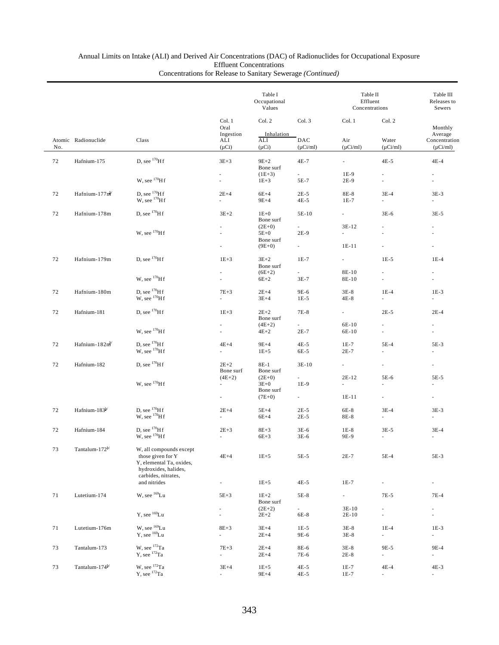|    |                            |                                                                                                  |                                    | Table I<br>Occupational<br>Values           |                                     | Table II<br>Effluent<br>Concentrations | Table III<br>Releases to<br>Sewers |                                    |
|----|----------------------------|--------------------------------------------------------------------------------------------------|------------------------------------|---------------------------------------------|-------------------------------------|----------------------------------------|------------------------------------|------------------------------------|
|    | Atomic Radionuclide<br>No. |                                                                                                  | Col. 1<br>Oral<br>Ingestion        | Col. 2<br>Inhalation                        | Col. 3                              | Col. 1                                 | Col. 2                             | Monthly<br>Average                 |
|    |                            | Class                                                                                            | ALI<br>$(\mu Ci)$                  | ALI<br>$(\mu Ci)$                           | DAC<br>$(\mu$ Ci/ml)                | Air<br>$(\mu$ Ci/ml)                   | Water<br>$(\mu Ci/ml)$             | Concentration<br>$(\mu Ci/ml)$     |
| 72 | Hafnium-175                | D, see $^{170}$ H f                                                                              | $3E+3$                             | $9E+2$<br>Bone surf                         | $4E-7$                              | $\sim$                                 | $4E-5$                             | $4E-4$                             |
|    |                            | W, see $^{170}Hf$                                                                                |                                    | $(1E+3)$<br>$1E + 3$                        | $\sim$<br>5E-7                      | 1E-9<br>2E-9                           | ×.<br>ä,                           |                                    |
| 72 | Hafnium-177nl              | D, see $^{170}$ H f<br>W, see $^{170}$ H f                                                       | $2E+4$<br>$\sim$                   | $6E+4$<br>$9E+4$                            | $2E-5$<br>$4E-5$                    | 8E-8<br>$1E-7$                         | $3E-4$<br>٠                        | $3E-3$                             |
| 72 | Hafnium-178m               | D, see $^{170}$ H f                                                                              | $3E+2$                             | $1E+0$<br>Bone surf                         | 5E-10                               | $\mathcal{L}^{\text{max}}$             | $3E-6$                             | $3E-5$                             |
|    |                            | W, see $^{170}$ H f                                                                              |                                    | $(2E+0)$<br>$5E+0$<br>Bone surf<br>$(9E+0)$ | $\sim$<br>$2E-9$<br>$\sim 10^{-11}$ | 3E-12<br>$\omega$<br>$1E-11$           | ä,                                 |                                    |
| 72 | Hafnium-179m               | D, see $^{170}$ Hf                                                                               | $1E+3$                             | $3E+2$                                      | $1E-7$                              | $\omega_{\rm{max}}$                    | $1E-5$                             | $1E-4$                             |
|    |                            | W, see $^{170}Hf$                                                                                |                                    | Bone surf<br>$(6E+2)$<br>$6E+2$             | $\mathcal{L}^{\pm}$<br>$3E-7$       | 8E-10<br>8E-10                         | ä,                                 |                                    |
| 72 | Hafnium-180m               | D, see $^{170}$ H f<br>$W$ , see $170$ Hf                                                        | $7E+3$<br>a.                       | $2E+4$<br>$3E+4$                            | 9E-6<br>$1E-5$                      | $3E-8$<br>$4E-8$                       | $1E-4$<br>$\sim$                   | $1E-3$                             |
| 72 | Hafnium-181                | D, see $^{170}$ H f                                                                              | $1E+3$                             | $2E+2$<br>Bone surf                         | 7E-8                                | $\omega_{\rm{max}}$                    | $2E-5$                             | $2E-4$                             |
|    |                            | W, see $^{170}$ H f                                                                              | $\overline{\phantom{a}}$           | $(4E+2)$<br>$4E+2$                          | $\sim$<br>$2E-7$                    | 6E-10<br>6E-10                         | a.                                 |                                    |
| 72 | Hafnium-182nh              | D, see $^{170}$ H f<br>$W$ , see $170$ H f                                                       | $4E+4$<br>÷.                       | $9E+4$<br>$1E+5$                            | $4E-5$<br>6E-5                      | $1E-7$<br>$2E-7$                       | $5E-4$                             | 5E-3                               |
| 72 | Hafnium-182                | D, see $^{170}$ H f                                                                              | $2E+2$<br>Bone surf                | 8E-1<br>Bone surf                           | $3E-10$                             | $\sim$                                 | $\overline{\phantom{a}}$           |                                    |
|    |                            | W, see $^{170}$ H f                                                                              | $(4E+2)$<br>ä,                     | $(2E+0)$<br>$3E+0$<br>Bone surf             | $\sim$<br>$1E-9$                    | 2E-12<br>ä,                            | 5E-6<br>ä,                         | 5E-5<br>$\omega$                   |
|    | Hafnium-183 $b$            |                                                                                                  | $\overline{\phantom{a}}$           | $(7E+0)$                                    | $\sim$                              | $1E-11$                                | ä,                                 | $\overline{\phantom{a}}$           |
| 72 |                            | D, see $^{170}$ H f<br>W, see $^{170}$ H f                                                       | $2E+4$<br>÷.                       | $5E+4$<br>$6E+4$                            | $2E-5$<br>$2E-5$                    | 6E-8<br>8E-8                           | $3E-4$<br>÷.                       | $3E-3$<br>$\omega$                 |
| 72 | Hafnium-184                | D, see $170$ H f<br>$W$ , see $170$ H f                                                          | $2E + 3$                           | $8E + 3$<br>$6E+3$                          | $3E-6$<br>$3E-6$                    | $1E-8$<br>9E-9                         | $3E-5$<br>ä,                       | $3E-4$                             |
| 73 | Tantalum-172 $b$           | W, all compounds except<br>those given for Y<br>Y, elemental Ta, oxides,<br>hydroxides, halides, | $4E+4$                             | $1E + 5$                                    | 5E-5                                | $2E-7$                                 | 5E-4                               | 5E-3                               |
|    |                            | carbides, nitrates,<br>and nitrides                                                              | $\overline{\phantom{a}}$           | $1E + 5$                                    | 4E-5                                | $1E-7$                                 | ÷,                                 | $\overline{\phantom{a}}$           |
| 71 | Lutetium-174               | W, see <sup>169</sup> Lu                                                                         | $5E+3$<br>$\overline{\phantom{a}}$ | $1E+2$<br>Bone surf<br>$(2E+2)$             | 5E-8<br>$\overline{\phantom{a}}$    | $\sim$<br>$3E-10$                      | $7E-5$<br>$\overline{\phantom{a}}$ | $7E-4$<br>$\overline{\phantom{a}}$ |
|    |                            | $Y$ , see $^{169}$ Lu                                                                            | ä,                                 | $2E + 2$                                    | 6E-8                                | 2E-10                                  | ÷.                                 | $\overline{\phantom{a}}$           |
| 71 | Lutetium-176m              | W, see <sup>169</sup> Lu<br>$Y$ , see $169$ Lu                                                   | $8E + 3$<br>÷.                     | $3E+4$<br>$2E+4$                            | $1E-5$<br>9E-6                      | $3E-8$<br>$3E-8$                       | $1E-4$<br>$\overline{\phantom{a}}$ | $1E-3$<br>÷.                       |
| 73 | Tantalum-173               | W, see 172Ta<br>$Y$ , see $^{172}Ta$                                                             | $7E+3$<br>$\overline{\phantom{a}}$ | $2E+4$<br>$2E+4$                            | 8E-6<br>7E-6                        | $3E-8$<br>$2E-8$                       | 9E-5<br>÷.                         | 9E-4<br>ä,                         |
| 73 | Tantalum-174 <sup>b/</sup> | W, see 172Ta<br>$Y$ , see $^{172}Ta$                                                             | $3E+4$<br>$\overline{\phantom{a}}$ | $1E + 5$<br>$9E+4$                          | 4E-5<br>4E-5                        | $1E-7$<br>$1E-7$                       | 4E-4<br>$\overline{\phantom{a}}$   | 4E-3<br>$\overline{\phantom{a}}$   |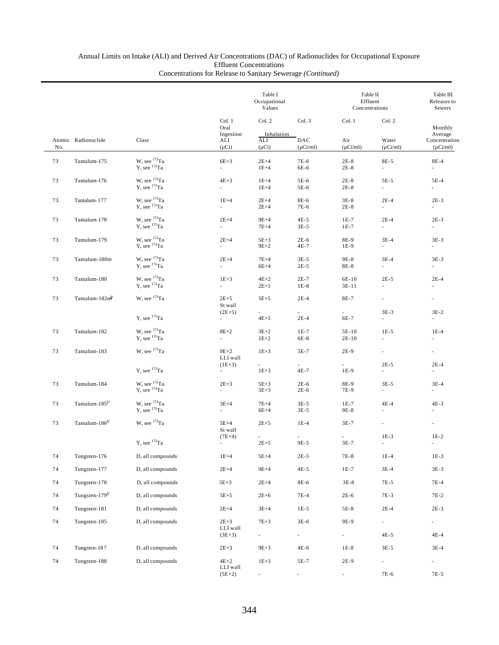|        |                            |                                                       |                                              | Table I<br>Occupational<br>Values  |                                  | Table II<br>Effluent<br>Concentrations | Table III<br>Releases to<br>Sewers |                                           |
|--------|----------------------------|-------------------------------------------------------|----------------------------------------------|------------------------------------|----------------------------------|----------------------------------------|------------------------------------|-------------------------------------------|
|        |                            |                                                       | Col. 1<br>Oral                               | Col. 2                             | Col. 3                           | Col. 1                                 | Col. 2                             | Monthly                                   |
| No.    | Atomic Radionuclide        | Class                                                 | Ingestion<br>ALI<br>$(\mu Ci)$               | Inhalation<br>ALI<br>$(\mu Ci)$    | DAC<br>$(\mu$ Ci/ml)             | Air<br>$(\mu$ Ci/ml)                   | Water<br>$(\mu Ci/ml)$             | Average<br>Concentration<br>$(\mu$ Ci/ml) |
| 73     | Tantalum-175               | W, see 172Ta<br>$Y$ , see $^{172}Ta$                  | $6E+3$<br>$\sim$                             | $2E+4$<br>$1E+4$                   | 7E-6<br>6E-6                     | $2E-8$<br>$2E-8$                       | 8E-5<br>$\overline{\phantom{a}}$   | $8E-4$<br>$\omega$                        |
| 73     | Tantalum-176               | W, see 172Ta<br>Y, see 172Ta                          | $4E+3$<br>$\sim$                             | $1E+4$<br>$1E+4$                   | 5E-6<br>$5E-6$                   | $2E-8$<br>$2E-8$                       | 5E-5<br>ä,                         | $5E-4$<br>ä,                              |
| 73     | Tantalum-177               | W, see 172Ta<br>Y, see 172Ta                          | $1E+4$<br>$\sim$                             | $2E+4$<br>$2E+4$                   | 8E-6<br>7E-6                     | $3E-8$<br>$2E-8$                       | $2E-4$<br>ä,                       | $2E-3$<br>ä,                              |
| 73     | Tantalum-178               | W, see 172Ta<br>$Y$ , see $^{172}Ta$                  | $2E+4$<br>$\sim$                             | $9E+4$<br>$7E+4$                   | $4E-5$<br>$3E-5$                 | $1E-7$<br>$1E-7$                       | $2E-4$<br>ä,                       | $2E-3$<br>$\mathcal{L}_{\mathcal{A}}$     |
| 73     | Tantalum-179               | W, see $172$ Ta<br>$Y$ , see $172$ Ta                 | $2E+4$<br>$\sim$                             | $5E+3$<br>$9E+2$                   | $2E-6$<br>4E-7                   | 8E-9<br>$1E-9$                         | $3E-4$<br>$\sim$                   | $3E-3$<br>$\sim$                          |
| 73     | Tantalum-180m              | W. see $^{172}$ Ta<br>$Y$ , see $172$ Ta              | $2E+4$<br>÷.                                 | $7E+4$<br>$6E+4$                   | $3E-5$<br>$2E-5$                 | 9E-8<br>8E-8                           | $3E-4$<br>÷.                       | $3E-3$<br>$\sim$                          |
| 73     | Tantalum-180               | W. see $172$ Ta<br>$Y$ , see $172$ Ta                 | $1E+3$<br>$\mathcal{L}^{\pm}$                | $4E+2$<br>$2E+1$                   | $2E-7$<br>$1E-8$                 | 6E-10<br>$3E-11$                       | $2E-5$<br>÷.                       | $2E-4$<br>$\omega$                        |
| 73     | Tantalum-182m              | W, see <sup>172</sup> Ta                              | $2E+5$<br>St wall                            | $5E+5$                             | $2E-4$                           | 8E-7                                   | ä,                                 | $\omega$                                  |
|        |                            | $Y$ , see $^{172}Ta$                                  | $(2E+5)$<br>$\sim$                           | $4E+5$                             | $2E-4$                           | 6E-7                                   | $3E-3$<br>÷.                       | $3E-2$<br>÷.                              |
| 73     | Tantalum-182               | W, see $^{172}$ Ta<br>$Y$ , see $172$ Ta              | $8E+2$<br>$\mathcal{L}_{\mathcal{A}}$        | $3E+2$<br>$1E+2$                   | $1E-7$<br>6E-8                   | 5E-10<br>$2E-10$                       | $1E-5$<br>ä,                       | $1E-4$<br>ä,                              |
| 73     | Tantalum-183               | W. see $172$ Ta                                       | $9E+2$<br>LLI wall                           | $1E+3$                             | 5E-7                             | $2E-9$                                 | L.                                 | $\omega$                                  |
|        |                            | $Y$ , see $^{172}Ta$                                  | $(1E+3)$<br>$\sim$                           | $\sim$<br>$1E+3$                   | 4E-7                             | $1E-9$                                 | $2E-5$<br>a.                       | $2E-4$<br>÷.                              |
| 73     | Tantalum-184               | W, see $^{172}\mathrm{Ta}$ Y, see $^{172}\mathrm{Ta}$ | $2E + 3$<br>ä,                               | $5E+3$<br>$5E+3$                   | $2E-6$<br>$2E-6$                 | 8E-9<br>7E-9                           | $3E-5$<br>٠                        | $3E-4$<br>×.                              |
| 73     | Tantalum-185 <sup>b/</sup> | W. see $172$ Ta<br>$Y$ , see $172$ Ta                 | $3E+4$<br>$\sim$                             | $7E+4$<br>$6E+4$                   | $3E-5$<br>$3E-5$                 | $1E-7$<br>9E-8                         | $4E-4$<br>×.                       | $4E-3$<br>$\overline{\phantom{a}}$        |
| 73     | Tantalum-186 <sup>b/</sup> | W, see <sup>172</sup> Ta                              | $5E+4$<br>St wall                            | $2E+5$                             | $1E-4$                           | $3E-7$                                 | ×.                                 |                                           |
|        |                            | $Y$ , see $^{172}Ta$                                  | $(7E+4)$                                     | $\sim$<br>$2E + 5$                 | 9E-5                             | a.<br>$3E-7$                           | $1E-3$<br>ä,                       | $1E-2$                                    |
| $74\,$ | Tungsten-176               | D, all compounds                                      | $1E+4$                                       | $5E+4$                             | $2E-5$                           | $7E-8$                                 | $1E-4$                             | $1E-3$                                    |
| 74     | Tungsten-177               | D, all compounds                                      | $2E+4$                                       | $9E+4$                             | $4E-5$                           | $1E-7$                                 | $3E-4$                             | $3E-3$                                    |
| 74     | Tungsten-178               | D, all compounds                                      | $5E+3$                                       | $2E+4$                             | 8E-6                             | $3E-8$                                 | 7E-5                               | $7E-4$                                    |
| 74     | Tungsten- $179^{b/}$       | D, all compounds                                      | $5E+5$                                       | $2E + 6$                           | 7E-4                             | $2E-6$                                 | 7E-3                               | 7E-2                                      |
| 74     | Tungsten-181               | D, all compounds                                      | $2E+4$                                       | $3E+4$                             | $1E-5$                           | 5E-8                                   | $2E-4$                             | $2E-3$                                    |
| 74     | Tungsten-185               | D, all compounds                                      | $2E + 3$<br>$\mathop{\rm LLI}\nolimits$ wall | $7E+3$                             | $3E-6$                           | 9E-9                                   | ä,                                 | $\overline{\phantom{a}}$                  |
|        |                            |                                                       | $(3E+3)$                                     | $\sim 10$                          | ÷.                               | $\sim$                                 | $4E-5$                             | $4E-4$                                    |
| 74     | Tungsten-187               | D, all compounds                                      | $2E + 3$                                     | $9E + 3$                           | 4E-6                             | $1E-8$                                 | $3E-5$                             | $3E-4$                                    |
| 74     | Tungsten-188               | D, all compounds                                      | $4E+2$<br>LLI wall<br>$(5E+2)$               | $1E+3$<br>$\overline{\phantom{a}}$ | 5E-7<br>$\overline{\phantom{a}}$ | 2E-9<br>$\overline{\phantom{a}}$       | ä,<br>7E-6                         | à.<br>7E-5                                |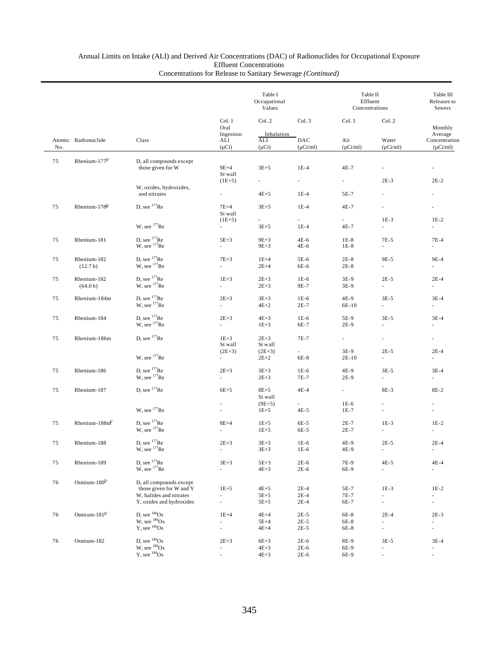|     |                           |                                                    |                                                      | Table I<br>Occupational<br>Values |                             | Table II<br>Effluent<br>Concentrations |                                                      | Table III<br>Releases to<br>Sewers                   |
|-----|---------------------------|----------------------------------------------------|------------------------------------------------------|-----------------------------------|-----------------------------|----------------------------------------|------------------------------------------------------|------------------------------------------------------|
|     |                           |                                                    | Col. 1<br>Oral                                       | Col. 2                            | Col. 3                      | Col. 1                                 | Col. 2                                               | Monthly                                              |
| No. | Atomic Radionuclide       | Class                                              | Ingestion<br>ALI<br>$(\mu Ci)$                       | Inhalation<br>ALI<br>$(\mu Ci)$   | DAC<br>$(\mu$ Ci/ml)        | Air<br>$(\mu$ Ci/ml)                   | Water<br>$(\mu$ Ci/ml)                               | Average<br>Concentration<br>$(\mu$ Ci/ml)            |
| 75  | Rhenium-177 <sup>b/</sup> | D, all compounds except                            |                                                      |                                   |                             |                                        |                                                      |                                                      |
|     |                           | those given for W                                  | $9E+4$<br>St wall                                    | $3E + 5$                          | $1E-4$                      | $4E-7$                                 | $\overline{\phantom{a}}$                             |                                                      |
|     |                           | W, oxides, hydroxides,                             | $(1E+5)$                                             | $\overline{\phantom{a}}$          | $\mathcal{L}_{\mathcal{A}}$ | $\sim$                                 | $2E-3$                                               | $2E-2$                                               |
|     |                           | and nitrates                                       | $\overline{\phantom{a}}$                             | $4E+5$                            | $1E-4$                      | 5E-7                                   | $\omega$                                             |                                                      |
| 75  | Rhenium-178 <sup>b/</sup> | D, see $177$ Re                                    | $7E+4$<br>St wall                                    | $3E+5$                            | $1E-4$                      | 4E-7                                   | ÷,                                                   |                                                      |
|     |                           | W, see $177$ Re                                    | $(1E+5)$                                             | $\overline{\phantom{a}}$          | ÷.                          | ä,                                     | $1E-3$                                               | $1E-2$                                               |
|     |                           |                                                    | $\overline{\phantom{a}}$                             | $3E + 5$                          | $1E-4$                      | 4E-7                                   | $\omega$                                             | ä,                                                   |
| 75  | Rhenium-181               | D, see $177$ Re<br>$W$ , see $177$ Re              | $5E+3$<br>$\mathcal{L}_{\mathcal{A}}$                | $9E+3$<br>$9E + 3$                | $4E-6$<br>4E-6              | $1E-8$<br>$1E-8$                       | $7E-5$<br>$\sim$                                     | $7E-4$<br>$\sim$                                     |
| 75  | Rhenium-182<br>(12.7 h)   | D, see $177$ Re<br>W, see <sup>177</sup> Re        | $7E+3$<br>$\mathcal{L}_{\mathcal{A}}$                | $1E+4$<br>$2E+4$                  | 5E-6<br>6E-6                | $2E-8$<br>$2E-8$                       | 9E-5<br>$\sim$                                       | 9E-4<br>$\sim$                                       |
| 75  | Rhenium-182               | D, see $177$ Re                                    | $1E+3$                                               | $2E + 3$                          | $1E-6$                      | 3E-9                                   | $2E-5$                                               | $2E-4$                                               |
|     | (64.0 h)                  | W, see <sup>177</sup> Re                           | $\mathcal{L}_{\mathcal{A}}$                          | $2E + 3$                          | 9E-7                        | 3E-9                                   | $\sim$                                               | $\sim$                                               |
| 75  | Rhenium-184m              | D, see $177$ Re<br>W, see <sup>177</sup> Re        | $2E+3$<br>ä,                                         | $3E + 3$<br>$4E+2$                | $1E-6$<br>$2E-7$            | 4E-9<br>6E-10                          | $3E-5$<br>$\sim$                                     | $3E-4$<br>$\mathcal{L}_{\mathcal{A}}$                |
| 75  | Rhenium-184               | D, see $177$ Re                                    | $2E+3$                                               | $4E + 3$                          | $1E-6$                      | 5E-9                                   | $3E-5$                                               | $3E-4$                                               |
|     |                           | W, see $177$ Re                                    | $\mathcal{L}_{\mathcal{A}}$                          | $1E + 3$                          | 6E-7                        | $2E-9$                                 | ÷.                                                   | $\overline{\phantom{a}}$                             |
| 75  | Rhenium-186m              | D. see $177$ Re                                    | $1E + 3$<br>St wall                                  | $2E + 3$<br>St wall               | 7E-7                        | $\omega_{\rm{eff}}$                    | $\overline{\phantom{a}}$                             | $\overline{\phantom{a}}$                             |
|     |                           | W, see $177$ Re                                    | $(2E+3)$<br>ä,                                       | $(2E+3)$                          | $\overline{\phantom{0}}$    | 3E-9                                   | $2E-5$<br>$\mathcal{L}^{\pm}$                        | $2E-4$<br>$\omega$                                   |
|     |                           |                                                    |                                                      | $2E+2$                            | 6E-8                        | $2E-10$                                |                                                      |                                                      |
| 75  | Rhenium-186               | D, see <sup>177</sup> Re<br>W, see $177$ Re        | $2E+3$<br>$\mathcal{L}_{\mathcal{A}}$                | $3E+3$<br>$2E + 3$                | $1E-6$<br>7E-7              | 4E-9<br>$2E-9$                         | $3E-5$<br>$\mathcal{L}_{\mathcal{A}}$                | $3E-4$<br>$\overline{\phantom{a}}$                   |
| 75  | Rhenium-187               | D, see $177$ Re                                    | $6E+5$                                               | $8E+5$                            | $4E-4$                      | $\sim$                                 | 8E-3                                                 | 8E-2                                                 |
|     |                           |                                                    | $\overline{\phantom{a}}$                             | St wall<br>$(9E+5)$               | $\sim$                      | $1E-6$                                 | $\overline{\phantom{a}}$                             |                                                      |
|     |                           | W, see $177$ Re                                    | ٠                                                    | $1E + 5$                          | $4E-5$                      | $1E-7$                                 | $\overline{\phantom{a}}$                             |                                                      |
| 75  | Rhenium- $188mb$          | D, see $177$ Re                                    | $8E+4$                                               | $1E + 5$                          | 6E-5                        | $2E-7$                                 | $1E-3$                                               | $1E-2$                                               |
|     |                           | W, see $177$ Re                                    |                                                      | $1E + 5$                          | 6E-5                        | $2E-7$                                 | ×.                                                   |                                                      |
| 75  | Rhenium-188               | D, see <sup>177</sup> Re                           | $2E + 3$                                             | $3E+3$                            | 1E-6                        | 4E-9                                   | $2E-5$                                               | $2E-4$                                               |
|     |                           | W, see <sup>177</sup> Re                           | $\overline{\phantom{a}}$                             | $3E + 3$                          | $1E-6$                      | 4E-9                                   | $\overline{\phantom{a}}$                             | $\overline{\phantom{a}}$                             |
| 75  | Rhenium-189               | D, see $^{177}$ Re<br>W, see $^{177}$ Re           | $3E + 3$<br>$\sim$                                   | $5E + 3$<br>$4E+3$                | $2E-6$<br>$2E-6$            | 7E-9<br>6E-9                           | $4E-5$<br>$\overline{\phantom{a}}$                   | $4E-4$<br>$\sim$                                     |
| 76  | Osmium- $180^{b/}$        | D, all compounds except                            |                                                      |                                   |                             |                                        |                                                      |                                                      |
|     |                           | those given for W and Y<br>W, halides and nitrates | $1E + 5$                                             | $4E+5$                            | $2E-4$                      | 5E-7                                   | $1E-3$                                               | $1E-2$                                               |
|     |                           | Y, oxides and hydroxides                           | $\overline{\phantom{a}}$<br>$\overline{\phantom{a}}$ | $5E+5$<br>$5E+5$                  | $2E-4$<br>$2E-4$            | 7E-7<br>6E-7                           | $\overline{\phantom{a}}$<br>$\overline{\phantom{a}}$ | $\overline{\phantom{a}}$<br>$\overline{\phantom{a}}$ |
| 76  | Osmi um-181 $^{b/}$       |                                                    | $1E+4$                                               | $4E+4$                            | $2E-5$                      | 6E-8                                   | $2E-4$                                               | $2E-3$                                               |
|     |                           | D, see ${}^{180}Os$<br>W, see ${}^{180}Os$         | $\omega$                                             | $5E+4$                            | $2E-5$                      | 6E-8                                   | $\overline{\phantom{a}}$                             | $\overline{\phantom{a}}$                             |
|     |                           | $Y$ , see $180$ Os                                 | ä,                                                   | $4E+4$                            | $2E-5$                      | 6E-8                                   | ä,                                                   | $\overline{\phantom{a}}$                             |
| 76  | Osmium-182                | D, see ${}^{180}Os$                                | $2E+3$                                               | $6E+3$                            | $2E-6$                      | 8E-9                                   | $3E-5$                                               | $3E-4$                                               |
|     |                           | $W$ , see $180$ Os<br>$Y$ , see $180$ Os           |                                                      | $4E + 3$                          | $2E-6$                      | 6E-9                                   |                                                      | $\overline{\phantom{a}}$                             |
|     |                           |                                                    |                                                      | $4E + 3$                          | $2E-6$                      | 6E-9                                   | ÷,                                                   | $\overline{\phantom{a}}$                             |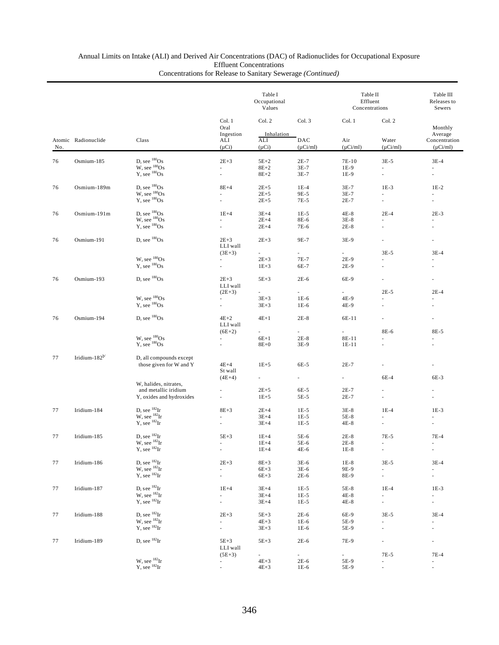## Annual Limits on Intake (ALI) and Derived Air Concentrations (DAC) of Radionuclides for Occupational Exposure Effluent Concentrations

|     |                     | Class                                                |                                                  | Table I<br>Occupational<br>Values         |                                  | Table II<br>Effluent<br>Concentrations |                                  | Table III<br>Releases to<br>Sewers<br>Monthly<br>Average<br>Concentration<br>$(\mu Ci/ml)$ |
|-----|---------------------|------------------------------------------------------|--------------------------------------------------|-------------------------------------------|----------------------------------|----------------------------------------|----------------------------------|--------------------------------------------------------------------------------------------|
| No. | Atomic Radionuclide |                                                      | Col. 1<br>Oral<br>Ingestion<br>ALI<br>$(\mu Ci)$ | Col. 2<br>Inhalation<br>ALI<br>$(\mu Ci)$ | Col. 3<br>DAC<br>$(\mu$ Ci/ml)   | Col. 1<br>Air<br>$(\mu$ Ci/ml)         | Col. 2<br>Water<br>$(\mu$ Ci/ml) |                                                                                            |
| 76  | Osmium-185          | D, see ${}^{180}Os$                                  | $2E+3$                                           | $5E+2$                                    | $2E-7$                           | 7E-10                                  | $3E-5$                           | $3E-4$                                                                                     |
|     |                     | $W$ , see $^{180}Os$<br>Y, see $^{180}Os$            | ä,<br>ä,                                         | $8E+2$<br>$8E+2$                          | $3E-7$<br>$3E-7$                 | $1E-9$<br>1E-9                         | ×.<br>$\overline{\phantom{a}}$   | $\overline{\phantom{a}}$<br>$\overline{\phantom{a}}$                                       |
| 76  | Osmium-189m         | D, see $^{180}Os$<br>W, see $^{180}Os$               | $8E+4$                                           | $2E + 5$                                  | $1E-4$                           | $3E-7$                                 | $1E-3$                           | $1E-2$                                                                                     |
|     |                     | $Y$ , see $^{180}Os$                                 |                                                  | $2E+5$<br>$2E + 5$                        | 9E-5<br>7E-5                     | $3E-7$<br>$2E-7$                       | ä,                               | $\overline{\phantom{a}}$<br>ä,                                                             |
| 76  | Osmium-191m         | D, see $^{180}Os$<br>W, see $^{180}Os$               | $1E+4$                                           | $3E+4$                                    | $1E-5$                           | $4E-8$                                 | $2E-4$                           | $2E-3$                                                                                     |
|     |                     | $Y$ , see $180$ Os                                   |                                                  | $2E+4$                                    | 8E-6                             | $3E-8$                                 |                                  | ×.                                                                                         |
|     |                     |                                                      |                                                  | $2E+4$                                    | 7E-6                             | $2E-8$                                 |                                  | ٠                                                                                          |
| 76  | Osmium-191          | D, see ${}^{180}Os$                                  | $2E+3$<br>LLI wall                               | $2E + 3$                                  | 9E-7                             | 3E-9                                   | ä,                               | $\overline{\phantom{a}}$                                                                   |
|     |                     | W, see ${}^{180}Os$                                  | $(3E+3)$<br>ä,                                   | ۰.<br>$2E + 3$                            | $\overline{\phantom{a}}$<br>7E-7 | $\overline{\phantom{a}}$<br>$2E-9$     | $3E-5$                           | $3E-4$                                                                                     |
|     |                     | $Y$ , see $^{180}Os$                                 |                                                  | $1E + 3$                                  | 6E-7                             | $2E-9$                                 |                                  |                                                                                            |
| 76  | Osmium-193          | D, see ${}^{180}Os$                                  | $2E + 3$                                         | $5E+3$                                    | $2E-6$                           | 6E-9                                   | ä,                               | $\overline{\phantom{a}}$                                                                   |
|     |                     |                                                      | LLI wall<br>$(2E+3)$                             | ۰.                                        | $\overline{\phantom{a}}$         |                                        | $2E-5$                           | $2E-4$                                                                                     |
|     |                     | W, see ${}^{180}Os$                                  | ×.                                               | $3E+3$                                    | $1E-6$                           | 4E-9                                   |                                  |                                                                                            |
|     |                     | $Y$ , see $^{180}Os$                                 |                                                  | $3E + 3$                                  | $1E-6$                           | 4E-9                                   |                                  |                                                                                            |
| 76  | Osmium-194          | D, see ${}^{180}Os$                                  | $4E+2$                                           | $4E+1$                                    | $2E-8$                           | 6E-11                                  | ä,                               | $\overline{\phantom{a}}$                                                                   |
|     |                     |                                                      | LLI wall<br>$(6E+2)$                             | ä,                                        | a.                               | ÷.                                     | 8E-6                             | 8E-5                                                                                       |
|     |                     | W, see ${}^{180}Os$<br>Y, see ${}^{180}Os$           | $\overline{\phantom{a}}$                         | $6E+1$                                    | $2E-8$                           | 8E-11                                  |                                  |                                                                                            |
|     |                     |                                                      | ä,                                               | $8E+0$                                    | 3E-9                             | $1E-11$                                |                                  |                                                                                            |
| 77  | Iridium-182 $b$     | D, all compounds except<br>those given for W and Y   | $4E+4$<br>St wall                                | $1E + 5$                                  | 6E-5                             | $2E-7$                                 | ÷,                               | ٠                                                                                          |
|     |                     |                                                      | $(4E+4)$                                         | $\sim$                                    | $\sim$                           | $\sim$                                 | 6E-4                             | 6E-3                                                                                       |
|     |                     | W, halides, nitrates,<br>and metallic iridium        |                                                  | $2E + 5$                                  | 6E-5                             | $2E-7$                                 |                                  |                                                                                            |
|     |                     | Y, oxides and hydroxides                             | $\overline{\phantom{a}}$                         | $1E + 5$                                  | $5E-5$                           | $2E-7$                                 | $\overline{\phantom{a}}$         | $\overline{\phantom{a}}$                                                                   |
| 77  | Iridium-184         |                                                      | $8E+3$                                           | $2E+4$                                    | $1E-5$                           | $3E-8$                                 | $1E-4$                           | $1E-3$                                                                                     |
|     |                     | D, see $^{182}$ Ir<br>W, see $^{182}$ Ir             |                                                  | $3E+4$                                    | $1E-5$                           | 5E-8                                   |                                  |                                                                                            |
|     |                     | $Y$ , see $^{182}$ Ir                                |                                                  | $3E+4$                                    | $1E-5$                           | $4E-8$                                 | $\overline{\phantom{m}}$         | a.                                                                                         |
| 77  | Iridium-185         | $D,$ see $^{182}Ir$                                  | $5E+3$                                           | $1E+4$                                    | 5E-6                             | $2E-8$                                 | 7E-5                             | $7E-4$                                                                                     |
|     |                     | $W$ , see $^{182}Ir$<br>$Y$ , see $^{182}Ir$         |                                                  | $1E+4$<br>$1E+4$                          | 5E-6<br>4E-6                     | $2E-8$<br>$1E-8$                       |                                  | $\mathcal{L}_{\mathcal{A}}$                                                                |
| 77  | Iridium-186         |                                                      | $2E+3$                                           | $8E+3$                                    | $3E-6$                           | $1E-8$                                 | $3E-5$                           | $3E-4$                                                                                     |
|     |                     | D, see $^{182}$ Ir<br>W, see $^{182}$ Ir             | $\overline{\phantom{a}}$                         | $6E+3$                                    | $3E-6$                           | 9E-9                                   | a.                               | $\sim$                                                                                     |
|     |                     | $Y$ , see ${}^{182}Ir$                               | $\sim$ 10 $\pm$                                  | $6E+3$                                    | $2E-6$                           | 8E-9                                   | $\overline{\phantom{a}}$         | $\sim$                                                                                     |
| 77  | Iridium-187         | D, see ${}^{182}$ Ir                                 | $1E+4$                                           | $3E+4$                                    | $1E-5$                           | 5E-8                                   | $1E-4$                           | $1E-3$                                                                                     |
|     |                     | $W$ , see $^{182}Ir$<br>$Y$ , see ${}^{182}Ir$       | ÷.<br>$\sim$ 10 $\pm$                            | $3E+4$<br>$3E+4$                          | $1E-5$<br>$1E-5$                 | $4E-8$<br>$4E-8$                       | ä,<br>$\overline{\phantom{a}}$   | $\sim$<br>$\omega_{\rm{max}}$                                                              |
|     |                     | D, see ${}^{182}$ Ir                                 |                                                  |                                           |                                  |                                        |                                  |                                                                                            |
| 77  | Iridium-188         | $W$ , see $^{182}$ Ir                                | $2E + 3$                                         | $5E+3$<br>$4E+3$                          | $2E-6$<br>$1E-6$                 | 6E-9<br>5E-9                           | $3E-5$                           | $3E-4$<br>$\sim$                                                                           |
|     |                     | $Y$ , see ${}^{182}Ir$                               | $\sim$                                           | $3E + 3$                                  | $1E-6$                           | 5E-9                                   |                                  | $\overline{\phantom{a}}$                                                                   |
| 77  | Iridium-189         | D, see ${}^{182}$ Ir                                 | $5E+3$                                           | $5E+3$                                    | $2E-6$                           | 7E-9                                   |                                  | $\overline{\phantom{a}}$                                                                   |
|     |                     |                                                      | LLI wall                                         |                                           |                                  |                                        |                                  |                                                                                            |
|     |                     | W, see $^{182}_{182}$ Ir<br>Y, see $^{182}_{182}$ Ir | $(5E+3)$<br>$\sim$                               | $\sim 10^{-11}$<br>$4E + 3$               | $\sim$<br>$2E-6$                 | $\sim$<br>5E-9                         | 7E-5<br>ä,                       | 7E-4<br>$\overline{\phantom{a}}$                                                           |
|     |                     |                                                      |                                                  | $4E+3$                                    | $1E-6$                           | 5E-9                                   |                                  | $\overline{\phantom{a}}$                                                                   |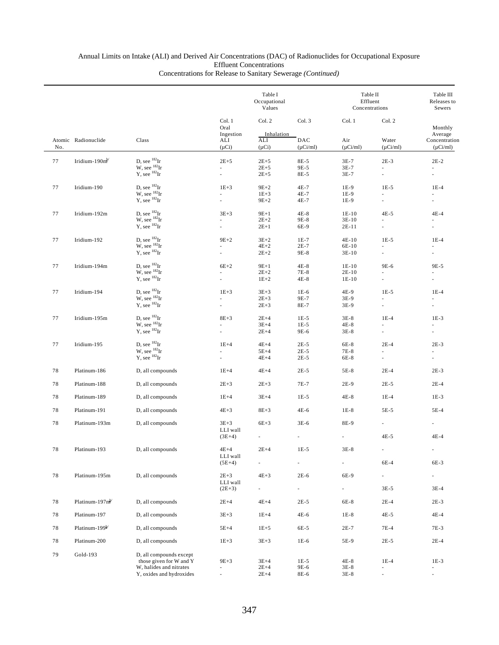|        |                            |                                                          | Table I<br>Occupational<br>Values |                                    | Table II<br>Effluent<br>Concentrations | Table III<br>Releases to<br>Sewers |                                    |                                           |
|--------|----------------------------|----------------------------------------------------------|-----------------------------------|------------------------------------|----------------------------------------|------------------------------------|------------------------------------|-------------------------------------------|
|        |                            |                                                          | Col. 1<br>Oral                    | Col. 2                             | Col. 3                                 | Col. 1                             | Col. 2                             | Monthly                                   |
| No.    | Atomic Radionuclide        | Class                                                    | Ingestion<br>ALI<br>$(\mu Ci)$    | Inhalation<br>ALI<br>$(\mu Ci)$    | DAC<br>$(\mu$ Ci/ml)                   | Air<br>$(\mu$ Ci/ml)               | Water<br>$(\mu Ci/ml)$             | Average<br>Concentration<br>$(\mu Ci/ml)$ |
| 77     | Iridium-190 $mb$           | D, see ${}^{182}$ Ir                                     | $2E+5$                            | $2E+5$                             | 8E-5                                   | $3E-7$                             | $2E-3$                             | $2E-2$                                    |
|        |                            | W, see ${}^{182}$ Ir<br>$\overline{Y}$ , see $^{182}$ Ir |                                   | $2E+5$<br>$2E + 5$                 | 9E-5<br>8E-5                           | $3E-7$<br>$3E-7$                   | ä,<br>÷,                           |                                           |
| 77     | Iridium-190                | D, see ${}^{182}$ Ir<br>$W$ , see $^{182}Ir$             | $1E+3$                            | $9E+2$<br>$1E+3$                   | $4E-7$<br>$4E-7$                       | $1E-9$<br>$1E-9$                   | $1E-5$                             | $1E-4$<br>L.                              |
|        |                            | $Y$ , see ${}^{182}Ir$                                   |                                   | $9E + 2$                           | 4E-7                                   | 1E-9                               | ٠                                  |                                           |
| 77     | Iridium-192m               | D, see $^{182}$ Ir<br>W, see $^{182}$ Ir                 | $3E+3$<br>$\sim$                  | $9E+1$<br>$2E+2$                   | $4E-8$<br>9E-8                         | $1E-10$<br>$3E-10$                 | $4E-5$<br>÷                        | $4E-4$<br>$\sim$                          |
|        |                            | $Y$ , see $^{182}Ir$                                     | ÷.                                | $2E+1$                             | 6E-9                                   | $2E-11$                            | $\overline{\phantom{a}}$           | ä,                                        |
| 77     | Iridium-192                | D, see ${}^{182}$ Ir<br>$W$ , see $^{182}Ir$             | $9E+2$                            | $3E+2$<br>$4E+2$                   | $1E-7$<br>$2E-7$                       | $4E-10$<br>6E-10                   | $1E-5$<br>$\overline{\phantom{a}}$ | $1E-4$                                    |
|        |                            | $Y$ , see ${}^{182}Ir$                                   |                                   | $2E + 2$                           | 9E-8                                   | $3E-10$                            | ä,                                 |                                           |
| 77     | Iridium-194m               | D, see ${}^{182}$ Ir<br>$W$ , see $^{182}$ Ir            | $6E+2$                            | $9E+1$<br>$2E+2$                   | $4E-8$<br>7E-8                         | $1E-10$<br>$2E-10$                 | 9E-6                               | 9E-5                                      |
|        |                            | $Y$ , see ${}^{182}Ir$                                   |                                   | $1E+2$                             | $4E-8$                                 | $1E-10$                            | ä,                                 |                                           |
| 77     | Iridium-194                | D, see ${}^{182}$ Ir<br>W, see ${}^{182}$ Ir             | $1E+3$                            | $3E + 3$<br>$2E+3$                 | $1E-6$<br>9E-7                         | 4E-9<br>$3E-9$                     | $1E-5$<br>÷.                       | $1E-4$<br>ä,                              |
|        |                            | $Y$ , see ${}^{182}Ir$                                   | $\overline{\phantom{a}}$          | $2E + 3$                           | 8E-7                                   | 3E-9                               | $\overline{\phantom{a}}$           | $\overline{\phantom{a}}$                  |
| 77     | Iridium-195m               | D, see $^{182}$ Ir<br>W, see ${}^{182}$ Ir               | $8E+3$                            | $2E+4$<br>$3E+4$                   | $1E-5$<br>$1E-5$                       | $3E-8$<br>$4E-8$                   | $1E-4$<br>ä,                       | $1E-3$                                    |
|        |                            | $Y$ , see ${}^{182}Ir$                                   |                                   | $2E+4$                             | 9E-6                                   | $3E-8$                             | ä,                                 |                                           |
| 77     | Iridium-195                | D, see ${}^{182}Ir$<br>W, see ${}^{182}$ Ir              | $1E+4$                            | $4E+4$<br>$5E+4$                   | $2E-5$<br>$2E-5$                       | 6E-8<br>$7E-8$                     | $2E-4$                             | $2E-3$                                    |
|        |                            | $Y$ , see $^{182}Ir$                                     |                                   | $4E+4$                             | $2E-5$                                 | 6E-8                               | ÷.                                 |                                           |
| 78     | Platinum-186               | D, all compounds                                         | $1E+4$                            | $4E+4$                             | $2E-5$                                 | $5E-8$                             | $2E-4$                             | $2E-3$                                    |
| 78     | Platinum-188               | D, all compounds                                         | $2E + 3$                          | $2E + 3$                           | 7E-7                                   | $2E-9$                             | $2E-5$                             | $2E-4$                                    |
| 78     | Platinum-189               | D, all compounds                                         | $1E+4$                            | $3E+4$                             | $1E-5$                                 | 4E-8                               | $1E-4$                             | $1E-3$                                    |
| 78     | Platinum-191               | D, all compounds                                         | $4E+3$                            | $8E+3$                             | 4E-6                                   | $1E-8$                             | 5E-5                               | $5E-4$                                    |
| 78     | Platinum-193m              | D, all compounds                                         | $3E+3$<br>LLI wall                | $6E+3$                             | $3E-6$                                 | 8E-9                               | a.                                 |                                           |
|        |                            |                                                          | $(3E+4)$                          |                                    |                                        |                                    | $4E-5$                             | $4E-4$                                    |
| 78     | Platinum-193               | D, all compounds                                         | $4E+4$<br>LLI wall                | $2E+4$                             | $1E-5$                                 | $3\mathrm{E-}8$                    |                                    |                                           |
|        |                            |                                                          | $(5E+4)$                          | $\overline{\phantom{a}}$           |                                        | L.                                 | 6E-4                               | 6E-3                                      |
| $7\,8$ | Platinum-195m              | D, all compounds                                         | $2E+3$<br>LLI wall<br>$(2E+3)$    | $4E+3$<br>$\overline{\phantom{a}}$ | $2E-6$                                 | 6E-9                               | ÷.<br>$3E-5$                       | $\overline{\phantom{a}}$<br>$3E-4$        |
| 78     | Platinum-197 $n^{b'}$      | D, all compounds                                         | $2E+4$                            | $4E+4$                             | $2E-5$                                 | 6E-8                               | $2E-4$                             | $2E-3$                                    |
| 78     | Platinum-197               | D, all compounds                                         | $3E+3$                            | $1E+4$                             | 4E-6                                   | $1E-8$                             | $4E-5$                             | $4E-4$                                    |
| 78     | Platinum-199 <sup>b/</sup> | D, all compounds                                         | $5E+4$                            | $1E + 5$                           | 6E-5                                   | $2E-7$                             | 7E-4                               | 7E-3                                      |
| 78     | Platinum-200               | D, all compounds                                         | $1E + 3$                          | $3E + 3$                           | $1E-6$                                 | 5E-9                               | $2E-5$                             | $2E-4$                                    |
| 79     | Gold-193                   | D, all compounds except                                  |                                   |                                    |                                        |                                    |                                    |                                           |
|        |                            | those given for W and Y<br>W, halides and nitrates       | $9E+3$                            | $3E+4$<br>$2E+4$                   | $1E-5$<br>9E-6                         | $4E-8$<br>$3E-8$                   | $1E-4$<br>ä,                       | $1E-3$<br>ä,                              |
|        |                            | Y, oxides and hydroxides                                 | $\overline{\phantom{a}}$          | $2E+4$                             | 8E-6                                   | $3E-8$                             | $\overline{\phantom{a}}$           | $\overline{\phantom{a}}$                  |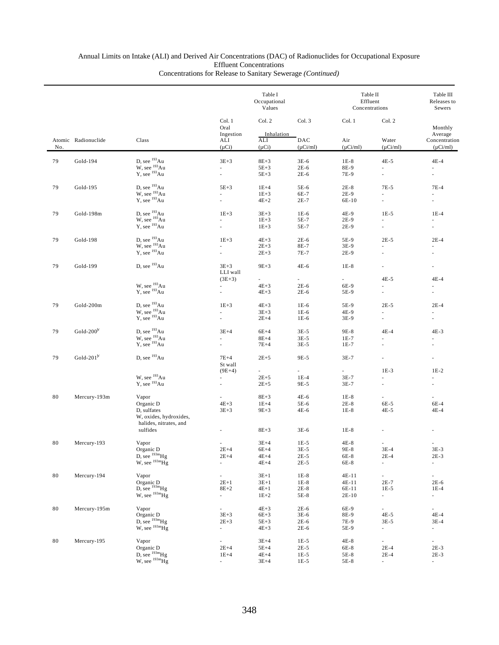|        |                           |                                                  |                                      | Table I<br>Occupational<br>Values |                      | Table II<br>Effluent<br>Concentrations |                                    | Table III<br>Releases to<br>Sewers<br>Monthly<br>Average |
|--------|---------------------------|--------------------------------------------------|--------------------------------------|-----------------------------------|----------------------|----------------------------------------|------------------------------------|----------------------------------------------------------|
|        |                           |                                                  | Col. 1<br>Oral<br>Ingestion          | Col. 2<br>Inhalation              | Col. 3               | Col. 1                                 | Col. 2                             |                                                          |
| No.    | Atomic Radionuclide       | Class                                            | ALI<br>$(\mu Ci)$                    | ALI<br>$(\mu Ci)$                 | DAC<br>$(\mu$ Ci/ml) | Air<br>$(\mu$ Ci/ml)                   | Water<br>$(\mu$ Ci/ml)             | Concentration<br>$(\mu$ Ci/ml)                           |
| 79     | Gold-194                  | D, see <sup>193</sup> Au                         | $3E + 3$                             | $8E+3$                            | $3E-6$               | $1E-8$                                 | $4E-5$                             | $4E-4$                                                   |
|        |                           | W, see $^{193}$ Au<br>Y, see $^{193}$ Au         | ä,<br>ä,                             | $5E+3$<br>$5E+3$                  | $2E-6$<br>$2E-6$     | 8E-9<br>7E-9                           | $\overline{\phantom{a}}$           | $\overline{\phantom{a}}$<br>$\overline{\phantom{a}}$     |
| 79     | Gold-195                  | D, see <sup>193</sup> Au                         | $5E+3$                               | $1E+4$                            | 5E-6                 | $2E-8$                                 | $7E-5$                             | $7E-4$                                                   |
|        |                           | W, see $^{193}$ Au<br>Y, see $^{193}$ Au         |                                      | $1E+3$                            | 6E-7                 | $2E-9$                                 |                                    |                                                          |
|        |                           |                                                  | ÷.                                   | $4E+2$                            | $2E-7$               | 6E-10                                  | ä,                                 | ÷.                                                       |
| 79     | Gold-198m                 | D, see $^{193}$ Au<br>W, see $^{193}$ Au         | $1E + 3$                             | $3E+3$                            | $1E-6$               | 4E-9                                   | $1E-5$                             | $1E-4$                                                   |
|        |                           |                                                  | $\overline{\phantom{a}}$             | $1E + 3$                          | 5E-7                 | $2E-9$                                 | $\sim$                             | $\sim$                                                   |
|        |                           | Y, see <sup>193</sup> Au                         | ä,                                   | $1E+3$                            | 5E-7                 | $2E-9$                                 | ä,                                 |                                                          |
| 79     | Gold-198                  | D. see $^{193}Au$                                | $1E+3$                               | $4E+3$                            | $2E-6$               | 5E-9                                   | $2E-5$                             | $2E-4$                                                   |
|        |                           | $W$ , see $193$ Au<br>$Y$ , see $^{193}Au$       | ä,<br>ä,                             | $2E + 3$                          | 8E-7                 | 3E-9                                   |                                    | ÷                                                        |
|        |                           |                                                  |                                      | $2E + 3$                          | 7E-7                 | $2E-9$                                 | ٠                                  |                                                          |
| 79     | Gold-199                  | D, see <sup>193</sup> Au                         | $3E+3$<br>LLI wall                   | $9E+3$                            | 4E-6                 | $1E-8$                                 |                                    |                                                          |
|        |                           |                                                  | $(3E+3)$                             | $\sim 10^{-11}$                   | $\sim$               | $\sim 10^{-11}$                        | $4E-5$                             | $4E-4$                                                   |
|        |                           | W, see <sup>193</sup> Au<br>$Y$ , see $^{193}Au$ | $\overline{\phantom{a}}$<br>÷,       | $4E+3$<br>$4E + 3$                | $2E-6$<br>$2E-6$     | 6E-9<br>5E-9                           | ×.<br>$\blacksquare$               | ÷.<br>$\overline{\phantom{a}}$                           |
|        |                           |                                                  |                                      |                                   |                      |                                        |                                    |                                                          |
| 79     | Gold-200m                 | D, see <sup>193</sup> Au                         | $1E+3$                               | $4E+3$                            | $1E-6$               | 5E-9                                   | $2E-5$                             | $2E-4$                                                   |
|        |                           | W, see $^{193}$ Au<br>Y, see $^{193}$ Au         | ÷.                                   | $3E+3$<br>$2E+4$                  | $1E-6$<br>$1E-6$     | 4E-9<br>3E-9                           | $\mathbf{r}$                       | ä,                                                       |
|        |                           | D, see <sup>193</sup> Au                         |                                      |                                   |                      |                                        |                                    |                                                          |
| 79     | Gold- $200^{\frac{1}{2}}$ |                                                  | $3E+4$<br>÷.                         | $6E+4$<br>$8E+4$                  | $3E-5$<br>$3E-5$     | 9E-8<br>$1E-7$                         | $4E-4$<br>$\mathcal{L}$            | $4E-3$<br>$\mathcal{L}$                                  |
|        |                           | W, see $^{193}$ Au<br>Y, see $^{193}$ Au         | ÷.                                   | $7E+4$                            | $3E-5$               | $1E-7$                                 |                                    |                                                          |
| 79     | Gold-201 $b$              | D, see <sup>193</sup> Au                         | $7E+4$                               | $2E+5$                            | 9E-5                 | $3E-7$                                 | ä,                                 | $\omega$                                                 |
|        |                           |                                                  | St wall                              |                                   |                      |                                        |                                    |                                                          |
|        |                           | W, see <sup>193</sup> Au                         | $(9E+4)$<br>u.                       | ÷.<br>$2E + 5$                    | ÷.<br>$1E-4$         | $\sim 10^{-11}$<br>$3E-7$              | $1E-3$<br>÷.                       | $1E-2$<br>÷.                                             |
|        |                           | $Y$ , see $^{193}Au$                             | ä,                                   | $2E + 5$                          | 9E-5                 | $3E-7$                                 |                                    |                                                          |
|        |                           |                                                  |                                      |                                   |                      |                                        |                                    |                                                          |
| 80     | Mercury-193m              | Vapor<br>Organic D                               | ä,<br>$4E+3$                         | $8E+3$<br>$1E+4$                  | $4E-6$<br>5E-6       | $1E-8$<br>$2E-8$                       | $\omega$<br>6E-5                   | $\omega$<br>$6E-4$                                       |
|        |                           | D, sulfates                                      | $3E+3$                               | $9E+3$                            | 4E-6                 | $1E-8$                                 | $4E-5$                             | $4E-4$                                                   |
|        |                           | W, oxides, hydroxides,<br>halides, nitrates, and |                                      |                                   |                      |                                        |                                    |                                                          |
|        |                           | sulfides                                         |                                      | $8E+3$                            | $3E-6$               | $1E-8$                                 |                                    |                                                          |
| 80     | Mercury-193               | Vapor                                            |                                      | $3E+4$                            | $1E-5$               | $4E-8$                                 |                                    |                                                          |
|        |                           | Organic D                                        | $2E + 4$                             | $6E+4$                            | $3E-5$               | 9E-8                                   | $3E-4$                             | $3E-3$                                                   |
|        |                           | $D$ , see $^{193m}Hg$<br>W, see $^{193m}$ Hg     | $2E+4$<br>$\overline{\phantom{a}}$   | $4E+4$<br>$4E+4$                  | $2E-5$<br>$2E-5$     | 6E-8<br>6E-8                           | $2E-4$<br>$\overline{\phantom{a}}$ | $2E-3$<br>$\overline{\phantom{a}}$                       |
|        |                           |                                                  |                                      |                                   |                      |                                        |                                    |                                                          |
| $80\,$ | Mercury-194               | Vapor                                            | $\overline{\phantom{a}}$             | $3E+1$                            | $1E-8$               | 4E-11                                  | $\mathcal{L}_{\mathcal{A}}$        | $\overline{\phantom{a}}$                                 |
|        |                           | Organic D<br>D, see $^{193m}$ Hg                 | $2E+1$<br>$8E+2$                     | $3E+1$<br>$4E+1$                  | $1E-8$<br>$2E-8$     | 4E-11<br>6E-11                         | $2E-7$<br>$1E-5$                   | $2E-6$<br>$1E-4$                                         |
|        |                           | W, see $^{193m}$ Hg                              | ÷.                                   | $1E+2$                            | 5E-8                 | 2E-10                                  | $\mathcal{L}_{\mathcal{A}}$        | $\sim$                                                   |
| $80\,$ | Mercury-195m              | Vapor                                            | ÷.                                   | $4E + 3$                          | $2E-6$               | 6E-9                                   | $\sim$                             | $\sim$                                                   |
|        |                           | Organic D                                        | $3E + 3$                             | $6E+3$                            | 3E-6                 | 8E-9                                   | $4E-5$                             | $4E-4$                                                   |
|        |                           | D, see $^{193m}$ Hg<br>W, see $^{193m}$ Hg       | $2E + 3$<br>$\overline{\phantom{a}}$ | $5E+3$<br>$4E + 3$                | $2E-6$<br>2E-6       | 7E-9<br>5E-9                           | $3E-5$<br>$\sim$                   | $3E-4$<br>$\mathcal{L}_{\mathcal{A}}$                    |
|        |                           |                                                  |                                      |                                   |                      |                                        |                                    |                                                          |
| $80\,$ | Mercury-195               | Vapor                                            | $\sim$                               | $3E+4$                            | $1E-5$               | 4E-8                                   | $\sim$                             | $\mathcal{L}_{\mathcal{A}}$                              |
|        |                           | Organic D<br>$D$ , see $^{193m}Hg$               | $2E+4$<br>$1E+4$                     | $5E+4$<br>$4E+4$                  | $2E-5$<br>$1E-5$     | 6E-8<br>5E-8                           | $2E-4$<br>$2E-4$                   | $2E-3$<br>$2E-3$                                         |
|        |                           | $W$ , see $^{193m}$ Hg                           | $\sim$                               | $3E+4$                            | $1E-5$               | 5E-8                                   | $\sim$                             | $\sim$                                                   |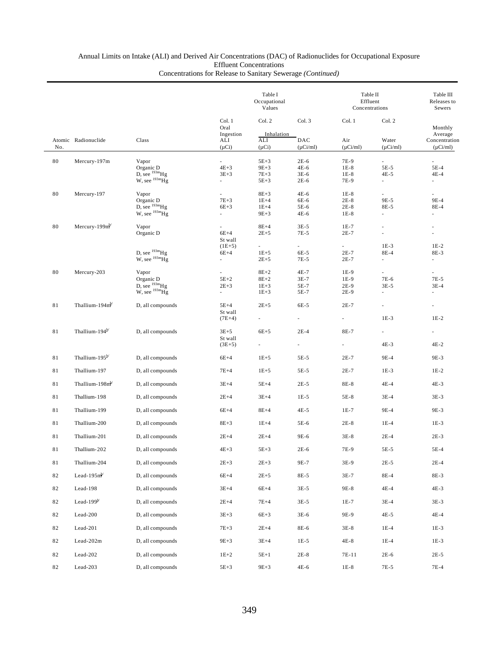# Annual Limits on Intake (ALI) and Derived Air Concentrations (DAC) of Radionuclides for Occupational Exposure Effluent Concentrations

|             |                            |                                               |                                      | Table I<br>Occupational<br>Values |                          |                          | Table II<br>Effluent<br>Concentrations |                                           |  |
|-------------|----------------------------|-----------------------------------------------|--------------------------------------|-----------------------------------|--------------------------|--------------------------|----------------------------------------|-------------------------------------------|--|
|             |                            |                                               | Col. 1<br>Oral                       | Col. 2                            | Col. 3                   | Col. 1                   | Col. 2                                 | Monthly                                   |  |
| No.         | Atomic Radionuclide        | Class                                         | Ingestion<br>ALI<br>$(\mu Ci)$       | Inhalation<br>ALI<br>$(\mu Ci)$   | DAC<br>$(\mu Ci/ml)$     | Air<br>$(\mu$ Ci/ml)     | Water<br>$(\mu$ Ci/ml)                 | Average<br>Concentration<br>$(\mu$ Ci/ml) |  |
| 80          | Mercury-197m               | Vapor                                         | ä,                                   | $5E+3$                            | $2E-6$                   | 7E-9                     |                                        | a.                                        |  |
|             |                            | Organic D                                     | $4E+3$                               | $9E+3$                            | 4E-6                     | $1E-8$                   | 5E-5                                   | 5E-4                                      |  |
|             |                            | D, see $^{193m}$ Hg<br>$W$ , see $^{193m}$ Hg | $3E + 3$<br>$\overline{\phantom{a}}$ | $7E + 3$<br>$5E+3$                | $3E-6$<br>$2E-6$         | $1E-8$<br>7E-9           | 4E-5<br>$\overline{\phantom{a}}$       | 4E-4<br>$\overline{\phantom{a}}$          |  |
| 80          | Mercury-197                | Vapor                                         | ä,                                   | $8E+3$                            | $4E-6$                   | $1E-8$                   | a.                                     | a.                                        |  |
|             |                            | Organic D<br>D, see $^{193m}$ Hg              | $7E + 3$                             | $1E+4$                            | 6E-6                     | $2E-8$                   | 9E-5                                   | 9E-4                                      |  |
|             |                            | W, see $^{193m}$ Hg                           | $6E+3$<br>ä,                         | $1E+4$<br>$9E+3$                  | 5E-6<br>4E-6             | $2E-8$<br>$1E-8$         | 8E-5<br>×.                             | 8E-4<br>×.                                |  |
| 80          | Mercury-199 $m^{b'}$       | Vapor                                         |                                      | $8E+4$                            | $3E-5$                   | $1E-7$                   |                                        |                                           |  |
|             |                            | Organic D                                     | $6E+4$<br>St wall                    | $2E + 5$                          | 7E-5                     | $2E-7$                   |                                        |                                           |  |
|             |                            | D, see $^{193m}$ Hg                           | $(1E+5)$                             |                                   | $\sim$                   | $\sim$                   | $1E-3$                                 | $1E-2$                                    |  |
|             |                            | W, see $^{193m}$ Hg                           | $6E+4$<br>a.                         | $1E + 5$<br>$2E + 5$              | 6E-5<br>7E-5             | $2E-7$<br>$2E-7$         | 8E-4<br>$\overline{\phantom{a}}$       | 8E-3<br>٠                                 |  |
| 80          | Mercury-203                | Vapor                                         | $\overline{\phantom{a}}$             | $8E+2$                            | 4E-7                     | 1E-9                     | $\overline{\phantom{a}}$               | $\overline{\phantom{a}}$                  |  |
|             |                            | Organic D                                     | $5E+2$                               | $8E+2$                            | $3E-7$                   | 1E-9                     | 7E-6                                   | 7E-5                                      |  |
|             |                            | D, see $^{193m}$ Hg<br>W, see $^{193m}$ Hg    | $2E+3$<br>$\sim$                     | $1E + 3$<br>$1E + 3$              | 5E-7<br>5E-7             | $2E-9$<br>$2E-9$         | $3E-5$                                 | $3E-4$<br>$\overline{\phantom{a}}$        |  |
| 81          | Thallium-194m              | D, all compounds                              | $5E+4$<br>St wall                    | $2E + 5$                          | 6E-5                     | $2E-7$                   | $\overline{\phantom{a}}$               | $\overline{\phantom{a}}$                  |  |
|             |                            |                                               | $(7E+4)$                             |                                   |                          |                          | $1E-3$                                 | $1E-2$                                    |  |
| 81          | Thallium-194 <sup>b/</sup> | D, all compounds                              | $3E+5$<br>St wall                    | $6E+5$                            | $2E-4$                   | 8E-7                     | $\overline{\phantom{a}}$               |                                           |  |
|             |                            |                                               | $(3E+5)$                             | $\sim$                            | $\overline{\phantom{a}}$ | $\overline{\phantom{a}}$ | 4E-3                                   | 4E-2                                      |  |
| 81          | Thallium-195 <sup>b/</sup> | D, all compounds                              | $6E+4$                               | $1E + 5$                          | 5E-5                     | $2E-7$                   | 9E-4                                   | 9E-3                                      |  |
| 81          | Thallium-197               | D, all compounds                              | $7E+4$                               | $1E + 5$                          | $5E-5$                   | $2E-7$                   | $1E-3$                                 | $1E-2$                                    |  |
| 81          | Thallium-198m              | D, all compounds                              | $3E+4$                               | $5E+4$                            | $2E-5$                   | 8E-8                     | 4E-4                                   | 4E-3                                      |  |
| 81          | Thallium-198               | D, all compounds                              | $2E+4$                               | $3E+4$                            | $1E-5$                   | 5E-8                     | $3E-4$                                 | $3E-3$                                    |  |
| 81          | Thallium-199               | D, all compounds                              | $6E+4$                               | $8E+4$                            | $4E-5$                   | $1E-7$                   | 9E-4                                   | 9E-3                                      |  |
| 81          | Thallium-200               | D, all compounds                              | $8E+3$                               | $1E+4$                            | 5E-6                     | $2E-8$                   | $1E-4$                                 | $1E-3$                                    |  |
| 81          | Thallium-201               | D, all compounds                              | $2E+4$                               | $2E+4$                            | 9E-6                     | $3E-8$                   | $2E-4$                                 | $2E-3$                                    |  |
| $8\sqrt{1}$ | Thallium-202               | D, all compounds                              | $4E+3$                               | $5E+3$                            | $2E-6$                   | 7E-9                     | $5E-5$                                 | 5E-4                                      |  |
| 81          | Thallium-204               | D, all compounds                              | $2E + 3$                             | $2E + 3$                          | 9E-7                     | 3E-9                     | $2E-5$                                 | $2E-4$                                    |  |
| 82          | Lead-195 $m^{b'}$          | D, all compounds                              | $6E+4$                               | $2E + 5$                          | 8E-5                     | $3E-7$                   | 8E-4                                   | 8E-3                                      |  |
| 82          | Lead-198                   | D, all compounds                              | $3E+4$                               | $6E+4$                            | $3E-5$                   | 9E-8                     | $4E-4$                                 | $4E-3$                                    |  |
| 82          | Lead-199 $b$               | D, all compounds                              | $2E+4$                               | $7E+4$                            | $3E-5$                   | $1E-7$                   | $3E-4$                                 | $3E-3$                                    |  |
| 82          | Lead-200                   | D, all compounds                              | $3E + 3$                             | $6E+3$                            | 3E-6                     | 9E-9                     | 4E-5                                   | 4E-4                                      |  |
| 82          | Lead-201                   | D, all compounds                              | $7E+3$                               | $2E+4$                            | 8E-6                     | $3E-8$                   | $1E-4$                                 | $1E-3$                                    |  |
| 82          | Lead-202m                  | D, all compounds                              | $9E + 3$                             | $3E+4$                            | $1E-5$                   | 4E-8                     | $1E-4$                                 | $1E-3$                                    |  |
| 82          | Lead-202                   | D, all compounds                              | $1E+2$                               | $5E+1$                            | $2E-8$                   | 7E-11                    | $2E-6$                                 | $2E-5$                                    |  |
| 82          | Lead-203                   | D, all compounds                              | $5E+3$                               | $9E+3$                            | $4E-6$                   | $1E-8$                   | $7E-5$                                 | $7E-4$                                    |  |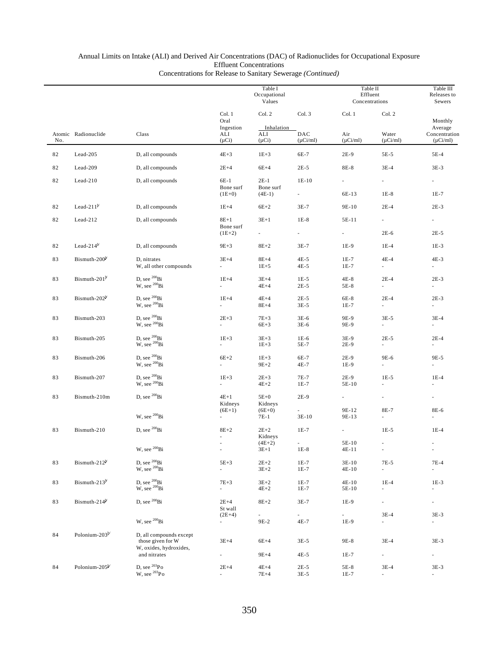|     |                            |                                                       |                                    | Table I<br>Occupational<br>Values |                                  | Table II<br>Effluent<br>Concentrations |                                       | Table III<br>Releases to<br>Sewers        |
|-----|----------------------------|-------------------------------------------------------|------------------------------------|-----------------------------------|----------------------------------|----------------------------------------|---------------------------------------|-------------------------------------------|
|     |                            |                                                       | Col. 1<br>Oral                     | Col. 2                            | Col. 3                           | Col. 1                                 | Col. 2                                | Monthly                                   |
| No. | Atomic Radionuclide        | Class                                                 | Ingestion<br>ALI<br>$(\mu Ci)$     | Inhalation<br>ALI<br>$(\mu Ci)$   | DAC<br>$(\mu Ci/ml)$             | Air<br>$(\mu Ci/ml)$                   | Water<br>$(\mu$ Ci/ml)                | Average<br>Concentration<br>$(\mu$ Ci/ml) |
| 82  | Lead-205                   | D, all compounds                                      | $4E+3$                             | $1E + 3$                          | 6E-7                             | $2E-9$                                 | $5E-5$                                | 5E-4                                      |
| 82  | Lead-209                   | D, all compounds                                      | $2E+4$                             | $6E+4$                            | $2E-5$                           | 8E-8                                   | $3E-4$                                | $3E-3$                                    |
| 82  | $Lead-210$                 | D, all compounds                                      | 6E-1<br>Bone surf<br>$(1E+0)$      | $2E-1$<br>Bone surf<br>$(4E-1)$   | $1E-10$<br>$\sim$                | 6E-13                                  | $\sim$<br>$1E-8$                      | $\sim$<br>$1E-7$                          |
|     | Lead-21 $1b$               |                                                       |                                    |                                   | $3E-7$                           |                                        |                                       |                                           |
| 82  |                            | D, all compounds                                      | $1E+4$                             | $6E+2$                            |                                  | 9E-10                                  | $2E-4$                                | $2E-3$                                    |
| 82  | Lead-212                   | D, all compounds                                      | $8E+1$<br>Bone surf                | $3E+1$<br>$\sim$                  | $1E-8$<br>$\sim$                 | 5E-11<br>$\sim$                        | $\sim$<br>$2E-6$                      | $\sim$                                    |
|     |                            |                                                       | $(1E+2)$                           |                                   |                                  |                                        |                                       | $2E-5$                                    |
| 82  | Lead- $214^b$              | D, all compounds                                      | $9E + 3$                           | $8E+2$                            | $3E-7$                           | 1E-9                                   | $1E-4$                                | $1E-3$                                    |
| 83  | Bismuth-200 <sup>b</sup>   | D, nitrates<br>W, all other compounds                 | $3E+4$                             | $8E+4$<br>$1E + 5$                | $4E-5$<br>$4E-5$                 | $1E-7$<br>$1E-7$                       | $4E-4$<br>$\sim$                      | $4E-3$                                    |
| 83  | Bismuth-201 <sup>b</sup>   | D, see $^{200}$ Bi                                    | $1E+4$                             | $3E+4$                            | $1E-5$                           | $4E-8$                                 | $2E-4$                                | $2E-3$                                    |
|     |                            | W, see 200Bi                                          | L.                                 | $4E+4$                            | $2E-5$                           | 5E-8                                   | $\sim$                                |                                           |
| 83  | Bismuth-202 <sup>b</sup>   | D, see $^{200}$ Bi<br>W, see $^{200}$ Bi              | $1E+4$<br>L.                       | $4E+4$<br>$8E+4$                  | $2E-5$<br>$3E-5$                 | 6E-8<br>$1E-7$                         | $2E-4$<br>$\mathcal{L}_{\mathcal{A}}$ | $2E-3$                                    |
| 83  | Bismuth-203                | D, see $^{200}$ Bi                                    | $2E + 3$                           | $7E + 3$                          | $3E-6$                           | 9E-9                                   | $3E-5$                                | $3E-4$                                    |
|     |                            | W, see $^{200}$ Bi                                    |                                    | $6E+3$                            | $3E-6$                           | 9E-9                                   | $\mathcal{L}_{\mathcal{A}}$           |                                           |
| 83  | Bismuth-205                | D, see $^{200}\text{Bi}$ W, see $^{200}\text{Bi}$     | $1E+3$                             | $3E+3$<br>$1E+3$                  | $1E-6$<br>5E-7                   | 3E-9<br>2E-9                           | $2E-5$<br>$\overline{\phantom{a}}$    | $2E-4$                                    |
| 83  | Bismuth-206                | D, see <sup>200</sup> Bi<br>W, see <sup>200</sup> Bi  | $6E+2$<br>a.                       | $1E+3$<br>$9E+2$                  | 6E-7<br>4E-7                     | 2E-9<br>1E-9                           | 9E-6<br>$\sim$                        | 9E-5                                      |
|     |                            |                                                       |                                    |                                   |                                  |                                        |                                       |                                           |
| 83  | Bismuth-207                | D, see <sup>200</sup> Bi<br>W, see <sup>200</sup> Bi  | $1E+3$<br>a.                       | $2E+3$<br>$4E+2$                  | $7E-7$<br>$1E-7$                 | 2E-9<br>5E-10                          | $1E-5$                                | $1E-4$                                    |
| 83  | Bismuth-210m               | D, see <sup>200</sup> Bi                              | $4E+1$                             | $5E+0$                            | $2E-9$                           | $\sim$                                 | $\overline{\phantom{a}}$              | $\overline{\phantom{a}}$                  |
|     |                            | W, see <sup>200</sup> Bi                              | Kidneys<br>$(6E+1)$                | Kidneys<br>$(6E+0)$               | $\overline{\phantom{a}}$         | 9E-12                                  | 8E-7                                  | 8E-6                                      |
|     |                            |                                                       | $\overline{\phantom{a}}$           | 7E-1                              | $3E-10$                          | 9E-13                                  | $\overline{\phantom{a}}$              |                                           |
| 83  | Bismuth-210                | D, see <sup>200</sup> Bi                              | $8E+2$                             | $2E+2$<br>Kidneys                 | $1E-7$                           | $\mathcal{L}_{\mathcal{A}}$            | $1E-5$                                | $1E-4$                                    |
|     |                            | W, see <sup>200</sup> Bi                              | ä,<br>$\overline{\phantom{a}}$     | $(4E+2)$<br>$3E+1$                | $1E-8$                           | 5E-10<br>$4E-11$                       | ٠<br>$\sim$                           | $\sim$<br>$\overline{\phantom{a}}$        |
|     | Bismuth-212 <sup>b</sup>   |                                                       | $5E+3$                             | $2E+2$                            | $1E-7$                           | 3E-10                                  | $7E-5$                                |                                           |
| 83  |                            | D, see $^{200}\mathrm{Bi}$ W, see $^{200}\mathrm{Bi}$ | ÷.                                 | $3E + 2$                          | $1E-7$                           | 4E-10                                  | $\sim$                                | $7E-4$<br>$\blacksquare$                  |
| 83  | Bismuth-213 $^{\flat}$     | D, see $^{200}\mathrm{Bi}$ W, see $^{200}\mathrm{Bi}$ | $7E+3$<br>$\overline{\phantom{a}}$ | $3E+2$<br>$4E+2$                  | $1E-7$<br>$1E-7$                 | $4E-10$<br>5E-10                       | $1E-4$<br>$\overline{\phantom{a}}$    | $1E-3$<br>$\overline{\phantom{a}}$        |
| 83  | Bismuth- $214^b$           | D, see <sup>200</sup> Bi                              | $2E+4$<br>St wall                  | $8E+2$                            | $3E-7$                           | 1E-9                                   | $\overline{\phantom{a}}$              | $\overline{\phantom{a}}$                  |
|     |                            | W, see <sup>200</sup> Bi                              | $(2E+4)$<br>$\sim$                 | 9E-2                              | $\overline{\phantom{a}}$<br>4E-7 | L,<br>1E-9                             | $3E-4$<br>$\overline{\phantom{a}}$    | $3E-3$<br>$\overline{\phantom{a}}$        |
| 84  | Polonium-203 <sup>b/</sup> | D, all compounds except                               |                                    |                                   |                                  |                                        |                                       |                                           |
|     |                            | those given for W                                     | $3E+4$                             | $6E+4$                            | $3E-5$                           | 9E-8                                   | $3E-4$                                | $3E-3$                                    |
|     |                            | W, oxides, hydroxides,<br>and nitrates                |                                    | $9E+4$                            | $4E-5$                           | $1E-7$                                 | $\overline{\phantom{a}}$              | $\overline{\phantom{a}}$                  |
| 84  | Polonium-205 <sup>b/</sup> | D, see $^{203}$ Po                                    | $2E+4$                             | $4E+4$                            | $2E-5$                           | 5E-8                                   | $3E-4$                                | $3E-3$                                    |
|     |                            | W, see $^{203}\mathrm{Po}$                            |                                    | $7E+4$                            | $3E-5$                           | $1E-7$                                 |                                       |                                           |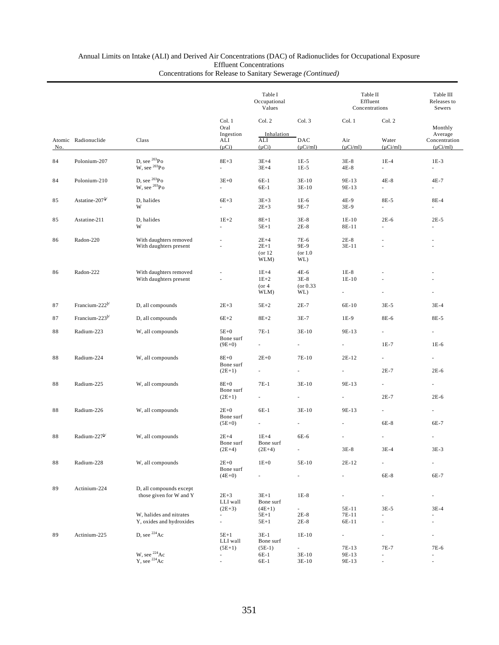|     |                            |                                                     |                                 | Table I<br>Occupational<br>Values     |                                              |                                               | Table II<br>Effluent<br>Concentrations |                                           |  |
|-----|----------------------------|-----------------------------------------------------|---------------------------------|---------------------------------------|----------------------------------------------|-----------------------------------------------|----------------------------------------|-------------------------------------------|--|
|     |                            |                                                     | Col. 1<br>Oral                  | Col. 2                                | Col. 3                                       | Col. 1                                        | Col. 2                                 | Monthly                                   |  |
| No. | Atomic Radionuclide        | Class                                               | Ingestion<br>ALI<br>$(\mu Ci)$  | Inhalation<br>ALI<br>$(\mu Ci)$       | DAC<br>$(\mu Ci/ml)$                         | Air<br>$(\mu$ Ci/ml)                          | Water<br>$(\mu$ Ci/ml)                 | Average<br>Concentration<br>$(\mu Ci/ml)$ |  |
| 84  | Polonium-207               | D, see ${}^{203}Po$<br>W, see ${}^{203}Po$          | $8E+3$<br>ä,                    | $3E+4$<br>$3E+4$                      | $1E-5$<br>$1E-5$                             | $3E-8$<br>$4E-8$                              | $1E-4$<br>u.                           | $1E-3$<br>÷.                              |  |
| 84  | Polonium-210               | D, see $^{203}Po$<br>W, see $^{203}Po$              | $3E+0$<br>ä.                    | $6E-1$<br>6E-1                        | $3E-10$<br>$3E-10$                           | 9E-13<br>9E-13                                | $4E-8$<br>$\omega$                     | 4E-7<br>÷.                                |  |
| 85  | Astatine-207 <sup>b/</sup> | D, halides<br>W                                     | $6E+3$<br>÷.                    | $3E+3$<br>$2E + 3$                    | $1E-6$<br>9E-7                               | 4E-9<br>3E-9                                  | 8E-5<br>÷.                             | 8E-4<br>L.                                |  |
| 85  | Astatine-211               | D, halides<br>W                                     | $1E+2$<br>ä,                    | $8E+1$<br>$5E+1$                      | $3E-8$<br>$2E-8$                             | $1E-10$<br>8E-11                              | $2E-6$                                 | $2E-5$<br>ä,                              |  |
| 86  | Radon-220                  | With daughters removed<br>With daughters present    | ä,                              | $2E+4$<br>$2E+1$<br>$($ or 12<br>WLM) | 7E-6<br>9E-9<br>(or 1.0)<br>WL)              | $2E-8$<br>$3E-11$                             |                                        | ä,<br>٠                                   |  |
| 86  | Radon-222                  | With daughters removed<br>With daughters present    |                                 | $1E+4$<br>$1E+2$<br>$($ or 4<br>WLM)  | $4E-6$<br>$3E-8$<br>$($ or 0.33<br>WL)       | $1E-8$<br>$1E-10$<br>$\overline{\phantom{a}}$ |                                        |                                           |  |
| 87  | Francium-222 <sup>b/</sup> | D, all compounds                                    | $2E+3$                          | $5E+2$                                | $2E-7$                                       | 6E-10                                         | $3E-5$                                 | $3E-4$                                    |  |
| 87  | Francium-223 $^{b}$        | D, all compounds                                    | $6E+2$                          | $8E+2$                                | $3E-7$                                       | $1E-9$                                        | 8E-6                                   | 8E-5                                      |  |
| 88  | Radium-223                 | W, all compounds                                    | $5E+0$<br>Bone surf<br>$(9E+0)$ | $7E-1$<br>ä,                          | $3E-10$<br>$\overline{\phantom{a}}$          | 9E-13<br>$\sim$                               | ×.<br>$1E-7$                           | $1E-6$                                    |  |
| 88  | Radium-224                 | W, all compounds                                    | $8E+0$<br>Bone surf<br>$(2E+1)$ | $2E+0$<br>ä,                          | 7E-10                                        | $2E-12$<br>$\omega$                           | $\overline{\phantom{a}}$<br>$2E-7$     | $2E-6$                                    |  |
| 88  | Radium-225                 | W, all compounds                                    | $8E+0$<br>Bone surf             | $7E-1$                                | $3E-10$                                      | 9E-13                                         | $\omega$<br>$2E-7$                     | ÷,<br>$2E-6$                              |  |
|     |                            |                                                     | $(2E+1)$                        |                                       |                                              | $\overline{\phantom{a}}$                      |                                        |                                           |  |
| 88  | Radium-226                 | W, all compounds                                    | $2E+0$<br>Bone surf<br>$(5E+0)$ | $6E-1$                                | $3E-10$<br>ä,                                | 9E-13                                         | $\overline{\phantom{a}}$<br>6E-8       | ä,<br>6E-7                                |  |
| 88  | Radium-227b/               | W, all compounds                                    | $2E+4$                          | $1E+4$                                | 6E-6                                         |                                               |                                        |                                           |  |
|     |                            |                                                     | Bone surf<br>$(2E+4)$           | Bone surf<br>$(2E+4)$                 |                                              | $3E-8$                                        | $3E-4$                                 | $3E-3$                                    |  |
| 88  | Radium-228                 | W, all compounds                                    | $2E+0$<br>Bone surf             | $1E+0$                                | 5E-10                                        | $2E-12$                                       | ä,                                     |                                           |  |
|     |                            |                                                     | $(4E+0)$                        | ÷,                                    | $\overline{\phantom{a}}$                     | $\overline{\phantom{a}}$                      | 6E-8                                   | 6E-7                                      |  |
| 89  | Actinium-224               | D, all compounds except<br>those given for W and Y  | $2E + 3$<br>LLI wall            | $3E+1$<br>Bone surf                   | $1E-8$                                       | $\overline{\phantom{a}}$                      | $\overline{\phantom{a}}$               | $\overline{\phantom{a}}$                  |  |
|     |                            | W, halides and nitrates<br>Y, oxides and hydroxides | $(2E+3)$<br>٠<br>ä,             | $(4E+1)$<br>$5E+1$<br>$5E+1$          | $\overline{\phantom{a}}$<br>$2E-8$<br>$2E-8$ | 5E-11<br>7E-11<br>6E-11                       | 3E-5<br>×.<br>÷,                       | $3E-4$<br>ä,<br>÷,                        |  |
| 89  | Actinium-225               | D, see <sup>224</sup> Ac                            | $5E+1$<br>LLI wall              | $3E-1$<br>Bone surf                   | $1E-10$                                      | $\sim$                                        | $\overline{\phantom{a}}$               | ä,                                        |  |
|     |                            | W, see <sup>224</sup> Ac<br>$Y$ , see $^{224}$ Ac   | $(5E+1)$<br>÷,<br>ä,            | $(5E-1)$<br>6E-1<br>6E-1              | ÷,<br>3E-10<br>$3E-10$                       | 7E-13<br>9E-13<br>9E-13                       | 7E-7<br>ä,                             | 7E-6<br>ä,<br>ä,                          |  |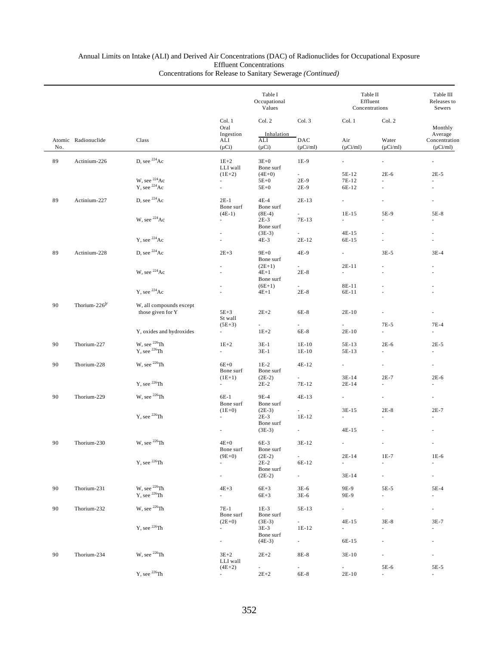|     |                     |                                              |                                    | Table I<br>Occupational<br>Values |                      | Table II<br>Effluent<br>Concentrations |                          | Table III<br>Releases to<br>Sewers        |
|-----|---------------------|----------------------------------------------|------------------------------------|-----------------------------------|----------------------|----------------------------------------|--------------------------|-------------------------------------------|
|     |                     |                                              | Col. 1<br>Oral                     | Col. 2                            | Col. 3               | Col. 1                                 | Col. 2                   | Monthly                                   |
| No. | Atomic Radionuclide | Class                                        | Ingestion<br>ALI<br>$(\mu Ci)$     | Inhalation<br>ALI<br>$(\mu Ci)$   | DAC<br>$(\mu$ Ci/ml) | Air<br>$(\mu Ci/ml)$                   | Water<br>$(\mu Ci/ml)$   | Average<br>Concentration<br>$(\mu$ Ci/ml) |
|     |                     |                                              |                                    |                                   |                      |                                        |                          |                                           |
| 89  | Actinium-226        | D, see $^{224}$ Ac                           | $1E+2$<br>LLI wall                 | $3E+0$<br>Bone surf               | $1E-9$               | $\omega$                               | ä,                       |                                           |
|     |                     | W, see <sup>224</sup> Ac                     | $(1E+2)$<br>a.                     | $(4E+0)$<br>$5E+0$                | $\sim$<br>$2E-9$     | 5E-12<br>7E-12                         | $2E-6$                   | $2E-5$<br>÷                               |
|     |                     | $Y$ , see $^{224}$ Ac                        | $\overline{\phantom{a}}$           | $5E+0$                            | $2E-9$               | 6E-12                                  | ä,                       |                                           |
| 89  | Actinium-227        | D, see $^{224}Ac$                            | $2E-1$<br>Bone surf                | $4E-4$<br>Bone surf               | $2E-13$              | ÷.                                     |                          |                                           |
|     |                     |                                              | $(4E-1)$                           | $(8E-4)$                          | $\sim$               | $1E-15$                                | 5E-9                     | 5E-8                                      |
|     |                     | W, see <sup>224</sup> Ac                     | ٠                                  | $2E-3$<br>Bone surf               | 7E-13                | a.                                     | ٠                        |                                           |
|     |                     | Y, see $^{224}Ac$                            | ÷                                  | $(3E-3)$<br>4E-3                  | $\sim$<br>2E-12      | 4E-15<br>6E-15                         | ä,<br>ä,                 |                                           |
|     |                     |                                              |                                    |                                   |                      |                                        |                          |                                           |
| 89  | Actinium-228        | D, see $^{224}Ac$                            | $2E + 3$                           | $9E+0$<br>Bone surf               | 4E-9                 | $\sim$                                 | $3E-5$                   | $3E-4$                                    |
|     |                     | W, see $^{224}$ Ac                           |                                    | $(2E+1)$<br>$4E+1$<br>Bone surf   | $\sim$<br>$2E-8$     | $2E-11$<br>÷.                          | ٠                        |                                           |
|     |                     |                                              |                                    | $(6E+1)$                          | $\sim$               | 8E-11                                  |                          |                                           |
|     |                     | Y, see $224$ Ac                              |                                    | $4E+1$                            | $2E-8$               | 6E-11                                  |                          |                                           |
| 90  | Thorium- $226^{b/}$ | W, all compounds except<br>those given for Y | $5E+3$<br>St wall                  | $2E+2$                            | 6E-8                 | $2E-10$                                |                          |                                           |
|     |                     |                                              | $(5E+3)$                           | $\sim$                            | $\sim$               | $\sim$                                 | $7E-5$                   | $7E-4$                                    |
|     |                     | Y, oxides and hydroxides                     | $\sim$                             | $1E+2$                            | 6E-8                 | $2E-10$                                | ÷,                       | $\overline{\phantom{a}}$                  |
| 90  | Thorium-227         | W, see $^{226}$ Th                           | $1E+2$                             | $3E-1$                            | $1E-10$              | 5E-13                                  | $2E-6$                   | $2E-5$                                    |
|     |                     | $Y$ , see $^{226}Th$                         | ä,                                 | $3E-1$                            | $1E-10$              | 5E-13                                  | ä,                       | $\overline{\phantom{a}}$                  |
| 90  | Thorium-228         | W, see $^{226}$ Th                           | $6E+0$<br>Bone surf                | $1E-2$<br>Bone surf               | 4E-12                | $\sim$                                 | $\overline{\phantom{a}}$ | $\overline{\phantom{a}}$                  |
|     |                     | Y, see $^{226}$ Th                           | $(1E+1)$                           | $(2E-2)$                          |                      | $3E-14$                                | $2E-7$                   | $2E-6$                                    |
|     |                     |                                              | $\sim$                             | $2E-2$                            | 7E-12                | $2E-14$                                | ä,                       | ×.                                        |
| 90  | Thorium-229         | W, see $^{226}$ Th                           | 6E-1<br>Bone surf                  | 9E-4<br>Bone surf                 | 4E-13                | ä,                                     | ä,                       | ×.                                        |
|     |                     | Y, see $^{226}$ Th                           | $(1E+0)$<br>a.                     | $(2E-3)$<br>$2E-3$                | $1E-12$              | $3E-15$                                | $2E-8$                   | $2E-7$                                    |
|     |                     |                                              | ×.                                 | Bone surf<br>$(3E-3)$             | ÷.                   | $4E-15$                                |                          |                                           |
| 90  | Thorium-230         | W, see $^{226}$ Th                           | $4E+0$                             | 6E-3                              | 3E-12                | $\overline{\phantom{a}}$               | ä,                       |                                           |
|     |                     |                                              | Bone surf<br>$(9E+0)$              | Bone surf                         |                      | $2E-14$                                | $1E-7$                   | $1E-6$                                    |
|     |                     | Y, see $^{226}$ Th                           | $\sim$                             | $(2E-2)$<br>$2E-2$                | $\sim$<br>6E-12      | $\mathcal{L}_{\mathcal{A}}$            |                          | ×.                                        |
|     |                     |                                              | $\sim$                             | Bone surf<br>$(2E-2)$             | $\sim 10$            | $3E-14$                                | $\overline{\phantom{a}}$ | $\overline{\phantom{a}}$                  |
|     |                     |                                              |                                    |                                   |                      |                                        |                          |                                           |
| 90  | Thorium-231         | W, see $^{226}$ Th<br>$Y$ , see $^{226}Th$   | $4E+3$<br>$\overline{\phantom{a}}$ | $6E+3$<br>$6E+3$                  | $3E-6$<br>3E-6       | 9E-9<br>9E-9                           | 5E-5<br>ä,               | 5E-4<br>$\blacksquare$                    |
| 90  | Thorium-232         | W, see $^{226}$ Th                           | 7E-1<br>Bone surf                  | $1E-3$<br>Bone surf               | 5E-13                | $\sim 10^{-11}$                        | $\overline{\phantom{a}}$ | $\sim 10^{-11}$                           |
|     |                     | Y, see $^{226}$ Th                           | $(2E+0)$                           | $(3E-3)$                          | $\sim$               | 4E-15                                  | $3E-8$                   | $3E-7$                                    |
|     |                     |                                              | $\sim$                             | $3E-3$<br>Bone surf               | 1E-12                | $\sim$                                 | $\overline{\phantom{a}}$ | $\overline{\phantom{a}}$                  |
|     |                     |                                              | e i                                | $(4E-3)$                          | $\sim 10^{-11}$      | 6E-15                                  | $\overline{\phantom{a}}$ | $\overline{\phantom{a}}$                  |
| 90  | Thorium-234         | W, see $^{226}$ Th                           | $3E+2$<br>LLI wall                 | $2E + 2$                          | 8E-8                 | 3E-10                                  | ä,                       | ×.                                        |
|     |                     |                                              | $(4E+2)$                           |                                   | $\sim$               | $\sim$                                 | 5E-6                     | 5E-5                                      |
|     |                     | Y, see $^{226}$ Th                           | ÷.                                 | $2\mathrm{E}{+2}$                 | 6E-8                 | 2E-10                                  | $\overline{\phantom{a}}$ | $\overline{\phantom{a}}$                  |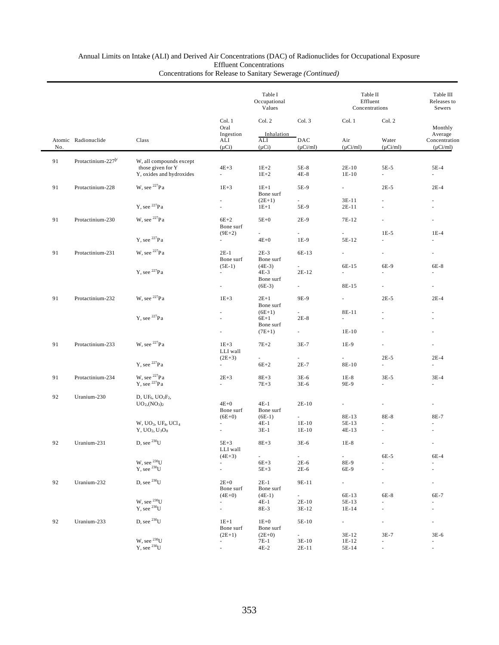|     |                                |                                                     |                                                      | Table I<br>Occupational<br>Values |                                    | Table II<br>Effluent<br>Concentrations | Table III<br>Releases to<br>Sewers                   |                                                      |
|-----|--------------------------------|-----------------------------------------------------|------------------------------------------------------|-----------------------------------|------------------------------------|----------------------------------------|------------------------------------------------------|------------------------------------------------------|
|     |                                |                                                     | Col. 1<br>Oral<br>Ingestion                          | Col. 2<br>Inhalation              | Col. 3                             | Col. 1                                 | Col. 2                                               | Monthly<br>Average                                   |
| No. | Atomic Radionuclide            | Class                                               | ALI<br>$(\mu Ci)$                                    | ALI<br>$(\mu Ci)$                 | DAC<br>$(\mu$ Ci/ml)               | Air<br>$(\mu$ Ci/ml)                   | Water<br>$(\mu$ Ci/ml)                               | Concentration<br>$(\mu Ci/ml)$                       |
| 91  | Protactinium-227 <sup>b/</sup> | W, all compounds except                             |                                                      |                                   |                                    |                                        |                                                      |                                                      |
|     |                                | those given for Y<br>Y, oxides and hydroxides       | $4E + 3$<br>$\mathcal{L}_{\mathcal{A}}$              | $1E+2$<br>$1E+2$                  | 5E-8<br>4E-8                       | $2E-10$<br>$1E-10$                     | $5E-5$<br>$\overline{\phantom{a}}$                   | 5E-4<br>$\overline{\phantom{a}}$                     |
| 91  | Protactinium-228               | W, see $^{227}Pa$                                   | $1E+3$                                               | $1E+1$<br>Bone surf               | 5E-9                               | $\sim$                                 | $2E-5$                                               | $2E-4$                                               |
|     |                                | Y, see $^{227}Pa$                                   | $\overline{\phantom{a}}$                             | $(2E+1)$<br>$1E+1$                | ÷.<br>5E-9                         | 3E-11<br>2E-11                         |                                                      |                                                      |
| 91  | Protactinium-230               | W, see <sup>227</sup> Pa                            | $6E+2$<br>Bone surf                                  | $5E+0$                            | 2E-9                               | 7E-12                                  |                                                      |                                                      |
|     |                                | Y, see $^{227}Pa$                                   | $(9E+2)$                                             | $\sim$                            | $\sim$                             | ÷.                                     | $1E-5$<br>÷                                          | $1E-4$<br>$\sim$                                     |
|     |                                |                                                     | $\sim$                                               | $4E+0$                            | 1E-9                               | 5E-12                                  |                                                      |                                                      |
| 91  | Protactinium-231               | W, see $^{227}Pa$                                   | $2E-1$<br>Bone surf                                  | $2E-3$<br>Bone surf               | 6E-13                              | $\sim$                                 | $\overline{\phantom{a}}$                             | $\overline{\phantom{a}}$                             |
|     |                                | Y, see $^{227}Pa$                                   | $(5E-1)$<br>$\overline{\phantom{a}}$                 | $(4E-3)$<br>4E-3<br>Bone surf     | $\overline{\phantom{a}}$<br>2E-12  | 6E-15<br>÷.                            | 6E-9                                                 | $6E-8$<br>$\overline{\phantom{a}}$                   |
|     |                                |                                                     | $\overline{\phantom{a}}$                             | $(6E-3)$                          | $\sim$                             | 8E-15                                  | $\overline{\phantom{a}}$                             | $\overline{\phantom{a}}$                             |
| 91  | Protactinium-232               | W, see $^{227}Pa$                                   | $1E+3$                                               | $2E+1$<br>Bone surf               | 9E-9                               | $\overline{\phantom{a}}$               | $2E-5$                                               | $2E-4$                                               |
|     |                                | Y, see $^{227}Pa$                                   | ÷                                                    | $(6E+1)$                          | ä,                                 | 8E-11                                  |                                                      |                                                      |
|     |                                |                                                     | ×.                                                   | $6E+1$<br>Bone surf<br>$(7E+1)$   | $2E-8$<br>$\overline{\phantom{a}}$ | ۰.<br>$1E-10$                          |                                                      |                                                      |
| 91  | Protactinium-233               | W, see $^{227}Pa$                                   | $1E+3$                                               | $7E+2$                            | $3E-7$                             | 1E-9                                   |                                                      |                                                      |
|     |                                |                                                     | LLI wall                                             | $\sim$                            | $\overline{\phantom{a}}$           | $\overline{\phantom{0}}$               | $2E-5$                                               | $2E-4$                                               |
|     |                                | Y, see $^{227}Pa$                                   | $(2E+3)$<br>$\sim$                                   | $6E+2$                            | $2E-7$                             | 8E-10                                  | $\mathcal{L}_{\mathcal{A}}$                          | ×.                                                   |
| 91  | Protactinium-234               | W, see $^{227}Pa$                                   | $2E+3$                                               | $8E + 3$                          | $3E-6$                             | $1E-8$                                 | $3E-5$                                               | $3E-4$                                               |
|     |                                | $Y$ , see $^{227}Pa$                                | ÷.                                                   | $7E+3$                            | $3E-6$                             | 9E-9                                   | $\omega$                                             | ÷.                                                   |
| 92  | Uranium-230                    | $D,UF_6, UO_2F_2,$                                  |                                                      |                                   |                                    |                                        |                                                      |                                                      |
|     |                                | $UO_2(NO_3)_2$                                      | $4E+0$<br>Bone surf                                  | $4E-1$<br>Bone surf               | $2E-10$                            | $\overline{\phantom{a}}$               | $\overline{\phantom{a}}$                             | $\overline{\phantom{a}}$                             |
|     |                                |                                                     | $(6E+0)$                                             | $(6E-1)$                          | $\sim$                             | 8E-13                                  | 8E-8<br>÷.                                           | 8E-7                                                 |
|     |                                | $W, UO_3, UF_4, UCl_4$<br>$Y, UO2, U3O8$            | ×.<br>$\overline{\phantom{a}}$                       | $4E-1$<br>$3E-1$                  | $1E-10$<br>$1E-10$                 | 5E-13<br>4E-13                         |                                                      |                                                      |
| 92  | Uranium-231                    | D, see $^{230}$ U                                   | $5E+3$<br>LLI wall                                   | $8E+3$                            | $3E-6$                             | $1E-8$                                 | $\sim$                                               | $\sim$                                               |
|     |                                |                                                     | $(4E+3)$                                             | $\sim$                            | $\sim$                             | ÷.                                     | 6E-5                                                 | 6E-4                                                 |
|     |                                | W, see $^{230}\! \rm{U}$ Y, see $^{230}\! \rm{U}$   | $\sim$<br>$\overline{\phantom{a}}$                   | $6E+3$<br>$5E+3$                  | $2E-6$<br>2E-6                     | 8E-9<br>6E-9                           | $\overline{\phantom{a}}$<br>$\overline{\phantom{a}}$ |                                                      |
| 92  | Uranium-232                    | D, see $^{230}$ U                                   | $2E+0$<br>Bone surf                                  | $2E-1$<br>Bone surf               | 9E-11                              | $\sim$                                 | $\overline{\phantom{a}}$                             | ÷,                                                   |
|     |                                |                                                     | $(4E+0)$                                             | $(4E-1)$                          | ÷.                                 | 6E-13                                  | 6E-8                                                 | 6E-7                                                 |
|     |                                | W, see $^{230}$ U<br>$Y$ , see $^{230}U$            | $\overline{\phantom{a}}$<br>$\overline{\phantom{a}}$ | 4E-1<br>8E-3                      | 2E-10<br>3E-12                     | 5E-13<br>$1E-14$                       | $\blacksquare$<br>$\overline{\phantom{a}}$           | $\overline{\phantom{a}}$<br>$\overline{\phantom{a}}$ |
| 92  | Uranium-233                    | D, see $^{230}$ U                                   | $1E+1$<br>Bone surf                                  | $1E+0$<br>Bone surf               | 5E-10                              | $\sim$                                 | $\overline{\phantom{a}}$                             | $\overline{\phantom{a}}$                             |
|     |                                |                                                     | $(2E+1)$                                             | $(2E+0)$                          | $\sim$                             | 3E-12                                  | 3E-7                                                 | $3E-6$                                               |
|     |                                | W, see $^{230}\! \mathrm{U}$<br>$Y$ , see $^{230}U$ | ٠<br>ä,                                              | 7E-1<br>$4E-2$                    | 3E-10<br>2E-11                     | 1E-12<br>5E-14                         | $\overline{\phantom{a}}$<br>$\overline{\phantom{a}}$ | ÷<br>$\overline{\phantom{a}}$                        |
|     |                                |                                                     |                                                      |                                   |                                    |                                        |                                                      |                                                      |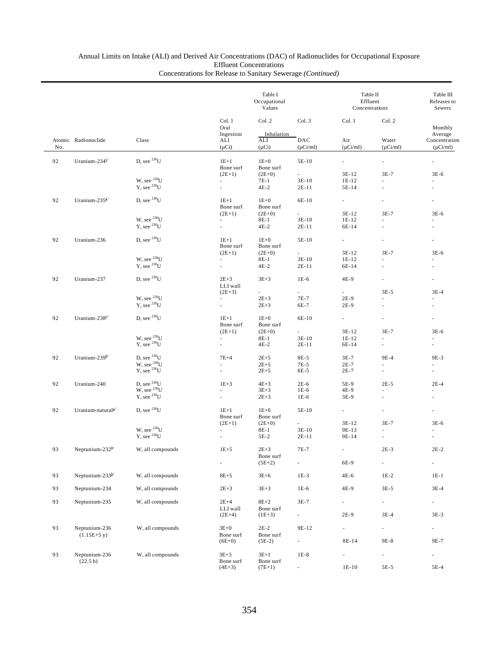|     |                               |                                                   |                                | Table I<br>Occupational<br>Values |                          | Table II<br>Effluent<br>Concentrations | Table III<br>Releases to<br>Sewers |                                           |
|-----|-------------------------------|---------------------------------------------------|--------------------------------|-----------------------------------|--------------------------|----------------------------------------|------------------------------------|-------------------------------------------|
|     |                               |                                                   | Col. 1<br>Oral                 | Col. 2                            | Col. 3                   | Col. 1                                 | Col. 2                             | Monthly                                   |
| No. | Atomic Radionuclide           | Class                                             | Ingestion<br>ALI<br>$(\mu Ci)$ | Inhalation<br>ALI<br>$(\mu Ci)$   | DAC<br>$(\mu Ci/ml)$     | Air<br>$(\mu Ci/ml)$                   | Water<br>$(\mu Ci/ml)$             | Average<br>Concentration<br>$(\mu Ci/ml)$ |
| 92  | Uranium-234 $\mathrm{c}/$     | D, see $^{230}$ U                                 | $1E+1$                         | $1E+0$                            | 5E-10                    | ×.                                     | ×.                                 |                                           |
|     |                               |                                                   | Bone surf<br>$(2E+1)$          | Bone surf<br>$(2E+0)$             | $\overline{\phantom{a}}$ | 3E-12                                  | $3E-7$                             | $3E-6$                                    |
|     |                               | W, see $^{230}$ U<br>$Y$ , see $^{230}U$          | ä,<br>L.                       | $7E-1$<br>$4E-2$                  | $3E-10$<br>2E-11         | 1E-12<br>5E-14                         |                                    | ÷.                                        |
| 92  | Uranium-235 $c$               | D, see $^{230}$ U                                 | $1E+1$<br>Bone surf            | $1E+0$<br>Bone surf               | 6E-10                    | a.                                     |                                    |                                           |
|     |                               | W, see $^{230}$ U                                 | $(2E+1)$<br>÷.                 | $(2E+0)$<br>8E-1                  | $3E-10$                  | $3E-12$<br>$1E-12$                     | $3E-7$                             | $3E-6$<br>$\sim$                          |
|     |                               | Y, see $^{230}$ U                                 | L.                             | $4E-2$                            | 2E-11                    | 6E-14                                  |                                    |                                           |
| 92  | Uranium-236                   | D, see $^{230}$ U                                 | $1E+1$<br>Bone surf            | $1E+0$<br>Bone surf               | 5E-10                    | ÷.                                     |                                    |                                           |
|     |                               | W, see $^{230}$ U                                 | $(2E+1)$<br>L.                 | $(2E+0)$<br>8E-1                  | ÷.<br>$3E-10$            | $3E-12$<br>$1E-12$                     | $3E-7$                             | $3E-6$                                    |
|     |                               | $Y$ , see $^{230}U$                               | ä,                             | $4E-2$                            | 2E-11                    | 6E-14                                  |                                    |                                           |
| 92  | Uranium-237                   | D, see $^{230}$ U                                 | $2E + 3$<br>LLI wall           | $3E + 3$                          | $1E-6$                   | 4E-9                                   |                                    |                                           |
|     |                               |                                                   | $(2E+3)$                       | $\overline{\phantom{a}}$          |                          | $\overline{\phantom{a}}$               | $3E-5$                             | $3E-4$                                    |
|     |                               | W, see $^{230}$ U<br>$Y$ , see $^{230}U$          | ä,<br>ä,                       | $2E + 3$<br>$2E+3$                | 7E-7<br>6E-7             | 2E-9<br>2E-9                           | ×,                                 | ×.                                        |
| 92  | Uranium-238 $c/$              | D, see $^{230}$ U                                 | $1E+1$<br>Bone surf            | $1E+0$<br>Bone surf               | 6E-10                    | L.                                     |                                    |                                           |
|     |                               |                                                   | $(2E+1)$                       | $(2E+0)$                          |                          | 3E-12                                  | $3E-7$                             | $3E-6$                                    |
|     |                               | W, see $^{230}\! \rm{U}$ Y, see $^{230}\! \rm{U}$ | ä,<br>L.                       | $8E-1$<br>$4E-2$                  | $3E-10$<br>2E-11         | $1E-12$<br>6E-14                       | $\overline{\phantom{a}}$           | ×.                                        |
| 92  | Uranium-239 $b$               | D, see $^{230}$ U                                 | $7E+4$                         | $2E + 5$                          | 8E-5                     | $3E-7$                                 | 9E-4                               | 9E-3                                      |
|     |                               | W, see $^{230}$ U<br>Y, see $^{230}$ U            |                                | $2E + 5$<br>$2E + 5$              | 7E-5<br>6E-5             | $2E-7$<br>$2E-7$                       |                                    |                                           |
| 92  | Uranium-240                   | D, see $^{230}$ U<br>W, see $^{230}$ U            | $1E+3$                         | $4E+3$                            | $2E-6$                   | 5E-9                                   | $2E-5$                             | $2E-4$                                    |
|     |                               | $Y$ , see $^{230}U$                               |                                | $3E+3$                            | $1E-6$                   | 4E-9                                   |                                    |                                           |
|     |                               |                                                   |                                | $2E+3$                            | $1E-6$                   | 3E-9                                   |                                    |                                           |
| 92  | Uranium-natural <sup>c/</sup> | D, see $^{230}$ U                                 | $1E+1$<br>Bone surf            | $1E+0$<br>Bone surf               | 5E-10                    | $\sim$                                 |                                    | ÷,                                        |
|     |                               | W, see $^{230}$ U                                 | $(2E+1)$                       | $(2E+0)$<br>$8E-1$                | ÷.<br>$3E-10$            | 3E-12<br>9E-13                         | $3E-7$                             | $3E-6$                                    |
|     |                               | Y, see $^{230}$ U                                 |                                | $5E-2$                            | 2E-11                    | 9E-14                                  | $\sim$                             |                                           |
| 93  | Neptunium-232 $b^{\prime}$    | W, all compounds                                  | $1E+5$                         | $2E+3$<br>Bone surf               | $7E-7$                   |                                        | $2E-3$                             | $2\mathrm{E-2}$                           |
|     |                               |                                                   | L.                             | $(5E+2)$                          | ä,                       | 6E-9                                   | $\overline{\phantom{a}}$           | ×,                                        |
| 93  | Neptunium-233b/               | W, all compounds                                  | $8E+5$                         | $3E+6$                            | $1E-3$                   | 4E-6                                   | $1E-2$                             | $1E-1$                                    |
| 93  | Neptunium-234                 | W, all compounds                                  | $2E + 3$                       | $3E + 3$                          | $1E-6$                   | 4E-9                                   | $3E-5$                             | $3E-4$                                    |
| 93  | Neptunium-235                 | W, all compounds                                  | $2E+4$<br>LLI wall             | $8E+2$<br>Bone surf               | $3E-7$                   | L,                                     | $\overline{\phantom{a}}$           | $\overline{\phantom{a}}$                  |
|     |                               |                                                   | $(2E+4)$                       | $(1E+3)$                          | ÷.                       | $2E-9$                                 | $3E-4$                             | $3E-3$                                    |
| 93  | Neptunium-236<br>$(1.15E+5y)$ | W, all compounds                                  | $3E+0$<br>Bone surf            | $2E-2$<br>Bone surf               | 9E-12                    | ä,                                     | $\overline{\phantom{a}}$           | $\overline{\phantom{a}}$                  |
|     |                               |                                                   | $(6E+0)$                       | $(5E-2)$                          | ÷,                       | 8E-14                                  | 9E-8                               | 9E-7                                      |
| 93  | Neptunium-236<br>(22.5 h)     | W, all compounds                                  | $3E+3$<br>Bone surf            | $3E+1$<br>Bone surf               | $1E-8$                   | ä,                                     | ä,                                 | $\blacksquare$                            |
|     |                               |                                                   | $(4E+3)$                       | $(7E+1)$                          |                          | $1E-10$                                | $5E-5$                             | $5E-4$                                    |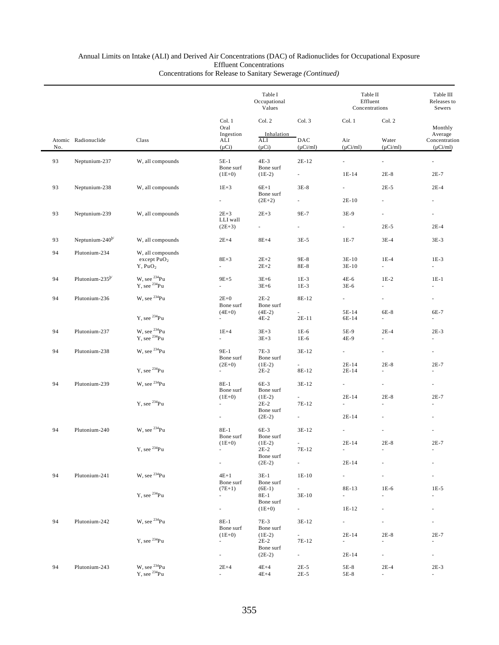|     |                             |                                       |                                      | Table I<br>Occupational<br>Values |                                   |                                      | Table II<br>Effluent<br>Concentrations |                                           |  |
|-----|-----------------------------|---------------------------------------|--------------------------------------|-----------------------------------|-----------------------------------|--------------------------------------|----------------------------------------|-------------------------------------------|--|
|     |                             |                                       | Col. 1<br>Oral                       | Col. 2                            | Col. 3                            | Col. 1                               | Col. 2                                 | Monthly                                   |  |
| No. | Atomic Radionuclide         | Class                                 | Ingestion<br>ALI<br>$(\mu Ci)$       | Inhalation<br>ALI<br>$(\mu Ci)$   | DAC<br>$(\mu$ Ci/ml)              | Air<br>$(\mu Ci/ml)$                 | Water<br>$(\mu$ Ci/ml)                 | Average<br>Concentration<br>$(\mu$ Ci/ml) |  |
| 93  | Neptunium-237               | W, all compounds                      | $5E-1$                               | $4E-3$                            | $2E-12$                           | $\mathcal{L}_{\mathcal{A}}$          | $\mathbb{Z}^{\mathbb{Z}}$              | ä,                                        |  |
|     |                             |                                       | Bone surf<br>$(1E+0)$                | Bone surf<br>$(1E-2)$             | ÷.                                | $1E-14$                              | $2E-8$                                 | $2E-7$                                    |  |
| 93  | Neptunium-238               | W, all compounds                      | $1E+3$                               | $6E+1$                            | $3E-8$                            | $\sim$                               | $2E-5$                                 | $2E-4$                                    |  |
|     |                             |                                       |                                      | Bone surf<br>$(2E+2)$             |                                   | $2E-10$                              |                                        |                                           |  |
| 93  | Neptunium-239               | W, all compounds                      | $2E + 3$                             | $2E + 3$                          | 9E-7                              | 3E-9                                 | ä,                                     |                                           |  |
|     |                             |                                       | LLI wall<br>$(2E+3)$                 | $\sim 100$                        | $\sim$                            | $\sim$                               | $2E-5$                                 | $2E-4$                                    |  |
| 93  | Neptunium-240 <sup>b/</sup> | W, all compounds                      | $2E+4$                               | $8E+4$                            | $3E-5$                            | $1E-7$                               | $3E-4$                                 | $3E-3$                                    |  |
| 94  | Plutonium-234               | W, all compounds                      |                                      |                                   |                                   |                                      |                                        |                                           |  |
|     |                             | except $PuO2$<br>$Y$ , $PuO2$         | $8E+3$<br>ä,                         | $2E+2$<br>$2E+2$                  | 9E-8<br>8E-8                      | $3E-10$<br>$3E-10$                   | $1E-4$<br>$\mathcal{L}_{\mathcal{A}}$  | $1E-3$<br>$\mathcal{L}^{\pm}$             |  |
| 94  | Plutonium-235 <sup>b/</sup> | W, see $^{234}Pu$                     | $9E+5$                               | $3E+6$                            | $1E-3$                            | $4E-6$                               | $1E-2$                                 | $1E-1$                                    |  |
|     |                             | Y, see <sup>234</sup> Pu              | ä,                                   | $3E+6$                            | $1E-3$                            | $3E-6$                               | à.                                     | $\omega$                                  |  |
| 94  | Plutonium-236               | W, see $^{234}Pu$                     | $2E+0$<br>Bone surf                  | $2E-2$<br>Bone surf               | 8E-12                             | $\sim$                               | $\overline{\phantom{a}}$               | $\overline{\phantom{a}}$                  |  |
|     |                             | $Y$ , see $^{234}Pu$                  | $(4E+0)$<br>$\sim$                   | $(4E-2)$<br>$4E-2$                | $2E-11$                           | 5E-14<br>6E-14                       | 6E-8<br>$\sim$                         | 6E-7<br>×.                                |  |
| 94  | Plutonium-237               | W, see <sup>234</sup> Pu              | $1E+4$                               | $3E+3$                            | $1E-6$                            | 5E-9                                 | $2E-4$                                 | $2E-3$                                    |  |
|     |                             | $Y$ , see $^{234}Pu$                  | ä,                                   | $3E + 3$                          | $1E-6$                            | 4E-9                                 | ä,                                     | $\omega$                                  |  |
| 94  | Plutonium-238               | W, see <sup>234</sup> Pu              | 9E-1<br>Bone surf                    | $7E-3$<br>Bone surf               | $3E-12$                           | $\sim$                               | $\overline{\phantom{a}}$               | $\overline{\phantom{a}}$                  |  |
|     |                             | $Y$ , see $^{234}Pu$                  | $(2E+0)$                             | $(1E-2)$<br>$2E-2$                | $\overline{\phantom{a}}$<br>8E-12 | $2E-14$<br>$2E-14$                   | $2E-8$                                 | $2E-7$                                    |  |
| 94  | Plutonium-239               | W, see $^{234}Pu$                     | $8E-1$<br>Bone surf                  | 6E-3<br>Bone surf                 | $3E-12$                           | $\sim$                               | $\sim$                                 | $\overline{\phantom{a}}$                  |  |
|     |                             |                                       | $(1E+0)$                             | $(1E-2)$                          |                                   | $2E-14$                              | $2E-8$                                 | $2E-7$                                    |  |
|     |                             | $Y$ , see $^{234}Pu$                  | $\overline{\phantom{a}}$             | $2E-2$<br>Bone surf               | $7E-12$                           | $\mathcal{L}_{\mathcal{A}}$          | $\omega$                               | ٠                                         |  |
|     |                             |                                       | $\overline{\phantom{a}}$             | $(2E-2)$                          | ÷.                                | $2E-14$                              |                                        |                                           |  |
| 94  | Plutonium-240               | W, see <sup>234</sup> Pu              | $8E-1$<br>Bone surf                  | 6E-3<br>Bone surf                 | $3E-12$                           | ÷.                                   |                                        |                                           |  |
|     |                             | $\mathbf{Y},$ see $^{234}\mathbf{Pu}$ | $(1E+0)$                             | $(1E-2)$                          |                                   | $2E-14$                              | $2E-8$                                 | $2E-7$                                    |  |
|     |                             |                                       |                                      | $2E-2$<br>Bone surf               | $7E-12$                           |                                      |                                        |                                           |  |
|     |                             |                                       | ÷.                                   | $(2E-2)$                          | ä,                                | $2E-14$                              |                                        |                                           |  |
| 94  | Plutonium-241               | W, see <sup>234</sup> Pu              | $4E+1$<br>Bone surf                  | $3E-1$<br>Bone surf               | $1E-10$                           | $\sim$                               |                                        |                                           |  |
|     |                             | Y, see <sup>234</sup> Pu              | $(7E+1)$<br>$\overline{\phantom{a}}$ | $(6E-1)$<br>8E-1                  | $\overline{\phantom{a}}$<br>3E-10 | 8E-13<br>$\mathcal{L}_{\mathcal{A}}$ | $1E-6$                                 | $1E-5$                                    |  |
|     |                             |                                       | $\overline{\phantom{a}}$             | Bone surf<br>$(1E+0)$             | $\sim 100$                        | 1E-12                                |                                        | $\overline{\phantom{a}}$                  |  |
| 94  | Plutonium-242               | W, see <sup>234</sup> Pu              | 8E-1                                 | 7E-3                              |                                   | $\sim$                               |                                        | ÷.                                        |  |
|     |                             |                                       | Bone surf                            | Bone surf                         | 3E-12                             |                                      |                                        |                                           |  |
|     |                             | Y, see <sup>234</sup> Pu              | $(1E+0)$<br>$\overline{\phantom{a}}$ | $(1E-2)$<br>$2E-2$                | $\sim$<br>7E-12                   | $2E-14$<br>$\omega$                  | $2E-8$                                 | $2E-7$<br>$\overline{\phantom{a}}$        |  |
|     |                             |                                       | $\overline{\phantom{a}}$             | Bone surf<br>$(2E-2)$             | $\sim$                            | $2E-14$                              | $\overline{\phantom{a}}$               | $\sim$                                    |  |
|     |                             | W, see $^{234}\mathrm{Pu}$            |                                      |                                   |                                   |                                      |                                        |                                           |  |
| 94  | Plutonium-243               | $Y$ , see $^{234}Pu$                  | $2E+4$<br>$\overline{\phantom{a}}$   | $4E+4$<br>$4E+4$                  | $2E-5$<br>$2E-5$                  | 5E-8<br>5E-8                         | $2E-4$<br>$\mathcal{L}_{\mathcal{A}}$  | $2E-3$<br>$\sim$                          |  |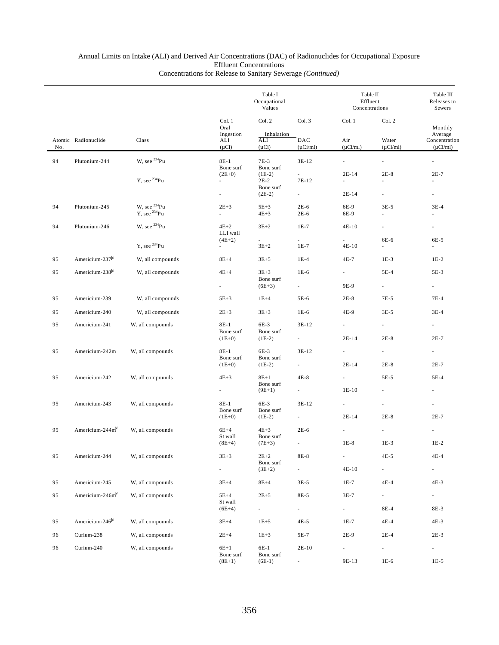|     |                             |                                                  |                                                  | Table I<br>Occupational<br>Values            |                                |                                     | Table II<br>Effluent<br>Concentrations |                                                      |
|-----|-----------------------------|--------------------------------------------------|--------------------------------------------------|----------------------------------------------|--------------------------------|-------------------------------------|----------------------------------------|------------------------------------------------------|
| No. | Atomic Radionuclide         | Class                                            | Col. 1<br>Oral<br>Ingestion<br>ALI<br>$(\mu Ci)$ | Col. 2<br>Inhalation<br>ALI<br>$(\mu Ci)$    | Col. 3<br>DAC<br>$(\mu$ Ci/ml) | Col. 1<br>Air<br>$(\mu$ Ci/ml)      | Col. 2<br>Water<br>$(\mu$ Ci/ml)       | Monthly<br>Average<br>Concentration<br>$(\mu$ Ci/ml) |
| 94  | Plutonium-244               | W, see $^{234}$ Pu                               | $8E-1$                                           | $7E-3$                                       | $3E-12$                        | $\omega$                            | $\overline{\phantom{a}}$               |                                                      |
|     |                             | $Y$ , see $^{234}Pu$                             | Bone surf<br>$(2E+0)$<br>÷.                      | Bone surf<br>$(1E-2)$<br>$2E-2$<br>Bone surf | 7E-12                          | $2E-14$<br>$\mathbf{r}$             | $2E-8$<br>$\omega$                     | $2E-7$<br>×.                                         |
|     |                             |                                                  | $\sim$                                           | $(2E-2)$                                     | $\sim 10$                      | $2E-14$                             | $\overline{\phantom{a}}$               | $\overline{\phantom{a}}$                             |
| 94  | Plutonium-245               | W, see <sup>234</sup> Pu<br>$Y$ , see $^{234}Pu$ | $2E+3$<br>$\mathcal{L}^{\pm}$                    | $5E+3$<br>$4E + 3$                           | $2E-6$<br>$2E-6$               | 6E-9<br>6E-9                        | $3E-5$<br>$\mathcal{L}$                | $3E-4$                                               |
| 94  | Plutonium-246               | W, see $^{234}Pu$                                | $4E+2$<br>LLI wall                               | $3E+2$                                       | $1E-7$                         | 4E-10                               | ä,                                     |                                                      |
|     |                             | Y, see $^{234}$ Pu                               | $(4E+2)$<br>$\sim$                               | $\overline{a}$<br>$3E + 2$                   | $\sim$<br>$1E-7$               | $\sim$<br>$4E-10$                   | 6E-6                                   | 6E-5                                                 |
| 95  | Americium-237 <sup>b/</sup> | W, all compounds                                 | $8E+4$                                           | $3E+5$                                       | $1E-4$                         | 4E-7                                | $1E-3$                                 | $1E-2$                                               |
| 95  | Americium-238 <sup>b/</sup> | W, all compounds                                 | $4E+4$                                           | $3E+3$                                       | $1E-6$                         | $\sim$                              | $5E-4$                                 | 5E-3                                                 |
|     |                             |                                                  | a.                                               | Bone surf<br>$(6E+3)$                        | $\sim$                         | 9E-9                                | $\mathcal{L}^{\pm}$                    | $\mathcal{L}_{\mathcal{A}}$                          |
| 95  | Americium-239               | W, all compounds                                 | $5E+3$                                           | $1E+4$                                       | 5E-6                           | $2E-8$                              | 7E-5                                   | $7E-4$                                               |
| 95  | Americium-240               | W, all compounds                                 | $2E+3$                                           | $3E+3$                                       | $1E-6$                         | 4E-9                                | $3E-5$                                 | $3E-4$                                               |
| 95  | Americium-241               | W, all compounds                                 | $8E-1$<br>Bone surf                              | 6E-3<br>Bone surf                            | $3E-12$                        | $\sim$                              | $\overline{\phantom{a}}$               |                                                      |
|     |                             |                                                  | $(1E+0)$                                         | $(1E-2)$                                     | $\overline{\phantom{a}}$       | $2E-14$                             | $2E-8$                                 | $2E-7$                                               |
| 95  | Americium-242m              | W, all compounds                                 | $8E-1$<br>Bone surf<br>$(1E+0)$                  | $6E-3$<br>Bone surf<br>$(1E-2)$              | 3E-12<br>$\sim$                | $\overline{\phantom{a}}$<br>$2E-14$ | $\sim$<br>$2E-8$                       | $\sim 10$<br>$2E-7$                                  |
| 95  | Americium-242               | W, all compounds                                 | $4E+3$                                           | $8E+1$                                       | $4E-8$                         | $\sim$                              | $5E-5$                                 | $5E-4$                                               |
|     |                             |                                                  | $\sim$                                           | Bone surf<br>$(9E+1)$                        | $\sim$                         | $1E-10$                             | $\omega$                               | $\omega$                                             |
| 95  | Americium-243               | W, all compounds                                 | $8E-1$                                           | $6E-3$                                       | 3E-12                          | $\overline{\phantom{a}}$            | $\omega$                               |                                                      |
|     |                             |                                                  | Bone surf<br>$(1E+0)$                            | Bone surf<br>$(1E-2)$                        | $\overline{\phantom{a}}$       | $2E-14$                             | $2E-8$                                 | $2E-7$                                               |
| 95  | Americium-244m              | W, all compounds                                 | $6E+4$                                           | $4E+3$                                       | $2E-6$                         | $\mathbf{r}$                        | $\mathcal{L}_{\mathcal{A}}$            | $\overline{\phantom{a}}$                             |
|     |                             |                                                  | St wall<br>$(8E+4)$                              | Bone surf<br>$(7E+3)$                        |                                | $1E-8$                              | $1E-3$                                 | $1E-2$                                               |
| 95  | Americium-244               | W, all compounds                                 | $3E+3$                                           | $2E + 2$                                     | 8E-8                           |                                     | $4E-5$                                 | $4E-4$                                               |
|     |                             |                                                  | e i                                              | Bone surf<br>$(3E+2)$                        | $\sim$                         | $4E-10$                             | $\sim 10$                              | $\sim 100$                                           |
| 95  | Americium-245               | W, all compounds                                 | $3E+4$                                           | $8E+4$                                       | $3E-5$                         | $1E-7$                              | $4E-4$                                 | $4E-3$                                               |
| 95  | Americium-246m              | W, all compounds                                 | $5E+4$<br>St wall                                | $2E + 5$                                     | 8E-5                           | $3E-7$                              | $\mathcal{L}_{\mathcal{A}}$            | $\omega_{\rm{max}}$                                  |
|     |                             |                                                  | $(6E+4)$                                         | $\sim 10$                                    | $\sim$                         | $\sim 10^{-1}$                      | 8E-4                                   | 8E-3                                                 |
| 95  | Americium-246 <sup>b/</sup> | W, all compounds                                 | $3E+4$                                           | $1E + 5$                                     | $4E-5$                         | $1E-7$                              | $4E-4$                                 | $4E-3$                                               |
| 96  | Curium-238                  | W, all compounds                                 | $2E+4$                                           | $1E + 3$                                     | 5E-7                           | $2E-9$                              | $2E-4$                                 | $2E-3$                                               |
| 96  | Curium-240                  | W, all compounds                                 | $6E+1$<br>Bone surf<br>$(8E+1)$                  | 6E-1<br>Bone surf<br>$(6E-1)$                | $2E-10$<br>$\sim$              | $\sim$<br>9E-13                     | $\sim$<br>$1E-6$                       | $\sim 10$<br>$1E-5$                                  |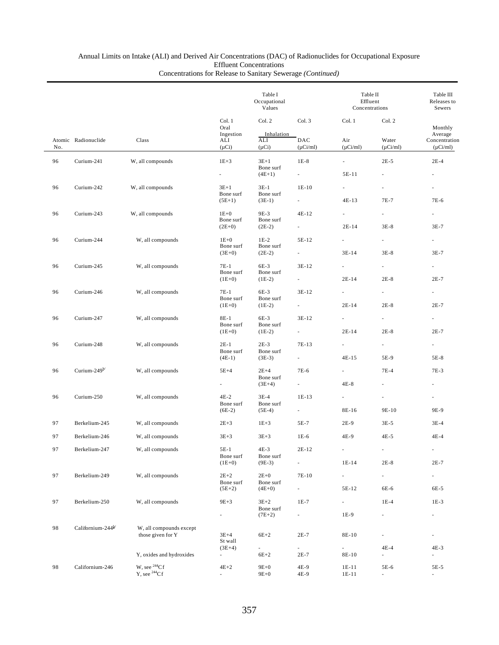|     |                               | Class                                        | Table I<br>Occupational<br>Values                |                                 |                          | Table II<br>Effluent<br>Concentrations |                          | Table III<br>Releases to<br>Sewers        |  |
|-----|-------------------------------|----------------------------------------------|--------------------------------------------------|---------------------------------|--------------------------|----------------------------------------|--------------------------|-------------------------------------------|--|
| No. | Atomic Radionuclide           |                                              | Col. 1<br>Oral<br>Ingestion<br>ALI<br>$(\mu Ci)$ | Col. 2<br>Col. 3                |                          | Col. 1                                 | Col. 2                   | Monthly                                   |  |
|     |                               |                                              |                                                  | Inhalation<br>ALI<br>$(\mu Ci)$ | DAC<br>$(\mu$ Ci/ml)     | Air<br>$(\mu$ Ci/ml)                   | Water<br>$(\mu Ci/ml)$   | Average<br>Concentration<br>$(\mu$ Ci/ml) |  |
| 96  | Curium-241                    | W, all compounds                             | $1E + 3$                                         | $3E+1$                          | $1E-8$                   | ÷.                                     | $2E-5$                   | $2E-4$                                    |  |
|     |                               |                                              | $\sim$                                           | Bone surf<br>$(4E+1)$           | $\sim$                   | 5E-11                                  | ä,                       | ٠                                         |  |
| 96  | Curium-242                    | W, all compounds                             | $3E+1$                                           | $3E-1$                          | $1E-10$                  | $\overline{\phantom{a}}$               |                          |                                           |  |
|     |                               |                                              | Bone surf                                        | Bone surf                       |                          |                                        |                          |                                           |  |
|     |                               |                                              | $(5E+1)$                                         | $(3E-1)$                        |                          | 4E-13                                  | 7E-7                     | 7E-6                                      |  |
| 96  | Curium-243                    | W, all compounds                             | $1E+0$<br>Bone surf                              | 9E-3<br>Bone surf               | $4E-12$                  | $\overline{\phantom{0}}$               | $\overline{\phantom{a}}$ |                                           |  |
|     |                               |                                              | $(2E+0)$                                         | $(2E-2)$                        | $\sim$                   | $2E-14$                                | $3E-8$                   | $3E-7$                                    |  |
| 96  | Curium-244                    | W, all compounds                             | $1E+0$<br>Bone surf                              | $1E-2$                          | 5E-12                    | $\sim$                                 | $\sim$                   | $\sim 10^{-11}$                           |  |
|     |                               |                                              | $(3E+0)$                                         | Bone surf<br>$(2E-2)$           | $\overline{a}$           | $3E-14$                                | $3E-8$                   | 3E-7                                      |  |
| 96  | Curium-245                    | W, all compounds                             | 7E-1                                             | 6E-3                            | $3E-12$                  | $\sim$                                 | $\sim$                   | ÷.                                        |  |
|     |                               |                                              | Bone surf<br>$(1E+0)$                            | Bone surf<br>$(1E-2)$           |                          | $2E-14$                                | $2E-8$                   | $2E-7$                                    |  |
| 96  | Curium-246                    | W, all compounds                             | 7E-1                                             | 6E-3                            | $3E-12$                  | $\sim$                                 | a.                       | $\sim 10^{-1}$                            |  |
|     |                               |                                              | Bone surf                                        | Bone surf                       |                          |                                        |                          |                                           |  |
|     |                               |                                              | $(1E+0)$                                         | $(1E-2)$                        | $\sim 10^{-1}$           | $2E-14$                                | $2E-8$                   | $2E-7$                                    |  |
| 96  | Curium-247                    | W, all compounds                             | 8E-1<br>Bone surf                                | 6E-3<br>Bone surf               | $3E-12$                  | $\sim$                                 | $\sim$                   |                                           |  |
|     |                               |                                              | $(1E+0)$                                         | $(1E-2)$                        | $\overline{\phantom{a}}$ | $2E-14$                                | $2E-8$                   | $2E-7$                                    |  |
| 96  | Curium-248                    | W, all compounds                             | $2E-1$<br>Bone surf                              | $2E-3$<br>Bone surf             | 7E-13                    | $\sim$                                 | $\sim$                   | $\sim 100$                                |  |
|     |                               |                                              | $(4E-1)$                                         | $(3E-3)$                        |                          | $4E-15$                                | 5E-9                     | 5E-8                                      |  |
| 96  | Curium-249 $b$                | W, all compounds                             | $5E+4$                                           | $2E+4$                          | 7E-6                     | $\sim$                                 | $7E-4$                   | $7E-3$                                    |  |
|     |                               |                                              | $\sim 100$                                       | Bone surf<br>$(3E+4)$           | $\sim 100$               | $4E-8$                                 | $\overline{\phantom{a}}$ | $\overline{\phantom{a}}$                  |  |
| 96  | Curium-250                    | W, all compounds                             | $4E-2$                                           | $3E-4$                          | $1E-13$                  |                                        | ä,                       | ä,                                        |  |
|     |                               |                                              | Bone surf<br>$(6E-2)$                            | Bone surf<br>$(5E-4)$           | $\sim$                   | 8E-16                                  | 9E-10                    | 9E-9                                      |  |
|     |                               |                                              |                                                  |                                 |                          |                                        |                          |                                           |  |
| 97  | Berkelium-245                 | W, all compounds                             | $2E + 3$                                         | $1E + 3$                        | 5E-7                     | $2E-9$                                 | $3E-5$                   | $3E-4$                                    |  |
| 97  | Berkelium-246                 | W, all compounds                             | $3E+3$                                           | $3E+3$                          | $1E-6$                   | 4E-9                                   | $4E-5$                   | $4E-4$                                    |  |
| 97  | Berkelium-247                 | W, all compounds                             | $5E-1$<br>Bone surf                              | $4E-3$<br>Bone surf             | $2E-12$                  |                                        |                          |                                           |  |
|     |                               |                                              | $(1E+0)$                                         | $(9E-3)$                        | ä,                       | $1E-14$                                | $2E-8$                   | $2E-7$                                    |  |
| 97  | Berkelium-249                 | W, all compounds                             | $2E + 2$                                         | $2E+0$                          | 7E-10                    | $\mathcal{L}_{\mathcal{A}}$            | $\overline{\phantom{a}}$ | $\sim$                                    |  |
|     |                               |                                              | Bone surf<br>$(5E+2)$                            | Bone surf<br>$(4E+0)$           |                          | 5E-12                                  | 6E-6                     | 6E-5                                      |  |
| 97  | Berkelium-250                 | W, all compounds                             | $9E + 3$                                         | $3E+2$                          | 1E-7                     | ÷.                                     | $1E-4$                   | $1E-3$                                    |  |
|     |                               |                                              | $\overline{\phantom{a}}$                         | Bone surf<br>$(7E+2)$           | $\overline{\phantom{a}}$ | 1E-9                                   | $\overline{\phantom{a}}$ | $\overline{\phantom{a}}$                  |  |
|     |                               |                                              |                                                  |                                 |                          |                                        |                          |                                           |  |
| 98  | Californium-244 <sup>b/</sup> | W, all compounds except<br>those given for Y | $3E+4$                                           | $6E+2$                          | $2E-7$                   | 8E-10                                  | ÷.                       | ä,                                        |  |
|     |                               |                                              | St wall<br>$(3E+4)$                              | $\overline{\phantom{a}}$        | $\sim$                   | ÷.                                     | $4E-4$                   | 4E-3                                      |  |
|     |                               | Y, oxides and hydroxides                     | $\sim$                                           | $6E+2$                          | $2E-7$                   | 8E-10                                  | ÷.                       | ä,                                        |  |
| 98  | Californium-246               | W, see $^{244}Cf$                            | $4E+2$                                           | $9E+0$                          | 4E-9                     | 1E-11                                  | 5E-6                     | 5E-5                                      |  |
|     |                               | Y, see $^{244}Cf$                            | ÷.                                               | $9E+0$                          | 4E-9                     | 1E-11                                  | $\overline{\phantom{a}}$ | ٠                                         |  |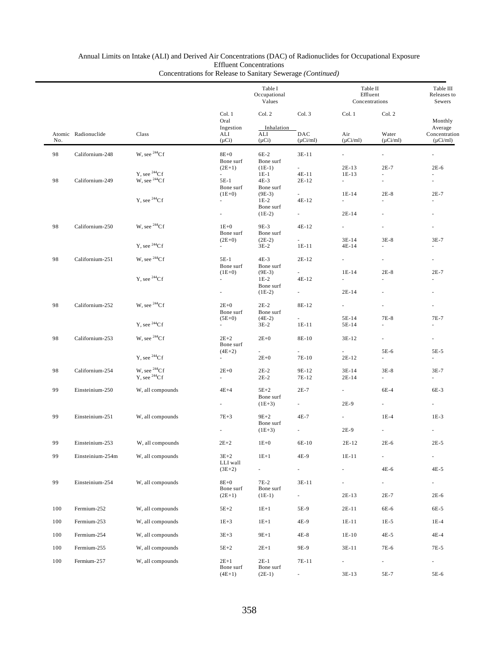| Col. 1<br>Col. 2<br>Col. 3<br>Col. 1<br>Oral<br>Ingestion<br>Inhalation<br>Atomic Radionuclide<br>Class<br>ALI<br>ALI<br>DAC<br>Air<br>$(\mu$ Ci/ml)<br>$(\mu Ci)$<br>$(\mu Ci)$<br>$(\mu$ Ci/ml)<br>No.<br>W, see $^{244}Cf$<br>98<br>Californium-248<br>$8E+0$<br>6E-2<br>$3E-11$<br>$\mathcal{L}_{\mathcal{A}}$<br>Bone surf<br>Bone surf<br>$(2E+1)$<br>$(1E-1)$<br>2E-13<br>Y, see $^{244}Cf$<br>$1E-1$<br>4E-11<br>$1E-13$<br>$\sim$<br>$\sim$<br>$W$ , see $^{244}Cf$<br>98<br>Californium-249<br>$5E-1$<br>$4E-3$<br>2E-12<br>$\mathcal{L}_{\mathcal{A}}$<br>÷.<br>Bone surf<br>Bone surf<br>$(1E+0)$<br>$(9E-3)$<br>$1E-14$<br>Y, see $^{244}Cf$<br>4E-12<br>$1E-2$<br>$\mathcal{L}_{\mathcal{A}}$ | Col. 2<br>Monthly<br>Average<br>Water<br>Concentration<br>$(\mu$ Ci/ml)<br>$(\mu$ Ci/ml)<br>$\sim$<br>$\overline{\phantom{a}}$<br>$2E-7$<br>$2E-6$<br>٠<br>ä,<br>$2E-8$<br>$2E-7$<br>×. |
|-------------------------------------------------------------------------------------------------------------------------------------------------------------------------------------------------------------------------------------------------------------------------------------------------------------------------------------------------------------------------------------------------------------------------------------------------------------------------------------------------------------------------------------------------------------------------------------------------------------------------------------------------------------------------------------------------------------|-----------------------------------------------------------------------------------------------------------------------------------------------------------------------------------------|
|                                                                                                                                                                                                                                                                                                                                                                                                                                                                                                                                                                                                                                                                                                             |                                                                                                                                                                                         |
|                                                                                                                                                                                                                                                                                                                                                                                                                                                                                                                                                                                                                                                                                                             |                                                                                                                                                                                         |
|                                                                                                                                                                                                                                                                                                                                                                                                                                                                                                                                                                                                                                                                                                             |                                                                                                                                                                                         |
|                                                                                                                                                                                                                                                                                                                                                                                                                                                                                                                                                                                                                                                                                                             |                                                                                                                                                                                         |
|                                                                                                                                                                                                                                                                                                                                                                                                                                                                                                                                                                                                                                                                                                             |                                                                                                                                                                                         |
|                                                                                                                                                                                                                                                                                                                                                                                                                                                                                                                                                                                                                                                                                                             |                                                                                                                                                                                         |
|                                                                                                                                                                                                                                                                                                                                                                                                                                                                                                                                                                                                                                                                                                             |                                                                                                                                                                                         |
|                                                                                                                                                                                                                                                                                                                                                                                                                                                                                                                                                                                                                                                                                                             |                                                                                                                                                                                         |
|                                                                                                                                                                                                                                                                                                                                                                                                                                                                                                                                                                                                                                                                                                             |                                                                                                                                                                                         |
| Bone surf<br>$2E-14$<br>$(1E-2)$<br>$\sim$<br>$\overline{\phantom{a}}$<br>ä,                                                                                                                                                                                                                                                                                                                                                                                                                                                                                                                                                                                                                                |                                                                                                                                                                                         |
|                                                                                                                                                                                                                                                                                                                                                                                                                                                                                                                                                                                                                                                                                                             |                                                                                                                                                                                         |
| W, see <sup>244</sup> Cf<br>98<br>Californium-250<br>$1E+0$<br>9E-3<br>4E-12<br>$\overline{\phantom{a}}$<br>ä,                                                                                                                                                                                                                                                                                                                                                                                                                                                                                                                                                                                              |                                                                                                                                                                                         |
| Bone surf<br>Bone surf                                                                                                                                                                                                                                                                                                                                                                                                                                                                                                                                                                                                                                                                                      |                                                                                                                                                                                         |
| $(2E-2)$<br>3E-14<br>$(2E+0)$<br>$\sim$<br>Y, see $^{244}Cf$<br>٠                                                                                                                                                                                                                                                                                                                                                                                                                                                                                                                                                                                                                                           | $3E-8$<br>$3E-7$                                                                                                                                                                        |
| $3E-2$<br>$1E-11$<br>4E-14<br>$\sim$                                                                                                                                                                                                                                                                                                                                                                                                                                                                                                                                                                                                                                                                        | $\overline{\phantom{m}}$                                                                                                                                                                |
| W, see $^{244}Cf$<br>98<br>Californium-251<br>$5E-1$<br>$4E-3$<br>$2E-12$<br>$\sim$<br>$\overline{\phantom{a}}$                                                                                                                                                                                                                                                                                                                                                                                                                                                                                                                                                                                             | $\overline{\phantom{a}}$                                                                                                                                                                |
| Bone surf<br>Bone surf                                                                                                                                                                                                                                                                                                                                                                                                                                                                                                                                                                                                                                                                                      |                                                                                                                                                                                         |
| $(1E+0)$<br>$1E-14$<br>$(9E-3)$                                                                                                                                                                                                                                                                                                                                                                                                                                                                                                                                                                                                                                                                             | $2E-8$<br>$2E-7$                                                                                                                                                                        |
| Y, see $^{244}Cf$<br>$1E-2$<br>4E-12<br>$\overline{\phantom{a}}$<br>$\overline{\phantom{a}}$                                                                                                                                                                                                                                                                                                                                                                                                                                                                                                                                                                                                                |                                                                                                                                                                                         |
| Bone surf<br>$2E-14$<br>$(1E-2)$<br>$\overline{\phantom{a}}$<br>$\sim 100$                                                                                                                                                                                                                                                                                                                                                                                                                                                                                                                                                                                                                                  | $\overline{\phantom{a}}$                                                                                                                                                                |
|                                                                                                                                                                                                                                                                                                                                                                                                                                                                                                                                                                                                                                                                                                             |                                                                                                                                                                                         |
| W, see $^{244}Cf$<br>98<br>Californium-252<br>$2E+0$<br>$2E-2$<br>8E-12<br>$\sim$<br>ä,                                                                                                                                                                                                                                                                                                                                                                                                                                                                                                                                                                                                                     |                                                                                                                                                                                         |
| Bone surf<br>Bone surf                                                                                                                                                                                                                                                                                                                                                                                                                                                                                                                                                                                                                                                                                      |                                                                                                                                                                                         |
| $(5E+0)$<br>$(4E-2)$<br>5E-14<br>$Y$ , see $^{244}Cf$<br>$3E-2$<br>$1E-11$<br>5E-14<br>$\sim$<br>$\overline{\phantom{a}}$                                                                                                                                                                                                                                                                                                                                                                                                                                                                                                                                                                                   | 7E-8<br>7E-7<br>$\overline{\phantom{a}}$                                                                                                                                                |
|                                                                                                                                                                                                                                                                                                                                                                                                                                                                                                                                                                                                                                                                                                             |                                                                                                                                                                                         |
| W, see $^{244}Cf$<br>98<br>Californium-253<br>$2E+2$<br>$2E+0$<br>8E-10<br>$3E-12$<br>$\omega$                                                                                                                                                                                                                                                                                                                                                                                                                                                                                                                                                                                                              | $\overline{\phantom{a}}$                                                                                                                                                                |
| Bone surf                                                                                                                                                                                                                                                                                                                                                                                                                                                                                                                                                                                                                                                                                                   |                                                                                                                                                                                         |
| $(4E+2)$<br>÷.<br>Y, see $^{244}Cf$                                                                                                                                                                                                                                                                                                                                                                                                                                                                                                                                                                                                                                                                         | 5E-6<br>5E-5                                                                                                                                                                            |
| $2E+0$<br>7E-10<br>2E-12<br>$\sim$<br>$\overline{\phantom{a}}$                                                                                                                                                                                                                                                                                                                                                                                                                                                                                                                                                                                                                                              | $\overline{\phantom{a}}$                                                                                                                                                                |
| W, see $^{244}Cf$<br>98<br>Californium-254<br>$2E+0$<br>$2E-2$<br>9E-12<br>$3E-14$                                                                                                                                                                                                                                                                                                                                                                                                                                                                                                                                                                                                                          | $3E-8$<br>$3E-7$                                                                                                                                                                        |
| $Y$ , see $^{244}Cf$<br>$2E-2$<br>7E-12<br>2E-14<br>$\mathcal{L}_{\mathcal{A}}$                                                                                                                                                                                                                                                                                                                                                                                                                                                                                                                                                                                                                             | a.<br>$\overline{\phantom{a}}$                                                                                                                                                          |
|                                                                                                                                                                                                                                                                                                                                                                                                                                                                                                                                                                                                                                                                                                             |                                                                                                                                                                                         |
| 99<br>$4E+4$<br>$5E+2$<br>$2E-7$<br>Einsteinium-250<br>W, all compounds<br>$\sim$<br>Bone surf                                                                                                                                                                                                                                                                                                                                                                                                                                                                                                                                                                                                              | 6E-4<br>6E-3                                                                                                                                                                            |
| 2E-9<br>$(1E+3)$<br>$\sim 100$<br>$\sim 10^{-1}$                                                                                                                                                                                                                                                                                                                                                                                                                                                                                                                                                                                                                                                            | $\sim$<br>$\sim$                                                                                                                                                                        |
|                                                                                                                                                                                                                                                                                                                                                                                                                                                                                                                                                                                                                                                                                                             |                                                                                                                                                                                         |
| 99<br>$7E+3$<br>$9E+2$<br>4E-7<br>Einsteinium-251<br>W, all compounds<br>$\sim$                                                                                                                                                                                                                                                                                                                                                                                                                                                                                                                                                                                                                             | $1E-4$<br>$1E-3$                                                                                                                                                                        |
| Bone surf<br>$2E-9$<br>$(1E+3)$<br>$\overline{\phantom{a}}$<br>÷.<br>ä,                                                                                                                                                                                                                                                                                                                                                                                                                                                                                                                                                                                                                                     |                                                                                                                                                                                         |
|                                                                                                                                                                                                                                                                                                                                                                                                                                                                                                                                                                                                                                                                                                             |                                                                                                                                                                                         |
| 99<br>$2E+2$<br>$2E-12$<br>Einsteinium-253<br>W, all compounds<br>$1E+0$<br>$6E-10$                                                                                                                                                                                                                                                                                                                                                                                                                                                                                                                                                                                                                         | $2E-6$<br>$2E-5$                                                                                                                                                                        |
|                                                                                                                                                                                                                                                                                                                                                                                                                                                                                                                                                                                                                                                                                                             |                                                                                                                                                                                         |
| 99<br>Einsteinium-254m<br>$3E+2$<br>$1E+1$<br>4E-9<br>$1E-11$<br>W, all compounds<br>LLI wall                                                                                                                                                                                                                                                                                                                                                                                                                                                                                                                                                                                                               |                                                                                                                                                                                         |
| $(3E+2)$<br>$\overline{\phantom{a}}$<br>$\overline{\phantom{a}}$<br>$\overline{\phantom{a}}$                                                                                                                                                                                                                                                                                                                                                                                                                                                                                                                                                                                                                | 4E-6<br>$4E-5$                                                                                                                                                                          |
|                                                                                                                                                                                                                                                                                                                                                                                                                                                                                                                                                                                                                                                                                                             |                                                                                                                                                                                         |
| 99<br>$7E-2$<br>Einsteinium-254<br>W, all compounds<br>$8E+0$<br>$3E-11$<br>$\overline{\phantom{a}}$                                                                                                                                                                                                                                                                                                                                                                                                                                                                                                                                                                                                        | $\sim 10$<br>$\sim$                                                                                                                                                                     |
| Bone surf<br>Bone surf<br>$(2E+1)$<br>$(1E-1)$<br>2E-13                                                                                                                                                                                                                                                                                                                                                                                                                                                                                                                                                                                                                                                     | $2E-7$<br>2E-6                                                                                                                                                                          |
| $\sim$                                                                                                                                                                                                                                                                                                                                                                                                                                                                                                                                                                                                                                                                                                      |                                                                                                                                                                                         |
| 100<br>Fermium-252<br>$1E+1$<br>$2E-11$<br>W, all compounds<br>$5E+2$<br>5E-9                                                                                                                                                                                                                                                                                                                                                                                                                                                                                                                                                                                                                               | 6E-6<br>6E-5                                                                                                                                                                            |
|                                                                                                                                                                                                                                                                                                                                                                                                                                                                                                                                                                                                                                                                                                             |                                                                                                                                                                                         |
| 100<br>Fermium-253<br>W, all compounds<br>$1E + 3$<br>$1E+1$<br>4E-9<br>1E-11                                                                                                                                                                                                                                                                                                                                                                                                                                                                                                                                                                                                                               | $1E-5$<br>$1E-4$                                                                                                                                                                        |
| 100<br>$9E+1$<br>Fermium-254<br>W, all compounds<br>$3E + 3$<br>4E-8<br>$1E-10$                                                                                                                                                                                                                                                                                                                                                                                                                                                                                                                                                                                                                             | 4E-4<br>$4E-5$                                                                                                                                                                          |
|                                                                                                                                                                                                                                                                                                                                                                                                                                                                                                                                                                                                                                                                                                             |                                                                                                                                                                                         |
| 100<br>$2E+1$<br>9E-9<br>Fermium-255<br>W, all compounds<br>$5E+2$<br>3E-11                                                                                                                                                                                                                                                                                                                                                                                                                                                                                                                                                                                                                                 | 7E-6<br>7E-5                                                                                                                                                                            |
|                                                                                                                                                                                                                                                                                                                                                                                                                                                                                                                                                                                                                                                                                                             |                                                                                                                                                                                         |
| 100<br>$2E+1$<br>$2E-1$<br>Fermium-257<br>W, all compounds<br>7E-11<br>ä,<br>$\overline{\phantom{a}}$<br>Bone surf<br>Bone surf                                                                                                                                                                                                                                                                                                                                                                                                                                                                                                                                                                             | $\overline{\phantom{a}}$                                                                                                                                                                |
| 3E-13<br>$(4E+1)$<br>$(2E-1)$<br>$\sim$                                                                                                                                                                                                                                                                                                                                                                                                                                                                                                                                                                                                                                                                     | 5E-7<br>5E-6                                                                                                                                                                            |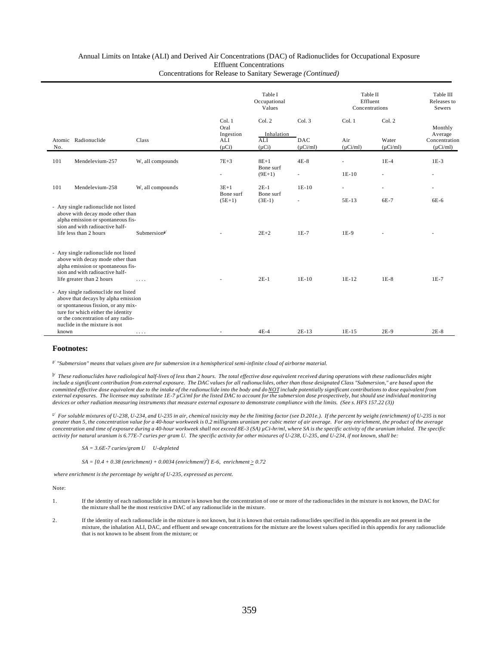| Atomic<br>No. |                                                                                                                                                                                                                                 |                                          | Table I<br>Occupational<br>Values |                      |                             | Table II<br>Effluent<br>Concentrations |                        | Table III<br>Releases to<br>Sewers |
|---------------|---------------------------------------------------------------------------------------------------------------------------------------------------------------------------------------------------------------------------------|------------------------------------------|-----------------------------------|----------------------|-----------------------------|----------------------------------------|------------------------|------------------------------------|
|               |                                                                                                                                                                                                                                 |                                          | Col. 1<br>Oral<br>Ingestion       | Col. 2<br>Inhalation | Col.3                       | Col. 1                                 | Col. 2                 | Monthly<br>Average                 |
|               | Radionuclide                                                                                                                                                                                                                    | Class                                    | ALI<br>$(\mu Ci)$                 | ALI<br>$(\mu Ci)$    | <b>DAC</b><br>$(\mu Ci/ml)$ | Air<br>$(\mu$ Ci/ml)                   | Water<br>$(\mu$ Ci/ml) | Concentration<br>$(\mu$ Ci/ml)     |
| 101           | Mendelevium-257                                                                                                                                                                                                                 | W, all compounds                         | $7E+3$                            | $8E+1$<br>Bone surf  | $4E-8$                      |                                        | $1E-4$                 | $1E-3$                             |
|               |                                                                                                                                                                                                                                 |                                          |                                   | $(9E+1)$             |                             | $1E-10$                                |                        |                                    |
| 101           | Mendelevium-258                                                                                                                                                                                                                 | W, all compounds                         | $3E+1$<br>Bone surf               | $2E-1$<br>Bone surf  | $1E-10$                     | ä,                                     | ÷.                     |                                    |
|               | - Any single radionuclide not listed<br>above with decay mode other than<br>alpha emission or spontaneous fis-<br>sion and with radioactive half-                                                                               |                                          | $(5E+1)$                          | $(3E-1)$             | ÷.                          | $5E-13$                                | 6E-7                   | 6E-6                               |
|               | life less than 2 hours                                                                                                                                                                                                          | Submersion $a$ <sup><math>4</math></sup> |                                   | $2E+2$               | $1E-7$                      | $1E-9$                                 |                        |                                    |
|               | - Any single radionuclide not listed<br>above with decay mode other than<br>alpha emission or spontaneous fis-<br>sion and with radioactive half-<br>life greater than 2 hours                                                  | .                                        |                                   | $2E-1$               | $1E-10$                     | $1E-12$                                | $1E-8$                 | $1E-7$                             |
| known         | - Any single radionuclide not listed<br>above that decays by alpha emission<br>or spontaneous fission, or any mix-<br>ture for which either the identity<br>or the concentration of any radio-<br>nuclide in the mixture is not |                                          |                                   | $4E-4$               | $2E-13$                     | $1E-15$                                | $2E-9$                 | $2E-8$                             |

#### **Footnotes:**

a/  *"Submersion" means that values given are for submersion in a hemispherical semi-infinite cloud of airborne material.*

b/ *These radionuclides have radiological half-lives of less than 2 hours. The total effective dose equivalent received during operations with these radionuclides might include a significant contribution from external exposure. The DAC values for all radionuclides, other than those designated Class "Submersion," are based upon the* committed effective dose equivalent due to the intake of the radionuclide into the body and do <u>NOT</u> include potentially significant contributions to dose equivalent from<br>external exposures. The licensee may substitute 1E *devices or other radiation measuring instruments that measure external exposure to demonstrate compliance with the limits. (See s. HFS 157.22 (3))*

c/ *For soluble mixtures of U-238, U-234, and U-235 in air, chemical toxicity may be the limiting factor (see D.201e.). If the percent by weight (enrichment) of U-235 is not greater than 5, the concentration value for a 40-hour workweek is 0.2 milligrams uranium per cubic meter of air average. For any enrichment, the product of the average concentration and time of exposure during a 40-hour workweek shall not exceed 8E-3 (SA) µCi-hr/ml, where SA is the specific activity of the uranium inhaled. The specific activity for natural uranium is 6.77E-7 curies per gram U. The specific activity for other mixtures of U-238, U-235, and U-234, if not known, shall be:*

*SA = 3.6E-7 curies/gram U U-depleted*

 $SA = [0.4 + 0.38$  (enrichment) + 0.0034 (enrichment)<sup>2</sup>] E-6, enrichment  $\ge 0.72$ 

 *where enrichment is the percentage by weight of U-235, expressed as percent.*

Note:

- 1. If the identity of each radionuclide in a mixture is known but the concentration of one or more of the radionuclides in the mixture is not known, the DAC for the mixture shall be the most restrictive DAC of any radionuclide in the mixture.
- 2. If the identity of each radionuclide in the mixture is not known, but it is known that certain radionuclides specified in this appendix are not present in the mixture, the inhalation ALI, DAC, and effluent and sewage concentrations for the mixture are the lowest values specified in this appendix for any radionuclide that is not known to be absent from the mixture; or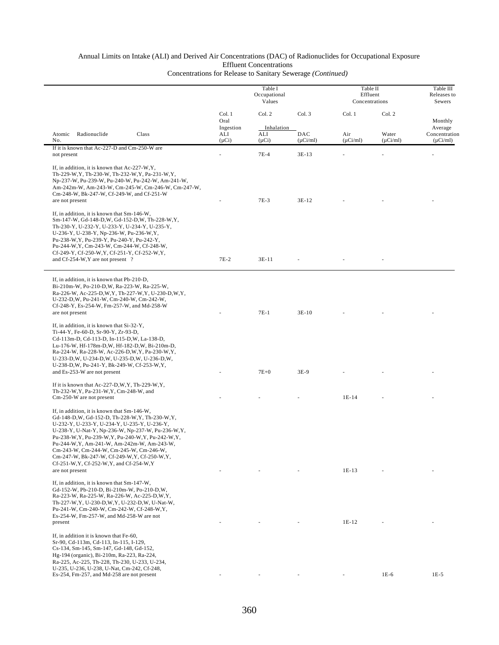|                                                                                                                                                                                                                                                                                                                                                                                                                                                                                                                                                               | Table I<br>Occupational<br>Values |                      |                      | Table II<br>Effluent<br>Concentrations |                        | Table III<br>Releases to<br>Sewers |
|---------------------------------------------------------------------------------------------------------------------------------------------------------------------------------------------------------------------------------------------------------------------------------------------------------------------------------------------------------------------------------------------------------------------------------------------------------------------------------------------------------------------------------------------------------------|-----------------------------------|----------------------|----------------------|----------------------------------------|------------------------|------------------------------------|
|                                                                                                                                                                                                                                                                                                                                                                                                                                                                                                                                                               | Col. 1<br>Oral<br>Ingestion       | Col. 2<br>Inhalation | Col. 3               | Col. 1                                 | Col. 2                 | Monthly<br>Average                 |
| Radionuclide<br>Class<br>Atomic<br>No.                                                                                                                                                                                                                                                                                                                                                                                                                                                                                                                        | ALI<br>$(\mu Ci)$                 | ALI<br>$(\mu Ci)$    | DAC<br>$(\mu Ci/ml)$ | Air<br>$(\mu Ci/ml)$                   | Water<br>$(\mu$ Ci/ml) | Concentration<br>$(\mu Ci/ml)$     |
| If it is known that Ac-227-D and Cm-250-W are<br>not present                                                                                                                                                                                                                                                                                                                                                                                                                                                                                                  |                                   | $7E-4$               | 3E-13                |                                        |                        |                                    |
| If, in addition, it is known that Ac-227-W, Y,<br>Th-229-W, Y, Th-230-W, Th-232-W, Y, Pa-231-W, Y,<br>Np-237-W, Pu-239-W, Pu-240-W, Pu-242-W, Am-241-W,<br>Am-242m-W, Am-243-W, Cm-245-W, Cm-246-W, Cm-247-W,<br>Cm-248-W, Bk-247-W, Cf-249-W, and Cf-251-W<br>are not present                                                                                                                                                                                                                                                                                |                                   | $7E-3$               | $3E-12$              |                                        |                        |                                    |
| If, in addition, it is known that Sm-146-W,<br>Sm-147-W, Gd-148-D, W, Gd-152-D, W, Th-228-W, Y,<br>Th-230-Y, U-232-Y, U-233-Y, U-234-Y, U-235-Y,<br>U-236-Y, U-238-Y, Np-236-W, Pu-236-W, Y,<br>Pu-238-W, Y, Pu-239-Y, Pu-240-Y, Pu-242-Y,<br>Pu-244-W, Y, Cm-243-W, Cm-244-W, Cf-248-W,<br>Cf-249-Y, Cf-250-W, Y, Cf-251-Y, Cf-252-W, Y,                                                                                                                                                                                                                     |                                   |                      |                      |                                        |                        |                                    |
| and Cf-254-W, Y are not present ?                                                                                                                                                                                                                                                                                                                                                                                                                                                                                                                             | $7E-2$                            | $3E-11$              |                      |                                        |                        |                                    |
| If, in addition, it is known that Pb-210-D,<br>Bi-210m-W, Po-210-D, W, Ra-223-W, Ra-225-W,<br>Ra-226-W, Ac-225-D, W, Y, Th-227-W, Y, U-230-D, W, Y,<br>U-232-D, W, Pu-241-W, Cm-240-W, Cm-242-W,<br>Cf-248-Y, Es-254-W, Fm-257-W, and Md-258-W<br>are not present<br>If, in addition, it is known that Si-32-Y,<br>Ti-44-Y, Fe-60-D, Sr-90-Y, Zr-93-D,<br>Cd-113m-D, Cd-113-D, In-115-D, W, La-138-D,<br>Lu-176-W, Hf-178m-D,W, Hf-182-D,W, Bi-210m-D,<br>Ra-224-W, Ra-228-W, Ac-226-D, W, Y, Pa-230-W, Y,<br>U-233-D, W, U-234-D, W, U-235-D, W, U-236-D, W, |                                   | $7E-1$               | $3E-10$              |                                        |                        |                                    |
| U-238-D, W, Pu-241-Y, Bk-249-W, Cf-253-W, Y,<br>and Es-253-W are not present                                                                                                                                                                                                                                                                                                                                                                                                                                                                                  |                                   | $7E+0$               | $3E-9$               |                                        |                        |                                    |
| If it is known that $Ac-227-D,W,Y$ , Th-229-W, Y,<br>Th-232-W, Y, Pa-231-W, Y, Cm-248-W, and<br>Cm-250-W are not present                                                                                                                                                                                                                                                                                                                                                                                                                                      |                                   |                      |                      | $1E-14$                                |                        |                                    |
| If, in addition, it is known that Sm-146-W,<br>Gd-148-D, W, Gd-152-D, Th-228-W, Y, Th-230-W, Y,<br>U-232-Y, U-233-Y, U-234-Y, U-235-Y, U-236-Y,<br>U-238-Y, U-Nat-Y, Np-236-W, Np-237-W, Pu-236-W, Y,<br>Pu-238-W, Y, Pu-239-W, Y, Pu-240-W, Y, Pu-242-W, Y,<br>Pu-244-W, Y, Am-241-W, Am-242m-W, Am-243-W,<br>Cm-243-W, Cm-244-W, Cm-245-W, Cm-246-W,<br>Cm-247-W, Bk-247-W, Cf-249-W, Y, Cf-250-W, Y,<br>Cf-251-W, Y, Cf-252-W, Y, and Cf-254-W, Y<br>are not present                                                                                       |                                   |                      |                      | 1E-13                                  |                        |                                    |
| If, in addition, it is known that Sm-147-W,<br>Gd-152-W, Pb-210-D, Bi-210m-W, Po-210-D, W,<br>Ra-223-W, Ra-225-W, Ra-226-W, Ac-225-D, W, Y,<br>Th-227-W, Y, U-230-D, W, Y, U-232-D, W, U-Nat-W,<br>Pu-241-W, Cm-240-W, Cm-242-W, Cf-248-W, Y,<br>Es-254-W, Fm-257-W, and Md-258-W are not<br>present                                                                                                                                                                                                                                                          |                                   |                      |                      | $1E-12$                                |                        |                                    |
| If, in addition it is known that Fe-60,<br>Sr-90, Cd-113m, Cd-113, In-115, I-129,<br>Cs-134, Sm-145, Sm-147, Gd-148, Gd-152,<br>Hg-194 (organic), Bi-210m, Ra-223, Ra-224,<br>Ra-225, Ac-225, Th-228, Th-230, U-233, U-234,<br>U-235, U-236, U-238, U-Nat, Cm-242, Cf-248,<br>Es-254, Fm-257, and Md-258 are not present                                                                                                                                                                                                                                      |                                   |                      |                      |                                        | 1E-6                   | $1E-5$                             |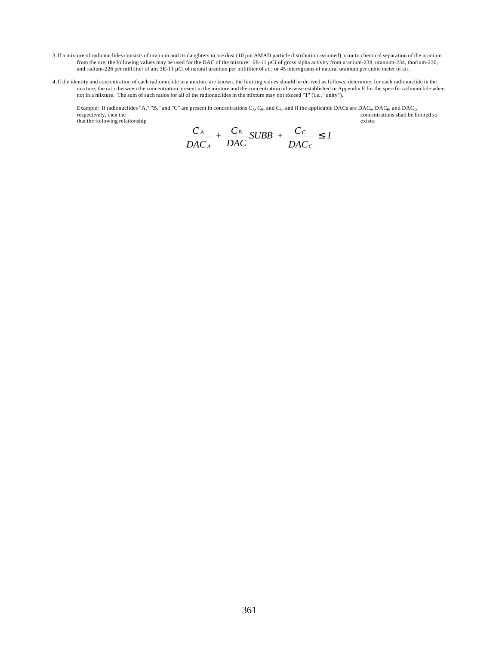- 3.If a mixture of radionuclides consists of uranium and its daughters in ore dust (10 µm AMAD particle distribution assumed) prior to chemical separation of the uranium from the ore, the following values may be used for the DAC of the mixture: 6E-11 µCi of gross alpha activity from uranium-238, uranium-234, thorium-230, and radium-226 per milliliter of air; 3E-11 µCi of natural uranium per milliliter of air; or 45 micrograms of natural uranium per cubic meter of air.
- 4.If the identity and concentration of each radionuclide in a mixture are known, the limiting values should be derived as follows: determine, for each radionuclide in the mixture, the ratio between the concentration present in the mixture and the concentration otherwise established in Appendix E for the specific radionuclide when not in a mixture. The sum of such ratios for all of the radionuclides in the mixture may not exceed "1" (i.e., "unity").

Example: If radionuclides "A," "B," and "C" are present in concentrations  $C_A$ ,  $C_B$ , and if the applicable DACs are DAC<sub>A</sub>, DAC<sub>B</sub>, and DAC<sub>C</sub>, concentrations shall be limited so<br>exists:  $t$ . That the following relationship that the following relationship

$$
\frac{C_A}{DAC_A} + \frac{C_B}{DAC} SUBB + \frac{C_C}{DAC_C} \le 1
$$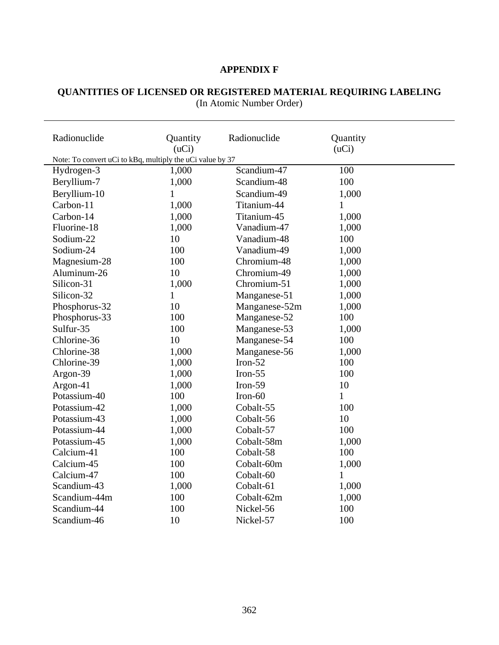# **APPENDIX F**

#### **QUANTITIES OF LICENSED OR REGISTERED MATERIAL REQUIRING LABELING** (In Atomic Number Order)

| Radionuclide                                              | Quantity<br>(uCi) | Radionuclide  | Quantity<br>(uCi) |  |
|-----------------------------------------------------------|-------------------|---------------|-------------------|--|
| Note: To convert uCi to kBq, multiply the uCi value by 37 |                   |               |                   |  |
| Hydrogen-3                                                | 1,000             | Scandium-47   | 100               |  |
| Beryllium-7                                               | 1,000             | Scandium-48   | 100               |  |
| Beryllium-10                                              | $\mathbf{1}$      | Scandium-49   | 1,000             |  |
| Carbon-11                                                 | 1,000             | Titanium-44   | $\mathbf{1}$      |  |
| Carbon-14                                                 | 1,000             | Titanium-45   | 1,000             |  |
| Fluorine-18                                               | 1,000             | Vanadium-47   | 1,000             |  |
| Sodium-22                                                 | 10                | Vanadium-48   | 100               |  |
| Sodium-24                                                 | 100               | Vanadium-49   | 1,000             |  |
| Magnesium-28                                              | 100               | Chromium-48   | 1,000             |  |
| Aluminum-26                                               | 10                | Chromium-49   | 1,000             |  |
| Silicon-31                                                | 1,000             | Chromium-51   | 1,000             |  |
| Silicon-32                                                | $\mathbf{1}$      | Manganese-51  | 1,000             |  |
| Phosphorus-32                                             | 10                | Manganese-52m | 1,000             |  |
| Phosphorus-33                                             | 100               | Manganese-52  | 100               |  |
| Sulfur-35                                                 | 100               | Manganese-53  | 1,000             |  |
| Chlorine-36                                               | 10                | Manganese-54  | 100               |  |
| Chlorine-38                                               | 1,000             | Manganese-56  | 1,000             |  |
| Chlorine-39                                               | 1,000             | Iron- $52$    | 100               |  |
| Argon-39                                                  | 1,000             | Iron- $55$    | 100               |  |
| Argon-41                                                  | 1,000             | Iron-59       | 10                |  |
| Potassium-40                                              | 100               | $Iron-60$     | $\mathbf 1$       |  |
| Potassium-42                                              | 1,000             | Cobalt-55     | 100               |  |
| Potassium-43                                              | 1,000             | Cobalt-56     | 10                |  |
| Potassium-44                                              | 1,000             | Cobalt-57     | 100               |  |
| Potassium-45                                              | 1,000             | Cobalt-58m    | 1,000             |  |
| Calcium-41                                                | 100               | Cobalt-58     | 100               |  |
| Calcium-45                                                | 100               | Cobalt-60m    | 1,000             |  |
| Calcium-47                                                | 100               | Cobalt-60     | 1                 |  |
| Scandium-43                                               | 1,000             | Cobalt-61     | 1,000             |  |
| Scandium-44m                                              | 100               | Cobalt-62m    | 1,000             |  |
| Scandium-44                                               | 100               | Nickel-56     | 100               |  |
| Scandium-46                                               | 10                | Nickel-57     | 100               |  |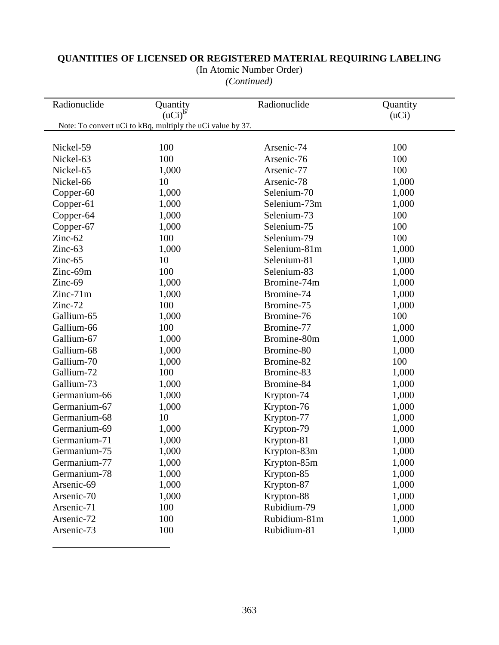| (In Atomic Number Order) |  |  |
|--------------------------|--|--|
|--------------------------|--|--|

*(Continued)*

| Radionuclide | Quantity<br>$(uci)^{b'}$                                   | Radionuclide | Quantity<br>(uCi) |
|--------------|------------------------------------------------------------|--------------|-------------------|
|              | Note: To convert uCi to kBq, multiply the uCi value by 37. |              |                   |
|              |                                                            |              |                   |
| Nickel-59    | 100                                                        | Arsenic-74   | 100               |
| Nickel-63    | 100                                                        | Arsenic-76   | 100               |
| Nickel-65    | 1,000                                                      | Arsenic-77   | 100               |
| Nickel-66    | 10                                                         | Arsenic-78   | 1,000             |
| Copper-60    | 1,000                                                      | Selenium-70  | 1,000             |
| Copper-61    | 1,000                                                      | Selenium-73m | 1,000             |
| Copper-64    | 1,000                                                      | Selenium-73  | 100               |
| Copper-67    | 1,000                                                      | Selenium-75  | 100               |
| $Zinc-62$    | 100                                                        | Selenium-79  | 100               |
| Zinc-63      | 1,000                                                      | Selenium-81m | 1,000             |
| Zinc-65      | 10                                                         | Selenium-81  | 1,000             |
| Zinc-69m     | 100                                                        | Selenium-83  | 1,000             |
| Zinc-69      | 1,000                                                      | Bromine-74m  | 1,000             |
| $Zinc-71m$   | 1,000                                                      | Bromine-74   | 1,000             |
| Zinc-72      | 100                                                        | Bromine-75   | 1,000             |
| Gallium-65   | 1,000                                                      | Bromine-76   | 100               |
| Gallium-66   | 100                                                        | Bromine-77   | 1,000             |
| Gallium-67   | 1,000                                                      | Bromine-80m  | 1,000             |
| Gallium-68   | 1,000                                                      | Bromine-80   | 1,000             |
| Gallium-70   | 1,000                                                      | Bromine-82   | 100               |
| Gallium-72   | 100                                                        | Bromine-83   | 1,000             |
| Gallium-73   | 1,000                                                      | Bromine-84   | 1,000             |
| Germanium-66 | 1,000                                                      | Krypton-74   | 1,000             |
| Germanium-67 | 1,000                                                      | Krypton-76   | 1,000             |
| Germanium-68 | 10                                                         | Krypton-77   | 1,000             |
| Germanium-69 | 1,000                                                      | Krypton-79   | 1,000             |
| Germanium-71 | 1,000                                                      | Krypton-81   | 1,000             |
| Germanium-75 | 1,000                                                      | Krypton-83m  | 1,000             |
| Germanium-77 | 1,000                                                      | Krypton-85m  | 1,000             |
| Germanium-78 | 1,000                                                      | Krypton-85   | 1,000             |
| Arsenic-69   | 1,000                                                      | Krypton-87   | 1,000             |
| Arsenic-70   | 1,000                                                      | Krypton-88   | 1,000             |
| Arsenic-71   | 100                                                        | Rubidium-79  | 1,000             |
| Arsenic-72   | 100                                                        | Rubidium-81m | 1,000             |
| Arsenic-73   | 100                                                        | Rubidium-81  | 1,000             |

 $\overline{a}$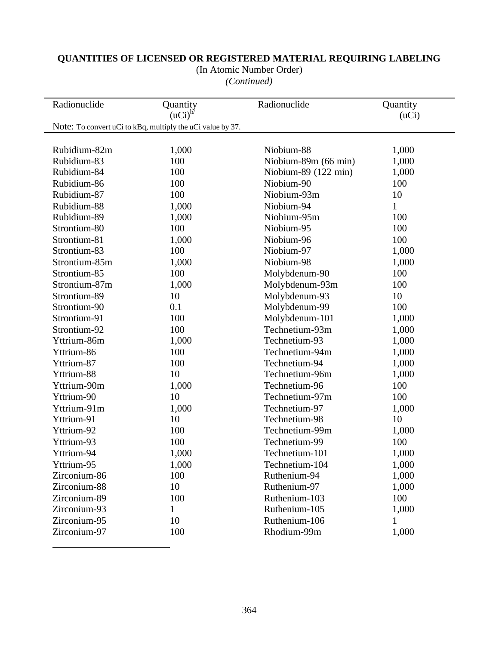| (In Atomic Number Order) |  |
|--------------------------|--|
|--------------------------|--|

*(Continued)*

| Radionuclide  | Quantity<br>$(uci)^{b'}$                                   | Radionuclide         | Quantity<br>(uCi) |
|---------------|------------------------------------------------------------|----------------------|-------------------|
|               | Note: To convert uCi to kBq, multiply the uCi value by 37. |                      |                   |
|               |                                                            |                      |                   |
| Rubidium-82m  | 1,000                                                      | Niobium-88           | 1,000             |
| Rubidium-83   | 100                                                        | Niobium-89m (66 min) | 1,000             |
| Rubidium-84   | 100                                                        | Niobium-89 (122 min) | 1,000             |
| Rubidium-86   | 100                                                        | Niobium-90           | 100               |
| Rubidium-87   | 100                                                        | Niobium-93m          | 10                |
| Rubidium-88   | 1,000                                                      | Niobium-94           | $\mathbf{1}$      |
| Rubidium-89   | 1,000                                                      | Niobium-95m          | 100               |
| Strontium-80  | 100                                                        | Niobium-95           | 100               |
| Strontium-81  | 1,000                                                      | Niobium-96           | 100               |
| Strontium-83  | 100                                                        | Niobium-97           | 1,000             |
| Strontium-85m | 1,000                                                      | Niobium-98           | 1,000             |
| Strontium-85  | 100                                                        | Molybdenum-90        | 100               |
| Strontium-87m | 1,000                                                      | Molybdenum-93m       | 100               |
| Strontium-89  | 10                                                         | Molybdenum-93        | 10                |
| Strontium-90  | 0.1                                                        | Molybdenum-99        | 100               |
| Strontium-91  | 100                                                        | Molybdenum-101       | 1,000             |
| Strontium-92  | 100                                                        | Technetium-93m       | 1,000             |
| Yttrium-86m   | 1,000                                                      | Technetium-93        | 1,000             |
| Yttrium-86    | 100                                                        | Technetium-94m       | 1,000             |
| Yttrium-87    | 100                                                        | Technetium-94        | 1,000             |
| Yttrium-88    | 10                                                         | Technetium-96m       | 1,000             |
| Yttrium-90m   | 1,000                                                      | Technetium-96        | 100               |
| Yttrium-90    | 10                                                         | Technetium-97m       | 100               |
| Yttrium-91m   | 1,000                                                      | Technetium-97        | 1,000             |
| Yttrium-91    | 10                                                         | Technetium-98        | 10                |
| Yttrium-92    | 100                                                        | Technetium-99m       | 1,000             |
| Yttrium-93    | 100                                                        | Technetium-99        | 100               |
| Yttrium-94    | 1,000                                                      | Technetium-101       | 1,000             |
| Yttrium-95    | 1,000                                                      | Technetium-104       | 1,000             |
| Zirconium-86  | 100                                                        | Ruthenium-94         | 1,000             |
| Zirconium-88  | 10                                                         | Ruthenium-97         | 1,000             |
| Zirconium-89  | 100                                                        | Ruthenium-103        | 100               |
| Zirconium-93  | 1                                                          | Ruthenium-105        | 1,000             |
| Zirconium-95  | 10                                                         | Ruthenium-106        | $\mathbf{1}$      |
| Zirconium-97  | 100                                                        | Rhodium-99m          | 1,000             |

 $\overline{a}$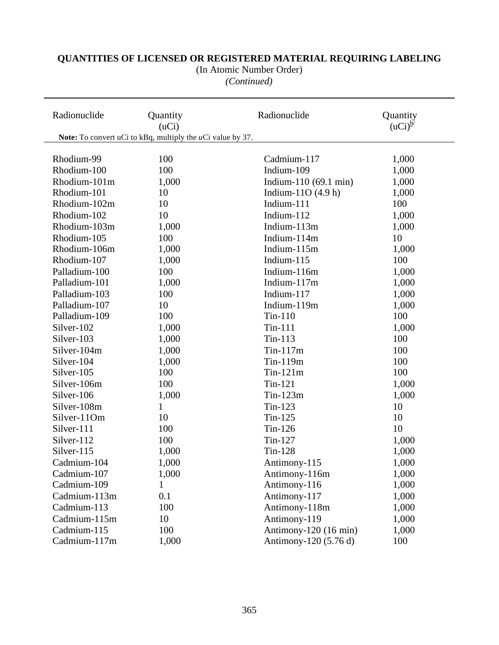# **QUANTITIES OF LICENSED OR REGISTERED MATERIAL REQUIRING LABELING** (In Atomic Number Order)

*(Continued)*

| Radionuclide  | Quantity<br>(uCi)                                             | Radionuclide                    | Quantity<br>$(uCi)^{b'}$ |
|---------------|---------------------------------------------------------------|---------------------------------|--------------------------|
|               | Note: To convert uCi to kBq, multiply the $u$ Ci value by 37. |                                 |                          |
|               |                                                               |                                 |                          |
| Rhodium-99    | 100                                                           | Cadmium-117                     | 1,000                    |
| Rhodium-100   | 100                                                           | Indium-109                      | 1,000                    |
| Rhodium-101m  | 1,000                                                         | Indium-110 $(69.1 \text{ min})$ | 1,000                    |
| Rhodium-101   | 10                                                            | Indium-11O $(4.9 h)$            | 1,000                    |
| Rhodium-102m  | 10                                                            | Indium-111                      | 100                      |
| Rhodium-102   | 10                                                            | Indium-112                      | 1,000                    |
| Rhodium-103m  | 1,000                                                         | Indium-113m                     | 1,000                    |
| Rhodium-105   | 100                                                           | Indium-114m                     | 10                       |
| Rhodium-106m  | 1,000                                                         | Indium-115m                     | 1,000                    |
| Rhodium-107   | 1,000                                                         | Indium-115                      | 100                      |
| Palladium-100 | 100                                                           | Indium-116m                     | 1,000                    |
| Palladium-101 | 1,000                                                         | Indium-117m                     | 1,000                    |
| Palladium-103 | 100                                                           | Indium-117                      | 1,000                    |
| Palladium-107 | 10                                                            | Indium-119m                     | 1,000                    |
| Palladium-109 | 100                                                           | $Tin-110$                       | 100                      |
| Silver-102    | 1,000                                                         | $Tin-111$                       | 1,000                    |
| Silver-103    | 1,000                                                         | $Tin-113$                       | 100                      |
| Silver-104m   | 1,000                                                         | $Tin-117m$                      | 100                      |
| Silver-104    | 1,000                                                         | Tin-119m                        | 100                      |
| Silver-105    | 100                                                           | $Tin-121m$                      | 100                      |
| Silver-106m   | 100                                                           | $Tin-121$                       | 1,000                    |
| Silver-106    | 1,000                                                         | $Tin-123m$                      | 1,000                    |
| Silver-108m   | $\mathbf{1}$                                                  | $Tin-123$                       | 10                       |
| Silver-11Om   | 10                                                            | $Tin-125$                       | 10                       |
| Silver-111    | 100                                                           | $Tin-126$                       | 10                       |
| Silver-112    | 100                                                           | Tin-127                         | 1,000                    |
| Silver-115    | 1,000                                                         | Tin-128                         | 1,000                    |
| Cadmium-104   | 1,000                                                         | Antimony-115                    | 1,000                    |
| Cadmium-107   | 1,000                                                         | Antimony-116m                   | 1,000                    |
| Cadmium-109   |                                                               | Antimony-116                    | 1,000                    |
| Cadmium-113m  | 0.1                                                           | Antimony-117                    | 1,000                    |
| Cadmium-113   | 100                                                           | Antimony-118m                   | 1,000                    |
| Cadmium-115m  | 10                                                            | Antimony-119                    | 1,000                    |
| Cadmium-115   | 100                                                           | Antimony-120 (16 min)           | 1,000                    |
| Cadmium-117m  | 1,000                                                         | Antimony-120 (5.76 d)           | 100                      |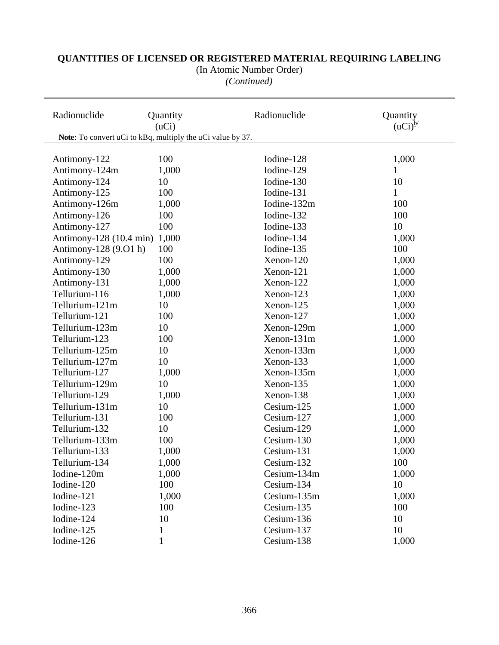(In Atomic Number Order)

*(Continued)*

| Radionuclide                                               | Quantity<br>(uCi) | Radionuclide | Quantity<br>$(uci)^{b'}$ |
|------------------------------------------------------------|-------------------|--------------|--------------------------|
| Note: To convert uCi to kBq, multiply the uCi value by 37. |                   |              |                          |
|                                                            |                   |              |                          |
| Antimony-122                                               | 100               | Iodine-128   | 1,000                    |
| Antimony-124m                                              | 1,000             | Iodine-129   | 1                        |
| Antimony-124                                               | 10                | Iodine-130   | 10                       |
| Antimony-125                                               | 100               | Iodine-131   | $\mathbf{1}$             |
| Antimony-126m                                              | 1,000             | Iodine-132m  | 100                      |
| Antimony-126                                               | 100               | Iodine-132   | 100                      |
| Antimony-127                                               | 100               | Iodine-133   | 10                       |
| Antimony-128 (10.4 min)                                    | 1,000             | Iodine-134   | 1,000                    |
| Antimony-128 (9.01 h)                                      | 100               | Iodine-135   | 100                      |
| Antimony-129                                               | 100               | Xenon-120    | 1,000                    |
| Antimony-130                                               | 1,000             | Xenon-121    | 1,000                    |
| Antimony-131                                               | 1,000             | Xenon-122    | 1,000                    |
| Tellurium-116                                              | 1,000             | Xenon-123    | 1,000                    |
| Tellurium-121m                                             | 10                | Xenon-125    | 1,000                    |
| Tellurium-121                                              | 100               | Xenon-127    | 1,000                    |
| Tellurium-123m                                             | 10                | Xenon-129m   | 1,000                    |
| Tellurium-123                                              | 100               | Xenon-131m   | 1,000                    |
| Tellurium-125m                                             | 10                | Xenon-133m   | 1,000                    |
| Tellurium-127m                                             | 10                | Xenon-133    | 1,000                    |
| Tellurium-127                                              | 1,000             | Xenon-135m   | 1,000                    |
| Tellurium-129m                                             | 10                | Xenon-135    | 1,000                    |
| Tellurium-129                                              | 1,000             | Xenon-138    | 1,000                    |
| Tellurium-131m                                             | 10                | Cesium-125   | 1,000                    |
| Tellurium-131                                              | 100               | Cesium-127   | 1,000                    |
| Tellurium-132                                              | 10                | Cesium-129   | 1,000                    |
| Tellurium-133m                                             | 100               | Cesium-130   | 1,000                    |
| Tellurium-133                                              | 1,000             | Cesium-131   | 1,000                    |
| Tellurium-134                                              | 1,000             | Cesium-132   | 100                      |
| Iodine-120m                                                | 1,000             | Cesium-134m  | 1,000                    |
| Iodine-120                                                 | 100               | Cesium-134   | 10                       |
| Iodine-121                                                 | 1,000             | Cesium-135m  | 1,000                    |
| Iodine-123                                                 | 100               | Cesium-135   | 100                      |
| Iodine-124                                                 | 10                | Cesium-136   | 10                       |
| Iodine-125                                                 | 1                 | Cesium-137   | 10                       |
| Iodine-126                                                 | 1                 | Cesium-138   | 1,000                    |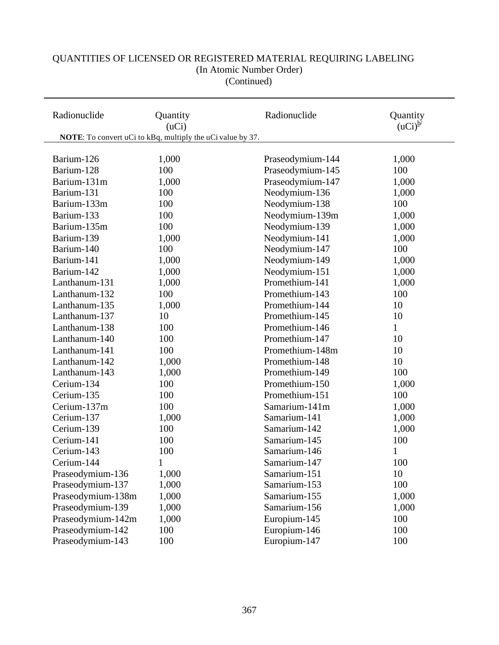#### Radionuclide Quantity Radionuclide Quantity (uCi) Radionuclide Quantity (uCi)<sup>b/</sup>  $(uCi)$ <sup>b/</sup>  **NOTE**: To convert uCi to kBq, multiply the uCi value by 37. Barium-126 1,000 Barium-128 100 Barium-131m 1,000 Barium-131 100 Barium-133m 100 Barium-133 100 Barium-135m 100 Barium-139 1,000 Barium-140 100 Barium-141 1,000 Barium-142 1,000 Lanthanum-131 1,000 Lanthanum-132 100 Lanthanum-135 1,000 Lanthanum-137 10 Lanthanum-138 100 Lanthanum-140 100 Lanthanum-141 100 Lanthanum-142 1,000 Lanthanum-143 1,000 Cerium-134 100 Cerium-135 100 Cerium-137m 100 Cerium-137 1,000 Cerium-139 100 Cerium-141 100 Cerium-143 100  $Cerium-144$  1 Praseodymium-136 1,000 Praseodymium-137 1,000 Praseodymium-138m 1,000 Praseodymium-139 1,000 Praseodymium-142m 1,000 Praseodymium-142 100 Praseodymium-143 100 Praseodymium-144 1,000 Praseodymium-145 100 Praseodymium-147 1,000 Neodymium-136 1,000 Neodymium-138 100 Neodymium-139m 1,000 Neodymium-139 1,000 Neodymium-141 1,000 Neodymium-147 100 Neodymium-149 1,000 Neodymium-151 1,000 Promethium-141 1,000 Promethium-143 100 Promethium-144 10 Promethium-145 10 Promethium-146 1 Promethium-147 10 Promethium-148m 10 Promethium-148 10 Promethium-149 100 Promethium-150 1,000 Promethium-151 100 Samarium-141m 1,000 Samarium-141 1,000 Samarium-142 1,000 Samarium-145 100 Samarium-146 1 Samarium-147 100 Samarium-151 10 Samarium-153 100 Samarium-155 1,000 Samarium-156 1,000 Europium-145 100 Europium-146 100 Europium-147 100

## QUANTITIES OF LICENSED OR REGISTERED MATERIAL REQUIRING LABELING (In Atomic Number Order) (Continued)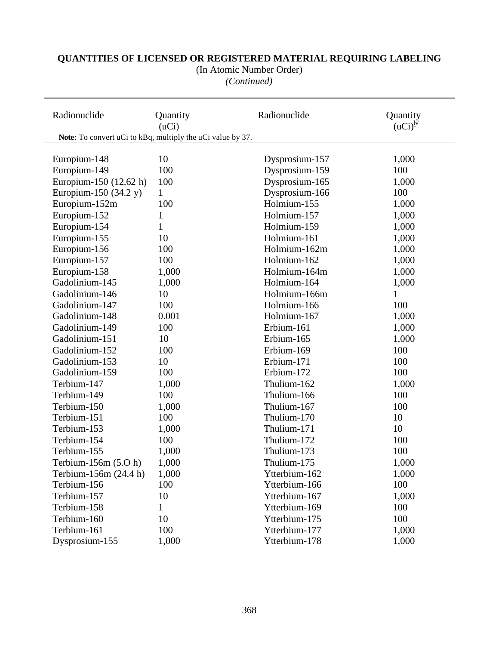(In Atomic Number Order)

*(Continued)*

| Radionuclide           | Quantity<br>(uCi)                                          | Radionuclide   | Quantity<br>$(uci)^{b'}$ |
|------------------------|------------------------------------------------------------|----------------|--------------------------|
|                        | Note: To convert uCi to kBq, multiply the uCi value by 37. |                |                          |
|                        |                                                            |                |                          |
| Europium-148           | 10                                                         | Dysprosium-157 | 1,000                    |
| Europium-149           | 100                                                        | Dysprosium-159 | 100                      |
| Europium-150 (12.62 h) | 100                                                        | Dysprosium-165 | 1,000                    |
| Europium-150 (34.2 y)  | $\mathbf{1}$                                               | Dysprosium-166 | 100                      |
| Europium-152m          | 100                                                        | Holmium-155    | 1,000                    |
| Europium-152           | $\mathbf 1$                                                | Holmium-157    | 1,000                    |
| Europium-154           | $\mathbf{1}$                                               | Holmium-159    | 1,000                    |
| Europium-155           | 10                                                         | Holmium-161    | 1,000                    |
| Europium-156           | 100                                                        | Holmium-162m   | 1,000                    |
| Europium-157           | 100                                                        | Holmium-162    | 1,000                    |
| Europium-158           | 1,000                                                      | Holmium-164m   | 1,000                    |
| Gadolinium-145         | 1,000                                                      | Holmium-164    | 1,000                    |
| Gadolinium-146         | 10                                                         | Holmium-166m   | 1                        |
| Gadolinium-147         | 100                                                        | Holmium-166    | 100                      |
| Gadolinium-148         | 0.001                                                      | Holmium-167    | 1,000                    |
| Gadolinium-149         | 100                                                        | Erbium-161     | 1,000                    |
| Gadolinium-151         | 10                                                         | Erbium-165     | 1,000                    |
| Gadolinium-152         | 100                                                        | Erbium-169     | 100                      |
| Gadolinium-153         | 10                                                         | Erbium-171     | 100                      |
| Gadolinium-159         | 100                                                        | Erbium-172     | 100                      |
| Terbium-147            | 1,000                                                      | Thulium-162    | 1,000                    |
| Terbium-149            | 100                                                        | Thulium-166    | 100                      |
| Terbium-150            | 1,000                                                      | Thulium-167    | 100                      |
| Terbium-151            | 100                                                        | Thulium-170    | 10                       |
| Terbium-153            | 1,000                                                      | Thulium-171    | 10                       |
| Terbium-154            | 100                                                        | Thulium-172    | 100                      |
| Terbium-155            | 1,000                                                      | Thulium-173    | 100                      |
| Terbium-156m (5.O h)   | 1,000                                                      | Thulium-175    | 1,000                    |
| Terbium-156m (24.4 h)  | 1,000                                                      | Ytterbium-162  | 1,000                    |
| Terbium-156            | 100                                                        | Ytterbium-166  | 100                      |
| Terbium-157            | 10                                                         | Ytterbium-167  | 1,000                    |
| Terbium-158            | 1                                                          | Ytterbium-169  | 100                      |
| Terbium-160            | 10                                                         | Ytterbium-175  | 100                      |
| Terbium-161            | 100                                                        | Ytterbium-177  | 1,000                    |
| Dysprosium-155         | 1,000                                                      | Ytterbium-178  | 1,000                    |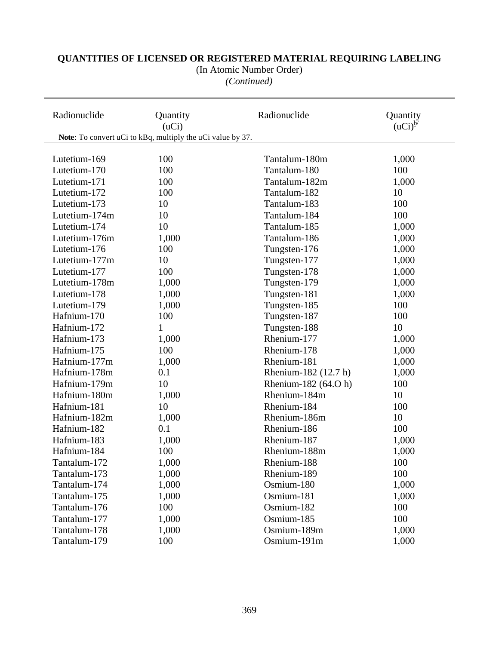(In Atomic Number Order)

*(Continued)*

| Radionuclide  | Quantity<br>(uCi)                                          | Radionuclide         | Quantity<br>$(uCi)^{b'}$ |
|---------------|------------------------------------------------------------|----------------------|--------------------------|
|               | Note: To convert uCi to kBq, multiply the uCi value by 37. |                      |                          |
|               |                                                            |                      |                          |
| Lutetium-169  | 100                                                        | Tantalum-180m        | 1,000                    |
| Lutetium-170  | 100                                                        | Tantalum-180         | 100                      |
| Lutetium-171  | 100                                                        | Tantalum-182m        | 1,000                    |
| Lutetium-172  | 100                                                        | Tantalum-182         | 10                       |
| Lutetium-173  | 10                                                         | Tantalum-183         | 100                      |
| Lutetium-174m | 10                                                         | Tantalum-184         | 100                      |
| Lutetium-174  | 10                                                         | Tantalum-185         | 1,000                    |
| Lutetium-176m | 1,000                                                      | Tantalum-186         | 1,000                    |
| Lutetium-176  | 100                                                        | Tungsten-176         | 1,000                    |
| Lutetium-177m | 10                                                         | Tungsten-177         | 1,000                    |
| Lutetium-177  | 100                                                        | Tungsten-178         | 1,000                    |
| Lutetium-178m | 1,000                                                      | Tungsten-179         | 1,000                    |
| Lutetium-178  | 1,000                                                      | Tungsten-181         | 1,000                    |
| Lutetium-179  | 1,000                                                      | Tungsten-185         | 100                      |
| Hafnium-170   | 100                                                        | Tungsten-187         | 100                      |
| Hafnium-172   | 1                                                          | Tungsten-188         | 10                       |
| Hafnium-173   | 1,000                                                      | Rhenium-177          | 1,000                    |
| Hafnium-175   | 100                                                        | Rhenium-178          | 1,000                    |
| Hafnium-177m  | 1,000                                                      | Rhenium-181          | 1,000                    |
| Hafnium-178m  | 0.1                                                        | Rhenium-182 (12.7 h) | 1,000                    |
| Hafnium-179m  | 10                                                         | Rhenium-182 (64.O h) | 100                      |
| Hafnium-180m  | 1,000                                                      | Rhenium-184m         | 10                       |
| Hafnium-181   | 10                                                         | Rhenium-184          | 100                      |
| Hafnium-182m  | 1,000                                                      | Rhenium-186m         | 10                       |
| Hafnium-182   | 0.1                                                        | Rhenium-186          | 100                      |
| Hafnium-183   | 1,000                                                      | Rhenium-187          | 1,000                    |
| Hafnium-184   | 100                                                        | Rhenium-188m         | 1,000                    |
| Tantalum-172  | 1,000                                                      | Rhenium-188          | 100                      |
| Tantalum-173  | 1,000                                                      | Rhenium-189          | 100                      |
| Tantalum-174  | 1,000                                                      | Osmium-180           | 1,000                    |
| Tantalum-175  | 1,000                                                      | Osmium-181           | 1,000                    |
| Tantalum-176  | 100                                                        | Osmium-182           | 100                      |
| Tantalum-177  | 1,000                                                      | Osmium-185           | 100                      |
| Tantalum-178  | 1,000                                                      | Osmium-189m          | 1,000                    |
| Tantalum-179  | 100                                                        | Osmium-191m          | 1,000                    |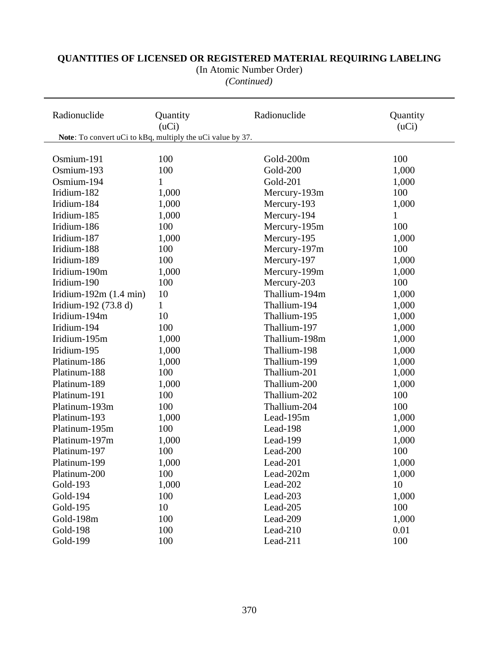#### *(Continued)* Radionuclide **Quantity Conserverse Radionuclide** Quantity **Radionuclide** Quantity  $(uCi)$   $(uCi)$  **Note**: To convert uCi to kBq, multiply the uCi value by 37. Osmium-191 100 Osmium-193 100 Osmium-194 1 Iridium-182 1,000 Iridium-184 1,000 Iridium-185 1,000 Iridium-186 100 Iridium-187 1,000 Iridium-188 100 Iridium-189 100 Iridium-190m 1,000 Iridium-190 100 Iridium-192m (1.4 min) 10 Iridium-192 (73.8 d)  $1$ Iridium-194m 10 Iridium-194 100 Iridium-195m 1,000 Iridium-195 1,000 Platinum-186 1,000 Platinum-188 100 Platinum-189 1,000 Platinum-191 100 Platinum-193m 100 Platinum-193 1,000 Platinum-195m 100 Platinum-197m 1,000 Platinum-197 100 Platinum-199 1,000 Platinum-200 100 Gold-193 1,000 Gold-194 100 Gold-195 10 Gold-200m 100 Gold-200 1,000 Gold-201 1,000 Mercury-193m 100 Mercury-193 1,000 Mercury-194 1 Mercury-195m 100 Mercury-195 1,000 Mercury-197m 100 Mercury-197 1,000 Mercury-199m 1,000 Mercury-203 100 Thallium-194m 1,000 Thallium-194 1,000 Thallium-195 1,000 Thallium-197 1,000 Thallium-198m 1,000 Thallium-198 1,000 Thallium-199 1,000 Thallium-201 1,000 Thallium-200 1,000 Thallium-202 100 Thallium-204 100 Lead-195m 1,000 Lead-198 1,000 Lead-199 1,000 Lead-200 100 Lead-201 1,000 Lead-202m 1,000 Lead-202  $10$ Lead-203 1,000 Lead-205 100

# **QUANTITIES OF LICENSED OR REGISTERED MATERIAL REQUIRING LABELING**

(In Atomic Number Order)

Lead-209 1,000  $\text{Lead-210}$  0.01 Lead-211  $100$ 

Gold-198m 100 Gold-198 100 Gold-199 100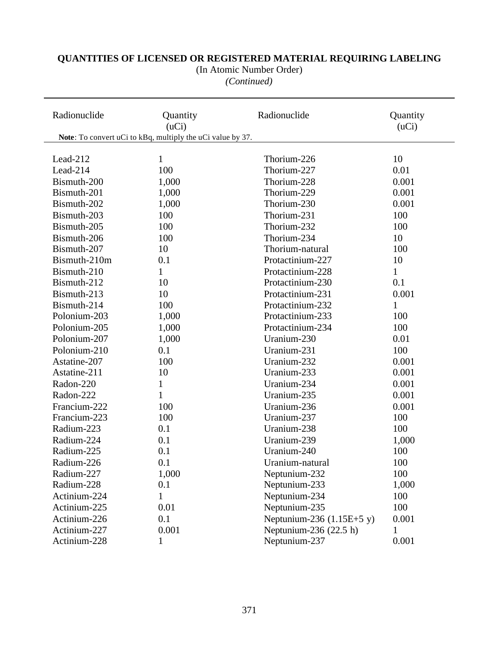#### *(Continued)* Radionuclide **Quantity Conserversity** Radionuclide Quantity **Radionuclide** Quantity  $(uCi)$   $(uCi)$  **Note**: To convert uCi to kBq, multiply the uCi value by 37. Lead-212  $1$ Lead-214 100 Bismuth-200 1,000 Bismuth-201 1,000 Bismuth-202 1,000 Bismuth-203 100 Bismuth-205 100 Bismuth-206 100  $Bismuth-207$  10 Bismuth-210m 0.1  $Bismuth-210$  1  $Bismuth-212$  10  $Bismuth-213$  10 Bismuth-214 100 Polonium-203 1,000 Polonium-205 1,000 Polonium-207 1,000 Polonium-210 0.1 Astatine-207 100 Astatine-211 10 Radon-220 1 Radon-222 1 Francium-222 100 Francium-223 100 Radium-223 0.1 Radium-224 0.1 Radium-225 0.1 Radium-226 0.1 Radium-227 1,000 Radium-228 0.1  $\text{Actinium-224} \quad 1$  $Thorium-226$  10 Thorium-227 0.01 Thorium-228 0.001 Thorium-229 0.001 Thorium-230 0.001  $Thorium-231$   $100$ Thorium-232 100  $Thorium-234$  10 Thorium-natural 100 Protactinium-227 10 Protactinium-228 1 Protactinium-230 0.1 Protactinium-231 0.001 Protactinium-232 1 Protactinium-233 100 Protactinium-234 100 Uranium-230 0.01 Uranium-231 100 Uranium-232 0.001 Uranium-233 0.001 Uranium-234 0.001 Uranium-235 0.001 Uranium-236 0.001 Uranium-237 100 Uranium-238 100 Uranium-239 1,000 Uranium-240 100 Uranium-natural 100 Neptunium-232 100 Neptunium-233 1,000 Neptunium-234 100

# **QUANTITIES OF LICENSED OR REGISTERED MATERIAL REQUIRING LABELING**

(In Atomic Number Order)

Neptunium-235 100 Neptunium-236  $(1.15E+5 y)$  0.001 Neptunium-236  $(22.5 h)$  1 Neptunium-237 0.001

Actinium-225 0.01 Actinium-226 0.1 Actinium-227 0.001 Actinium-228 1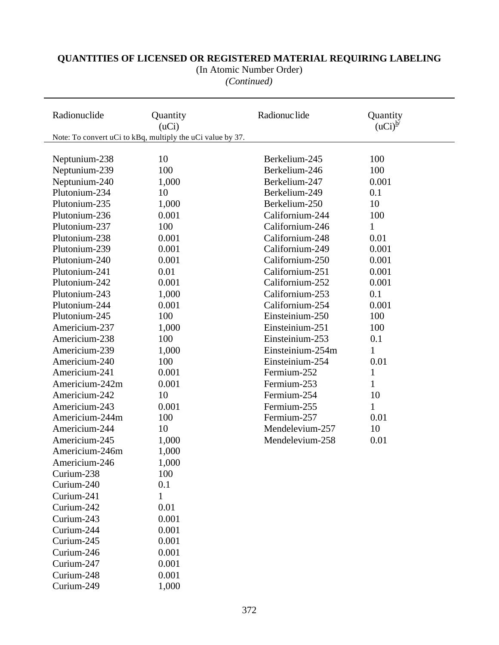(In Atomic Number Order)

*(Continued)*

| Radionuclide   | Quantity<br>(uCi)                                          | Radionuc lide    | Quantity<br>$(uCi)^{b'}$ |  |
|----------------|------------------------------------------------------------|------------------|--------------------------|--|
|                | Note: To convert uCi to kBq, multiply the uCi value by 37. |                  |                          |  |
|                |                                                            |                  |                          |  |
| Neptunium-238  | 10                                                         | Berkelium-245    | 100                      |  |
| Neptunium-239  | 100                                                        | Berkelium-246    | 100                      |  |
| Neptunium-240  | 1,000                                                      | Berkelium-247    | 0.001                    |  |
| Plutonium-234  | 10                                                         | Berkelium-249    | 0.1                      |  |
| Plutonium-235  | 1,000                                                      | Berkelium-250    | 10                       |  |
| Plutonium-236  | 0.001                                                      | Californium-244  | 100                      |  |
| Plutonium-237  | 100                                                        | Californium-246  | 1                        |  |
| Plutonium-238  | 0.001                                                      | Californium-248  | 0.01                     |  |
| Plutonium-239  | 0.001                                                      | Californium-249  | 0.001                    |  |
| Plutonium-240  | 0.001                                                      | Californium-250  | 0.001                    |  |
| Plutonium-241  | 0.01                                                       | Californium-251  | 0.001                    |  |
| Plutonium-242  | 0.001                                                      | Californium-252  | 0.001                    |  |
| Plutonium-243  | 1,000                                                      | Californium-253  | 0.1                      |  |
| Plutonium-244  | 0.001                                                      | Californium-254  | 0.001                    |  |
| Plutonium-245  | 100                                                        | Einsteinium-250  | 100                      |  |
| Americium-237  | 1,000                                                      | Einsteinium-251  | 100                      |  |
| Americium-238  | 100                                                        | Einsteinium-253  | 0.1                      |  |
| Americium-239  | 1,000                                                      | Einsteinium-254m | $\mathbf{1}$             |  |
| Americium-240  | 100                                                        | Einsteinium-254  | 0.01                     |  |
| Americium-241  | 0.001                                                      | Fermium-252      | 1                        |  |
| Americium-242m | 0.001                                                      | Fermium-253      | $\mathbf{1}$             |  |
| Americium-242  | 10                                                         | Fermium-254      | 10                       |  |
| Americium-243  | 0.001                                                      | Fermium-255      | 1                        |  |
| Americium-244m | 100                                                        | Fermium-257      | 0.01                     |  |
| Americium-244  | 10                                                         | Mendelevium-257  | 10                       |  |
| Americium-245  | 1,000                                                      | Mendelevium-258  | 0.01                     |  |
| Americium-246m | 1,000                                                      |                  |                          |  |
| Americium-246  | 1,000                                                      |                  |                          |  |
| Curium-238     | 100                                                        |                  |                          |  |
| Curium-240     | 0.1                                                        |                  |                          |  |
| Curium-241     |                                                            |                  |                          |  |
| Curium-242     | 0.01                                                       |                  |                          |  |
| Curium-243     | 0.001                                                      |                  |                          |  |
| Curium-244     | 0.001                                                      |                  |                          |  |
| Curium-245     | 0.001                                                      |                  |                          |  |
| Curium-246     | 0.001                                                      |                  |                          |  |
| Curium-247     | 0.001                                                      |                  |                          |  |
| Curium-248     | 0.001                                                      |                  |                          |  |
| Curium-249     | 1,000                                                      |                  |                          |  |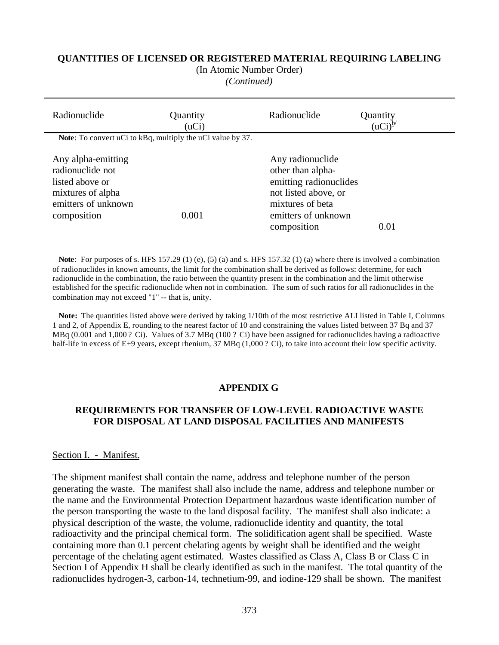(In Atomic Number Order)

*(Continued)*

| Radionuclide                                                                                                         | Quantity<br>(uCi) | Radionuclide                                                                                                                                      | Quantity<br>$(uCi)^b$ |
|----------------------------------------------------------------------------------------------------------------------|-------------------|---------------------------------------------------------------------------------------------------------------------------------------------------|-----------------------|
| Note: To convert uCi to kBq, multiply the uCi value by 37.                                                           |                   |                                                                                                                                                   |                       |
| Any alpha-emitting<br>radionuclide not<br>listed above or<br>mixtures of alpha<br>emitters of unknown<br>composition | 0.001             | Any radionuclide<br>other than alpha-<br>emitting radionuclides<br>not listed above, or<br>mixtures of beta<br>emitters of unknown<br>composition | 0.01                  |

**Note**: For purposes of s. HFS 157.29 (1) (e), (5) (a) and s. HFS 157.32 (1) (a) where there is involved a combination of radionuclides in known amounts, the limit for the combination shall be derived as follows: determine, for each radionuclide in the combination, the ratio between the quantity present in the combination and the limit otherwise established for the specific radionuclide when not in combination. The sum of such ratios for all radionuclides in the combination may not exceed "1" -- that is, unity.

 **Note:** The quantities listed above were derived by taking 1/10th of the most restrictive ALI listed in Table I, Columns 1 and 2, of Appendix E, rounding to the nearest factor of 10 and constraining the values listed between 37 Bq and 37 MBq (0.001 and 1,000 ? Ci). Values of 3.7 MBq (100 ? Ci) have been assigned for radionuclides having a radioactive half-life in excess of E+9 years, except rhenium, 37 MBq (1,000 ? Ci), to take into account their low specific activity.

#### **APPENDIX G**

### **REQUIREMENTS FOR TRANSFER OF LOW-LEVEL RADIOACTIVE WASTE FOR DISPOSAL AT LAND DISPOSAL FACILITIES AND MANIFESTS**

#### Section I. - Manifest.

The shipment manifest shall contain the name, address and telephone number of the person generating the waste. The manifest shall also include the name, address and telephone number or the name and the Environmental Protection Department hazardous waste identification number of the person transporting the waste to the land disposal facility. The manifest shall also indicate: a physical description of the waste, the volume, radionuclide identity and quantity, the total radioactivity and the principal chemical form. The solidification agent shall be specified. Waste containing more than 0.1 percent chelating agents by weight shall be identified and the weight percentage of the chelating agent estimated. Wastes classified as Class A, Class B or Class C in Section I of Appendix H shall be clearly identified as such in the manifest. The total quantity of the radionuclides hydrogen-3, carbon-14, technetium-99, and iodine-129 shall be shown. The manifest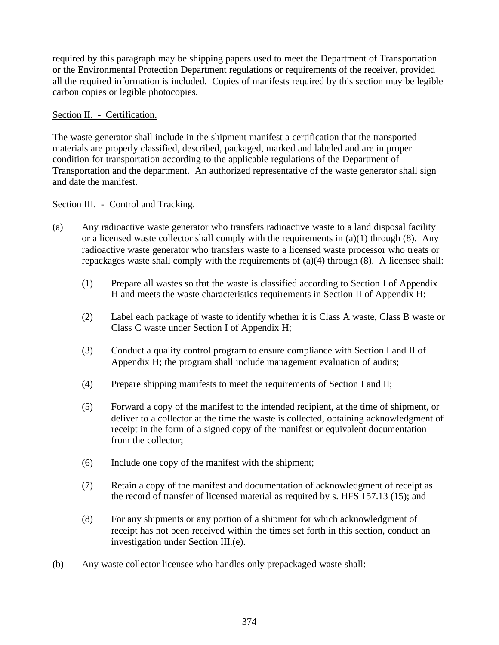required by this paragraph may be shipping papers used to meet the Department of Transportation or the Environmental Protection Department regulations or requirements of the receiver, provided all the required information is included. Copies of manifests required by this section may be legible carbon copies or legible photocopies.

### Section II. - Certification.

The waste generator shall include in the shipment manifest a certification that the transported materials are properly classified, described, packaged, marked and labeled and are in proper condition for transportation according to the applicable regulations of the Department of Transportation and the department. An authorized representative of the waste generator shall sign and date the manifest.

### Section III. - Control and Tracking.

- (a) Any radioactive waste generator who transfers radioactive waste to a land disposal facility or a licensed waste collector shall comply with the requirements in  $(a)(1)$  through  $(8)$ . Any radioactive waste generator who transfers waste to a licensed waste processor who treats or repackages waste shall comply with the requirements of (a)(4) through (8). A licensee shall:
	- (1) Prepare all wastes so that the waste is classified according to Section I of Appendix H and meets the waste characteristics requirements in Section II of Appendix H;
	- (2) Label each package of waste to identify whether it is Class A waste, Class B waste or Class C waste under Section I of Appendix H;
	- (3) Conduct a quality control program to ensure compliance with Section I and II of Appendix H; the program shall include management evaluation of audits;
	- (4) Prepare shipping manifests to meet the requirements of Section I and II;
	- (5) Forward a copy of the manifest to the intended recipient, at the time of shipment, or deliver to a collector at the time the waste is collected, obtaining acknowledgment of receipt in the form of a signed copy of the manifest or equivalent documentation from the collector;
	- (6) Include one copy of the manifest with the shipment;
	- (7) Retain a copy of the manifest and documentation of acknowledgment of receipt as the record of transfer of licensed material as required by s. HFS 157.13 (15); and
	- (8) For any shipments or any portion of a shipment for which acknowledgment of receipt has not been received within the times set forth in this section, conduct an investigation under Section III.(e).
- (b) Any waste collector licensee who handles only prepackaged waste shall: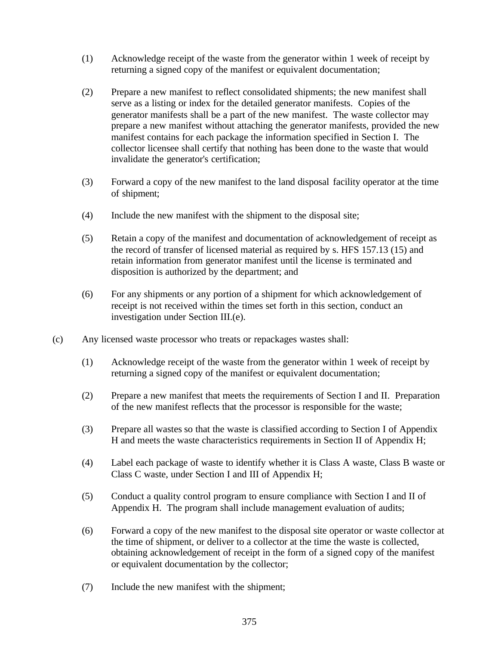- (1) Acknowledge receipt of the waste from the generator within 1 week of receipt by returning a signed copy of the manifest or equivalent documentation;
- (2) Prepare a new manifest to reflect consolidated shipments; the new manifest shall serve as a listing or index for the detailed generator manifests. Copies of the generator manifests shall be a part of the new manifest. The waste collector may prepare a new manifest without attaching the generator manifests, provided the new manifest contains for each package the information specified in Section I. The collector licensee shall certify that nothing has been done to the waste that would invalidate the generator's certification;
- (3) Forward a copy of the new manifest to the land disposal facility operator at the time of shipment;
- (4) Include the new manifest with the shipment to the disposal site;
- (5) Retain a copy of the manifest and documentation of acknowledgement of receipt as the record of transfer of licensed material as required by s. HFS 157.13 (15) and retain information from generator manifest until the license is terminated and disposition is authorized by the department; and
- (6) For any shipments or any portion of a shipment for which acknowledgement of receipt is not received within the times set forth in this section, conduct an investigation under Section III.(e).
- (c) Any licensed waste processor who treats or repackages wastes shall:
	- (1) Acknowledge receipt of the waste from the generator within 1 week of receipt by returning a signed copy of the manifest or equivalent documentation;
	- (2) Prepare a new manifest that meets the requirements of Section I and II. Preparation of the new manifest reflects that the processor is responsible for the waste;
	- (3) Prepare all wastes so that the waste is classified according to Section I of Appendix H and meets the waste characteristics requirements in Section II of Appendix H;
	- (4) Label each package of waste to identify whether it is Class A waste, Class B waste or Class C waste, under Section I and III of Appendix H;
	- (5) Conduct a quality control program to ensure compliance with Section I and II of Appendix H. The program shall include management evaluation of audits;
	- (6) Forward a copy of the new manifest to the disposal site operator or waste collector at the time of shipment, or deliver to a collector at the time the waste is collected, obtaining acknowledgement of receipt in the form of a signed copy of the manifest or equivalent documentation by the collector;
	- (7) Include the new manifest with the shipment;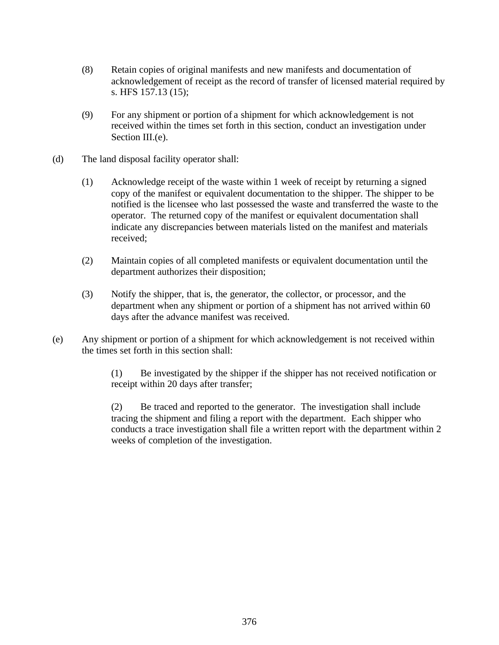- (8) Retain copies of original manifests and new manifests and documentation of acknowledgement of receipt as the record of transfer of licensed material required by s. HFS 157.13 (15);
- (9) For any shipment or portion of a shipment for which acknowledgement is not received within the times set forth in this section, conduct an investigation under Section III.(e).
- (d) The land disposal facility operator shall:
	- (1) Acknowledge receipt of the waste within 1 week of receipt by returning a signed copy of the manifest or equivalent documentation to the shipper. The shipper to be notified is the licensee who last possessed the waste and transferred the waste to the operator. The returned copy of the manifest or equivalent documentation shall indicate any discrepancies between materials listed on the manifest and materials received;
	- (2) Maintain copies of all completed manifests or equivalent documentation until the department authorizes their disposition;
	- (3) Notify the shipper, that is, the generator, the collector, or processor, and the department when any shipment or portion of a shipment has not arrived within 60 days after the advance manifest was received.
- (e) Any shipment or portion of a shipment for which acknowledgement is not received within the times set forth in this section shall:

(1) Be investigated by the shipper if the shipper has not received notification or receipt within 20 days after transfer;

(2) Be traced and reported to the generator. The investigation shall include tracing the shipment and filing a report with the department. Each shipper who conducts a trace investigation shall file a written report with the department within 2 weeks of completion of the investigation.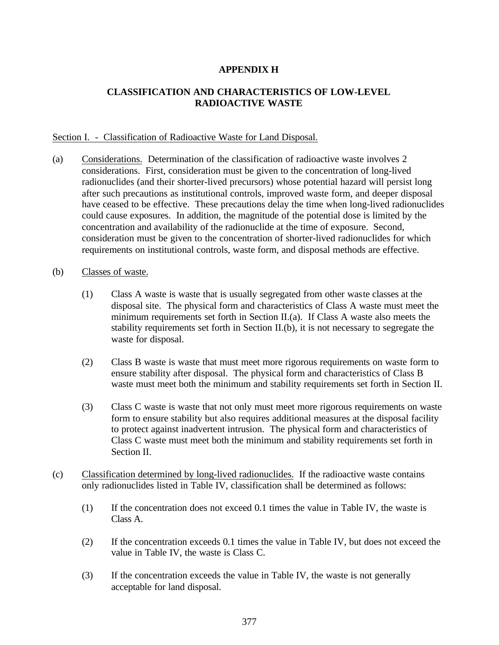# **APPENDIX H**

# **CLASSIFICATION AND CHARACTERISTICS OF LOW-LEVEL RADIOACTIVE WASTE**

#### Section I. - Classification of Radioactive Waste for Land Disposal.

- (a) Considerations. Determination of the classification of radioactive waste involves 2 considerations. First, consideration must be given to the concentration of long-lived radionuclides (and their shorter-lived precursors) whose potential hazard will persist long after such precautions as institutional controls, improved waste form, and deeper disposal have ceased to be effective. These precautions delay the time when long-lived radionuclides could cause exposures. In addition, the magnitude of the potential dose is limited by the concentration and availability of the radionuclide at the time of exposure. Second, consideration must be given to the concentration of shorter-lived radionuclides for which requirements on institutional controls, waste form, and disposal methods are effective.
- (b) Classes of waste.
	- (1) Class A waste is waste that is usually segregated from other waste classes at the disposal site. The physical form and characteristics of Class A waste must meet the minimum requirements set forth in Section II.(a). If Class A waste also meets the stability requirements set forth in Section II.(b), it is not necessary to segregate the waste for disposal.
	- (2) Class B waste is waste that must meet more rigorous requirements on waste form to ensure stability after disposal. The physical form and characteristics of Class B waste must meet both the minimum and stability requirements set forth in Section II.
	- (3) Class C waste is waste that not only must meet more rigorous requirements on waste form to ensure stability but also requires additional measures at the disposal facility to protect against inadvertent intrusion. The physical form and characteristics of Class C waste must meet both the minimum and stability requirements set forth in Section II.
- (c) Classification determined by long-lived radionuclides. If the radioactive waste contains only radionuclides listed in Table IV, classification shall be determined as follows:
	- (1) If the concentration does not exceed 0.1 times the value in Table IV, the waste is Class A.
	- (2) If the concentration exceeds 0.1 times the value in Table IV, but does not exceed the value in Table IV, the waste is Class C.
	- (3) If the concentration exceeds the value in Table IV, the waste is not generally acceptable for land disposal.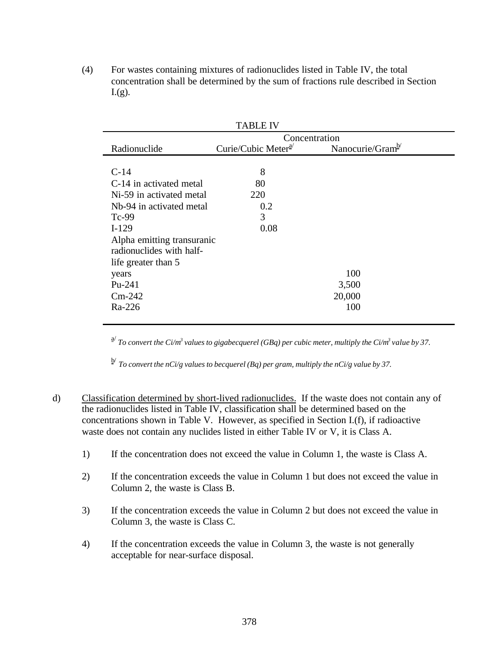(4) For wastes containing mixtures of radionuclides listed in Table IV, the total concentration shall be determined by the sum of fractions rule described in Section  $L(g)$ .

|                            | <b>TABLE IV</b>                 |                              |  |  |  |
|----------------------------|---------------------------------|------------------------------|--|--|--|
|                            | Concentration                   |                              |  |  |  |
| Radionuclide               | Curie/Cubic Meter <sup>a/</sup> | Nanocurie/Gram <sup>b/</sup> |  |  |  |
|                            |                                 |                              |  |  |  |
| $C-14$                     | 8                               |                              |  |  |  |
| C-14 in activated metal    | 80                              |                              |  |  |  |
| Ni-59 in activated metal   | 220                             |                              |  |  |  |
| Nb-94 in activated metal   | 0.2                             |                              |  |  |  |
| $Tc-99$                    | 3                               |                              |  |  |  |
| $I-129$                    | 0.08                            |                              |  |  |  |
| Alpha emitting transuranic |                                 |                              |  |  |  |
| radionuclides with half-   |                                 |                              |  |  |  |
| life greater than 5        |                                 |                              |  |  |  |
| years                      |                                 | 100                          |  |  |  |
| Pu-241                     |                                 | 3,500                        |  |  |  |
| $Cm-242$                   |                                 | 20,000                       |  |  |  |
| Ra-226                     |                                 | 100                          |  |  |  |
|                            |                                 |                              |  |  |  |

<sup>a/</sup> To convert the Ci/m<sup>3</sup> values to gigabecquerel (GBq) per cubic meter, multiply the Ci/m<sup>3</sup> value by 37.

b/ *To convert the nCi/g values to becquerel (Bq) per gram, multiply the nCi/g value by 37.*

- d) Classification determined by short-lived radionuclides. If the waste does not contain any of the radionuclides listed in Table IV, classification shall be determined based on the concentrations shown in Table V. However, as specified in Section I.(f), if radioactive waste does not contain any nuclides listed in either Table IV or V, it is Class A.
	- 1) If the concentration does not exceed the value in Column 1, the waste is Class A.
	- 2) If the concentration exceeds the value in Column 1 but does not exceed the value in Column 2, the waste is Class B.
	- 3) If the concentration exceeds the value in Column 2 but does not exceed the value in Column 3, the waste is Class C.
	- 4) If the concentration exceeds the value in Column 3, the waste is not generally acceptable for near-surface disposal.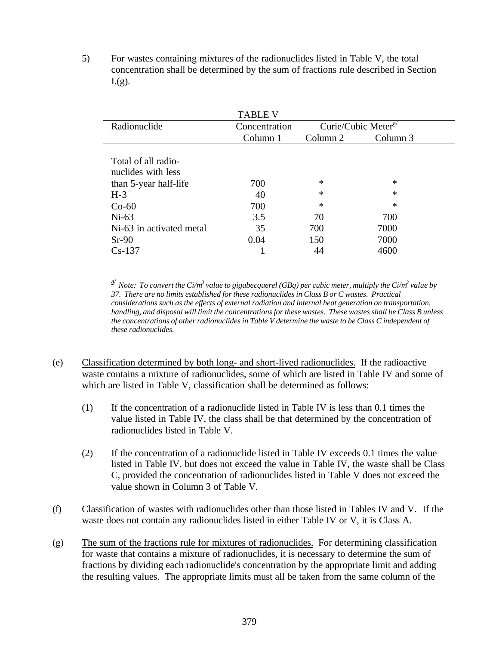5) For wastes containing mixtures of the radionuclides listed in Table V, the total concentration shall be determined by the sum of fractions rule described in Section  $L(g)$ .

|                          | <b>TABLE V</b>                             |          |          |
|--------------------------|--------------------------------------------|----------|----------|
| Radionuclide             | Curie/Cubic Meter $a^{2}$<br>Concentration |          |          |
|                          | Column 1                                   | Column 2 | Column 3 |
|                          |                                            |          |          |
| Total of all radio-      |                                            |          |          |
| nuclides with less       |                                            |          |          |
| than 5-year half-life    | 700                                        | $\ast$   | $\ast$   |
| $H-3$                    | 40                                         | ∗        | $\ast$   |
| $Co-60$                  | 700                                        | ∗        | $\ast$   |
| $Ni-63$                  | 3.5                                        | 70       | 700      |
| Ni-63 in activated metal | 35                                         | 700      | 7000     |
| $Sr-90$                  | 0.04                                       | 150      | 7000     |
| $Cs-137$                 |                                            |          | 4600     |

<sup>a/</sup> Note: To convert the Ci/m<sup>3</sup> value to gigabecquerel (GBq) per cubic meter, multiply the Ci/m<sup>3</sup> value by *37. There are no limits established for these radionuclides in Class B or C wastes. Practical considerations such as the effects of external radiation and internal heat generation on transportation, handling, and disposal will limit the concentrations for these wastes. These wastes shall be Class B unless the concentrations of other radionuclides in Table V determine the waste to be Class C independent of these radionuclides.*

- (e) Classification determined by both long- and short-lived radionuclides. If the radioactive waste contains a mixture of radionuclides, some of which are listed in Table IV and some of which are listed in Table V, classification shall be determined as follows:
	- (1) If the concentration of a radionuclide listed in Table IV is less than 0.1 times the value listed in Table IV, the class shall be that determined by the concentration of radionuclides listed in Table V.
	- (2) If the concentration of a radionuclide listed in Table IV exceeds 0.1 times the value listed in Table IV, but does not exceed the value in Table IV, the waste shall be Class C, provided the concentration of radionuclides listed in Table V does not exceed the value shown in Column 3 of Table V.
- (f) Classification of wastes with radionuclides other than those listed in Tables IV and V. If the waste does not contain any radionuclides listed in either Table IV or V, it is Class A.
- (g) The sum of the fractions rule for mixtures of radionuclides. For determining classification for waste that contains a mixture of radionuclides, it is necessary to determine the sum of fractions by dividing each radionuclide's concentration by the appropriate limit and adding the resulting values. The appropriate limits must all be taken from the same column of the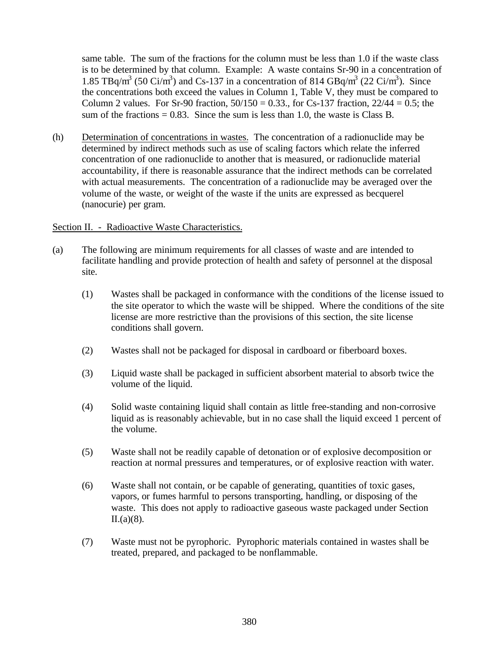same table. The sum of the fractions for the column must be less than 1.0 if the waste class is to be determined by that column. Example: A waste contains Sr-90 in a concentration of 1.85 TBq/m<sup>3</sup> (50 Ci/m<sup>3</sup>) and Cs-137 in a concentration of 814 GBq/m<sup>3</sup> (22 Ci/m<sup>3</sup>). Since the concentrations both exceed the values in Column 1, Table V, they must be compared to Column 2 values. For Sr-90 fraction,  $50/150 = 0.33$ ., for Cs-137 fraction,  $22/44 = 0.5$ ; the sum of the fractions  $= 0.83$ . Since the sum is less than 1.0, the waste is Class B.

(h) Determination of concentrations in wastes. The concentration of a radionuclide may be determined by indirect methods such as use of scaling factors which relate the inferred concentration of one radionuclide to another that is measured, or radionuclide material accountability, if there is reasonable assurance that the indirect methods can be correlated with actual measurements. The concentration of a radionuclide may be averaged over the volume of the waste, or weight of the waste if the units are expressed as becquerel (nanocurie) per gram.

#### Section II. - Radioactive Waste Characteristics.

- (a) The following are minimum requirements for all classes of waste and are intended to facilitate handling and provide protection of health and safety of personnel at the disposal site.
	- (1) Wastes shall be packaged in conformance with the conditions of the license issued to the site operator to which the waste will be shipped. Where the conditions of the site license are more restrictive than the provisions of this section, the site license conditions shall govern.
	- (2) Wastes shall not be packaged for disposal in cardboard or fiberboard boxes.
	- (3) Liquid waste shall be packaged in sufficient absorbent material to absorb twice the volume of the liquid.
	- (4) Solid waste containing liquid shall contain as little free-standing and non-corrosive liquid as is reasonably achievable, but in no case shall the liquid exceed 1 percent of the volume.
	- (5) Waste shall not be readily capable of detonation or of explosive decomposition or reaction at normal pressures and temperatures, or of explosive reaction with water.
	- (6) Waste shall not contain, or be capable of generating, quantities of toxic gases, vapors, or fumes harmful to persons transporting, handling, or disposing of the waste. This does not apply to radioactive gaseous waste packaged under Section II.(a)(8).
	- (7) Waste must not be pyrophoric. Pyrophoric materials contained in wastes shall be treated, prepared, and packaged to be nonflammable.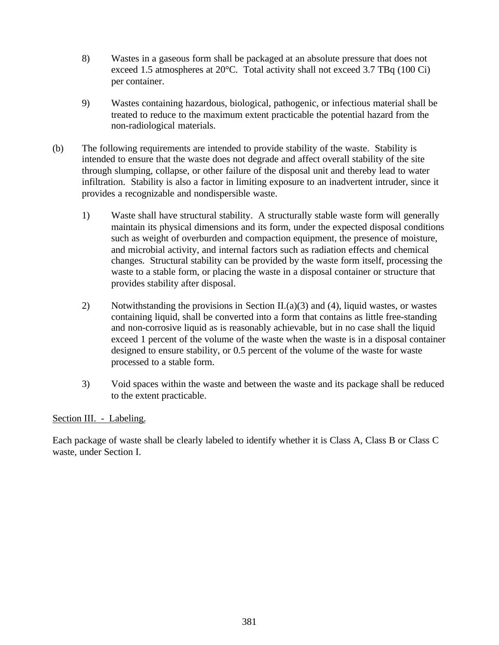- 8) Wastes in a gaseous form shall be packaged at an absolute pressure that does not exceed 1.5 atmospheres at 20°C. Total activity shall not exceed 3.7 TBq (100 Ci) per container.
- 9) Wastes containing hazardous, biological, pathogenic, or infectious material shall be treated to reduce to the maximum extent practicable the potential hazard from the non-radiological materials.
- (b) The following requirements are intended to provide stability of the waste. Stability is intended to ensure that the waste does not degrade and affect overall stability of the site through slumping, collapse, or other failure of the disposal unit and thereby lead to water infiltration. Stability is also a factor in limiting exposure to an inadvertent intruder, since it provides a recognizable and nondispersible waste.
	- 1) Waste shall have structural stability. A structurally stable waste form will generally maintain its physical dimensions and its form, under the expected disposal conditions such as weight of overburden and compaction equipment, the presence of moisture, and microbial activity, and internal factors such as radiation effects and chemical changes. Structural stability can be provided by the waste form itself, processing the waste to a stable form, or placing the waste in a disposal container or structure that provides stability after disposal.
	- 2) Notwithstanding the provisions in Section II.(a)(3) and (4), liquid wastes, or wastes containing liquid, shall be converted into a form that contains as little free-standing and non-corrosive liquid as is reasonably achievable, but in no case shall the liquid exceed 1 percent of the volume of the waste when the waste is in a disposal container designed to ensure stability, or 0.5 percent of the volume of the waste for waste processed to a stable form.
	- 3) Void spaces within the waste and between the waste and its package shall be reduced to the extent practicable.

## Section III. - Labeling.

Each package of waste shall be clearly labeled to identify whether it is Class A, Class B or Class C waste, under Section I.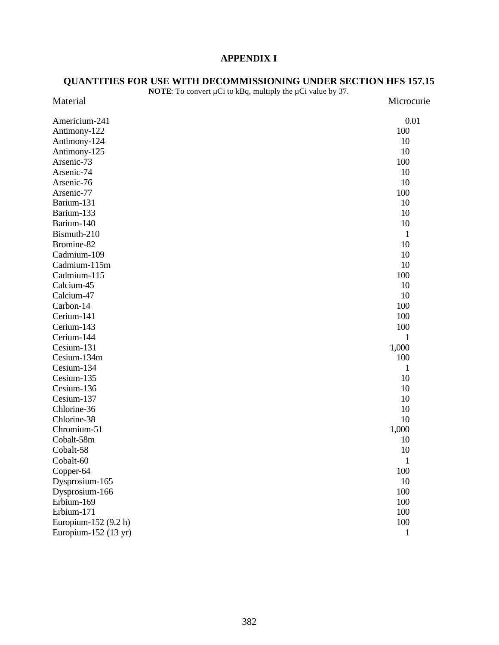# **APPENDIX I**

#### **QUANTITIES FOR USE WITH DECOMMISSIONING UNDER SECTION HFS 157.15**

|                                | <b>NOTE:</b> To convert $\mu$ Ci to kBq, multiply the $\mu$ Ci value by 37. |              |
|--------------------------------|-----------------------------------------------------------------------------|--------------|
| Material                       |                                                                             | Microcurie   |
| Americium-241                  |                                                                             | 0.01         |
| Antimony-122                   |                                                                             | 100          |
| Antimony-124                   |                                                                             | 10           |
| Antimony-125                   |                                                                             | 10           |
| Arsenic-73                     |                                                                             | 100          |
| Arsenic-74                     |                                                                             | 10           |
| Arsenic-76                     |                                                                             | 10           |
| Arsenic-77                     |                                                                             | 100          |
| Barium-131                     |                                                                             | 10           |
| Barium-133                     |                                                                             | 10           |
| Barium-140                     |                                                                             | 10           |
| Bismuth-210                    |                                                                             | $\mathbf{1}$ |
| Bromine-82                     |                                                                             | 10           |
| Cadmium-109                    |                                                                             | 10           |
| Cadmium-115m                   |                                                                             | 10           |
| Cadmium-115                    |                                                                             | 100          |
| Calcium-45                     |                                                                             | 10           |
| Calcium-47                     |                                                                             | 10           |
| Carbon-14                      |                                                                             | 100          |
| Cerium-141                     |                                                                             | 100          |
| Cerium-143                     |                                                                             | 100          |
| Cerium-144                     |                                                                             | $\mathbf{1}$ |
| Cesium-131                     |                                                                             | 1,000        |
| Cesium-134m                    |                                                                             | 100          |
| Cesium-134                     |                                                                             | $\mathbf{1}$ |
| Cesium-135                     |                                                                             | 10           |
| Cesium-136                     |                                                                             | 10           |
| Cesium-137                     |                                                                             | 10           |
| Chlorine-36                    |                                                                             | 10           |
| Chlorine-38                    |                                                                             | 10           |
| Chromium-51                    |                                                                             | 1,000        |
| Cobalt-58m                     |                                                                             | 10           |
| Cobalt-58                      |                                                                             | 10           |
| Cobalt-60                      |                                                                             | $\mathbf{1}$ |
| Copper-64                      |                                                                             | 100          |
| Dysprosium-165                 |                                                                             | 10           |
| Dysprosium-166                 |                                                                             | 100          |
| Erbium-169                     |                                                                             | 100          |
| Erbium-171                     |                                                                             | 100          |
| Europium-152 (9.2 h)           |                                                                             | 100          |
| Europium-152 $(13 \text{ yr})$ |                                                                             | $\mathbf{1}$ |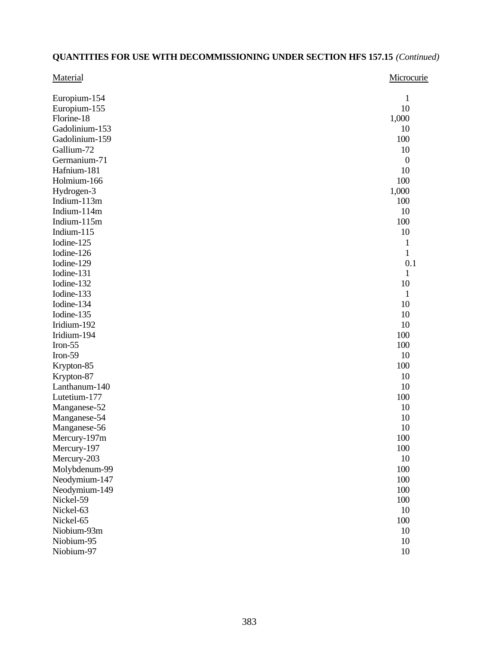| Material                 | Microcurie       |
|--------------------------|------------------|
| Europium-154             | 1                |
| Europium-155             | 10               |
| Florine-18               | 1,000            |
| Gadolinium-153           | 10               |
| Gadolinium-159           | 100              |
| Gallium-72               | 10               |
| Germanium-71             | $\boldsymbol{0}$ |
| Hafnium-181              | 10               |
| Holmium-166              | 100              |
| Hydrogen-3               | 1,000            |
| Indium-113m              | 100              |
| Indium-114m              | 10               |
| Indium-115m              | 100              |
| Indium-115               | 10               |
| Iodine-125               | $\mathbf{1}$     |
| Iodine-126               | $\mathbf{1}$     |
| Iodine-129               | 0.1              |
| Iodine-131               | $\mathbf{1}$     |
| Iodine-132               | 10               |
| Iodine-133<br>Iodine-134 | 1                |
| Iodine-135               | 10<br>10         |
| Iridium-192              | 10               |
| Iridium-194              | 100              |
| Iron- $55$               | 100              |
| Iron-59                  | 10               |
| Krypton-85               | 100              |
| Krypton-87               | 10               |
| Lanthanum-140            | 10               |
| Lutetium-177             | 100              |
| Manganese-52             | 10               |
| Manganese-54             | 10               |
| Manganese-56             | 10               |
| Mercury-197m             | 100              |
| Mercury-197              | 100              |
| Mercury-203              | 10               |
| Molybdenum-99            | 100              |
| Neodymium-147            | 100              |
| Neodymium-149            | 100              |
| Nickel-59                | 100              |
| Nickel-63                | 10               |
| Nickel-65                | 100              |
| Niobium-93m              | 10               |
| Niobium-95               | 10               |
| Niobium-97               | 10               |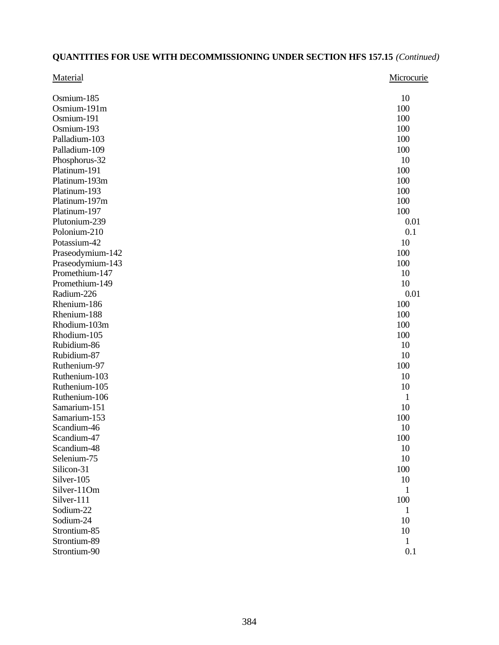| Material         | Microcurie |
|------------------|------------|
| Osmium-185       | 10         |
| Osmium-191m      | 100        |
| Osmium-191       | 100        |
| Osmium-193       | 100        |
| Palladium-103    | 100        |
| Palladium-109    | 100        |
| Phosphorus-32    | 10         |
| Platinum-191     | 100        |
| Platinum-193m    | 100        |
| Platinum-193     | 100        |
| Platinum-197m    | 100        |
| Platinum-197     | 100        |
| Plutonium-239    | 0.01       |
| Polonium-210     | 0.1        |
| Potassium-42     | 10         |
| Praseodymium-142 | 100        |
| Praseodymium-143 | 100        |
| Promethium-147   | 10         |
| Promethium-149   | 10         |
| Radium-226       | 0.01       |
| Rhenium-186      | 100        |
| Rhenium-188      | 100        |
| Rhodium-103m     | 100        |
| Rhodium-105      | 100        |
| Rubidium-86      | 10         |
| Rubidium-87      | 10         |
| Ruthenium-97     | 100        |
| Ruthenium-103    | 10         |
| Ruthenium-105    | 10         |
| Ruthenium-106    | 1          |
| Samarium-151     | 10         |
| Samarium-153     | 100        |
| Scandium-46      | 10         |
| Scandium-47      | 100        |
| Scandium-48      | 10         |
| Selenium-75      | 10         |
| Silicon-31       | 100        |
| Silver-105       | 10         |
| Silver-11Om      | 1          |
| Silver-111       | 100        |
| Sodium-22        | 1          |
| Sodium-24        | 10         |
| Strontium-85     | 10         |
| Strontium-89     | 1          |
| Strontium-90     | 0.1        |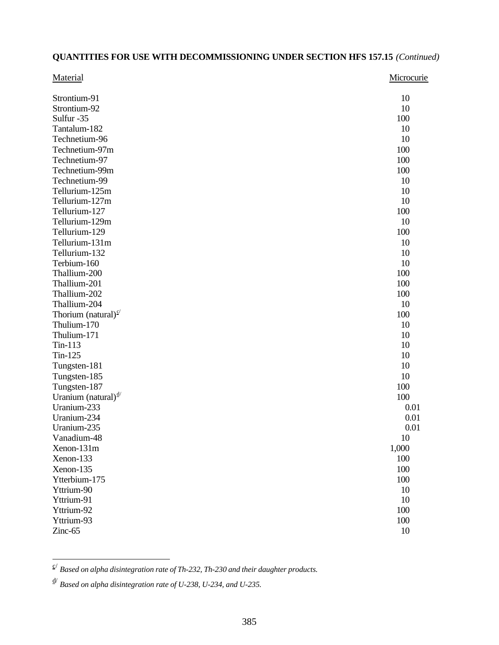| Material                        | Microcurie |
|---------------------------------|------------|
| Strontium-91                    | 10         |
| Strontium-92                    | 10         |
| Sulfur -35                      | 100        |
| Tantalum-182                    | 10         |
| Technetium-96                   | 10         |
| Technetium-97m                  | 100        |
| Technetium-97                   | 100        |
| Technetium-99m                  | 100        |
| Technetium-99                   | 10         |
| Tellurium-125m                  | 10         |
| Tellurium-127m                  | 10         |
| Tellurium-127                   | 100        |
| Tellurium-129m                  | 10         |
| Tellurium-129                   | 100        |
| Tellurium-131m                  | 10         |
| Tellurium-132                   | 10         |
| Terbium-160                     | 10         |
| Thallium-200                    | 100        |
| Thallium-201                    | 100        |
| Thallium-202                    | 100        |
| Thallium-204                    | 10         |
| Thorium (natural) $e^{c}$       | 100        |
| Thulium-170                     | 10         |
| Thulium-171                     | 10         |
| $T_{in-113}$                    | 10         |
| $T_{in-125}$                    | 10         |
| Tungsten-181                    | 10         |
| Tungsten-185                    | 10         |
| Tungsten-187                    | 100        |
| Uranium (natural) $\frac{d}{ }$ | 100        |
| Uranium-233                     | 0.01       |
| Uranium-234                     | 0.01       |
| Uranium-235                     | 0.01       |
| Vanadium-48                     | 10         |
| Xenon-131m                      | 1,000      |
| Xenon-133                       | 100        |
| Xenon-135                       | 100        |
| Ytterbium-175                   | 100        |
| Yttrium-90                      | 10         |
| Yttrium-91                      | 10         |
| Yttrium-92                      | 100        |
| Yttrium-93                      | 100        |
| Zinc-65                         | 10         |
|                                 |            |

 c/ *Based on alpha disintegration rate of Th-232, Th-230 and their daughter products.*

d/ *Based on alpha disintegration rate of U-238, U-234, and U-235.*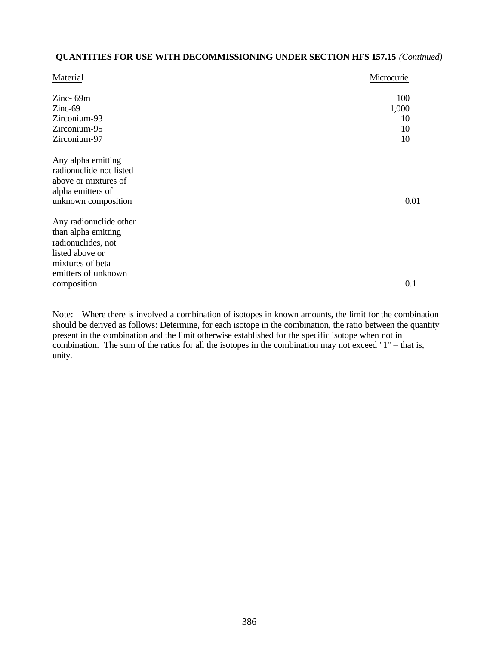| Material                | Microcurie |
|-------------------------|------------|
| Zinc-69m                | 100        |
| $Zinc-69$               | 1,000      |
| Zirconium-93            | 10         |
| Zirconium-95            | 10         |
| Zirconium-97            | 10         |
| Any alpha emitting      |            |
| radionuclide not listed |            |
| above or mixtures of    |            |
| alpha emitters of       |            |
| unknown composition     | 0.01       |
| Any radionuclide other  |            |
| than alpha emitting     |            |
| radionuclides, not      |            |
| listed above or         |            |
| mixtures of beta        |            |
| emitters of unknown     |            |
| composition             | 0.1        |

Note: Where there is involved a combination of isotopes in known amounts, the limit for the combination should be derived as follows: Determine, for each isotope in the combination, the ratio between the quantity present in the combination and the limit otherwise established for the specific isotope when not in combination. The sum of the ratios for all the isotopes in the combination may not exceed "1" – that is, unity.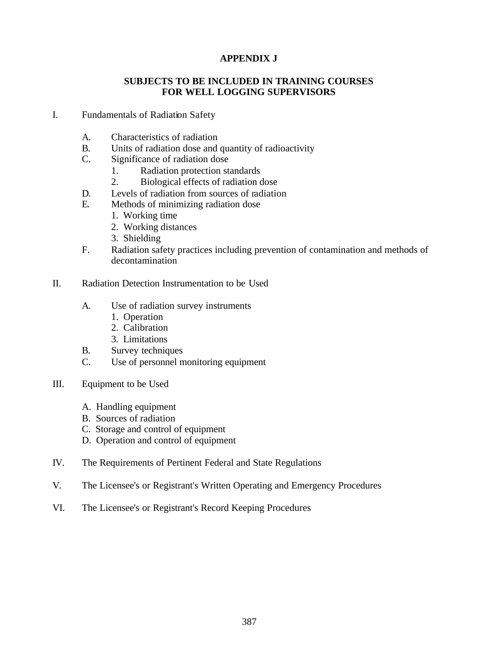# **APPENDIX J**

#### **SUBJECTS TO BE INCLUDED IN TRAINING COURSES FOR WELL LOGGING SUPERVISORS**

- I. Fundamentals of Radiation Safety
	- A. Characteristics of radiation
	- B. Units of radiation dose and quantity of radioactivity
	- C. Significance of radiation dose
		- 1. Radiation protection standards
		- 2. Biological effects of radiation dose
	- D. Levels of radiation from sources of radiation
	- E. Methods of minimizing radiation dose
		- 1. Working time
		- 2. Working distances
		- 3. Shielding
	- F. Radiation safety practices including prevention of contamination and methods of decontamination
- II. Radiation Detection Instrumentation to be Used
	- A. Use of radiation survey instruments
		- 1. Operation
		- 2. Calibration
		- 3. Limitations
	- B. Survey techniques
	- C. Use of personnel monitoring equipment
- III. Equipment to be Used
	- A. Handling equipment
	- B. Sources of radiation
	- C. Storage and control of equipment
	- D. Operation and control of equipment
- IV. The Requirements of Pertinent Federal and State Regulations
- V. The Licensee's or Registrant's Written Operating and Emergency Procedures
- VI. The Licensee's or Registrant's Record Keeping Procedures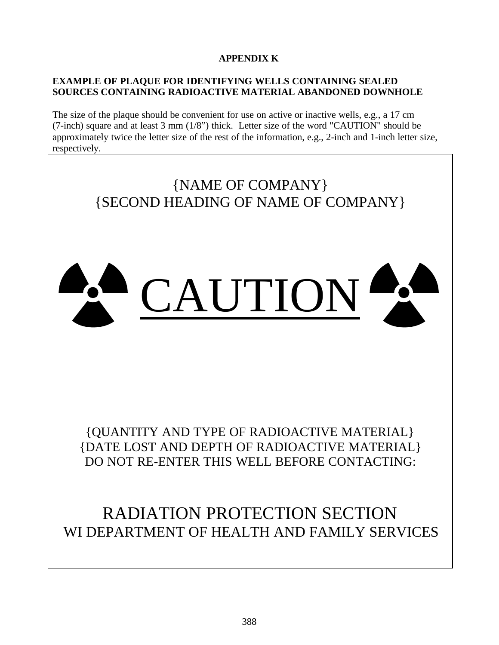# **APPENDIX K**

# **EXAMPLE OF PLAQUE FOR IDENTIFYING WELLS CONTAINING SEALED SOURCES CONTAINING RADIOACTIVE MATERIAL ABANDONED DOWNHOLE**

The size of the plaque should be convenient for use on active or inactive wells, e.g., a 17 cm (7-inch) square and at least 3 mm (1/8") thick. Letter size of the word "CAUTION" should be approximately twice the letter size of the rest of the information, e.g., 2-inch and 1-inch letter size, respectively.

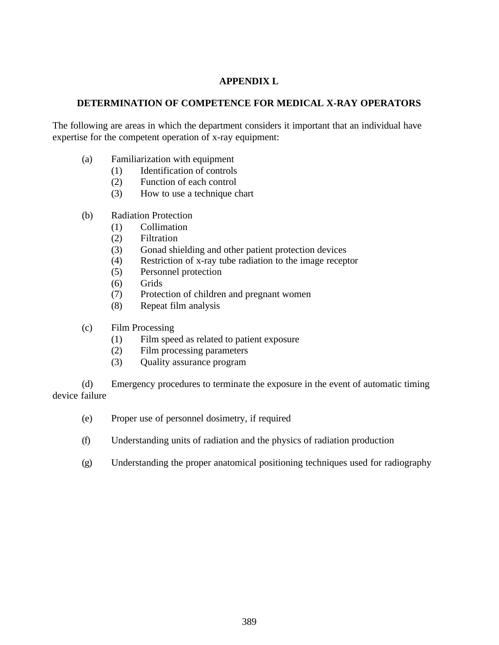# **APPENDIX L**

# **DETERMINATION OF COMPETENCE FOR MEDICAL X-RAY OPERATORS**

The following are areas in which the department considers it important that an individual have expertise for the competent operation of x-ray equipment:

- (a) Familiarization with equipment
	- (1) Identification of controls
		- (2) Function of each control
		- (3) How to use a technique chart
- (b) Radiation Protection
	- (1) Collimation
	- (2) Filtration
	- (3) Gonad shielding and other patient protection devices
	- (4) Restriction of x-ray tube radiation to the image receptor
	- (5) Personnel protection
	- (6) Grids
	- (7) Protection of children and pregnant women
	- (8) Repeat film analysis
- (c) Film Processing
	- (1) Film speed as related to patient exposure
	- (2) Film processing parameters
	- (3) Quality assurance program

(d) Emergency procedures to terminate the exposure in the event of automatic timing device failure

- (e) Proper use of personnel dosimetry, if required
- (f) Understanding units of radiation and the physics of radiation production
- (g) Understanding the proper anatomical positioning techniques used for radiography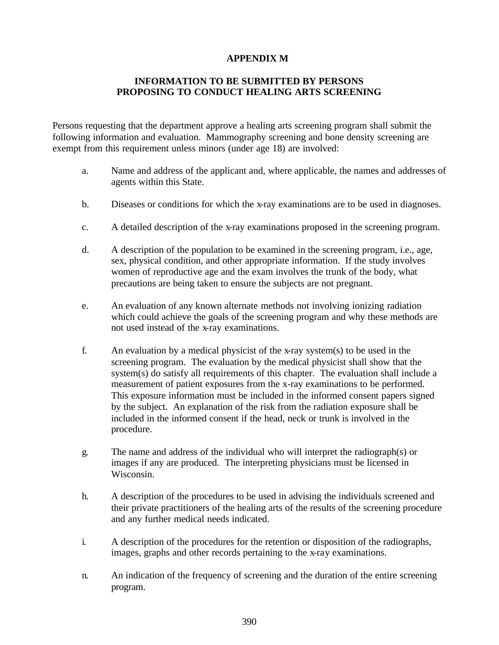#### **APPENDIX M**

## **INFORMATION TO BE SUBMITTED BY PERSONS PROPOSING TO CONDUCT HEALING ARTS SCREENING**

Persons requesting that the department approve a healing arts screening program shall submit the following information and evaluation. Mammography screening and bone density screening are exempt from this requirement unless minors (under age 18) are involved:

- a. Name and address of the applicant and, where applicable, the names and addresses of agents within this State.
- b. Diseases or conditions for which the x-ray examinations are to be used in diagnoses.
- c. A detailed description of the x-ray examinations proposed in the screening program.
- d. A description of the population to be examined in the screening program, i.e., age, sex, physical condition, and other appropriate information. If the study involves women of reproductive age and the exam involves the trunk of the body, what precautions are being taken to ensure the subjects are not pregnant.
- e. An evaluation of any known alternate methods not involving ionizing radiation which could achieve the goals of the screening program and why these methods are not used instead of the x-ray examinations.
- f. An evaluation by a medical physicist of the x-ray system(s) to be used in the screening program. The evaluation by the medical physicist shall show that the system(s) do satisfy all requirements of this chapter. The evaluation shall include a measurement of patient exposures from the x-ray examinations to be performed. This exposure information must be included in the informed consent papers signed by the subject. An explanation of the risk from the radiation exposure shall be included in the informed consent if the head, neck or trunk is involved in the procedure.
- g. The name and address of the individual who will interpret the radiograph(s) or images if any are produced. The interpreting physicians must be licensed in Wisconsin.
- h. A description of the procedures to be used in advising the individuals screened and their private practitioners of the healing arts of the results of the screening procedure and any further medical needs indicated.
- i. A description of the procedures for the retention or disposition of the radiographs, images, graphs and other records pertaining to the x-ray examinations.
- n. An indication of the frequency of screening and the duration of the entire screening program.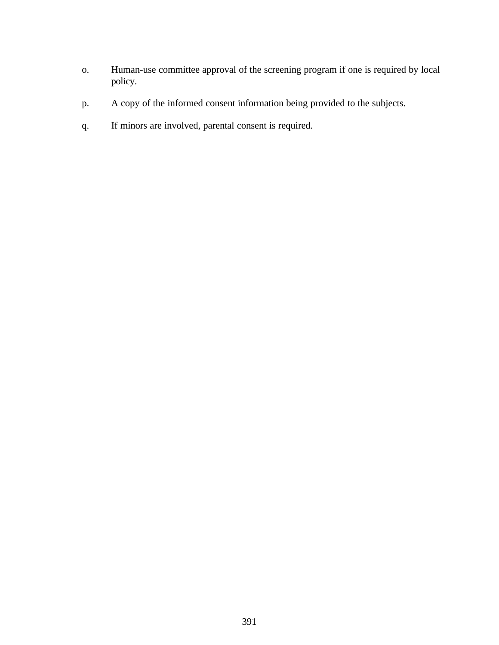- o. Human-use committee approval of the screening program if one is required by local policy.
- p. A copy of the informed consent information being provided to the subjects.
- q. If minors are involved, parental consent is required.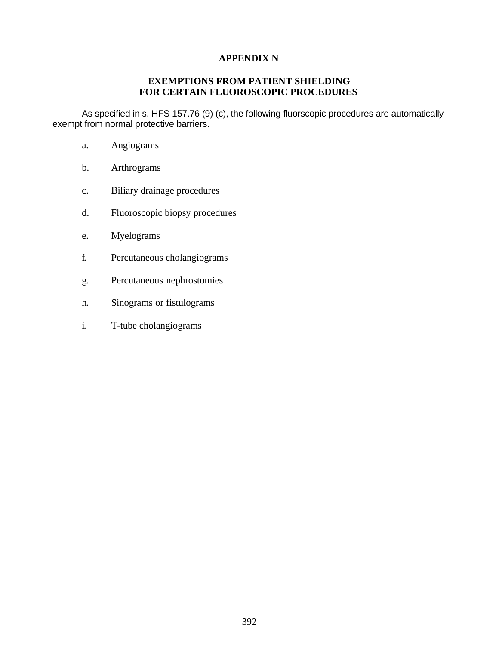#### **APPENDIX N**

### **EXEMPTIONS FROM PATIENT SHIELDING FOR CERTAIN FLUOROSCOPIC PROCEDURES**

As specified in s. HFS 157.76 (9) (c), the following fluorscopic procedures are automatically exempt from normal protective barriers.

- a. Angiograms
- b. Arthrograms
- c. Biliary drainage procedures
- d. Fluoroscopic biopsy procedures
- e. Myelograms
- f. Percutaneous cholangiograms
- g. Percutaneous nephrostomies
- h. Sinograms or fistulograms
- i. T-tube cholangiograms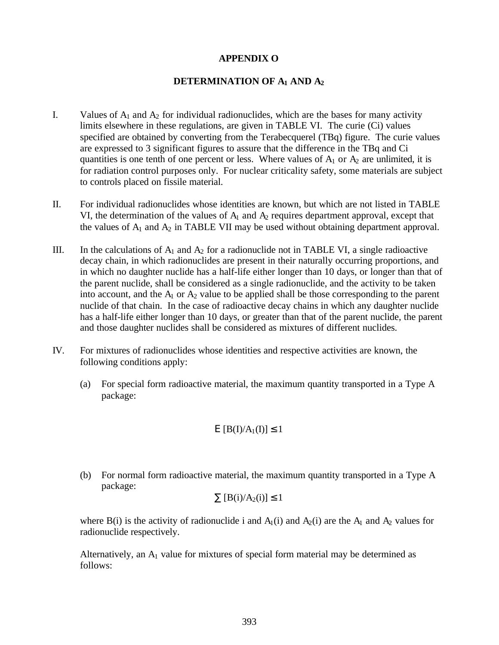#### **APPENDIX O**

#### **DETERMINATION OF A1 AND A<sup>2</sup>**

- I. Values of  $A_1$  and  $A_2$  for individual radionuclides, which are the bases for many activity limits elsewhere in these regulations, are given in TABLE VI. The curie (Ci) values specified are obtained by converting from the Terabecquerel (TBq) figure. The curie values are expressed to 3 significant figures to assure that the difference in the TBq and Ci quantities is one tenth of one percent or less. Where values of  $A_1$  or  $A_2$  are unlimited, it is for radiation control purposes only. For nuclear criticality safety, some materials are subject to controls placed on fissile material.
- II. For individual radionuclides whose identities are known, but which are not listed in TABLE VI, the determination of the values of  $A_1$  and  $A_2$  requires department approval, except that the values of  $A_1$  and  $A_2$  in TABLE VII may be used without obtaining department approval.
- III. In the calculations of  $A_1$  and  $A_2$  for a radionuclide not in TABLE VI, a single radioactive decay chain, in which radionuclides are present in their naturally occurring proportions, and in which no daughter nuclide has a half-life either longer than 10 days, or longer than that of the parent nuclide, shall be considered as a single radionuclide, and the activity to be taken into account, and the  $A_1$  or  $A_2$  value to be applied shall be those corresponding to the parent nuclide of that chain. In the case of radioactive decay chains in which any daughter nuclide has a half-life either longer than 10 days, or greater than that of the parent nuclide, the parent and those daughter nuclides shall be considered as mixtures of different nuclides.
- IV. For mixtures of radionuclides whose identities and respective activities are known, the following conditions apply:
	- (a) For special form radioactive material, the maximum quantity transported in a Type A package:

$$
E [B(I)/A_1(I)] \le 1
$$

(b) For normal form radioactive material, the maximum quantity transported in a Type A package:

$$
\sum [B(i)/A_2(i)] \le 1
$$

where B(i) is the activity of radionuclide i and  $A_1(i)$  and  $A_2(i)$  are the  $A_1$  and  $A_2$  values for radionuclide respectively.

Alternatively, an  $A_1$  value for mixtures of special form material may be determined as follows: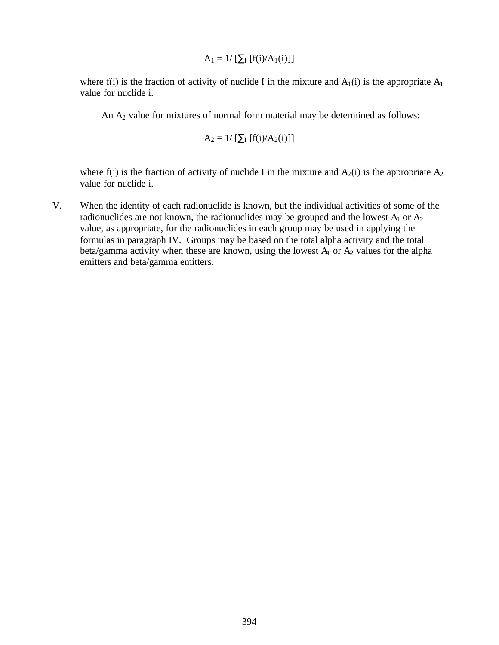$$
A_1 = 1/\left[\sum_I [f(i)/A_1(i)]\right]
$$

where f(i) is the fraction of activity of nuclide I in the mixture and  $A_1(i)$  is the appropriate  $A_1$ value for nuclide i.

An  $A_2$  value for mixtures of normal form material may be determined as follows:

$$
A_2 = 1/\left[\sum_{I} [f(i)/A_2(i)]\right]
$$

where f(i) is the fraction of activity of nuclide I in the mixture and  $A_2(i)$  is the appropriate  $A_2$ value for nuclide i.

V. When the identity of each radionuclide is known, but the individual activities of some of the radionuclides are not known, the radionuclides may be grouped and the lowest  $A_1$  or  $A_2$ value, as appropriate, for the radionuclides in each group may be used in applying the formulas in paragraph IV. Groups may be based on the total alpha activity and the total beta/gamma activity when these are known, using the lowest  $A_1$  or  $A_2$  values for the alpha emitters and beta/gamma emitters.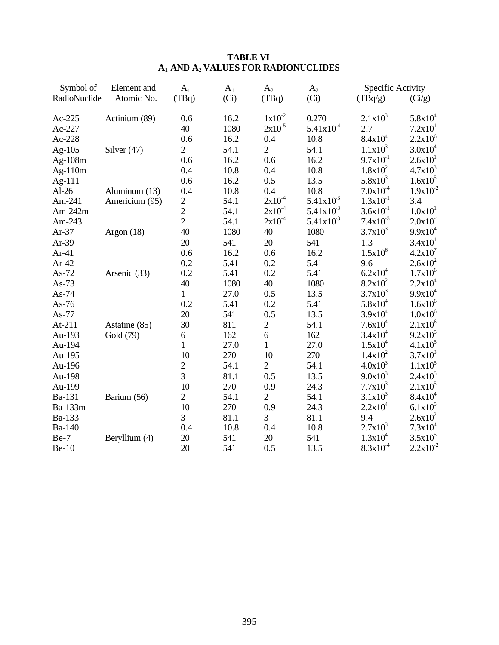| Symbol of    | Element and    | $A_1$          | A <sub>1</sub> | A <sub>2</sub> | A <sub>2</sub> | Specific Activity |                     |
|--------------|----------------|----------------|----------------|----------------|----------------|-------------------|---------------------|
| RadioNuclide | Atomic No.     | (TBq)          | (Ci)           | (TBq)          | (Ci)           | (TBq/g)           | (Ci/g)              |
|              |                |                |                |                |                |                   |                     |
| Ac-225       | Actinium (89)  | 0.6            | 16.2           | $1x10^{-2}$    | 0.270          | $2.1x10^3$        | $5.8x10^4$          |
| Ac-227       |                | 40             | 1080           | $2x10^{-5}$    | $5.41x10^4$    | 2.7               | 7.2x10 <sup>1</sup> |
| Ac-228       |                | 0.6            | 16.2           | 0.4            | 10.8           | $8.4x10^4$        | $2.2x10^6$          |
| Ag-105       | Silver $(47)$  | $\overline{2}$ | 54.1           | $\overline{2}$ | 54.1           | $1.1x10^3$        | $3.0x10^4$          |
| Ag-108m      |                | 0.6            | 16.2           | 0.6            | 16.2           | $9.7x10^{-1}$     | 2.6x10 <sup>1</sup> |
| Ag-110m      |                | 0.4            | 10.8           | 0.4            | 10.8           | $1.8x10^2$        | $4.7x10^3$          |
| Ag-111       |                | 0.6            | 16.2           | 0.5            | 13.5           | $5.8x10^3$        | $1.6x10^{5}$        |
| $Al-26$      | Aluminum (13)  | 0.4            | 10.8           | 0.4            | 10.8           | $7.0x10^{-4}$     | $1.9x10^{-2}$       |
| Am-241       | Americium (95) | $\overline{c}$ | 54.1           | $2x10^{-4}$    | $5.41x10^{3}$  | $1.3x10^{-1}$     | 3.4                 |
| Am- $242m$   |                | $\overline{c}$ | 54.1           | $2x10^{-4}$    | $5.41x10^{3}$  | $3.6x10^{-1}$     | 1.0x10 <sup>1</sup> |
| Am-243       |                | $\overline{2}$ | 54.1           | $2x10^{-4}$    | $5.41x10^{3}$  | $7.4x10^{-3}$     | $2.0x10^{-1}$       |
| $Ar-37$      | Argon $(18)$   | 40             | 1080           | 40             | 1080           | $3.7x10^3$        | $9.9x10^4$          |
| Ar-39        |                | 20             | 541            | 20             | 541            | 1.3               | 3.4x10 <sup>1</sup> |
| $Ar-41$      |                | 0.6            | 16.2           | 0.6            | 16.2           | $1.5x10^6$        | $4.2x10^7$          |
| $Ar-42$      |                | 0.2            | 5.41           | 0.2            | 5.41           | 9.6               | $2.6x10^2$          |
| $As-72$      | Arsenic (33)   | 0.2            | 5.41           | 0.2            | 5.41           | $6.2x10^4$        | $1.7x10^6$          |
| As- $73$     |                | 40             | 1080           | 40             | 1080           | $8.2x10^2$        | $2.2x10^4$          |
| $As-74$      |                | $\mathbf{1}$   | 27.0           | 0.5            | 13.5           | $3.7x10^3$        | $9.9x10^4$          |
| As-76        |                | 0.2            | 5.41           | 0.2            | 5.41           | $5.8x10^4$        | $1.6x10^{6}$        |
| As-77        |                | 20             | 541            | 0.5            | 13.5           | $3.9x10^4$        | $1.0x10^6$          |
| At- $211$    | Astatine (85)  | 30             | 811            | $\mathbf{2}$   | 54.1           | $7.6x10^4$        | $2.1x10^6$          |
| Au-193       | Gold (79)      | 6              | 162            | 6              | 162            | $3.4x10^4$        | $9.2x10^5$          |
| Au-194       |                | $\mathbf{1}$   | 27.0           | $\mathbf{1}$   | 27.0           | $1.5x10^4$        | $4.1x10^5$          |
| Au-195       |                | 10             | 270            | 10             | 270            | $1.4x10^2$        | $3.7x10^3$          |
| Au-196       |                | $\overline{c}$ | 54.1           | $\overline{2}$ | 54.1           | $4.0x10^{3}$      | $1.1x10^5$          |
| Au-198       |                | $\overline{3}$ | 81.1           | 0.5            | 13.5           | $9.0x10^3$        | $2.4x10^5$          |
| Au-199       |                | 10             | 270            | 0.9            | 24.3           | $7.7x10^3$        | $2.1x10^5$          |
| Ba-131       | Barium (56)    | $\overline{2}$ | 54.1           | $\overline{2}$ | 54.1           | $3.1x10^3$        | $8.4x10^4$          |
| Ba-133m      |                | 10             | 270            | 0.9            | 24.3           | $2.2x10^4$        | $6.1x10^5$          |
| Ba-133       |                | 3              | 81.1           | 3              | 81.1           | 9.4               | $2.6x10^2$          |
| Ba-140       |                | 0.4            | 10.8           | 0.4            | 10.8           | $2.7x10^3$        | $7.3x10^4$          |
| $Be-7$       | Beryllium (4)  | 20             | 541            | 20             | 541            | $1.3x10^4$        | $3.5x10^5$          |
| <b>Be-10</b> |                | 20             | 541            | 0.5            | 13.5           | $8.3x10^{-4}$     | $2.2x10^{-2}$       |

### **TABLE VI A1 AND A2 VALUES FOR RADIONUCLIDES**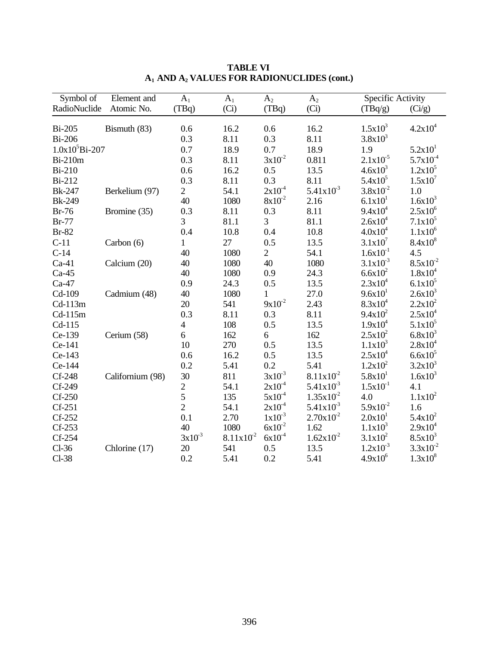| Symbol of          | Element and      | $A_1$                    | $A_1$         | A <sub>2</sub> | A <sub>2</sub>       | Specific Activity   |                       |
|--------------------|------------------|--------------------------|---------------|----------------|----------------------|---------------------|-----------------------|
| RadioNuclide       | Atomic No.       | (TBq)                    | (Ci)          | (TBq)          | (Ci)                 | (TBq/g)             | (Ci/g)                |
| <b>Bi-205</b>      | Bismuth (83)     | 0.6                      | 16.2          | 0.6            | 16.2                 | $1.5x10^3$          | $4.2x10^4$            |
| <b>Bi-206</b>      |                  | 0.3                      | 8.11          | 0.3            | 8.11                 | $3.8x10^3$          |                       |
| $1.0x10^5Bi - 207$ |                  | 0.7                      | 18.9          | 0.7            | 18.9                 | 1.9                 | 5.2x10 <sup>1</sup>   |
| <b>Bi-210m</b>     |                  | 0.3                      | 8.11          | $3x10^{-2}$    | 0.811                | $2.1x10^{-5}$       | $5.7x10^{-4}$         |
| <b>Bi-210</b>      |                  | 0.6                      | 16.2          | 0.5            | 13.5                 | $4.6x10^{3}$        | $1.2x10^5$            |
| <b>Bi-212</b>      |                  | 0.3                      | 8.11          | 0.3            | 8.11                 | $5.4x10^5$          | $1.5x10^7$            |
| <b>Bk-247</b>      | Berkelium (97)   | $\overline{2}$           | 54.1          | $2x10^{-4}$    | $5.41x10^{3}$        | $3.8x10^{-2}$       | 1.0                   |
| <b>Bk-249</b>      |                  | 40                       | 1080          | $8x10^{-2}$    | 2.16                 | 6.1x10 <sup>1</sup> | $1.6x10^{3}$          |
| <b>Br-76</b>       | Bromine (35)     | 0.3                      | 8.11          | 0.3            | 8.11                 | $9.4x10^4$          | $2.5x10^6$            |
| <b>Br-77</b>       |                  | 3                        | 81.1          | 3              | 81.1                 | $2.6x10^4$          | $7.1x10^5$            |
| <b>Br-82</b>       |                  | 0.4                      | 10.8          | 0.4            | 10.8                 | $4.0x10^4$          | $1.1 \mathrm{x} 10^6$ |
| $C-11$             | Carbon (6)       | $\mathbf{1}$             | 27            | 0.5            | 13.5                 | $3.1x10^{7}$        | $8.4x10^{8}$          |
| $C-14$             |                  | 40                       | 1080          | $\overline{2}$ | 54.1                 | $1.6x10^{-1}$       | 4.5                   |
| $Ca-41$            | Calcium (20)     | 40                       | 1080          | 40             | 1080                 | $3.1x10^{-3}$       | $8.5x10^{-2}$         |
| $Ca-45$            |                  | 40                       | 1080          | 0.9            | 24.3                 | $6.6x10^{2}$        | $1.8x10^4$            |
| $Ca-47$            |                  | 0.9                      | 24.3          | 0.5            | 13.5                 | $2.3x10^4$          | $6.1x10^5$            |
| Cd-109             | Cadmium (48)     | 40                       | 1080          | $\mathbf{1}$   | 27.0                 | 9.6x10 <sup>1</sup> | $2.6x10^3$            |
| $Cd-113m$          |                  | 20                       | 541           | $9x10^{-2}$    | 2.43                 | $8.3x10^4$          | $2.2x10^2$            |
| $Cd-115m$          |                  | 0.3                      | 8.11          | 0.3            | 8.11                 | $9.4x10^2$          | $2.5x10^4$            |
| $Cd-115$           |                  | $\overline{\mathcal{L}}$ | 108           | 0.5            | 13.5                 | $1.9x10^4$          | $5.1x10^5$            |
| Ce-139             | Cerium (58)      | 6                        | 162           | 6              | 162                  | $2.5x10^2$          | $6.8x10^{3}$          |
| Ce-141             |                  | 10                       | 270           | 0.5            | 13.5                 | $1.1x10^3$          | $2.8x10^4$            |
| Ce-143             |                  | 0.6                      | 16.2          | 0.5            | 13.5                 | $2.5x10^4$          | $6.6x10^{5}$          |
| Ce-144             |                  | 0.2                      | 5.41          | 0.2            | 5.41                 | $1.2x10^2$          | $3.2x10^3$            |
| Cf-248             | Californium (98) | 30                       | 811           | $3x10^{-3}$    | $8.11x10^{2}$        | $5.8x10^{1}$        | $1.6x10^{3}$          |
| Cf-249             |                  | $\overline{c}$           | 54.1          | $2x10^{-4}$    | $5.41x10^{3}$        | $1.5x10^{-1}$       | 4.1                   |
| $Cf-250$           |                  | 5                        | 135           | $5x10^{-4}$    | $1.35x10^{2}$        | 4.0                 | $1.1x10^2$            |
| $Cf-251$           |                  | $\overline{2}$           | 54.1          | $2x10^{-4}$    | $5.41x10^{3}$        | $5.9x10^{-2}$       | 1.6                   |
| Cf-252             |                  | 0.1                      | 2.70          | $1x10^{-3}$    | $2.70x10^{2}$        | 2.0x10 <sup>1</sup> | $5.4x10^2$            |
| $Cf-253$           |                  | 40                       | 1080          | $6x10^{-2}$    | 1.62                 | $1.1x10^3$          | $2.9x10^4$            |
| Cf-254             |                  | $3x10^{-3}$              | $8.11x10^{2}$ | $6x10^{-4}$    | $1.62 \times 10^{2}$ | $3.1x10^2$          | $8.5x10^3$            |
| $Cl-36$            | Chlorine (17)    | 20                       | 541           | 0.5            | 13.5                 | $1.2x10^{-3}$       | $3.3x10^{-2}$         |
| $Cl-38$            |                  | 0.2                      | 5.41          | 0.2            | 5.41                 | $4.9x10^{6}$        | $1.3x10^{8}$          |

**TABLE VI A1 AND A2 VALUES FOR RADIONUCLIDES (cont.)**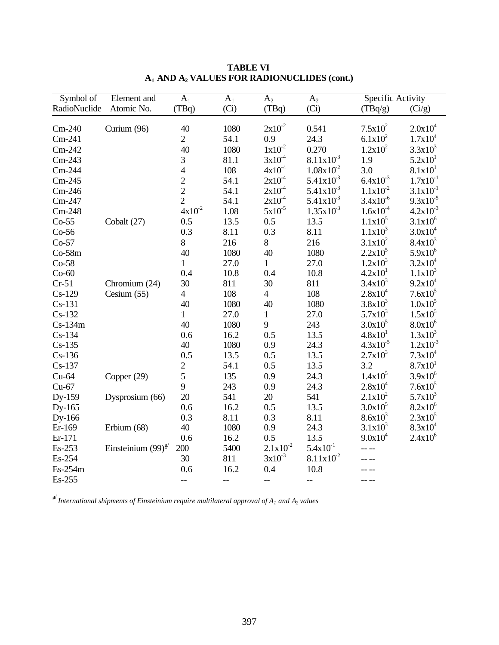| Symbol of    | Element and             | $A_1$                    | A <sub>1</sub> | A <sub>2</sub> | A <sub>2</sub> | Specific Activity   |                     |
|--------------|-------------------------|--------------------------|----------------|----------------|----------------|---------------------|---------------------|
| RadioNuclide | Atomic No.              | (TBq)                    | (Ci)           | (TBq)          | (Ci)           | (TBq/g)             | (Ci/g)              |
|              |                         |                          |                |                |                |                     |                     |
| $Cm-240$     | Curium (96)             | 40                       | 1080           | $2x10^{-2}$    | 0.541          | $7.5x10^2$          | $2.0x10^4$          |
| $Cm-241$     |                         | $\overline{2}$           | 54.1           | 0.9            | 24.3           | $6.1x10^2$          | $1.7x10^4$          |
| $Cm-242$     |                         | 40                       | 1080           | $1x10^{-2}$    | 0.270          | $1.2x10^2$          | $3.3x10^3$          |
| $Cm-243$     |                         | 3                        | 81.1           | $3x10^{-4}$    | $8.11x10^{3}$  | 1.9                 | 5.2x10 <sup>1</sup> |
| Cm-244       |                         | $\overline{\mathcal{L}}$ | 108            | $4x10^{-4}$    | $1.08x10^{2}$  | 3.0                 | 8.1x10 <sup>1</sup> |
| $Cm-245$     |                         | $\overline{2}$           | 54.1           | $2x10^{-4}$    | $5.41x10^{3}$  | $6.4x10^{-3}$       | $1.7x10^{-1}$       |
| $Cm-246$     |                         | $\overline{2}$           | 54.1           | $2x10^{-4}$    | $5.41x10^{3}$  | $1.1x10^{-2}$       | $3.1x10^{-1}$       |
| Cm-247       |                         | $\overline{2}$           | 54.1           | $2x10^{-4}$    | $5.41x10^{3}$  | $3.4x10^{-6}$       | $9.3x10^{-5}$       |
| $Cm-248$     |                         | $4x10^{-2}$              | 1.08           | $5x10^{-5}$    | $1.35x10^{3}$  | $1.6x10^{-4}$       | $4.2x10^{-3}$       |
| $Co-55$      | Cobalt (27)             | 0.5                      | 13.5           | 0.5            | 13.5           | $1.1x10^5$          | $3.1x10^{6}$        |
| $Co-56$      |                         | 0.3                      | 8.11           | 0.3            | 8.11           | $1.1x10^3$          | $3.0x10^4$          |
| $Co-57$      |                         | $8\,$                    | 216            | 8              | 216            | $3.1x10^2$          | $8.4x10^3$          |
| $Co-58m$     |                         | 40                       | 1080           | 40             | 1080           | $2.2x10^5$          | $5.9x10^6$          |
| $Co-58$      |                         | $\mathbf{1}$             | 27.0           | $\mathbf{1}$   | 27.0           | $1.2x10^3$          | $3.2x10^4$          |
| $Co-60$      |                         | 0.4                      | 10.8           | 0.4            | 10.8           | 4.2x10 <sup>1</sup> | $1.1x10^3$          |
| $Cr-51$      | Chromium (24)           | 30                       | 811            | 30             | 811            | $3.4x10^3$          | $9.2x10^4$          |
| $Cs-129$     | Cesium $(55)$           | $\overline{4}$           | 108            | $\overline{4}$ | 108            | $2.8x10^4$          | $7.6x10^5$          |
| $Cs-131$     |                         | 40                       | 1080           | 40             | 1080           | $3.8x10^3$          | $1.0x10^{5}$        |
| $Cs-132$     |                         | $\mathbf{1}$             | 27.0           | $\mathbf{1}$   | 27.0           | $5.7x10^3$          | $1.5x10^5$          |
| $Cs-134m$    |                         | 40                       | 1080           | 9              | 243            | $3.0x10^5$          | $8.0x10^{6}$        |
| $Cs-134$     |                         | 0.6                      | 16.2           | 0.5            | 13.5           | $4.8x10^{1}$        | $1.3x10^3$          |
| $Cs-135$     |                         | 40                       | 1080           | 0.9            | 24.3           | $4.3x10^{-5}$       | $1.2x10^{-3}$       |
| $Cs-136$     |                         | 0.5                      | 13.5           | 0.5            | 13.5           | $2.7x10^3$          | $7.3x10^4$          |
| $Cs-137$     |                         | $\overline{2}$           | 54.1           | 0.5            | 13.5           | 3.2                 | 8.7x10 <sup>1</sup> |
| $Cu-64$      | Copper (29)             | 5                        | 135            | 0.9            | 24.3           | $1.4x10^5$          | $3.9x10^{6}$        |
| $Cu-67$      |                         | 9                        | 243            | 0.9            | 24.3           | $2.8x10^4$          | $7.6x10^5$          |
| Dy-159       | Dysprosium (66)         | 20                       | 541            | 20             | 541            | $2.1x10^2$          | $5.7x10^3$          |
| Dy-165       |                         | 0.6                      | 16.2           | 0.5            | 13.5           | $3.0x10^5$          | $8.2x10^6$          |
| Dy-166       |                         | 0.3                      | 8.11           | 0.3            | 8.11           | $8.6x10^{3}$        | $2.3x10^5$          |
| Er-169       | Erbium (68)             | 40                       | 1080           | 0.9            | 24.3           | $3.1x10^3$          | $8.3x10^4$          |
| Er-171       |                         | 0.6                      | 16.2           | 0.5            | 13.5           | $9.0x10^4$          | $2.4x10^6$          |
| Es-253       | Einsteinium $(99)^{a/}$ | 200                      | 5400           | $2.1x10^{-2}$  | $5.4x10^{-1}$  |                     |                     |
| Es-254       |                         | 30                       | 811            | $3x10^{-3}$    | $8.11x10^2$    |                     |                     |
| Es-254m      |                         | 0.6                      | 16.2           | 0.4            | 10.8           |                     |                     |
| Es-255       |                         | $-$                      | $\overline{a}$ | $\overline{a}$ | $-$            | -- --               |                     |

**TABLE VI A1 AND A2 VALUES FOR RADIONUCLIDES (cont.)**

a/ *International shipments of Einsteinium require multilateral approval of A1 and A2 values*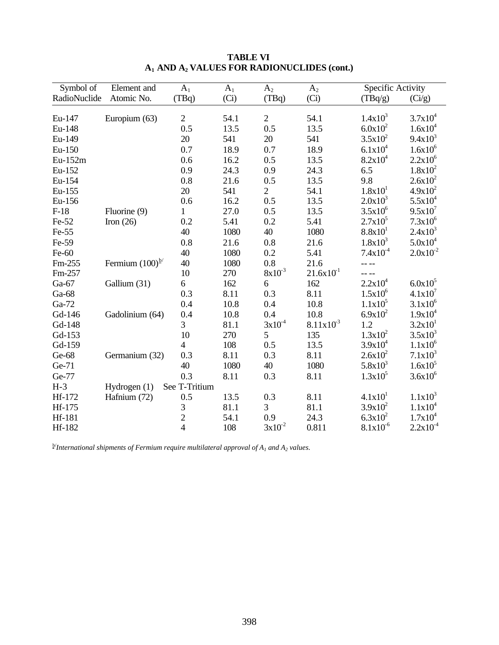| Symbol of    | Element and          | A <sub>1</sub> | $A_1$ | A <sub>2</sub> | A <sub>2</sub> | Specific Activity   |                     |
|--------------|----------------------|----------------|-------|----------------|----------------|---------------------|---------------------|
| RadioNuclide | Atomic No.           | (TBq)          | (Ci)  | (TBq)          | (Ci)           | (TBq/g)             | (Ci/g)              |
|              |                      |                |       |                |                |                     |                     |
| Eu-147       | Europium (63)        | $\mathbf{2}$   | 54.1  | $\sqrt{2}$     | 54.1           | $1.4x10^3$          | $3.7x10^4$          |
| Eu-148       |                      | 0.5            | 13.5  | 0.5            | 13.5           | $6.0x10^2$          | $1.6x10^{4}$        |
| Eu-149       |                      | 20             | 541   | 20             | 541            | $3.5x10^2$          | $9.4x10^3$          |
| Eu-150       |                      | 0.7            | 18.9  | 0.7            | 18.9           | $6.1x10^4$          | $1.6x10^{6}$        |
| Eu-152m      |                      | 0.6            | 16.2  | 0.5            | 13.5           | $8.2x10^4$          | $2.2x10^6$          |
| Eu-152       |                      | 0.9            | 24.3  | 0.9            | 24.3           | 6.5                 | $1.8x10^2$          |
| Eu-154       |                      | 0.8            | 21.6  | 0.5            | 13.5           | 9.8                 | $2.6x10^2$          |
| Eu-155       |                      | 20             | 541   | $\overline{2}$ | 54.1           | 1.8x10 <sup>1</sup> | $4.9x10^2$          |
| Eu-156       |                      | 0.6            | 16.2  | 0.5            | 13.5           | $2.0x10^3$          | $5.5x10^4$          |
| $F-18$       | Fluorine (9)         | 1              | 27.0  | 0.5            | 13.5           | $3.5x10^{6}$        | $9.5x10^{7}$        |
| $Fe-52$      | Iron $(26)$          | 0.2            | 5.41  | 0.2            | 5.41           | $2.7x10^5$          | $7.3x10^{6}$        |
| Fe-55        |                      | 40             | 1080  | 40             | 1080           | 8.8x10 <sup>1</sup> | $2.4x10^3$          |
| Fe-59        |                      | 0.8            | 21.6  | 0.8            | 21.6           | $1.8x10^3$          | $5.0x10^4$          |
| Fe-60        |                      | 40             | 1080  | 0.2            | 5.41           | $7.4x10^{-4}$       | $2.0x10^{-2}$       |
| Fm-255       | Fermium $(100)^{b/}$ | 40             | 1080  | 0.8            | 21.6           |                     |                     |
| Fm-257       |                      | 10             | 270   | $8x10^{-3}$    | $21.6x10^{1}$  |                     |                     |
| Ga-67        | Gallium (31)         | 6              | 162   | 6              | 162            | $2.2x10^4$          | $6.0x10^5$          |
| Ga-68        |                      | 0.3            | 8.11  | 0.3            | 8.11           | $1.5x10^6$          | $4.1x10^{7}$        |
| Ga-72        |                      | 0.4            | 10.8  | 0.4            | 10.8           | $1.1x10^5$          | $3.1x10^{6}$        |
| Gd-146       | Gadolinium (64)      | 0.4            | 10.8  | 0.4            | 10.8           | $6.9x10^2$          | $1.9x10^4$          |
| Gd-148       |                      | 3              | 81.1  | $3x10^{-4}$    | $8.11x10^{3}$  | 1.2                 | 3.2x10 <sup>1</sup> |
| Gd-153       |                      | 10             | 270   | 5              | 135            | $1.3x10^2$          | $3.5x10^3$          |
| Gd-159       |                      | $\overline{4}$ | 108   | 0.5            | 13.5           | $3.9x10^4$          | $1.1x10^6$          |
| Ge-68        | Germanium (32)       | 0.3            | 8.11  | 0.3            | 8.11           | $2.6x10^2$          | $7.1x10^3$          |
| Ge-71        |                      | 40             | 1080  | 40             | 1080           | $5.8x10^3$          | $1.6x10^{5}$        |
| Ge-77        |                      | 0.3            | 8.11  | 0.3            | 8.11           | $1.3x10^5$          | $3.6x10^{6}$        |
| $H-3$        | Hydrogen $(1)$       | See T-Tritium  |       |                |                |                     |                     |
| Hf-172       | Hafnium (72)         | 0.5            | 13.5  | 0.3            | 8.11           | 4.1x10 <sup>1</sup> | $1.1x10^3$          |
| Hf-175       |                      | 3              | 81.1  | 3              | 81.1           | $3.9x10^2$          | $1.1x10^4$          |
| Hf-181       |                      | $\overline{2}$ | 54.1  | 0.9            | 24.3           | $6.3x10^2$          | $1.7x10^4$          |
| Hf-182       |                      | 4              | 108   | $3x10^{-2}$    | 0.811          | $8.1x10^{-6}$       | $2.2x10^{-4}$       |

b/ *International shipments of Fermium require multilateral approval of A1 and A2 values.*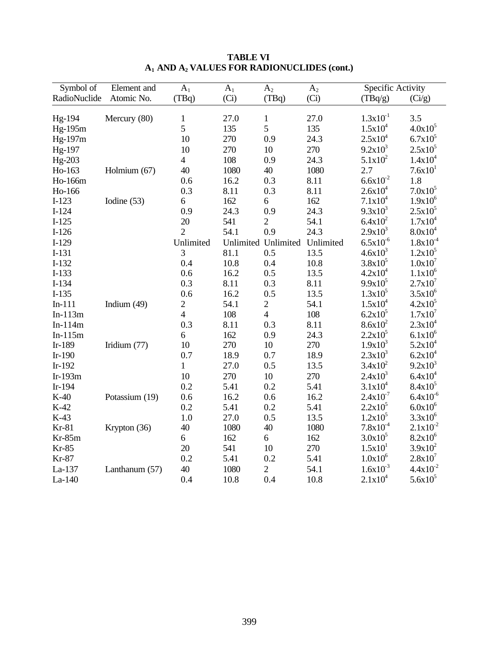| Symbol of    | Element and    | A <sub>1</sub>           | $A_1$ | A <sub>2</sub>      | A <sub>2</sub> | Specific Activity   |                     |
|--------------|----------------|--------------------------|-------|---------------------|----------------|---------------------|---------------------|
| RadioNuclide | Atomic No.     | (TBq)                    | (Ci)  | (TBq)               | (Ci)           | (TBq/g)             | (Ci/g)              |
|              |                |                          |       |                     |                |                     |                     |
| Hg-194       | Mercury (80)   | $\mathbf{1}$             | 27.0  | $\mathbf{1}$        | 27.0           | $1.3x10^{-1}$       | 3.5                 |
| Hg-195m      |                | 5                        | 135   | 5                   | 135            | $1.5x10^4$          | $4.0x10^5$          |
| Hg-197m      |                | 10                       | 270   | 0.9                 | 24.3           | $2.5x10^4$          | $6.7x10^5$          |
| Hg-197       |                | 10                       | 270   | 10                  | 270            | $9.2x10^3$          | $2.5x10^5$          |
| Hg-203       |                | $\overline{\mathcal{A}}$ | 108   | 0.9                 | 24.3           | $5.1x10^2$          | $1.4x10^4$          |
| Ho-163       | Holmium (67)   | 40                       | 1080  | 40                  | 1080           | 2.7                 | 7.6x10 <sup>1</sup> |
| Ho-166m      |                | 0.6                      | 16.2  | 0.3                 | 8.11           | $6.6x10^{-2}$       | 1.8                 |
| Ho-166       |                | 0.3                      | 8.11  | 0.3                 | 8.11           | $2.6x10^4$          | $7.0x10^5$          |
| $I-123$      | Iodine (53)    | 6                        | 162   | 6                   | 162            | $7.1x10^4$          | $1.9x10^6$          |
| $I-124$      |                | 0.9                      | 24.3  | 0.9                 | 24.3           | $9.3x10^3$          | $2.5x10^5$          |
| $I-125$      |                | $20\,$                   | 541   | $\mathbf{2}$        | 54.1           | $6.4x10^2$          | $1.7x10^4$          |
| $I-126$      |                | $\overline{2}$           | 54.1  | 0.9                 | 24.3           | $2.9x10^3$          | $8.0x10^4$          |
| $I-129$      |                | Unlimited                |       | Unlimited Unlimited | Unlimited      | $6.5x10^{-6}$       | $1.8x10^{-4}$       |
| $I-131$      |                | 3                        | 81.1  | 0.5                 | 13.5           | $4.6x10^{3}$        | $1.2x10^5$          |
| $I-132$      |                | 0.4                      | 10.8  | 0.4                 | 10.8           | $3.8x10^5$          | $1.0x10^7$          |
| $I-133$      |                | 0.6                      | 16.2  | 0.5                 | 13.5           | $4.2x10^4$          | $1.1x10^6$          |
| $I-134$      |                | 0.3                      | 8.11  | 0.3                 | 8.11           | $9.9x10^5$          | $2.7x10^7$          |
| $I-135$      |                | 0.6                      | 16.2  | 0.5                 | 13.5           | $1.3x10^5$          | $3.5x10^{6}$        |
| $In-111$     | Indium $(49)$  | $\overline{c}$           | 54.1  | $\overline{2}$      | 54.1           | $1.5x10^4$          | $4.2x10^5$          |
| $In-113m$    |                | $\overline{\mathcal{L}}$ | 108   | $\overline{4}$      | 108            | $6.2x10^5$          | $1.7x10^7$          |
| $In-114m$    |                | 0.3                      | 8.11  | 0.3                 | 8.11           | $8.6x10^2$          | $2.3x10^4$          |
| $In-115m$    |                | 6                        | 162   | 0.9                 | 24.3           | $2.2x10^5$          | $6.1x10^{6}$        |
| Ir-189       | Iridium (77)   | 10                       | 270   | $10\,$              | 270            | $1.9x10^3$          | $5.2x10^4$          |
| $Ir-190$     |                | 0.7                      | 18.9  | 0.7                 | 18.9           | $2.3x10^3$          | $6.2x10^4$          |
| $Ir-192$     |                | $\mathbf{1}$             | 27.0  | 0.5                 | 13.5           | $3.4x10^2$          | $9.2x10^3$          |
| Ir-193m      |                | 10                       | 270   | 10                  | 270            | $2.4x10^3$          | $6.4x10^{4}$        |
| $Ir-194$     |                | 0.2                      | 5.41  | 0.2                 | 5.41           | $3.1x10^4$          | $8.4x10^5$          |
| $K-40$       | Potassium (19) | 0.6                      | 16.2  | 0.6                 | 16.2           | $2.4x10^{-7}$       | $6.4x10^{-6}$       |
| $K-42$       |                | 0.2                      | 5.41  | 0.2                 | 5.41           | $2.2x10^5$          | $6.0x10^{6}$        |
| $K-43$       |                | 1.0                      | 27.0  | 0.5                 | 13.5           | $1.2x10^5$          | $3.3x10^{6}$        |
| $Kr-81$      | Krypton (36)   | 40                       | 1080  | 40                  | 1080           | $7.8x10^{-4}$       | $2.1x10^{-2}$       |
| $Kr-85m$     |                | 6                        | 162   | 6                   | 162            | $3.0x10^5$          | $8.2x10^{6}$        |
| Kr-85        |                | 20                       | 541   | 10                  | 270            | 1.5x10 <sup>1</sup> | $3.9x10^2$          |
| Kr-87        |                | 0.2                      | 5.41  | 0.2                 | 5.41           | $1.0x10^6$          | $2.8x10^7$          |
| La-137       | Lanthanum (57) | 40                       | 1080  | $\overline{2}$      | 54.1           | $1.6x10^{-3}$       | $4.4x10^{-2}$       |
| $La-140$     |                | 0.4                      | 10.8  | 0.4                 | 10.8           | $2.1x10^4$          | $5.6x10^5$          |

**TABLE VI A1 AND A2 VALUES FOR RADIONUCLIDES (cont.)**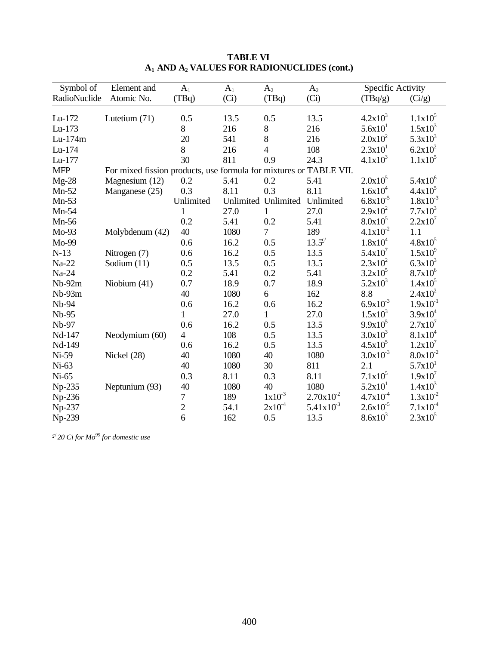| Symbol of    | Element and                                                        | $A_1$          | $A_1$ | A <sub>2</sub>      | A <sub>2</sub> | Specific Activity   |                     |
|--------------|--------------------------------------------------------------------|----------------|-------|---------------------|----------------|---------------------|---------------------|
| RadioNuclide | Atomic No.                                                         | (TBq)          | (Ci)  | (TBq)               | (Ci)           | (TBq/g)             | (Ci/g)              |
|              |                                                                    |                |       |                     |                |                     |                     |
| $Lu-172$     | Lutetium (71)                                                      | 0.5            | 13.5  | 0.5                 | 13.5           | $4.2x10^3$          | $1.1x10^5$          |
| Lu-173       |                                                                    | 8              | 216   | $8\,$               | 216            | 5.6x10 <sup>1</sup> | $1.5x10^{3}$        |
| Lu-174m      |                                                                    | 20             | 541   | 8                   | 216            | $2.0x10^2$          | $5.3x10^3$          |
| Lu-174       |                                                                    | 8              | 216   | $\overline{4}$      | 108            | 2.3x10 <sup>1</sup> | $6.2x10^2$          |
| Lu-177       |                                                                    | 30             | 811   | 0.9                 | 24.3           | $4.1x10^3$          | $1.1x10^5$          |
| <b>MFP</b>   | For mixed fission products, use formula for mixtures or TABLE VII. |                |       |                     |                |                     |                     |
| $Mg-28$      | Magnesium (12)                                                     | 0.2            | 5.41  | 0.2                 | 5.41           | $2.0x10^5$          | $5.4x10^6$          |
| $Mn-52$      | Manganese (25)                                                     | 0.3            | 8.11  | 0.3                 | 8.11           | $1.6x10^{4}$        | $4.4x10^5$          |
| $Mn-53$      |                                                                    | Unlimited      |       | Unlimited Unlimited | Unlimited      | $6.8x10^{-5}$       | $1.8x10^{-3}$       |
| $Mn-54$      |                                                                    | 1              | 27.0  | 1                   | 27.0           | $2.9x10^2$          | $7.7x10^3$          |
| $Mn-56$      |                                                                    | 0.2            | 5.41  | 0.2                 | 5.41           | $8.0x10^5$          | $2.2x10^7$          |
| $Mo-93$      | Molybdenum (42)                                                    | 40             | 1080  | 7                   | 189            | $4.1x10^{-2}$       | 1.1                 |
| Mo-99        |                                                                    | 0.6            | 16.2  | 0.5                 | $13.5^{\circ}$ | $1.8x10^4$          | $4.8x10^5$          |
| $N-13$       | Nitrogen (7)                                                       | 0.6            | 16.2  | 0.5                 | 13.5           | $5.4x10^7$          | $1.5x10^{9}$        |
| Na-22        | Sodium $(11)$                                                      | 0.5            | 13.5  | 0.5                 | 13.5           | $2.3x10^2$          | $6.3x10^{3}$        |
| Na-24        |                                                                    | 0.2            | 5.41  | 0.2                 | 5.41           | $3.2x10^5$          | $8.7x10^{6}$        |
| $Nb-92m$     | Niobium (41)                                                       | 0.7            | 18.9  | 0.7                 | 18.9           | $5.2x10^3$          | $1.4x10^5$          |
| Nb-93m       |                                                                    | 40             | 1080  | 6                   | 162            | 8.8                 | $2.4x10^2$          |
| Nb-94        |                                                                    | 0.6            | 16.2  | 0.6                 | 16.2           | $6.9x10^{-3}$       | $1.9x10^{-1}$       |
| Nb-95        |                                                                    | 1              | 27.0  | 1                   | 27.0           | $1.5x10^3$          | $3.9x10^4$          |
| Nb-97        |                                                                    | 0.6            | 16.2  | 0.5                 | 13.5           | $9.9x10^5$          | $2.7x10^7$          |
| Nd-147       | Neodymium (60)                                                     | $\overline{4}$ | 108   | 0.5                 | 13.5           | $3.0x10^3$          | $8.1x10^4$          |
| Nd-149       |                                                                    | 0.6            | 16.2  | 0.5                 | 13.5           | $4.5x10^5$          | $1.2x10^7$          |
| Ni-59        | Nickel (28)                                                        | 40             | 1080  | 40                  | 1080           | $3.0x10^{-3}$       | $8.0x10^{-2}$       |
| $Ni-63$      |                                                                    | 40             | 1080  | 30                  | 811            | 2.1                 | 5.7x10 <sup>1</sup> |
| $Ni-65$      |                                                                    | 0.3            | 8.11  | 0.3                 | 8.11           | $7.1x10^5$          | $1.9x10^7$          |
| Np-235       | Neptunium (93)                                                     | 40             | 1080  | 40                  | 1080           | 5.2x10 <sup>1</sup> | $1.4x10^3$          |
| $Np-236$     |                                                                    | 7              | 189   | $1x10^{-3}$         | $2.70x10^{2}$  | $4.7x10^{-4}$       | $1.3x10^{-2}$       |
| Np-237       |                                                                    | $\overline{2}$ | 54.1  | $2x10^{-4}$         | $5.41x10^{3}$  | $2.6x10^{-5}$       | $7.1x10^{-4}$       |
| Np-239       |                                                                    | 6              | 162   | 0.5                 | 13.5           | $8.6x10^{3}$        | $2.3x10^5$          |

c/ *20 Ci for Mo<sup>99</sup> for domestic use*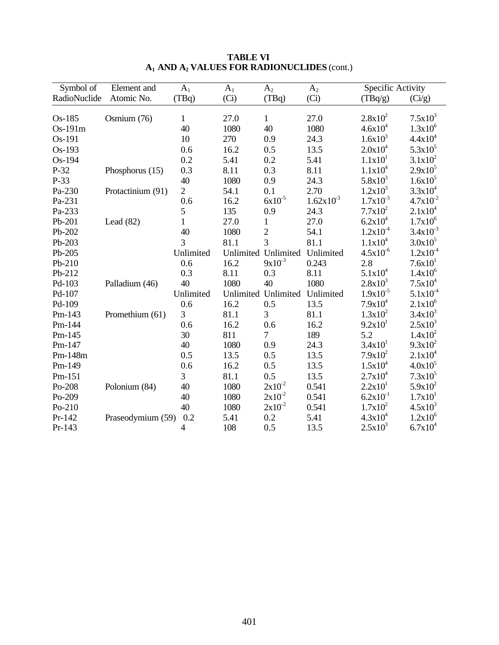| Symbol of    | Element and       | $A_1$          | $A_1$     | A <sub>2</sub>      | A <sub>2</sub>       | Specific Activity   |                     |
|--------------|-------------------|----------------|-----------|---------------------|----------------------|---------------------|---------------------|
| RadioNuclide | Atomic No.        | (TBq)          | (Ci)      | (TBq)               | (Ci)                 | (TBq/g)             | (Ci/g)              |
|              |                   |                |           |                     |                      |                     |                     |
| Os-185       | Osmium (76)       | $\mathbf{1}$   | 27.0      | $\mathbf{1}$        | 27.0                 | $2.8x10^2$          | $7.5x10^3$          |
| Os-191m      |                   | 40             | 1080      | 40                  | 1080                 | $4.6x10^{4}$        | $1.3x10^{6}$        |
| Os-191       |                   | 10             | 270       | 0.9                 | 24.3                 | $1.6x10^{3}$        | $4.4x10^4$          |
| Os-193       |                   | 0.6            | 16.2      | 0.5                 | 13.5                 | $2.0x10^4$          | $5.3x10^5$          |
| Os-194       |                   | 0.2            | 5.41      | 0.2                 | 5.41                 | 1.1x10 <sup>1</sup> | $3.1x10^2$          |
| $P-32$       | Phosphorus (15)   | 0.3            | 8.11      | 0.3                 | 8.11                 | $1.1x10^4$          | $2.9x10^5$          |
| P-33         |                   | 40             | 1080      | 0.9                 | 24.3                 | $5.8x10^3$          | $1.6x10^{5}$        |
| Pa-230       | Protactinium (91) | $\overline{2}$ | 54.1      | 0.1                 | 2.70                 | $1.2x10^3$          | $3.3x10^{4}$        |
| Pa-231       |                   | 0.6            | 16.2      | $6x10^{-5}$         | $1.62 \times 10^{3}$ | $1.7x10^{-3}$       | $4.7x10^{-2}$       |
| Pa-233       |                   | 5              | 135       | 0.9                 | 24.3                 | $7.7x10^2$          | $2.1x10^4$          |
| Pb-201       | Lead $(82)$       | $\mathbf{1}$   | 27.0      | $\mathbf{1}$        | 27.0                 | $6.2x10^4$          | $1.7x10^6$          |
| Pb-202       |                   | 40             | 1080      | $\overline{2}$      | 54.1                 | $1.2x10^{-4}$       | $3.4x10^{-3}$       |
| Pb-203       |                   | $\overline{3}$ | 81.1      | 3                   | 81.1                 | $1.1x10^4$          | $3.0x10^{5}$        |
| Pb-205       |                   | Unlimited      | Unlimited | Unlimited           | Unlimited            | $4.5x10^{-6}$       | $1.2x10^{-4}$       |
| Pb-210       |                   | 0.6            | 16.2      | $9x10^{-3}$         | 0.243                | 2.8                 | 7.6x10 <sup>1</sup> |
| Pb-212       |                   | 0.3            | 8.11      | 0.3                 | 8.11                 | $5.1x10^4$          | $1.4x10^{6}$        |
| Pd-103       | Palladium (46)    | 40             | 1080      | 40                  | 1080                 | $2.8x10^3$          | $7.5x10^4$          |
| Pd-107       |                   | Unlimited      |           | Unlimited Unlimited | Unlimited            | $1.9x10^{-5}$       | $5.1x10^{-4}$       |
| Pd-109       |                   | 0.6            | 16.2      | 0.5                 | 13.5                 | $7.9x10^4$          | $2.1x10^{6}$        |
| Pm-143       | Promethium (61)   | 3              | 81.1      | 3                   | 81.1                 | $1.3x10^2$          | $3.4x10^3$          |
| Pm-144       |                   | 0.6            | 16.2      | 0.6                 | 16.2                 | 9.2x10 <sup>1</sup> | $2.5x10^3$          |
| Pm-145       |                   | 30             | 811       | $\overline{7}$      | 189                  | 5.2                 | $1.4x10^2$          |
| Pm-147       |                   | 40             | 1080      | 0.9                 | 24.3                 | 3.4x10 <sup>1</sup> | $9.3x10^2$          |
| Pm-148m      |                   | 0.5            | 13.5      | 0.5                 | 13.5                 | $7.9x10^2$          | $2.1x10^4$          |
| Pm-149       |                   | 0.6            | 16.2      | 0.5                 | 13.5                 | $1.5x10^4$          | $4.0x10^{5}$        |
| Pm-151       |                   | 3              | 81.1      | 0.5                 | 13.5                 | $2.7x10^4$          | $7.3x10^5$          |
| Po-208       | Polonium (84)     | 40             | 1080      | $2x10^{-2}$         | 0.541                | 2.2x10 <sup>1</sup> | $5.9x10^2$          |
| Po-209       |                   | 40             | 1080      | $2x10^{-2}$         | 0.541                | $6.2x10^{-1}$       | 1.7x10 <sup>1</sup> |
| Po-210       |                   | 40             | 1080      | $2x10^{-2}$         | 0.541                | $1.7x10^2$          | $4.5x10^{3}$        |
| Pr-142       | Praseodymium (59) | 0.2            | 5.41      | 0.2                 | 5.41                 | $4.3x10^{4}$        | $1.2x10^6$          |
| Pr-143       |                   | 4              | 108       | 0.5                 | 13.5                 | $2.5x10^3$          | $6.7x10^{4}$        |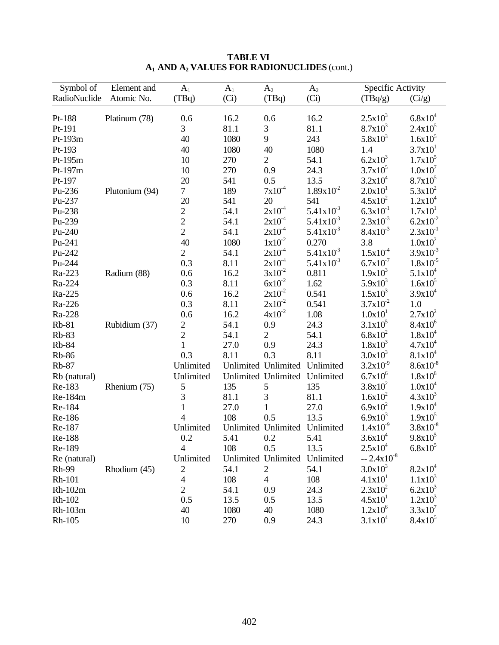| Symbol of    | Element and    | $A_1$          | A <sub>1</sub> | A <sub>2</sub>                | A <sub>2</sub> | Specific Activity   |                     |
|--------------|----------------|----------------|----------------|-------------------------------|----------------|---------------------|---------------------|
| RadioNuclide | Atomic No.     | (TBq)          | (Ci)           | (TBq)                         | (Ci)           | (TBq/g)             | (Ci/g)              |
|              |                |                |                |                               |                |                     |                     |
| Pt-188       | Platinum (78)  | 0.6            | 16.2           | 0.6                           | 16.2           | $2.5x10^3$          | $6.8x10^{4}$        |
| Pt-191       |                | 3              | 81.1           | 3                             | 81.1           | $8.7x10^3$          | $2.4x10^5$          |
| Pt-193m      |                | 40             | 1080           | 9                             | 243            | $5.8x10^3$          | $1.6x10^5$          |
| Pt-193       |                | 40             | 1080           | 40                            | 1080           | 1.4                 | 3.7x10 <sup>1</sup> |
| Pt-195m      |                | 10             | 270            | $\overline{2}$                | 54.1           | $6.2x10^3$          | $1.7x10^5$          |
| Pt-197m      |                | 10             | 270            | 0.9                           | 24.3           | $3.7x10^5$          | $1.0x10^{7}$        |
| Pt-197       |                | 20             | 541            | 0.5                           | 13.5           | $3.2x10^4$          | $8.7x10^5$          |
| Pu-236       | Plutonium (94) | $\overline{7}$ | 189            | $7x10^{-4}$                   | $1.89x10^{2}$  | 2.0x10 <sup>1</sup> | $5.3x10^2$          |
| Pu-237       |                | 20             | 541            | 20                            | 541            | $4.5x10^2$          | $1.2x10^4$          |
| Pu-238       |                | $\overline{c}$ | 54.1           | $2x10^{-4}$                   | $5.41x10^{3}$  | $6.3x10^{-1}$       | 1.7x10 <sup>1</sup> |
| Pu-239       |                | $\overline{c}$ | 54.1           | $2x10^{-4}$                   | $5.41x10^{3}$  | $2.3x10^{-3}$       | $6.2x10^{-2}$       |
| Pu-240       |                | $\overline{2}$ | 54.1           | $2x10^{-4}$                   | $5.41x10^{3}$  | $8.4x10^{-3}$       | $2.3x10^{-1}$       |
| Pu-241       |                | 40             | 1080           | $1x10^{-2}$                   | 0.270          | 3.8                 | $1.0x10^2$          |
| Pu-242       |                | $\overline{2}$ | 54.1           | $2x10^{-4}$                   | $5.41x10^{3}$  | $1.5x10^{-4}$       | $3.9x10^{-3}$       |
| Pu-244       |                | 0.3            | 8.11           | $2x10^{-4}$                   | $5.41x10^{3}$  | $6.7x10^{-7}$       | $1.8x10^{-5}$       |
| Ra-223       | Radium (88)    | 0.6            | 16.2           | $3x10^{-2}$                   | 0.811          | $1.9x10^3$          | $5.1x10^4$          |
| Ra-224       |                | 0.3            | 8.11           | $6x10^{-2}$                   | 1.62           | $5.9x10^3$          | $1.6x10^5$          |
| Ra-225       |                | 0.6            | 16.2           | $2x10^{-2}$                   | 0.541          | $1.5x10^3$          | $3.9x10^4$          |
| Ra-226       |                | 0.3            | 8.11           | $2x10^{-2}$                   | 0.541          | $3.7x10^{-2}$       | $1.0\,$             |
| Ra-228       |                | 0.6            | 16.2           | $4x10^{-2}$                   | 1.08           | 1.0x10 <sup>1</sup> | $2.7x10^2$          |
| $Rb-81$      | Rubidium (37)  | $\overline{c}$ | 54.1           | 0.9                           | 24.3           | $3.1x10^5$          | $8.4x10^{6}$        |
| <b>Rb-83</b> |                | $\overline{2}$ | 54.1           | $\overline{2}$                | 54.1           | $6.8x10^2$          | $1.8x10^{4}$        |
| <b>Rb-84</b> |                | $\mathbf{1}$   | 27.0           | 0.9                           | 24.3           | $1.8x10^3$          | $4.7x10^{4}$        |
| <b>Rb-86</b> |                | 0.3            | 8.11           | 0.3                           | 8.11           | $3.0x10^3$          | $8.1x10^4$          |
| <b>Rb-87</b> |                | Unlimited      |                | Unlimited Unlimited           | Unlimited      | $3.2x10^{-9}$       | $8.6x10^{-8}$       |
| Rb (natural) |                | Unlimited      |                | Unlimited Unlimited Unlimited |                | $6.7x10^{6}$        | $1.8x10^{8}$        |
| Re-183       | Rhenium (75)   | 5              | 135            | 5                             | 135            | $3.8x10^2$          | $1.0x10^4$          |
| Re-184m      |                | 3              | 81.1           | $\mathfrak{Z}$                | 81.1           | $1.6x10^2$          | $4.3x10^3$          |
| Re-184       |                | $\mathbf{1}$   | 27.0           | $\mathbf{1}$                  | 27.0           | $6.9x10^2$          | $1.9x10^4$          |
| Re-186       |                | $\overline{4}$ | 108            | 0.5                           | 13.5           | $6.9x10^{3}$        | $1.9x10^5$          |
| Re-187       |                | Unlimited      |                | Unlimited Unlimited           | Unlimited      | $1.4x10^{-9}$       | $3.8x10^{-8}$       |
| Re-188       |                | 0.2            | 5.41           | 0.2                           | 5.41           | $3.6x10^{4}$        | $9.8x10^5$          |
| Re-189       |                | 4              | 108            | 0.5                           | 13.5           | $2.5x10^4$          | $6.8x10^{5}$        |
| Re (natural) |                | Unlimited      |                | Unlimited Unlimited           | Unlimited      | $-2.4x10^{-8}$      |                     |
| <b>Rh-99</b> | Rhodium (45)   | $\overline{c}$ | 54.1           | $\overline{2}$                | 54.1           | $3.0x10^3$          | $8.2x10^4$          |
| Rh-101       |                | $\overline{4}$ | 108            | $\overline{4}$                | 108            | 4.1x10 <sup>1</sup> | $1.1x10^3$          |
| $Rh-102m$    |                | $\overline{2}$ | 54.1           | 0.9                           | 24.3           | $2.3x10^2$          | $6.2x10^3$          |
| Rh-102       |                | 0.5            | 13.5           | 0.5                           | 13.5           | 4.5x10 <sup>1</sup> | $1.2x10^3$          |
| Rh-103m      |                | 40             | 1080           | 40                            | 1080           | $1.2x10^6$          | 3.3x10'             |
| Rh-105       |                | 10             | 270            | 0.9                           | 24.3           | $3.1x10^4$          | $8.4x10^5$          |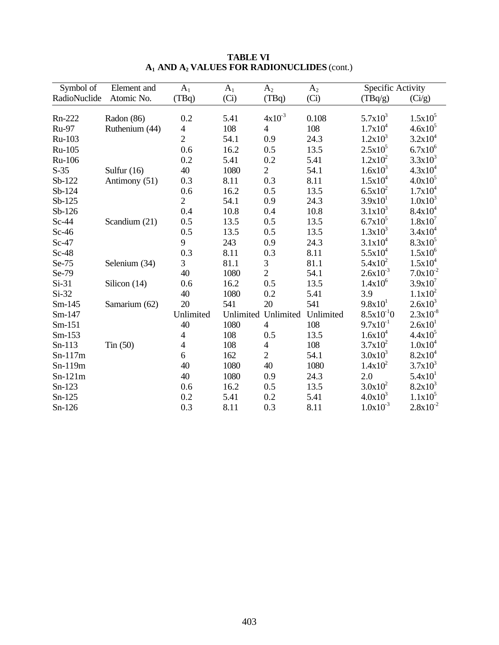| Symbol of    | Element and    | $A_1$                    | $A_1$ | A <sub>2</sub>      | A <sub>2</sub> | Specific Activity   |                     |
|--------------|----------------|--------------------------|-------|---------------------|----------------|---------------------|---------------------|
| RadioNuclide | Atomic No.     | (TBq)                    | (Ci)  | (TBq)               | (Ci)           | (TBq/g)             | (Ci/g)              |
| Rn-222       | Radon (86)     | 0.2                      | 5.41  | $4x10^{-3}$         | 0.108          | $5.7x10^3$          | $1.5x10^5$          |
| Ru-97        | Ruthenium (44) | 4                        | 108   | $\overline{4}$      | 108            | $1.7x10^4$          | $4.6x10^{5}$        |
| Ru-103       |                | $\overline{2}$           | 54.1  | 0.9                 | 24.3           | $1.2x10^3$          | $3.2x10^4$          |
| Ru-105       |                | 0.6                      | 16.2  | 0.5                 | 13.5           | $2.5x10^5$          | $6.7x10^{6}$        |
| Ru-106       |                | 0.2                      | 5.41  | 0.2                 | 5.41           | $1.2x10^2$          | $3.3x10^3$          |
| $S-35$       | Sulfur $(16)$  | 40                       | 1080  | $\overline{2}$      | 54.1           | $1.6x10^{3}$        | $4.3x10^{4}$        |
| Sb-122       | Antimony (51)  | 0.3                      | 8.11  | 0.3                 | 8.11           | $1.5x10^{4}$        | $4.0x10^5$          |
| Sb-124       |                | 0.6                      | 16.2  | 0.5                 | 13.5           | $6.5x10^2$          | $1.7x10^4$          |
| $Sb-125$     |                | $\overline{2}$           | 54.1  | 0.9                 | 24.3           | 3.9x10 <sup>1</sup> | $1.0x10^3$          |
| $Sb-126$     |                | 0.4                      | 10.8  | 0.4                 | 10.8           | $3.1x10^3$          | $8.4x10^4$          |
| $Sc-44$      | Scandium (21)  | 0.5                      | 13.5  | 0.5                 | 13.5           | $6.7x10^5$          | $1.8x10^7$          |
| $Sc-46$      |                | 0.5                      | 13.5  | 0.5                 | 13.5           | $1.3x10^3$          | $3.4x10^4$          |
| $Sc-47$      |                | 9                        | 243   | 0.9                 | 24.3           | $3.1x10^4$          | $8.3x10^5$          |
| $Sc-48$      |                | 0.3                      | 8.11  | 0.3                 | 8.11           | $5.5x10^4$          | $1.5x10^6$          |
| Se-75        | Selenium (34)  | 3                        | 81.1  | 3                   | 81.1           | $5.4x10^2$          | $1.5x10^4$          |
| Se-79        |                | 40                       | 1080  | $\overline{2}$      | 54.1           | $2.6x10^{-3}$       | $7.0x10^{-2}$       |
| $Si-31$      | Silicon (14)   | 0.6                      | 16.2  | 0.5                 | 13.5           | $1.4x10^{6}$        | $3.9x10^7$          |
| $Si-32$      |                | 40                       | 1080  | 0.2                 | 5.41           | 3.9                 | $1.1x10^2$          |
| $Sm-145$     | Samarium (62)  | 20                       | 541   | 20                  | 541            | $9.8x10^{1}$        | $2.6x10^3$          |
| Sm-147       |                | Unlimited                |       | Unlimited Unlimited | Unlimited      | $8.5x10^{-1}0$      | $2.3x10^{-8}$       |
| $Sm-151$     |                | 40                       | 1080  | $\overline{4}$      | 108            | $9.7x10^{-1}$       | 2.6x10 <sup>1</sup> |
| $Sm-153$     |                | $\overline{\mathcal{A}}$ | 108   | 0.5                 | 13.5           | $1.6x10^{4}$        | $4.4x10^5$          |
| $Sn-113$     | $T$ in $(50)$  | $\overline{\mathcal{L}}$ | 108   | 4                   | 108            | $3.7x10^2$          | $1.0x10^4$          |
| $Sn-117m$    |                | 6                        | 162   | $\overline{2}$      | 54.1           | $3.0x10^3$          | $8.2x10^4$          |
| Sn-119m      |                | 40                       | 1080  | 40                  | 1080           | $1.4x10^2$          | $3.7x10^3$          |
| $Sn-121m$    |                | 40                       | 1080  | 0.9                 | 24.3           | 2.0                 | 5.4x10 <sup>1</sup> |
| $Sn-123$     |                | 0.6                      | 16.2  | 0.5                 | 13.5           | $3.0x10^2$          | $8.2x10^3$          |
| $Sn-125$     |                | 0.2                      | 5.41  | 0.2                 | 5.41           | $4.0x10^{3}$        | $1.1x10^5$          |
| $Sn-126$     |                | 0.3                      | 8.11  | 0.3                 | 8.11           | $1.0x10^{-3}$       | $2.8x10^{-2}$       |

**TABLE VI A1 AND A2 VALUES FOR RADIONUCLIDES** (cont.)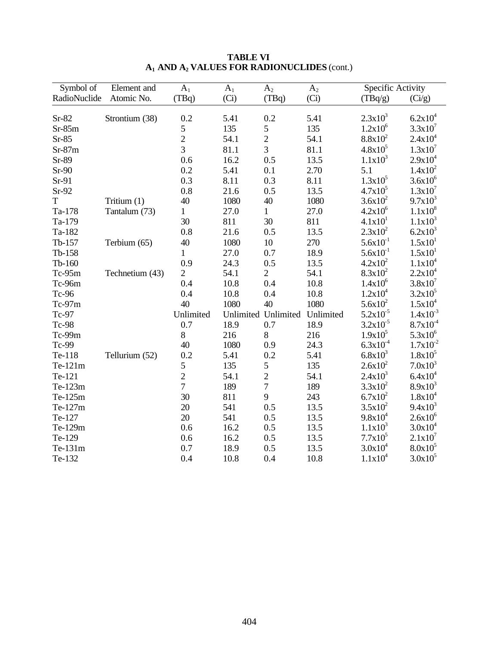| Symbol of    | Element and     | $A_1$          | $A_1$ | A <sub>2</sub>      | A <sub>2</sub> | Specific Activity   |                     |
|--------------|-----------------|----------------|-------|---------------------|----------------|---------------------|---------------------|
| RadioNuclide | Atomic No.      | (TBq)          | (Ci)  | (TBq)               | (Ci)           | (TBq/g)             | (Ci/g)              |
|              |                 |                |       |                     |                |                     |                     |
| $Sr-82$      | Strontium (38)  | 0.2            | 5.41  | 0.2                 | 5.41           | $2.3x10^3$          | $6.2x10^4$          |
| $Sr-85m$     |                 | 5              | 135   | 5                   | 135            | $1.2x10^6$          | $3.3x10^{7}$        |
| $Sr-85$      |                 | $\overline{2}$ | 54.1  | $\overline{2}$      | 54.1           | $8.8x10^2$          | $2.4x10^4$          |
| $Sr-87m$     |                 | 3              | 81.1  | 3                   | 81.1           | $4.8x10^5$          | $1.3x10^7$          |
| Sr-89        |                 | 0.6            | 16.2  | 0.5                 | 13.5           | $1.1x10^3$          | $2.9x10^4$          |
| $Sr-90$      |                 | 0.2            | 5.41  | 0.1                 | 2.70           | 5.1                 | $1.4x10^2$          |
| $Sr-91$      |                 | 0.3            | 8.11  | 0.3                 | 8.11           | $1.3x10^5$          | $3.6x10^{6}$        |
| $Sr-92$      |                 | 0.8            | 21.6  | 0.5                 | 13.5           | $4.7x10^5$          | $1.3x10^7$          |
| T            | Tritium (1)     | 40             | 1080  | 40                  | 1080           | $3.6x10^2$          | $9.7x10^3$          |
| Ta-178       | Tantalum (73)   | $\mathbf{1}$   | 27.0  | $\mathbf{1}$        | 27.0           | $4.2x10^6$          | $1.1x10^{8}$        |
| Ta-179       |                 | 30             | 811   | 30                  | 811            | 4.1x10 <sup>1</sup> | $1.1x10^3$          |
| Ta-182       |                 | 0.8            | 21.6  | 0.5                 | 13.5           | $2.3x10^2$          | $6.2x10^3$          |
| Tb-157       | Terbium (65)    | 40             | 1080  | 10                  | 270            | $5.6x10^{-1}$       | 1.5x10 <sup>1</sup> |
| Tb-158       |                 | $\mathbf{1}$   | 27.0  | 0.7                 | 18.9           | $5.6x10^{-1}$       | 1.5x10 <sup>1</sup> |
| $Tb-160$     |                 | 0.9            | 24.3  | 0.5                 | 13.5           | $4.2x10^2$          | $1.1x10^4$          |
| $Tc-95m$     | Technetium (43) | $\overline{2}$ | 54.1  | $\overline{2}$      | 54.1           | $8.3x10^2$          | $2.2x10^4$          |
| Tc-96m       |                 | 0.4            | 10.8  | 0.4                 | 10.8           | $1.4x10^{6}$        | $3.8x10^{7}$        |
| Tc-96        |                 | 0.4            | 10.8  | 0.4                 | 10.8           | $1.2x10^4$          | $3.2x10^5$          |
| $Tc-97m$     |                 | 40             | 1080  | 40                  | 1080           | $5.6x10^2$          | $1.5x10^4$          |
| Tc-97        |                 | Unlimited      |       | Unlimited Unlimited | Unlimited      | $5.2x10^{-5}$       | $1.4x10^{-3}$       |
| Tc-98        |                 | 0.7            | 18.9  | 0.7                 | 18.9           | $3.2x10^{-5}$       | $8.7x10^{-4}$       |
| Tc-99m       |                 | 8              | 216   | $8\,$               | 216            | $1.9x10^5$          | $5.3x10^{6}$        |
| Tc-99        |                 | 40             | 1080  | 0.9                 | 24.3           | $6.3x10^{-4}$       | $1.7x10^{-2}$       |
| Te-118       | Tellurium (52)  | 0.2            | 5.41  | 0.2                 | 5.41           | $6.8x10^{3}$        | $1.8x10^5$          |
| Te-121m      |                 | 5              | 135   | 5                   | 135            | $2.6x10^2$          | $7.0x10^3$          |
| Te-121       |                 | $\overline{2}$ | 54.1  | $\overline{c}$      | 54.1           | $2.4x10^3$          | $6.4x10^{4}$        |
| Te-123m      |                 | $\overline{7}$ | 189   | $\boldsymbol{7}$    | 189            | $3.3x10^2$          | $8.9x10^3$          |
| Te-125m      |                 | 30             | 811   | 9                   | 243            | $6.7x10^2$          | $1.8x10^4$          |
| Te-127m      |                 | 20             | 541   | 0.5                 | 13.5           | $3.5x10^2$          | $9.4x10^3$          |
| Te-127       |                 | 20             | 541   | 0.5                 | 13.5           | $9.8x10^4$          | $2.6x10^6$          |
| Te-129m      |                 | 0.6            | 16.2  | 0.5                 | 13.5           | $1.1x10^3$          | $3.0x10^4$          |
| Te-129       |                 | 0.6            | 16.2  | 0.5                 | 13.5           | $7.7x10^5$          | $2.1x10^7$          |
| Te-131m      |                 | 0.7            | 18.9  | 0.5                 | 13.5           | $3.0x10^4$          | $8.0x10^5$          |
| Te-132       |                 | 0.4            | 10.8  | 0.4                 | 10.8           | $1.1x10^4$          | $3.0x10^5$          |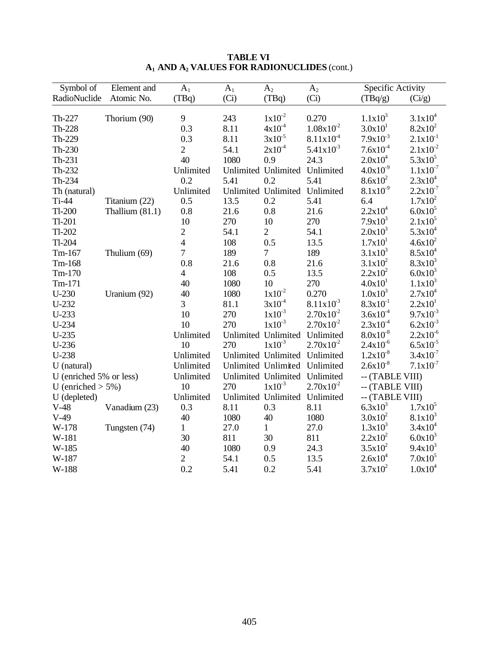| Symbol of               | Element and       | $A_1$          | A <sub>1</sub> | $A_2$                         | A <sub>2</sub> | Specific Activity   |                     |
|-------------------------|-------------------|----------------|----------------|-------------------------------|----------------|---------------------|---------------------|
| RadioNuclide            | Atomic No.        | (TBq)          | (Ci)           | (TBq)                         | (Ci)           | (TBq/g)             | (Ci/g)              |
|                         |                   |                |                |                               |                |                     |                     |
| Th-227                  | Thorium (90)      | 9              | 243            | $1x10^{-2}$                   | 0.270          | $1.1x10^3$          | $3.1x10^4$          |
| Th-228                  |                   | 0.3            | 8.11           | $4x10^{-4}$                   | $1.08x10^{2}$  | 3.0x10 <sup>1</sup> | $8.2x10^2$          |
| Th-229                  |                   | 0.3            | 8.11           | $3x10^{-5}$                   | $8.11x10^{4}$  | $7.9x10^{-3}$       | $2.1x10^{-1}$       |
| Th-230                  |                   | $\overline{2}$ | 54.1           | $2x10^{-4}$                   | $5.41x10^{3}$  | $7.6x10^{-4}$       | $2.1x10^{-2}$       |
| $Th-231$                |                   | 40             | 1080           | 0.9                           | 24.3           | $2.0x10^4$          | $5.3x10^5$          |
| Th-232                  |                   | Unlimited      |                | Unlimited Unlimited           | Unlimited      | $4.0x10^{-9}$       | $1.1x10^{-7}$       |
| Th-234                  |                   | 0.2            | 5.41           | 0.2                           | 5.41           | $8.6x10^{2}$        | $2.3x10^4$          |
| Th (natural)            |                   | Unlimited      |                | Unlimited Unlimited           | Unlimited      | $8.1x10^{-9}$       | $2.2x10^{-7}$       |
| $Ti-44$                 | Titanium (22)     | 0.5            | 13.5           | 0.2                           | 5.41           | 6.4                 | $1.7x10^2$          |
| $Tl-200$                | Thallium $(81.1)$ | 0.8            | 21.6           | 0.8                           | 21.6           | $2.2x10^4$          | $6.0x10^{5}$        |
| $Tl-201$                |                   | 10             | 270            | 10                            | 270            | $7.9x10^3$          | $2.1x10^5$          |
| $Tl-202$                |                   | $\overline{2}$ | 54.1           | $\overline{2}$                | 54.1           | $2.0x10^3$          | $5.3x10^{4}$        |
| $Tl-204$                |                   | $\overline{4}$ | 108            | 0.5                           | 13.5           | 1.7x10 <sup>1</sup> | $4.6x10^2$          |
| $Tm-167$                | Thulium (69)      | $\overline{7}$ | 189            | $\overline{7}$                | 189            | $3.1x10^3$          | $8.5x10^{4}$        |
| Tm-168                  |                   | 0.8            | 21.6           | 0.8                           | 21.6           | $3.1x10^2$          | $8.3x10^3$          |
| $Tm-170$                |                   | $\overline{4}$ | 108            | 0.5                           | 13.5           | $2.2x10^2$          | $6.0x10^{3}$        |
| $Tm-171$                |                   | 40             | 1080           | 10                            | 270            | 4.0x10 <sup>1</sup> | $1.1x10^3$          |
| $U-230$                 | Uranium (92)      | 40             | 1080           | $1x10^{-2}$                   | 0.270          | $1.0x10^3$          | $2.7x10^4$          |
| U-232                   |                   | 3              | 81.1           | $3x10^{-4}$                   | $8.11x10^{3}$  | $8.3x10^{-1}$       | 2.2x10 <sup>1</sup> |
| $U-233$                 |                   | 10             | 270            | $1x10^{-3}$                   | $2.70x10^{2}$  | $3.6x10^{-4}$       | $9.7x10^{-3}$       |
| U-234                   |                   | 10             | 270            | $1x10^{-3}$                   | $2.70x10^{2}$  | $2.3x10^{-4}$       | $6.2x10^{-3}$       |
| $U-235$                 |                   | Unlimited      |                | Unlimited Unlimited           | Unlimited      | $8.0x10^{-8}$       | $2.2x10^{-6}$       |
| U-236                   |                   | 10             | 270            | $1x10^{-3}$                   | $2.70x10^{2}$  | $2.4x10^{-6}$       | $6.5x10^{-5}$       |
| U-238                   |                   | Unlimited      |                | Unlimited Unlimited           | Unlimited      | $1.2x10^{-8}$       | $3.4x10^{-7}$       |
| U (natural)             |                   | Unlimited      |                | Unlimited Unlimited           | Unlimited      | $2.6x10^{-8}$       | $7.1x10^{-7}$       |
| U (enriched 5% or less) |                   | Unlimited      |                | Unlimited Unlimited Unlimited |                | -- (TABLE VIII)     |                     |
| U (enriched $> 5\%$ )   |                   | 10             | 270            | $1x10^{-3}$                   | $2.70x10^{2}$  | -- (TABLE VIII)     |                     |
| U (depleted)            |                   | Unlimited      |                | Unlimited Unlimited           | Unlimited      | -- (TABLE VIII)     |                     |
| $V-48$                  | Vanadium (23)     | 0.3            | 8.11           | 0.3                           | 8.11           | $6.3x10^3$          | $1.7x10^5$          |
| $V-49$                  |                   | 40             | 1080           | 40                            | 1080           | $3.0x10^2$          | $8.1x10^3$          |
| W-178                   | Tungsten (74)     | $\mathbf{1}$   | 27.0           | $\mathbf{1}$                  | 27.0           | $1.3x10^3$          | $3.4x10^4$          |
| W-181                   |                   | 30             | 811            | 30                            | 811            | $2.2x10^2$          | $6.0x10^{3}$        |
| W-185                   |                   | 40             | 1080           | 0.9                           | 24.3           | $3.5x10^2$          | $9.4x10^3$          |
| W-187                   |                   | $\overline{2}$ | 54.1           | 0.5                           | 13.5           | $2.6x10^4$          | $7.0x10^5$          |
| W-188                   |                   | 0.2            | 5.41           | 0.2                           | 5.41           | $3.7x10^2$          | $1.0x10^4$          |

**TABLE VI A1 AND A2 VALUES FOR RADIONUCLIDES** (cont.)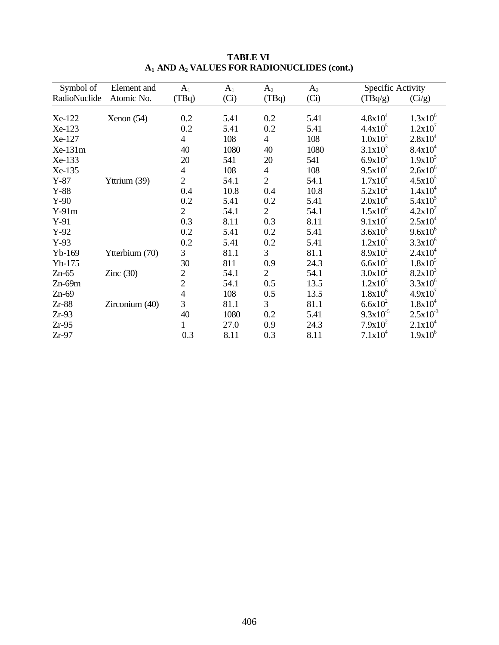| Symbol of    | Element and    | $A_1$          | $A_1$ | $A_2$                    | $A_2$ | Specific Activity |               |
|--------------|----------------|----------------|-------|--------------------------|-------|-------------------|---------------|
| RadioNuclide | Atomic No.     | (TBq)          | (Ci)  | (TBq)                    | (Ci)  | (TBq/g)           | (Ci/g)        |
| Xe-122       | Xenon (54)     | 0.2            | 5.41  | 0.2                      | 5.41  | $4.8x10^{4}$      | $1.3x10^{6}$  |
| Xe-123       |                | 0.2            | 5.41  | 0.2                      | 5.41  | $4.4x10^5$        | $1.2x10^7$    |
| Xe-127       |                | $\overline{4}$ | 108   | $\overline{4}$           | 108   | $1.0x10^3$        | $2.8x10^4$    |
| Xe-131m      |                | 40             | 1080  | 40                       | 1080  | $3.1x10^3$        | $8.4x10^4$    |
| Xe-133       |                | 20             | 541   | 20                       | 541   | $6.9x10^{3}$      | $1.9x10^5$    |
| Xe-135       |                | $\overline{4}$ | 108   | $\overline{\mathcal{A}}$ | 108   | $9.5x10^4$        | $2.6x10^6$    |
| $Y-87$       | Yttrium (39)   | $\overline{2}$ | 54.1  | $\overline{2}$           | 54.1  | $1.7x10^4$        | $4.5x10^5$    |
| $Y-88$       |                | 0.4            | 10.8  | 0.4                      | 10.8  | $5.2x10^2$        | $1.4x10^4$    |
| $Y-90$       |                | 0.2            | 5.41  | 0.2                      | 5.41  | $2.0x10^4$        | $5.4x10^5$    |
| $Y-91m$      |                | $\overline{2}$ | 54.1  | $\overline{2}$           | 54.1  | $1.5x10^{6}$      | $4.2x10^7$    |
| $Y-91$       |                | 0.3            | 8.11  | 0.3                      | 8.11  | $9.1x10^2$        | $2.5x10^4$    |
| $Y-92$       |                | 0.2            | 5.41  | 0.2                      | 5.41  | $3.6x10^5$        | $9.6x10^6$    |
| $Y-93$       |                | 0.2            | 5.41  | 0.2                      | 5.41  | $1.2x10^5$        | $3.3x10^6$    |
| $Yb-169$     | Ytterbium (70) | 3              | 81.1  | 3                        | 81.1  | $8.9x10^2$        | $2.4x10^4$    |
| $Yb-175$     |                | 30             | 811   | 0.9                      | 24.3  | $6.6x10^{3}$      | $1.8x10^5$    |
| $Zn-65$      | Zinc $(30)$    | $\overline{2}$ | 54.1  | $\overline{2}$           | 54.1  | $3.0x10^2$        | $8.2x10^3$    |
| $Zn-69m$     |                | $\overline{2}$ | 54.1  | 0.5                      | 13.5  | $1.2x10^5$        | $3.3x10^{6}$  |
| $Zn-69$      |                | 4              | 108   | 0.5                      | 13.5  | $1.8x10^{6}$      | 4.9x10'       |
| $Zr-88$      | Zirconium (40) | 3              | 81.1  | 3                        | 81.1  | $6.6x10^2$        | $1.8x10^4$    |
| $Zr-93$      |                | 40             | 1080  | 0.2                      | 5.41  | $9.3x10^{-5}$     | $2.5x10^{-3}$ |
| $Zr-95$      |                | 1              | 27.0  | 0.9                      | 24.3  | $7.9x10^2$        | $2.1x10^4$    |
| $Zr-97$      |                | 0.3            | 8.11  | 0.3                      | 8.11  | $7.1x10^4$        | $1.9x10^6$    |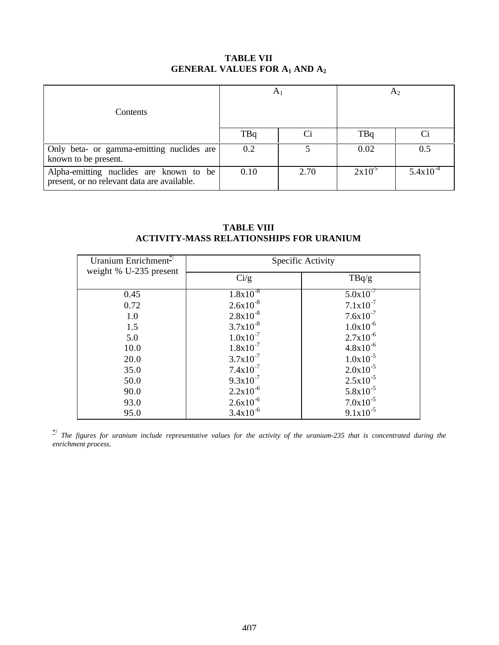# **TABLE VII GENERAL VALUES FOR A1 AND A<sup>2</sup>**

| Contents                                                                               | $A_1$      |      |             | A <sub>2</sub> |
|----------------------------------------------------------------------------------------|------------|------|-------------|----------------|
|                                                                                        | <b>TBq</b> | Ci   | <b>TBq</b>  |                |
| Only beta- or gamma-emitting nuclides are<br>known to be present.                      | 0.2        |      | 0.02        | 0.5            |
| Alpha-emitting nuclides are known to be<br>present, or no relevant data are available. | 0.10       | 2.70 | $2x10^{-5}$ | $5.4x10^{-4}$  |

## **TABLE VIII ACTIVITY-MASS RELATIONSHIPS FOR URANIUM**

| Uranium Enrichment <sup>*/</sup> |                | Specific Activity |
|----------------------------------|----------------|-------------------|
| weight % U-235 present           | $\frac{Ci}{g}$ | TBq/g             |
| 0.45                             | $1.8x10^{-8}$  | $5.0x10^{-7}$     |
| 0.72                             | $2.6x10^{-8}$  | $7.1x10^{-7}$     |
| 1.0                              | $2.8x10^{-8}$  | $7.6x10^{-7}$     |
| 1.5                              | $3.7x10^{-8}$  | $1.0x10^{-6}$     |
| 5.0                              | $1.0x10^{-7}$  | $2.7x10^{-6}$     |
| 10.0                             | $1.8x10^{-7}$  | $4.8x10^{-6}$     |
| 20.0                             | $3.7x10^{-7}$  | $1.0x10^{-5}$     |
| 35.0                             | $7.4x10^{-7}$  | $2.0x10^{-5}$     |
| 50.0                             | $9.3x10^{-7}$  | $2.5x10^{-5}$     |
| 90.0                             | $2.2x10^{-6}$  | $5.8x10^{-5}$     |
| 93.0                             | $2.6x10^{-6}$  | $7.0x10^{-5}$     |
| 95.0                             | $3.4x10^{-6}$  | $9.1x10^{-5}$     |

\*/ *The figures for uranium include representative values for the activity of the uranium-235 that is concentrated during the enrichment process.*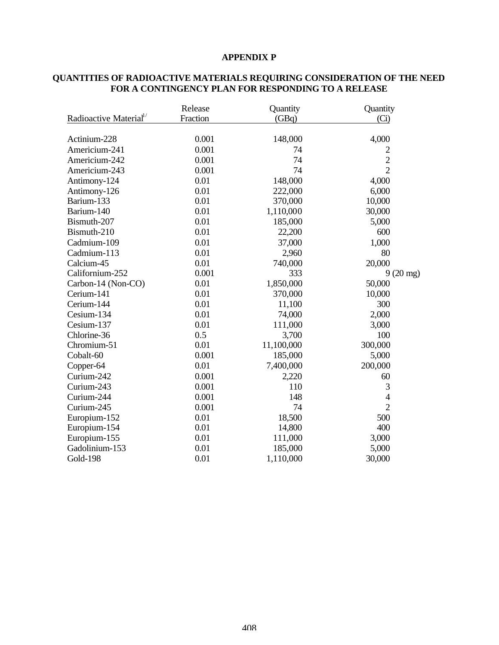## **APPENDIX P**

| Radioactive Material <sup>1/</sup> | Release<br>Fraction | Quantity<br>(GBq) | Quantity<br>(Ci)   |
|------------------------------------|---------------------|-------------------|--------------------|
| Actinium-228                       | 0.001               | 148,000           | 4,000              |
| Americium-241                      | 0.001               | 74                | $\overline{c}$     |
| Americium-242                      | 0.001               | 74                | $\overline{2}$     |
| Americium-243                      | 0.001               | 74                | $\overline{2}$     |
| Antimony-124                       | 0.01                | 148,000           | 4,000              |
| Antimony-126                       | 0.01                | 222,000           | 6,000              |
| Barium-133                         | 0.01                | 370,000           | 10,000             |
| Barium-140                         | 0.01                | 1,110,000         | 30,000             |
| Bismuth-207                        | 0.01                | 185,000           | 5,000              |
| Bismuth-210                        | 0.01                | 22,200            | 600                |
| Cadmium-109                        | 0.01                | 37,000            | 1,000              |
| Cadmium-113                        | 0.01                | 2,960             | 80                 |
| Calcium-45                         | 0.01                | 740,000           | 20,000             |
| Californium-252                    | 0.001               | 333               | $9(20 \text{ mg})$ |
| Carbon-14 (Non-CO)                 | 0.01                | 1,850,000         | 50,000             |
| Cerium-141                         | 0.01                | 370,000           | 10,000             |
| Cerium-144                         | 0.01                | 11,100            | 300                |
| Cesium-134                         | 0.01                | 74,000            | 2,000              |
| Cesium-137                         | 0.01                | 111,000           | 3,000              |
| Chlorine-36                        | 0.5                 | 3,700             | 100                |
| Chromium-51                        | 0.01                | 11,100,000        | 300,000            |
| Cobalt-60                          | 0.001               | 185,000           | 5,000              |
| Copper-64                          | 0.01                | 7,400,000         | 200,000            |
| Curium-242                         | 0.001               | 2,220             | 60                 |
| Curium-243                         | 0.001               | 110               | 3                  |
| Curium-244                         | 0.001               | 148               | $\overline{4}$     |
| Curium-245                         | 0.001               | 74                | $\overline{2}$     |
| Europium-152                       | 0.01                | 18,500            | 500                |
| Europium-154                       | 0.01                | 14,800            | 400                |
| Europium-155                       | 0.01                | 111,000           | 3,000              |
| Gadolinium-153                     | 0.01                | 185,000           | 5,000              |
| <b>Gold-198</b>                    | 0.01                | 1,110,000         | 30,000             |

### **QUANTITIES OF RADIOACTIVE MATERIALS REQUIRING CONSIDERATION OF THE NEED FOR A CONTINGENCY PLAN FOR RESPONDING TO A RELEASE**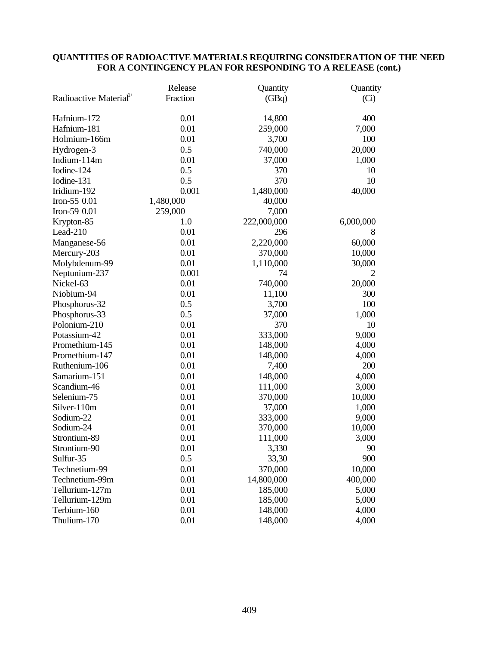|                                    | Release   | Quantity    | Quantity  |
|------------------------------------|-----------|-------------|-----------|
| Radioactive Material <sup>1/</sup> | Fraction  | (GBq)       | (Ci)      |
|                                    |           |             |           |
| Hafnium-172                        | 0.01      | 14,800      | 400       |
| Hafnium-181                        | 0.01      | 259,000     | 7,000     |
| Holmium-166m                       | 0.01      | 3,700       | 100       |
| Hydrogen-3                         | 0.5       | 740,000     | 20,000    |
| Indium-114m                        | 0.01      | 37,000      | 1,000     |
| Iodine-124                         | 0.5       | 370         | 10        |
| Iodine-131                         | 0.5       | 370         | 10        |
| Iridium-192                        | 0.001     | 1,480,000   | 40,000    |
| Iron-55 0.01                       | 1,480,000 | 40,000      |           |
| Iron-59 0.01                       | 259,000   | 7,000       |           |
| Krypton-85                         | 1.0       | 222,000,000 | 6,000,000 |
| Lead-210                           | 0.01      | 296         | 8         |
| Manganese-56                       | 0.01      | 2,220,000   | 60,000    |
| Mercury-203                        | 0.01      | 370,000     | 10,000    |
| Molybdenum-99                      | 0.01      | 1,110,000   | 30,000    |
| Neptunium-237                      | 0.001     | 74          | 2         |
| Nickel-63                          | 0.01      | 740,000     | 20,000    |
| Niobium-94                         | 0.01      | 11,100      | 300       |
| Phosphorus-32                      | 0.5       | 3,700       | 100       |
| Phosphorus-33                      | 0.5       | 37,000      | 1,000     |
| Polonium-210                       | 0.01      | 370         | 10        |
| Potassium-42                       | 0.01      | 333,000     | 9,000     |
| Promethium-145                     | 0.01      | 148,000     | 4,000     |
| Promethium-147                     | 0.01      | 148,000     | 4,000     |
| Ruthenium-106                      | 0.01      | 7,400       | 200       |
| Samarium-151                       | 0.01      | 148,000     | 4,000     |
| Scandium-46                        | 0.01      | 111,000     | 3,000     |
| Selenium-75                        | 0.01      | 370,000     | 10,000    |
| Silver-110m                        | 0.01      | 37,000      | 1,000     |
| Sodium-22                          | 0.01      | 333,000     | 9,000     |
| Sodium-24                          | 0.01      | 370,000     | 10,000    |
| Strontium-89                       | 0.01      | 111,000     | 3,000     |
| Strontium-90                       | 0.01      | 3,330       | 90        |
| Sulfur-35                          | 0.5       | 33,30       | 900       |
| Technetium-99                      | 0.01      | 370,000     | 10,000    |
| Technetium-99m                     | 0.01      | 14,800,000  | 400,000   |
| Tellurium-127m                     | 0.01      | 185,000     | 5,000     |
| Tellurium-129m                     | 0.01      | 185,000     | 5,000     |
| Terbium-160                        | 0.01      | 148,000     | 4,000     |
| Thulium-170                        | 0.01      | 148,000     | 4,000     |

## **QUANTITIES OF RADIOACTIVE MATERIALS REQUIRING CONSIDERATION OF THE NEED FOR A CONTINGENCY PLAN FOR RESPONDING TO A RELEASE (cont.)**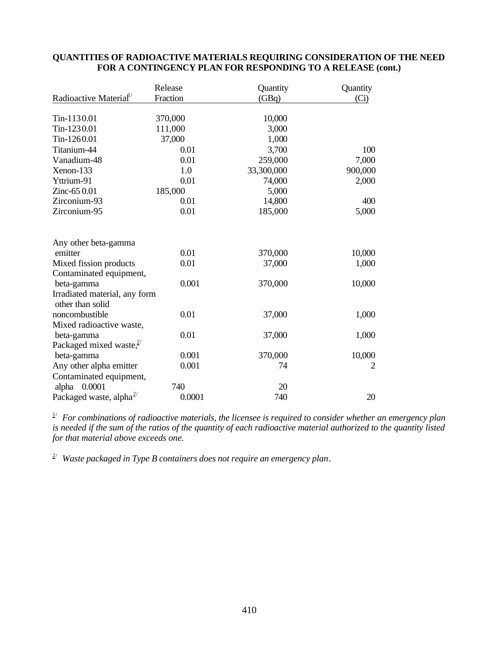|                                    | Release  | Quantity   | Quantity |
|------------------------------------|----------|------------|----------|
| Radioactive Material <sup>1/</sup> | Fraction | (GBq)      | (Ci)     |
|                                    |          |            |          |
| Tin-1130.01                        | 370,000  | 10,000     |          |
| Tin-1230.01                        | 111,000  | 3,000      |          |
| Tin-1260.01                        | 37,000   | 1,000      |          |
| Titanium-44                        | 0.01     | 3,700      | 100      |
| Vanadium-48                        | 0.01     | 259,000    | 7,000    |
| Xenon-133                          | 1.0      | 33,300,000 | 900,000  |
| Yttrium-91                         | 0.01     | 74,000     | 2,000    |
| Zinc-65 0.01                       | 185,000  | 5,000      |          |
| Zirconium-93                       | 0.01     | 14,800     | 400      |
| Zirconium-95                       | 0.01     | 185,000    | 5,000    |
|                                    |          |            |          |
| Any other beta-gamma               |          |            |          |
| emitter                            | 0.01     | 370,000    | 10,000   |
| Mixed fission products             | 0.01     | 37,000     | 1,000    |
| Contaminated equipment,            |          |            |          |
| beta-gamma                         | 0.001    | 370,000    | 10,000   |
| Irradiated material, any form      |          |            |          |
| other than solid                   |          |            |          |
| noncombustible                     | 0.01     | 37,000     | 1,000    |
| Mixed radioactive waste,           |          |            |          |
| beta-gamma                         | 0.01     | 37,000     | 1,000    |
| Packaged mixed waste, $2^{7}$      |          |            |          |
| beta-gamma                         | 0.001    | 370,000    | 10,000   |
| Any other alpha emitter            | 0.001    | 74         | 2        |
| Contaminated equipment,            |          |            |          |
| 0.0001<br>alpha                    | 740      | 20         |          |
| Packaged waste, alpha $^{2}$       | 0.0001   | 740        | 20       |

# **QUANTITIES OF RADIOACTIVE MATERIALS REQUIRING CONSIDERATION OF THE NEED FOR A CONTINGENCY PLAN FOR RESPONDING TO A RELEASE (cont.)**

1/ *For combinations of radioactive materials, the licensee is required to consider whether an emergency plan is needed if the sum of the ratios of the quantity of each radioactive material authorized to the quantity listed for that material above exceeds one.*

2/ *Waste packaged in Type B containers does not require an emergency plan*.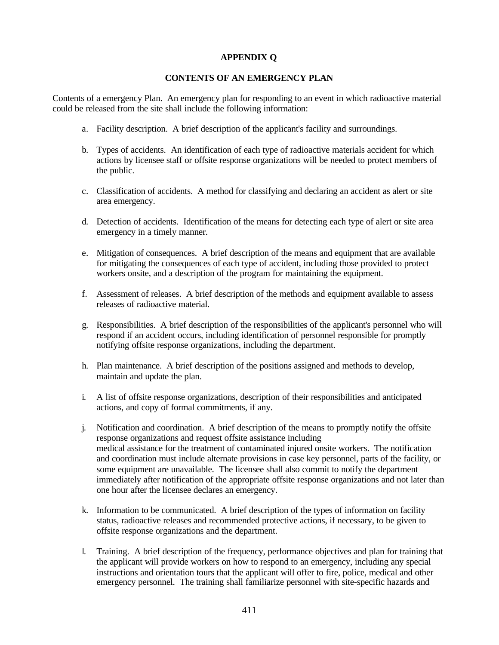# **APPENDIX Q**

# **CONTENTS OF AN EMERGENCY PLAN**

Contents of a emergency Plan. An emergency plan for responding to an event in which radioactive material could be released from the site shall include the following information:

- a. Facility description. A brief description of the applicant's facility and surroundings.
- b. Types of accidents. An identification of each type of radioactive materials accident for which actions by licensee staff or offsite response organizations will be needed to protect members of the public.
- c. Classification of accidents. A method for classifying and declaring an accident as alert or site area emergency.
- d. Detection of accidents. Identification of the means for detecting each type of alert or site area emergency in a timely manner.
- e. Mitigation of consequences. A brief description of the means and equipment that are available for mitigating the consequences of each type of accident, including those provided to protect workers onsite, and a description of the program for maintaining the equipment.
- f. Assessment of releases. A brief description of the methods and equipment available to assess releases of radioactive material.
- g. Responsibilities. A brief description of the responsibilities of the applicant's personnel who will respond if an accident occurs, including identification of personnel responsible for promptly notifying offsite response organizations, including the department.
- h. Plan maintenance. A brief description of the positions assigned and methods to develop, maintain and update the plan.
- i. A list of offsite response organizations, description of their responsibilities and anticipated actions, and copy of formal commitments, if any.
- j. Notification and coordination. A brief description of the means to promptly notify the offsite response organizations and request offsite assistance including medical assistance for the treatment of contaminated injured onsite workers. The notification and coordination must include alternate provisions in case key personnel, parts of the facility, or some equipment are unavailable. The licensee shall also commit to notify the department immediately after notification of the appropriate offsite response organizations and not later than one hour after the licensee declares an emergency.
- k. Information to be communicated. A brief description of the types of information on facility status, radioactive releases and recommended protective actions, if necessary, to be given to offsite response organizations and the department.
- l. Training. A brief description of the frequency, performance objectives and plan for training that the applicant will provide workers on how to respond to an emergency, including any special instructions and orientation tours that the applicant will offer to fire, police, medical and other emergency personnel. The training shall familiarize personnel with site-specific hazards and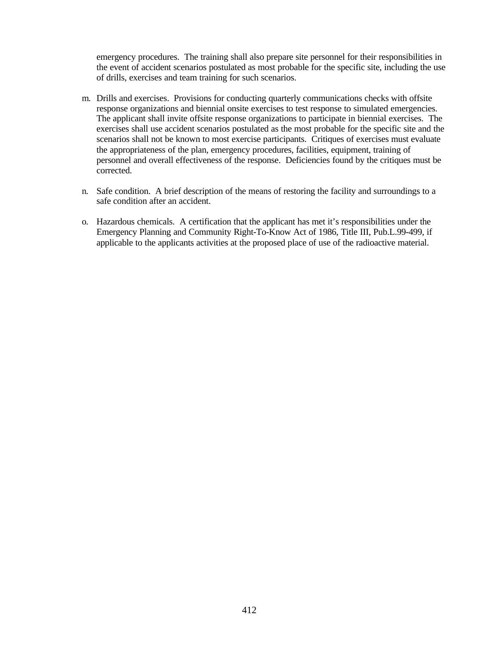emergency procedures. The training shall also prepare site personnel for their responsibilities in the event of accident scenarios postulated as most probable for the specific site, including the use of drills, exercises and team training for such scenarios.

- m. Drills and exercises. Provisions for conducting quarterly communications checks with offsite response organizations and biennial onsite exercises to test response to simulated emergencies. The applicant shall invite offsite response organizations to participate in biennial exercises. The exercises shall use accident scenarios postulated as the most probable for the specific site and the scenarios shall not be known to most exercise participants. Critiques of exercises must evaluate the appropriateness of the plan, emergency procedures, facilities, equipment, training of personnel and overall effectiveness of the response. Deficiencies found by the critiques must be corrected.
- n. Safe condition. A brief description of the means of restoring the facility and surroundings to a safe condition after an accident.
- o. Hazardous chemicals. A certification that the applicant has met it's responsibilities under the Emergency Planning and Community Right-To-Know Act of 1986, Title III, Pub.L.99-499, if applicable to the applicants activities at the proposed place of use of the radioactive material.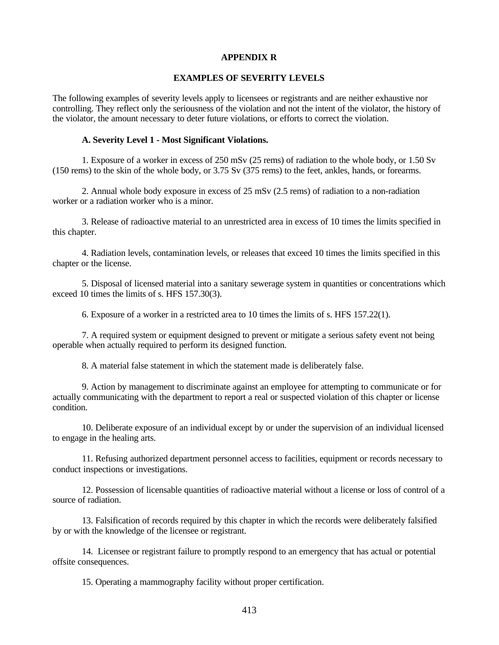### **APPENDIX R**

### **EXAMPLES OF SEVERITY LEVELS**

The following examples of severity levels apply to licensees or registrants and are neither exhaustive nor controlling. They reflect only the seriousness of the violation and not the intent of the violator, the history of the violator, the amount necessary to deter future violations, or efforts to correct the violation.

#### **A. Severity Level 1 - Most Significant Violations.**

1. Exposure of a worker in excess of 250 mSv (25 rems) of radiation to the whole body, or 1.50 Sv (150 rems) to the skin of the whole body, or 3.75 Sv (375 rems) to the feet, ankles, hands, or forearms.

2. Annual whole body exposure in excess of 25 mSv (2.5 rems) of radiation to a non-radiation worker or a radiation worker who is a minor.

3. Release of radioactive material to an unrestricted area in excess of 10 times the limits specified in this chapter.

4. Radiation levels, contamination levels, or releases that exceed 10 times the limits specified in this chapter or the license.

5. Disposal of licensed material into a sanitary sewerage system in quantities or concentrations which exceed 10 times the limits of s. HFS 157.30(3).

6. Exposure of a worker in a restricted area to 10 times the limits of s. HFS 157.22(1).

7. A required system or equipment designed to prevent or mitigate a serious safety event not being operable when actually required to perform its designed function.

8. A material false statement in which the statement made is deliberately false.

9. Action by management to discriminate against an employee for attempting to communicate or for actually communicating with the department to report a real or suspected violation of this chapter or license condition.

10. Deliberate exposure of an individual except by or under the supervision of an individual licensed to engage in the healing arts.

11. Refusing authorized department personnel access to facilities, equipment or records necessary to conduct inspections or investigations.

12. Possession of licensable quantities of radioactive material without a license or loss of control of a source of radiation.

13. Falsification of records required by this chapter in which the records were deliberately falsified by or with the knowledge of the licensee or registrant.

14. Licensee or registrant failure to promptly respond to an emergency that has actual or potential offsite consequences.

15. Operating a mammography facility without proper certification.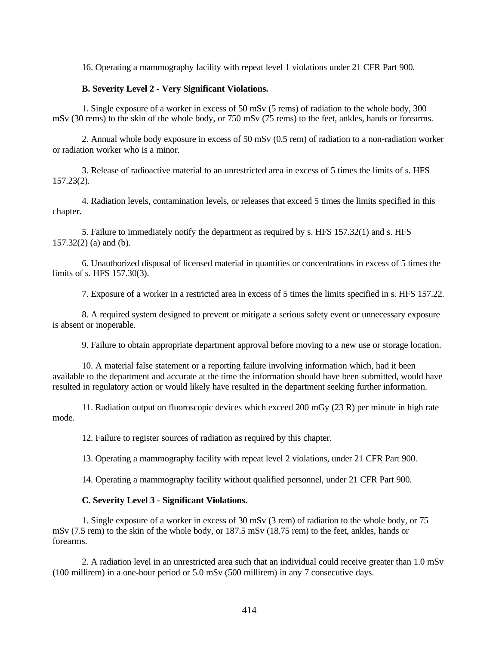16. Operating a mammography facility with repeat level 1 violations under 21 CFR Part 900.

### **B. Severity Level 2 - Very Significant Violations.**

1. Single exposure of a worker in excess of 50 mSv (5 rems) of radiation to the whole body, 300 mSv (30 rems) to the skin of the whole body, or 750 mSv (75 rems) to the feet, ankles, hands or forearms.

2. Annual whole body exposure in excess of 50 mSv (0.5 rem) of radiation to a non-radiation worker or radiation worker who is a minor.

3. Release of radioactive material to an unrestricted area in excess of 5 times the limits of s. HFS 157.23(2).

4. Radiation levels, contamination levels, or releases that exceed 5 times the limits specified in this chapter.

5. Failure to immediately notify the department as required by s. HFS 157.32(1) and s. HFS 157.32(2) (a) and (b).

6. Unauthorized disposal of licensed material in quantities or concentrations in excess of 5 times the limits of s. HFS 157.30(3).

7. Exposure of a worker in a restricted area in excess of 5 times the limits specified in s. HFS 157.22.

8. A required system designed to prevent or mitigate a serious safety event or unnecessary exposure is absent or inoperable.

9. Failure to obtain appropriate department approval before moving to a new use or storage location.

10. A material false statement or a reporting failure involving information which, had it been available to the department and accurate at the time the information should have been submitted, would have resulted in regulatory action or would likely have resulted in the department seeking further information.

11. Radiation output on fluoroscopic devices which exceed 200 mGy (23 R) per minute in high rate mode.

12. Failure to register sources of radiation as required by this chapter.

13. Operating a mammography facility with repeat level 2 violations, under 21 CFR Part 900.

14. Operating a mammography facility without qualified personnel, under 21 CFR Part 900.

### **C. Severity Level 3 - Significant Violations.**

1. Single exposure of a worker in excess of 30 mSv (3 rem) of radiation to the whole body, or 75 mSv (7.5 rem) to the skin of the whole body, or 187.5 mSv (18.75 rem) to the feet, ankles, hands or forearms.

2. A radiation level in an unrestricted area such that an individual could receive greater than 1.0 mSv (100 millirem) in a one-hour period or 5.0 mSv (500 millirem) in any 7 consecutive days.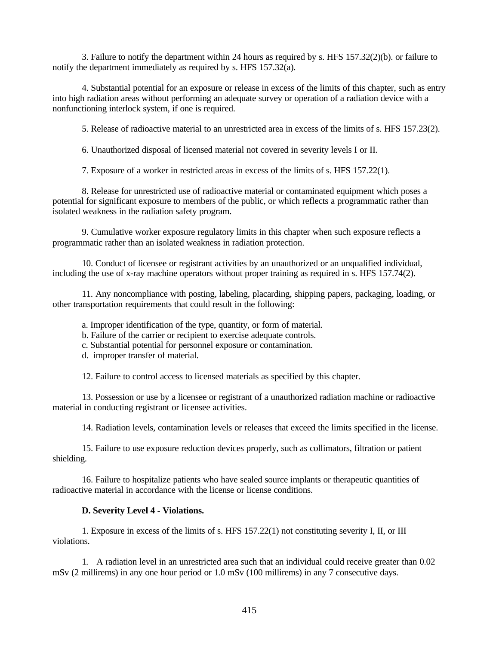3. Failure to notify the department within 24 hours as required by s. HFS 157.32(2)(b). or failure to notify the department immediately as required by s. HFS 157.32(a).

4. Substantial potential for an exposure or release in excess of the limits of this chapter, such as entry into high radiation areas without performing an adequate survey or operation of a radiation device with a nonfunctioning interlock system, if one is required.

5. Release of radioactive material to an unrestricted area in excess of the limits of s. HFS 157.23(2).

6. Unauthorized disposal of licensed material not covered in severity levels I or II.

7. Exposure of a worker in restricted areas in excess of the limits of s. HFS 157.22(1).

8. Release for unrestricted use of radioactive material or contaminated equipment which poses a potential for significant exposure to members of the public, or which reflects a programmatic rather than isolated weakness in the radiation safety program.

9. Cumulative worker exposure regulatory limits in this chapter when such exposure reflects a programmatic rather than an isolated weakness in radiation protection.

10. Conduct of licensee or registrant activities by an unauthorized or an unqualified individual, including the use of x-ray machine operators without proper training as required in s. HFS 157.74(2).

11. Any noncompliance with posting, labeling, placarding, shipping papers, packaging, loading, or other transportation requirements that could result in the following:

a. Improper identification of the type, quantity, or form of material.

b. Failure of the carrier or recipient to exercise adequate controls.

c. Substantial potential for personnel exposure or contamination.

d. improper transfer of material.

12. Failure to control access to licensed materials as specified by this chapter.

13. Possession or use by a licensee or registrant of a unauthorized radiation machine or radioactive material in conducting registrant or licensee activities.

14. Radiation levels, contamination levels or releases that exceed the limits specified in the license.

15. Failure to use exposure reduction devices properly, such as collimators, filtration or patient shielding.

16. Failure to hospitalize patients who have sealed source implants or therapeutic quantities of radioactive material in accordance with the license or license conditions.

## **D. Severity Level 4 - Violations.**

1. Exposure in excess of the limits of s. HFS 157.22(1) not constituting severity I, II, or III violations.

1. A radiation level in an unrestricted area such that an individual could receive greater than 0.02 mSv (2 millirems) in any one hour period or 1.0 mSv (100 millirems) in any 7 consecutive days.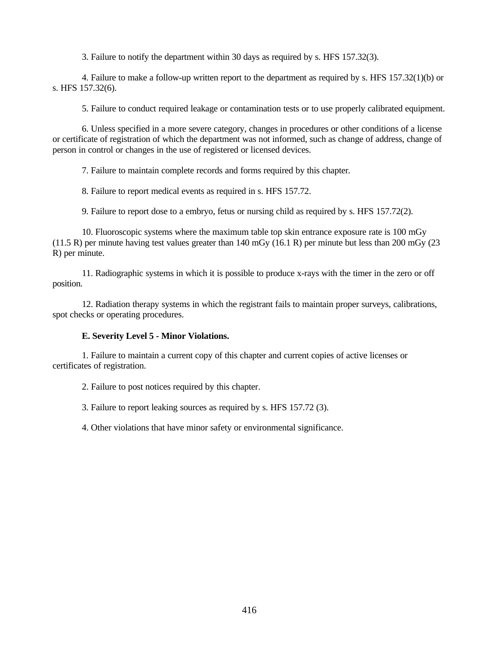3. Failure to notify the department within 30 days as required by s. HFS 157.32(3).

4. Failure to make a follow-up written report to the department as required by s. HFS 157.32(1)(b) or s. HFS 157.32(6).

5. Failure to conduct required leakage or contamination tests or to use properly calibrated equipment.

6. Unless specified in a more severe category, changes in procedures or other conditions of a license or certificate of registration of which the department was not informed, such as change of address, change of person in control or changes in the use of registered or licensed devices.

7. Failure to maintain complete records and forms required by this chapter*.*

8. Failure to report medical events as required in s. HFS 157.72.

9. Failure to report dose to a embryo, fetus or nursing child as required by s. HFS 157.72(2).

10. Fluoroscopic systems where the maximum table top skin entrance exposure rate is 100 mGy (11.5 R) per minute having test values greater than 140 mGy (16.1 R) per minute but less than 200 mGy (23 R) per minute.

11. Radiographic systems in which it is possible to produce x-rays with the timer in the zero or off position.

12. Radiation therapy systems in which the registrant fails to maintain proper surveys, calibrations, spot checks or operating procedures.

### **E. Severity Level 5 - Minor Violations.**

1. Failure to maintain a current copy of this chapter and current copies of active licenses or certificates of registration.

2. Failure to post notices required by this chapter.

3. Failure to report leaking sources as required by s. HFS 157.72 (3).

4. Other violations that have minor safety or environmental significance.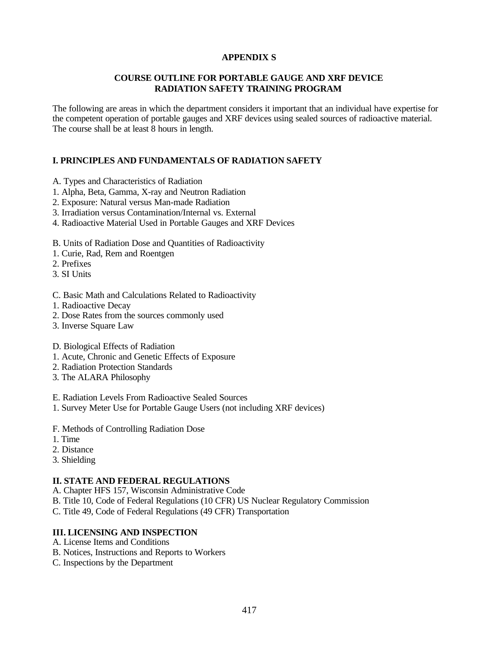# **APPENDIX S**

## **COURSE OUTLINE FOR PORTABLE GAUGE AND XRF DEVICE RADIATION SAFETY TRAINING PROGRAM**

The following are areas in which the department considers it important that an individual have expertise for the competent operation of portable gauges and XRF devices using sealed sources of radioactive material. The course shall be at least 8 hours in length.

# **I. PRINCIPLES AND FUNDAMENTALS OF RADIATION SAFETY**

- A. Types and Characteristics of Radiation
- 1. Alpha, Beta, Gamma, X-ray and Neutron Radiation
- 2. Exposure: Natural versus Man-made Radiation
- 3. Irradiation versus Contamination/Internal vs. External
- 4. Radioactive Material Used in Portable Gauges and XRF Devices
- B. Units of Radiation Dose and Quantities of Radioactivity
- 1. Curie, Rad, Rem and Roentgen
- 2. Prefixes
- 3. SI Units
- C. Basic Math and Calculations Related to Radioactivity
- 1. Radioactive Decay
- 2. Dose Rates from the sources commonly used
- 3. Inverse Square Law
- D. Biological Effects of Radiation
- 1. Acute, Chronic and Genetic Effects of Exposure
- 2. Radiation Protection Standards
- 3. The ALARA Philosophy
- E. Radiation Levels From Radioactive Sealed Sources
- 1. Survey Meter Use for Portable Gauge Users (not including XRF devices)
- F. Methods of Controlling Radiation Dose
- 1. Time
- 2. Distance
- 3. Shielding

## **II. STATE AND FEDERAL REGULATIONS**

- A. Chapter HFS 157, Wisconsin Administrative Code
- B. Title 10, Code of Federal Regulations (10 CFR) US Nuclear Regulatory Commission
- C. Title 49, Code of Federal Regulations (49 CFR) Transportation

## **III. LICENSING AND INSPECTION**

- A. License Items and Conditions
- B. Notices, Instructions and Reports to Workers
- C. Inspections by the Department